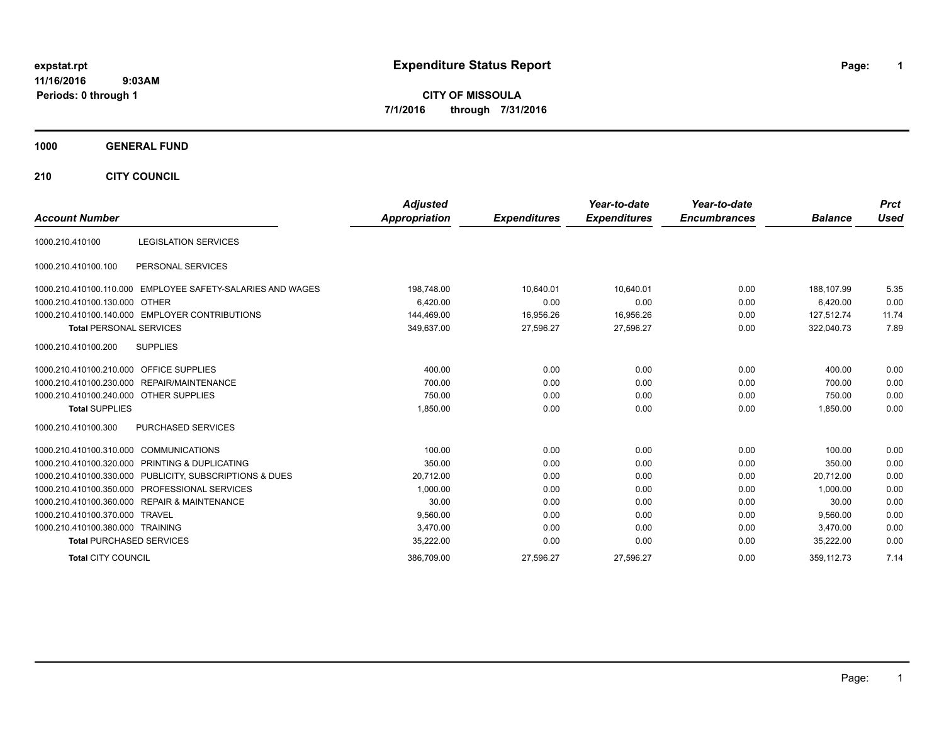# **expstat.rpt Expenditure Status Report Page:**

**1**

**CITY OF MISSOULA 7/1/2016 through 7/31/2016**

## **1000 GENERAL FUND**

**210 CITY COUNCIL**

|                                         |                                                         | <b>Adjusted</b>      |                     | Year-to-date        | Year-to-date        |                | <b>Prct</b> |
|-----------------------------------------|---------------------------------------------------------|----------------------|---------------------|---------------------|---------------------|----------------|-------------|
| <b>Account Number</b>                   |                                                         | <b>Appropriation</b> | <b>Expenditures</b> | <b>Expenditures</b> | <b>Encumbrances</b> | <b>Balance</b> | <b>Used</b> |
| 1000.210.410100                         | <b>LEGISLATION SERVICES</b>                             |                      |                     |                     |                     |                |             |
| 1000.210.410100.100                     | PERSONAL SERVICES                                       |                      |                     |                     |                     |                |             |
| 1000.210.410100.110.000                 | EMPLOYEE SAFETY-SALARIES AND WAGES                      | 198,748.00           | 10,640.01           | 10,640.01           | 0.00                | 188.107.99     | 5.35        |
| 1000.210.410100.130.000 OTHER           |                                                         | 6.420.00             | 0.00                | 0.00                | 0.00                | 6,420.00       | 0.00        |
|                                         | 1000.210.410100.140.000 EMPLOYER CONTRIBUTIONS          | 144,469.00           | 16,956.26           | 16,956.26           | 0.00                | 127.512.74     | 11.74       |
| <b>Total PERSONAL SERVICES</b>          |                                                         | 349,637.00           | 27,596.27           | 27,596.27           | 0.00                | 322,040.73     | 7.89        |
| 1000.210.410100.200                     | <b>SUPPLIES</b>                                         |                      |                     |                     |                     |                |             |
| 1000.210.410100.210.000 OFFICE SUPPLIES |                                                         | 400.00               | 0.00                | 0.00                | 0.00                | 400.00         | 0.00        |
|                                         | 1000.210.410100.230.000 REPAIR/MAINTENANCE              | 700.00               | 0.00                | 0.00                | 0.00                | 700.00         | 0.00        |
| 1000.210.410100.240.000 OTHER SUPPLIES  |                                                         | 750.00               | 0.00                | 0.00                | 0.00                | 750.00         | 0.00        |
| <b>Total SUPPLIES</b>                   |                                                         | 1,850.00             | 0.00                | 0.00                | 0.00                | 1,850.00       | 0.00        |
| 1000.210.410100.300                     | <b>PURCHASED SERVICES</b>                               |                      |                     |                     |                     |                |             |
| 1000.210.410100.310.000                 | <b>COMMUNICATIONS</b>                                   | 100.00               | 0.00                | 0.00                | 0.00                | 100.00         | 0.00        |
|                                         | 1000.210.410100.320.000 PRINTING & DUPLICATING          | 350.00               | 0.00                | 0.00                | 0.00                | 350.00         | 0.00        |
|                                         | 1000.210.410100.330.000 PUBLICITY, SUBSCRIPTIONS & DUES | 20,712.00            | 0.00                | 0.00                | 0.00                | 20.712.00      | 0.00        |
|                                         | 1000.210.410100.350.000 PROFESSIONAL SERVICES           | 1,000.00             | 0.00                | 0.00                | 0.00                | 1.000.00       | 0.00        |
|                                         | 1000.210.410100.360.000 REPAIR & MAINTENANCE            | 30.00                | 0.00                | 0.00                | 0.00                | 30.00          | 0.00        |
| 1000.210.410100.370.000 TRAVEL          |                                                         | 9,560.00             | 0.00                | 0.00                | 0.00                | 9.560.00       | 0.00        |
| 1000.210.410100.380.000 TRAINING        |                                                         | 3,470.00             | 0.00                | 0.00                | 0.00                | 3.470.00       | 0.00        |
| <b>Total PURCHASED SERVICES</b>         |                                                         | 35,222.00            | 0.00                | 0.00                | 0.00                | 35,222.00      | 0.00        |
| <b>Total CITY COUNCIL</b>               |                                                         | 386,709.00           | 27,596.27           | 27,596.27           | 0.00                | 359.112.73     | 7.14        |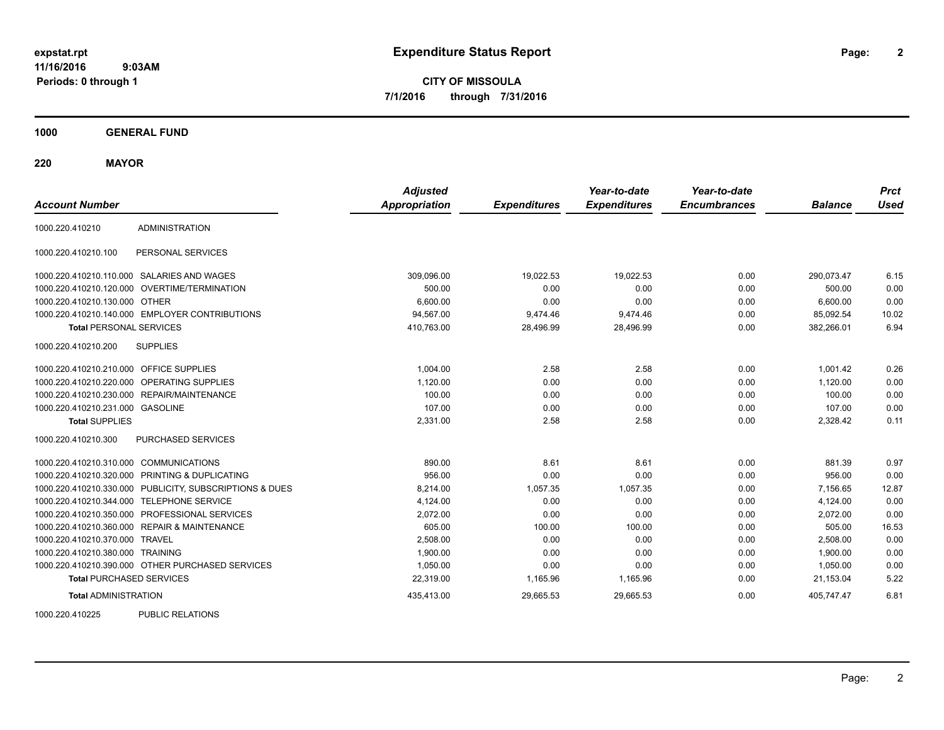**CITY OF MISSOULA 7/1/2016 through 7/31/2016**

**1000 GENERAL FUND**

**220 MAYOR**

| <b>Account Number</b>                      |                                                  | <b>Adjusted</b><br>Appropriation | <b>Expenditures</b> | Year-to-date<br><b>Expenditures</b> | Year-to-date<br><b>Encumbrances</b> | <b>Balance</b> | <b>Prct</b><br><b>Used</b> |
|--------------------------------------------|--------------------------------------------------|----------------------------------|---------------------|-------------------------------------|-------------------------------------|----------------|----------------------------|
| 1000.220.410210                            | <b>ADMINISTRATION</b>                            |                                  |                     |                                     |                                     |                |                            |
| 1000.220.410210.100                        | PERSONAL SERVICES                                |                                  |                     |                                     |                                     |                |                            |
| 1000.220.410210.110.000 SALARIES AND WAGES |                                                  | 309,096.00                       | 19,022.53           | 19,022.53                           | 0.00                                | 290,073.47     | 6.15                       |
| 1000.220.410210.120.000                    | OVERTIME/TERMINATION                             | 500.00                           | 0.00                | 0.00                                | 0.00                                | 500.00         | 0.00                       |
| 1000.220.410210.130.000                    | <b>OTHER</b>                                     | 6,600.00                         | 0.00                | 0.00                                | 0.00                                | 6,600.00       | 0.00                       |
|                                            | 1000.220.410210.140.000 EMPLOYER CONTRIBUTIONS   | 94,567.00                        | 9,474.46            | 9,474.46                            | 0.00                                | 85,092.54      | 10.02                      |
| <b>Total PERSONAL SERVICES</b>             |                                                  | 410,763.00                       | 28,496.99           | 28,496.99                           | 0.00                                | 382,266.01     | 6.94                       |
| 1000.220.410210.200                        | <b>SUPPLIES</b>                                  |                                  |                     |                                     |                                     |                |                            |
| 1000.220.410210.210.000                    | OFFICE SUPPLIES                                  | 1,004.00                         | 2.58                | 2.58                                | 0.00                                | 1,001.42       | 0.26                       |
| 1000.220.410210.220.000                    | OPERATING SUPPLIES                               | 1,120.00                         | 0.00                | 0.00                                | 0.00                                | 1,120.00       | 0.00                       |
| 1000.220.410210.230.000                    | REPAIR/MAINTENANCE                               | 100.00                           | 0.00                | 0.00                                | 0.00                                | 100.00         | 0.00                       |
| 1000.220.410210.231.000 GASOLINE           |                                                  | 107.00                           | 0.00                | 0.00                                | 0.00                                | 107.00         | 0.00                       |
| <b>Total SUPPLIES</b>                      |                                                  | 2,331.00                         | 2.58                | 2.58                                | 0.00                                | 2,328.42       | 0.11                       |
| 1000.220.410210.300                        | <b>PURCHASED SERVICES</b>                        |                                  |                     |                                     |                                     |                |                            |
| 1000.220.410210.310.000                    | <b>COMMUNICATIONS</b>                            | 890.00                           | 8.61                | 8.61                                | 0.00                                | 881.39         | 0.97                       |
| 1000.220.410210.320.000                    | PRINTING & DUPLICATING                           | 956.00                           | 0.00                | 0.00                                | 0.00                                | 956.00         | 0.00                       |
| 1000.220.410210.330.000                    | PUBLICITY, SUBSCRIPTIONS & DUES                  | 8.214.00                         | 1,057.35            | 1,057.35                            | 0.00                                | 7.156.65       | 12.87                      |
| 1000.220.410210.344.000                    | <b>TELEPHONE SERVICE</b>                         | 4,124.00                         | 0.00                | 0.00                                | 0.00                                | 4,124.00       | 0.00                       |
| 1000.220.410210.350.000                    | PROFESSIONAL SERVICES                            | 2,072.00                         | 0.00                | 0.00                                | 0.00                                | 2,072.00       | 0.00                       |
|                                            | 1000.220.410210.360.000 REPAIR & MAINTENANCE     | 605.00                           | 100.00              | 100.00                              | 0.00                                | 505.00         | 16.53                      |
| 1000.220.410210.370.000 TRAVEL             |                                                  | 2.508.00                         | 0.00                | 0.00                                | 0.00                                | 2.508.00       | 0.00                       |
| 1000.220.410210.380.000                    | <b>TRAINING</b>                                  | 1,900.00                         | 0.00                | 0.00                                | 0.00                                | 1.900.00       | 0.00                       |
|                                            | 1000.220.410210.390.000 OTHER PURCHASED SERVICES | 1,050.00                         | 0.00                | 0.00                                | 0.00                                | 1,050.00       | 0.00                       |
| <b>Total PURCHASED SERVICES</b>            |                                                  | 22,319.00                        | 1,165.96            | 1,165.96                            | 0.00                                | 21,153.04      | 5.22                       |
| <b>Total ADMINISTRATION</b>                |                                                  | 435,413.00                       | 29,665.53           | 29,665.53                           | 0.00                                | 405,747.47     | 6.81                       |

1000.220.410225 PUBLIC RELATIONS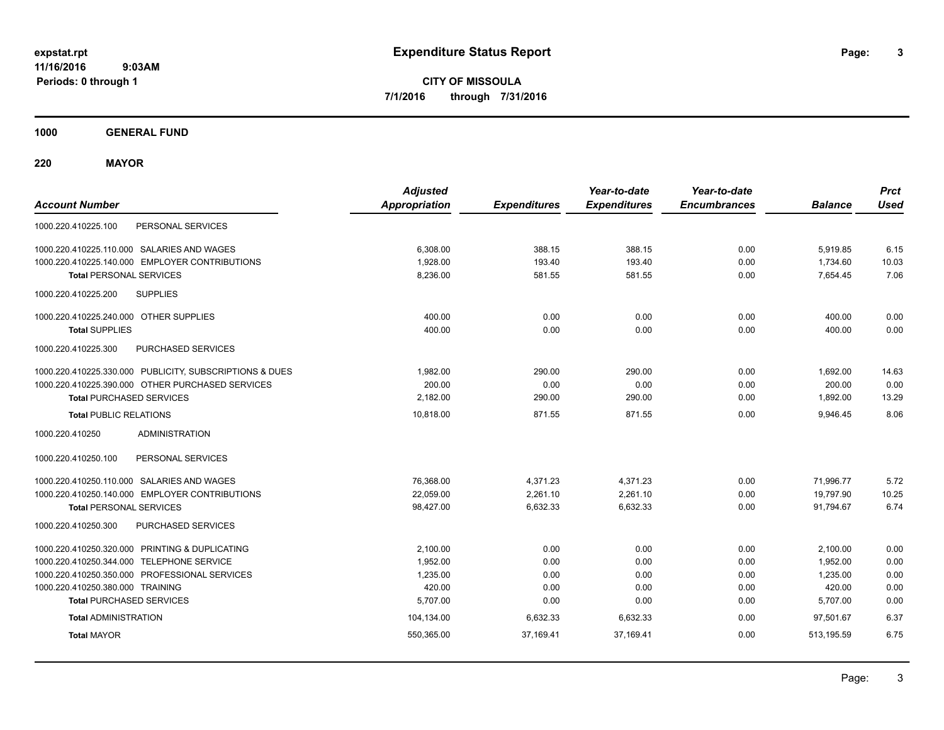**CITY OF MISSOULA 7/1/2016 through 7/31/2016**

**1000 GENERAL FUND**

**220 MAYOR**

| <b>Account Number</b>                                   | <b>Adjusted</b><br><b>Appropriation</b> | <b>Expenditures</b> | Year-to-date<br><b>Expenditures</b> | Year-to-date<br><b>Encumbrances</b> | <b>Balance</b> | <b>Prct</b><br><b>Used</b> |
|---------------------------------------------------------|-----------------------------------------|---------------------|-------------------------------------|-------------------------------------|----------------|----------------------------|
| 1000.220.410225.100<br>PERSONAL SERVICES                |                                         |                     |                                     |                                     |                |                            |
| 1000.220.410225.110.000 SALARIES AND WAGES              | 6,308.00                                | 388.15              | 388.15                              | 0.00                                | 5,919.85       | 6.15                       |
| 1000.220.410225.140.000 EMPLOYER CONTRIBUTIONS          | 1,928.00                                | 193.40              | 193.40                              | 0.00                                | 1,734.60       | 10.03                      |
| <b>Total PERSONAL SERVICES</b>                          | 8,236.00                                | 581.55              | 581.55                              | 0.00                                | 7,654.45       | 7.06                       |
| 1000.220.410225.200<br><b>SUPPLIES</b>                  |                                         |                     |                                     |                                     |                |                            |
| 1000.220.410225.240.000 OTHER SUPPLIES                  | 400.00                                  | 0.00                | 0.00                                | 0.00                                | 400.00         | 0.00                       |
| <b>Total SUPPLIES</b>                                   | 400.00                                  | 0.00                | 0.00                                | 0.00                                | 400.00         | 0.00                       |
| 1000.220.410225.300<br>PURCHASED SERVICES               |                                         |                     |                                     |                                     |                |                            |
| 1000.220.410225.330.000 PUBLICITY, SUBSCRIPTIONS & DUES | 1,982.00                                | 290.00              | 290.00                              | 0.00                                | 1,692.00       | 14.63                      |
| 1000.220.410225.390.000 OTHER PURCHASED SERVICES        | 200.00                                  | 0.00                | 0.00                                | 0.00                                | 200.00         | 0.00                       |
| <b>Total PURCHASED SERVICES</b>                         | 2,182.00                                | 290.00              | 290.00                              | 0.00                                | 1,892.00       | 13.29                      |
| <b>Total PUBLIC RELATIONS</b>                           | 10,818.00                               | 871.55              | 871.55                              | 0.00                                | 9,946.45       | 8.06                       |
| <b>ADMINISTRATION</b><br>1000.220.410250                |                                         |                     |                                     |                                     |                |                            |
| PERSONAL SERVICES<br>1000.220.410250.100                |                                         |                     |                                     |                                     |                |                            |
| 1000.220.410250.110.000 SALARIES AND WAGES              | 76,368.00                               | 4,371.23            | 4,371.23                            | 0.00                                | 71,996.77      | 5.72                       |
| 1000.220.410250.140.000 EMPLOYER CONTRIBUTIONS          | 22,059.00                               | 2,261.10            | 2,261.10                            | 0.00                                | 19,797.90      | 10.25                      |
| <b>Total PERSONAL SERVICES</b>                          | 98,427.00                               | 6,632.33            | 6,632.33                            | 0.00                                | 91,794.67      | 6.74                       |
| 1000.220.410250.300<br>PURCHASED SERVICES               |                                         |                     |                                     |                                     |                |                            |
| 1000.220.410250.320.000 PRINTING & DUPLICATING          | 2.100.00                                | 0.00                | 0.00                                | 0.00                                | 2,100.00       | 0.00                       |
| 1000.220.410250.344.000 TELEPHONE SERVICE               | 1,952.00                                | 0.00                | 0.00                                | 0.00                                | 1,952.00       | 0.00                       |
| 1000.220.410250.350.000 PROFESSIONAL SERVICES           | 1,235.00                                | 0.00                | 0.00                                | 0.00                                | 1,235.00       | 0.00                       |
| 1000.220.410250.380.000 TRAINING                        | 420.00                                  | 0.00                | 0.00                                | 0.00                                | 420.00         | 0.00                       |
| <b>Total PURCHASED SERVICES</b>                         | 5,707.00                                | 0.00                | 0.00                                | 0.00                                | 5,707.00       | 0.00                       |
| <b>Total ADMINISTRATION</b>                             | 104,134.00                              | 6,632.33            | 6,632.33                            | 0.00                                | 97.501.67      | 6.37                       |
| <b>Total MAYOR</b>                                      | 550,365.00                              | 37,169.41           | 37,169.41                           | 0.00                                | 513,195.59     | 6.75                       |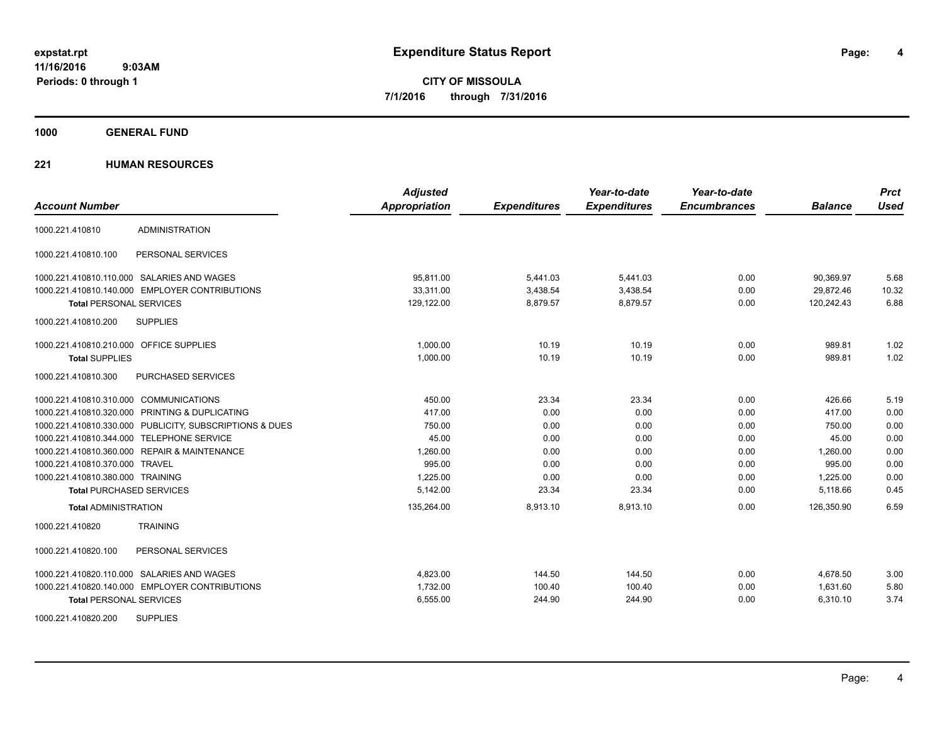**CITY OF MISSOULA 7/1/2016 through 7/31/2016**

**1000 GENERAL FUND**

## **221 HUMAN RESOURCES**

| <b>Account Number</b>                                   | <b>Adjusted</b><br><b>Appropriation</b> | <b>Expenditures</b> | Year-to-date<br><b>Expenditures</b> | Year-to-date<br><b>Encumbrances</b> | <b>Balance</b> | <b>Prct</b><br>Used |
|---------------------------------------------------------|-----------------------------------------|---------------------|-------------------------------------|-------------------------------------|----------------|---------------------|
|                                                         |                                         |                     |                                     |                                     |                |                     |
| <b>ADMINISTRATION</b><br>1000.221.410810                |                                         |                     |                                     |                                     |                |                     |
| PERSONAL SERVICES<br>1000.221.410810.100                |                                         |                     |                                     |                                     |                |                     |
| 1000.221.410810.110.000 SALARIES AND WAGES              | 95.811.00                               | 5,441.03            | 5,441.03                            | 0.00                                | 90,369.97      | 5.68                |
| 1000.221.410810.140.000 EMPLOYER CONTRIBUTIONS          | 33,311.00                               | 3,438.54            | 3,438.54                            | 0.00                                | 29,872.46      | 10.32               |
| <b>Total PERSONAL SERVICES</b>                          | 129,122.00                              | 8,879.57            | 8,879.57                            | 0.00                                | 120,242.43     | 6.88                |
| 1000.221.410810.200<br><b>SUPPLIES</b>                  |                                         |                     |                                     |                                     |                |                     |
| 1000.221.410810.210.000 OFFICE SUPPLIES                 | 1,000.00                                | 10.19               | 10.19                               | 0.00                                | 989.81         | 1.02                |
| <b>Total SUPPLIES</b>                                   | 1,000.00                                | 10.19               | 10.19                               | 0.00                                | 989.81         | 1.02                |
| 1000.221.410810.300<br><b>PURCHASED SERVICES</b>        |                                         |                     |                                     |                                     |                |                     |
| 1000.221.410810.310.000 COMMUNICATIONS                  | 450.00                                  | 23.34               | 23.34                               | 0.00                                | 426.66         | 5.19                |
| 1000.221.410810.320.000 PRINTING & DUPLICATING          | 417.00                                  | 0.00                | 0.00                                | 0.00                                | 417.00         | 0.00                |
| 1000.221.410810.330.000 PUBLICITY, SUBSCRIPTIONS & DUES | 750.00                                  | 0.00                | 0.00                                | 0.00                                | 750.00         | 0.00                |
| 1000.221.410810.344.000 TELEPHONE SERVICE               | 45.00                                   | 0.00                | 0.00                                | 0.00                                | 45.00          | 0.00                |
| 1000.221.410810.360.000 REPAIR & MAINTENANCE            | 1.260.00                                | 0.00                | 0.00                                | 0.00                                | 1.260.00       | 0.00                |
| 1000.221.410810.370.000 TRAVEL                          | 995.00                                  | 0.00                | 0.00                                | 0.00                                | 995.00         | 0.00                |
| 1000.221.410810.380.000 TRAINING                        | 1,225.00                                | 0.00                | 0.00                                | 0.00                                | 1,225.00       | 0.00                |
| <b>Total PURCHASED SERVICES</b>                         | 5,142.00                                | 23.34               | 23.34                               | 0.00                                | 5,118.66       | 0.45                |
| <b>Total ADMINISTRATION</b>                             | 135,264.00                              | 8,913.10            | 8,913.10                            | 0.00                                | 126,350.90     | 6.59                |
| <b>TRAINING</b><br>1000.221.410820                      |                                         |                     |                                     |                                     |                |                     |
| 1000.221.410820.100<br>PERSONAL SERVICES                |                                         |                     |                                     |                                     |                |                     |
| 1000.221.410820.110.000 SALARIES AND WAGES              | 4,823.00                                | 144.50              | 144.50                              | 0.00                                | 4,678.50       | 3.00                |
| 1000.221.410820.140.000 EMPLOYER CONTRIBUTIONS          | 1,732.00                                | 100.40              | 100.40                              | 0.00                                | 1,631.60       | 5.80                |
| <b>Total PERSONAL SERVICES</b>                          | 6,555.00                                | 244.90              | 244.90                              | 0.00                                | 6,310.10       | 3.74                |
| <b>SUPPLIES</b><br>1000.221.410820.200                  |                                         |                     |                                     |                                     |                |                     |

Page: 4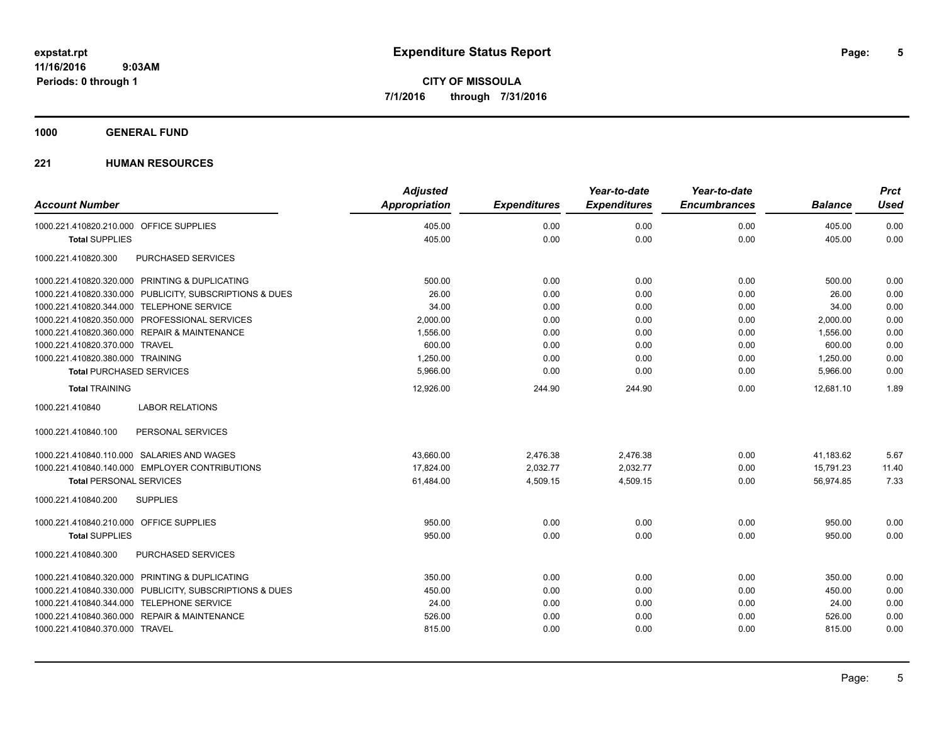## **1000 GENERAL FUND**

## **221 HUMAN RESOURCES**

|                                                         | <b>Adjusted</b>      |                     | Year-to-date        | Year-to-date        |                | <b>Prct</b> |
|---------------------------------------------------------|----------------------|---------------------|---------------------|---------------------|----------------|-------------|
| <b>Account Number</b>                                   | <b>Appropriation</b> | <b>Expenditures</b> | <b>Expenditures</b> | <b>Encumbrances</b> | <b>Balance</b> | <b>Used</b> |
| 1000.221.410820.210.000 OFFICE SUPPLIES                 | 405.00               | 0.00                | 0.00                | 0.00                | 405.00         | 0.00        |
| <b>Total SUPPLIES</b>                                   | 405.00               | 0.00                | 0.00                | 0.00                | 405.00         | 0.00        |
| PURCHASED SERVICES<br>1000.221.410820.300               |                      |                     |                     |                     |                |             |
| 1000.221.410820.320.000 PRINTING & DUPLICATING          | 500.00               | 0.00                | 0.00                | 0.00                | 500.00         | 0.00        |
| 1000.221.410820.330.000 PUBLICITY, SUBSCRIPTIONS & DUES | 26.00                | 0.00                | 0.00                | 0.00                | 26.00          | 0.00        |
| 1000.221.410820.344.000 TELEPHONE SERVICE               | 34.00                | 0.00                | 0.00                | 0.00                | 34.00          | 0.00        |
| 1000.221.410820.350.000 PROFESSIONAL SERVICES           | 2,000.00             | 0.00                | 0.00                | 0.00                | 2,000.00       | 0.00        |
| 1000.221.410820.360.000 REPAIR & MAINTENANCE            | 1,556.00             | 0.00                | 0.00                | 0.00                | 1,556.00       | 0.00        |
| 1000.221.410820.370.000 TRAVEL                          | 600.00               | 0.00                | 0.00                | 0.00                | 600.00         | 0.00        |
| 1000.221.410820.380.000 TRAINING                        | 1,250.00             | 0.00                | 0.00                | 0.00                | 1,250.00       | 0.00        |
| <b>Total PURCHASED SERVICES</b>                         | 5,966.00             | 0.00                | 0.00                | 0.00                | 5,966.00       | 0.00        |
| <b>Total TRAINING</b>                                   | 12,926.00            | 244.90              | 244.90              | 0.00                | 12.681.10      | 1.89        |
| 1000.221.410840<br><b>LABOR RELATIONS</b>               |                      |                     |                     |                     |                |             |
| 1000.221.410840.100<br>PERSONAL SERVICES                |                      |                     |                     |                     |                |             |
| 1000.221.410840.110.000 SALARIES AND WAGES              | 43,660.00            | 2,476.38            | 2,476.38            | 0.00                | 41,183.62      | 5.67        |
| 1000.221.410840.140.000 EMPLOYER CONTRIBUTIONS          | 17,824.00            | 2,032.77            | 2,032.77            | 0.00                | 15,791.23      | 11.40       |
| <b>Total PERSONAL SERVICES</b>                          | 61,484.00            | 4,509.15            | 4,509.15            | 0.00                | 56,974.85      | 7.33        |
| 1000.221.410840.200<br><b>SUPPLIES</b>                  |                      |                     |                     |                     |                |             |
| 1000.221.410840.210.000 OFFICE SUPPLIES                 | 950.00               | 0.00                | 0.00                | 0.00                | 950.00         | 0.00        |
| <b>Total SUPPLIES</b>                                   | 950.00               | 0.00                | 0.00                | 0.00                | 950.00         | 0.00        |
| 1000.221.410840.300<br>PURCHASED SERVICES               |                      |                     |                     |                     |                |             |
| 1000.221.410840.320.000 PRINTING & DUPLICATING          | 350.00               | 0.00                | 0.00                | 0.00                | 350.00         | 0.00        |
| 1000.221.410840.330.000 PUBLICITY, SUBSCRIPTIONS & DUES | 450.00               | 0.00                | 0.00                | 0.00                | 450.00         | 0.00        |
| 1000.221.410840.344.000 TELEPHONE SERVICE               | 24.00                | 0.00                | 0.00                | 0.00                | 24.00          | 0.00        |
| 1000.221.410840.360.000 REPAIR & MAINTENANCE            | 526.00               | 0.00                | 0.00                | 0.00                | 526.00         | 0.00        |
| 1000.221.410840.370.000 TRAVEL                          | 815.00               | 0.00                | 0.00                | 0.00                | 815.00         | 0.00        |
|                                                         |                      |                     |                     |                     |                |             |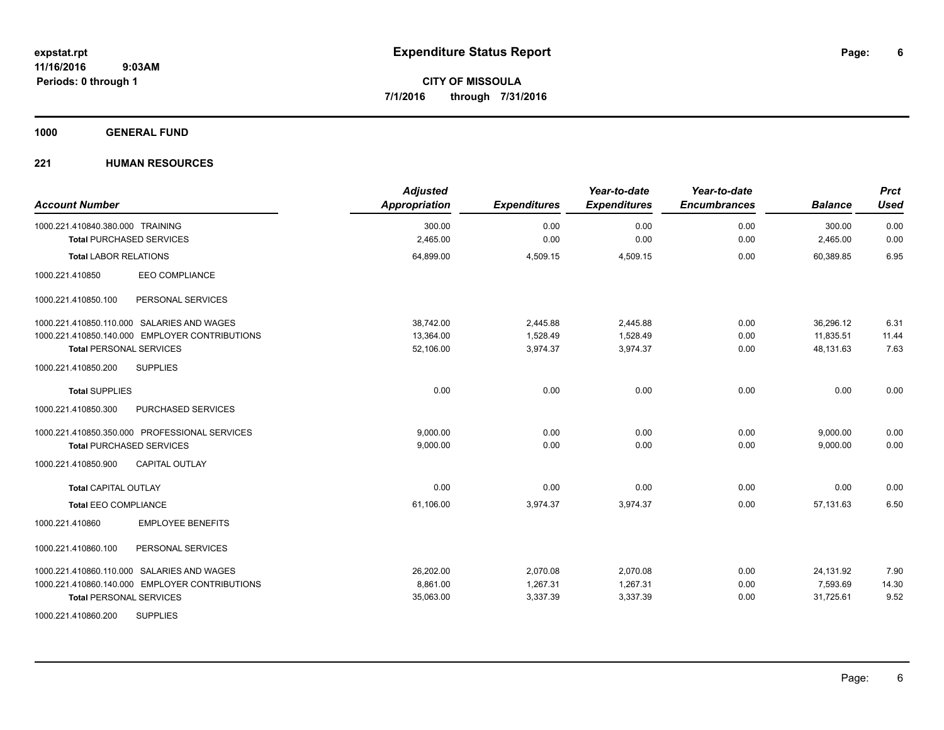**1000 GENERAL FUND**

## **221 HUMAN RESOURCES**

| <b>Account Number</b>                          | <b>Adjusted</b><br><b>Appropriation</b> | <b>Expenditures</b> | Year-to-date<br><b>Expenditures</b> | Year-to-date<br><b>Encumbrances</b> | <b>Balance</b> | <b>Prct</b><br><b>Used</b> |
|------------------------------------------------|-----------------------------------------|---------------------|-------------------------------------|-------------------------------------|----------------|----------------------------|
| 1000.221.410840.380.000 TRAINING               | 300.00                                  | 0.00                | 0.00                                | 0.00                                | 300.00         | 0.00                       |
| <b>Total PURCHASED SERVICES</b>                | 2,465.00                                | 0.00                | 0.00                                | 0.00                                | 2,465.00       | 0.00                       |
| <b>Total LABOR RELATIONS</b>                   | 64,899.00                               | 4,509.15            | 4,509.15                            | 0.00                                | 60.389.85      | 6.95                       |
| <b>EEO COMPLIANCE</b><br>1000.221.410850       |                                         |                     |                                     |                                     |                |                            |
| PERSONAL SERVICES<br>1000.221.410850.100       |                                         |                     |                                     |                                     |                |                            |
| 1000.221.410850.110.000 SALARIES AND WAGES     | 38,742.00                               | 2,445.88            | 2,445.88                            | 0.00                                | 36,296.12      | 6.31                       |
| 1000.221.410850.140.000 EMPLOYER CONTRIBUTIONS | 13,364.00                               | 1,528.49            | 1,528.49                            | 0.00                                | 11,835.51      | 11.44                      |
| <b>Total PERSONAL SERVICES</b>                 | 52,106.00                               | 3,974.37            | 3,974.37                            | 0.00                                | 48,131.63      | 7.63                       |
| <b>SUPPLIES</b><br>1000.221.410850.200         |                                         |                     |                                     |                                     |                |                            |
| <b>Total SUPPLIES</b>                          | 0.00                                    | 0.00                | 0.00                                | 0.00                                | 0.00           | 0.00                       |
| 1000.221.410850.300<br>PURCHASED SERVICES      |                                         |                     |                                     |                                     |                |                            |
| 1000.221.410850.350.000 PROFESSIONAL SERVICES  | 9,000.00                                | 0.00                | 0.00                                | 0.00                                | 9,000.00       | 0.00                       |
| <b>Total PURCHASED SERVICES</b>                | 9,000.00                                | 0.00                | 0.00                                | 0.00                                | 9,000.00       | 0.00                       |
| <b>CAPITAL OUTLAY</b><br>1000.221.410850.900   |                                         |                     |                                     |                                     |                |                            |
| <b>Total CAPITAL OUTLAY</b>                    | 0.00                                    | 0.00                | 0.00                                | 0.00                                | 0.00           | 0.00                       |
| <b>Total EEO COMPLIANCE</b>                    | 61,106.00                               | 3,974.37            | 3,974.37                            | 0.00                                | 57.131.63      | 6.50                       |
| <b>EMPLOYEE BENEFITS</b><br>1000.221.410860    |                                         |                     |                                     |                                     |                |                            |
| 1000.221.410860.100<br>PERSONAL SERVICES       |                                         |                     |                                     |                                     |                |                            |
| 1000.221.410860.110.000 SALARIES AND WAGES     | 26,202.00                               | 2,070.08            | 2,070.08                            | 0.00                                | 24,131.92      | 7.90                       |
| 1000.221.410860.140.000 EMPLOYER CONTRIBUTIONS | 8.861.00                                | 1,267.31            | 1,267.31                            | 0.00                                | 7,593.69       | 14.30                      |
| <b>Total PERSONAL SERVICES</b>                 | 35,063.00                               | 3,337.39            | 3,337.39                            | 0.00                                | 31,725.61      | 9.52                       |
| <b>SUPPLIES</b><br>1000.221.410860.200         |                                         |                     |                                     |                                     |                |                            |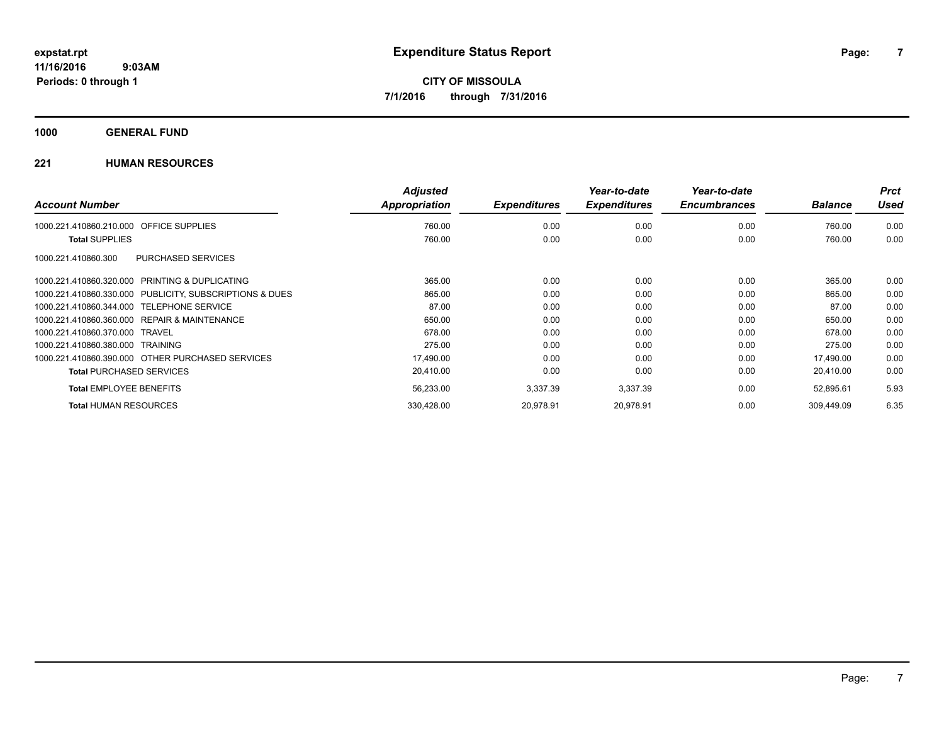**1000 GENERAL FUND**

## **221 HUMAN RESOURCES**

| <b>Account Number</b>            |                                                  | <b>Adjusted</b><br>Appropriation | <b>Expenditures</b> | Year-to-date<br><b>Expenditures</b> | Year-to-date<br><b>Encumbrances</b> | <b>Balance</b> | <b>Prct</b><br>Used |
|----------------------------------|--------------------------------------------------|----------------------------------|---------------------|-------------------------------------|-------------------------------------|----------------|---------------------|
|                                  |                                                  |                                  |                     |                                     |                                     |                |                     |
| 1000.221.410860.210.000          | <b>OFFICE SUPPLIES</b>                           | 760.00                           | 0.00                | 0.00                                | 0.00                                | 760.00         | 0.00                |
| <b>Total SUPPLIES</b>            |                                                  | 760.00                           | 0.00                | 0.00                                | 0.00                                | 760.00         | 0.00                |
| 1000.221.410860.300              | <b>PURCHASED SERVICES</b>                        |                                  |                     |                                     |                                     |                |                     |
| 1000.221.410860.320.000          | PRINTING & DUPLICATING                           | 365.00                           | 0.00                | 0.00                                | 0.00                                | 365.00         | 0.00                |
| 1000.221.410860.330.000          | PUBLICITY, SUBSCRIPTIONS & DUES                  | 865.00                           | 0.00                | 0.00                                | 0.00                                | 865.00         | 0.00                |
| 1000.221.410860.344.000          | <b>TELEPHONE SERVICE</b>                         | 87.00                            | 0.00                | 0.00                                | 0.00                                | 87.00          | 0.00                |
| 1000.221.410860.360.000          | <b>REPAIR &amp; MAINTENANCE</b>                  | 650.00                           | 0.00                | 0.00                                | 0.00                                | 650.00         | 0.00                |
| 1000.221.410860.370.000          | TRAVEL                                           | 678.00                           | 0.00                | 0.00                                | 0.00                                | 678.00         | 0.00                |
| 1000.221.410860.380.000 TRAINING |                                                  | 275.00                           | 0.00                | 0.00                                | 0.00                                | 275.00         | 0.00                |
|                                  | 1000.221.410860.390.000 OTHER PURCHASED SERVICES | 17,490.00                        | 0.00                | 0.00                                | 0.00                                | 17,490.00      | 0.00                |
| <b>Total PURCHASED SERVICES</b>  |                                                  | 20,410.00                        | 0.00                | 0.00                                | 0.00                                | 20,410.00      | 0.00                |
| <b>Total EMPLOYEE BENEFITS</b>   |                                                  | 56,233.00                        | 3,337.39            | 3,337.39                            | 0.00                                | 52,895.61      | 5.93                |
| <b>Total HUMAN RESOURCES</b>     |                                                  | 330,428.00                       | 20,978.91           | 20,978.91                           | 0.00                                | 309.449.09     | 6.35                |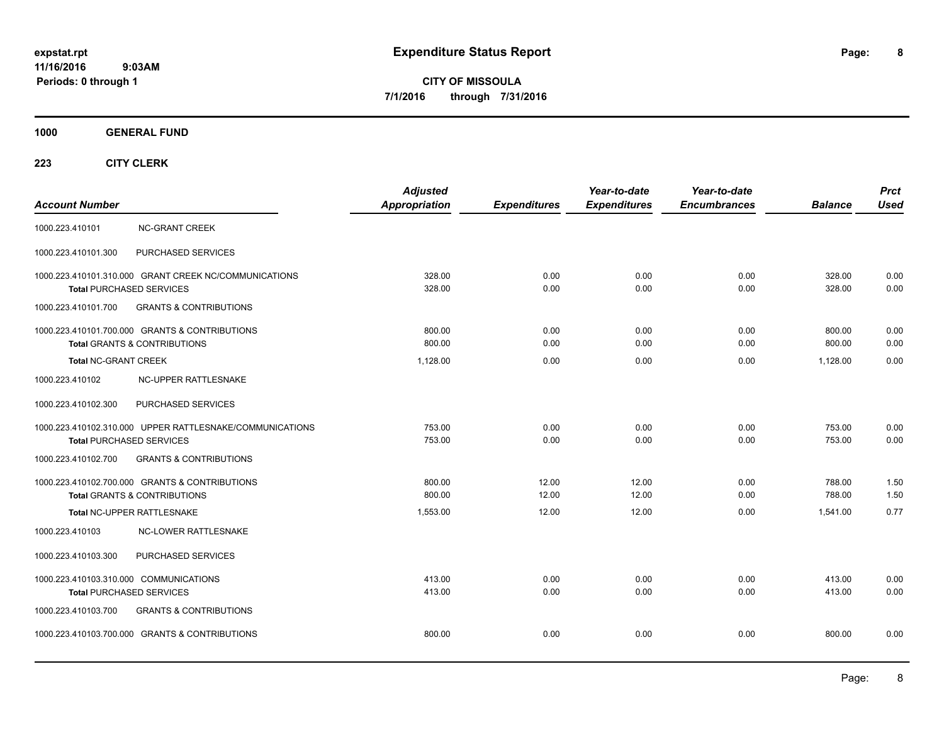**CITY OF MISSOULA 7/1/2016 through 7/31/2016**

**1000 GENERAL FUND**

| <b>Account Number</b>                                                                       | <b>Adjusted</b><br><b>Appropriation</b> | <b>Expenditures</b> | Year-to-date<br><b>Expenditures</b> | Year-to-date<br><b>Encumbrances</b> | <b>Balance</b>   | <b>Prct</b><br><b>Used</b> |
|---------------------------------------------------------------------------------------------|-----------------------------------------|---------------------|-------------------------------------|-------------------------------------|------------------|----------------------------|
| 1000.223.410101<br><b>NC-GRANT CREEK</b>                                                    |                                         |                     |                                     |                                     |                  |                            |
| 1000.223.410101.300<br>PURCHASED SERVICES                                                   |                                         |                     |                                     |                                     |                  |                            |
| 1000.223.410101.310.000 GRANT CREEK NC/COMMUNICATIONS<br><b>Total PURCHASED SERVICES</b>    | 328.00<br>328.00                        | 0.00<br>0.00        | 0.00<br>0.00                        | 0.00<br>0.00                        | 328.00<br>328.00 | 0.00<br>0.00               |
| 1000.223.410101.700<br><b>GRANTS &amp; CONTRIBUTIONS</b>                                    |                                         |                     |                                     |                                     |                  |                            |
| 1000.223.410101.700.000 GRANTS & CONTRIBUTIONS<br><b>Total GRANTS &amp; CONTRIBUTIONS</b>   | 800.00<br>800.00                        | 0.00<br>0.00        | 0.00<br>0.00                        | 0.00<br>0.00                        | 800.00<br>800.00 | 0.00<br>0.00               |
| <b>Total NC-GRANT CREEK</b>                                                                 | 1.128.00                                | 0.00                | 0.00                                | 0.00                                | 1,128.00         | 0.00                       |
| NC-UPPER RATTLESNAKE<br>1000.223.410102                                                     |                                         |                     |                                     |                                     |                  |                            |
| PURCHASED SERVICES<br>1000.223.410102.300                                                   |                                         |                     |                                     |                                     |                  |                            |
| 1000.223.410102.310.000 UPPER RATTLESNAKE/COMMUNICATIONS<br><b>Total PURCHASED SERVICES</b> | 753.00<br>753.00                        | 0.00<br>0.00        | 0.00<br>0.00                        | 0.00<br>0.00                        | 753.00<br>753.00 | 0.00<br>0.00               |
| <b>GRANTS &amp; CONTRIBUTIONS</b><br>1000.223.410102.700                                    |                                         |                     |                                     |                                     |                  |                            |
| 1000.223.410102.700.000 GRANTS & CONTRIBUTIONS<br><b>Total GRANTS &amp; CONTRIBUTIONS</b>   | 800.00<br>800.00                        | 12.00<br>12.00      | 12.00<br>12.00                      | 0.00<br>0.00                        | 788.00<br>788.00 | 1.50<br>1.50               |
| Total NC-UPPER RATTLESNAKE                                                                  | 1,553.00                                | 12.00               | 12.00                               | 0.00                                | 1,541.00         | 0.77                       |
| 1000.223.410103<br><b>NC-LOWER RATTLESNAKE</b>                                              |                                         |                     |                                     |                                     |                  |                            |
| PURCHASED SERVICES<br>1000.223.410103.300                                                   |                                         |                     |                                     |                                     |                  |                            |
| 1000.223.410103.310.000 COMMUNICATIONS<br><b>Total PURCHASED SERVICES</b>                   | 413.00<br>413.00                        | 0.00<br>0.00        | 0.00<br>0.00                        | 0.00<br>0.00                        | 413.00<br>413.00 | 0.00<br>0.00               |
| <b>GRANTS &amp; CONTRIBUTIONS</b><br>1000.223.410103.700                                    |                                         |                     |                                     |                                     |                  |                            |
| 1000.223.410103.700.000 GRANTS & CONTRIBUTIONS                                              | 800.00                                  | 0.00                | 0.00                                | 0.00                                | 800.00           | 0.00                       |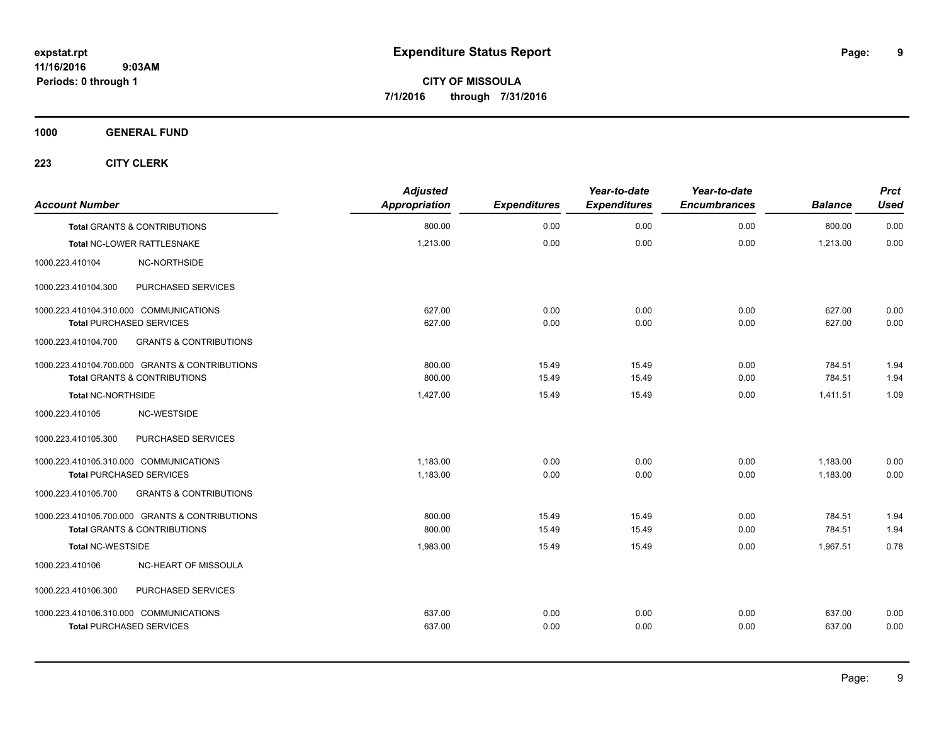**1000 GENERAL FUND**

| <b>Account Number</b>                  |                                                | <b>Adjusted</b><br><b>Appropriation</b> | <b>Expenditures</b> | Year-to-date<br><b>Expenditures</b> | Year-to-date<br><b>Encumbrances</b> | <b>Balance</b> | <b>Prct</b><br><b>Used</b> |
|----------------------------------------|------------------------------------------------|-----------------------------------------|---------------------|-------------------------------------|-------------------------------------|----------------|----------------------------|
|                                        | <b>Total GRANTS &amp; CONTRIBUTIONS</b>        | 800.00                                  | 0.00                | 0.00                                | 0.00                                | 800.00         | 0.00                       |
|                                        | Total NC-LOWER RATTLESNAKE                     | 1,213.00                                | 0.00                | 0.00                                | 0.00                                | 1,213.00       | 0.00                       |
| 1000.223.410104                        | <b>NC-NORTHSIDE</b>                            |                                         |                     |                                     |                                     |                |                            |
| 1000.223.410104.300                    | PURCHASED SERVICES                             |                                         |                     |                                     |                                     |                |                            |
| 1000.223.410104.310.000 COMMUNICATIONS |                                                | 627.00                                  | 0.00                | 0.00                                | 0.00                                | 627.00         | 0.00                       |
| <b>Total PURCHASED SERVICES</b>        |                                                | 627.00                                  | 0.00                | 0.00                                | 0.00                                | 627.00         | 0.00                       |
| 1000.223.410104.700                    | <b>GRANTS &amp; CONTRIBUTIONS</b>              |                                         |                     |                                     |                                     |                |                            |
|                                        | 1000.223.410104.700.000 GRANTS & CONTRIBUTIONS | 800.00                                  | 15.49               | 15.49                               | 0.00                                | 784.51         | 1.94                       |
|                                        | <b>Total GRANTS &amp; CONTRIBUTIONS</b>        | 800.00                                  | 15.49               | 15.49                               | 0.00                                | 784.51         | 1.94                       |
| <b>Total NC-NORTHSIDE</b>              |                                                | 1,427.00                                | 15.49               | 15.49                               | 0.00                                | 1,411.51       | 1.09                       |
| 1000.223.410105                        | NC-WESTSIDE                                    |                                         |                     |                                     |                                     |                |                            |
| 1000.223.410105.300                    | PURCHASED SERVICES                             |                                         |                     |                                     |                                     |                |                            |
| 1000.223.410105.310.000 COMMUNICATIONS |                                                | 1,183.00                                | 0.00                | 0.00                                | 0.00                                | 1,183.00       | 0.00                       |
| <b>Total PURCHASED SERVICES</b>        |                                                | 1,183.00                                | 0.00                | 0.00                                | 0.00                                | 1,183.00       | 0.00                       |
| 1000.223.410105.700                    | <b>GRANTS &amp; CONTRIBUTIONS</b>              |                                         |                     |                                     |                                     |                |                            |
|                                        | 1000.223.410105.700.000 GRANTS & CONTRIBUTIONS | 800.00                                  | 15.49               | 15.49                               | 0.00                                | 784.51         | 1.94                       |
|                                        | Total GRANTS & CONTRIBUTIONS                   | 800.00                                  | 15.49               | 15.49                               | 0.00                                | 784.51         | 1.94                       |
| <b>Total NC-WESTSIDE</b>               |                                                | 1,983.00                                | 15.49               | 15.49                               | 0.00                                | 1,967.51       | 0.78                       |
| 1000.223.410106                        | NC-HEART OF MISSOULA                           |                                         |                     |                                     |                                     |                |                            |
| 1000.223.410106.300                    | PURCHASED SERVICES                             |                                         |                     |                                     |                                     |                |                            |
| 1000.223.410106.310.000 COMMUNICATIONS |                                                | 637.00                                  | 0.00                | 0.00                                | 0.00                                | 637.00         | 0.00                       |
| <b>Total PURCHASED SERVICES</b>        |                                                | 637.00                                  | 0.00                | 0.00                                | 0.00                                | 637.00         | 0.00                       |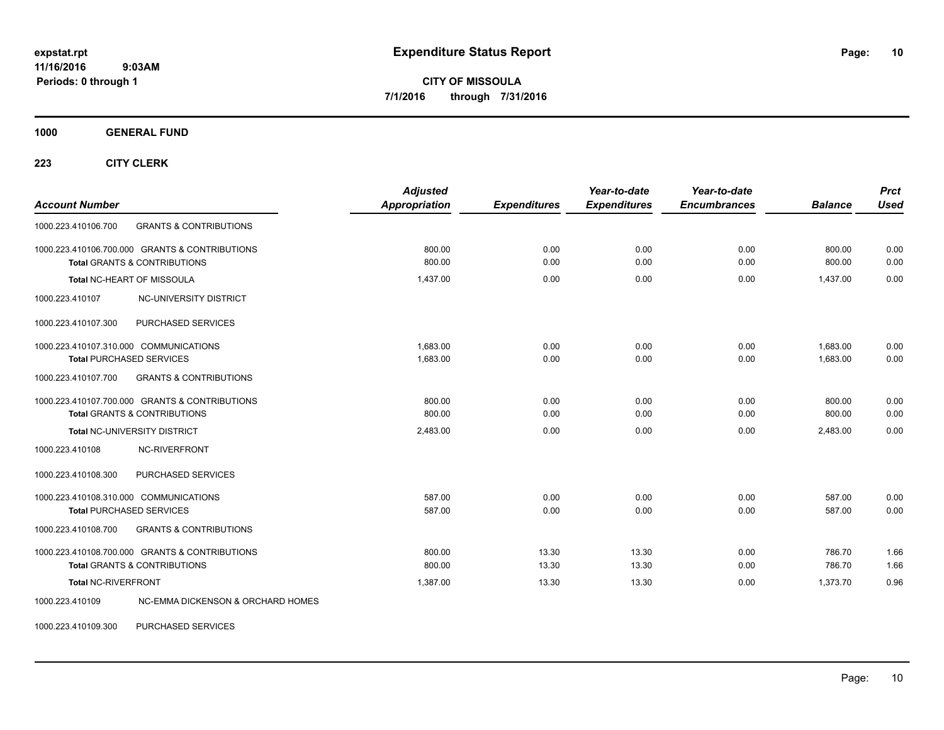**CITY OF MISSOULA 7/1/2016 through 7/31/2016**

**1000 GENERAL FUND**

**223 CITY CLERK**

| <b>Account Number</b>                                                                     | <b>Adjusted</b><br><b>Appropriation</b> | <b>Expenditures</b> | Year-to-date<br><b>Expenditures</b> | Year-to-date<br><b>Encumbrances</b> | <b>Balance</b>       | <b>Prct</b><br><b>Used</b> |
|-------------------------------------------------------------------------------------------|-----------------------------------------|---------------------|-------------------------------------|-------------------------------------|----------------------|----------------------------|
| 1000.223.410106.700<br><b>GRANTS &amp; CONTRIBUTIONS</b>                                  |                                         |                     |                                     |                                     |                      |                            |
| 1000.223.410106.700.000 GRANTS & CONTRIBUTIONS<br><b>Total GRANTS &amp; CONTRIBUTIONS</b> | 800.00<br>800.00                        | 0.00<br>0.00        | 0.00<br>0.00                        | 0.00<br>0.00                        | 800.00<br>800.00     | 0.00<br>0.00               |
| Total NC-HEART OF MISSOULA                                                                | 1,437.00                                | 0.00                | 0.00                                | 0.00                                | 1,437.00             | 0.00                       |
| 1000.223.410107<br>NC-UNIVERSITY DISTRICT                                                 |                                         |                     |                                     |                                     |                      |                            |
| PURCHASED SERVICES<br>1000.223.410107.300                                                 |                                         |                     |                                     |                                     |                      |                            |
| 1000.223.410107.310.000 COMMUNICATIONS<br><b>Total PURCHASED SERVICES</b>                 | 1.683.00<br>1,683.00                    | 0.00<br>0.00        | 0.00<br>0.00                        | 0.00<br>0.00                        | 1,683.00<br>1.683.00 | 0.00<br>0.00               |
| 1000.223.410107.700<br><b>GRANTS &amp; CONTRIBUTIONS</b>                                  |                                         |                     |                                     |                                     |                      |                            |
| 1000.223.410107.700.000 GRANTS & CONTRIBUTIONS<br><b>Total GRANTS &amp; CONTRIBUTIONS</b> | 800.00<br>800.00                        | 0.00<br>0.00        | 0.00<br>0.00                        | 0.00<br>0.00                        | 800.00<br>800.00     | 0.00<br>0.00               |
| Total NC-UNIVERSITY DISTRICT                                                              | 2,483.00                                | 0.00                | 0.00                                | 0.00                                | 2,483.00             | 0.00                       |
| NC-RIVERFRONT<br>1000.223.410108                                                          |                                         |                     |                                     |                                     |                      |                            |
| 1000.223.410108.300<br>PURCHASED SERVICES                                                 |                                         |                     |                                     |                                     |                      |                            |
| 1000.223.410108.310.000 COMMUNICATIONS<br><b>Total PURCHASED SERVICES</b>                 | 587.00<br>587.00                        | 0.00<br>0.00        | 0.00<br>0.00                        | 0.00<br>0.00                        | 587.00<br>587.00     | 0.00<br>0.00               |
| <b>GRANTS &amp; CONTRIBUTIONS</b><br>1000.223.410108.700                                  |                                         |                     |                                     |                                     |                      |                            |
| 1000.223.410108.700.000 GRANTS & CONTRIBUTIONS<br><b>Total GRANTS &amp; CONTRIBUTIONS</b> | 800.00<br>800.00                        | 13.30<br>13.30      | 13.30<br>13.30                      | 0.00<br>0.00                        | 786.70<br>786.70     | 1.66<br>1.66               |
| <b>Total NC-RIVERFRONT</b>                                                                | 1,387.00                                | 13.30               | 13.30                               | 0.00                                | 1,373.70             | 0.96                       |
| 1000.223.410109<br>NC-EMMA DICKENSON & ORCHARD HOMES                                      |                                         |                     |                                     |                                     |                      |                            |

1000.223.410109.300 PURCHASED SERVICES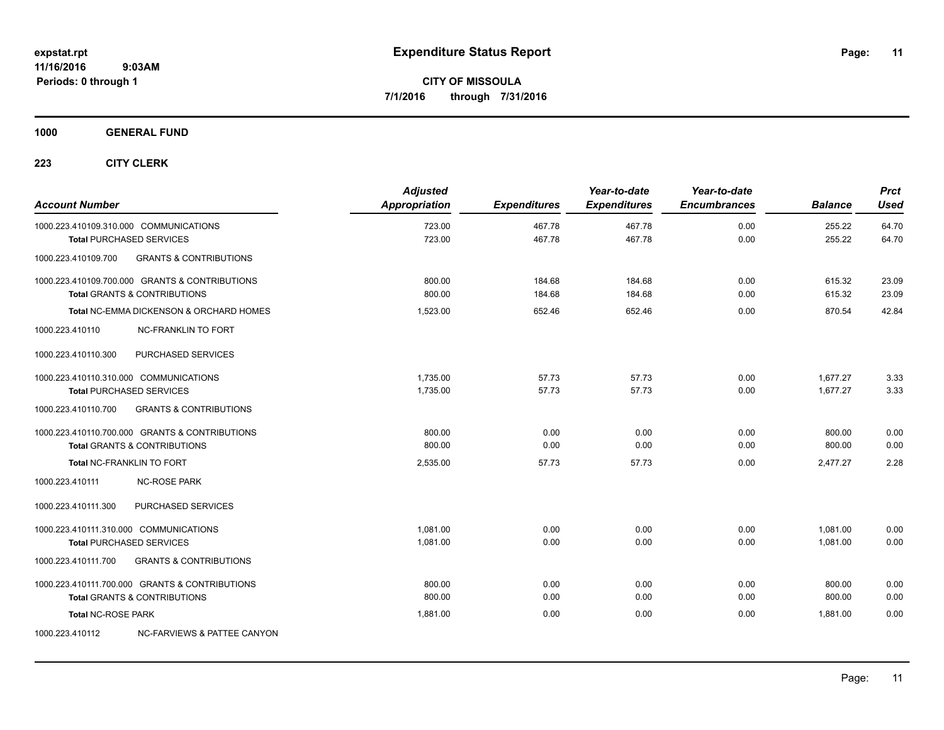**1000 GENERAL FUND**

| <b>Account Number</b>     |                                                | <b>Adjusted</b><br>Appropriation | <b>Expenditures</b> | Year-to-date<br><b>Expenditures</b> | Year-to-date<br><b>Encumbrances</b> | <b>Balance</b>   | <b>Prct</b><br>Used |
|---------------------------|------------------------------------------------|----------------------------------|---------------------|-------------------------------------|-------------------------------------|------------------|---------------------|
|                           | 1000.223.410109.310.000 COMMUNICATIONS         | 723.00<br>723.00                 | 467.78<br>467.78    | 467.78<br>467.78                    | 0.00<br>0.00                        | 255.22<br>255.22 | 64.70<br>64.70      |
|                           | <b>Total PURCHASED SERVICES</b>                |                                  |                     |                                     |                                     |                  |                     |
| 1000.223.410109.700       | <b>GRANTS &amp; CONTRIBUTIONS</b>              |                                  |                     |                                     |                                     |                  |                     |
|                           | 1000.223.410109.700.000 GRANTS & CONTRIBUTIONS | 800.00                           | 184.68              | 184.68                              | 0.00                                | 615.32           | 23.09               |
|                           | <b>Total GRANTS &amp; CONTRIBUTIONS</b>        | 800.00                           | 184.68              | 184.68                              | 0.00                                | 615.32           | 23.09               |
|                           | Total NC-EMMA DICKENSON & ORCHARD HOMES        | 1.523.00                         | 652.46              | 652.46                              | 0.00                                | 870.54           | 42.84               |
| 1000.223.410110           | NC-FRANKLIN TO FORT                            |                                  |                     |                                     |                                     |                  |                     |
| 1000.223.410110.300       | PURCHASED SERVICES                             |                                  |                     |                                     |                                     |                  |                     |
|                           | 1000.223.410110.310.000 COMMUNICATIONS         | 1.735.00                         | 57.73               | 57.73                               | 0.00                                | 1.677.27         | 3.33                |
|                           | <b>Total PURCHASED SERVICES</b>                | 1,735.00                         | 57.73               | 57.73                               | 0.00                                | 1,677.27         | 3.33                |
| 1000.223.410110.700       | <b>GRANTS &amp; CONTRIBUTIONS</b>              |                                  |                     |                                     |                                     |                  |                     |
|                           | 1000.223.410110.700.000 GRANTS & CONTRIBUTIONS | 800.00                           | 0.00                | 0.00                                | 0.00                                | 800.00           | 0.00                |
|                           | <b>Total GRANTS &amp; CONTRIBUTIONS</b>        | 800.00                           | 0.00                | 0.00                                | 0.00                                | 800.00           | 0.00                |
|                           | Total NC-FRANKLIN TO FORT                      | 2,535.00                         | 57.73               | 57.73                               | 0.00                                | 2,477.27         | 2.28                |
| 1000.223.410111           | <b>NC-ROSE PARK</b>                            |                                  |                     |                                     |                                     |                  |                     |
| 1000.223.410111.300       | PURCHASED SERVICES                             |                                  |                     |                                     |                                     |                  |                     |
|                           | 1000.223.410111.310.000 COMMUNICATIONS         | 1,081.00                         | 0.00                | 0.00                                | 0.00                                | 1,081.00         | 0.00                |
|                           | <b>Total PURCHASED SERVICES</b>                | 1,081.00                         | 0.00                | 0.00                                | 0.00                                | 1,081.00         | 0.00                |
| 1000.223.410111.700       | <b>GRANTS &amp; CONTRIBUTIONS</b>              |                                  |                     |                                     |                                     |                  |                     |
|                           | 1000.223.410111.700.000 GRANTS & CONTRIBUTIONS | 800.00                           | 0.00                | 0.00                                | 0.00                                | 800.00           | 0.00                |
|                           | <b>Total GRANTS &amp; CONTRIBUTIONS</b>        | 800.00                           | 0.00                | 0.00                                | 0.00                                | 800.00           | 0.00                |
| <b>Total NC-ROSE PARK</b> |                                                | 1,881.00                         | 0.00                | 0.00                                | 0.00                                | 1.881.00         | 0.00                |
| 1000.223.410112           | NC-FARVIEWS & PATTEE CANYON                    |                                  |                     |                                     |                                     |                  |                     |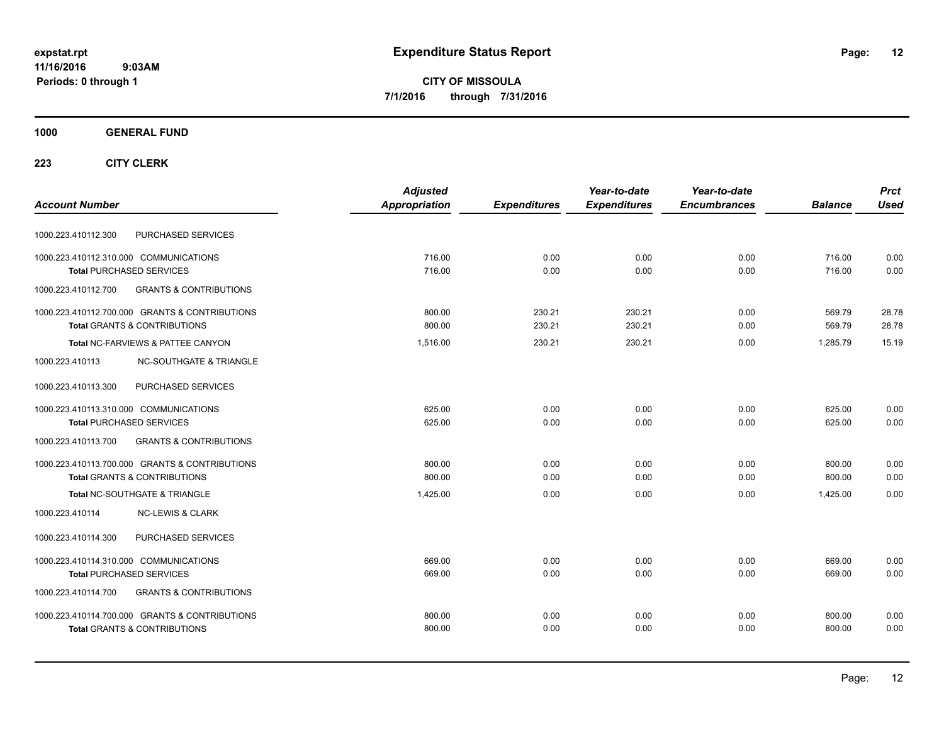**CITY OF MISSOULA 7/1/2016 through 7/31/2016**

## **1000 GENERAL FUND**

|                                                          | <b>Adjusted</b> |                     | Year-to-date        | Year-to-date        |                | <b>Prct</b> |
|----------------------------------------------------------|-----------------|---------------------|---------------------|---------------------|----------------|-------------|
| <b>Account Number</b>                                    | Appropriation   | <b>Expenditures</b> | <b>Expenditures</b> | <b>Encumbrances</b> | <b>Balance</b> | <b>Used</b> |
| PURCHASED SERVICES<br>1000.223.410112.300                |                 |                     |                     |                     |                |             |
| 1000.223.410112.310.000 COMMUNICATIONS                   | 716.00          | 0.00                | 0.00                | 0.00                | 716.00         | 0.00        |
| <b>Total PURCHASED SERVICES</b>                          | 716.00          | 0.00                | 0.00                | 0.00                | 716.00         | 0.00        |
| 1000.223.410112.700<br><b>GRANTS &amp; CONTRIBUTIONS</b> |                 |                     |                     |                     |                |             |
| 1000.223.410112.700.000 GRANTS & CONTRIBUTIONS           | 800.00          | 230.21              | 230.21              | 0.00                | 569.79         | 28.78       |
| <b>Total GRANTS &amp; CONTRIBUTIONS</b>                  | 800.00          | 230.21              | 230.21              | 0.00                | 569.79         | 28.78       |
| Total NC-FARVIEWS & PATTEE CANYON                        | 1,516.00        | 230.21              | 230.21              | 0.00                | 1.285.79       | 15.19       |
| <b>NC-SOUTHGATE &amp; TRIANGLE</b><br>1000.223.410113    |                 |                     |                     |                     |                |             |
| 1000.223.410113.300<br>PURCHASED SERVICES                |                 |                     |                     |                     |                |             |
| 1000.223.410113.310.000 COMMUNICATIONS                   | 625.00          | 0.00                | 0.00                | 0.00                | 625.00         | 0.00        |
| <b>Total PURCHASED SERVICES</b>                          | 625.00          | 0.00                | 0.00                | 0.00                | 625.00         | 0.00        |
| 1000.223.410113.700<br><b>GRANTS &amp; CONTRIBUTIONS</b> |                 |                     |                     |                     |                |             |
| 1000.223.410113.700.000 GRANTS & CONTRIBUTIONS           | 800.00          | 0.00                | 0.00                | 0.00                | 800.00         | 0.00        |
| <b>Total GRANTS &amp; CONTRIBUTIONS</b>                  | 800.00          | 0.00                | 0.00                | 0.00                | 800.00         | 0.00        |
| Total NC-SOUTHGATE & TRIANGLE                            | 1,425.00        | 0.00                | 0.00                | 0.00                | 1.425.00       | 0.00        |
| 1000.223.410114<br><b>NC-LEWIS &amp; CLARK</b>           |                 |                     |                     |                     |                |             |
| PURCHASED SERVICES<br>1000.223.410114.300                |                 |                     |                     |                     |                |             |
| 1000.223.410114.310.000 COMMUNICATIONS                   | 669.00          | 0.00                | 0.00                | 0.00                | 669.00         | 0.00        |
| <b>Total PURCHASED SERVICES</b>                          | 669.00          | 0.00                | 0.00                | 0.00                | 669.00         | 0.00        |
| <b>GRANTS &amp; CONTRIBUTIONS</b><br>1000.223.410114.700 |                 |                     |                     |                     |                |             |
| 1000.223.410114.700.000 GRANTS & CONTRIBUTIONS           | 800.00          | 0.00                | 0.00                | 0.00                | 800.00         | 0.00        |
| <b>Total GRANTS &amp; CONTRIBUTIONS</b>                  | 800.00          | 0.00                | 0.00                | 0.00                | 800.00         | 0.00        |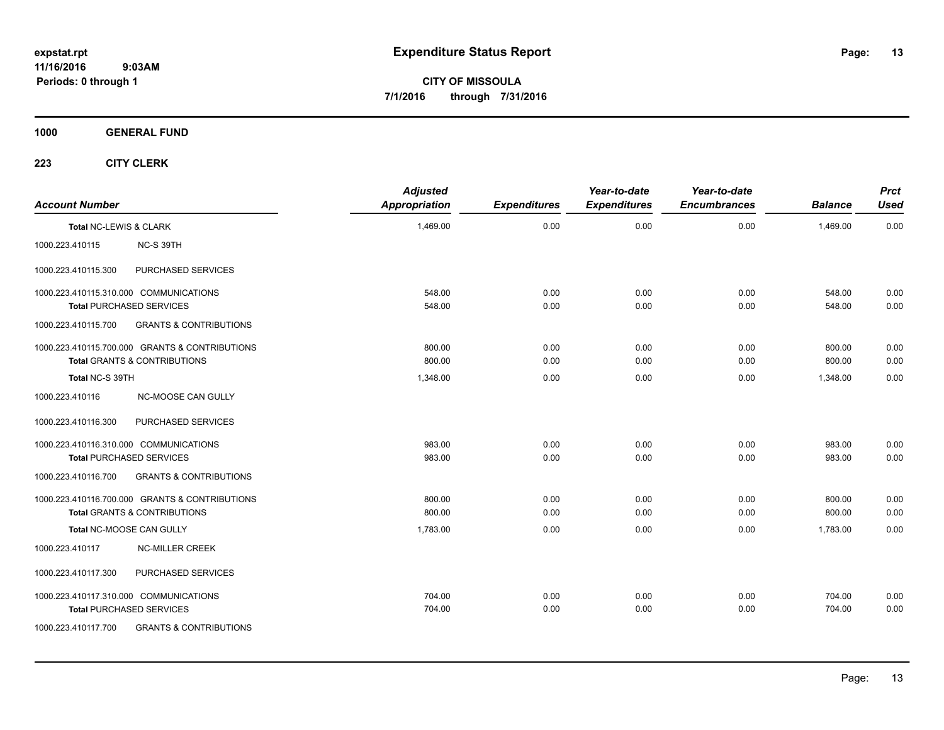**CITY OF MISSOULA 7/1/2016 through 7/31/2016**

**1000 GENERAL FUND**

| <b>Account Number</b>  |                                                | <b>Adjusted</b><br><b>Appropriation</b> | <b>Expenditures</b> | Year-to-date<br><b>Expenditures</b> | Year-to-date<br><b>Encumbrances</b> | <b>Balance</b> | Prct<br><b>Used</b> |
|------------------------|------------------------------------------------|-----------------------------------------|---------------------|-------------------------------------|-------------------------------------|----------------|---------------------|
| Total NC-LEWIS & CLARK |                                                | 1,469.00                                | 0.00                | 0.00                                | 0.00                                | 1,469.00       | 0.00                |
| 1000.223.410115        | NC-S 39TH                                      |                                         |                     |                                     |                                     |                |                     |
| 1000.223.410115.300    | PURCHASED SERVICES                             |                                         |                     |                                     |                                     |                |                     |
|                        | 1000.223.410115.310.000 COMMUNICATIONS         | 548.00                                  | 0.00                | 0.00                                | 0.00                                | 548.00         | 0.00                |
|                        | <b>Total PURCHASED SERVICES</b>                | 548.00                                  | 0.00                | 0.00                                | 0.00                                | 548.00         | 0.00                |
| 1000.223.410115.700    | <b>GRANTS &amp; CONTRIBUTIONS</b>              |                                         |                     |                                     |                                     |                |                     |
|                        | 1000.223.410115.700.000 GRANTS & CONTRIBUTIONS | 800.00                                  | 0.00                | 0.00                                | 0.00                                | 800.00         | 0.00                |
|                        | <b>Total GRANTS &amp; CONTRIBUTIONS</b>        | 800.00                                  | 0.00                | 0.00                                | 0.00                                | 800.00         | 0.00                |
| Total NC-S 39TH        |                                                | 1,348.00                                | 0.00                | 0.00                                | 0.00                                | 1,348.00       | 0.00                |
| 1000.223.410116        | NC-MOOSE CAN GULLY                             |                                         |                     |                                     |                                     |                |                     |
| 1000.223.410116.300    | PURCHASED SERVICES                             |                                         |                     |                                     |                                     |                |                     |
|                        | 1000.223.410116.310.000 COMMUNICATIONS         | 983.00                                  | 0.00                | 0.00                                | 0.00                                | 983.00         | 0.00                |
|                        | <b>Total PURCHASED SERVICES</b>                | 983.00                                  | 0.00                | 0.00                                | 0.00                                | 983.00         | 0.00                |
| 1000.223.410116.700    | <b>GRANTS &amp; CONTRIBUTIONS</b>              |                                         |                     |                                     |                                     |                |                     |
|                        | 1000.223.410116.700.000 GRANTS & CONTRIBUTIONS | 800.00                                  | 0.00                | 0.00                                | 0.00                                | 800.00         | 0.00                |
|                        | <b>Total GRANTS &amp; CONTRIBUTIONS</b>        | 800.00                                  | 0.00                | 0.00                                | 0.00                                | 800.00         | 0.00                |
|                        | Total NC-MOOSE CAN GULLY                       | 1,783.00                                | 0.00                | 0.00                                | 0.00                                | 1,783.00       | 0.00                |
| 1000.223.410117        | <b>NC-MILLER CREEK</b>                         |                                         |                     |                                     |                                     |                |                     |
| 1000.223.410117.300    | PURCHASED SERVICES                             |                                         |                     |                                     |                                     |                |                     |
|                        | 1000.223.410117.310.000 COMMUNICATIONS         | 704.00                                  | 0.00                | 0.00                                | 0.00                                | 704.00         | 0.00                |
|                        | <b>Total PURCHASED SERVICES</b>                | 704.00                                  | 0.00                | 0.00                                | 0.00                                | 704.00         | 0.00                |
| 1000.223.410117.700    | <b>GRANTS &amp; CONTRIBUTIONS</b>              |                                         |                     |                                     |                                     |                |                     |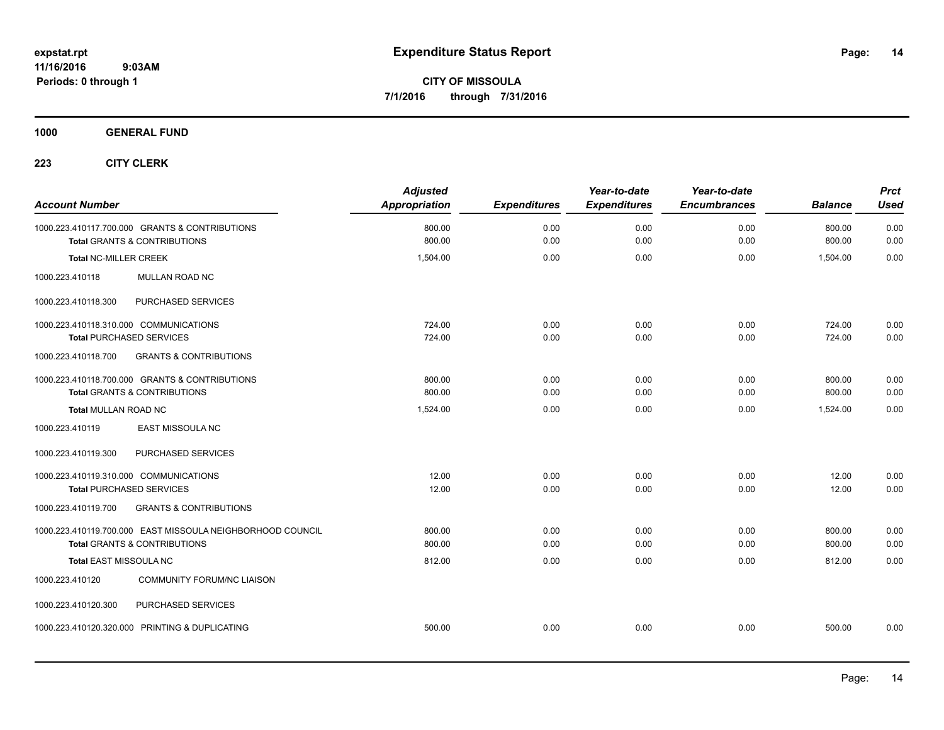**CITY OF MISSOULA 7/1/2016 through 7/31/2016**

**1000 GENERAL FUND**

| <b>Account Number</b>                                                                     | <b>Adjusted</b><br>Appropriation | <b>Expenditures</b> | Year-to-date<br><b>Expenditures</b> | Year-to-date<br><b>Encumbrances</b> | <b>Balance</b>   | <b>Prct</b><br><b>Used</b> |
|-------------------------------------------------------------------------------------------|----------------------------------|---------------------|-------------------------------------|-------------------------------------|------------------|----------------------------|
| 1000.223.410117.700.000 GRANTS & CONTRIBUTIONS<br><b>Total GRANTS &amp; CONTRIBUTIONS</b> | 800.00<br>800.00                 | 0.00<br>0.00        | 0.00<br>0.00                        | 0.00<br>0.00                        | 800.00<br>800.00 | 0.00<br>0.00               |
|                                                                                           |                                  |                     |                                     |                                     |                  |                            |
| <b>Total NC-MILLER CREEK</b>                                                              | 1,504.00                         | 0.00                | 0.00                                | 0.00                                | 1,504.00         | 0.00                       |
| <b>MULLAN ROAD NC</b><br>1000.223.410118                                                  |                                  |                     |                                     |                                     |                  |                            |
| PURCHASED SERVICES<br>1000.223.410118.300                                                 |                                  |                     |                                     |                                     |                  |                            |
| 1000.223.410118.310.000 COMMUNICATIONS                                                    | 724.00                           | 0.00                | 0.00                                | 0.00                                | 724.00           | 0.00                       |
| <b>Total PURCHASED SERVICES</b>                                                           | 724.00                           | 0.00                | 0.00                                | 0.00                                | 724.00           | 0.00                       |
| <b>GRANTS &amp; CONTRIBUTIONS</b><br>1000.223.410118.700                                  |                                  |                     |                                     |                                     |                  |                            |
| 1000.223.410118.700.000 GRANTS & CONTRIBUTIONS                                            | 800.00                           | 0.00                | 0.00                                | 0.00                                | 800.00           | 0.00                       |
| <b>Total GRANTS &amp; CONTRIBUTIONS</b>                                                   | 800.00                           | 0.00                | 0.00                                | 0.00                                | 800.00           | 0.00                       |
| Total MULLAN ROAD NC                                                                      | 1,524.00                         | 0.00                | 0.00                                | 0.00                                | 1.524.00         | 0.00                       |
| EAST MISSOULA NC<br>1000.223.410119                                                       |                                  |                     |                                     |                                     |                  |                            |
| 1000.223.410119.300<br>PURCHASED SERVICES                                                 |                                  |                     |                                     |                                     |                  |                            |
| 1000.223.410119.310.000 COMMUNICATIONS                                                    | 12.00                            | 0.00                | 0.00                                | 0.00                                | 12.00            | 0.00                       |
| <b>Total PURCHASED SERVICES</b>                                                           | 12.00                            | 0.00                | 0.00                                | 0.00                                | 12.00            | 0.00                       |
| <b>GRANTS &amp; CONTRIBUTIONS</b><br>1000.223.410119.700                                  |                                  |                     |                                     |                                     |                  |                            |
| 1000.223.410119.700.000 EAST MISSOULA NEIGHBORHOOD COUNCIL                                | 800.00                           | 0.00                | 0.00                                | 0.00                                | 800.00           | 0.00                       |
| <b>Total GRANTS &amp; CONTRIBUTIONS</b>                                                   | 800.00                           | 0.00                | 0.00                                | 0.00                                | 800.00           | 0.00                       |
| Total EAST MISSOULA NC                                                                    | 812.00                           | 0.00                | 0.00                                | 0.00                                | 812.00           | 0.00                       |
| <b>COMMUNITY FORUM/NC LIAISON</b><br>1000.223.410120                                      |                                  |                     |                                     |                                     |                  |                            |
| PURCHASED SERVICES<br>1000.223.410120.300                                                 |                                  |                     |                                     |                                     |                  |                            |
| 1000.223.410120.320.000 PRINTING & DUPLICATING                                            | 500.00                           | 0.00                | 0.00                                | 0.00                                | 500.00           | 0.00                       |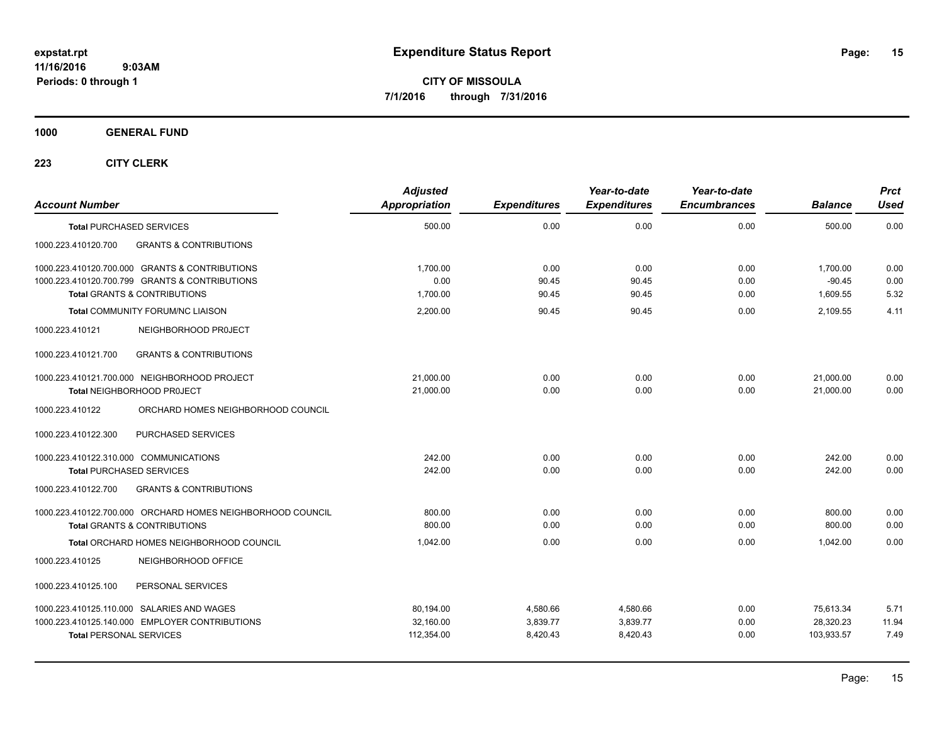**CITY OF MISSOULA 7/1/2016 through 7/31/2016**

**1000 GENERAL FUND**

| <b>Account Number</b>                                                                                 | <b>Adjusted</b><br><b>Appropriation</b> | <b>Expenditures</b>  | Year-to-date<br><b>Expenditures</b> | Year-to-date<br><b>Encumbrances</b> | <b>Balance</b>          | <b>Prct</b><br><b>Used</b> |
|-------------------------------------------------------------------------------------------------------|-----------------------------------------|----------------------|-------------------------------------|-------------------------------------|-------------------------|----------------------------|
| <b>Total PURCHASED SERVICES</b>                                                                       | 500.00                                  | 0.00                 | 0.00                                | 0.00                                | 500.00                  | 0.00                       |
| 1000.223.410120.700<br><b>GRANTS &amp; CONTRIBUTIONS</b>                                              |                                         |                      |                                     |                                     |                         |                            |
| 1000.223.410120.700.000 GRANTS & CONTRIBUTIONS                                                        | 1,700.00                                | 0.00                 | 0.00                                | 0.00                                | 1,700.00                | 0.00                       |
| 1000.223.410120.700.799 GRANTS & CONTRIBUTIONS<br><b>Total GRANTS &amp; CONTRIBUTIONS</b>             | 0.00<br>1,700.00                        | 90.45<br>90.45       | 90.45<br>90.45                      | 0.00<br>0.00                        | $-90.45$<br>1,609.55    | 0.00<br>5.32               |
| <b>Total COMMUNITY FORUM/NC LIAISON</b>                                                               | 2,200.00                                | 90.45                | 90.45                               | 0.00                                | 2,109.55                | 4.11                       |
| 1000.223.410121<br>NEIGHBORHOOD PROJECT                                                               |                                         |                      |                                     |                                     |                         |                            |
| <b>GRANTS &amp; CONTRIBUTIONS</b><br>1000.223.410121.700                                              |                                         |                      |                                     |                                     |                         |                            |
| 1000.223.410121.700.000 NEIGHBORHOOD PROJECT<br>Total NEIGHBORHOOD PROJECT                            | 21,000.00<br>21,000.00                  | 0.00<br>0.00         | 0.00<br>0.00                        | 0.00<br>0.00                        | 21,000.00<br>21,000.00  | 0.00<br>0.00               |
| 1000.223.410122<br>ORCHARD HOMES NEIGHBORHOOD COUNCIL                                                 |                                         |                      |                                     |                                     |                         |                            |
| 1000.223.410122.300<br>PURCHASED SERVICES                                                             |                                         |                      |                                     |                                     |                         |                            |
| 1000.223.410122.310.000 COMMUNICATIONS<br><b>Total PURCHASED SERVICES</b>                             | 242.00<br>242.00                        | 0.00<br>0.00         | 0.00<br>0.00                        | 0.00<br>0.00                        | 242.00<br>242.00        | 0.00<br>0.00               |
| 1000.223.410122.700<br><b>GRANTS &amp; CONTRIBUTIONS</b>                                              |                                         |                      |                                     |                                     |                         |                            |
| 1000.223.410122.700.000 ORCHARD HOMES NEIGHBORHOOD COUNCIL<br><b>Total GRANTS &amp; CONTRIBUTIONS</b> | 800.00<br>800.00                        | 0.00<br>0.00         | 0.00<br>0.00                        | 0.00<br>0.00                        | 800.00<br>800.00        | 0.00<br>0.00               |
| Total ORCHARD HOMES NEIGHBORHOOD COUNCIL                                                              | 1.042.00                                | 0.00                 | 0.00                                | 0.00                                | 1.042.00                | 0.00                       |
| 1000.223.410125<br>NEIGHBORHOOD OFFICE                                                                |                                         |                      |                                     |                                     |                         |                            |
| 1000.223.410125.100<br>PERSONAL SERVICES                                                              |                                         |                      |                                     |                                     |                         |                            |
| 1000.223.410125.110.000 SALARIES AND WAGES                                                            | 80,194.00                               | 4,580.66             | 4,580.66                            | 0.00                                | 75,613.34               | 5.71                       |
| 1000.223.410125.140.000 EMPLOYER CONTRIBUTIONS<br><b>Total PERSONAL SERVICES</b>                      | 32,160.00<br>112,354.00                 | 3,839.77<br>8,420.43 | 3,839.77<br>8,420.43                | 0.00<br>0.00                        | 28,320.23<br>103,933.57 | 11.94<br>7.49              |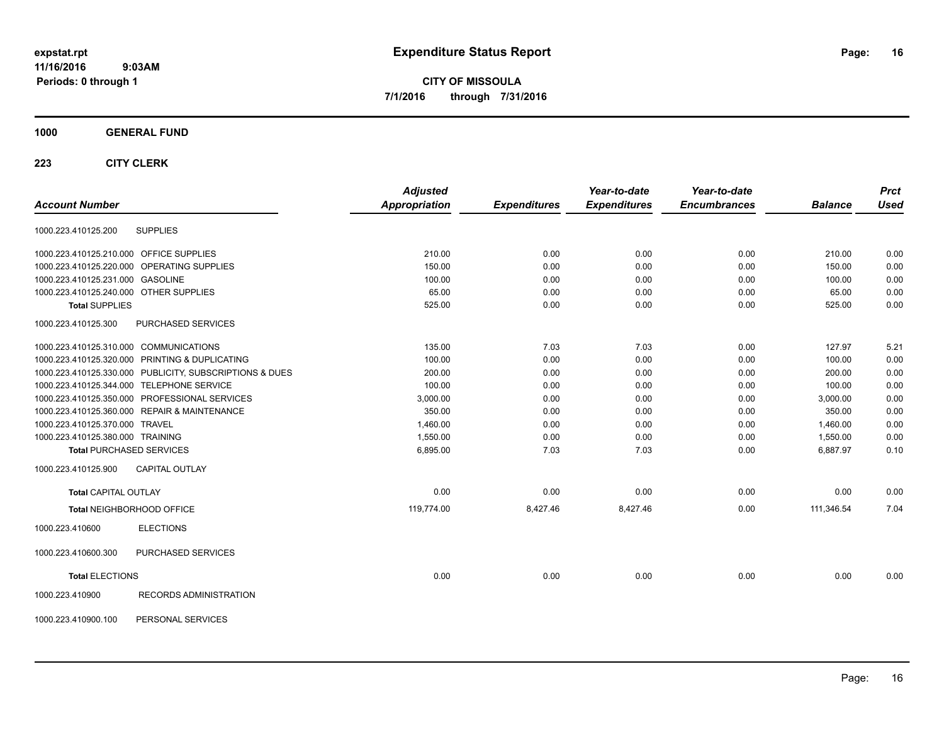**CITY OF MISSOULA 7/1/2016 through 7/31/2016**

## **1000 GENERAL FUND**

|                                                         | <b>Adjusted</b>      |                     | Year-to-date        | Year-to-date        |                | <b>Prct</b> |
|---------------------------------------------------------|----------------------|---------------------|---------------------|---------------------|----------------|-------------|
| <b>Account Number</b>                                   | <b>Appropriation</b> | <b>Expenditures</b> | <b>Expenditures</b> | <b>Encumbrances</b> | <b>Balance</b> | <b>Used</b> |
| <b>SUPPLIES</b><br>1000.223.410125.200                  |                      |                     |                     |                     |                |             |
| 1000.223.410125.210.000 OFFICE SUPPLIES                 | 210.00               | 0.00                | 0.00                | 0.00                | 210.00         | 0.00        |
| 1000.223.410125.220.000 OPERATING SUPPLIES              | 150.00               | 0.00                | 0.00                | 0.00                | 150.00         | 0.00        |
| 1000.223.410125.231.000 GASOLINE                        | 100.00               | 0.00                | 0.00                | 0.00                | 100.00         | 0.00        |
| 1000.223.410125.240.000 OTHER SUPPLIES                  | 65.00                | 0.00                | 0.00                | 0.00                | 65.00          | 0.00        |
| <b>Total SUPPLIES</b>                                   | 525.00               | 0.00                | 0.00                | 0.00                | 525.00         | 0.00        |
| PURCHASED SERVICES<br>1000.223.410125.300               |                      |                     |                     |                     |                |             |
| 1000.223.410125.310.000 COMMUNICATIONS                  | 135.00               | 7.03                | 7.03                | 0.00                | 127.97         | 5.21        |
| 1000.223.410125.320.000 PRINTING & DUPLICATING          | 100.00               | 0.00                | 0.00                | 0.00                | 100.00         | 0.00        |
| 1000.223.410125.330.000 PUBLICITY, SUBSCRIPTIONS & DUES | 200.00               | 0.00                | 0.00                | 0.00                | 200.00         | 0.00        |
| 1000.223.410125.344.000 TELEPHONE SERVICE               | 100.00               | 0.00                | 0.00                | 0.00                | 100.00         | 0.00        |
| 1000.223.410125.350.000 PROFESSIONAL SERVICES           | 3,000.00             | 0.00                | 0.00                | 0.00                | 3,000.00       | 0.00        |
| 1000.223.410125.360.000 REPAIR & MAINTENANCE            | 350.00               | 0.00                | 0.00                | 0.00                | 350.00         | 0.00        |
| 1000.223.410125.370.000 TRAVEL                          | 1,460.00             | 0.00                | 0.00                | 0.00                | 1,460.00       | 0.00        |
| 1000.223.410125.380.000 TRAINING                        | 1,550.00             | 0.00                | 0.00                | 0.00                | 1,550.00       | 0.00        |
| <b>Total PURCHASED SERVICES</b>                         | 6,895.00             | 7.03                | 7.03                | 0.00                | 6,887.97       | 0.10        |
| 1000.223.410125.900<br><b>CAPITAL OUTLAY</b>            |                      |                     |                     |                     |                |             |
| <b>Total CAPITAL OUTLAY</b>                             | 0.00                 | 0.00                | 0.00                | 0.00                | 0.00           | 0.00        |
| Total NEIGHBORHOOD OFFICE                               | 119,774.00           | 8,427.46            | 8,427.46            | 0.00                | 111,346.54     | 7.04        |
| <b>ELECTIONS</b><br>1000.223.410600                     |                      |                     |                     |                     |                |             |
| 1000.223.410600.300<br>PURCHASED SERVICES               |                      |                     |                     |                     |                |             |
| <b>Total ELECTIONS</b>                                  | 0.00                 | 0.00                | 0.00                | 0.00                | 0.00           | 0.00        |
| 1000.223.410900<br>RECORDS ADMINISTRATION               |                      |                     |                     |                     |                |             |
| PERSONAL SERVICES<br>1000.223.410900.100                |                      |                     |                     |                     |                |             |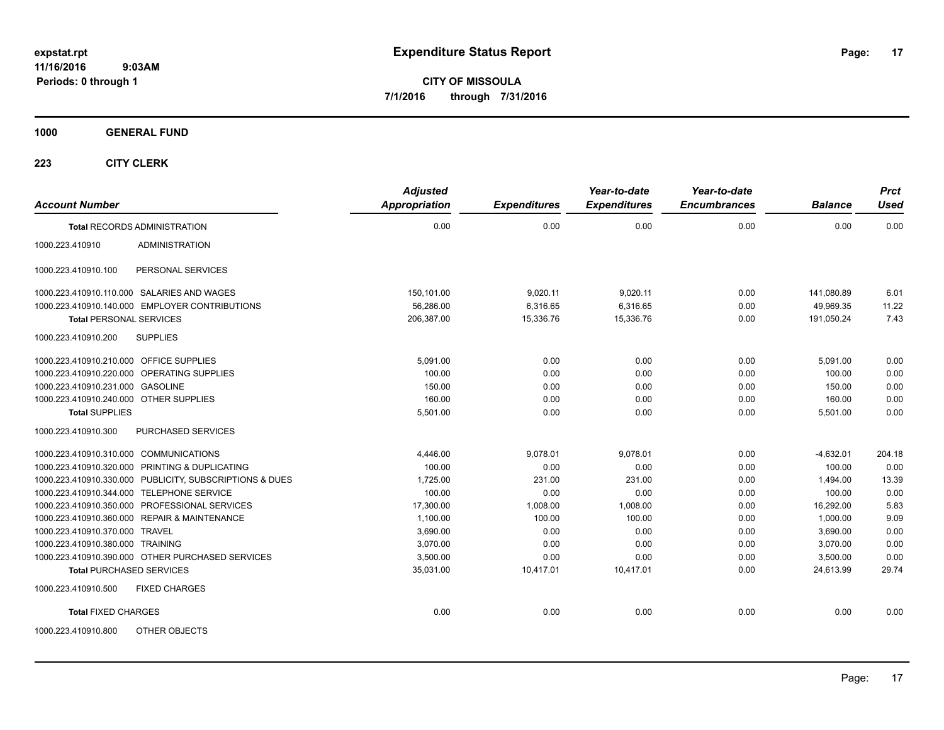**CITY OF MISSOULA 7/1/2016 through 7/31/2016**

**1000 GENERAL FUND**

| <b>Account Number</b>                   |                                                         | <b>Adjusted</b><br><b>Appropriation</b> | <b>Expenditures</b> | Year-to-date<br><b>Expenditures</b> | Year-to-date<br><b>Encumbrances</b> | <b>Balance</b> | <b>Prct</b><br><b>Used</b> |
|-----------------------------------------|---------------------------------------------------------|-----------------------------------------|---------------------|-------------------------------------|-------------------------------------|----------------|----------------------------|
|                                         | <b>Total RECORDS ADMINISTRATION</b>                     | 0.00                                    | 0.00                | 0.00                                | 0.00                                | 0.00           | 0.00                       |
| 1000.223.410910                         | <b>ADMINISTRATION</b>                                   |                                         |                     |                                     |                                     |                |                            |
| 1000.223.410910.100                     | PERSONAL SERVICES                                       |                                         |                     |                                     |                                     |                |                            |
|                                         | 1000.223.410910.110.000 SALARIES AND WAGES              | 150,101.00                              | 9,020.11            | 9,020.11                            | 0.00                                | 141,080.89     | 6.01                       |
|                                         | 1000.223.410910.140.000 EMPLOYER CONTRIBUTIONS          | 56,286.00                               | 6,316.65            | 6,316.65                            | 0.00                                | 49,969.35      | 11.22                      |
| <b>Total PERSONAL SERVICES</b>          |                                                         | 206,387.00                              | 15,336.76           | 15,336.76                           | 0.00                                | 191,050.24     | 7.43                       |
| 1000.223.410910.200                     | <b>SUPPLIES</b>                                         |                                         |                     |                                     |                                     |                |                            |
| 1000.223.410910.210.000 OFFICE SUPPLIES |                                                         | 5,091.00                                | 0.00                | 0.00                                | 0.00                                | 5,091.00       | 0.00                       |
|                                         | 1000.223.410910.220.000 OPERATING SUPPLIES              | 100.00                                  | 0.00                | 0.00                                | 0.00                                | 100.00         | 0.00                       |
| 1000.223.410910.231.000 GASOLINE        |                                                         | 150.00                                  | 0.00                | 0.00                                | 0.00                                | 150.00         | 0.00                       |
| 1000.223.410910.240.000 OTHER SUPPLIES  |                                                         | 160.00                                  | 0.00                | 0.00                                | 0.00                                | 160.00         | 0.00                       |
| <b>Total SUPPLIES</b>                   |                                                         | 5,501.00                                | 0.00                | 0.00                                | 0.00                                | 5,501.00       | 0.00                       |
| 1000.223.410910.300                     | PURCHASED SERVICES                                      |                                         |                     |                                     |                                     |                |                            |
| 1000.223.410910.310.000 COMMUNICATIONS  |                                                         | 4.446.00                                | 9,078.01            | 9,078.01                            | 0.00                                | $-4,632.01$    | 204.18                     |
|                                         | 1000.223.410910.320.000 PRINTING & DUPLICATING          | 100.00                                  | 0.00                | 0.00                                | 0.00                                | 100.00         | 0.00                       |
|                                         | 1000.223.410910.330.000 PUBLICITY, SUBSCRIPTIONS & DUES | 1,725.00                                | 231.00              | 231.00                              | 0.00                                | 1,494.00       | 13.39                      |
|                                         | 1000.223.410910.344.000 TELEPHONE SERVICE               | 100.00                                  | 0.00                | 0.00                                | 0.00                                | 100.00         | 0.00                       |
|                                         | 1000.223.410910.350.000 PROFESSIONAL SERVICES           | 17,300.00                               | 1,008.00            | 1,008.00                            | 0.00                                | 16,292.00      | 5.83                       |
|                                         | 1000.223.410910.360.000 REPAIR & MAINTENANCE            | 1,100.00                                | 100.00              | 100.00                              | 0.00                                | 1,000.00       | 9.09                       |
| 1000.223.410910.370.000 TRAVEL          |                                                         | 3,690.00                                | 0.00                | 0.00                                | 0.00                                | 3,690.00       | 0.00                       |
| 1000.223.410910.380.000 TRAINING        |                                                         | 3,070.00                                | 0.00                | 0.00                                | 0.00                                | 3,070.00       | 0.00                       |
|                                         | 1000.223.410910.390.000 OTHER PURCHASED SERVICES        | 3,500.00                                | 0.00                | 0.00                                | 0.00                                | 3,500.00       | 0.00                       |
| <b>Total PURCHASED SERVICES</b>         |                                                         | 35,031.00                               | 10,417.01           | 10,417.01                           | 0.00                                | 24,613.99      | 29.74                      |
| 1000.223.410910.500                     | <b>FIXED CHARGES</b>                                    |                                         |                     |                                     |                                     |                |                            |
| <b>Total FIXED CHARGES</b>              |                                                         | 0.00                                    | 0.00                | 0.00                                | 0.00                                | 0.00           | 0.00                       |
| 1000.223.410910.800                     | OTHER OBJECTS                                           |                                         |                     |                                     |                                     |                |                            |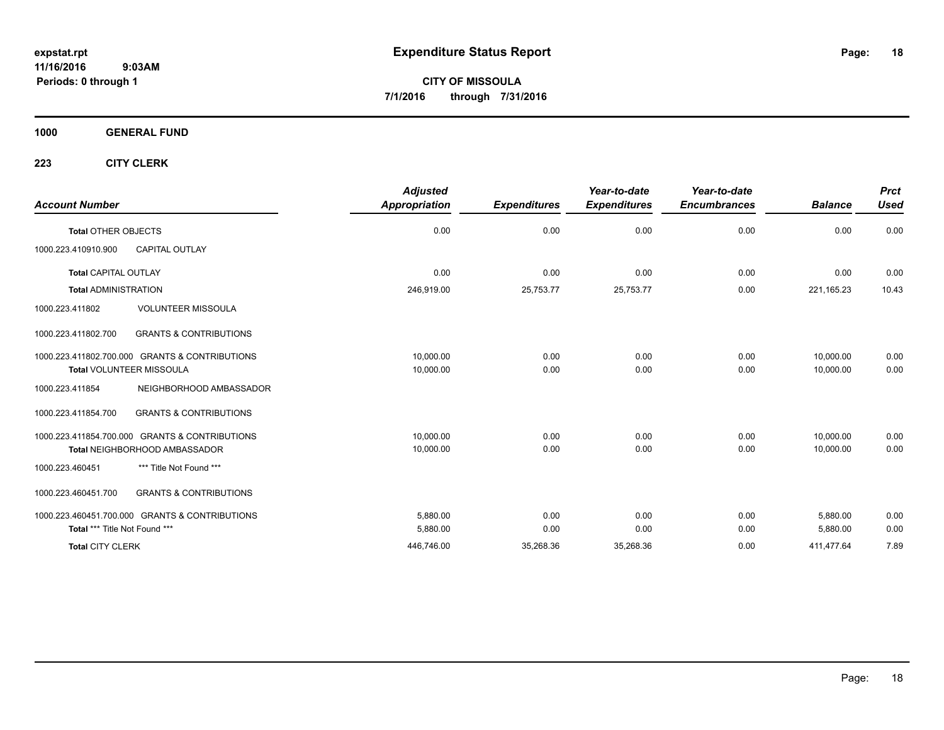**CITY OF MISSOULA 7/1/2016 through 7/31/2016**

**1000 GENERAL FUND**

| <b>Account Number</b>                                    | <b>Adjusted</b><br><b>Appropriation</b> | <b>Expenditures</b> | Year-to-date<br><b>Expenditures</b> | Year-to-date<br><b>Encumbrances</b> | <b>Balance</b> | <b>Prct</b><br><b>Used</b> |
|----------------------------------------------------------|-----------------------------------------|---------------------|-------------------------------------|-------------------------------------|----------------|----------------------------|
| <b>Total OTHER OBJECTS</b>                               | 0.00                                    | 0.00                | 0.00                                | 0.00                                | 0.00           | 0.00                       |
| <b>CAPITAL OUTLAY</b><br>1000.223.410910.900             |                                         |                     |                                     |                                     |                |                            |
| <b>Total CAPITAL OUTLAY</b>                              | 0.00                                    | 0.00                | 0.00                                | 0.00                                | 0.00           | 0.00                       |
| <b>Total ADMINISTRATION</b>                              | 246,919.00                              | 25,753.77           | 25,753.77                           | 0.00                                | 221, 165. 23   | 10.43                      |
| <b>VOLUNTEER MISSOULA</b><br>1000.223.411802             |                                         |                     |                                     |                                     |                |                            |
| <b>GRANTS &amp; CONTRIBUTIONS</b><br>1000.223.411802.700 |                                         |                     |                                     |                                     |                |                            |
| 1000.223.411802.700.000 GRANTS & CONTRIBUTIONS           | 10,000.00                               | 0.00                | 0.00                                | 0.00                                | 10,000.00      | 0.00                       |
| <b>Total VOLUNTEER MISSOULA</b>                          | 10,000.00                               | 0.00                | 0.00                                | 0.00                                | 10,000.00      | 0.00                       |
| 1000.223.411854<br>NEIGHBORHOOD AMBASSADOR               |                                         |                     |                                     |                                     |                |                            |
| <b>GRANTS &amp; CONTRIBUTIONS</b><br>1000.223.411854.700 |                                         |                     |                                     |                                     |                |                            |
| 1000.223.411854.700.000 GRANTS & CONTRIBUTIONS           | 10,000.00                               | 0.00                | 0.00                                | 0.00                                | 10,000.00      | 0.00                       |
| <b>Total NEIGHBORHOOD AMBASSADOR</b>                     | 10,000.00                               | 0.00                | 0.00                                | 0.00                                | 10,000.00      | 0.00                       |
| *** Title Not Found ***<br>1000.223.460451               |                                         |                     |                                     |                                     |                |                            |
| 1000.223.460451.700<br><b>GRANTS &amp; CONTRIBUTIONS</b> |                                         |                     |                                     |                                     |                |                            |
| 1000.223.460451.700.000 GRANTS & CONTRIBUTIONS           | 5,880.00                                | 0.00                | 0.00                                | 0.00                                | 5,880.00       | 0.00                       |
| Total *** Title Not Found ***                            | 5,880.00                                | 0.00                | 0.00                                | 0.00                                | 5,880.00       | 0.00                       |
| <b>Total CITY CLERK</b>                                  | 446,746.00                              | 35,268.36           | 35,268.36                           | 0.00                                | 411,477.64     | 7.89                       |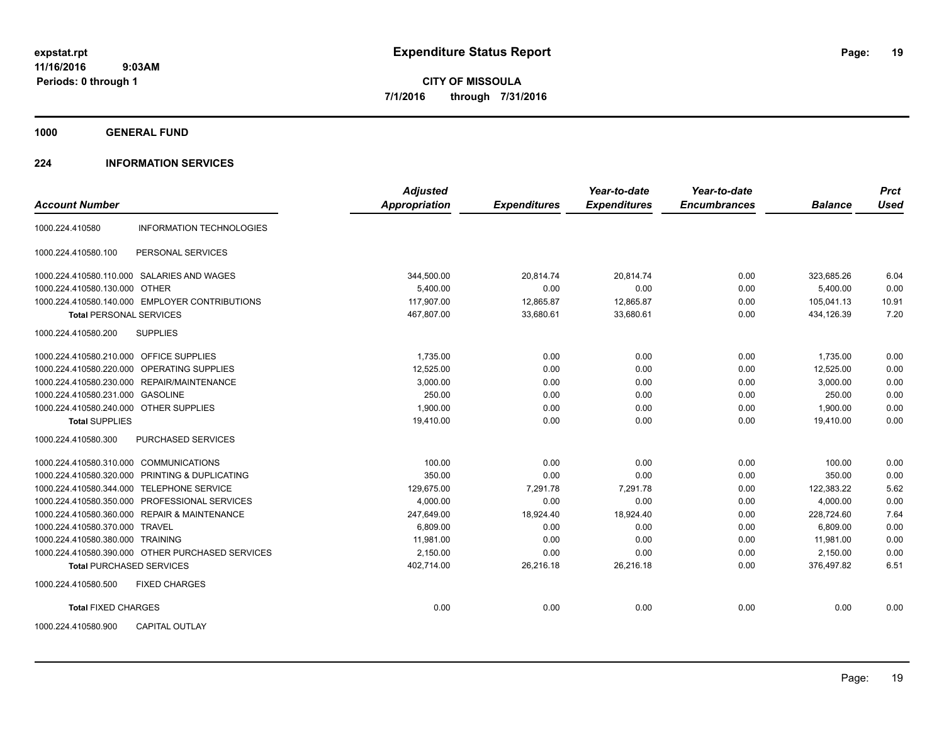**1000 GENERAL FUND**

## **224 INFORMATION SERVICES**

|                                                    | <b>Adjusted</b>      |                     | Year-to-date        | Year-to-date        |                | <b>Prct</b> |
|----------------------------------------------------|----------------------|---------------------|---------------------|---------------------|----------------|-------------|
| <b>Account Number</b>                              | <b>Appropriation</b> | <b>Expenditures</b> | <b>Expenditures</b> | <b>Encumbrances</b> | <b>Balance</b> | <b>Used</b> |
| 1000.224.410580<br><b>INFORMATION TECHNOLOGIES</b> |                      |                     |                     |                     |                |             |
| 1000.224.410580.100<br>PERSONAL SERVICES           |                      |                     |                     |                     |                |             |
| 1000.224.410580.110.000 SALARIES AND WAGES         | 344,500.00           | 20,814.74           | 20,814.74           | 0.00                | 323,685.26     | 6.04        |
| 1000.224.410580.130.000 OTHER                      | 5,400.00             | 0.00                | 0.00                | 0.00                | 5,400.00       | 0.00        |
| 1000.224.410580.140.000 EMPLOYER CONTRIBUTIONS     | 117.907.00           | 12,865.87           | 12,865.87           | 0.00                | 105.041.13     | 10.91       |
| <b>Total PERSONAL SERVICES</b>                     | 467,807.00           | 33,680.61           | 33,680.61           | 0.00                | 434,126.39     | 7.20        |
| <b>SUPPLIES</b><br>1000.224.410580.200             |                      |                     |                     |                     |                |             |
| 1000.224.410580.210.000 OFFICE SUPPLIES            | 1,735.00             | 0.00                | 0.00                | 0.00                | 1,735.00       | 0.00        |
| 1000.224.410580.220.000 OPERATING SUPPLIES         | 12,525.00            | 0.00                | 0.00                | 0.00                | 12,525.00      | 0.00        |
| 1000.224.410580.230.000 REPAIR/MAINTENANCE         | 3,000.00             | 0.00                | 0.00                | 0.00                | 3,000.00       | 0.00        |
| 1000.224.410580.231.000 GASOLINE                   | 250.00               | 0.00                | 0.00                | 0.00                | 250.00         | 0.00        |
| 1000.224.410580.240.000 OTHER SUPPLIES             | 1,900.00             | 0.00                | 0.00                | 0.00                | 1,900.00       | 0.00        |
| <b>Total SUPPLIES</b>                              | 19,410.00            | 0.00                | 0.00                | 0.00                | 19,410.00      | 0.00        |
| 1000.224.410580.300<br>PURCHASED SERVICES          |                      |                     |                     |                     |                |             |
| 1000.224.410580.310.000 COMMUNICATIONS             | 100.00               | 0.00                | 0.00                | 0.00                | 100.00         | 0.00        |
| 1000.224.410580.320.000 PRINTING & DUPLICATING     | 350.00               | 0.00                | 0.00                | 0.00                | 350.00         | 0.00        |
| 1000.224.410580.344.000 TELEPHONE SERVICE          | 129,675.00           | 7,291.78            | 7,291.78            | 0.00                | 122,383.22     | 5.62        |
| 1000.224.410580.350.000 PROFESSIONAL SERVICES      | 4,000.00             | 0.00                | 0.00                | 0.00                | 4,000.00       | 0.00        |
| 1000.224.410580.360.000 REPAIR & MAINTENANCE       | 247,649.00           | 18,924.40           | 18.924.40           | 0.00                | 228,724.60     | 7.64        |
| 1000.224.410580.370.000 TRAVEL                     | 6,809.00             | 0.00                | 0.00                | 0.00                | 6,809.00       | 0.00        |
| 1000.224.410580.380.000 TRAINING                   | 11.981.00            | 0.00                | 0.00                | 0.00                | 11.981.00      | 0.00        |
| 1000.224.410580.390.000 OTHER PURCHASED SERVICES   | 2.150.00             | 0.00                | 0.00                | 0.00                | 2.150.00       | 0.00        |
| <b>Total PURCHASED SERVICES</b>                    | 402,714.00           | 26,216.18           | 26,216.18           | 0.00                | 376,497.82     | 6.51        |
| 1000.224.410580.500<br><b>FIXED CHARGES</b>        |                      |                     |                     |                     |                |             |
| <b>Total FIXED CHARGES</b>                         | 0.00                 | 0.00                | 0.00                | 0.00                | 0.00           | 0.00        |
| <b>CAPITAL OUTLAY</b><br>1000.224.410580.900       |                      |                     |                     |                     |                |             |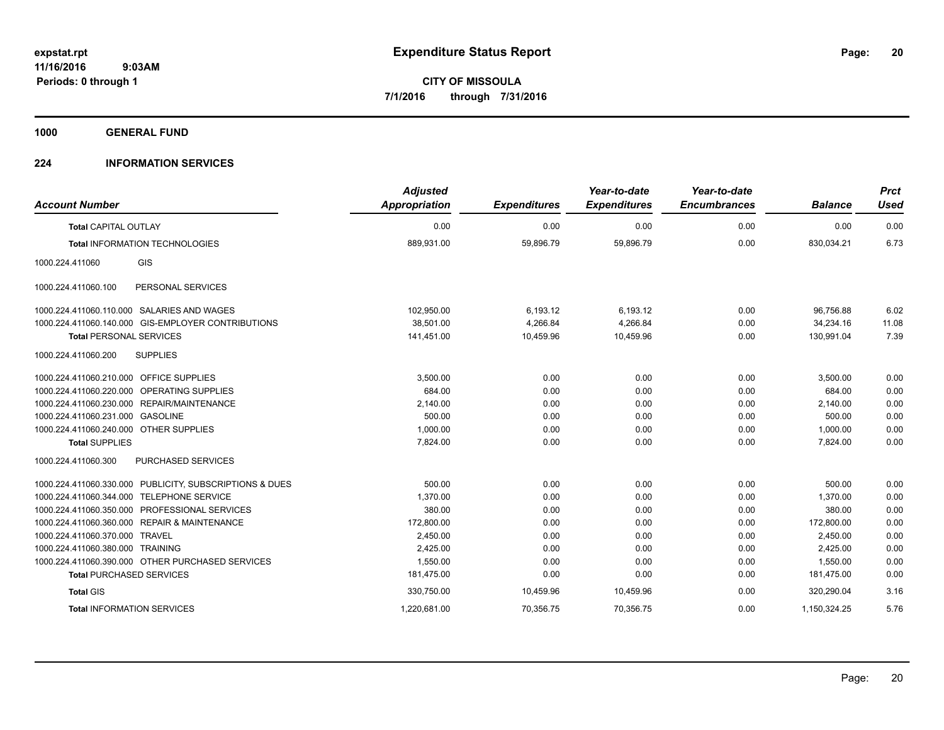**1000 GENERAL FUND**

## **224 INFORMATION SERVICES**

| <b>Account Number</b>                                      | <b>Adjusted</b><br><b>Appropriation</b> | <b>Expenditures</b> | Year-to-date<br><b>Expenditures</b> | Year-to-date<br><b>Encumbrances</b> | <b>Balance</b> | <b>Prct</b><br><b>Used</b> |
|------------------------------------------------------------|-----------------------------------------|---------------------|-------------------------------------|-------------------------------------|----------------|----------------------------|
| <b>Total CAPITAL OUTLAY</b>                                | 0.00                                    | 0.00                | 0.00                                | 0.00                                | 0.00           | 0.00                       |
| Total INFORMATION TECHNOLOGIES                             | 889,931.00                              | 59,896.79           | 59,896.79                           | 0.00                                | 830,034.21     | 6.73                       |
| GIS<br>1000.224.411060                                     |                                         |                     |                                     |                                     |                |                            |
| 1000.224.411060.100<br>PERSONAL SERVICES                   |                                         |                     |                                     |                                     |                |                            |
| 1000.224.411060.110.000 SALARIES AND WAGES                 | 102,950.00                              | 6,193.12            | 6,193.12                            | 0.00                                | 96,756.88      | 6.02                       |
| 1000.224.411060.140.000 GIS-EMPLOYER CONTRIBUTIONS         | 38,501.00                               | 4,266.84            | 4,266.84                            | 0.00                                | 34,234.16      | 11.08                      |
| <b>Total PERSONAL SERVICES</b>                             | 141,451.00                              | 10,459.96           | 10,459.96                           | 0.00                                | 130,991.04     | 7.39                       |
| <b>SUPPLIES</b><br>1000.224.411060.200                     |                                         |                     |                                     |                                     |                |                            |
| 1000.224.411060.210.000 OFFICE SUPPLIES                    | 3.500.00                                | 0.00                | 0.00                                | 0.00                                | 3,500.00       | 0.00                       |
| 1000.224.411060.220.000 OPERATING SUPPLIES                 | 684.00                                  | 0.00                | 0.00                                | 0.00                                | 684.00         | 0.00                       |
| 1000.224.411060.230.000 REPAIR/MAINTENANCE                 | 2,140.00                                | 0.00                | 0.00                                | 0.00                                | 2,140.00       | 0.00                       |
| 1000.224.411060.231.000 GASOLINE                           | 500.00                                  | 0.00                | 0.00                                | 0.00                                | 500.00         | 0.00                       |
| 1000.224.411060.240.000 OTHER SUPPLIES                     | 1,000.00                                | 0.00                | 0.00                                | 0.00                                | 1,000.00       | 0.00                       |
| <b>Total SUPPLIES</b>                                      | 7,824.00                                | 0.00                | 0.00                                | 0.00                                | 7,824.00       | 0.00                       |
| <b>PURCHASED SERVICES</b><br>1000.224.411060.300           |                                         |                     |                                     |                                     |                |                            |
| 1000.224.411060.330.000 PUBLICITY, SUBSCRIPTIONS & DUES    | 500.00                                  | 0.00                | 0.00                                | 0.00                                | 500.00         | 0.00                       |
| <b>TELEPHONE SERVICE</b><br>1000.224.411060.344.000        | 1,370.00                                | 0.00                | 0.00                                | 0.00                                | 1,370.00       | 0.00                       |
| 1000.224.411060.350.000 PROFESSIONAL SERVICES              | 380.00                                  | 0.00                | 0.00                                | 0.00                                | 380.00         | 0.00                       |
| <b>REPAIR &amp; MAINTENANCE</b><br>1000.224.411060.360.000 | 172,800.00                              | 0.00                | 0.00                                | 0.00                                | 172,800.00     | 0.00                       |
| 1000.224.411060.370.000 TRAVEL                             | 2,450.00                                | 0.00                | 0.00                                | 0.00                                | 2,450.00       | 0.00                       |
| 1000.224.411060.380.000 TRAINING                           | 2,425.00                                | 0.00                | 0.00                                | 0.00                                | 2,425.00       | 0.00                       |
| 1000.224.411060.390.000 OTHER PURCHASED SERVICES           | 1,550.00                                | 0.00                | 0.00                                | 0.00                                | 1,550.00       | 0.00                       |
| <b>Total PURCHASED SERVICES</b>                            | 181,475.00                              | 0.00                | 0.00                                | 0.00                                | 181,475.00     | 0.00                       |
| <b>Total GIS</b>                                           | 330,750.00                              | 10,459.96           | 10,459.96                           | 0.00                                | 320.290.04     | 3.16                       |
| <b>Total INFORMATION SERVICES</b>                          | 1,220,681.00                            | 70,356.75           | 70,356.75                           | 0.00                                | 1,150,324.25   | 5.76                       |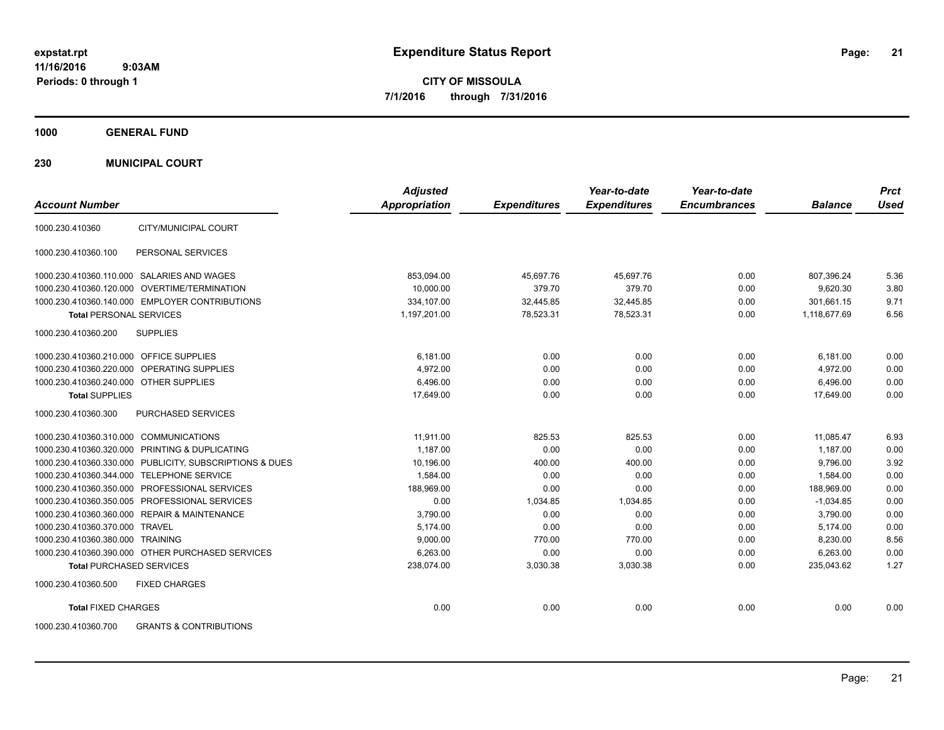**CITY OF MISSOULA 7/1/2016 through 7/31/2016**

**1000 GENERAL FUND**

**230 MUNICIPAL COURT**

| <b>Account Number</b>                                    | <b>Adjusted</b><br><b>Appropriation</b> | <b>Expenditures</b> | Year-to-date<br><b>Expenditures</b> | Year-to-date<br><b>Encumbrances</b> | <b>Balance</b> | <b>Prct</b><br>Used |
|----------------------------------------------------------|-----------------------------------------|---------------------|-------------------------------------|-------------------------------------|----------------|---------------------|
| CITY/MUNICIPAL COURT<br>1000.230.410360                  |                                         |                     |                                     |                                     |                |                     |
| PERSONAL SERVICES<br>1000.230.410360.100                 |                                         |                     |                                     |                                     |                |                     |
| 1000.230.410360.110.000 SALARIES AND WAGES               | 853,094.00                              | 45,697.76           | 45,697.76                           | 0.00                                | 807,396.24     | 5.36                |
| 1000.230.410360.120.000 OVERTIME/TERMINATION             | 10,000.00                               | 379.70              | 379.70                              | 0.00                                | 9,620.30       | 3.80                |
| 1000.230.410360.140.000 EMPLOYER CONTRIBUTIONS           | 334.107.00                              | 32,445.85           | 32,445.85                           | 0.00                                | 301.661.15     | 9.71                |
| <b>Total PERSONAL SERVICES</b>                           | 1,197,201.00                            | 78,523.31           | 78,523.31                           | 0.00                                | 1,118,677.69   | 6.56                |
| 1000.230.410360.200<br><b>SUPPLIES</b>                   |                                         |                     |                                     |                                     |                |                     |
| 1000.230.410360.210.000 OFFICE SUPPLIES                  | 6,181.00                                | 0.00                | 0.00                                | 0.00                                | 6,181.00       | 0.00                |
| <b>OPERATING SUPPLIES</b><br>1000.230.410360.220.000     | 4,972.00                                | 0.00                | 0.00                                | 0.00                                | 4,972.00       | 0.00                |
| 1000.230.410360.240.000 OTHER SUPPLIES                   | 6,496.00                                | 0.00                | 0.00                                | 0.00                                | 6,496.00       | 0.00                |
| <b>Total SUPPLIES</b>                                    | 17,649.00                               | 0.00                | 0.00                                | 0.00                                | 17,649.00      | 0.00                |
| 1000.230.410360.300<br>PURCHASED SERVICES                |                                         |                     |                                     |                                     |                |                     |
| 1000.230.410360.310.000 COMMUNICATIONS                   | 11,911.00                               | 825.53              | 825.53                              | 0.00                                | 11.085.47      | 6.93                |
| 1000.230.410360.320.000 PRINTING & DUPLICATING           | 1,187.00                                | 0.00                | 0.00                                | 0.00                                | 1,187.00       | 0.00                |
| 1000.230.410360.330.000 PUBLICITY, SUBSCRIPTIONS & DUES  | 10,196.00                               | 400.00              | 400.00                              | 0.00                                | 9,796.00       | 3.92                |
| 1000.230.410360.344.000 TELEPHONE SERVICE                | 1,584.00                                | 0.00                | 0.00                                | 0.00                                | 1,584.00       | 0.00                |
| 1000.230.410360.350.000 PROFESSIONAL SERVICES            | 188,969.00                              | 0.00                | 0.00                                | 0.00                                | 188,969.00     | 0.00                |
| 1000.230.410360.350.005 PROFESSIONAL SERVICES            | 0.00                                    | 1,034.85            | 1,034.85                            | 0.00                                | $-1,034.85$    | 0.00                |
| 1000.230.410360.360.000 REPAIR & MAINTENANCE             | 3,790.00                                | 0.00                | 0.00                                | 0.00                                | 3,790.00       | 0.00                |
| 1000.230.410360.370.000 TRAVEL                           | 5.174.00                                | 0.00                | 0.00                                | 0.00                                | 5,174.00       | 0.00                |
| 1000.230.410360.380.000 TRAINING                         | 9,000.00                                | 770.00              | 770.00                              | 0.00                                | 8,230.00       | 8.56                |
| 1000.230.410360.390.000 OTHER PURCHASED SERVICES         | 6.263.00                                | 0.00                | 0.00                                | 0.00                                | 6,263.00       | 0.00                |
| <b>Total PURCHASED SERVICES</b>                          | 238,074.00                              | 3,030.38            | 3,030.38                            | 0.00                                | 235,043.62     | 1.27                |
| 1000.230.410360.500<br><b>FIXED CHARGES</b>              |                                         |                     |                                     |                                     |                |                     |
| <b>Total FIXED CHARGES</b>                               | 0.00                                    | 0.00                | 0.00                                | 0.00                                | 0.00           | 0.00                |
| <b>GRANTS &amp; CONTRIBUTIONS</b><br>1000.230.410360.700 |                                         |                     |                                     |                                     |                |                     |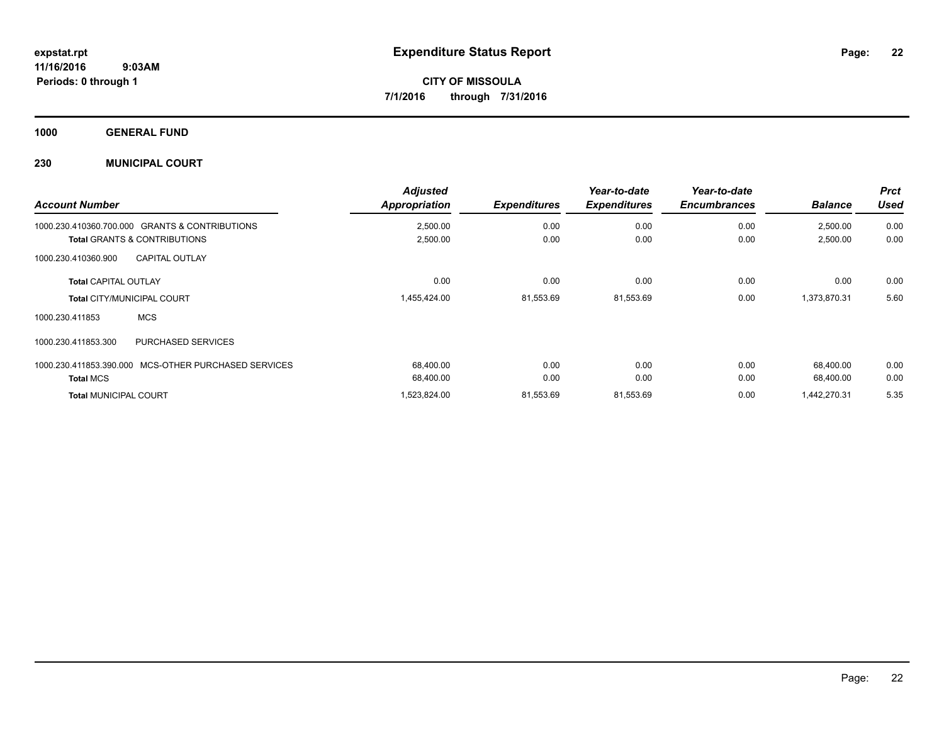**1000 GENERAL FUND**

## **230 MUNICIPAL COURT**

| <b>Account Number</b>                                              |                                   | <b>Adjusted</b><br><b>Appropriation</b> | <b>Expenditures</b> | Year-to-date<br><b>Expenditures</b> | Year-to-date<br><b>Encumbrances</b> | <b>Balance</b>       | <b>Prct</b><br>Used |
|--------------------------------------------------------------------|-----------------------------------|-----------------------------------------|---------------------|-------------------------------------|-------------------------------------|----------------------|---------------------|
| 1000.230.410360.700.000<br><b>Total GRANTS &amp; CONTRIBUTIONS</b> | <b>GRANTS &amp; CONTRIBUTIONS</b> | 2,500.00<br>2,500.00                    | 0.00<br>0.00        | 0.00<br>0.00                        | 0.00<br>0.00                        | 2,500.00<br>2,500.00 | 0.00<br>0.00        |
| 1000.230.410360.900                                                | <b>CAPITAL OUTLAY</b>             |                                         |                     |                                     |                                     |                      |                     |
| <b>Total CAPITAL OUTLAY</b>                                        |                                   | 0.00                                    | 0.00                | 0.00                                | 0.00                                | 0.00                 | 0.00                |
| <b>Total CITY/MUNICIPAL COURT</b>                                  |                                   | 1,455,424.00                            | 81,553.69           | 81,553.69                           | 0.00                                | 1,373,870.31         | 5.60                |
| 1000.230.411853                                                    | <b>MCS</b>                        |                                         |                     |                                     |                                     |                      |                     |
| 1000.230.411853.300                                                | <b>PURCHASED SERVICES</b>         |                                         |                     |                                     |                                     |                      |                     |
| 1000.230.411853.390.000                                            | MCS-OTHER PURCHASED SERVICES      | 68.400.00                               | 0.00                | 0.00                                | 0.00                                | 68,400.00            | 0.00                |
| <b>Total MCS</b>                                                   |                                   | 68,400.00                               | 0.00                | 0.00                                | 0.00                                | 68,400.00            | 0.00                |
| <b>Total MUNICIPAL COURT</b>                                       |                                   | 1,523,824.00                            | 81,553.69           | 81,553.69                           | 0.00                                | 1,442,270.31         | 5.35                |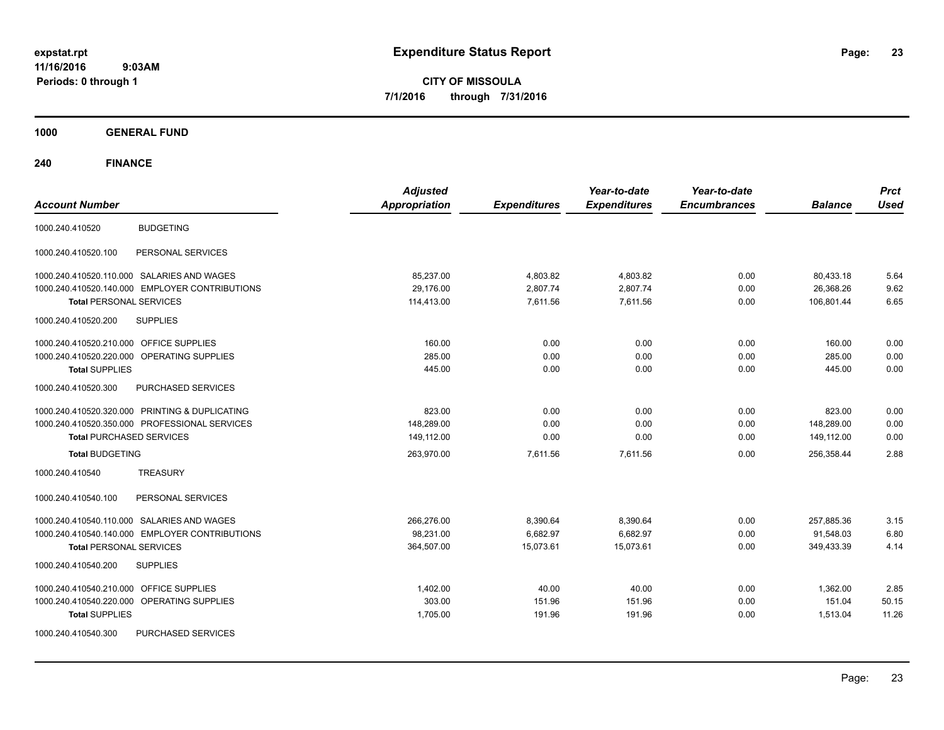**CITY OF MISSOULA 7/1/2016 through 7/31/2016**

**1000 GENERAL FUND**

| <b>Account Number</b>                                | <b>Adjusted</b><br><b>Appropriation</b> | <b>Expenditures</b> | Year-to-date<br><b>Expenditures</b> | Year-to-date<br><b>Encumbrances</b> | <b>Balance</b> | <b>Prct</b><br><b>Used</b> |
|------------------------------------------------------|-----------------------------------------|---------------------|-------------------------------------|-------------------------------------|----------------|----------------------------|
|                                                      |                                         |                     |                                     |                                     |                |                            |
| <b>BUDGETING</b><br>1000.240.410520                  |                                         |                     |                                     |                                     |                |                            |
| PERSONAL SERVICES<br>1000.240.410520.100             |                                         |                     |                                     |                                     |                |                            |
| 1000.240.410520.110.000 SALARIES AND WAGES           | 85,237.00                               | 4,803.82            | 4,803.82                            | 0.00                                | 80,433.18      | 5.64                       |
| 1000.240.410520.140.000 EMPLOYER CONTRIBUTIONS       | 29,176.00                               | 2,807.74            | 2,807.74                            | 0.00                                | 26,368.26      | 9.62                       |
| <b>Total PERSONAL SERVICES</b>                       | 114,413.00                              | 7,611.56            | 7,611.56                            | 0.00                                | 106,801.44     | 6.65                       |
| 1000.240.410520.200<br><b>SUPPLIES</b>               |                                         |                     |                                     |                                     |                |                            |
| 1000.240.410520.210.000 OFFICE SUPPLIES              | 160.00                                  | 0.00                | 0.00                                | 0.00                                | 160.00         | 0.00                       |
| 1000.240.410520.220.000 OPERATING SUPPLIES           | 285.00                                  | 0.00                | 0.00                                | 0.00                                | 285.00         | 0.00                       |
| <b>Total SUPPLIES</b>                                | 445.00                                  | 0.00                | 0.00                                | 0.00                                | 445.00         | 0.00                       |
| 1000.240.410520.300<br><b>PURCHASED SERVICES</b>     |                                         |                     |                                     |                                     |                |                            |
| 1000.240.410520.320.000 PRINTING & DUPLICATING       | 823.00                                  | 0.00                | 0.00                                | 0.00                                | 823.00         | 0.00                       |
| 1000.240.410520.350.000 PROFESSIONAL SERVICES        | 148,289.00                              | 0.00                | 0.00                                | 0.00                                | 148,289.00     | 0.00                       |
| <b>Total PURCHASED SERVICES</b>                      | 149,112.00                              | 0.00                | 0.00                                | 0.00                                | 149,112.00     | 0.00                       |
| <b>Total BUDGETING</b>                               | 263,970.00                              | 7,611.56            | 7,611.56                            | 0.00                                | 256,358.44     | 2.88                       |
| <b>TREASURY</b><br>1000.240.410540                   |                                         |                     |                                     |                                     |                |                            |
| PERSONAL SERVICES<br>1000.240.410540.100             |                                         |                     |                                     |                                     |                |                            |
| 1000.240.410540.110.000 SALARIES AND WAGES           | 266,276.00                              | 8,390.64            | 8,390.64                            | 0.00                                | 257,885.36     | 3.15                       |
| 1000.240.410540.140.000 EMPLOYER CONTRIBUTIONS       | 98,231.00                               | 6,682.97            | 6,682.97                            | 0.00                                | 91,548.03      | 6.80                       |
| <b>Total PERSONAL SERVICES</b>                       | 364,507.00                              | 15,073.61           | 15,073.61                           | 0.00                                | 349,433.39     | 4.14                       |
| 1000.240.410540.200<br><b>SUPPLIES</b>               |                                         |                     |                                     |                                     |                |                            |
| 1000.240.410540.210.000 OFFICE SUPPLIES              | 1,402.00                                | 40.00               | 40.00                               | 0.00                                | 1,362.00       | 2.85                       |
| 1000.240.410540.220.000<br><b>OPERATING SUPPLIES</b> | 303.00                                  | 151.96              | 151.96                              | 0.00                                | 151.04         | 50.15                      |
| <b>Total SUPPLIES</b>                                | 1,705.00                                | 191.96              | 191.96                              | 0.00                                | 1,513.04       | 11.26                      |
| 1000.240.410540.300<br>PURCHASED SERVICES            |                                         |                     |                                     |                                     |                |                            |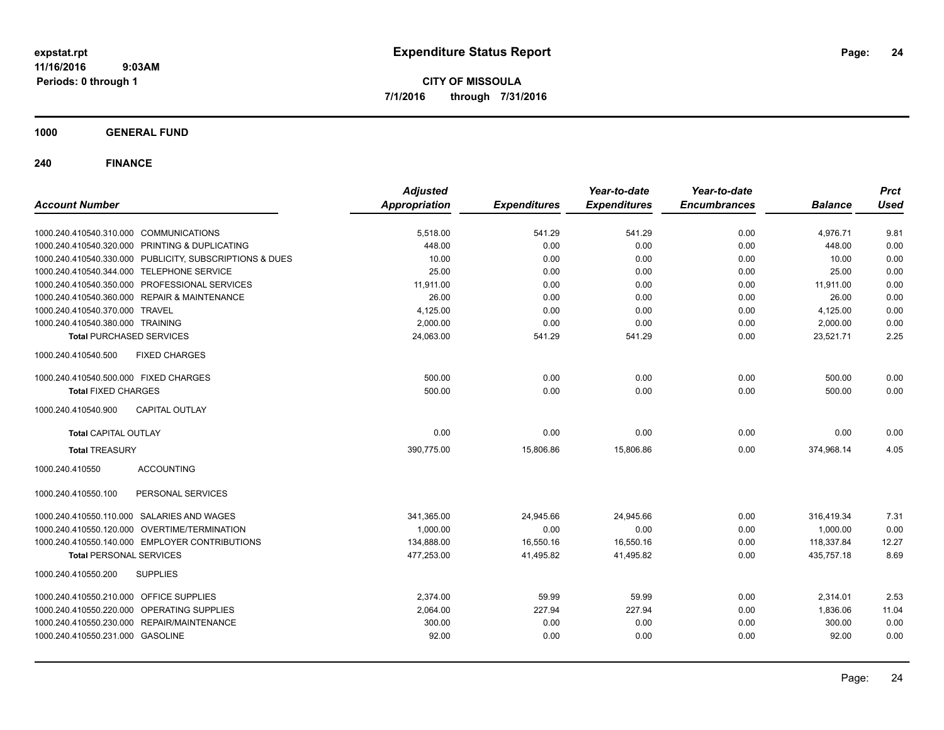**CITY OF MISSOULA 7/1/2016 through 7/31/2016**

**1000 GENERAL FUND**

| <b>Account Number</b>                                   | <b>Adjusted</b><br><b>Appropriation</b> | <b>Expenditures</b> | Year-to-date<br><b>Expenditures</b> | Year-to-date<br><b>Encumbrances</b> | <b>Balance</b> | <b>Prct</b><br><b>Used</b> |
|---------------------------------------------------------|-----------------------------------------|---------------------|-------------------------------------|-------------------------------------|----------------|----------------------------|
| 1000.240.410540.310.000 COMMUNICATIONS                  | 5,518.00                                | 541.29              | 541.29                              | 0.00                                | 4,976.71       | 9.81                       |
| 1000.240.410540.320.000 PRINTING & DUPLICATING          | 448.00                                  | 0.00                | 0.00                                | 0.00                                | 448.00         | 0.00                       |
| 1000.240.410540.330.000 PUBLICITY, SUBSCRIPTIONS & DUES | 10.00                                   | 0.00                | 0.00                                | 0.00                                | 10.00          | 0.00                       |
| 1000.240.410540.344.000 TELEPHONE SERVICE               | 25.00                                   | 0.00                | 0.00                                | 0.00                                | 25.00          | 0.00                       |
| 1000.240.410540.350.000 PROFESSIONAL SERVICES           | 11,911.00                               | 0.00                | 0.00                                | 0.00                                | 11,911.00      | 0.00                       |
| 1000.240.410540.360.000 REPAIR & MAINTENANCE            | 26.00                                   | 0.00                | 0.00                                | 0.00                                | 26.00          | 0.00                       |
| 1000.240.410540.370.000 TRAVEL                          | 4,125.00                                | 0.00                | 0.00                                | 0.00                                | 4,125.00       | 0.00                       |
| 1000.240.410540.380.000 TRAINING                        | 2.000.00                                | 0.00                | 0.00                                | 0.00                                | 2,000.00       | 0.00                       |
| <b>Total PURCHASED SERVICES</b>                         | 24.063.00                               | 541.29              | 541.29                              | 0.00                                | 23.521.71      | 2.25                       |
| <b>FIXED CHARGES</b><br>1000.240.410540.500             |                                         |                     |                                     |                                     |                |                            |
| 1000.240.410540.500.000 FIXED CHARGES                   | 500.00                                  | 0.00                | 0.00                                | 0.00                                | 500.00         | 0.00                       |
| <b>Total FIXED CHARGES</b>                              | 500.00                                  | 0.00                | 0.00                                | 0.00                                | 500.00         | 0.00                       |
| 1000.240.410540.900<br><b>CAPITAL OUTLAY</b>            |                                         |                     |                                     |                                     |                |                            |
| <b>Total CAPITAL OUTLAY</b>                             | 0.00                                    | 0.00                | 0.00                                | 0.00                                | 0.00           | 0.00                       |
| <b>Total TREASURY</b>                                   | 390.775.00                              | 15,806.86           | 15,806.86                           | 0.00                                | 374,968.14     | 4.05                       |
| <b>ACCOUNTING</b><br>1000.240.410550                    |                                         |                     |                                     |                                     |                |                            |
| 1000.240.410550.100<br>PERSONAL SERVICES                |                                         |                     |                                     |                                     |                |                            |
| 1000.240.410550.110.000 SALARIES AND WAGES              | 341,365.00                              | 24,945.66           | 24,945.66                           | 0.00                                | 316,419.34     | 7.31                       |
| 1000.240.410550.120.000 OVERTIME/TERMINATION            | 1,000.00                                | 0.00                | 0.00                                | 0.00                                | 1.000.00       | 0.00                       |
| 1000.240.410550.140.000 EMPLOYER CONTRIBUTIONS          | 134,888.00                              | 16,550.16           | 16,550.16                           | 0.00                                | 118,337.84     | 12.27                      |
| <b>Total PERSONAL SERVICES</b>                          | 477,253.00                              | 41,495.82           | 41,495.82                           | 0.00                                | 435,757.18     | 8.69                       |
| 1000.240.410550.200<br><b>SUPPLIES</b>                  |                                         |                     |                                     |                                     |                |                            |
| 1000.240.410550.210.000 OFFICE SUPPLIES                 | 2,374.00                                | 59.99               | 59.99                               | 0.00                                | 2,314.01       | 2.53                       |
| 1000.240.410550.220.000 OPERATING SUPPLIES              | 2,064.00                                | 227.94              | 227.94                              | 0.00                                | 1,836.06       | 11.04                      |
| 1000.240.410550.230.000 REPAIR/MAINTENANCE              | 300.00                                  | 0.00                | 0.00                                | 0.00                                | 300.00         | 0.00                       |
| 1000.240.410550.231.000 GASOLINE                        | 92.00                                   | 0.00                | 0.00                                | 0.00                                | 92.00          | 0.00                       |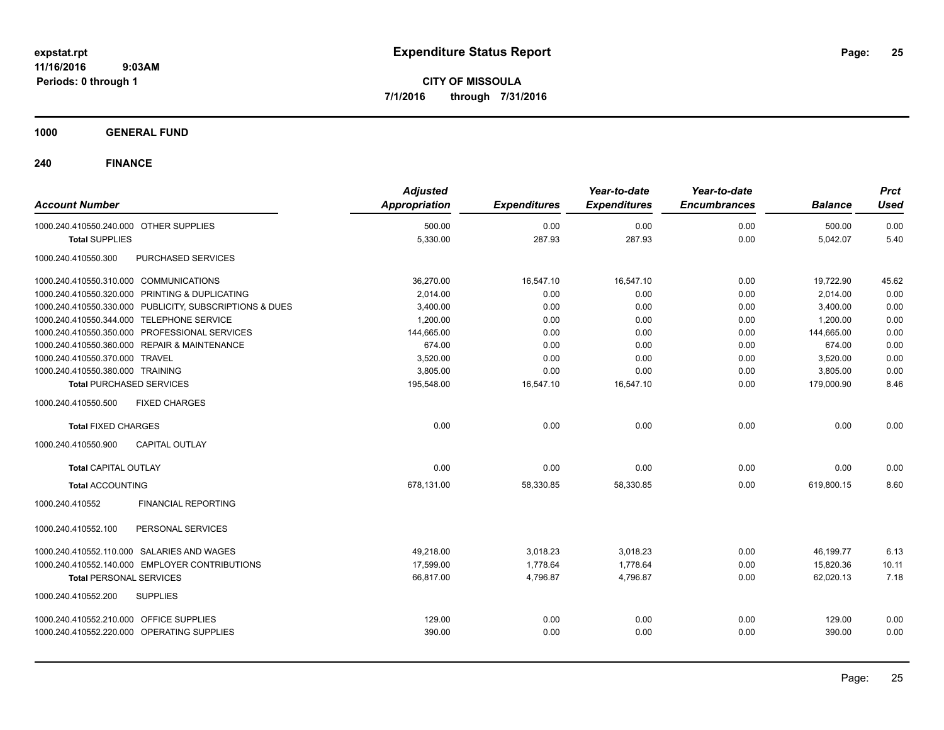**CITY OF MISSOULA 7/1/2016 through 7/31/2016**

**1000 GENERAL FUND**

| <b>Account Number</b>                                   | <b>Adjusted</b><br>Appropriation | <b>Expenditures</b> | Year-to-date<br><b>Expenditures</b> | Year-to-date<br><b>Encumbrances</b> | <b>Balance</b> | <b>Prct</b><br><b>Used</b> |
|---------------------------------------------------------|----------------------------------|---------------------|-------------------------------------|-------------------------------------|----------------|----------------------------|
| 1000.240.410550.240.000 OTHER SUPPLIES                  | 500.00                           | 0.00                | 0.00                                | 0.00                                | 500.00         | 0.00                       |
| <b>Total SUPPLIES</b>                                   | 5,330.00                         | 287.93              | 287.93                              | 0.00                                | 5,042.07       | 5.40                       |
| 1000.240.410550.300<br>PURCHASED SERVICES               |                                  |                     |                                     |                                     |                |                            |
| 1000.240.410550.310.000 COMMUNICATIONS                  | 36,270.00                        | 16,547.10           | 16,547.10                           | 0.00                                | 19,722.90      | 45.62                      |
| 1000.240.410550.320.000 PRINTING & DUPLICATING          | 2,014.00                         | 0.00                | 0.00                                | 0.00                                | 2.014.00       | 0.00                       |
| 1000.240.410550.330.000 PUBLICITY, SUBSCRIPTIONS & DUES | 3,400.00                         | 0.00                | 0.00                                | 0.00                                | 3,400.00       | 0.00                       |
| 1000.240.410550.344.000 TELEPHONE SERVICE               | 1,200.00                         | 0.00                | 0.00                                | 0.00                                | 1,200.00       | 0.00                       |
| 1000.240.410550.350.000 PROFESSIONAL SERVICES           | 144,665.00                       | 0.00                | 0.00                                | 0.00                                | 144,665.00     | 0.00                       |
| 1000.240.410550.360.000 REPAIR & MAINTENANCE            | 674.00                           | 0.00                | 0.00                                | 0.00                                | 674.00         | 0.00                       |
| 1000.240.410550.370.000 TRAVEL                          | 3,520.00                         | 0.00                | 0.00                                | 0.00                                | 3,520.00       | 0.00                       |
| 1000.240.410550.380.000 TRAINING                        | 3.805.00                         | 0.00                | 0.00                                | 0.00                                | 3.805.00       | 0.00                       |
| <b>Total PURCHASED SERVICES</b>                         | 195,548.00                       | 16,547.10           | 16,547.10                           | 0.00                                | 179,000.90     | 8.46                       |
| <b>FIXED CHARGES</b><br>1000.240.410550.500             |                                  |                     |                                     |                                     |                |                            |
| <b>Total FIXED CHARGES</b>                              | 0.00                             | 0.00                | 0.00                                | 0.00                                | 0.00           | 0.00                       |
| <b>CAPITAL OUTLAY</b><br>1000.240.410550.900            |                                  |                     |                                     |                                     |                |                            |
| Total CAPITAL OUTLAY                                    | 0.00                             | 0.00                | 0.00                                | 0.00                                | 0.00           | 0.00                       |
| <b>Total ACCOUNTING</b>                                 | 678,131.00                       | 58,330.85           | 58,330.85                           | 0.00                                | 619,800.15     | 8.60                       |
| 1000.240.410552<br><b>FINANCIAL REPORTING</b>           |                                  |                     |                                     |                                     |                |                            |
| 1000.240.410552.100<br>PERSONAL SERVICES                |                                  |                     |                                     |                                     |                |                            |
| 1000.240.410552.110.000 SALARIES AND WAGES              | 49,218.00                        | 3,018.23            | 3,018.23                            | 0.00                                | 46,199.77      | 6.13                       |
| 1000.240.410552.140.000 EMPLOYER CONTRIBUTIONS          | 17.599.00                        | 1.778.64            | 1,778.64                            | 0.00                                | 15,820.36      | 10.11                      |
| <b>Total PERSONAL SERVICES</b>                          | 66,817.00                        | 4,796.87            | 4,796.87                            | 0.00                                | 62,020.13      | 7.18                       |
| <b>SUPPLIES</b><br>1000.240.410552.200                  |                                  |                     |                                     |                                     |                |                            |
| 1000.240.410552.210.000 OFFICE SUPPLIES                 | 129.00                           | 0.00                | 0.00                                | 0.00                                | 129.00         | 0.00                       |
| 1000.240.410552.220.000 OPERATING SUPPLIES              | 390.00                           | 0.00                | 0.00                                | 0.00                                | 390.00         | 0.00                       |
|                                                         |                                  |                     |                                     |                                     |                |                            |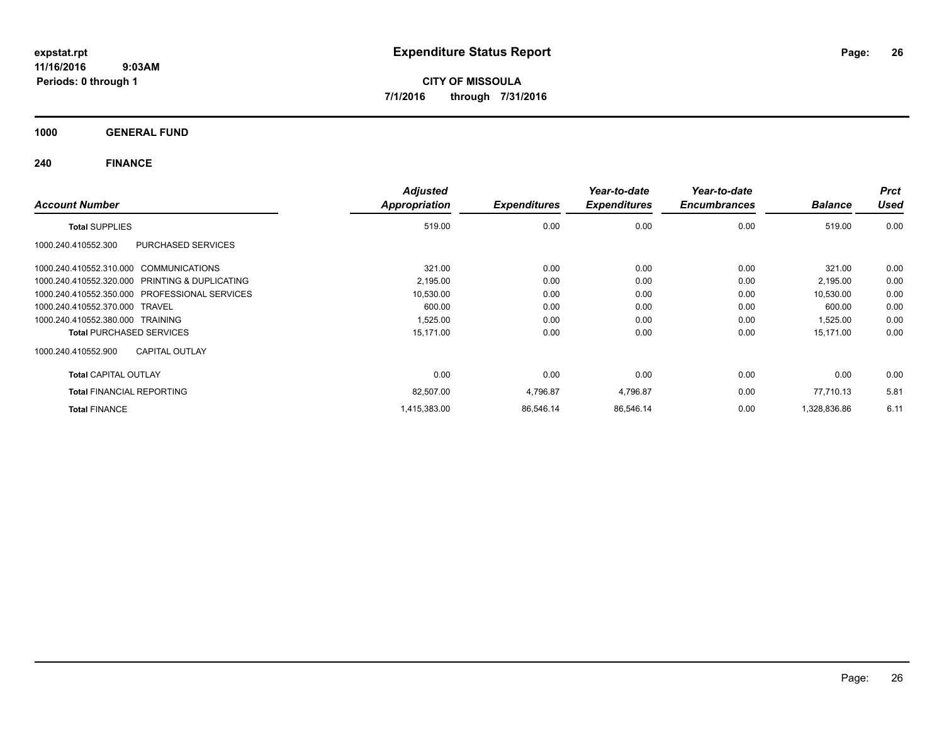**CITY OF MISSOULA 7/1/2016 through 7/31/2016**

**1000 GENERAL FUND**

| <b>Account Number</b>                          | <b>Adjusted</b><br>Appropriation | <b>Expenditures</b> | Year-to-date<br><b>Expenditures</b> | Year-to-date<br><b>Encumbrances</b> | <b>Balance</b> | <b>Prct</b><br><b>Used</b> |
|------------------------------------------------|----------------------------------|---------------------|-------------------------------------|-------------------------------------|----------------|----------------------------|
| <b>Total SUPPLIES</b>                          | 519.00                           | 0.00                | 0.00                                | 0.00                                | 519.00         | 0.00                       |
| 1000.240.410552.300<br>PURCHASED SERVICES      |                                  |                     |                                     |                                     |                |                            |
| 1000.240.410552.310.000 COMMUNICATIONS         | 321.00                           | 0.00                | 0.00                                | 0.00                                | 321.00         | 0.00                       |
| 1000.240.410552.320.000 PRINTING & DUPLICATING | 2,195.00                         | 0.00                | 0.00                                | 0.00                                | 2,195.00       | 0.00                       |
| 1000.240.410552.350.000 PROFESSIONAL SERVICES  | 10,530.00                        | 0.00                | 0.00                                | 0.00                                | 10,530.00      | 0.00                       |
| 1000.240.410552.370.000 TRAVEL                 | 600.00                           | 0.00                | 0.00                                | 0.00                                | 600.00         | 0.00                       |
| 1000.240.410552.380.000 TRAINING               | 1,525.00                         | 0.00                | 0.00                                | 0.00                                | 1,525.00       | 0.00                       |
| <b>Total PURCHASED SERVICES</b>                | 15,171.00                        | 0.00                | 0.00                                | 0.00                                | 15,171.00      | 0.00                       |
| <b>CAPITAL OUTLAY</b><br>1000.240.410552.900   |                                  |                     |                                     |                                     |                |                            |
| <b>Total CAPITAL OUTLAY</b>                    | 0.00                             | 0.00                | 0.00                                | 0.00                                | 0.00           | 0.00                       |
| <b>Total FINANCIAL REPORTING</b>               | 82,507.00                        | 4,796.87            | 4,796.87                            | 0.00                                | 77,710.13      | 5.81                       |
| <b>Total FINANCE</b>                           | 1,415,383.00                     | 86.546.14           | 86,546.14                           | 0.00                                | 1,328,836.86   | 6.11                       |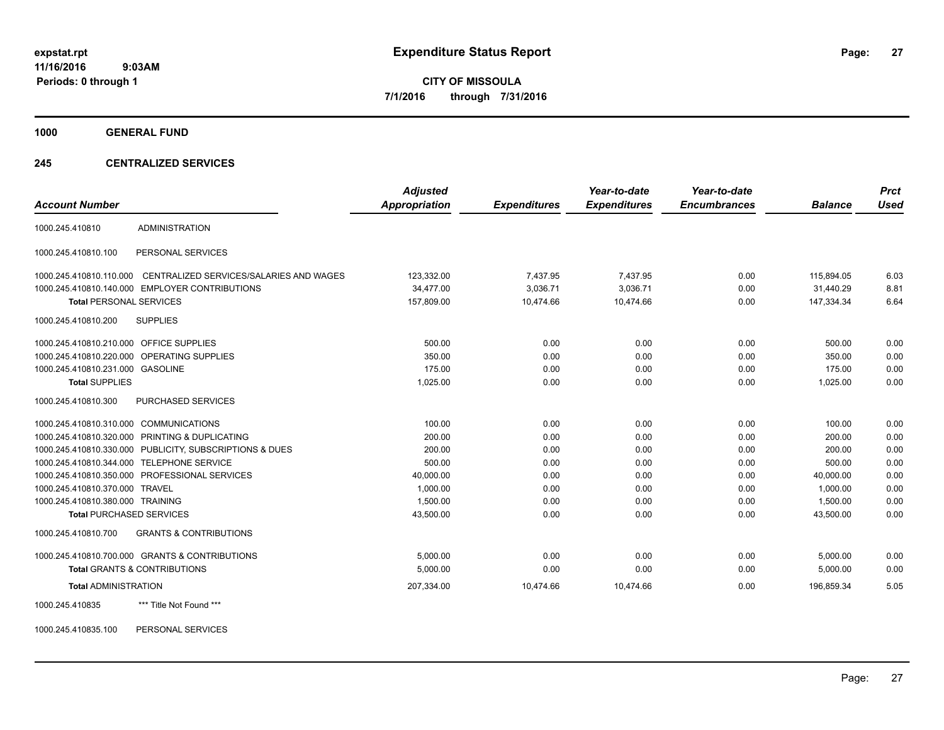**CITY OF MISSOULA 7/1/2016 through 7/31/2016**

**1000 GENERAL FUND**

### **245 CENTRALIZED SERVICES**

|                                         |                                                         | <b>Adjusted</b> |                     | Year-to-date        | Year-to-date        |                | <b>Prct</b> |
|-----------------------------------------|---------------------------------------------------------|-----------------|---------------------|---------------------|---------------------|----------------|-------------|
| <b>Account Number</b>                   |                                                         | Appropriation   | <b>Expenditures</b> | <b>Expenditures</b> | <b>Encumbrances</b> | <b>Balance</b> | <b>Used</b> |
| 1000.245.410810                         | <b>ADMINISTRATION</b>                                   |                 |                     |                     |                     |                |             |
| 1000.245.410810.100                     | PERSONAL SERVICES                                       |                 |                     |                     |                     |                |             |
| 1000.245.410810.110.000                 | CENTRALIZED SERVICES/SALARIES AND WAGES                 | 123,332.00      | 7,437.95            | 7,437.95            | 0.00                | 115,894.05     | 6.03        |
|                                         | 1000.245.410810.140.000 EMPLOYER CONTRIBUTIONS          | 34.477.00       | 3.036.71            | 3.036.71            | 0.00                | 31.440.29      | 8.81        |
| <b>Total PERSONAL SERVICES</b>          |                                                         | 157,809.00      | 10,474.66           | 10,474.66           | 0.00                | 147,334.34     | 6.64        |
| 1000.245.410810.200                     | <b>SUPPLIES</b>                                         |                 |                     |                     |                     |                |             |
| 1000.245.410810.210.000 OFFICE SUPPLIES |                                                         | 500.00          | 0.00                | 0.00                | 0.00                | 500.00         | 0.00        |
|                                         | 1000.245.410810.220.000 OPERATING SUPPLIES              | 350.00          | 0.00                | 0.00                | 0.00                | 350.00         | 0.00        |
| 1000.245.410810.231.000 GASOLINE        |                                                         | 175.00          | 0.00                | 0.00                | 0.00                | 175.00         | 0.00        |
| <b>Total SUPPLIES</b>                   |                                                         | 1,025.00        | 0.00                | 0.00                | 0.00                | 1,025.00       | 0.00        |
| 1000.245.410810.300                     | PURCHASED SERVICES                                      |                 |                     |                     |                     |                |             |
| 1000.245.410810.310.000 COMMUNICATIONS  |                                                         | 100.00          | 0.00                | 0.00                | 0.00                | 100.00         | 0.00        |
|                                         | 1000.245.410810.320.000 PRINTING & DUPLICATING          | 200.00          | 0.00                | 0.00                | 0.00                | 200.00         | 0.00        |
|                                         | 1000.245.410810.330.000 PUBLICITY, SUBSCRIPTIONS & DUES | 200.00          | 0.00                | 0.00                | 0.00                | 200.00         | 0.00        |
|                                         | 1000.245.410810.344.000 TELEPHONE SERVICE               | 500.00          | 0.00                | 0.00                | 0.00                | 500.00         | 0.00        |
|                                         | 1000.245.410810.350.000 PROFESSIONAL SERVICES           | 40,000.00       | 0.00                | 0.00                | 0.00                | 40,000.00      | 0.00        |
| 1000.245.410810.370.000 TRAVEL          |                                                         | 1,000.00        | 0.00                | 0.00                | 0.00                | 1,000.00       | 0.00        |
| 1000.245.410810.380.000 TRAINING        |                                                         | 1.500.00        | 0.00                | 0.00                | 0.00                | 1.500.00       | 0.00        |
| <b>Total PURCHASED SERVICES</b>         |                                                         | 43,500.00       | 0.00                | 0.00                | 0.00                | 43,500.00      | 0.00        |
| 1000.245.410810.700                     | <b>GRANTS &amp; CONTRIBUTIONS</b>                       |                 |                     |                     |                     |                |             |
|                                         | 1000.245.410810.700.000 GRANTS & CONTRIBUTIONS          | 5.000.00        | 0.00                | 0.00                | 0.00                | 5,000.00       | 0.00        |
|                                         | <b>Total GRANTS &amp; CONTRIBUTIONS</b>                 | 5.000.00        | 0.00                | 0.00                | 0.00                | 5,000.00       | 0.00        |
| <b>Total ADMINISTRATION</b>             |                                                         | 207,334.00      | 10,474.66           | 10,474.66           | 0.00                | 196.859.34     | 5.05        |
| 1000.245.410835                         | *** Title Not Found ***                                 |                 |                     |                     |                     |                |             |

1000.245.410835.100 PERSONAL SERVICES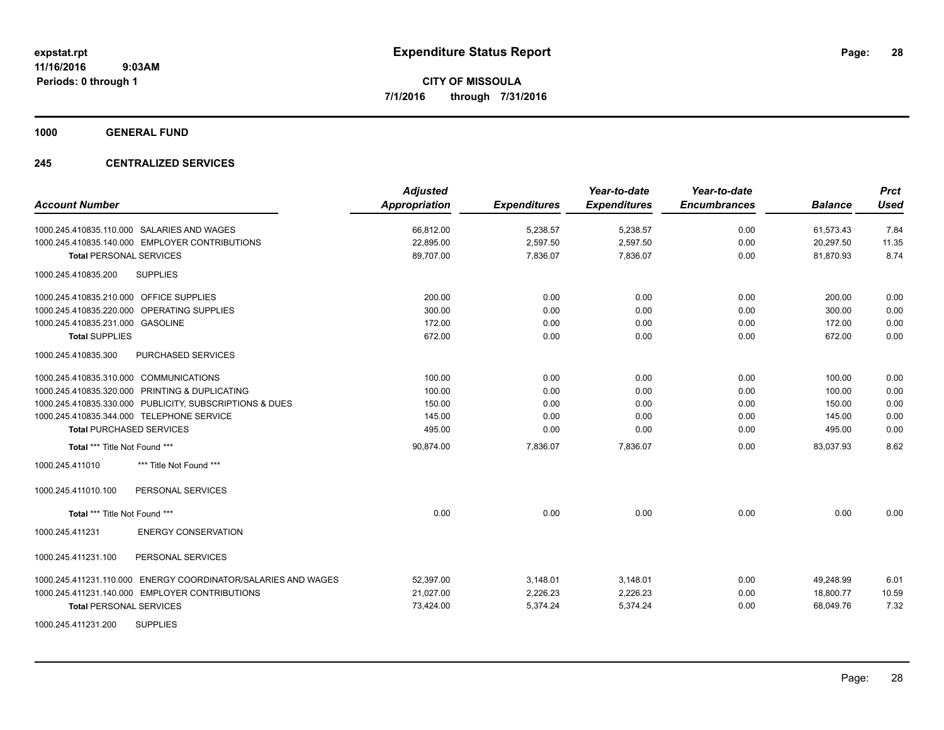**1000 GENERAL FUND**

## **245 CENTRALIZED SERVICES**

| <b>Account Number</b>                                         | <b>Adjusted</b><br><b>Appropriation</b> | <b>Expenditures</b> | Year-to-date<br><b>Expenditures</b> | Year-to-date<br><b>Encumbrances</b> | <b>Balance</b> | <b>Prct</b><br>Used |
|---------------------------------------------------------------|-----------------------------------------|---------------------|-------------------------------------|-------------------------------------|----------------|---------------------|
| 1000.245.410835.110.000 SALARIES AND WAGES                    | 66,812.00                               | 5,238.57            | 5,238.57                            | 0.00                                | 61,573.43      | 7.84                |
| 1000.245.410835.140.000 EMPLOYER CONTRIBUTIONS                | 22,895.00                               | 2,597.50            | 2,597.50                            | 0.00                                | 20,297.50      | 11.35               |
| <b>Total PERSONAL SERVICES</b>                                | 89,707.00                               | 7,836.07            | 7,836.07                            | 0.00                                | 81,870.93      | 8.74                |
| <b>SUPPLIES</b><br>1000.245.410835.200                        |                                         |                     |                                     |                                     |                |                     |
| 1000.245.410835.210.000 OFFICE SUPPLIES                       | 200.00                                  | 0.00                | 0.00                                | 0.00                                | 200.00         | 0.00                |
| 1000.245.410835.220.000 OPERATING SUPPLIES                    | 300.00                                  | 0.00                | 0.00                                | 0.00                                | 300.00         | 0.00                |
| 1000.245.410835.231.000 GASOLINE                              | 172.00                                  | 0.00                | 0.00                                | 0.00                                | 172.00         | 0.00                |
| <b>Total SUPPLIES</b>                                         | 672.00                                  | 0.00                | 0.00                                | 0.00                                | 672.00         | 0.00                |
| 1000.245.410835.300<br>PURCHASED SERVICES                     |                                         |                     |                                     |                                     |                |                     |
| 1000.245.410835.310.000 COMMUNICATIONS                        | 100.00                                  | 0.00                | 0.00                                | 0.00                                | 100.00         | 0.00                |
| 1000.245.410835.320.000 PRINTING & DUPLICATING                | 100.00                                  | 0.00                | 0.00                                | 0.00                                | 100.00         | 0.00                |
| 1000.245.410835.330.000 PUBLICITY, SUBSCRIPTIONS & DUES       | 150.00                                  | 0.00                | 0.00                                | 0.00                                | 150.00         | 0.00                |
| 1000.245.410835.344.000 TELEPHONE SERVICE                     | 145.00                                  | 0.00                | 0.00                                | 0.00                                | 145.00         | 0.00                |
| <b>Total PURCHASED SERVICES</b>                               | 495.00                                  | 0.00                | 0.00                                | 0.00                                | 495.00         | 0.00                |
| Total *** Title Not Found ***                                 | 90,874.00                               | 7,836.07            | 7,836.07                            | 0.00                                | 83,037.93      | 8.62                |
| 1000.245.411010<br>*** Title Not Found ***                    |                                         |                     |                                     |                                     |                |                     |
| 1000.245.411010.100<br>PERSONAL SERVICES                      |                                         |                     |                                     |                                     |                |                     |
| Total *** Title Not Found ***                                 | 0.00                                    | 0.00                | 0.00                                | 0.00                                | 0.00           | 0.00                |
| 1000.245.411231<br><b>ENERGY CONSERVATION</b>                 |                                         |                     |                                     |                                     |                |                     |
| 1000.245.411231.100<br>PERSONAL SERVICES                      |                                         |                     |                                     |                                     |                |                     |
| 1000.245.411231.110.000 ENERGY COORDINATOR/SALARIES AND WAGES | 52,397.00                               | 3,148.01            | 3,148.01                            | 0.00                                | 49,248.99      | 6.01                |
| 1000.245.411231.140.000 EMPLOYER CONTRIBUTIONS                | 21,027.00                               | 2,226.23            | 2,226.23                            | 0.00                                | 18,800.77      | 10.59               |
| <b>Total PERSONAL SERVICES</b>                                | 73,424.00                               | 5,374.24            | 5,374.24                            | 0.00                                | 68,049.76      | 7.32                |
| <b>SUPPLIES</b><br>1000.245.411231.200                        |                                         |                     |                                     |                                     |                |                     |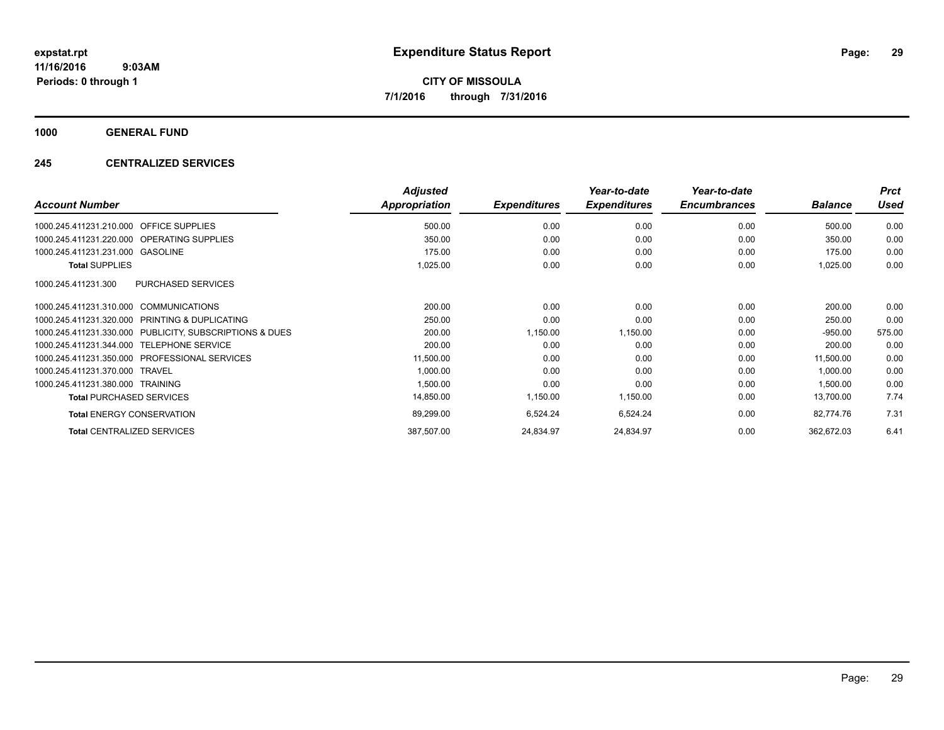**1000 GENERAL FUND**

## **245 CENTRALIZED SERVICES**

| <b>Account Number</b>                                   | <b>Adjusted</b><br>Appropriation | <b>Expenditures</b> | Year-to-date<br><b>Expenditures</b> | Year-to-date<br><b>Encumbrances</b> | <b>Balance</b> | <b>Prct</b><br><b>Used</b> |
|---------------------------------------------------------|----------------------------------|---------------------|-------------------------------------|-------------------------------------|----------------|----------------------------|
|                                                         |                                  |                     |                                     |                                     |                |                            |
| <b>OFFICE SUPPLIES</b><br>1000.245.411231.210.000       | 500.00                           | 0.00                | 0.00                                | 0.00                                | 500.00         | 0.00                       |
| 1000.245.411231.220.000 OPERATING SUPPLIES              | 350.00                           | 0.00                | 0.00                                | 0.00                                | 350.00         | 0.00                       |
| 1000.245.411231.231.000 GASOLINE                        | 175.00                           | 0.00                | 0.00                                | 0.00                                | 175.00         | 0.00                       |
| <b>Total SUPPLIES</b>                                   | 1,025.00                         | 0.00                | 0.00                                | 0.00                                | 1,025.00       | 0.00                       |
| <b>PURCHASED SERVICES</b><br>1000.245.411231.300        |                                  |                     |                                     |                                     |                |                            |
| 1000.245.411231.310.000 COMMUNICATIONS                  | 200.00                           | 0.00                | 0.00                                | 0.00                                | 200.00         | 0.00                       |
| 1000.245.411231.320.000 PRINTING & DUPLICATING          | 250.00                           | 0.00                | 0.00                                | 0.00                                | 250.00         | 0.00                       |
| 1000.245.411231.330.000 PUBLICITY, SUBSCRIPTIONS & DUES | 200.00                           | 1,150.00            | 1,150.00                            | 0.00                                | $-950.00$      | 575.00                     |
| 1000.245.411231.344.000 TELEPHONE SERVICE               | 200.00                           | 0.00                | 0.00                                | 0.00                                | 200.00         | 0.00                       |
| 1000.245.411231.350.000 PROFESSIONAL SERVICES           | 11,500.00                        | 0.00                | 0.00                                | 0.00                                | 11,500.00      | 0.00                       |
| 1000.245.411231.370.000 TRAVEL                          | 1,000.00                         | 0.00                | 0.00                                | 0.00                                | 1,000.00       | 0.00                       |
| 1000.245.411231.380.000 TRAINING                        | 1,500.00                         | 0.00                | 0.00                                | 0.00                                | 1,500.00       | 0.00                       |
| <b>Total PURCHASED SERVICES</b>                         | 14,850.00                        | 1,150.00            | 1,150.00                            | 0.00                                | 13,700.00      | 7.74                       |
| <b>Total ENERGY CONSERVATION</b>                        | 89,299.00                        | 6,524.24            | 6,524.24                            | 0.00                                | 82,774.76      | 7.31                       |
| <b>Total CENTRALIZED SERVICES</b>                       | 387,507.00                       | 24,834.97           | 24,834.97                           | 0.00                                | 362,672.03     | 6.41                       |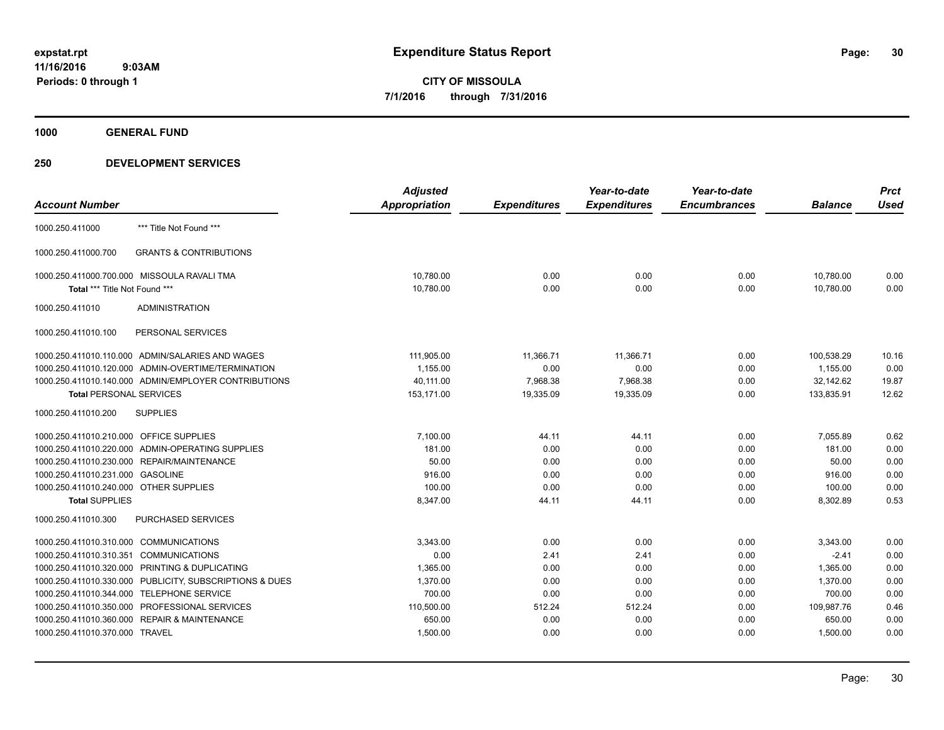**1000 GENERAL FUND**

|                                         |                                                         | <b>Adjusted</b>      |                     | Year-to-date        | Year-to-date        |                | <b>Prct</b> |
|-----------------------------------------|---------------------------------------------------------|----------------------|---------------------|---------------------|---------------------|----------------|-------------|
| <b>Account Number</b>                   |                                                         | <b>Appropriation</b> | <b>Expenditures</b> | <b>Expenditures</b> | <b>Encumbrances</b> | <b>Balance</b> | <b>Used</b> |
| 1000.250.411000                         | *** Title Not Found ***                                 |                      |                     |                     |                     |                |             |
| 1000.250.411000.700                     | <b>GRANTS &amp; CONTRIBUTIONS</b>                       |                      |                     |                     |                     |                |             |
|                                         | 1000.250.411000.700.000 MISSOULA RAVALI TMA             | 10,780.00            | 0.00                | 0.00                | 0.00                | 10,780.00      | 0.00        |
| Total *** Title Not Found ***           |                                                         | 10,780.00            | 0.00                | 0.00                | 0.00                | 10,780.00      | 0.00        |
| 1000.250.411010                         | <b>ADMINISTRATION</b>                                   |                      |                     |                     |                     |                |             |
| 1000.250.411010.100                     | PERSONAL SERVICES                                       |                      |                     |                     |                     |                |             |
|                                         | 1000.250.411010.110.000 ADMIN/SALARIES AND WAGES        | 111,905.00           | 11,366.71           | 11.366.71           | 0.00                | 100.538.29     | 10.16       |
|                                         | 1000.250.411010.120.000 ADMIN-OVERTIME/TERMINATION      | 1,155.00             | 0.00                | 0.00                | 0.00                | 1,155.00       | 0.00        |
|                                         | 1000.250.411010.140.000 ADMIN/EMPLOYER CONTRIBUTIONS    | 40,111.00            | 7,968.38            | 7,968.38            | 0.00                | 32,142.62      | 19.87       |
| <b>Total PERSONAL SERVICES</b>          |                                                         | 153,171.00           | 19,335.09           | 19,335.09           | 0.00                | 133,835.91     | 12.62       |
| 1000.250.411010.200                     | <b>SUPPLIES</b>                                         |                      |                     |                     |                     |                |             |
| 1000.250.411010.210.000 OFFICE SUPPLIES |                                                         | 7.100.00             | 44.11               | 44.11               | 0.00                | 7.055.89       | 0.62        |
|                                         | 1000.250.411010.220.000 ADMIN-OPERATING SUPPLIES        | 181.00               | 0.00                | 0.00                | 0.00                | 181.00         | 0.00        |
|                                         | 1000.250.411010.230.000 REPAIR/MAINTENANCE              | 50.00                | 0.00                | 0.00                | 0.00                | 50.00          | 0.00        |
| 1000.250.411010.231.000 GASOLINE        |                                                         | 916.00               | 0.00                | 0.00                | 0.00                | 916.00         | 0.00        |
| 1000.250.411010.240.000 OTHER SUPPLIES  |                                                         | 100.00               | 0.00                | 0.00                | 0.00                | 100.00         | 0.00        |
| <b>Total SUPPLIES</b>                   |                                                         | 8,347.00             | 44.11               | 44.11               | 0.00                | 8,302.89       | 0.53        |
| 1000.250.411010.300                     | PURCHASED SERVICES                                      |                      |                     |                     |                     |                |             |
| 1000.250.411010.310.000 COMMUNICATIONS  |                                                         | 3,343.00             | 0.00                | 0.00                | 0.00                | 3,343.00       | 0.00        |
| 1000.250.411010.310.351                 | <b>COMMUNICATIONS</b>                                   | 0.00                 | 2.41                | 2.41                | 0.00                | $-2.41$        | 0.00        |
|                                         | 1000.250.411010.320.000 PRINTING & DUPLICATING          | 1,365.00             | 0.00                | 0.00                | 0.00                | 1,365.00       | 0.00        |
|                                         | 1000.250.411010.330.000 PUBLICITY, SUBSCRIPTIONS & DUES | 1,370.00             | 0.00                | 0.00                | 0.00                | 1,370.00       | 0.00        |
| 1000.250.411010.344.000                 | <b>TELEPHONE SERVICE</b>                                | 700.00               | 0.00                | 0.00                | 0.00                | 700.00         | 0.00        |
|                                         | 1000.250.411010.350.000 PROFESSIONAL SERVICES           | 110,500.00           | 512.24              | 512.24              | 0.00                | 109,987.76     | 0.46        |
| 1000.250.411010.360.000                 | <b>REPAIR &amp; MAINTENANCE</b>                         | 650.00               | 0.00                | 0.00                | 0.00                | 650.00         | 0.00        |
| 1000.250.411010.370.000 TRAVEL          |                                                         | 1,500.00             | 0.00                | 0.00                | 0.00                | 1,500.00       | 0.00        |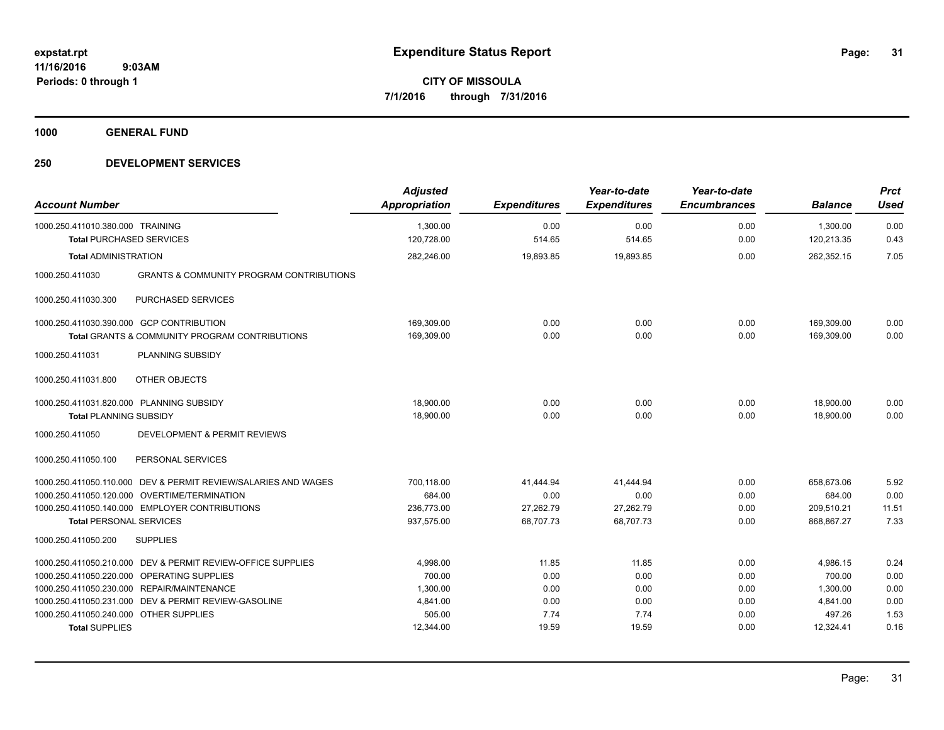**1000 GENERAL FUND**

| <b>Account Number</b>                                               |                                                                | <b>Adjusted</b><br>Appropriation | <b>Expenditures</b> | Year-to-date<br><b>Expenditures</b> | Year-to-date<br><b>Encumbrances</b> | <b>Balance</b>         | <b>Prct</b><br><b>Used</b> |
|---------------------------------------------------------------------|----------------------------------------------------------------|----------------------------------|---------------------|-------------------------------------|-------------------------------------|------------------------|----------------------------|
| 1000.250.411010.380.000 TRAINING<br><b>Total PURCHASED SERVICES</b> |                                                                | 1,300.00<br>120,728.00           | 0.00<br>514.65      | 0.00<br>514.65                      | 0.00<br>0.00                        | 1,300.00<br>120,213.35 | 0.00<br>0.43               |
|                                                                     |                                                                |                                  |                     |                                     |                                     |                        |                            |
| <b>Total ADMINISTRATION</b>                                         |                                                                | 282,246.00                       | 19,893.85           | 19,893.85                           | 0.00                                | 262,352.15             | 7.05                       |
| 1000.250.411030                                                     | <b>GRANTS &amp; COMMUNITY PROGRAM CONTRIBUTIONS</b>            |                                  |                     |                                     |                                     |                        |                            |
| 1000.250.411030.300                                                 | PURCHASED SERVICES                                             |                                  |                     |                                     |                                     |                        |                            |
|                                                                     | 1000.250.411030.390.000 GCP CONTRIBUTION                       | 169,309.00                       | 0.00                | 0.00                                | 0.00                                | 169,309.00             | 0.00                       |
|                                                                     | <b>Total GRANTS &amp; COMMUNITY PROGRAM CONTRIBUTIONS</b>      | 169,309.00                       | 0.00                | 0.00                                | 0.00                                | 169.309.00             | 0.00                       |
| 1000.250.411031                                                     | PLANNING SUBSIDY                                               |                                  |                     |                                     |                                     |                        |                            |
| 1000.250.411031.800                                                 | OTHER OBJECTS                                                  |                                  |                     |                                     |                                     |                        |                            |
| 1000.250.411031.820.000 PLANNING SUBSIDY                            |                                                                | 18,900.00                        | 0.00                | 0.00                                | 0.00                                | 18,900.00              | 0.00                       |
| <b>Total PLANNING SUBSIDY</b>                                       |                                                                | 18,900.00                        | 0.00                | 0.00                                | 0.00                                | 18,900.00              | 0.00                       |
| 1000.250.411050                                                     | <b>DEVELOPMENT &amp; PERMIT REVIEWS</b>                        |                                  |                     |                                     |                                     |                        |                            |
| 1000.250.411050.100                                                 | PERSONAL SERVICES                                              |                                  |                     |                                     |                                     |                        |                            |
|                                                                     | 1000.250.411050.110.000 DEV & PERMIT REVIEW/SALARIES AND WAGES | 700.118.00                       | 41.444.94           | 41.444.94                           | 0.00                                | 658.673.06             | 5.92                       |
|                                                                     | 1000.250.411050.120.000 OVERTIME/TERMINATION                   | 684.00                           | 0.00                | 0.00                                | 0.00                                | 684.00                 | 0.00                       |
|                                                                     | 1000.250.411050.140.000 EMPLOYER CONTRIBUTIONS                 | 236,773.00                       | 27,262.79           | 27,262.79                           | 0.00                                | 209,510.21             | 11.51                      |
| <b>Total PERSONAL SERVICES</b>                                      |                                                                | 937,575.00                       | 68,707.73           | 68,707.73                           | 0.00                                | 868,867.27             | 7.33                       |
| 1000.250.411050.200                                                 | <b>SUPPLIES</b>                                                |                                  |                     |                                     |                                     |                        |                            |
| 1000.250.411050.210.000                                             | DEV & PERMIT REVIEW-OFFICE SUPPLIES                            | 4,998.00                         | 11.85               | 11.85                               | 0.00                                | 4,986.15               | 0.24                       |
| 1000.250.411050.220.000                                             | OPERATING SUPPLIES                                             | 700.00                           | 0.00                | 0.00                                | 0.00                                | 700.00                 | 0.00                       |
|                                                                     | 1000.250.411050.230.000 REPAIR/MAINTENANCE                     | 1,300.00                         | 0.00                | 0.00                                | 0.00                                | 1,300.00               | 0.00                       |
| 1000.250.411050.231.000                                             | DEV & PERMIT REVIEW-GASOLINE                                   | 4,841.00                         | 0.00                | 0.00                                | 0.00                                | 4,841.00               | 0.00                       |
| 1000.250.411050.240.000 OTHER SUPPLIES                              |                                                                | 505.00                           | 7.74                | 7.74                                | 0.00                                | 497.26                 | 1.53                       |
| <b>Total SUPPLIES</b>                                               |                                                                | 12,344.00                        | 19.59               | 19.59                               | 0.00                                | 12,324.41              | 0.16                       |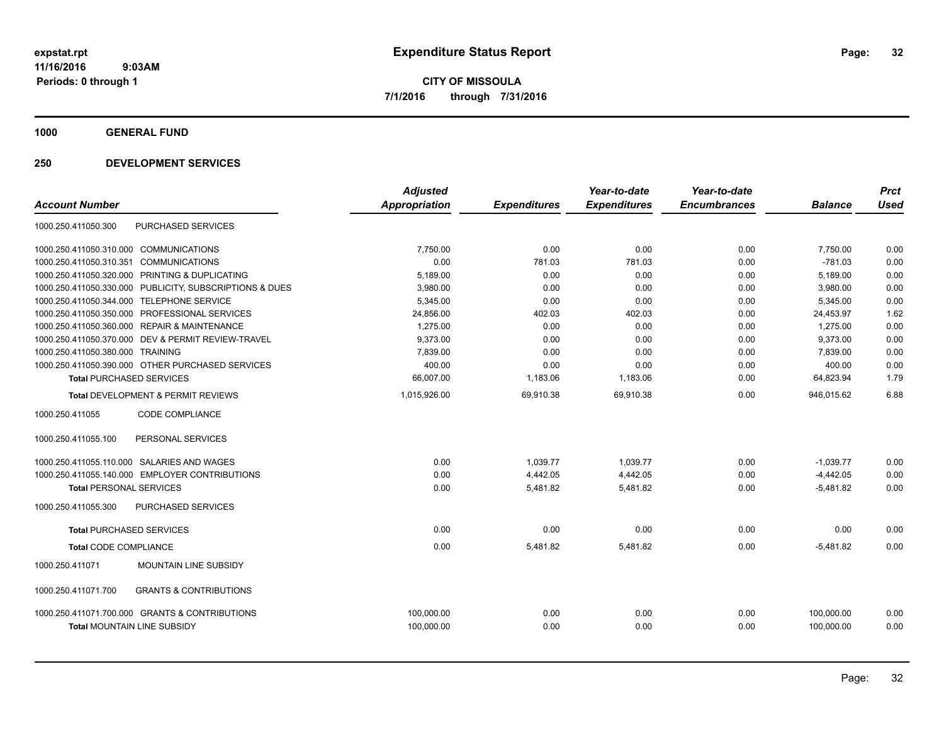**1000 GENERAL FUND**

| <b>Account Number</b>           |                                                  | <b>Adjusted</b><br><b>Appropriation</b> | <b>Expenditures</b> | Year-to-date<br><b>Expenditures</b> | Year-to-date<br><b>Encumbrances</b> | <b>Balance</b> | <b>Prct</b><br><b>Used</b> |
|---------------------------------|--------------------------------------------------|-----------------------------------------|---------------------|-------------------------------------|-------------------------------------|----------------|----------------------------|
| 1000.250.411050.300             | PURCHASED SERVICES                               |                                         |                     |                                     |                                     |                |                            |
| 1000.250.411050.310.000         | <b>COMMUNICATIONS</b>                            | 7.750.00                                | 0.00                | 0.00                                | 0.00                                | 7,750.00       | 0.00                       |
| 1000.250.411050.310.351         | <b>COMMUNICATIONS</b>                            | 0.00                                    | 781.03              | 781.03                              | 0.00                                | $-781.03$      | 0.00                       |
| 1000.250.411050.320.000         | PRINTING & DUPLICATING                           | 5,189.00                                | 0.00                | 0.00                                | 0.00                                | 5,189.00       | 0.00                       |
| 1000.250.411050.330.000         | PUBLICITY, SUBSCRIPTIONS & DUES                  | 3,980.00                                | 0.00                | 0.00                                | 0.00                                | 3,980.00       | 0.00                       |
| 1000.250.411050.344.000         | <b>TELEPHONE SERVICE</b>                         | 5,345.00                                | 0.00                | 0.00                                | 0.00                                | 5,345.00       | 0.00                       |
| 1000.250.411050.350.000         | PROFESSIONAL SERVICES                            | 24,856.00                               | 402.03              | 402.03                              | 0.00                                | 24,453.97      | 1.62                       |
| 1000.250.411050.360.000         | <b>REPAIR &amp; MAINTENANCE</b>                  | 1,275.00                                | 0.00                | 0.00                                | 0.00                                | 1,275.00       | 0.00                       |
| 1000.250.411050.370.000         | DEV & PERMIT REVIEW-TRAVEL                       | 9,373.00                                | 0.00                | 0.00                                | 0.00                                | 9,373.00       | 0.00                       |
| 1000.250.411050.380.000         | <b>TRAINING</b>                                  | 7,839.00                                | 0.00                | 0.00                                | 0.00                                | 7,839.00       | 0.00                       |
|                                 | 1000.250.411050.390.000 OTHER PURCHASED SERVICES | 400.00                                  | 0.00                | 0.00                                | 0.00                                | 400.00         | 0.00                       |
| <b>Total PURCHASED SERVICES</b> |                                                  | 66,007.00                               | 1,183.06            | 1,183.06                            | 0.00                                | 64,823.94      | 1.79                       |
|                                 | Total DEVELOPMENT & PERMIT REVIEWS               | 1,015,926.00                            | 69,910.38           | 69,910.38                           | 0.00                                | 946,015.62     | 6.88                       |
| 1000.250.411055                 | <b>CODE COMPLIANCE</b>                           |                                         |                     |                                     |                                     |                |                            |
| 1000.250.411055.100             | PERSONAL SERVICES                                |                                         |                     |                                     |                                     |                |                            |
| 1000.250.411055.110.000         | SALARIES AND WAGES                               | 0.00                                    | 1,039.77            | 1,039.77                            | 0.00                                | $-1,039.77$    | 0.00                       |
|                                 | 1000.250.411055.140.000 EMPLOYER CONTRIBUTIONS   | 0.00                                    | 4,442.05            | 4,442.05                            | 0.00                                | $-4,442.05$    | 0.00                       |
| <b>Total PERSONAL SERVICES</b>  |                                                  | 0.00                                    | 5,481.82            | 5,481.82                            | 0.00                                | $-5,481.82$    | 0.00                       |
| 1000.250.411055.300             | <b>PURCHASED SERVICES</b>                        |                                         |                     |                                     |                                     |                |                            |
| <b>Total PURCHASED SERVICES</b> |                                                  | 0.00                                    | 0.00                | 0.00                                | 0.00                                | 0.00           | 0.00                       |
| <b>Total CODE COMPLIANCE</b>    |                                                  | 0.00                                    | 5,481.82            | 5,481.82                            | 0.00                                | $-5,481.82$    | 0.00                       |
| 1000.250.411071                 | MOUNTAIN LINE SUBSIDY                            |                                         |                     |                                     |                                     |                |                            |
| 1000.250.411071.700             | <b>GRANTS &amp; CONTRIBUTIONS</b>                |                                         |                     |                                     |                                     |                |                            |
|                                 | 1000.250.411071.700.000 GRANTS & CONTRIBUTIONS   | 100,000.00                              | 0.00                | 0.00                                | 0.00                                | 100,000.00     | 0.00                       |
| Total MOUNTAIN LINE SUBSIDY     |                                                  | 100,000.00                              | 0.00                | 0.00                                | 0.00                                | 100,000.00     | 0.00                       |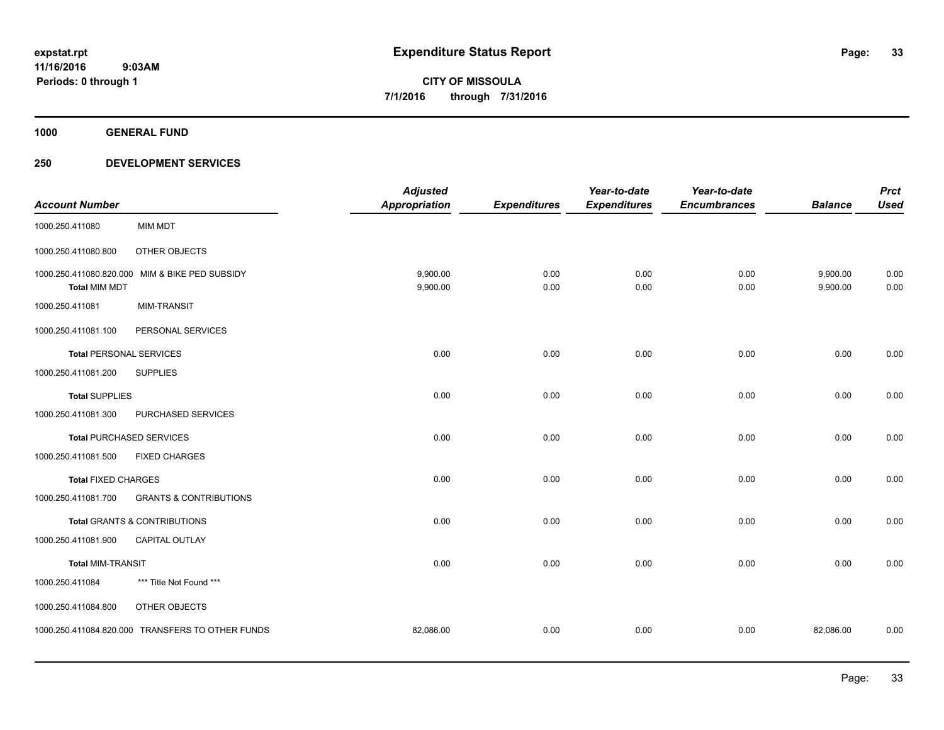**1000 GENERAL FUND**

| <b>Account Number</b>                           |                                                  | <b>Adjusted</b><br><b>Appropriation</b> | <b>Expenditures</b> | Year-to-date<br><b>Expenditures</b> | Year-to-date<br><b>Encumbrances</b> | <b>Balance</b>       | <b>Prct</b><br><b>Used</b> |
|-------------------------------------------------|--------------------------------------------------|-----------------------------------------|---------------------|-------------------------------------|-------------------------------------|----------------------|----------------------------|
| 1000.250.411080                                 | <b>MIM MDT</b>                                   |                                         |                     |                                     |                                     |                      |                            |
| 1000.250.411080.800                             | OTHER OBJECTS                                    |                                         |                     |                                     |                                     |                      |                            |
| 1000.250.411080.820.000<br><b>Total MIM MDT</b> | MIM & BIKE PED SUBSIDY                           | 9,900.00<br>9,900.00                    | 0.00<br>0.00        | 0.00<br>0.00                        | 0.00<br>0.00                        | 9,900.00<br>9,900.00 | 0.00<br>0.00               |
| 1000.250.411081                                 | <b>MIM-TRANSIT</b>                               |                                         |                     |                                     |                                     |                      |                            |
| 1000.250.411081.100                             | PERSONAL SERVICES                                |                                         |                     |                                     |                                     |                      |                            |
| <b>Total PERSONAL SERVICES</b>                  |                                                  | 0.00                                    | 0.00                | 0.00                                | 0.00                                | 0.00                 | 0.00                       |
| 1000.250.411081.200                             | <b>SUPPLIES</b>                                  |                                         |                     |                                     |                                     |                      |                            |
| <b>Total SUPPLIES</b>                           |                                                  | 0.00                                    | 0.00                | 0.00                                | 0.00                                | 0.00                 | 0.00                       |
| 1000.250.411081.300                             | PURCHASED SERVICES                               |                                         |                     |                                     |                                     |                      |                            |
|                                                 | <b>Total PURCHASED SERVICES</b>                  | 0.00                                    | 0.00                | 0.00                                | 0.00                                | 0.00                 | 0.00                       |
| 1000.250.411081.500                             | <b>FIXED CHARGES</b>                             |                                         |                     |                                     |                                     |                      |                            |
| <b>Total FIXED CHARGES</b>                      |                                                  | 0.00                                    | 0.00                | 0.00                                | 0.00                                | 0.00                 | 0.00                       |
| 1000.250.411081.700                             | <b>GRANTS &amp; CONTRIBUTIONS</b>                |                                         |                     |                                     |                                     |                      |                            |
|                                                 | Total GRANTS & CONTRIBUTIONS                     | 0.00                                    | 0.00                | 0.00                                | 0.00                                | 0.00                 | 0.00                       |
| 1000.250.411081.900                             | <b>CAPITAL OUTLAY</b>                            |                                         |                     |                                     |                                     |                      |                            |
| <b>Total MIM-TRANSIT</b>                        |                                                  | 0.00                                    | 0.00                | 0.00                                | 0.00                                | 0.00                 | 0.00                       |
| 1000.250.411084                                 | *** Title Not Found ***                          |                                         |                     |                                     |                                     |                      |                            |
| 1000.250.411084.800                             | OTHER OBJECTS                                    |                                         |                     |                                     |                                     |                      |                            |
|                                                 | 1000.250.411084.820.000 TRANSFERS TO OTHER FUNDS | 82,086.00                               | 0.00                | 0.00                                | 0.00                                | 82,086.00            | 0.00                       |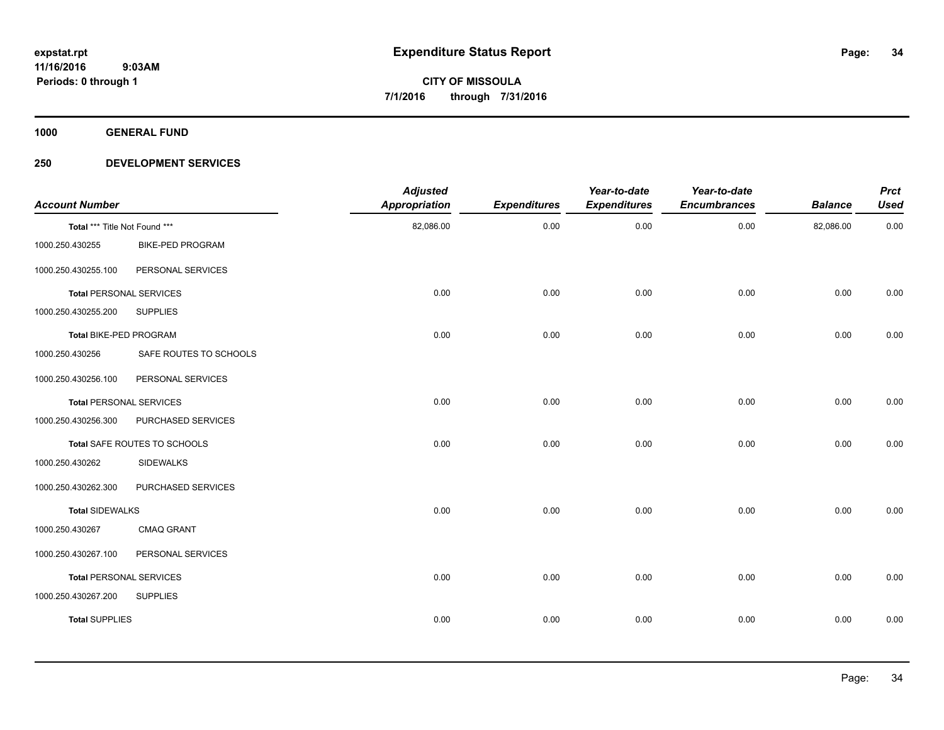**1000 GENERAL FUND**

| <b>Account Number</b>          |                              | <b>Adjusted</b><br><b>Appropriation</b> | <b>Expenditures</b> | Year-to-date<br><b>Expenditures</b> | Year-to-date<br><b>Encumbrances</b> | <b>Balance</b> | <b>Prct</b><br><b>Used</b> |
|--------------------------------|------------------------------|-----------------------------------------|---------------------|-------------------------------------|-------------------------------------|----------------|----------------------------|
| Total *** Title Not Found ***  |                              | 82,086.00                               | 0.00                | 0.00                                | 0.00                                | 82,086.00      | 0.00                       |
| 1000.250.430255                | <b>BIKE-PED PROGRAM</b>      |                                         |                     |                                     |                                     |                |                            |
| 1000.250.430255.100            | PERSONAL SERVICES            |                                         |                     |                                     |                                     |                |                            |
| <b>Total PERSONAL SERVICES</b> |                              | 0.00                                    | 0.00                | 0.00                                | 0.00                                | 0.00           | 0.00                       |
| 1000.250.430255.200            | <b>SUPPLIES</b>              |                                         |                     |                                     |                                     |                |                            |
| Total BIKE-PED PROGRAM         |                              | 0.00                                    | 0.00                | 0.00                                | 0.00                                | 0.00           | 0.00                       |
| 1000.250.430256                | SAFE ROUTES TO SCHOOLS       |                                         |                     |                                     |                                     |                |                            |
| 1000.250.430256.100            | PERSONAL SERVICES            |                                         |                     |                                     |                                     |                |                            |
| <b>Total PERSONAL SERVICES</b> |                              | 0.00                                    | 0.00                | 0.00                                | 0.00                                | 0.00           | 0.00                       |
| 1000.250.430256.300            | PURCHASED SERVICES           |                                         |                     |                                     |                                     |                |                            |
|                                | Total SAFE ROUTES TO SCHOOLS | 0.00                                    | 0.00                | 0.00                                | 0.00                                | 0.00           | 0.00                       |
| 1000.250.430262                | <b>SIDEWALKS</b>             |                                         |                     |                                     |                                     |                |                            |
| 1000.250.430262.300            | PURCHASED SERVICES           |                                         |                     |                                     |                                     |                |                            |
| <b>Total SIDEWALKS</b>         |                              | 0.00                                    | 0.00                | 0.00                                | 0.00                                | 0.00           | 0.00                       |
| 1000.250.430267                | <b>CMAQ GRANT</b>            |                                         |                     |                                     |                                     |                |                            |
| 1000.250.430267.100            | PERSONAL SERVICES            |                                         |                     |                                     |                                     |                |                            |
| <b>Total PERSONAL SERVICES</b> |                              | 0.00                                    | 0.00                | 0.00                                | 0.00                                | 0.00           | 0.00                       |
| 1000.250.430267.200            | <b>SUPPLIES</b>              |                                         |                     |                                     |                                     |                |                            |
| <b>Total SUPPLIES</b>          |                              | 0.00                                    | 0.00                | 0.00                                | 0.00                                | 0.00           | 0.00                       |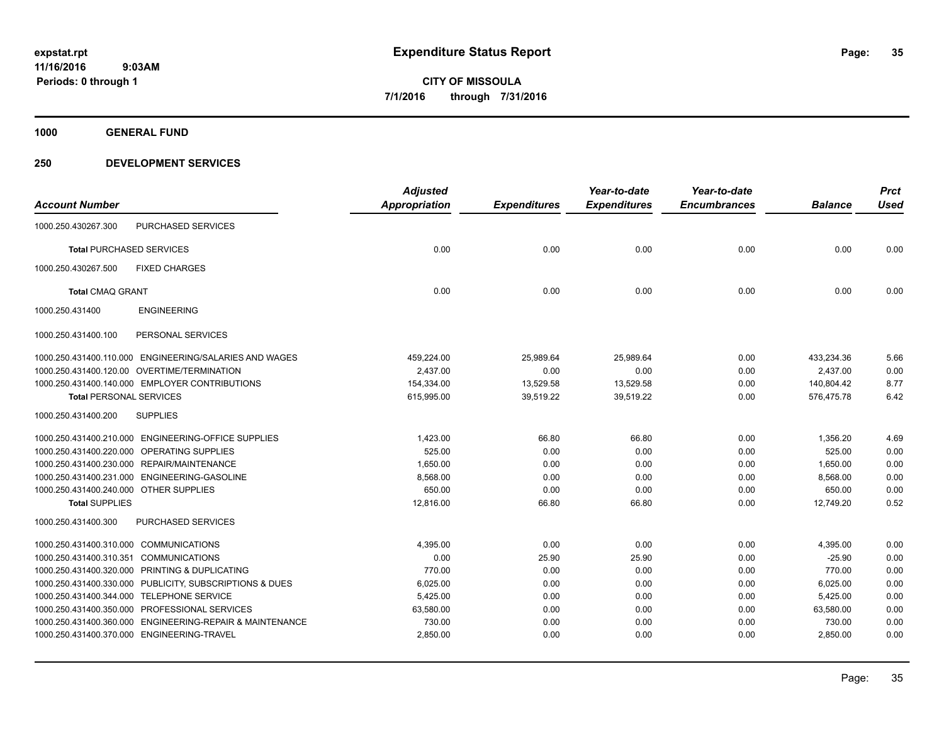**1000 GENERAL FUND**

|                                        |                                                          | <b>Adjusted</b>      |                     | Year-to-date        | Year-to-date        |                | <b>Prct</b> |
|----------------------------------------|----------------------------------------------------------|----------------------|---------------------|---------------------|---------------------|----------------|-------------|
| <b>Account Number</b>                  |                                                          | <b>Appropriation</b> | <b>Expenditures</b> | <b>Expenditures</b> | <b>Encumbrances</b> | <b>Balance</b> | <b>Used</b> |
| 1000.250.430267.300                    | PURCHASED SERVICES                                       |                      |                     |                     |                     |                |             |
|                                        | <b>Total PURCHASED SERVICES</b>                          | 0.00                 | 0.00                | 0.00                | 0.00                | 0.00           | 0.00        |
| 1000.250.430267.500                    | <b>FIXED CHARGES</b>                                     |                      |                     |                     |                     |                |             |
| <b>Total CMAQ GRANT</b>                |                                                          | 0.00                 | 0.00                | 0.00                | 0.00                | 0.00           | 0.00        |
| 1000.250.431400                        | <b>ENGINEERING</b>                                       |                      |                     |                     |                     |                |             |
| 1000.250.431400.100                    | PERSONAL SERVICES                                        |                      |                     |                     |                     |                |             |
|                                        | 1000.250.431400.110.000 ENGINEERING/SALARIES AND WAGES   | 459,224.00           | 25,989.64           | 25,989.64           | 0.00                | 433,234.36     | 5.66        |
|                                        | 1000.250.431400.120.00 OVERTIME/TERMINATION              | 2,437.00             | 0.00                | 0.00                | 0.00                | 2,437.00       | 0.00        |
|                                        | 1000.250.431400.140.000 EMPLOYER CONTRIBUTIONS           | 154,334.00           | 13,529.58           | 13,529.58           | 0.00                | 140,804.42     | 8.77        |
| <b>Total PERSONAL SERVICES</b>         |                                                          | 615,995.00           | 39,519.22           | 39,519.22           | 0.00                | 576,475.78     | 6.42        |
| 1000.250.431400.200                    | <b>SUPPLIES</b>                                          |                      |                     |                     |                     |                |             |
|                                        | 1000.250.431400.210.000 ENGINEERING-OFFICE SUPPLIES      | 1,423.00             | 66.80               | 66.80               | 0.00                | 1,356.20       | 4.69        |
|                                        | 1000.250.431400.220.000 OPERATING SUPPLIES               | 525.00               | 0.00                | 0.00                | 0.00                | 525.00         | 0.00        |
|                                        | 1000.250.431400.230.000 REPAIR/MAINTENANCE               | 1,650.00             | 0.00                | 0.00                | 0.00                | 1,650.00       | 0.00        |
|                                        | 1000.250.431400.231.000 ENGINEERING-GASOLINE             | 8.568.00             | 0.00                | 0.00                | 0.00                | 8.568.00       | 0.00        |
| 1000.250.431400.240.000 OTHER SUPPLIES |                                                          | 650.00               | 0.00                | 0.00                | 0.00                | 650.00         | 0.00        |
| <b>Total SUPPLIES</b>                  |                                                          | 12.816.00            | 66.80               | 66.80               | 0.00                | 12.749.20      | 0.52        |
| 1000.250.431400.300                    | PURCHASED SERVICES                                       |                      |                     |                     |                     |                |             |
| 1000.250.431400.310.000 COMMUNICATIONS |                                                          | 4,395.00             | 0.00                | 0.00                | 0.00                | 4,395.00       | 0.00        |
| 1000.250.431400.310.351 COMMUNICATIONS |                                                          | 0.00                 | 25.90               | 25.90               | 0.00                | $-25.90$       | 0.00        |
|                                        | 1000.250.431400.320.000 PRINTING & DUPLICATING           | 770.00               | 0.00                | 0.00                | 0.00                | 770.00         | 0.00        |
|                                        | 1000.250.431400.330.000 PUBLICITY, SUBSCRIPTIONS & DUES  | 6,025.00             | 0.00                | 0.00                | 0.00                | 6,025.00       | 0.00        |
|                                        | 1000.250.431400.344.000 TELEPHONE SERVICE                | 5,425.00             | 0.00                | 0.00                | 0.00                | 5,425.00       | 0.00        |
|                                        | 1000.250.431400.350.000 PROFESSIONAL SERVICES            | 63,580.00            | 0.00                | 0.00                | 0.00                | 63,580.00      | 0.00        |
|                                        | 1000.250.431400.360.000 ENGINEERING-REPAIR & MAINTENANCE | 730.00               | 0.00                | 0.00                | 0.00                | 730.00         | 0.00        |
|                                        | 1000.250.431400.370.000 ENGINEERING-TRAVEL               | 2,850.00             | 0.00                | 0.00                | 0.00                | 2,850.00       | 0.00        |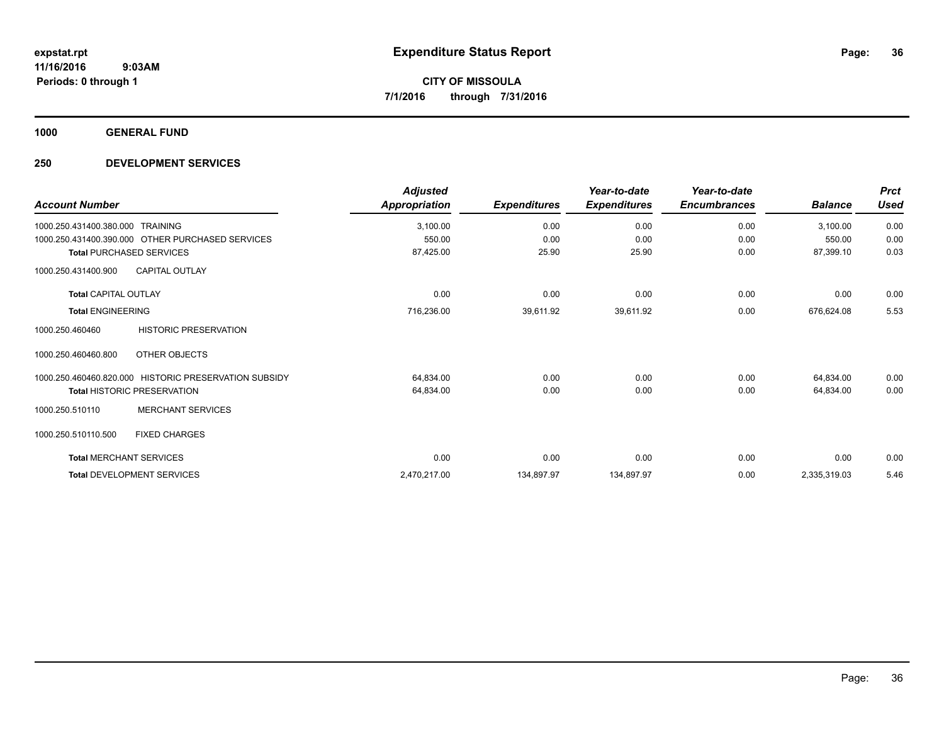**1000 GENERAL FUND**

| <b>Account Number</b>                                 | <b>Adjusted</b><br>Appropriation | <b>Expenditures</b> | Year-to-date<br><b>Expenditures</b> | Year-to-date<br><b>Encumbrances</b> | <b>Balance</b> | <b>Prct</b><br><b>Used</b> |
|-------------------------------------------------------|----------------------------------|---------------------|-------------------------------------|-------------------------------------|----------------|----------------------------|
| 1000.250.431400.380.000<br><b>TRAINING</b>            | 3,100.00                         | 0.00                | 0.00                                | 0.00                                | 3,100.00       | 0.00                       |
| 1000.250.431400.390.000 OTHER PURCHASED SERVICES      | 550.00                           | 0.00                | 0.00                                | 0.00                                | 550.00         | 0.00                       |
| <b>Total PURCHASED SERVICES</b>                       | 87,425.00                        | 25.90               | 25.90                               | 0.00                                | 87,399.10      | 0.03                       |
| <b>CAPITAL OUTLAY</b><br>1000.250.431400.900          |                                  |                     |                                     |                                     |                |                            |
| <b>Total CAPITAL OUTLAY</b>                           | 0.00                             | 0.00                | 0.00                                | 0.00                                | 0.00           | 0.00                       |
| <b>Total ENGINEERING</b>                              | 716,236.00                       | 39,611.92           | 39,611.92                           | 0.00                                | 676,624.08     | 5.53                       |
| <b>HISTORIC PRESERVATION</b><br>1000.250.460460       |                                  |                     |                                     |                                     |                |                            |
| 1000.250.460460.800<br>OTHER OBJECTS                  |                                  |                     |                                     |                                     |                |                            |
| 1000.250.460460.820.000 HISTORIC PRESERVATION SUBSIDY | 64,834.00                        | 0.00                | 0.00                                | 0.00                                | 64,834.00      | 0.00                       |
| <b>Total HISTORIC PRESERVATION</b>                    | 64,834.00                        | 0.00                | 0.00                                | 0.00                                | 64,834.00      | 0.00                       |
| <b>MERCHANT SERVICES</b><br>1000.250.510110           |                                  |                     |                                     |                                     |                |                            |
| 1000.250.510110.500<br><b>FIXED CHARGES</b>           |                                  |                     |                                     |                                     |                |                            |
| <b>Total MERCHANT SERVICES</b>                        | 0.00                             | 0.00                | 0.00                                | 0.00                                | 0.00           | 0.00                       |
| <b>Total DEVELOPMENT SERVICES</b>                     | 2,470,217.00                     | 134,897.97          | 134,897.97                          | 0.00                                | 2,335,319.03   | 5.46                       |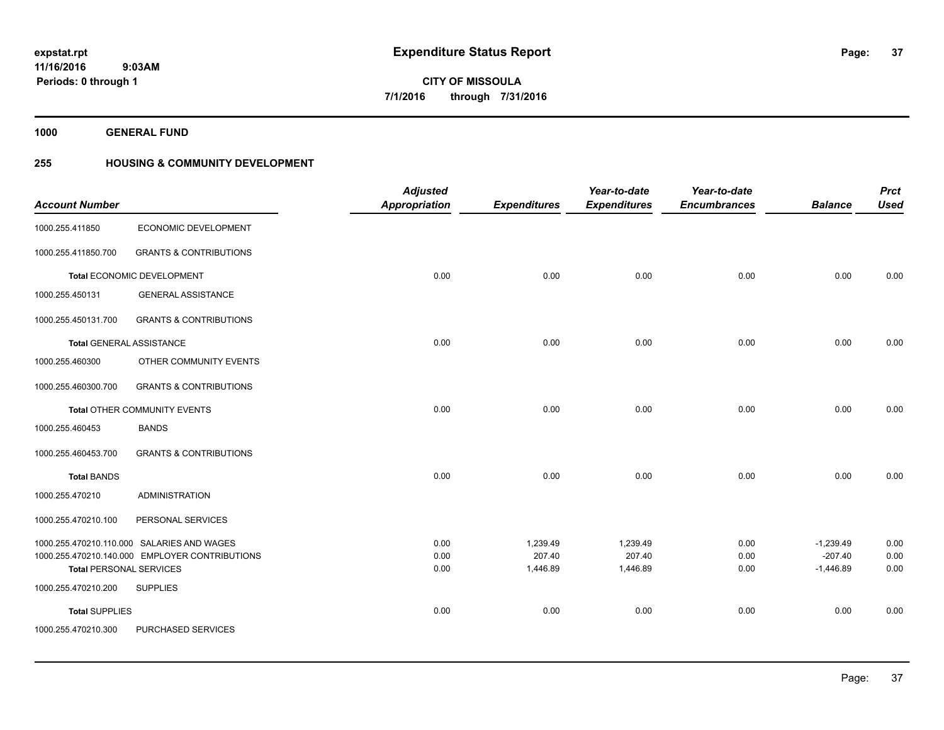**1000 GENERAL FUND**

# **255 HOUSING & COMMUNITY DEVELOPMENT**

| <b>Account Number</b>                                 |                                                                                                                 | <b>Adjusted</b><br>Appropriation | <b>Expenditures</b>            | Year-to-date<br><b>Expenditures</b> | Year-to-date<br><b>Encumbrances</b> | <b>Balance</b>                          | <b>Prct</b><br><b>Used</b> |
|-------------------------------------------------------|-----------------------------------------------------------------------------------------------------------------|----------------------------------|--------------------------------|-------------------------------------|-------------------------------------|-----------------------------------------|----------------------------|
| 1000.255.411850                                       | ECONOMIC DEVELOPMENT                                                                                            |                                  |                                |                                     |                                     |                                         |                            |
| 1000.255.411850.700                                   | <b>GRANTS &amp; CONTRIBUTIONS</b>                                                                               |                                  |                                |                                     |                                     |                                         |                            |
|                                                       | Total ECONOMIC DEVELOPMENT                                                                                      | 0.00                             | 0.00                           | 0.00                                | 0.00                                | 0.00                                    | 0.00                       |
| 1000.255.450131                                       | <b>GENERAL ASSISTANCE</b>                                                                                       |                                  |                                |                                     |                                     |                                         |                            |
| 1000.255.450131.700                                   | <b>GRANTS &amp; CONTRIBUTIONS</b>                                                                               |                                  |                                |                                     |                                     |                                         |                            |
| Total GENERAL ASSISTANCE                              |                                                                                                                 | 0.00                             | 0.00                           | 0.00                                | 0.00                                | 0.00                                    | 0.00                       |
| 1000.255.460300                                       | OTHER COMMUNITY EVENTS                                                                                          |                                  |                                |                                     |                                     |                                         |                            |
| 1000.255.460300.700                                   | <b>GRANTS &amp; CONTRIBUTIONS</b>                                                                               |                                  |                                |                                     |                                     |                                         |                            |
|                                                       | Total OTHER COMMUNITY EVENTS                                                                                    | 0.00                             | 0.00                           | 0.00                                | 0.00                                | 0.00                                    | 0.00                       |
| 1000.255.460453                                       | <b>BANDS</b>                                                                                                    |                                  |                                |                                     |                                     |                                         |                            |
| 1000.255.460453.700                                   | <b>GRANTS &amp; CONTRIBUTIONS</b>                                                                               |                                  |                                |                                     |                                     |                                         |                            |
| <b>Total BANDS</b>                                    |                                                                                                                 | 0.00                             | 0.00                           | 0.00                                | 0.00                                | 0.00                                    | 0.00                       |
| 1000.255.470210                                       | <b>ADMINISTRATION</b>                                                                                           |                                  |                                |                                     |                                     |                                         |                            |
| 1000.255.470210.100                                   | PERSONAL SERVICES                                                                                               |                                  |                                |                                     |                                     |                                         |                            |
| <b>Total PERSONAL SERVICES</b><br>1000.255.470210.200 | 1000.255.470210.110.000 SALARIES AND WAGES<br>1000.255.470210.140.000 EMPLOYER CONTRIBUTIONS<br><b>SUPPLIES</b> | 0.00<br>0.00<br>0.00             | 1,239.49<br>207.40<br>1,446.89 | 1,239.49<br>207.40<br>1,446.89      | 0.00<br>0.00<br>0.00                | $-1,239.49$<br>$-207.40$<br>$-1,446.89$ | 0.00<br>0.00<br>0.00       |
|                                                       |                                                                                                                 |                                  |                                |                                     |                                     |                                         |                            |
| <b>Total SUPPLIES</b><br>1000.255.470210.300          | PURCHASED SERVICES                                                                                              | 0.00                             | 0.00                           | 0.00                                | 0.00                                | 0.00                                    | 0.00                       |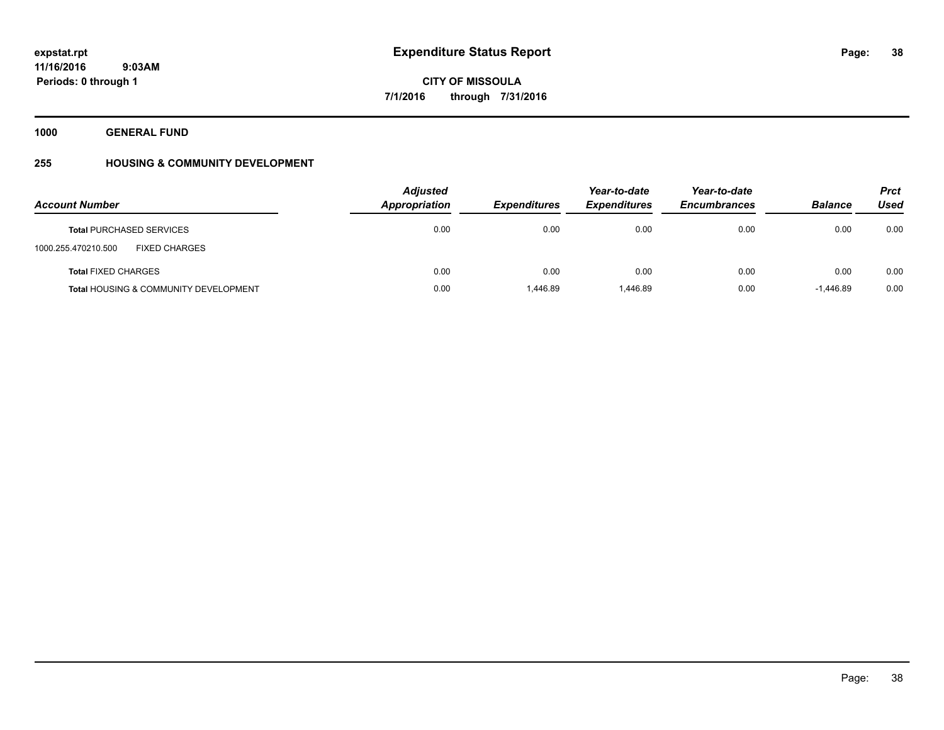**1000 GENERAL FUND**

# **255 HOUSING & COMMUNITY DEVELOPMENT**

| <b>Account Number</b>                            | <b>Adjusted</b><br>Appropriation | <b>Expenditures</b> | Year-to-date<br><b>Expenditures</b> | Year-to-date<br><b>Encumbrances</b> | <b>Balance</b> | <b>Prct</b><br><b>Used</b> |
|--------------------------------------------------|----------------------------------|---------------------|-------------------------------------|-------------------------------------|----------------|----------------------------|
| <b>Total PURCHASED SERVICES</b>                  | 0.00                             | 0.00                | 0.00                                | 0.00                                | 0.00           | 0.00                       |
| <b>FIXED CHARGES</b><br>1000.255.470210.500      |                                  |                     |                                     |                                     |                |                            |
| <b>Total FIXED CHARGES</b>                       | 0.00                             | 0.00                | 0.00                                | 0.00                                | 0.00           | 0.00                       |
| <b>Total HOUSING &amp; COMMUNITY DEVELOPMENT</b> | 0.00                             | 1.446.89            | 1.446.89                            | 0.00                                | $-1.446.89$    | 0.00                       |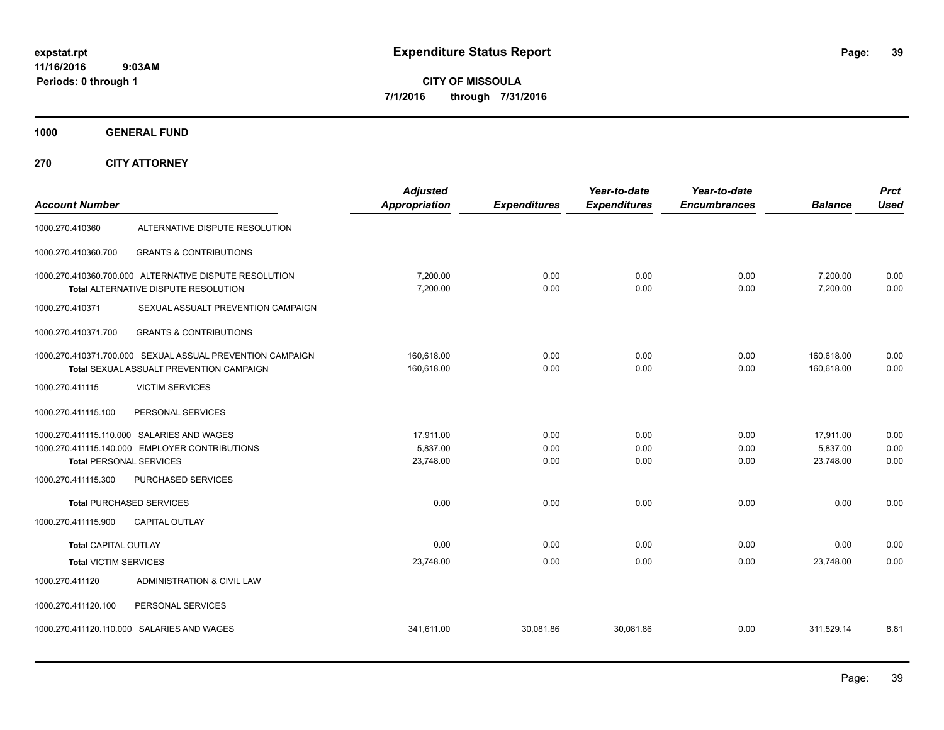**CITY OF MISSOULA 7/1/2016 through 7/31/2016**

**1000 GENERAL FUND**

**270 CITY ATTORNEY**

| <b>Account Number</b>           |                                                                                                       | <b>Adjusted</b><br><b>Appropriation</b> | <b>Expenditures</b>  | Year-to-date<br><b>Expenditures</b> | Year-to-date<br><b>Encumbrances</b> | <b>Balance</b>                     | <b>Prct</b><br><b>Used</b> |
|---------------------------------|-------------------------------------------------------------------------------------------------------|-----------------------------------------|----------------------|-------------------------------------|-------------------------------------|------------------------------------|----------------------------|
| 1000.270.410360                 | ALTERNATIVE DISPUTE RESOLUTION                                                                        |                                         |                      |                                     |                                     |                                    |                            |
| 1000.270.410360.700             | <b>GRANTS &amp; CONTRIBUTIONS</b>                                                                     |                                         |                      |                                     |                                     |                                    |                            |
|                                 | 1000.270.410360.700.000 ALTERNATIVE DISPUTE RESOLUTION<br>Total ALTERNATIVE DISPUTE RESOLUTION        | 7,200.00<br>7,200.00                    | 0.00<br>0.00         | 0.00<br>0.00                        | 0.00<br>0.00                        | 7,200.00<br>7,200.00               | 0.00<br>0.00               |
| 1000.270.410371                 | SEXUAL ASSUALT PREVENTION CAMPAIGN                                                                    |                                         |                      |                                     |                                     |                                    |                            |
| 1000.270.410371.700             | <b>GRANTS &amp; CONTRIBUTIONS</b>                                                                     |                                         |                      |                                     |                                     |                                    |                            |
|                                 | 1000.270.410371.700.000 SEXUAL ASSUAL PREVENTION CAMPAIGN<br>Total SEXUAL ASSUALT PREVENTION CAMPAIGN | 160,618.00<br>160,618.00                | 0.00<br>0.00         | 0.00<br>0.00                        | 0.00<br>0.00                        | 160,618.00<br>160.618.00           | 0.00<br>0.00               |
| 1000.270.411115                 | <b>VICTIM SERVICES</b>                                                                                |                                         |                      |                                     |                                     |                                    |                            |
| 1000.270.411115.100             | PERSONAL SERVICES                                                                                     |                                         |                      |                                     |                                     |                                    |                            |
| <b>Total PERSONAL SERVICES</b>  | 1000.270.411115.110.000 SALARIES AND WAGES<br>1000.270.411115.140.000 EMPLOYER CONTRIBUTIONS          | 17.911.00<br>5,837.00<br>23,748.00      | 0.00<br>0.00<br>0.00 | 0.00<br>0.00<br>0.00                | 0.00<br>0.00<br>0.00                | 17,911.00<br>5,837.00<br>23,748.00 | 0.00<br>0.00<br>0.00       |
| 1000.270.411115.300             | PURCHASED SERVICES                                                                                    |                                         |                      |                                     |                                     |                                    |                            |
| <b>Total PURCHASED SERVICES</b> |                                                                                                       | 0.00                                    | 0.00                 | 0.00                                | 0.00                                | 0.00                               | 0.00                       |
| 1000.270.411115.900             | CAPITAL OUTLAY                                                                                        |                                         |                      |                                     |                                     |                                    |                            |
| <b>Total CAPITAL OUTLAY</b>     |                                                                                                       | 0.00                                    | 0.00                 | 0.00                                | 0.00                                | 0.00                               | 0.00                       |
| <b>Total VICTIM SERVICES</b>    |                                                                                                       | 23,748.00                               | 0.00                 | 0.00                                | 0.00                                | 23,748.00                          | 0.00                       |
| 1000.270.411120                 | ADMINISTRATION & CIVIL LAW                                                                            |                                         |                      |                                     |                                     |                                    |                            |
| 1000.270.411120.100             | PERSONAL SERVICES                                                                                     |                                         |                      |                                     |                                     |                                    |                            |
|                                 | 1000.270.411120.110.000 SALARIES AND WAGES                                                            | 341,611.00                              | 30,081.86            | 30.081.86                           | 0.00                                | 311,529.14                         | 8.81                       |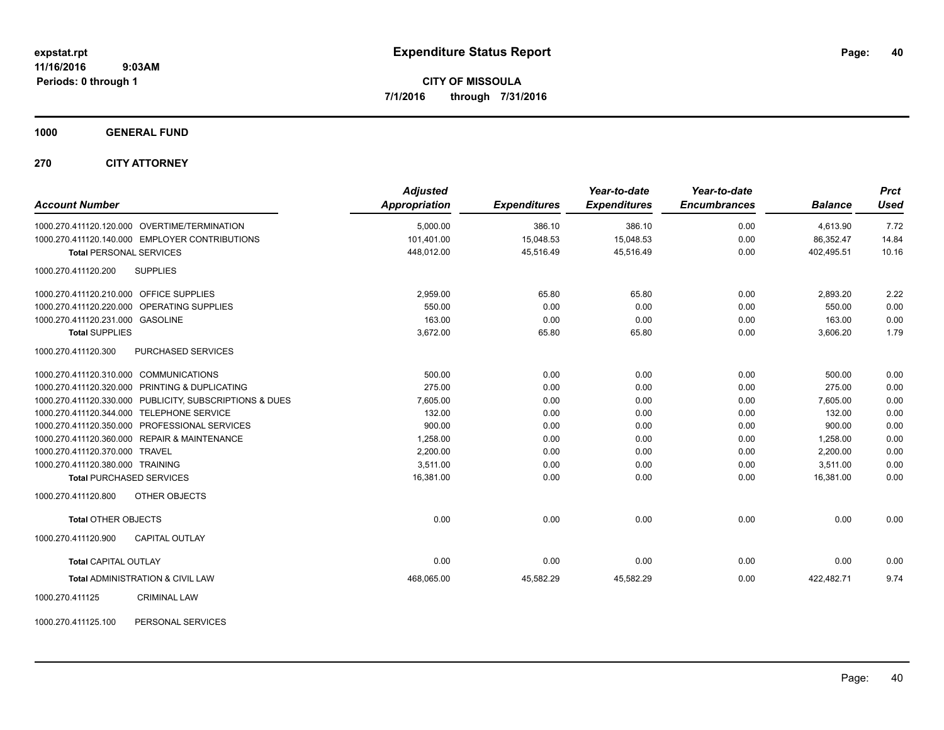**1000 GENERAL FUND**

**270 CITY ATTORNEY**

| <b>Account Number</b>                                   | <b>Adjusted</b><br>Appropriation | <b>Expenditures</b> | Year-to-date<br><b>Expenditures</b> | Year-to-date<br><b>Encumbrances</b> | <b>Balance</b> | <b>Prct</b><br><b>Used</b> |
|---------------------------------------------------------|----------------------------------|---------------------|-------------------------------------|-------------------------------------|----------------|----------------------------|
| 1000.270.411120.120.000 OVERTIME/TERMINATION            | 5,000.00                         | 386.10              | 386.10                              | 0.00                                | 4,613.90       | 7.72                       |
| 1000.270.411120.140.000 EMPLOYER CONTRIBUTIONS          | 101,401.00                       | 15.048.53           | 15,048.53                           | 0.00                                | 86.352.47      | 14.84                      |
| <b>Total PERSONAL SERVICES</b>                          | 448,012.00                       | 45,516.49           | 45,516.49                           | 0.00                                | 402,495.51     | 10.16                      |
| 1000.270.411120.200<br><b>SUPPLIES</b>                  |                                  |                     |                                     |                                     |                |                            |
| 1000.270.411120.210.000 OFFICE SUPPLIES                 | 2,959.00                         | 65.80               | 65.80                               | 0.00                                | 2,893.20       | 2.22                       |
| 1000.270.411120.220.000 OPERATING SUPPLIES              | 550.00                           | 0.00                | 0.00                                | 0.00                                | 550.00         | 0.00                       |
| 1000.270.411120.231.000 GASOLINE                        | 163.00                           | 0.00                | 0.00                                | 0.00                                | 163.00         | 0.00                       |
| <b>Total SUPPLIES</b>                                   | 3,672.00                         | 65.80               | 65.80                               | 0.00                                | 3,606.20       | 1.79                       |
| 1000.270.411120.300<br>PURCHASED SERVICES               |                                  |                     |                                     |                                     |                |                            |
| 1000.270.411120.310.000 COMMUNICATIONS                  | 500.00                           | 0.00                | 0.00                                | 0.00                                | 500.00         | 0.00                       |
| 1000.270.411120.320.000 PRINTING & DUPLICATING          | 275.00                           | 0.00                | 0.00                                | 0.00                                | 275.00         | 0.00                       |
| 1000.270.411120.330.000 PUBLICITY, SUBSCRIPTIONS & DUES | 7,605.00                         | 0.00                | 0.00                                | 0.00                                | 7,605.00       | 0.00                       |
| 1000.270.411120.344.000 TELEPHONE SERVICE               | 132.00                           | 0.00                | 0.00                                | 0.00                                | 132.00         | 0.00                       |
| 1000.270.411120.350.000 PROFESSIONAL SERVICES           | 900.00                           | 0.00                | 0.00                                | 0.00                                | 900.00         | 0.00                       |
| 1000.270.411120.360.000 REPAIR & MAINTENANCE            | 1,258.00                         | 0.00                | 0.00                                | 0.00                                | 1,258.00       | 0.00                       |
| 1000.270.411120.370.000 TRAVEL                          | 2,200.00                         | 0.00                | 0.00                                | 0.00                                | 2,200.00       | 0.00                       |
| 1000.270.411120.380.000 TRAINING                        | 3,511.00                         | 0.00                | 0.00                                | 0.00                                | 3,511.00       | 0.00                       |
| <b>Total PURCHASED SERVICES</b>                         | 16,381.00                        | 0.00                | 0.00                                | 0.00                                | 16,381.00      | 0.00                       |
| 1000.270.411120.800<br><b>OTHER OBJECTS</b>             |                                  |                     |                                     |                                     |                |                            |
| <b>Total OTHER OBJECTS</b>                              | 0.00                             | 0.00                | 0.00                                | 0.00                                | 0.00           | 0.00                       |
| 1000.270.411120.900<br><b>CAPITAL OUTLAY</b>            |                                  |                     |                                     |                                     |                |                            |
| <b>Total CAPITAL OUTLAY</b>                             | 0.00                             | 0.00                | 0.00                                | 0.00                                | 0.00           | 0.00                       |
| <b>Total ADMINISTRATION &amp; CIVIL LAW</b>             | 468,065.00                       | 45,582.29           | 45,582.29                           | 0.00                                | 422,482.71     | 9.74                       |
| 1000.270.411125<br><b>CRIMINAL LAW</b>                  |                                  |                     |                                     |                                     |                |                            |

1000.270.411125.100 PERSONAL SERVICES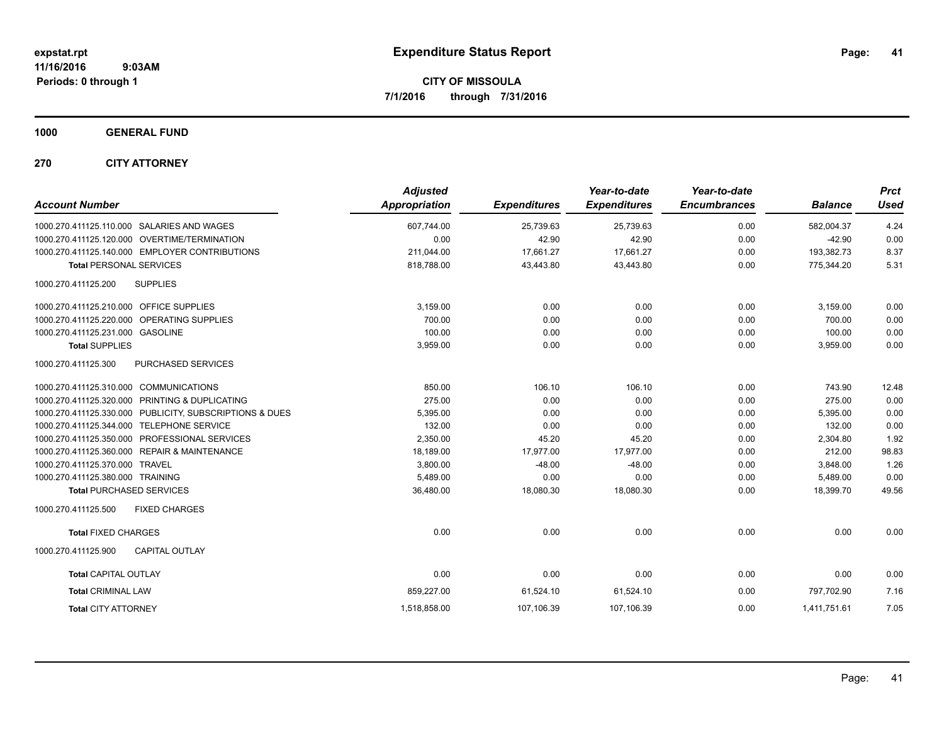**CITY OF MISSOULA 7/1/2016 through 7/31/2016**

**1000 GENERAL FUND**

**270 CITY ATTORNEY**

| <b>Account Number</b>                                   | <b>Adjusted</b><br><b>Appropriation</b> | <b>Expenditures</b> | Year-to-date<br><b>Expenditures</b> | Year-to-date<br><b>Encumbrances</b> | <b>Balance</b> | <b>Prct</b><br><b>Used</b> |
|---------------------------------------------------------|-----------------------------------------|---------------------|-------------------------------------|-------------------------------------|----------------|----------------------------|
| 1000.270.411125.110.000 SALARIES AND WAGES              | 607,744.00                              | 25,739.63           | 25,739.63                           | 0.00                                | 582,004.37     | 4.24                       |
| 1000.270.411125.120.000 OVERTIME/TERMINATION            | 0.00                                    | 42.90               | 42.90                               | 0.00                                | $-42.90$       | 0.00                       |
| 1000.270.411125.140.000 EMPLOYER CONTRIBUTIONS          | 211,044.00                              | 17,661.27           | 17,661.27                           | 0.00                                | 193,382.73     | 8.37                       |
| <b>Total PERSONAL SERVICES</b>                          | 818,788.00                              | 43,443.80           | 43,443.80                           | 0.00                                | 775,344.20     | 5.31                       |
| <b>SUPPLIES</b><br>1000.270.411125.200                  |                                         |                     |                                     |                                     |                |                            |
| 1000.270.411125.210.000 OFFICE SUPPLIES                 | 3,159.00                                | 0.00                | 0.00                                | 0.00                                | 3,159.00       | 0.00                       |
| 1000.270.411125.220.000 OPERATING SUPPLIES              | 700.00                                  | 0.00                | 0.00                                | 0.00                                | 700.00         | 0.00                       |
| 1000.270.411125.231.000 GASOLINE                        | 100.00                                  | 0.00                | 0.00                                | 0.00                                | 100.00         | 0.00                       |
| <b>Total SUPPLIES</b>                                   | 3,959.00                                | 0.00                | 0.00                                | 0.00                                | 3,959.00       | 0.00                       |
| 1000.270.411125.300<br>PURCHASED SERVICES               |                                         |                     |                                     |                                     |                |                            |
| 1000.270.411125.310.000 COMMUNICATIONS                  | 850.00                                  | 106.10              | 106.10                              | 0.00                                | 743.90         | 12.48                      |
| 1000.270.411125.320.000 PRINTING & DUPLICATING          | 275.00                                  | 0.00                | 0.00                                | 0.00                                | 275.00         | 0.00                       |
| 1000.270.411125.330.000 PUBLICITY, SUBSCRIPTIONS & DUES | 5,395.00                                | 0.00                | 0.00                                | 0.00                                | 5,395.00       | 0.00                       |
| 1000.270.411125.344.000 TELEPHONE SERVICE               | 132.00                                  | 0.00                | 0.00                                | 0.00                                | 132.00         | 0.00                       |
| 1000.270.411125.350.000 PROFESSIONAL SERVICES           | 2,350.00                                | 45.20               | 45.20                               | 0.00                                | 2,304.80       | 1.92                       |
| 1000.270.411125.360.000 REPAIR & MAINTENANCE            | 18,189.00                               | 17,977.00           | 17,977.00                           | 0.00                                | 212.00         | 98.83                      |
| 1000.270.411125.370.000 TRAVEL                          | 3,800.00                                | $-48.00$            | $-48.00$                            | 0.00                                | 3,848.00       | 1.26                       |
| 1000.270.411125.380.000 TRAINING                        | 5,489.00                                | 0.00                | 0.00                                | 0.00                                | 5,489.00       | 0.00                       |
| <b>Total PURCHASED SERVICES</b>                         | 36,480.00                               | 18,080.30           | 18,080.30                           | 0.00                                | 18,399.70      | 49.56                      |
| 1000.270.411125.500<br><b>FIXED CHARGES</b>             |                                         |                     |                                     |                                     |                |                            |
| <b>Total FIXED CHARGES</b>                              | 0.00                                    | 0.00                | 0.00                                | 0.00                                | 0.00           | 0.00                       |
| 1000.270.411125.900<br><b>CAPITAL OUTLAY</b>            |                                         |                     |                                     |                                     |                |                            |
| <b>Total CAPITAL OUTLAY</b>                             | 0.00                                    | 0.00                | 0.00                                | 0.00                                | 0.00           | 0.00                       |
| <b>Total CRIMINAL LAW</b>                               | 859,227.00                              | 61,524.10           | 61,524.10                           | 0.00                                | 797,702.90     | 7.16                       |
| <b>Total CITY ATTORNEY</b>                              | 1,518,858.00                            | 107,106.39          | 107,106.39                          | 0.00                                | 1,411,751.61   | 7.05                       |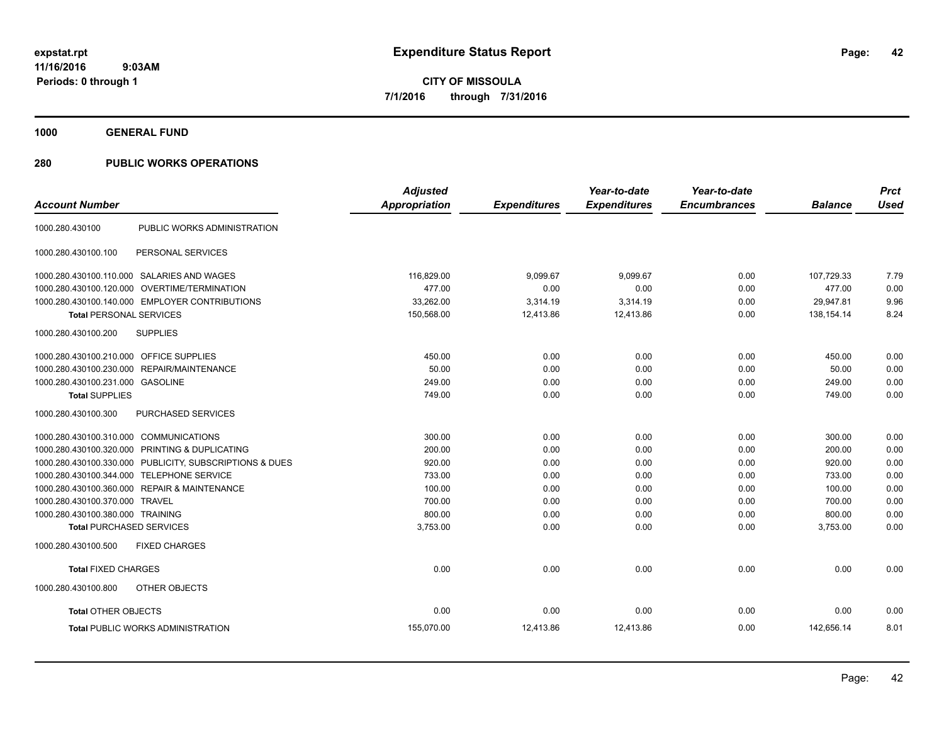**1000 GENERAL FUND**

| <b>Account Number</b>                   |                                                         | <b>Adjusted</b><br><b>Appropriation</b> | <b>Expenditures</b> | Year-to-date<br><b>Expenditures</b> | Year-to-date<br><b>Encumbrances</b> | <b>Balance</b> | <b>Prct</b><br><b>Used</b> |
|-----------------------------------------|---------------------------------------------------------|-----------------------------------------|---------------------|-------------------------------------|-------------------------------------|----------------|----------------------------|
| 1000.280.430100                         | PUBLIC WORKS ADMINISTRATION                             |                                         |                     |                                     |                                     |                |                            |
| 1000.280.430100.100                     | PERSONAL SERVICES                                       |                                         |                     |                                     |                                     |                |                            |
|                                         | 1000.280.430100.110.000 SALARIES AND WAGES              | 116,829.00                              | 9,099.67            | 9,099.67                            | 0.00                                | 107,729.33     | 7.79                       |
| 1000.280.430100.120.000                 | OVERTIME/TERMINATION                                    | 477.00                                  | 0.00                | 0.00                                | 0.00                                | 477.00         | 0.00                       |
|                                         | 1000.280.430100.140.000 EMPLOYER CONTRIBUTIONS          | 33,262.00                               | 3,314.19            | 3,314.19                            | 0.00                                | 29,947.81      | 9.96                       |
| <b>Total PERSONAL SERVICES</b>          |                                                         | 150,568.00                              | 12,413.86           | 12,413.86                           | 0.00                                | 138.154.14     | 8.24                       |
| 1000.280.430100.200                     | <b>SUPPLIES</b>                                         |                                         |                     |                                     |                                     |                |                            |
| 1000.280.430100.210.000 OFFICE SUPPLIES |                                                         | 450.00                                  | 0.00                | 0.00                                | 0.00                                | 450.00         | 0.00                       |
|                                         | 1000.280.430100.230.000 REPAIR/MAINTENANCE              | 50.00                                   | 0.00                | 0.00                                | 0.00                                | 50.00          | 0.00                       |
| 1000.280.430100.231.000 GASOLINE        |                                                         | 249.00                                  | 0.00                | 0.00                                | 0.00                                | 249.00         | 0.00                       |
| <b>Total SUPPLIES</b>                   |                                                         | 749.00                                  | 0.00                | 0.00                                | 0.00                                | 749.00         | 0.00                       |
| 1000.280.430100.300                     | <b>PURCHASED SERVICES</b>                               |                                         |                     |                                     |                                     |                |                            |
| 1000.280.430100.310.000 COMMUNICATIONS  |                                                         | 300.00                                  | 0.00                | 0.00                                | 0.00                                | 300.00         | 0.00                       |
|                                         | 1000.280.430100.320.000 PRINTING & DUPLICATING          | 200.00                                  | 0.00                | 0.00                                | 0.00                                | 200.00         | 0.00                       |
|                                         | 1000.280.430100.330.000 PUBLICITY, SUBSCRIPTIONS & DUES | 920.00                                  | 0.00                | 0.00                                | 0.00                                | 920.00         | 0.00                       |
|                                         | 1000.280.430100.344.000 TELEPHONE SERVICE               | 733.00                                  | 0.00                | 0.00                                | 0.00                                | 733.00         | 0.00                       |
|                                         | 1000.280.430100.360.000 REPAIR & MAINTENANCE            | 100.00                                  | 0.00                | 0.00                                | 0.00                                | 100.00         | 0.00                       |
| 1000.280.430100.370.000 TRAVEL          |                                                         | 700.00                                  | 0.00                | 0.00                                | 0.00                                | 700.00         | 0.00                       |
| 1000.280.430100.380.000 TRAINING        |                                                         | 800.00                                  | 0.00                | 0.00                                | 0.00                                | 800.00         | 0.00                       |
| <b>Total PURCHASED SERVICES</b>         |                                                         | 3,753.00                                | 0.00                | 0.00                                | 0.00                                | 3,753.00       | 0.00                       |
| 1000.280.430100.500                     | <b>FIXED CHARGES</b>                                    |                                         |                     |                                     |                                     |                |                            |
| <b>Total FIXED CHARGES</b>              |                                                         | 0.00                                    | 0.00                | 0.00                                | 0.00                                | 0.00           | 0.00                       |
| 1000.280.430100.800                     | OTHER OBJECTS                                           |                                         |                     |                                     |                                     |                |                            |
| <b>Total OTHER OBJECTS</b>              |                                                         | 0.00                                    | 0.00                | 0.00                                | 0.00                                | 0.00           | 0.00                       |
|                                         | <b>Total PUBLIC WORKS ADMINISTRATION</b>                | 155,070.00                              | 12,413.86           | 12,413.86                           | 0.00                                | 142,656.14     | 8.01                       |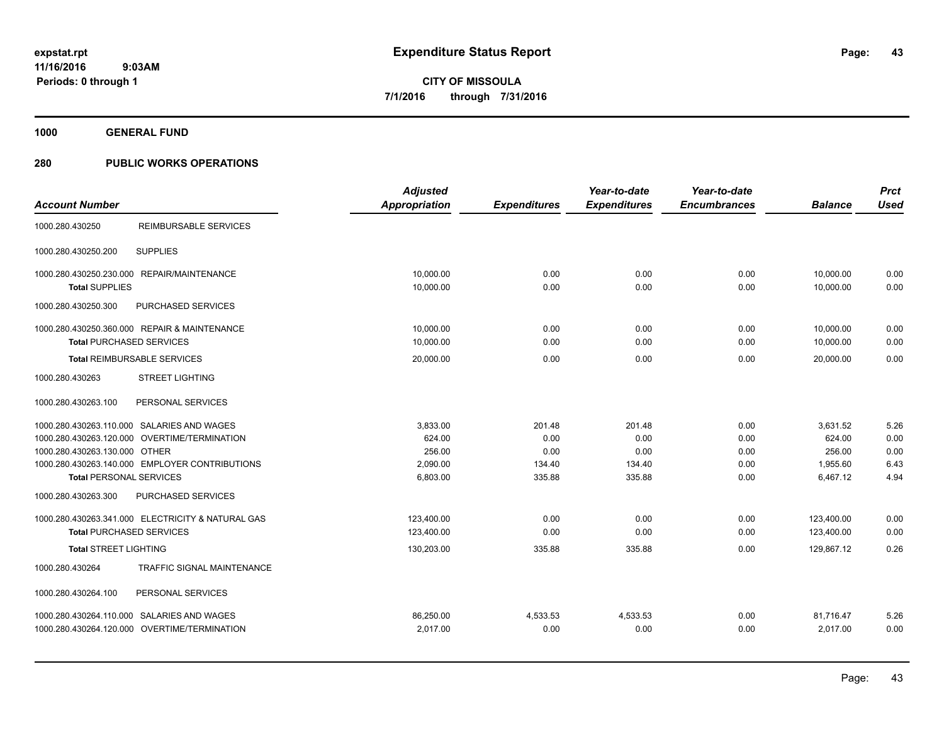**1000 GENERAL FUND**

|                                                   | <b>Adjusted</b> |                     | Year-to-date        | Year-to-date        |                | <b>Prct</b> |
|---------------------------------------------------|-----------------|---------------------|---------------------|---------------------|----------------|-------------|
| <b>Account Number</b>                             | Appropriation   | <b>Expenditures</b> | <b>Expenditures</b> | <b>Encumbrances</b> | <b>Balance</b> | Used        |
| <b>REIMBURSABLE SERVICES</b><br>1000.280.430250   |                 |                     |                     |                     |                |             |
| <b>SUPPLIES</b><br>1000.280.430250.200            |                 |                     |                     |                     |                |             |
| 1000.280.430250.230.000 REPAIR/MAINTENANCE        | 10,000.00       | 0.00                | 0.00                | 0.00                | 10,000.00      | 0.00        |
| <b>Total SUPPLIES</b>                             | 10,000.00       | 0.00                | 0.00                | 0.00                | 10,000.00      | 0.00        |
| 1000.280.430250.300<br>PURCHASED SERVICES         |                 |                     |                     |                     |                |             |
| 1000.280.430250.360.000 REPAIR & MAINTENANCE      | 10.000.00       | 0.00                | 0.00                | 0.00                | 10,000.00      | 0.00        |
| <b>Total PURCHASED SERVICES</b>                   | 10,000.00       | 0.00                | 0.00                | 0.00                | 10,000.00      | 0.00        |
| Total REIMBURSABLE SERVICES                       | 20,000.00       | 0.00                | 0.00                | 0.00                | 20,000.00      | 0.00        |
| 1000.280.430263<br><b>STREET LIGHTING</b>         |                 |                     |                     |                     |                |             |
| PERSONAL SERVICES<br>1000.280.430263.100          |                 |                     |                     |                     |                |             |
| 1000.280.430263.110.000 SALARIES AND WAGES        | 3,833.00        | 201.48              | 201.48              | 0.00                | 3,631.52       | 5.26        |
| 1000.280.430263.120.000 OVERTIME/TERMINATION      | 624.00          | 0.00                | 0.00                | 0.00                | 624.00         | 0.00        |
| 1000.280.430263.130.000 OTHER                     | 256.00          | 0.00                | 0.00                | 0.00                | 256.00         | 0.00        |
| 1000.280.430263.140.000 EMPLOYER CONTRIBUTIONS    | 2,090.00        | 134.40              | 134.40              | 0.00                | 1,955.60       | 6.43        |
| <b>Total PERSONAL SERVICES</b>                    | 6,803.00        | 335.88              | 335.88              | 0.00                | 6,467.12       | 4.94        |
| 1000.280.430263.300<br>PURCHASED SERVICES         |                 |                     |                     |                     |                |             |
| 1000.280.430263.341.000 ELECTRICITY & NATURAL GAS | 123,400.00      | 0.00                | 0.00                | 0.00                | 123,400.00     | 0.00        |
| <b>Total PURCHASED SERVICES</b>                   | 123,400.00      | 0.00                | 0.00                | 0.00                | 123.400.00     | 0.00        |
| <b>Total STREET LIGHTING</b>                      | 130,203.00      | 335.88              | 335.88              | 0.00                | 129.867.12     | 0.26        |
| 1000.280.430264<br>TRAFFIC SIGNAL MAINTENANCE     |                 |                     |                     |                     |                |             |
| 1000.280.430264.100<br>PERSONAL SERVICES          |                 |                     |                     |                     |                |             |
| 1000.280.430264.110.000 SALARIES AND WAGES        | 86,250.00       | 4,533.53            | 4,533.53            | 0.00                | 81,716.47      | 5.26        |
| 1000.280.430264.120.000 OVERTIME/TERMINATION      | 2,017.00        | 0.00                | 0.00                | 0.00                | 2,017.00       | 0.00        |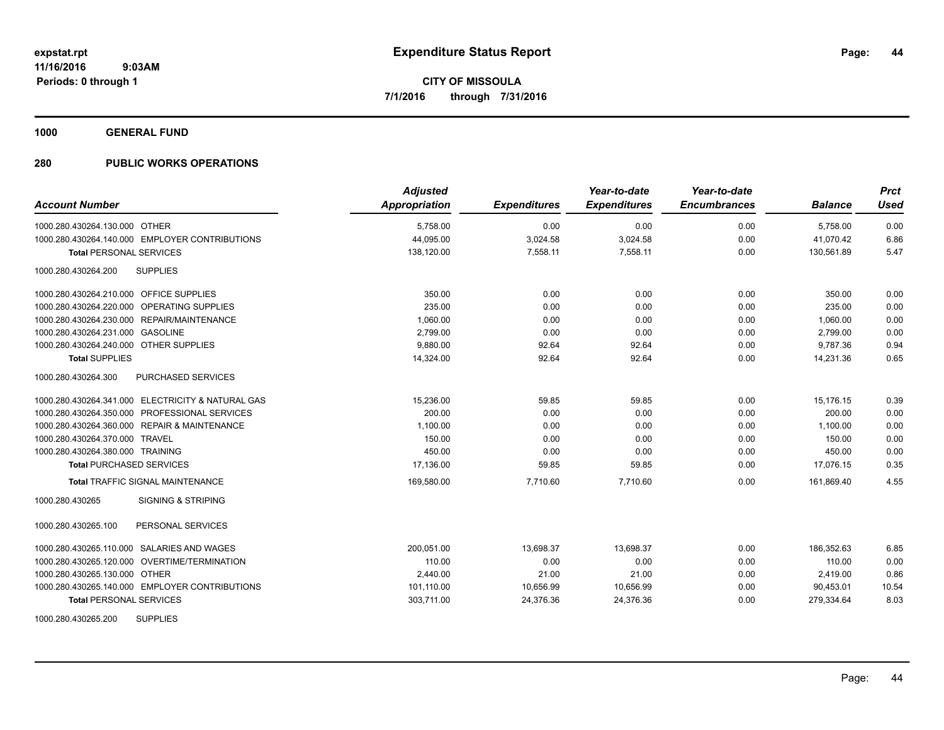**1000 GENERAL FUND**

| <b>Account Number</b>                             | <b>Adjusted</b><br>Appropriation | <b>Expenditures</b> | Year-to-date<br><b>Expenditures</b> | Year-to-date<br><b>Encumbrances</b> | <b>Balance</b> | <b>Prct</b><br><b>Used</b> |
|---------------------------------------------------|----------------------------------|---------------------|-------------------------------------|-------------------------------------|----------------|----------------------------|
| 1000.280.430264.130.000 OTHER                     | 5,758.00                         | 0.00                | 0.00                                | 0.00                                | 5,758.00       | 0.00                       |
| 1000.280.430264.140.000 EMPLOYER CONTRIBUTIONS    | 44,095.00                        | 3,024.58            | 3,024.58                            | 0.00                                | 41,070.42      | 6.86                       |
| <b>Total PERSONAL SERVICES</b>                    | 138,120.00                       | 7,558.11            | 7,558.11                            | 0.00                                | 130,561.89     | 5.47                       |
| 1000.280.430264.200<br><b>SUPPLIES</b>            |                                  |                     |                                     |                                     |                |                            |
| 1000.280.430264.210.000 OFFICE SUPPLIES           | 350.00                           | 0.00                | 0.00                                | 0.00                                | 350.00         | 0.00                       |
| 1000.280.430264.220.000 OPERATING SUPPLIES        | 235.00                           | 0.00                | 0.00                                | 0.00                                | 235.00         | 0.00                       |
| 1000.280.430264.230.000 REPAIR/MAINTENANCE        | 1,060.00                         | 0.00                | 0.00                                | 0.00                                | 1,060.00       | 0.00                       |
| 1000.280.430264.231.000 GASOLINE                  | 2,799.00                         | 0.00                | 0.00                                | 0.00                                | 2,799.00       | 0.00                       |
| 1000.280.430264.240.000 OTHER SUPPLIES            | 9.880.00                         | 92.64               | 92.64                               | 0.00                                | 9.787.36       | 0.94                       |
| <b>Total SUPPLIES</b>                             | 14,324.00                        | 92.64               | 92.64                               | 0.00                                | 14,231.36      | 0.65                       |
| 1000.280.430264.300<br><b>PURCHASED SERVICES</b>  |                                  |                     |                                     |                                     |                |                            |
| 1000.280.430264.341.000 ELECTRICITY & NATURAL GAS | 15,236.00                        | 59.85               | 59.85                               | 0.00                                | 15,176.15      | 0.39                       |
| 1000.280.430264.350.000 PROFESSIONAL SERVICES     | 200.00                           | 0.00                | 0.00                                | 0.00                                | 200.00         | 0.00                       |
| 1000.280.430264.360.000 REPAIR & MAINTENANCE      | 1,100.00                         | 0.00                | 0.00                                | 0.00                                | 1,100.00       | 0.00                       |
| 1000.280.430264.370.000 TRAVEL                    | 150.00                           | 0.00                | 0.00                                | 0.00                                | 150.00         | 0.00                       |
| 1000.280.430264.380.000 TRAINING                  | 450.00                           | 0.00                | 0.00                                | 0.00                                | 450.00         | 0.00                       |
| <b>Total PURCHASED SERVICES</b>                   | 17,136.00                        | 59.85               | 59.85                               | 0.00                                | 17,076.15      | 0.35                       |
| <b>Total TRAFFIC SIGNAL MAINTENANCE</b>           | 169,580.00                       | 7.710.60            | 7.710.60                            | 0.00                                | 161.869.40     | 4.55                       |
| <b>SIGNING &amp; STRIPING</b><br>1000.280.430265  |                                  |                     |                                     |                                     |                |                            |
| PERSONAL SERVICES<br>1000.280.430265.100          |                                  |                     |                                     |                                     |                |                            |
| 1000.280.430265.110.000 SALARIES AND WAGES        | 200,051.00                       | 13,698.37           | 13,698.37                           | 0.00                                | 186,352.63     | 6.85                       |
| 1000.280.430265.120.000 OVERTIME/TERMINATION      | 110.00                           | 0.00                | 0.00                                | 0.00                                | 110.00         | 0.00                       |
| 1000.280.430265.130.000 OTHER                     | 2,440.00                         | 21.00               | 21.00                               | 0.00                                | 2,419.00       | 0.86                       |
| 1000.280.430265.140.000 EMPLOYER CONTRIBUTIONS    | 101,110.00                       | 10,656.99           | 10,656.99                           | 0.00                                | 90,453.01      | 10.54                      |
| <b>Total PERSONAL SERVICES</b>                    | 303,711.00                       | 24,376.36           | 24,376.36                           | 0.00                                | 279,334.64     | 8.03                       |
| <b>SUPPLIES</b><br>1000.280.430265.200            |                                  |                     |                                     |                                     |                |                            |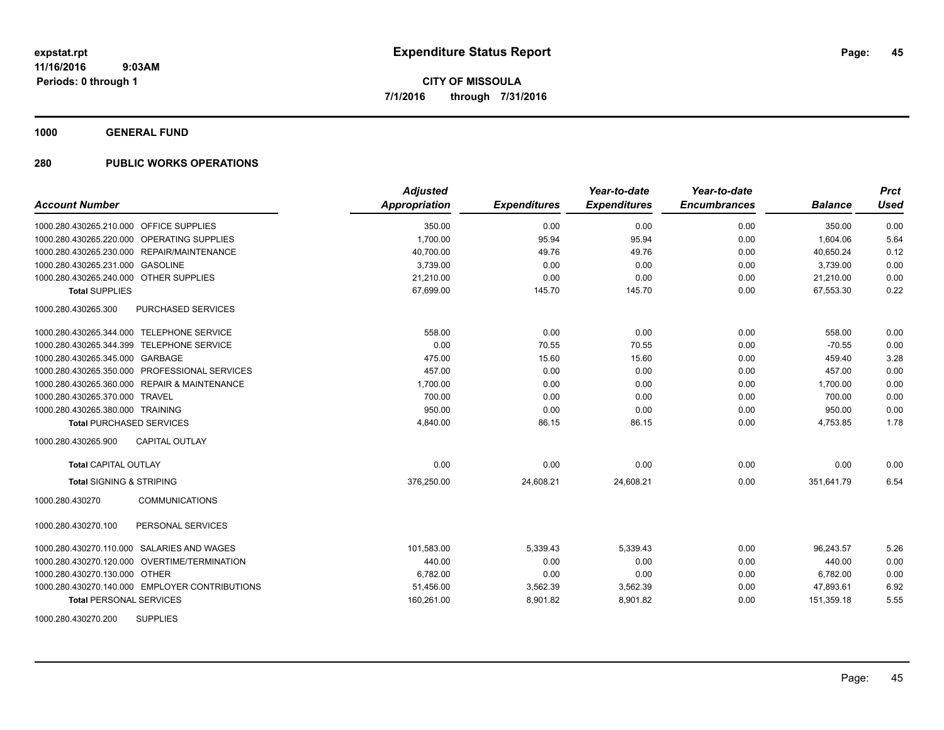**1000 GENERAL FUND**

| <b>Account Number</b>                          | <b>Adjusted</b><br>Appropriation | <b>Expenditures</b> | Year-to-date<br><b>Expenditures</b> | Year-to-date<br><b>Encumbrances</b> | <b>Balance</b> | <b>Prct</b><br><b>Used</b> |
|------------------------------------------------|----------------------------------|---------------------|-------------------------------------|-------------------------------------|----------------|----------------------------|
| 1000.280.430265.210.000 OFFICE SUPPLIES        | 350.00                           | 0.00                | 0.00                                | 0.00                                | 350.00         | 0.00                       |
| 1000.280.430265.220.000 OPERATING SUPPLIES     | 1,700.00                         | 95.94               | 95.94                               | 0.00                                | 1,604.06       | 5.64                       |
| 1000.280.430265.230.000 REPAIR/MAINTENANCE     | 40,700.00                        | 49.76               | 49.76                               | 0.00                                | 40,650.24      | 0.12                       |
| 1000.280.430265.231.000 GASOLINE               | 3,739.00                         | 0.00                | 0.00                                | 0.00                                | 3,739.00       | 0.00                       |
| 1000.280.430265.240.000 OTHER SUPPLIES         | 21,210.00                        | 0.00                | 0.00                                | 0.00                                | 21,210.00      | 0.00                       |
| <b>Total SUPPLIES</b>                          | 67,699.00                        | 145.70              | 145.70                              | 0.00                                | 67,553.30      | 0.22                       |
| PURCHASED SERVICES<br>1000.280.430265.300      |                                  |                     |                                     |                                     |                |                            |
| 1000.280.430265.344.000 TELEPHONE SERVICE      | 558.00                           | 0.00                | 0.00                                | 0.00                                | 558.00         | 0.00                       |
| 1000.280.430265.344.399 TELEPHONE SERVICE      | 0.00                             | 70.55               | 70.55                               | 0.00                                | $-70.55$       | 0.00                       |
| 1000.280.430265.345.000 GARBAGE                | 475.00                           | 15.60               | 15.60                               | 0.00                                | 459.40         | 3.28                       |
| 1000.280.430265.350.000 PROFESSIONAL SERVICES  | 457.00                           | 0.00                | 0.00                                | 0.00                                | 457.00         | 0.00                       |
| 1000.280.430265.360.000 REPAIR & MAINTENANCE   | 1,700.00                         | 0.00                | 0.00                                | 0.00                                | 1,700.00       | 0.00                       |
| 1000.280.430265.370.000 TRAVEL                 | 700.00                           | 0.00                | 0.00                                | 0.00                                | 700.00         | 0.00                       |
| 1000.280.430265.380.000 TRAINING               | 950.00                           | 0.00                | 0.00                                | 0.00                                | 950.00         | 0.00                       |
| <b>Total PURCHASED SERVICES</b>                | 4,840.00                         | 86.15               | 86.15                               | 0.00                                | 4,753.85       | 1.78                       |
| <b>CAPITAL OUTLAY</b><br>1000.280.430265.900   |                                  |                     |                                     |                                     |                |                            |
| <b>Total CAPITAL OUTLAY</b>                    | 0.00                             | 0.00                | 0.00                                | 0.00                                | 0.00           | 0.00                       |
| <b>Total SIGNING &amp; STRIPING</b>            | 376,250.00                       | 24,608.21           | 24,608.21                           | 0.00                                | 351,641.79     | 6.54                       |
| 1000.280.430270<br><b>COMMUNICATIONS</b>       |                                  |                     |                                     |                                     |                |                            |
| 1000.280.430270.100<br>PERSONAL SERVICES       |                                  |                     |                                     |                                     |                |                            |
| 1000.280.430270.110.000 SALARIES AND WAGES     | 101,583.00                       | 5,339.43            | 5,339.43                            | 0.00                                | 96,243.57      | 5.26                       |
| 1000.280.430270.120.000 OVERTIME/TERMINATION   | 440.00                           | 0.00                | 0.00                                | 0.00                                | 440.00         | 0.00                       |
| 1000.280.430270.130.000 OTHER                  | 6,782.00                         | 0.00                | 0.00                                | 0.00                                | 6,782.00       | 0.00                       |
| 1000.280.430270.140.000 EMPLOYER CONTRIBUTIONS | 51,456.00                        | 3,562.39            | 3,562.39                            | 0.00                                | 47,893.61      | 6.92                       |
| <b>Total PERSONAL SERVICES</b>                 | 160,261.00                       | 8,901.82            | 8,901.82                            | 0.00                                | 151,359.18     | 5.55                       |
| 1000.280.430270.200<br><b>SUPPLIES</b>         |                                  |                     |                                     |                                     |                |                            |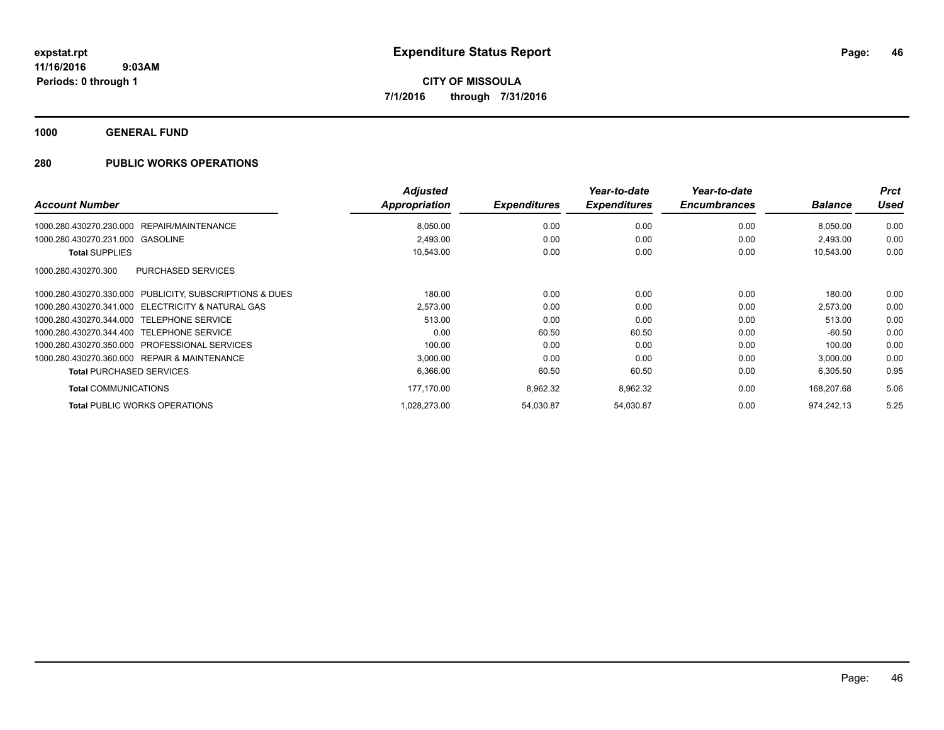**1000 GENERAL FUND**

|                                                         | <b>Adjusted</b> |                     | Year-to-date        | Year-to-date        |                | <b>Prct</b> |
|---------------------------------------------------------|-----------------|---------------------|---------------------|---------------------|----------------|-------------|
| <b>Account Number</b>                                   | Appropriation   | <b>Expenditures</b> | <b>Expenditures</b> | <b>Encumbrances</b> | <b>Balance</b> | <b>Used</b> |
| REPAIR/MAINTENANCE<br>1000.280.430270.230.000           | 8,050.00        | 0.00                | 0.00                | 0.00                | 8,050.00       | 0.00        |
| 1000.280.430270.231.000 GASOLINE                        | 2,493.00        | 0.00                | 0.00                | 0.00                | 2,493.00       | 0.00        |
| <b>Total SUPPLIES</b>                                   | 10,543.00       | 0.00                | 0.00                | 0.00                | 10,543.00      | 0.00        |
| PURCHASED SERVICES<br>1000.280.430270.300               |                 |                     |                     |                     |                |             |
| 1000.280.430270.330.000 PUBLICITY, SUBSCRIPTIONS & DUES | 180.00          | 0.00                | 0.00                | 0.00                | 180.00         | 0.00        |
| 1000.280.430270.341.000 ELECTRICITY & NATURAL GAS       | 2,573.00        | 0.00                | 0.00                | 0.00                | 2,573.00       | 0.00        |
| 1000.280.430270.344.000 TELEPHONE SERVICE               | 513.00          | 0.00                | 0.00                | 0.00                | 513.00         | 0.00        |
| 1000.280.430270.344.400 TELEPHONE SERVICE               | 0.00            | 60.50               | 60.50               | 0.00                | $-60.50$       | 0.00        |
| 1000.280.430270.350.000 PROFESSIONAL SERVICES           | 100.00          | 0.00                | 0.00                | 0.00                | 100.00         | 0.00        |
| 1000.280.430270.360.000 REPAIR & MAINTENANCE            | 3,000.00        | 0.00                | 0.00                | 0.00                | 3,000.00       | 0.00        |
| <b>Total PURCHASED SERVICES</b>                         | 6,366.00        | 60.50               | 60.50               | 0.00                | 6,305.50       | 0.95        |
| <b>Total COMMUNICATIONS</b>                             | 177,170.00      | 8,962.32            | 8,962.32            | 0.00                | 168,207.68     | 5.06        |
| <b>Total PUBLIC WORKS OPERATIONS</b>                    | 1.028.273.00    | 54,030.87           | 54,030.87           | 0.00                | 974.242.13     | 5.25        |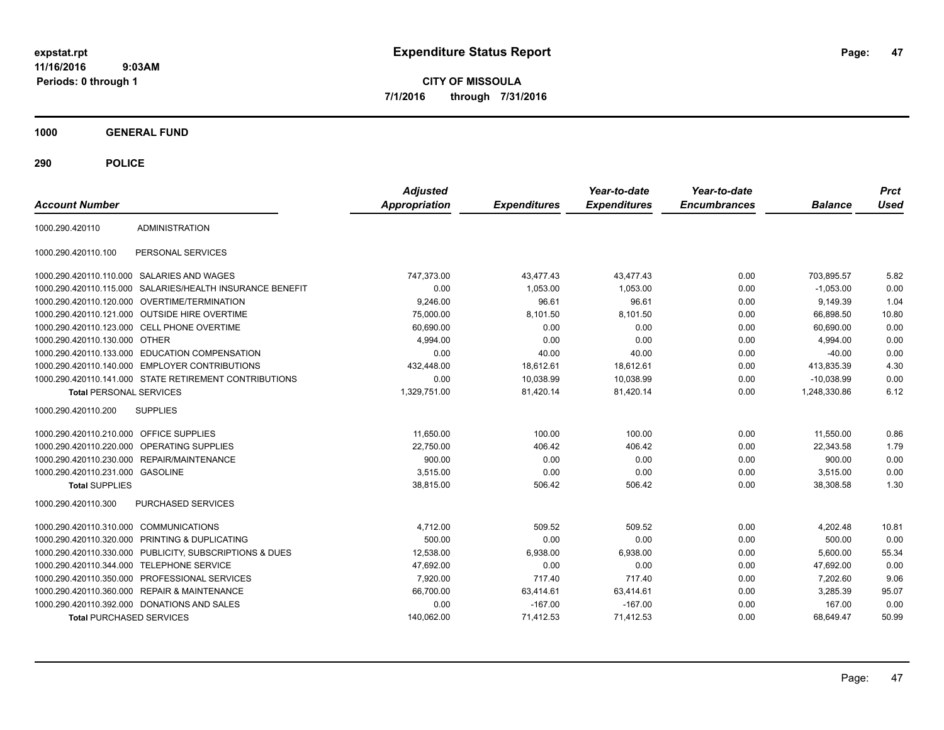**CITY OF MISSOULA 7/1/2016 through 7/31/2016**

**1000 GENERAL FUND**

| <b>Account Number</b>                   |                                                        | <b>Adjusted</b><br><b>Appropriation</b> | <b>Expenditures</b> | Year-to-date<br><b>Expenditures</b> | Year-to-date<br><b>Encumbrances</b> | <b>Balance</b> | <b>Prct</b><br><b>Used</b> |
|-----------------------------------------|--------------------------------------------------------|-----------------------------------------|---------------------|-------------------------------------|-------------------------------------|----------------|----------------------------|
| 1000.290.420110                         | <b>ADMINISTRATION</b>                                  |                                         |                     |                                     |                                     |                |                            |
| 1000.290.420110.100                     | PERSONAL SERVICES                                      |                                         |                     |                                     |                                     |                |                            |
|                                         | 1000.290.420110.110.000 SALARIES AND WAGES             | 747,373.00                              | 43,477.43           | 43,477.43                           | 0.00                                | 703,895.57     | 5.82                       |
| 1000.290.420110.115.000                 | SALARIES/HEALTH INSURANCE BENEFIT                      | 0.00                                    | 1,053.00            | 1,053.00                            | 0.00                                | $-1,053.00$    | 0.00                       |
|                                         | 1000.290.420110.120.000 OVERTIME/TERMINATION           | 9,246.00                                | 96.61               | 96.61                               | 0.00                                | 9,149.39       | 1.04                       |
|                                         | 1000.290.420110.121.000 OUTSIDE HIRE OVERTIME          | 75,000.00                               | 8,101.50            | 8,101.50                            | 0.00                                | 66.898.50      | 10.80                      |
|                                         | 1000.290.420110.123.000 CELL PHONE OVERTIME            | 60,690.00                               | 0.00                | 0.00                                | 0.00                                | 60,690.00      | 0.00                       |
| 1000.290.420110.130.000                 | OTHER                                                  | 4,994.00                                | 0.00                | 0.00                                | 0.00                                | 4,994.00       | 0.00                       |
| 1000.290.420110.133.000                 | <b>EDUCATION COMPENSATION</b>                          | 0.00                                    | 40.00               | 40.00                               | 0.00                                | $-40.00$       | 0.00                       |
| 1000.290.420110.140.000                 | <b>EMPLOYER CONTRIBUTIONS</b>                          | 432,448.00                              | 18,612.61           | 18,612.61                           | 0.00                                | 413,835.39     | 4.30                       |
|                                         | 1000.290.420110.141.000 STATE RETIREMENT CONTRIBUTIONS | 0.00                                    | 10,038.99           | 10,038.99                           | 0.00                                | $-10,038.99$   | 0.00                       |
| <b>Total PERSONAL SERVICES</b>          |                                                        | 1,329,751.00                            | 81,420.14           | 81,420.14                           | 0.00                                | 1,248,330.86   | 6.12                       |
| 1000.290.420110.200                     | <b>SUPPLIES</b>                                        |                                         |                     |                                     |                                     |                |                            |
| 1000.290.420110.210.000 OFFICE SUPPLIES |                                                        | 11,650.00                               | 100.00              | 100.00                              | 0.00                                | 11,550.00      | 0.86                       |
| 1000.290.420110.220.000                 | <b>OPERATING SUPPLIES</b>                              | 22,750.00                               | 406.42              | 406.42                              | 0.00                                | 22,343.58      | 1.79                       |
|                                         | 1000.290.420110.230.000 REPAIR/MAINTENANCE             | 900.00                                  | 0.00                | 0.00                                | 0.00                                | 900.00         | 0.00                       |
| 1000.290.420110.231.000 GASOLINE        |                                                        | 3,515.00                                | 0.00                | 0.00                                | 0.00                                | 3,515.00       | 0.00                       |
| <b>Total SUPPLIES</b>                   |                                                        | 38,815.00                               | 506.42              | 506.42                              | 0.00                                | 38.308.58      | 1.30                       |
| 1000.290.420110.300                     | <b>PURCHASED SERVICES</b>                              |                                         |                     |                                     |                                     |                |                            |
| 1000.290.420110.310.000                 | <b>COMMUNICATIONS</b>                                  | 4,712.00                                | 509.52              | 509.52                              | 0.00                                | 4.202.48       | 10.81                      |
| 1000.290.420110.320.000                 | PRINTING & DUPLICATING                                 | 500.00                                  | 0.00                | 0.00                                | 0.00                                | 500.00         | 0.00                       |
| 1000.290.420110.330.000                 | PUBLICITY, SUBSCRIPTIONS & DUES                        | 12,538.00                               | 6,938.00            | 6,938.00                            | 0.00                                | 5,600.00       | 55.34                      |
| 1000.290.420110.344.000                 | <b>TELEPHONE SERVICE</b>                               | 47,692.00                               | 0.00                | 0.00                                | 0.00                                | 47,692.00      | 0.00                       |
|                                         | 1000.290.420110.350.000 PROFESSIONAL SERVICES          | 7,920.00                                | 717.40              | 717.40                              | 0.00                                | 7,202.60       | 9.06                       |
| 1000.290.420110.360.000                 | <b>REPAIR &amp; MAINTENANCE</b>                        | 66,700.00                               | 63,414.61           | 63,414.61                           | 0.00                                | 3,285.39       | 95.07                      |
|                                         | 1000.290.420110.392.000 DONATIONS AND SALES            | 0.00                                    | $-167.00$           | $-167.00$                           | 0.00                                | 167.00         | 0.00                       |
| <b>Total PURCHASED SERVICES</b>         |                                                        | 140.062.00                              | 71.412.53           | 71.412.53                           | 0.00                                | 68.649.47      | 50.99                      |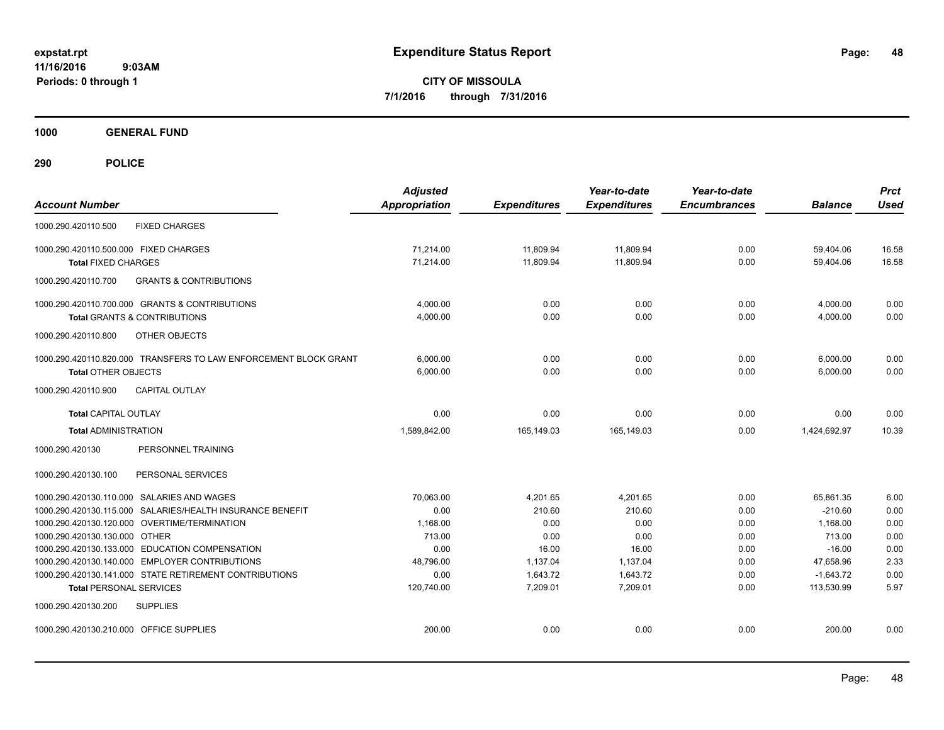**CITY OF MISSOULA 7/1/2016 through 7/31/2016**

**1000 GENERAL FUND**

| <b>Account Number</b>                   |                                                                                                          | <b>Adjusted</b><br><b>Appropriation</b> | <b>Expenditures</b>  | Year-to-date<br><b>Expenditures</b> | Year-to-date<br><b>Encumbrances</b> | <b>Balance</b>           | <b>Prct</b><br><b>Used</b> |
|-----------------------------------------|----------------------------------------------------------------------------------------------------------|-----------------------------------------|----------------------|-------------------------------------|-------------------------------------|--------------------------|----------------------------|
| 1000.290.420110.500                     | <b>FIXED CHARGES</b>                                                                                     |                                         |                      |                                     |                                     |                          |                            |
| 1000.290.420110.500.000 FIXED CHARGES   |                                                                                                          | 71,214.00                               | 11,809.94            | 11,809.94                           | 0.00                                | 59,404.06                | 16.58                      |
| <b>Total FIXED CHARGES</b>              |                                                                                                          | 71,214.00                               | 11,809.94            | 11,809.94                           | 0.00                                | 59,404.06                | 16.58                      |
| 1000.290.420110.700                     | <b>GRANTS &amp; CONTRIBUTIONS</b>                                                                        |                                         |                      |                                     |                                     |                          |                            |
|                                         | 1000.290.420110.700.000 GRANTS & CONTRIBUTIONS                                                           | 4,000.00                                | 0.00                 | 0.00                                | 0.00                                | 4,000.00                 | 0.00                       |
|                                         | <b>Total GRANTS &amp; CONTRIBUTIONS</b>                                                                  | 4,000.00                                | 0.00                 | 0.00                                | 0.00                                | 4,000.00                 | 0.00                       |
| 1000.290.420110.800                     | OTHER OBJECTS                                                                                            |                                         |                      |                                     |                                     |                          |                            |
|                                         | 1000.290.420110.820.000 TRANSFERS TO LAW ENFORCEMENT BLOCK GRANT                                         | 6.000.00                                | 0.00                 | 0.00                                | 0.00                                | 6,000.00                 | 0.00                       |
| <b>Total OTHER OBJECTS</b>              |                                                                                                          | 6.000.00                                | 0.00                 | 0.00                                | 0.00                                | 6.000.00                 | 0.00                       |
| 1000.290.420110.900                     | <b>CAPITAL OUTLAY</b>                                                                                    |                                         |                      |                                     |                                     |                          |                            |
| <b>Total CAPITAL OUTLAY</b>             |                                                                                                          | 0.00                                    | 0.00                 | 0.00                                | 0.00                                | 0.00                     | 0.00                       |
| <b>Total ADMINISTRATION</b>             |                                                                                                          | 1.589.842.00                            | 165,149.03           | 165.149.03                          | 0.00                                | 1,424,692.97             | 10.39                      |
| 1000.290.420130                         | PERSONNEL TRAINING                                                                                       |                                         |                      |                                     |                                     |                          |                            |
| 1000.290.420130.100                     | PERSONAL SERVICES                                                                                        |                                         |                      |                                     |                                     |                          |                            |
|                                         | 1000.290.420130.110.000 SALARIES AND WAGES                                                               | 70,063.00                               | 4,201.65             | 4,201.65                            | 0.00                                | 65,861.35                | 6.00                       |
| 1000.290.420130.115.000                 | SALARIES/HEALTH INSURANCE BENEFIT                                                                        | 0.00                                    | 210.60               | 210.60                              | 0.00                                | $-210.60$                | 0.00                       |
|                                         | 1000.290.420130.120.000 OVERTIME/TERMINATION                                                             | 1.168.00                                | 0.00                 | 0.00                                | 0.00                                | 1.168.00                 | 0.00                       |
| 1000.290.420130.130.000 OTHER           |                                                                                                          | 713.00                                  | 0.00                 | 0.00                                | 0.00                                | 713.00                   | 0.00                       |
|                                         | 1000.290.420130.133.000 EDUCATION COMPENSATION                                                           | 0.00                                    | 16.00                | 16.00                               | 0.00                                | $-16.00$                 | 0.00                       |
|                                         | 1000.290.420130.140.000 EMPLOYER CONTRIBUTIONS<br>1000.290.420130.141.000 STATE RETIREMENT CONTRIBUTIONS | 48,796.00<br>0.00                       | 1,137.04<br>1.643.72 | 1,137.04<br>1.643.72                | 0.00<br>0.00                        | 47,658.96<br>$-1,643.72$ | 2.33<br>0.00               |
| <b>Total PERSONAL SERVICES</b>          |                                                                                                          | 120.740.00                              | 7.209.01             | 7.209.01                            | 0.00                                | 113.530.99               | 5.97                       |
| 1000.290.420130.200                     | <b>SUPPLIES</b>                                                                                          |                                         |                      |                                     |                                     |                          |                            |
| 1000.290.420130.210.000 OFFICE SUPPLIES |                                                                                                          | 200.00                                  | 0.00                 | 0.00                                | 0.00                                | 200.00                   | 0.00                       |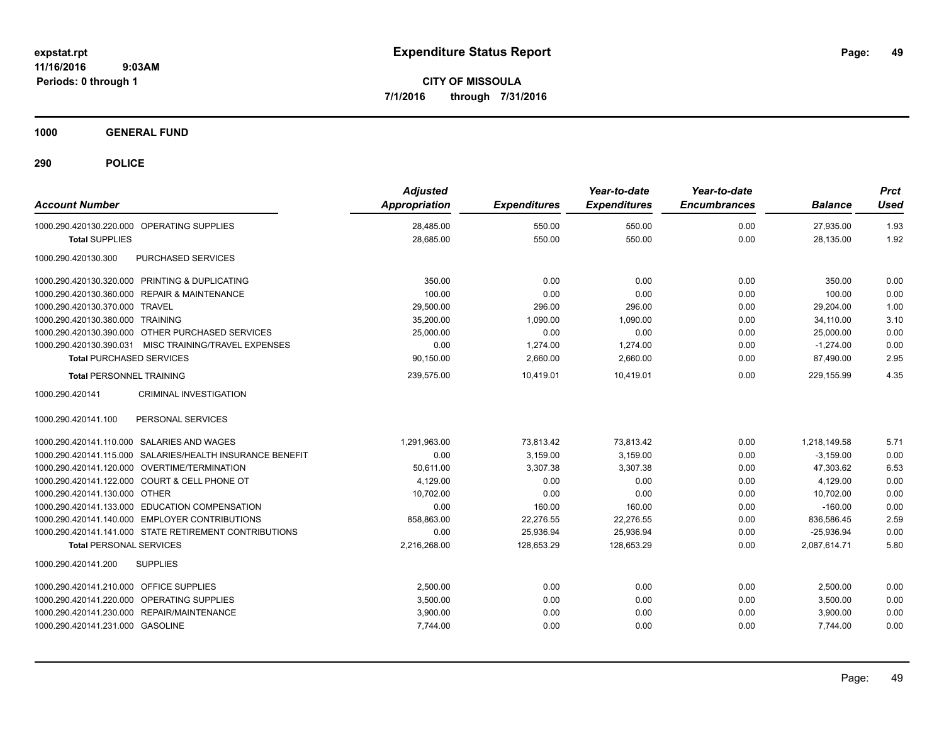**CITY OF MISSOULA 7/1/2016 through 7/31/2016**

**1000 GENERAL FUND**

| <b>Account Number</b>                                     | <b>Adjusted</b><br><b>Appropriation</b> | <b>Expenditures</b> | Year-to-date<br><b>Expenditures</b> | Year-to-date<br><b>Encumbrances</b> | <b>Balance</b> | <b>Prct</b><br><b>Used</b> |
|-----------------------------------------------------------|-----------------------------------------|---------------------|-------------------------------------|-------------------------------------|----------------|----------------------------|
| 1000.290.420130.220.000 OPERATING SUPPLIES                | 28,485.00                               | 550.00              | 550.00                              | 0.00                                | 27,935.00      | 1.93                       |
| <b>Total SUPPLIES</b>                                     | 28,685.00                               | 550.00              | 550.00                              | 0.00                                | 28,135.00      | 1.92                       |
| 1000.290.420130.300<br>PURCHASED SERVICES                 |                                         |                     |                                     |                                     |                |                            |
| 1000.290.420130.320.000 PRINTING & DUPLICATING            | 350.00                                  | 0.00                | 0.00                                | 0.00                                | 350.00         | 0.00                       |
| 1000.290.420130.360.000 REPAIR & MAINTENANCE              | 100.00                                  | 0.00                | 0.00                                | 0.00                                | 100.00         | 0.00                       |
| 1000.290.420130.370.000 TRAVEL                            | 29,500.00                               | 296.00              | 296.00                              | 0.00                                | 29,204.00      | 1.00                       |
| 1000.290.420130.380.000 TRAINING                          | 35,200.00                               | 1,090.00            | 1,090.00                            | 0.00                                | 34,110.00      | 3.10                       |
| 1000.290.420130.390.000 OTHER PURCHASED SERVICES          | 25.000.00                               | 0.00                | 0.00                                | 0.00                                | 25.000.00      | 0.00                       |
| 1000.290.420130.390.031<br>MISC TRAINING/TRAVEL EXPENSES  | 0.00                                    | 1,274.00            | 1,274.00                            | 0.00                                | $-1,274.00$    | 0.00                       |
| <b>Total PURCHASED SERVICES</b>                           | 90,150.00                               | 2,660.00            | 2,660.00                            | 0.00                                | 87,490.00      | 2.95                       |
| <b>Total PERSONNEL TRAINING</b>                           | 239,575.00                              | 10,419.01           | 10,419.01                           | 0.00                                | 229,155.99     | 4.35                       |
| 1000.290.420141<br><b>CRIMINAL INVESTIGATION</b>          |                                         |                     |                                     |                                     |                |                            |
| PERSONAL SERVICES<br>1000.290.420141.100                  |                                         |                     |                                     |                                     |                |                            |
| 1000.290.420141.110.000 SALARIES AND WAGES                | 1,291,963.00                            | 73,813.42           | 73,813.42                           | 0.00                                | 1,218,149.58   | 5.71                       |
| 1000.290.420141.115.000 SALARIES/HEALTH INSURANCE BENEFIT | 0.00                                    | 3,159.00            | 3,159.00                            | 0.00                                | $-3,159.00$    | 0.00                       |
| 1000.290.420141.120.000 OVERTIME/TERMINATION              | 50.611.00                               | 3,307.38            | 3,307.38                            | 0.00                                | 47,303.62      | 6.53                       |
| 1000.290.420141.122.000 COURT & CELL PHONE OT             | 4,129.00                                | 0.00                | 0.00                                | 0.00                                | 4,129.00       | 0.00                       |
| 1000.290.420141.130.000 OTHER                             | 10.702.00                               | 0.00                | 0.00                                | 0.00                                | 10,702.00      | 0.00                       |
| 1000.290.420141.133.000 EDUCATION COMPENSATION            | 0.00                                    | 160.00              | 160.00                              | 0.00                                | $-160.00$      | 0.00                       |
| 1000.290.420141.140.000 EMPLOYER CONTRIBUTIONS            | 858,863.00                              | 22,276.55           | 22,276.55                           | 0.00                                | 836,586.45     | 2.59                       |
| 1000.290.420141.141.000 STATE RETIREMENT CONTRIBUTIONS    | 0.00                                    | 25,936.94           | 25,936.94                           | 0.00                                | $-25,936.94$   | 0.00                       |
| <b>Total PERSONAL SERVICES</b>                            | 2,216,268.00                            | 128.653.29          | 128,653.29                          | 0.00                                | 2.087.614.71   | 5.80                       |
| 1000.290.420141.200<br><b>SUPPLIES</b>                    |                                         |                     |                                     |                                     |                |                            |
| 1000.290.420141.210.000<br><b>OFFICE SUPPLIES</b>         | 2,500.00                                | 0.00                | 0.00                                | 0.00                                | 2,500.00       | 0.00                       |
| OPERATING SUPPLIES<br>1000.290.420141.220.000             | 3,500.00                                | 0.00                | 0.00                                | 0.00                                | 3,500.00       | 0.00                       |
| 1000.290.420141.230.000 REPAIR/MAINTENANCE                | 3,900.00                                | 0.00                | 0.00                                | 0.00                                | 3,900.00       | 0.00                       |
| 1000.290.420141.231.000 GASOLINE                          | 7,744.00                                | 0.00                | 0.00                                | 0.00                                | 7,744.00       | 0.00                       |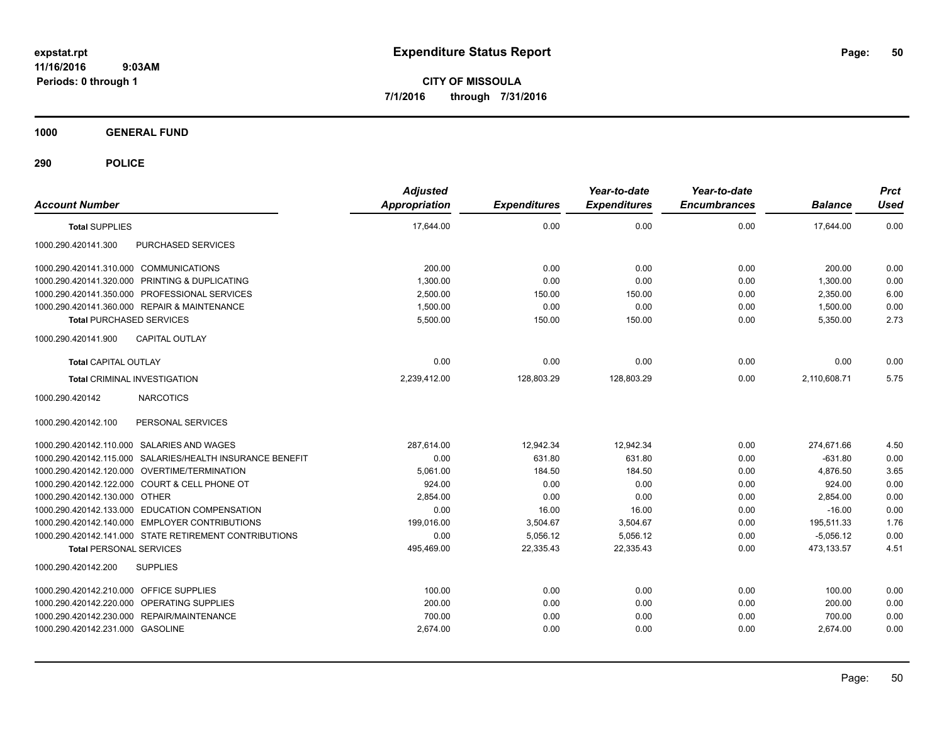**CITY OF MISSOULA 7/1/2016 through 7/31/2016**

**1000 GENERAL FUND**

| <b>Account Number</b>                                     | <b>Adjusted</b><br><b>Appropriation</b> | <b>Expenditures</b> | Year-to-date<br><b>Expenditures</b> | Year-to-date<br><b>Encumbrances</b> | <b>Balance</b> | <b>Prct</b><br><b>Used</b> |
|-----------------------------------------------------------|-----------------------------------------|---------------------|-------------------------------------|-------------------------------------|----------------|----------------------------|
| <b>Total SUPPLIES</b>                                     | 17,644.00                               | 0.00                | 0.00                                | 0.00                                | 17,644.00      | 0.00                       |
| 1000.290.420141.300<br>PURCHASED SERVICES                 |                                         |                     |                                     |                                     |                |                            |
| 1000.290.420141.310.000 COMMUNICATIONS                    | 200.00                                  | 0.00                | 0.00                                | 0.00                                | 200.00         | 0.00                       |
| 1000.290.420141.320.000 PRINTING & DUPLICATING            | 1,300.00                                | 0.00                | 0.00                                | 0.00                                | 1,300.00       | 0.00                       |
| 1000.290.420141.350.000 PROFESSIONAL SERVICES             | 2,500.00                                | 150.00              | 150.00                              | 0.00                                | 2,350.00       | 6.00                       |
| 1000.290.420141.360.000 REPAIR & MAINTENANCE              | 1,500.00                                | 0.00                | 0.00                                | 0.00                                | 1,500.00       | 0.00                       |
| <b>Total PURCHASED SERVICES</b>                           | 5,500.00                                | 150.00              | 150.00                              | 0.00                                | 5,350.00       | 2.73                       |
| 1000.290.420141.900<br><b>CAPITAL OUTLAY</b>              |                                         |                     |                                     |                                     |                |                            |
| <b>Total CAPITAL OUTLAY</b>                               | 0.00                                    | 0.00                | 0.00                                | 0.00                                | 0.00           | 0.00                       |
| <b>Total CRIMINAL INVESTIGATION</b>                       | 2,239,412.00                            | 128,803.29          | 128,803.29                          | 0.00                                | 2,110,608.71   | 5.75                       |
| 1000.290.420142<br><b>NARCOTICS</b>                       |                                         |                     |                                     |                                     |                |                            |
| 1000.290.420142.100<br>PERSONAL SERVICES                  |                                         |                     |                                     |                                     |                |                            |
| 1000.290.420142.110.000 SALARIES AND WAGES                | 287,614.00                              | 12,942.34           | 12,942.34                           | 0.00                                | 274,671.66     | 4.50                       |
| 1000.290.420142.115.000 SALARIES/HEALTH INSURANCE BENEFIT | 0.00                                    | 631.80              | 631.80                              | 0.00                                | $-631.80$      | 0.00                       |
| 1000.290.420142.120.000 OVERTIME/TERMINATION              | 5,061.00                                | 184.50              | 184.50                              | 0.00                                | 4,876.50       | 3.65                       |
| 1000.290.420142.122.000 COURT & CELL PHONE OT             | 924.00                                  | 0.00                | 0.00                                | 0.00                                | 924.00         | 0.00                       |
| 1000.290.420142.130.000 OTHER                             | 2,854.00                                | 0.00                | 0.00                                | 0.00                                | 2,854.00       | 0.00                       |
| 1000.290.420142.133.000 EDUCATION COMPENSATION            | 0.00                                    | 16.00               | 16.00                               | 0.00                                | $-16.00$       | 0.00                       |
| 1000.290.420142.140.000 EMPLOYER CONTRIBUTIONS            | 199,016.00                              | 3,504.67            | 3,504.67                            | 0.00                                | 195,511.33     | 1.76                       |
| 1000.290.420142.141.000 STATE RETIREMENT CONTRIBUTIONS    | 0.00                                    | 5,056.12            | 5,056.12                            | 0.00                                | $-5,056.12$    | 0.00                       |
| <b>Total PERSONAL SERVICES</b>                            | 495,469.00                              | 22,335.43           | 22,335.43                           | 0.00                                | 473,133.57     | 4.51                       |
| <b>SUPPLIES</b><br>1000.290.420142.200                    |                                         |                     |                                     |                                     |                |                            |
| 1000.290.420142.210.000 OFFICE SUPPLIES                   | 100.00                                  | 0.00                | 0.00                                | 0.00                                | 100.00         | 0.00                       |
| 1000.290.420142.220.000 OPERATING SUPPLIES                | 200.00                                  | 0.00                | 0.00                                | 0.00                                | 200.00         | 0.00                       |
| 1000.290.420142.230.000 REPAIR/MAINTENANCE                | 700.00                                  | 0.00                | 0.00                                | 0.00                                | 700.00         | 0.00                       |
| 1000.290.420142.231.000 GASOLINE                          | 2,674.00                                | 0.00                | 0.00                                | 0.00                                | 2,674.00       | 0.00                       |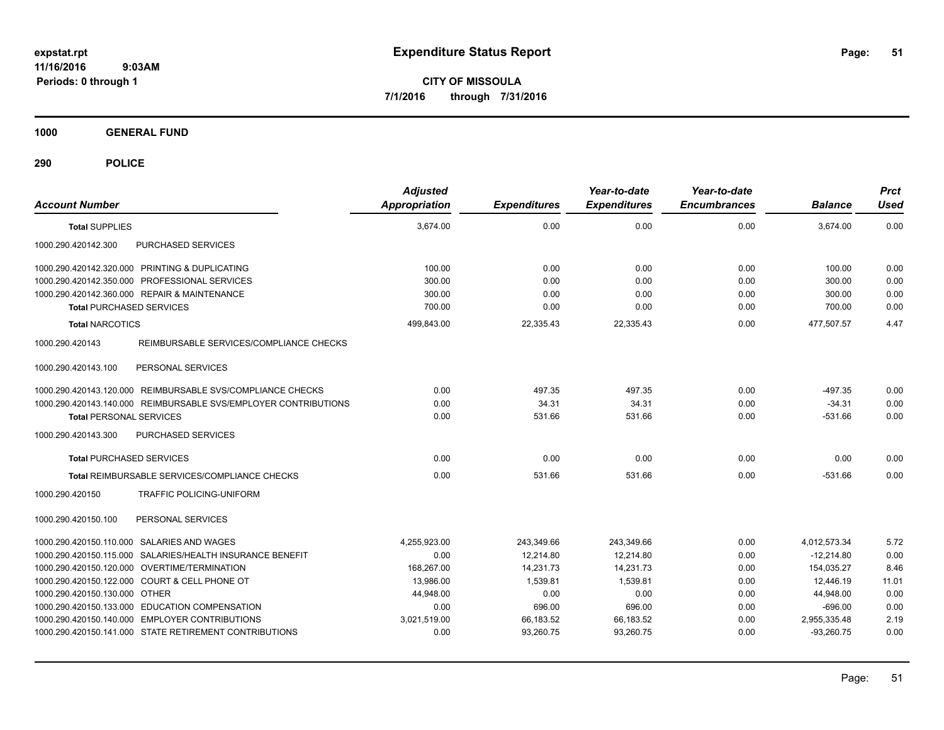**CITY OF MISSOULA 7/1/2016 through 7/31/2016**

**1000 GENERAL FUND**

| <b>Account Number</b>                                           | <b>Adjusted</b><br><b>Appropriation</b> | <b>Expenditures</b> | Year-to-date<br><b>Expenditures</b> | Year-to-date<br><b>Encumbrances</b> | <b>Balance</b> | <b>Prct</b><br>Used |
|-----------------------------------------------------------------|-----------------------------------------|---------------------|-------------------------------------|-------------------------------------|----------------|---------------------|
| <b>Total SUPPLIES</b>                                           | 3.674.00                                | 0.00                | 0.00                                | 0.00                                | 3.674.00       | 0.00                |
| 1000.290.420142.300<br>PURCHASED SERVICES                       |                                         |                     |                                     |                                     |                |                     |
| 1000.290.420142.320.000 PRINTING & DUPLICATING                  | 100.00                                  | 0.00                | 0.00                                | 0.00                                | 100.00         | 0.00                |
| 1000.290.420142.350.000 PROFESSIONAL SERVICES                   | 300.00                                  | 0.00                | 0.00                                | 0.00                                | 300.00         | 0.00                |
| 1000.290.420142.360.000 REPAIR & MAINTENANCE                    | 300.00                                  | 0.00                | 0.00                                | 0.00                                | 300.00         | 0.00                |
| <b>Total PURCHASED SERVICES</b>                                 | 700.00                                  | 0.00                | 0.00                                | 0.00                                | 700.00         | 0.00                |
| <b>Total NARCOTICS</b>                                          | 499.843.00                              | 22,335.43           | 22,335.43                           | 0.00                                | 477.507.57     | 4.47                |
| 1000.290.420143<br>REIMBURSABLE SERVICES/COMPLIANCE CHECKS      |                                         |                     |                                     |                                     |                |                     |
| 1000.290.420143.100<br>PERSONAL SERVICES                        |                                         |                     |                                     |                                     |                |                     |
| 1000.290.420143.120.000 REIMBURSABLE SVS/COMPLIANCE CHECKS      | 0.00                                    | 497.35              | 497.35                              | 0.00                                | $-497.35$      | 0.00                |
| 1000.290.420143.140.000 REIMBURSABLE SVS/EMPLOYER CONTRIBUTIONS | 0.00                                    | 34.31               | 34.31                               | 0.00                                | $-34.31$       | 0.00                |
| <b>Total PERSONAL SERVICES</b>                                  | 0.00                                    | 531.66              | 531.66                              | 0.00                                | $-531.66$      | 0.00                |
| 1000.290.420143.300<br>PURCHASED SERVICES                       |                                         |                     |                                     |                                     |                |                     |
| <b>Total PURCHASED SERVICES</b>                                 | 0.00                                    | 0.00                | 0.00                                | 0.00                                | 0.00           | 0.00                |
| Total REIMBURSABLE SERVICES/COMPLIANCE CHECKS                   | 0.00                                    | 531.66              | 531.66                              | 0.00                                | $-531.66$      | 0.00                |
| 1000.290.420150<br>TRAFFIC POLICING-UNIFORM                     |                                         |                     |                                     |                                     |                |                     |
| 1000.290.420150.100<br>PERSONAL SERVICES                        |                                         |                     |                                     |                                     |                |                     |
| 1000.290.420150.110.000 SALARIES AND WAGES                      | 4,255,923.00                            | 243,349.66          | 243,349.66                          | 0.00                                | 4,012,573.34   | 5.72                |
| 1000.290.420150.115.000 SALARIES/HEALTH INSURANCE BENEFIT       | 0.00                                    | 12,214.80           | 12,214.80                           | 0.00                                | $-12,214.80$   | 0.00                |
| 1000.290.420150.120.000 OVERTIME/TERMINATION                    | 168,267.00                              | 14,231.73           | 14,231.73                           | 0.00                                | 154,035.27     | 8.46                |
| 1000.290.420150.122.000 COURT & CELL PHONE OT                   | 13,986.00                               | 1,539.81            | 1,539.81                            | 0.00                                | 12,446.19      | 11.01               |
| 1000.290.420150.130.000 OTHER                                   | 44.948.00                               | 0.00                | 0.00                                | 0.00                                | 44,948.00      | 0.00                |
| 1000.290.420150.133.000 EDUCATION COMPENSATION                  | 0.00                                    | 696.00              | 696.00                              | 0.00                                | $-696.00$      | 0.00                |
| 1000.290.420150.140.000 EMPLOYER CONTRIBUTIONS                  | 3,021,519.00                            | 66,183.52           | 66,183.52                           | 0.00                                | 2,955,335.48   | 2.19                |
| 1000.290.420150.141.000 STATE RETIREMENT CONTRIBUTIONS          | 0.00                                    | 93.260.75           | 93.260.75                           | 0.00                                | $-93.260.75$   | 0.00                |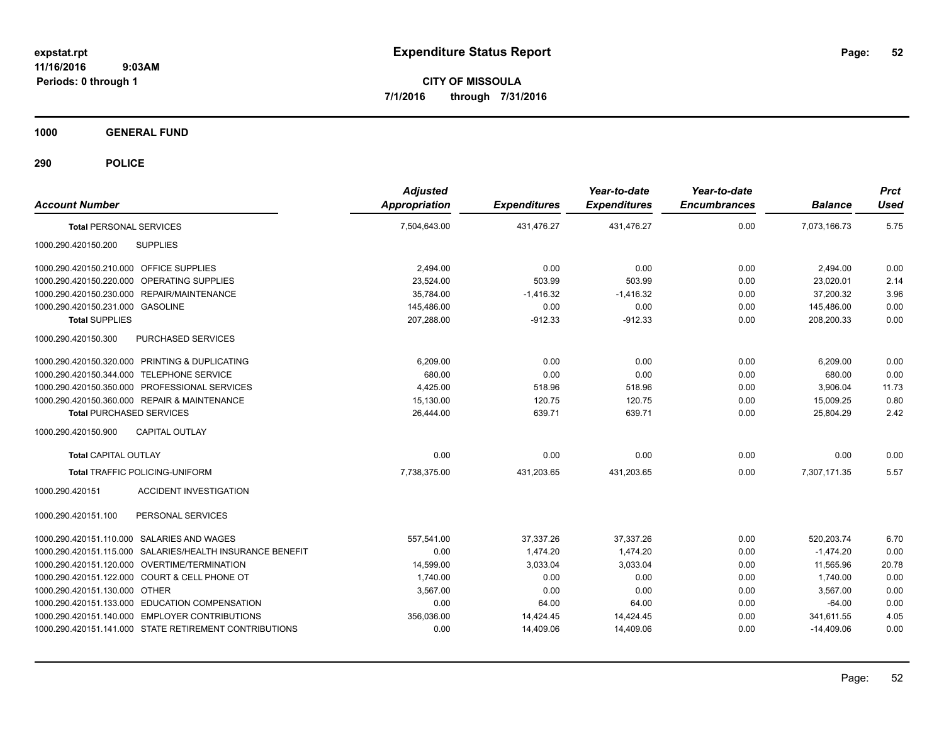**CITY OF MISSOULA 7/1/2016 through 7/31/2016**

**1000 GENERAL FUND**

| <b>Account Number</b>                                     | <b>Adjusted</b><br><b>Appropriation</b> | <b>Expenditures</b> | Year-to-date<br><b>Expenditures</b> | Year-to-date<br><b>Encumbrances</b> | <b>Balance</b> | <b>Prct</b><br><b>Used</b> |
|-----------------------------------------------------------|-----------------------------------------|---------------------|-------------------------------------|-------------------------------------|----------------|----------------------------|
| <b>Total PERSONAL SERVICES</b>                            | 7.504.643.00                            | 431.476.27          | 431.476.27                          | 0.00                                | 7.073.166.73   | 5.75                       |
| 1000.290.420150.200<br><b>SUPPLIES</b>                    |                                         |                     |                                     |                                     |                |                            |
| 1000.290.420150.210.000 OFFICE SUPPLIES                   | 2,494.00                                | 0.00                | 0.00                                | 0.00                                | 2,494.00       | 0.00                       |
| 1000.290.420150.220.000 OPERATING SUPPLIES                | 23,524.00                               | 503.99              | 503.99                              | 0.00                                | 23,020.01      | 2.14                       |
| 1000.290.420150.230.000 REPAIR/MAINTENANCE                | 35,784.00                               | $-1,416.32$         | $-1,416.32$                         | 0.00                                | 37,200.32      | 3.96                       |
| 1000.290.420150.231.000 GASOLINE                          | 145.486.00                              | 0.00                | 0.00                                | 0.00                                | 145.486.00     | 0.00                       |
| <b>Total SUPPLIES</b>                                     | 207,288.00                              | $-912.33$           | $-912.33$                           | 0.00                                | 208,200.33     | 0.00                       |
| PURCHASED SERVICES<br>1000.290.420150.300                 |                                         |                     |                                     |                                     |                |                            |
| 1000.290.420150.320.000 PRINTING & DUPLICATING            | 6.209.00                                | 0.00                | 0.00                                | 0.00                                | 6,209.00       | 0.00                       |
| 1000.290.420150.344.000 TELEPHONE SERVICE                 | 680.00                                  | 0.00                | 0.00                                | 0.00                                | 680.00         | 0.00                       |
| 1000.290.420150.350.000 PROFESSIONAL SERVICES             | 4.425.00                                | 518.96              | 518.96                              | 0.00                                | 3.906.04       | 11.73                      |
| 1000.290.420150.360.000 REPAIR & MAINTENANCE              | 15,130.00                               | 120.75              | 120.75                              | 0.00                                | 15,009.25      | 0.80                       |
| <b>Total PURCHASED SERVICES</b>                           | 26,444.00                               | 639.71              | 639.71                              | 0.00                                | 25,804.29      | 2.42                       |
| <b>CAPITAL OUTLAY</b><br>1000.290.420150.900              |                                         |                     |                                     |                                     |                |                            |
| <b>Total CAPITAL OUTLAY</b>                               | 0.00                                    | 0.00                | 0.00                                | 0.00                                | 0.00           | 0.00                       |
| <b>Total TRAFFIC POLICING-UNIFORM</b>                     | 7,738,375.00                            | 431,203.65          | 431,203.65                          | 0.00                                | 7,307,171.35   | 5.57                       |
| <b>ACCIDENT INVESTIGATION</b><br>1000.290.420151          |                                         |                     |                                     |                                     |                |                            |
| PERSONAL SERVICES<br>1000.290.420151.100                  |                                         |                     |                                     |                                     |                |                            |
| 1000.290.420151.110.000 SALARIES AND WAGES                | 557,541.00                              | 37,337.26           | 37,337.26                           | 0.00                                | 520,203.74     | 6.70                       |
| 1000.290.420151.115.000 SALARIES/HEALTH INSURANCE BENEFIT | 0.00                                    | 1.474.20            | 1.474.20                            | 0.00                                | $-1,474.20$    | 0.00                       |
| 1000.290.420151.120.000 OVERTIME/TERMINATION              | 14,599.00                               | 3,033.04            | 3,033.04                            | 0.00                                | 11,565.96      | 20.78                      |
| 1000.290.420151.122.000 COURT & CELL PHONE OT             | 1,740.00                                | 0.00                | 0.00                                | 0.00                                | 1,740.00       | 0.00                       |
| 1000.290.420151.130.000 OTHER                             | 3,567.00                                | 0.00                | 0.00                                | 0.00                                | 3,567.00       | 0.00                       |
| 1000.290.420151.133.000 EDUCATION COMPENSATION            | 0.00                                    | 64.00               | 64.00                               | 0.00                                | $-64.00$       | 0.00                       |
| 1000.290.420151.140.000 EMPLOYER CONTRIBUTIONS            | 356,036.00                              | 14,424.45           | 14,424.45                           | 0.00                                | 341,611.55     | 4.05                       |
| 1000.290.420151.141.000 STATE RETIREMENT CONTRIBUTIONS    | 0.00                                    | 14,409.06           | 14,409.06                           | 0.00                                | $-14,409.06$   | 0.00                       |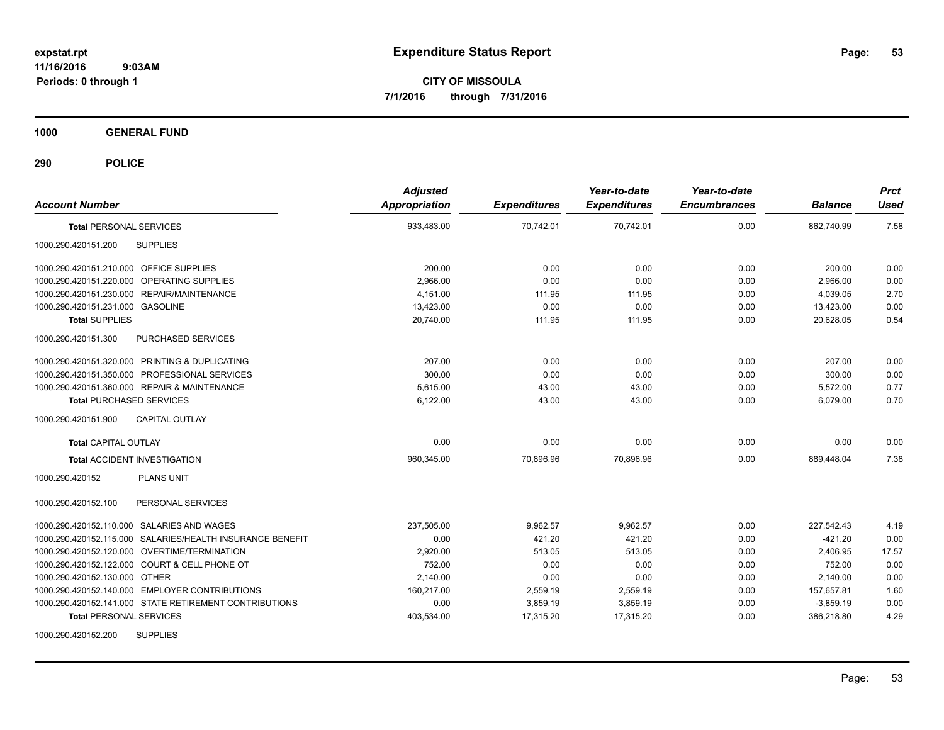**CITY OF MISSOULA 7/1/2016 through 7/31/2016**

**1000 GENERAL FUND**

| <b>Account Number</b>                                     | <b>Adjusted</b><br><b>Appropriation</b> | <b>Expenditures</b> | Year-to-date<br><b>Expenditures</b> | Year-to-date<br><b>Encumbrances</b> | <b>Balance</b> | <b>Prct</b><br><b>Used</b> |
|-----------------------------------------------------------|-----------------------------------------|---------------------|-------------------------------------|-------------------------------------|----------------|----------------------------|
| <b>Total PERSONAL SERVICES</b>                            | 933,483.00                              | 70,742.01           | 70,742.01                           | 0.00                                | 862,740.99     | 7.58                       |
| 1000.290.420151.200<br><b>SUPPLIES</b>                    |                                         |                     |                                     |                                     |                |                            |
| 1000.290.420151.210.000 OFFICE SUPPLIES                   | 200.00                                  | 0.00                | 0.00                                | 0.00                                | 200.00         | 0.00                       |
| 1000.290.420151.220.000 OPERATING SUPPLIES                | 2,966.00                                | 0.00                | 0.00                                | 0.00                                | 2,966.00       | 0.00                       |
| 1000.290.420151.230.000 REPAIR/MAINTENANCE                | 4,151.00                                | 111.95              | 111.95                              | 0.00                                | 4,039.05       | 2.70                       |
| 1000.290.420151.231.000 GASOLINE                          | 13,423.00                               | 0.00                | 0.00                                | 0.00                                | 13,423.00      | 0.00                       |
| <b>Total SUPPLIES</b>                                     | 20,740.00                               | 111.95              | 111.95                              | 0.00                                | 20,628.05      | 0.54                       |
| 1000.290.420151.300<br>PURCHASED SERVICES                 |                                         |                     |                                     |                                     |                |                            |
| 1000.290.420151.320.000 PRINTING & DUPLICATING            | 207.00                                  | 0.00                | 0.00                                | 0.00                                | 207.00         | 0.00                       |
| 1000.290.420151.350.000 PROFESSIONAL SERVICES             | 300.00                                  | 0.00                | 0.00                                | 0.00                                | 300.00         | 0.00                       |
| 1000.290.420151.360.000 REPAIR & MAINTENANCE              | 5.615.00                                | 43.00               | 43.00                               | 0.00                                | 5.572.00       | 0.77                       |
| <b>Total PURCHASED SERVICES</b>                           | 6,122.00                                | 43.00               | 43.00                               | 0.00                                | 6.079.00       | 0.70                       |
| 1000.290.420151.900<br><b>CAPITAL OUTLAY</b>              |                                         |                     |                                     |                                     |                |                            |
| <b>Total CAPITAL OUTLAY</b>                               | 0.00                                    | 0.00                | 0.00                                | 0.00                                | 0.00           | 0.00                       |
| <b>Total ACCIDENT INVESTIGATION</b>                       | 960,345.00                              | 70,896.96           | 70,896.96                           | 0.00                                | 889,448.04     | 7.38                       |
| <b>PLANS UNIT</b><br>1000.290.420152                      |                                         |                     |                                     |                                     |                |                            |
| PERSONAL SERVICES<br>1000.290.420152.100                  |                                         |                     |                                     |                                     |                |                            |
| 1000.290.420152.110.000 SALARIES AND WAGES                | 237,505.00                              | 9,962.57            | 9,962.57                            | 0.00                                | 227,542.43     | 4.19                       |
| 1000.290.420152.115.000 SALARIES/HEALTH INSURANCE BENEFIT | 0.00                                    | 421.20              | 421.20                              | 0.00                                | $-421.20$      | 0.00                       |
| 1000.290.420152.120.000 OVERTIME/TERMINATION              | 2,920.00                                | 513.05              | 513.05                              | 0.00                                | 2,406.95       | 17.57                      |
| 1000.290.420152.122.000 COURT & CELL PHONE OT             | 752.00                                  | 0.00                | 0.00                                | 0.00                                | 752.00         | 0.00                       |
| 1000.290.420152.130.000 OTHER                             | 2,140.00                                | 0.00                | 0.00                                | 0.00                                | 2,140.00       | 0.00                       |
| 1000.290.420152.140.000 EMPLOYER CONTRIBUTIONS            | 160,217.00                              | 2,559.19            | 2,559.19                            | 0.00                                | 157,657.81     | 1.60                       |
| 1000.290.420152.141.000 STATE RETIREMENT CONTRIBUTIONS    | 0.00                                    | 3,859.19            | 3,859.19                            | 0.00                                | $-3,859.19$    | 0.00                       |
| <b>Total PERSONAL SERVICES</b>                            | 403,534.00                              | 17,315.20           | 17,315.20                           | 0.00                                | 386,218.80     | 4.29                       |
| <b>SUPPLIES</b><br>1000.290.420152.200                    |                                         |                     |                                     |                                     |                |                            |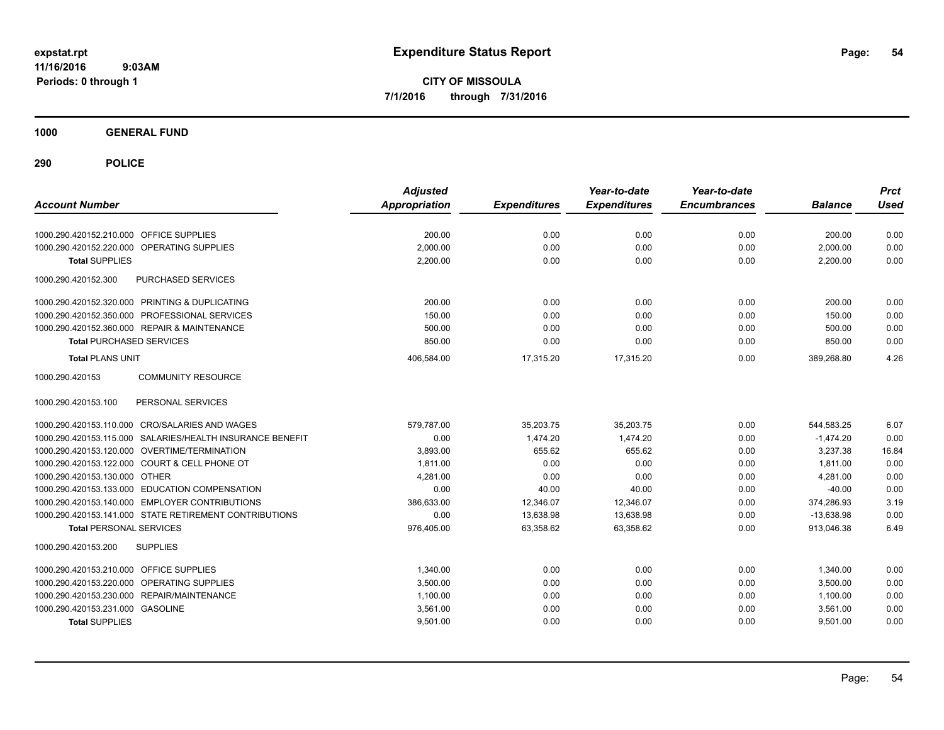**CITY OF MISSOULA 7/1/2016 through 7/31/2016**

**1000 GENERAL FUND**

| <b>Account Number</b>                                     | <b>Adjusted</b><br><b>Appropriation</b> | <b>Expenditures</b> | Year-to-date<br><b>Expenditures</b> | Year-to-date<br><b>Encumbrances</b> | <b>Balance</b> | <b>Prct</b><br><b>Used</b> |
|-----------------------------------------------------------|-----------------------------------------|---------------------|-------------------------------------|-------------------------------------|----------------|----------------------------|
| 1000.290.420152.210.000 OFFICE SUPPLIES                   | 200.00                                  | 0.00                | 0.00                                | 0.00                                | 200.00         | 0.00                       |
| OPERATING SUPPLIES<br>1000.290.420152.220.000             | 2,000.00                                | 0.00                | 0.00                                | 0.00                                | 2,000.00       | 0.00                       |
| <b>Total SUPPLIES</b>                                     | 2,200.00                                | 0.00                | 0.00                                | 0.00                                | 2,200.00       | 0.00                       |
| 1000.290.420152.300<br><b>PURCHASED SERVICES</b>          |                                         |                     |                                     |                                     |                |                            |
| 1000.290.420152.320.000 PRINTING & DUPLICATING            | 200.00                                  | 0.00                | 0.00                                | 0.00                                | 200.00         | 0.00                       |
| 1000.290.420152.350.000 PROFESSIONAL SERVICES             | 150.00                                  | 0.00                | 0.00                                | 0.00                                | 150.00         | 0.00                       |
| 1000.290.420152.360.000 REPAIR & MAINTENANCE              | 500.00                                  | 0.00                | 0.00                                | 0.00                                | 500.00         | 0.00                       |
| <b>Total PURCHASED SERVICES</b>                           | 850.00                                  | 0.00                | 0.00                                | 0.00                                | 850.00         | 0.00                       |
| <b>Total PLANS UNIT</b>                                   | 406,584.00                              | 17,315.20           | 17,315.20                           | 0.00                                | 389,268.80     | 4.26                       |
| 1000.290.420153<br><b>COMMUNITY RESOURCE</b>              |                                         |                     |                                     |                                     |                |                            |
| 1000.290.420153.100<br>PERSONAL SERVICES                  |                                         |                     |                                     |                                     |                |                            |
| 1000.290.420153.110.000 CRO/SALARIES AND WAGES            | 579,787.00                              | 35,203.75           | 35,203.75                           | 0.00                                | 544,583.25     | 6.07                       |
| 1000.290.420153.115.000 SALARIES/HEALTH INSURANCE BENEFIT | 0.00                                    | 1,474.20            | 1,474.20                            | 0.00                                | $-1,474.20$    | 0.00                       |
| 1000.290.420153.120.000 OVERTIME/TERMINATION              | 3.893.00                                | 655.62              | 655.62                              | 0.00                                | 3,237.38       | 16.84                      |
| 1000.290.420153.122.000 COURT & CELL PHONE OT             | 1,811.00                                | 0.00                | 0.00                                | 0.00                                | 1,811.00       | 0.00                       |
| 1000.290.420153.130.000 OTHER                             | 4,281.00                                | 0.00                | 0.00                                | 0.00                                | 4,281.00       | 0.00                       |
| 1000.290.420153.133.000 EDUCATION COMPENSATION            | 0.00                                    | 40.00               | 40.00                               | 0.00                                | $-40.00$       | 0.00                       |
| 1000.290.420153.140.000 EMPLOYER CONTRIBUTIONS            | 386,633.00                              | 12,346.07           | 12,346.07                           | 0.00                                | 374,286.93     | 3.19                       |
| 1000.290.420153.141.000 STATE RETIREMENT CONTRIBUTIONS    | 0.00                                    | 13,638.98           | 13,638.98                           | 0.00                                | $-13,638.98$   | 0.00                       |
| <b>Total PERSONAL SERVICES</b>                            | 976,405.00                              | 63,358.62           | 63,358.62                           | 0.00                                | 913,046.38     | 6.49                       |
| 1000.290.420153.200<br><b>SUPPLIES</b>                    |                                         |                     |                                     |                                     |                |                            |
| 1000.290.420153.210.000<br><b>OFFICE SUPPLIES</b>         | 1,340.00                                | 0.00                | 0.00                                | 0.00                                | 1,340.00       | 0.00                       |
| OPERATING SUPPLIES<br>1000.290.420153.220.000             | 3,500.00                                | 0.00                | 0.00                                | 0.00                                | 3,500.00       | 0.00                       |
| 1000.290.420153.230.000 REPAIR/MAINTENANCE                | 1,100.00                                | 0.00                | 0.00                                | 0.00                                | 1,100.00       | 0.00                       |
| 1000.290.420153.231.000 GASOLINE                          | 3,561.00                                | 0.00                | 0.00                                | 0.00                                | 3,561.00       | 0.00                       |
| <b>Total SUPPLIES</b>                                     | 9,501.00                                | 0.00                | 0.00                                | 0.00                                | 9,501.00       | 0.00                       |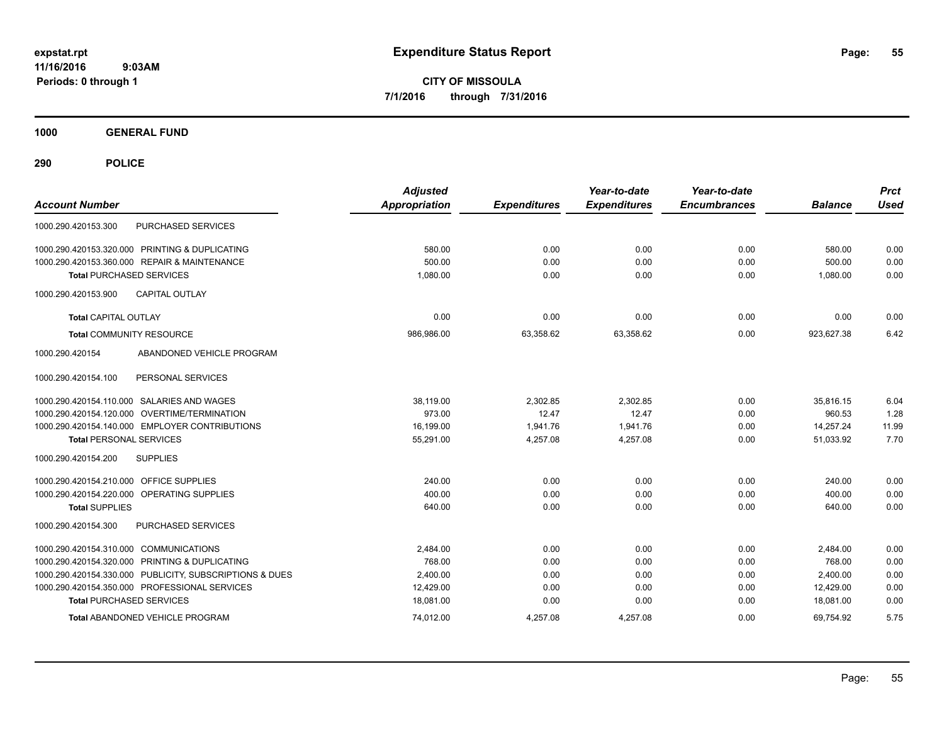**CITY OF MISSOULA 7/1/2016 through 7/31/2016**

**1000 GENERAL FUND**

| <b>Account Number</b>                                   | <b>Adjusted</b><br><b>Appropriation</b> | <b>Expenditures</b> | Year-to-date<br><b>Expenditures</b> | Year-to-date<br><b>Encumbrances</b> | <b>Balance</b> | <b>Prct</b><br><b>Used</b> |
|---------------------------------------------------------|-----------------------------------------|---------------------|-------------------------------------|-------------------------------------|----------------|----------------------------|
| PURCHASED SERVICES<br>1000.290.420153.300               |                                         |                     |                                     |                                     |                |                            |
| 1000.290.420153.320.000 PRINTING & DUPLICATING          | 580.00                                  | 0.00                | 0.00                                | 0.00                                | 580.00         | 0.00                       |
| 1000.290.420153.360.000 REPAIR & MAINTENANCE            | 500.00                                  | 0.00                | 0.00                                | 0.00                                | 500.00         | 0.00                       |
| <b>Total PURCHASED SERVICES</b>                         | 1,080.00                                | 0.00                | 0.00                                | 0.00                                | 1.080.00       | 0.00                       |
| 1000.290.420153.900<br><b>CAPITAL OUTLAY</b>            |                                         |                     |                                     |                                     |                |                            |
| <b>Total CAPITAL OUTLAY</b>                             | 0.00                                    | 0.00                | 0.00                                | 0.00                                | 0.00           | 0.00                       |
| <b>Total COMMUNITY RESOURCE</b>                         | 986.986.00                              | 63,358.62           | 63,358.62                           | 0.00                                | 923.627.38     | 6.42                       |
| ABANDONED VEHICLE PROGRAM<br>1000.290.420154            |                                         |                     |                                     |                                     |                |                            |
| PERSONAL SERVICES<br>1000.290.420154.100                |                                         |                     |                                     |                                     |                |                            |
| 1000.290.420154.110.000 SALARIES AND WAGES              | 38.119.00                               | 2,302.85            | 2,302.85                            | 0.00                                | 35.816.15      | 6.04                       |
| 1000.290.420154.120.000 OVERTIME/TERMINATION            | 973.00                                  | 12.47               | 12.47                               | 0.00                                | 960.53         | 1.28                       |
| 1000.290.420154.140.000 EMPLOYER CONTRIBUTIONS          | 16,199.00                               | 1,941.76            | 1,941.76                            | 0.00                                | 14,257.24      | 11.99                      |
| <b>Total PERSONAL SERVICES</b>                          | 55,291.00                               | 4,257.08            | 4,257.08                            | 0.00                                | 51,033.92      | 7.70                       |
| <b>SUPPLIES</b><br>1000.290.420154.200                  |                                         |                     |                                     |                                     |                |                            |
| <b>OFFICE SUPPLIES</b><br>1000.290.420154.210.000       | 240.00                                  | 0.00                | 0.00                                | 0.00                                | 240.00         | 0.00                       |
| 1000.290.420154.220.000<br>OPERATING SUPPLIES           | 400.00                                  | 0.00                | 0.00                                | 0.00                                | 400.00         | 0.00                       |
| <b>Total SUPPLIES</b>                                   | 640.00                                  | 0.00                | 0.00                                | 0.00                                | 640.00         | 0.00                       |
| 1000.290.420154.300<br><b>PURCHASED SERVICES</b>        |                                         |                     |                                     |                                     |                |                            |
| 1000.290.420154.310.000 COMMUNICATIONS                  | 2,484.00                                | 0.00                | 0.00                                | 0.00                                | 2,484.00       | 0.00                       |
| 1000.290.420154.320.000 PRINTING & DUPLICATING          | 768.00                                  | 0.00                | 0.00                                | 0.00                                | 768.00         | 0.00                       |
| 1000.290.420154.330.000 PUBLICITY, SUBSCRIPTIONS & DUES | 2,400.00                                | 0.00                | 0.00                                | 0.00                                | 2,400.00       | 0.00                       |
| 1000.290.420154.350.000 PROFESSIONAL SERVICES           | 12,429.00                               | 0.00                | 0.00                                | 0.00                                | 12,429.00      | 0.00                       |
| <b>Total PURCHASED SERVICES</b>                         | 18,081.00                               | 0.00                | 0.00                                | 0.00                                | 18,081.00      | 0.00                       |
| Total ABANDONED VEHICLE PROGRAM                         | 74.012.00                               | 4,257.08            | 4,257.08                            | 0.00                                | 69,754.92      | 5.75                       |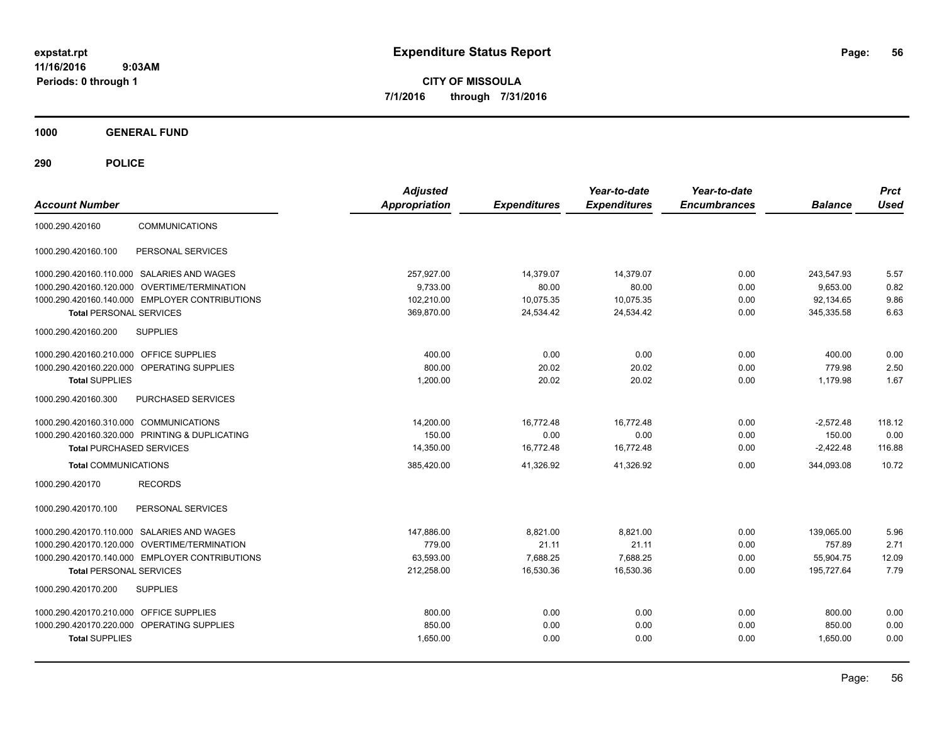**CITY OF MISSOULA 7/1/2016 through 7/31/2016**

**1000 GENERAL FUND**

| <b>Account Number</b>                          | <b>Adjusted</b><br><b>Appropriation</b> | <b>Expenditures</b> | Year-to-date<br><b>Expenditures</b> | Year-to-date<br><b>Encumbrances</b> | <b>Balance</b> | <b>Prct</b><br><b>Used</b> |
|------------------------------------------------|-----------------------------------------|---------------------|-------------------------------------|-------------------------------------|----------------|----------------------------|
| <b>COMMUNICATIONS</b><br>1000.290.420160       |                                         |                     |                                     |                                     |                |                            |
| PERSONAL SERVICES<br>1000.290.420160.100       |                                         |                     |                                     |                                     |                |                            |
| 1000.290.420160.110.000 SALARIES AND WAGES     | 257,927.00                              | 14,379.07           | 14,379.07                           | 0.00                                | 243,547.93     | 5.57                       |
| 1000.290.420160.120.000 OVERTIME/TERMINATION   | 9,733.00                                | 80.00               | 80.00                               | 0.00                                | 9,653.00       | 0.82                       |
| 1000.290.420160.140.000 EMPLOYER CONTRIBUTIONS | 102,210.00                              | 10,075.35           | 10,075.35                           | 0.00                                | 92,134.65      | 9.86                       |
| <b>Total PERSONAL SERVICES</b>                 | 369,870.00                              | 24,534.42           | 24,534.42                           | 0.00                                | 345,335.58     | 6.63                       |
| 1000.290.420160.200<br><b>SUPPLIES</b>         |                                         |                     |                                     |                                     |                |                            |
| 1000.290.420160.210.000 OFFICE SUPPLIES        | 400.00                                  | 0.00                | 0.00                                | 0.00                                | 400.00         | 0.00                       |
| 1000.290.420160.220.000 OPERATING SUPPLIES     | 800.00                                  | 20.02               | 20.02                               | 0.00                                | 779.98         | 2.50                       |
| <b>Total SUPPLIES</b>                          | 1.200.00                                | 20.02               | 20.02                               | 0.00                                | 1.179.98       | 1.67                       |
| 1000.290.420160.300<br>PURCHASED SERVICES      |                                         |                     |                                     |                                     |                |                            |
| 1000.290.420160.310.000 COMMUNICATIONS         | 14,200.00                               | 16,772.48           | 16,772.48                           | 0.00                                | $-2,572.48$    | 118.12                     |
| 1000.290.420160.320.000 PRINTING & DUPLICATING | 150.00                                  | 0.00                | 0.00                                | 0.00                                | 150.00         | 0.00                       |
| <b>Total PURCHASED SERVICES</b>                | 14,350.00                               | 16,772.48           | 16,772.48                           | 0.00                                | $-2,422.48$    | 116.88                     |
| <b>Total COMMUNICATIONS</b>                    | 385,420.00                              | 41.326.92           | 41.326.92                           | 0.00                                | 344.093.08     | 10.72                      |
| 1000.290.420170<br><b>RECORDS</b>              |                                         |                     |                                     |                                     |                |                            |
| 1000.290.420170.100<br>PERSONAL SERVICES       |                                         |                     |                                     |                                     |                |                            |
| 1000.290.420170.110.000 SALARIES AND WAGES     | 147,886.00                              | 8,821.00            | 8,821.00                            | 0.00                                | 139,065.00     | 5.96                       |
| 1000.290.420170.120.000 OVERTIME/TERMINATION   | 779.00                                  | 21.11               | 21.11                               | 0.00                                | 757.89         | 2.71                       |
| 1000.290.420170.140.000 EMPLOYER CONTRIBUTIONS | 63,593.00                               | 7,688.25            | 7,688.25                            | 0.00                                | 55,904.75      | 12.09                      |
| <b>Total PERSONAL SERVICES</b>                 | 212,258.00                              | 16,530.36           | 16,530.36                           | 0.00                                | 195,727.64     | 7.79                       |
| 1000.290.420170.200<br><b>SUPPLIES</b>         |                                         |                     |                                     |                                     |                |                            |
| 1000.290.420170.210.000 OFFICE SUPPLIES        | 800.00                                  | 0.00                | 0.00                                | 0.00                                | 800.00         | 0.00                       |
| 1000.290.420170.220.000 OPERATING SUPPLIES     | 850.00                                  | 0.00                | 0.00                                | 0.00                                | 850.00         | 0.00                       |
| <b>Total SUPPLIES</b>                          | 1,650.00                                | 0.00                | 0.00                                | 0.00                                | 1,650.00       | 0.00                       |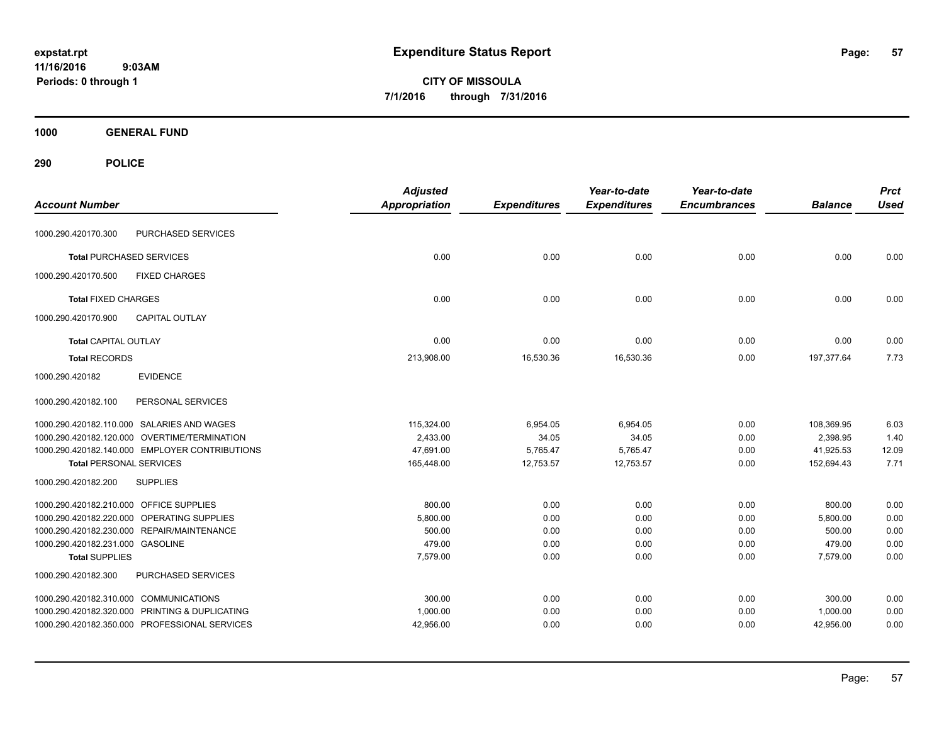**CITY OF MISSOULA 7/1/2016 through 7/31/2016**

**1000 GENERAL FUND**

| <b>Account Number</b>                          | <b>Adjusted</b><br><b>Appropriation</b> | <b>Expenditures</b> | Year-to-date<br><b>Expenditures</b> | Year-to-date<br><b>Encumbrances</b> | <b>Balance</b> | <b>Prct</b><br><b>Used</b> |
|------------------------------------------------|-----------------------------------------|---------------------|-------------------------------------|-------------------------------------|----------------|----------------------------|
| PURCHASED SERVICES<br>1000.290.420170.300      |                                         |                     |                                     |                                     |                |                            |
|                                                |                                         |                     |                                     |                                     |                |                            |
| <b>Total PURCHASED SERVICES</b>                | 0.00                                    | 0.00                | 0.00                                | 0.00                                | 0.00           | 0.00                       |
| <b>FIXED CHARGES</b><br>1000.290.420170.500    |                                         |                     |                                     |                                     |                |                            |
| <b>Total FIXED CHARGES</b>                     | 0.00                                    | 0.00                | 0.00                                | 0.00                                | 0.00           | 0.00                       |
| 1000.290.420170.900<br><b>CAPITAL OUTLAY</b>   |                                         |                     |                                     |                                     |                |                            |
| <b>Total CAPITAL OUTLAY</b>                    | 0.00                                    | 0.00                | 0.00                                | 0.00                                | 0.00           | 0.00                       |
| <b>Total RECORDS</b>                           | 213,908.00                              | 16,530.36           | 16,530.36                           | 0.00                                | 197,377.64     | 7.73                       |
| <b>EVIDENCE</b><br>1000.290.420182             |                                         |                     |                                     |                                     |                |                            |
| 1000.290.420182.100<br>PERSONAL SERVICES       |                                         |                     |                                     |                                     |                |                            |
| 1000.290.420182.110.000 SALARIES AND WAGES     | 115,324.00                              | 6,954.05            | 6,954.05                            | 0.00                                | 108,369.95     | 6.03                       |
| 1000.290.420182.120.000 OVERTIME/TERMINATION   | 2,433.00                                | 34.05               | 34.05                               | 0.00                                | 2,398.95       | 1.40                       |
| 1000.290.420182.140.000 EMPLOYER CONTRIBUTIONS | 47,691.00                               | 5,765.47            | 5,765.47                            | 0.00                                | 41,925.53      | 12.09                      |
| <b>Total PERSONAL SERVICES</b>                 | 165,448.00                              | 12,753.57           | 12,753.57                           | 0.00                                | 152,694.43     | 7.71                       |
| 1000.290.420182.200<br><b>SUPPLIES</b>         |                                         |                     |                                     |                                     |                |                            |
| 1000.290.420182.210.000 OFFICE SUPPLIES        | 800.00                                  | 0.00                | 0.00                                | 0.00                                | 800.00         | 0.00                       |
| 1000.290.420182.220.000 OPERATING SUPPLIES     | 5,800.00                                | 0.00                | 0.00                                | 0.00                                | 5,800.00       | 0.00                       |
| 1000.290.420182.230.000 REPAIR/MAINTENANCE     | 500.00                                  | 0.00                | 0.00                                | 0.00                                | 500.00         | 0.00                       |
| 1000.290.420182.231.000 GASOLINE               | 479.00                                  | 0.00                | 0.00                                | 0.00                                | 479.00         | 0.00                       |
| <b>Total SUPPLIES</b>                          | 7,579.00                                | 0.00                | 0.00                                | 0.00                                | 7,579.00       | 0.00                       |
| PURCHASED SERVICES<br>1000.290.420182.300      |                                         |                     |                                     |                                     |                |                            |
| 1000.290.420182.310.000 COMMUNICATIONS         | 300.00                                  | 0.00                | 0.00                                | 0.00                                | 300.00         | 0.00                       |
| 1000.290.420182.320.000 PRINTING & DUPLICATING | 1,000.00                                | 0.00                | 0.00                                | 0.00                                | 1,000.00       | 0.00                       |
| 1000.290.420182.350.000 PROFESSIONAL SERVICES  | 42,956.00                               | 0.00                | 0.00                                | 0.00                                | 42,956.00      | 0.00                       |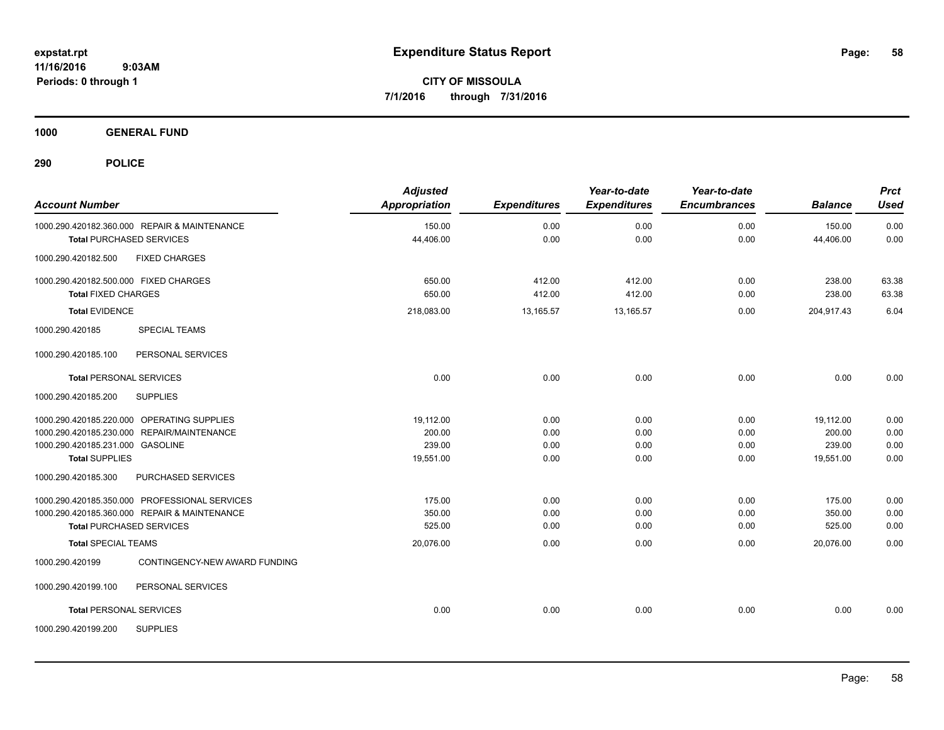**CITY OF MISSOULA 7/1/2016 through 7/31/2016**

**1000 GENERAL FUND**

| <b>Account Number</b>                 |                                               | <b>Adjusted</b><br>Appropriation | <b>Expenditures</b> | Year-to-date<br><b>Expenditures</b> | Year-to-date<br><b>Encumbrances</b> | <b>Balance</b> | <b>Prct</b><br><b>Used</b> |
|---------------------------------------|-----------------------------------------------|----------------------------------|---------------------|-------------------------------------|-------------------------------------|----------------|----------------------------|
|                                       | 1000.290.420182.360.000 REPAIR & MAINTENANCE  | 150.00                           | 0.00                | 0.00                                | 0.00                                | 150.00         | 0.00                       |
|                                       | <b>Total PURCHASED SERVICES</b>               | 44,406.00                        | 0.00                | 0.00                                | 0.00                                | 44,406.00      | 0.00                       |
| 1000.290.420182.500                   | <b>FIXED CHARGES</b>                          |                                  |                     |                                     |                                     |                |                            |
| 1000.290.420182.500.000 FIXED CHARGES |                                               | 650.00                           | 412.00              | 412.00                              | 0.00                                | 238.00         | 63.38                      |
| <b>Total FIXED CHARGES</b>            |                                               | 650.00                           | 412.00              | 412.00                              | 0.00                                | 238.00         | 63.38                      |
| <b>Total EVIDENCE</b>                 |                                               | 218,083.00                       | 13,165.57           | 13,165.57                           | 0.00                                | 204,917.43     | 6.04                       |
| 1000.290.420185                       | <b>SPECIAL TEAMS</b>                          |                                  |                     |                                     |                                     |                |                            |
| 1000.290.420185.100                   | PERSONAL SERVICES                             |                                  |                     |                                     |                                     |                |                            |
| <b>Total PERSONAL SERVICES</b>        |                                               | 0.00                             | 0.00                | 0.00                                | 0.00                                | 0.00           | 0.00                       |
| 1000.290.420185.200                   | <b>SUPPLIES</b>                               |                                  |                     |                                     |                                     |                |                            |
|                                       | 1000.290.420185.220.000 OPERATING SUPPLIES    | 19.112.00                        | 0.00                | 0.00                                | 0.00                                | 19,112.00      | 0.00                       |
|                                       | 1000.290.420185.230.000 REPAIR/MAINTENANCE    | 200.00                           | 0.00                | 0.00                                | 0.00                                | 200.00         | 0.00                       |
| 1000.290.420185.231.000 GASOLINE      |                                               | 239.00                           | 0.00                | 0.00                                | 0.00                                | 239.00         | 0.00                       |
| <b>Total SUPPLIES</b>                 |                                               | 19,551.00                        | 0.00                | 0.00                                | 0.00                                | 19,551.00      | 0.00                       |
| 1000.290.420185.300                   | PURCHASED SERVICES                            |                                  |                     |                                     |                                     |                |                            |
|                                       | 1000.290.420185.350.000 PROFESSIONAL SERVICES | 175.00                           | 0.00                | 0.00                                | 0.00                                | 175.00         | 0.00                       |
|                                       | 1000.290.420185.360.000 REPAIR & MAINTENANCE  | 350.00                           | 0.00                | 0.00                                | 0.00                                | 350.00         | 0.00                       |
|                                       | <b>Total PURCHASED SERVICES</b>               | 525.00                           | 0.00                | 0.00                                | 0.00                                | 525.00         | 0.00                       |
| <b>Total SPECIAL TEAMS</b>            |                                               | 20,076.00                        | 0.00                | 0.00                                | 0.00                                | 20,076.00      | 0.00                       |
| 1000.290.420199                       | CONTINGENCY-NEW AWARD FUNDING                 |                                  |                     |                                     |                                     |                |                            |
| 1000.290.420199.100                   | PERSONAL SERVICES                             |                                  |                     |                                     |                                     |                |                            |
| <b>Total PERSONAL SERVICES</b>        |                                               | 0.00                             | 0.00                | 0.00                                | 0.00                                | 0.00           | 0.00                       |
| 1000.290.420199.200                   | <b>SUPPLIES</b>                               |                                  |                     |                                     |                                     |                |                            |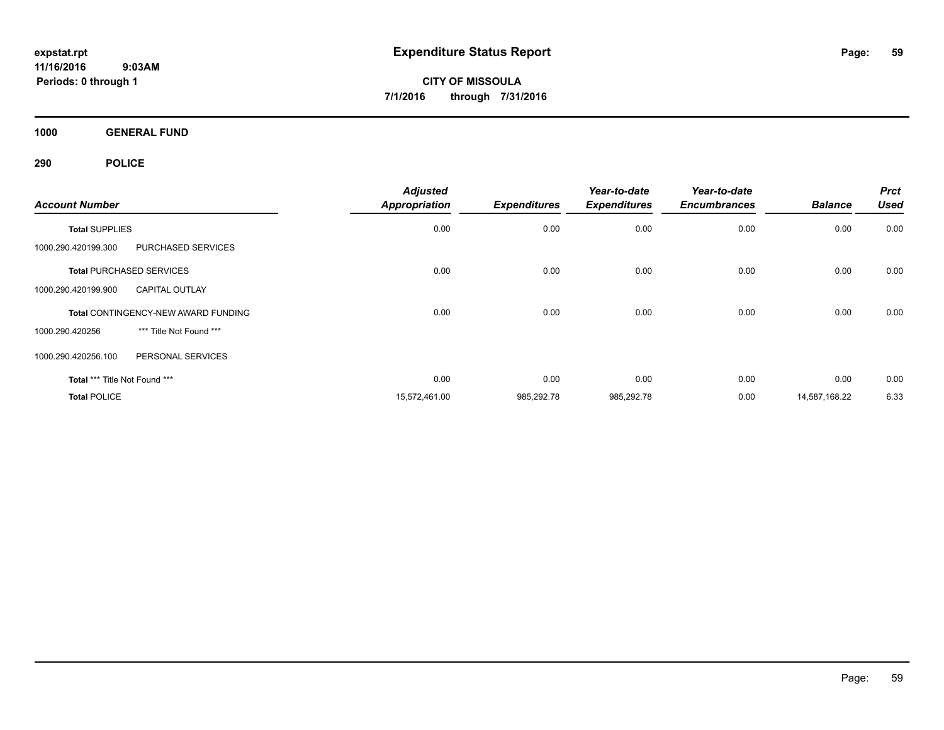**CITY OF MISSOULA 7/1/2016 through 7/31/2016**

**1000 GENERAL FUND**

| <b>Account Number</b>         |                                            | <b>Adjusted</b><br><b>Appropriation</b> | <b>Expenditures</b> | Year-to-date<br><b>Expenditures</b> | Year-to-date<br><b>Encumbrances</b> | <b>Balance</b> | <b>Prct</b><br><b>Used</b> |
|-------------------------------|--------------------------------------------|-----------------------------------------|---------------------|-------------------------------------|-------------------------------------|----------------|----------------------------|
| <b>Total SUPPLIES</b>         |                                            | 0.00                                    | 0.00                | 0.00                                | 0.00                                | 0.00           | 0.00                       |
| 1000.290.420199.300           | <b>PURCHASED SERVICES</b>                  |                                         |                     |                                     |                                     |                |                            |
|                               | <b>Total PURCHASED SERVICES</b>            | 0.00                                    | 0.00                | 0.00                                | 0.00                                | 0.00           | 0.00                       |
| 1000.290.420199.900           | <b>CAPITAL OUTLAY</b>                      |                                         |                     |                                     |                                     |                |                            |
|                               | <b>Total CONTINGENCY-NEW AWARD FUNDING</b> | 0.00                                    | 0.00                | 0.00                                | 0.00                                | 0.00           | 0.00                       |
| 1000.290.420256               | *** Title Not Found ***                    |                                         |                     |                                     |                                     |                |                            |
| 1000.290.420256.100           | PERSONAL SERVICES                          |                                         |                     |                                     |                                     |                |                            |
| Total *** Title Not Found *** |                                            | 0.00                                    | 0.00                | 0.00                                | 0.00                                | 0.00           | 0.00                       |
| <b>Total POLICE</b>           |                                            | 15,572,461.00                           | 985,292.78          | 985,292.78                          | 0.00                                | 14,587,168.22  | 6.33                       |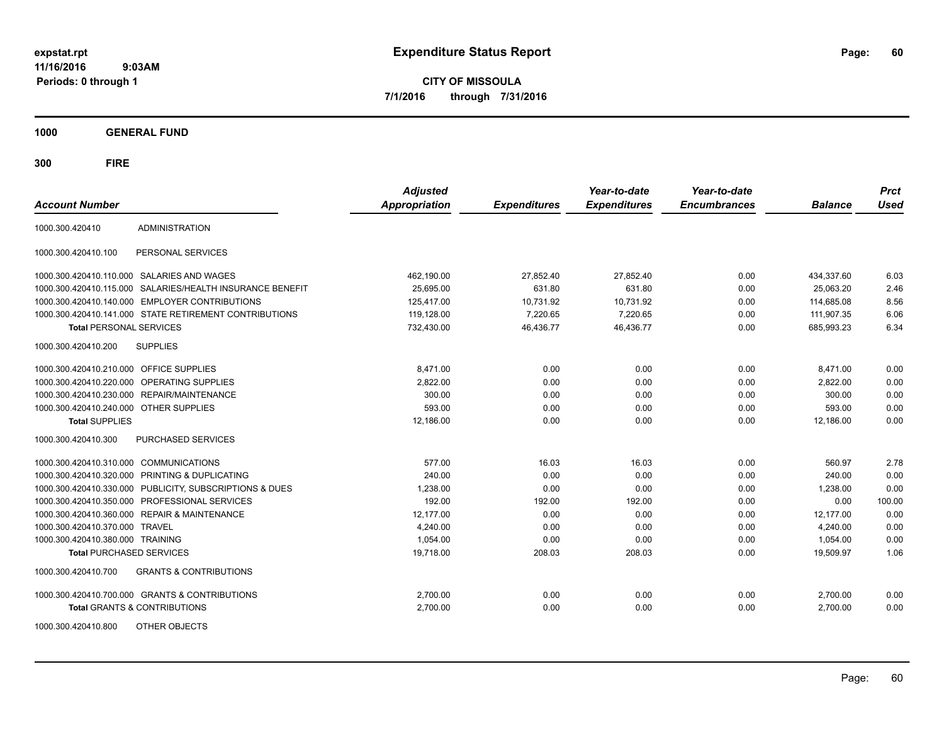**CITY OF MISSOULA 7/1/2016 through 7/31/2016**

**1000 GENERAL FUND**

| <b>Account Number</b>                   |                                                        | <b>Adjusted</b><br><b>Appropriation</b> | <b>Expenditures</b> | Year-to-date<br><b>Expenditures</b> | Year-to-date<br><b>Encumbrances</b> | <b>Balance</b> | <b>Prct</b><br><b>Used</b> |
|-----------------------------------------|--------------------------------------------------------|-----------------------------------------|---------------------|-------------------------------------|-------------------------------------|----------------|----------------------------|
| 1000.300.420410                         | <b>ADMINISTRATION</b>                                  |                                         |                     |                                     |                                     |                |                            |
| 1000.300.420410.100                     | PERSONAL SERVICES                                      |                                         |                     |                                     |                                     |                |                            |
|                                         | 1000.300.420410.110.000 SALARIES AND WAGES             | 462,190.00                              | 27,852.40           | 27,852.40                           | 0.00                                | 434,337.60     | 6.03                       |
| 1000.300.420410.115.000                 | SALARIES/HEALTH INSURANCE BENEFIT                      | 25.695.00                               | 631.80              | 631.80                              | 0.00                                | 25.063.20      | 2.46                       |
|                                         | 1000.300.420410.140.000 EMPLOYER CONTRIBUTIONS         | 125,417.00                              | 10,731.92           | 10,731.92                           | 0.00                                | 114,685.08     | 8.56                       |
|                                         | 1000.300.420410.141.000 STATE RETIREMENT CONTRIBUTIONS | 119,128.00                              | 7,220.65            | 7,220.65                            | 0.00                                | 111,907.35     | 6.06                       |
| <b>Total PERSONAL SERVICES</b>          |                                                        | 732,430.00                              | 46,436.77           | 46,436.77                           | 0.00                                | 685,993.23     | 6.34                       |
| 1000.300.420410.200                     | <b>SUPPLIES</b>                                        |                                         |                     |                                     |                                     |                |                            |
| 1000.300.420410.210.000 OFFICE SUPPLIES |                                                        | 8,471.00                                | 0.00                | 0.00                                | 0.00                                | 8,471.00       | 0.00                       |
|                                         | 1000.300.420410.220.000 OPERATING SUPPLIES             | 2,822.00                                | 0.00                | 0.00                                | 0.00                                | 2,822.00       | 0.00                       |
|                                         | 1000.300.420410.230.000 REPAIR/MAINTENANCE             | 300.00                                  | 0.00                | 0.00                                | 0.00                                | 300.00         | 0.00                       |
| 1000.300.420410.240.000 OTHER SUPPLIES  |                                                        | 593.00                                  | 0.00                | 0.00                                | 0.00                                | 593.00         | 0.00                       |
| <b>Total SUPPLIES</b>                   |                                                        | 12,186.00                               | 0.00                | 0.00                                | 0.00                                | 12,186.00      | 0.00                       |
| 1000.300.420410.300                     | <b>PURCHASED SERVICES</b>                              |                                         |                     |                                     |                                     |                |                            |
| 1000.300.420410.310.000 COMMUNICATIONS  |                                                        | 577.00                                  | 16.03               | 16.03                               | 0.00                                | 560.97         | 2.78                       |
|                                         | 1000.300.420410.320.000 PRINTING & DUPLICATING         | 240.00                                  | 0.00                | 0.00                                | 0.00                                | 240.00         | 0.00                       |
| 1000.300.420410.330.000                 | PUBLICITY, SUBSCRIPTIONS & DUES                        | 1,238.00                                | 0.00                | 0.00                                | 0.00                                | 1,238.00       | 0.00                       |
|                                         | 1000.300.420410.350.000 PROFESSIONAL SERVICES          | 192.00                                  | 192.00              | 192.00                              | 0.00                                | 0.00           | 100.00                     |
|                                         | 1000.300.420410.360.000 REPAIR & MAINTENANCE           | 12,177.00                               | 0.00                | 0.00                                | 0.00                                | 12,177.00      | 0.00                       |
| 1000.300.420410.370.000 TRAVEL          |                                                        | 4.240.00                                | 0.00                | 0.00                                | 0.00                                | 4.240.00       | 0.00                       |
| 1000.300.420410.380.000 TRAINING        |                                                        | 1,054.00                                | 0.00                | 0.00                                | 0.00                                | 1,054.00       | 0.00                       |
| <b>Total PURCHASED SERVICES</b>         |                                                        | 19,718.00                               | 208.03              | 208.03                              | 0.00                                | 19,509.97      | 1.06                       |
| 1000.300.420410.700                     | <b>GRANTS &amp; CONTRIBUTIONS</b>                      |                                         |                     |                                     |                                     |                |                            |
|                                         | 1000.300.420410.700.000 GRANTS & CONTRIBUTIONS         | 2,700.00                                | 0.00                | 0.00                                | 0.00                                | 2,700.00       | 0.00                       |
|                                         | <b>Total GRANTS &amp; CONTRIBUTIONS</b>                | 2,700.00                                | 0.00                | 0.00                                | 0.00                                | 2,700.00       | 0.00                       |
| 1000.300.420410.800                     | OTHER OBJECTS                                          |                                         |                     |                                     |                                     |                |                            |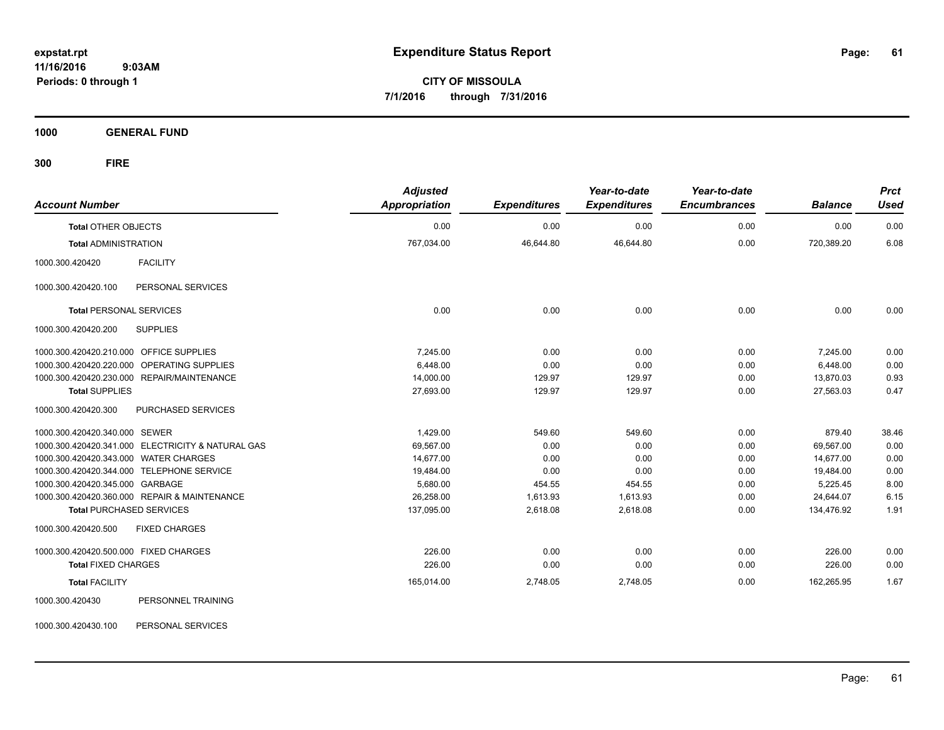**CITY OF MISSOULA 7/1/2016 through 7/31/2016**

**1000 GENERAL FUND**

| <b>Account Number</b>                             | <b>Adjusted</b><br><b>Appropriation</b> | <b>Expenditures</b> | Year-to-date<br><b>Expenditures</b> | Year-to-date<br><b>Encumbrances</b> | <b>Balance</b> | <b>Prct</b><br><b>Used</b> |
|---------------------------------------------------|-----------------------------------------|---------------------|-------------------------------------|-------------------------------------|----------------|----------------------------|
| <b>Total OTHER OBJECTS</b>                        | 0.00                                    | 0.00                | 0.00                                | 0.00                                | 0.00           | 0.00                       |
| <b>Total ADMINISTRATION</b>                       | 767,034.00                              | 46,644.80           | 46,644.80                           | 0.00                                | 720,389.20     | 6.08                       |
| <b>FACILITY</b><br>1000.300.420420                |                                         |                     |                                     |                                     |                |                            |
| PERSONAL SERVICES<br>1000.300.420420.100          |                                         |                     |                                     |                                     |                |                            |
| <b>Total PERSONAL SERVICES</b>                    | 0.00                                    | 0.00                | 0.00                                | 0.00                                | 0.00           | 0.00                       |
| 1000.300.420420.200<br><b>SUPPLIES</b>            |                                         |                     |                                     |                                     |                |                            |
| 1000.300.420420.210.000 OFFICE SUPPLIES           | 7,245.00                                | 0.00                | 0.00                                | 0.00                                | 7,245.00       | 0.00                       |
| 1000.300.420420.220.000 OPERATING SUPPLIES        | 6,448.00                                | 0.00                | 0.00                                | 0.00                                | 6,448.00       | 0.00                       |
| 1000.300.420420.230.000 REPAIR/MAINTENANCE        | 14,000.00                               | 129.97              | 129.97                              | 0.00                                | 13,870.03      | 0.93                       |
| <b>Total SUPPLIES</b>                             | 27,693.00                               | 129.97              | 129.97                              | 0.00                                | 27,563.03      | 0.47                       |
| 1000.300.420420.300<br>PURCHASED SERVICES         |                                         |                     |                                     |                                     |                |                            |
| 1000.300.420420.340.000 SEWER                     | 1.429.00                                | 549.60              | 549.60                              | 0.00                                | 879.40         | 38.46                      |
| 1000.300.420420.341.000 ELECTRICITY & NATURAL GAS | 69,567.00                               | 0.00                | 0.00                                | 0.00                                | 69,567.00      | 0.00                       |
| 1000.300.420420.343.000 WATER CHARGES             | 14,677.00                               | 0.00                | 0.00                                | 0.00                                | 14,677.00      | 0.00                       |
| 1000.300.420420.344.000 TELEPHONE SERVICE         | 19,484.00                               | 0.00                | 0.00                                | 0.00                                | 19,484.00      | 0.00                       |
| 1000.300.420420.345.000 GARBAGE                   | 5,680.00                                | 454.55              | 454.55                              | 0.00                                | 5,225.45       | 8.00                       |
| 1000.300.420420.360.000 REPAIR & MAINTENANCE      | 26,258.00                               | 1,613.93            | 1,613.93                            | 0.00                                | 24,644.07      | 6.15                       |
| <b>Total PURCHASED SERVICES</b>                   | 137,095.00                              | 2,618.08            | 2,618.08                            | 0.00                                | 134,476.92     | 1.91                       |
| 1000.300.420420.500<br><b>FIXED CHARGES</b>       |                                         |                     |                                     |                                     |                |                            |
| 1000.300.420420.500.000 FIXED CHARGES             | 226.00                                  | 0.00                | 0.00                                | 0.00                                | 226.00         | 0.00                       |
| <b>Total FIXED CHARGES</b>                        | 226.00                                  | 0.00                | 0.00                                | 0.00                                | 226.00         | 0.00                       |
| <b>Total FACILITY</b>                             | 165,014.00                              | 2,748.05            | 2,748.05                            | 0.00                                | 162,265.95     | 1.67                       |
| PERSONNEL TRAINING<br>1000.300.420430             |                                         |                     |                                     |                                     |                |                            |
| PERSONAL SERVICES<br>1000.300.420430.100          |                                         |                     |                                     |                                     |                |                            |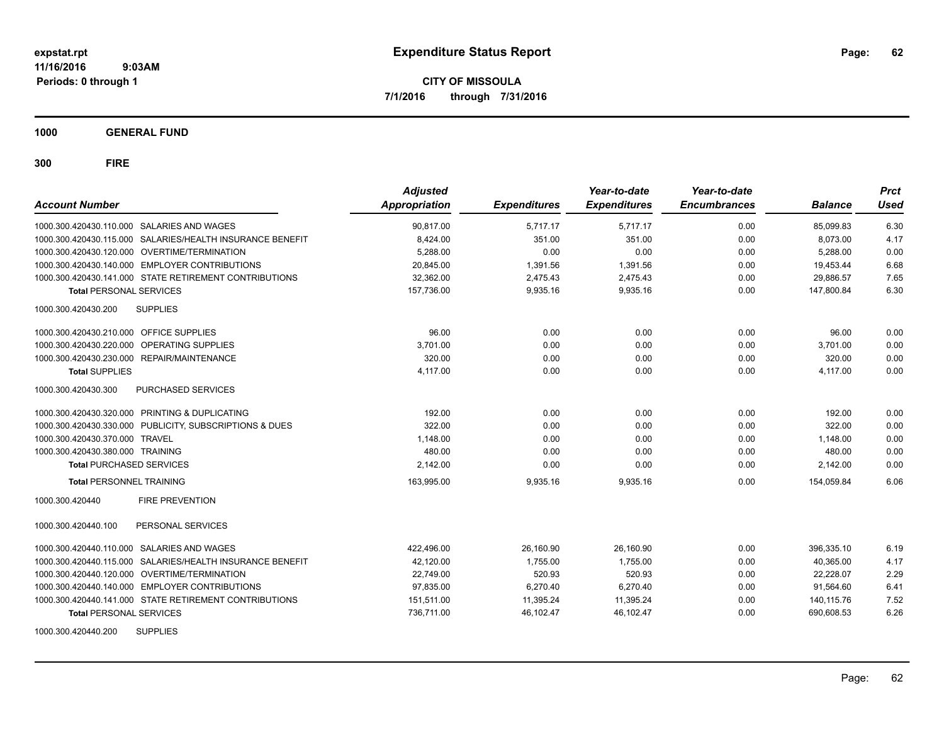**CITY OF MISSOULA 7/1/2016 through 7/31/2016**

**1000 GENERAL FUND**

| <b>Account Number</b>                                        | <b>Adjusted</b><br><b>Appropriation</b> | <b>Expenditures</b> | Year-to-date<br><b>Expenditures</b> | Year-to-date<br><b>Encumbrances</b> | <b>Balance</b> | <b>Prct</b><br><b>Used</b> |
|--------------------------------------------------------------|-----------------------------------------|---------------------|-------------------------------------|-------------------------------------|----------------|----------------------------|
| 1000.300.420430.110.000 SALARIES AND WAGES                   | 90.817.00                               | 5.717.17            | 5.717.17                            | 0.00                                | 85,099.83      | 6.30                       |
| 1000.300.420430.115.000 SALARIES/HEALTH INSURANCE BENEFIT    | 8,424.00                                | 351.00              | 351.00                              | 0.00                                | 8.073.00       | 4.17                       |
| 1000.300.420430.120.000 OVERTIME/TERMINATION                 | 5.288.00                                | 0.00                | 0.00                                | 0.00                                | 5.288.00       | 0.00                       |
| 1000.300.420430.140.000 EMPLOYER CONTRIBUTIONS               | 20,845.00                               | 1,391.56            | 1,391.56                            | 0.00                                | 19,453.44      | 6.68                       |
| 1000.300.420430.141.000 STATE RETIREMENT CONTRIBUTIONS       | 32,362.00                               | 2,475.43            | 2,475.43                            | 0.00                                | 29,886.57      | 7.65                       |
| <b>Total PERSONAL SERVICES</b>                               | 157,736.00                              | 9,935.16            | 9,935.16                            | 0.00                                | 147,800.84     | 6.30                       |
| <b>SUPPLIES</b><br>1000.300.420430.200                       |                                         |                     |                                     |                                     |                |                            |
| 1000.300.420430.210.000 OFFICE SUPPLIES                      | 96.00                                   | 0.00                | 0.00                                | 0.00                                | 96.00          | 0.00                       |
| 1000.300.420430.220.000 OPERATING SUPPLIES                   | 3,701.00                                | 0.00                | 0.00                                | 0.00                                | 3.701.00       | 0.00                       |
| 1000.300.420430.230.000 REPAIR/MAINTENANCE                   | 320.00                                  | 0.00                | 0.00                                | 0.00                                | 320.00         | 0.00                       |
| <b>Total SUPPLIES</b>                                        | 4,117.00                                | 0.00                | 0.00                                | 0.00                                | 4,117.00       | 0.00                       |
| <b>PURCHASED SERVICES</b><br>1000.300.420430.300             |                                         |                     |                                     |                                     |                |                            |
| 1000.300.420430.320.000 PRINTING & DUPLICATING               | 192.00                                  | 0.00                | 0.00                                | 0.00                                | 192.00         | 0.00                       |
| 1000.300.420430.330.000 PUBLICITY, SUBSCRIPTIONS & DUES      | 322.00                                  | 0.00                | 0.00                                | 0.00                                | 322.00         | 0.00                       |
| 1000.300.420430.370.000 TRAVEL                               | 1,148.00                                | 0.00                | 0.00                                | 0.00                                | 1,148.00       | 0.00                       |
| 1000.300.420430.380.000 TRAINING                             | 480.00                                  | 0.00                | 0.00                                | 0.00                                | 480.00         | 0.00                       |
| <b>Total PURCHASED SERVICES</b>                              | 2.142.00                                | 0.00                | 0.00                                | 0.00                                | 2.142.00       | 0.00                       |
| <b>Total PERSONNEL TRAINING</b>                              | 163,995.00                              | 9,935.16            | 9,935.16                            | 0.00                                | 154,059.84     | 6.06                       |
| <b>FIRE PREVENTION</b><br>1000.300.420440                    |                                         |                     |                                     |                                     |                |                            |
| 1000.300.420440.100<br>PERSONAL SERVICES                     |                                         |                     |                                     |                                     |                |                            |
| 1000.300.420440.110.000 SALARIES AND WAGES                   | 422,496.00                              | 26,160.90           | 26,160.90                           | 0.00                                | 396,335.10     | 6.19                       |
| SALARIES/HEALTH INSURANCE BENEFIT<br>1000.300.420440.115.000 | 42,120.00                               | 1,755.00            | 1,755.00                            | 0.00                                | 40.365.00      | 4.17                       |
| 1000.300.420440.120.000 OVERTIME/TERMINATION                 | 22.749.00                               | 520.93              | 520.93                              | 0.00                                | 22.228.07      | 2.29                       |
| 1000.300.420440.140.000 EMPLOYER CONTRIBUTIONS               | 97,835.00                               | 6,270.40            | 6,270.40                            | 0.00                                | 91,564.60      | 6.41                       |
| 1000.300.420440.141.000 STATE RETIREMENT CONTRIBUTIONS       | 151,511.00                              | 11,395.24           | 11,395.24                           | 0.00                                | 140,115.76     | 7.52                       |
| <b>Total PERSONAL SERVICES</b>                               | 736,711.00                              | 46,102.47           | 46,102.47                           | 0.00                                | 690,608.53     | 6.26                       |
| <b>SUPPLIES</b><br>1000.300.420440.200                       |                                         |                     |                                     |                                     |                |                            |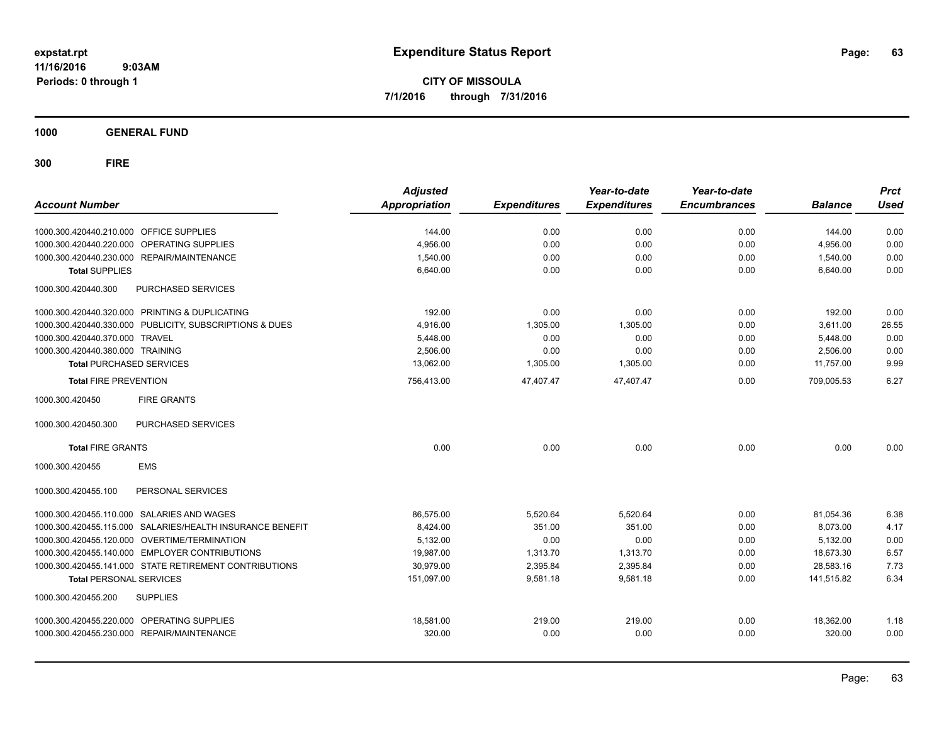**CITY OF MISSOULA 7/1/2016 through 7/31/2016**

**1000 GENERAL FUND**

| <b>Account Number</b>                   |                                                         | <b>Adjusted</b><br>Appropriation | <b>Expenditures</b> | Year-to-date<br><b>Expenditures</b> | Year-to-date<br><b>Encumbrances</b> | <b>Balance</b> | <b>Prct</b><br><b>Used</b> |
|-----------------------------------------|---------------------------------------------------------|----------------------------------|---------------------|-------------------------------------|-------------------------------------|----------------|----------------------------|
| 1000.300.420440.210.000 OFFICE SUPPLIES |                                                         | 144.00                           | 0.00                | 0.00                                | 0.00                                | 144.00         | 0.00                       |
| 1000.300.420440.220.000                 | OPERATING SUPPLIES                                      | 4,956.00                         | 0.00                | 0.00                                | 0.00                                | 4,956.00       | 0.00                       |
|                                         | 1000.300.420440.230.000 REPAIR/MAINTENANCE              | 1,540.00                         | 0.00                | 0.00                                | 0.00                                | 1,540.00       | 0.00                       |
| <b>Total SUPPLIES</b>                   |                                                         | 6,640.00                         | 0.00                | 0.00                                | 0.00                                | 6,640.00       | 0.00                       |
| 1000.300.420440.300                     | PURCHASED SERVICES                                      |                                  |                     |                                     |                                     |                |                            |
|                                         | 1000.300.420440.320.000 PRINTING & DUPLICATING          | 192.00                           | 0.00                | 0.00                                | 0.00                                | 192.00         | 0.00                       |
|                                         | 1000.300.420440.330.000 PUBLICITY, SUBSCRIPTIONS & DUES | 4,916.00                         | 1,305.00            | 1,305.00                            | 0.00                                | 3,611.00       | 26.55                      |
| 1000.300.420440.370.000 TRAVEL          |                                                         | 5,448.00                         | 0.00                | 0.00                                | 0.00                                | 5,448.00       | 0.00                       |
| 1000.300.420440.380.000 TRAINING        |                                                         | 2,506.00                         | 0.00                | 0.00                                | 0.00                                | 2,506.00       | 0.00                       |
| <b>Total PURCHASED SERVICES</b>         |                                                         | 13,062.00                        | 1,305.00            | 1,305.00                            | 0.00                                | 11,757.00      | 9.99                       |
| <b>Total FIRE PREVENTION</b>            |                                                         | 756,413.00                       | 47,407.47           | 47,407.47                           | 0.00                                | 709,005.53     | 6.27                       |
| 1000.300.420450                         | <b>FIRE GRANTS</b>                                      |                                  |                     |                                     |                                     |                |                            |
| 1000.300.420450.300                     | PURCHASED SERVICES                                      |                                  |                     |                                     |                                     |                |                            |
| <b>Total FIRE GRANTS</b>                |                                                         | 0.00                             | 0.00                | 0.00                                | 0.00                                | 0.00           | 0.00                       |
| 1000.300.420455                         | <b>EMS</b>                                              |                                  |                     |                                     |                                     |                |                            |
| 1000.300.420455.100                     | PERSONAL SERVICES                                       |                                  |                     |                                     |                                     |                |                            |
|                                         | 1000.300.420455.110.000 SALARIES AND WAGES              | 86,575.00                        | 5,520.64            | 5.520.64                            | 0.00                                | 81,054.36      | 6.38                       |
| 1000.300.420455.115.000                 | SALARIES/HEALTH INSURANCE BENEFIT                       | 8,424.00                         | 351.00              | 351.00                              | 0.00                                | 8.073.00       | 4.17                       |
|                                         | 1000.300.420455.120.000 OVERTIME/TERMINATION            | 5,132.00                         | 0.00                | 0.00                                | 0.00                                | 5,132.00       | 0.00                       |
|                                         | 1000.300.420455.140.000 EMPLOYER CONTRIBUTIONS          | 19,987.00                        | 1,313.70            | 1,313.70                            | 0.00                                | 18,673.30      | 6.57                       |
|                                         | 1000.300.420455.141.000 STATE RETIREMENT CONTRIBUTIONS  | 30,979.00                        | 2,395.84            | 2,395.84                            | 0.00                                | 28,583.16      | 7.73                       |
| <b>Total PERSONAL SERVICES</b>          |                                                         | 151,097.00                       | 9,581.18            | 9,581.18                            | 0.00                                | 141.515.82     | 6.34                       |
| 1000.300.420455.200                     | <b>SUPPLIES</b>                                         |                                  |                     |                                     |                                     |                |                            |
|                                         | 1000.300.420455.220.000 OPERATING SUPPLIES              | 18,581.00                        | 219.00              | 219.00                              | 0.00                                | 18,362.00      | 1.18                       |
|                                         | 1000.300.420455.230.000 REPAIR/MAINTENANCE              | 320.00                           | 0.00                | 0.00                                | 0.00                                | 320.00         | 0.00                       |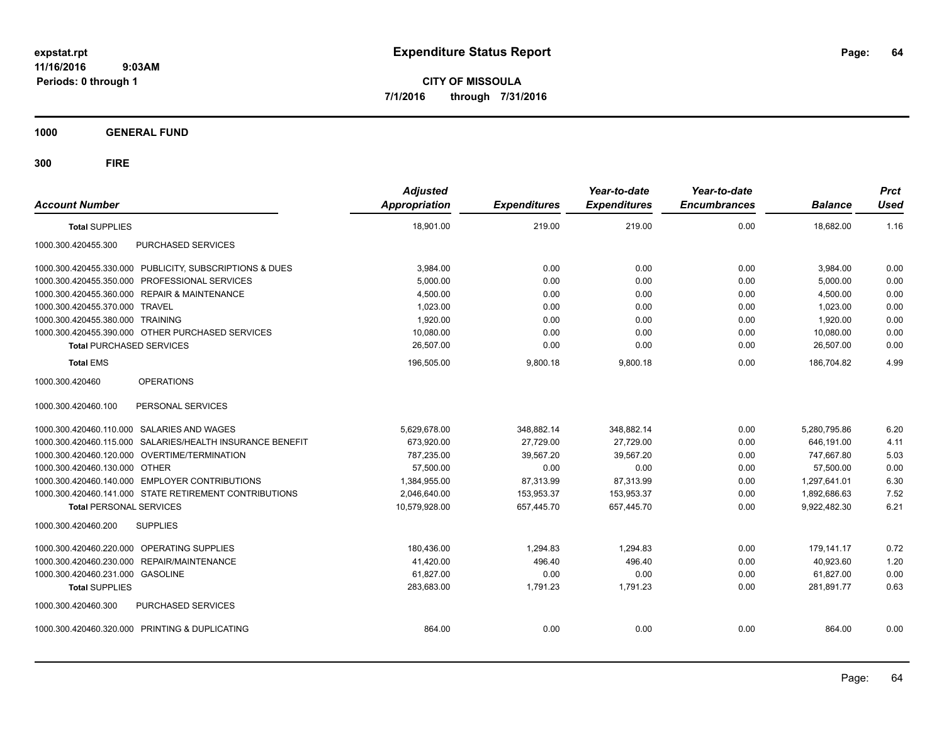**CITY OF MISSOULA 7/1/2016 through 7/31/2016**

**1000 GENERAL FUND**

| <b>Account Number</b>                      |                                                           | <b>Adjusted</b><br>Appropriation | <b>Expenditures</b> | Year-to-date<br><b>Expenditures</b> | Year-to-date<br><b>Encumbrances</b> | <b>Balance</b> | <b>Prct</b><br><b>Used</b> |
|--------------------------------------------|-----------------------------------------------------------|----------------------------------|---------------------|-------------------------------------|-------------------------------------|----------------|----------------------------|
| <b>Total SUPPLIES</b>                      |                                                           | 18,901.00                        | 219.00              | 219.00                              | 0.00                                | 18,682.00      | 1.16                       |
| 1000.300.420455.300                        | PURCHASED SERVICES                                        |                                  |                     |                                     |                                     |                |                            |
|                                            | 1000.300.420455.330.000 PUBLICITY, SUBSCRIPTIONS & DUES   | 3,984.00                         | 0.00                | 0.00                                | 0.00                                | 3,984.00       | 0.00                       |
|                                            | 1000.300.420455.350.000 PROFESSIONAL SERVICES             | 5,000.00                         | 0.00                | 0.00                                | 0.00                                | 5,000.00       | 0.00                       |
|                                            | 1000.300.420455.360.000 REPAIR & MAINTENANCE              | 4,500.00                         | 0.00                | 0.00                                | 0.00                                | 4,500.00       | 0.00                       |
| 1000.300.420455.370.000 TRAVEL             |                                                           | 1,023.00                         | 0.00                | 0.00                                | 0.00                                | 1.023.00       | 0.00                       |
| 1000.300.420455.380.000 TRAINING           |                                                           | 1,920.00                         | 0.00                | 0.00                                | 0.00                                | 1,920.00       | 0.00                       |
|                                            | 1000.300.420455.390.000 OTHER PURCHASED SERVICES          | 10.080.00                        | 0.00                | 0.00                                | 0.00                                | 10.080.00      | 0.00                       |
| <b>Total PURCHASED SERVICES</b>            |                                                           | 26,507.00                        | 0.00                | 0.00                                | 0.00                                | 26,507.00      | 0.00                       |
| <b>Total EMS</b>                           |                                                           | 196,505.00                       | 9,800.18            | 9,800.18                            | 0.00                                | 186,704.82     | 4.99                       |
| 1000.300.420460                            | <b>OPERATIONS</b>                                         |                                  |                     |                                     |                                     |                |                            |
| 1000.300.420460.100                        | PERSONAL SERVICES                                         |                                  |                     |                                     |                                     |                |                            |
| 1000.300.420460.110.000 SALARIES AND WAGES |                                                           | 5,629,678.00                     | 348,882.14          | 348,882.14                          | 0.00                                | 5,280,795.86   | 6.20                       |
|                                            | 1000.300.420460.115.000 SALARIES/HEALTH INSURANCE BENEFIT | 673.920.00                       | 27,729.00           | 27,729.00                           | 0.00                                | 646.191.00     | 4.11                       |
|                                            | 1000.300.420460.120.000 OVERTIME/TERMINATION              | 787,235.00                       | 39,567.20           | 39,567.20                           | 0.00                                | 747,667.80     | 5.03                       |
| 1000.300.420460.130.000 OTHER              |                                                           | 57.500.00                        | 0.00                | 0.00                                | 0.00                                | 57.500.00      | 0.00                       |
|                                            | 1000.300.420460.140.000 EMPLOYER CONTRIBUTIONS            | 1,384,955.00                     | 87,313.99           | 87,313.99                           | 0.00                                | 1,297,641.01   | 6.30                       |
|                                            | 1000.300.420460.141.000 STATE RETIREMENT CONTRIBUTIONS    | 2,046,640.00                     | 153.953.37          | 153.953.37                          | 0.00                                | 1.892.686.63   | 7.52                       |
| <b>Total PERSONAL SERVICES</b>             |                                                           | 10,579,928.00                    | 657,445.70          | 657,445.70                          | 0.00                                | 9,922,482.30   | 6.21                       |
| 1000.300.420460.200                        | <b>SUPPLIES</b>                                           |                                  |                     |                                     |                                     |                |                            |
| 1000.300.420460.220.000 OPERATING SUPPLIES |                                                           | 180,436.00                       | 1,294.83            | 1,294.83                            | 0.00                                | 179,141.17     | 0.72                       |
| 1000.300.420460.230.000 REPAIR/MAINTENANCE |                                                           | 41,420.00                        | 496.40              | 496.40                              | 0.00                                | 40.923.60      | 1.20                       |
| 1000.300.420460.231.000 GASOLINE           |                                                           | 61,827.00                        | 0.00                | 0.00                                | 0.00                                | 61,827.00      | 0.00                       |
| <b>Total SUPPLIES</b>                      |                                                           | 283,683.00                       | 1,791.23            | 1,791.23                            | 0.00                                | 281,891.77     | 0.63                       |
| 1000.300.420460.300                        | PURCHASED SERVICES                                        |                                  |                     |                                     |                                     |                |                            |
|                                            | 1000.300.420460.320.000 PRINTING & DUPLICATING            | 864.00                           | 0.00                | 0.00                                | 0.00                                | 864.00         | 0.00                       |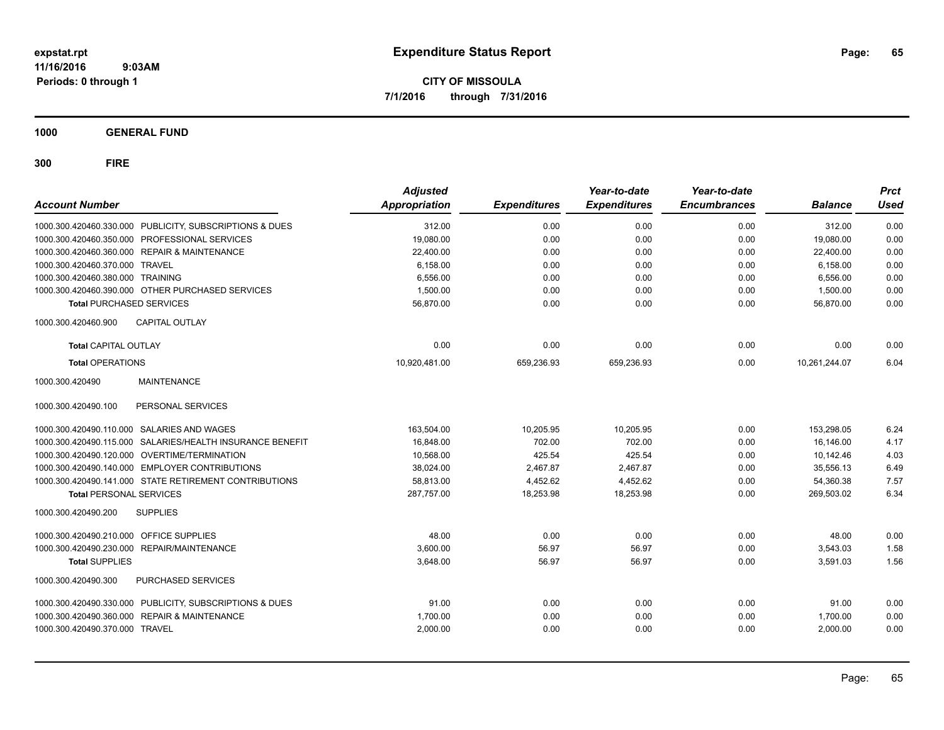**CITY OF MISSOULA 7/1/2016 through 7/31/2016**

**1000 GENERAL FUND**

| <b>Account Number</b>                                      | <b>Adjusted</b><br>Appropriation | <b>Expenditures</b> | Year-to-date<br><b>Expenditures</b> | Year-to-date<br><b>Encumbrances</b> | <b>Balance</b> | <b>Prct</b><br><b>Used</b> |
|------------------------------------------------------------|----------------------------------|---------------------|-------------------------------------|-------------------------------------|----------------|----------------------------|
| 1000.300.420460.330.000 PUBLICITY, SUBSCRIPTIONS & DUES    | 312.00                           | 0.00                | 0.00                                | 0.00                                | 312.00         | 0.00                       |
| 1000.300.420460.350.000 PROFESSIONAL SERVICES              | 19,080.00                        | 0.00                | 0.00                                | 0.00                                | 19,080.00      | 0.00                       |
| 1000.300.420460.360.000 REPAIR & MAINTENANCE               | 22,400.00                        | 0.00                | 0.00                                | 0.00                                | 22,400.00      | 0.00                       |
| 1000.300.420460.370.000 TRAVEL                             | 6.158.00                         | 0.00                | 0.00                                | 0.00                                | 6,158.00       | 0.00                       |
| 1000.300.420460.380.000 TRAINING                           | 6,556.00                         | 0.00                | 0.00                                | 0.00                                | 6,556.00       | 0.00                       |
| 1000.300.420460.390.000 OTHER PURCHASED SERVICES           | 1,500.00                         | 0.00                | 0.00                                | 0.00                                | 1,500.00       | 0.00                       |
| <b>Total PURCHASED SERVICES</b>                            | 56,870.00                        | 0.00                | 0.00                                | 0.00                                | 56,870.00      | 0.00                       |
| 1000.300.420460.900<br><b>CAPITAL OUTLAY</b>               |                                  |                     |                                     |                                     |                |                            |
| <b>Total CAPITAL OUTLAY</b>                                | 0.00                             | 0.00                | 0.00                                | 0.00                                | 0.00           | 0.00                       |
| <b>Total OPERATIONS</b>                                    | 10,920,481.00                    | 659,236.93          | 659,236.93                          | 0.00                                | 10,261,244.07  | 6.04                       |
| 1000.300.420490<br><b>MAINTENANCE</b>                      |                                  |                     |                                     |                                     |                |                            |
| 1000.300.420490.100<br>PERSONAL SERVICES                   |                                  |                     |                                     |                                     |                |                            |
| 1000.300.420490.110.000 SALARIES AND WAGES                 | 163,504.00                       | 10,205.95           | 10,205.95                           | 0.00                                | 153,298.05     | 6.24                       |
| 1000.300.420490.115.000 SALARIES/HEALTH INSURANCE BENEFIT  | 16,848.00                        | 702.00              | 702.00                              | 0.00                                | 16,146.00      | 4.17                       |
| 1000.300.420490.120.000 OVERTIME/TERMINATION               | 10,568.00                        | 425.54              | 425.54                              | 0.00                                | 10,142.46      | 4.03                       |
| 1000.300.420490.140.000 EMPLOYER CONTRIBUTIONS             | 38.024.00                        | 2.467.87            | 2.467.87                            | 0.00                                | 35.556.13      | 6.49                       |
| 1000.300.420490.141.000 STATE RETIREMENT CONTRIBUTIONS     | 58,813.00                        | 4,452.62            | 4,452.62                            | 0.00                                | 54,360.38      | 7.57                       |
| <b>Total PERSONAL SERVICES</b>                             | 287,757.00                       | 18,253.98           | 18,253.98                           | 0.00                                | 269,503.02     | 6.34                       |
| <b>SUPPLIES</b><br>1000.300.420490.200                     |                                  |                     |                                     |                                     |                |                            |
| 1000.300.420490.210.000 OFFICE SUPPLIES                    | 48.00                            | 0.00                | 0.00                                | 0.00                                | 48.00          | 0.00                       |
| 1000.300.420490.230.000<br>REPAIR/MAINTENANCE              | 3,600.00                         | 56.97               | 56.97                               | 0.00                                | 3,543.03       | 1.58                       |
| <b>Total SUPPLIES</b>                                      | 3,648.00                         | 56.97               | 56.97                               | 0.00                                | 3,591.03       | 1.56                       |
| 1000.300.420490.300<br>PURCHASED SERVICES                  |                                  |                     |                                     |                                     |                |                            |
| 1000.300.420490.330.000 PUBLICITY, SUBSCRIPTIONS & DUES    | 91.00                            | 0.00                | 0.00                                | 0.00                                | 91.00          | 0.00                       |
| <b>REPAIR &amp; MAINTENANCE</b><br>1000.300.420490.360.000 | 1,700.00                         | 0.00                | 0.00                                | 0.00                                | 1,700.00       | 0.00                       |
| 1000.300.420490.370.000 TRAVEL                             | 2,000.00                         | 0.00                | 0.00                                | 0.00                                | 2,000.00       | 0.00                       |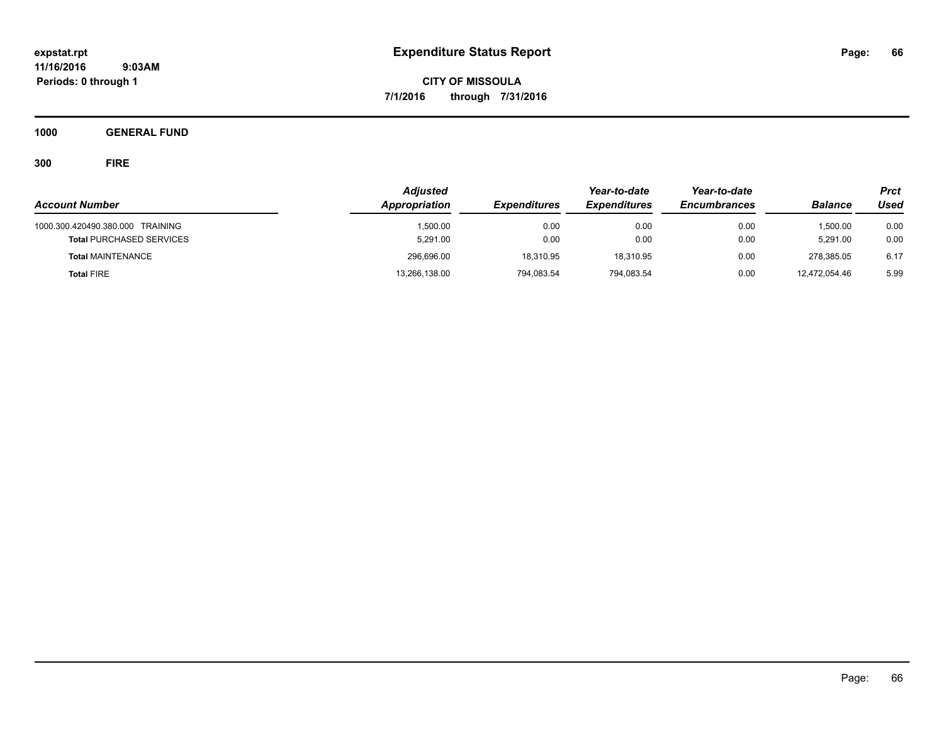**CITY OF MISSOULA 7/1/2016 through 7/31/2016**

**1000 GENERAL FUND**

| <b>Account Number</b>                                               | <b>Adjusted</b><br>Appropriation | <b>Expenditures</b> | Year-to-date<br><b>Expenditures</b> | Year-to-date<br><b>Encumbrances</b> | <b>Balance</b>       | <b>Prct</b><br>Used |
|---------------------------------------------------------------------|----------------------------------|---------------------|-------------------------------------|-------------------------------------|----------------------|---------------------|
| 1000.300.420490.380.000 TRAINING<br><b>Total PURCHASED SERVICES</b> | 1,500.00<br>5.291.00             | 0.00<br>0.00        | 0.00<br>0.00                        | 0.00<br>0.00                        | 1.500.00<br>5.291.00 | 0.00<br>0.00        |
| <b>Total MAINTENANCE</b>                                            | 296,696.00                       | 18.310.95           | 18,310.95                           | 0.00                                | 278.385.05           | 6.17                |
| <b>Total FIRE</b>                                                   | 13,266,138.00                    | 794,083.54          | 794,083.54                          | 0.00                                | 12.472.054.46        | 5.99                |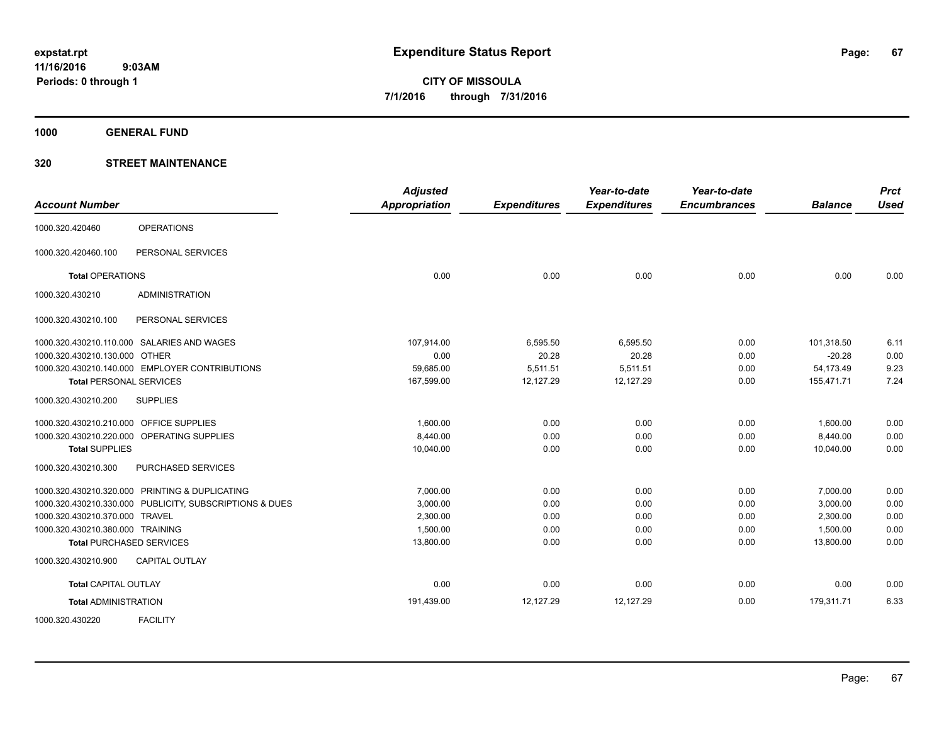**1000 GENERAL FUND**

| <b>Account Number</b>                   |                                                         | <b>Adjusted</b><br><b>Appropriation</b> | <b>Expenditures</b> | Year-to-date<br><b>Expenditures</b> | Year-to-date<br><b>Encumbrances</b> | <b>Balance</b> | <b>Prct</b><br><b>Used</b> |
|-----------------------------------------|---------------------------------------------------------|-----------------------------------------|---------------------|-------------------------------------|-------------------------------------|----------------|----------------------------|
| 1000.320.420460                         | <b>OPERATIONS</b>                                       |                                         |                     |                                     |                                     |                |                            |
| 1000.320.420460.100                     | PERSONAL SERVICES                                       |                                         |                     |                                     |                                     |                |                            |
| <b>Total OPERATIONS</b>                 |                                                         | 0.00                                    | 0.00                | 0.00                                | 0.00                                | 0.00           | 0.00                       |
| 1000.320.430210                         | <b>ADMINISTRATION</b>                                   |                                         |                     |                                     |                                     |                |                            |
| 1000.320.430210.100                     | PERSONAL SERVICES                                       |                                         |                     |                                     |                                     |                |                            |
|                                         | 1000.320.430210.110.000 SALARIES AND WAGES              | 107,914.00                              | 6,595.50            | 6,595.50                            | 0.00                                | 101,318.50     | 6.11                       |
| 1000.320.430210.130.000 OTHER           |                                                         | 0.00                                    | 20.28               | 20.28                               | 0.00                                | $-20.28$       | 0.00                       |
|                                         | 1000.320.430210.140.000 EMPLOYER CONTRIBUTIONS          | 59,685.00                               | 5,511.51            | 5,511.51                            | 0.00                                | 54,173.49      | 9.23                       |
| <b>Total PERSONAL SERVICES</b>          |                                                         | 167,599.00                              | 12,127.29           | 12,127.29                           | 0.00                                | 155,471.71     | 7.24                       |
| 1000.320.430210.200                     | <b>SUPPLIES</b>                                         |                                         |                     |                                     |                                     |                |                            |
| 1000.320.430210.210.000 OFFICE SUPPLIES |                                                         | 1,600.00                                | 0.00                | 0.00                                | 0.00                                | 1,600.00       | 0.00                       |
|                                         | 1000.320.430210.220.000 OPERATING SUPPLIES              | 8,440.00                                | 0.00                | 0.00                                | 0.00                                | 8,440.00       | 0.00                       |
| <b>Total SUPPLIES</b>                   |                                                         | 10,040.00                               | 0.00                | 0.00                                | 0.00                                | 10,040.00      | 0.00                       |
| 1000.320.430210.300                     | PURCHASED SERVICES                                      |                                         |                     |                                     |                                     |                |                            |
|                                         | 1000.320.430210.320.000 PRINTING & DUPLICATING          | 7,000.00                                | 0.00                | 0.00                                | 0.00                                | 7,000.00       | 0.00                       |
|                                         | 1000.320.430210.330.000 PUBLICITY, SUBSCRIPTIONS & DUES | 3,000.00                                | 0.00                | 0.00                                | 0.00                                | 3,000.00       | 0.00                       |
| 1000.320.430210.370.000 TRAVEL          |                                                         | 2,300.00                                | 0.00                | 0.00                                | 0.00                                | 2,300.00       | 0.00                       |
| 1000.320.430210.380.000 TRAINING        |                                                         | 1,500.00                                | 0.00                | 0.00                                | 0.00                                | 1,500.00       | 0.00                       |
|                                         | <b>Total PURCHASED SERVICES</b>                         | 13,800.00                               | 0.00                | 0.00                                | 0.00                                | 13,800.00      | 0.00                       |
| 1000.320.430210.900                     | <b>CAPITAL OUTLAY</b>                                   |                                         |                     |                                     |                                     |                |                            |
| <b>Total CAPITAL OUTLAY</b>             |                                                         | 0.00                                    | 0.00                | 0.00                                | 0.00                                | 0.00           | 0.00                       |
| <b>Total ADMINISTRATION</b>             |                                                         | 191,439.00                              | 12,127.29           | 12,127.29                           | 0.00                                | 179,311.71     | 6.33                       |
| 1000.320.430220                         | <b>FACILITY</b>                                         |                                         |                     |                                     |                                     |                |                            |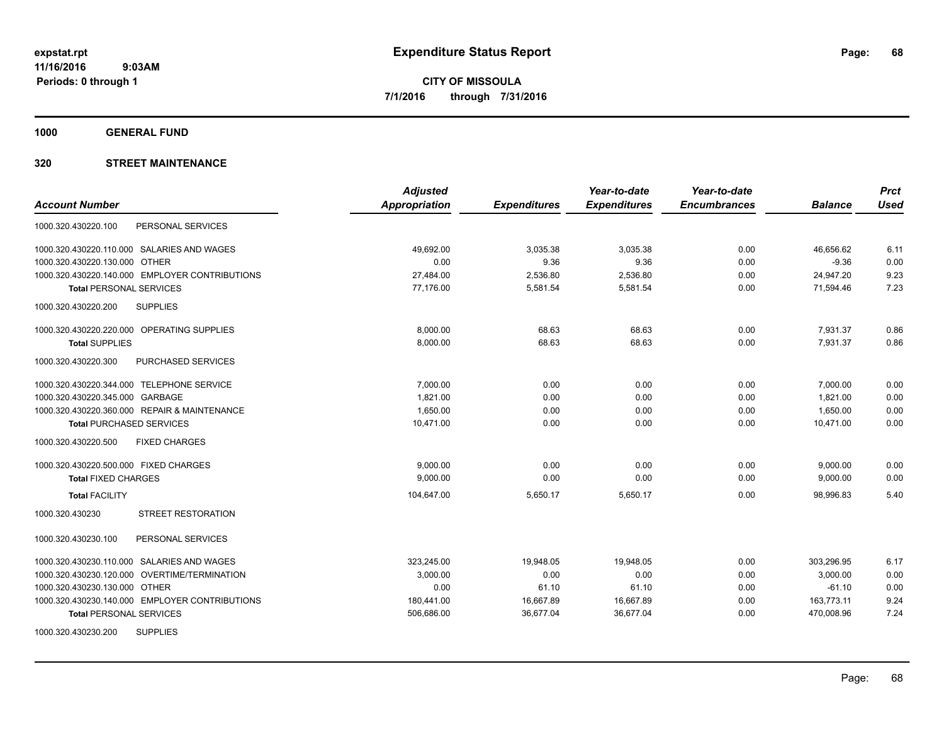**1000 GENERAL FUND**

|                                                | <b>Adjusted</b> |                     | Year-to-date        | Year-to-date        |                | <b>Prct</b> |
|------------------------------------------------|-----------------|---------------------|---------------------|---------------------|----------------|-------------|
| <b>Account Number</b>                          | Appropriation   | <b>Expenditures</b> | <b>Expenditures</b> | <b>Encumbrances</b> | <b>Balance</b> | <b>Used</b> |
| 1000.320.430220.100<br>PERSONAL SERVICES       |                 |                     |                     |                     |                |             |
| 1000.320.430220.110.000 SALARIES AND WAGES     | 49,692.00       | 3,035.38            | 3,035.38            | 0.00                | 46,656.62      | 6.11        |
| 1000.320.430220.130.000 OTHER                  | 0.00            | 9.36                | 9.36                | 0.00                | $-9.36$        | 0.00        |
| 1000.320.430220.140.000 EMPLOYER CONTRIBUTIONS | 27,484.00       | 2,536.80            | 2,536.80            | 0.00                | 24,947.20      | 9.23        |
| <b>Total PERSONAL SERVICES</b>                 | 77,176.00       | 5,581.54            | 5,581.54            | 0.00                | 71,594.46      | 7.23        |
| 1000.320.430220.200<br><b>SUPPLIES</b>         |                 |                     |                     |                     |                |             |
| 1000.320.430220.220.000 OPERATING SUPPLIES     | 8,000.00        | 68.63               | 68.63               | 0.00                | 7,931.37       | 0.86        |
| <b>Total SUPPLIES</b>                          | 8,000.00        | 68.63               | 68.63               | 0.00                | 7,931.37       | 0.86        |
| PURCHASED SERVICES<br>1000.320.430220.300      |                 |                     |                     |                     |                |             |
| 1000.320.430220.344.000 TELEPHONE SERVICE      | 7,000.00        | 0.00                | 0.00                | 0.00                | 7,000.00       | 0.00        |
| 1000.320.430220.345.000 GARBAGE                | 1,821.00        | 0.00                | 0.00                | 0.00                | 1,821.00       | 0.00        |
| 1000.320.430220.360.000 REPAIR & MAINTENANCE   | 1,650.00        | 0.00                | 0.00                | 0.00                | 1,650.00       | 0.00        |
| <b>Total PURCHASED SERVICES</b>                | 10,471.00       | 0.00                | 0.00                | 0.00                | 10,471.00      | 0.00        |
| <b>FIXED CHARGES</b><br>1000.320.430220.500    |                 |                     |                     |                     |                |             |
| 1000.320.430220.500.000 FIXED CHARGES          | 9,000.00        | 0.00                | 0.00                | 0.00                | 9,000.00       | 0.00        |
| <b>Total FIXED CHARGES</b>                     | 9.000.00        | 0.00                | 0.00                | 0.00                | 9,000.00       | 0.00        |
| <b>Total FACILITY</b>                          | 104,647.00      | 5,650.17            | 5,650.17            | 0.00                | 98,996.83      | 5.40        |
| <b>STREET RESTORATION</b><br>1000.320.430230   |                 |                     |                     |                     |                |             |
| 1000.320.430230.100<br>PERSONAL SERVICES       |                 |                     |                     |                     |                |             |
| 1000.320.430230.110.000 SALARIES AND WAGES     | 323,245.00      | 19.948.05           | 19.948.05           | 0.00                | 303.296.95     | 6.17        |
| 1000.320.430230.120.000 OVERTIME/TERMINATION   | 3,000.00        | 0.00                | 0.00                | 0.00                | 3,000.00       | 0.00        |
| 1000.320.430230.130.000 OTHER                  | 0.00            | 61.10               | 61.10               | 0.00                | $-61.10$       | 0.00        |
| 1000.320.430230.140.000 EMPLOYER CONTRIBUTIONS | 180,441.00      | 16,667.89           | 16,667.89           | 0.00                | 163,773.11     | 9.24        |
| <b>Total PERSONAL SERVICES</b>                 | 506,686.00      | 36,677.04           | 36,677.04           | 0.00                | 470,008.96     | 7.24        |
| <b>SUPPLIES</b><br>1000.320.430230.200         |                 |                     |                     |                     |                |             |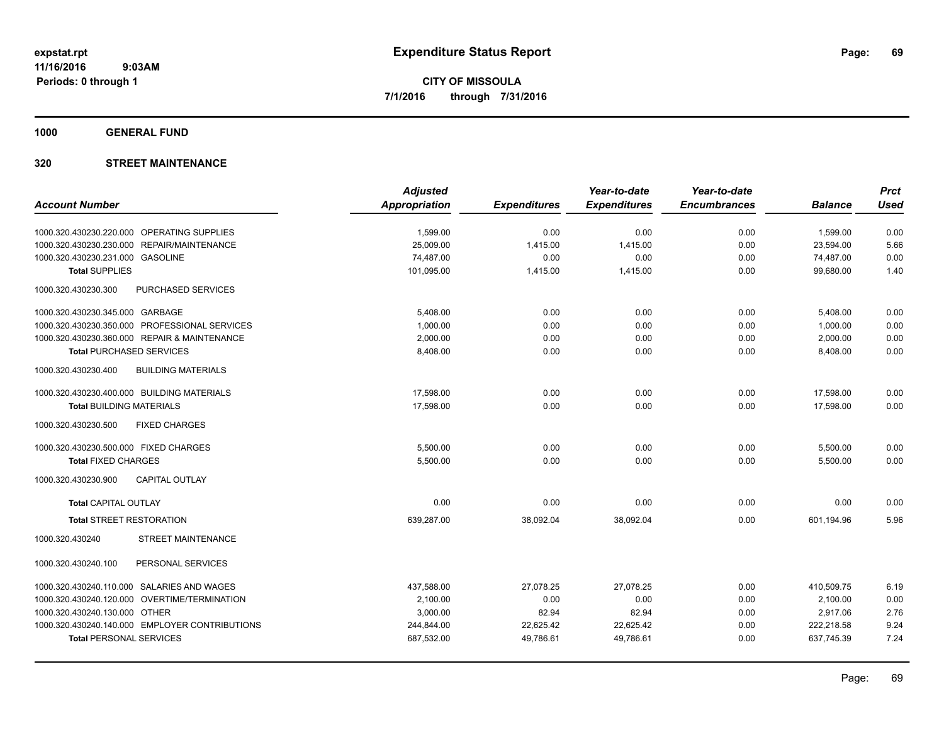**1000 GENERAL FUND**

|                                                  | <b>Adjusted</b> |                     | Year-to-date        | Year-to-date        |                | <b>Prct</b> |
|--------------------------------------------------|-----------------|---------------------|---------------------|---------------------|----------------|-------------|
| <b>Account Number</b>                            | Appropriation   | <b>Expenditures</b> | <b>Expenditures</b> | <b>Encumbrances</b> | <b>Balance</b> | <b>Used</b> |
| 1000.320.430230.220.000 OPERATING SUPPLIES       | 1,599.00        | 0.00                | 0.00                | 0.00                | 1,599.00       | 0.00        |
| 1000.320.430230.230.000<br>REPAIR/MAINTENANCE    | 25,009.00       | 1,415.00            | 1,415.00            | 0.00                | 23,594.00      | 5.66        |
| 1000.320.430230.231.000 GASOLINE                 | 74,487.00       | 0.00                | 0.00                | 0.00                | 74,487.00      | 0.00        |
| <b>Total SUPPLIES</b>                            | 101,095.00      | 1,415.00            | 1,415.00            | 0.00                | 99,680.00      | 1.40        |
| 1000.320.430230.300<br>PURCHASED SERVICES        |                 |                     |                     |                     |                |             |
| 1000.320.430230.345.000 GARBAGE                  | 5,408.00        | 0.00                | 0.00                | 0.00                | 5,408.00       | 0.00        |
| 1000.320.430230.350.000 PROFESSIONAL SERVICES    | 1.000.00        | 0.00                | 0.00                | 0.00                | 1,000.00       | 0.00        |
| 1000.320.430230.360.000 REPAIR & MAINTENANCE     | 2,000.00        | 0.00                | 0.00                | 0.00                | 2,000.00       | 0.00        |
| <b>Total PURCHASED SERVICES</b>                  | 8,408.00        | 0.00                | 0.00                | 0.00                | 8,408.00       | 0.00        |
| 1000.320.430230.400<br><b>BUILDING MATERIALS</b> |                 |                     |                     |                     |                |             |
| 1000.320.430230.400.000 BUILDING MATERIALS       | 17.598.00       | 0.00                | 0.00                | 0.00                | 17,598.00      | 0.00        |
| <b>Total BUILDING MATERIALS</b>                  | 17,598.00       | 0.00                | 0.00                | 0.00                | 17,598.00      | 0.00        |
| 1000.320.430230.500<br><b>FIXED CHARGES</b>      |                 |                     |                     |                     |                |             |
| 1000.320.430230.500.000 FIXED CHARGES            | 5,500.00        | 0.00                | 0.00                | 0.00                | 5,500.00       | 0.00        |
| <b>Total FIXED CHARGES</b>                       | 5,500.00        | 0.00                | 0.00                | 0.00                | 5,500.00       | 0.00        |
| 1000.320.430230.900<br><b>CAPITAL OUTLAY</b>     |                 |                     |                     |                     |                |             |
| <b>Total CAPITAL OUTLAY</b>                      | 0.00            | 0.00                | 0.00                | 0.00                | 0.00           | 0.00        |
| <b>Total STREET RESTORATION</b>                  | 639,287.00      | 38,092.04           | 38,092.04           | 0.00                | 601,194.96     | 5.96        |
| STREET MAINTENANCE<br>1000.320.430240            |                 |                     |                     |                     |                |             |
| 1000.320.430240.100<br>PERSONAL SERVICES         |                 |                     |                     |                     |                |             |
| 1000.320.430240.110.000 SALARIES AND WAGES       | 437,588.00      | 27,078.25           | 27,078.25           | 0.00                | 410,509.75     | 6.19        |
| 1000.320.430240.120.000 OVERTIME/TERMINATION     | 2,100.00        | 0.00                | 0.00                | 0.00                | 2,100.00       | 0.00        |
| 1000.320.430240.130.000 OTHER                    | 3,000.00        | 82.94               | 82.94               | 0.00                | 2,917.06       | 2.76        |
| 1000.320.430240.140.000 EMPLOYER CONTRIBUTIONS   | 244,844.00      | 22,625.42           | 22,625.42           | 0.00                | 222,218.58     | 9.24        |
| <b>Total PERSONAL SERVICES</b>                   | 687,532.00      | 49,786.61           | 49,786.61           | 0.00                | 637,745.39     | 7.24        |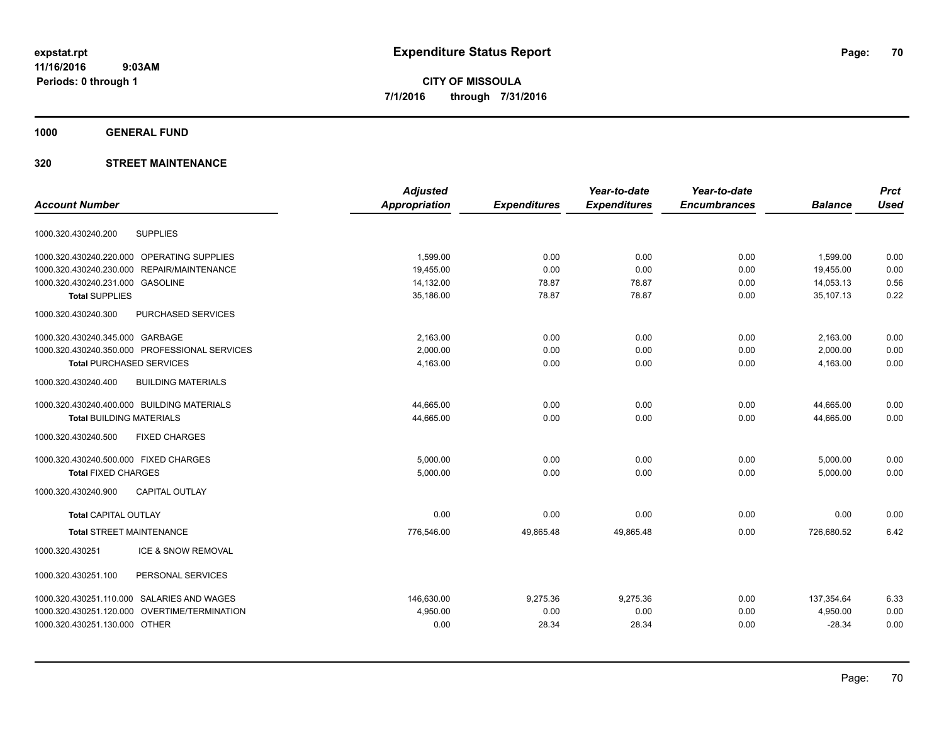**1000 GENERAL FUND**

|                                               |                           | <b>Adjusted</b>      |                     | Year-to-date        | Year-to-date        |                | <b>Prct</b> |
|-----------------------------------------------|---------------------------|----------------------|---------------------|---------------------|---------------------|----------------|-------------|
| <b>Account Number</b>                         |                           | <b>Appropriation</b> | <b>Expenditures</b> | <b>Expenditures</b> | <b>Encumbrances</b> | <b>Balance</b> | <b>Used</b> |
| <b>SUPPLIES</b><br>1000.320.430240.200        |                           |                      |                     |                     |                     |                |             |
| 1000.320.430240.220.000 OPERATING SUPPLIES    |                           | 1,599.00             | 0.00                | 0.00                | 0.00                | 1,599.00       | 0.00        |
| 1000.320.430240.230.000                       | REPAIR/MAINTENANCE        | 19.455.00            | 0.00                | 0.00                | 0.00                | 19,455.00      | 0.00        |
| 1000.320.430240.231.000 GASOLINE              |                           | 14,132.00            | 78.87               | 78.87               | 0.00                | 14,053.13      | 0.56        |
| <b>Total SUPPLIES</b>                         |                           | 35,186.00            | 78.87               | 78.87               | 0.00                | 35.107.13      | 0.22        |
| 1000.320.430240.300                           | <b>PURCHASED SERVICES</b> |                      |                     |                     |                     |                |             |
| 1000.320.430240.345.000 GARBAGE               |                           | 2,163.00             | 0.00                | 0.00                | 0.00                | 2,163.00       | 0.00        |
| 1000.320.430240.350.000 PROFESSIONAL SERVICES |                           | 2.000.00             | 0.00                | 0.00                | 0.00                | 2,000.00       | 0.00        |
| <b>Total PURCHASED SERVICES</b>               |                           | 4,163.00             | 0.00                | 0.00                | 0.00                | 4,163.00       | 0.00        |
| 1000.320.430240.400                           | <b>BUILDING MATERIALS</b> |                      |                     |                     |                     |                |             |
| 1000.320.430240.400.000 BUILDING MATERIALS    |                           | 44,665.00            | 0.00                | 0.00                | 0.00                | 44,665.00      | 0.00        |
| <b>Total BUILDING MATERIALS</b>               |                           | 44,665.00            | 0.00                | 0.00                | 0.00                | 44,665.00      | 0.00        |
| <b>FIXED CHARGES</b><br>1000.320.430240.500   |                           |                      |                     |                     |                     |                |             |
| 1000.320.430240.500.000 FIXED CHARGES         |                           | 5.000.00             | 0.00                | 0.00                | 0.00                | 5,000.00       | 0.00        |
| <b>Total FIXED CHARGES</b>                    |                           | 5,000.00             | 0.00                | 0.00                | 0.00                | 5,000.00       | 0.00        |
| 1000.320.430240.900                           | <b>CAPITAL OUTLAY</b>     |                      |                     |                     |                     |                |             |
| <b>Total CAPITAL OUTLAY</b>                   |                           | 0.00                 | 0.00                | 0.00                | 0.00                | 0.00           | 0.00        |
| <b>Total STREET MAINTENANCE</b>               |                           | 776,546.00           | 49,865.48           | 49,865.48           | 0.00                | 726,680.52     | 6.42        |
| 1000.320.430251                               | ICE & SNOW REMOVAL        |                      |                     |                     |                     |                |             |
| 1000.320.430251.100                           | PERSONAL SERVICES         |                      |                     |                     |                     |                |             |
| 1000.320.430251.110.000 SALARIES AND WAGES    |                           | 146,630.00           | 9,275.36            | 9,275.36            | 0.00                | 137,354.64     | 6.33        |
| 1000.320.430251.120.000                       | OVERTIME/TERMINATION      | 4,950.00             | 0.00                | 0.00                | 0.00                | 4,950.00       | 0.00        |
| 1000.320.430251.130.000 OTHER                 |                           | 0.00                 | 28.34               | 28.34               | 0.00                | $-28.34$       | 0.00        |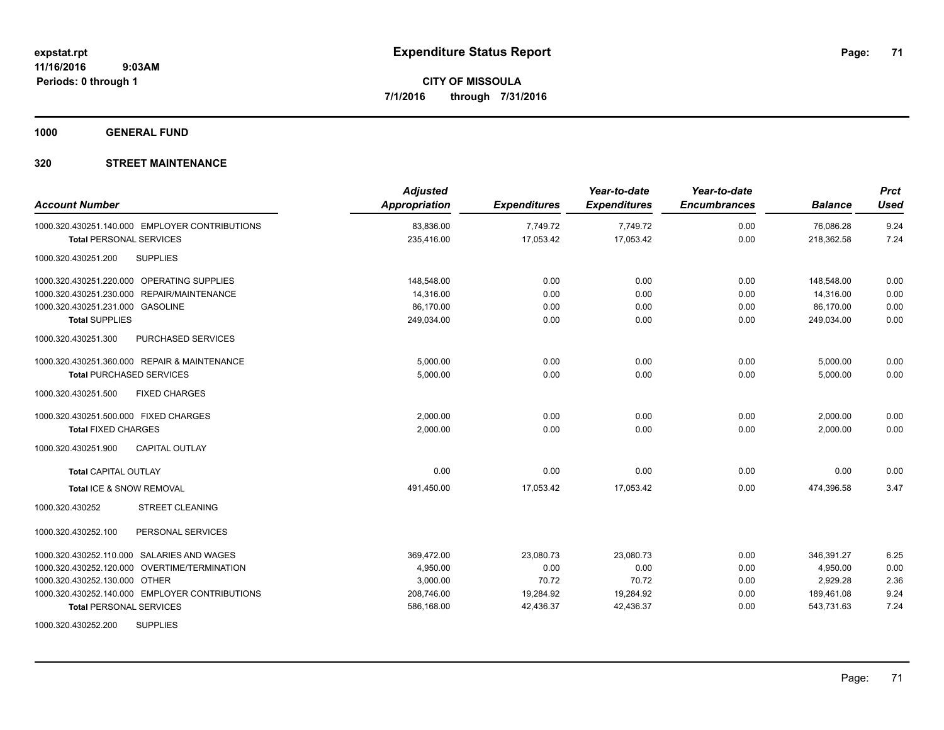**1000 GENERAL FUND**

| <b>Account Number</b>                          | <b>Adjusted</b><br>Appropriation | <b>Expenditures</b> | Year-to-date<br><b>Expenditures</b> | Year-to-date<br><b>Encumbrances</b> | <b>Balance</b> | <b>Prct</b><br><b>Used</b> |
|------------------------------------------------|----------------------------------|---------------------|-------------------------------------|-------------------------------------|----------------|----------------------------|
| 1000.320.430251.140.000 EMPLOYER CONTRIBUTIONS | 83,836.00                        | 7,749.72            | 7,749.72                            | 0.00                                | 76,086.28      | 9.24                       |
| <b>Total PERSONAL SERVICES</b>                 | 235,416.00                       | 17,053.42           | 17,053.42                           | 0.00                                | 218,362.58     | 7.24                       |
| <b>SUPPLIES</b><br>1000.320.430251.200         |                                  |                     |                                     |                                     |                |                            |
| 1000.320.430251.220.000 OPERATING SUPPLIES     | 148,548.00                       | 0.00                | 0.00                                | 0.00                                | 148,548.00     | 0.00                       |
| 1000.320.430251.230.000 REPAIR/MAINTENANCE     | 14,316.00                        | 0.00                | 0.00                                | 0.00                                | 14,316.00      | 0.00                       |
| 1000.320.430251.231.000 GASOLINE               | 86,170.00                        | 0.00                | 0.00                                | 0.00                                | 86,170.00      | 0.00                       |
| <b>Total SUPPLIES</b>                          | 249,034.00                       | 0.00                | 0.00                                | 0.00                                | 249,034.00     | 0.00                       |
| 1000.320.430251.300<br>PURCHASED SERVICES      |                                  |                     |                                     |                                     |                |                            |
| 1000.320.430251.360.000 REPAIR & MAINTENANCE   | 5,000.00                         | 0.00                | 0.00                                | 0.00                                | 5,000.00       | 0.00                       |
| <b>Total PURCHASED SERVICES</b>                | 5,000.00                         | 0.00                | 0.00                                | 0.00                                | 5,000.00       | 0.00                       |
| <b>FIXED CHARGES</b><br>1000.320.430251.500    |                                  |                     |                                     |                                     |                |                            |
| 1000.320.430251.500.000 FIXED CHARGES          | 2,000.00                         | 0.00                | 0.00                                | 0.00                                | 2,000.00       | 0.00                       |
| <b>Total FIXED CHARGES</b>                     | 2,000.00                         | 0.00                | 0.00                                | 0.00                                | 2,000.00       | 0.00                       |
| <b>CAPITAL OUTLAY</b><br>1000.320.430251.900   |                                  |                     |                                     |                                     |                |                            |
| <b>Total CAPITAL OUTLAY</b>                    | 0.00                             | 0.00                | 0.00                                | 0.00                                | 0.00           | 0.00                       |
| Total ICE & SNOW REMOVAL                       | 491,450.00                       | 17,053.42           | 17,053.42                           | 0.00                                | 474,396.58     | 3.47                       |
| <b>STREET CLEANING</b><br>1000.320.430252      |                                  |                     |                                     |                                     |                |                            |
| PERSONAL SERVICES<br>1000.320.430252.100       |                                  |                     |                                     |                                     |                |                            |
| 1000.320.430252.110.000 SALARIES AND WAGES     | 369,472.00                       | 23,080.73           | 23,080.73                           | 0.00                                | 346,391.27     | 6.25                       |
| 1000.320.430252.120.000 OVERTIME/TERMINATION   | 4,950.00                         | 0.00                | 0.00                                | 0.00                                | 4,950.00       | 0.00                       |
| 1000.320.430252.130.000 OTHER                  | 3,000.00                         | 70.72               | 70.72                               | 0.00                                | 2,929.28       | 2.36                       |
| 1000.320.430252.140.000 EMPLOYER CONTRIBUTIONS | 208,746.00                       | 19,284.92           | 19,284.92                           | 0.00                                | 189,461.08     | 9.24                       |
| <b>Total PERSONAL SERVICES</b>                 | 586,168.00                       | 42,436.37           | 42,436.37                           | 0.00                                | 543,731.63     | 7.24                       |
| <b>SUPPLIES</b><br>1000.320.430252.200         |                                  |                     |                                     |                                     |                |                            |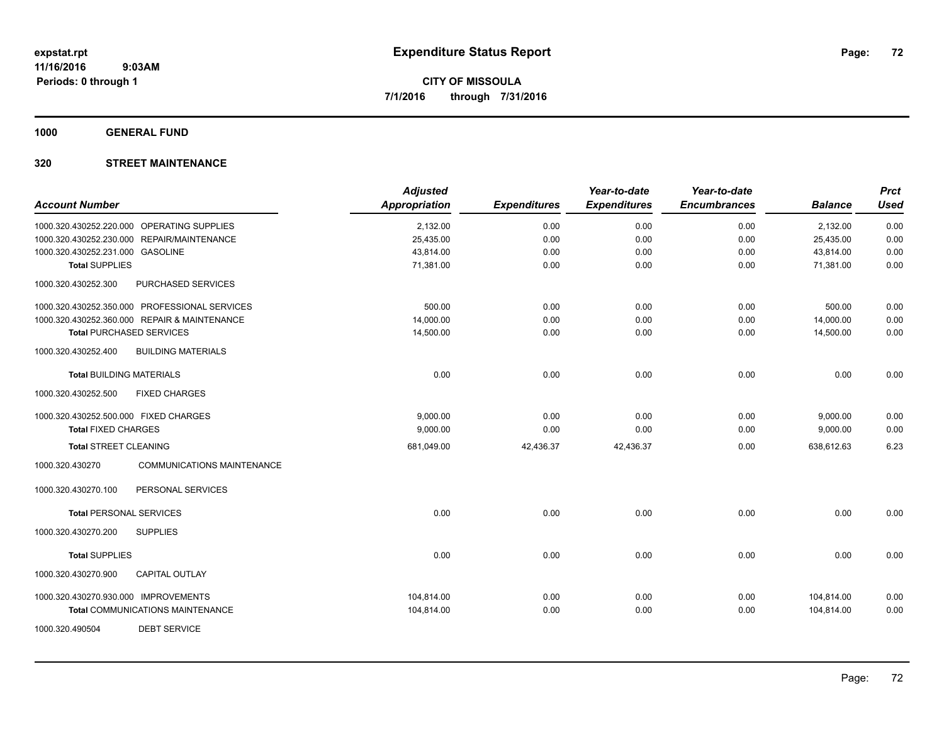**1000 GENERAL FUND**

| <b>Account Number</b>                 |                                               | <b>Adjusted</b><br><b>Appropriation</b> | <b>Expenditures</b> | Year-to-date<br><b>Expenditures</b> | Year-to-date<br><b>Encumbrances</b> | <b>Balance</b> | <b>Prct</b><br><b>Used</b> |
|---------------------------------------|-----------------------------------------------|-----------------------------------------|---------------------|-------------------------------------|-------------------------------------|----------------|----------------------------|
|                                       | 1000.320.430252.220.000 OPERATING SUPPLIES    | 2,132.00                                | 0.00                | 0.00                                | 0.00                                | 2,132.00       | 0.00                       |
|                                       | 1000.320.430252.230.000 REPAIR/MAINTENANCE    | 25,435.00                               | 0.00                | 0.00                                | 0.00                                | 25,435.00      | 0.00                       |
| 1000.320.430252.231.000 GASOLINE      |                                               | 43,814.00                               | 0.00                | 0.00                                | 0.00                                | 43,814.00      | 0.00                       |
| <b>Total SUPPLIES</b>                 |                                               | 71,381.00                               | 0.00                | 0.00                                | 0.00                                | 71,381.00      | 0.00                       |
| 1000.320.430252.300                   | PURCHASED SERVICES                            |                                         |                     |                                     |                                     |                |                            |
|                                       | 1000.320.430252.350.000 PROFESSIONAL SERVICES | 500.00                                  | 0.00                | 0.00                                | 0.00                                | 500.00         | 0.00                       |
|                                       | 1000.320.430252.360.000 REPAIR & MAINTENANCE  | 14,000.00                               | 0.00                | 0.00                                | 0.00                                | 14,000.00      | 0.00                       |
|                                       | <b>Total PURCHASED SERVICES</b>               | 14,500.00                               | 0.00                | 0.00                                | 0.00                                | 14,500.00      | 0.00                       |
| 1000.320.430252.400                   | <b>BUILDING MATERIALS</b>                     |                                         |                     |                                     |                                     |                |                            |
| <b>Total BUILDING MATERIALS</b>       |                                               | 0.00                                    | 0.00                | 0.00                                | 0.00                                | 0.00           | 0.00                       |
| 1000.320.430252.500                   | <b>FIXED CHARGES</b>                          |                                         |                     |                                     |                                     |                |                            |
| 1000.320.430252.500.000 FIXED CHARGES |                                               | 9,000.00                                | 0.00                | 0.00                                | 0.00                                | 9,000.00       | 0.00                       |
| <b>Total FIXED CHARGES</b>            |                                               | 9,000.00                                | 0.00                | 0.00                                | 0.00                                | 9,000.00       | 0.00                       |
| <b>Total STREET CLEANING</b>          |                                               | 681,049.00                              | 42,436.37           | 42,436.37                           | 0.00                                | 638,612.63     | 6.23                       |
| 1000.320.430270                       | <b>COMMUNICATIONS MAINTENANCE</b>             |                                         |                     |                                     |                                     |                |                            |
| 1000.320.430270.100                   | PERSONAL SERVICES                             |                                         |                     |                                     |                                     |                |                            |
| <b>Total PERSONAL SERVICES</b>        |                                               | 0.00                                    | 0.00                | 0.00                                | 0.00                                | 0.00           | 0.00                       |
| 1000.320.430270.200                   | <b>SUPPLIES</b>                               |                                         |                     |                                     |                                     |                |                            |
| <b>Total SUPPLIES</b>                 |                                               | 0.00                                    | 0.00                | 0.00                                | 0.00                                | 0.00           | 0.00                       |
| 1000.320.430270.900                   | <b>CAPITAL OUTLAY</b>                         |                                         |                     |                                     |                                     |                |                            |
| 1000.320.430270.930.000 IMPROVEMENTS  |                                               | 104,814.00                              | 0.00                | 0.00                                | 0.00                                | 104,814.00     | 0.00                       |
|                                       | Total COMMUNICATIONS MAINTENANCE              | 104,814.00                              | 0.00                | 0.00                                | 0.00                                | 104,814.00     | 0.00                       |
| 1000.320.490504                       | <b>DEBT SERVICE</b>                           |                                         |                     |                                     |                                     |                |                            |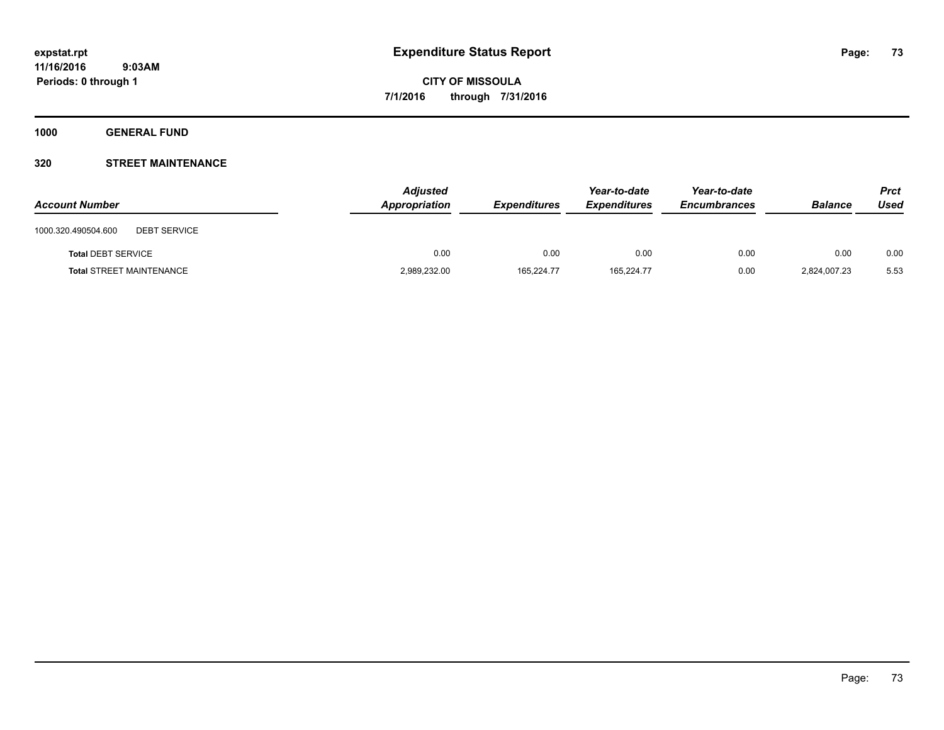**1000 GENERAL FUND**

## **320 STREET MAINTENANCE**

| <b>Account Number</b>                      | <b>Adjusted</b><br>Appropriation | <b>Expenditures</b> | Year-to-date<br><b>Expenditures</b> | Year-to-date<br><b>Encumbrances</b> | <b>Balance</b> | <b>Prct</b><br>Used |
|--------------------------------------------|----------------------------------|---------------------|-------------------------------------|-------------------------------------|----------------|---------------------|
| 1000.320.490504.600<br><b>DEBT SERVICE</b> |                                  |                     |                                     |                                     |                |                     |
| <b>Total DEBT SERVICE</b>                  | 0.00                             | 0.00                | 0.00                                | 0.00                                | 0.00           | 0.00                |
| <b>Total STREET MAINTENANCE</b>            | 2,989,232.00                     | 165.224.77          | 165.224.77                          | 0.00                                | 2,824,007.23   | 5.53                |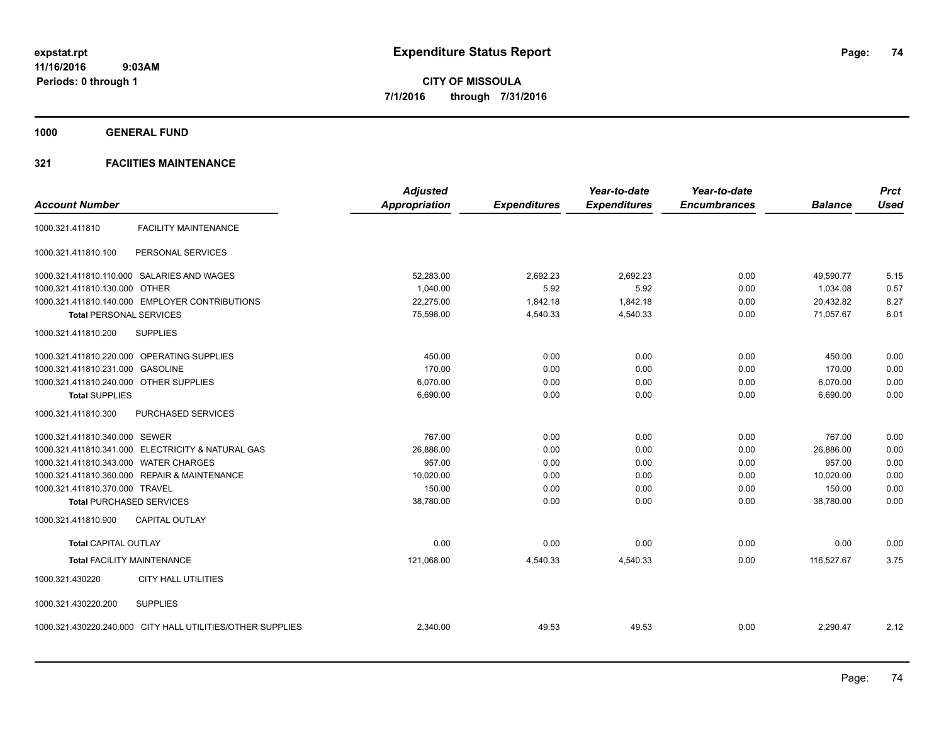**1000 GENERAL FUND**

|                                                            | <b>Adjusted</b>      |                     | Year-to-date        | Year-to-date        |                | <b>Prct</b> |
|------------------------------------------------------------|----------------------|---------------------|---------------------|---------------------|----------------|-------------|
| <b>Account Number</b>                                      | <b>Appropriation</b> | <b>Expenditures</b> | <b>Expenditures</b> | <b>Encumbrances</b> | <b>Balance</b> | <b>Used</b> |
| <b>FACILITY MAINTENANCE</b><br>1000.321.411810             |                      |                     |                     |                     |                |             |
| 1000.321.411810.100<br>PERSONAL SERVICES                   |                      |                     |                     |                     |                |             |
| 1000.321.411810.110.000 SALARIES AND WAGES                 | 52,283.00            | 2,692.23            | 2,692.23            | 0.00                | 49,590.77      | 5.15        |
| 1000.321.411810.130.000 OTHER                              | 1,040.00             | 5.92                | 5.92                | 0.00                | 1,034.08       | 0.57        |
| 1000.321.411810.140.000 EMPLOYER CONTRIBUTIONS             | 22,275.00            | 1,842.18            | 1,842.18            | 0.00                | 20,432.82      | 8.27        |
| <b>Total PERSONAL SERVICES</b>                             | 75,598.00            | 4,540.33            | 4,540.33            | 0.00                | 71.057.67      | 6.01        |
| 1000.321.411810.200<br><b>SUPPLIES</b>                     |                      |                     |                     |                     |                |             |
| 1000.321.411810.220.000 OPERATING SUPPLIES                 | 450.00               | 0.00                | 0.00                | 0.00                | 450.00         | 0.00        |
| 1000.321.411810.231.000 GASOLINE                           | 170.00               | 0.00                | 0.00                | 0.00                | 170.00         | 0.00        |
| 1000.321.411810.240.000 OTHER SUPPLIES                     | 6,070.00             | 0.00                | 0.00                | 0.00                | 6,070.00       | 0.00        |
| <b>Total SUPPLIES</b>                                      | 6,690.00             | 0.00                | 0.00                | 0.00                | 6,690.00       | 0.00        |
| 1000.321.411810.300<br><b>PURCHASED SERVICES</b>           |                      |                     |                     |                     |                |             |
| 1000.321.411810.340.000 SEWER                              | 767.00               | 0.00                | 0.00                | 0.00                | 767.00         | 0.00        |
| 1000.321.411810.341.000 ELECTRICITY & NATURAL GAS          | 26,886.00            | 0.00                | 0.00                | 0.00                | 26,886.00      | 0.00        |
| 1000.321.411810.343.000 WATER CHARGES                      | 957.00               | 0.00                | 0.00                | 0.00                | 957.00         | 0.00        |
| 1000.321.411810.360.000 REPAIR & MAINTENANCE               | 10,020.00            | 0.00                | 0.00                | 0.00                | 10,020.00      | 0.00        |
| 1000.321.411810.370.000 TRAVEL                             | 150.00               | 0.00                | 0.00                | 0.00                | 150.00         | 0.00        |
| <b>Total PURCHASED SERVICES</b>                            | 38,780.00            | 0.00                | 0.00                | 0.00                | 38,780.00      | 0.00        |
| <b>CAPITAL OUTLAY</b><br>1000.321.411810.900               |                      |                     |                     |                     |                |             |
| <b>Total CAPITAL OUTLAY</b>                                | 0.00                 | 0.00                | 0.00                | 0.00                | 0.00           | 0.00        |
| <b>Total FACILITY MAINTENANCE</b>                          | 121,068.00           | 4,540.33            | 4,540.33            | 0.00                | 116.527.67     | 3.75        |
| <b>CITY HALL UTILITIES</b><br>1000.321.430220              |                      |                     |                     |                     |                |             |
| <b>SUPPLIES</b><br>1000.321.430220.200                     |                      |                     |                     |                     |                |             |
| 1000.321.430220.240.000 CITY HALL UTILITIES/OTHER SUPPLIES | 2,340.00             | 49.53               | 49.53               | 0.00                | 2,290.47       | 2.12        |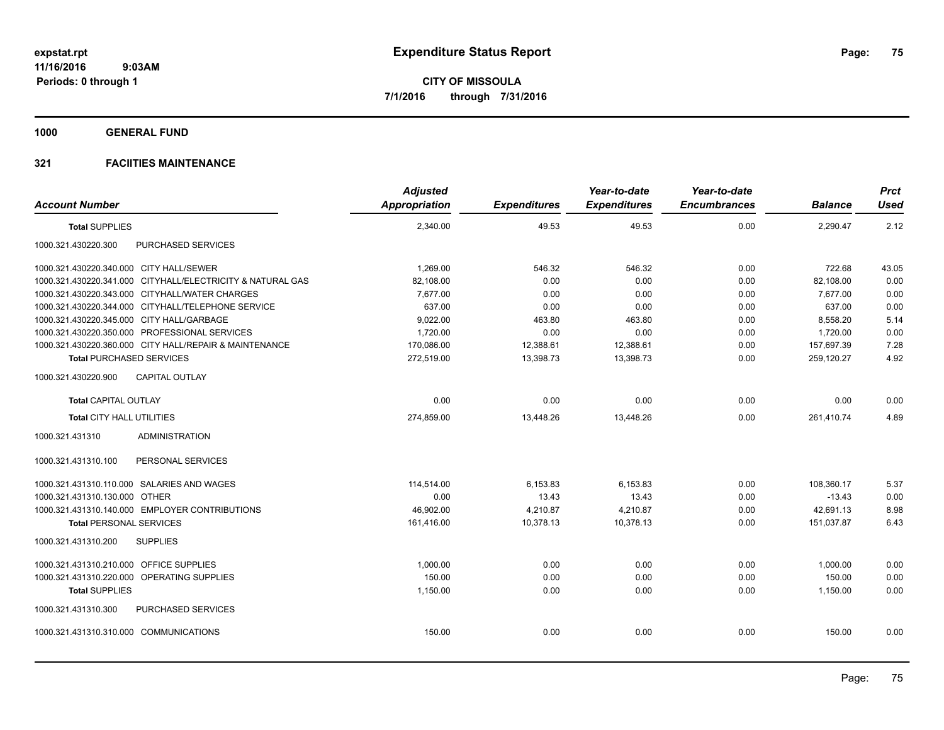**1000 GENERAL FUND**

| <b>Account Number</b>                     |                                                            | <b>Adjusted</b><br><b>Appropriation</b> | <b>Expenditures</b> | Year-to-date<br><b>Expenditures</b> | Year-to-date<br><b>Encumbrances</b> | <b>Balance</b> | <b>Prct</b><br><b>Used</b> |
|-------------------------------------------|------------------------------------------------------------|-----------------------------------------|---------------------|-------------------------------------|-------------------------------------|----------------|----------------------------|
| <b>Total SUPPLIES</b>                     |                                                            | 2,340.00                                | 49.53               | 49.53                               | 0.00                                | 2,290.47       | 2.12                       |
| 1000.321.430220.300                       | PURCHASED SERVICES                                         |                                         |                     |                                     |                                     |                |                            |
| 1000.321.430220.340.000 CITY HALL/SEWER   |                                                            | 1,269.00                                | 546.32              | 546.32                              | 0.00                                | 722.68         | 43.05                      |
|                                           | 1000.321.430220.341.000 CITYHALL/ELECTRICITY & NATURAL GAS | 82.108.00                               | 0.00                | 0.00                                | 0.00                                | 82,108.00      | 0.00                       |
|                                           | 1000.321.430220.343.000 CITYHALL/WATER CHARGES             | 7,677.00                                | 0.00                | 0.00                                | 0.00                                | 7,677.00       | 0.00                       |
|                                           | 1000.321.430220.344.000 CITYHALL/TELEPHONE SERVICE         | 637.00                                  | 0.00                | 0.00                                | 0.00                                | 637.00         | 0.00                       |
| 1000.321.430220.345.000 CITY HALL/GARBAGE |                                                            | 9,022.00                                | 463.80              | 463.80                              | 0.00                                | 8,558.20       | 5.14                       |
|                                           | 1000.321.430220.350.000 PROFESSIONAL SERVICES              | 1,720.00                                | 0.00                | 0.00                                | 0.00                                | 1,720.00       | 0.00                       |
|                                           | 1000.321.430220.360.000 CITY HALL/REPAIR & MAINTENANCE     | 170,086.00                              | 12,388.61           | 12,388.61                           | 0.00                                | 157,697.39     | 7.28                       |
| <b>Total PURCHASED SERVICES</b>           |                                                            | 272,519.00                              | 13,398.73           | 13,398.73                           | 0.00                                | 259,120.27     | 4.92                       |
| 1000.321.430220.900                       | <b>CAPITAL OUTLAY</b>                                      |                                         |                     |                                     |                                     |                |                            |
| <b>Total CAPITAL OUTLAY</b>               |                                                            | 0.00                                    | 0.00                | 0.00                                | 0.00                                | 0.00           | 0.00                       |
| <b>Total CITY HALL UTILITIES</b>          |                                                            | 274,859.00                              | 13,448.26           | 13,448.26                           | 0.00                                | 261,410.74     | 4.89                       |
| 1000.321.431310                           | <b>ADMINISTRATION</b>                                      |                                         |                     |                                     |                                     |                |                            |
| 1000.321.431310.100                       | PERSONAL SERVICES                                          |                                         |                     |                                     |                                     |                |                            |
|                                           | 1000.321.431310.110.000 SALARIES AND WAGES                 | 114,514.00                              | 6,153.83            | 6,153.83                            | 0.00                                | 108,360.17     | 5.37                       |
| 1000.321.431310.130.000 OTHER             |                                                            | 0.00                                    | 13.43               | 13.43                               | 0.00                                | $-13.43$       | 0.00                       |
|                                           | 1000.321.431310.140.000 EMPLOYER CONTRIBUTIONS             | 46.902.00                               | 4,210.87            | 4.210.87                            | 0.00                                | 42.691.13      | 8.98                       |
| <b>Total PERSONAL SERVICES</b>            |                                                            | 161,416.00                              | 10,378.13           | 10,378.13                           | 0.00                                | 151,037.87     | 6.43                       |
| 1000.321.431310.200                       | <b>SUPPLIES</b>                                            |                                         |                     |                                     |                                     |                |                            |
| 1000.321.431310.210.000 OFFICE SUPPLIES   |                                                            | 1.000.00                                | 0.00                | 0.00                                | 0.00                                | 1.000.00       | 0.00                       |
|                                           | 1000.321.431310.220.000 OPERATING SUPPLIES                 | 150.00                                  | 0.00                | 0.00                                | 0.00                                | 150.00         | 0.00                       |
| <b>Total SUPPLIES</b>                     |                                                            | 1,150.00                                | 0.00                | 0.00                                | 0.00                                | 1,150.00       | 0.00                       |
| 1000.321.431310.300                       | <b>PURCHASED SERVICES</b>                                  |                                         |                     |                                     |                                     |                |                            |
| 1000.321.431310.310.000 COMMUNICATIONS    |                                                            | 150.00                                  | 0.00                | 0.00                                | 0.00                                | 150.00         | 0.00                       |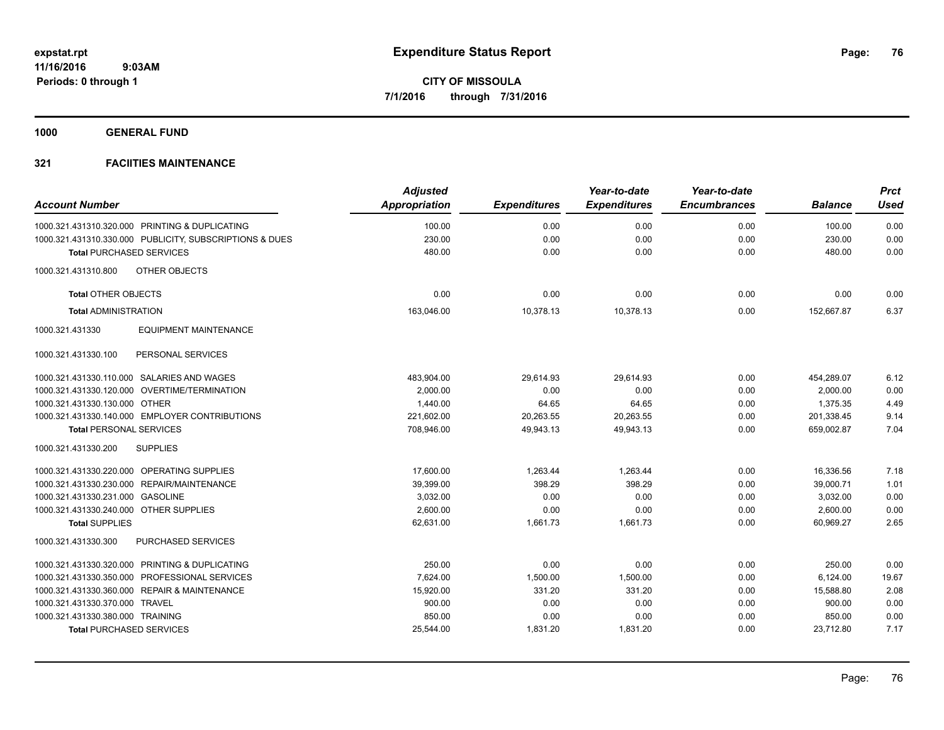**1000 GENERAL FUND**

| <b>Account Number</b>                  |                                                         | <b>Adjusted</b><br><b>Appropriation</b> | <b>Expenditures</b> | Year-to-date<br><b>Expenditures</b> | Year-to-date<br><b>Encumbrances</b> | <b>Balance</b> | <b>Prct</b><br><b>Used</b> |
|----------------------------------------|---------------------------------------------------------|-----------------------------------------|---------------------|-------------------------------------|-------------------------------------|----------------|----------------------------|
|                                        | 1000.321.431310.320.000 PRINTING & DUPLICATING          | 100.00                                  | 0.00                | 0.00                                | 0.00                                | 100.00         | 0.00                       |
|                                        | 1000.321.431310.330.000 PUBLICITY, SUBSCRIPTIONS & DUES | 230.00                                  | 0.00                | 0.00                                | 0.00                                | 230.00         | 0.00                       |
|                                        | <b>Total PURCHASED SERVICES</b>                         | 480.00                                  | 0.00                | 0.00                                | 0.00                                | 480.00         | 0.00                       |
|                                        |                                                         |                                         |                     |                                     |                                     |                |                            |
| 1000.321.431310.800                    | OTHER OBJECTS                                           |                                         |                     |                                     |                                     |                |                            |
| <b>Total OTHER OBJECTS</b>             |                                                         | 0.00                                    | 0.00                | 0.00                                | 0.00                                | 0.00           | 0.00                       |
| <b>Total ADMINISTRATION</b>            |                                                         | 163,046.00                              | 10,378.13           | 10,378.13                           | 0.00                                | 152,667.87     | 6.37                       |
| 1000.321.431330                        | <b>EQUIPMENT MAINTENANCE</b>                            |                                         |                     |                                     |                                     |                |                            |
| 1000.321.431330.100                    | PERSONAL SERVICES                                       |                                         |                     |                                     |                                     |                |                            |
|                                        | 1000.321.431330.110.000 SALARIES AND WAGES              | 483,904.00                              | 29,614.93           | 29,614.93                           | 0.00                                | 454,289.07     | 6.12                       |
|                                        | 1000.321.431330.120.000 OVERTIME/TERMINATION            | 2,000.00                                | 0.00                | 0.00                                | 0.00                                | 2,000.00       | 0.00                       |
| 1000.321.431330.130.000 OTHER          |                                                         | 1,440.00                                | 64.65               | 64.65                               | 0.00                                | 1,375.35       | 4.49                       |
|                                        | 1000.321.431330.140.000 EMPLOYER CONTRIBUTIONS          | 221,602.00                              | 20,263.55           | 20,263.55                           | 0.00                                | 201,338.45     | 9.14                       |
| <b>Total PERSONAL SERVICES</b>         |                                                         | 708,946.00                              | 49,943.13           | 49,943.13                           | 0.00                                | 659,002.87     | 7.04                       |
| 1000.321.431330.200                    | <b>SUPPLIES</b>                                         |                                         |                     |                                     |                                     |                |                            |
|                                        | 1000.321.431330.220.000 OPERATING SUPPLIES              | 17,600.00                               | 1,263.44            | 1,263.44                            | 0.00                                | 16,336.56      | 7.18                       |
|                                        | 1000.321.431330.230.000 REPAIR/MAINTENANCE              | 39,399.00                               | 398.29              | 398.29                              | 0.00                                | 39,000.71      | 1.01                       |
| 1000.321.431330.231.000 GASOLINE       |                                                         | 3,032.00                                | 0.00                | 0.00                                | 0.00                                | 3,032.00       | 0.00                       |
| 1000.321.431330.240.000 OTHER SUPPLIES |                                                         | 2.600.00                                | 0.00                | 0.00                                | 0.00                                | 2,600.00       | 0.00                       |
| <b>Total SUPPLIES</b>                  |                                                         | 62,631.00                               | 1,661.73            | 1,661.73                            | 0.00                                | 60,969.27      | 2.65                       |
| 1000.321.431330.300                    | <b>PURCHASED SERVICES</b>                               |                                         |                     |                                     |                                     |                |                            |
|                                        | 1000.321.431330.320.000 PRINTING & DUPLICATING          | 250.00                                  | 0.00                | 0.00                                | 0.00                                | 250.00         | 0.00                       |
|                                        | 1000.321.431330.350.000 PROFESSIONAL SERVICES           | 7,624.00                                | 1,500.00            | 1,500.00                            | 0.00                                | 6,124.00       | 19.67                      |
|                                        | 1000.321.431330.360.000 REPAIR & MAINTENANCE            | 15,920.00                               | 331.20              | 331.20                              | 0.00                                | 15,588.80      | 2.08                       |
| 1000.321.431330.370.000 TRAVEL         |                                                         | 900.00                                  | 0.00                | 0.00                                | 0.00                                | 900.00         | 0.00                       |
| 1000.321.431330.380.000 TRAINING       |                                                         | 850.00                                  | 0.00                | 0.00                                | 0.00                                | 850.00         | 0.00                       |
|                                        | <b>Total PURCHASED SERVICES</b>                         | 25,544.00                               | 1,831.20            | 1,831.20                            | 0.00                                | 23,712.80      | 7.17                       |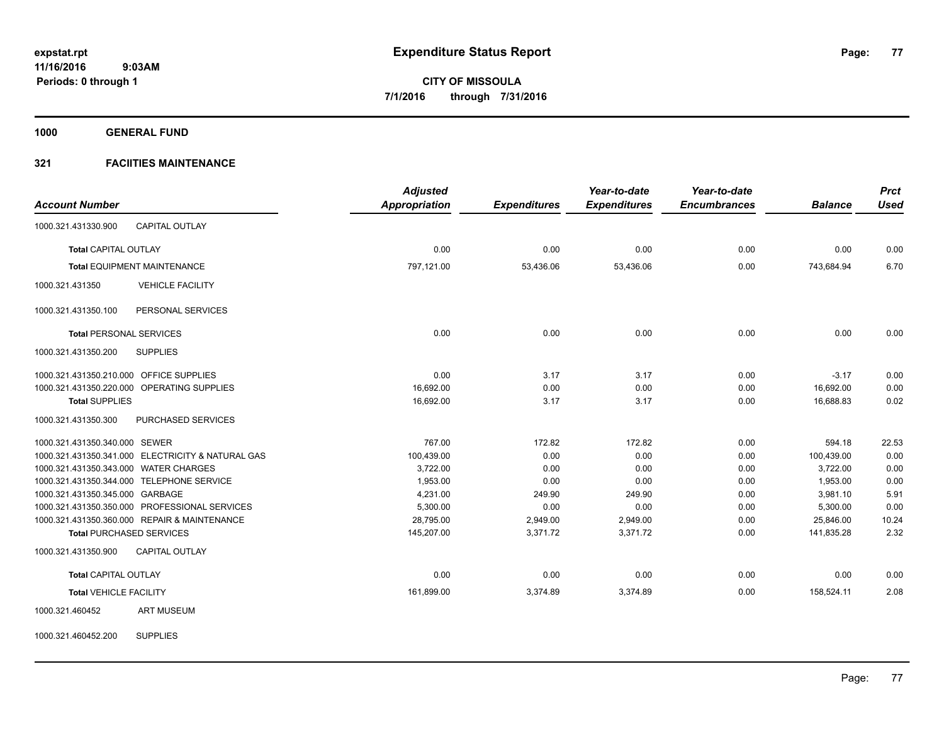**1000 GENERAL FUND**

## **321 FACIITIES MAINTENANCE**

|                                         |                                                   | <b>Adjusted</b>      |                     | Year-to-date        | Year-to-date        |                | <b>Prct</b> |
|-----------------------------------------|---------------------------------------------------|----------------------|---------------------|---------------------|---------------------|----------------|-------------|
| <b>Account Number</b>                   |                                                   | <b>Appropriation</b> | <b>Expenditures</b> | <b>Expenditures</b> | <b>Encumbrances</b> | <b>Balance</b> | <b>Used</b> |
| 1000.321.431330.900                     | <b>CAPITAL OUTLAY</b>                             |                      |                     |                     |                     |                |             |
| <b>Total CAPITAL OUTLAY</b>             |                                                   | 0.00                 | 0.00                | 0.00                | 0.00                | 0.00           | 0.00        |
|                                         | <b>Total EQUIPMENT MAINTENANCE</b>                | 797,121.00           | 53,436.06           | 53,436.06           | 0.00                | 743,684.94     | 6.70        |
| 1000.321.431350                         | <b>VEHICLE FACILITY</b>                           |                      |                     |                     |                     |                |             |
| 1000.321.431350.100                     | PERSONAL SERVICES                                 |                      |                     |                     |                     |                |             |
| <b>Total PERSONAL SERVICES</b>          |                                                   | 0.00                 | 0.00                | 0.00                | 0.00                | 0.00           | 0.00        |
| 1000.321.431350.200                     | <b>SUPPLIES</b>                                   |                      |                     |                     |                     |                |             |
| 1000.321.431350.210.000 OFFICE SUPPLIES |                                                   | 0.00                 | 3.17                | 3.17                | 0.00                | $-3.17$        | 0.00        |
|                                         | 1000.321.431350.220.000 OPERATING SUPPLIES        | 16,692.00            | 0.00                | 0.00                | 0.00                | 16,692.00      | 0.00        |
| <b>Total SUPPLIES</b>                   |                                                   | 16,692.00            | 3.17                | 3.17                | 0.00                | 16,688.83      | 0.02        |
| 1000.321.431350.300                     | PURCHASED SERVICES                                |                      |                     |                     |                     |                |             |
| 1000.321.431350.340.000 SEWER           |                                                   | 767.00               | 172.82              | 172.82              | 0.00                | 594.18         | 22.53       |
|                                         | 1000.321.431350.341.000 ELECTRICITY & NATURAL GAS | 100,439.00           | 0.00                | 0.00                | 0.00                | 100,439.00     | 0.00        |
| 1000.321.431350.343.000 WATER CHARGES   |                                                   | 3,722.00             | 0.00                | 0.00                | 0.00                | 3,722.00       | 0.00        |
|                                         | 1000.321.431350.344.000 TELEPHONE SERVICE         | 1,953.00             | 0.00                | 0.00                | 0.00                | 1,953.00       | 0.00        |
| 1000.321.431350.345.000 GARBAGE         |                                                   | 4,231.00             | 249.90              | 249.90              | 0.00                | 3,981.10       | 5.91        |
|                                         | 1000.321.431350.350.000 PROFESSIONAL SERVICES     | 5,300.00             | 0.00                | 0.00                | 0.00                | 5,300.00       | 0.00        |
|                                         | 1000.321.431350.360.000 REPAIR & MAINTENANCE      | 28,795.00            | 2,949.00            | 2,949.00            | 0.00                | 25.846.00      | 10.24       |
| <b>Total PURCHASED SERVICES</b>         |                                                   | 145,207.00           | 3,371.72            | 3,371.72            | 0.00                | 141,835.28     | 2.32        |
| 1000.321.431350.900                     | <b>CAPITAL OUTLAY</b>                             |                      |                     |                     |                     |                |             |
| <b>Total CAPITAL OUTLAY</b>             |                                                   | 0.00                 | 0.00                | 0.00                | 0.00                | 0.00           | 0.00        |
| <b>Total VEHICLE FACILITY</b>           |                                                   | 161,899.00           | 3,374.89            | 3,374.89            | 0.00                | 158,524.11     | 2.08        |
| 1000.321.460452                         | <b>ART MUSEUM</b>                                 |                      |                     |                     |                     |                |             |

1000.321.460452.200 SUPPLIES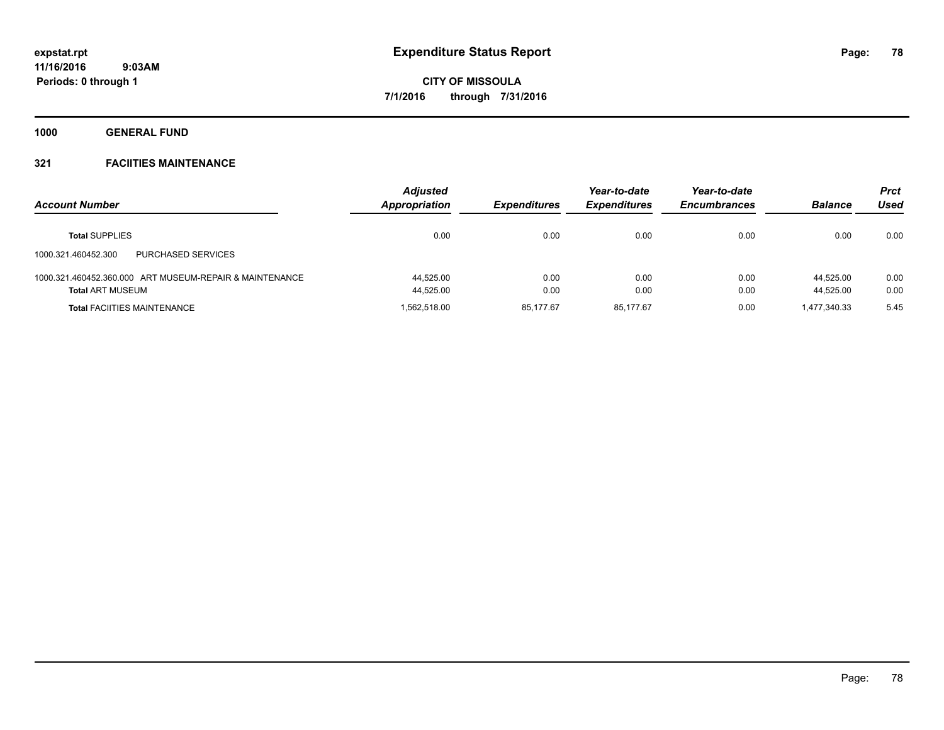**1000 GENERAL FUND**

| <b>Account Number</b>                                                              | <b>Adjusted</b><br><b>Appropriation</b> | <b>Expenditures</b> | Year-to-date<br><b>Expenditures</b> | Year-to-date<br><b>Encumbrances</b> | <b>Balance</b>         | Prct<br>Used |
|------------------------------------------------------------------------------------|-----------------------------------------|---------------------|-------------------------------------|-------------------------------------|------------------------|--------------|
| <b>Total SUPPLIES</b>                                                              | 0.00                                    | 0.00                | 0.00                                | 0.00                                | 0.00                   | 0.00         |
| <b>PURCHASED SERVICES</b><br>1000.321.460452.300                                   |                                         |                     |                                     |                                     |                        |              |
| 1000.321.460452.360.000 ART MUSEUM-REPAIR & MAINTENANCE<br><b>Total ART MUSEUM</b> | 44.525.00<br>44,525.00                  | 0.00<br>0.00        | 0.00<br>0.00                        | 0.00<br>0.00                        | 44.525.00<br>44.525.00 | 0.00<br>0.00 |
| <b>Total FACIITIES MAINTENANCE</b>                                                 | 1.562.518.00                            | 85.177.67           | 85.177.67                           | 0.00                                | 1.477.340.33           | 5.45         |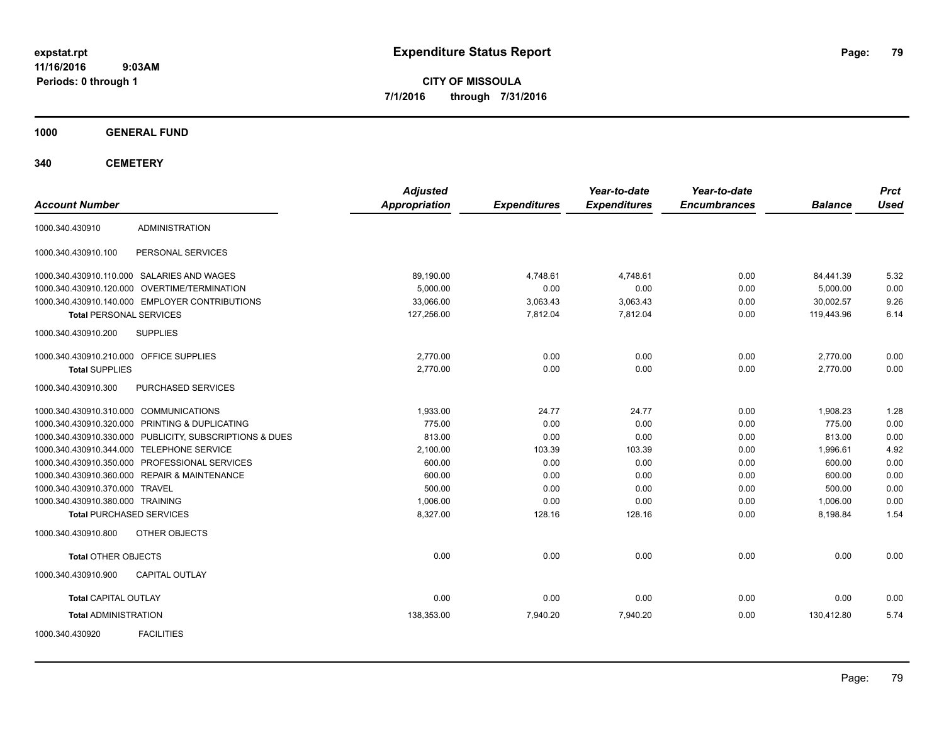**CITY OF MISSOULA 7/1/2016 through 7/31/2016**

**1000 GENERAL FUND**

**340 CEMETERY**

| <b>Account Number</b>                                   | <b>Adjusted</b><br><b>Appropriation</b> | <b>Expenditures</b> | Year-to-date<br><b>Expenditures</b> | Year-to-date<br><b>Encumbrances</b> | <b>Balance</b> | <b>Prct</b><br><b>Used</b> |
|---------------------------------------------------------|-----------------------------------------|---------------------|-------------------------------------|-------------------------------------|----------------|----------------------------|
| <b>ADMINISTRATION</b><br>1000.340.430910                |                                         |                     |                                     |                                     |                |                            |
| PERSONAL SERVICES<br>1000.340.430910.100                |                                         |                     |                                     |                                     |                |                            |
| 1000.340.430910.110.000 SALARIES AND WAGES              | 89,190.00                               | 4,748.61            | 4.748.61                            | 0.00                                | 84,441.39      | 5.32                       |
| 1000.340.430910.120.000 OVERTIME/TERMINATION            | 5.000.00                                | 0.00                | 0.00                                | 0.00                                | 5.000.00       | 0.00                       |
| 1000.340.430910.140.000 EMPLOYER CONTRIBUTIONS          | 33,066.00                               | 3,063.43            | 3,063.43                            | 0.00                                | 30,002.57      | 9.26                       |
| <b>Total PERSONAL SERVICES</b>                          | 127,256.00                              | 7,812.04            | 7,812.04                            | 0.00                                | 119,443.96     | 6.14                       |
| <b>SUPPLIES</b><br>1000.340.430910.200                  |                                         |                     |                                     |                                     |                |                            |
| 1000.340.430910.210.000 OFFICE SUPPLIES                 | 2,770.00                                | 0.00                | 0.00                                | 0.00                                | 2,770.00       | 0.00                       |
| <b>Total SUPPLIES</b>                                   | 2,770.00                                | 0.00                | 0.00                                | 0.00                                | 2,770.00       | 0.00                       |
| PURCHASED SERVICES<br>1000.340.430910.300               |                                         |                     |                                     |                                     |                |                            |
| 1000.340.430910.310.000 COMMUNICATIONS                  | 1,933.00                                | 24.77               | 24.77                               | 0.00                                | 1,908.23       | 1.28                       |
| 1000.340.430910.320.000 PRINTING & DUPLICATING          | 775.00                                  | 0.00                | 0.00                                | 0.00                                | 775.00         | 0.00                       |
| 1000.340.430910.330.000 PUBLICITY, SUBSCRIPTIONS & DUES | 813.00                                  | 0.00                | 0.00                                | 0.00                                | 813.00         | 0.00                       |
| 1000.340.430910.344.000 TELEPHONE SERVICE               | 2,100.00                                | 103.39              | 103.39                              | 0.00                                | 1,996.61       | 4.92                       |
| 1000.340.430910.350.000 PROFESSIONAL SERVICES           | 600.00                                  | 0.00                | 0.00                                | 0.00                                | 600.00         | 0.00                       |
| 1000.340.430910.360.000 REPAIR & MAINTENANCE            | 600.00                                  | 0.00                | 0.00                                | 0.00                                | 600.00         | 0.00                       |
| 1000.340.430910.370.000 TRAVEL                          | 500.00                                  | 0.00                | 0.00                                | 0.00                                | 500.00         | 0.00                       |
| 1000.340.430910.380.000 TRAINING                        | 1,006.00                                | 0.00                | 0.00                                | 0.00                                | 1,006.00       | 0.00                       |
| <b>Total PURCHASED SERVICES</b>                         | 8,327.00                                | 128.16              | 128.16                              | 0.00                                | 8,198.84       | 1.54                       |
| OTHER OBJECTS<br>1000.340.430910.800                    |                                         |                     |                                     |                                     |                |                            |
| <b>Total OTHER OBJECTS</b>                              | 0.00                                    | 0.00                | 0.00                                | 0.00                                | 0.00           | 0.00                       |
| <b>CAPITAL OUTLAY</b><br>1000.340.430910.900            |                                         |                     |                                     |                                     |                |                            |
| <b>Total CAPITAL OUTLAY</b>                             | 0.00                                    | 0.00                | 0.00                                | 0.00                                | 0.00           | 0.00                       |
| <b>Total ADMINISTRATION</b>                             | 138,353.00                              | 7,940.20            | 7,940.20                            | 0.00                                | 130,412.80     | 5.74                       |
| <b>FACILITIES</b><br>1000.340.430920                    |                                         |                     |                                     |                                     |                |                            |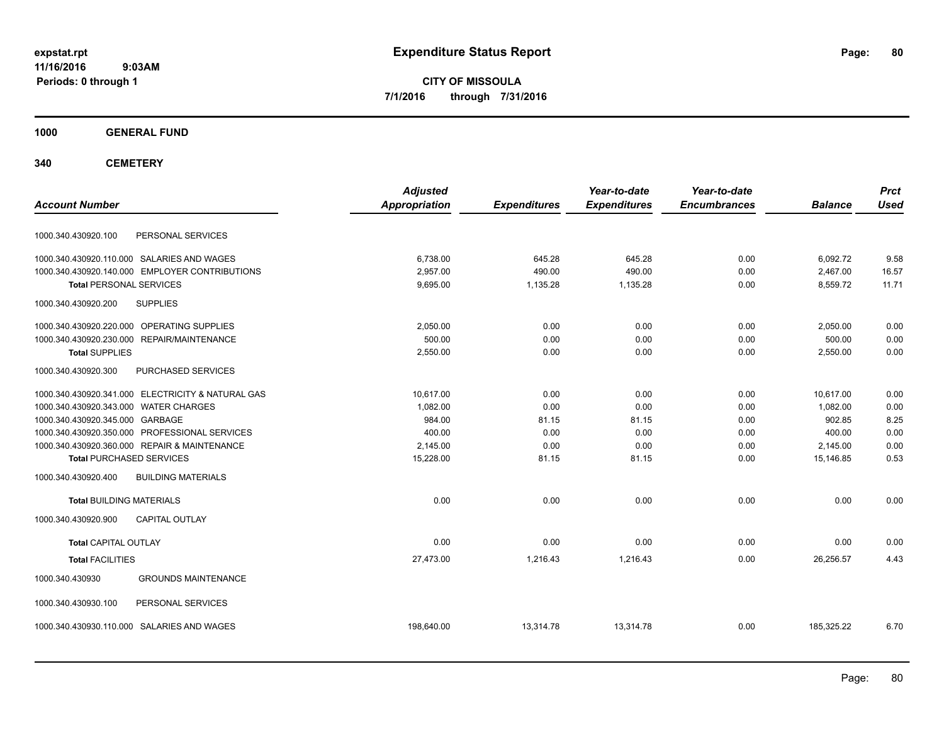**CITY OF MISSOULA 7/1/2016 through 7/31/2016**

**1000 GENERAL FUND**

**340 CEMETERY**

| <b>Account Number</b>                             | <b>Adjusted</b><br><b>Appropriation</b> | <b>Expenditures</b> | Year-to-date<br><b>Expenditures</b> | Year-to-date<br><b>Encumbrances</b> | <b>Balance</b> | <b>Prct</b><br><b>Used</b> |
|---------------------------------------------------|-----------------------------------------|---------------------|-------------------------------------|-------------------------------------|----------------|----------------------------|
|                                                   |                                         |                     |                                     |                                     |                |                            |
| PERSONAL SERVICES<br>1000.340.430920.100          |                                         |                     |                                     |                                     |                |                            |
| 1000.340.430920.110.000 SALARIES AND WAGES        | 6,738.00                                | 645.28              | 645.28                              | 0.00                                | 6,092.72       | 9.58                       |
| 1000.340.430920.140.000 EMPLOYER CONTRIBUTIONS    | 2.957.00                                | 490.00              | 490.00                              | 0.00                                | 2,467.00       | 16.57                      |
| <b>Total PERSONAL SERVICES</b>                    | 9,695.00                                | 1,135.28            | 1,135.28                            | 0.00                                | 8,559.72       | 11.71                      |
| <b>SUPPLIES</b><br>1000.340.430920.200            |                                         |                     |                                     |                                     |                |                            |
| 1000.340.430920.220.000 OPERATING SUPPLIES        | 2,050.00                                | 0.00                | 0.00                                | 0.00                                | 2,050.00       | 0.00                       |
| 1000.340.430920.230.000 REPAIR/MAINTENANCE        | 500.00                                  | 0.00                | 0.00                                | 0.00                                | 500.00         | 0.00                       |
| <b>Total SUPPLIES</b>                             | 2,550.00                                | 0.00                | 0.00                                | 0.00                                | 2,550.00       | 0.00                       |
| 1000.340.430920.300<br>PURCHASED SERVICES         |                                         |                     |                                     |                                     |                |                            |
| 1000.340.430920.341.000 ELECTRICITY & NATURAL GAS | 10.617.00                               | 0.00                | 0.00                                | 0.00                                | 10.617.00      | 0.00                       |
| 1000.340.430920.343.000 WATER CHARGES             | 1,082.00                                | 0.00                | 0.00                                | 0.00                                | 1,082.00       | 0.00                       |
| 1000.340.430920.345.000 GARBAGE                   | 984.00                                  | 81.15               | 81.15                               | 0.00                                | 902.85         | 8.25                       |
| 1000.340.430920.350.000 PROFESSIONAL SERVICES     | 400.00                                  | 0.00                | 0.00                                | 0.00                                | 400.00         | 0.00                       |
| 1000.340.430920.360.000 REPAIR & MAINTENANCE      | 2,145.00                                | 0.00                | 0.00                                | 0.00                                | 2,145.00       | 0.00                       |
| <b>Total PURCHASED SERVICES</b>                   | 15,228.00                               | 81.15               | 81.15                               | 0.00                                | 15,146.85      | 0.53                       |
| 1000.340.430920.400<br><b>BUILDING MATERIALS</b>  |                                         |                     |                                     |                                     |                |                            |
| <b>Total BUILDING MATERIALS</b>                   | 0.00                                    | 0.00                | 0.00                                | 0.00                                | 0.00           | 0.00                       |
| <b>CAPITAL OUTLAY</b><br>1000.340.430920.900      |                                         |                     |                                     |                                     |                |                            |
| <b>Total CAPITAL OUTLAY</b>                       | 0.00                                    | 0.00                | 0.00                                | 0.00                                | 0.00           | 0.00                       |
| <b>Total FACILITIES</b>                           | 27,473.00                               | 1,216.43            | 1,216.43                            | 0.00                                | 26,256.57      | 4.43                       |
| 1000.340.430930<br><b>GROUNDS MAINTENANCE</b>     |                                         |                     |                                     |                                     |                |                            |
| 1000.340.430930.100<br>PERSONAL SERVICES          |                                         |                     |                                     |                                     |                |                            |
| 1000.340.430930.110.000 SALARIES AND WAGES        | 198,640.00                              | 13,314.78           | 13,314.78                           | 0.00                                | 185,325.22     | 6.70                       |
|                                                   |                                         |                     |                                     |                                     |                |                            |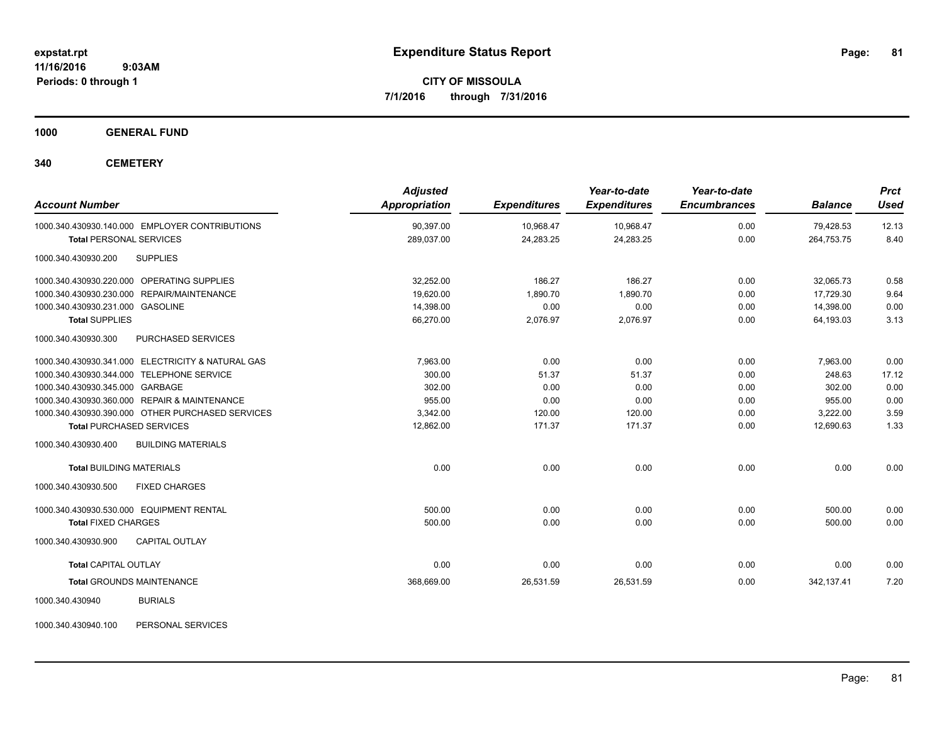**CITY OF MISSOULA 7/1/2016 through 7/31/2016**

**1000 GENERAL FUND**

**340 CEMETERY**

| <b>Account Number</b>                             | <b>Adjusted</b><br><b>Appropriation</b> | <b>Expenditures</b> | Year-to-date<br><b>Expenditures</b> | Year-to-date<br><b>Encumbrances</b> | <b>Balance</b> | <b>Prct</b><br><b>Used</b> |
|---------------------------------------------------|-----------------------------------------|---------------------|-------------------------------------|-------------------------------------|----------------|----------------------------|
| 1000.340.430930.140.000 EMPLOYER CONTRIBUTIONS    | 90,397.00                               | 10,968.47           | 10,968.47                           | 0.00                                | 79,428.53      | 12.13                      |
| <b>Total PERSONAL SERVICES</b>                    | 289,037.00                              | 24,283.25           | 24,283.25                           | 0.00                                | 264,753.75     | 8.40                       |
| 1000.340.430930.200<br><b>SUPPLIES</b>            |                                         |                     |                                     |                                     |                |                            |
| 1000.340.430930.220.000 OPERATING SUPPLIES        | 32,252.00                               | 186.27              | 186.27                              | 0.00                                | 32,065.73      | 0.58                       |
| 1000.340.430930.230.000 REPAIR/MAINTENANCE        | 19,620.00                               | 1,890.70            | 1,890.70                            | 0.00                                | 17,729.30      | 9.64                       |
| 1000.340.430930.231.000 GASOLINE                  | 14,398.00                               | 0.00                | 0.00                                | 0.00                                | 14,398.00      | 0.00                       |
| <b>Total SUPPLIES</b>                             | 66,270.00                               | 2,076.97            | 2,076.97                            | 0.00                                | 64,193.03      | 3.13                       |
| 1000.340.430930.300<br>PURCHASED SERVICES         |                                         |                     |                                     |                                     |                |                            |
| 1000.340.430930.341.000 ELECTRICITY & NATURAL GAS | 7.963.00                                | 0.00                | 0.00                                | 0.00                                | 7.963.00       | 0.00                       |
| 1000.340.430930.344.000 TELEPHONE SERVICE         | 300.00                                  | 51.37               | 51.37                               | 0.00                                | 248.63         | 17.12                      |
| 1000.340.430930.345.000 GARBAGE                   | 302.00                                  | 0.00                | 0.00                                | 0.00                                | 302.00         | 0.00                       |
| 1000.340.430930.360.000 REPAIR & MAINTENANCE      | 955.00                                  | 0.00                | 0.00                                | 0.00                                | 955.00         | 0.00                       |
| 1000.340.430930.390.000 OTHER PURCHASED SERVICES  | 3,342.00                                | 120.00              | 120.00                              | 0.00                                | 3,222.00       | 3.59                       |
| <b>Total PURCHASED SERVICES</b>                   | 12,862.00                               | 171.37              | 171.37                              | 0.00                                | 12,690.63      | 1.33                       |
| 1000.340.430930.400<br><b>BUILDING MATERIALS</b>  |                                         |                     |                                     |                                     |                |                            |
| <b>Total BUILDING MATERIALS</b>                   | 0.00                                    | 0.00                | 0.00                                | 0.00                                | 0.00           | 0.00                       |
| 1000.340.430930.500<br><b>FIXED CHARGES</b>       |                                         |                     |                                     |                                     |                |                            |
| 1000.340.430930.530.000 EQUIPMENT RENTAL          | 500.00                                  | 0.00                | 0.00                                | 0.00                                | 500.00         | 0.00                       |
| <b>Total FIXED CHARGES</b>                        | 500.00                                  | 0.00                | 0.00                                | 0.00                                | 500.00         | 0.00                       |
| 1000.340.430930.900<br><b>CAPITAL OUTLAY</b>      |                                         |                     |                                     |                                     |                |                            |
| <b>Total CAPITAL OUTLAY</b>                       | 0.00                                    | 0.00                | 0.00                                | 0.00                                | 0.00           | 0.00                       |
| <b>Total GROUNDS MAINTENANCE</b>                  | 368,669.00                              | 26,531.59           | 26,531.59                           | 0.00                                | 342,137.41     | 7.20                       |
| 1000.340.430940<br><b>BURIALS</b>                 |                                         |                     |                                     |                                     |                |                            |

1000.340.430940.100 PERSONAL SERVICES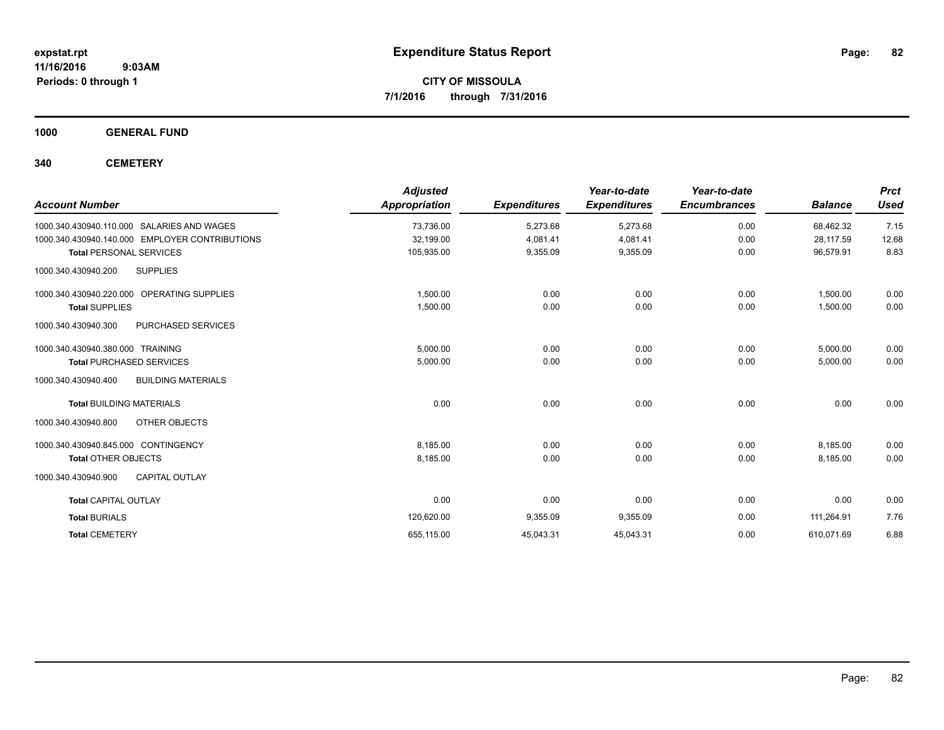**CITY OF MISSOULA 7/1/2016 through 7/31/2016**

**1000 GENERAL FUND**

**340 CEMETERY**

| <b>Account Number</b>                            | <b>Adjusted</b><br><b>Appropriation</b> | <b>Expenditures</b> | Year-to-date<br><b>Expenditures</b> | Year-to-date<br><b>Encumbrances</b> | <b>Balance</b> | <b>Prct</b><br><b>Used</b> |
|--------------------------------------------------|-----------------------------------------|---------------------|-------------------------------------|-------------------------------------|----------------|----------------------------|
| SALARIES AND WAGES<br>1000.340.430940.110.000    | 73,736.00                               | 5,273.68            | 5,273.68                            | 0.00                                | 68,462.32      | 7.15                       |
| 1000.340.430940.140.000 EMPLOYER CONTRIBUTIONS   | 32,199.00                               | 4,081.41            | 4,081.41                            | 0.00                                | 28,117.59      | 12.68                      |
| <b>Total PERSONAL SERVICES</b>                   | 105,935.00                              | 9,355.09            | 9,355.09                            | 0.00                                | 96,579.91      | 8.83                       |
| <b>SUPPLIES</b><br>1000.340.430940.200           |                                         |                     |                                     |                                     |                |                            |
| 1000.340.430940.220.000 OPERATING SUPPLIES       | 1,500.00                                | 0.00                | 0.00                                | 0.00                                | 1,500.00       | 0.00                       |
| <b>Total SUPPLIES</b>                            | 1,500.00                                | 0.00                | 0.00                                | 0.00                                | 1,500.00       | 0.00                       |
| PURCHASED SERVICES<br>1000.340.430940.300        |                                         |                     |                                     |                                     |                |                            |
| 1000.340.430940.380.000 TRAINING                 | 5.000.00                                | 0.00                | 0.00                                | 0.00                                | 5,000.00       | 0.00                       |
| <b>Total PURCHASED SERVICES</b>                  | 5,000.00                                | 0.00                | 0.00                                | 0.00                                | 5,000.00       | 0.00                       |
| 1000.340.430940.400<br><b>BUILDING MATERIALS</b> |                                         |                     |                                     |                                     |                |                            |
| <b>Total BUILDING MATERIALS</b>                  | 0.00                                    | 0.00                | 0.00                                | 0.00                                | 0.00           | 0.00                       |
| 1000.340.430940.800<br>OTHER OBJECTS             |                                         |                     |                                     |                                     |                |                            |
| 1000.340.430940.845.000 CONTINGENCY              | 8.185.00                                | 0.00                | 0.00                                | 0.00                                | 8,185.00       | 0.00                       |
| <b>Total OTHER OBJECTS</b>                       | 8,185.00                                | 0.00                | 0.00                                | 0.00                                | 8,185.00       | 0.00                       |
| <b>CAPITAL OUTLAY</b><br>1000.340.430940.900     |                                         |                     |                                     |                                     |                |                            |
| <b>Total CAPITAL OUTLAY</b>                      | 0.00                                    | 0.00                | 0.00                                | 0.00                                | 0.00           | 0.00                       |
| <b>Total BURIALS</b>                             | 120,620.00                              | 9,355.09            | 9,355.09                            | 0.00                                | 111,264.91     | 7.76                       |
| <b>Total CEMETERY</b>                            | 655,115.00                              | 45,043.31           | 45,043.31                           | 0.00                                | 610,071.69     | 6.88                       |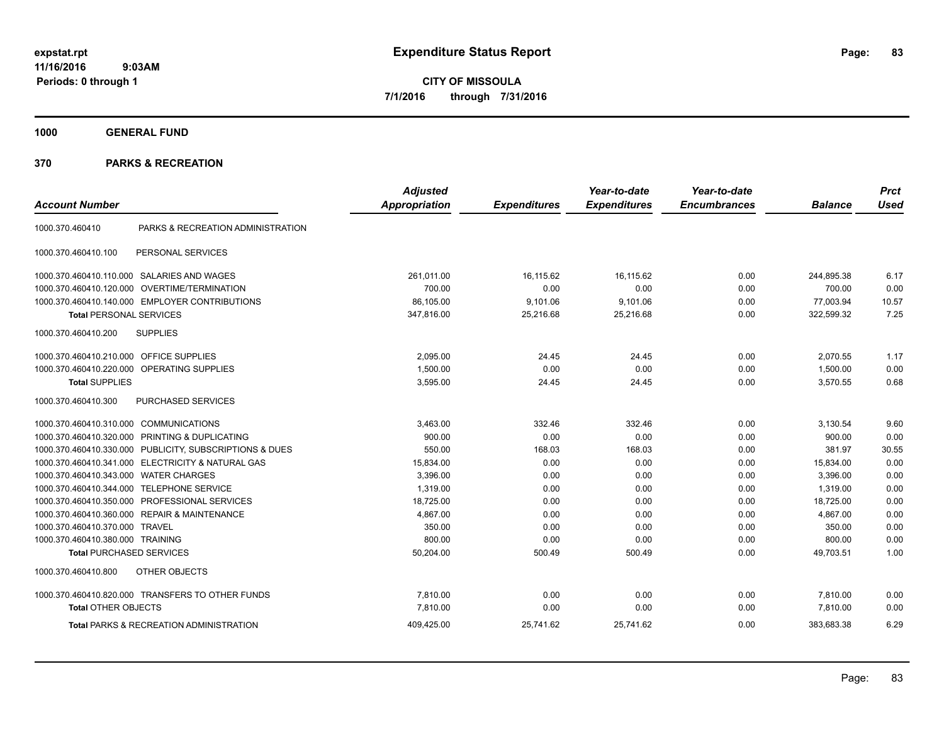**CITY OF MISSOULA 7/1/2016 through 7/31/2016**

**1000 GENERAL FUND**

| <b>Account Number</b>            |                                                         | <b>Adjusted</b><br><b>Appropriation</b> | <b>Expenditures</b> | Year-to-date<br><b>Expenditures</b> | Year-to-date<br><b>Encumbrances</b> | <b>Balance</b> | <b>Prct</b><br><b>Used</b> |
|----------------------------------|---------------------------------------------------------|-----------------------------------------|---------------------|-------------------------------------|-------------------------------------|----------------|----------------------------|
|                                  |                                                         |                                         |                     |                                     |                                     |                |                            |
| 1000.370.460410                  | PARKS & RECREATION ADMINISTRATION                       |                                         |                     |                                     |                                     |                |                            |
| 1000.370.460410.100              | PERSONAL SERVICES                                       |                                         |                     |                                     |                                     |                |                            |
|                                  | 1000.370.460410.110.000 SALARIES AND WAGES              | 261,011.00                              | 16,115.62           | 16,115.62                           | 0.00                                | 244,895.38     | 6.17                       |
| 1000.370.460410.120.000          | <b>OVERTIME/TERMINATION</b>                             | 700.00                                  | 0.00                | 0.00                                | 0.00                                | 700.00         | 0.00                       |
| 1000.370.460410.140.000          | <b>EMPLOYER CONTRIBUTIONS</b>                           | 86,105.00                               | 9,101.06            | 9,101.06                            | 0.00                                | 77,003.94      | 10.57                      |
| <b>Total PERSONAL SERVICES</b>   |                                                         | 347,816.00                              | 25,216.68           | 25,216.68                           | 0.00                                | 322,599.32     | 7.25                       |
| 1000.370.460410.200              | <b>SUPPLIES</b>                                         |                                         |                     |                                     |                                     |                |                            |
| 1000.370.460410.210.000          | <b>OFFICE SUPPLIES</b>                                  | 2,095.00                                | 24.45               | 24.45                               | 0.00                                | 2,070.55       | 1.17                       |
| 1000.370.460410.220.000          | OPERATING SUPPLIES                                      | 1,500.00                                | 0.00                | 0.00                                | 0.00                                | 1,500.00       | 0.00                       |
| <b>Total SUPPLIES</b>            |                                                         | 3,595.00                                | 24.45               | 24.45                               | 0.00                                | 3,570.55       | 0.68                       |
| 1000.370.460410.300              | PURCHASED SERVICES                                      |                                         |                     |                                     |                                     |                |                            |
| 1000.370.460410.310.000          | <b>COMMUNICATIONS</b>                                   | 3,463.00                                | 332.46              | 332.46                              | 0.00                                | 3,130.54       | 9.60                       |
|                                  | 1000.370.460410.320.000 PRINTING & DUPLICATING          | 900.00                                  | 0.00                | 0.00                                | 0.00                                | 900.00         | 0.00                       |
|                                  | 1000.370.460410.330.000 PUBLICITY, SUBSCRIPTIONS & DUES | 550.00                                  | 168.03              | 168.03                              | 0.00                                | 381.97         | 30.55                      |
| 1000.370.460410.341.000          | <b>ELECTRICITY &amp; NATURAL GAS</b>                    | 15,834.00                               | 0.00                | 0.00                                | 0.00                                | 15,834.00      | 0.00                       |
| 1000.370.460410.343.000          | <b>WATER CHARGES</b>                                    | 3,396.00                                | 0.00                | 0.00                                | 0.00                                | 3,396.00       | 0.00                       |
| 1000.370.460410.344.000          | <b>TELEPHONE SERVICE</b>                                | 1,319.00                                | 0.00                | 0.00                                | 0.00                                | 1,319.00       | 0.00                       |
| 1000.370.460410.350.000          | PROFESSIONAL SERVICES                                   | 18,725.00                               | 0.00                | 0.00                                | 0.00                                | 18,725.00      | 0.00                       |
| 1000.370.460410.360.000          | <b>REPAIR &amp; MAINTENANCE</b>                         | 4,867.00                                | 0.00                | 0.00                                | 0.00                                | 4,867.00       | 0.00                       |
| 1000.370.460410.370.000 TRAVEL   |                                                         | 350.00                                  | 0.00                | 0.00                                | 0.00                                | 350.00         | 0.00                       |
| 1000.370.460410.380.000 TRAINING |                                                         | 800.00                                  | 0.00                | 0.00                                | 0.00                                | 800.00         | 0.00                       |
| <b>Total PURCHASED SERVICES</b>  |                                                         | 50,204.00                               | 500.49              | 500.49                              | 0.00                                | 49.703.51      | 1.00                       |
| 1000.370.460410.800              | OTHER OBJECTS                                           |                                         |                     |                                     |                                     |                |                            |
|                                  | 1000.370.460410.820.000 TRANSFERS TO OTHER FUNDS        | 7,810.00                                | 0.00                | 0.00                                | 0.00                                | 7,810.00       | 0.00                       |
| <b>Total OTHER OBJECTS</b>       |                                                         | 7.810.00                                | 0.00                | 0.00                                | 0.00                                | 7,810.00       | 0.00                       |
|                                  | <b>Total PARKS &amp; RECREATION ADMINISTRATION</b>      | 409,425.00                              | 25.741.62           | 25,741.62                           | 0.00                                | 383.683.38     | 6.29                       |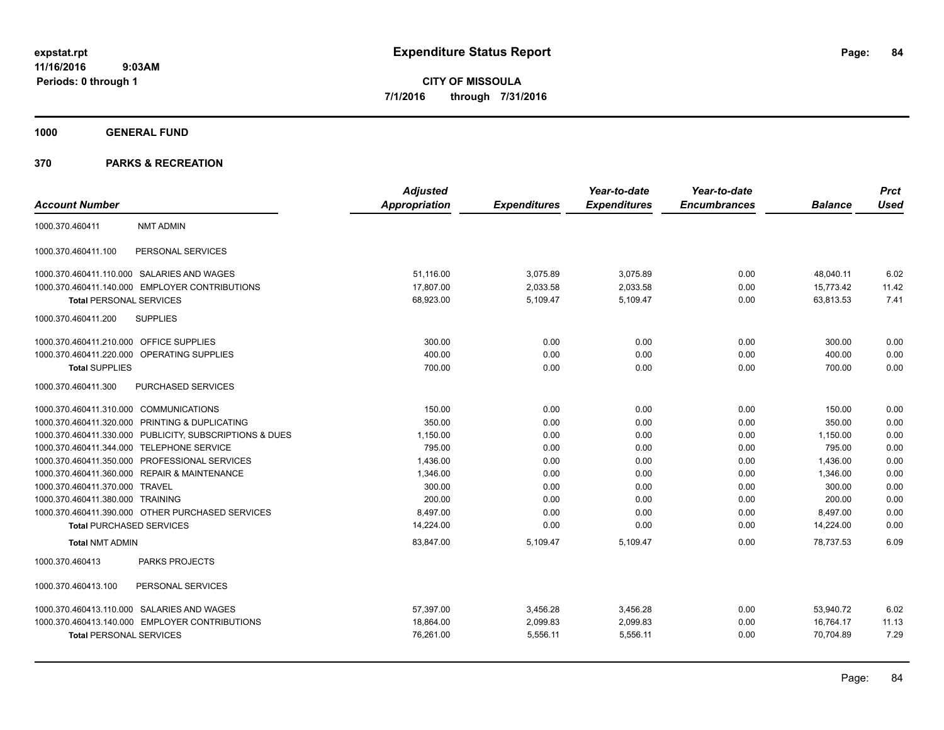**CITY OF MISSOULA 7/1/2016 through 7/31/2016**

**1000 GENERAL FUND**

| <b>Account Number</b>                                   | <b>Adjusted</b><br><b>Appropriation</b> | <b>Expenditures</b> | Year-to-date<br><b>Expenditures</b> | Year-to-date<br><b>Encumbrances</b> | <b>Balance</b> | <b>Prct</b><br><b>Used</b> |
|---------------------------------------------------------|-----------------------------------------|---------------------|-------------------------------------|-------------------------------------|----------------|----------------------------|
|                                                         |                                         |                     |                                     |                                     |                |                            |
| <b>NMT ADMIN</b><br>1000.370.460411                     |                                         |                     |                                     |                                     |                |                            |
| PERSONAL SERVICES<br>1000.370.460411.100                |                                         |                     |                                     |                                     |                |                            |
| 1000.370.460411.110.000 SALARIES AND WAGES              | 51,116.00                               | 3,075.89            | 3,075.89                            | 0.00                                | 48,040.11      | 6.02                       |
| 1000.370.460411.140.000 EMPLOYER CONTRIBUTIONS          | 17,807.00                               | 2,033.58            | 2,033.58                            | 0.00                                | 15,773.42      | 11.42                      |
| <b>Total PERSONAL SERVICES</b>                          | 68,923.00                               | 5,109.47            | 5,109.47                            | 0.00                                | 63,813.53      | 7.41                       |
| 1000.370.460411.200<br><b>SUPPLIES</b>                  |                                         |                     |                                     |                                     |                |                            |
| 1000.370.460411.210.000 OFFICE SUPPLIES                 | 300.00                                  | 0.00                | 0.00                                | 0.00                                | 300.00         | 0.00                       |
| OPERATING SUPPLIES<br>1000.370.460411.220.000           | 400.00                                  | 0.00                | 0.00                                | 0.00                                | 400.00         | 0.00                       |
| <b>Total SUPPLIES</b>                                   | 700.00                                  | 0.00                | 0.00                                | 0.00                                | 700.00         | 0.00                       |
| 1000.370.460411.300<br><b>PURCHASED SERVICES</b>        |                                         |                     |                                     |                                     |                |                            |
| 1000.370.460411.310.000 COMMUNICATIONS                  | 150.00                                  | 0.00                | 0.00                                | 0.00                                | 150.00         | 0.00                       |
| 1000.370.460411.320.000 PRINTING & DUPLICATING          | 350.00                                  | 0.00                | 0.00                                | 0.00                                | 350.00         | 0.00                       |
| 1000.370.460411.330.000 PUBLICITY, SUBSCRIPTIONS & DUES | 1,150.00                                | 0.00                | 0.00                                | 0.00                                | 1,150.00       | 0.00                       |
| 1000.370.460411.344.000 TELEPHONE SERVICE               | 795.00                                  | 0.00                | 0.00                                | 0.00                                | 795.00         | 0.00                       |
| 1000.370.460411.350.000 PROFESSIONAL SERVICES           | 1,436.00                                | 0.00                | 0.00                                | 0.00                                | 1,436.00       | 0.00                       |
| 1000.370.460411.360.000 REPAIR & MAINTENANCE            | 1,346.00                                | 0.00                | 0.00                                | 0.00                                | 1,346.00       | 0.00                       |
| 1000.370.460411.370.000 TRAVEL                          | 300.00                                  | 0.00                | 0.00                                | 0.00                                | 300.00         | 0.00                       |
| 1000.370.460411.380.000 TRAINING                        | 200.00                                  | 0.00                | 0.00                                | 0.00                                | 200.00         | 0.00                       |
| 1000.370.460411.390.000 OTHER PURCHASED SERVICES        | 8,497.00                                | 0.00                | 0.00                                | 0.00                                | 8,497.00       | 0.00                       |
| <b>Total PURCHASED SERVICES</b>                         | 14,224.00                               | 0.00                | 0.00                                | 0.00                                | 14,224.00      | 0.00                       |
| <b>Total NMT ADMIN</b>                                  | 83,847.00                               | 5,109.47            | 5,109.47                            | 0.00                                | 78.737.53      | 6.09                       |
| PARKS PROJECTS<br>1000.370.460413                       |                                         |                     |                                     |                                     |                |                            |
| 1000.370.460413.100<br>PERSONAL SERVICES                |                                         |                     |                                     |                                     |                |                            |
| 1000.370.460413.110.000 SALARIES AND WAGES              | 57.397.00                               | 3,456.28            | 3,456.28                            | 0.00                                | 53,940.72      | 6.02                       |
| 1000.370.460413.140.000 EMPLOYER CONTRIBUTIONS          | 18,864.00                               | 2,099.83            | 2,099.83                            | 0.00                                | 16,764.17      | 11.13                      |
| <b>Total PERSONAL SERVICES</b>                          | 76,261.00                               | 5,556.11            | 5,556.11                            | 0.00                                | 70,704.89      | 7.29                       |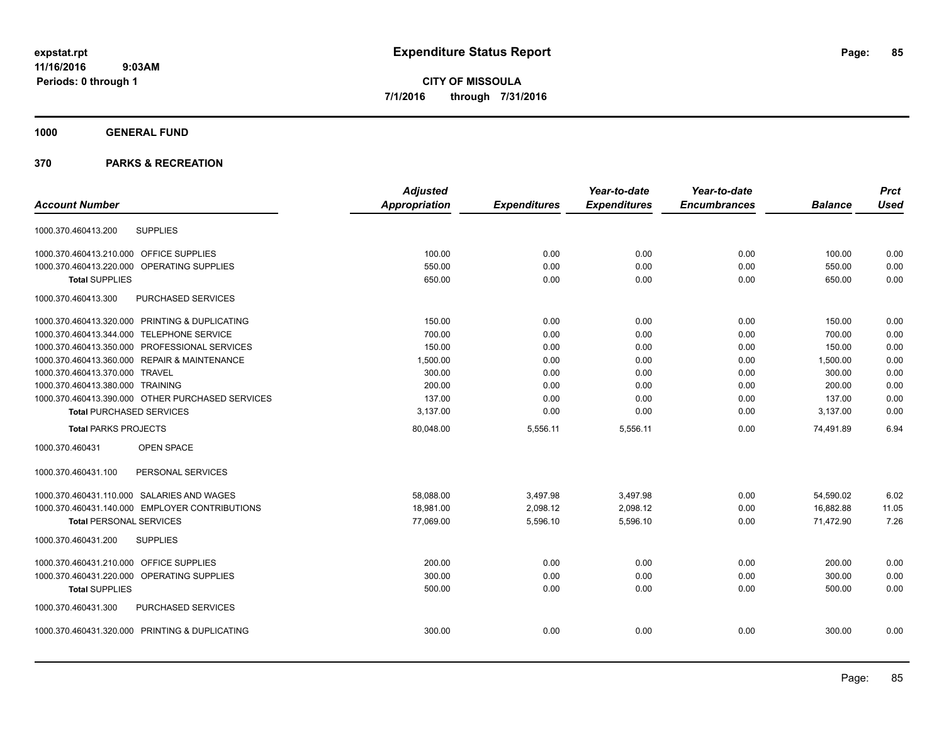**CITY OF MISSOULA 7/1/2016 through 7/31/2016**

## **1000 GENERAL FUND**

|                                                  | <b>Adjusted</b>      |                     | Year-to-date        | Year-to-date        |                | <b>Prct</b> |
|--------------------------------------------------|----------------------|---------------------|---------------------|---------------------|----------------|-------------|
| <b>Account Number</b>                            | <b>Appropriation</b> | <b>Expenditures</b> | <b>Expenditures</b> | <b>Encumbrances</b> | <b>Balance</b> | <b>Used</b> |
| <b>SUPPLIES</b><br>1000.370.460413.200           |                      |                     |                     |                     |                |             |
| 1000.370.460413.210.000 OFFICE SUPPLIES          | 100.00               | 0.00                | 0.00                | 0.00                | 100.00         | 0.00        |
| 1000.370.460413.220.000 OPERATING SUPPLIES       | 550.00               | 0.00                | 0.00                | 0.00                | 550.00         | 0.00        |
| <b>Total SUPPLIES</b>                            | 650.00               | 0.00                | 0.00                | 0.00                | 650.00         | 0.00        |
| PURCHASED SERVICES<br>1000.370.460413.300        |                      |                     |                     |                     |                |             |
| 1000.370.460413.320.000 PRINTING & DUPLICATING   | 150.00               | 0.00                | 0.00                | 0.00                | 150.00         | 0.00        |
| 1000.370.460413.344.000 TELEPHONE SERVICE        | 700.00               | 0.00                | 0.00                | 0.00                | 700.00         | 0.00        |
| 1000.370.460413.350.000 PROFESSIONAL SERVICES    | 150.00               | 0.00                | 0.00                | 0.00                | 150.00         | 0.00        |
| 1000.370.460413.360.000 REPAIR & MAINTENANCE     | 1,500.00             | 0.00                | 0.00                | 0.00                | 1,500.00       | 0.00        |
| 1000.370.460413.370.000 TRAVEL                   | 300.00               | 0.00                | 0.00                | 0.00                | 300.00         | 0.00        |
| 1000.370.460413.380.000 TRAINING                 | 200.00               | 0.00                | 0.00                | 0.00                | 200.00         | 0.00        |
| 1000.370.460413.390.000 OTHER PURCHASED SERVICES | 137.00               | 0.00                | 0.00                | 0.00                | 137.00         | 0.00        |
| <b>Total PURCHASED SERVICES</b>                  | 3,137.00             | 0.00                | 0.00                | 0.00                | 3,137.00       | 0.00        |
| <b>Total PARKS PROJECTS</b>                      | 80,048.00            | 5,556.11            | 5,556.11            | 0.00                | 74,491.89      | 6.94        |
| 1000.370.460431<br>OPEN SPACE                    |                      |                     |                     |                     |                |             |
| 1000.370.460431.100<br>PERSONAL SERVICES         |                      |                     |                     |                     |                |             |
| 1000.370.460431.110.000 SALARIES AND WAGES       | 58,088.00            | 3,497.98            | 3,497.98            | 0.00                | 54,590.02      | 6.02        |
| 1000.370.460431.140.000 EMPLOYER CONTRIBUTIONS   | 18,981.00            | 2,098.12            | 2,098.12            | 0.00                | 16,882.88      | 11.05       |
| <b>Total PERSONAL SERVICES</b>                   | 77,069.00            | 5,596.10            | 5,596.10            | 0.00                | 71,472.90      | 7.26        |
| 1000.370.460431.200<br><b>SUPPLIES</b>           |                      |                     |                     |                     |                |             |
| 1000.370.460431.210.000 OFFICE SUPPLIES          | 200.00               | 0.00                | 0.00                | 0.00                | 200.00         | 0.00        |
| 1000.370.460431.220.000 OPERATING SUPPLIES       | 300.00               | 0.00                | 0.00                | 0.00                | 300.00         | 0.00        |
| <b>Total SUPPLIES</b>                            | 500.00               | 0.00                | 0.00                | 0.00                | 500.00         | 0.00        |
| PURCHASED SERVICES<br>1000.370.460431.300        |                      |                     |                     |                     |                |             |
| 1000.370.460431.320.000 PRINTING & DUPLICATING   | 300.00               | 0.00                | 0.00                | 0.00                | 300.00         | 0.00        |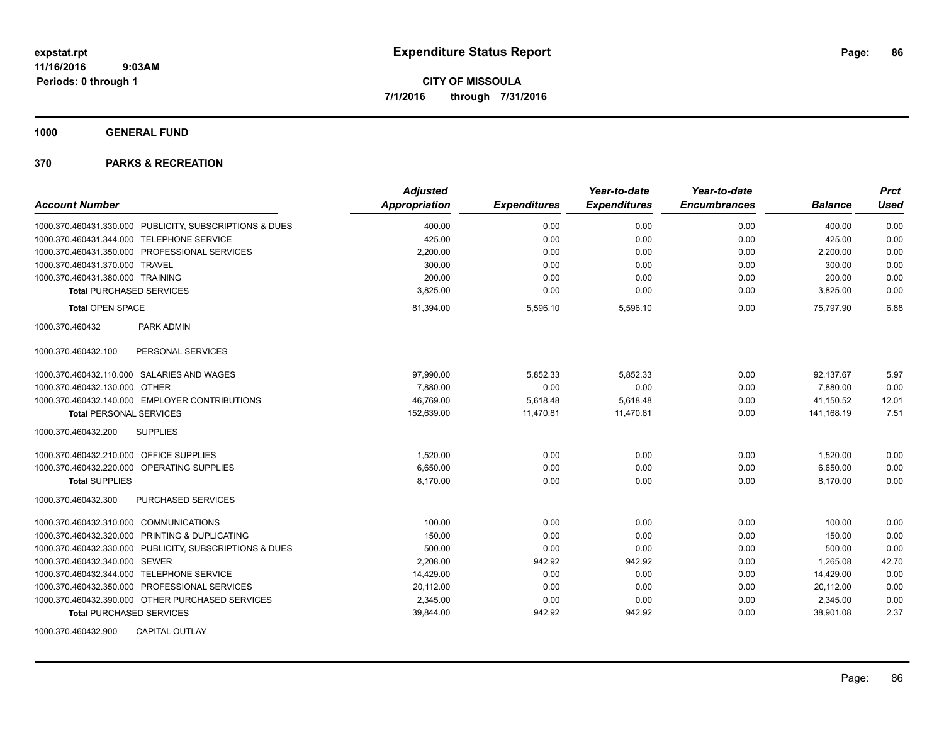**1000 GENERAL FUND**

|                                                         | <b>Adjusted</b> |                     | Year-to-date        | Year-to-date        |                | <b>Prct</b> |
|---------------------------------------------------------|-----------------|---------------------|---------------------|---------------------|----------------|-------------|
| <b>Account Number</b>                                   | Appropriation   | <b>Expenditures</b> | <b>Expenditures</b> | <b>Encumbrances</b> | <b>Balance</b> | <b>Used</b> |
| 1000.370.460431.330.000 PUBLICITY, SUBSCRIPTIONS & DUES | 400.00          | 0.00                | 0.00                | 0.00                | 400.00         | 0.00        |
| 1000.370.460431.344.000 TELEPHONE SERVICE               | 425.00          | 0.00                | 0.00                | 0.00                | 425.00         | 0.00        |
| 1000.370.460431.350.000 PROFESSIONAL SERVICES           | 2,200.00        | 0.00                | 0.00                | 0.00                | 2,200.00       | 0.00        |
| 1000.370.460431.370.000 TRAVEL                          | 300.00          | 0.00                | 0.00                | 0.00                | 300.00         | 0.00        |
| 1000.370.460431.380.000 TRAINING                        | 200.00          | 0.00                | 0.00                | 0.00                | 200.00         | 0.00        |
| <b>Total PURCHASED SERVICES</b>                         | 3,825.00        | 0.00                | 0.00                | 0.00                | 3,825.00       | 0.00        |
| <b>Total OPEN SPACE</b>                                 | 81,394.00       | 5,596.10            | 5,596.10            | 0.00                | 75,797.90      | 6.88        |
| 1000.370.460432<br>PARK ADMIN                           |                 |                     |                     |                     |                |             |
| PERSONAL SERVICES<br>1000.370.460432.100                |                 |                     |                     |                     |                |             |
| 1000.370.460432.110.000 SALARIES AND WAGES              | 97,990.00       | 5,852.33            | 5,852.33            | 0.00                | 92,137.67      | 5.97        |
| 1000.370.460432.130.000 OTHER                           | 7.880.00        | 0.00                | 0.00                | 0.00                | 7,880.00       | 0.00        |
| 1000.370.460432.140.000 EMPLOYER CONTRIBUTIONS          | 46,769.00       | 5,618.48            | 5,618.48            | 0.00                | 41,150.52      | 12.01       |
| <b>Total PERSONAL SERVICES</b>                          | 152,639.00      | 11,470.81           | 11,470.81           | 0.00                | 141,168.19     | 7.51        |
| <b>SUPPLIES</b><br>1000.370.460432.200                  |                 |                     |                     |                     |                |             |
| 1000.370.460432.210.000 OFFICE SUPPLIES                 | 1.520.00        | 0.00                | 0.00                | 0.00                | 1,520.00       | 0.00        |
| 1000.370.460432.220.000 OPERATING SUPPLIES              | 6,650.00        | 0.00                | 0.00                | 0.00                | 6,650.00       | 0.00        |
| <b>Total SUPPLIES</b>                                   | 8.170.00        | 0.00                | 0.00                | 0.00                | 8,170.00       | 0.00        |
| PURCHASED SERVICES<br>1000.370.460432.300               |                 |                     |                     |                     |                |             |
| 1000.370.460432.310.000 COMMUNICATIONS                  | 100.00          | 0.00                | 0.00                | 0.00                | 100.00         | 0.00        |
| 1000.370.460432.320.000 PRINTING & DUPLICATING          | 150.00          | 0.00                | 0.00                | 0.00                | 150.00         | 0.00        |
| 1000.370.460432.330.000 PUBLICITY, SUBSCRIPTIONS & DUES | 500.00          | 0.00                | 0.00                | 0.00                | 500.00         | 0.00        |
| 1000.370.460432.340.000 SEWER                           | 2,208.00        | 942.92              | 942.92              | 0.00                | 1.265.08       | 42.70       |
| 1000.370.460432.344.000 TELEPHONE SERVICE               | 14,429.00       | 0.00                | 0.00                | 0.00                | 14,429.00      | 0.00        |
| 1000.370.460432.350.000 PROFESSIONAL SERVICES           | 20,112.00       | 0.00                | 0.00                | 0.00                | 20,112.00      | 0.00        |
| 1000.370.460432.390.000 OTHER PURCHASED SERVICES        | 2,345.00        | 0.00                | 0.00                | 0.00                | 2,345.00       | 0.00        |
| <b>Total PURCHASED SERVICES</b>                         | 39,844.00       | 942.92              | 942.92              | 0.00                | 38,901.08      | 2.37        |
| 1000.370.460432.900<br><b>CAPITAL OUTLAY</b>            |                 |                     |                     |                     |                |             |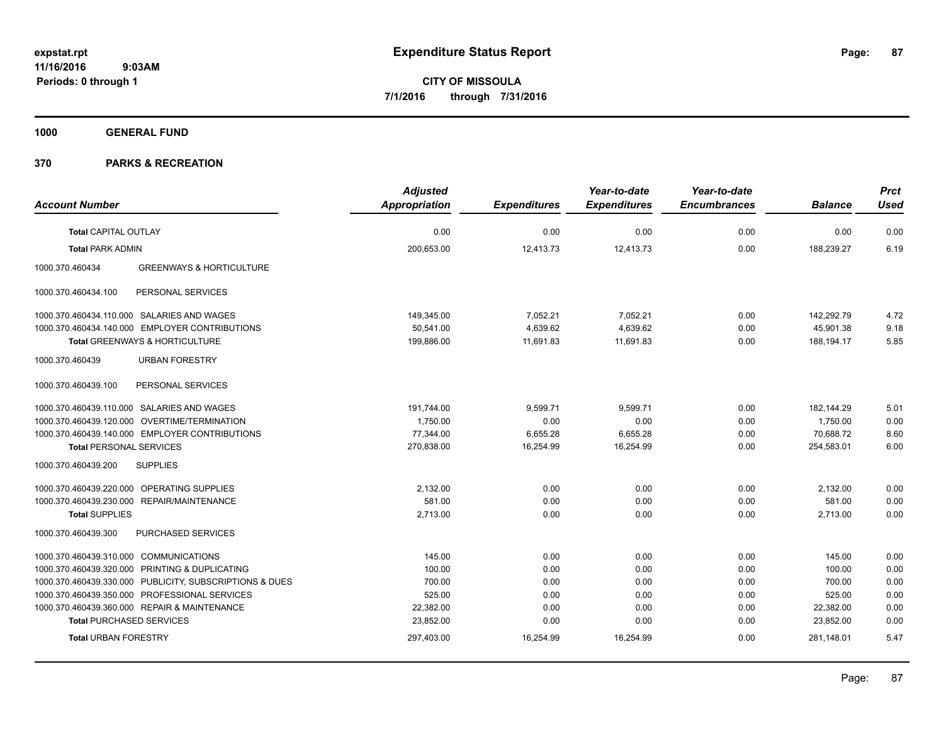**1000 GENERAL FUND**

|                                                         | <b>Adjusted</b>      |                     | Year-to-date        | Year-to-date        |                | <b>Prct</b> |
|---------------------------------------------------------|----------------------|---------------------|---------------------|---------------------|----------------|-------------|
| <b>Account Number</b>                                   | <b>Appropriation</b> | <b>Expenditures</b> | <b>Expenditures</b> | <b>Encumbrances</b> | <b>Balance</b> | <b>Used</b> |
| <b>Total CAPITAL OUTLAY</b>                             | 0.00                 | 0.00                | 0.00                | 0.00                | 0.00           | 0.00        |
| <b>Total PARK ADMIN</b>                                 | 200,653.00           | 12,413.73           | 12,413.73           | 0.00                | 188,239.27     | 6.19        |
| 1000.370.460434<br><b>GREENWAYS &amp; HORTICULTURE</b>  |                      |                     |                     |                     |                |             |
| PERSONAL SERVICES<br>1000.370.460434.100                |                      |                     |                     |                     |                |             |
| 1000.370.460434.110.000 SALARIES AND WAGES              | 149,345.00           | 7,052.21            | 7,052.21            | 0.00                | 142,292.79     | 4.72        |
| 1000.370.460434.140.000 EMPLOYER CONTRIBUTIONS          | 50,541.00            | 4,639.62            | 4,639.62            | 0.00                | 45,901.38      | 9.18        |
| <b>Total GREENWAYS &amp; HORTICULTURE</b>               | 199,886.00           | 11,691.83           | 11,691.83           | 0.00                | 188,194.17     | 5.85        |
| <b>URBAN FORESTRY</b><br>1000.370.460439                |                      |                     |                     |                     |                |             |
| PERSONAL SERVICES<br>1000.370.460439.100                |                      |                     |                     |                     |                |             |
| 1000.370.460439.110.000 SALARIES AND WAGES              | 191,744.00           | 9,599.71            | 9,599.71            | 0.00                | 182,144.29     | 5.01        |
| 1000.370.460439.120.000 OVERTIME/TERMINATION            | 1,750.00             | 0.00                | 0.00                | 0.00                | 1,750.00       | 0.00        |
| 1000.370.460439.140.000 EMPLOYER CONTRIBUTIONS          | 77,344.00            | 6,655.28            | 6,655.28            | 0.00                | 70,688.72      | 8.60        |
| <b>Total PERSONAL SERVICES</b>                          | 270,838.00           | 16,254.99           | 16,254.99           | 0.00                | 254,583.01     | 6.00        |
| <b>SUPPLIES</b><br>1000.370.460439.200                  |                      |                     |                     |                     |                |             |
| 1000.370.460439.220.000 OPERATING SUPPLIES              | 2,132.00             | 0.00                | 0.00                | 0.00                | 2,132.00       | 0.00        |
| 1000.370.460439.230.000 REPAIR/MAINTENANCE              | 581.00               | 0.00                | 0.00                | 0.00                | 581.00         | 0.00        |
| <b>Total SUPPLIES</b>                                   | 2,713.00             | 0.00                | 0.00                | 0.00                | 2,713.00       | 0.00        |
| PURCHASED SERVICES<br>1000.370.460439.300               |                      |                     |                     |                     |                |             |
| 1000.370.460439.310.000 COMMUNICATIONS                  | 145.00               | 0.00                | 0.00                | 0.00                | 145.00         | 0.00        |
| 1000.370.460439.320.000 PRINTING & DUPLICATING          | 100.00               | 0.00                | 0.00                | 0.00                | 100.00         | 0.00        |
| 1000.370.460439.330.000 PUBLICITY, SUBSCRIPTIONS & DUES | 700.00               | 0.00                | 0.00                | 0.00                | 700.00         | 0.00        |
| 1000.370.460439.350.000 PROFESSIONAL SERVICES           | 525.00               | 0.00                | 0.00                | 0.00                | 525.00         | 0.00        |
| 1000.370.460439.360.000 REPAIR & MAINTENANCE            | 22,382.00            | 0.00                | 0.00                | 0.00                | 22,382.00      | 0.00        |
| <b>Total PURCHASED SERVICES</b>                         | 23,852.00            | 0.00                | 0.00                | 0.00                | 23,852.00      | 0.00        |
| <b>Total URBAN FORESTRY</b>                             | 297,403.00           | 16,254.99           | 16,254.99           | 0.00                | 281,148.01     | 5.47        |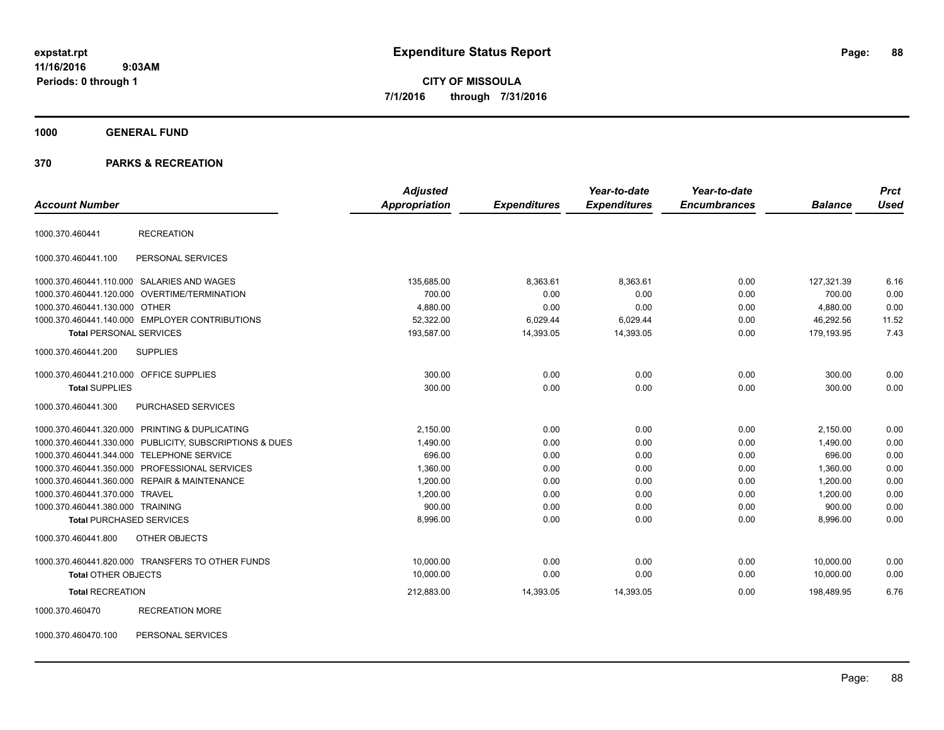**CITY OF MISSOULA 7/1/2016 through 7/31/2016**

**1000 GENERAL FUND**

#### **370 PARKS & RECREATION**

|                                         |                                                         | <b>Adjusted</b>      |                     | Year-to-date        | Year-to-date        |                | <b>Prct</b> |
|-----------------------------------------|---------------------------------------------------------|----------------------|---------------------|---------------------|---------------------|----------------|-------------|
| <b>Account Number</b>                   |                                                         | <b>Appropriation</b> | <b>Expenditures</b> | <b>Expenditures</b> | <b>Encumbrances</b> | <b>Balance</b> | <b>Used</b> |
| 1000.370.460441                         | <b>RECREATION</b>                                       |                      |                     |                     |                     |                |             |
| 1000.370.460441.100                     | PERSONAL SERVICES                                       |                      |                     |                     |                     |                |             |
|                                         | 1000.370.460441.110.000 SALARIES AND WAGES              | 135,685.00           | 8,363.61            | 8,363.61            | 0.00                | 127,321.39     | 6.16        |
|                                         | 1000.370.460441.120.000 OVERTIME/TERMINATION            | 700.00               | 0.00                | 0.00                | 0.00                | 700.00         | 0.00        |
| 1000.370.460441.130.000 OTHER           |                                                         | 4,880.00             | 0.00                | 0.00                | 0.00                | 4,880.00       | 0.00        |
|                                         | 1000.370.460441.140.000 EMPLOYER CONTRIBUTIONS          | 52,322.00            | 6,029.44            | 6,029.44            | 0.00                | 46,292.56      | 11.52       |
| <b>Total PERSONAL SERVICES</b>          |                                                         | 193,587.00           | 14,393.05           | 14,393.05           | 0.00                | 179,193.95     | 7.43        |
| 1000.370.460441.200                     | <b>SUPPLIES</b>                                         |                      |                     |                     |                     |                |             |
| 1000.370.460441.210.000 OFFICE SUPPLIES |                                                         | 300.00               | 0.00                | 0.00                | 0.00                | 300.00         | 0.00        |
| <b>Total SUPPLIES</b>                   |                                                         | 300.00               | 0.00                | 0.00                | 0.00                | 300.00         | 0.00        |
| 1000.370.460441.300                     | PURCHASED SERVICES                                      |                      |                     |                     |                     |                |             |
|                                         | 1000.370.460441.320.000 PRINTING & DUPLICATING          | 2,150.00             | 0.00                | 0.00                | 0.00                | 2,150.00       | 0.00        |
|                                         | 1000.370.460441.330.000 PUBLICITY, SUBSCRIPTIONS & DUES | 1,490.00             | 0.00                | 0.00                | 0.00                | 1,490.00       | 0.00        |
|                                         | 1000.370.460441.344.000 TELEPHONE SERVICE               | 696.00               | 0.00                | 0.00                | 0.00                | 696.00         | 0.00        |
|                                         | 1000.370.460441.350.000 PROFESSIONAL SERVICES           | 1,360.00             | 0.00                | 0.00                | 0.00                | 1.360.00       | 0.00        |
|                                         | 1000.370.460441.360.000 REPAIR & MAINTENANCE            | 1,200.00             | 0.00                | 0.00                | 0.00                | 1,200.00       | 0.00        |
| 1000.370.460441.370.000 TRAVEL          |                                                         | 1,200.00             | 0.00                | 0.00                | 0.00                | 1,200.00       | 0.00        |
| 1000.370.460441.380.000 TRAINING        |                                                         | 900.00               | 0.00                | 0.00                | 0.00                | 900.00         | 0.00        |
| <b>Total PURCHASED SERVICES</b>         |                                                         | 8,996.00             | 0.00                | 0.00                | 0.00                | 8,996.00       | 0.00        |
| 1000.370.460441.800                     | OTHER OBJECTS                                           |                      |                     |                     |                     |                |             |
|                                         | 1000.370.460441.820.000 TRANSFERS TO OTHER FUNDS        | 10,000.00            | 0.00                | 0.00                | 0.00                | 10,000.00      | 0.00        |
| <b>Total OTHER OBJECTS</b>              |                                                         | 10,000.00            | 0.00                | 0.00                | 0.00                | 10.000.00      | 0.00        |
| <b>Total RECREATION</b>                 |                                                         | 212,883.00           | 14,393.05           | 14,393.05           | 0.00                | 198,489.95     | 6.76        |
| 1000.370.460470                         | <b>RECREATION MORE</b>                                  |                      |                     |                     |                     |                |             |

1000.370.460470.100 PERSONAL SERVICES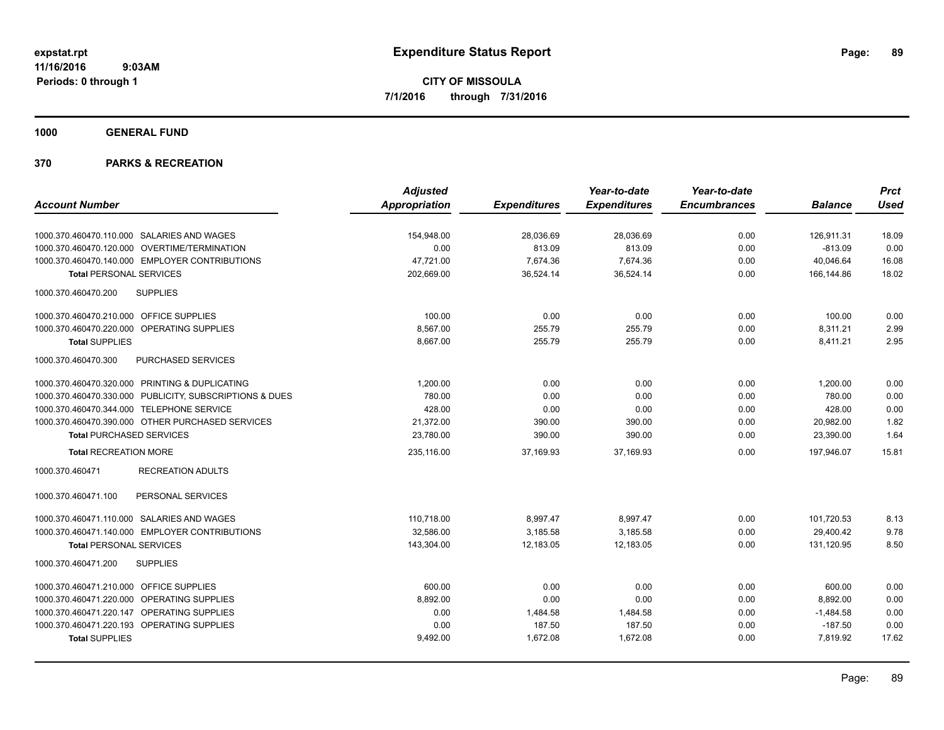**1000 GENERAL FUND**

|                                                         | <b>Adjusted</b>      |                     | Year-to-date        | Year-to-date        |                | <b>Prct</b> |
|---------------------------------------------------------|----------------------|---------------------|---------------------|---------------------|----------------|-------------|
| <b>Account Number</b>                                   | <b>Appropriation</b> | <b>Expenditures</b> | <b>Expenditures</b> | <b>Encumbrances</b> | <b>Balance</b> | <b>Used</b> |
|                                                         |                      |                     |                     |                     |                |             |
| 1000.370.460470.110.000 SALARIES AND WAGES              | 154,948.00           | 28,036.69           | 28,036.69           | 0.00                | 126,911.31     | 18.09       |
| 1000.370.460470.120.000 OVERTIME/TERMINATION            | 0.00                 | 813.09              | 813.09              | 0.00                | $-813.09$      | 0.00        |
| 1000.370.460470.140.000 EMPLOYER CONTRIBUTIONS          | 47,721.00            | 7,674.36            | 7,674.36            | 0.00                | 40,046.64      | 16.08       |
| <b>Total PERSONAL SERVICES</b>                          | 202,669.00           | 36,524.14           | 36,524.14           | 0.00                | 166,144.86     | 18.02       |
| 1000.370.460470.200<br><b>SUPPLIES</b>                  |                      |                     |                     |                     |                |             |
| 1000.370.460470.210.000 OFFICE SUPPLIES                 | 100.00               | 0.00                | 0.00                | 0.00                | 100.00         | 0.00        |
| 1000.370.460470.220.000 OPERATING SUPPLIES              | 8.567.00             | 255.79              | 255.79              | 0.00                | 8,311.21       | 2.99        |
| <b>Total SUPPLIES</b>                                   | 8.667.00             | 255.79              | 255.79              | 0.00                | 8,411.21       | 2.95        |
| 1000.370.460470.300<br>PURCHASED SERVICES               |                      |                     |                     |                     |                |             |
| 1000.370.460470.320.000 PRINTING & DUPLICATING          | 1,200.00             | 0.00                | 0.00                | 0.00                | 1,200.00       | 0.00        |
| 1000.370.460470.330.000 PUBLICITY, SUBSCRIPTIONS & DUES | 780.00               | 0.00                | 0.00                | 0.00                | 780.00         | 0.00        |
| 1000.370.460470.344.000 TELEPHONE SERVICE               | 428.00               | 0.00                | 0.00                | 0.00                | 428.00         | 0.00        |
| 1000.370.460470.390.000 OTHER PURCHASED SERVICES        | 21,372.00            | 390.00              | 390.00              | 0.00                | 20,982.00      | 1.82        |
| <b>Total PURCHASED SERVICES</b>                         | 23,780.00            | 390.00              | 390.00              | 0.00                | 23,390.00      | 1.64        |
| <b>Total RECREATION MORE</b>                            | 235,116.00           | 37,169.93           | 37,169.93           | 0.00                | 197,946.07     | 15.81       |
| <b>RECREATION ADULTS</b><br>1000.370.460471             |                      |                     |                     |                     |                |             |
| 1000.370.460471.100<br>PERSONAL SERVICES                |                      |                     |                     |                     |                |             |
| 1000.370.460471.110.000 SALARIES AND WAGES              | 110,718.00           | 8,997.47            | 8,997.47            | 0.00                | 101,720.53     | 8.13        |
| 1000.370.460471.140.000 EMPLOYER CONTRIBUTIONS          | 32,586.00            | 3,185.58            | 3,185.58            | 0.00                | 29,400.42      | 9.78        |
| <b>Total PERSONAL SERVICES</b>                          | 143,304.00           | 12,183.05           | 12.183.05           | 0.00                | 131.120.95     | 8.50        |
| 1000.370.460471.200<br><b>SUPPLIES</b>                  |                      |                     |                     |                     |                |             |
| 1000.370.460471.210.000 OFFICE SUPPLIES                 | 600.00               | 0.00                | 0.00                | 0.00                | 600.00         | 0.00        |
| 1000.370.460471.220.000 OPERATING SUPPLIES              | 8,892.00             | 0.00                | 0.00                | 0.00                | 8,892.00       | 0.00        |
| 1000.370.460471.220.147 OPERATING SUPPLIES              | 0.00                 | 1,484.58            | 1,484.58            | 0.00                | $-1,484.58$    | 0.00        |
| 1000.370.460471.220.193 OPERATING SUPPLIES              | 0.00                 | 187.50              | 187.50              | 0.00                | $-187.50$      | 0.00        |
| <b>Total SUPPLIES</b>                                   | 9,492.00             | 1,672.08            | 1,672.08            | 0.00                | 7,819.92       | 17.62       |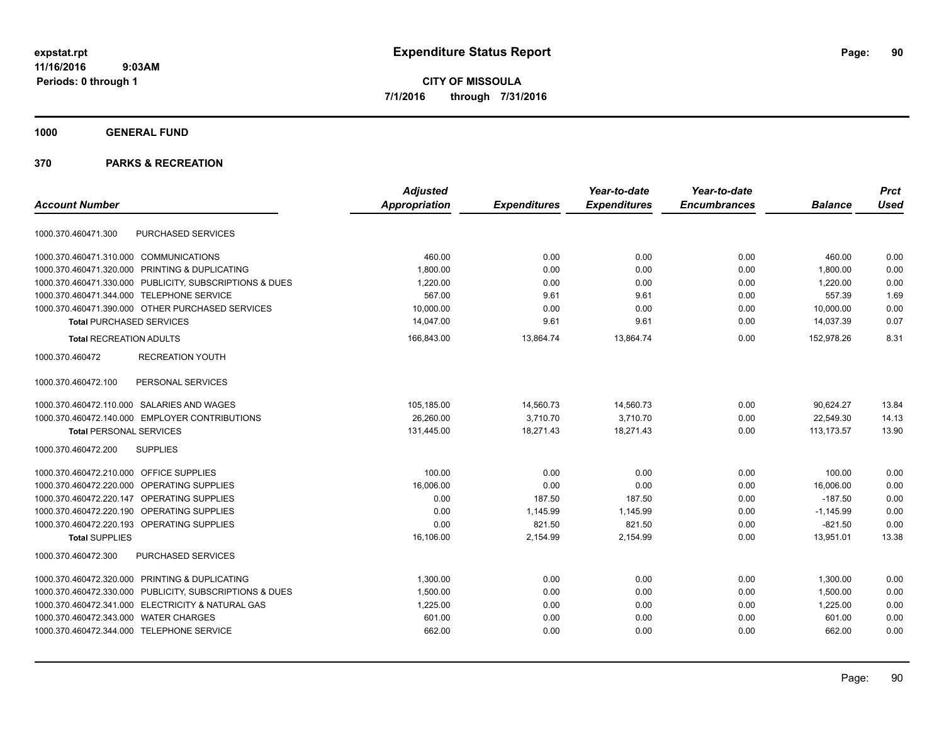**CITY OF MISSOULA 7/1/2016 through 7/31/2016**

**1000 GENERAL FUND**

| <b>Account Number</b>                                   | <b>Adjusted</b><br><b>Appropriation</b> | <b>Expenditures</b> | Year-to-date<br><b>Expenditures</b> | Year-to-date<br><b>Encumbrances</b> | <b>Balance</b> | <b>Prct</b><br><b>Used</b> |
|---------------------------------------------------------|-----------------------------------------|---------------------|-------------------------------------|-------------------------------------|----------------|----------------------------|
|                                                         |                                         |                     |                                     |                                     |                |                            |
| PURCHASED SERVICES<br>1000.370.460471.300               |                                         |                     |                                     |                                     |                |                            |
| 1000.370.460471.310.000 COMMUNICATIONS                  | 460.00                                  | 0.00                | 0.00                                | 0.00                                | 460.00         | 0.00                       |
| 1000.370.460471.320.000 PRINTING & DUPLICATING          | 1,800.00                                | 0.00                | 0.00                                | 0.00                                | 1,800.00       | 0.00                       |
| 1000.370.460471.330.000 PUBLICITY, SUBSCRIPTIONS & DUES | 1,220.00                                | 0.00                | 0.00                                | 0.00                                | 1,220.00       | 0.00                       |
| 1000.370.460471.344.000 TELEPHONE SERVICE               | 567.00                                  | 9.61                | 9.61                                | 0.00                                | 557.39         | 1.69                       |
| 1000.370.460471.390.000 OTHER PURCHASED SERVICES        | 10,000.00                               | 0.00                | 0.00                                | 0.00                                | 10,000.00      | 0.00                       |
| <b>Total PURCHASED SERVICES</b>                         | 14,047.00                               | 9.61                | 9.61                                | 0.00                                | 14,037.39      | 0.07                       |
| <b>Total RECREATION ADULTS</b>                          | 166,843.00                              | 13,864.74           | 13,864.74                           | 0.00                                | 152,978.26     | 8.31                       |
| <b>RECREATION YOUTH</b><br>1000.370.460472              |                                         |                     |                                     |                                     |                |                            |
| PERSONAL SERVICES<br>1000.370.460472.100                |                                         |                     |                                     |                                     |                |                            |
| 1000.370.460472.110.000 SALARIES AND WAGES              | 105,185.00                              | 14,560.73           | 14,560.73                           | 0.00                                | 90,624.27      | 13.84                      |
| 1000.370.460472.140.000 EMPLOYER CONTRIBUTIONS          | 26,260.00                               | 3,710.70            | 3,710.70                            | 0.00                                | 22,549.30      | 14.13                      |
| <b>Total PERSONAL SERVICES</b>                          | 131,445.00                              | 18,271.43           | 18,271.43                           | 0.00                                | 113,173.57     | 13.90                      |
| <b>SUPPLIES</b><br>1000.370.460472.200                  |                                         |                     |                                     |                                     |                |                            |
| 1000.370.460472.210.000 OFFICE SUPPLIES                 | 100.00                                  | 0.00                | 0.00                                | 0.00                                | 100.00         | 0.00                       |
| 1000.370.460472.220.000 OPERATING SUPPLIES              | 16,006.00                               | 0.00                | 0.00                                | 0.00                                | 16,006.00      | 0.00                       |
| 1000.370.460472.220.147 OPERATING SUPPLIES              | 0.00                                    | 187.50              | 187.50                              | 0.00                                | $-187.50$      | 0.00                       |
| 1000.370.460472.220.190 OPERATING SUPPLIES              | 0.00                                    | 1,145.99            | 1,145.99                            | 0.00                                | $-1,145.99$    | 0.00                       |
| 1000.370.460472.220.193 OPERATING SUPPLIES              | 0.00                                    | 821.50              | 821.50                              | 0.00                                | $-821.50$      | 0.00                       |
| <b>Total SUPPLIES</b>                                   | 16,106.00                               | 2,154.99            | 2,154.99                            | 0.00                                | 13,951.01      | 13.38                      |
| 1000.370.460472.300<br><b>PURCHASED SERVICES</b>        |                                         |                     |                                     |                                     |                |                            |
| 1000.370.460472.320.000 PRINTING & DUPLICATING          | 1,300.00                                | 0.00                | 0.00                                | 0.00                                | 1,300.00       | 0.00                       |
| 1000.370.460472.330.000 PUBLICITY, SUBSCRIPTIONS & DUES | 1,500.00                                | 0.00                | 0.00                                | 0.00                                | 1,500.00       | 0.00                       |
| 1000.370.460472.341.000 ELECTRICITY & NATURAL GAS       | 1,225.00                                | 0.00                | 0.00                                | 0.00                                | 1,225.00       | 0.00                       |
| 1000.370.460472.343.000 WATER CHARGES                   | 601.00                                  | 0.00                | 0.00                                | 0.00                                | 601.00         | 0.00                       |
| 1000.370.460472.344.000 TELEPHONE SERVICE               | 662.00                                  | 0.00                | 0.00                                | 0.00                                | 662.00         | 0.00                       |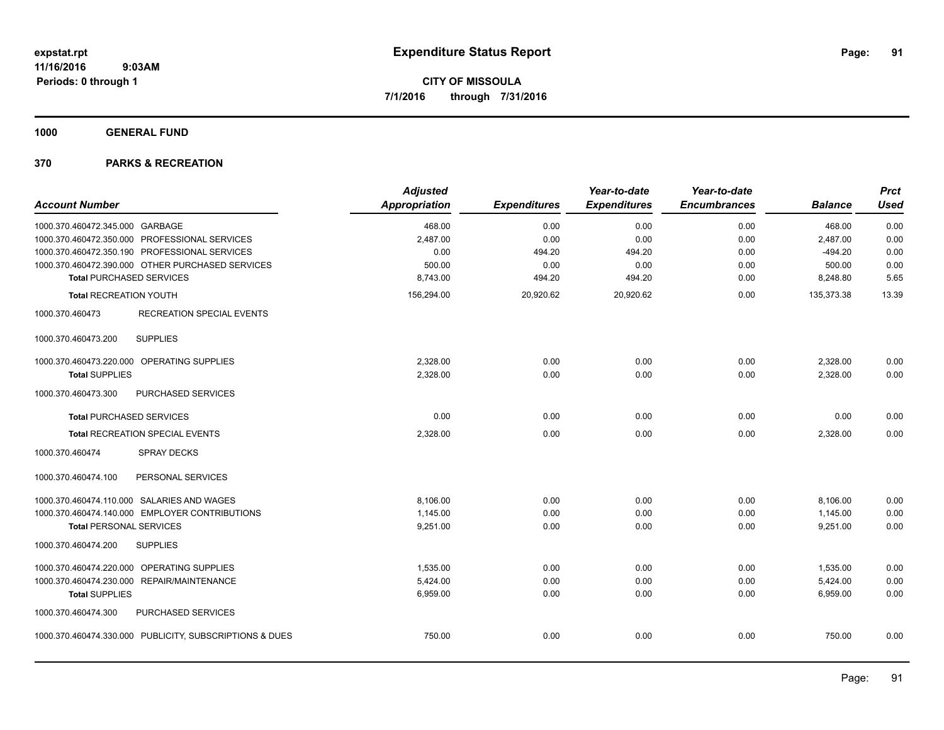**1000 GENERAL FUND**

| <b>Account Number</b>                                   | <b>Adjusted</b><br>Appropriation | <b>Expenditures</b> | Year-to-date<br><b>Expenditures</b> | Year-to-date<br><b>Encumbrances</b> | <b>Balance</b> | <b>Prct</b><br><b>Used</b> |
|---------------------------------------------------------|----------------------------------|---------------------|-------------------------------------|-------------------------------------|----------------|----------------------------|
| 1000.370.460472.345.000 GARBAGE                         | 468.00                           | 0.00                | 0.00                                | 0.00                                | 468.00         | 0.00                       |
| 1000.370.460472.350.000 PROFESSIONAL SERVICES           | 2,487.00                         | 0.00                | 0.00                                | 0.00                                | 2,487.00       | 0.00                       |
| 1000.370.460472.350.190 PROFESSIONAL SERVICES           | 0.00                             | 494.20              | 494.20                              | 0.00                                | $-494.20$      | 0.00                       |
| 1000.370.460472.390.000 OTHER PURCHASED SERVICES        | 500.00                           | 0.00                | 0.00                                | 0.00                                | 500.00         | 0.00                       |
| <b>Total PURCHASED SERVICES</b>                         | 8,743.00                         | 494.20              | 494.20                              | 0.00                                | 8,248.80       | 5.65                       |
| <b>Total RECREATION YOUTH</b>                           | 156,294.00                       | 20,920.62           | 20,920.62                           | 0.00                                | 135,373.38     | 13.39                      |
| 1000.370.460473<br><b>RECREATION SPECIAL EVENTS</b>     |                                  |                     |                                     |                                     |                |                            |
| <b>SUPPLIES</b><br>1000.370.460473.200                  |                                  |                     |                                     |                                     |                |                            |
| 1000.370.460473.220.000 OPERATING SUPPLIES              | 2,328.00                         | 0.00                | 0.00                                | 0.00                                | 2,328.00       | 0.00                       |
| <b>Total SUPPLIES</b>                                   | 2,328.00                         | 0.00                | 0.00                                | 0.00                                | 2,328.00       | 0.00                       |
| 1000.370.460473.300<br>PURCHASED SERVICES               |                                  |                     |                                     |                                     |                |                            |
| <b>Total PURCHASED SERVICES</b>                         | 0.00                             | 0.00                | 0.00                                | 0.00                                | 0.00           | 0.00                       |
| Total RECREATION SPECIAL EVENTS                         | 2,328.00                         | 0.00                | 0.00                                | 0.00                                | 2,328.00       | 0.00                       |
| 1000.370.460474<br><b>SPRAY DECKS</b>                   |                                  |                     |                                     |                                     |                |                            |
| PERSONAL SERVICES<br>1000.370.460474.100                |                                  |                     |                                     |                                     |                |                            |
| 1000.370.460474.110.000 SALARIES AND WAGES              | 8.106.00                         | 0.00                | 0.00                                | 0.00                                | 8,106.00       | 0.00                       |
| 1000.370.460474.140.000 EMPLOYER CONTRIBUTIONS          | 1,145.00                         | 0.00                | 0.00                                | 0.00                                | 1,145.00       | 0.00                       |
| <b>Total PERSONAL SERVICES</b>                          | 9,251.00                         | 0.00                | 0.00                                | 0.00                                | 9,251.00       | 0.00                       |
| 1000.370.460474.200<br><b>SUPPLIES</b>                  |                                  |                     |                                     |                                     |                |                            |
| 1000.370.460474.220.000 OPERATING SUPPLIES              | 1.535.00                         | 0.00                | 0.00                                | 0.00                                | 1,535.00       | 0.00                       |
| 1000.370.460474.230.000 REPAIR/MAINTENANCE              | 5,424.00                         | 0.00                | 0.00                                | 0.00                                | 5,424.00       | 0.00                       |
| <b>Total SUPPLIES</b>                                   | 6,959.00                         | 0.00                | 0.00                                | 0.00                                | 6,959.00       | 0.00                       |
| 1000.370.460474.300<br>PURCHASED SERVICES               |                                  |                     |                                     |                                     |                |                            |
| 1000.370.460474.330.000 PUBLICITY, SUBSCRIPTIONS & DUES | 750.00                           | 0.00                | 0.00                                | 0.00                                | 750.00         | 0.00                       |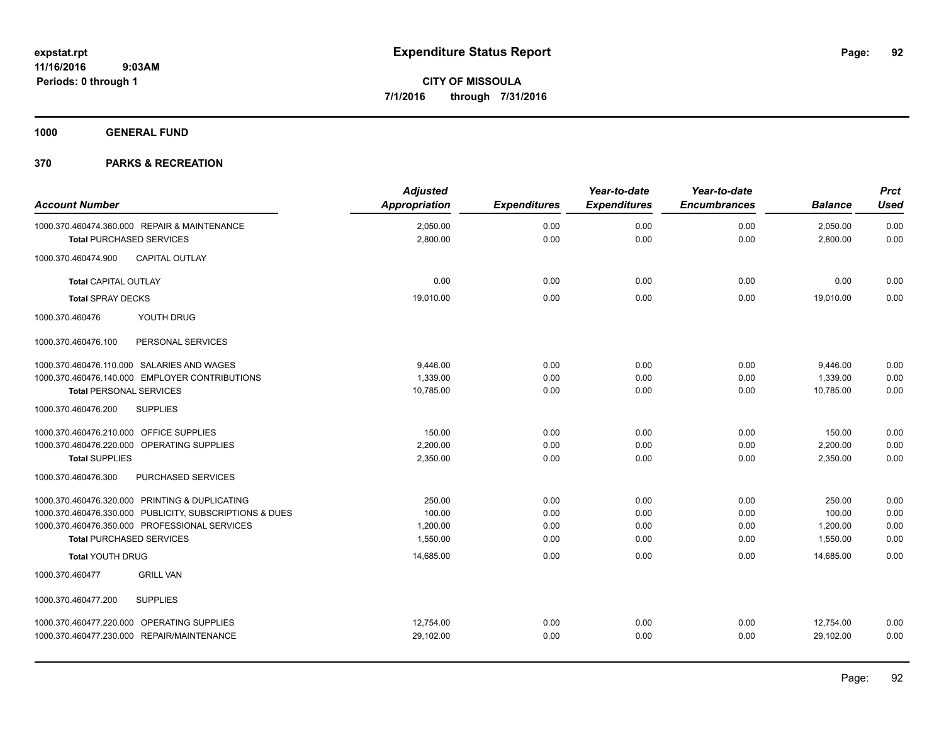**1000 GENERAL FUND**

| <b>Account Number</b>                                                           | <b>Adjusted</b><br><b>Appropriation</b> | <b>Expenditures</b> | Year-to-date<br><b>Expenditures</b> | Year-to-date<br><b>Encumbrances</b> | <b>Balance</b>       | <b>Prct</b><br><b>Used</b> |
|---------------------------------------------------------------------------------|-----------------------------------------|---------------------|-------------------------------------|-------------------------------------|----------------------|----------------------------|
| 1000.370.460474.360.000 REPAIR & MAINTENANCE<br><b>Total PURCHASED SERVICES</b> | 2,050.00<br>2,800.00                    | 0.00<br>0.00        | 0.00<br>0.00                        | 0.00<br>0.00                        | 2,050.00<br>2,800.00 | 0.00<br>0.00               |
|                                                                                 |                                         |                     |                                     |                                     |                      |                            |
| CAPITAL OUTLAY<br>1000.370.460474.900                                           |                                         |                     |                                     |                                     |                      |                            |
| <b>Total CAPITAL OUTLAY</b>                                                     | 0.00                                    | 0.00                | 0.00                                | 0.00                                | 0.00                 | 0.00                       |
| <b>Total SPRAY DECKS</b>                                                        | 19,010.00                               | 0.00                | 0.00                                | 0.00                                | 19.010.00            | 0.00                       |
| YOUTH DRUG<br>1000.370.460476                                                   |                                         |                     |                                     |                                     |                      |                            |
| 1000.370.460476.100<br>PERSONAL SERVICES                                        |                                         |                     |                                     |                                     |                      |                            |
| 1000.370.460476.110.000 SALARIES AND WAGES                                      | 9.446.00                                | 0.00                | 0.00                                | 0.00                                | 9,446.00             | 0.00                       |
| 1000.370.460476.140.000 EMPLOYER CONTRIBUTIONS                                  | 1,339.00                                | 0.00                | 0.00                                | 0.00                                | 1,339.00             | 0.00                       |
| <b>Total PERSONAL SERVICES</b>                                                  | 10,785.00                               | 0.00                | 0.00                                | 0.00                                | 10,785.00            | 0.00                       |
| 1000.370.460476.200<br><b>SUPPLIES</b>                                          |                                         |                     |                                     |                                     |                      |                            |
| 1000.370.460476.210.000 OFFICE SUPPLIES                                         | 150.00                                  | 0.00                | 0.00                                | 0.00                                | 150.00               | 0.00                       |
| 1000.370.460476.220.000 OPERATING SUPPLIES                                      | 2,200.00                                | 0.00                | 0.00                                | 0.00                                | 2,200.00             | 0.00                       |
| <b>Total SUPPLIES</b>                                                           | 2,350.00                                | 0.00                | 0.00                                | 0.00                                | 2,350.00             | 0.00                       |
| 1000.370.460476.300<br>PURCHASED SERVICES                                       |                                         |                     |                                     |                                     |                      |                            |
| 1000.370.460476.320.000 PRINTING & DUPLICATING                                  | 250.00                                  | 0.00                | 0.00                                | 0.00                                | 250.00               | 0.00                       |
| 1000.370.460476.330.000 PUBLICITY, SUBSCRIPTIONS & DUES                         | 100.00                                  | 0.00                | 0.00                                | 0.00                                | 100.00               | 0.00                       |
| 1000.370.460476.350.000 PROFESSIONAL SERVICES                                   | 1,200.00                                | 0.00                | 0.00                                | 0.00                                | 1,200.00             | 0.00                       |
| <b>Total PURCHASED SERVICES</b>                                                 | 1,550.00                                | 0.00                | 0.00                                | 0.00                                | 1,550.00             | 0.00                       |
| <b>Total YOUTH DRUG</b>                                                         | 14,685.00                               | 0.00                | 0.00                                | 0.00                                | 14.685.00            | 0.00                       |
| <b>GRILL VAN</b><br>1000.370.460477                                             |                                         |                     |                                     |                                     |                      |                            |
| <b>SUPPLIES</b><br>1000.370.460477.200                                          |                                         |                     |                                     |                                     |                      |                            |
| 1000.370.460477.220.000 OPERATING SUPPLIES                                      | 12,754.00                               | 0.00                | 0.00                                | 0.00                                | 12,754.00            | 0.00                       |
| 1000.370.460477.230.000 REPAIR/MAINTENANCE                                      | 29,102.00                               | 0.00                | 0.00                                | 0.00                                | 29,102.00            | 0.00                       |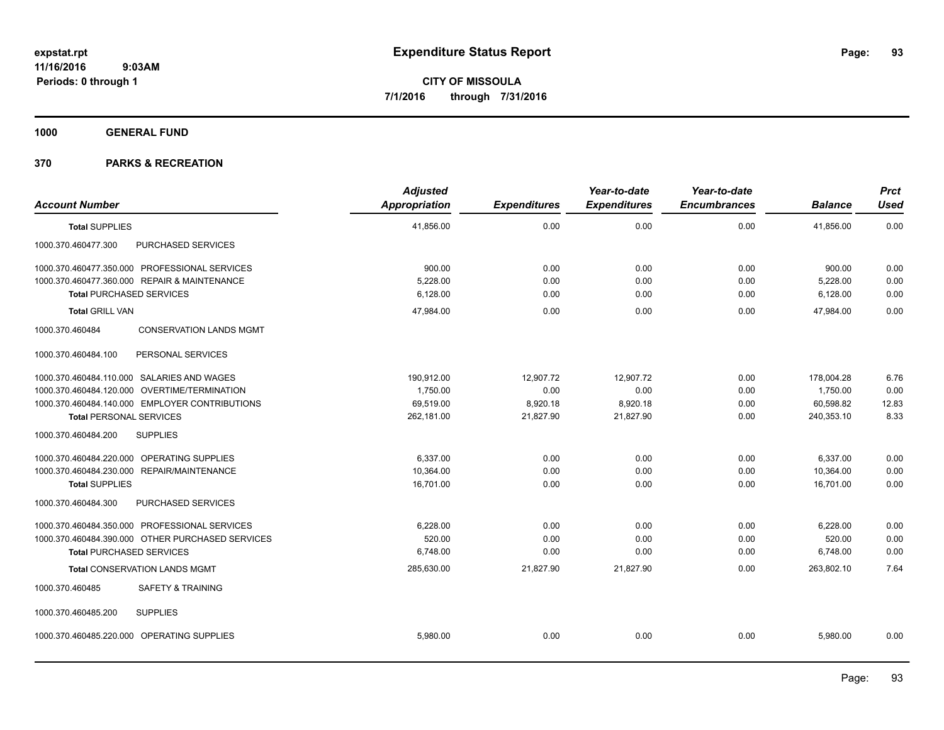**1000 GENERAL FUND**

| <b>Account Number</b>                             | <b>Adjusted</b><br><b>Appropriation</b> | <b>Expenditures</b> | Year-to-date<br><b>Expenditures</b> | Year-to-date<br><b>Encumbrances</b> | <b>Balance</b> | <b>Prct</b><br><b>Used</b> |
|---------------------------------------------------|-----------------------------------------|---------------------|-------------------------------------|-------------------------------------|----------------|----------------------------|
| <b>Total SUPPLIES</b>                             | 41,856.00                               | 0.00                | 0.00                                | 0.00                                | 41,856.00      | 0.00                       |
| PURCHASED SERVICES<br>1000.370.460477.300         |                                         |                     |                                     |                                     |                |                            |
| 1000.370.460477.350.000 PROFESSIONAL SERVICES     | 900.00                                  | 0.00                | 0.00                                | 0.00                                | 900.00         | 0.00                       |
| 1000.370.460477.360.000 REPAIR & MAINTENANCE      | 5,228.00                                | 0.00                | 0.00                                | 0.00                                | 5,228.00       | 0.00                       |
| <b>Total PURCHASED SERVICES</b>                   | 6,128.00                                | 0.00                | 0.00                                | 0.00                                | 6,128.00       | 0.00                       |
| <b>Total GRILL VAN</b>                            | 47,984.00                               | 0.00                | 0.00                                | 0.00                                | 47,984.00      | 0.00                       |
| 1000.370.460484<br><b>CONSERVATION LANDS MGMT</b> |                                         |                     |                                     |                                     |                |                            |
| PERSONAL SERVICES<br>1000.370.460484.100          |                                         |                     |                                     |                                     |                |                            |
| 1000.370.460484.110.000 SALARIES AND WAGES        | 190,912.00                              | 12,907.72           | 12,907.72                           | 0.00                                | 178,004.28     | 6.76                       |
| 1000.370.460484.120.000 OVERTIME/TERMINATION      | 1,750.00                                | 0.00                | 0.00                                | 0.00                                | 1,750.00       | 0.00                       |
| 1000.370.460484.140.000 EMPLOYER CONTRIBUTIONS    | 69,519.00                               | 8,920.18            | 8,920.18                            | 0.00                                | 60,598.82      | 12.83                      |
| <b>Total PERSONAL SERVICES</b>                    | 262,181.00                              | 21,827.90           | 21,827.90                           | 0.00                                | 240,353.10     | 8.33                       |
| <b>SUPPLIES</b><br>1000.370.460484.200            |                                         |                     |                                     |                                     |                |                            |
| 1000.370.460484.220.000 OPERATING SUPPLIES        | 6.337.00                                | 0.00                | 0.00                                | 0.00                                | 6,337.00       | 0.00                       |
| 1000.370.460484.230.000 REPAIR/MAINTENANCE        | 10,364.00                               | 0.00                | 0.00                                | 0.00                                | 10,364.00      | 0.00                       |
| <b>Total SUPPLIES</b>                             | 16,701.00                               | 0.00                | 0.00                                | 0.00                                | 16,701.00      | 0.00                       |
| PURCHASED SERVICES<br>1000.370.460484.300         |                                         |                     |                                     |                                     |                |                            |
| 1000.370.460484.350.000 PROFESSIONAL SERVICES     | 6,228.00                                | 0.00                | 0.00                                | 0.00                                | 6,228.00       | 0.00                       |
| 1000.370.460484.390.000 OTHER PURCHASED SERVICES  | 520.00                                  | 0.00                | 0.00                                | 0.00                                | 520.00         | 0.00                       |
| <b>Total PURCHASED SERVICES</b>                   | 6,748.00                                | 0.00                | 0.00                                | 0.00                                | 6,748.00       | 0.00                       |
| <b>Total CONSERVATION LANDS MGMT</b>              | 285,630.00                              | 21,827.90           | 21,827.90                           | 0.00                                | 263,802.10     | 7.64                       |
| <b>SAFETY &amp; TRAINING</b><br>1000.370.460485   |                                         |                     |                                     |                                     |                |                            |
| <b>SUPPLIES</b><br>1000.370.460485.200            |                                         |                     |                                     |                                     |                |                            |
| 1000.370.460485.220.000 OPERATING SUPPLIES        | 5,980.00                                | 0.00                | 0.00                                | 0.00                                | 5,980.00       | 0.00                       |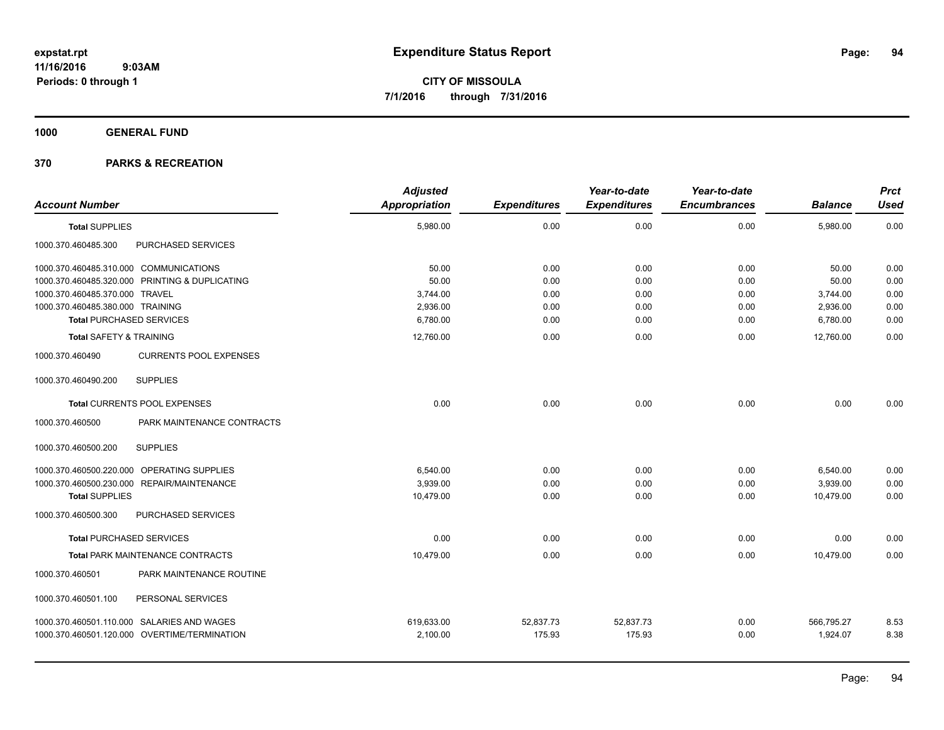**1000 GENERAL FUND**

| <b>Account Number</b>                            | <b>Adjusted</b><br>Appropriation | <b>Expenditures</b> | Year-to-date<br><b>Expenditures</b> | Year-to-date<br><b>Encumbrances</b> | <b>Balance</b> | <b>Prct</b><br><b>Used</b> |
|--------------------------------------------------|----------------------------------|---------------------|-------------------------------------|-------------------------------------|----------------|----------------------------|
| <b>Total SUPPLIES</b>                            | 5,980.00                         | 0.00                | 0.00                                | 0.00                                | 5,980.00       | 0.00                       |
| PURCHASED SERVICES<br>1000.370.460485.300        |                                  |                     |                                     |                                     |                |                            |
| 1000.370.460485.310.000 COMMUNICATIONS           | 50.00                            | 0.00                | 0.00                                | 0.00                                | 50.00          | 0.00                       |
| 1000.370.460485.320.000 PRINTING & DUPLICATING   | 50.00                            | 0.00                | 0.00                                | 0.00                                | 50.00          | 0.00                       |
| 1000.370.460485.370.000 TRAVEL                   | 3,744.00                         | 0.00                | 0.00                                | 0.00                                | 3,744.00       | 0.00                       |
| 1000.370.460485.380.000 TRAINING                 | 2,936.00                         | 0.00                | 0.00                                | 0.00                                | 2,936.00       | 0.00                       |
| <b>Total PURCHASED SERVICES</b>                  | 6,780.00                         | 0.00                | 0.00                                | 0.00                                | 6,780.00       | 0.00                       |
| <b>Total SAFETY &amp; TRAINING</b>               | 12,760.00                        | 0.00                | 0.00                                | 0.00                                | 12.760.00      | 0.00                       |
| 1000.370.460490<br><b>CURRENTS POOL EXPENSES</b> |                                  |                     |                                     |                                     |                |                            |
| <b>SUPPLIES</b><br>1000.370.460490.200           |                                  |                     |                                     |                                     |                |                            |
| Total CURRENTS POOL EXPENSES                     | 0.00                             | 0.00                | 0.00                                | 0.00                                | 0.00           | 0.00                       |
| 1000.370.460500<br>PARK MAINTENANCE CONTRACTS    |                                  |                     |                                     |                                     |                |                            |
| <b>SUPPLIES</b><br>1000.370.460500.200           |                                  |                     |                                     |                                     |                |                            |
| 1000.370.460500.220.000 OPERATING SUPPLIES       | 6,540.00                         | 0.00                | 0.00                                | 0.00                                | 6,540.00       | 0.00                       |
| 1000.370.460500.230.000 REPAIR/MAINTENANCE       | 3,939.00                         | 0.00                | 0.00                                | 0.00                                | 3,939.00       | 0.00                       |
| <b>Total SUPPLIES</b>                            | 10,479.00                        | 0.00                | 0.00                                | 0.00                                | 10,479.00      | 0.00                       |
| 1000.370.460500.300<br>PURCHASED SERVICES        |                                  |                     |                                     |                                     |                |                            |
| <b>Total PURCHASED SERVICES</b>                  | 0.00                             | 0.00                | 0.00                                | 0.00                                | 0.00           | 0.00                       |
| <b>Total PARK MAINTENANCE CONTRACTS</b>          | 10,479.00                        | 0.00                | 0.00                                | 0.00                                | 10.479.00      | 0.00                       |
| PARK MAINTENANCE ROUTINE<br>1000.370.460501      |                                  |                     |                                     |                                     |                |                            |
| 1000.370.460501.100<br>PERSONAL SERVICES         |                                  |                     |                                     |                                     |                |                            |
| 1000.370.460501.110.000 SALARIES AND WAGES       | 619,633.00                       | 52,837.73           | 52,837.73                           | 0.00                                | 566,795.27     | 8.53                       |
| 1000.370.460501.120.000 OVERTIME/TERMINATION     | 2,100.00                         | 175.93              | 175.93                              | 0.00                                | 1,924.07       | 8.38                       |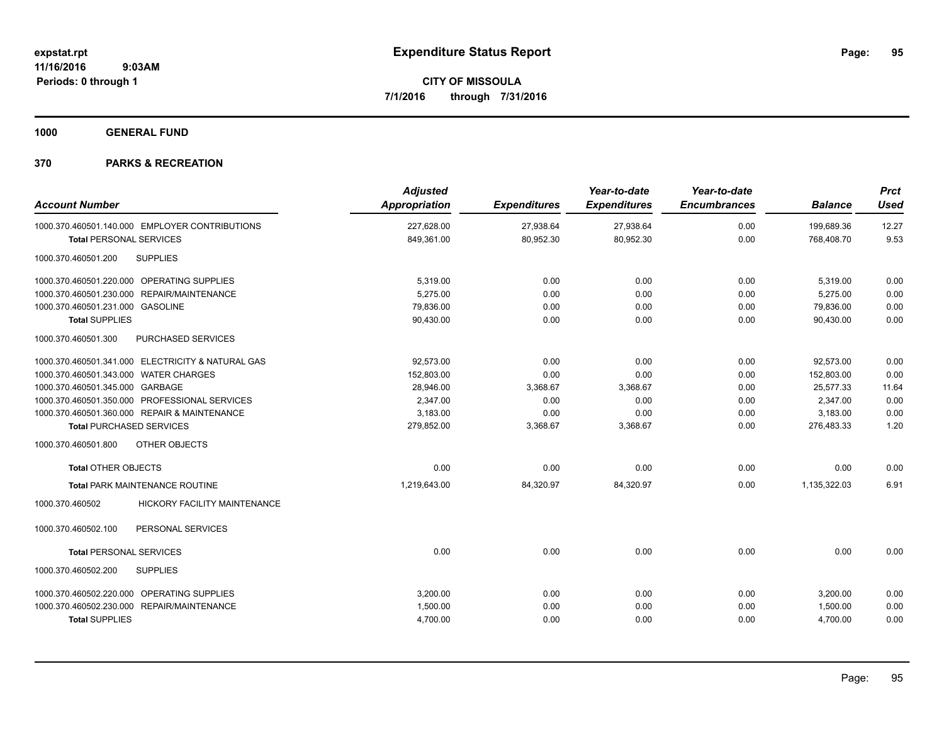**1000 GENERAL FUND**

| <b>Account Number</b>                                  | <b>Adjusted</b><br><b>Appropriation</b> | <b>Expenditures</b> | Year-to-date<br><b>Expenditures</b> | Year-to-date<br><b>Encumbrances</b> | <b>Balance</b> | <b>Prct</b><br><b>Used</b> |
|--------------------------------------------------------|-----------------------------------------|---------------------|-------------------------------------|-------------------------------------|----------------|----------------------------|
| 1000.370.460501.140.000 EMPLOYER CONTRIBUTIONS         | 227.628.00                              | 27,938.64           | 27,938.64                           | 0.00                                | 199.689.36     | 12.27                      |
| <b>Total PERSONAL SERVICES</b>                         | 849,361.00                              | 80,952.30           | 80,952.30                           | 0.00                                | 768,408.70     | 9.53                       |
| 1000.370.460501.200<br><b>SUPPLIES</b>                 |                                         |                     |                                     |                                     |                |                            |
| 1000.370.460501.220.000 OPERATING SUPPLIES             | 5,319.00                                | 0.00                | 0.00                                | 0.00                                | 5,319.00       | 0.00                       |
| 1000.370.460501.230.000 REPAIR/MAINTENANCE             | 5.275.00                                | 0.00                | 0.00                                | 0.00                                | 5,275.00       | 0.00                       |
| 1000.370.460501.231.000 GASOLINE                       | 79,836.00                               | 0.00                | 0.00                                | 0.00                                | 79,836.00      | 0.00                       |
| <b>Total SUPPLIES</b>                                  | 90,430.00                               | 0.00                | 0.00                                | 0.00                                | 90,430.00      | 0.00                       |
| PURCHASED SERVICES<br>1000.370.460501.300              |                                         |                     |                                     |                                     |                |                            |
| 1000.370.460501.341.000 ELECTRICITY & NATURAL GAS      | 92,573.00                               | 0.00                | 0.00                                | 0.00                                | 92,573.00      | 0.00                       |
| 1000.370.460501.343.000 WATER CHARGES                  | 152,803.00                              | 0.00                | 0.00                                | 0.00                                | 152,803.00     | 0.00                       |
| 1000.370.460501.345.000 GARBAGE                        | 28,946.00                               | 3,368.67            | 3,368.67                            | 0.00                                | 25,577.33      | 11.64                      |
| 1000.370.460501.350.000 PROFESSIONAL SERVICES          | 2,347.00                                | 0.00                | 0.00                                | 0.00                                | 2,347.00       | 0.00                       |
| 1000.370.460501.360.000 REPAIR & MAINTENANCE           | 3,183.00                                | 0.00                | 0.00                                | 0.00                                | 3,183.00       | 0.00                       |
| <b>Total PURCHASED SERVICES</b>                        | 279,852.00                              | 3,368.67            | 3,368.67                            | 0.00                                | 276,483.33     | 1.20                       |
| OTHER OBJECTS<br>1000.370.460501.800                   |                                         |                     |                                     |                                     |                |                            |
| <b>Total OTHER OBJECTS</b>                             | 0.00                                    | 0.00                | 0.00                                | 0.00                                | 0.00           | 0.00                       |
| <b>Total PARK MAINTENANCE ROUTINE</b>                  | 1,219,643.00                            | 84,320.97           | 84,320.97                           | 0.00                                | 1,135,322.03   | 6.91                       |
| <b>HICKORY FACILITY MAINTENANCE</b><br>1000.370.460502 |                                         |                     |                                     |                                     |                |                            |
| 1000.370.460502.100<br>PERSONAL SERVICES               |                                         |                     |                                     |                                     |                |                            |
| <b>Total PERSONAL SERVICES</b>                         | 0.00                                    | 0.00                | 0.00                                | 0.00                                | 0.00           | 0.00                       |
| 1000.370.460502.200<br><b>SUPPLIES</b>                 |                                         |                     |                                     |                                     |                |                            |
| 1000.370.460502.220.000 OPERATING SUPPLIES             | 3,200.00                                | 0.00                | 0.00                                | 0.00                                | 3,200.00       | 0.00                       |
| 1000.370.460502.230.000 REPAIR/MAINTENANCE             | 1,500.00                                | 0.00                | 0.00                                | 0.00                                | 1,500.00       | 0.00                       |
| <b>Total SUPPLIES</b>                                  | 4,700.00                                | 0.00                | 0.00                                | 0.00                                | 4,700.00       | 0.00                       |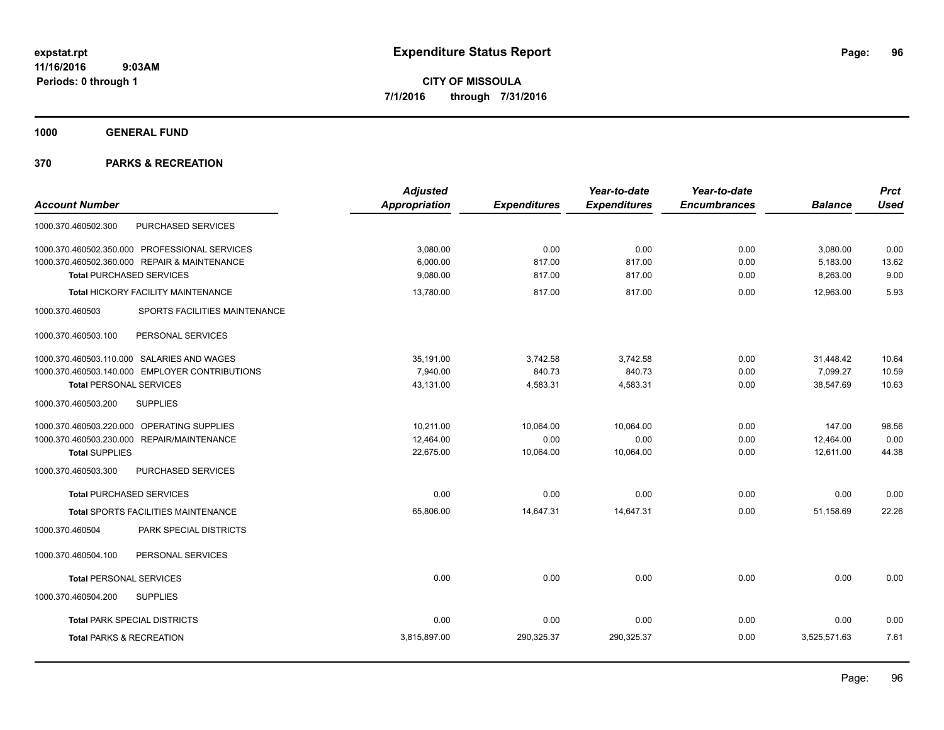**1000 GENERAL FUND**

|                                                  | <b>Adjusted</b> |                     | Year-to-date        | Year-to-date        |                | <b>Prct</b> |
|--------------------------------------------------|-----------------|---------------------|---------------------|---------------------|----------------|-------------|
| <b>Account Number</b>                            | Appropriation   | <b>Expenditures</b> | <b>Expenditures</b> | <b>Encumbrances</b> | <b>Balance</b> | <b>Used</b> |
| PURCHASED SERVICES<br>1000.370.460502.300        |                 |                     |                     |                     |                |             |
| 1000.370.460502.350.000 PROFESSIONAL SERVICES    | 3,080.00        | 0.00                | 0.00                | 0.00                | 3,080.00       | 0.00        |
| 1000.370.460502.360.000 REPAIR & MAINTENANCE     | 6,000.00        | 817.00              | 817.00              | 0.00                | 5,183.00       | 13.62       |
| <b>Total PURCHASED SERVICES</b>                  | 9,080.00        | 817.00              | 817.00              | 0.00                | 8,263.00       | 9.00        |
| Total HICKORY FACILITY MAINTENANCE               | 13,780.00       | 817.00              | 817.00              | 0.00                | 12,963.00      | 5.93        |
| SPORTS FACILITIES MAINTENANCE<br>1000.370.460503 |                 |                     |                     |                     |                |             |
| 1000.370.460503.100<br>PERSONAL SERVICES         |                 |                     |                     |                     |                |             |
| 1000.370.460503.110.000 SALARIES AND WAGES       | 35,191.00       | 3,742.58            | 3,742.58            | 0.00                | 31,448.42      | 10.64       |
| 1000.370.460503.140.000 EMPLOYER CONTRIBUTIONS   | 7,940.00        | 840.73              | 840.73              | 0.00                | 7,099.27       | 10.59       |
| <b>Total PERSONAL SERVICES</b>                   | 43,131.00       | 4,583.31            | 4,583.31            | 0.00                | 38,547.69      | 10.63       |
| 1000.370.460503.200<br><b>SUPPLIES</b>           |                 |                     |                     |                     |                |             |
| 1000.370.460503.220.000 OPERATING SUPPLIES       | 10,211.00       | 10,064.00           | 10,064.00           | 0.00                | 147.00         | 98.56       |
| 1000.370.460503.230.000<br>REPAIR/MAINTENANCE    | 12,464.00       | 0.00                | 0.00                | 0.00                | 12,464.00      | 0.00        |
| <b>Total SUPPLIES</b>                            | 22,675.00       | 10,064.00           | 10,064.00           | 0.00                | 12,611.00      | 44.38       |
| PURCHASED SERVICES<br>1000.370.460503.300        |                 |                     |                     |                     |                |             |
| <b>Total PURCHASED SERVICES</b>                  | 0.00            | 0.00                | 0.00                | 0.00                | 0.00           | 0.00        |
| Total SPORTS FACILITIES MAINTENANCE              | 65,806.00       | 14,647.31           | 14,647.31           | 0.00                | 51,158.69      | 22.26       |
| 1000.370.460504<br>PARK SPECIAL DISTRICTS        |                 |                     |                     |                     |                |             |
| PERSONAL SERVICES<br>1000.370.460504.100         |                 |                     |                     |                     |                |             |
| <b>Total PERSONAL SERVICES</b>                   | 0.00            | 0.00                | 0.00                | 0.00                | 0.00           | 0.00        |
| 1000.370.460504.200<br><b>SUPPLIES</b>           |                 |                     |                     |                     |                |             |
| <b>Total PARK SPECIAL DISTRICTS</b>              | 0.00            | 0.00                | 0.00                | 0.00                | 0.00           | 0.00        |
| <b>Total PARKS &amp; RECREATION</b>              | 3,815,897.00    | 290,325.37          | 290,325.37          | 0.00                | 3,525,571.63   | 7.61        |
|                                                  |                 |                     |                     |                     |                |             |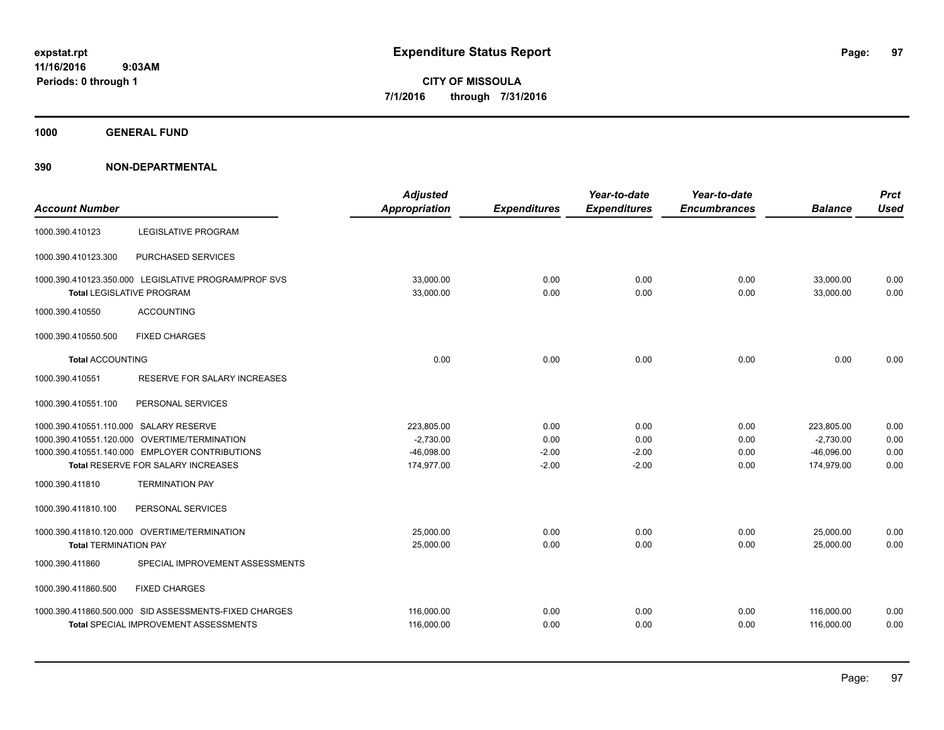**1000 GENERAL FUND**

| <b>Account Number</b>                                                                    |                                                       | <b>Adjusted</b><br>Appropriation | <b>Expenditures</b> | Year-to-date<br><b>Expenditures</b> | Year-to-date<br><b>Encumbrances</b> | <b>Balance</b>         | <b>Prct</b><br><b>Used</b> |
|------------------------------------------------------------------------------------------|-------------------------------------------------------|----------------------------------|---------------------|-------------------------------------|-------------------------------------|------------------------|----------------------------|
| 1000.390.410123                                                                          | <b>LEGISLATIVE PROGRAM</b>                            |                                  |                     |                                     |                                     |                        |                            |
| 1000.390.410123.300                                                                      | PURCHASED SERVICES                                    |                                  |                     |                                     |                                     |                        |                            |
| 1000.390.410123.350.000 LEGISLATIVE PROGRAM/PROF SVS<br><b>Total LEGISLATIVE PROGRAM</b> |                                                       | 33.000.00<br>33,000.00           | 0.00<br>0.00        | 0.00<br>0.00                        | 0.00<br>0.00                        | 33.000.00<br>33.000.00 | 0.00<br>0.00               |
| 1000.390.410550                                                                          | <b>ACCOUNTING</b>                                     |                                  |                     |                                     |                                     |                        |                            |
| 1000.390.410550.500                                                                      | <b>FIXED CHARGES</b>                                  |                                  |                     |                                     |                                     |                        |                            |
| <b>Total ACCOUNTING</b>                                                                  |                                                       | 0.00                             | 0.00                | 0.00                                | 0.00                                | 0.00                   | 0.00                       |
| 1000.390.410551                                                                          | RESERVE FOR SALARY INCREASES                          |                                  |                     |                                     |                                     |                        |                            |
| 1000.390.410551.100                                                                      | PERSONAL SERVICES                                     |                                  |                     |                                     |                                     |                        |                            |
| 1000.390.410551.110.000 SALARY RESERVE                                                   |                                                       | 223,805.00                       | 0.00                | 0.00                                | 0.00                                | 223,805.00             | 0.00                       |
| 1000.390.410551.120.000 OVERTIME/TERMINATION                                             |                                                       | $-2,730.00$                      | 0.00                | 0.00                                | 0.00                                | $-2,730.00$            | 0.00                       |
| 1000.390.410551.140.000 EMPLOYER CONTRIBUTIONS                                           |                                                       | $-46,098.00$                     | $-2.00$             | $-2.00$                             | 0.00                                | $-46.096.00$           | 0.00                       |
| Total RESERVE FOR SALARY INCREASES                                                       |                                                       | 174,977.00                       | $-2.00$             | $-2.00$                             | 0.00                                | 174,979.00             | 0.00                       |
| 1000.390.411810                                                                          | <b>TERMINATION PAY</b>                                |                                  |                     |                                     |                                     |                        |                            |
| 1000.390.411810.100                                                                      | PERSONAL SERVICES                                     |                                  |                     |                                     |                                     |                        |                            |
| 1000.390.411810.120.000 OVERTIME/TERMINATION                                             |                                                       | 25,000.00                        | 0.00                | 0.00                                | 0.00                                | 25,000.00              | 0.00                       |
| <b>Total TERMINATION PAY</b>                                                             |                                                       | 25,000.00                        | 0.00                | 0.00                                | 0.00                                | 25,000.00              | 0.00                       |
| 1000.390.411860                                                                          | SPECIAL IMPROVEMENT ASSESSMENTS                       |                                  |                     |                                     |                                     |                        |                            |
| 1000.390.411860.500                                                                      | <b>FIXED CHARGES</b>                                  |                                  |                     |                                     |                                     |                        |                            |
|                                                                                          | 1000.390.411860.500.000 SID ASSESSMENTS-FIXED CHARGES | 116,000.00                       | 0.00                | 0.00                                | 0.00                                | 116,000.00             | 0.00                       |
|                                                                                          | <b>Total SPECIAL IMPROVEMENT ASSESSMENTS</b>          | 116,000.00                       | 0.00                | 0.00                                | 0.00                                | 116,000.00             | 0.00                       |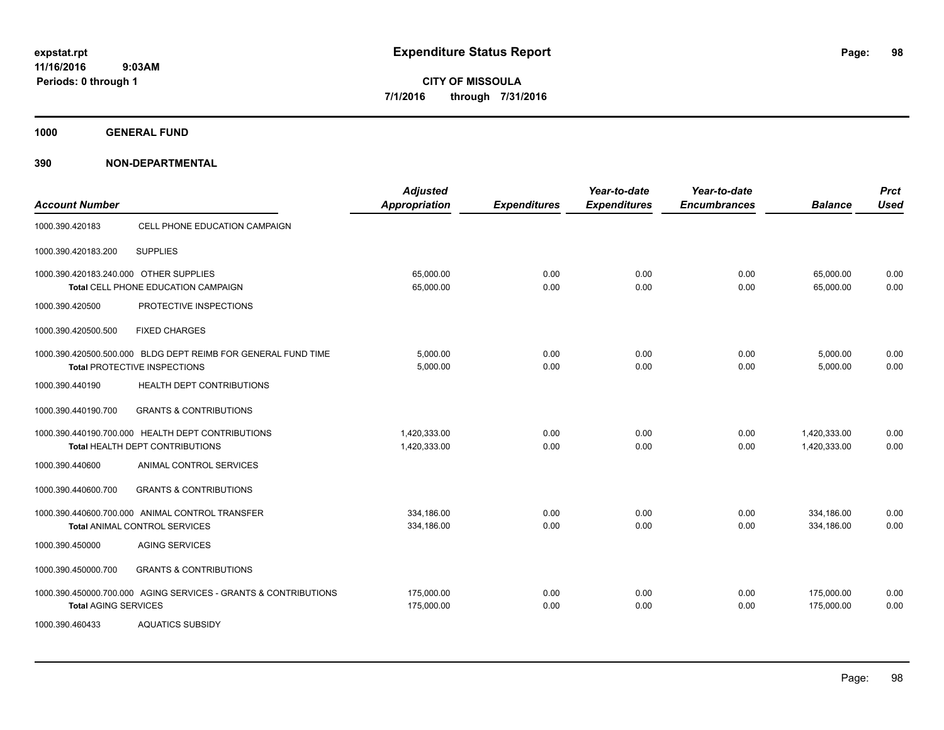**1000 GENERAL FUND**

| <b>Account Number</b>                  |                                                                                               | <b>Adjusted</b><br><b>Appropriation</b> | <b>Expenditures</b> | Year-to-date<br><b>Expenditures</b> | Year-to-date<br><b>Encumbrances</b> | <b>Balance</b>               | <b>Prct</b><br><b>Used</b> |
|----------------------------------------|-----------------------------------------------------------------------------------------------|-----------------------------------------|---------------------|-------------------------------------|-------------------------------------|------------------------------|----------------------------|
| 1000.390.420183                        | CELL PHONE EDUCATION CAMPAIGN                                                                 |                                         |                     |                                     |                                     |                              |                            |
| 1000.390.420183.200                    | <b>SUPPLIES</b>                                                                               |                                         |                     |                                     |                                     |                              |                            |
| 1000.390.420183.240.000 OTHER SUPPLIES | Total CELL PHONE EDUCATION CAMPAIGN                                                           | 65,000.00<br>65,000.00                  | 0.00<br>0.00        | 0.00<br>0.00                        | 0.00<br>0.00                        | 65.000.00<br>65,000.00       | 0.00<br>0.00               |
| 1000.390.420500                        | PROTECTIVE INSPECTIONS                                                                        |                                         |                     |                                     |                                     |                              |                            |
| 1000.390.420500.500                    | <b>FIXED CHARGES</b>                                                                          |                                         |                     |                                     |                                     |                              |                            |
|                                        | 1000.390.420500.500.000 BLDG DEPT REIMB FOR GENERAL FUND TIME<br>Total PROTECTIVE INSPECTIONS | 5,000.00<br>5,000.00                    | 0.00<br>0.00        | 0.00<br>0.00                        | 0.00<br>0.00                        | 5,000.00<br>5,000.00         | 0.00<br>0.00               |
| 1000.390.440190                        | HEALTH DEPT CONTRIBUTIONS                                                                     |                                         |                     |                                     |                                     |                              |                            |
| 1000.390.440190.700                    | <b>GRANTS &amp; CONTRIBUTIONS</b>                                                             |                                         |                     |                                     |                                     |                              |                            |
|                                        | 1000.390.440190.700.000 HEALTH DEPT CONTRIBUTIONS<br>Total HEALTH DEPT CONTRIBUTIONS          | 1.420.333.00<br>1,420,333.00            | 0.00<br>0.00        | 0.00<br>0.00                        | 0.00<br>0.00                        | 1,420,333.00<br>1,420,333.00 | 0.00<br>0.00               |
| 1000.390.440600                        | ANIMAL CONTROL SERVICES                                                                       |                                         |                     |                                     |                                     |                              |                            |
| 1000.390.440600.700                    | <b>GRANTS &amp; CONTRIBUTIONS</b>                                                             |                                         |                     |                                     |                                     |                              |                            |
|                                        | 1000.390.440600.700.000 ANIMAL CONTROL TRANSFER<br><b>Total ANIMAL CONTROL SERVICES</b>       | 334.186.00<br>334,186.00                | 0.00<br>0.00        | 0.00<br>0.00                        | 0.00<br>0.00                        | 334.186.00<br>334,186.00     | 0.00<br>0.00               |
| 1000.390.450000                        | <b>AGING SERVICES</b>                                                                         |                                         |                     |                                     |                                     |                              |                            |
| 1000.390.450000.700                    | <b>GRANTS &amp; CONTRIBUTIONS</b>                                                             |                                         |                     |                                     |                                     |                              |                            |
| <b>Total AGING SERVICES</b>            | 1000.390.450000.700.000 AGING SERVICES - GRANTS & CONTRIBUTIONS                               | 175,000.00<br>175,000.00                | 0.00<br>0.00        | 0.00<br>0.00                        | 0.00<br>0.00                        | 175,000.00<br>175,000.00     | 0.00<br>0.00               |
| 1000.390.460433                        | <b>AQUATICS SUBSIDY</b>                                                                       |                                         |                     |                                     |                                     |                              |                            |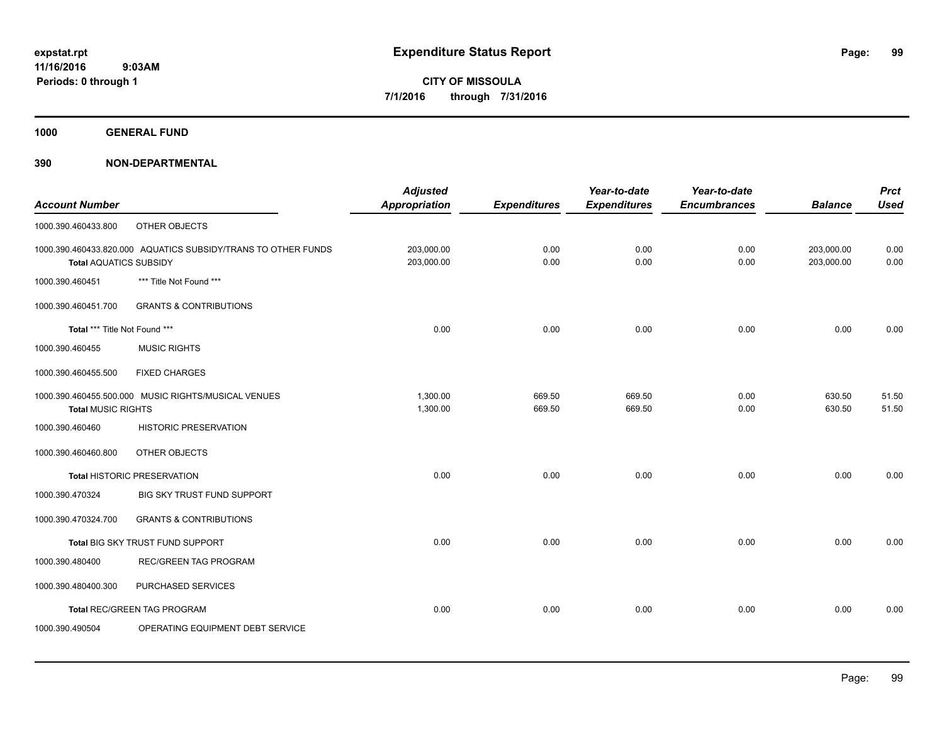**1000 GENERAL FUND**

|                               |                                                               | <b>Adjusted</b>      |                     | Year-to-date        | Year-to-date        |                | <b>Prct</b> |
|-------------------------------|---------------------------------------------------------------|----------------------|---------------------|---------------------|---------------------|----------------|-------------|
| <b>Account Number</b>         |                                                               | <b>Appropriation</b> | <b>Expenditures</b> | <b>Expenditures</b> | <b>Encumbrances</b> | <b>Balance</b> | <b>Used</b> |
| 1000.390.460433.800           | OTHER OBJECTS                                                 |                      |                     |                     |                     |                |             |
|                               | 1000.390.460433.820.000 AQUATICS SUBSIDY/TRANS TO OTHER FUNDS | 203,000.00           | 0.00                | 0.00                | 0.00                | 203,000.00     | 0.00        |
| <b>Total AQUATICS SUBSIDY</b> |                                                               | 203,000.00           | 0.00                | 0.00                | 0.00                | 203,000.00     | 0.00        |
| 1000.390.460451               | *** Title Not Found ***                                       |                      |                     |                     |                     |                |             |
| 1000.390.460451.700           | <b>GRANTS &amp; CONTRIBUTIONS</b>                             |                      |                     |                     |                     |                |             |
| Total *** Title Not Found *** |                                                               | 0.00                 | 0.00                | 0.00                | 0.00                | 0.00           | 0.00        |
| 1000.390.460455               | <b>MUSIC RIGHTS</b>                                           |                      |                     |                     |                     |                |             |
| 1000.390.460455.500           | <b>FIXED CHARGES</b>                                          |                      |                     |                     |                     |                |             |
|                               | 1000.390.460455.500.000 MUSIC RIGHTS/MUSICAL VENUES           | 1,300.00             | 669.50              | 669.50              | 0.00                | 630.50         | 51.50       |
| <b>Total MUSIC RIGHTS</b>     |                                                               | 1,300.00             | 669.50              | 669.50              | 0.00                | 630.50         | 51.50       |
| 1000.390.460460               | <b>HISTORIC PRESERVATION</b>                                  |                      |                     |                     |                     |                |             |
| 1000.390.460460.800           | OTHER OBJECTS                                                 |                      |                     |                     |                     |                |             |
|                               | <b>Total HISTORIC PRESERVATION</b>                            | 0.00                 | 0.00                | 0.00                | 0.00                | 0.00           | 0.00        |
| 1000.390.470324               | BIG SKY TRUST FUND SUPPORT                                    |                      |                     |                     |                     |                |             |
| 1000.390.470324.700           | <b>GRANTS &amp; CONTRIBUTIONS</b>                             |                      |                     |                     |                     |                |             |
|                               | Total BIG SKY TRUST FUND SUPPORT                              | 0.00                 | 0.00                | 0.00                | 0.00                | 0.00           | 0.00        |
| 1000.390.480400               | <b>REC/GREEN TAG PROGRAM</b>                                  |                      |                     |                     |                     |                |             |
| 1000.390.480400.300           | PURCHASED SERVICES                                            |                      |                     |                     |                     |                |             |
|                               | Total REC/GREEN TAG PROGRAM                                   | 0.00                 | 0.00                | 0.00                | 0.00                | 0.00           | 0.00        |
| 1000.390.490504               | OPERATING EQUIPMENT DEBT SERVICE                              |                      |                     |                     |                     |                |             |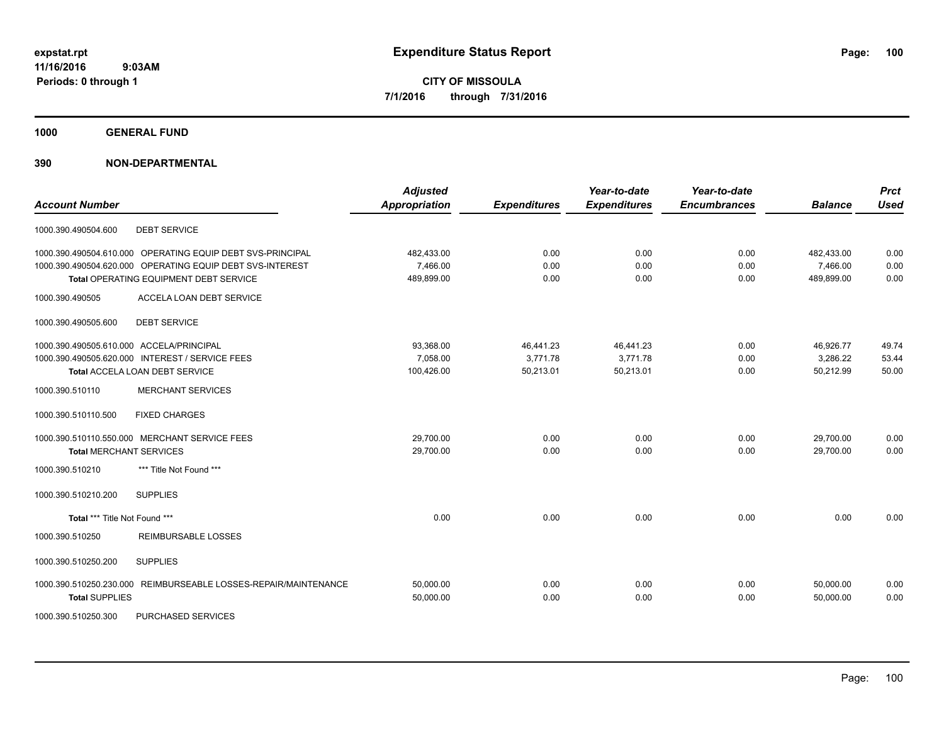**1000 GENERAL FUND**

| <b>Account Number</b>                                           | <b>Adjusted</b><br><b>Appropriation</b> | <b>Expenditures</b> | Year-to-date<br><b>Expenditures</b> | Year-to-date<br><b>Encumbrances</b> | <b>Balance</b> | <b>Prct</b><br><b>Used</b> |
|-----------------------------------------------------------------|-----------------------------------------|---------------------|-------------------------------------|-------------------------------------|----------------|----------------------------|
| <b>DEBT SERVICE</b><br>1000.390.490504.600                      |                                         |                     |                                     |                                     |                |                            |
| 1000.390.490504.610.000 OPERATING EQUIP DEBT SVS-PRINCIPAL      | 482,433.00                              | 0.00                | 0.00                                | 0.00                                | 482,433.00     | 0.00                       |
| 1000.390.490504.620.000 OPERATING EQUIP DEBT SVS-INTEREST       | 7,466.00                                | 0.00                | 0.00                                | 0.00                                | 7,466.00       | 0.00                       |
| Total OPERATING EQUIPMENT DEBT SERVICE                          | 489,899.00                              | 0.00                | 0.00                                | 0.00                                | 489,899.00     | 0.00                       |
| 1000.390.490505<br>ACCELA LOAN DEBT SERVICE                     |                                         |                     |                                     |                                     |                |                            |
| <b>DEBT SERVICE</b><br>1000.390.490505.600                      |                                         |                     |                                     |                                     |                |                            |
| 1000.390.490505.610.000 ACCELA/PRINCIPAL                        | 93,368.00                               | 46,441.23           | 46,441.23                           | 0.00                                | 46,926.77      | 49.74                      |
| 1000.390.490505.620.000 INTEREST / SERVICE FEES                 | 7,058.00                                | 3,771.78            | 3,771.78                            | 0.00                                | 3,286.22       | 53.44                      |
| Total ACCELA LOAN DEBT SERVICE                                  | 100,426.00                              | 50,213.01           | 50,213.01                           | 0.00                                | 50,212.99      | 50.00                      |
| 1000.390.510110<br><b>MERCHANT SERVICES</b>                     |                                         |                     |                                     |                                     |                |                            |
| <b>FIXED CHARGES</b><br>1000.390.510110.500                     |                                         |                     |                                     |                                     |                |                            |
| 1000.390.510110.550.000 MERCHANT SERVICE FEES                   | 29.700.00                               | 0.00                | 0.00                                | 0.00                                | 29,700.00      | 0.00                       |
| <b>Total MERCHANT SERVICES</b>                                  | 29,700.00                               | 0.00                | 0.00                                | 0.00                                | 29,700.00      | 0.00                       |
| *** Title Not Found ***<br>1000.390.510210                      |                                         |                     |                                     |                                     |                |                            |
| <b>SUPPLIES</b><br>1000.390.510210.200                          |                                         |                     |                                     |                                     |                |                            |
| Total *** Title Not Found ***                                   | 0.00                                    | 0.00                | 0.00                                | 0.00                                | 0.00           | 0.00                       |
| <b>REIMBURSABLE LOSSES</b><br>1000.390.510250                   |                                         |                     |                                     |                                     |                |                            |
| 1000.390.510250.200<br><b>SUPPLIES</b>                          |                                         |                     |                                     |                                     |                |                            |
| 1000.390.510250.230.000 REIMBURSEABLE LOSSES-REPAIR/MAINTENANCE | 50,000.00                               | 0.00                | 0.00                                | 0.00                                | 50,000.00      | 0.00                       |
| <b>Total SUPPLIES</b>                                           | 50,000.00                               | 0.00                | 0.00                                | 0.00                                | 50,000.00      | 0.00                       |
| 1000.390.510250.300<br>PURCHASED SERVICES                       |                                         |                     |                                     |                                     |                |                            |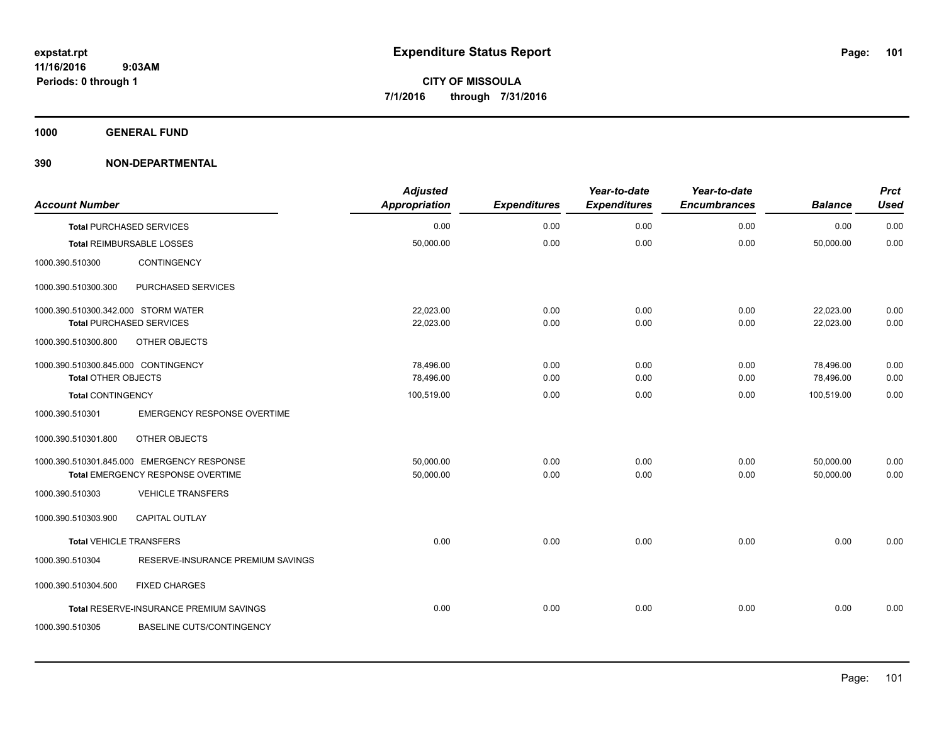**1000 GENERAL FUND**

| <b>Account Number</b>               |                                            | <b>Adjusted</b><br><b>Appropriation</b> | <b>Expenditures</b> | Year-to-date<br><b>Expenditures</b> | Year-to-date<br><b>Encumbrances</b> | <b>Balance</b> | <b>Prct</b><br><b>Used</b> |
|-------------------------------------|--------------------------------------------|-----------------------------------------|---------------------|-------------------------------------|-------------------------------------|----------------|----------------------------|
|                                     | <b>Total PURCHASED SERVICES</b>            | 0.00                                    | 0.00                | 0.00                                | 0.00                                | 0.00           | 0.00                       |
|                                     | Total REIMBURSABLE LOSSES                  | 50,000.00                               | 0.00                | 0.00                                | 0.00                                | 50,000.00      | 0.00                       |
| 1000.390.510300                     | CONTINGENCY                                |                                         |                     |                                     |                                     |                |                            |
| 1000.390.510300.300                 | PURCHASED SERVICES                         |                                         |                     |                                     |                                     |                |                            |
| 1000.390.510300.342.000 STORM WATER |                                            | 22,023.00                               | 0.00                | 0.00                                | 0.00                                | 22,023.00      | 0.00                       |
|                                     | <b>Total PURCHASED SERVICES</b>            | 22,023.00                               | 0.00                | 0.00                                | 0.00                                | 22,023.00      | 0.00                       |
| 1000.390.510300.800                 | OTHER OBJECTS                              |                                         |                     |                                     |                                     |                |                            |
| 1000.390.510300.845.000 CONTINGENCY |                                            | 78,496.00                               | 0.00                | 0.00                                | 0.00                                | 78,496.00      | 0.00                       |
| <b>Total OTHER OBJECTS</b>          |                                            | 78,496.00                               | 0.00                | 0.00                                | 0.00                                | 78,496.00      | 0.00                       |
| <b>Total CONTINGENCY</b>            |                                            | 100,519.00                              | 0.00                | 0.00                                | 0.00                                | 100,519.00     | 0.00                       |
| 1000.390.510301                     | <b>EMERGENCY RESPONSE OVERTIME</b>         |                                         |                     |                                     |                                     |                |                            |
| 1000.390.510301.800                 | OTHER OBJECTS                              |                                         |                     |                                     |                                     |                |                            |
|                                     | 1000.390.510301.845.000 EMERGENCY RESPONSE | 50,000.00                               | 0.00                | 0.00                                | 0.00                                | 50,000.00      | 0.00                       |
|                                     | Total EMERGENCY RESPONSE OVERTIME          | 50,000.00                               | 0.00                | 0.00                                | 0.00                                | 50.000.00      | 0.00                       |
| 1000.390.510303                     | <b>VEHICLE TRANSFERS</b>                   |                                         |                     |                                     |                                     |                |                            |
| 1000.390.510303.900                 | <b>CAPITAL OUTLAY</b>                      |                                         |                     |                                     |                                     |                |                            |
| <b>Total VEHICLE TRANSFERS</b>      |                                            | 0.00                                    | 0.00                | 0.00                                | 0.00                                | 0.00           | 0.00                       |
| 1000.390.510304                     | RESERVE-INSURANCE PREMIUM SAVINGS          |                                         |                     |                                     |                                     |                |                            |
| 1000.390.510304.500                 | <b>FIXED CHARGES</b>                       |                                         |                     |                                     |                                     |                |                            |
|                                     | Total RESERVE-INSURANCE PREMIUM SAVINGS    | 0.00                                    | 0.00                | 0.00                                | 0.00                                | 0.00           | 0.00                       |
| 1000.390.510305                     | <b>BASELINE CUTS/CONTINGENCY</b>           |                                         |                     |                                     |                                     |                |                            |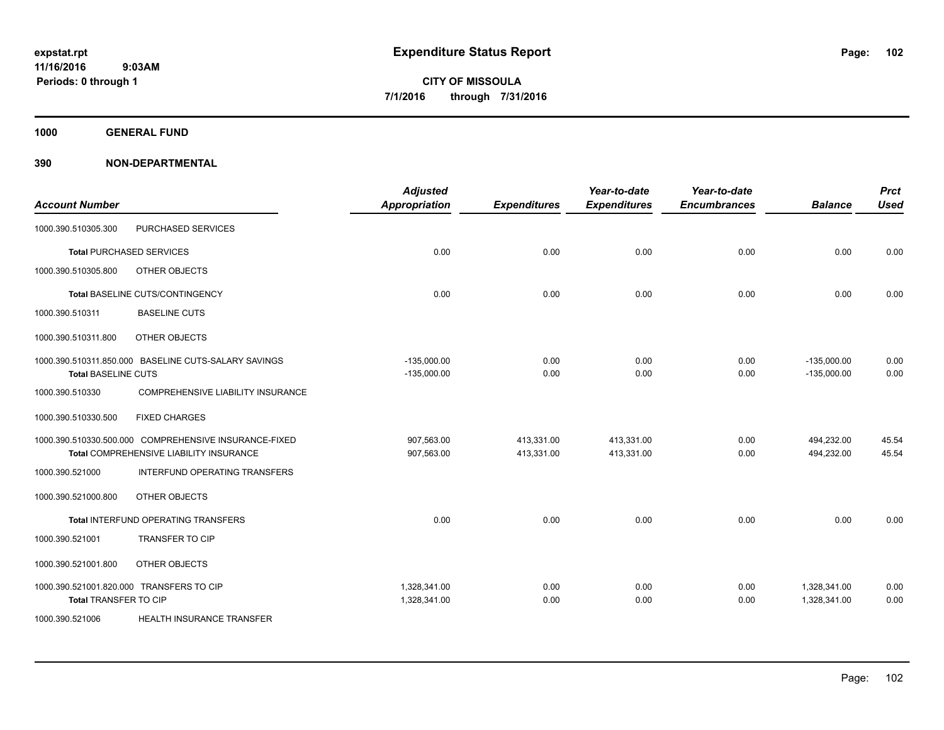**1000 GENERAL FUND**

| <b>Account Number</b>        |                                                                                                  | <b>Adjusted</b><br><b>Appropriation</b> | <b>Expenditures</b>      | Year-to-date<br><b>Expenditures</b> | Year-to-date<br><b>Encumbrances</b> | <b>Balance</b>                 | <b>Prct</b><br><b>Used</b> |
|------------------------------|--------------------------------------------------------------------------------------------------|-----------------------------------------|--------------------------|-------------------------------------|-------------------------------------|--------------------------------|----------------------------|
| 1000.390.510305.300          | PURCHASED SERVICES                                                                               |                                         |                          |                                     |                                     |                                |                            |
|                              | <b>Total PURCHASED SERVICES</b>                                                                  | 0.00                                    | 0.00                     | 0.00                                | 0.00                                | 0.00                           | 0.00                       |
| 1000.390.510305.800          | OTHER OBJECTS                                                                                    |                                         |                          |                                     |                                     |                                |                            |
|                              | Total BASELINE CUTS/CONTINGENCY                                                                  | 0.00                                    | 0.00                     | 0.00                                | 0.00                                | 0.00                           | 0.00                       |
| 1000.390.510311              | <b>BASELINE CUTS</b>                                                                             |                                         |                          |                                     |                                     |                                |                            |
| 1000.390.510311.800          | OTHER OBJECTS                                                                                    |                                         |                          |                                     |                                     |                                |                            |
| <b>Total BASELINE CUTS</b>   | 1000.390.510311.850.000 BASELINE CUTS-SALARY SAVINGS                                             | $-135,000.00$<br>$-135,000.00$          | 0.00<br>0.00             | 0.00<br>0.00                        | 0.00<br>0.00                        | $-135,000.00$<br>$-135,000.00$ | 0.00<br>0.00               |
| 1000.390.510330              | COMPREHENSIVE LIABILITY INSURANCE                                                                |                                         |                          |                                     |                                     |                                |                            |
| 1000.390.510330.500          | <b>FIXED CHARGES</b>                                                                             |                                         |                          |                                     |                                     |                                |                            |
|                              | 1000.390.510330.500.000 COMPREHENSIVE INSURANCE-FIXED<br>Total COMPREHENSIVE LIABILITY INSURANCE | 907,563.00<br>907,563.00                | 413,331.00<br>413,331.00 | 413,331.00<br>413,331.00            | 0.00<br>0.00                        | 494,232.00<br>494,232.00       | 45.54<br>45.54             |
| 1000.390.521000              | INTERFUND OPERATING TRANSFERS                                                                    |                                         |                          |                                     |                                     |                                |                            |
| 1000.390.521000.800          | OTHER OBJECTS                                                                                    |                                         |                          |                                     |                                     |                                |                            |
|                              | Total INTERFUND OPERATING TRANSFERS                                                              | 0.00                                    | 0.00                     | 0.00                                | 0.00                                | 0.00                           | 0.00                       |
| 1000.390.521001              | TRANSFER TO CIP                                                                                  |                                         |                          |                                     |                                     |                                |                            |
| 1000.390.521001.800          | OTHER OBJECTS                                                                                    |                                         |                          |                                     |                                     |                                |                            |
| <b>Total TRANSFER TO CIP</b> | 1000.390.521001.820.000 TRANSFERS TO CIP                                                         | 1,328,341.00<br>1,328,341.00            | 0.00<br>0.00             | 0.00<br>0.00                        | 0.00<br>0.00                        | 1,328,341.00<br>1,328,341.00   | 0.00<br>0.00               |
| 1000.390.521006              | HEALTH INSURANCE TRANSFER                                                                        |                                         |                          |                                     |                                     |                                |                            |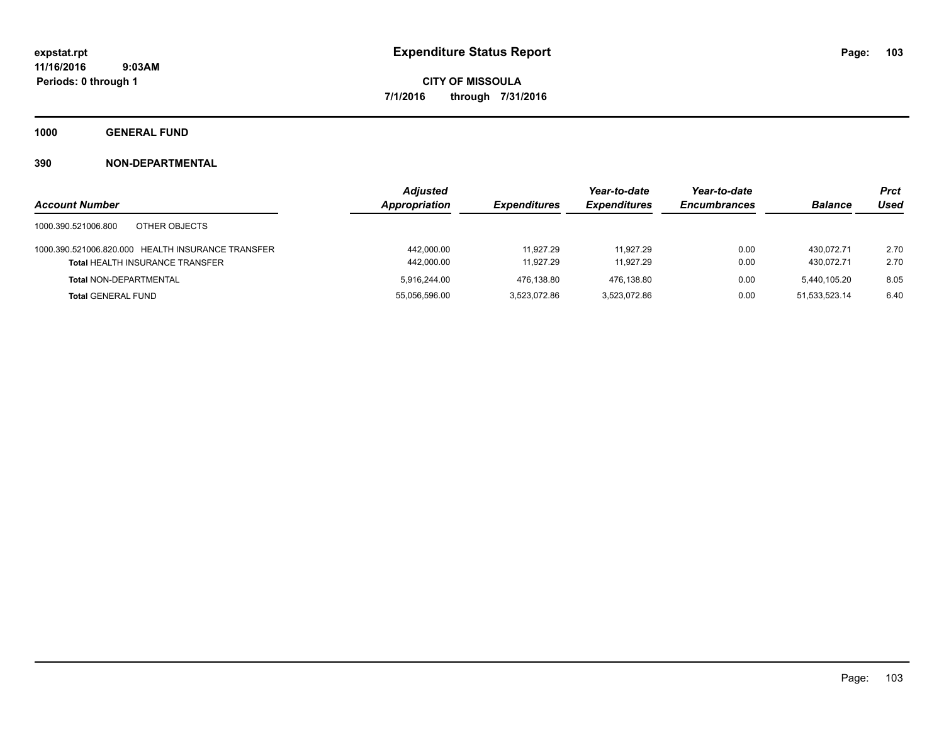**1000 GENERAL FUND**

|                                                   | <b>Adjusted</b>      |                     | Year-to-date        | Year-to-date        |                | <b>Prct</b> |
|---------------------------------------------------|----------------------|---------------------|---------------------|---------------------|----------------|-------------|
| <b>Account Number</b>                             | <b>Appropriation</b> | <b>Expenditures</b> | <b>Expenditures</b> | <b>Encumbrances</b> | <b>Balance</b> | <b>Used</b> |
| OTHER OBJECTS<br>1000.390.521006.800              |                      |                     |                     |                     |                |             |
| 1000.390.521006.820.000 HEALTH INSURANCE TRANSFER | 442.000.00           | 11.927.29           | 11.927.29           | 0.00                | 430.072.71     | 2.70        |
| <b>Total HEALTH INSURANCE TRANSFER</b>            | 442,000.00           | 11.927.29           | 11.927.29           | 0.00                | 430.072.71     | 2.70        |
| <b>Total NON-DEPARTMENTAL</b>                     | 5.916.244.00         | 476.138.80          | 476.138.80          | 0.00                | 5.440.105.20   | 8.05        |
| <b>Total GENERAL FUND</b>                         | 55,056,596.00        | 3.523.072.86        | 3.523.072.86        | 0.00                | 51.533.523.14  | 6.40        |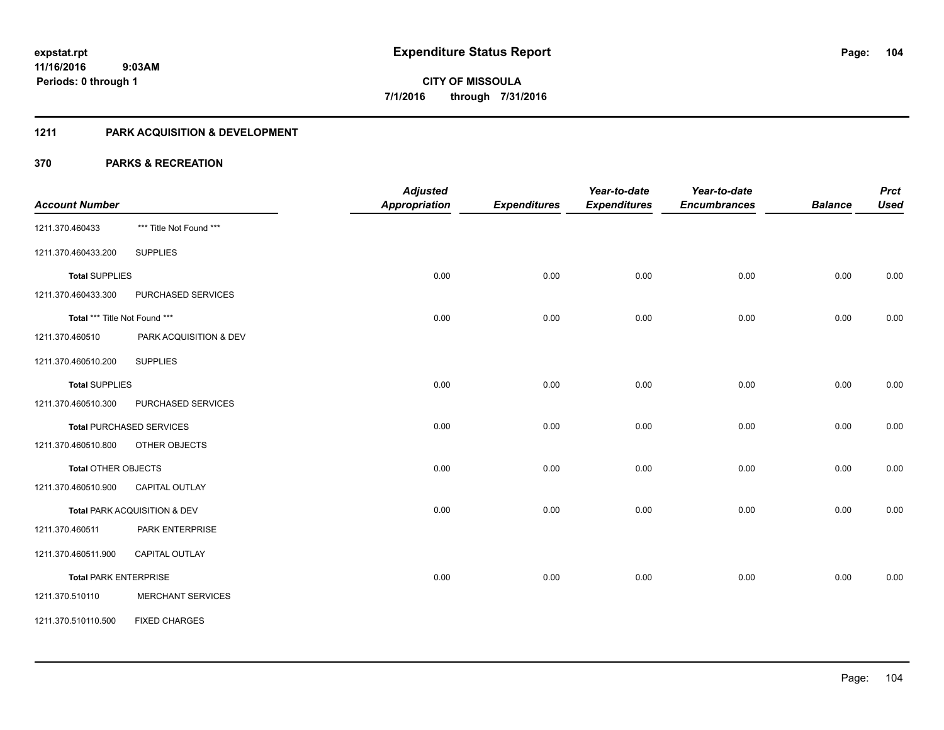## **1211 PARK ACQUISITION & DEVELOPMENT**

|                               |                                 | <b>Adjusted</b>      |                     | Year-to-date        | Year-to-date        |                | <b>Prct</b> |
|-------------------------------|---------------------------------|----------------------|---------------------|---------------------|---------------------|----------------|-------------|
| <b>Account Number</b>         |                                 | <b>Appropriation</b> | <b>Expenditures</b> | <b>Expenditures</b> | <b>Encumbrances</b> | <b>Balance</b> | <b>Used</b> |
| 1211.370.460433               | *** Title Not Found ***         |                      |                     |                     |                     |                |             |
| 1211.370.460433.200           | <b>SUPPLIES</b>                 |                      |                     |                     |                     |                |             |
| <b>Total SUPPLIES</b>         |                                 | 0.00                 | 0.00                | 0.00                | 0.00                | 0.00           | 0.00        |
| 1211.370.460433.300           | PURCHASED SERVICES              |                      |                     |                     |                     |                |             |
| Total *** Title Not Found *** |                                 | 0.00                 | 0.00                | 0.00                | 0.00                | 0.00           | 0.00        |
| 1211.370.460510               | PARK ACQUISITION & DEV          |                      |                     |                     |                     |                |             |
| 1211.370.460510.200           | <b>SUPPLIES</b>                 |                      |                     |                     |                     |                |             |
| <b>Total SUPPLIES</b>         |                                 | 0.00                 | 0.00                | 0.00                | 0.00                | 0.00           | 0.00        |
| 1211.370.460510.300           | PURCHASED SERVICES              |                      |                     |                     |                     |                |             |
|                               | <b>Total PURCHASED SERVICES</b> | 0.00                 | 0.00                | 0.00                | 0.00                | 0.00           | 0.00        |
| 1211.370.460510.800           | OTHER OBJECTS                   |                      |                     |                     |                     |                |             |
| <b>Total OTHER OBJECTS</b>    |                                 | 0.00                 | 0.00                | 0.00                | 0.00                | 0.00           | 0.00        |
| 1211.370.460510.900           | <b>CAPITAL OUTLAY</b>           |                      |                     |                     |                     |                |             |
|                               | Total PARK ACQUISITION & DEV    | 0.00                 | 0.00                | 0.00                | 0.00                | 0.00           | 0.00        |
| 1211.370.460511               | PARK ENTERPRISE                 |                      |                     |                     |                     |                |             |
| 1211.370.460511.900           | CAPITAL OUTLAY                  |                      |                     |                     |                     |                |             |
| <b>Total PARK ENTERPRISE</b>  |                                 | 0.00                 | 0.00                | 0.00                | 0.00                | 0.00           | 0.00        |
| 1211.370.510110               | <b>MERCHANT SERVICES</b>        |                      |                     |                     |                     |                |             |
| 1211.370.510110.500           | <b>FIXED CHARGES</b>            |                      |                     |                     |                     |                |             |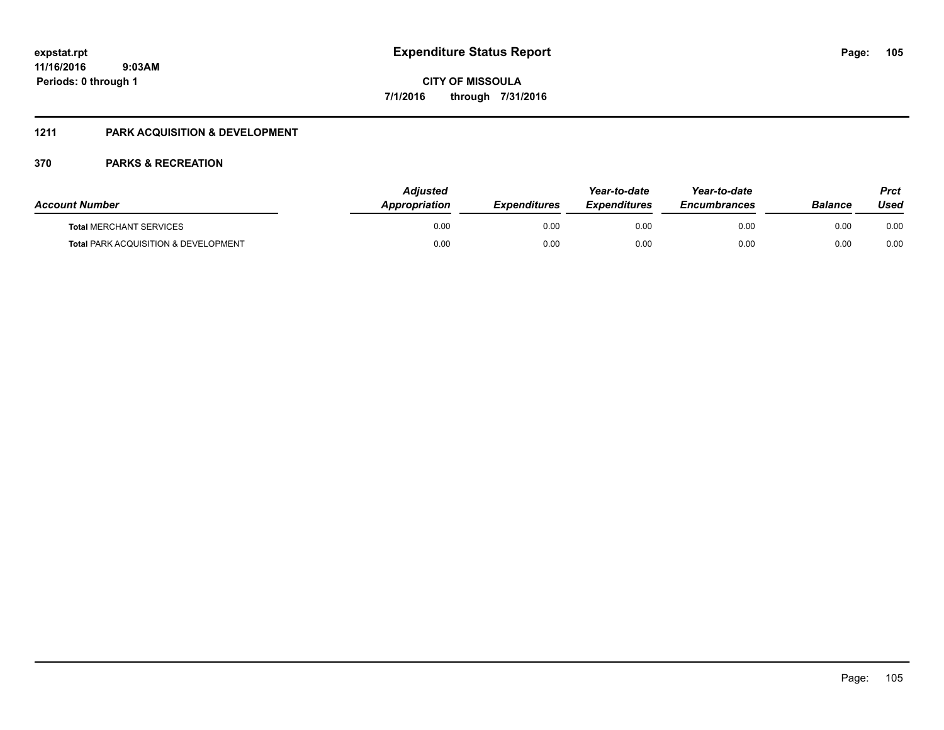# **1211 PARK ACQUISITION & DEVELOPMENT**

| <b>Account Number</b>                           | <b>Adiusted</b><br><b>Appropriation</b> | <b>Expenditures</b> | Year-to-date<br><b>Expenditures</b> | Year-to-date<br><b>Encumbrances</b> | Balance | Prct<br>Used |
|-------------------------------------------------|-----------------------------------------|---------------------|-------------------------------------|-------------------------------------|---------|--------------|
| <b>Total MERCHANT SERVICES</b>                  | 0.00                                    | 0.00                | 0.00                                | 0.00                                | 0.00    | 0.00         |
| <b>Total PARK ACQUISITION &amp; DEVELOPMENT</b> | 0.00                                    | 0.00                | 0.00                                | 0.00                                | 0.00    | 0.00         |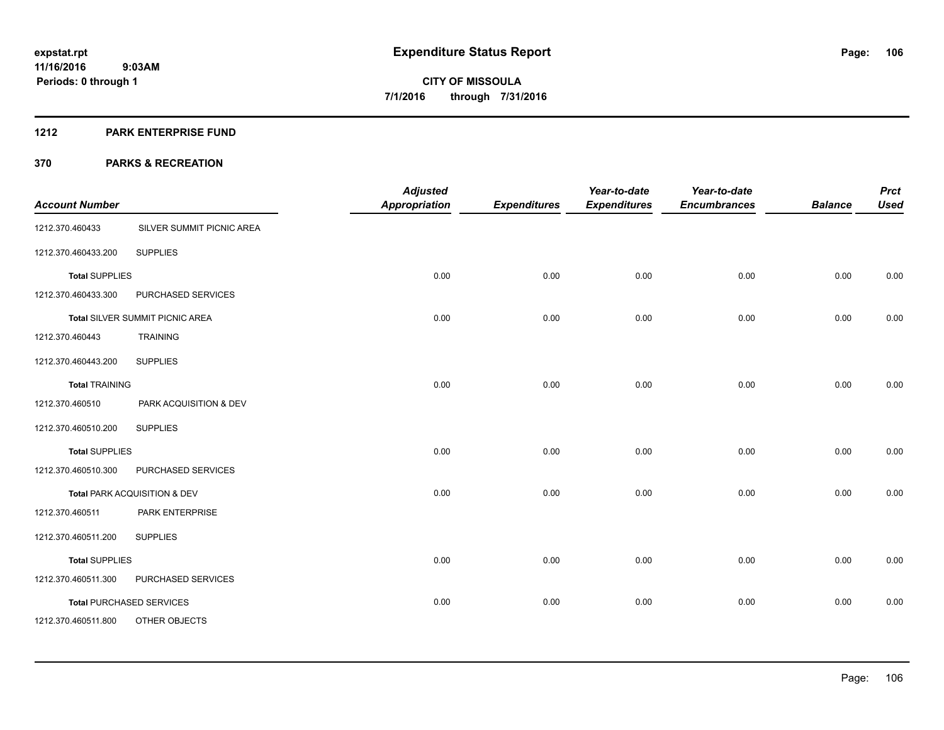#### **1212 PARK ENTERPRISE FUND**

| <b>Account Number</b> |                                        | <b>Adjusted</b><br><b>Appropriation</b> | <b>Expenditures</b> | Year-to-date<br><b>Expenditures</b> | Year-to-date<br><b>Encumbrances</b> | <b>Balance</b> | <b>Prct</b><br><b>Used</b> |
|-----------------------|----------------------------------------|-----------------------------------------|---------------------|-------------------------------------|-------------------------------------|----------------|----------------------------|
| 1212.370.460433       | SILVER SUMMIT PICNIC AREA              |                                         |                     |                                     |                                     |                |                            |
| 1212.370.460433.200   | <b>SUPPLIES</b>                        |                                         |                     |                                     |                                     |                |                            |
| <b>Total SUPPLIES</b> |                                        | 0.00                                    | 0.00                | 0.00                                | 0.00                                | 0.00           | 0.00                       |
| 1212.370.460433.300   | PURCHASED SERVICES                     |                                         |                     |                                     |                                     |                |                            |
|                       | <b>Total SILVER SUMMIT PICNIC AREA</b> | 0.00                                    | 0.00                | 0.00                                | 0.00                                | 0.00           | 0.00                       |
| 1212.370.460443       | <b>TRAINING</b>                        |                                         |                     |                                     |                                     |                |                            |
| 1212.370.460443.200   | <b>SUPPLIES</b>                        |                                         |                     |                                     |                                     |                |                            |
| <b>Total TRAINING</b> |                                        | 0.00                                    | 0.00                | 0.00                                | 0.00                                | 0.00           | 0.00                       |
| 1212.370.460510       | PARK ACQUISITION & DEV                 |                                         |                     |                                     |                                     |                |                            |
| 1212.370.460510.200   | <b>SUPPLIES</b>                        |                                         |                     |                                     |                                     |                |                            |
| <b>Total SUPPLIES</b> |                                        | 0.00                                    | 0.00                | 0.00                                | 0.00                                | 0.00           | 0.00                       |
| 1212.370.460510.300   | PURCHASED SERVICES                     |                                         |                     |                                     |                                     |                |                            |
|                       | Total PARK ACQUISITION & DEV           | 0.00                                    | 0.00                | 0.00                                | 0.00                                | 0.00           | 0.00                       |
| 1212.370.460511       | PARK ENTERPRISE                        |                                         |                     |                                     |                                     |                |                            |
| 1212.370.460511.200   | <b>SUPPLIES</b>                        |                                         |                     |                                     |                                     |                |                            |
| <b>Total SUPPLIES</b> |                                        | 0.00                                    | 0.00                | 0.00                                | 0.00                                | 0.00           | 0.00                       |
| 1212.370.460511.300   | PURCHASED SERVICES                     |                                         |                     |                                     |                                     |                |                            |
|                       | <b>Total PURCHASED SERVICES</b>        | 0.00                                    | 0.00                | 0.00                                | 0.00                                | 0.00           | 0.00                       |
| 1212.370.460511.800   | OTHER OBJECTS                          |                                         |                     |                                     |                                     |                |                            |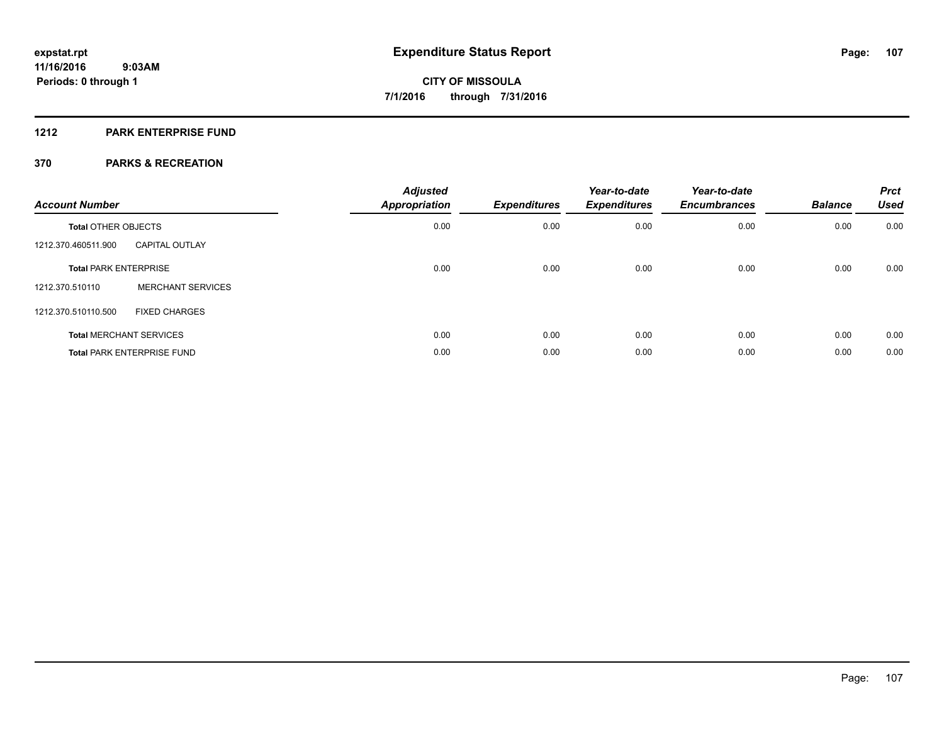#### **1212 PARK ENTERPRISE FUND**

| <b>Account Number</b>          |                                   | <b>Adjusted</b><br><b>Appropriation</b> | <b>Expenditures</b> | Year-to-date<br><b>Expenditures</b> | Year-to-date<br><b>Encumbrances</b> | <b>Balance</b> | <b>Prct</b><br><b>Used</b> |
|--------------------------------|-----------------------------------|-----------------------------------------|---------------------|-------------------------------------|-------------------------------------|----------------|----------------------------|
| <b>Total OTHER OBJECTS</b>     |                                   | 0.00                                    | 0.00                | 0.00                                | 0.00                                | 0.00           | 0.00                       |
| 1212.370.460511.900            | <b>CAPITAL OUTLAY</b>             |                                         |                     |                                     |                                     |                |                            |
| <b>Total PARK ENTERPRISE</b>   |                                   | 0.00                                    | 0.00                | 0.00                                | 0.00                                | 0.00           | 0.00                       |
| 1212.370.510110                | <b>MERCHANT SERVICES</b>          |                                         |                     |                                     |                                     |                |                            |
| 1212.370.510110.500            | <b>FIXED CHARGES</b>              |                                         |                     |                                     |                                     |                |                            |
| <b>Total MERCHANT SERVICES</b> |                                   | 0.00                                    | 0.00                | 0.00                                | 0.00                                | 0.00           | 0.00                       |
|                                | <b>Total PARK ENTERPRISE FUND</b> | 0.00                                    | 0.00                | 0.00                                | 0.00                                | 0.00           | 0.00                       |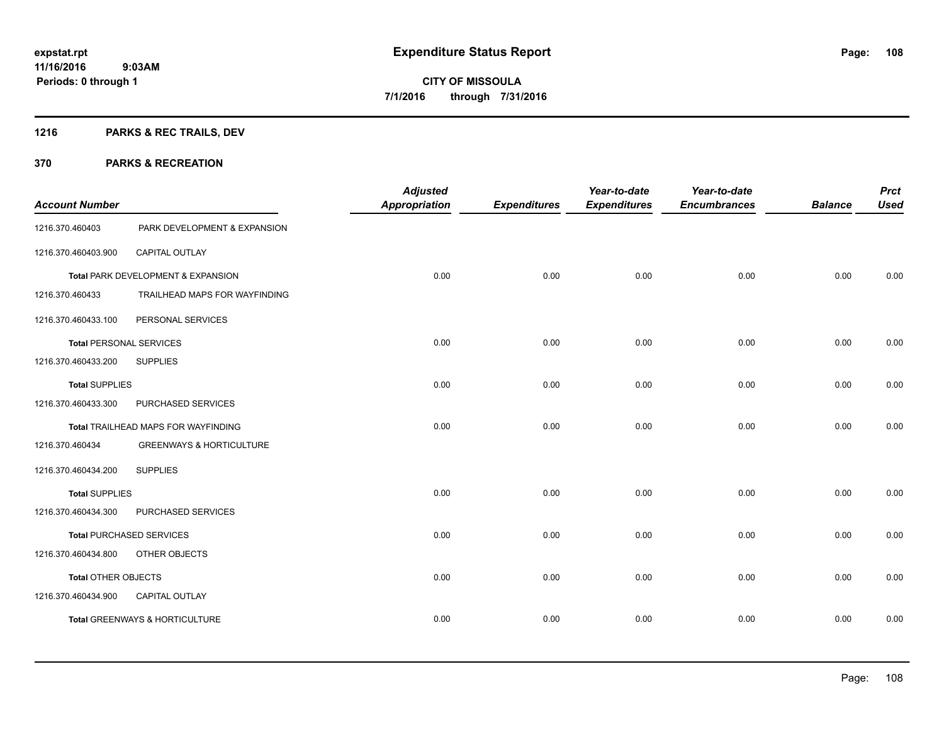# **1216 PARKS & REC TRAILS, DEV**

| <b>Account Number</b>          |                                     | <b>Adjusted</b><br><b>Appropriation</b> | <b>Expenditures</b> | Year-to-date<br><b>Expenditures</b> | Year-to-date<br><b>Encumbrances</b> | <b>Balance</b> | <b>Prct</b><br><b>Used</b> |
|--------------------------------|-------------------------------------|-----------------------------------------|---------------------|-------------------------------------|-------------------------------------|----------------|----------------------------|
| 1216.370.460403                | PARK DEVELOPMENT & EXPANSION        |                                         |                     |                                     |                                     |                |                            |
| 1216.370.460403.900            | CAPITAL OUTLAY                      |                                         |                     |                                     |                                     |                |                            |
|                                | Total PARK DEVELOPMENT & EXPANSION  | 0.00                                    | 0.00                | 0.00                                | 0.00                                | 0.00           | 0.00                       |
| 1216.370.460433                | TRAILHEAD MAPS FOR WAYFINDING       |                                         |                     |                                     |                                     |                |                            |
| 1216.370.460433.100            | PERSONAL SERVICES                   |                                         |                     |                                     |                                     |                |                            |
| <b>Total PERSONAL SERVICES</b> |                                     | 0.00                                    | 0.00                | 0.00                                | 0.00                                | 0.00           | 0.00                       |
| 1216.370.460433.200            | <b>SUPPLIES</b>                     |                                         |                     |                                     |                                     |                |                            |
| <b>Total SUPPLIES</b>          |                                     | 0.00                                    | 0.00                | 0.00                                | 0.00                                | 0.00           | 0.00                       |
| 1216.370.460433.300            | PURCHASED SERVICES                  |                                         |                     |                                     |                                     |                |                            |
|                                | Total TRAILHEAD MAPS FOR WAYFINDING | 0.00                                    | 0.00                | 0.00                                | 0.00                                | 0.00           | 0.00                       |
| 1216.370.460434                | <b>GREENWAYS &amp; HORTICULTURE</b> |                                         |                     |                                     |                                     |                |                            |
| 1216.370.460434.200            | <b>SUPPLIES</b>                     |                                         |                     |                                     |                                     |                |                            |
| <b>Total SUPPLIES</b>          |                                     | 0.00                                    | 0.00                | 0.00                                | 0.00                                | 0.00           | 0.00                       |
| 1216.370.460434.300            | PURCHASED SERVICES                  |                                         |                     |                                     |                                     |                |                            |
|                                | <b>Total PURCHASED SERVICES</b>     | 0.00                                    | 0.00                | 0.00                                | 0.00                                | 0.00           | 0.00                       |
| 1216.370.460434.800            | OTHER OBJECTS                       |                                         |                     |                                     |                                     |                |                            |
| Total OTHER OBJECTS            |                                     | 0.00                                    | 0.00                | 0.00                                | 0.00                                | 0.00           | 0.00                       |
| 1216.370.460434.900            | <b>CAPITAL OUTLAY</b>               |                                         |                     |                                     |                                     |                |                            |
|                                | Total GREENWAYS & HORTICULTURE      | 0.00                                    | 0.00                | 0.00                                | 0.00                                | 0.00           | 0.00                       |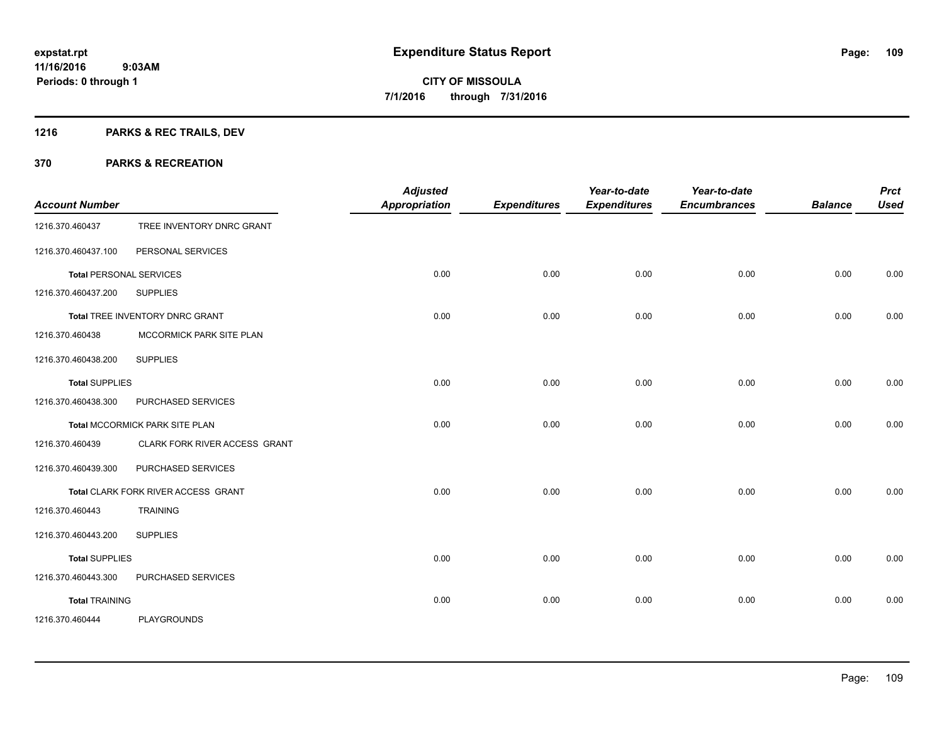# **1216 PARKS & REC TRAILS, DEV**

| <b>Account Number</b>          |                                            | <b>Adjusted</b><br><b>Appropriation</b> | <b>Expenditures</b> | Year-to-date<br><b>Expenditures</b> | Year-to-date<br><b>Encumbrances</b> | <b>Balance</b> | <b>Prct</b><br><b>Used</b> |
|--------------------------------|--------------------------------------------|-----------------------------------------|---------------------|-------------------------------------|-------------------------------------|----------------|----------------------------|
| 1216.370.460437                | TREE INVENTORY DNRC GRANT                  |                                         |                     |                                     |                                     |                |                            |
| 1216.370.460437.100            | PERSONAL SERVICES                          |                                         |                     |                                     |                                     |                |                            |
| <b>Total PERSONAL SERVICES</b> |                                            | 0.00                                    | 0.00                | 0.00                                | 0.00                                | 0.00           | 0.00                       |
| 1216.370.460437.200            | <b>SUPPLIES</b>                            |                                         |                     |                                     |                                     |                |                            |
|                                | Total TREE INVENTORY DNRC GRANT            | 0.00                                    | 0.00                | 0.00                                | 0.00                                | 0.00           | 0.00                       |
| 1216.370.460438                | MCCORMICK PARK SITE PLAN                   |                                         |                     |                                     |                                     |                |                            |
| 1216.370.460438.200            | <b>SUPPLIES</b>                            |                                         |                     |                                     |                                     |                |                            |
| <b>Total SUPPLIES</b>          |                                            | 0.00                                    | 0.00                | 0.00                                | 0.00                                | 0.00           | 0.00                       |
| 1216.370.460438.300            | PURCHASED SERVICES                         |                                         |                     |                                     |                                     |                |                            |
|                                | Total MCCORMICK PARK SITE PLAN             | 0.00                                    | 0.00                | 0.00                                | 0.00                                | 0.00           | 0.00                       |
| 1216.370.460439                | CLARK FORK RIVER ACCESS GRANT              |                                         |                     |                                     |                                     |                |                            |
| 1216.370.460439.300            | PURCHASED SERVICES                         |                                         |                     |                                     |                                     |                |                            |
|                                | <b>Total CLARK FORK RIVER ACCESS GRANT</b> | 0.00                                    | 0.00                | 0.00                                | 0.00                                | 0.00           | 0.00                       |
| 1216.370.460443                | <b>TRAINING</b>                            |                                         |                     |                                     |                                     |                |                            |
| 1216.370.460443.200            | <b>SUPPLIES</b>                            |                                         |                     |                                     |                                     |                |                            |
| <b>Total SUPPLIES</b>          |                                            | 0.00                                    | 0.00                | 0.00                                | 0.00                                | 0.00           | 0.00                       |
| 1216.370.460443.300            | PURCHASED SERVICES                         |                                         |                     |                                     |                                     |                |                            |
| <b>Total TRAINING</b>          |                                            | 0.00                                    | 0.00                | 0.00                                | 0.00                                | 0.00           | 0.00                       |
| 1216.370.460444                | <b>PLAYGROUNDS</b>                         |                                         |                     |                                     |                                     |                |                            |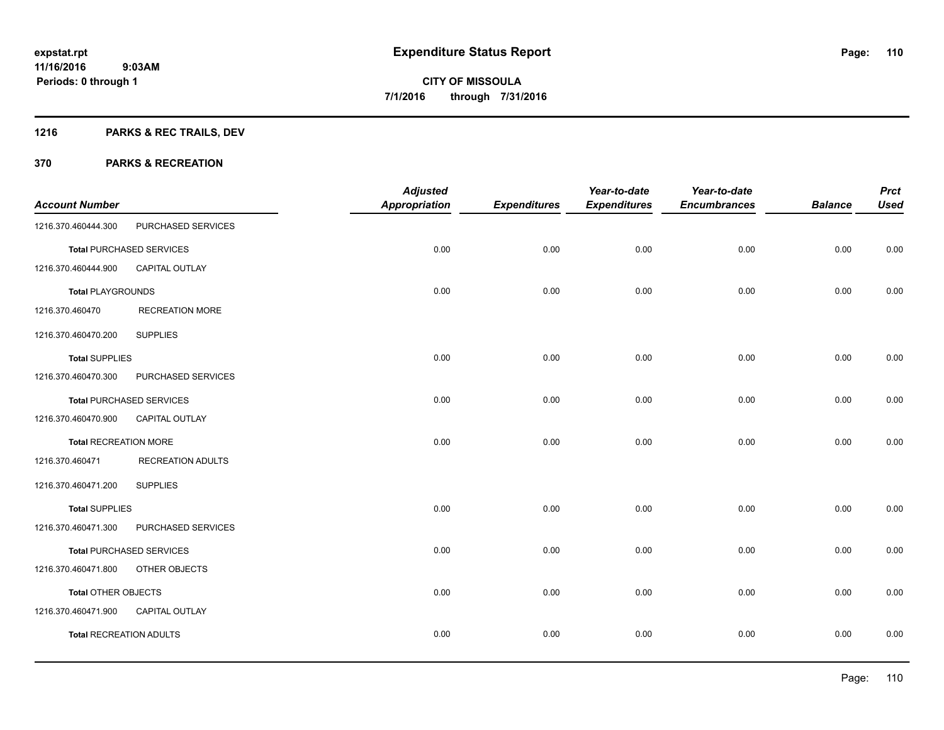# **1216 PARKS & REC TRAILS, DEV**

| <b>Account Number</b>          |                                 | <b>Adjusted</b><br><b>Appropriation</b> | <b>Expenditures</b> | Year-to-date<br><b>Expenditures</b> | Year-to-date<br><b>Encumbrances</b> | <b>Balance</b> | <b>Prct</b><br><b>Used</b> |
|--------------------------------|---------------------------------|-----------------------------------------|---------------------|-------------------------------------|-------------------------------------|----------------|----------------------------|
| 1216.370.460444.300            | PURCHASED SERVICES              |                                         |                     |                                     |                                     |                |                            |
|                                | <b>Total PURCHASED SERVICES</b> | 0.00                                    | 0.00                | 0.00                                | 0.00                                | 0.00           | 0.00                       |
| 1216.370.460444.900            | <b>CAPITAL OUTLAY</b>           |                                         |                     |                                     |                                     |                |                            |
| <b>Total PLAYGROUNDS</b>       |                                 | 0.00                                    | 0.00                | 0.00                                | 0.00                                | 0.00           | 0.00                       |
| 1216.370.460470                | <b>RECREATION MORE</b>          |                                         |                     |                                     |                                     |                |                            |
| 1216.370.460470.200            | <b>SUPPLIES</b>                 |                                         |                     |                                     |                                     |                |                            |
| <b>Total SUPPLIES</b>          |                                 | 0.00                                    | 0.00                | 0.00                                | 0.00                                | 0.00           | 0.00                       |
| 1216.370.460470.300            | PURCHASED SERVICES              |                                         |                     |                                     |                                     |                |                            |
|                                | <b>Total PURCHASED SERVICES</b> | 0.00                                    | 0.00                | 0.00                                | 0.00                                | 0.00           | 0.00                       |
| 1216.370.460470.900            | <b>CAPITAL OUTLAY</b>           |                                         |                     |                                     |                                     |                |                            |
| <b>Total RECREATION MORE</b>   |                                 | 0.00                                    | 0.00                | 0.00                                | 0.00                                | 0.00           | 0.00                       |
| 1216.370.460471                | <b>RECREATION ADULTS</b>        |                                         |                     |                                     |                                     |                |                            |
| 1216.370.460471.200            | <b>SUPPLIES</b>                 |                                         |                     |                                     |                                     |                |                            |
| <b>Total SUPPLIES</b>          |                                 | 0.00                                    | 0.00                | 0.00                                | 0.00                                | 0.00           | 0.00                       |
| 1216.370.460471.300            | PURCHASED SERVICES              |                                         |                     |                                     |                                     |                |                            |
|                                | <b>Total PURCHASED SERVICES</b> | 0.00                                    | 0.00                | 0.00                                | 0.00                                | 0.00           | 0.00                       |
| 1216.370.460471.800            | OTHER OBJECTS                   |                                         |                     |                                     |                                     |                |                            |
| <b>Total OTHER OBJECTS</b>     |                                 | 0.00                                    | 0.00                | 0.00                                | 0.00                                | 0.00           | 0.00                       |
| 1216.370.460471.900            | CAPITAL OUTLAY                  |                                         |                     |                                     |                                     |                |                            |
| <b>Total RECREATION ADULTS</b> |                                 | 0.00                                    | 0.00                | 0.00                                | 0.00                                | 0.00           | 0.00                       |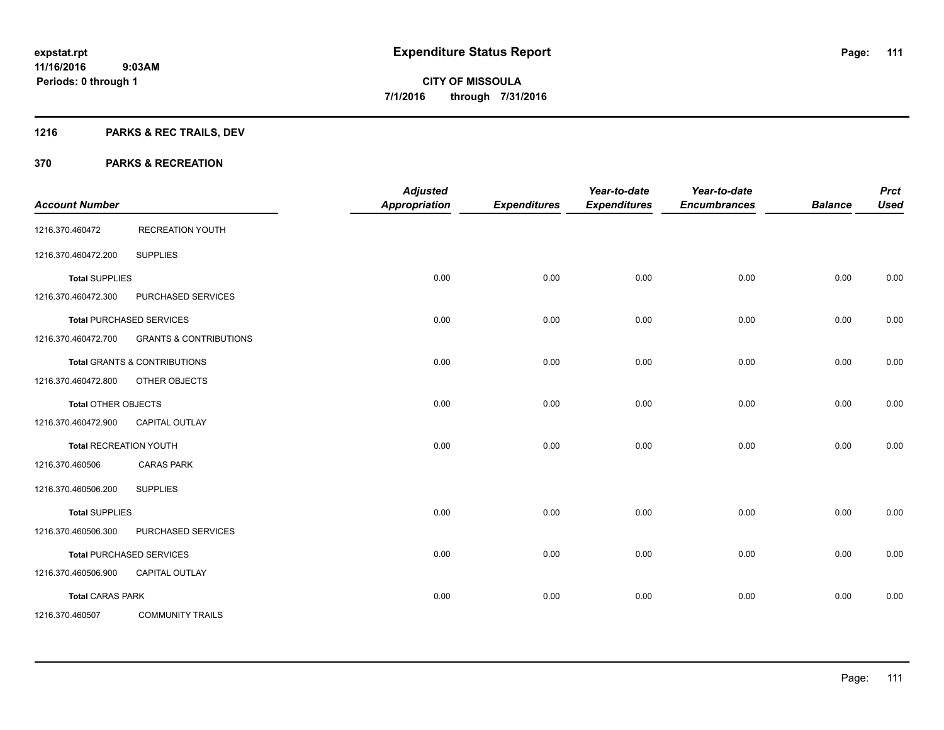# **1216 PARKS & REC TRAILS, DEV**

| <b>Account Number</b>         |                                         | <b>Adjusted</b><br><b>Appropriation</b> | <b>Expenditures</b> | Year-to-date<br><b>Expenditures</b> | Year-to-date<br><b>Encumbrances</b> | <b>Balance</b> | <b>Prct</b><br><b>Used</b> |
|-------------------------------|-----------------------------------------|-----------------------------------------|---------------------|-------------------------------------|-------------------------------------|----------------|----------------------------|
| 1216.370.460472               | <b>RECREATION YOUTH</b>                 |                                         |                     |                                     |                                     |                |                            |
| 1216.370.460472.200           | <b>SUPPLIES</b>                         |                                         |                     |                                     |                                     |                |                            |
| <b>Total SUPPLIES</b>         |                                         | 0.00                                    | 0.00                | 0.00                                | 0.00                                | 0.00           | 0.00                       |
| 1216.370.460472.300           | PURCHASED SERVICES                      |                                         |                     |                                     |                                     |                |                            |
|                               | <b>Total PURCHASED SERVICES</b>         | 0.00                                    | 0.00                | 0.00                                | 0.00                                | 0.00           | 0.00                       |
| 1216.370.460472.700           | <b>GRANTS &amp; CONTRIBUTIONS</b>       |                                         |                     |                                     |                                     |                |                            |
|                               | <b>Total GRANTS &amp; CONTRIBUTIONS</b> | 0.00                                    | 0.00                | 0.00                                | 0.00                                | 0.00           | 0.00                       |
| 1216.370.460472.800           | OTHER OBJECTS                           |                                         |                     |                                     |                                     |                |                            |
| <b>Total OTHER OBJECTS</b>    |                                         | 0.00                                    | 0.00                | 0.00                                | 0.00                                | 0.00           | 0.00                       |
| 1216.370.460472.900           | <b>CAPITAL OUTLAY</b>                   |                                         |                     |                                     |                                     |                |                            |
| <b>Total RECREATION YOUTH</b> |                                         | 0.00                                    | 0.00                | 0.00                                | 0.00                                | 0.00           | 0.00                       |
| 1216.370.460506               | <b>CARAS PARK</b>                       |                                         |                     |                                     |                                     |                |                            |
| 1216.370.460506.200           | <b>SUPPLIES</b>                         |                                         |                     |                                     |                                     |                |                            |
| <b>Total SUPPLIES</b>         |                                         | 0.00                                    | 0.00                | 0.00                                | 0.00                                | 0.00           | 0.00                       |
| 1216.370.460506.300           | PURCHASED SERVICES                      |                                         |                     |                                     |                                     |                |                            |
|                               | <b>Total PURCHASED SERVICES</b>         | 0.00                                    | 0.00                | 0.00                                | 0.00                                | 0.00           | 0.00                       |
| 1216.370.460506.900           | <b>CAPITAL OUTLAY</b>                   |                                         |                     |                                     |                                     |                |                            |
| <b>Total CARAS PARK</b>       |                                         | 0.00                                    | 0.00                | 0.00                                | 0.00                                | 0.00           | 0.00                       |
| 1216.370.460507               | <b>COMMUNITY TRAILS</b>                 |                                         |                     |                                     |                                     |                |                            |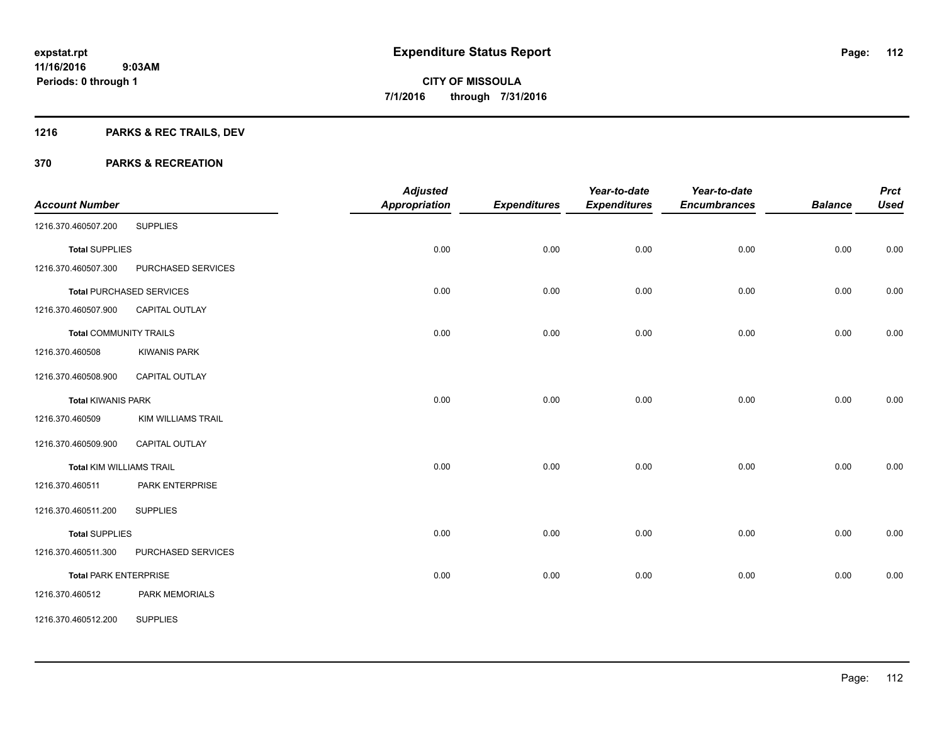# **1216 PARKS & REC TRAILS, DEV**

| <b>Account Number</b>           |                                 | <b>Adjusted</b><br><b>Appropriation</b> | <b>Expenditures</b> | Year-to-date<br><b>Expenditures</b> | Year-to-date<br><b>Encumbrances</b> | <b>Balance</b> | <b>Prct</b><br><b>Used</b> |
|---------------------------------|---------------------------------|-----------------------------------------|---------------------|-------------------------------------|-------------------------------------|----------------|----------------------------|
| 1216.370.460507.200             | <b>SUPPLIES</b>                 |                                         |                     |                                     |                                     |                |                            |
| <b>Total SUPPLIES</b>           |                                 | 0.00                                    | 0.00                | 0.00                                | 0.00                                | 0.00           | 0.00                       |
| 1216.370.460507.300             | PURCHASED SERVICES              |                                         |                     |                                     |                                     |                |                            |
|                                 | <b>Total PURCHASED SERVICES</b> | 0.00                                    | 0.00                | 0.00                                | 0.00                                | 0.00           | 0.00                       |
| 1216.370.460507.900             | <b>CAPITAL OUTLAY</b>           |                                         |                     |                                     |                                     |                |                            |
| <b>Total COMMUNITY TRAILS</b>   |                                 | 0.00                                    | 0.00                | 0.00                                | 0.00                                | 0.00           | 0.00                       |
| 1216.370.460508                 | <b>KIWANIS PARK</b>             |                                         |                     |                                     |                                     |                |                            |
| 1216.370.460508.900             | CAPITAL OUTLAY                  |                                         |                     |                                     |                                     |                |                            |
| <b>Total KIWANIS PARK</b>       |                                 | 0.00                                    | 0.00                | 0.00                                | 0.00                                | 0.00           | 0.00                       |
| 1216.370.460509                 | <b>KIM WILLIAMS TRAIL</b>       |                                         |                     |                                     |                                     |                |                            |
| 1216.370.460509.900             | CAPITAL OUTLAY                  |                                         |                     |                                     |                                     |                |                            |
| <b>Total KIM WILLIAMS TRAIL</b> |                                 | 0.00                                    | 0.00                | 0.00                                | 0.00                                | 0.00           | 0.00                       |
| 1216.370.460511                 | PARK ENTERPRISE                 |                                         |                     |                                     |                                     |                |                            |
| 1216.370.460511.200             | <b>SUPPLIES</b>                 |                                         |                     |                                     |                                     |                |                            |
| <b>Total SUPPLIES</b>           |                                 | 0.00                                    | 0.00                | 0.00                                | 0.00                                | 0.00           | 0.00                       |
| 1216.370.460511.300             | PURCHASED SERVICES              |                                         |                     |                                     |                                     |                |                            |
| <b>Total PARK ENTERPRISE</b>    |                                 | 0.00                                    | 0.00                | 0.00                                | 0.00                                | 0.00           | 0.00                       |
| 1216.370.460512                 | <b>PARK MEMORIALS</b>           |                                         |                     |                                     |                                     |                |                            |
| 1216.370.460512.200             | <b>SUPPLIES</b>                 |                                         |                     |                                     |                                     |                |                            |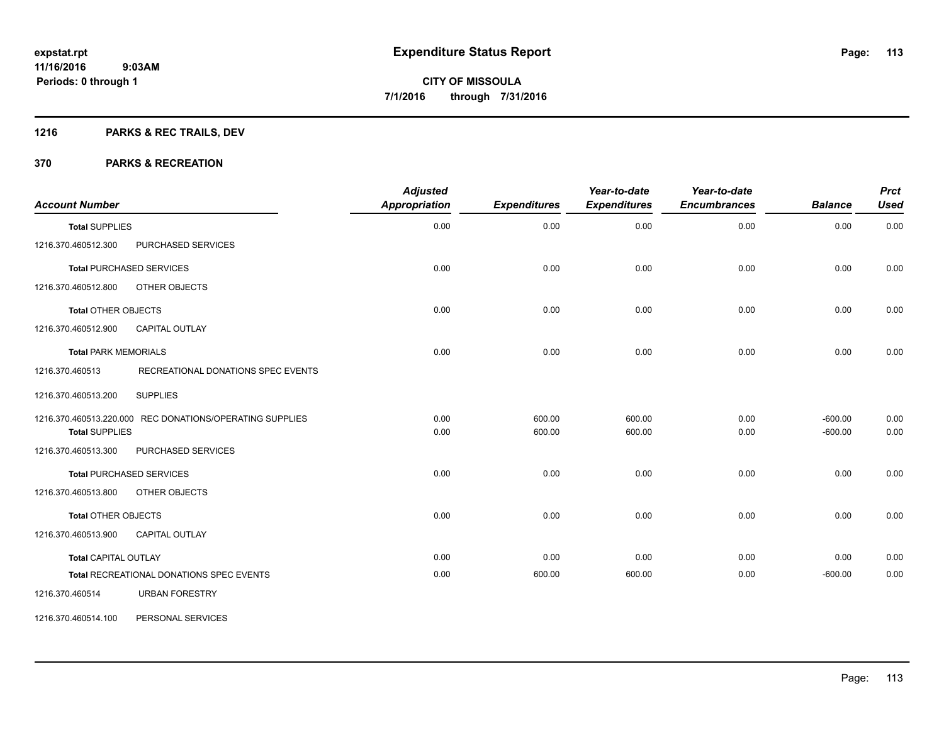# **1216 PARKS & REC TRAILS, DEV**

#### **370 PARKS & RECREATION**

| <b>Account Number</b>       |                                                          | <b>Adjusted</b><br><b>Appropriation</b> | <b>Expenditures</b> | Year-to-date<br><b>Expenditures</b> | Year-to-date<br><b>Encumbrances</b> | <b>Balance</b>         | <b>Prct</b><br><b>Used</b> |
|-----------------------------|----------------------------------------------------------|-----------------------------------------|---------------------|-------------------------------------|-------------------------------------|------------------------|----------------------------|
| <b>Total SUPPLIES</b>       |                                                          | 0.00                                    | 0.00                | 0.00                                | 0.00                                | 0.00                   | 0.00                       |
| 1216.370.460512.300         | PURCHASED SERVICES                                       |                                         |                     |                                     |                                     |                        |                            |
|                             | <b>Total PURCHASED SERVICES</b>                          | 0.00                                    | 0.00                | 0.00                                | 0.00                                | 0.00                   | 0.00                       |
| 1216.370.460512.800         | OTHER OBJECTS                                            |                                         |                     |                                     |                                     |                        |                            |
| <b>Total OTHER OBJECTS</b>  |                                                          | 0.00                                    | 0.00                | 0.00                                | 0.00                                | 0.00                   | 0.00                       |
| 1216.370.460512.900         | <b>CAPITAL OUTLAY</b>                                    |                                         |                     |                                     |                                     |                        |                            |
| <b>Total PARK MEMORIALS</b> |                                                          | 0.00                                    | 0.00                | 0.00                                | 0.00                                | 0.00                   | 0.00                       |
| 1216.370.460513             | RECREATIONAL DONATIONS SPEC EVENTS                       |                                         |                     |                                     |                                     |                        |                            |
| 1216.370.460513.200         | <b>SUPPLIES</b>                                          |                                         |                     |                                     |                                     |                        |                            |
| <b>Total SUPPLIES</b>       | 1216.370.460513.220.000 REC DONATIONS/OPERATING SUPPLIES | 0.00<br>0.00                            | 600.00<br>600.00    | 600.00<br>600.00                    | 0.00<br>0.00                        | $-600.00$<br>$-600.00$ | 0.00<br>0.00               |
| 1216.370.460513.300         | PURCHASED SERVICES                                       |                                         |                     |                                     |                                     |                        |                            |
|                             | <b>Total PURCHASED SERVICES</b>                          | 0.00                                    | 0.00                | 0.00                                | 0.00                                | 0.00                   | 0.00                       |
| 1216.370.460513.800         | OTHER OBJECTS                                            |                                         |                     |                                     |                                     |                        |                            |
| Total OTHER OBJECTS         |                                                          | 0.00                                    | 0.00                | 0.00                                | 0.00                                | 0.00                   | 0.00                       |
| 1216.370.460513.900         | <b>CAPITAL OUTLAY</b>                                    |                                         |                     |                                     |                                     |                        |                            |
| <b>Total CAPITAL OUTLAY</b> |                                                          | 0.00                                    | 0.00                | 0.00                                | 0.00                                | 0.00                   | 0.00                       |
|                             | Total RECREATIONAL DONATIONS SPEC EVENTS                 | 0.00                                    | 600.00              | 600.00                              | 0.00                                | $-600.00$              | 0.00                       |
| 1216.370.460514             | <b>URBAN FORESTRY</b>                                    |                                         |                     |                                     |                                     |                        |                            |

1216.370.460514.100 PERSONAL SERVICES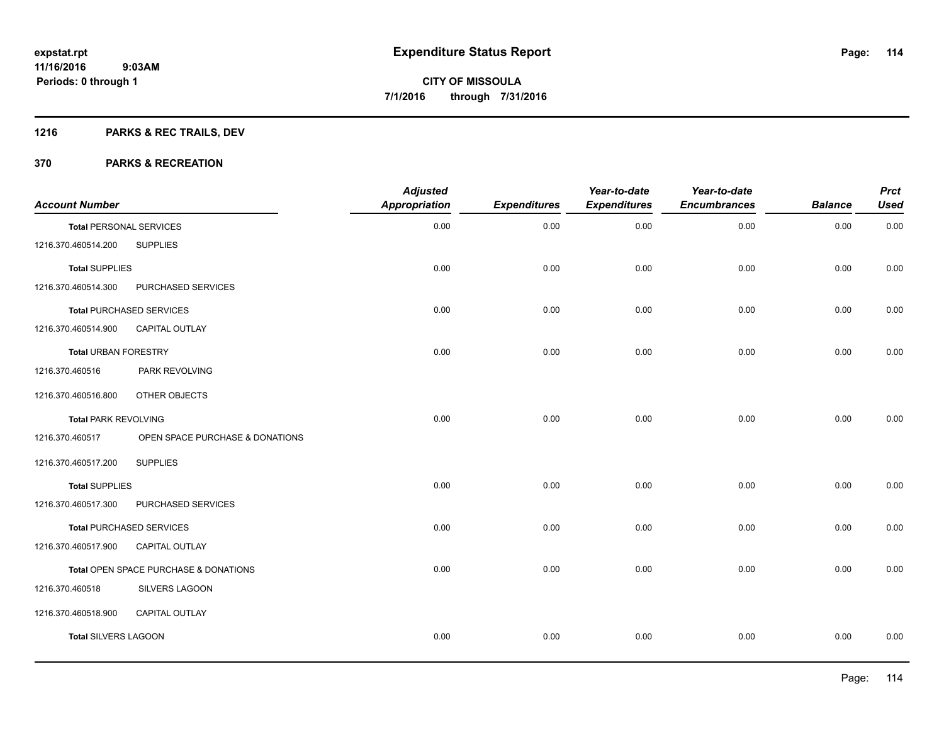# **1216 PARKS & REC TRAILS, DEV**

| <b>Account Number</b>          |                                       | <b>Adjusted</b><br><b>Appropriation</b> | <b>Expenditures</b> | Year-to-date<br><b>Expenditures</b> | Year-to-date<br><b>Encumbrances</b> | <b>Balance</b> | <b>Prct</b><br><b>Used</b> |
|--------------------------------|---------------------------------------|-----------------------------------------|---------------------|-------------------------------------|-------------------------------------|----------------|----------------------------|
| <b>Total PERSONAL SERVICES</b> |                                       | 0.00                                    | 0.00                | 0.00                                | 0.00                                | 0.00           | 0.00                       |
| 1216.370.460514.200            | <b>SUPPLIES</b>                       |                                         |                     |                                     |                                     |                |                            |
| <b>Total SUPPLIES</b>          |                                       | 0.00                                    | 0.00                | 0.00                                | 0.00                                | 0.00           | 0.00                       |
| 1216.370.460514.300            | PURCHASED SERVICES                    |                                         |                     |                                     |                                     |                |                            |
|                                | <b>Total PURCHASED SERVICES</b>       | 0.00                                    | 0.00                | 0.00                                | 0.00                                | 0.00           | 0.00                       |
| 1216.370.460514.900            | CAPITAL OUTLAY                        |                                         |                     |                                     |                                     |                |                            |
| <b>Total URBAN FORESTRY</b>    |                                       | 0.00                                    | 0.00                | 0.00                                | 0.00                                | 0.00           | 0.00                       |
| 1216.370.460516                | PARK REVOLVING                        |                                         |                     |                                     |                                     |                |                            |
| 1216.370.460516.800            | OTHER OBJECTS                         |                                         |                     |                                     |                                     |                |                            |
| <b>Total PARK REVOLVING</b>    |                                       | 0.00                                    | 0.00                | 0.00                                | 0.00                                | 0.00           | 0.00                       |
| 1216.370.460517                | OPEN SPACE PURCHASE & DONATIONS       |                                         |                     |                                     |                                     |                |                            |
| 1216.370.460517.200            | <b>SUPPLIES</b>                       |                                         |                     |                                     |                                     |                |                            |
| <b>Total SUPPLIES</b>          |                                       | 0.00                                    | 0.00                | 0.00                                | 0.00                                | 0.00           | 0.00                       |
| 1216.370.460517.300            | PURCHASED SERVICES                    |                                         |                     |                                     |                                     |                |                            |
|                                | <b>Total PURCHASED SERVICES</b>       | 0.00                                    | 0.00                | 0.00                                | 0.00                                | 0.00           | 0.00                       |
| 1216.370.460517.900            | CAPITAL OUTLAY                        |                                         |                     |                                     |                                     |                |                            |
|                                | Total OPEN SPACE PURCHASE & DONATIONS | 0.00                                    | 0.00                | 0.00                                | 0.00                                | 0.00           | 0.00                       |
| 1216.370.460518                | SILVERS LAGOON                        |                                         |                     |                                     |                                     |                |                            |
| 1216.370.460518.900            | <b>CAPITAL OUTLAY</b>                 |                                         |                     |                                     |                                     |                |                            |
| <b>Total SILVERS LAGOON</b>    |                                       | 0.00                                    | 0.00                | 0.00                                | 0.00                                | 0.00           | 0.00                       |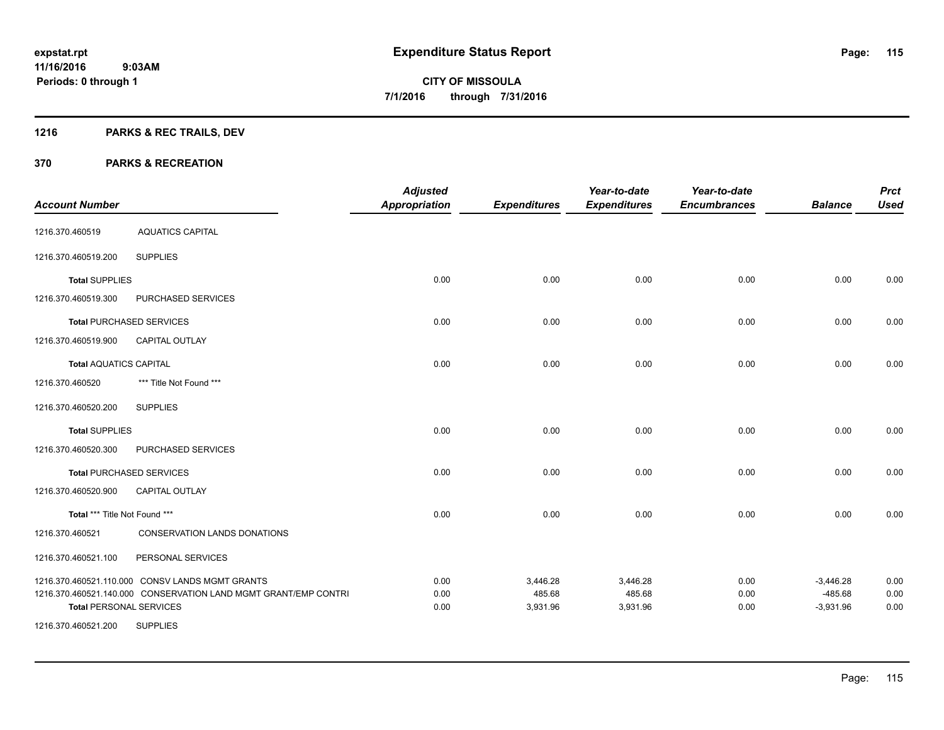# **1216 PARKS & REC TRAILS, DEV**

| <b>Account Number</b>          |                                                                 | <b>Adjusted</b><br><b>Appropriation</b> | <b>Expenditures</b> | Year-to-date<br><b>Expenditures</b> | Year-to-date<br><b>Encumbrances</b> | <b>Balance</b>           | <b>Prct</b><br><b>Used</b> |
|--------------------------------|-----------------------------------------------------------------|-----------------------------------------|---------------------|-------------------------------------|-------------------------------------|--------------------------|----------------------------|
| 1216.370.460519                | <b>AQUATICS CAPITAL</b>                                         |                                         |                     |                                     |                                     |                          |                            |
| 1216.370.460519.200            | <b>SUPPLIES</b>                                                 |                                         |                     |                                     |                                     |                          |                            |
| <b>Total SUPPLIES</b>          |                                                                 | 0.00                                    | 0.00                | 0.00                                | 0.00                                | 0.00                     | 0.00                       |
| 1216.370.460519.300            | PURCHASED SERVICES                                              |                                         |                     |                                     |                                     |                          |                            |
|                                | <b>Total PURCHASED SERVICES</b>                                 | 0.00                                    | 0.00                | 0.00                                | 0.00                                | 0.00                     | 0.00                       |
| 1216.370.460519.900            | <b>CAPITAL OUTLAY</b>                                           |                                         |                     |                                     |                                     |                          |                            |
| <b>Total AQUATICS CAPITAL</b>  |                                                                 | 0.00                                    | 0.00                | 0.00                                | 0.00                                | 0.00                     | 0.00                       |
| 1216.370.460520                | *** Title Not Found ***                                         |                                         |                     |                                     |                                     |                          |                            |
| 1216.370.460520.200            | <b>SUPPLIES</b>                                                 |                                         |                     |                                     |                                     |                          |                            |
| <b>Total SUPPLIES</b>          |                                                                 | 0.00                                    | 0.00                | 0.00                                | 0.00                                | 0.00                     | 0.00                       |
| 1216.370.460520.300            | PURCHASED SERVICES                                              |                                         |                     |                                     |                                     |                          |                            |
|                                | <b>Total PURCHASED SERVICES</b>                                 | 0.00                                    | 0.00                | 0.00                                | 0.00                                | 0.00                     | 0.00                       |
| 1216.370.460520.900            | <b>CAPITAL OUTLAY</b>                                           |                                         |                     |                                     |                                     |                          |                            |
| Total *** Title Not Found ***  |                                                                 | 0.00                                    | 0.00                | 0.00                                | 0.00                                | 0.00                     | 0.00                       |
| 1216.370.460521                | CONSERVATION LANDS DONATIONS                                    |                                         |                     |                                     |                                     |                          |                            |
| 1216.370.460521.100            | PERSONAL SERVICES                                               |                                         |                     |                                     |                                     |                          |                            |
|                                | 1216.370.460521.110.000 CONSV LANDS MGMT GRANTS                 | 0.00                                    | 3,446.28            | 3,446.28                            | 0.00                                | $-3,446.28$              | 0.00                       |
| <b>Total PERSONAL SERVICES</b> | 1216.370.460521.140.000 CONSERVATION LAND MGMT GRANT/EMP CONTRI | 0.00<br>0.00                            | 485.68<br>3,931.96  | 485.68<br>3,931.96                  | 0.00<br>0.00                        | $-485.68$<br>$-3,931.96$ | 0.00<br>0.00               |
| 1216.370.460521.200            | <b>SUPPLIES</b>                                                 |                                         |                     |                                     |                                     |                          |                            |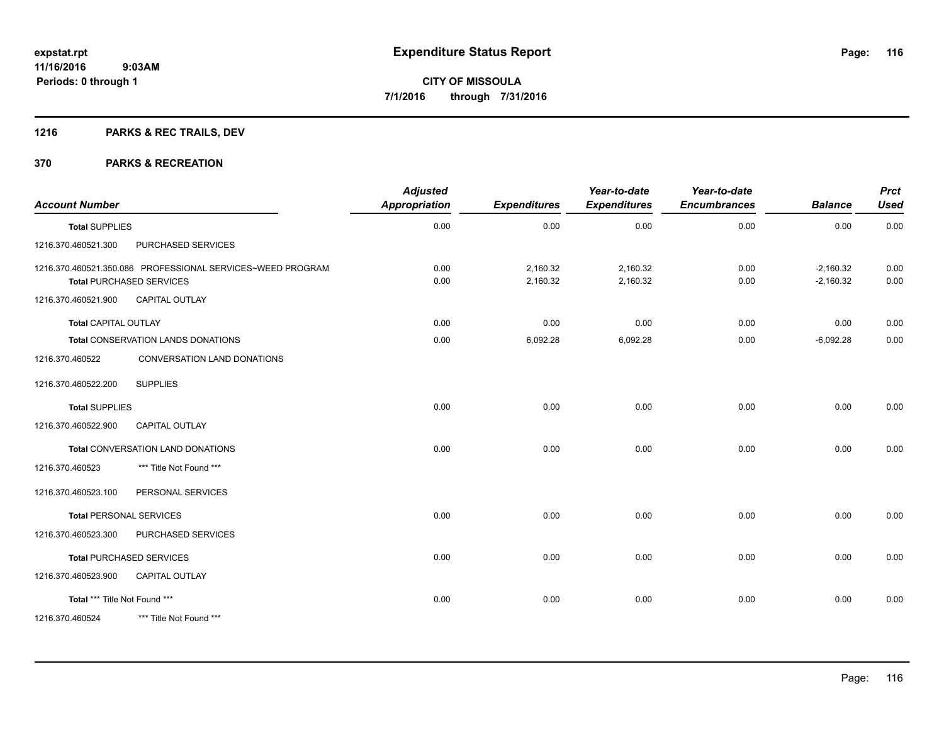# **1216 PARKS & REC TRAILS, DEV**

| <b>Account Number</b>         |                                                                                               | <b>Adjusted</b><br><b>Appropriation</b> | <b>Expenditures</b>  | Year-to-date<br><b>Expenditures</b> | Year-to-date<br><b>Encumbrances</b> | <b>Balance</b>             | <b>Prct</b><br><b>Used</b> |
|-------------------------------|-----------------------------------------------------------------------------------------------|-----------------------------------------|----------------------|-------------------------------------|-------------------------------------|----------------------------|----------------------------|
| <b>Total SUPPLIES</b>         |                                                                                               | 0.00                                    | 0.00                 | 0.00                                | 0.00                                | 0.00                       | 0.00                       |
| 1216.370.460521.300           | PURCHASED SERVICES                                                                            |                                         |                      |                                     |                                     |                            |                            |
|                               | 1216.370.460521.350.086 PROFESSIONAL SERVICES~WEED PROGRAM<br><b>Total PURCHASED SERVICES</b> | 0.00<br>0.00                            | 2,160.32<br>2,160.32 | 2,160.32<br>2,160.32                | 0.00<br>0.00                        | $-2,160.32$<br>$-2,160.32$ | 0.00<br>0.00               |
| 1216.370.460521.900           | <b>CAPITAL OUTLAY</b>                                                                         |                                         |                      |                                     |                                     |                            |                            |
| <b>Total CAPITAL OUTLAY</b>   |                                                                                               | 0.00                                    | 0.00                 | 0.00                                | 0.00                                | 0.00                       | 0.00                       |
|                               | <b>Total CONSERVATION LANDS DONATIONS</b>                                                     | 0.00                                    | 6,092.28             | 6,092.28                            | 0.00                                | $-6,092.28$                | 0.00                       |
| 1216.370.460522               | CONVERSATION LAND DONATIONS                                                                   |                                         |                      |                                     |                                     |                            |                            |
| 1216.370.460522.200           | <b>SUPPLIES</b>                                                                               |                                         |                      |                                     |                                     |                            |                            |
| <b>Total SUPPLIES</b>         |                                                                                               | 0.00                                    | 0.00                 | 0.00                                | 0.00                                | 0.00                       | 0.00                       |
| 1216.370.460522.900           | <b>CAPITAL OUTLAY</b>                                                                         |                                         |                      |                                     |                                     |                            |                            |
|                               | Total CONVERSATION LAND DONATIONS                                                             | 0.00                                    | 0.00                 | 0.00                                | 0.00                                | 0.00                       | 0.00                       |
| 1216.370.460523               | *** Title Not Found ***                                                                       |                                         |                      |                                     |                                     |                            |                            |
| 1216.370.460523.100           | PERSONAL SERVICES                                                                             |                                         |                      |                                     |                                     |                            |                            |
|                               | <b>Total PERSONAL SERVICES</b>                                                                | 0.00                                    | 0.00                 | 0.00                                | 0.00                                | 0.00                       | 0.00                       |
| 1216.370.460523.300           | PURCHASED SERVICES                                                                            |                                         |                      |                                     |                                     |                            |                            |
|                               | <b>Total PURCHASED SERVICES</b>                                                               | 0.00                                    | 0.00                 | 0.00                                | 0.00                                | 0.00                       | 0.00                       |
| 1216.370.460523.900           | <b>CAPITAL OUTLAY</b>                                                                         |                                         |                      |                                     |                                     |                            |                            |
| Total *** Title Not Found *** |                                                                                               | 0.00                                    | 0.00                 | 0.00                                | 0.00                                | 0.00                       | 0.00                       |
| 1216.370.460524               | *** Title Not Found ***                                                                       |                                         |                      |                                     |                                     |                            |                            |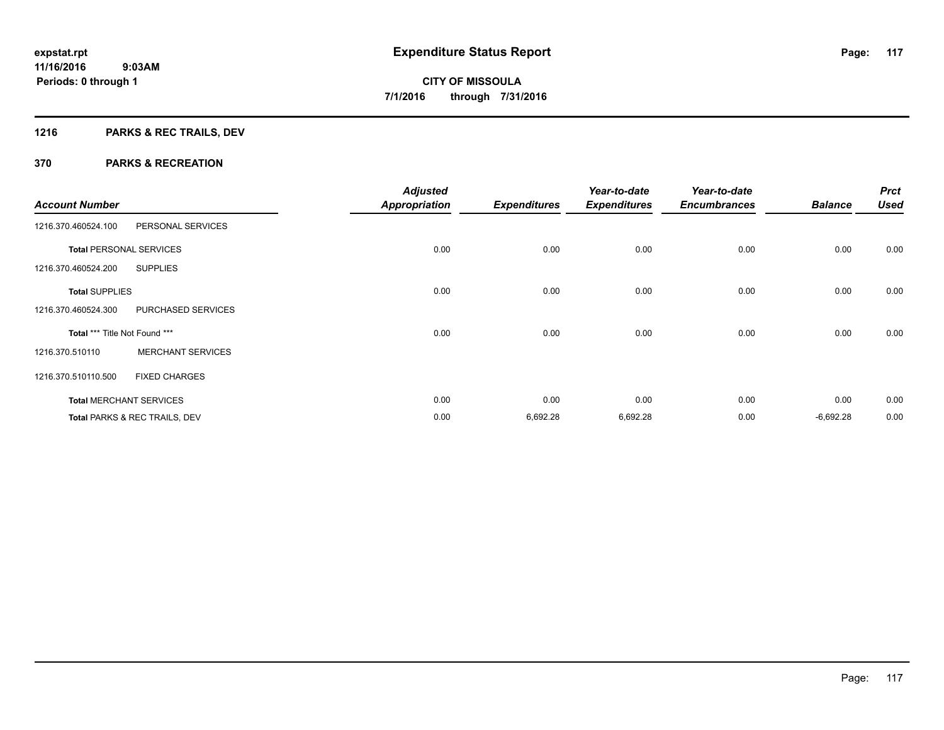# **1216 PARKS & REC TRAILS, DEV**

|                               |                                | <b>Adjusted</b>      |                     | Year-to-date        | Year-to-date        |                | <b>Prct</b> |
|-------------------------------|--------------------------------|----------------------|---------------------|---------------------|---------------------|----------------|-------------|
| <b>Account Number</b>         |                                | <b>Appropriation</b> | <b>Expenditures</b> | <b>Expenditures</b> | <b>Encumbrances</b> | <b>Balance</b> | <b>Used</b> |
| 1216.370.460524.100           | PERSONAL SERVICES              |                      |                     |                     |                     |                |             |
|                               | <b>Total PERSONAL SERVICES</b> | 0.00                 | 0.00                | 0.00                | 0.00                | 0.00           | 0.00        |
| 1216.370.460524.200           | <b>SUPPLIES</b>                |                      |                     |                     |                     |                |             |
| <b>Total SUPPLIES</b>         |                                | 0.00                 | 0.00                | 0.00                | 0.00                | 0.00           | 0.00        |
| 1216.370.460524.300           | PURCHASED SERVICES             |                      |                     |                     |                     |                |             |
| Total *** Title Not Found *** |                                | 0.00                 | 0.00                | 0.00                | 0.00                | 0.00           | 0.00        |
| 1216.370.510110               | <b>MERCHANT SERVICES</b>       |                      |                     |                     |                     |                |             |
| 1216.370.510110.500           | <b>FIXED CHARGES</b>           |                      |                     |                     |                     |                |             |
|                               | <b>Total MERCHANT SERVICES</b> | 0.00                 | 0.00                | 0.00                | 0.00                | 0.00           | 0.00        |
|                               | Total PARKS & REC TRAILS, DEV  | 0.00                 | 6,692.28            | 6,692.28            | 0.00                | $-6,692.28$    | 0.00        |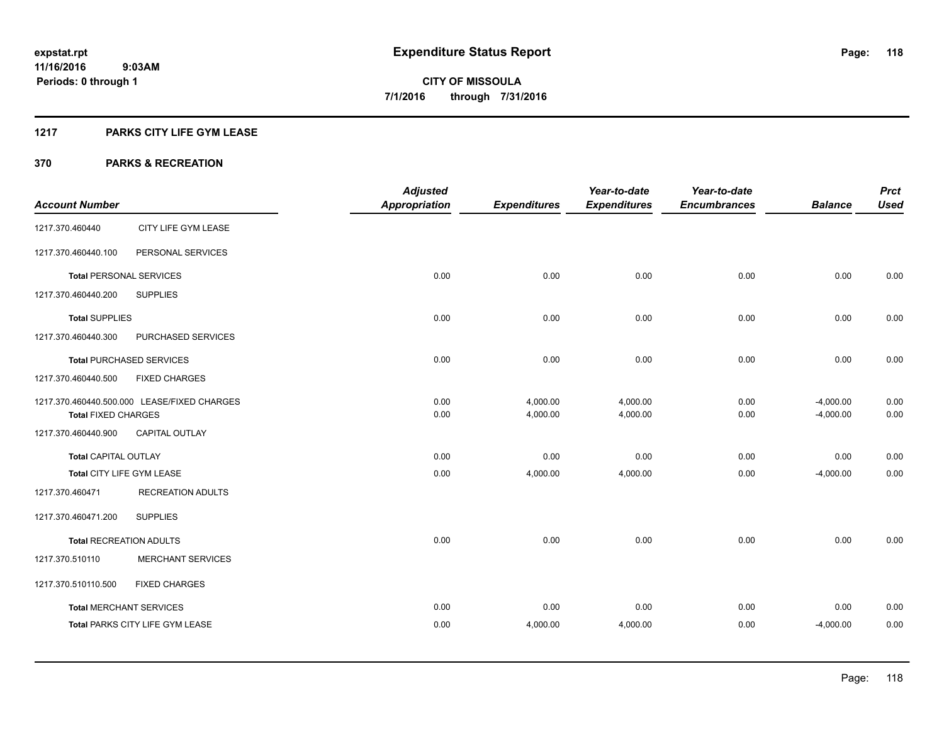# **1217 PARKS CITY LIFE GYM LEASE**

|                                |                                             | <b>Adjusted</b>      |                     | Year-to-date        | Year-to-date        |                | <b>Prct</b> |
|--------------------------------|---------------------------------------------|----------------------|---------------------|---------------------|---------------------|----------------|-------------|
| <b>Account Number</b>          |                                             | <b>Appropriation</b> | <b>Expenditures</b> | <b>Expenditures</b> | <b>Encumbrances</b> | <b>Balance</b> | <b>Used</b> |
| 1217.370.460440                | CITY LIFE GYM LEASE                         |                      |                     |                     |                     |                |             |
| 1217.370.460440.100            | PERSONAL SERVICES                           |                      |                     |                     |                     |                |             |
| <b>Total PERSONAL SERVICES</b> |                                             | 0.00                 | 0.00                | 0.00                | 0.00                | 0.00           | 0.00        |
| 1217.370.460440.200            | <b>SUPPLIES</b>                             |                      |                     |                     |                     |                |             |
| <b>Total SUPPLIES</b>          |                                             | 0.00                 | 0.00                | 0.00                | 0.00                | 0.00           | 0.00        |
| 1217.370.460440.300            | PURCHASED SERVICES                          |                      |                     |                     |                     |                |             |
|                                | <b>Total PURCHASED SERVICES</b>             | 0.00                 | 0.00                | 0.00                | 0.00                | 0.00           | 0.00        |
| 1217.370.460440.500            | <b>FIXED CHARGES</b>                        |                      |                     |                     |                     |                |             |
|                                | 1217.370.460440.500.000 LEASE/FIXED CHARGES | 0.00                 | 4,000.00            | 4,000.00            | 0.00                | $-4,000.00$    | 0.00        |
| <b>Total FIXED CHARGES</b>     |                                             | 0.00                 | 4,000.00            | 4,000.00            | 0.00                | $-4,000.00$    | 0.00        |
| 1217.370.460440.900            | <b>CAPITAL OUTLAY</b>                       |                      |                     |                     |                     |                |             |
| <b>Total CAPITAL OUTLAY</b>    |                                             | 0.00                 | 0.00                | 0.00                | 0.00                | 0.00           | 0.00        |
| Total CITY LIFE GYM LEASE      |                                             | 0.00                 | 4,000.00            | 4,000.00            | 0.00                | $-4,000.00$    | 0.00        |
| 1217.370.460471                | <b>RECREATION ADULTS</b>                    |                      |                     |                     |                     |                |             |
| 1217.370.460471.200            | <b>SUPPLIES</b>                             |                      |                     |                     |                     |                |             |
| <b>Total RECREATION ADULTS</b> |                                             | 0.00                 | 0.00                | 0.00                | 0.00                | 0.00           | 0.00        |
| 1217.370.510110                | <b>MERCHANT SERVICES</b>                    |                      |                     |                     |                     |                |             |
| 1217.370.510110.500            | <b>FIXED CHARGES</b>                        |                      |                     |                     |                     |                |             |
| <b>Total MERCHANT SERVICES</b> |                                             | 0.00                 | 0.00                | 0.00                | 0.00                | 0.00           | 0.00        |
|                                | Total PARKS CITY LIFE GYM LEASE             | 0.00                 | 4,000.00            | 4,000.00            | 0.00                | $-4,000.00$    | 0.00        |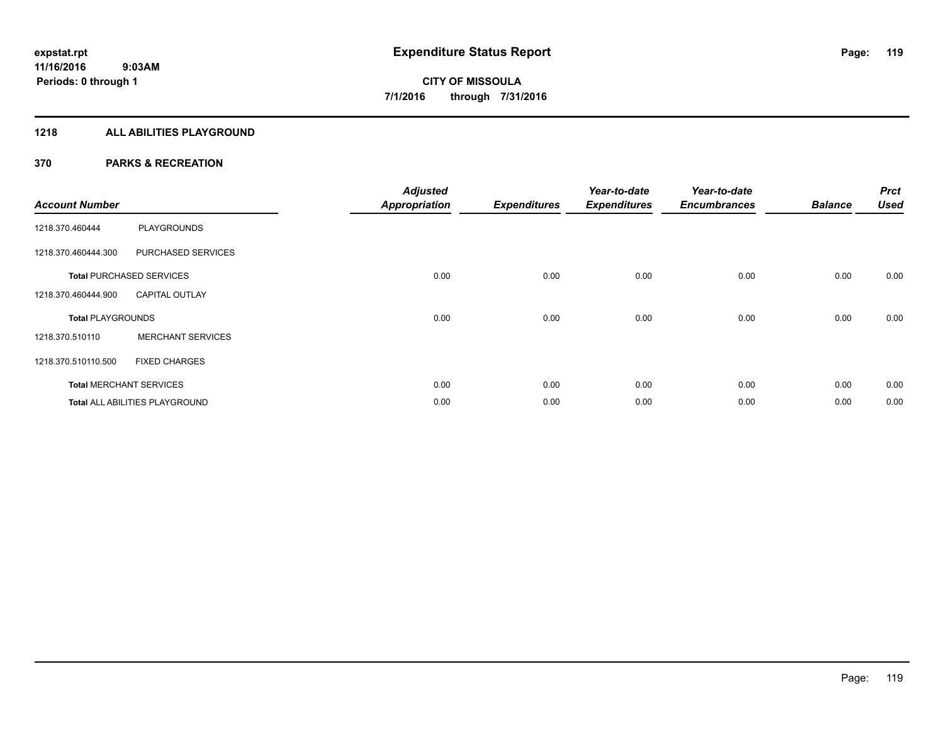# **1218 ALL ABILITIES PLAYGROUND**

| <b>Account Number</b>    |                                 | <b>Adjusted</b><br><b>Appropriation</b> | <b>Expenditures</b> | Year-to-date<br><b>Expenditures</b> | Year-to-date<br><b>Encumbrances</b> | <b>Balance</b> | <b>Prct</b><br><b>Used</b> |
|--------------------------|---------------------------------|-----------------------------------------|---------------------|-------------------------------------|-------------------------------------|----------------|----------------------------|
| 1218.370.460444          | <b>PLAYGROUNDS</b>              |                                         |                     |                                     |                                     |                |                            |
| 1218.370.460444.300      | PURCHASED SERVICES              |                                         |                     |                                     |                                     |                |                            |
|                          | <b>Total PURCHASED SERVICES</b> | 0.00                                    | 0.00                | 0.00                                | 0.00                                | 0.00           | 0.00                       |
| 1218.370.460444.900      | <b>CAPITAL OUTLAY</b>           |                                         |                     |                                     |                                     |                |                            |
| <b>Total PLAYGROUNDS</b> |                                 | 0.00                                    | 0.00                | 0.00                                | 0.00                                | 0.00           | 0.00                       |
| 1218.370.510110          | <b>MERCHANT SERVICES</b>        |                                         |                     |                                     |                                     |                |                            |
| 1218.370.510110.500      | <b>FIXED CHARGES</b>            |                                         |                     |                                     |                                     |                |                            |
|                          | <b>Total MERCHANT SERVICES</b>  | 0.00                                    | 0.00                | 0.00                                | 0.00                                | 0.00           | 0.00                       |
|                          | Total ALL ABILITIES PLAYGROUND  | 0.00                                    | 0.00                | 0.00                                | 0.00                                | 0.00           | 0.00                       |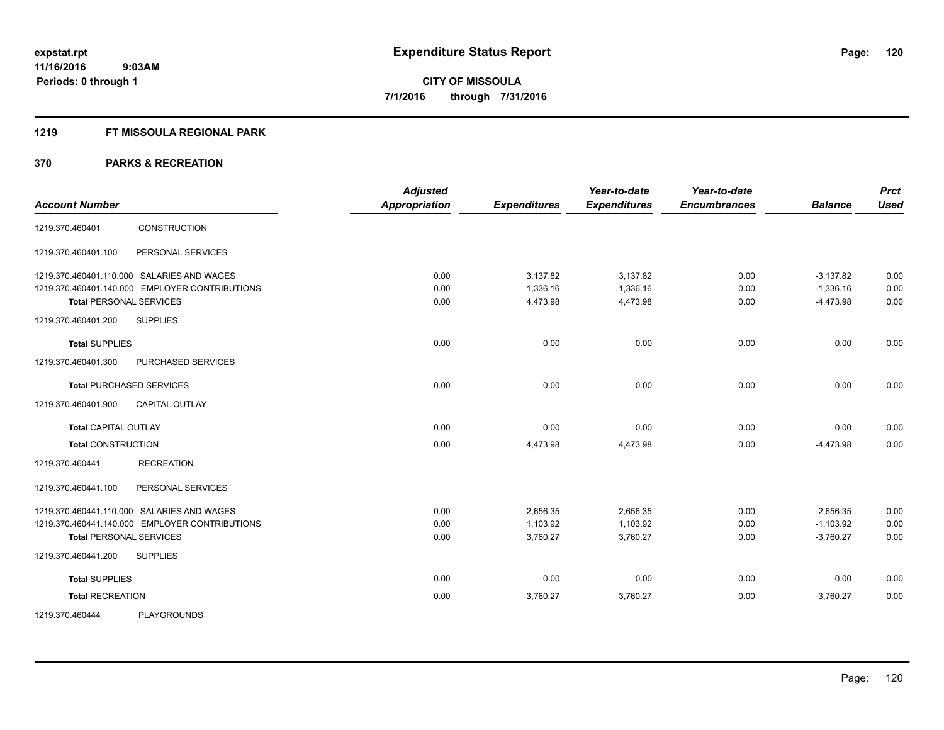# **1219 FT MISSOULA REGIONAL PARK**

|                                                | <b>Adjusted</b>      |                     | Year-to-date        | Year-to-date        |                | <b>Prct</b> |
|------------------------------------------------|----------------------|---------------------|---------------------|---------------------|----------------|-------------|
| <b>Account Number</b>                          | <b>Appropriation</b> | <b>Expenditures</b> | <b>Expenditures</b> | <b>Encumbrances</b> | <b>Balance</b> | <b>Used</b> |
| <b>CONSTRUCTION</b><br>1219.370.460401         |                      |                     |                     |                     |                |             |
| PERSONAL SERVICES<br>1219.370.460401.100       |                      |                     |                     |                     |                |             |
| 1219.370.460401.110.000 SALARIES AND WAGES     | 0.00                 | 3,137.82            | 3,137.82            | 0.00                | $-3,137.82$    | 0.00        |
| 1219.370.460401.140.000 EMPLOYER CONTRIBUTIONS | 0.00                 | 1,336.16            | 1,336.16            | 0.00                | $-1,336.16$    | 0.00        |
| <b>Total PERSONAL SERVICES</b>                 | 0.00                 | 4,473.98            | 4,473.98            | 0.00                | $-4,473.98$    | 0.00        |
| 1219.370.460401.200<br><b>SUPPLIES</b>         |                      |                     |                     |                     |                |             |
| <b>Total SUPPLIES</b>                          | 0.00                 | 0.00                | 0.00                | 0.00                | 0.00           | 0.00        |
| 1219.370.460401.300<br>PURCHASED SERVICES      |                      |                     |                     |                     |                |             |
| <b>Total PURCHASED SERVICES</b>                | 0.00                 | 0.00                | 0.00                | 0.00                | 0.00           | 0.00        |
| 1219.370.460401.900<br><b>CAPITAL OUTLAY</b>   |                      |                     |                     |                     |                |             |
| <b>Total CAPITAL OUTLAY</b>                    | 0.00                 | 0.00                | 0.00                | 0.00                | 0.00           | 0.00        |
| <b>Total CONSTRUCTION</b>                      | 0.00                 | 4,473.98            | 4,473.98            | 0.00                | $-4,473.98$    | 0.00        |
| <b>RECREATION</b><br>1219.370.460441           |                      |                     |                     |                     |                |             |
| 1219.370.460441.100<br>PERSONAL SERVICES       |                      |                     |                     |                     |                |             |
| 1219.370.460441.110.000 SALARIES AND WAGES     | 0.00                 | 2,656.35            | 2,656.35            | 0.00                | $-2,656.35$    | 0.00        |
| 1219.370.460441.140.000 EMPLOYER CONTRIBUTIONS | 0.00                 | 1,103.92            | 1,103.92            | 0.00                | $-1,103.92$    | 0.00        |
| <b>Total PERSONAL SERVICES</b>                 | 0.00                 | 3,760.27            | 3,760.27            | 0.00                | $-3,760.27$    | 0.00        |
| 1219.370.460441.200<br><b>SUPPLIES</b>         |                      |                     |                     |                     |                |             |
| <b>Total SUPPLIES</b>                          | 0.00                 | 0.00                | 0.00                | 0.00                | 0.00           | 0.00        |
| <b>Total RECREATION</b>                        | 0.00                 | 3,760.27            | 3,760.27            | 0.00                | $-3,760.27$    | 0.00        |
| <b>PLAYGROUNDS</b><br>1219.370.460444          |                      |                     |                     |                     |                |             |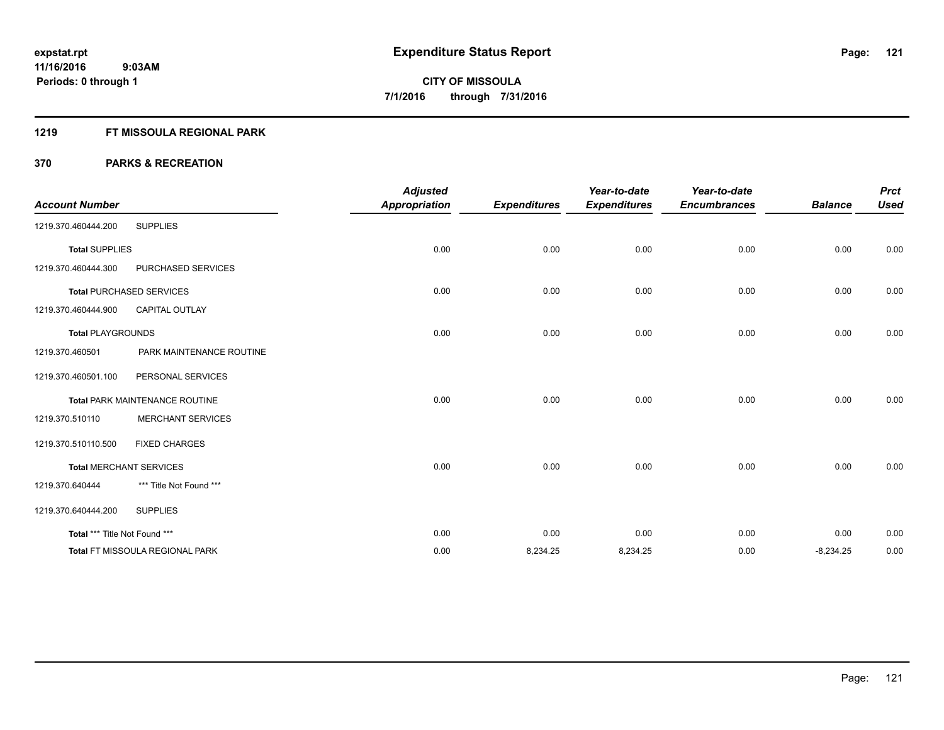# **1219 FT MISSOULA REGIONAL PARK**

| <b>Account Number</b>         |                                        | <b>Adjusted</b><br><b>Appropriation</b> | <b>Expenditures</b> | Year-to-date<br><b>Expenditures</b> | Year-to-date<br><b>Encumbrances</b> | <b>Balance</b> | <b>Prct</b><br><b>Used</b> |
|-------------------------------|----------------------------------------|-----------------------------------------|---------------------|-------------------------------------|-------------------------------------|----------------|----------------------------|
| 1219.370.460444.200           | <b>SUPPLIES</b>                        |                                         |                     |                                     |                                     |                |                            |
| <b>Total SUPPLIES</b>         |                                        | 0.00                                    | 0.00                | 0.00                                | 0.00                                | 0.00           | 0.00                       |
| 1219.370.460444.300           | PURCHASED SERVICES                     |                                         |                     |                                     |                                     |                |                            |
|                               | <b>Total PURCHASED SERVICES</b>        | 0.00                                    | 0.00                | 0.00                                | 0.00                                | 0.00           | 0.00                       |
| 1219.370.460444.900           | <b>CAPITAL OUTLAY</b>                  |                                         |                     |                                     |                                     |                |                            |
| <b>Total PLAYGROUNDS</b>      |                                        | 0.00                                    | 0.00                | 0.00                                | 0.00                                | 0.00           | 0.00                       |
| 1219.370.460501               | PARK MAINTENANCE ROUTINE               |                                         |                     |                                     |                                     |                |                            |
| 1219.370.460501.100           | PERSONAL SERVICES                      |                                         |                     |                                     |                                     |                |                            |
|                               | <b>Total PARK MAINTENANCE ROUTINE</b>  | 0.00                                    | 0.00                | 0.00                                | 0.00                                | 0.00           | 0.00                       |
| 1219.370.510110               | <b>MERCHANT SERVICES</b>               |                                         |                     |                                     |                                     |                |                            |
| 1219.370.510110.500           | <b>FIXED CHARGES</b>                   |                                         |                     |                                     |                                     |                |                            |
|                               | <b>Total MERCHANT SERVICES</b>         | 0.00                                    | 0.00                | 0.00                                | 0.00                                | 0.00           | 0.00                       |
| 1219.370.640444               | *** Title Not Found ***                |                                         |                     |                                     |                                     |                |                            |
| 1219.370.640444.200           | <b>SUPPLIES</b>                        |                                         |                     |                                     |                                     |                |                            |
| Total *** Title Not Found *** |                                        | 0.00                                    | 0.00                | 0.00                                | 0.00                                | 0.00           | 0.00                       |
|                               | <b>Total FT MISSOULA REGIONAL PARK</b> | 0.00                                    | 8,234.25            | 8,234.25                            | 0.00                                | $-8,234.25$    | 0.00                       |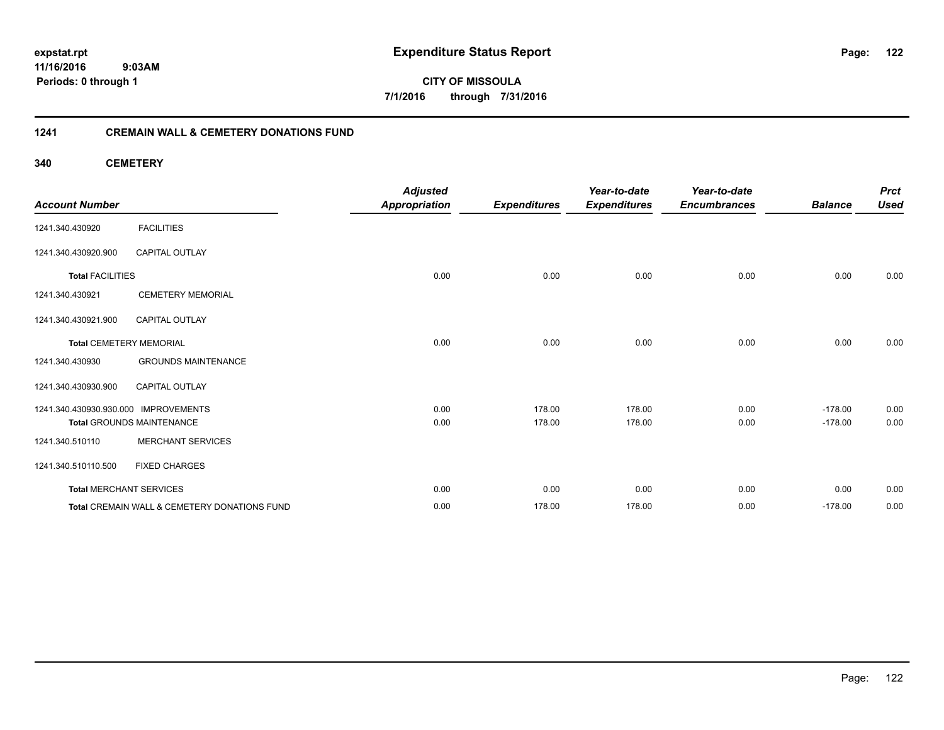**expstat.rpt Expenditure Status Report** 

**11/16/2016 9:03AM Periods: 0 through 1**

**CITY OF MISSOULA 7/1/2016 through 7/31/2016**

# **1241 CREMAIN WALL & CEMETERY DONATIONS FUND**

**340 CEMETERY**

| <b>Account Number</b>                |                                              | <b>Adjusted</b><br><b>Appropriation</b> | <b>Expenditures</b> | Year-to-date<br><b>Expenditures</b> | Year-to-date<br><b>Encumbrances</b> | <b>Balance</b> | <b>Prct</b><br><b>Used</b> |
|--------------------------------------|----------------------------------------------|-----------------------------------------|---------------------|-------------------------------------|-------------------------------------|----------------|----------------------------|
| 1241.340.430920                      | <b>FACILITIES</b>                            |                                         |                     |                                     |                                     |                |                            |
| 1241.340.430920.900                  | <b>CAPITAL OUTLAY</b>                        |                                         |                     |                                     |                                     |                |                            |
| <b>Total FACILITIES</b>              |                                              | 0.00                                    | 0.00                | 0.00                                | 0.00                                | 0.00           | 0.00                       |
| 1241.340.430921                      | <b>CEMETERY MEMORIAL</b>                     |                                         |                     |                                     |                                     |                |                            |
| 1241.340.430921.900                  | <b>CAPITAL OUTLAY</b>                        |                                         |                     |                                     |                                     |                |                            |
|                                      | <b>Total CEMETERY MEMORIAL</b>               | 0.00                                    | 0.00                | 0.00                                | 0.00                                | 0.00           | 0.00                       |
| 1241.340.430930                      | <b>GROUNDS MAINTENANCE</b>                   |                                         |                     |                                     |                                     |                |                            |
| 1241.340.430930.900                  | CAPITAL OUTLAY                               |                                         |                     |                                     |                                     |                |                            |
| 1241.340.430930.930.000 IMPROVEMENTS |                                              | 0.00                                    | 178.00              | 178.00                              | 0.00                                | $-178.00$      | 0.00                       |
|                                      | <b>Total GROUNDS MAINTENANCE</b>             | 0.00                                    | 178.00              | 178.00                              | 0.00                                | $-178.00$      | 0.00                       |
| 1241.340.510110                      | <b>MERCHANT SERVICES</b>                     |                                         |                     |                                     |                                     |                |                            |
| 1241.340.510110.500                  | <b>FIXED CHARGES</b>                         |                                         |                     |                                     |                                     |                |                            |
| <b>Total MERCHANT SERVICES</b>       |                                              | 0.00                                    | 0.00                | 0.00                                | 0.00                                | 0.00           | 0.00                       |
|                                      | Total CREMAIN WALL & CEMETERY DONATIONS FUND | 0.00                                    | 178.00              | 178.00                              | 0.00                                | $-178.00$      | 0.00                       |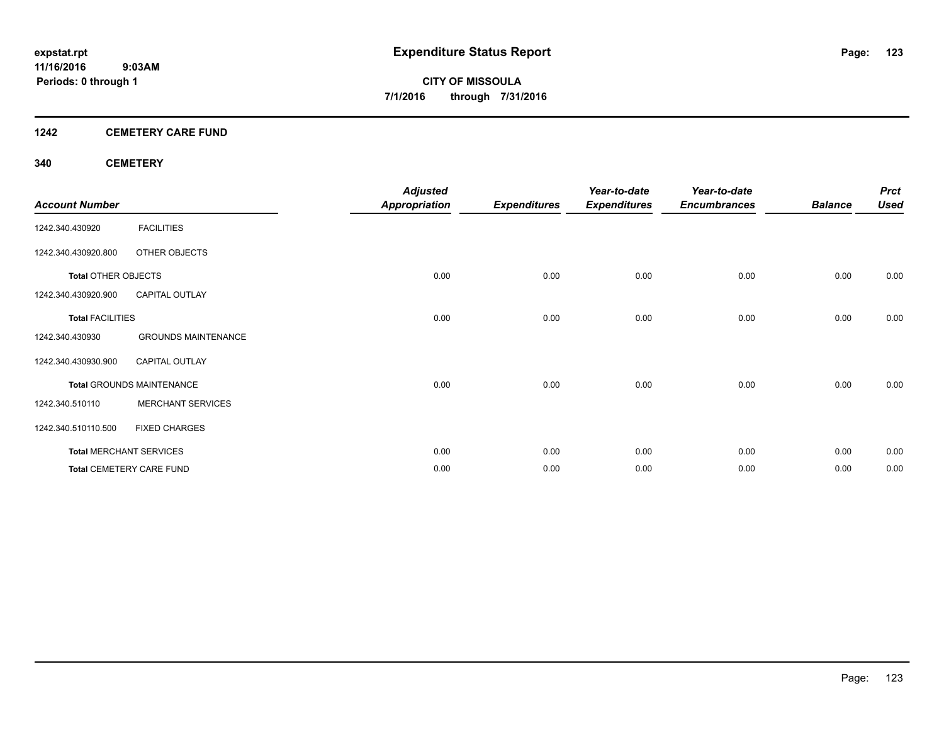# **1242 CEMETERY CARE FUND**

# **340 CEMETERY**

| <b>Account Number</b>      |                                  | <b>Adjusted</b><br><b>Appropriation</b> | <b>Expenditures</b> | Year-to-date<br><b>Expenditures</b> | Year-to-date<br><b>Encumbrances</b> | <b>Balance</b> | <b>Prct</b><br><b>Used</b> |
|----------------------------|----------------------------------|-----------------------------------------|---------------------|-------------------------------------|-------------------------------------|----------------|----------------------------|
| 1242.340.430920            | <b>FACILITIES</b>                |                                         |                     |                                     |                                     |                |                            |
| 1242.340.430920.800        | OTHER OBJECTS                    |                                         |                     |                                     |                                     |                |                            |
| <b>Total OTHER OBJECTS</b> |                                  | 0.00                                    | 0.00                | 0.00                                | 0.00                                | 0.00           | 0.00                       |
| 1242.340.430920.900        | <b>CAPITAL OUTLAY</b>            |                                         |                     |                                     |                                     |                |                            |
| <b>Total FACILITIES</b>    |                                  | 0.00                                    | 0.00                | 0.00                                | 0.00                                | 0.00           | 0.00                       |
| 1242.340.430930            | <b>GROUNDS MAINTENANCE</b>       |                                         |                     |                                     |                                     |                |                            |
| 1242.340.430930.900        | <b>CAPITAL OUTLAY</b>            |                                         |                     |                                     |                                     |                |                            |
|                            | <b>Total GROUNDS MAINTENANCE</b> | 0.00                                    | 0.00                | 0.00                                | 0.00                                | 0.00           | 0.00                       |
| 1242.340.510110            | <b>MERCHANT SERVICES</b>         |                                         |                     |                                     |                                     |                |                            |
| 1242.340.510110.500        | <b>FIXED CHARGES</b>             |                                         |                     |                                     |                                     |                |                            |
|                            | <b>Total MERCHANT SERVICES</b>   | 0.00                                    | 0.00                | 0.00                                | 0.00                                | 0.00           | 0.00                       |
|                            | <b>Total CEMETERY CARE FUND</b>  | 0.00                                    | 0.00                | 0.00                                | 0.00                                | 0.00           | 0.00                       |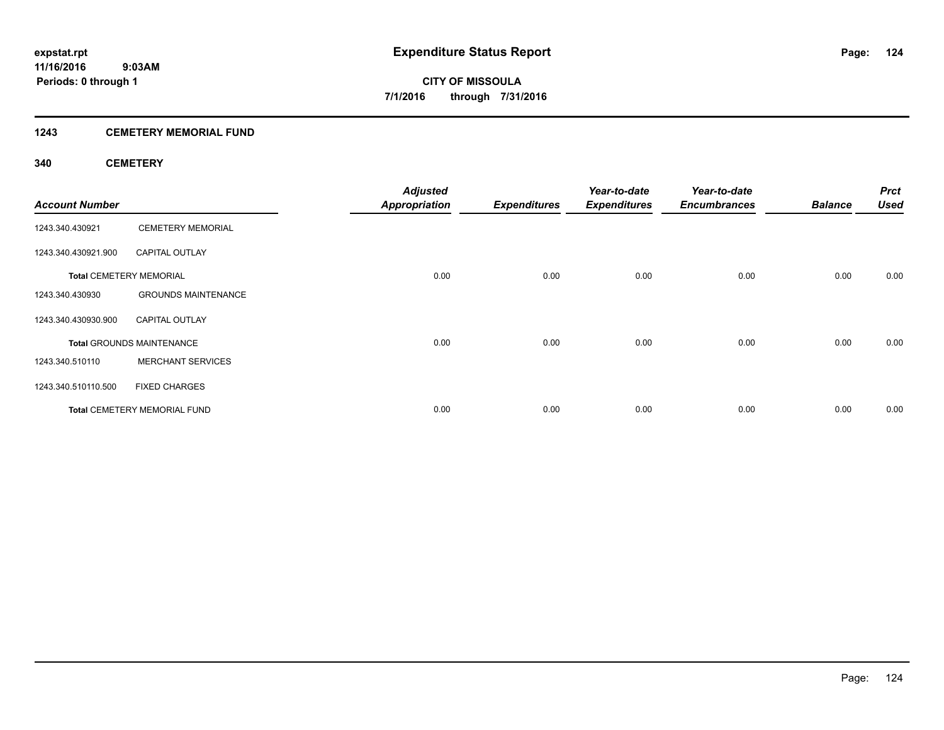# **1243 CEMETERY MEMORIAL FUND**

# **340 CEMETERY**

| <b>Account Number</b> |                                     | <b>Adjusted</b><br><b>Appropriation</b> | <b>Expenditures</b> | Year-to-date<br><b>Expenditures</b> | Year-to-date<br><b>Encumbrances</b> | <b>Balance</b> | <b>Prct</b><br><b>Used</b> |
|-----------------------|-------------------------------------|-----------------------------------------|---------------------|-------------------------------------|-------------------------------------|----------------|----------------------------|
| 1243.340.430921       | <b>CEMETERY MEMORIAL</b>            |                                         |                     |                                     |                                     |                |                            |
| 1243.340.430921.900   | <b>CAPITAL OUTLAY</b>               |                                         |                     |                                     |                                     |                |                            |
|                       | <b>Total CEMETERY MEMORIAL</b>      | 0.00                                    | 0.00                | 0.00                                | 0.00                                | 0.00           | 0.00                       |
| 1243.340.430930       | <b>GROUNDS MAINTENANCE</b>          |                                         |                     |                                     |                                     |                |                            |
| 1243.340.430930.900   | <b>CAPITAL OUTLAY</b>               |                                         |                     |                                     |                                     |                |                            |
|                       | <b>Total GROUNDS MAINTENANCE</b>    | 0.00                                    | 0.00                | 0.00                                | 0.00                                | 0.00           | 0.00                       |
| 1243.340.510110       | <b>MERCHANT SERVICES</b>            |                                         |                     |                                     |                                     |                |                            |
| 1243.340.510110.500   | <b>FIXED CHARGES</b>                |                                         |                     |                                     |                                     |                |                            |
|                       | <b>Total CEMETERY MEMORIAL FUND</b> | 0.00                                    | 0.00                | 0.00                                | 0.00                                | 0.00           | 0.00                       |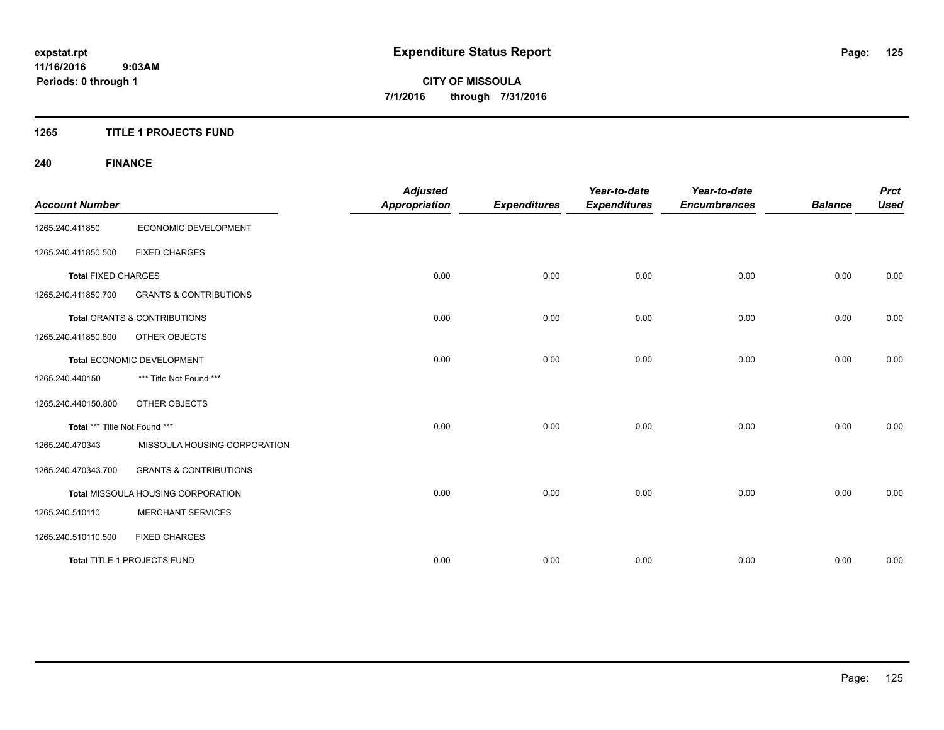# **1265 TITLE 1 PROJECTS FUND**

# **240 FINANCE**

| <b>Account Number</b>         |                                         | <b>Adjusted</b><br><b>Appropriation</b> | <b>Expenditures</b> | Year-to-date<br><b>Expenditures</b> | Year-to-date<br><b>Encumbrances</b> | <b>Balance</b> | <b>Prct</b><br><b>Used</b> |
|-------------------------------|-----------------------------------------|-----------------------------------------|---------------------|-------------------------------------|-------------------------------------|----------------|----------------------------|
| 1265.240.411850               | ECONOMIC DEVELOPMENT                    |                                         |                     |                                     |                                     |                |                            |
| 1265.240.411850.500           | <b>FIXED CHARGES</b>                    |                                         |                     |                                     |                                     |                |                            |
| <b>Total FIXED CHARGES</b>    |                                         | 0.00                                    | 0.00                | 0.00                                | 0.00                                | 0.00           | 0.00                       |
| 1265.240.411850.700           | <b>GRANTS &amp; CONTRIBUTIONS</b>       |                                         |                     |                                     |                                     |                |                            |
|                               | <b>Total GRANTS &amp; CONTRIBUTIONS</b> | 0.00                                    | 0.00                | 0.00                                | 0.00                                | 0.00           | 0.00                       |
| 1265.240.411850.800           | <b>OTHER OBJECTS</b>                    |                                         |                     |                                     |                                     |                |                            |
|                               | Total ECONOMIC DEVELOPMENT              | 0.00                                    | 0.00                | 0.00                                | 0.00                                | 0.00           | 0.00                       |
| 1265.240.440150               | *** Title Not Found ***                 |                                         |                     |                                     |                                     |                |                            |
| 1265.240.440150.800           | OTHER OBJECTS                           |                                         |                     |                                     |                                     |                |                            |
| Total *** Title Not Found *** |                                         | 0.00                                    | 0.00                | 0.00                                | 0.00                                | 0.00           | 0.00                       |
| 1265.240.470343               | MISSOULA HOUSING CORPORATION            |                                         |                     |                                     |                                     |                |                            |
| 1265.240.470343.700           | <b>GRANTS &amp; CONTRIBUTIONS</b>       |                                         |                     |                                     |                                     |                |                            |
|                               | Total MISSOULA HOUSING CORPORATION      | 0.00                                    | 0.00                | 0.00                                | 0.00                                | 0.00           | 0.00                       |
| 1265.240.510110               | <b>MERCHANT SERVICES</b>                |                                         |                     |                                     |                                     |                |                            |
| 1265.240.510110.500           | <b>FIXED CHARGES</b>                    |                                         |                     |                                     |                                     |                |                            |
|                               | Total TITLE 1 PROJECTS FUND             | 0.00                                    | 0.00                | 0.00                                | 0.00                                | 0.00           | 0.00                       |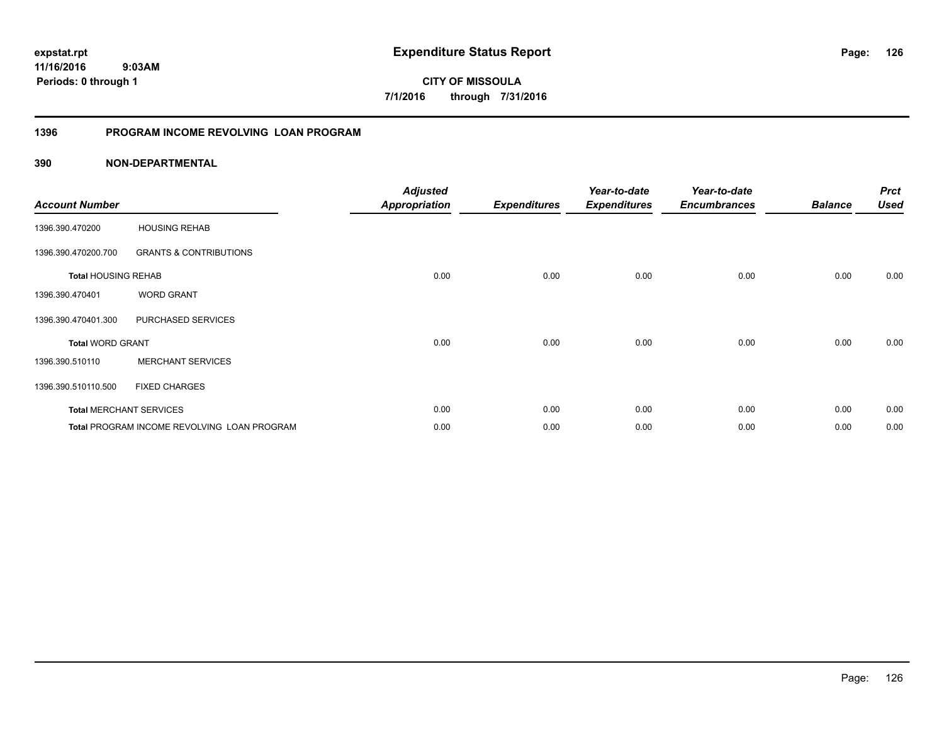**126**

**11/16/2016 9:03AM Periods: 0 through 1**

**CITY OF MISSOULA 7/1/2016 through 7/31/2016**

# **1396 PROGRAM INCOME REVOLVING LOAN PROGRAM**

| <b>Account Number</b>      |                                             | <b>Adjusted</b><br><b>Appropriation</b> | <b>Expenditures</b> | Year-to-date<br><b>Expenditures</b> | Year-to-date<br><b>Encumbrances</b> | <b>Balance</b> | <b>Prct</b><br><b>Used</b> |
|----------------------------|---------------------------------------------|-----------------------------------------|---------------------|-------------------------------------|-------------------------------------|----------------|----------------------------|
| 1396.390.470200            | <b>HOUSING REHAB</b>                        |                                         |                     |                                     |                                     |                |                            |
| 1396.390.470200.700        | <b>GRANTS &amp; CONTRIBUTIONS</b>           |                                         |                     |                                     |                                     |                |                            |
| <b>Total HOUSING REHAB</b> |                                             | 0.00                                    | 0.00                | 0.00                                | 0.00                                | 0.00           | 0.00                       |
| 1396.390.470401            | <b>WORD GRANT</b>                           |                                         |                     |                                     |                                     |                |                            |
| 1396.390.470401.300        | PURCHASED SERVICES                          |                                         |                     |                                     |                                     |                |                            |
| <b>Total WORD GRANT</b>    |                                             | 0.00                                    | 0.00                | 0.00                                | 0.00                                | 0.00           | 0.00                       |
| 1396.390.510110            | <b>MERCHANT SERVICES</b>                    |                                         |                     |                                     |                                     |                |                            |
| 1396.390.510110.500        | <b>FIXED CHARGES</b>                        |                                         |                     |                                     |                                     |                |                            |
|                            | <b>Total MERCHANT SERVICES</b>              | 0.00                                    | 0.00                | 0.00                                | 0.00                                | 0.00           | 0.00                       |
|                            | Total PROGRAM INCOME REVOLVING LOAN PROGRAM | 0.00                                    | 0.00                | 0.00                                | 0.00                                | 0.00           | 0.00                       |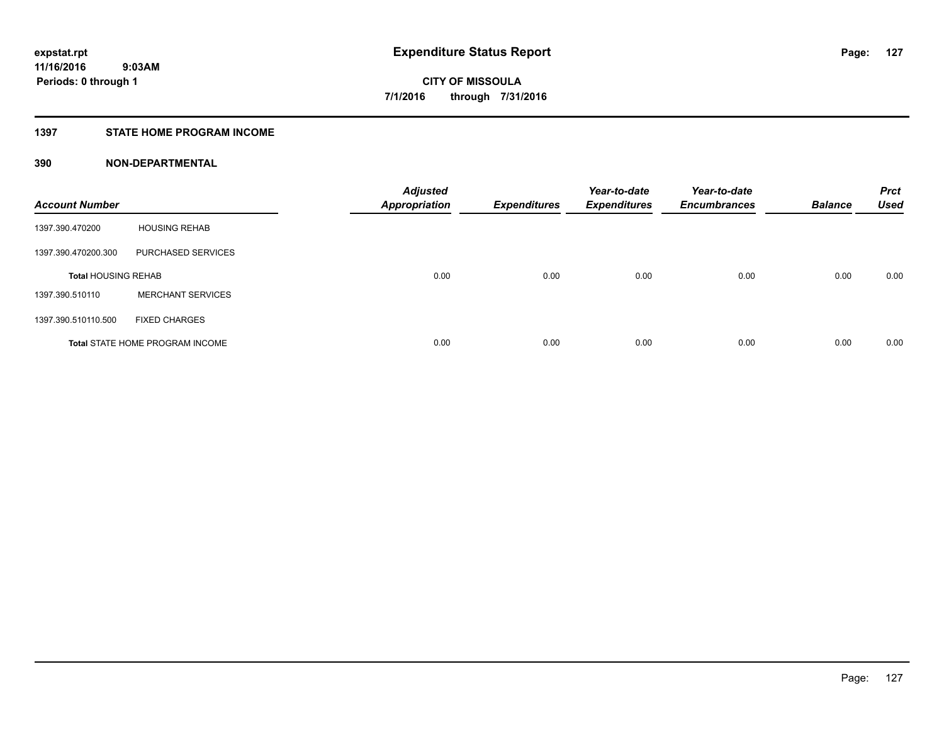# **1397 STATE HOME PROGRAM INCOME**

| <b>Account Number</b>      |                                        | <b>Adjusted</b><br><b>Appropriation</b> | <b>Expenditures</b> | Year-to-date<br><b>Expenditures</b> | Year-to-date<br><b>Encumbrances</b> | <b>Balance</b> | <b>Prct</b><br><b>Used</b> |
|----------------------------|----------------------------------------|-----------------------------------------|---------------------|-------------------------------------|-------------------------------------|----------------|----------------------------|
| 1397.390.470200            | <b>HOUSING REHAB</b>                   |                                         |                     |                                     |                                     |                |                            |
| 1397.390.470200.300        | PURCHASED SERVICES                     |                                         |                     |                                     |                                     |                |                            |
| <b>Total HOUSING REHAB</b> |                                        | 0.00                                    | 0.00                | 0.00                                | 0.00                                | 0.00           | 0.00                       |
| 1397.390.510110            | <b>MERCHANT SERVICES</b>               |                                         |                     |                                     |                                     |                |                            |
| 1397.390.510110.500        | <b>FIXED CHARGES</b>                   |                                         |                     |                                     |                                     |                |                            |
|                            | <b>Total STATE HOME PROGRAM INCOME</b> | 0.00                                    | 0.00                | 0.00                                | 0.00                                | 0.00           | 0.00                       |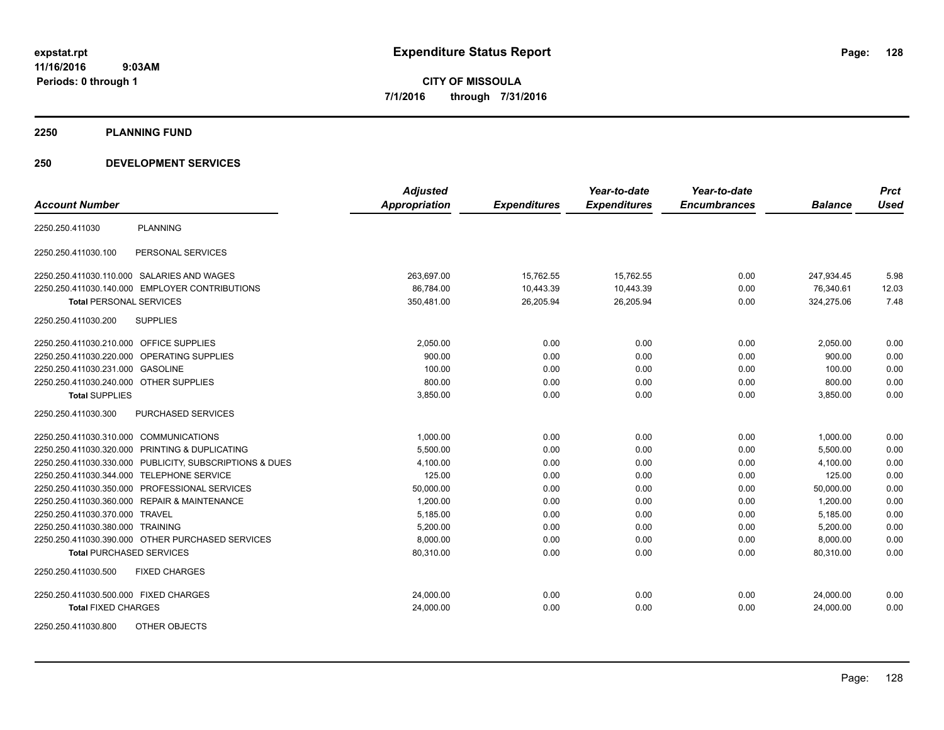**2250 PLANNING FUND**

# **250 DEVELOPMENT SERVICES**

|                                                            | <b>Adjusted</b> |                     | Year-to-date        | Year-to-date        |                | <b>Prct</b> |
|------------------------------------------------------------|-----------------|---------------------|---------------------|---------------------|----------------|-------------|
| <b>Account Number</b>                                      | Appropriation   | <b>Expenditures</b> | <b>Expenditures</b> | <b>Encumbrances</b> | <b>Balance</b> | <b>Used</b> |
| <b>PLANNING</b><br>2250.250.411030                         |                 |                     |                     |                     |                |             |
| PERSONAL SERVICES<br>2250.250.411030.100                   |                 |                     |                     |                     |                |             |
| 2250.250.411030.110.000 SALARIES AND WAGES                 | 263,697.00      | 15,762.55           | 15,762.55           | 0.00                | 247,934.45     | 5.98        |
| 2250.250.411030.140.000 EMPLOYER CONTRIBUTIONS             | 86,784.00       | 10,443.39           | 10,443.39           | 0.00                | 76,340.61      | 12.03       |
| <b>Total PERSONAL SERVICES</b>                             | 350,481.00      | 26,205.94           | 26,205.94           | 0.00                | 324,275.06     | 7.48        |
| 2250.250.411030.200<br><b>SUPPLIES</b>                     |                 |                     |                     |                     |                |             |
| 2250.250.411030.210.000 OFFICE SUPPLIES                    | 2,050.00        | 0.00                | 0.00                | 0.00                | 2,050.00       | 0.00        |
| OPERATING SUPPLIES<br>2250.250.411030.220.000              | 900.00          | 0.00                | 0.00                | 0.00                | 900.00         | 0.00        |
| <b>GASOLINE</b><br>2250.250.411030.231.000                 | 100.00          | 0.00                | 0.00                | 0.00                | 100.00         | 0.00        |
| 2250.250.411030.240.000 OTHER SUPPLIES                     | 800.00          | 0.00                | 0.00                | 0.00                | 800.00         | 0.00        |
| <b>Total SUPPLIES</b>                                      | 3,850.00        | 0.00                | 0.00                | 0.00                | 3,850.00       | 0.00        |
| <b>PURCHASED SERVICES</b><br>2250.250.411030.300           |                 |                     |                     |                     |                |             |
| 2250.250.411030.310.000<br><b>COMMUNICATIONS</b>           | 1,000.00        | 0.00                | 0.00                | 0.00                | 1,000.00       | 0.00        |
| 2250.250.411030.320.000 PRINTING & DUPLICATING             | 5,500.00        | 0.00                | 0.00                | 0.00                | 5,500.00       | 0.00        |
| PUBLICITY, SUBSCRIPTIONS & DUES<br>2250.250.411030.330.000 | 4,100.00        | 0.00                | 0.00                | 0.00                | 4,100.00       | 0.00        |
| <b>TELEPHONE SERVICE</b><br>2250.250.411030.344.000        | 125.00          | 0.00                | 0.00                | 0.00                | 125.00         | 0.00        |
| PROFESSIONAL SERVICES<br>2250.250.411030.350.000           | 50,000.00       | 0.00                | 0.00                | 0.00                | 50,000.00      | 0.00        |
| 2250.250.411030.360.000 REPAIR & MAINTENANCE               | 1,200.00        | 0.00                | 0.00                | 0.00                | 1,200.00       | 0.00        |
| 2250.250.411030.370.000 TRAVEL                             | 5,185.00        | 0.00                | 0.00                | 0.00                | 5,185.00       | 0.00        |
| 2250.250.411030.380.000 TRAINING                           | 5,200.00        | 0.00                | 0.00                | 0.00                | 5,200.00       | 0.00        |
| 2250.250.411030.390.000 OTHER PURCHASED SERVICES           | 8,000.00        | 0.00                | 0.00                | 0.00                | 8,000.00       | 0.00        |
| <b>Total PURCHASED SERVICES</b>                            | 80,310.00       | 0.00                | 0.00                | 0.00                | 80,310.00      | 0.00        |
| 2250.250.411030.500<br><b>FIXED CHARGES</b>                |                 |                     |                     |                     |                |             |
| 2250.250.411030.500.000 FIXED CHARGES                      | 24,000.00       | 0.00                | 0.00                | 0.00                | 24,000.00      | 0.00        |
| <b>Total FIXED CHARGES</b>                                 | 24,000.00       | 0.00                | 0.00                | 0.00                | 24,000.00      | 0.00        |
| OTHER OBJECTS<br>2250.250.411030.800                       |                 |                     |                     |                     |                |             |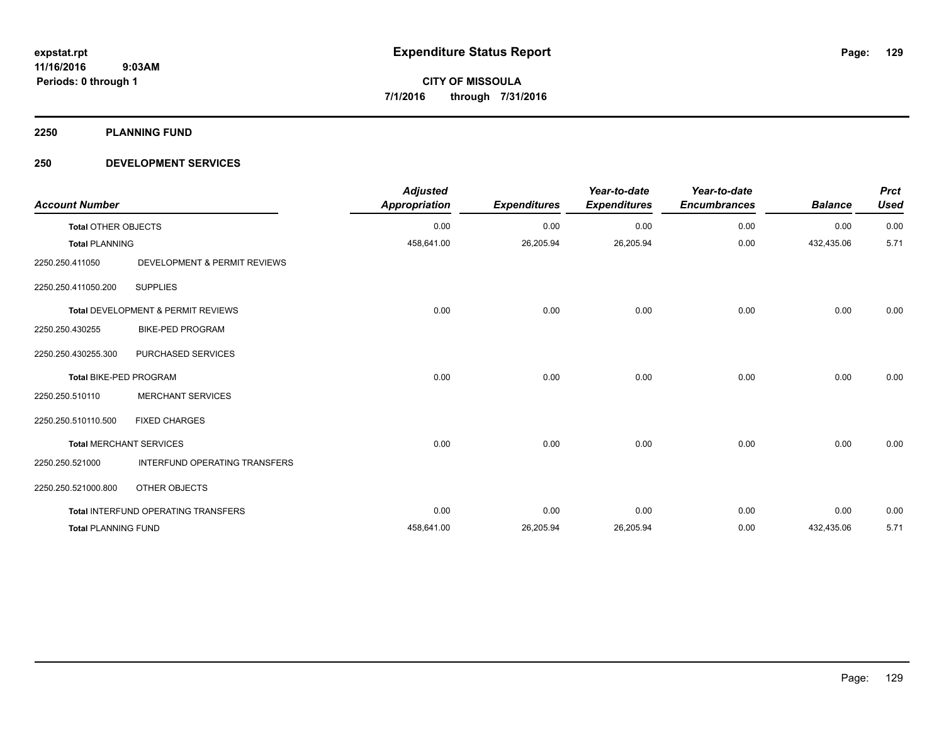**2250 PLANNING FUND**

# **250 DEVELOPMENT SERVICES**

| <b>Account Number</b>      |                                      | <b>Adjusted</b><br><b>Appropriation</b> | <b>Expenditures</b> | Year-to-date<br><b>Expenditures</b> | Year-to-date<br><b>Encumbrances</b> | <b>Balance</b> | <b>Prct</b><br><b>Used</b> |
|----------------------------|--------------------------------------|-----------------------------------------|---------------------|-------------------------------------|-------------------------------------|----------------|----------------------------|
| <b>Total OTHER OBJECTS</b> |                                      | 0.00                                    | 0.00                | 0.00                                | 0.00                                | 0.00           | 0.00                       |
| <b>Total PLANNING</b>      |                                      | 458,641.00                              | 26,205.94           | 26,205.94                           | 0.00                                | 432,435.06     | 5.71                       |
| 2250.250.411050            | DEVELOPMENT & PERMIT REVIEWS         |                                         |                     |                                     |                                     |                |                            |
| 2250.250.411050.200        | <b>SUPPLIES</b>                      |                                         |                     |                                     |                                     |                |                            |
|                            | Total DEVELOPMENT & PERMIT REVIEWS   | 0.00                                    | 0.00                | 0.00                                | 0.00                                | 0.00           | 0.00                       |
| 2250.250.430255            | <b>BIKE-PED PROGRAM</b>              |                                         |                     |                                     |                                     |                |                            |
| 2250.250.430255.300        | PURCHASED SERVICES                   |                                         |                     |                                     |                                     |                |                            |
| Total BIKE-PED PROGRAM     |                                      | 0.00                                    | 0.00                | 0.00                                | 0.00                                | 0.00           | 0.00                       |
| 2250.250.510110            | <b>MERCHANT SERVICES</b>             |                                         |                     |                                     |                                     |                |                            |
| 2250.250.510110.500        | <b>FIXED CHARGES</b>                 |                                         |                     |                                     |                                     |                |                            |
|                            | <b>Total MERCHANT SERVICES</b>       | 0.00                                    | 0.00                | 0.00                                | 0.00                                | 0.00           | 0.00                       |
| 2250.250.521000            | <b>INTERFUND OPERATING TRANSFERS</b> |                                         |                     |                                     |                                     |                |                            |
| 2250.250.521000.800        | OTHER OBJECTS                        |                                         |                     |                                     |                                     |                |                            |
|                            | Total INTERFUND OPERATING TRANSFERS  | 0.00                                    | 0.00                | 0.00                                | 0.00                                | 0.00           | 0.00                       |
| <b>Total PLANNING FUND</b> |                                      | 458,641.00                              | 26,205.94           | 26,205.94                           | 0.00                                | 432,435.06     | 5.71                       |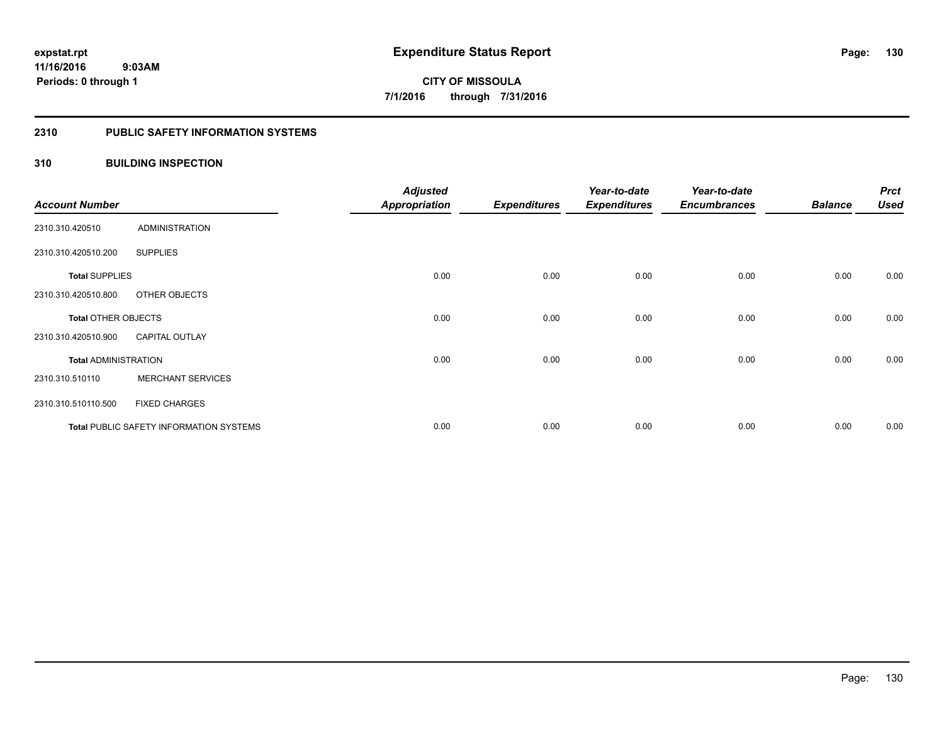#### **2310 PUBLIC SAFETY INFORMATION SYSTEMS**

# **310 BUILDING INSPECTION**

| <b>Account Number</b>       |                                                | <b>Adjusted</b><br><b>Appropriation</b> | <b>Expenditures</b> | Year-to-date<br><b>Expenditures</b> | Year-to-date<br><b>Encumbrances</b> | <b>Balance</b> | <b>Prct</b><br><b>Used</b> |
|-----------------------------|------------------------------------------------|-----------------------------------------|---------------------|-------------------------------------|-------------------------------------|----------------|----------------------------|
| 2310.310.420510             | <b>ADMINISTRATION</b>                          |                                         |                     |                                     |                                     |                |                            |
| 2310.310.420510.200         | <b>SUPPLIES</b>                                |                                         |                     |                                     |                                     |                |                            |
| <b>Total SUPPLIES</b>       |                                                | 0.00                                    | 0.00                | 0.00                                | 0.00                                | 0.00           | 0.00                       |
| 2310.310.420510.800         | OTHER OBJECTS                                  |                                         |                     |                                     |                                     |                |                            |
| <b>Total OTHER OBJECTS</b>  |                                                | 0.00                                    | 0.00                | 0.00                                | 0.00                                | 0.00           | 0.00                       |
| 2310.310.420510.900         | <b>CAPITAL OUTLAY</b>                          |                                         |                     |                                     |                                     |                |                            |
| <b>Total ADMINISTRATION</b> |                                                | 0.00                                    | 0.00                | 0.00                                | 0.00                                | 0.00           | 0.00                       |
| 2310.310.510110             | <b>MERCHANT SERVICES</b>                       |                                         |                     |                                     |                                     |                |                            |
| 2310.310.510110.500         | <b>FIXED CHARGES</b>                           |                                         |                     |                                     |                                     |                |                            |
|                             | <b>Total PUBLIC SAFETY INFORMATION SYSTEMS</b> | 0.00                                    | 0.00                | 0.00                                | 0.00                                | 0.00           | 0.00                       |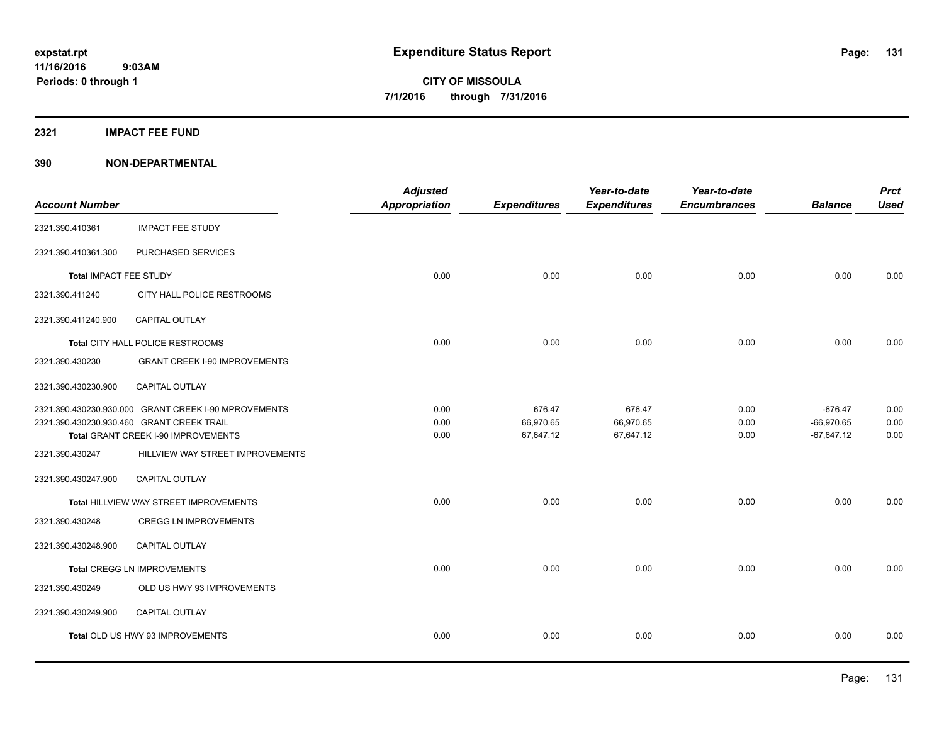# **2321 IMPACT FEE FUND**

|                        |                                                      | <b>Adjusted</b> |                     | Year-to-date        | Year-to-date        |                | <b>Prct</b> |
|------------------------|------------------------------------------------------|-----------------|---------------------|---------------------|---------------------|----------------|-------------|
| <b>Account Number</b>  |                                                      | Appropriation   | <b>Expenditures</b> | <b>Expenditures</b> | <b>Encumbrances</b> | <b>Balance</b> | <b>Used</b> |
| 2321.390.410361        | <b>IMPACT FEE STUDY</b>                              |                 |                     |                     |                     |                |             |
| 2321.390.410361.300    | PURCHASED SERVICES                                   |                 |                     |                     |                     |                |             |
| Total IMPACT FEE STUDY |                                                      | 0.00            | 0.00                | 0.00                | 0.00                | 0.00           | 0.00        |
| 2321.390.411240        | CITY HALL POLICE RESTROOMS                           |                 |                     |                     |                     |                |             |
| 2321.390.411240.900    | <b>CAPITAL OUTLAY</b>                                |                 |                     |                     |                     |                |             |
|                        | Total CITY HALL POLICE RESTROOMS                     | 0.00            | 0.00                | 0.00                | 0.00                | 0.00           | 0.00        |
| 2321.390.430230        | <b>GRANT CREEK I-90 IMPROVEMENTS</b>                 |                 |                     |                     |                     |                |             |
| 2321.390.430230.900    | CAPITAL OUTLAY                                       |                 |                     |                     |                     |                |             |
|                        | 2321.390.430230.930.000 GRANT CREEK I-90 MPROVEMENTS | 0.00            | 676.47              | 676.47              | 0.00                | $-676.47$      | 0.00        |
|                        | 2321.390.430230.930.460 GRANT CREEK TRAIL            | 0.00            | 66,970.65           | 66,970.65           | 0.00                | $-66,970.65$   | 0.00        |
|                        | Total GRANT CREEK I-90 IMPROVEMENTS                  | 0.00            | 67,647.12           | 67,647.12           | 0.00                | $-67.647.12$   | 0.00        |
| 2321.390.430247        | HILLVIEW WAY STREET IMPROVEMENTS                     |                 |                     |                     |                     |                |             |
| 2321.390.430247.900    | <b>CAPITAL OUTLAY</b>                                |                 |                     |                     |                     |                |             |
|                        | Total HILLVIEW WAY STREET IMPROVEMENTS               | 0.00            | 0.00                | 0.00                | 0.00                | 0.00           | 0.00        |
| 2321.390.430248        | <b>CREGG LN IMPROVEMENTS</b>                         |                 |                     |                     |                     |                |             |
| 2321.390.430248.900    | <b>CAPITAL OUTLAY</b>                                |                 |                     |                     |                     |                |             |
|                        | Total CREGG LN IMPROVEMENTS                          | 0.00            | 0.00                | 0.00                | 0.00                | 0.00           | 0.00        |
| 2321.390.430249        | OLD US HWY 93 IMPROVEMENTS                           |                 |                     |                     |                     |                |             |
| 2321.390.430249.900    | CAPITAL OUTLAY                                       |                 |                     |                     |                     |                |             |
|                        | Total OLD US HWY 93 IMPROVEMENTS                     | 0.00            | 0.00                | 0.00                | 0.00                | 0.00           | 0.00        |
|                        |                                                      |                 |                     |                     |                     |                |             |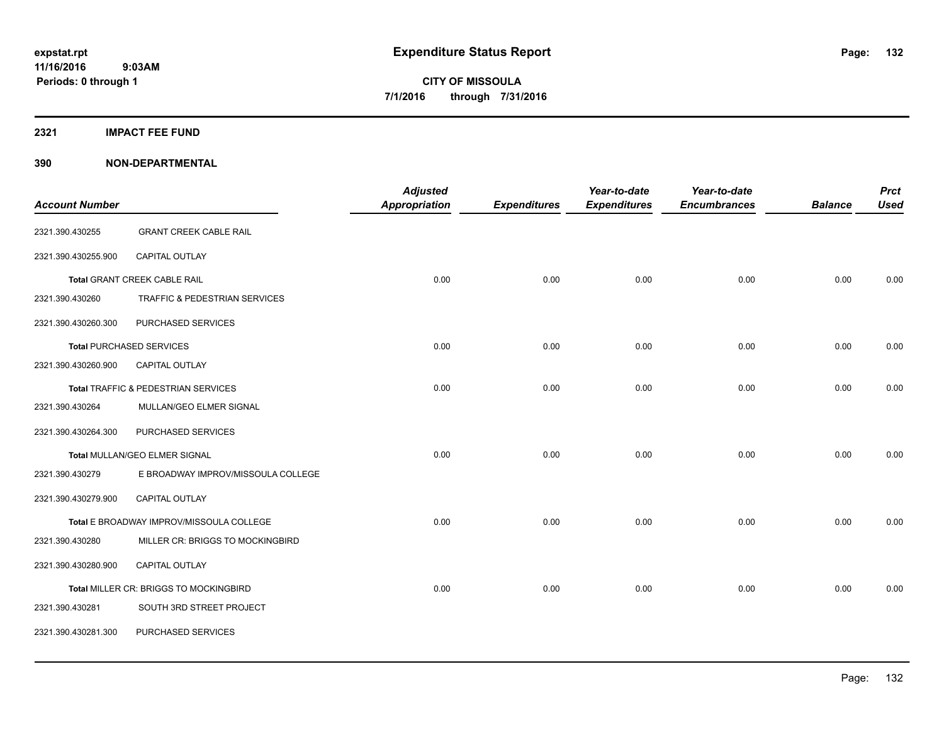# **2321 IMPACT FEE FUND**

|                       |                                          | <b>Adjusted</b>      |                     | Year-to-date        | Year-to-date        |                | <b>Prct</b> |
|-----------------------|------------------------------------------|----------------------|---------------------|---------------------|---------------------|----------------|-------------|
| <b>Account Number</b> |                                          | <b>Appropriation</b> | <b>Expenditures</b> | <b>Expenditures</b> | <b>Encumbrances</b> | <b>Balance</b> | <b>Used</b> |
| 2321.390.430255       | <b>GRANT CREEK CABLE RAIL</b>            |                      |                     |                     |                     |                |             |
| 2321.390.430255.900   | CAPITAL OUTLAY                           |                      |                     |                     |                     |                |             |
|                       | <b>Total GRANT CREEK CABLE RAIL</b>      | 0.00                 | 0.00                | 0.00                | 0.00                | 0.00           | 0.00        |
| 2321.390.430260       | TRAFFIC & PEDESTRIAN SERVICES            |                      |                     |                     |                     |                |             |
| 2321.390.430260.300   | PURCHASED SERVICES                       |                      |                     |                     |                     |                |             |
|                       | <b>Total PURCHASED SERVICES</b>          | 0.00                 | 0.00                | 0.00                | 0.00                | 0.00           | 0.00        |
| 2321.390.430260.900   | <b>CAPITAL OUTLAY</b>                    |                      |                     |                     |                     |                |             |
|                       | Total TRAFFIC & PEDESTRIAN SERVICES      | 0.00                 | 0.00                | 0.00                | 0.00                | 0.00           | 0.00        |
| 2321.390.430264       | MULLAN/GEO ELMER SIGNAL                  |                      |                     |                     |                     |                |             |
| 2321.390.430264.300   | PURCHASED SERVICES                       |                      |                     |                     |                     |                |             |
|                       | Total MULLAN/GEO ELMER SIGNAL            | 0.00                 | 0.00                | 0.00                | 0.00                | 0.00           | 0.00        |
| 2321.390.430279       | E BROADWAY IMPROV/MISSOULA COLLEGE       |                      |                     |                     |                     |                |             |
| 2321.390.430279.900   | CAPITAL OUTLAY                           |                      |                     |                     |                     |                |             |
|                       | Total E BROADWAY IMPROV/MISSOULA COLLEGE | 0.00                 | 0.00                | 0.00                | 0.00                | 0.00           | 0.00        |
| 2321.390.430280       | MILLER CR: BRIGGS TO MOCKINGBIRD         |                      |                     |                     |                     |                |             |
| 2321.390.430280.900   | CAPITAL OUTLAY                           |                      |                     |                     |                     |                |             |
|                       | Total MILLER CR: BRIGGS TO MOCKINGBIRD   | 0.00                 | 0.00                | 0.00                | 0.00                | 0.00           | 0.00        |
| 2321.390.430281       | SOUTH 3RD STREET PROJECT                 |                      |                     |                     |                     |                |             |
| 2321.390.430281.300   | PURCHASED SERVICES                       |                      |                     |                     |                     |                |             |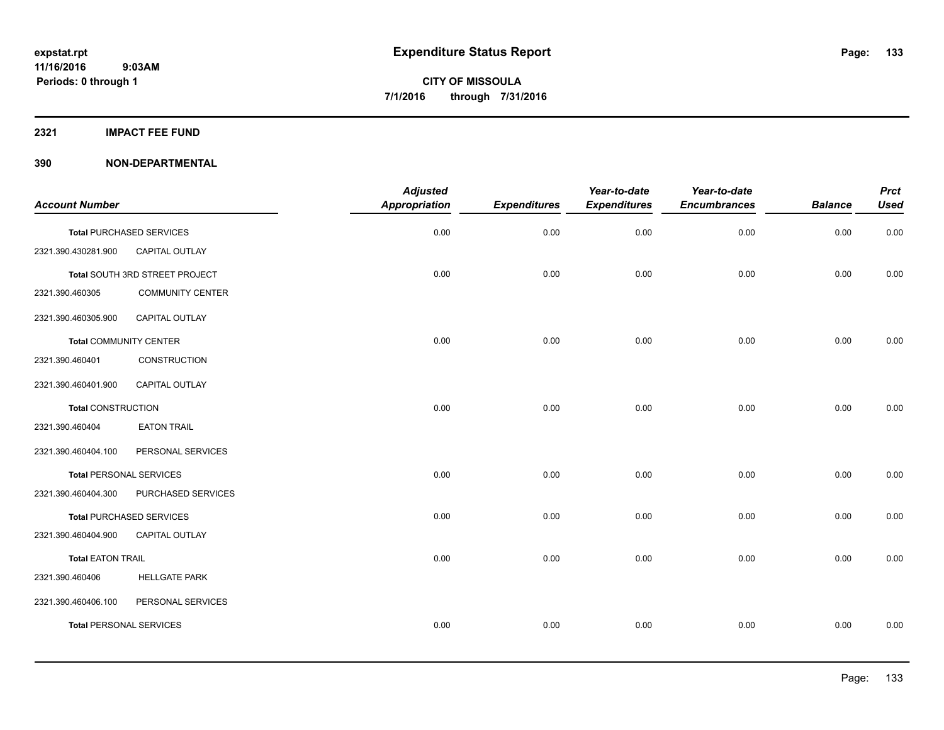# **2321 IMPACT FEE FUND**

| <b>Account Number</b>          |                                 | <b>Adjusted</b><br>Appropriation | <b>Expenditures</b> | Year-to-date<br><b>Expenditures</b> | Year-to-date<br><b>Encumbrances</b> | <b>Balance</b> | <b>Prct</b><br><b>Used</b> |
|--------------------------------|---------------------------------|----------------------------------|---------------------|-------------------------------------|-------------------------------------|----------------|----------------------------|
|                                |                                 |                                  |                     |                                     |                                     |                |                            |
|                                | <b>Total PURCHASED SERVICES</b> | 0.00                             | 0.00                | 0.00                                | 0.00                                | 0.00           | 0.00                       |
| 2321.390.430281.900            | CAPITAL OUTLAY                  |                                  |                     |                                     |                                     |                |                            |
|                                | Total SOUTH 3RD STREET PROJECT  | 0.00                             | 0.00                | 0.00                                | 0.00                                | 0.00           | 0.00                       |
| 2321.390.460305                | <b>COMMUNITY CENTER</b>         |                                  |                     |                                     |                                     |                |                            |
| 2321.390.460305.900            | CAPITAL OUTLAY                  |                                  |                     |                                     |                                     |                |                            |
| <b>Total COMMUNITY CENTER</b>  |                                 | 0.00                             | 0.00                | 0.00                                | 0.00                                | 0.00           | 0.00                       |
| 2321.390.460401                | CONSTRUCTION                    |                                  |                     |                                     |                                     |                |                            |
| 2321.390.460401.900            | CAPITAL OUTLAY                  |                                  |                     |                                     |                                     |                |                            |
| <b>Total CONSTRUCTION</b>      |                                 | 0.00                             | 0.00                | 0.00                                | 0.00                                | 0.00           | 0.00                       |
| 2321.390.460404                | <b>EATON TRAIL</b>              |                                  |                     |                                     |                                     |                |                            |
| 2321.390.460404.100            | PERSONAL SERVICES               |                                  |                     |                                     |                                     |                |                            |
| <b>Total PERSONAL SERVICES</b> |                                 | 0.00                             | 0.00                | 0.00                                | 0.00                                | 0.00           | 0.00                       |
| 2321.390.460404.300            | PURCHASED SERVICES              |                                  |                     |                                     |                                     |                |                            |
|                                | <b>Total PURCHASED SERVICES</b> | 0.00                             | 0.00                | 0.00                                | 0.00                                | 0.00           | 0.00                       |
| 2321.390.460404.900            | CAPITAL OUTLAY                  |                                  |                     |                                     |                                     |                |                            |
| <b>Total EATON TRAIL</b>       |                                 | 0.00                             | 0.00                | 0.00                                | 0.00                                | 0.00           | 0.00                       |
| 2321.390.460406                | <b>HELLGATE PARK</b>            |                                  |                     |                                     |                                     |                |                            |
| 2321.390.460406.100            | PERSONAL SERVICES               |                                  |                     |                                     |                                     |                |                            |
| <b>Total PERSONAL SERVICES</b> |                                 | 0.00                             | 0.00                | 0.00                                | 0.00                                | 0.00           | 0.00                       |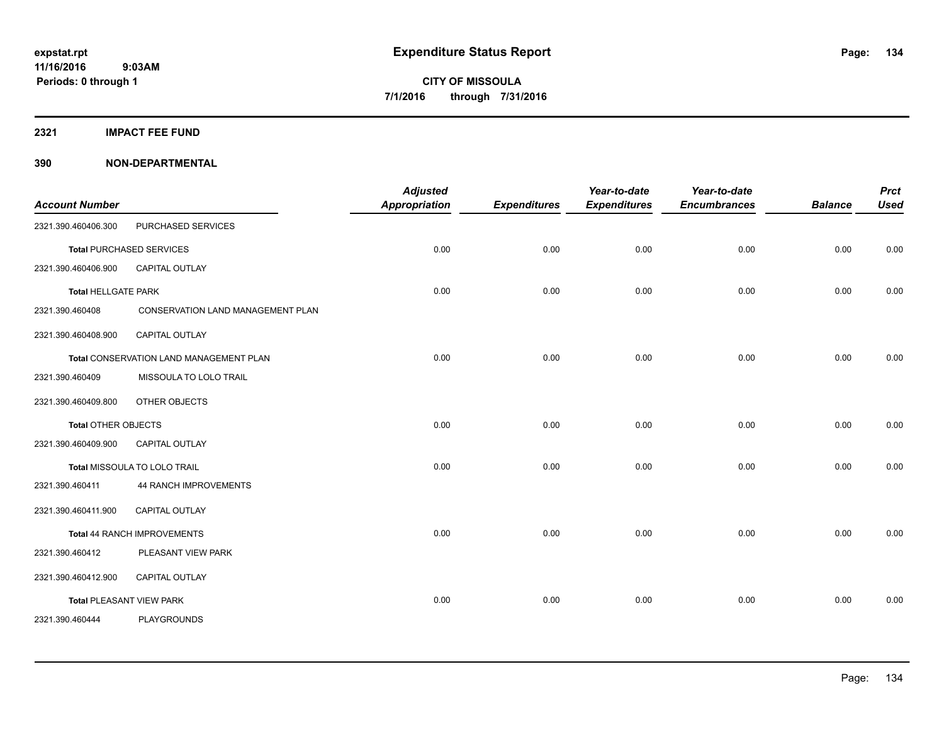# **2321 IMPACT FEE FUND**

| <b>Account Number</b>      |                                         | <b>Adjusted</b><br><b>Appropriation</b> | <b>Expenditures</b> | Year-to-date<br><b>Expenditures</b> | Year-to-date<br><b>Encumbrances</b> | <b>Balance</b> | <b>Prct</b><br><b>Used</b> |
|----------------------------|-----------------------------------------|-----------------------------------------|---------------------|-------------------------------------|-------------------------------------|----------------|----------------------------|
| 2321.390.460406.300        | PURCHASED SERVICES                      |                                         |                     |                                     |                                     |                |                            |
|                            | <b>Total PURCHASED SERVICES</b>         | 0.00                                    | 0.00                | 0.00                                | 0.00                                | 0.00           | 0.00                       |
| 2321.390.460406.900        | CAPITAL OUTLAY                          |                                         |                     |                                     |                                     |                |                            |
| <b>Total HELLGATE PARK</b> |                                         | 0.00                                    | 0.00                | 0.00                                | 0.00                                | 0.00           | 0.00                       |
| 2321.390.460408            | CONSERVATION LAND MANAGEMENT PLAN       |                                         |                     |                                     |                                     |                |                            |
| 2321.390.460408.900        | <b>CAPITAL OUTLAY</b>                   |                                         |                     |                                     |                                     |                |                            |
|                            | Total CONSERVATION LAND MANAGEMENT PLAN | 0.00                                    | 0.00                | 0.00                                | 0.00                                | 0.00           | 0.00                       |
| 2321.390.460409            | MISSOULA TO LOLO TRAIL                  |                                         |                     |                                     |                                     |                |                            |
| 2321.390.460409.800        | OTHER OBJECTS                           |                                         |                     |                                     |                                     |                |                            |
| <b>Total OTHER OBJECTS</b> |                                         | 0.00                                    | 0.00                | 0.00                                | 0.00                                | 0.00           | 0.00                       |
| 2321.390.460409.900        | <b>CAPITAL OUTLAY</b>                   |                                         |                     |                                     |                                     |                |                            |
|                            | Total MISSOULA TO LOLO TRAIL            | 0.00                                    | 0.00                | 0.00                                | 0.00                                | 0.00           | 0.00                       |
| 2321.390.460411            | <b>44 RANCH IMPROVEMENTS</b>            |                                         |                     |                                     |                                     |                |                            |
| 2321.390.460411.900        | <b>CAPITAL OUTLAY</b>                   |                                         |                     |                                     |                                     |                |                            |
|                            | Total 44 RANCH IMPROVEMENTS             | 0.00                                    | 0.00                | 0.00                                | 0.00                                | 0.00           | 0.00                       |
| 2321.390.460412            | PLEASANT VIEW PARK                      |                                         |                     |                                     |                                     |                |                            |
| 2321.390.460412.900        | CAPITAL OUTLAY                          |                                         |                     |                                     |                                     |                |                            |
|                            | <b>Total PLEASANT VIEW PARK</b>         | 0.00                                    | 0.00                | 0.00                                | 0.00                                | 0.00           | 0.00                       |
| 2321.390.460444            | <b>PLAYGROUNDS</b>                      |                                         |                     |                                     |                                     |                |                            |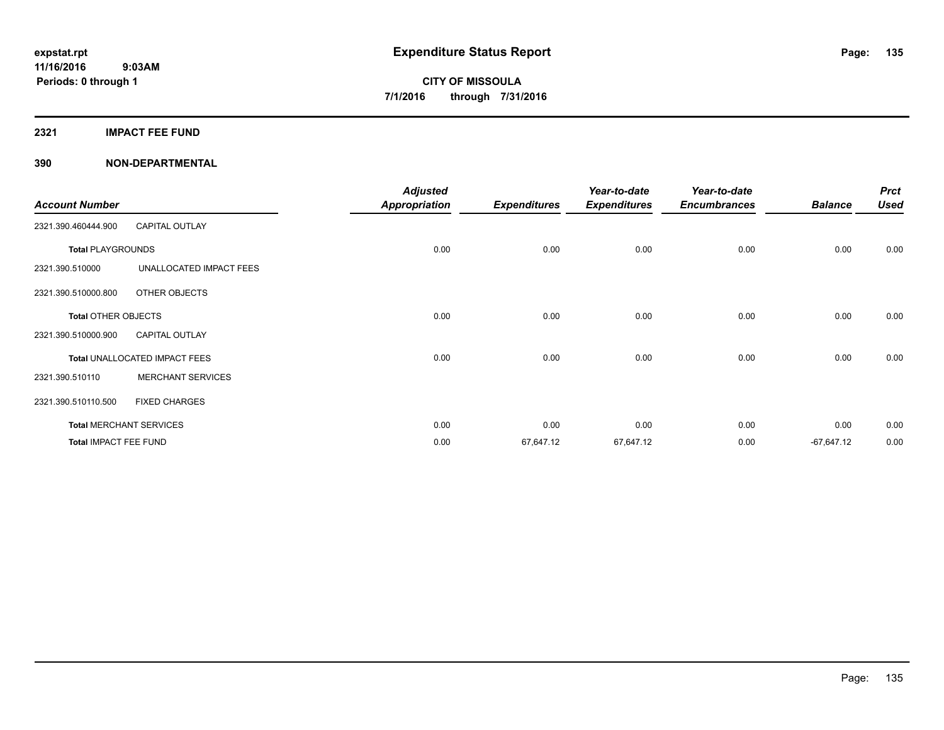**2321 IMPACT FEE FUND**

| <b>Account Number</b>      |                                | <b>Adjusted</b><br><b>Appropriation</b> | <b>Expenditures</b> | Year-to-date<br><b>Expenditures</b> | Year-to-date<br><b>Encumbrances</b> | <b>Balance</b> | <b>Prct</b><br><b>Used</b> |
|----------------------------|--------------------------------|-----------------------------------------|---------------------|-------------------------------------|-------------------------------------|----------------|----------------------------|
| 2321.390.460444.900        | <b>CAPITAL OUTLAY</b>          |                                         |                     |                                     |                                     |                |                            |
| <b>Total PLAYGROUNDS</b>   |                                | 0.00                                    | 0.00                | 0.00                                | 0.00                                | 0.00           | 0.00                       |
| 2321.390.510000            | UNALLOCATED IMPACT FEES        |                                         |                     |                                     |                                     |                |                            |
| 2321.390.510000.800        | OTHER OBJECTS                  |                                         |                     |                                     |                                     |                |                            |
| <b>Total OTHER OBJECTS</b> |                                | 0.00                                    | 0.00                | 0.00                                | 0.00                                | 0.00           | 0.00                       |
| 2321.390.510000.900        | <b>CAPITAL OUTLAY</b>          |                                         |                     |                                     |                                     |                |                            |
|                            | Total UNALLOCATED IMPACT FEES  | 0.00                                    | 0.00                | 0.00                                | 0.00                                | 0.00           | 0.00                       |
| 2321.390.510110            | <b>MERCHANT SERVICES</b>       |                                         |                     |                                     |                                     |                |                            |
| 2321.390.510110.500        | <b>FIXED CHARGES</b>           |                                         |                     |                                     |                                     |                |                            |
|                            | <b>Total MERCHANT SERVICES</b> | 0.00                                    | 0.00                | 0.00                                | 0.00                                | 0.00           | 0.00                       |
| Total IMPACT FEE FUND      |                                | 0.00                                    | 67,647.12           | 67,647.12                           | 0.00                                | $-67,647.12$   | 0.00                       |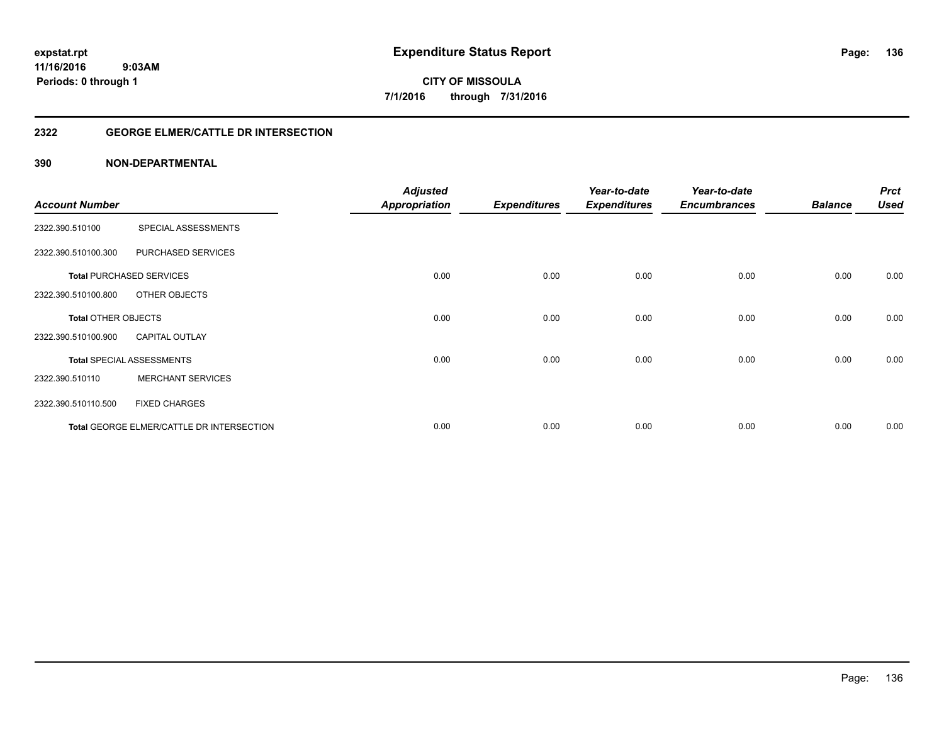# **2322 GEORGE ELMER/CATTLE DR INTERSECTION**

| <b>Account Number</b>      |                                           | <b>Adjusted</b><br><b>Appropriation</b> | <b>Expenditures</b> | Year-to-date<br><b>Expenditures</b> | Year-to-date<br><b>Encumbrances</b> | <b>Balance</b> | <b>Prct</b><br><b>Used</b> |
|----------------------------|-------------------------------------------|-----------------------------------------|---------------------|-------------------------------------|-------------------------------------|----------------|----------------------------|
|                            |                                           |                                         |                     |                                     |                                     |                |                            |
| 2322.390.510100            | SPECIAL ASSESSMENTS                       |                                         |                     |                                     |                                     |                |                            |
| 2322.390.510100.300        | PURCHASED SERVICES                        |                                         |                     |                                     |                                     |                |                            |
|                            | <b>Total PURCHASED SERVICES</b>           | 0.00                                    | 0.00                | 0.00                                | 0.00                                | 0.00           | 0.00                       |
| 2322.390.510100.800        | OTHER OBJECTS                             |                                         |                     |                                     |                                     |                |                            |
| <b>Total OTHER OBJECTS</b> |                                           | 0.00                                    | 0.00                | 0.00                                | 0.00                                | 0.00           | 0.00                       |
| 2322.390.510100.900        | <b>CAPITAL OUTLAY</b>                     |                                         |                     |                                     |                                     |                |                            |
|                            | <b>Total SPECIAL ASSESSMENTS</b>          | 0.00                                    | 0.00                | 0.00                                | 0.00                                | 0.00           | 0.00                       |
| 2322.390.510110            | <b>MERCHANT SERVICES</b>                  |                                         |                     |                                     |                                     |                |                            |
| 2322.390.510110.500        | <b>FIXED CHARGES</b>                      |                                         |                     |                                     |                                     |                |                            |
|                            | Total GEORGE ELMER/CATTLE DR INTERSECTION | 0.00                                    | 0.00                | 0.00                                | 0.00                                | 0.00           | 0.00                       |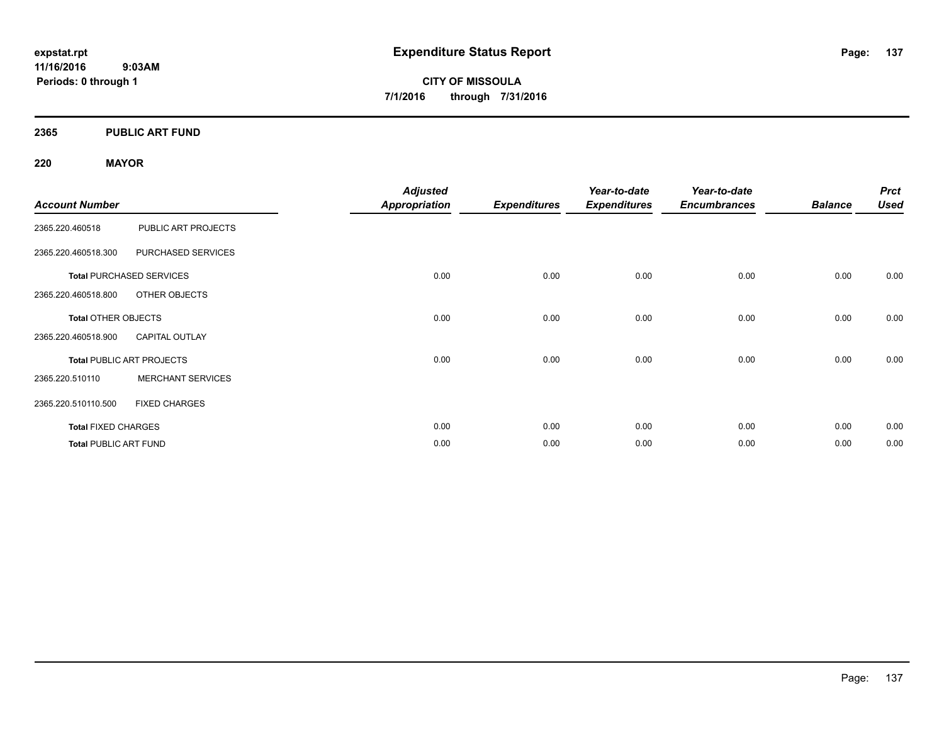**11/16/2016 9:03AM Periods: 0 through 1**

**CITY OF MISSOULA 7/1/2016 through 7/31/2016**

**2365 PUBLIC ART FUND**

# **220 MAYOR**

|                              |                                  | <b>Adjusted</b>      |                     | Year-to-date        | Year-to-date        |                | <b>Prct</b> |
|------------------------------|----------------------------------|----------------------|---------------------|---------------------|---------------------|----------------|-------------|
| <b>Account Number</b>        |                                  | <b>Appropriation</b> | <b>Expenditures</b> | <b>Expenditures</b> | <b>Encumbrances</b> | <b>Balance</b> | <b>Used</b> |
| 2365.220.460518              | PUBLIC ART PROJECTS              |                      |                     |                     |                     |                |             |
| 2365.220.460518.300          | PURCHASED SERVICES               |                      |                     |                     |                     |                |             |
|                              | <b>Total PURCHASED SERVICES</b>  | 0.00                 | 0.00                | 0.00                | 0.00                | 0.00           | 0.00        |
| 2365.220.460518.800          | OTHER OBJECTS                    |                      |                     |                     |                     |                |             |
| <b>Total OTHER OBJECTS</b>   |                                  | 0.00                 | 0.00                | 0.00                | 0.00                | 0.00           | 0.00        |
| 2365.220.460518.900          | <b>CAPITAL OUTLAY</b>            |                      |                     |                     |                     |                |             |
|                              | <b>Total PUBLIC ART PROJECTS</b> | 0.00                 | 0.00                | 0.00                | 0.00                | 0.00           | 0.00        |
| 2365.220.510110              | <b>MERCHANT SERVICES</b>         |                      |                     |                     |                     |                |             |
| 2365.220.510110.500          | <b>FIXED CHARGES</b>             |                      |                     |                     |                     |                |             |
| <b>Total FIXED CHARGES</b>   |                                  | 0.00                 | 0.00                | 0.00                | 0.00                | 0.00           | 0.00        |
| <b>Total PUBLIC ART FUND</b> |                                  | 0.00                 | 0.00                | 0.00                | 0.00                | 0.00           | 0.00        |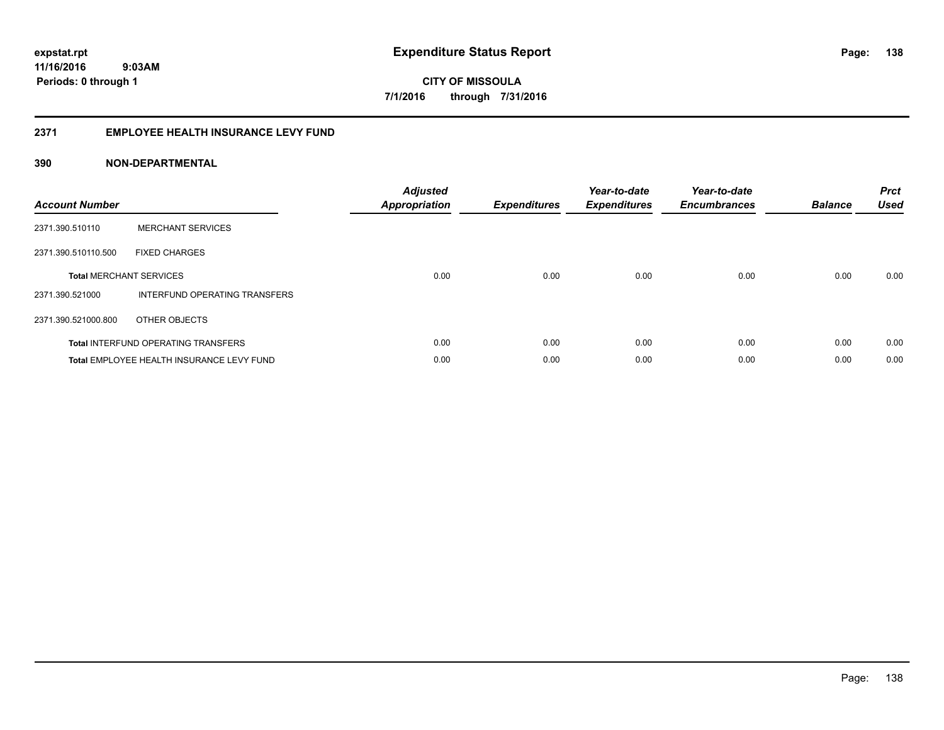# **2371 EMPLOYEE HEALTH INSURANCE LEVY FUND**

| <b>Account Number</b>          |                                            | <b>Adjusted</b><br>Appropriation | <b>Expenditures</b> | Year-to-date<br><b>Expenditures</b> | Year-to-date<br><b>Encumbrances</b> | <b>Balance</b> | <b>Prct</b><br><b>Used</b> |
|--------------------------------|--------------------------------------------|----------------------------------|---------------------|-------------------------------------|-------------------------------------|----------------|----------------------------|
| 2371.390.510110                | <b>MERCHANT SERVICES</b>                   |                                  |                     |                                     |                                     |                |                            |
| 2371.390.510110.500            | <b>FIXED CHARGES</b>                       |                                  |                     |                                     |                                     |                |                            |
| <b>Total MERCHANT SERVICES</b> |                                            | 0.00                             | 0.00                | 0.00                                | 0.00                                | 0.00           | 0.00                       |
| 2371.390.521000                | INTERFUND OPERATING TRANSFERS              |                                  |                     |                                     |                                     |                |                            |
| 2371.390.521000.800            | OTHER OBJECTS                              |                                  |                     |                                     |                                     |                |                            |
|                                | <b>Total INTERFUND OPERATING TRANSFERS</b> | 0.00                             | 0.00                | 0.00                                | 0.00                                | 0.00           | 0.00                       |
|                                | Total EMPLOYEE HEALTH INSURANCE LEVY FUND  | 0.00                             | 0.00                | 0.00                                | 0.00                                | 0.00           | 0.00                       |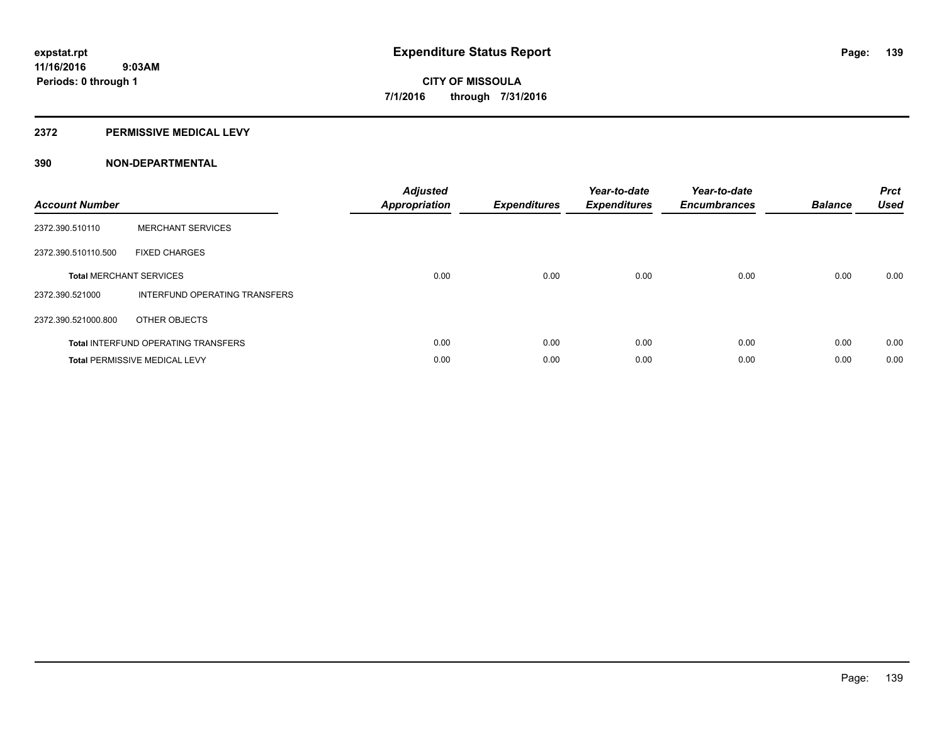# **2372 PERMISSIVE MEDICAL LEVY**

| <b>Account Number</b> |                                            | <b>Adjusted</b><br>Appropriation | <b>Expenditures</b> | Year-to-date<br><b>Expenditures</b> | Year-to-date<br><b>Encumbrances</b> | <b>Balance</b> | <b>Prct</b><br><b>Used</b> |
|-----------------------|--------------------------------------------|----------------------------------|---------------------|-------------------------------------|-------------------------------------|----------------|----------------------------|
| 2372.390.510110       | <b>MERCHANT SERVICES</b>                   |                                  |                     |                                     |                                     |                |                            |
| 2372.390.510110.500   | <b>FIXED CHARGES</b>                       |                                  |                     |                                     |                                     |                |                            |
|                       | <b>Total MERCHANT SERVICES</b>             | 0.00                             | 0.00                | 0.00                                | 0.00                                | 0.00           | 0.00                       |
| 2372.390.521000       | INTERFUND OPERATING TRANSFERS              |                                  |                     |                                     |                                     |                |                            |
| 2372.390.521000.800   | OTHER OBJECTS                              |                                  |                     |                                     |                                     |                |                            |
|                       | <b>Total INTERFUND OPERATING TRANSFERS</b> | 0.00                             | 0.00                | 0.00                                | 0.00                                | 0.00           | 0.00                       |
|                       | <b>Total PERMISSIVE MEDICAL LEVY</b>       | 0.00                             | 0.00                | 0.00                                | 0.00                                | 0.00           | 0.00                       |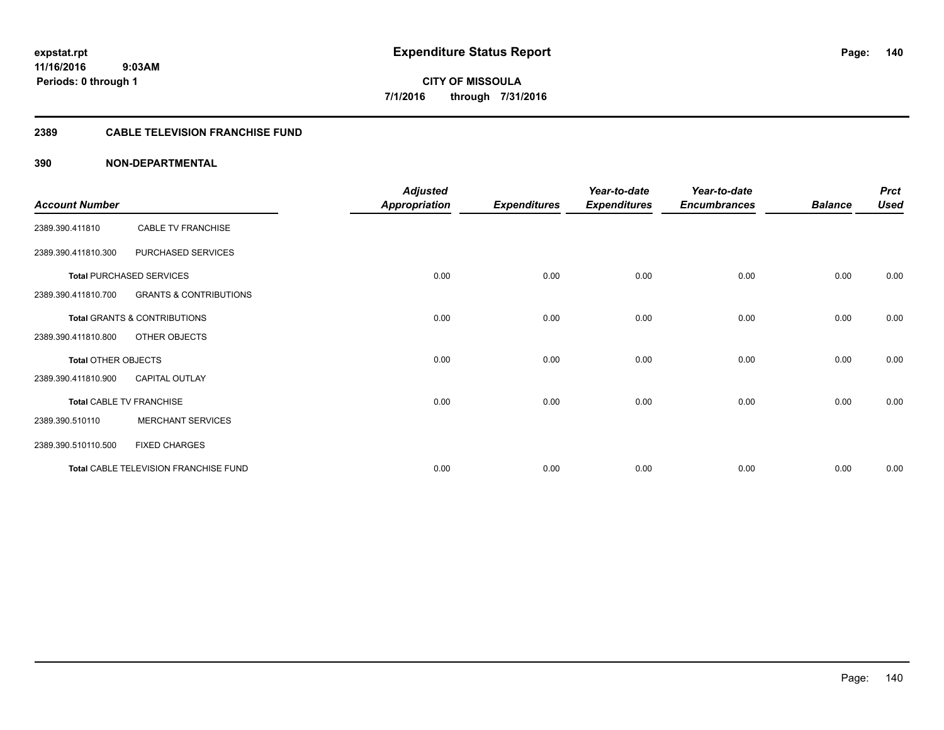# **2389 CABLE TELEVISION FRANCHISE FUND**

|                            |                                       | <b>Adjusted</b>      |                     | Year-to-date        | Year-to-date        |                | <b>Prct</b> |
|----------------------------|---------------------------------------|----------------------|---------------------|---------------------|---------------------|----------------|-------------|
| <b>Account Number</b>      |                                       | <b>Appropriation</b> | <b>Expenditures</b> | <b>Expenditures</b> | <b>Encumbrances</b> | <b>Balance</b> | <b>Used</b> |
| 2389.390.411810            | <b>CABLE TV FRANCHISE</b>             |                      |                     |                     |                     |                |             |
| 2389.390.411810.300        | PURCHASED SERVICES                    |                      |                     |                     |                     |                |             |
|                            | <b>Total PURCHASED SERVICES</b>       | 0.00                 | 0.00                | 0.00                | 0.00                | 0.00           | 0.00        |
| 2389.390.411810.700        | <b>GRANTS &amp; CONTRIBUTIONS</b>     |                      |                     |                     |                     |                |             |
|                            | Total GRANTS & CONTRIBUTIONS          | 0.00                 | 0.00                | 0.00                | 0.00                | 0.00           | 0.00        |
| 2389.390.411810.800        | OTHER OBJECTS                         |                      |                     |                     |                     |                |             |
| <b>Total OTHER OBJECTS</b> |                                       | 0.00                 | 0.00                | 0.00                | 0.00                | 0.00           | 0.00        |
| 2389.390.411810.900        | <b>CAPITAL OUTLAY</b>                 |                      |                     |                     |                     |                |             |
|                            | <b>Total CABLE TV FRANCHISE</b>       | 0.00                 | 0.00                | 0.00                | 0.00                | 0.00           | 0.00        |
| 2389.390.510110            | <b>MERCHANT SERVICES</b>              |                      |                     |                     |                     |                |             |
| 2389.390.510110.500        | <b>FIXED CHARGES</b>                  |                      |                     |                     |                     |                |             |
|                            | Total CABLE TELEVISION FRANCHISE FUND | 0.00                 | 0.00                | 0.00                | 0.00                | 0.00           | 0.00        |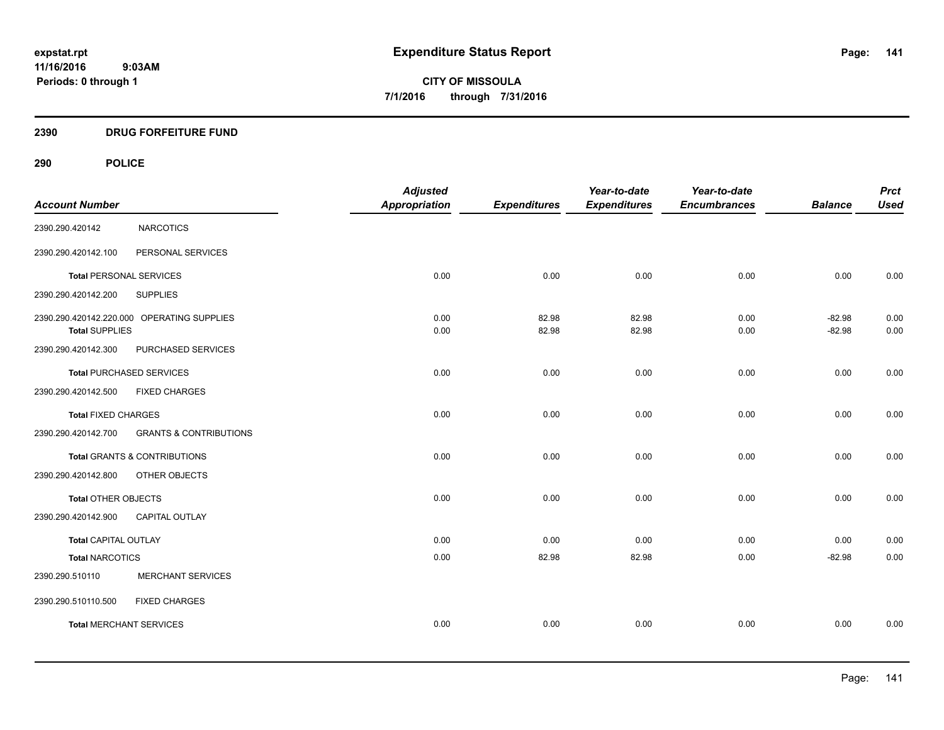# **2390 DRUG FORFEITURE FUND**

# **290 POLICE**

| <b>Account Number</b>          |                                            | <b>Adjusted</b><br><b>Appropriation</b> | <b>Expenditures</b> | Year-to-date<br><b>Expenditures</b> | Year-to-date<br><b>Encumbrances</b> | <b>Balance</b>       | <b>Prct</b><br><b>Used</b> |
|--------------------------------|--------------------------------------------|-----------------------------------------|---------------------|-------------------------------------|-------------------------------------|----------------------|----------------------------|
| 2390.290.420142                | <b>NARCOTICS</b>                           |                                         |                     |                                     |                                     |                      |                            |
| 2390.290.420142.100            | PERSONAL SERVICES                          |                                         |                     |                                     |                                     |                      |                            |
| <b>Total PERSONAL SERVICES</b> |                                            | 0.00                                    | 0.00                | 0.00                                | 0.00                                | 0.00                 | 0.00                       |
| 2390.290.420142.200            | <b>SUPPLIES</b>                            |                                         |                     |                                     |                                     |                      |                            |
| <b>Total SUPPLIES</b>          | 2390.290.420142.220.000 OPERATING SUPPLIES | 0.00<br>0.00                            | 82.98<br>82.98      | 82.98<br>82.98                      | 0.00<br>0.00                        | $-82.98$<br>$-82.98$ | 0.00<br>0.00               |
| 2390.290.420142.300            | PURCHASED SERVICES                         |                                         |                     |                                     |                                     |                      |                            |
|                                | <b>Total PURCHASED SERVICES</b>            | 0.00                                    | 0.00                | 0.00                                | 0.00                                | 0.00                 | 0.00                       |
| 2390.290.420142.500            | <b>FIXED CHARGES</b>                       |                                         |                     |                                     |                                     |                      |                            |
| <b>Total FIXED CHARGES</b>     |                                            | 0.00                                    | 0.00                | 0.00                                | 0.00                                | 0.00                 | 0.00                       |
| 2390.290.420142.700            | <b>GRANTS &amp; CONTRIBUTIONS</b>          |                                         |                     |                                     |                                     |                      |                            |
|                                | Total GRANTS & CONTRIBUTIONS               | 0.00                                    | 0.00                | 0.00                                | 0.00                                | 0.00                 | 0.00                       |
| 2390.290.420142.800            | OTHER OBJECTS                              |                                         |                     |                                     |                                     |                      |                            |
| Total OTHER OBJECTS            |                                            | 0.00                                    | 0.00                | 0.00                                | 0.00                                | 0.00                 | 0.00                       |
| 2390.290.420142.900            | CAPITAL OUTLAY                             |                                         |                     |                                     |                                     |                      |                            |
| <b>Total CAPITAL OUTLAY</b>    |                                            | 0.00                                    | 0.00                | 0.00                                | 0.00                                | 0.00                 | 0.00                       |
| <b>Total NARCOTICS</b>         |                                            | 0.00                                    | 82.98               | 82.98                               | 0.00                                | $-82.98$             | 0.00                       |
| 2390.290.510110                | <b>MERCHANT SERVICES</b>                   |                                         |                     |                                     |                                     |                      |                            |
| 2390.290.510110.500            | <b>FIXED CHARGES</b>                       |                                         |                     |                                     |                                     |                      |                            |
| <b>Total MERCHANT SERVICES</b> |                                            | 0.00                                    | 0.00                | 0.00                                | 0.00                                | 0.00                 | 0.00                       |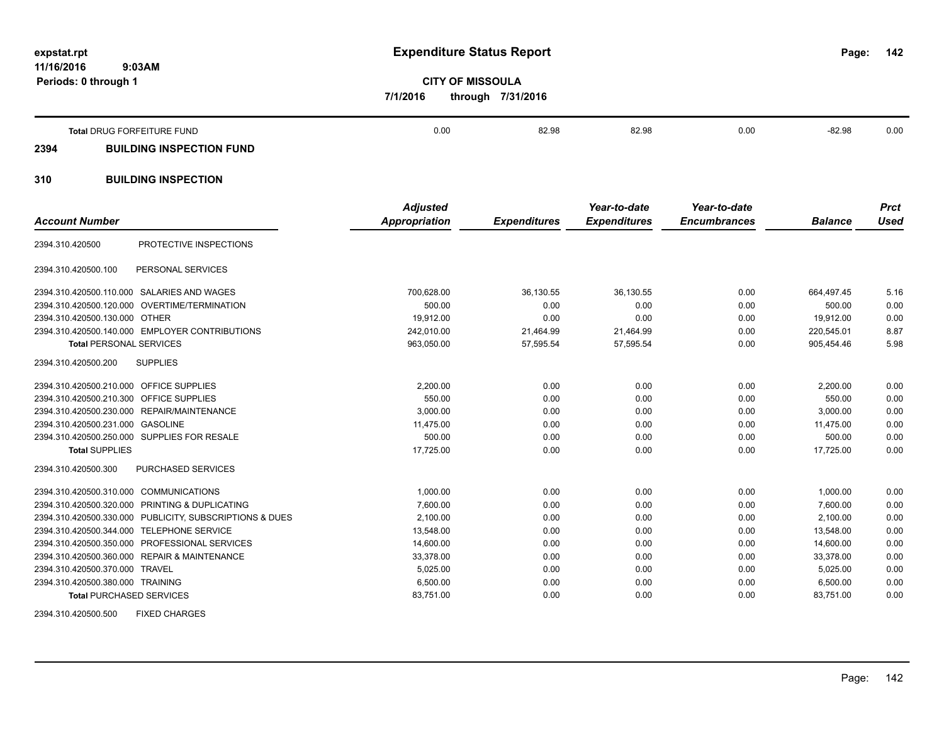**11/16/2016 9:03AM Periods: 0 through 1**

**142**

**CITY OF MISSOULA 7/1/2016 through 7/31/2016**

|      | Total DRUG FORFEITURE FUND      | 0.00 | 82.98 | 82.98 | 0.00 | -82.98 | 0.00 |
|------|---------------------------------|------|-------|-------|------|--------|------|
| 2394 | <b>BUILDING INSPECTION FUND</b> |      |       |       |      |        |      |
| 310  | <b>BUILDING INSPECTION</b>      |      |       |       |      |        |      |

| <b>Account Number</b>                   |                                                         | <b>Adjusted</b><br><b>Appropriation</b> | <b>Expenditures</b> | Year-to-date<br><b>Expenditures</b> | Year-to-date<br><b>Encumbrances</b> | <b>Balance</b> | <b>Prct</b><br><b>Used</b> |
|-----------------------------------------|---------------------------------------------------------|-----------------------------------------|---------------------|-------------------------------------|-------------------------------------|----------------|----------------------------|
| 2394.310.420500                         | PROTECTIVE INSPECTIONS                                  |                                         |                     |                                     |                                     |                |                            |
| 2394.310.420500.100                     | PERSONAL SERVICES                                       |                                         |                     |                                     |                                     |                |                            |
| 2394.310.420500.110.000                 | SALARIES AND WAGES                                      | 700,628.00                              | 36,130.55           | 36,130.55                           | 0.00                                | 664.497.45     | 5.16                       |
|                                         | 2394.310.420500.120.000 OVERTIME/TERMINATION            | 500.00                                  | 0.00                | 0.00                                | 0.00                                | 500.00         | 0.00                       |
| 2394.310.420500.130.000 OTHER           |                                                         | 19,912.00                               | 0.00                | 0.00                                | 0.00                                | 19.912.00      | 0.00                       |
|                                         | 2394.310.420500.140.000 EMPLOYER CONTRIBUTIONS          | 242,010.00                              | 21,464.99           | 21,464.99                           | 0.00                                | 220.545.01     | 8.87                       |
| <b>Total PERSONAL SERVICES</b>          |                                                         | 963,050.00                              | 57,595.54           | 57,595.54                           | 0.00                                | 905,454.46     | 5.98                       |
| 2394.310.420500.200                     | <b>SUPPLIES</b>                                         |                                         |                     |                                     |                                     |                |                            |
| 2394.310.420500.210.000 OFFICE SUPPLIES |                                                         | 2,200.00                                | 0.00                | 0.00                                | 0.00                                | 2,200.00       | 0.00                       |
| 2394.310.420500.210.300 OFFICE SUPPLIES |                                                         | 550.00                                  | 0.00                | 0.00                                | 0.00                                | 550.00         | 0.00                       |
|                                         | 2394.310.420500.230.000 REPAIR/MAINTENANCE              | 3,000.00                                | 0.00                | 0.00                                | 0.00                                | 3,000.00       | 0.00                       |
| 2394.310.420500.231.000 GASOLINE        |                                                         | 11,475.00                               | 0.00                | 0.00                                | 0.00                                | 11,475.00      | 0.00                       |
|                                         | 2394.310.420500.250.000 SUPPLIES FOR RESALE             | 500.00                                  | 0.00                | 0.00                                | 0.00                                | 500.00         | 0.00                       |
| <b>Total SUPPLIES</b>                   |                                                         | 17,725.00                               | 0.00                | 0.00                                | 0.00                                | 17,725.00      | 0.00                       |
| 2394.310.420500.300                     | <b>PURCHASED SERVICES</b>                               |                                         |                     |                                     |                                     |                |                            |
| 2394.310.420500.310.000 COMMUNICATIONS  |                                                         | 1,000.00                                | 0.00                | 0.00                                | 0.00                                | 1,000.00       | 0.00                       |
|                                         | 2394.310.420500.320.000 PRINTING & DUPLICATING          | 7.600.00                                | 0.00                | 0.00                                | 0.00                                | 7.600.00       | 0.00                       |
|                                         | 2394.310.420500.330.000 PUBLICITY, SUBSCRIPTIONS & DUES | 2,100.00                                | 0.00                | 0.00                                | 0.00                                | 2,100.00       | 0.00                       |
|                                         | 2394.310.420500.344.000 TELEPHONE SERVICE               | 13,548.00                               | 0.00                | 0.00                                | 0.00                                | 13,548.00      | 0.00                       |
|                                         | 2394.310.420500.350.000 PROFESSIONAL SERVICES           | 14,600.00                               | 0.00                | 0.00                                | 0.00                                | 14,600.00      | 0.00                       |
|                                         | 2394.310.420500.360.000 REPAIR & MAINTENANCE            | 33,378.00                               | 0.00                | 0.00                                | 0.00                                | 33,378.00      | 0.00                       |
| 2394.310.420500.370.000 TRAVEL          |                                                         | 5,025.00                                | 0.00                | 0.00                                | 0.00                                | 5,025.00       | 0.00                       |
| 2394.310.420500.380.000 TRAINING        |                                                         | 6,500.00                                | 0.00                | 0.00                                | 0.00                                | 6,500.00       | 0.00                       |
| <b>Total PURCHASED SERVICES</b>         |                                                         | 83,751.00                               | 0.00                | 0.00                                | 0.00                                | 83,751.00      | 0.00                       |
| 2394.310.420500.500                     | <b>FIXED CHARGES</b>                                    |                                         |                     |                                     |                                     |                |                            |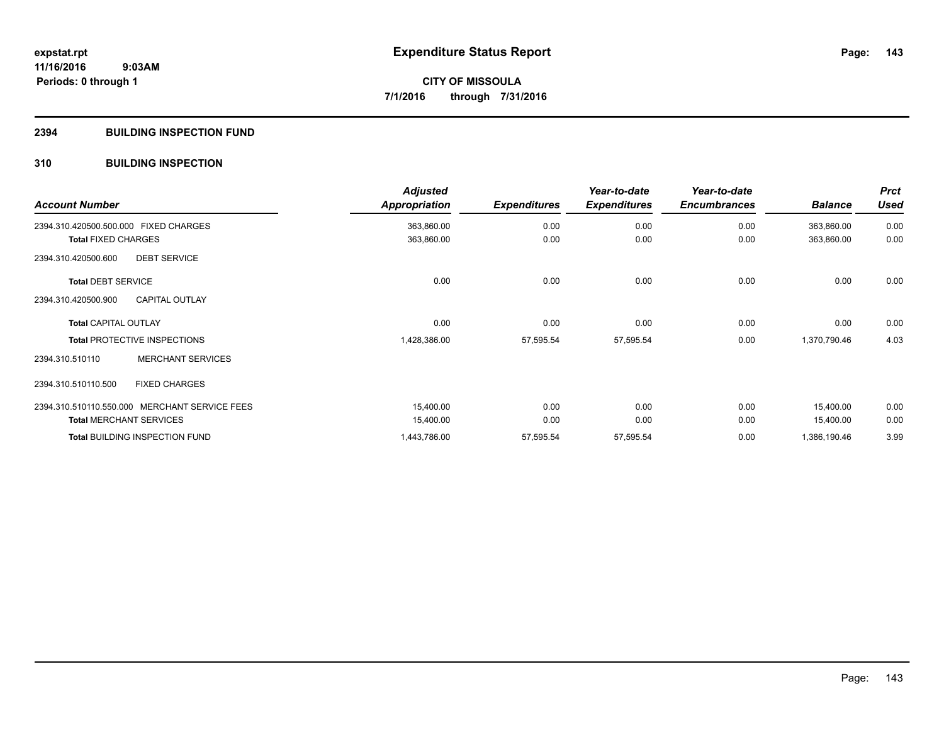#### **2394 BUILDING INSPECTION FUND**

# **310 BUILDING INSPECTION**

| <b>Account Number</b>                         | <b>Adjusted</b><br><b>Appropriation</b> | <b>Expenditures</b> | Year-to-date<br><b>Expenditures</b> | Year-to-date<br><b>Encumbrances</b> | <b>Balance</b> | <b>Prct</b><br><b>Used</b> |
|-----------------------------------------------|-----------------------------------------|---------------------|-------------------------------------|-------------------------------------|----------------|----------------------------|
| 2394.310.420500.500.000 FIXED CHARGES         | 363,860.00                              | 0.00                | 0.00                                | 0.00                                | 363,860.00     | 0.00                       |
| <b>Total FIXED CHARGES</b>                    | 363,860.00                              | 0.00                | 0.00                                | 0.00                                | 363,860.00     | 0.00                       |
| <b>DEBT SERVICE</b><br>2394.310.420500.600    |                                         |                     |                                     |                                     |                |                            |
| <b>Total DEBT SERVICE</b>                     | 0.00                                    | 0.00                | 0.00                                | 0.00                                | 0.00           | 0.00                       |
| <b>CAPITAL OUTLAY</b><br>2394.310.420500.900  |                                         |                     |                                     |                                     |                |                            |
| <b>Total CAPITAL OUTLAY</b>                   | 0.00                                    | 0.00                | 0.00                                | 0.00                                | 0.00           | 0.00                       |
| <b>Total PROTECTIVE INSPECTIONS</b>           | 1,428,386.00                            | 57,595.54           | 57,595.54                           | 0.00                                | 1,370,790.46   | 4.03                       |
| <b>MERCHANT SERVICES</b><br>2394.310.510110   |                                         |                     |                                     |                                     |                |                            |
| <b>FIXED CHARGES</b><br>2394.310.510110.500   |                                         |                     |                                     |                                     |                |                            |
| 2394.310.510110.550.000 MERCHANT SERVICE FEES | 15,400.00                               | 0.00                | 0.00                                | 0.00                                | 15,400.00      | 0.00                       |
| <b>Total MERCHANT SERVICES</b>                | 15,400.00                               | 0.00                | 0.00                                | 0.00                                | 15,400.00      | 0.00                       |
| <b>Total BUILDING INSPECTION FUND</b>         | 1,443,786.00                            | 57,595.54           | 57,595.54                           | 0.00                                | 1,386,190.46   | 3.99                       |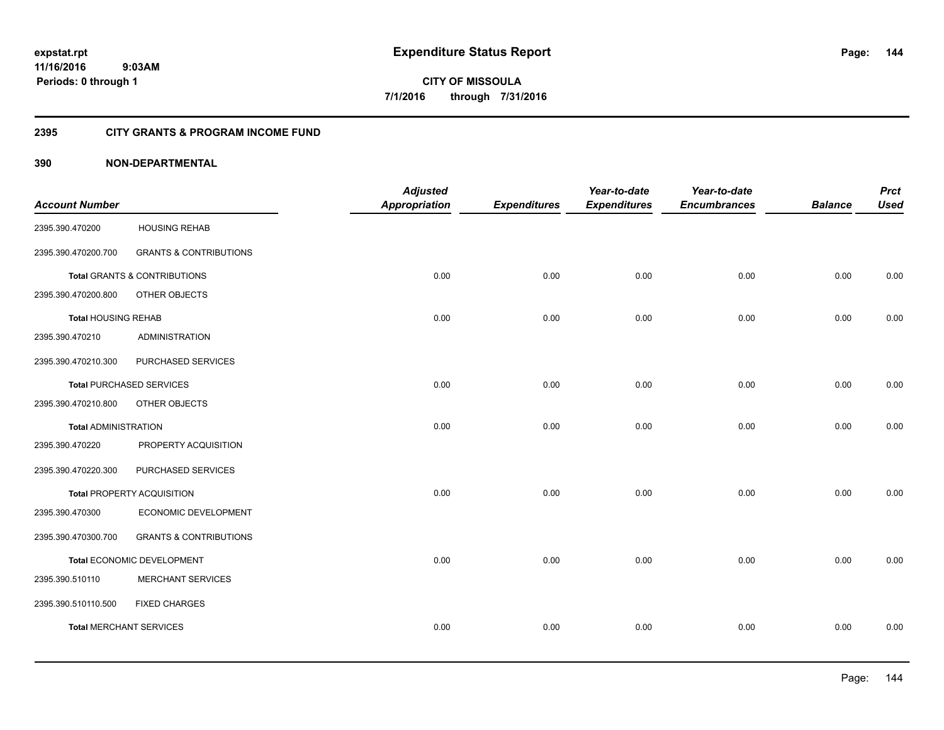**Periods: 0 through 1**

**CITY OF MISSOULA 7/1/2016 through 7/31/2016**

#### **2395 CITY GRANTS & PROGRAM INCOME FUND**

# **390 NON-DEPARTMENTAL**

 **9:03AM**

|                                 |                                   | <b>Adjusted</b>      |                     | Year-to-date        | Year-to-date        |                | <b>Prct</b> |
|---------------------------------|-----------------------------------|----------------------|---------------------|---------------------|---------------------|----------------|-------------|
| <b>Account Number</b>           |                                   | <b>Appropriation</b> | <b>Expenditures</b> | <b>Expenditures</b> | <b>Encumbrances</b> | <b>Balance</b> | <b>Used</b> |
| 2395.390.470200                 | <b>HOUSING REHAB</b>              |                      |                     |                     |                     |                |             |
| 2395.390.470200.700             | <b>GRANTS &amp; CONTRIBUTIONS</b> |                      |                     |                     |                     |                |             |
| Total GRANTS & CONTRIBUTIONS    |                                   | 0.00                 | 0.00                | 0.00                | 0.00                | 0.00           | 0.00        |
| 2395.390.470200.800             | OTHER OBJECTS                     |                      |                     |                     |                     |                |             |
| <b>Total HOUSING REHAB</b>      |                                   | 0.00                 | 0.00                | 0.00                | 0.00                | 0.00           | 0.00        |
| 2395.390.470210                 | <b>ADMINISTRATION</b>             |                      |                     |                     |                     |                |             |
| 2395.390.470210.300             | PURCHASED SERVICES                |                      |                     |                     |                     |                |             |
| <b>Total PURCHASED SERVICES</b> |                                   | 0.00                 | 0.00                | 0.00                | 0.00                | 0.00           | 0.00        |
| 2395.390.470210.800             | OTHER OBJECTS                     |                      |                     |                     |                     |                |             |
| <b>Total ADMINISTRATION</b>     |                                   | 0.00                 | 0.00                | 0.00                | 0.00                | 0.00           | 0.00        |
| 2395.390.470220                 | PROPERTY ACQUISITION              |                      |                     |                     |                     |                |             |
| 2395.390.470220.300             | PURCHASED SERVICES                |                      |                     |                     |                     |                |             |
| Total PROPERTY ACQUISITION      |                                   | 0.00                 | 0.00                | 0.00                | 0.00                | 0.00           | 0.00        |
| 2395.390.470300                 | ECONOMIC DEVELOPMENT              |                      |                     |                     |                     |                |             |
| 2395.390.470300.700             | <b>GRANTS &amp; CONTRIBUTIONS</b> |                      |                     |                     |                     |                |             |
| Total ECONOMIC DEVELOPMENT      |                                   | 0.00                 | 0.00                | 0.00                | 0.00                | 0.00           | 0.00        |
| 2395.390.510110                 | <b>MERCHANT SERVICES</b>          |                      |                     |                     |                     |                |             |
| 2395.390.510110.500             | <b>FIXED CHARGES</b>              |                      |                     |                     |                     |                |             |
| <b>Total MERCHANT SERVICES</b>  |                                   | 0.00                 | 0.00                | 0.00                | 0.00                | 0.00           | 0.00        |
|                                 |                                   |                      |                     |                     |                     |                |             |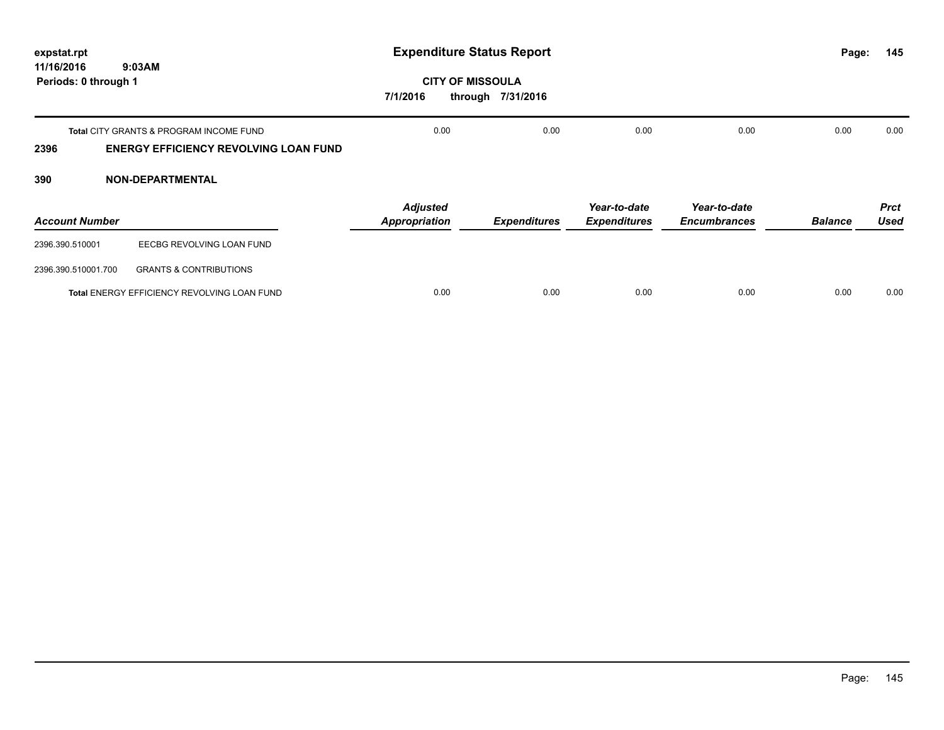| expstat.rpt                        |                                                                                         | <b>Expenditure Status Report</b>        |                     |                                     |                                     | Page:          | 145                        |
|------------------------------------|-----------------------------------------------------------------------------------------|-----------------------------------------|---------------------|-------------------------------------|-------------------------------------|----------------|----------------------------|
| 11/16/2016<br>Periods: 0 through 1 | 9:03AM                                                                                  | <b>CITY OF MISSOULA</b><br>7/1/2016     | through 7/31/2016   |                                     |                                     |                |                            |
| 2396                               | Total CITY GRANTS & PROGRAM INCOME FUND<br><b>ENERGY EFFICIENCY REVOLVING LOAN FUND</b> | 0.00                                    | 0.00                | 0.00                                | 0.00                                | 0.00           | 0.00                       |
| 390                                | <b>NON-DEPARTMENTAL</b>                                                                 |                                         |                     |                                     |                                     |                |                            |
| <b>Account Number</b>              |                                                                                         | <b>Adjusted</b><br><b>Appropriation</b> | <b>Expenditures</b> | Year-to-date<br><b>Expenditures</b> | Year-to-date<br><b>Encumbrances</b> | <b>Balance</b> | <b>Prct</b><br><b>Used</b> |
| 2396.390.510001                    | EECBG REVOLVING LOAN FUND                                                               |                                         |                     |                                     |                                     |                |                            |
| 2396.390.510001.700                | <b>GRANTS &amp; CONTRIBUTIONS</b>                                                       |                                         |                     |                                     |                                     |                |                            |
|                                    | Total ENERGY EFFICIENCY REVOLVING LOAN FUND                                             | 0.00                                    | 0.00                | 0.00                                | 0.00                                | 0.00           | 0.00                       |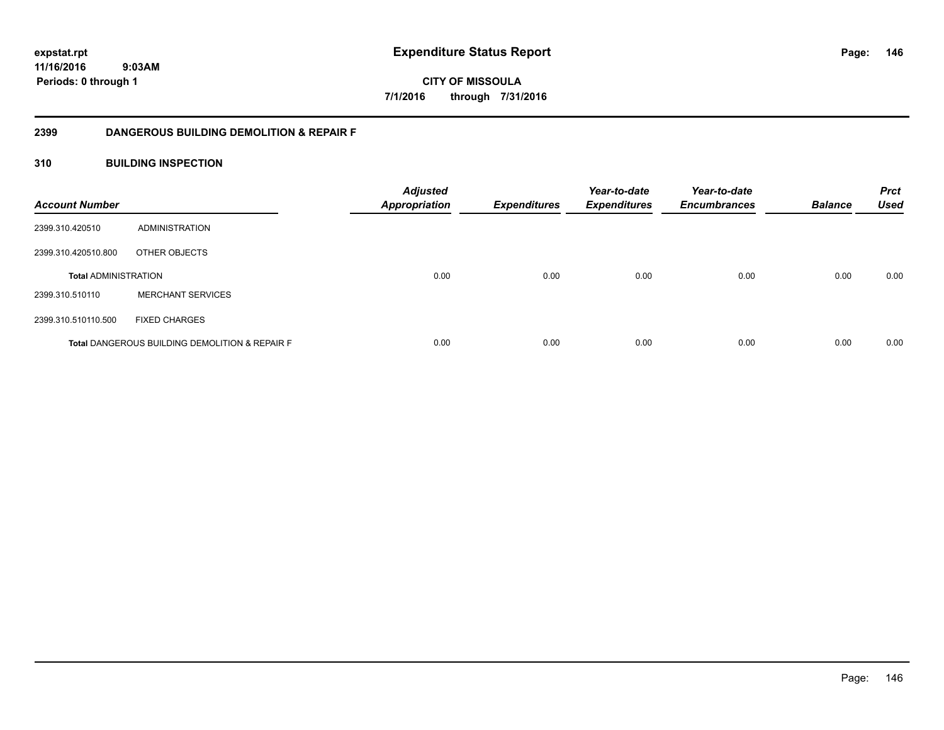**CITY OF MISSOULA 7/1/2016 through 7/31/2016**

# **2399 DANGEROUS BUILDING DEMOLITION & REPAIR F**

# **310 BUILDING INSPECTION**

| <b>Account Number</b>       |                                                           | <b>Adjusted</b><br><b>Appropriation</b> | <b>Expenditures</b> | Year-to-date<br><b>Expenditures</b> | Year-to-date<br><b>Encumbrances</b> | <b>Balance</b> | <b>Prct</b><br><b>Used</b> |
|-----------------------------|-----------------------------------------------------------|-----------------------------------------|---------------------|-------------------------------------|-------------------------------------|----------------|----------------------------|
| 2399.310.420510             | ADMINISTRATION                                            |                                         |                     |                                     |                                     |                |                            |
| 2399.310.420510.800         | OTHER OBJECTS                                             |                                         |                     |                                     |                                     |                |                            |
| <b>Total ADMINISTRATION</b> |                                                           | 0.00                                    | 0.00                | 0.00                                | 0.00                                | 0.00           | 0.00                       |
| 2399.310.510110             | <b>MERCHANT SERVICES</b>                                  |                                         |                     |                                     |                                     |                |                            |
| 2399.310.510110.500         | <b>FIXED CHARGES</b>                                      |                                         |                     |                                     |                                     |                |                            |
|                             | <b>Total DANGEROUS BUILDING DEMOLITION &amp; REPAIR F</b> | 0.00                                    | 0.00                | 0.00                                | 0.00                                | 0.00           | 0.00                       |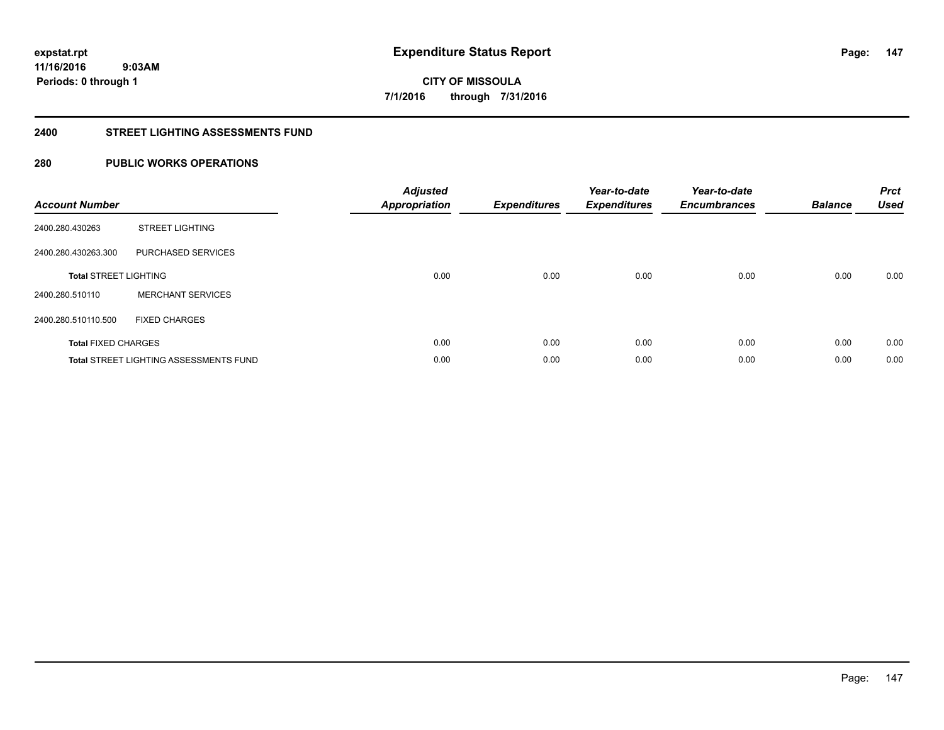**147**

**11/16/2016 9:03AM Periods: 0 through 1**

# **CITY OF MISSOULA 7/1/2016 through 7/31/2016**

#### **2400 STREET LIGHTING ASSESSMENTS FUND**

# **280 PUBLIC WORKS OPERATIONS**

| <b>Account Number</b>        |                                               | <b>Adjusted</b><br>Appropriation | <b>Expenditures</b> | Year-to-date<br><b>Expenditures</b> | Year-to-date<br><b>Encumbrances</b> | <b>Balance</b> | <b>Prct</b><br><b>Used</b> |
|------------------------------|-----------------------------------------------|----------------------------------|---------------------|-------------------------------------|-------------------------------------|----------------|----------------------------|
| 2400.280.430263              | <b>STREET LIGHTING</b>                        |                                  |                     |                                     |                                     |                |                            |
| 2400.280.430263.300          | PURCHASED SERVICES                            |                                  |                     |                                     |                                     |                |                            |
| <b>Total STREET LIGHTING</b> |                                               | 0.00                             | 0.00                | 0.00                                | 0.00                                | 0.00           | 0.00                       |
| 2400.280.510110              | <b>MERCHANT SERVICES</b>                      |                                  |                     |                                     |                                     |                |                            |
| 2400.280.510110.500          | <b>FIXED CHARGES</b>                          |                                  |                     |                                     |                                     |                |                            |
| <b>Total FIXED CHARGES</b>   |                                               | 0.00                             | 0.00                | 0.00                                | 0.00                                | 0.00           | 0.00                       |
|                              | <b>Total STREET LIGHTING ASSESSMENTS FUND</b> | 0.00                             | 0.00                | 0.00                                | 0.00                                | 0.00           | 0.00                       |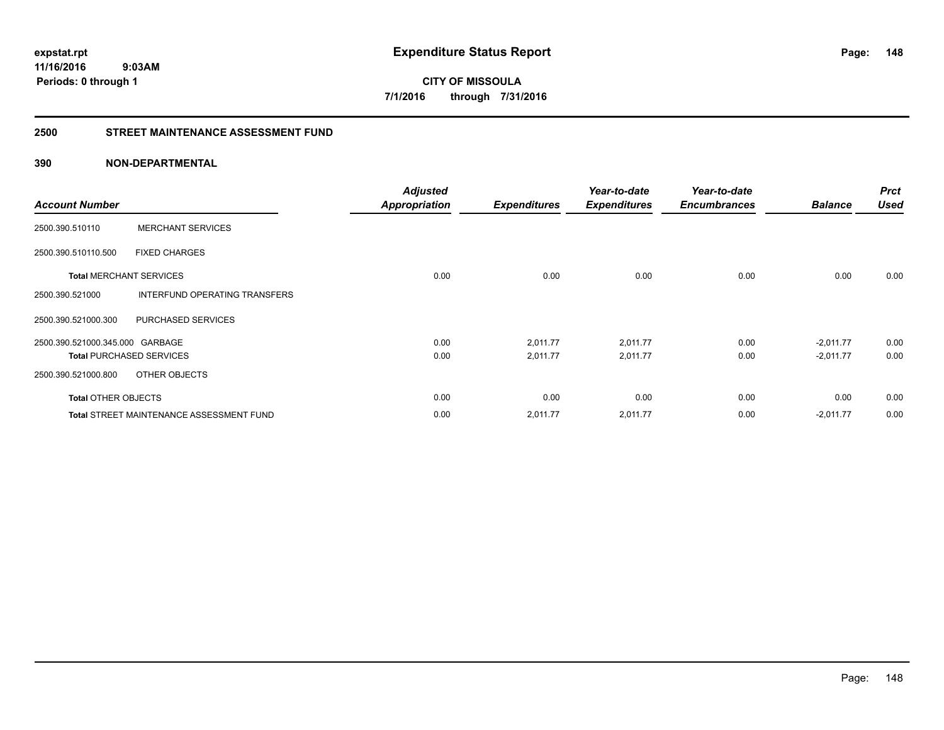**CITY OF MISSOULA 7/1/2016 through 7/31/2016**

#### **2500 STREET MAINTENANCE ASSESSMENT FUND**

# **390 NON-DEPARTMENTAL**

| <b>Account Number</b>           |                                                 | <b>Adjusted</b><br><b>Appropriation</b> | <b>Expenditures</b> | Year-to-date<br><b>Expenditures</b> | Year-to-date<br><b>Encumbrances</b> | <b>Balance</b> | <b>Prct</b><br><b>Used</b> |
|---------------------------------|-------------------------------------------------|-----------------------------------------|---------------------|-------------------------------------|-------------------------------------|----------------|----------------------------|
| 2500.390.510110                 | <b>MERCHANT SERVICES</b>                        |                                         |                     |                                     |                                     |                |                            |
| 2500.390.510110.500             | <b>FIXED CHARGES</b>                            |                                         |                     |                                     |                                     |                |                            |
| <b>Total MERCHANT SERVICES</b>  |                                                 | 0.00                                    | 0.00                | 0.00                                | 0.00                                | 0.00           | 0.00                       |
| 2500.390.521000                 | INTERFUND OPERATING TRANSFERS                   |                                         |                     |                                     |                                     |                |                            |
| 2500.390.521000.300             | PURCHASED SERVICES                              |                                         |                     |                                     |                                     |                |                            |
| 2500.390.521000.345.000 GARBAGE |                                                 | 0.00                                    | 2,011.77            | 2,011.77                            | 0.00                                | $-2,011.77$    | 0.00                       |
| <b>Total PURCHASED SERVICES</b> |                                                 | 0.00                                    | 2,011.77            | 2,011.77                            | 0.00                                | $-2,011.77$    | 0.00                       |
| 2500.390.521000.800             | OTHER OBJECTS                                   |                                         |                     |                                     |                                     |                |                            |
| <b>Total OTHER OBJECTS</b>      |                                                 | 0.00                                    | 0.00                | 0.00                                | 0.00                                | 0.00           | 0.00                       |
|                                 | <b>Total STREET MAINTENANCE ASSESSMENT FUND</b> | 0.00                                    | 2,011.77            | 2,011.77                            | 0.00                                | $-2,011.77$    | 0.00                       |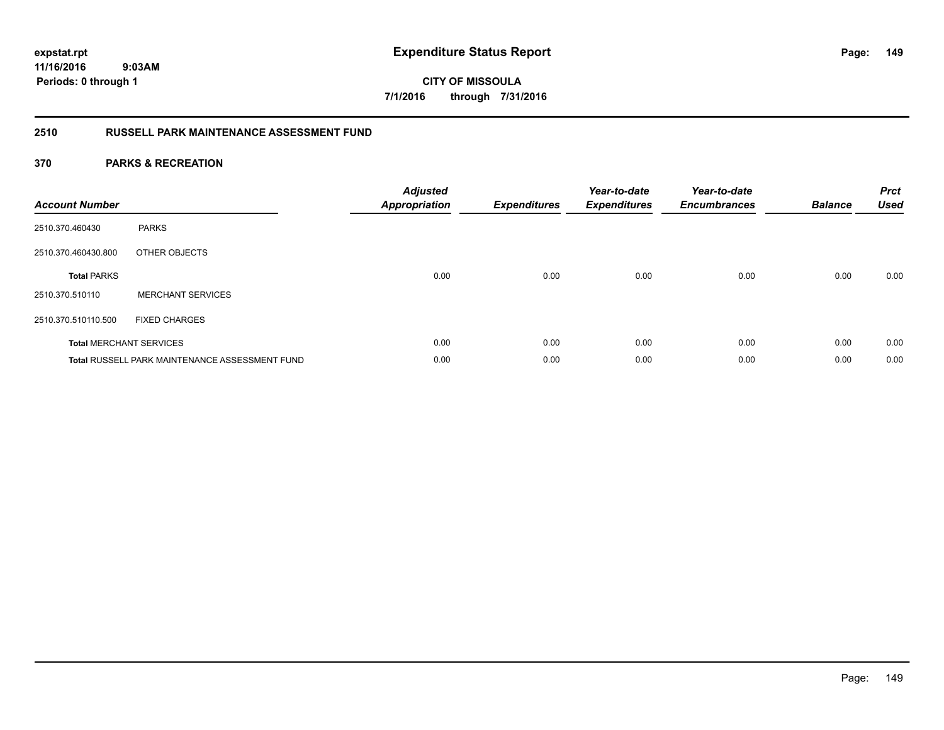**CITY OF MISSOULA 7/1/2016 through 7/31/2016**

# **2510 RUSSELL PARK MAINTENANCE ASSESSMENT FUND**

| <b>Account Number</b> |                                                       | <b>Adjusted</b><br><b>Appropriation</b> | Expenditures | Year-to-date<br><b>Expenditures</b> | Year-to-date<br><b>Encumbrances</b> | <b>Balance</b> | <b>Prct</b><br><b>Used</b> |
|-----------------------|-------------------------------------------------------|-----------------------------------------|--------------|-------------------------------------|-------------------------------------|----------------|----------------------------|
| 2510.370.460430       | <b>PARKS</b>                                          |                                         |              |                                     |                                     |                |                            |
| 2510.370.460430.800   | OTHER OBJECTS                                         |                                         |              |                                     |                                     |                |                            |
| <b>Total PARKS</b>    |                                                       | 0.00                                    | 0.00         | 0.00                                | 0.00                                | 0.00           | 0.00                       |
| 2510.370.510110       | <b>MERCHANT SERVICES</b>                              |                                         |              |                                     |                                     |                |                            |
| 2510.370.510110.500   | <b>FIXED CHARGES</b>                                  |                                         |              |                                     |                                     |                |                            |
|                       | <b>Total MERCHANT SERVICES</b>                        | 0.00                                    | 0.00         | 0.00                                | 0.00                                | 0.00           | 0.00                       |
|                       | <b>Total RUSSELL PARK MAINTENANCE ASSESSMENT FUND</b> | 0.00                                    | 0.00         | 0.00                                | 0.00                                | 0.00           | 0.00                       |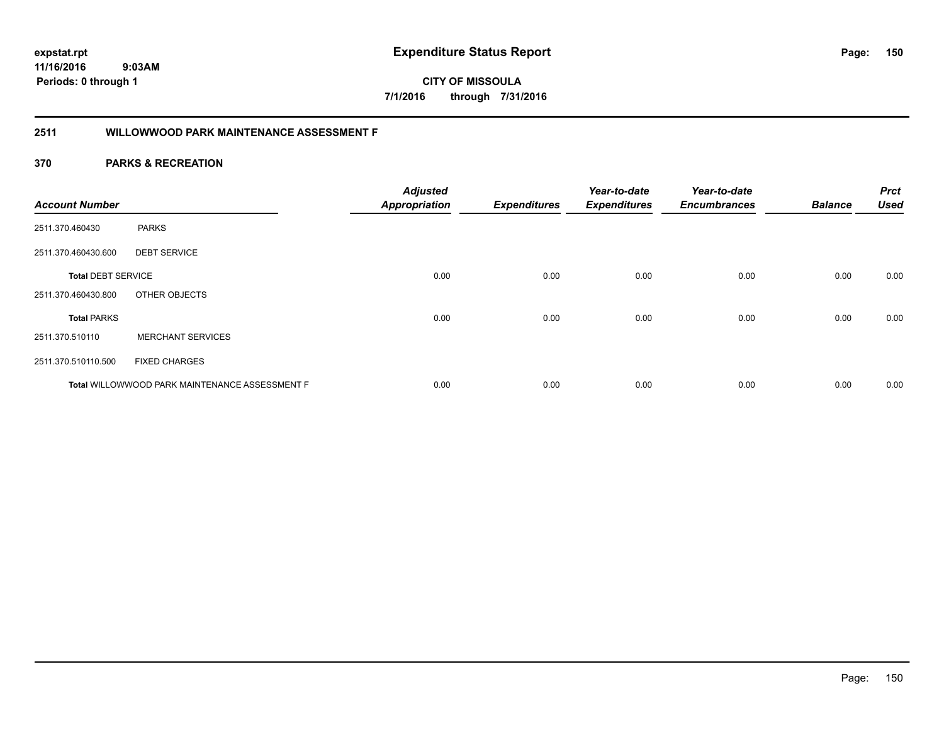**150**

**CITY OF MISSOULA 7/1/2016 through 7/31/2016**

# **2511 WILLOWWOOD PARK MAINTENANCE ASSESSMENT F**

| <b>Account Number</b>     |                                                       | <b>Adjusted</b><br><b>Appropriation</b> | <b>Expenditures</b> | Year-to-date<br><b>Expenditures</b> | Year-to-date<br><b>Encumbrances</b> | <b>Balance</b> | <b>Prct</b><br><b>Used</b> |
|---------------------------|-------------------------------------------------------|-----------------------------------------|---------------------|-------------------------------------|-------------------------------------|----------------|----------------------------|
| 2511.370.460430           | <b>PARKS</b>                                          |                                         |                     |                                     |                                     |                |                            |
| 2511.370.460430.600       | <b>DEBT SERVICE</b>                                   |                                         |                     |                                     |                                     |                |                            |
| <b>Total DEBT SERVICE</b> |                                                       | 0.00                                    | 0.00                | 0.00                                | 0.00                                | 0.00           | 0.00                       |
| 2511.370.460430.800       | OTHER OBJECTS                                         |                                         |                     |                                     |                                     |                |                            |
| <b>Total PARKS</b>        |                                                       | 0.00                                    | 0.00                | 0.00                                | 0.00                                | 0.00           | 0.00                       |
| 2511.370.510110           | <b>MERCHANT SERVICES</b>                              |                                         |                     |                                     |                                     |                |                            |
| 2511.370.510110.500       | <b>FIXED CHARGES</b>                                  |                                         |                     |                                     |                                     |                |                            |
|                           | <b>Total WILLOWWOOD PARK MAINTENANCE ASSESSMENT F</b> | 0.00                                    | 0.00                | 0.00                                | 0.00                                | 0.00           | 0.00                       |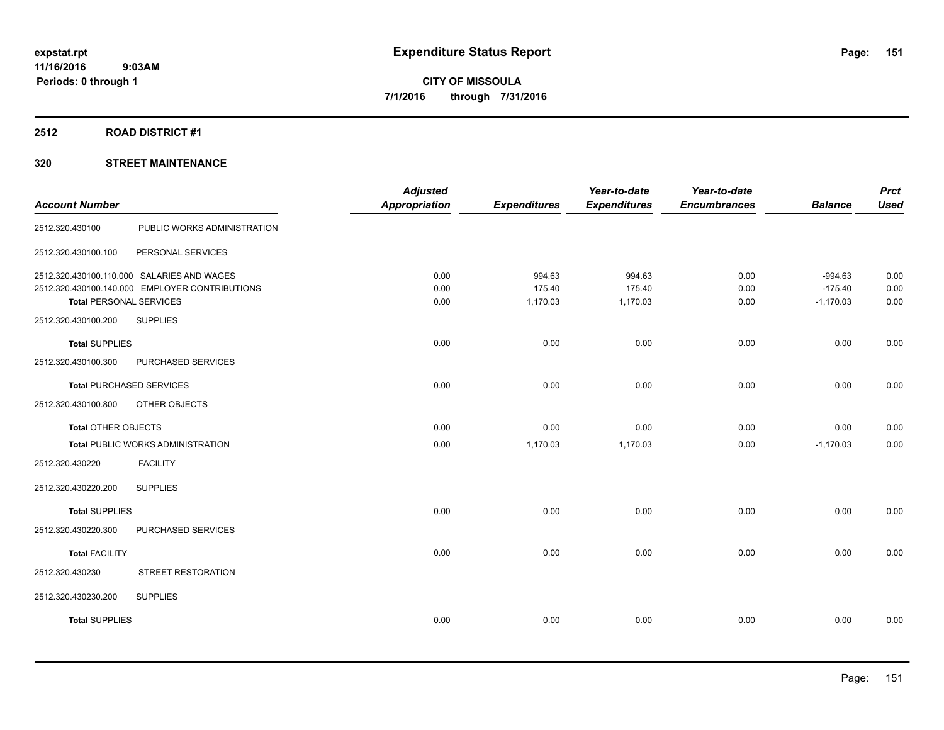#### **2512 ROAD DISTRICT #1**

| <b>Account Number</b>          |                                                                                              | <b>Adjusted</b><br><b>Appropriation</b> | <b>Expenditures</b>          | Year-to-date<br><b>Expenditures</b> | Year-to-date<br><b>Encumbrances</b> | <b>Balance</b>                        | <b>Prct</b><br><b>Used</b> |
|--------------------------------|----------------------------------------------------------------------------------------------|-----------------------------------------|------------------------------|-------------------------------------|-------------------------------------|---------------------------------------|----------------------------|
| 2512.320.430100                | PUBLIC WORKS ADMINISTRATION                                                                  |                                         |                              |                                     |                                     |                                       |                            |
| 2512.320.430100.100            | PERSONAL SERVICES                                                                            |                                         |                              |                                     |                                     |                                       |                            |
| <b>Total PERSONAL SERVICES</b> | 2512.320.430100.110.000 SALARIES AND WAGES<br>2512.320.430100.140.000 EMPLOYER CONTRIBUTIONS | 0.00<br>0.00<br>0.00                    | 994.63<br>175.40<br>1,170.03 | 994.63<br>175.40<br>1,170.03        | 0.00<br>0.00<br>0.00                | $-994.63$<br>$-175.40$<br>$-1,170.03$ | 0.00<br>0.00<br>0.00       |
| 2512.320.430100.200            | <b>SUPPLIES</b>                                                                              |                                         |                              |                                     |                                     |                                       |                            |
| <b>Total SUPPLIES</b>          |                                                                                              | 0.00                                    | 0.00                         | 0.00                                | 0.00                                | 0.00                                  | 0.00                       |
| 2512.320.430100.300            | PURCHASED SERVICES                                                                           |                                         |                              |                                     |                                     |                                       |                            |
|                                | <b>Total PURCHASED SERVICES</b>                                                              | 0.00                                    | 0.00                         | 0.00                                | 0.00                                | 0.00                                  | 0.00                       |
| 2512.320.430100.800            | OTHER OBJECTS                                                                                |                                         |                              |                                     |                                     |                                       |                            |
| <b>Total OTHER OBJECTS</b>     |                                                                                              | 0.00                                    | 0.00                         | 0.00                                | 0.00                                | 0.00                                  | 0.00                       |
|                                | <b>Total PUBLIC WORKS ADMINISTRATION</b>                                                     | 0.00                                    | 1,170.03                     | 1,170.03                            | 0.00                                | $-1,170.03$                           | 0.00                       |
| 2512.320.430220                | <b>FACILITY</b>                                                                              |                                         |                              |                                     |                                     |                                       |                            |
| 2512.320.430220.200            | <b>SUPPLIES</b>                                                                              |                                         |                              |                                     |                                     |                                       |                            |
| <b>Total SUPPLIES</b>          |                                                                                              | 0.00                                    | 0.00                         | 0.00                                | 0.00                                | 0.00                                  | 0.00                       |
| 2512.320.430220.300            | PURCHASED SERVICES                                                                           |                                         |                              |                                     |                                     |                                       |                            |
| <b>Total FACILITY</b>          |                                                                                              | 0.00                                    | 0.00                         | 0.00                                | 0.00                                | 0.00                                  | 0.00                       |
| 2512.320.430230                | STREET RESTORATION                                                                           |                                         |                              |                                     |                                     |                                       |                            |
| 2512.320.430230.200            | <b>SUPPLIES</b>                                                                              |                                         |                              |                                     |                                     |                                       |                            |
| <b>Total SUPPLIES</b>          |                                                                                              | 0.00                                    | 0.00                         | 0.00                                | 0.00                                | 0.00                                  | 0.00                       |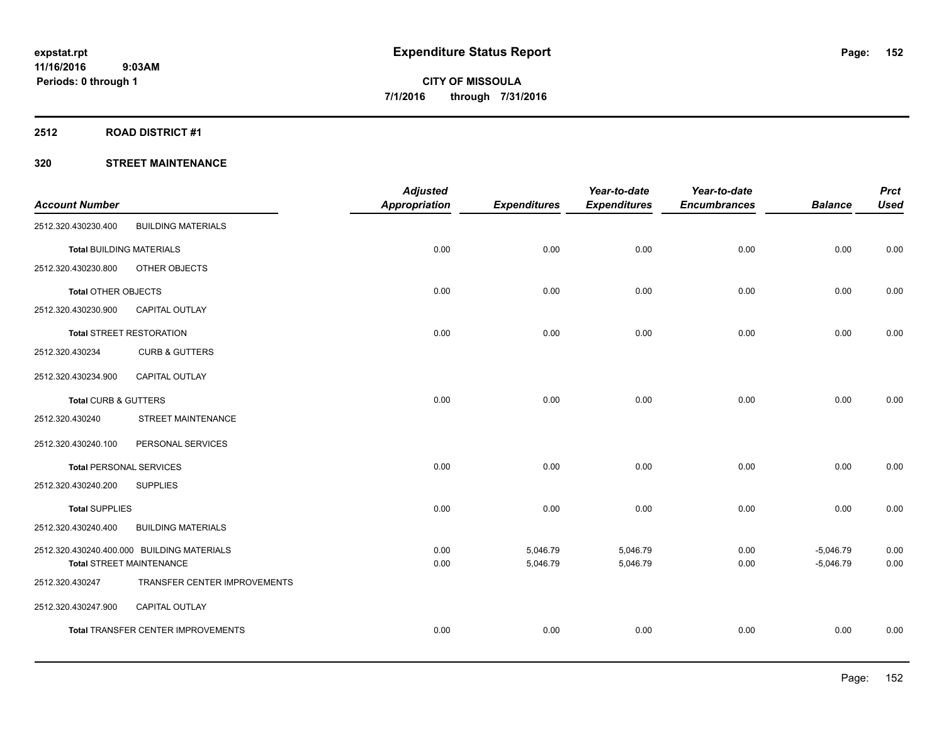# **2512 ROAD DISTRICT #1**

| <b>Account Number</b>           |                                                                               | <b>Adjusted</b><br><b>Appropriation</b> | <b>Expenditures</b>  | Year-to-date<br><b>Expenditures</b> | Year-to-date<br><b>Encumbrances</b> | <b>Balance</b>             | <b>Prct</b><br><b>Used</b> |
|---------------------------------|-------------------------------------------------------------------------------|-----------------------------------------|----------------------|-------------------------------------|-------------------------------------|----------------------------|----------------------------|
| 2512.320.430230.400             | <b>BUILDING MATERIALS</b>                                                     |                                         |                      |                                     |                                     |                            |                            |
| <b>Total BUILDING MATERIALS</b> |                                                                               | 0.00                                    | 0.00                 | 0.00                                | 0.00                                | 0.00                       | 0.00                       |
| 2512.320.430230.800             | OTHER OBJECTS                                                                 |                                         |                      |                                     |                                     |                            |                            |
| Total OTHER OBJECTS             |                                                                               | 0.00                                    | 0.00                 | 0.00                                | 0.00                                | 0.00                       | 0.00                       |
| 2512.320.430230.900             | CAPITAL OUTLAY                                                                |                                         |                      |                                     |                                     |                            |                            |
|                                 | <b>Total STREET RESTORATION</b>                                               | 0.00                                    | 0.00                 | 0.00                                | 0.00                                | 0.00                       | 0.00                       |
| 2512.320.430234                 | <b>CURB &amp; GUTTERS</b>                                                     |                                         |                      |                                     |                                     |                            |                            |
| 2512.320.430234.900             | <b>CAPITAL OUTLAY</b>                                                         |                                         |                      |                                     |                                     |                            |                            |
| Total CURB & GUTTERS            |                                                                               | 0.00                                    | 0.00                 | 0.00                                | 0.00                                | 0.00                       | 0.00                       |
| 2512.320.430240                 | <b>STREET MAINTENANCE</b>                                                     |                                         |                      |                                     |                                     |                            |                            |
| 2512.320.430240.100             | PERSONAL SERVICES                                                             |                                         |                      |                                     |                                     |                            |                            |
| <b>Total PERSONAL SERVICES</b>  |                                                                               | 0.00                                    | 0.00                 | 0.00                                | 0.00                                | 0.00                       | 0.00                       |
| 2512.320.430240.200             | <b>SUPPLIES</b>                                                               |                                         |                      |                                     |                                     |                            |                            |
| <b>Total SUPPLIES</b>           |                                                                               | 0.00                                    | 0.00                 | 0.00                                | 0.00                                | 0.00                       | 0.00                       |
| 2512.320.430240.400             | <b>BUILDING MATERIALS</b>                                                     |                                         |                      |                                     |                                     |                            |                            |
|                                 | 2512.320.430240.400.000 BUILDING MATERIALS<br><b>Total STREET MAINTENANCE</b> | 0.00<br>0.00                            | 5,046.79<br>5,046.79 | 5,046.79<br>5,046.79                | 0.00<br>0.00                        | $-5,046.79$<br>$-5,046.79$ | 0.00<br>0.00               |
| 2512.320.430247                 | TRANSFER CENTER IMPROVEMENTS                                                  |                                         |                      |                                     |                                     |                            |                            |
| 2512.320.430247.900             | CAPITAL OUTLAY                                                                |                                         |                      |                                     |                                     |                            |                            |
|                                 | Total TRANSFER CENTER IMPROVEMENTS                                            | 0.00                                    | 0.00                 | 0.00                                | 0.00                                | 0.00                       | 0.00                       |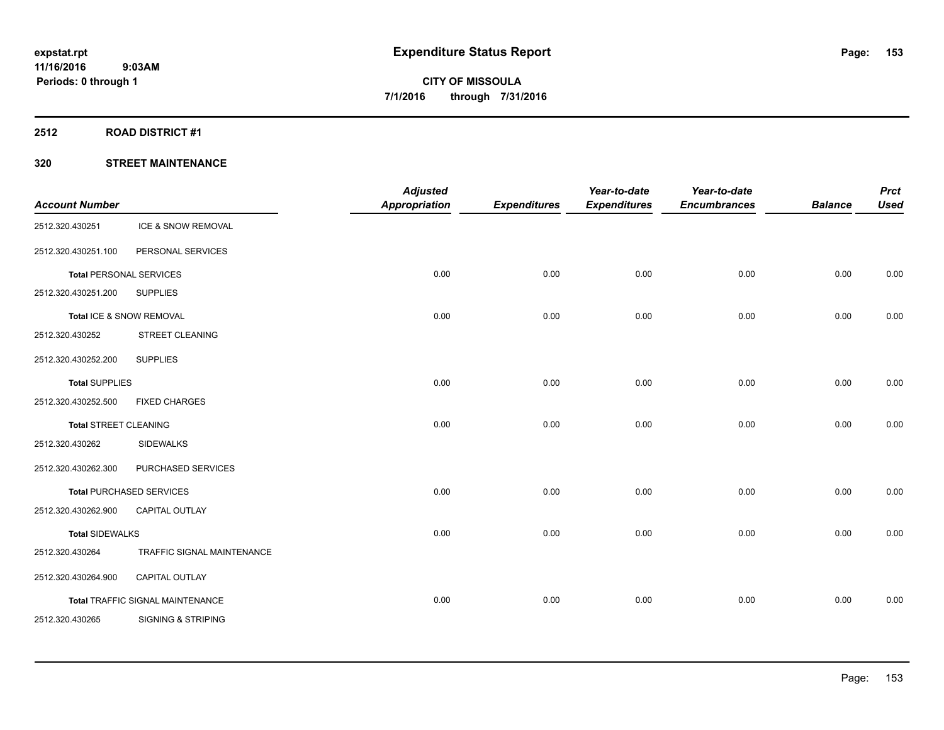#### **2512 ROAD DISTRICT #1**

| <b>Account Number</b>        |                                  | <b>Adjusted</b><br><b>Appropriation</b> | <b>Expenditures</b> | Year-to-date<br><b>Expenditures</b> | Year-to-date<br><b>Encumbrances</b> | <b>Balance</b> | <b>Prct</b><br><b>Used</b> |
|------------------------------|----------------------------------|-----------------------------------------|---------------------|-------------------------------------|-------------------------------------|----------------|----------------------------|
| 2512.320.430251              | ICE & SNOW REMOVAL               |                                         |                     |                                     |                                     |                |                            |
| 2512.320.430251.100          | PERSONAL SERVICES                |                                         |                     |                                     |                                     |                |                            |
|                              | <b>Total PERSONAL SERVICES</b>   | 0.00                                    | 0.00                | 0.00                                | 0.00                                | 0.00           | 0.00                       |
| 2512.320.430251.200          | <b>SUPPLIES</b>                  |                                         |                     |                                     |                                     |                |                            |
|                              | Total ICE & SNOW REMOVAL         | 0.00                                    | 0.00                | 0.00                                | 0.00                                | 0.00           | 0.00                       |
| 2512.320.430252              | STREET CLEANING                  |                                         |                     |                                     |                                     |                |                            |
| 2512.320.430252.200          | <b>SUPPLIES</b>                  |                                         |                     |                                     |                                     |                |                            |
| <b>Total SUPPLIES</b>        |                                  | 0.00                                    | 0.00                | 0.00                                | 0.00                                | 0.00           | 0.00                       |
| 2512.320.430252.500          | <b>FIXED CHARGES</b>             |                                         |                     |                                     |                                     |                |                            |
| <b>Total STREET CLEANING</b> |                                  | 0.00                                    | 0.00                | 0.00                                | 0.00                                | 0.00           | 0.00                       |
| 2512.320.430262              | <b>SIDEWALKS</b>                 |                                         |                     |                                     |                                     |                |                            |
| 2512.320.430262.300          | PURCHASED SERVICES               |                                         |                     |                                     |                                     |                |                            |
|                              | <b>Total PURCHASED SERVICES</b>  | 0.00                                    | 0.00                | 0.00                                | 0.00                                | 0.00           | 0.00                       |
| 2512.320.430262.900          | <b>CAPITAL OUTLAY</b>            |                                         |                     |                                     |                                     |                |                            |
| <b>Total SIDEWALKS</b>       |                                  | 0.00                                    | 0.00                | 0.00                                | 0.00                                | 0.00           | 0.00                       |
| 2512.320.430264              | TRAFFIC SIGNAL MAINTENANCE       |                                         |                     |                                     |                                     |                |                            |
| 2512.320.430264.900          | CAPITAL OUTLAY                   |                                         |                     |                                     |                                     |                |                            |
|                              | Total TRAFFIC SIGNAL MAINTENANCE | 0.00                                    | 0.00                | 0.00                                | 0.00                                | 0.00           | 0.00                       |
| 2512.320.430265              | <b>SIGNING &amp; STRIPING</b>    |                                         |                     |                                     |                                     |                |                            |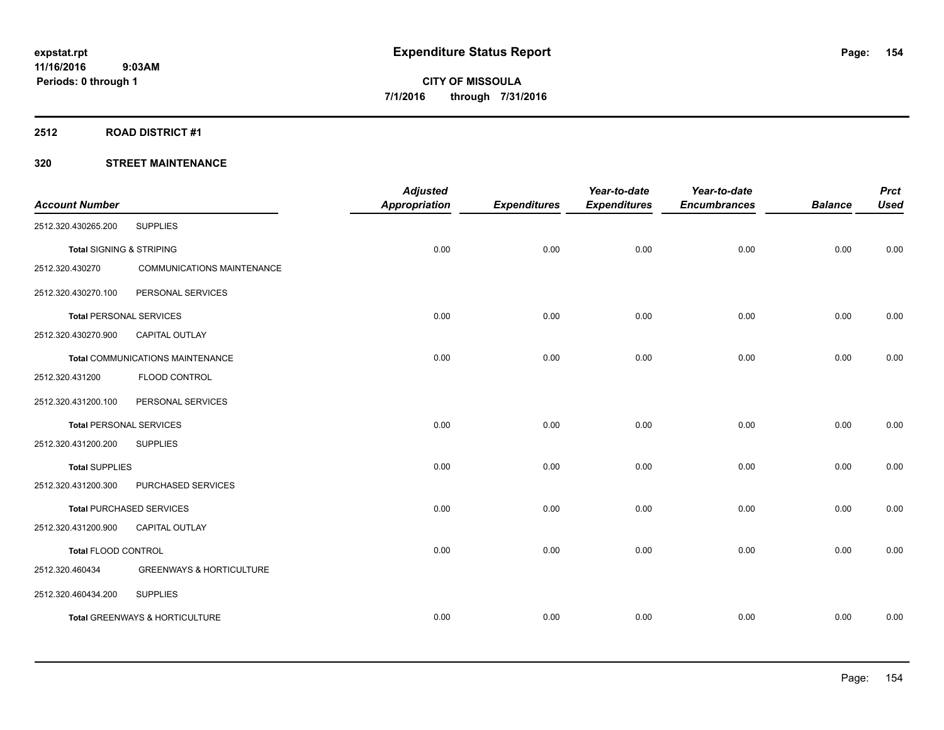# **2512 ROAD DISTRICT #1**

| <b>Account Number</b>               |                                         | <b>Adjusted</b><br><b>Appropriation</b> | <b>Expenditures</b> | Year-to-date<br><b>Expenditures</b> | Year-to-date<br><b>Encumbrances</b> | <b>Balance</b> | <b>Prct</b><br><b>Used</b> |
|-------------------------------------|-----------------------------------------|-----------------------------------------|---------------------|-------------------------------------|-------------------------------------|----------------|----------------------------|
| 2512.320.430265.200                 | <b>SUPPLIES</b>                         |                                         |                     |                                     |                                     |                |                            |
|                                     |                                         |                                         |                     |                                     |                                     |                |                            |
| <b>Total SIGNING &amp; STRIPING</b> |                                         | 0.00                                    | 0.00                | 0.00                                | 0.00                                | 0.00           | 0.00                       |
| 2512.320.430270                     | <b>COMMUNICATIONS MAINTENANCE</b>       |                                         |                     |                                     |                                     |                |                            |
| 2512.320.430270.100                 | PERSONAL SERVICES                       |                                         |                     |                                     |                                     |                |                            |
| <b>Total PERSONAL SERVICES</b>      |                                         | 0.00                                    | 0.00                | 0.00                                | 0.00                                | 0.00           | 0.00                       |
| 2512.320.430270.900                 | <b>CAPITAL OUTLAY</b>                   |                                         |                     |                                     |                                     |                |                            |
|                                     | <b>Total COMMUNICATIONS MAINTENANCE</b> | 0.00                                    | 0.00                | 0.00                                | 0.00                                | 0.00           | 0.00                       |
| 2512.320.431200                     | FLOOD CONTROL                           |                                         |                     |                                     |                                     |                |                            |
| 2512.320.431200.100                 | PERSONAL SERVICES                       |                                         |                     |                                     |                                     |                |                            |
|                                     | <b>Total PERSONAL SERVICES</b>          | 0.00                                    | 0.00                | 0.00                                | 0.00                                | 0.00           | 0.00                       |
| 2512.320.431200.200                 | <b>SUPPLIES</b>                         |                                         |                     |                                     |                                     |                |                            |
| <b>Total SUPPLIES</b>               |                                         | 0.00                                    | 0.00                | 0.00                                | 0.00                                | 0.00           | 0.00                       |
| 2512.320.431200.300                 | PURCHASED SERVICES                      |                                         |                     |                                     |                                     |                |                            |
|                                     | <b>Total PURCHASED SERVICES</b>         | 0.00                                    | 0.00                | 0.00                                | 0.00                                | 0.00           | 0.00                       |
| 2512.320.431200.900                 | <b>CAPITAL OUTLAY</b>                   |                                         |                     |                                     |                                     |                |                            |
| Total FLOOD CONTROL                 |                                         | 0.00                                    | 0.00                | 0.00                                | 0.00                                | 0.00           | 0.00                       |
| 2512.320.460434                     | <b>GREENWAYS &amp; HORTICULTURE</b>     |                                         |                     |                                     |                                     |                |                            |
| 2512.320.460434.200                 | <b>SUPPLIES</b>                         |                                         |                     |                                     |                                     |                |                            |
|                                     | Total GREENWAYS & HORTICULTURE          | 0.00                                    | 0.00                | 0.00                                | 0.00                                | 0.00           | 0.00                       |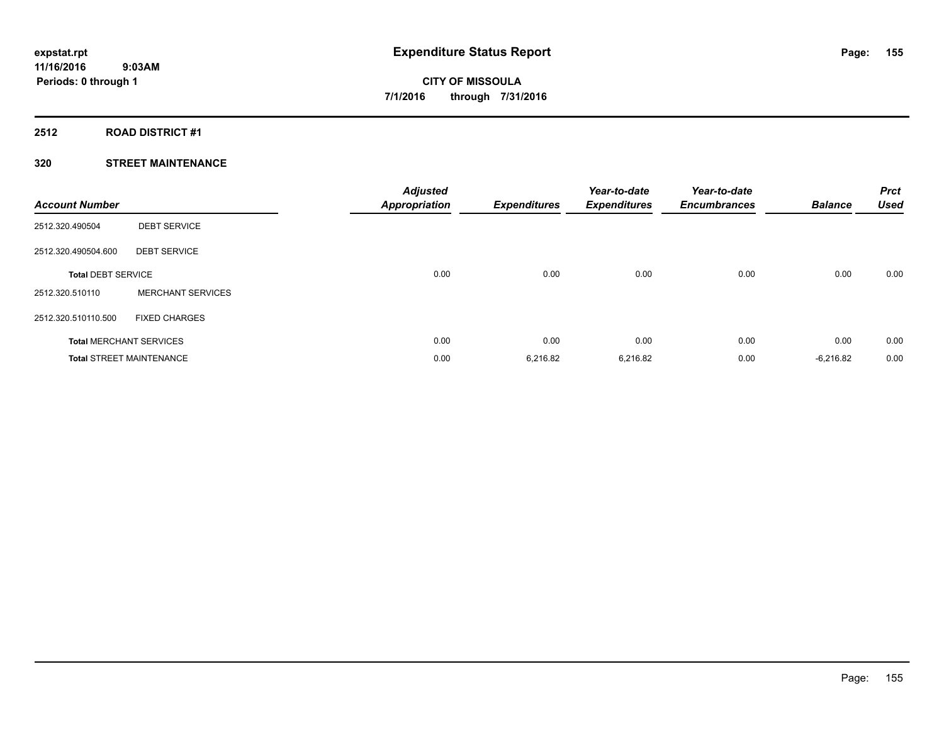#### **2512 ROAD DISTRICT #1**

| <b>Account Number</b>     |                                 | <b>Adjusted</b><br><b>Appropriation</b> | <b>Expenditures</b> | Year-to-date<br><b>Expenditures</b> | Year-to-date<br><b>Encumbrances</b> | <b>Balance</b> | <b>Prct</b><br><b>Used</b> |
|---------------------------|---------------------------------|-----------------------------------------|---------------------|-------------------------------------|-------------------------------------|----------------|----------------------------|
| 2512.320.490504           | <b>DEBT SERVICE</b>             |                                         |                     |                                     |                                     |                |                            |
| 2512.320.490504.600       | <b>DEBT SERVICE</b>             |                                         |                     |                                     |                                     |                |                            |
| <b>Total DEBT SERVICE</b> |                                 | 0.00                                    | 0.00                | 0.00                                | 0.00                                | 0.00           | 0.00                       |
| 2512.320.510110           | <b>MERCHANT SERVICES</b>        |                                         |                     |                                     |                                     |                |                            |
| 2512.320.510110.500       | <b>FIXED CHARGES</b>            |                                         |                     |                                     |                                     |                |                            |
|                           | <b>Total MERCHANT SERVICES</b>  | 0.00                                    | 0.00                | 0.00                                | 0.00                                | 0.00           | 0.00                       |
|                           | <b>Total STREET MAINTENANCE</b> | 0.00                                    | 6,216.82            | 6,216.82                            | 0.00                                | $-6,216.82$    | 0.00                       |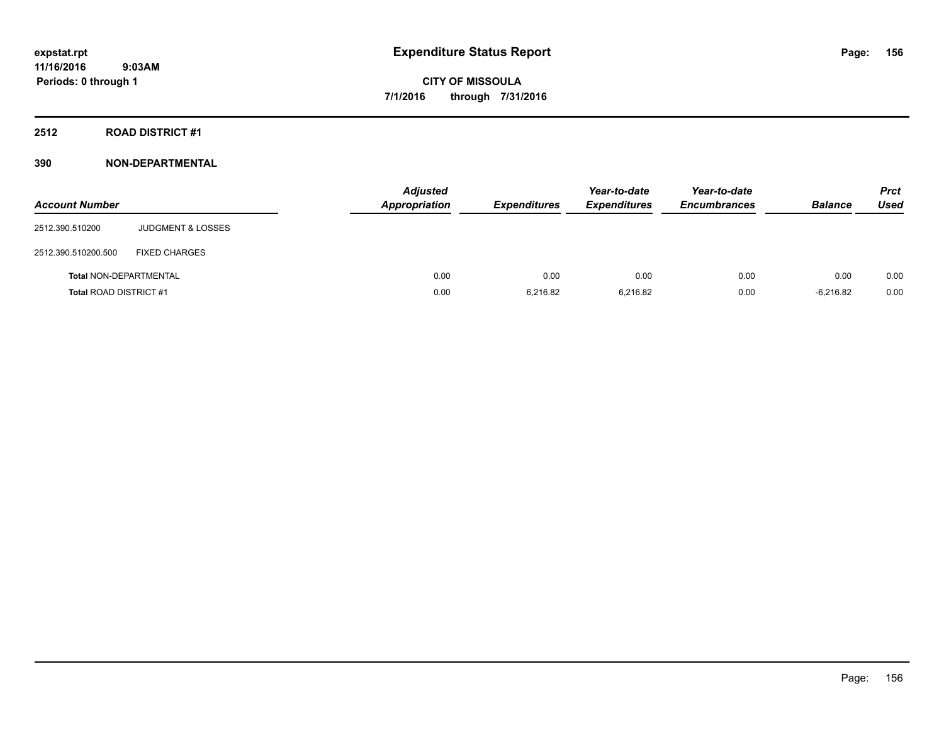# **2512 ROAD DISTRICT #1**

# **390 NON-DEPARTMENTAL**

| <b>Account Number</b>         |                              | <b>Adjusted</b><br><b>Appropriation</b> | <b>Expenditures</b> | Year-to-date<br><b>Expenditures</b> | Year-to-date<br><b>Encumbrances</b> | <b>Balance</b> | <b>Prct</b><br>Used |
|-------------------------------|------------------------------|-----------------------------------------|---------------------|-------------------------------------|-------------------------------------|----------------|---------------------|
| 2512.390.510200               | <b>JUDGMENT &amp; LOSSES</b> |                                         |                     |                                     |                                     |                |                     |
| 2512.390.510200.500           | <b>FIXED CHARGES</b>         |                                         |                     |                                     |                                     |                |                     |
| <b>Total NON-DEPARTMENTAL</b> |                              | 0.00                                    | 0.00                | 0.00                                | 0.00                                | 0.00           | 0.00                |
| <b>Total ROAD DISTRICT #1</b> |                              | 0.00                                    | 6.216.82            | 6.216.82                            | 0.00                                | $-6.216.82$    | 0.00                |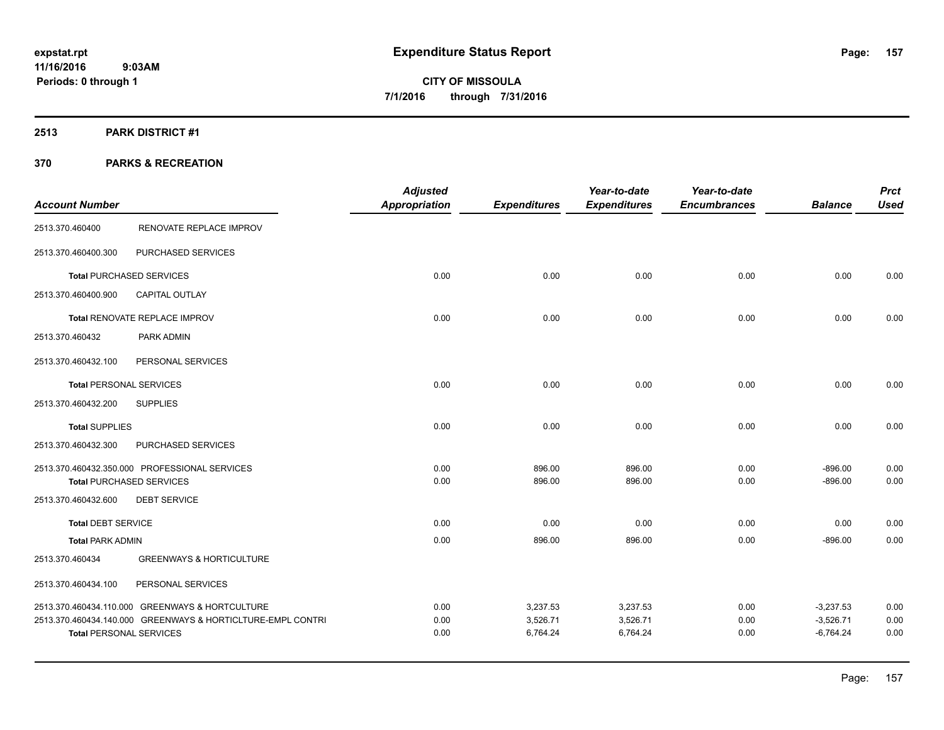# **2513 PARK DISTRICT #1**

|                                |                                                             | <b>Adjusted</b>      |                     | Year-to-date        | Year-to-date        |                | <b>Prct</b> |
|--------------------------------|-------------------------------------------------------------|----------------------|---------------------|---------------------|---------------------|----------------|-------------|
| <b>Account Number</b>          |                                                             | <b>Appropriation</b> | <b>Expenditures</b> | <b>Expenditures</b> | <b>Encumbrances</b> | <b>Balance</b> | <b>Used</b> |
| 2513.370.460400                | RENOVATE REPLACE IMPROV                                     |                      |                     |                     |                     |                |             |
| 2513.370.460400.300            | PURCHASED SERVICES                                          |                      |                     |                     |                     |                |             |
|                                | <b>Total PURCHASED SERVICES</b>                             | 0.00                 | 0.00                | 0.00                | 0.00                | 0.00           | 0.00        |
| 2513.370.460400.900            | <b>CAPITAL OUTLAY</b>                                       |                      |                     |                     |                     |                |             |
|                                | Total RENOVATE REPLACE IMPROV                               | 0.00                 | 0.00                | 0.00                | 0.00                | 0.00           | 0.00        |
| 2513.370.460432                | PARK ADMIN                                                  |                      |                     |                     |                     |                |             |
| 2513.370.460432.100            | PERSONAL SERVICES                                           |                      |                     |                     |                     |                |             |
| <b>Total PERSONAL SERVICES</b> |                                                             | 0.00                 | 0.00                | 0.00                | 0.00                | 0.00           | 0.00        |
| 2513.370.460432.200            | <b>SUPPLIES</b>                                             |                      |                     |                     |                     |                |             |
| <b>Total SUPPLIES</b>          |                                                             | 0.00                 | 0.00                | 0.00                | 0.00                | 0.00           | 0.00        |
| 2513.370.460432.300            | PURCHASED SERVICES                                          |                      |                     |                     |                     |                |             |
|                                | 2513.370.460432.350.000 PROFESSIONAL SERVICES               | 0.00                 | 896.00              | 896.00              | 0.00                | $-896.00$      | 0.00        |
| 2513.370.460432.600            | <b>Total PURCHASED SERVICES</b><br><b>DEBT SERVICE</b>      | 0.00                 | 896.00              | 896.00              | 0.00                | $-896.00$      | 0.00        |
|                                |                                                             |                      |                     |                     |                     |                |             |
| <b>Total DEBT SERVICE</b>      |                                                             | 0.00                 | 0.00                | 0.00                | 0.00                | 0.00           | 0.00        |
| <b>Total PARK ADMIN</b>        |                                                             | 0.00                 | 896.00              | 896.00              | 0.00                | $-896.00$      | 0.00        |
| 2513.370.460434                | <b>GREENWAYS &amp; HORTICULTURE</b>                         |                      |                     |                     |                     |                |             |
| 2513.370.460434.100            | PERSONAL SERVICES                                           |                      |                     |                     |                     |                |             |
|                                | 2513.370.460434.110.000 GREENWAYS & HORTCULTURE             | 0.00                 | 3,237.53            | 3,237.53            | 0.00                | $-3,237.53$    | 0.00        |
|                                | 2513.370.460434.140.000 GREENWAYS & HORTICLTURE-EMPL CONTRI | 0.00                 | 3,526.71            | 3,526.71            | 0.00                | $-3,526.71$    | 0.00        |
| <b>Total PERSONAL SERVICES</b> |                                                             | 0.00                 | 6,764.24            | 6,764.24            | 0.00                | $-6,764.24$    | 0.00        |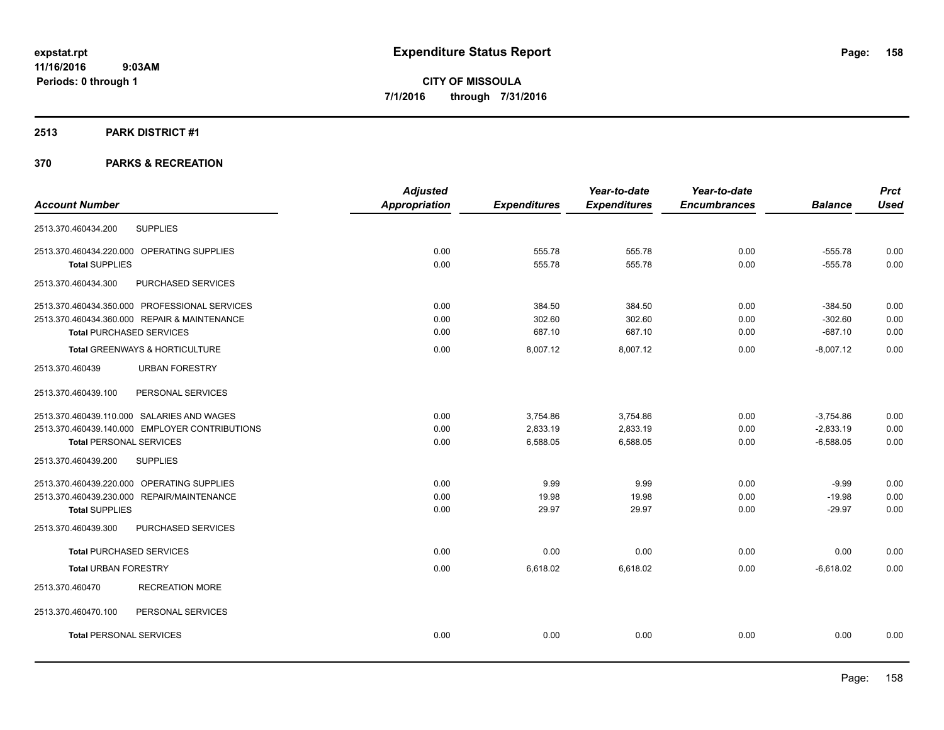# **2513 PARK DISTRICT #1**

|                                                | <b>Adjusted</b>      |                     | Year-to-date        | Year-to-date        |                | <b>Prct</b> |
|------------------------------------------------|----------------------|---------------------|---------------------|---------------------|----------------|-------------|
| <b>Account Number</b>                          | <b>Appropriation</b> | <b>Expenditures</b> | <b>Expenditures</b> | <b>Encumbrances</b> | <b>Balance</b> | <b>Used</b> |
| <b>SUPPLIES</b><br>2513.370.460434.200         |                      |                     |                     |                     |                |             |
| 2513.370.460434.220.000 OPERATING SUPPLIES     | 0.00                 | 555.78              | 555.78              | 0.00                | $-555.78$      | 0.00        |
| <b>Total SUPPLIES</b>                          | 0.00                 | 555.78              | 555.78              | 0.00                | $-555.78$      | 0.00        |
| 2513.370.460434.300<br>PURCHASED SERVICES      |                      |                     |                     |                     |                |             |
| 2513.370.460434.350.000 PROFESSIONAL SERVICES  | 0.00                 | 384.50              | 384.50              | 0.00                | $-384.50$      | 0.00        |
| 2513.370.460434.360.000 REPAIR & MAINTENANCE   | 0.00                 | 302.60              | 302.60              | 0.00                | $-302.60$      | 0.00        |
| <b>Total PURCHASED SERVICES</b>                | 0.00                 | 687.10              | 687.10              | 0.00                | $-687.10$      | 0.00        |
| Total GREENWAYS & HORTICULTURE                 | 0.00                 | 8,007.12            | 8,007.12            | 0.00                | $-8,007.12$    | 0.00        |
| 2513.370.460439<br><b>URBAN FORESTRY</b>       |                      |                     |                     |                     |                |             |
| PERSONAL SERVICES<br>2513.370.460439.100       |                      |                     |                     |                     |                |             |
| 2513.370.460439.110.000 SALARIES AND WAGES     | 0.00                 | 3,754.86            | 3,754.86            | 0.00                | $-3,754.86$    | 0.00        |
| 2513.370.460439.140.000 EMPLOYER CONTRIBUTIONS | 0.00                 | 2,833.19            | 2,833.19            | 0.00                | $-2,833.19$    | 0.00        |
| <b>Total PERSONAL SERVICES</b>                 | 0.00                 | 6,588.05            | 6,588.05            | 0.00                | $-6,588.05$    | 0.00        |
| <b>SUPPLIES</b><br>2513.370.460439.200         |                      |                     |                     |                     |                |             |
| 2513.370.460439.220.000 OPERATING SUPPLIES     | 0.00                 | 9.99                | 9.99                | 0.00                | $-9.99$        | 0.00        |
| 2513.370.460439.230.000<br>REPAIR/MAINTENANCE  | 0.00                 | 19.98               | 19.98               | 0.00                | $-19.98$       | 0.00        |
| <b>Total SUPPLIES</b>                          | 0.00                 | 29.97               | 29.97               | 0.00                | $-29.97$       | 0.00        |
| 2513.370.460439.300<br>PURCHASED SERVICES      |                      |                     |                     |                     |                |             |
| <b>Total PURCHASED SERVICES</b>                | 0.00                 | 0.00                | 0.00                | 0.00                | 0.00           | 0.00        |
| <b>Total URBAN FORESTRY</b>                    | 0.00                 | 6,618.02            | 6,618.02            | 0.00                | $-6,618.02$    | 0.00        |
| <b>RECREATION MORE</b><br>2513.370.460470      |                      |                     |                     |                     |                |             |
| PERSONAL SERVICES<br>2513.370.460470.100       |                      |                     |                     |                     |                |             |
| <b>Total PERSONAL SERVICES</b>                 | 0.00                 | 0.00                | 0.00                | 0.00                | 0.00           | 0.00        |
|                                                |                      |                     |                     |                     |                |             |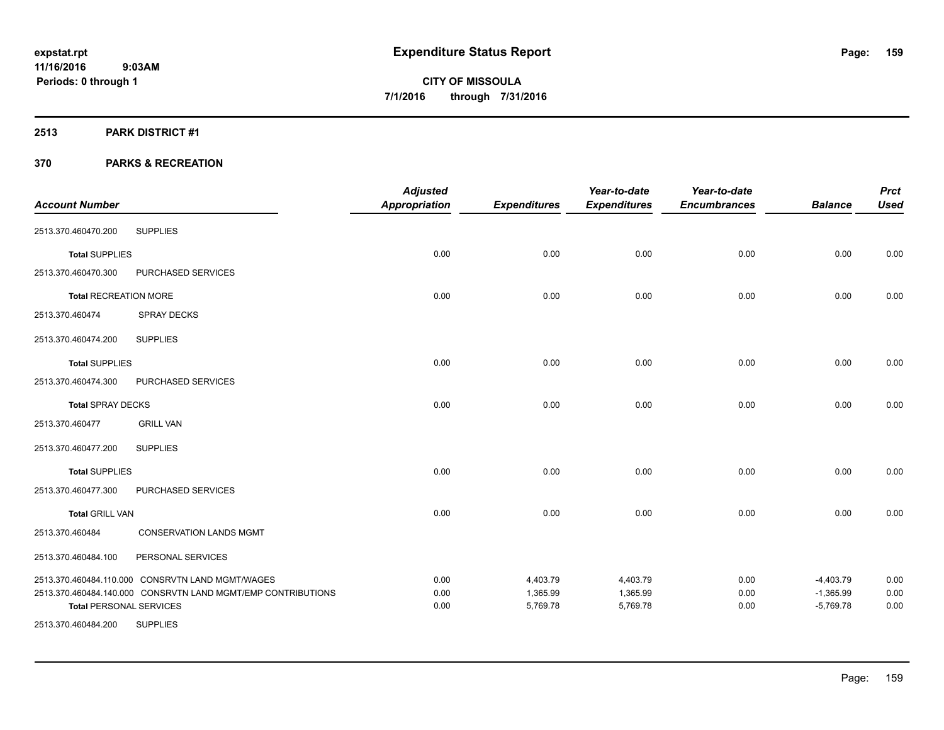# **2513 PARK DISTRICT #1**

| <b>Account Number</b>          |                                                              | <b>Adjusted</b><br><b>Appropriation</b> | <b>Expenditures</b> | Year-to-date<br><b>Expenditures</b> | Year-to-date<br><b>Encumbrances</b> | <b>Balance</b> | <b>Prct</b><br><b>Used</b> |
|--------------------------------|--------------------------------------------------------------|-----------------------------------------|---------------------|-------------------------------------|-------------------------------------|----------------|----------------------------|
| 2513.370.460470.200            | <b>SUPPLIES</b>                                              |                                         |                     |                                     |                                     |                |                            |
|                                |                                                              |                                         |                     |                                     |                                     |                |                            |
| <b>Total SUPPLIES</b>          |                                                              | 0.00                                    | 0.00                | 0.00                                | 0.00                                | 0.00           | 0.00                       |
| 2513.370.460470.300            | PURCHASED SERVICES                                           |                                         |                     |                                     |                                     |                |                            |
| <b>Total RECREATION MORE</b>   |                                                              | 0.00                                    | 0.00                | 0.00                                | 0.00                                | 0.00           | 0.00                       |
| 2513.370.460474                | SPRAY DECKS                                                  |                                         |                     |                                     |                                     |                |                            |
| 2513.370.460474.200            | <b>SUPPLIES</b>                                              |                                         |                     |                                     |                                     |                |                            |
| <b>Total SUPPLIES</b>          |                                                              | 0.00                                    | 0.00                | 0.00                                | 0.00                                | 0.00           | 0.00                       |
| 2513.370.460474.300            | PURCHASED SERVICES                                           |                                         |                     |                                     |                                     |                |                            |
| <b>Total SPRAY DECKS</b>       |                                                              | 0.00                                    | 0.00                | 0.00                                | 0.00                                | 0.00           | 0.00                       |
| 2513.370.460477                | <b>GRILL VAN</b>                                             |                                         |                     |                                     |                                     |                |                            |
| 2513.370.460477.200            | <b>SUPPLIES</b>                                              |                                         |                     |                                     |                                     |                |                            |
| <b>Total SUPPLIES</b>          |                                                              | 0.00                                    | 0.00                | 0.00                                | 0.00                                | 0.00           | 0.00                       |
| 2513.370.460477.300            | PURCHASED SERVICES                                           |                                         |                     |                                     |                                     |                |                            |
| <b>Total GRILL VAN</b>         |                                                              | 0.00                                    | 0.00                | 0.00                                | 0.00                                | 0.00           | 0.00                       |
| 2513.370.460484                | <b>CONSERVATION LANDS MGMT</b>                               |                                         |                     |                                     |                                     |                |                            |
| 2513.370.460484.100            | PERSONAL SERVICES                                            |                                         |                     |                                     |                                     |                |                            |
|                                | 2513.370.460484.110.000 CONSRVTN LAND MGMT/WAGES             | 0.00                                    | 4,403.79            | 4,403.79                            | 0.00                                | $-4,403.79$    | 0.00                       |
|                                | 2513.370.460484.140.000 CONSRVTN LAND MGMT/EMP CONTRIBUTIONS | 0.00                                    | 1,365.99            | 1,365.99                            | 0.00                                | $-1,365.99$    | 0.00                       |
| <b>Total PERSONAL SERVICES</b> |                                                              | 0.00                                    | 5,769.78            | 5,769.78                            | 0.00                                | $-5,769.78$    | 0.00                       |
| 2513.370.460484.200            | <b>SUPPLIES</b>                                              |                                         |                     |                                     |                                     |                |                            |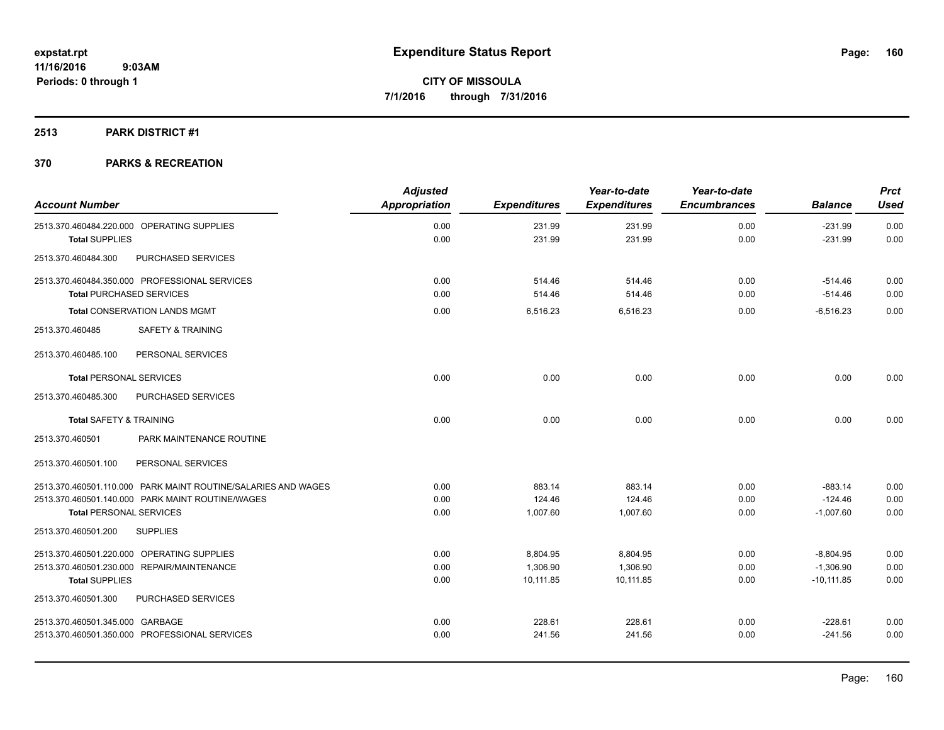# **2513 PARK DISTRICT #1**

| <b>Account Number</b>                                               | <b>Adjusted</b><br><b>Appropriation</b> | <b>Expenditures</b> | Year-to-date<br><b>Expenditures</b> | Year-to-date<br><b>Encumbrances</b> | <b>Balance</b>         | <b>Prct</b><br><b>Used</b> |
|---------------------------------------------------------------------|-----------------------------------------|---------------------|-------------------------------------|-------------------------------------|------------------------|----------------------------|
| 2513.370.460484.220.000 OPERATING SUPPLIES<br><b>Total SUPPLIES</b> | 0.00<br>0.00                            | 231.99<br>231.99    | 231.99<br>231.99                    | 0.00<br>0.00                        | $-231.99$<br>$-231.99$ | 0.00<br>0.00               |
| 2513.370.460484.300<br>PURCHASED SERVICES                           |                                         |                     |                                     |                                     |                        |                            |
| 2513.370.460484.350.000 PROFESSIONAL SERVICES                       | 0.00                                    | 514.46              | 514.46                              | 0.00                                | $-514.46$              | 0.00                       |
| <b>Total PURCHASED SERVICES</b>                                     | 0.00                                    | 514.46              | 514.46                              | 0.00                                | $-514.46$              | 0.00                       |
| <b>Total CONSERVATION LANDS MGMT</b>                                | 0.00                                    | 6,516.23            | 6,516.23                            | 0.00                                | $-6,516.23$            | 0.00                       |
| 2513.370.460485<br><b>SAFETY &amp; TRAINING</b>                     |                                         |                     |                                     |                                     |                        |                            |
| PERSONAL SERVICES<br>2513.370.460485.100                            |                                         |                     |                                     |                                     |                        |                            |
| <b>Total PERSONAL SERVICES</b>                                      | 0.00                                    | 0.00                | 0.00                                | 0.00                                | 0.00                   | 0.00                       |
| PURCHASED SERVICES<br>2513.370.460485.300                           |                                         |                     |                                     |                                     |                        |                            |
| <b>Total SAFETY &amp; TRAINING</b>                                  | 0.00                                    | 0.00                | 0.00                                | 0.00                                | 0.00                   | 0.00                       |
| PARK MAINTENANCE ROUTINE<br>2513.370.460501                         |                                         |                     |                                     |                                     |                        |                            |
| 2513.370.460501.100<br>PERSONAL SERVICES                            |                                         |                     |                                     |                                     |                        |                            |
| 2513.370.460501.110.000 PARK MAINT ROUTINE/SALARIES AND WAGES       | 0.00                                    | 883.14              | 883.14                              | 0.00                                | $-883.14$              | 0.00                       |
| 2513.370.460501.140.000 PARK MAINT ROUTINE/WAGES                    | 0.00                                    | 124.46              | 124.46                              | 0.00                                | $-124.46$              | 0.00                       |
| <b>Total PERSONAL SERVICES</b>                                      | 0.00                                    | 1,007.60            | 1,007.60                            | 0.00                                | $-1,007.60$            | 0.00                       |
| 2513.370.460501.200<br><b>SUPPLIES</b>                              |                                         |                     |                                     |                                     |                        |                            |
| 2513.370.460501.220.000 OPERATING SUPPLIES                          | 0.00                                    | 8,804.95            | 8,804.95                            | 0.00                                | $-8,804.95$            | 0.00                       |
| 2513.370.460501.230.000 REPAIR/MAINTENANCE                          | 0.00                                    | 1,306.90            | 1,306.90                            | 0.00                                | $-1,306.90$            | 0.00                       |
| <b>Total SUPPLIES</b>                                               | 0.00                                    | 10,111.85           | 10,111.85                           | 0.00                                | $-10.111.85$           | 0.00                       |
| 2513.370.460501.300<br>PURCHASED SERVICES                           |                                         |                     |                                     |                                     |                        |                            |
| 2513.370.460501.345.000 GARBAGE                                     | 0.00                                    | 228.61              | 228.61                              | 0.00                                | $-228.61$              | 0.00                       |
| 2513.370.460501.350.000 PROFESSIONAL SERVICES                       | 0.00                                    | 241.56              | 241.56                              | 0.00                                | $-241.56$              | 0.00                       |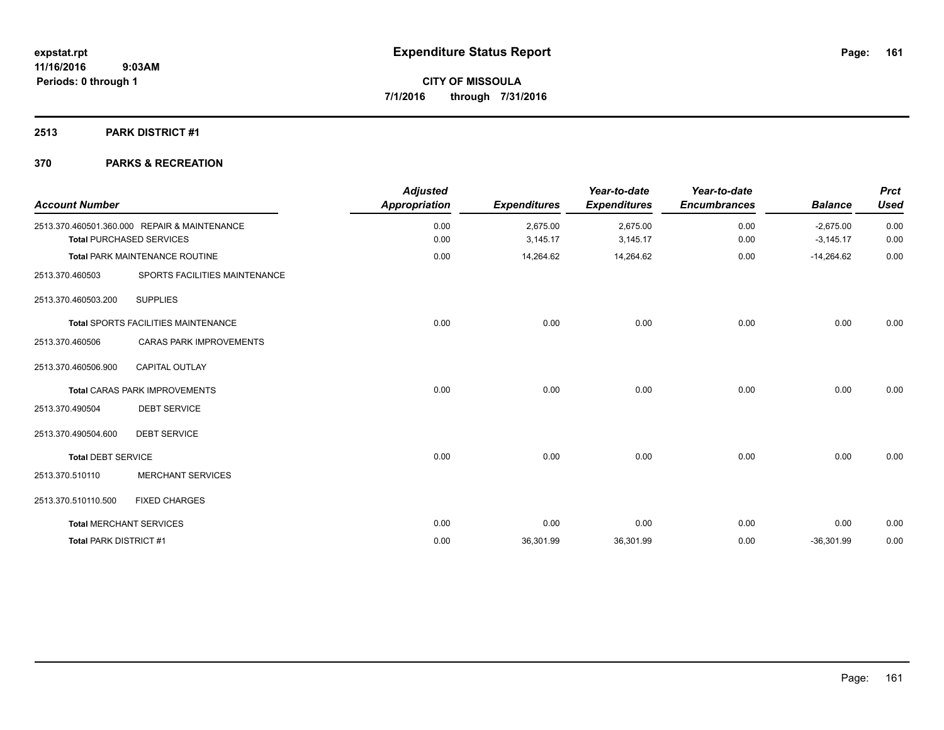# **2513 PARK DISTRICT #1**

| <b>Account Number</b>         |                                                                                 | <b>Adjusted</b><br><b>Appropriation</b> | <b>Expenditures</b>  | Year-to-date<br><b>Expenditures</b> | Year-to-date<br><b>Encumbrances</b> | <b>Balance</b>             | <b>Prct</b><br><b>Used</b> |
|-------------------------------|---------------------------------------------------------------------------------|-----------------------------------------|----------------------|-------------------------------------|-------------------------------------|----------------------------|----------------------------|
|                               | 2513.370.460501.360.000 REPAIR & MAINTENANCE<br><b>Total PURCHASED SERVICES</b> | 0.00<br>0.00                            | 2,675.00<br>3,145.17 | 2,675.00<br>3,145.17                | 0.00<br>0.00                        | $-2,675.00$<br>$-3,145.17$ | 0.00<br>0.00               |
|                               | Total PARK MAINTENANCE ROUTINE                                                  | 0.00                                    | 14,264.62            | 14,264.62                           | 0.00                                | $-14,264.62$               | 0.00                       |
| 2513.370.460503               | SPORTS FACILITIES MAINTENANCE                                                   |                                         |                      |                                     |                                     |                            |                            |
| 2513.370.460503.200           | <b>SUPPLIES</b>                                                                 |                                         |                      |                                     |                                     |                            |                            |
|                               | Total SPORTS FACILITIES MAINTENANCE                                             | 0.00                                    | 0.00                 | 0.00                                | 0.00                                | 0.00                       | 0.00                       |
| 2513.370.460506               | <b>CARAS PARK IMPROVEMENTS</b>                                                  |                                         |                      |                                     |                                     |                            |                            |
| 2513.370.460506.900           | <b>CAPITAL OUTLAY</b>                                                           |                                         |                      |                                     |                                     |                            |                            |
|                               | <b>Total CARAS PARK IMPROVEMENTS</b>                                            | 0.00                                    | 0.00                 | 0.00                                | 0.00                                | 0.00                       | 0.00                       |
| 2513.370.490504               | <b>DEBT SERVICE</b>                                                             |                                         |                      |                                     |                                     |                            |                            |
| 2513.370.490504.600           | <b>DEBT SERVICE</b>                                                             |                                         |                      |                                     |                                     |                            |                            |
| <b>Total DEBT SERVICE</b>     |                                                                                 | 0.00                                    | 0.00                 | 0.00                                | 0.00                                | 0.00                       | 0.00                       |
| 2513.370.510110               | <b>MERCHANT SERVICES</b>                                                        |                                         |                      |                                     |                                     |                            |                            |
| 2513.370.510110.500           | <b>FIXED CHARGES</b>                                                            |                                         |                      |                                     |                                     |                            |                            |
|                               | <b>Total MERCHANT SERVICES</b>                                                  | 0.00                                    | 0.00                 | 0.00                                | 0.00                                | 0.00                       | 0.00                       |
| <b>Total PARK DISTRICT #1</b> |                                                                                 | 0.00                                    | 36,301.99            | 36,301.99                           | 0.00                                | $-36,301.99$               | 0.00                       |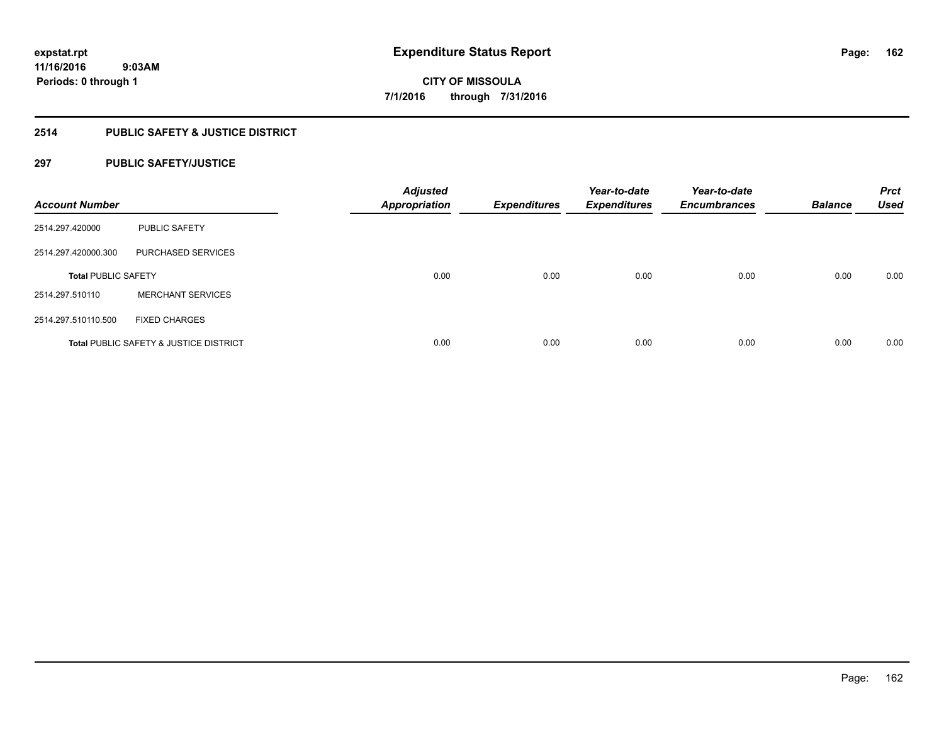# **2514 PUBLIC SAFETY & JUSTICE DISTRICT**

# **297 PUBLIC SAFETY/JUSTICE**

| <b>Account Number</b>      |                                                   | <b>Adjusted</b><br><b>Appropriation</b> | <b>Expenditures</b> | Year-to-date<br><b>Expenditures</b> | Year-to-date<br><b>Encumbrances</b> | <b>Balance</b> | <b>Prct</b><br><b>Used</b> |
|----------------------------|---------------------------------------------------|-----------------------------------------|---------------------|-------------------------------------|-------------------------------------|----------------|----------------------------|
| 2514.297.420000            | <b>PUBLIC SAFETY</b>                              |                                         |                     |                                     |                                     |                |                            |
| 2514.297.420000.300        | <b>PURCHASED SERVICES</b>                         |                                         |                     |                                     |                                     |                |                            |
| <b>Total PUBLIC SAFETY</b> |                                                   | 0.00                                    | 0.00                | 0.00                                | 0.00                                | 0.00           | 0.00                       |
| 2514.297.510110            | <b>MERCHANT SERVICES</b>                          |                                         |                     |                                     |                                     |                |                            |
| 2514.297.510110.500        | <b>FIXED CHARGES</b>                              |                                         |                     |                                     |                                     |                |                            |
|                            | <b>Total PUBLIC SAFETY &amp; JUSTICE DISTRICT</b> | 0.00                                    | 0.00                | 0.00                                | 0.00                                | 0.00           | 0.00                       |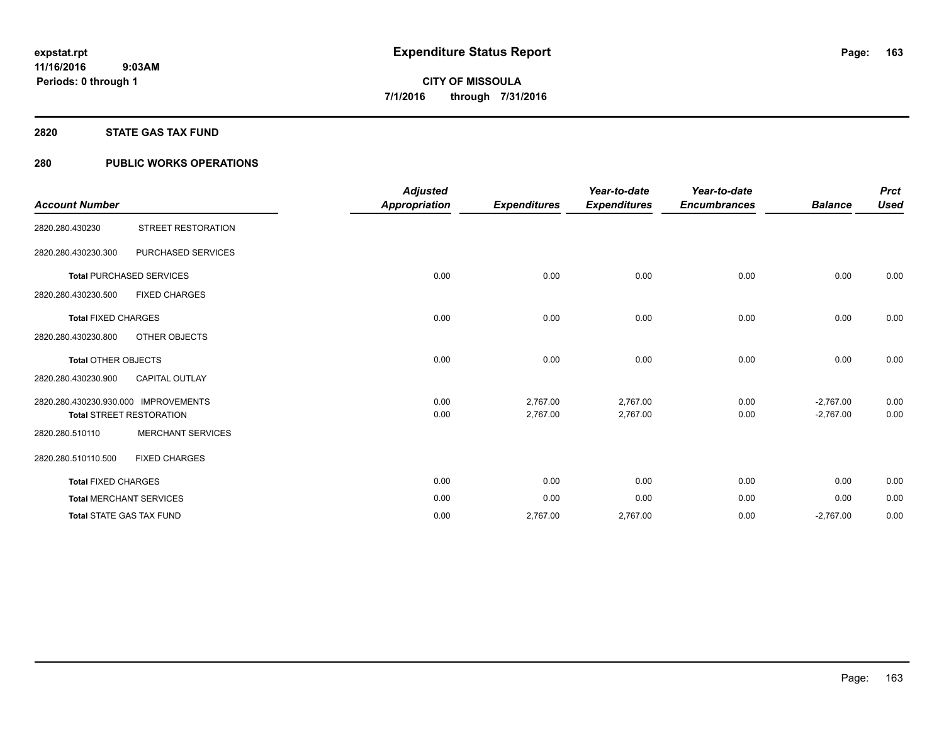# **2820 STATE GAS TAX FUND**

# **280 PUBLIC WORKS OPERATIONS**

|                                      |                                 | <b>Adjusted</b>      |                     | Year-to-date        | Year-to-date        |                | <b>Prct</b> |
|--------------------------------------|---------------------------------|----------------------|---------------------|---------------------|---------------------|----------------|-------------|
| <b>Account Number</b>                |                                 | <b>Appropriation</b> | <b>Expenditures</b> | <b>Expenditures</b> | <b>Encumbrances</b> | <b>Balance</b> | <b>Used</b> |
| 2820.280.430230                      | <b>STREET RESTORATION</b>       |                      |                     |                     |                     |                |             |
| 2820.280.430230.300                  | PURCHASED SERVICES              |                      |                     |                     |                     |                |             |
|                                      | <b>Total PURCHASED SERVICES</b> | 0.00                 | 0.00                | 0.00                | 0.00                | 0.00           | 0.00        |
| 2820.280.430230.500                  | <b>FIXED CHARGES</b>            |                      |                     |                     |                     |                |             |
| <b>Total FIXED CHARGES</b>           |                                 | 0.00                 | 0.00                | 0.00                | 0.00                | 0.00           | 0.00        |
| 2820.280.430230.800                  | OTHER OBJECTS                   |                      |                     |                     |                     |                |             |
| <b>Total OTHER OBJECTS</b>           |                                 | 0.00                 | 0.00                | 0.00                | 0.00                | 0.00           | 0.00        |
| 2820.280.430230.900                  | <b>CAPITAL OUTLAY</b>           |                      |                     |                     |                     |                |             |
| 2820.280.430230.930.000 IMPROVEMENTS |                                 | 0.00                 | 2,767.00            | 2,767.00            | 0.00                | $-2,767.00$    | 0.00        |
|                                      | <b>Total STREET RESTORATION</b> | 0.00                 | 2,767.00            | 2,767.00            | 0.00                | $-2,767.00$    | 0.00        |
| 2820.280.510110                      | <b>MERCHANT SERVICES</b>        |                      |                     |                     |                     |                |             |
| 2820.280.510110.500                  | <b>FIXED CHARGES</b>            |                      |                     |                     |                     |                |             |
| <b>Total FIXED CHARGES</b>           |                                 | 0.00                 | 0.00                | 0.00                | 0.00                | 0.00           | 0.00        |
|                                      | <b>Total MERCHANT SERVICES</b>  | 0.00                 | 0.00                | 0.00                | 0.00                | 0.00           | 0.00        |
|                                      | <b>Total STATE GAS TAX FUND</b> | 0.00                 | 2,767.00            | 2,767.00            | 0.00                | $-2,767.00$    | 0.00        |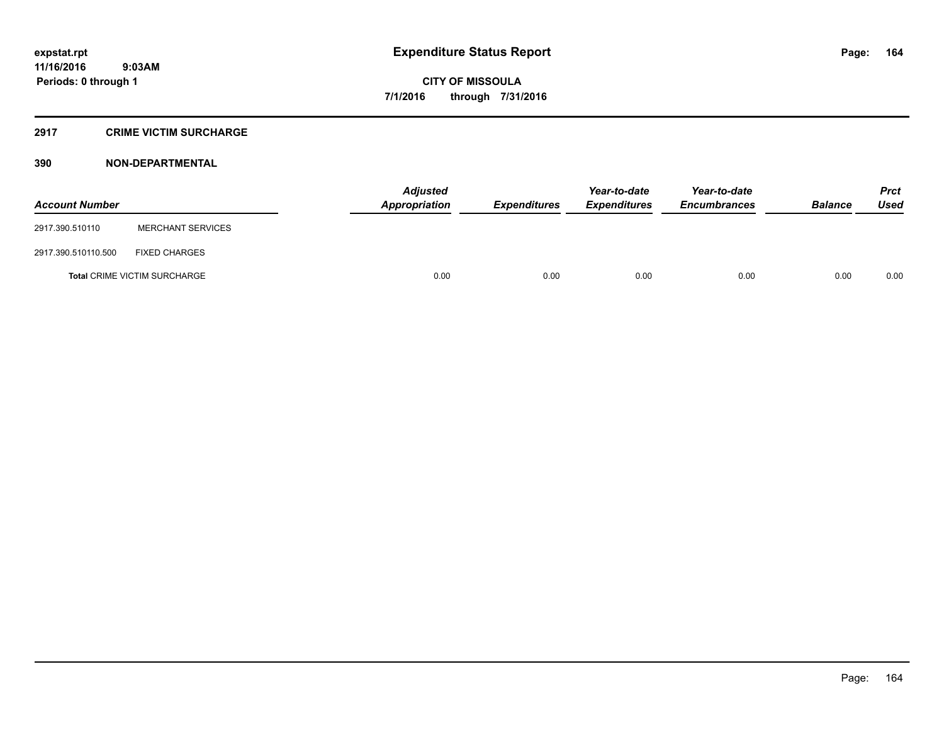#### **2917 CRIME VICTIM SURCHARGE**

# **390 NON-DEPARTMENTAL**

| <b>Account Number</b> |                                     | Adjusted<br><b>Appropriation</b> | <b>Expenditures</b> | Year-to-date<br><b>Expenditures</b> | Year-to-date<br><b>Encumbrances</b> | <b>Balance</b> | <b>Prct</b><br><b>Used</b> |
|-----------------------|-------------------------------------|----------------------------------|---------------------|-------------------------------------|-------------------------------------|----------------|----------------------------|
| 2917.390.510110       | <b>MERCHANT SERVICES</b>            |                                  |                     |                                     |                                     |                |                            |
| 2917.390.510110.500   | <b>FIXED CHARGES</b>                |                                  |                     |                                     |                                     |                |                            |
|                       | <b>Total CRIME VICTIM SURCHARGE</b> | 0.00                             | 0.00                | 0.00                                | 0.00                                | 0.00           | 0.00                       |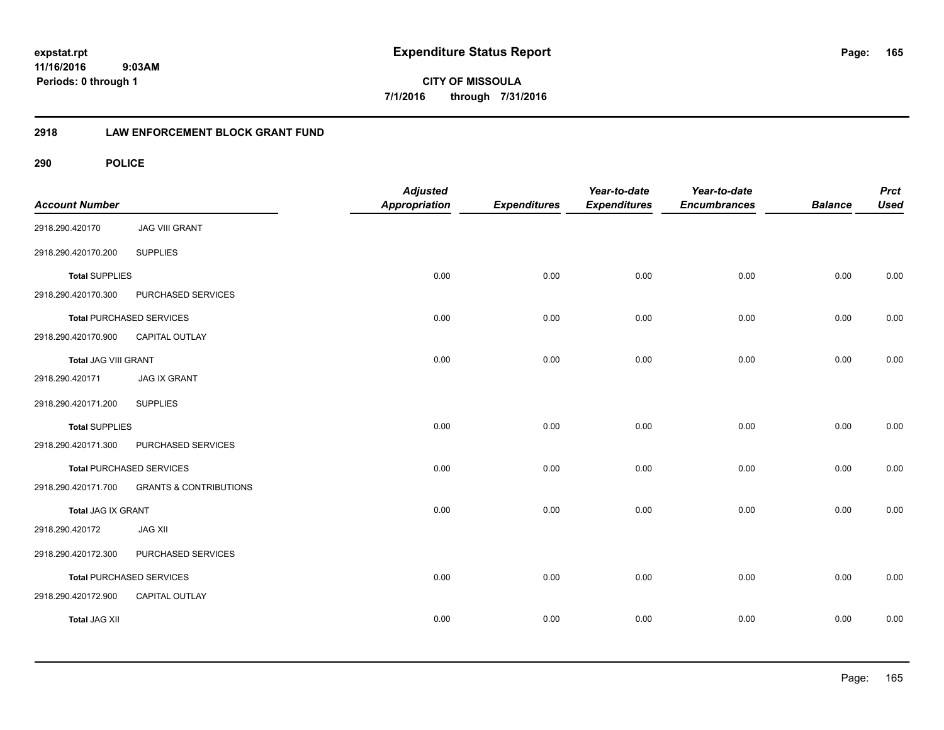**CITY OF MISSOULA 7/1/2016 through 7/31/2016**

# **2918 LAW ENFORCEMENT BLOCK GRANT FUND**

| <b>Account Number</b> |                                   | <b>Adjusted</b><br>Appropriation | <b>Expenditures</b> | Year-to-date<br><b>Expenditures</b> | Year-to-date<br><b>Encumbrances</b> | <b>Balance</b> | <b>Prct</b><br><b>Used</b> |
|-----------------------|-----------------------------------|----------------------------------|---------------------|-------------------------------------|-------------------------------------|----------------|----------------------------|
| 2918.290.420170       | <b>JAG VIII GRANT</b>             |                                  |                     |                                     |                                     |                |                            |
| 2918.290.420170.200   | <b>SUPPLIES</b>                   |                                  |                     |                                     |                                     |                |                            |
| <b>Total SUPPLIES</b> |                                   | 0.00                             | 0.00                | 0.00                                | 0.00                                | 0.00           | 0.00                       |
| 2918.290.420170.300   | PURCHASED SERVICES                |                                  |                     |                                     |                                     |                |                            |
|                       | <b>Total PURCHASED SERVICES</b>   | 0.00                             | 0.00                | 0.00                                | 0.00                                | 0.00           | 0.00                       |
| 2918.290.420170.900   | CAPITAL OUTLAY                    |                                  |                     |                                     |                                     |                |                            |
| Total JAG VIII GRANT  |                                   | 0.00                             | 0.00                | 0.00                                | 0.00                                | 0.00           | 0.00                       |
| 2918.290.420171       | <b>JAG IX GRANT</b>               |                                  |                     |                                     |                                     |                |                            |
| 2918.290.420171.200   | <b>SUPPLIES</b>                   |                                  |                     |                                     |                                     |                |                            |
| <b>Total SUPPLIES</b> |                                   | 0.00                             | 0.00                | 0.00                                | 0.00                                | 0.00           | 0.00                       |
| 2918.290.420171.300   | PURCHASED SERVICES                |                                  |                     |                                     |                                     |                |                            |
|                       | <b>Total PURCHASED SERVICES</b>   | 0.00                             | 0.00                | 0.00                                | 0.00                                | 0.00           | 0.00                       |
| 2918.290.420171.700   | <b>GRANTS &amp; CONTRIBUTIONS</b> |                                  |                     |                                     |                                     |                |                            |
| Total JAG IX GRANT    |                                   | 0.00                             | 0.00                | 0.00                                | 0.00                                | 0.00           | 0.00                       |
| 2918.290.420172       | <b>JAG XII</b>                    |                                  |                     |                                     |                                     |                |                            |
| 2918.290.420172.300   | PURCHASED SERVICES                |                                  |                     |                                     |                                     |                |                            |
|                       | <b>Total PURCHASED SERVICES</b>   | 0.00                             | 0.00                | 0.00                                | 0.00                                | 0.00           | 0.00                       |
| 2918.290.420172.900   | CAPITAL OUTLAY                    |                                  |                     |                                     |                                     |                |                            |
| <b>Total JAG XII</b>  |                                   | 0.00                             | 0.00                | 0.00                                | 0.00                                | 0.00           | 0.00                       |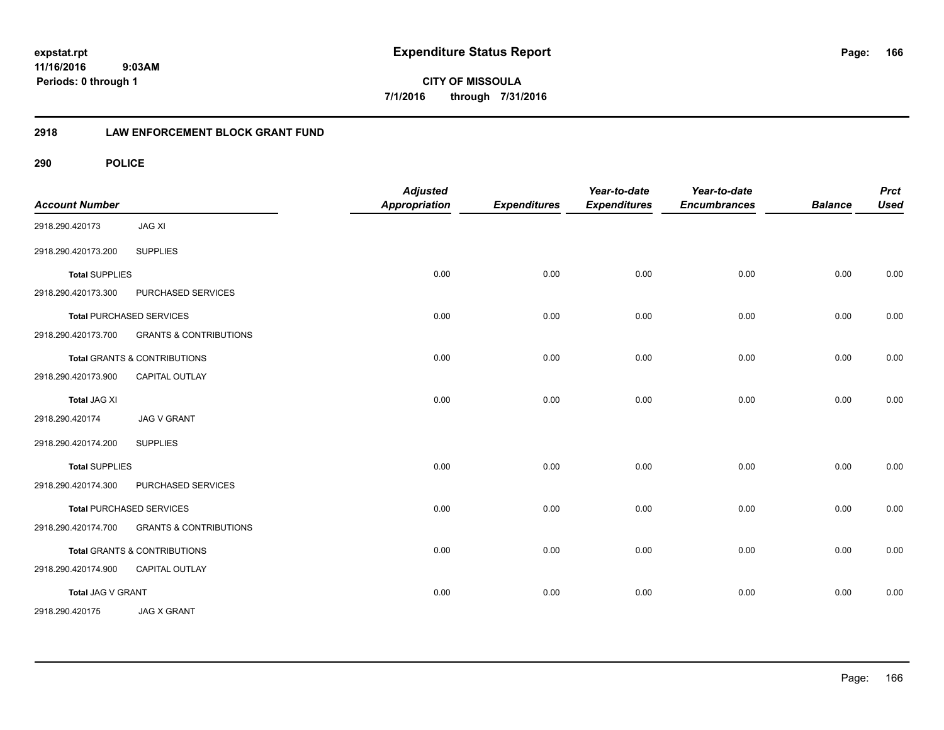**CITY OF MISSOULA 7/1/2016 through 7/31/2016**

# **2918 LAW ENFORCEMENT BLOCK GRANT FUND**

| <b>Account Number</b> |                                   | <b>Adjusted</b><br><b>Appropriation</b> | <b>Expenditures</b> | Year-to-date<br><b>Expenditures</b> | Year-to-date<br><b>Encumbrances</b> | <b>Balance</b> | <b>Prct</b><br><b>Used</b> |
|-----------------------|-----------------------------------|-----------------------------------------|---------------------|-------------------------------------|-------------------------------------|----------------|----------------------------|
| 2918.290.420173       | <b>JAG XI</b>                     |                                         |                     |                                     |                                     |                |                            |
| 2918.290.420173.200   | <b>SUPPLIES</b>                   |                                         |                     |                                     |                                     |                |                            |
| <b>Total SUPPLIES</b> |                                   | 0.00                                    | 0.00                | 0.00                                | 0.00                                | 0.00           | 0.00                       |
| 2918.290.420173.300   | PURCHASED SERVICES                |                                         |                     |                                     |                                     |                |                            |
|                       | <b>Total PURCHASED SERVICES</b>   | 0.00                                    | 0.00                | 0.00                                | 0.00                                | 0.00           | 0.00                       |
| 2918.290.420173.700   | <b>GRANTS &amp; CONTRIBUTIONS</b> |                                         |                     |                                     |                                     |                |                            |
|                       | Total GRANTS & CONTRIBUTIONS      | 0.00                                    | 0.00                | 0.00                                | 0.00                                | 0.00           | 0.00                       |
| 2918.290.420173.900   | <b>CAPITAL OUTLAY</b>             |                                         |                     |                                     |                                     |                |                            |
| <b>Total JAG XI</b>   |                                   | 0.00                                    | 0.00                | 0.00                                | 0.00                                | 0.00           | 0.00                       |
| 2918.290.420174       | <b>JAG V GRANT</b>                |                                         |                     |                                     |                                     |                |                            |
| 2918.290.420174.200   | <b>SUPPLIES</b>                   |                                         |                     |                                     |                                     |                |                            |
| <b>Total SUPPLIES</b> |                                   | 0.00                                    | 0.00                | 0.00                                | 0.00                                | 0.00           | 0.00                       |
| 2918.290.420174.300   | PURCHASED SERVICES                |                                         |                     |                                     |                                     |                |                            |
|                       | <b>Total PURCHASED SERVICES</b>   | 0.00                                    | 0.00                | 0.00                                | 0.00                                | 0.00           | 0.00                       |
| 2918.290.420174.700   | <b>GRANTS &amp; CONTRIBUTIONS</b> |                                         |                     |                                     |                                     |                |                            |
|                       | Total GRANTS & CONTRIBUTIONS      | 0.00                                    | 0.00                | 0.00                                | 0.00                                | 0.00           | 0.00                       |
| 2918.290.420174.900   | CAPITAL OUTLAY                    |                                         |                     |                                     |                                     |                |                            |
| Total JAG V GRANT     |                                   | 0.00                                    | 0.00                | 0.00                                | 0.00                                | 0.00           | 0.00                       |
| 2918.290.420175       | <b>JAG X GRANT</b>                |                                         |                     |                                     |                                     |                |                            |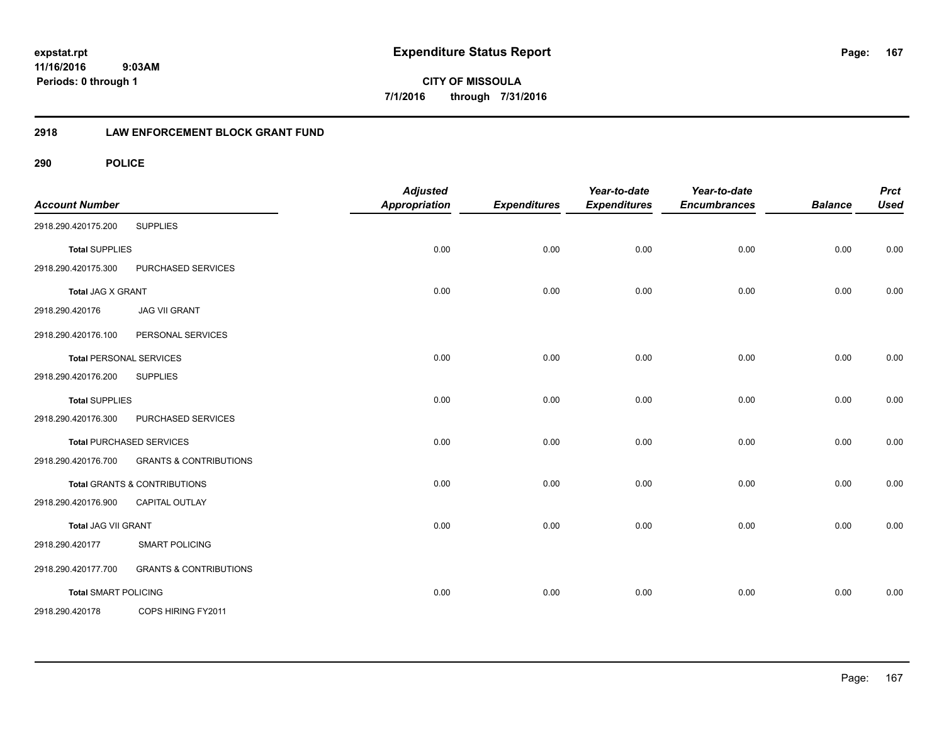**CITY OF MISSOULA 7/1/2016 through 7/31/2016**

# **2918 LAW ENFORCEMENT BLOCK GRANT FUND**

| <b>Account Number</b>       |                                         | <b>Adjusted</b><br><b>Appropriation</b> | <b>Expenditures</b> | Year-to-date<br><b>Expenditures</b> | Year-to-date<br><b>Encumbrances</b> | <b>Balance</b> | <b>Prct</b><br><b>Used</b> |
|-----------------------------|-----------------------------------------|-----------------------------------------|---------------------|-------------------------------------|-------------------------------------|----------------|----------------------------|
| 2918.290.420175.200         | <b>SUPPLIES</b>                         |                                         |                     |                                     |                                     |                |                            |
| <b>Total SUPPLIES</b>       |                                         | 0.00                                    | 0.00                | 0.00                                | 0.00                                | 0.00           | 0.00                       |
| 2918.290.420175.300         | PURCHASED SERVICES                      |                                         |                     |                                     |                                     |                |                            |
| Total JAG X GRANT           |                                         | 0.00                                    | 0.00                | 0.00                                | 0.00                                | 0.00           | 0.00                       |
| 2918.290.420176             | <b>JAG VII GRANT</b>                    |                                         |                     |                                     |                                     |                |                            |
| 2918.290.420176.100         | PERSONAL SERVICES                       |                                         |                     |                                     |                                     |                |                            |
|                             | <b>Total PERSONAL SERVICES</b>          | 0.00                                    | 0.00                | 0.00                                | 0.00                                | 0.00           | 0.00                       |
| 2918.290.420176.200         | <b>SUPPLIES</b>                         |                                         |                     |                                     |                                     |                |                            |
| <b>Total SUPPLIES</b>       |                                         | 0.00                                    | 0.00                | 0.00                                | 0.00                                | 0.00           | 0.00                       |
| 2918.290.420176.300         | PURCHASED SERVICES                      |                                         |                     |                                     |                                     |                |                            |
|                             | <b>Total PURCHASED SERVICES</b>         | 0.00                                    | 0.00                | 0.00                                | 0.00                                | 0.00           | 0.00                       |
| 2918.290.420176.700         | <b>GRANTS &amp; CONTRIBUTIONS</b>       |                                         |                     |                                     |                                     |                |                            |
|                             | <b>Total GRANTS &amp; CONTRIBUTIONS</b> | 0.00                                    | 0.00                | 0.00                                | 0.00                                | 0.00           | 0.00                       |
| 2918.290.420176.900         | CAPITAL OUTLAY                          |                                         |                     |                                     |                                     |                |                            |
| Total JAG VII GRANT         |                                         | 0.00                                    | 0.00                | 0.00                                | 0.00                                | 0.00           | 0.00                       |
| 2918.290.420177             | <b>SMART POLICING</b>                   |                                         |                     |                                     |                                     |                |                            |
| 2918.290.420177.700         | <b>GRANTS &amp; CONTRIBUTIONS</b>       |                                         |                     |                                     |                                     |                |                            |
| <b>Total SMART POLICING</b> |                                         | 0.00                                    | 0.00                | 0.00                                | 0.00                                | 0.00           | 0.00                       |
| 2918.290.420178             | COPS HIRING FY2011                      |                                         |                     |                                     |                                     |                |                            |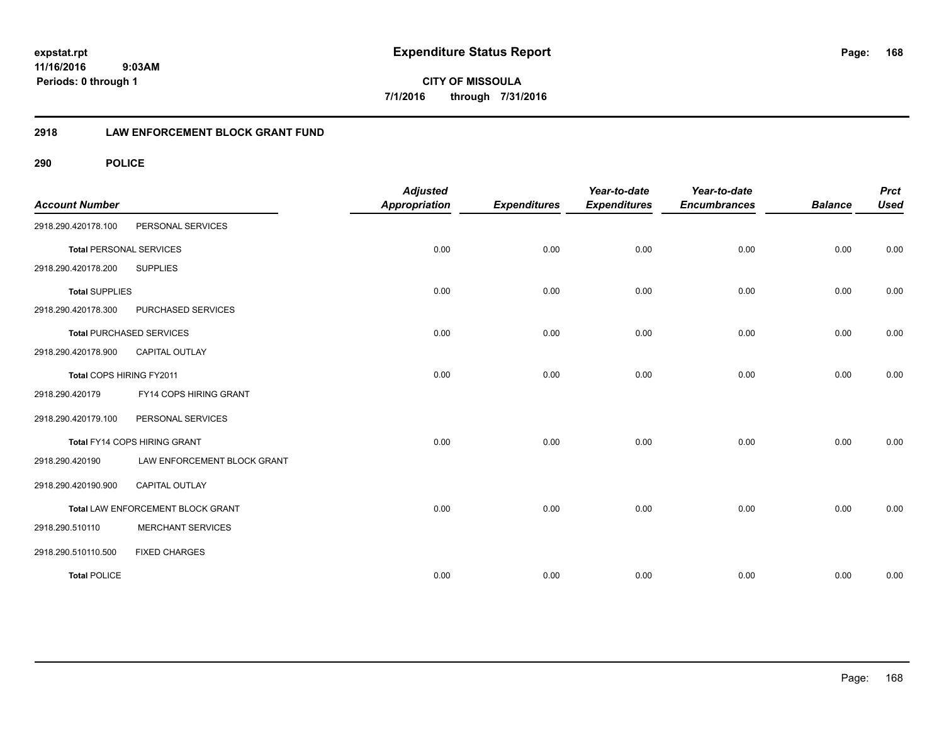**CITY OF MISSOULA 7/1/2016 through 7/31/2016**

# **2918 LAW ENFORCEMENT BLOCK GRANT FUND**

| <b>Account Number</b>          |                                   | <b>Adjusted</b><br><b>Appropriation</b> | <b>Expenditures</b> | Year-to-date<br><b>Expenditures</b> | Year-to-date<br><b>Encumbrances</b> | <b>Balance</b> | <b>Prct</b><br><b>Used</b> |
|--------------------------------|-----------------------------------|-----------------------------------------|---------------------|-------------------------------------|-------------------------------------|----------------|----------------------------|
| 2918.290.420178.100            | PERSONAL SERVICES                 |                                         |                     |                                     |                                     |                |                            |
| <b>Total PERSONAL SERVICES</b> |                                   | 0.00                                    | 0.00                | 0.00                                | 0.00                                | 0.00           | 0.00                       |
| 2918.290.420178.200            | <b>SUPPLIES</b>                   |                                         |                     |                                     |                                     |                |                            |
| <b>Total SUPPLIES</b>          |                                   | 0.00                                    | 0.00                | 0.00                                | 0.00                                | 0.00           | 0.00                       |
| 2918.290.420178.300            | PURCHASED SERVICES                |                                         |                     |                                     |                                     |                |                            |
|                                | <b>Total PURCHASED SERVICES</b>   | 0.00                                    | 0.00                | 0.00                                | 0.00                                | 0.00           | 0.00                       |
| 2918.290.420178.900            | <b>CAPITAL OUTLAY</b>             |                                         |                     |                                     |                                     |                |                            |
| Total COPS HIRING FY2011       |                                   | 0.00                                    | 0.00                | 0.00                                | 0.00                                | 0.00           | 0.00                       |
| 2918.290.420179                | FY14 COPS HIRING GRANT            |                                         |                     |                                     |                                     |                |                            |
| 2918.290.420179.100            | PERSONAL SERVICES                 |                                         |                     |                                     |                                     |                |                            |
|                                | Total FY14 COPS HIRING GRANT      | 0.00                                    | 0.00                | 0.00                                | 0.00                                | 0.00           | 0.00                       |
| 2918.290.420190                | LAW ENFORCEMENT BLOCK GRANT       |                                         |                     |                                     |                                     |                |                            |
| 2918.290.420190.900            | <b>CAPITAL OUTLAY</b>             |                                         |                     |                                     |                                     |                |                            |
|                                | Total LAW ENFORCEMENT BLOCK GRANT | 0.00                                    | 0.00                | 0.00                                | 0.00                                | 0.00           | 0.00                       |
| 2918.290.510110                | <b>MERCHANT SERVICES</b>          |                                         |                     |                                     |                                     |                |                            |
| 2918.290.510110.500            | <b>FIXED CHARGES</b>              |                                         |                     |                                     |                                     |                |                            |
| <b>Total POLICE</b>            |                                   | 0.00                                    | 0.00                | 0.00                                | 0.00                                | 0.00           | 0.00                       |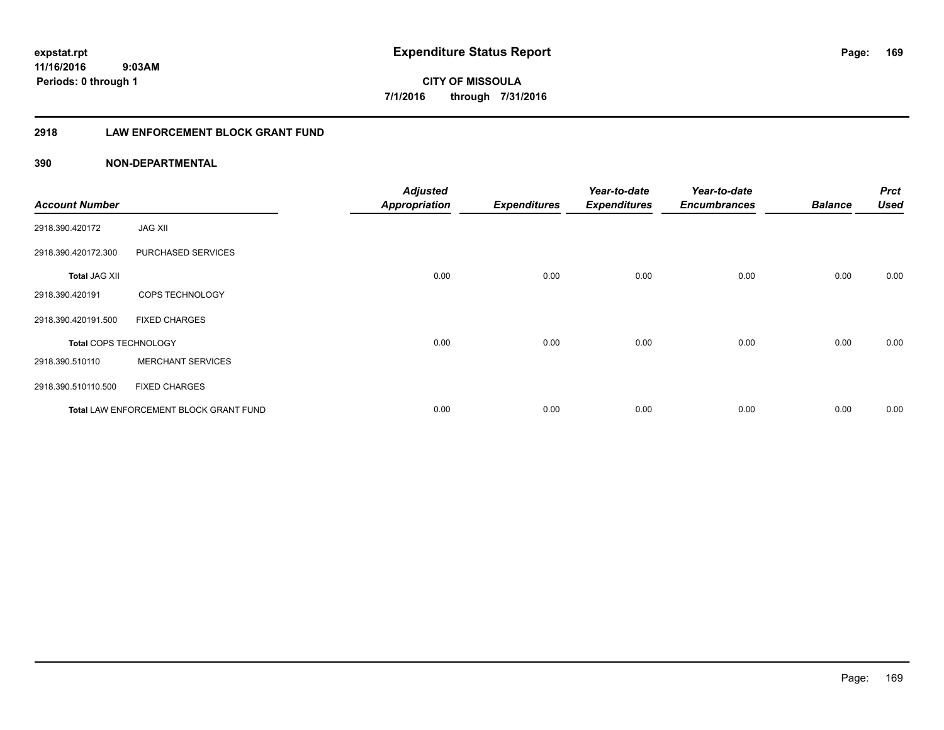**169**

**11/16/2016 9:03AM Periods: 0 through 1**

**CITY OF MISSOULA 7/1/2016 through 7/31/2016**

# **2918 LAW ENFORCEMENT BLOCK GRANT FUND**

# **390 NON-DEPARTMENTAL**

| <b>Account Number</b> |                                        | <b>Adjusted</b><br><b>Appropriation</b> | <b>Expenditures</b> | Year-to-date<br><b>Expenditures</b> | Year-to-date<br><b>Encumbrances</b> | <b>Balance</b> | <b>Prct</b><br><b>Used</b> |
|-----------------------|----------------------------------------|-----------------------------------------|---------------------|-------------------------------------|-------------------------------------|----------------|----------------------------|
| 2918.390.420172       | <b>JAG XII</b>                         |                                         |                     |                                     |                                     |                |                            |
| 2918.390.420172.300   | PURCHASED SERVICES                     |                                         |                     |                                     |                                     |                |                            |
| <b>Total JAG XII</b>  |                                        | 0.00                                    | 0.00                | 0.00                                | 0.00                                | 0.00           | 0.00                       |
| 2918.390.420191       | COPS TECHNOLOGY                        |                                         |                     |                                     |                                     |                |                            |
| 2918.390.420191.500   | <b>FIXED CHARGES</b>                   |                                         |                     |                                     |                                     |                |                            |
| Total COPS TECHNOLOGY |                                        | 0.00                                    | 0.00                | 0.00                                | 0.00                                | 0.00           | 0.00                       |
| 2918.390.510110       | <b>MERCHANT SERVICES</b>               |                                         |                     |                                     |                                     |                |                            |
| 2918.390.510110.500   | <b>FIXED CHARGES</b>                   |                                         |                     |                                     |                                     |                |                            |
|                       | Total LAW ENFORCEMENT BLOCK GRANT FUND | 0.00                                    | 0.00                | 0.00                                | 0.00                                | 0.00           | 0.00                       |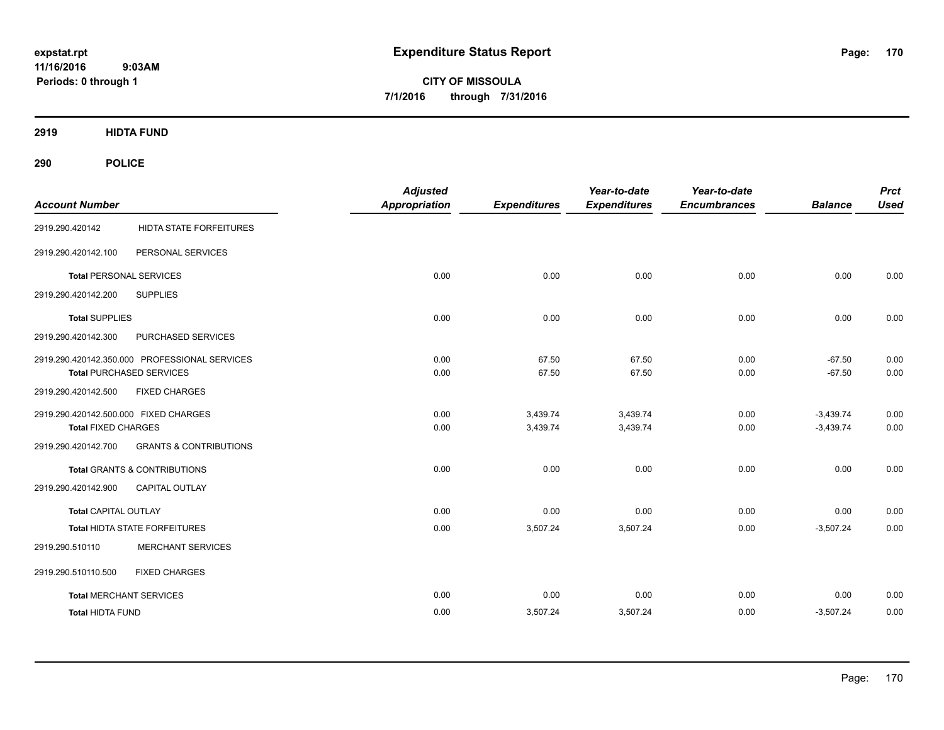**CITY OF MISSOULA 7/1/2016 through 7/31/2016**

**2919 HIDTA FUND**

| <b>Account Number</b>                         |                                   | <b>Adjusted</b><br><b>Appropriation</b> | <b>Expenditures</b> | Year-to-date<br><b>Expenditures</b> | Year-to-date<br><b>Encumbrances</b> | <b>Balance</b> | <b>Prct</b><br><b>Used</b> |
|-----------------------------------------------|-----------------------------------|-----------------------------------------|---------------------|-------------------------------------|-------------------------------------|----------------|----------------------------|
| 2919.290.420142                               | <b>HIDTA STATE FORFEITURES</b>    |                                         |                     |                                     |                                     |                |                            |
| 2919.290.420142.100                           | PERSONAL SERVICES                 |                                         |                     |                                     |                                     |                |                            |
| <b>Total PERSONAL SERVICES</b>                |                                   | 0.00                                    | 0.00                | 0.00                                | 0.00                                | 0.00           | 0.00                       |
| 2919.290.420142.200                           | <b>SUPPLIES</b>                   |                                         |                     |                                     |                                     |                |                            |
| <b>Total SUPPLIES</b>                         |                                   | 0.00                                    | 0.00                | 0.00                                | 0.00                                | 0.00           | 0.00                       |
| 2919.290.420142.300                           | PURCHASED SERVICES                |                                         |                     |                                     |                                     |                |                            |
| 2919.290.420142.350.000 PROFESSIONAL SERVICES |                                   | 0.00                                    | 67.50               | 67.50                               | 0.00                                | $-67.50$       | 0.00                       |
| <b>Total PURCHASED SERVICES</b>               |                                   | 0.00                                    | 67.50               | 67.50                               | 0.00                                | $-67.50$       | 0.00                       |
| 2919.290.420142.500                           | <b>FIXED CHARGES</b>              |                                         |                     |                                     |                                     |                |                            |
| 2919.290.420142.500.000 FIXED CHARGES         |                                   | 0.00                                    | 3,439.74            | 3,439.74                            | 0.00                                | $-3,439.74$    | 0.00                       |
| <b>Total FIXED CHARGES</b>                    |                                   | 0.00                                    | 3,439.74            | 3,439.74                            | 0.00                                | $-3,439.74$    | 0.00                       |
| 2919.290.420142.700                           | <b>GRANTS &amp; CONTRIBUTIONS</b> |                                         |                     |                                     |                                     |                |                            |
| <b>Total GRANTS &amp; CONTRIBUTIONS</b>       |                                   | 0.00                                    | 0.00                | 0.00                                | 0.00                                | 0.00           | 0.00                       |
| 2919.290.420142.900                           | CAPITAL OUTLAY                    |                                         |                     |                                     |                                     |                |                            |
| <b>Total CAPITAL OUTLAY</b>                   |                                   | 0.00                                    | 0.00                | 0.00                                | 0.00                                | 0.00           | 0.00                       |
| Total HIDTA STATE FORFEITURES                 |                                   | 0.00                                    | 3,507.24            | 3,507.24                            | 0.00                                | $-3,507.24$    | 0.00                       |
| 2919.290.510110                               | <b>MERCHANT SERVICES</b>          |                                         |                     |                                     |                                     |                |                            |
| 2919.290.510110.500                           | <b>FIXED CHARGES</b>              |                                         |                     |                                     |                                     |                |                            |
| <b>Total MERCHANT SERVICES</b>                |                                   | 0.00                                    | 0.00                | 0.00                                | 0.00                                | 0.00           | 0.00                       |
| <b>Total HIDTA FUND</b>                       |                                   | 0.00                                    | 3,507.24            | 3,507.24                            | 0.00                                | $-3,507.24$    | 0.00                       |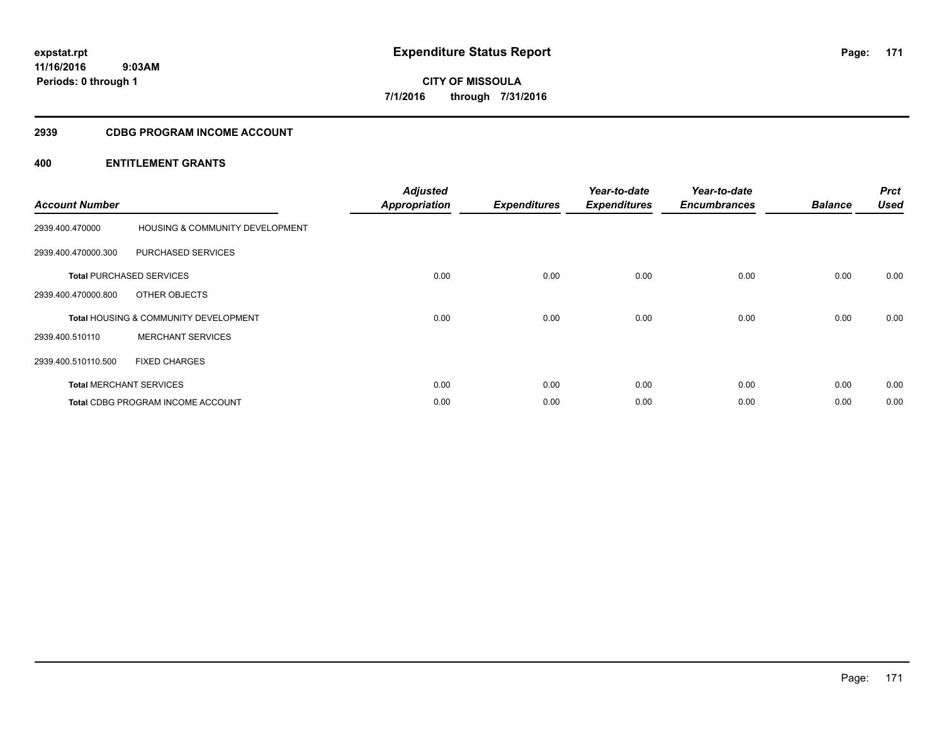# **2939 CDBG PROGRAM INCOME ACCOUNT**

| <b>Account Number</b> |                                                  | <b>Adjusted</b><br><b>Appropriation</b> | <b>Expenditures</b> | Year-to-date<br><b>Expenditures</b> | Year-to-date<br><b>Encumbrances</b> | <b>Balance</b> | <b>Prct</b><br><b>Used</b> |
|-----------------------|--------------------------------------------------|-----------------------------------------|---------------------|-------------------------------------|-------------------------------------|----------------|----------------------------|
| 2939.400.470000       | <b>HOUSING &amp; COMMUNITY DEVELOPMENT</b>       |                                         |                     |                                     |                                     |                |                            |
| 2939.400.470000.300   | PURCHASED SERVICES                               |                                         |                     |                                     |                                     |                |                            |
|                       | <b>Total PURCHASED SERVICES</b>                  | 0.00                                    | 0.00                | 0.00                                | 0.00                                | 0.00           | 0.00                       |
| 2939.400.470000.800   | OTHER OBJECTS                                    |                                         |                     |                                     |                                     |                |                            |
|                       | <b>Total HOUSING &amp; COMMUNITY DEVELOPMENT</b> | 0.00                                    | 0.00                | 0.00                                | 0.00                                | 0.00           | 0.00                       |
| 2939.400.510110       | <b>MERCHANT SERVICES</b>                         |                                         |                     |                                     |                                     |                |                            |
| 2939.400.510110.500   | <b>FIXED CHARGES</b>                             |                                         |                     |                                     |                                     |                |                            |
|                       | <b>Total MERCHANT SERVICES</b>                   | 0.00                                    | 0.00                | 0.00                                | 0.00                                | 0.00           | 0.00                       |
|                       | <b>Total CDBG PROGRAM INCOME ACCOUNT</b>         | 0.00                                    | 0.00                | 0.00                                | 0.00                                | 0.00           | 0.00                       |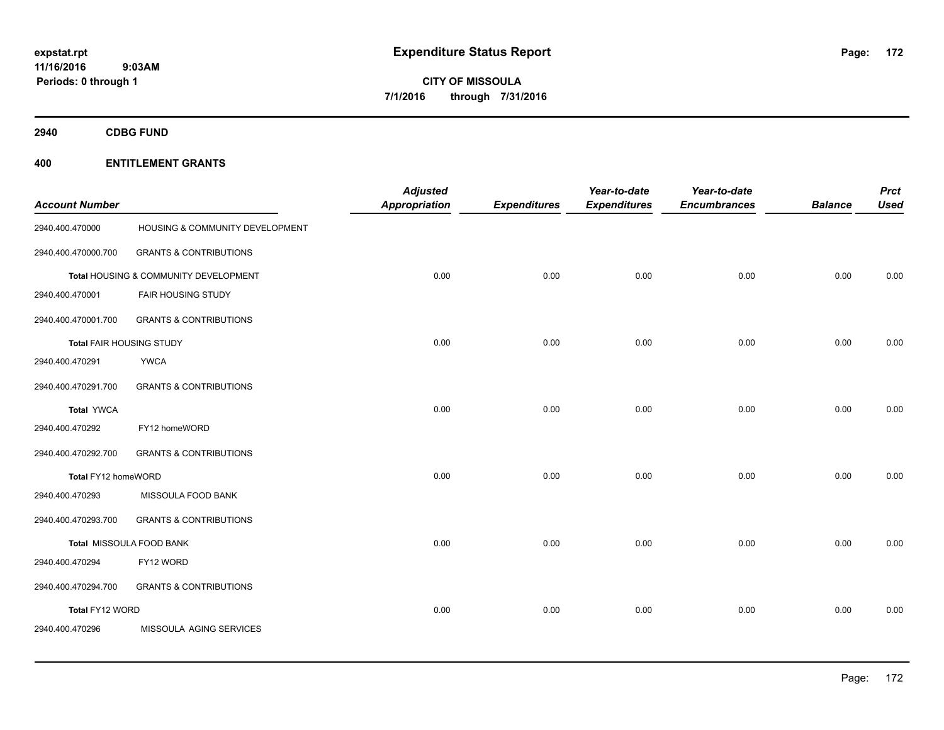**Periods: 0 through 1**

**CITY OF MISSOULA 7/1/2016 through 7/31/2016**

**2940 CDBG FUND**

# **400 ENTITLEMENT GRANTS**

 **9:03AM**

| <b>Account Number</b>           |                                       | <b>Adjusted</b><br><b>Appropriation</b> | <b>Expenditures</b> | Year-to-date<br><b>Expenditures</b> | Year-to-date<br><b>Encumbrances</b> | <b>Balance</b> | <b>Prct</b><br><b>Used</b> |
|---------------------------------|---------------------------------------|-----------------------------------------|---------------------|-------------------------------------|-------------------------------------|----------------|----------------------------|
| 2940.400.470000                 | HOUSING & COMMUNITY DEVELOPMENT       |                                         |                     |                                     |                                     |                |                            |
| 2940.400.470000.700             | <b>GRANTS &amp; CONTRIBUTIONS</b>     |                                         |                     |                                     |                                     |                |                            |
|                                 | Total HOUSING & COMMUNITY DEVELOPMENT | 0.00                                    | 0.00                | 0.00                                | 0.00                                | 0.00           | 0.00                       |
| 2940.400.470001                 | FAIR HOUSING STUDY                    |                                         |                     |                                     |                                     |                |                            |
| 2940.400.470001.700             | <b>GRANTS &amp; CONTRIBUTIONS</b>     |                                         |                     |                                     |                                     |                |                            |
| <b>Total FAIR HOUSING STUDY</b> |                                       | 0.00                                    | 0.00                | 0.00                                | 0.00                                | 0.00           | 0.00                       |
| 2940.400.470291                 | <b>YWCA</b>                           |                                         |                     |                                     |                                     |                |                            |
| 2940.400.470291.700             | <b>GRANTS &amp; CONTRIBUTIONS</b>     |                                         |                     |                                     |                                     |                |                            |
| <b>Total YWCA</b>               |                                       | 0.00                                    | 0.00                | 0.00                                | 0.00                                | 0.00           | 0.00                       |
| 2940.400.470292                 | FY12 homeWORD                         |                                         |                     |                                     |                                     |                |                            |
| 2940.400.470292.700             | <b>GRANTS &amp; CONTRIBUTIONS</b>     |                                         |                     |                                     |                                     |                |                            |
| Total FY12 homeWORD             |                                       | 0.00                                    | 0.00                | 0.00                                | 0.00                                | 0.00           | 0.00                       |
| 2940.400.470293                 | MISSOULA FOOD BANK                    |                                         |                     |                                     |                                     |                |                            |
| 2940.400.470293.700             | <b>GRANTS &amp; CONTRIBUTIONS</b>     |                                         |                     |                                     |                                     |                |                            |
|                                 | Total MISSOULA FOOD BANK              | 0.00                                    | 0.00                | 0.00                                | 0.00                                | 0.00           | 0.00                       |
| 2940.400.470294                 | FY12 WORD                             |                                         |                     |                                     |                                     |                |                            |
| 2940.400.470294.700             | <b>GRANTS &amp; CONTRIBUTIONS</b>     |                                         |                     |                                     |                                     |                |                            |
| Total FY12 WORD                 |                                       | 0.00                                    | 0.00                | 0.00                                | 0.00                                | 0.00           | 0.00                       |
| 2940.400.470296                 | MISSOULA AGING SERVICES               |                                         |                     |                                     |                                     |                |                            |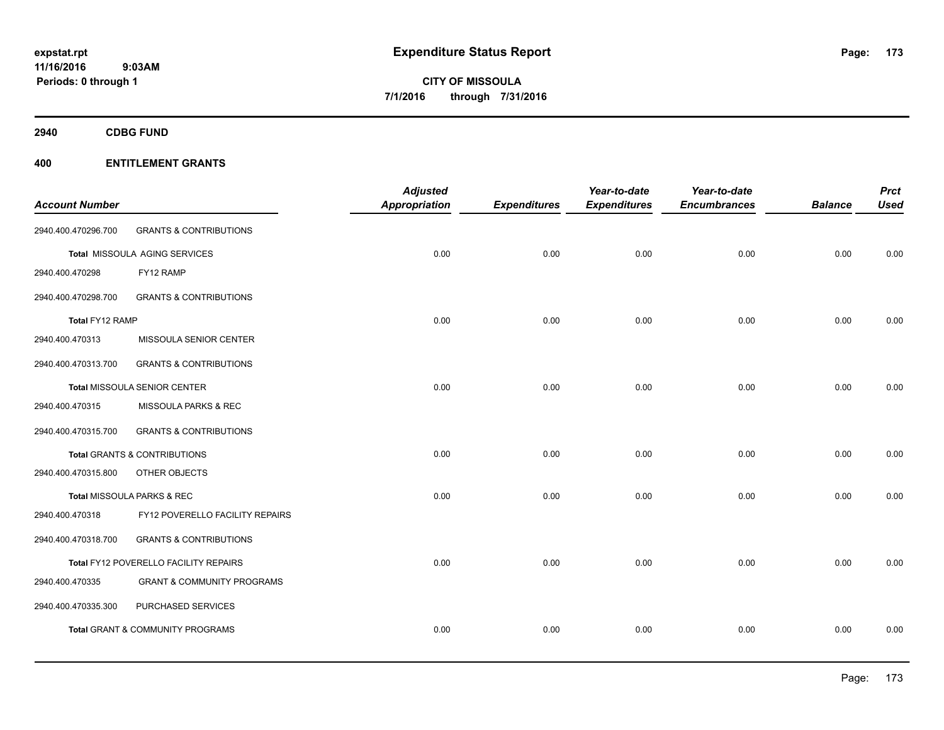**Periods: 0 through 1**

**CITY OF MISSOULA 7/1/2016 through 7/31/2016**

**2940 CDBG FUND**

# **400 ENTITLEMENT GRANTS**

 **9:03AM**

|                       |                                       | <b>Adjusted</b>      |                     | Year-to-date        | Year-to-date        |                | <b>Prct</b> |
|-----------------------|---------------------------------------|----------------------|---------------------|---------------------|---------------------|----------------|-------------|
| <b>Account Number</b> |                                       | <b>Appropriation</b> | <b>Expenditures</b> | <b>Expenditures</b> | <b>Encumbrances</b> | <b>Balance</b> | <b>Used</b> |
| 2940.400.470296.700   | <b>GRANTS &amp; CONTRIBUTIONS</b>     |                      |                     |                     |                     |                |             |
|                       | Total MISSOULA AGING SERVICES         | 0.00                 | 0.00                | 0.00                | 0.00                | 0.00           | 0.00        |
| 2940.400.470298       | FY12 RAMP                             |                      |                     |                     |                     |                |             |
| 2940.400.470298.700   | <b>GRANTS &amp; CONTRIBUTIONS</b>     |                      |                     |                     |                     |                |             |
| Total FY12 RAMP       |                                       | 0.00                 | 0.00                | 0.00                | 0.00                | 0.00           | 0.00        |
| 2940.400.470313       | MISSOULA SENIOR CENTER                |                      |                     |                     |                     |                |             |
| 2940.400.470313.700   | <b>GRANTS &amp; CONTRIBUTIONS</b>     |                      |                     |                     |                     |                |             |
|                       | <b>Total MISSOULA SENIOR CENTER</b>   | 0.00                 | 0.00                | 0.00                | 0.00                | 0.00           | 0.00        |
| 2940.400.470315       | MISSOULA PARKS & REC                  |                      |                     |                     |                     |                |             |
| 2940.400.470315.700   | <b>GRANTS &amp; CONTRIBUTIONS</b>     |                      |                     |                     |                     |                |             |
|                       | Total GRANTS & CONTRIBUTIONS          | 0.00                 | 0.00                | 0.00                | 0.00                | 0.00           | 0.00        |
| 2940.400.470315.800   | <b>OTHER OBJECTS</b>                  |                      |                     |                     |                     |                |             |
|                       | Total MISSOULA PARKS & REC            | 0.00                 | 0.00                | 0.00                | 0.00                | 0.00           | 0.00        |
| 2940.400.470318       | FY12 POVERELLO FACILITY REPAIRS       |                      |                     |                     |                     |                |             |
| 2940.400.470318.700   | <b>GRANTS &amp; CONTRIBUTIONS</b>     |                      |                     |                     |                     |                |             |
|                       | Total FY12 POVERELLO FACILITY REPAIRS | 0.00                 | 0.00                | 0.00                | 0.00                | 0.00           | 0.00        |
| 2940.400.470335       | <b>GRANT &amp; COMMUNITY PROGRAMS</b> |                      |                     |                     |                     |                |             |
| 2940.400.470335.300   | PURCHASED SERVICES                    |                      |                     |                     |                     |                |             |
|                       | Total GRANT & COMMUNITY PROGRAMS      | 0.00                 | 0.00                | 0.00                | 0.00                | 0.00           | 0.00        |
|                       |                                       |                      |                     |                     |                     |                |             |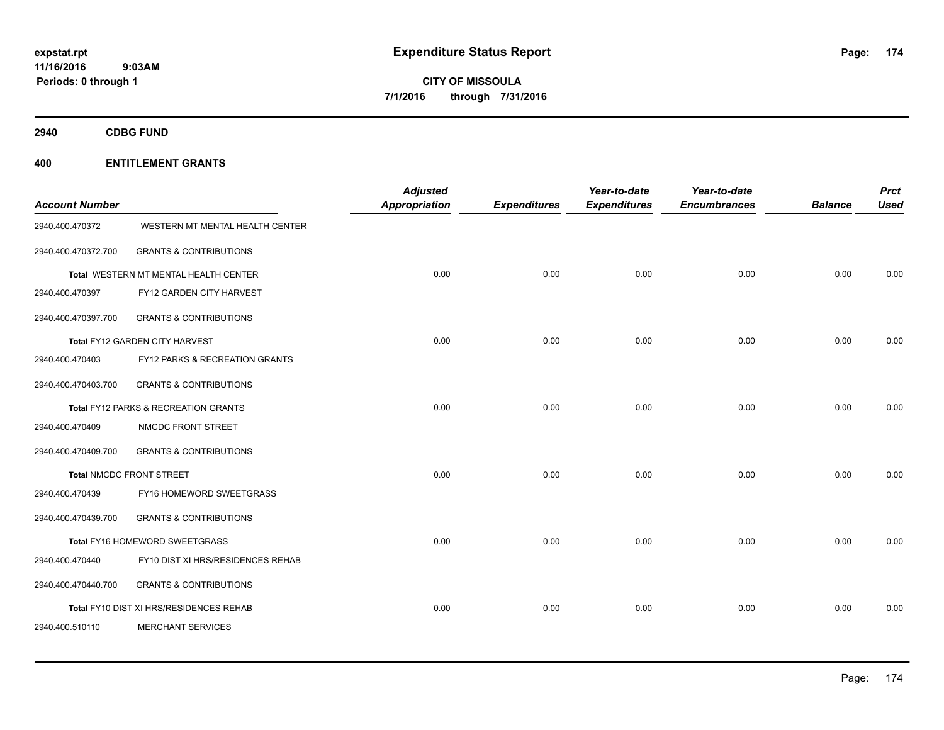**CITY OF MISSOULA 7/1/2016 through 7/31/2016**

**2940 CDBG FUND**

| <b>Account Number</b> |                                         | <b>Adjusted</b><br><b>Appropriation</b> | <b>Expenditures</b> | Year-to-date<br><b>Expenditures</b> | Year-to-date<br><b>Encumbrances</b> | <b>Balance</b> | <b>Prct</b><br><b>Used</b> |
|-----------------------|-----------------------------------------|-----------------------------------------|---------------------|-------------------------------------|-------------------------------------|----------------|----------------------------|
| 2940.400.470372       | WESTERN MT MENTAL HEALTH CENTER         |                                         |                     |                                     |                                     |                |                            |
| 2940.400.470372.700   | <b>GRANTS &amp; CONTRIBUTIONS</b>       |                                         |                     |                                     |                                     |                |                            |
|                       | Total WESTERN MT MENTAL HEALTH CENTER   | 0.00                                    | 0.00                | 0.00                                | 0.00                                | 0.00           | 0.00                       |
| 2940.400.470397       | FY12 GARDEN CITY HARVEST                |                                         |                     |                                     |                                     |                |                            |
| 2940.400.470397.700   | <b>GRANTS &amp; CONTRIBUTIONS</b>       |                                         |                     |                                     |                                     |                |                            |
|                       | Total FY12 GARDEN CITY HARVEST          | 0.00                                    | 0.00                | 0.00                                | 0.00                                | 0.00           | 0.00                       |
| 2940.400.470403       | FY12 PARKS & RECREATION GRANTS          |                                         |                     |                                     |                                     |                |                            |
| 2940.400.470403.700   | <b>GRANTS &amp; CONTRIBUTIONS</b>       |                                         |                     |                                     |                                     |                |                            |
|                       | Total FY12 PARKS & RECREATION GRANTS    | 0.00                                    | 0.00                | 0.00                                | 0.00                                | 0.00           | 0.00                       |
| 2940.400.470409       | NMCDC FRONT STREET                      |                                         |                     |                                     |                                     |                |                            |
| 2940.400.470409.700   | <b>GRANTS &amp; CONTRIBUTIONS</b>       |                                         |                     |                                     |                                     |                |                            |
|                       | <b>Total NMCDC FRONT STREET</b>         | 0.00                                    | 0.00                | 0.00                                | 0.00                                | 0.00           | 0.00                       |
| 2940.400.470439       | FY16 HOMEWORD SWEETGRASS                |                                         |                     |                                     |                                     |                |                            |
| 2940.400.470439.700   | <b>GRANTS &amp; CONTRIBUTIONS</b>       |                                         |                     |                                     |                                     |                |                            |
|                       | Total FY16 HOMEWORD SWEETGRASS          | 0.00                                    | 0.00                | 0.00                                | 0.00                                | 0.00           | 0.00                       |
| 2940.400.470440       | FY10 DIST XI HRS/RESIDENCES REHAB       |                                         |                     |                                     |                                     |                |                            |
| 2940.400.470440.700   | <b>GRANTS &amp; CONTRIBUTIONS</b>       |                                         |                     |                                     |                                     |                |                            |
|                       | Total FY10 DIST XI HRS/RESIDENCES REHAB | 0.00                                    | 0.00                | 0.00                                | 0.00                                | 0.00           | 0.00                       |
| 2940.400.510110       | <b>MERCHANT SERVICES</b>                |                                         |                     |                                     |                                     |                |                            |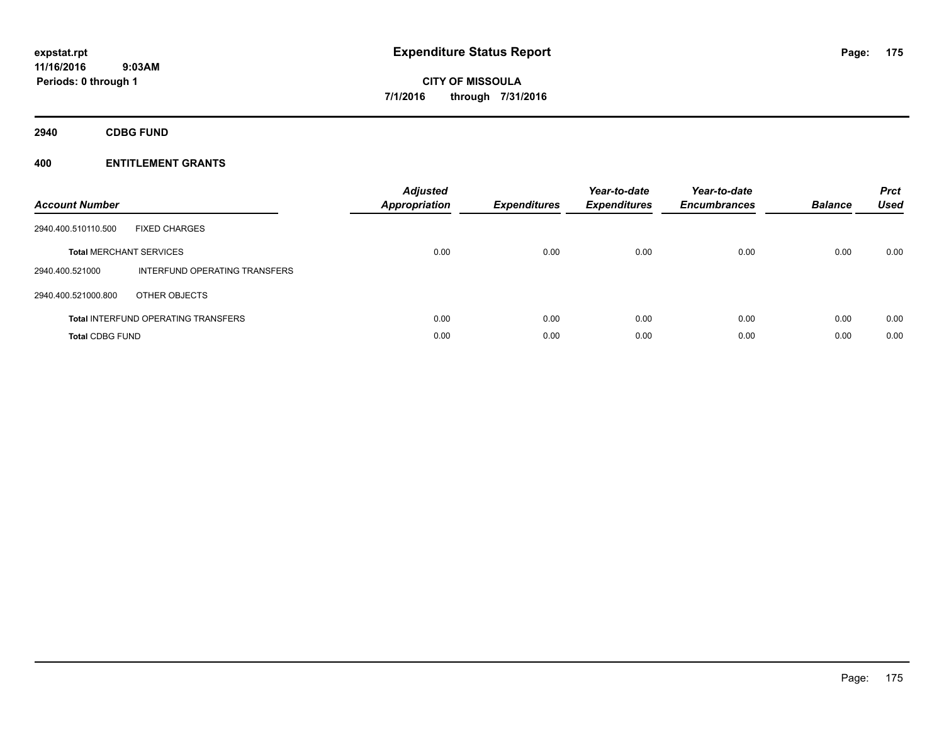**2940 CDBG FUND**

| <b>Account Number</b>          |                                            | <b>Adjusted</b><br><b>Appropriation</b> | <b>Expenditures</b> | Year-to-date<br><b>Expenditures</b> | Year-to-date<br><b>Encumbrances</b> | <b>Balance</b> | <b>Prct</b><br><b>Used</b> |
|--------------------------------|--------------------------------------------|-----------------------------------------|---------------------|-------------------------------------|-------------------------------------|----------------|----------------------------|
| 2940.400.510110.500            | <b>FIXED CHARGES</b>                       |                                         |                     |                                     |                                     |                |                            |
| <b>Total MERCHANT SERVICES</b> |                                            | 0.00                                    | 0.00                | 0.00                                | 0.00                                | 0.00           | 0.00                       |
| 2940.400.521000                | INTERFUND OPERATING TRANSFERS              |                                         |                     |                                     |                                     |                |                            |
| 2940.400.521000.800            | OTHER OBJECTS                              |                                         |                     |                                     |                                     |                |                            |
|                                | <b>Total INTERFUND OPERATING TRANSFERS</b> | 0.00                                    | 0.00                | 0.00                                | 0.00                                | 0.00           | 0.00                       |
| <b>Total CDBG FUND</b>         |                                            | 0.00                                    | 0.00                | 0.00                                | 0.00                                | 0.00           | 0.00                       |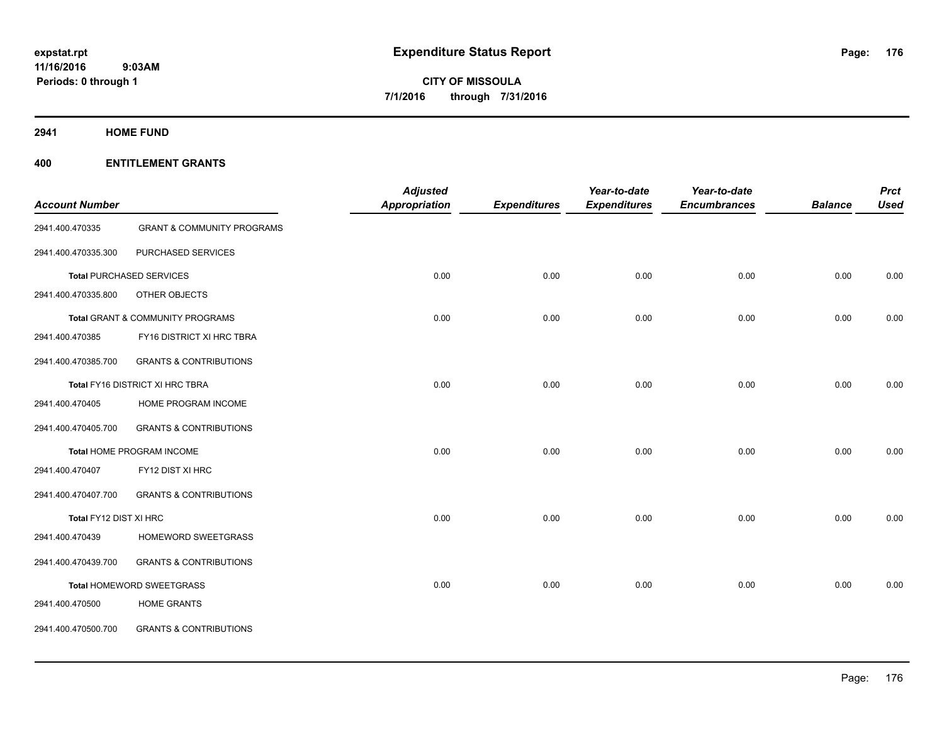**2941 HOME FUND**

|                        |                                       | <b>Adjusted</b>      |                     | Year-to-date        | Year-to-date        |                | <b>Prct</b> |
|------------------------|---------------------------------------|----------------------|---------------------|---------------------|---------------------|----------------|-------------|
| <b>Account Number</b>  |                                       | <b>Appropriation</b> | <b>Expenditures</b> | <b>Expenditures</b> | <b>Encumbrances</b> | <b>Balance</b> | <b>Used</b> |
| 2941.400.470335        | <b>GRANT &amp; COMMUNITY PROGRAMS</b> |                      |                     |                     |                     |                |             |
| 2941.400.470335.300    | PURCHASED SERVICES                    |                      |                     |                     |                     |                |             |
|                        | <b>Total PURCHASED SERVICES</b>       | 0.00                 | 0.00                | 0.00                | 0.00                | 0.00           | 0.00        |
| 2941.400.470335.800    | OTHER OBJECTS                         |                      |                     |                     |                     |                |             |
|                        | Total GRANT & COMMUNITY PROGRAMS      | 0.00                 | 0.00                | 0.00                | 0.00                | 0.00           | 0.00        |
| 2941.400.470385        | FY16 DISTRICT XI HRC TBRA             |                      |                     |                     |                     |                |             |
| 2941.400.470385.700    | <b>GRANTS &amp; CONTRIBUTIONS</b>     |                      |                     |                     |                     |                |             |
|                        | Total FY16 DISTRICT XI HRC TBRA       | 0.00                 | 0.00                | 0.00                | 0.00                | 0.00           | 0.00        |
| 2941.400.470405        | HOME PROGRAM INCOME                   |                      |                     |                     |                     |                |             |
| 2941.400.470405.700    | <b>GRANTS &amp; CONTRIBUTIONS</b>     |                      |                     |                     |                     |                |             |
|                        | Total HOME PROGRAM INCOME             | 0.00                 | 0.00                | 0.00                | 0.00                | 0.00           | 0.00        |
| 2941.400.470407        | FY12 DIST XI HRC                      |                      |                     |                     |                     |                |             |
| 2941.400.470407.700    | <b>GRANTS &amp; CONTRIBUTIONS</b>     |                      |                     |                     |                     |                |             |
| Total FY12 DIST XI HRC |                                       | 0.00                 | 0.00                | 0.00                | 0.00                | 0.00           | 0.00        |
| 2941.400.470439        | HOMEWORD SWEETGRASS                   |                      |                     |                     |                     |                |             |
| 2941.400.470439.700    | <b>GRANTS &amp; CONTRIBUTIONS</b>     |                      |                     |                     |                     |                |             |
|                        | Total HOMEWORD SWEETGRASS             | 0.00                 | 0.00                | 0.00                | 0.00                | 0.00           | 0.00        |
| 2941.400.470500        | <b>HOME GRANTS</b>                    |                      |                     |                     |                     |                |             |
| 2941.400.470500.700    | <b>GRANTS &amp; CONTRIBUTIONS</b>     |                      |                     |                     |                     |                |             |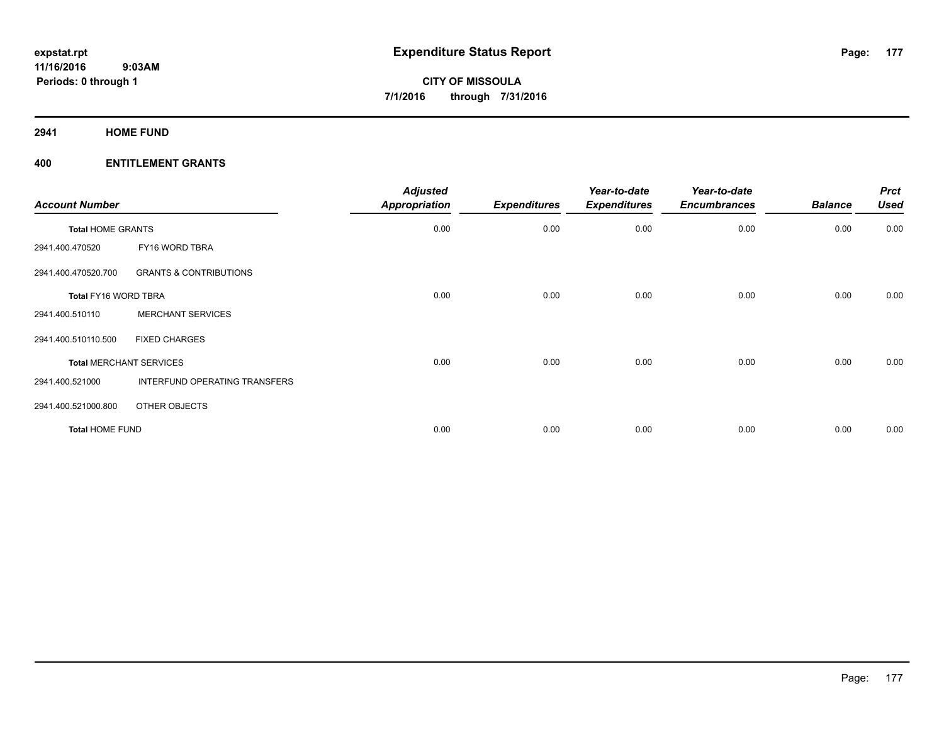**2941 HOME FUND**

| <b>Account Number</b>    |                                   | <b>Adjusted</b><br>Appropriation | <b>Expenditures</b> | Year-to-date<br><b>Expenditures</b> | Year-to-date<br><b>Encumbrances</b> | <b>Balance</b> | <b>Prct</b><br><b>Used</b> |
|--------------------------|-----------------------------------|----------------------------------|---------------------|-------------------------------------|-------------------------------------|----------------|----------------------------|
| <b>Total HOME GRANTS</b> |                                   | 0.00                             | 0.00                | 0.00                                | 0.00                                | 0.00           | 0.00                       |
| 2941.400.470520          | FY16 WORD TBRA                    |                                  |                     |                                     |                                     |                |                            |
| 2941.400.470520.700      | <b>GRANTS &amp; CONTRIBUTIONS</b> |                                  |                     |                                     |                                     |                |                            |
| Total FY16 WORD TBRA     |                                   | 0.00                             | 0.00                | 0.00                                | 0.00                                | 0.00           | 0.00                       |
| 2941.400.510110          | <b>MERCHANT SERVICES</b>          |                                  |                     |                                     |                                     |                |                            |
| 2941.400.510110.500      | <b>FIXED CHARGES</b>              |                                  |                     |                                     |                                     |                |                            |
|                          | <b>Total MERCHANT SERVICES</b>    | 0.00                             | 0.00                | 0.00                                | 0.00                                | 0.00           | 0.00                       |
| 2941.400.521000          | INTERFUND OPERATING TRANSFERS     |                                  |                     |                                     |                                     |                |                            |
| 2941.400.521000.800      | OTHER OBJECTS                     |                                  |                     |                                     |                                     |                |                            |
| <b>Total HOME FUND</b>   |                                   | 0.00                             | 0.00                | 0.00                                | 0.00                                | 0.00           | 0.00                       |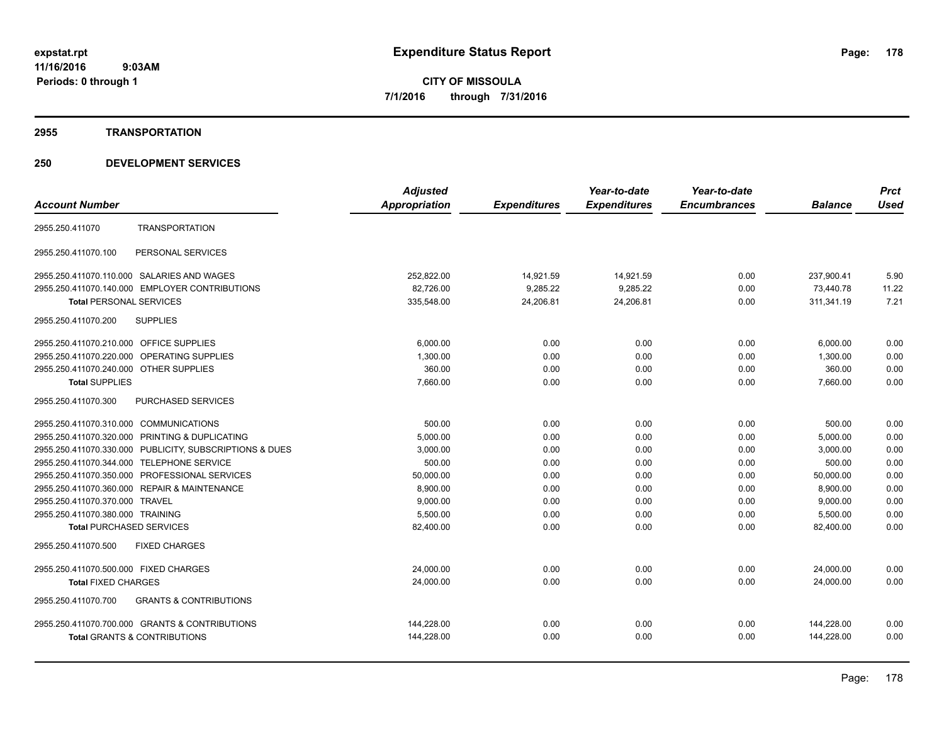#### **2955 TRANSPORTATION**

# **250 DEVELOPMENT SERVICES**

|                                                          | <b>Adjusted</b>      |                     | Year-to-date        | Year-to-date        |                | <b>Prct</b> |
|----------------------------------------------------------|----------------------|---------------------|---------------------|---------------------|----------------|-------------|
| <b>Account Number</b>                                    | <b>Appropriation</b> | <b>Expenditures</b> | <b>Expenditures</b> | <b>Encumbrances</b> | <b>Balance</b> | <b>Used</b> |
| <b>TRANSPORTATION</b><br>2955.250.411070                 |                      |                     |                     |                     |                |             |
| PERSONAL SERVICES<br>2955.250.411070.100                 |                      |                     |                     |                     |                |             |
| 2955.250.411070.110.000 SALARIES AND WAGES               | 252,822.00           | 14,921.59           | 14,921.59           | 0.00                | 237,900.41     | 5.90        |
| 2955.250.411070.140.000 EMPLOYER CONTRIBUTIONS           | 82,726.00            | 9,285.22            | 9,285.22            | 0.00                | 73,440.78      | 11.22       |
| <b>Total PERSONAL SERVICES</b>                           | 335,548.00           | 24,206.81           | 24,206.81           | 0.00                | 311,341.19     | 7.21        |
| 2955.250.411070.200<br><b>SUPPLIES</b>                   |                      |                     |                     |                     |                |             |
| 2955.250.411070.210.000 OFFICE SUPPLIES                  | 6,000.00             | 0.00                | 0.00                | 0.00                | 6,000.00       | 0.00        |
| 2955.250.411070.220.000 OPERATING SUPPLIES               | 1,300.00             | 0.00                | 0.00                | 0.00                | 1,300.00       | 0.00        |
| 2955.250.411070.240.000 OTHER SUPPLIES                   | 360.00               | 0.00                | 0.00                | 0.00                | 360.00         | 0.00        |
| <b>Total SUPPLIES</b>                                    | 7,660.00             | 0.00                | 0.00                | 0.00                | 7.660.00       | 0.00        |
| PURCHASED SERVICES<br>2955.250.411070.300                |                      |                     |                     |                     |                |             |
| 2955.250.411070.310.000 COMMUNICATIONS                   | 500.00               | 0.00                | 0.00                | 0.00                | 500.00         | 0.00        |
| 2955.250.411070.320.000 PRINTING & DUPLICATING           | 5,000.00             | 0.00                | 0.00                | 0.00                | 5,000.00       | 0.00        |
| 2955.250.411070.330.000 PUBLICITY, SUBSCRIPTIONS & DUES  | 3,000.00             | 0.00                | 0.00                | 0.00                | 3,000.00       | 0.00        |
| 2955.250.411070.344.000 TELEPHONE SERVICE                | 500.00               | 0.00                | 0.00                | 0.00                | 500.00         | 0.00        |
| 2955.250.411070.350.000 PROFESSIONAL SERVICES            | 50,000.00            | 0.00                | 0.00                | 0.00                | 50,000.00      | 0.00        |
| 2955.250.411070.360.000 REPAIR & MAINTENANCE             | 8,900.00             | 0.00                | 0.00                | 0.00                | 8,900.00       | 0.00        |
| 2955.250.411070.370.000 TRAVEL                           | 9,000.00             | 0.00                | 0.00                | 0.00                | 9,000.00       | 0.00        |
| 2955.250.411070.380.000 TRAINING                         | 5,500.00             | 0.00                | 0.00                | 0.00                | 5,500.00       | 0.00        |
| <b>Total PURCHASED SERVICES</b>                          | 82,400.00            | 0.00                | 0.00                | 0.00                | 82,400.00      | 0.00        |
| <b>FIXED CHARGES</b><br>2955.250.411070.500              |                      |                     |                     |                     |                |             |
| 2955.250.411070.500.000 FIXED CHARGES                    | 24,000.00            | 0.00                | 0.00                | 0.00                | 24,000.00      | 0.00        |
| <b>Total FIXED CHARGES</b>                               | 24,000.00            | 0.00                | 0.00                | 0.00                | 24,000.00      | 0.00        |
| <b>GRANTS &amp; CONTRIBUTIONS</b><br>2955.250.411070.700 |                      |                     |                     |                     |                |             |
| 2955.250.411070.700.000 GRANTS & CONTRIBUTIONS           | 144,228.00           | 0.00                | 0.00                | 0.00                | 144,228.00     | 0.00        |
| <b>Total GRANTS &amp; CONTRIBUTIONS</b>                  | 144,228.00           | 0.00                | 0.00                | 0.00                | 144,228.00     | 0.00        |
|                                                          |                      |                     |                     |                     |                |             |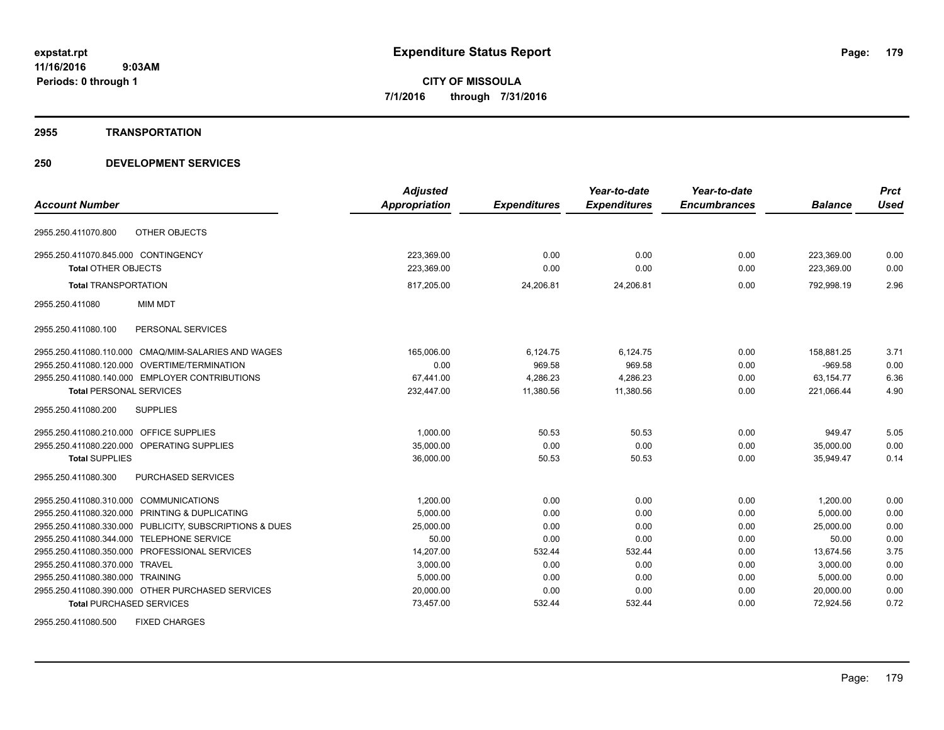#### **2955 TRANSPORTATION**

# **250 DEVELOPMENT SERVICES**

|                                                         | <b>Adjusted</b> |                     | Year-to-date        | Year-to-date        |                | <b>Prct</b> |
|---------------------------------------------------------|-----------------|---------------------|---------------------|---------------------|----------------|-------------|
| <b>Account Number</b>                                   | Appropriation   | <b>Expenditures</b> | <b>Expenditures</b> | <b>Encumbrances</b> | <b>Balance</b> | <b>Used</b> |
| OTHER OBJECTS<br>2955.250.411070.800                    |                 |                     |                     |                     |                |             |
| 2955.250.411070.845.000 CONTINGENCY                     | 223,369.00      | 0.00                | 0.00                | 0.00                | 223,369.00     | 0.00        |
| Total OTHER OBJECTS                                     | 223.369.00      | 0.00                | 0.00                | 0.00                | 223.369.00     | 0.00        |
| <b>Total TRANSPORTATION</b>                             | 817,205.00      | 24,206.81           | 24,206.81           | 0.00                | 792.998.19     | 2.96        |
| 2955.250.411080<br><b>MIM MDT</b>                       |                 |                     |                     |                     |                |             |
| PERSONAL SERVICES<br>2955.250.411080.100                |                 |                     |                     |                     |                |             |
| 2955.250.411080.110.000 CMAQ/MIM-SALARIES AND WAGES     | 165.006.00      | 6,124.75            | 6.124.75            | 0.00                | 158,881.25     | 3.71        |
| OVERTIME/TERMINATION<br>2955.250.411080.120.000         | 0.00            | 969.58              | 969.58              | 0.00                | $-969.58$      | 0.00        |
| 2955.250.411080.140.000 EMPLOYER CONTRIBUTIONS          | 67.441.00       | 4.286.23            | 4.286.23            | 0.00                | 63.154.77      | 6.36        |
| <b>Total PERSONAL SERVICES</b>                          | 232,447.00      | 11,380.56           | 11,380.56           | 0.00                | 221,066.44     | 4.90        |
| 2955.250.411080.200<br><b>SUPPLIES</b>                  |                 |                     |                     |                     |                |             |
| 2955.250.411080.210.000 OFFICE SUPPLIES                 | 1.000.00        | 50.53               | 50.53               | 0.00                | 949.47         | 5.05        |
| 2955.250.411080.220.000 OPERATING SUPPLIES              | 35,000.00       | 0.00                | 0.00                | 0.00                | 35,000.00      | 0.00        |
| <b>Total SUPPLIES</b>                                   | 36,000.00       | 50.53               | 50.53               | 0.00                | 35,949.47      | 0.14        |
| <b>PURCHASED SERVICES</b><br>2955.250.411080.300        |                 |                     |                     |                     |                |             |
| 2955.250.411080.310.000 COMMUNICATIONS                  | 1,200.00        | 0.00                | 0.00                | 0.00                | 1,200.00       | 0.00        |
| 2955.250.411080.320.000 PRINTING & DUPLICATING          | 5.000.00        | 0.00                | 0.00                | 0.00                | 5.000.00       | 0.00        |
| 2955.250.411080.330.000 PUBLICITY, SUBSCRIPTIONS & DUES | 25,000.00       | 0.00                | 0.00                | 0.00                | 25,000.00      | 0.00        |
| 2955.250.411080.344.000 TELEPHONE SERVICE               | 50.00           | 0.00                | 0.00                | 0.00                | 50.00          | 0.00        |
| 2955.250.411080.350.000 PROFESSIONAL SERVICES           | 14,207.00       | 532.44              | 532.44              | 0.00                | 13,674.56      | 3.75        |
| 2955.250.411080.370.000 TRAVEL                          | 3,000.00        | 0.00                | 0.00                | 0.00                | 3,000.00       | 0.00        |
| 2955.250.411080.380.000 TRAINING                        | 5,000.00        | 0.00                | 0.00                | 0.00                | 5,000.00       | 0.00        |
| 2955.250.411080.390.000 OTHER PURCHASED SERVICES        | 20,000.00       | 0.00                | 0.00                | 0.00                | 20,000.00      | 0.00        |
| <b>Total PURCHASED SERVICES</b>                         | 73,457.00       | 532.44              | 532.44              | 0.00                | 72,924.56      | 0.72        |

2955.250.411080.500 FIXED CHARGES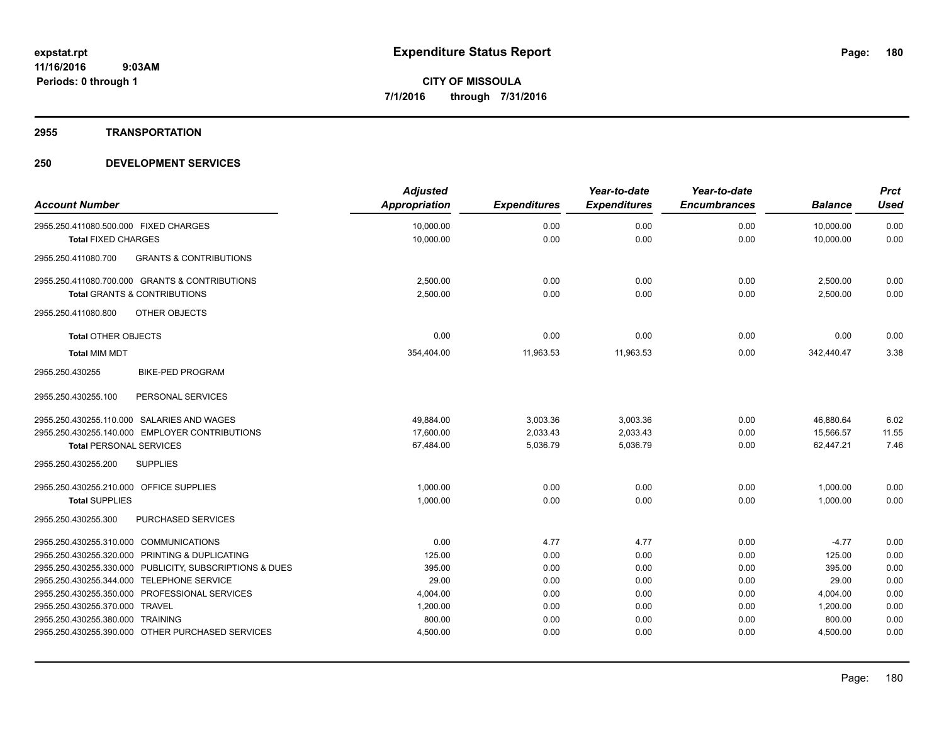#### **2955 TRANSPORTATION**

# **250 DEVELOPMENT SERVICES**

| <b>Account Number</b>                                    | <b>Adjusted</b><br>Appropriation | <b>Expenditures</b> | Year-to-date<br><b>Expenditures</b> | Year-to-date<br><b>Encumbrances</b> | <b>Balance</b> | <b>Prct</b><br><b>Used</b> |
|----------------------------------------------------------|----------------------------------|---------------------|-------------------------------------|-------------------------------------|----------------|----------------------------|
| 2955.250.411080.500.000 FIXED CHARGES                    | 10,000.00                        | 0.00                | 0.00                                | 0.00                                | 10,000.00      | 0.00                       |
| <b>Total FIXED CHARGES</b>                               | 10,000.00                        | 0.00                | 0.00                                | 0.00                                | 10,000.00      | 0.00                       |
| 2955.250.411080.700<br><b>GRANTS &amp; CONTRIBUTIONS</b> |                                  |                     |                                     |                                     |                |                            |
| 2955.250.411080.700.000 GRANTS & CONTRIBUTIONS           | 2,500.00                         | 0.00                | 0.00                                | 0.00                                | 2,500.00       | 0.00                       |
| <b>Total GRANTS &amp; CONTRIBUTIONS</b>                  | 2,500.00                         | 0.00                | 0.00                                | 0.00                                | 2,500.00       | 0.00                       |
| OTHER OBJECTS<br>2955.250.411080.800                     |                                  |                     |                                     |                                     |                |                            |
| <b>Total OTHER OBJECTS</b>                               | 0.00                             | 0.00                | 0.00                                | 0.00                                | 0.00           | 0.00                       |
| <b>Total MIM MDT</b>                                     | 354,404.00                       | 11,963.53           | 11,963.53                           | 0.00                                | 342,440.47     | 3.38                       |
| <b>BIKE-PED PROGRAM</b><br>2955.250.430255               |                                  |                     |                                     |                                     |                |                            |
| 2955.250.430255.100<br>PERSONAL SERVICES                 |                                  |                     |                                     |                                     |                |                            |
| 2955.250.430255.110.000 SALARIES AND WAGES               | 49,884.00                        | 3,003.36            | 3,003.36                            | 0.00                                | 46,880.64      | 6.02                       |
| 2955.250.430255.140.000 EMPLOYER CONTRIBUTIONS           | 17,600.00                        | 2,033.43            | 2,033.43                            | 0.00                                | 15,566.57      | 11.55                      |
| <b>Total PERSONAL SERVICES</b>                           | 67,484.00                        | 5,036.79            | 5,036.79                            | 0.00                                | 62.447.21      | 7.46                       |
| 2955.250.430255.200<br><b>SUPPLIES</b>                   |                                  |                     |                                     |                                     |                |                            |
| 2955.250.430255.210.000 OFFICE SUPPLIES                  | 1,000.00                         | 0.00                | 0.00                                | 0.00                                | 1,000.00       | 0.00                       |
| <b>Total SUPPLIES</b>                                    | 1,000.00                         | 0.00                | 0.00                                | 0.00                                | 1,000.00       | 0.00                       |
| PURCHASED SERVICES<br>2955.250.430255.300                |                                  |                     |                                     |                                     |                |                            |
| 2955.250.430255.310.000 COMMUNICATIONS                   | 0.00                             | 4.77                | 4.77                                | 0.00                                | $-4.77$        | 0.00                       |
| 2955.250.430255.320.000 PRINTING & DUPLICATING           | 125.00                           | 0.00                | 0.00                                | 0.00                                | 125.00         | 0.00                       |
| 2955.250.430255.330.000 PUBLICITY, SUBSCRIPTIONS & DUES  | 395.00                           | 0.00                | 0.00                                | 0.00                                | 395.00         | 0.00                       |
| 2955.250.430255.344.000 TELEPHONE SERVICE                | 29.00                            | 0.00                | 0.00                                | 0.00                                | 29.00          | 0.00                       |
| 2955.250.430255.350.000 PROFESSIONAL SERVICES            | 4,004.00                         | 0.00                | 0.00                                | 0.00                                | 4,004.00       | 0.00                       |
| 2955.250.430255.370.000 TRAVEL                           | 1,200.00                         | 0.00                | 0.00                                | 0.00                                | 1,200.00       | 0.00                       |
| 2955.250.430255.380.000 TRAINING                         | 800.00                           | 0.00                | 0.00                                | 0.00                                | 800.00         | 0.00                       |
| 2955.250.430255.390.000 OTHER PURCHASED SERVICES         | 4,500.00                         | 0.00                | 0.00                                | 0.00                                | 4,500.00       | 0.00                       |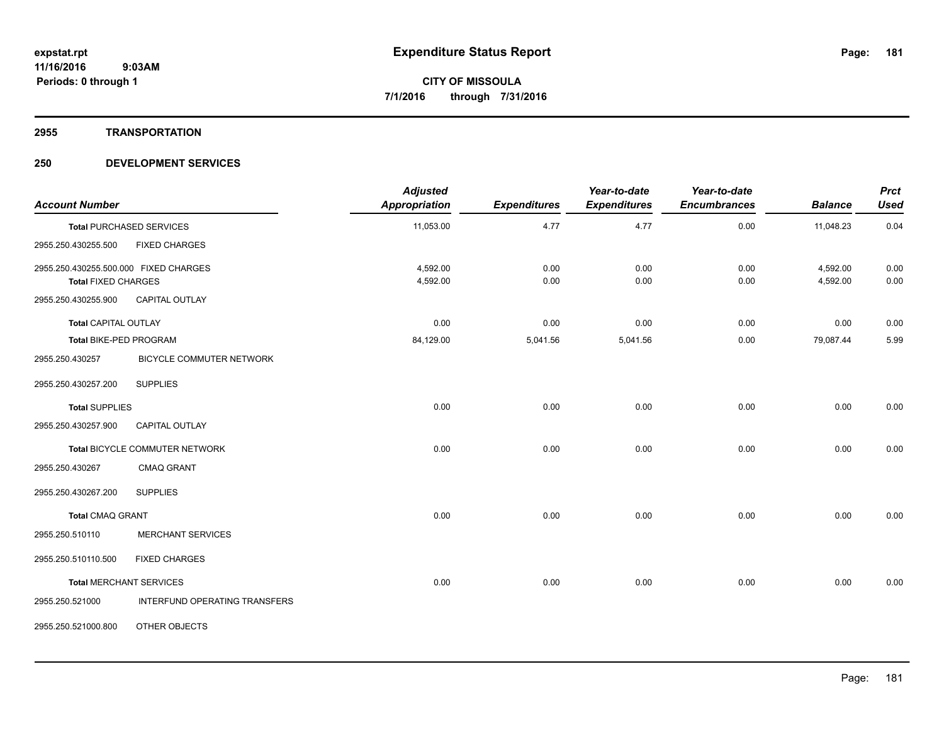#### **2955 TRANSPORTATION**

#### **250 DEVELOPMENT SERVICES**

| <b>Account Number</b>                                               |                                      | <b>Adjusted</b><br>Appropriation | <b>Expenditures</b> | Year-to-date<br><b>Expenditures</b> | Year-to-date<br><b>Encumbrances</b> | <b>Balance</b>       | <b>Prct</b><br><b>Used</b> |
|---------------------------------------------------------------------|--------------------------------------|----------------------------------|---------------------|-------------------------------------|-------------------------------------|----------------------|----------------------------|
|                                                                     | <b>Total PURCHASED SERVICES</b>      | 11,053.00                        | 4.77                | 4.77                                | 0.00                                | 11,048.23            | 0.04                       |
| 2955.250.430255.500                                                 | <b>FIXED CHARGES</b>                 |                                  |                     |                                     |                                     |                      |                            |
| 2955.250.430255.500.000 FIXED CHARGES<br><b>Total FIXED CHARGES</b> |                                      | 4,592.00<br>4,592.00             | 0.00<br>0.00        | 0.00<br>0.00                        | 0.00<br>0.00                        | 4,592.00<br>4,592.00 | 0.00<br>0.00               |
| 2955.250.430255.900                                                 | <b>CAPITAL OUTLAY</b>                |                                  |                     |                                     |                                     |                      |                            |
| <b>Total CAPITAL OUTLAY</b>                                         |                                      | 0.00                             | 0.00                | 0.00                                | 0.00                                | 0.00                 | 0.00                       |
| Total BIKE-PED PROGRAM                                              |                                      | 84,129.00                        | 5,041.56            | 5,041.56                            | 0.00                                | 79,087.44            | 5.99                       |
| 2955.250.430257                                                     | <b>BICYCLE COMMUTER NETWORK</b>      |                                  |                     |                                     |                                     |                      |                            |
| 2955.250.430257.200                                                 | <b>SUPPLIES</b>                      |                                  |                     |                                     |                                     |                      |                            |
| <b>Total SUPPLIES</b>                                               |                                      | 0.00                             | 0.00                | 0.00                                | 0.00                                | 0.00                 | 0.00                       |
| 2955.250.430257.900                                                 | <b>CAPITAL OUTLAY</b>                |                                  |                     |                                     |                                     |                      |                            |
|                                                                     | Total BICYCLE COMMUTER NETWORK       | 0.00                             | 0.00                | 0.00                                | 0.00                                | 0.00                 | 0.00                       |
| 2955.250.430267                                                     | CMAQ GRANT                           |                                  |                     |                                     |                                     |                      |                            |
| 2955.250.430267.200                                                 | <b>SUPPLIES</b>                      |                                  |                     |                                     |                                     |                      |                            |
| <b>Total CMAQ GRANT</b>                                             |                                      | 0.00                             | 0.00                | 0.00                                | 0.00                                | 0.00                 | 0.00                       |
| 2955.250.510110                                                     | <b>MERCHANT SERVICES</b>             |                                  |                     |                                     |                                     |                      |                            |
| 2955.250.510110.500                                                 | <b>FIXED CHARGES</b>                 |                                  |                     |                                     |                                     |                      |                            |
|                                                                     | <b>Total MERCHANT SERVICES</b>       | 0.00                             | 0.00                | 0.00                                | 0.00                                | 0.00                 | 0.00                       |
| 2955.250.521000                                                     | <b>INTERFUND OPERATING TRANSFERS</b> |                                  |                     |                                     |                                     |                      |                            |
| 2955.250.521000.800                                                 | OTHER OBJECTS                        |                                  |                     |                                     |                                     |                      |                            |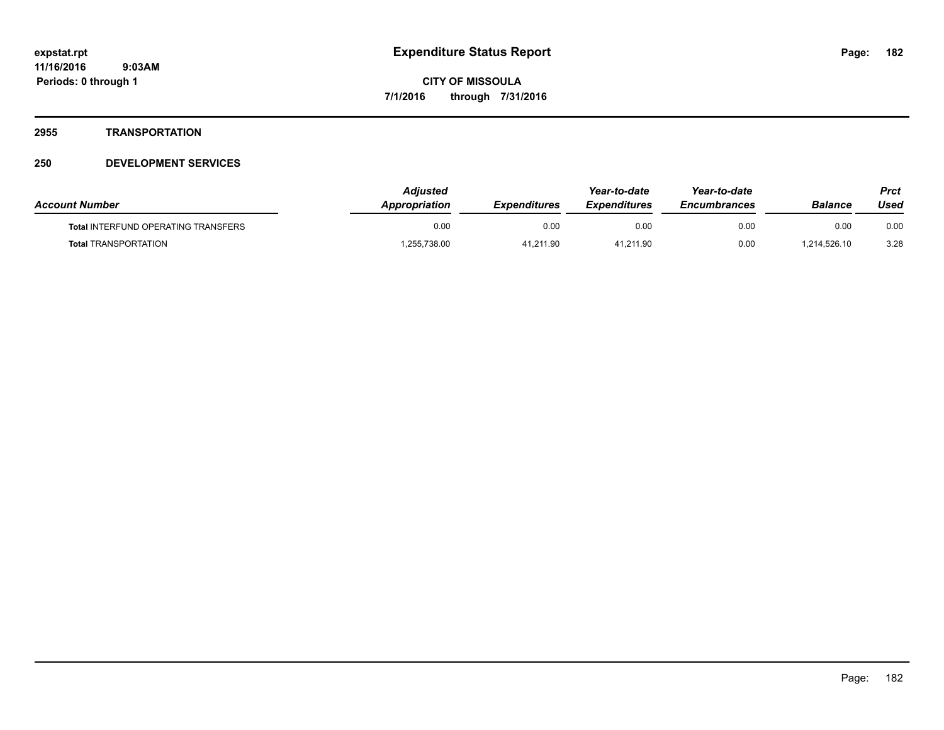#### **2955 TRANSPORTATION**

#### **250 DEVELOPMENT SERVICES**

| <b>Account Number</b>                      | Adiusted<br>Appropriation | <b>Expenditures</b> | Year-to-date<br><b>Expenditures</b> | Year-to-date<br><i><b>Encumbrances</b></i> | Balance      | Prct<br>Used |
|--------------------------------------------|---------------------------|---------------------|-------------------------------------|--------------------------------------------|--------------|--------------|
| <b>Total INTERFUND OPERATING TRANSFERS</b> | 0.00                      | 0.00                | 0.00                                | 0.00                                       | 0.00         | 0.00         |
| <b>Total TRANSPORTATION</b>                | .255,738.00               | 41,211.90           | 41,211.90                           | 0.00                                       | 1,214,526.10 | 3.28         |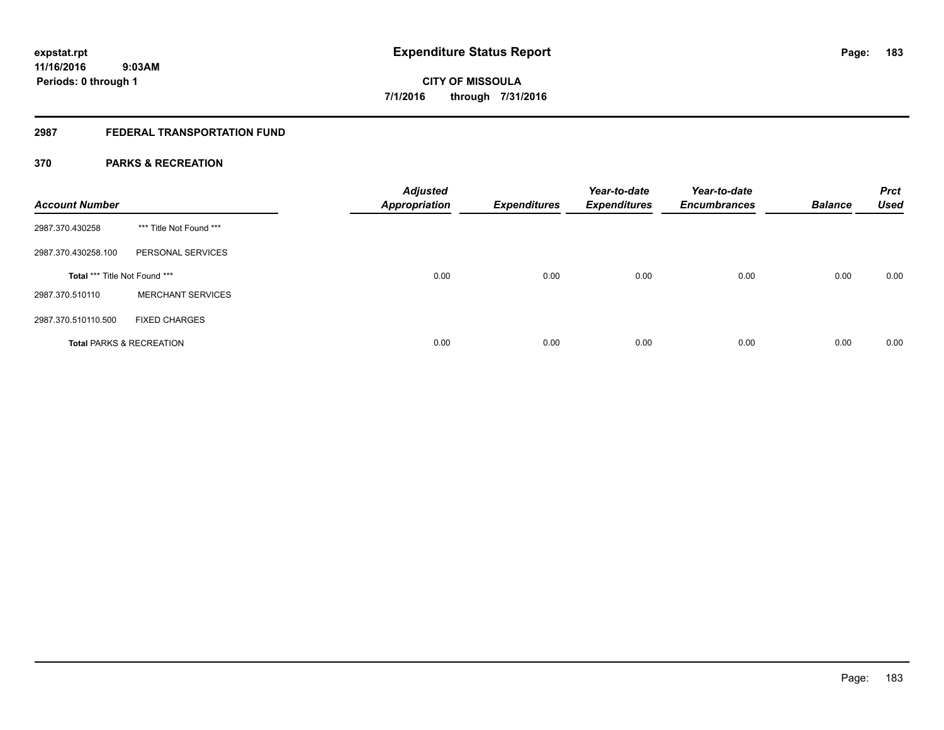### **2987 FEDERAL TRANSPORTATION FUND**

#### **370 PARKS & RECREATION**

| <b>Account Number</b>               |                          | <b>Adjusted</b><br><b>Appropriation</b> | <b>Expenditures</b> | Year-to-date<br><b>Expenditures</b> | Year-to-date<br><b>Encumbrances</b> | <b>Balance</b> | <b>Prct</b><br><b>Used</b> |
|-------------------------------------|--------------------------|-----------------------------------------|---------------------|-------------------------------------|-------------------------------------|----------------|----------------------------|
| 2987.370.430258                     | *** Title Not Found ***  |                                         |                     |                                     |                                     |                |                            |
| 2987.370.430258.100                 | PERSONAL SERVICES        |                                         |                     |                                     |                                     |                |                            |
| Total *** Title Not Found ***       |                          | 0.00                                    | 0.00                | 0.00                                | 0.00                                | 0.00           | 0.00                       |
| 2987.370.510110                     | <b>MERCHANT SERVICES</b> |                                         |                     |                                     |                                     |                |                            |
| 2987.370.510110.500                 | <b>FIXED CHARGES</b>     |                                         |                     |                                     |                                     |                |                            |
| <b>Total PARKS &amp; RECREATION</b> |                          | 0.00                                    | 0.00                | 0.00                                | 0.00                                | 0.00           | 0.00                       |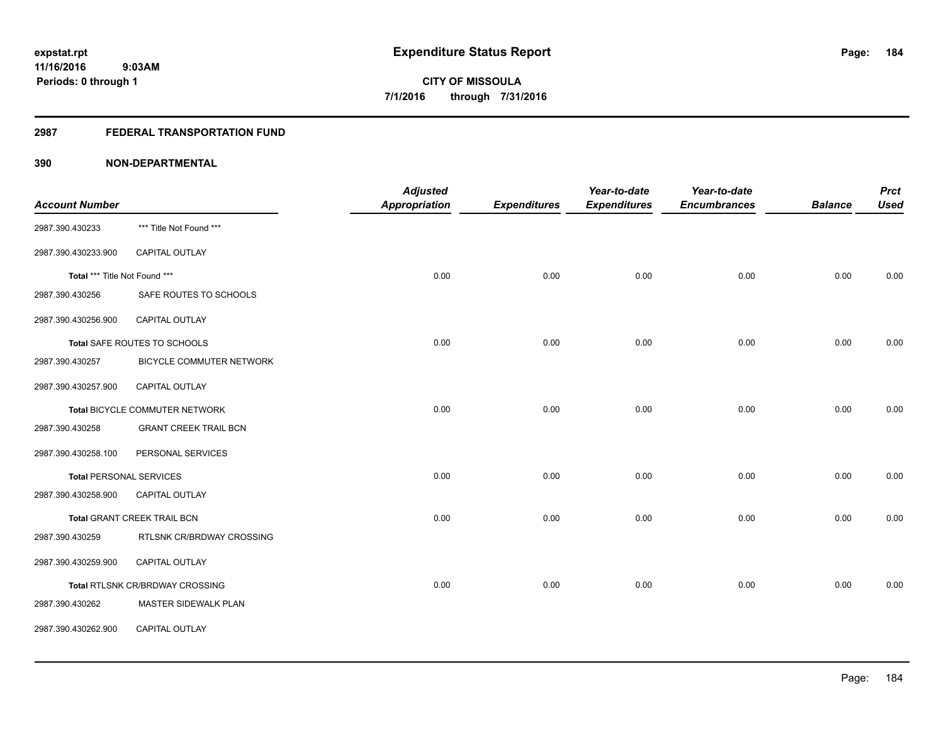#### **2987 FEDERAL TRANSPORTATION FUND**

|                                |                                        | <b>Adjusted</b> |                     | Year-to-date        | Year-to-date        |                | <b>Prct</b> |
|--------------------------------|----------------------------------------|-----------------|---------------------|---------------------|---------------------|----------------|-------------|
| <b>Account Number</b>          |                                        | Appropriation   | <b>Expenditures</b> | <b>Expenditures</b> | <b>Encumbrances</b> | <b>Balance</b> | <b>Used</b> |
| 2987.390.430233                | *** Title Not Found ***                |                 |                     |                     |                     |                |             |
| 2987.390.430233.900            | CAPITAL OUTLAY                         |                 |                     |                     |                     |                |             |
| Total *** Title Not Found ***  |                                        | 0.00            | 0.00                | 0.00                | 0.00                | 0.00           | 0.00        |
| 2987.390.430256                | SAFE ROUTES TO SCHOOLS                 |                 |                     |                     |                     |                |             |
| 2987.390.430256.900            | CAPITAL OUTLAY                         |                 |                     |                     |                     |                |             |
|                                | Total SAFE ROUTES TO SCHOOLS           | 0.00            | 0.00                | 0.00                | 0.00                | 0.00           | 0.00        |
| 2987.390.430257                | BICYCLE COMMUTER NETWORK               |                 |                     |                     |                     |                |             |
| 2987.390.430257.900            | <b>CAPITAL OUTLAY</b>                  |                 |                     |                     |                     |                |             |
|                                | Total BICYCLE COMMUTER NETWORK         | 0.00            | 0.00                | 0.00                | 0.00                | 0.00           | 0.00        |
| 2987.390.430258                | <b>GRANT CREEK TRAIL BCN</b>           |                 |                     |                     |                     |                |             |
| 2987.390.430258.100            | PERSONAL SERVICES                      |                 |                     |                     |                     |                |             |
| <b>Total PERSONAL SERVICES</b> |                                        | 0.00            | 0.00                | 0.00                | 0.00                | 0.00           | 0.00        |
| 2987.390.430258.900            | <b>CAPITAL OUTLAY</b>                  |                 |                     |                     |                     |                |             |
|                                | Total GRANT CREEK TRAIL BCN            | 0.00            | 0.00                | 0.00                | 0.00                | 0.00           | 0.00        |
| 2987.390.430259                | RTLSNK CR/BRDWAY CROSSING              |                 |                     |                     |                     |                |             |
| 2987.390.430259.900            | CAPITAL OUTLAY                         |                 |                     |                     |                     |                |             |
|                                | <b>Total RTLSNK CR/BRDWAY CROSSING</b> | 0.00            | 0.00                | 0.00                | 0.00                | 0.00           | 0.00        |
| 2987.390.430262                | MASTER SIDEWALK PLAN                   |                 |                     |                     |                     |                |             |
| 2987.390.430262.900            | CAPITAL OUTLAY                         |                 |                     |                     |                     |                |             |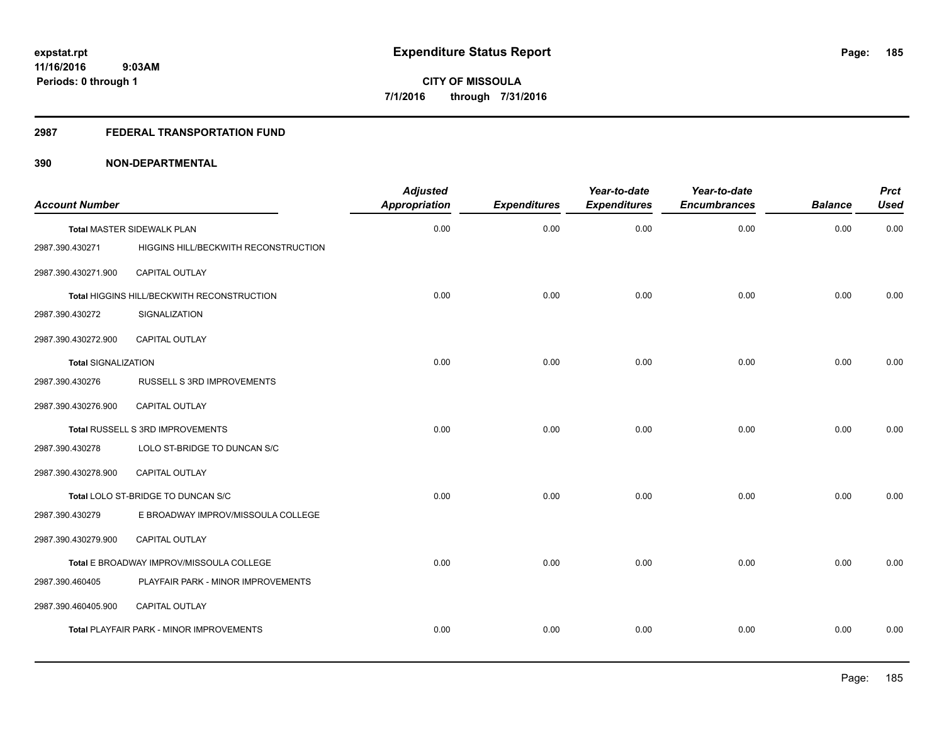#### **2987 FEDERAL TRANSPORTATION FUND**

| <b>Account Number</b>      |                                            | <b>Adjusted</b><br><b>Appropriation</b> | <b>Expenditures</b> | Year-to-date<br><b>Expenditures</b> | Year-to-date<br><b>Encumbrances</b> | <b>Balance</b> | <b>Prct</b><br><b>Used</b> |
|----------------------------|--------------------------------------------|-----------------------------------------|---------------------|-------------------------------------|-------------------------------------|----------------|----------------------------|
|                            | <b>Total MASTER SIDEWALK PLAN</b>          | 0.00                                    | 0.00                | 0.00                                | 0.00                                | 0.00           | 0.00                       |
| 2987.390.430271            | HIGGINS HILL/BECKWITH RECONSTRUCTION       |                                         |                     |                                     |                                     |                |                            |
| 2987.390.430271.900        | CAPITAL OUTLAY                             |                                         |                     |                                     |                                     |                |                            |
|                            | Total HIGGINS HILL/BECKWITH RECONSTRUCTION | 0.00                                    | 0.00                | 0.00                                | 0.00                                | 0.00           | 0.00                       |
| 2987.390.430272            | SIGNALIZATION                              |                                         |                     |                                     |                                     |                |                            |
| 2987.390.430272.900        | CAPITAL OUTLAY                             |                                         |                     |                                     |                                     |                |                            |
| <b>Total SIGNALIZATION</b> |                                            | 0.00                                    | 0.00                | 0.00                                | 0.00                                | 0.00           | 0.00                       |
| 2987.390.430276            | RUSSELL S 3RD IMPROVEMENTS                 |                                         |                     |                                     |                                     |                |                            |
| 2987.390.430276.900        | <b>CAPITAL OUTLAY</b>                      |                                         |                     |                                     |                                     |                |                            |
|                            | Total RUSSELL S 3RD IMPROVEMENTS           | 0.00                                    | 0.00                | 0.00                                | 0.00                                | 0.00           | 0.00                       |
| 2987.390.430278            | LOLO ST-BRIDGE TO DUNCAN S/C               |                                         |                     |                                     |                                     |                |                            |
| 2987.390.430278.900        | CAPITAL OUTLAY                             |                                         |                     |                                     |                                     |                |                            |
|                            | Total LOLO ST-BRIDGE TO DUNCAN S/C         | 0.00                                    | 0.00                | 0.00                                | 0.00                                | 0.00           | 0.00                       |
| 2987.390.430279            | E BROADWAY IMPROV/MISSOULA COLLEGE         |                                         |                     |                                     |                                     |                |                            |
| 2987.390.430279.900        | <b>CAPITAL OUTLAY</b>                      |                                         |                     |                                     |                                     |                |                            |
|                            | Total E BROADWAY IMPROV/MISSOULA COLLEGE   | 0.00                                    | 0.00                | 0.00                                | 0.00                                | 0.00           | 0.00                       |
| 2987.390.460405            | PLAYFAIR PARK - MINOR IMPROVEMENTS         |                                         |                     |                                     |                                     |                |                            |
| 2987.390.460405.900        | CAPITAL OUTLAY                             |                                         |                     |                                     |                                     |                |                            |
|                            | Total PLAYFAIR PARK - MINOR IMPROVEMENTS   | 0.00                                    | 0.00                | 0.00                                | 0.00                                | 0.00           | 0.00                       |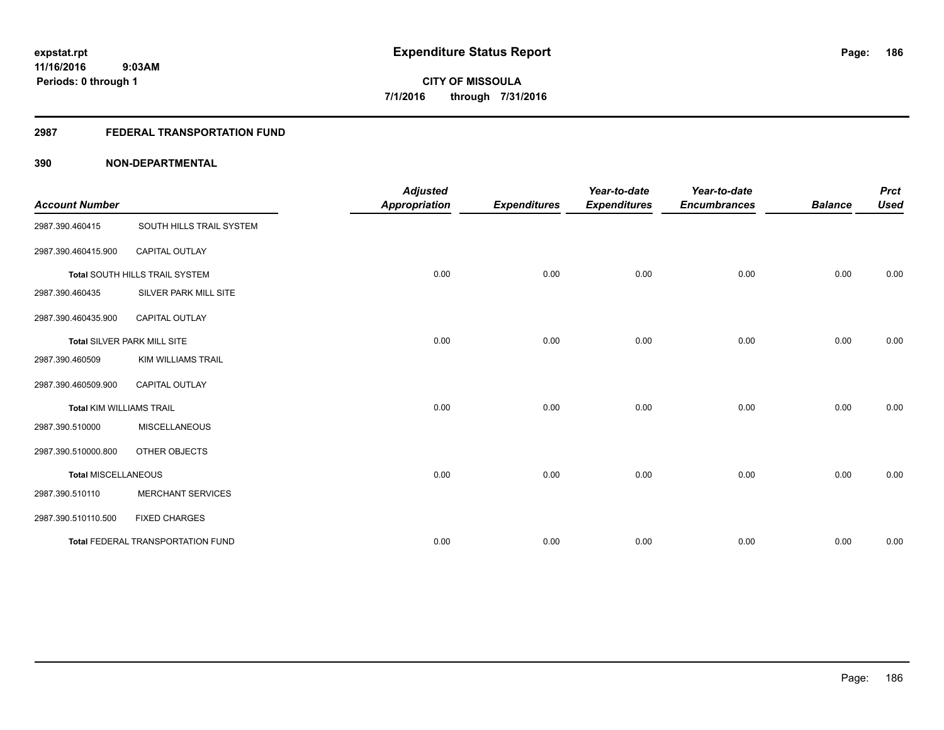#### **2987 FEDERAL TRANSPORTATION FUND**

| <b>Account Number</b>           |                                   | <b>Adjusted</b><br><b>Appropriation</b> | <b>Expenditures</b> | Year-to-date<br><b>Expenditures</b> | Year-to-date<br><b>Encumbrances</b> | <b>Balance</b> | <b>Prct</b><br><b>Used</b> |
|---------------------------------|-----------------------------------|-----------------------------------------|---------------------|-------------------------------------|-------------------------------------|----------------|----------------------------|
| 2987.390.460415                 | SOUTH HILLS TRAIL SYSTEM          |                                         |                     |                                     |                                     |                |                            |
| 2987.390.460415.900             | <b>CAPITAL OUTLAY</b>             |                                         |                     |                                     |                                     |                |                            |
|                                 | Total SOUTH HILLS TRAIL SYSTEM    | 0.00                                    | 0.00                | 0.00                                | 0.00                                | 0.00           | 0.00                       |
| 2987.390.460435                 | SILVER PARK MILL SITE             |                                         |                     |                                     |                                     |                |                            |
| 2987.390.460435.900             | <b>CAPITAL OUTLAY</b>             |                                         |                     |                                     |                                     |                |                            |
|                                 | Total SILVER PARK MILL SITE       | 0.00                                    | 0.00                | 0.00                                | 0.00                                | 0.00           | 0.00                       |
| 2987.390.460509                 | <b>KIM WILLIAMS TRAIL</b>         |                                         |                     |                                     |                                     |                |                            |
| 2987.390.460509.900             | <b>CAPITAL OUTLAY</b>             |                                         |                     |                                     |                                     |                |                            |
| <b>Total KIM WILLIAMS TRAIL</b> |                                   | 0.00                                    | 0.00                | 0.00                                | 0.00                                | 0.00           | 0.00                       |
| 2987.390.510000                 | <b>MISCELLANEOUS</b>              |                                         |                     |                                     |                                     |                |                            |
| 2987.390.510000.800             | OTHER OBJECTS                     |                                         |                     |                                     |                                     |                |                            |
| <b>Total MISCELLANEOUS</b>      |                                   | 0.00                                    | 0.00                | 0.00                                | 0.00                                | 0.00           | 0.00                       |
| 2987.390.510110                 | <b>MERCHANT SERVICES</b>          |                                         |                     |                                     |                                     |                |                            |
| 2987.390.510110.500             | <b>FIXED CHARGES</b>              |                                         |                     |                                     |                                     |                |                            |
|                                 | Total FEDERAL TRANSPORTATION FUND | 0.00                                    | 0.00                | 0.00                                | 0.00                                | 0.00           | 0.00                       |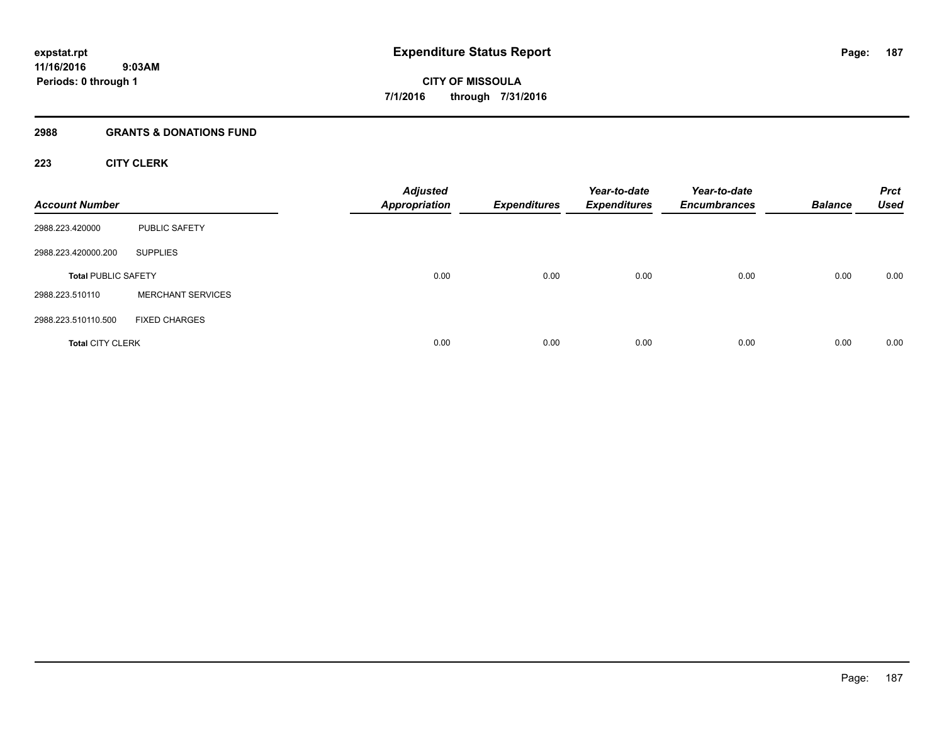#### **2988 GRANTS & DONATIONS FUND**

#### **223 CITY CLERK**

| <b>Account Number</b>      |                          | <b>Adjusted</b><br><b>Appropriation</b> | <b>Expenditures</b> | Year-to-date<br><b>Expenditures</b> | Year-to-date<br><b>Encumbrances</b> | <b>Balance</b> | <b>Prct</b><br><b>Used</b> |
|----------------------------|--------------------------|-----------------------------------------|---------------------|-------------------------------------|-------------------------------------|----------------|----------------------------|
| 2988.223.420000            | PUBLIC SAFETY            |                                         |                     |                                     |                                     |                |                            |
| 2988.223.420000.200        | <b>SUPPLIES</b>          |                                         |                     |                                     |                                     |                |                            |
| <b>Total PUBLIC SAFETY</b> |                          | 0.00                                    | 0.00                | 0.00                                | 0.00                                | 0.00           | 0.00                       |
| 2988.223.510110            | <b>MERCHANT SERVICES</b> |                                         |                     |                                     |                                     |                |                            |
| 2988.223.510110.500        | <b>FIXED CHARGES</b>     |                                         |                     |                                     |                                     |                |                            |
| <b>Total CITY CLERK</b>    |                          | 0.00                                    | 0.00                | 0.00                                | 0.00                                | 0.00           | 0.00                       |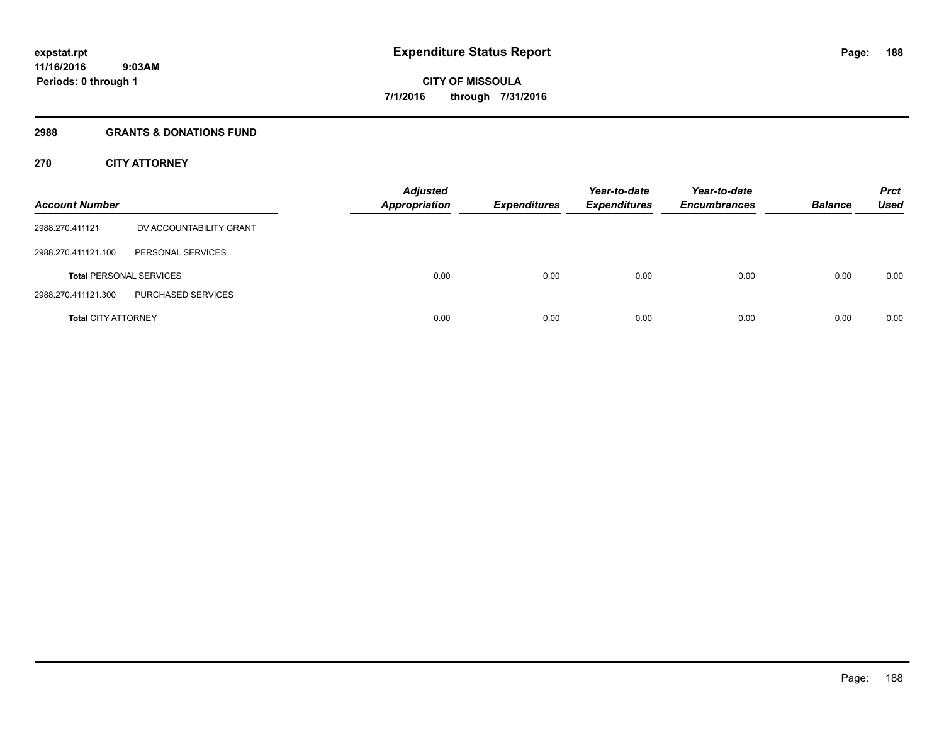#### **2988 GRANTS & DONATIONS FUND**

#### **270 CITY ATTORNEY**

| <b>Account Number</b>      |                                | <b>Adjusted</b><br><b>Appropriation</b> | <b>Expenditures</b> | Year-to-date<br><b>Expenditures</b> | Year-to-date<br><b>Encumbrances</b> | <b>Balance</b> | <b>Prct</b><br>Used |
|----------------------------|--------------------------------|-----------------------------------------|---------------------|-------------------------------------|-------------------------------------|----------------|---------------------|
| 2988.270.411121            | DV ACCOUNTABILITY GRANT        |                                         |                     |                                     |                                     |                |                     |
| 2988.270.411121.100        | PERSONAL SERVICES              |                                         |                     |                                     |                                     |                |                     |
|                            | <b>Total PERSONAL SERVICES</b> | 0.00                                    | 0.00                | 0.00                                | 0.00                                | 0.00           | 0.00                |
| 2988.270.411121.300        | PURCHASED SERVICES             |                                         |                     |                                     |                                     |                |                     |
| <b>Total CITY ATTORNEY</b> |                                | 0.00                                    | 0.00                | 0.00                                | 0.00                                | 0.00           | 0.00                |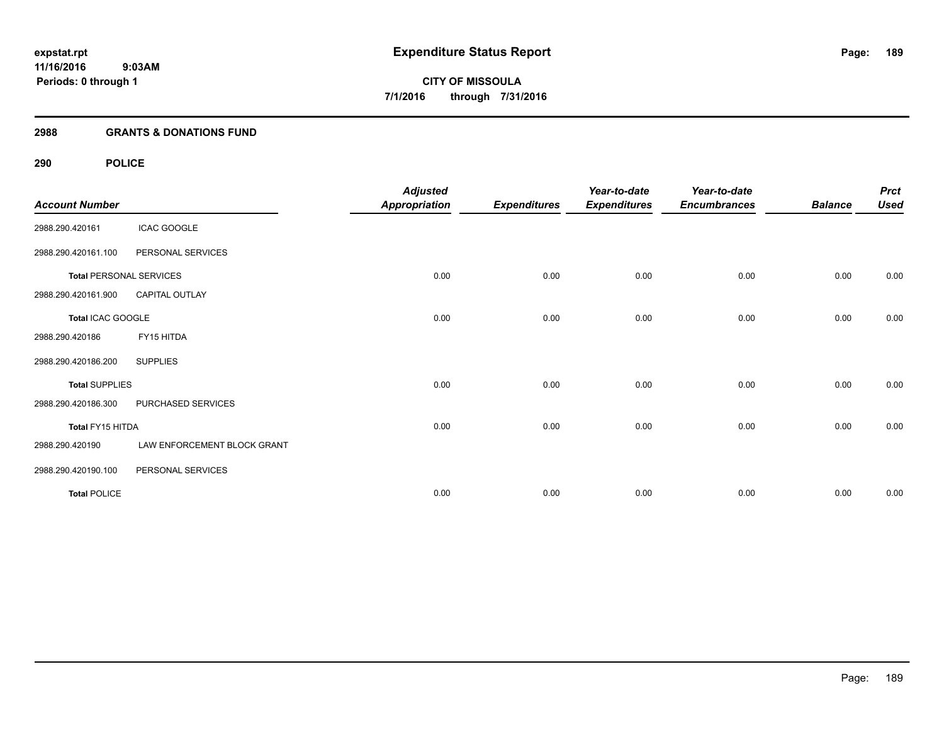#### **2988 GRANTS & DONATIONS FUND**

| <b>Account Number</b>          |                             | <b>Adjusted</b><br><b>Appropriation</b> | <b>Expenditures</b> | Year-to-date<br><b>Expenditures</b> | Year-to-date<br><b>Encumbrances</b> | <b>Balance</b> | <b>Prct</b><br><b>Used</b> |
|--------------------------------|-----------------------------|-----------------------------------------|---------------------|-------------------------------------|-------------------------------------|----------------|----------------------------|
| 2988.290.420161                | <b>ICAC GOOGLE</b>          |                                         |                     |                                     |                                     |                |                            |
| 2988.290.420161.100            | PERSONAL SERVICES           |                                         |                     |                                     |                                     |                |                            |
| <b>Total PERSONAL SERVICES</b> |                             | 0.00                                    | 0.00                | 0.00                                | 0.00                                | 0.00           | 0.00                       |
| 2988.290.420161.900            | CAPITAL OUTLAY              |                                         |                     |                                     |                                     |                |                            |
| Total ICAC GOOGLE              |                             | 0.00                                    | 0.00                | 0.00                                | 0.00                                | 0.00           | 0.00                       |
| 2988.290.420186                | FY15 HITDA                  |                                         |                     |                                     |                                     |                |                            |
| 2988.290.420186.200            | <b>SUPPLIES</b>             |                                         |                     |                                     |                                     |                |                            |
| <b>Total SUPPLIES</b>          |                             | 0.00                                    | 0.00                | 0.00                                | 0.00                                | 0.00           | 0.00                       |
| 2988.290.420186.300            | PURCHASED SERVICES          |                                         |                     |                                     |                                     |                |                            |
| Total FY15 HITDA               |                             | 0.00                                    | 0.00                | 0.00                                | 0.00                                | 0.00           | 0.00                       |
| 2988.290.420190                | LAW ENFORCEMENT BLOCK GRANT |                                         |                     |                                     |                                     |                |                            |
| 2988.290.420190.100            | PERSONAL SERVICES           |                                         |                     |                                     |                                     |                |                            |
| <b>Total POLICE</b>            |                             | 0.00                                    | 0.00                | 0.00                                | 0.00                                | 0.00           | 0.00                       |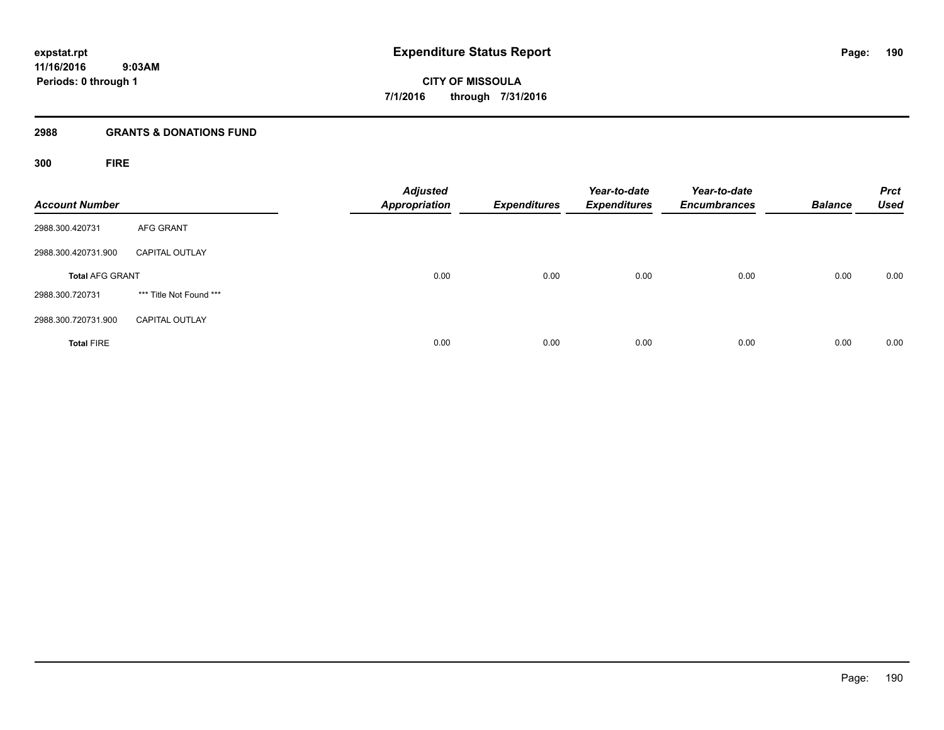#### **2988 GRANTS & DONATIONS FUND**

**300 FIRE**

| <b>Account Number</b>  |                         | <b>Adjusted</b><br><b>Appropriation</b> | <b>Expenditures</b> | Year-to-date<br><b>Expenditures</b> | Year-to-date<br><b>Encumbrances</b> | <b>Balance</b> | <b>Prct</b><br><b>Used</b> |
|------------------------|-------------------------|-----------------------------------------|---------------------|-------------------------------------|-------------------------------------|----------------|----------------------------|
| 2988.300.420731        | <b>AFG GRANT</b>        |                                         |                     |                                     |                                     |                |                            |
| 2988.300.420731.900    | <b>CAPITAL OUTLAY</b>   |                                         |                     |                                     |                                     |                |                            |
| <b>Total AFG GRANT</b> |                         | 0.00                                    | 0.00                | 0.00                                | 0.00                                | 0.00           | 0.00                       |
| 2988.300.720731        | *** Title Not Found *** |                                         |                     |                                     |                                     |                |                            |
| 2988.300.720731.900    | <b>CAPITAL OUTLAY</b>   |                                         |                     |                                     |                                     |                |                            |
| <b>Total FIRE</b>      |                         | 0.00                                    | 0.00                | 0.00                                | 0.00                                | 0.00           | 0.00                       |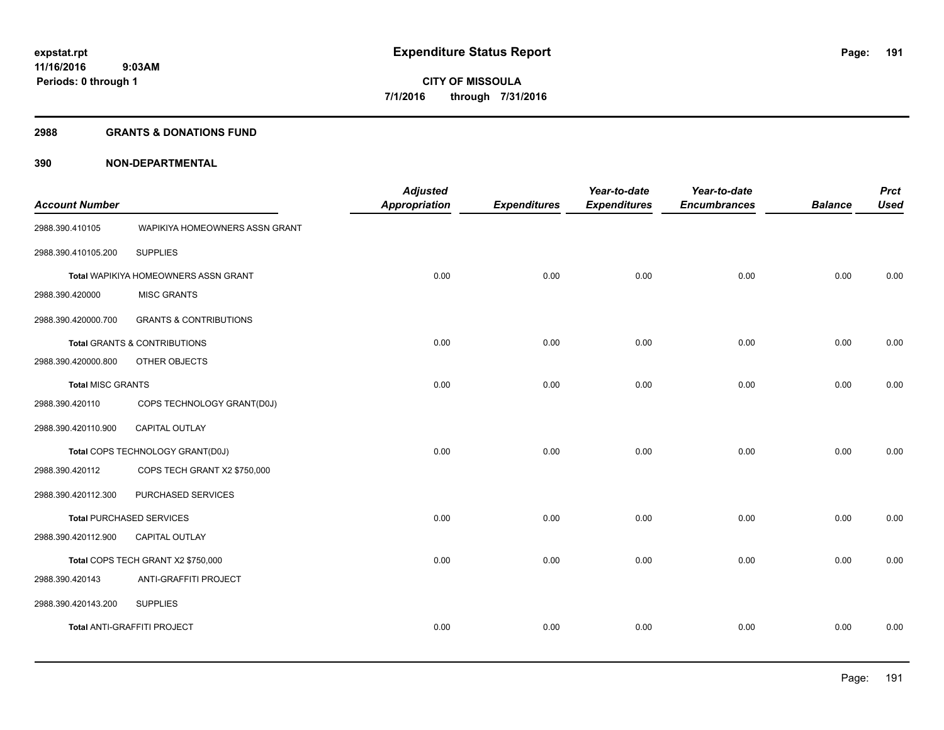#### **2988 GRANTS & DONATIONS FUND**

| <b>Account Number</b>    |                                      | <b>Adjusted</b><br><b>Appropriation</b> | <b>Expenditures</b> | Year-to-date<br><b>Expenditures</b> | Year-to-date<br><b>Encumbrances</b> | <b>Balance</b> | <b>Prct</b><br><b>Used</b> |
|--------------------------|--------------------------------------|-----------------------------------------|---------------------|-------------------------------------|-------------------------------------|----------------|----------------------------|
| 2988.390.410105          | WAPIKIYA HOMEOWNERS ASSN GRANT       |                                         |                     |                                     |                                     |                |                            |
| 2988.390.410105.200      | <b>SUPPLIES</b>                      |                                         |                     |                                     |                                     |                |                            |
|                          | Total WAPIKIYA HOMEOWNERS ASSN GRANT | 0.00                                    | 0.00                | 0.00                                | 0.00                                | 0.00           | 0.00                       |
| 2988.390.420000          | <b>MISC GRANTS</b>                   |                                         |                     |                                     |                                     |                |                            |
| 2988.390.420000.700      | <b>GRANTS &amp; CONTRIBUTIONS</b>    |                                         |                     |                                     |                                     |                |                            |
|                          | Total GRANTS & CONTRIBUTIONS         | 0.00                                    | 0.00                | 0.00                                | 0.00                                | 0.00           | 0.00                       |
| 2988.390.420000.800      | OTHER OBJECTS                        |                                         |                     |                                     |                                     |                |                            |
| <b>Total MISC GRANTS</b> |                                      | 0.00                                    | 0.00                | 0.00                                | 0.00                                | 0.00           | 0.00                       |
| 2988.390.420110          | COPS TECHNOLOGY GRANT(D0J)           |                                         |                     |                                     |                                     |                |                            |
| 2988.390.420110.900      | CAPITAL OUTLAY                       |                                         |                     |                                     |                                     |                |                            |
|                          | Total COPS TECHNOLOGY GRANT(D0J)     | 0.00                                    | 0.00                | 0.00                                | 0.00                                | 0.00           | 0.00                       |
| 2988.390.420112          | COPS TECH GRANT X2 \$750,000         |                                         |                     |                                     |                                     |                |                            |
| 2988.390.420112.300      | PURCHASED SERVICES                   |                                         |                     |                                     |                                     |                |                            |
|                          | <b>Total PURCHASED SERVICES</b>      | 0.00                                    | 0.00                | 0.00                                | 0.00                                | 0.00           | 0.00                       |
| 2988.390.420112.900      | <b>CAPITAL OUTLAY</b>                |                                         |                     |                                     |                                     |                |                            |
|                          | Total COPS TECH GRANT X2 \$750,000   | 0.00                                    | 0.00                | 0.00                                | 0.00                                | 0.00           | 0.00                       |
| 2988.390.420143          | ANTI-GRAFFITI PROJECT                |                                         |                     |                                     |                                     |                |                            |
| 2988.390.420143.200      | <b>SUPPLIES</b>                      |                                         |                     |                                     |                                     |                |                            |
|                          | Total ANTI-GRAFFITI PROJECT          | 0.00                                    | 0.00                | 0.00                                | 0.00                                | 0.00           | 0.00                       |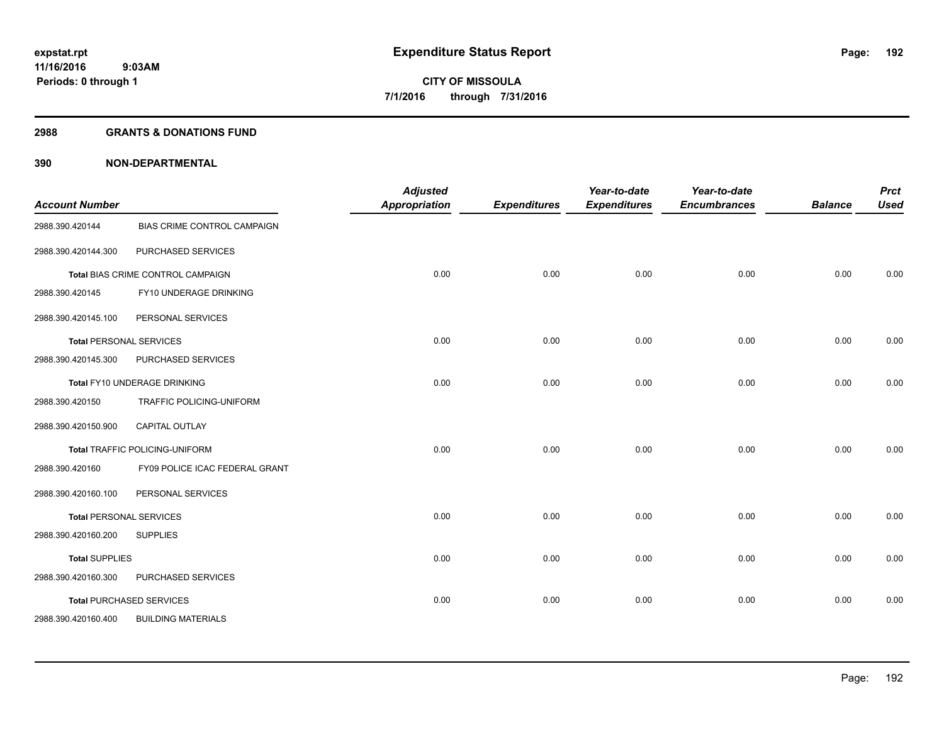#### **2988 GRANTS & DONATIONS FUND**

| <b>Account Number</b>          |                                       | <b>Adjusted</b><br><b>Appropriation</b> | <b>Expenditures</b> | Year-to-date<br><b>Expenditures</b> | Year-to-date<br><b>Encumbrances</b> | <b>Balance</b> | <b>Prct</b><br><b>Used</b> |
|--------------------------------|---------------------------------------|-----------------------------------------|---------------------|-------------------------------------|-------------------------------------|----------------|----------------------------|
| 2988.390.420144                | BIAS CRIME CONTROL CAMPAIGN           |                                         |                     |                                     |                                     |                |                            |
| 2988.390.420144.300            | PURCHASED SERVICES                    |                                         |                     |                                     |                                     |                |                            |
|                                | Total BIAS CRIME CONTROL CAMPAIGN     | 0.00                                    | 0.00                | 0.00                                | 0.00                                | 0.00           | 0.00                       |
| 2988.390.420145                | FY10 UNDERAGE DRINKING                |                                         |                     |                                     |                                     |                |                            |
| 2988.390.420145.100            | PERSONAL SERVICES                     |                                         |                     |                                     |                                     |                |                            |
|                                | <b>Total PERSONAL SERVICES</b>        | 0.00                                    | 0.00                | 0.00                                | 0.00                                | 0.00           | 0.00                       |
| 2988.390.420145.300            | PURCHASED SERVICES                    |                                         |                     |                                     |                                     |                |                            |
|                                | Total FY10 UNDERAGE DRINKING          | 0.00                                    | 0.00                | 0.00                                | 0.00                                | 0.00           | 0.00                       |
| 2988.390.420150                | TRAFFIC POLICING-UNIFORM              |                                         |                     |                                     |                                     |                |                            |
| 2988.390.420150.900            | <b>CAPITAL OUTLAY</b>                 |                                         |                     |                                     |                                     |                |                            |
|                                | <b>Total TRAFFIC POLICING-UNIFORM</b> | 0.00                                    | 0.00                | 0.00                                | 0.00                                | 0.00           | 0.00                       |
| 2988.390.420160                | FY09 POLICE ICAC FEDERAL GRANT        |                                         |                     |                                     |                                     |                |                            |
| 2988.390.420160.100            | PERSONAL SERVICES                     |                                         |                     |                                     |                                     |                |                            |
| <b>Total PERSONAL SERVICES</b> |                                       | 0.00                                    | 0.00                | 0.00                                | 0.00                                | 0.00           | 0.00                       |
| 2988.390.420160.200            | <b>SUPPLIES</b>                       |                                         |                     |                                     |                                     |                |                            |
| <b>Total SUPPLIES</b>          |                                       | 0.00                                    | 0.00                | 0.00                                | 0.00                                | 0.00           | 0.00                       |
| 2988.390.420160.300            | PURCHASED SERVICES                    |                                         |                     |                                     |                                     |                |                            |
|                                | <b>Total PURCHASED SERVICES</b>       | 0.00                                    | 0.00                | 0.00                                | 0.00                                | 0.00           | 0.00                       |
| 2988.390.420160.400            | <b>BUILDING MATERIALS</b>             |                                         |                     |                                     |                                     |                |                            |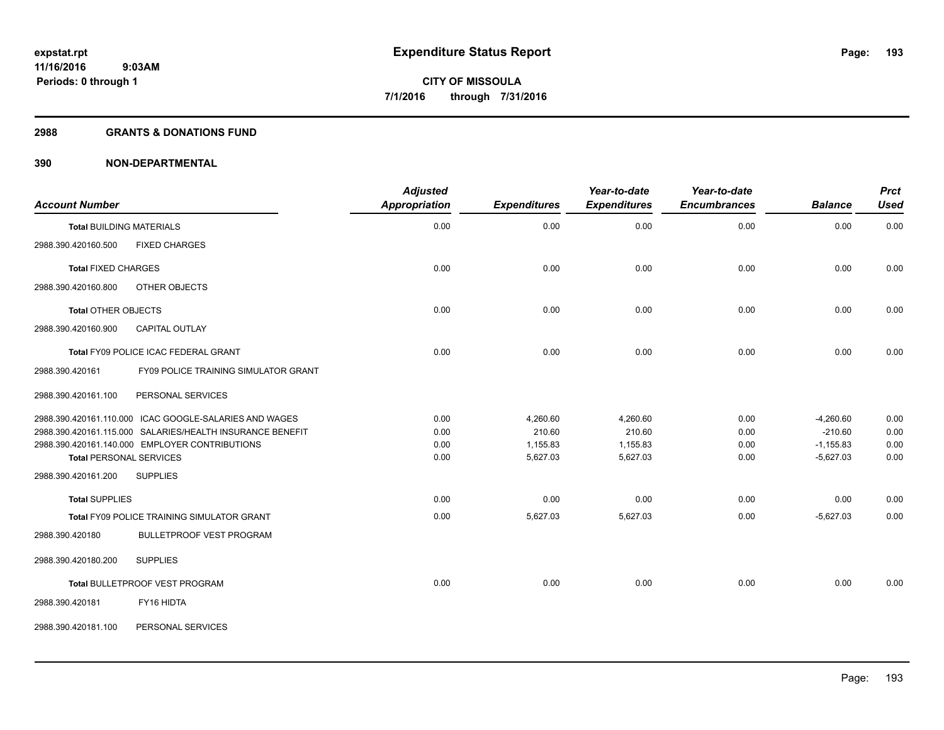#### **2988 GRANTS & DONATIONS FUND**

| <b>Account Number</b>                                     | <b>Adjusted</b><br>Appropriation | <b>Expenditures</b> | Year-to-date<br><b>Expenditures</b> | Year-to-date<br><b>Encumbrances</b> | <b>Balance</b> | <b>Prct</b><br><b>Used</b> |
|-----------------------------------------------------------|----------------------------------|---------------------|-------------------------------------|-------------------------------------|----------------|----------------------------|
| <b>Total BUILDING MATERIALS</b>                           | 0.00                             | 0.00                | 0.00                                | 0.00                                | 0.00           | 0.00                       |
| 2988.390.420160.500<br><b>FIXED CHARGES</b>               |                                  |                     |                                     |                                     |                |                            |
| <b>Total FIXED CHARGES</b>                                | 0.00                             | 0.00                | 0.00                                | 0.00                                | 0.00           | 0.00                       |
| 2988.390.420160.800<br>OTHER OBJECTS                      |                                  |                     |                                     |                                     |                |                            |
| <b>Total OTHER OBJECTS</b>                                | 0.00                             | 0.00                | 0.00                                | 0.00                                | 0.00           | 0.00                       |
| 2988.390.420160.900<br><b>CAPITAL OUTLAY</b>              |                                  |                     |                                     |                                     |                |                            |
| Total FY09 POLICE ICAC FEDERAL GRANT                      | 0.00                             | 0.00                | 0.00                                | 0.00                                | 0.00           | 0.00                       |
| FY09 POLICE TRAINING SIMULATOR GRANT<br>2988.390.420161   |                                  |                     |                                     |                                     |                |                            |
| PERSONAL SERVICES<br>2988.390.420161.100                  |                                  |                     |                                     |                                     |                |                            |
| 2988.390.420161.110.000 ICAC GOOGLE-SALARIES AND WAGES    | 0.00                             | 4,260.60            | 4,260.60                            | 0.00                                | $-4,260.60$    | 0.00                       |
| 2988.390.420161.115.000 SALARIES/HEALTH INSURANCE BENEFIT | 0.00                             | 210.60              | 210.60                              | 0.00                                | $-210.60$      | 0.00                       |
| 2988.390.420161.140.000 EMPLOYER CONTRIBUTIONS            | 0.00                             | 1,155.83            | 1,155.83                            | 0.00                                | $-1,155.83$    | 0.00                       |
| <b>Total PERSONAL SERVICES</b>                            | 0.00                             | 5,627.03            | 5,627.03                            | 0.00                                | $-5,627.03$    | 0.00                       |
| 2988.390.420161.200<br><b>SUPPLIES</b>                    |                                  |                     |                                     |                                     |                |                            |
| <b>Total SUPPLIES</b>                                     | 0.00                             | 0.00                | 0.00                                | 0.00                                | 0.00           | 0.00                       |
| <b>Total FY09 POLICE TRAINING SIMULATOR GRANT</b>         | 0.00                             | 5,627.03            | 5,627.03                            | 0.00                                | $-5,627.03$    | 0.00                       |
| 2988.390.420180<br><b>BULLETPROOF VEST PROGRAM</b>        |                                  |                     |                                     |                                     |                |                            |
| 2988.390.420180.200<br><b>SUPPLIES</b>                    |                                  |                     |                                     |                                     |                |                            |
| Total BULLETPROOF VEST PROGRAM                            | 0.00                             | 0.00                | 0.00                                | 0.00                                | 0.00           | 0.00                       |
| FY16 HIDTA<br>2988.390.420181                             |                                  |                     |                                     |                                     |                |                            |
| PERSONAL SERVICES<br>2988.390.420181.100                  |                                  |                     |                                     |                                     |                |                            |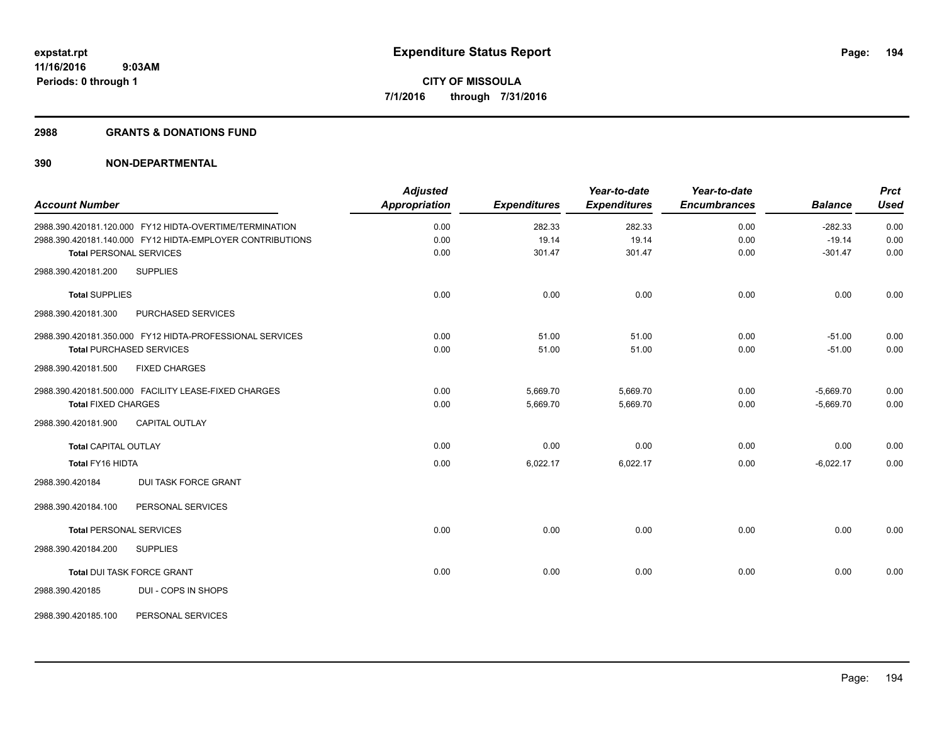#### **2988 GRANTS & DONATIONS FUND**

|                                |                                                           | <b>Adjusted</b>      |                     | Year-to-date        | Year-to-date        |                | <b>Prct</b> |
|--------------------------------|-----------------------------------------------------------|----------------------|---------------------|---------------------|---------------------|----------------|-------------|
| <b>Account Number</b>          |                                                           | <b>Appropriation</b> | <b>Expenditures</b> | <b>Expenditures</b> | <b>Encumbrances</b> | <b>Balance</b> | <b>Used</b> |
|                                | 2988.390.420181.120.000 FY12 HIDTA-OVERTIME/TERMINATION   | 0.00                 | 282.33              | 282.33              | 0.00                | $-282.33$      | 0.00        |
|                                | 2988.390.420181.140.000 FY12 HIDTA-EMPLOYER CONTRIBUTIONS | 0.00                 | 19.14               | 19.14               | 0.00                | $-19.14$       | 0.00        |
| <b>Total PERSONAL SERVICES</b> |                                                           | 0.00                 | 301.47              | 301.47              | 0.00                | $-301.47$      | 0.00        |
| 2988.390.420181.200            | <b>SUPPLIES</b>                                           |                      |                     |                     |                     |                |             |
| <b>Total SUPPLIES</b>          |                                                           | 0.00                 | 0.00                | 0.00                | 0.00                | 0.00           | 0.00        |
| 2988.390.420181.300            | PURCHASED SERVICES                                        |                      |                     |                     |                     |                |             |
|                                | 2988.390.420181.350.000 FY12 HIDTA-PROFESSIONAL SERVICES  | 0.00                 | 51.00               | 51.00               | 0.00                | $-51.00$       | 0.00        |
|                                | <b>Total PURCHASED SERVICES</b>                           | 0.00                 | 51.00               | 51.00               | 0.00                | $-51.00$       | 0.00        |
| 2988.390.420181.500            | <b>FIXED CHARGES</b>                                      |                      |                     |                     |                     |                |             |
|                                | 2988.390.420181.500.000 FACILITY LEASE-FIXED CHARGES      | 0.00                 | 5,669.70            | 5,669.70            | 0.00                | $-5,669.70$    | 0.00        |
| <b>Total FIXED CHARGES</b>     |                                                           | 0.00                 | 5,669.70            | 5,669.70            | 0.00                | $-5,669.70$    | 0.00        |
| 2988.390.420181.900            | <b>CAPITAL OUTLAY</b>                                     |                      |                     |                     |                     |                |             |
| <b>Total CAPITAL OUTLAY</b>    |                                                           | 0.00                 | 0.00                | 0.00                | 0.00                | 0.00           | 0.00        |
| Total FY16 HIDTA               |                                                           | 0.00                 | 6,022.17            | 6,022.17            | 0.00                | $-6,022.17$    | 0.00        |
| 2988.390.420184                | <b>DUI TASK FORCE GRANT</b>                               |                      |                     |                     |                     |                |             |
| 2988.390.420184.100            | PERSONAL SERVICES                                         |                      |                     |                     |                     |                |             |
| <b>Total PERSONAL SERVICES</b> |                                                           | 0.00                 | 0.00                | 0.00                | 0.00                | 0.00           | 0.00        |
| 2988.390.420184.200            | <b>SUPPLIES</b>                                           |                      |                     |                     |                     |                |             |
|                                | Total DUI TASK FORCE GRANT                                | 0.00                 | 0.00                | 0.00                | 0.00                | 0.00           | 0.00        |
| 2988.390.420185                | DUI - COPS IN SHOPS                                       |                      |                     |                     |                     |                |             |
| 2988.390.420185.100            | PERSONAL SERVICES                                         |                      |                     |                     |                     |                |             |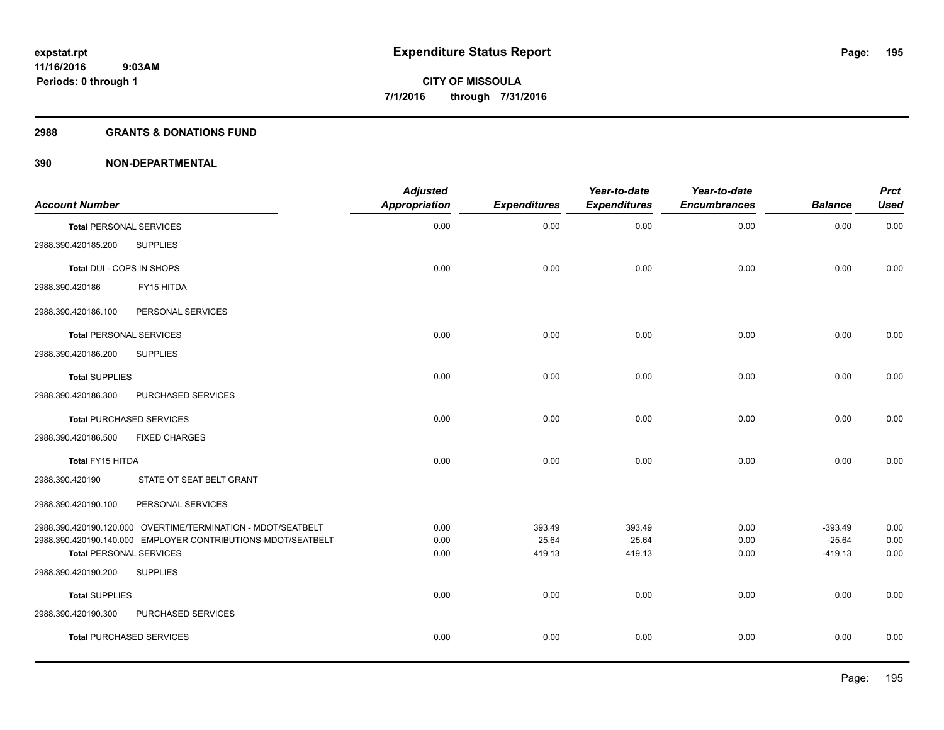#### **2988 GRANTS & DONATIONS FUND**

| <b>Account Number</b>          |                                                              | <b>Adjusted</b><br><b>Appropriation</b> | <b>Expenditures</b> | Year-to-date<br><b>Expenditures</b> | Year-to-date<br><b>Encumbrances</b> | <b>Balance</b>        | <b>Prct</b><br><b>Used</b> |
|--------------------------------|--------------------------------------------------------------|-----------------------------------------|---------------------|-------------------------------------|-------------------------------------|-----------------------|----------------------------|
| <b>Total PERSONAL SERVICES</b> |                                                              | 0.00                                    | 0.00                | 0.00                                | 0.00                                | 0.00                  | 0.00                       |
| 2988.390.420185.200            | <b>SUPPLIES</b>                                              |                                         |                     |                                     |                                     |                       |                            |
| Total DUI - COPS IN SHOPS      |                                                              | 0.00                                    | 0.00                | 0.00                                | 0.00                                | 0.00                  | 0.00                       |
| 2988.390.420186                | FY15 HITDA                                                   |                                         |                     |                                     |                                     |                       |                            |
| 2988.390.420186.100            | PERSONAL SERVICES                                            |                                         |                     |                                     |                                     |                       |                            |
| <b>Total PERSONAL SERVICES</b> |                                                              | 0.00                                    | 0.00                | 0.00                                | 0.00                                | 0.00                  | 0.00                       |
| 2988.390.420186.200            | <b>SUPPLIES</b>                                              |                                         |                     |                                     |                                     |                       |                            |
| <b>Total SUPPLIES</b>          |                                                              | 0.00                                    | 0.00                | 0.00                                | 0.00                                | 0.00                  | 0.00                       |
| 2988.390.420186.300            | PURCHASED SERVICES                                           |                                         |                     |                                     |                                     |                       |                            |
|                                | <b>Total PURCHASED SERVICES</b>                              | 0.00                                    | 0.00                | 0.00                                | 0.00                                | 0.00                  | 0.00                       |
| 2988.390.420186.500            | <b>FIXED CHARGES</b>                                         |                                         |                     |                                     |                                     |                       |                            |
| Total FY15 HITDA               |                                                              | 0.00                                    | 0.00                | 0.00                                | 0.00                                | 0.00                  | 0.00                       |
| 2988.390.420190                | STATE OT SEAT BELT GRANT                                     |                                         |                     |                                     |                                     |                       |                            |
| 2988.390.420190.100            | PERSONAL SERVICES                                            |                                         |                     |                                     |                                     |                       |                            |
|                                | 2988.390.420190.120.000 OVERTIME/TERMINATION - MDOT/SEATBELT | 0.00                                    | 393.49              | 393.49                              | 0.00                                | $-393.49$             | 0.00                       |
| <b>Total PERSONAL SERVICES</b> | 2988.390.420190.140.000 EMPLOYER CONTRIBUTIONS-MDOT/SEATBELT | 0.00<br>0.00                            | 25.64<br>419.13     | 25.64<br>419.13                     | 0.00<br>0.00                        | $-25.64$<br>$-419.13$ | 0.00<br>0.00               |
| 2988.390.420190.200            | <b>SUPPLIES</b>                                              |                                         |                     |                                     |                                     |                       |                            |
| <b>Total SUPPLIES</b>          |                                                              | 0.00                                    | 0.00                | 0.00                                | 0.00                                | 0.00                  | 0.00                       |
| 2988.390.420190.300            | PURCHASED SERVICES                                           |                                         |                     |                                     |                                     |                       |                            |
|                                | <b>Total PURCHASED SERVICES</b>                              | 0.00                                    | 0.00                | 0.00                                | 0.00                                | 0.00                  | 0.00                       |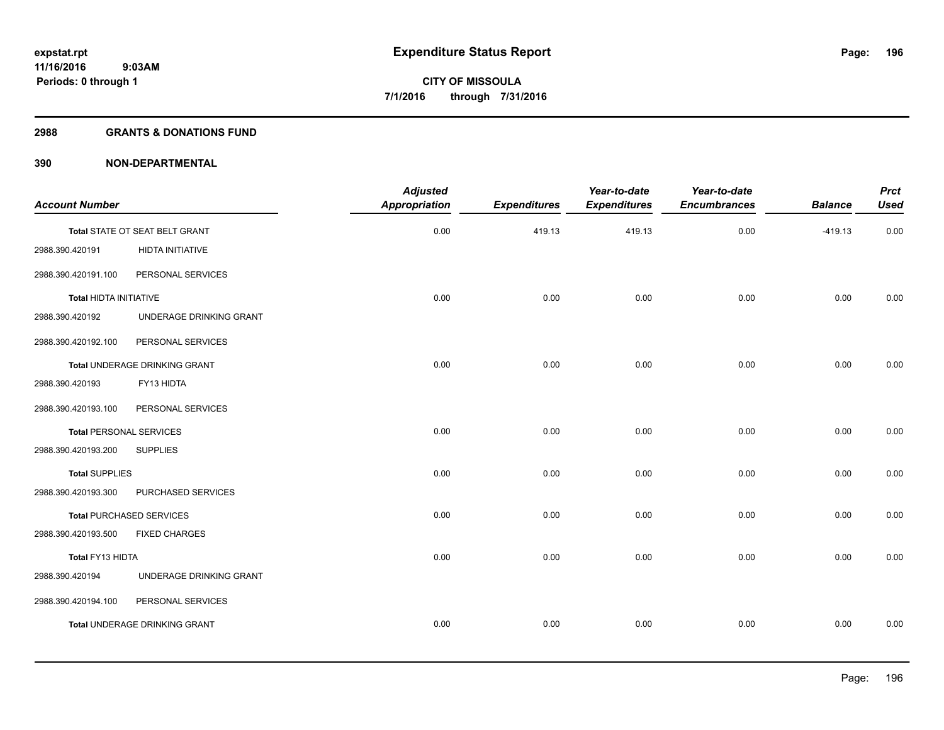#### **2988 GRANTS & DONATIONS FUND**

|                                      | <b>Appropriation</b>           | <b>Expenditures</b> | Year-to-date<br><b>Expenditures</b> | Year-to-date<br><b>Encumbrances</b> | <b>Balance</b> | <b>Prct</b><br><b>Used</b> |
|--------------------------------------|--------------------------------|---------------------|-------------------------------------|-------------------------------------|----------------|----------------------------|
|                                      |                                |                     |                                     |                                     |                |                            |
|                                      |                                |                     |                                     |                                     |                | 0.00                       |
| HIDTA INITIATIVE                     |                                |                     |                                     |                                     |                |                            |
| PERSONAL SERVICES                    |                                |                     |                                     |                                     |                |                            |
| <b>Total HIDTA INITIATIVE</b>        | 0.00                           | 0.00                | 0.00                                | 0.00                                | 0.00           | 0.00                       |
| UNDERAGE DRINKING GRANT              |                                |                     |                                     |                                     |                |                            |
| PERSONAL SERVICES                    |                                |                     |                                     |                                     |                |                            |
| Total UNDERAGE DRINKING GRANT        | 0.00                           | 0.00                | 0.00                                | 0.00                                | 0.00           | 0.00                       |
| FY13 HIDTA                           |                                |                     |                                     |                                     |                |                            |
| PERSONAL SERVICES                    |                                |                     |                                     |                                     |                |                            |
| <b>Total PERSONAL SERVICES</b>       | 0.00                           | 0.00                | 0.00                                | 0.00                                | 0.00           | 0.00                       |
| <b>SUPPLIES</b>                      |                                |                     |                                     |                                     |                |                            |
| <b>Total SUPPLIES</b>                | 0.00                           | 0.00                | 0.00                                | 0.00                                | 0.00           | 0.00                       |
| PURCHASED SERVICES                   |                                |                     |                                     |                                     |                |                            |
| <b>Total PURCHASED SERVICES</b>      | 0.00                           | 0.00                | 0.00                                | 0.00                                | 0.00           | 0.00                       |
| <b>FIXED CHARGES</b>                 |                                |                     |                                     |                                     |                |                            |
| Total FY13 HIDTA                     | 0.00                           | 0.00                | 0.00                                | 0.00                                | 0.00           | 0.00                       |
| UNDERAGE DRINKING GRANT              |                                |                     |                                     |                                     |                |                            |
| PERSONAL SERVICES                    |                                |                     |                                     |                                     |                |                            |
| <b>Total UNDERAGE DRINKING GRANT</b> | 0.00                           | 0.00                | 0.00                                | 0.00                                | 0.00           | 0.00                       |
|                                      | Total STATE OT SEAT BELT GRANT | 0.00                | 419.13                              | 419.13                              | 0.00           | $-419.13$                  |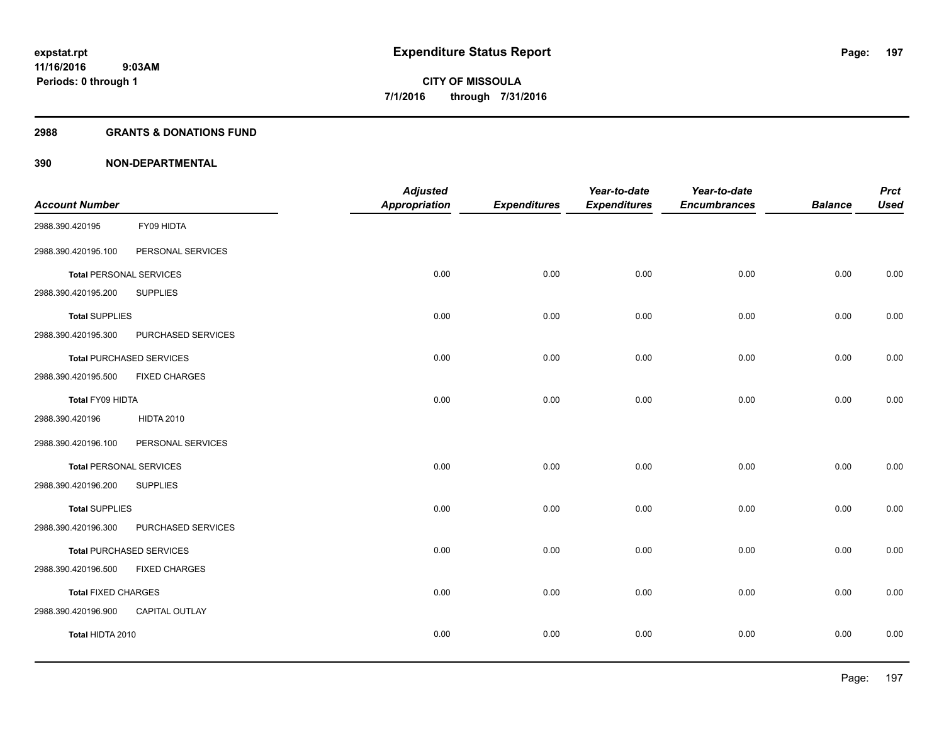#### **2988 GRANTS & DONATIONS FUND**

|                                |                                 | <b>Adjusted</b>      |                     | Year-to-date        | Year-to-date        |                | <b>Prct</b> |
|--------------------------------|---------------------------------|----------------------|---------------------|---------------------|---------------------|----------------|-------------|
| <b>Account Number</b>          |                                 | <b>Appropriation</b> | <b>Expenditures</b> | <b>Expenditures</b> | <b>Encumbrances</b> | <b>Balance</b> | <b>Used</b> |
| 2988.390.420195                | FY09 HIDTA                      |                      |                     |                     |                     |                |             |
| 2988.390.420195.100            | PERSONAL SERVICES               |                      |                     |                     |                     |                |             |
| <b>Total PERSONAL SERVICES</b> |                                 | 0.00                 | 0.00                | 0.00                | 0.00                | 0.00           | 0.00        |
| 2988.390.420195.200            | <b>SUPPLIES</b>                 |                      |                     |                     |                     |                |             |
| <b>Total SUPPLIES</b>          |                                 | 0.00                 | 0.00                | 0.00                | 0.00                | 0.00           | 0.00        |
| 2988.390.420195.300            | PURCHASED SERVICES              |                      |                     |                     |                     |                |             |
|                                | <b>Total PURCHASED SERVICES</b> | 0.00                 | 0.00                | 0.00                | 0.00                | 0.00           | 0.00        |
| 2988.390.420195.500            | <b>FIXED CHARGES</b>            |                      |                     |                     |                     |                |             |
| Total FY09 HIDTA               |                                 | 0.00                 | 0.00                | 0.00                | 0.00                | 0.00           | 0.00        |
| 2988.390.420196                | <b>HIDTA 2010</b>               |                      |                     |                     |                     |                |             |
| 2988.390.420196.100            | PERSONAL SERVICES               |                      |                     |                     |                     |                |             |
| <b>Total PERSONAL SERVICES</b> |                                 | 0.00                 | 0.00                | 0.00                | 0.00                | 0.00           | 0.00        |
| 2988.390.420196.200            | <b>SUPPLIES</b>                 |                      |                     |                     |                     |                |             |
| <b>Total SUPPLIES</b>          |                                 | 0.00                 | 0.00                | 0.00                | 0.00                | 0.00           | 0.00        |
| 2988.390.420196.300            | PURCHASED SERVICES              |                      |                     |                     |                     |                |             |
|                                | <b>Total PURCHASED SERVICES</b> | 0.00                 | 0.00                | 0.00                | 0.00                | 0.00           | 0.00        |
| 2988.390.420196.500            | <b>FIXED CHARGES</b>            |                      |                     |                     |                     |                |             |
| <b>Total FIXED CHARGES</b>     |                                 | 0.00                 | 0.00                | 0.00                | 0.00                | 0.00           | 0.00        |
| 2988.390.420196.900            | CAPITAL OUTLAY                  |                      |                     |                     |                     |                |             |
| Total HIDTA 2010               |                                 | 0.00                 | 0.00                | 0.00                | 0.00                | 0.00           | 0.00        |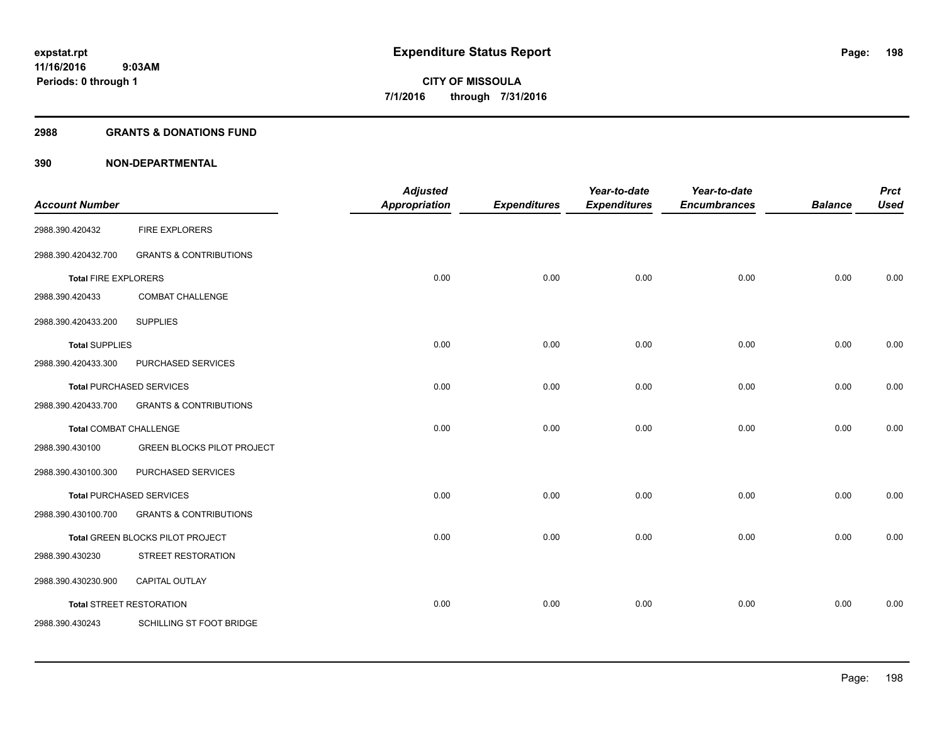#### **2988 GRANTS & DONATIONS FUND**

| <b>Account Number</b>       |                                   | <b>Adjusted</b><br><b>Appropriation</b> | <b>Expenditures</b> | Year-to-date<br><b>Expenditures</b> | Year-to-date<br><b>Encumbrances</b> | <b>Balance</b> | <b>Prct</b><br><b>Used</b> |
|-----------------------------|-----------------------------------|-----------------------------------------|---------------------|-------------------------------------|-------------------------------------|----------------|----------------------------|
| 2988.390.420432             | <b>FIRE EXPLORERS</b>             |                                         |                     |                                     |                                     |                |                            |
| 2988.390.420432.700         | <b>GRANTS &amp; CONTRIBUTIONS</b> |                                         |                     |                                     |                                     |                |                            |
| <b>Total FIRE EXPLORERS</b> |                                   | 0.00                                    | 0.00                | 0.00                                | 0.00                                | 0.00           | 0.00                       |
| 2988.390.420433             | <b>COMBAT CHALLENGE</b>           |                                         |                     |                                     |                                     |                |                            |
| 2988.390.420433.200         | <b>SUPPLIES</b>                   |                                         |                     |                                     |                                     |                |                            |
| <b>Total SUPPLIES</b>       |                                   | 0.00                                    | 0.00                | 0.00                                | 0.00                                | 0.00           | 0.00                       |
| 2988.390.420433.300         | PURCHASED SERVICES                |                                         |                     |                                     |                                     |                |                            |
|                             | <b>Total PURCHASED SERVICES</b>   | 0.00                                    | 0.00                | 0.00                                | 0.00                                | 0.00           | 0.00                       |
| 2988.390.420433.700         | <b>GRANTS &amp; CONTRIBUTIONS</b> |                                         |                     |                                     |                                     |                |                            |
| Total COMBAT CHALLENGE      |                                   | 0.00                                    | 0.00                | 0.00                                | 0.00                                | 0.00           | 0.00                       |
| 2988.390.430100             | <b>GREEN BLOCKS PILOT PROJECT</b> |                                         |                     |                                     |                                     |                |                            |
| 2988.390.430100.300         | PURCHASED SERVICES                |                                         |                     |                                     |                                     |                |                            |
|                             | <b>Total PURCHASED SERVICES</b>   | 0.00                                    | 0.00                | 0.00                                | 0.00                                | 0.00           | 0.00                       |
| 2988.390.430100.700         | <b>GRANTS &amp; CONTRIBUTIONS</b> |                                         |                     |                                     |                                     |                |                            |
|                             | Total GREEN BLOCKS PILOT PROJECT  | 0.00                                    | 0.00                | 0.00                                | 0.00                                | 0.00           | 0.00                       |
| 2988.390.430230             | STREET RESTORATION                |                                         |                     |                                     |                                     |                |                            |
| 2988.390.430230.900         | CAPITAL OUTLAY                    |                                         |                     |                                     |                                     |                |                            |
|                             | <b>Total STREET RESTORATION</b>   | 0.00                                    | 0.00                | 0.00                                | 0.00                                | 0.00           | 0.00                       |
| 2988.390.430243             | SCHILLING ST FOOT BRIDGE          |                                         |                     |                                     |                                     |                |                            |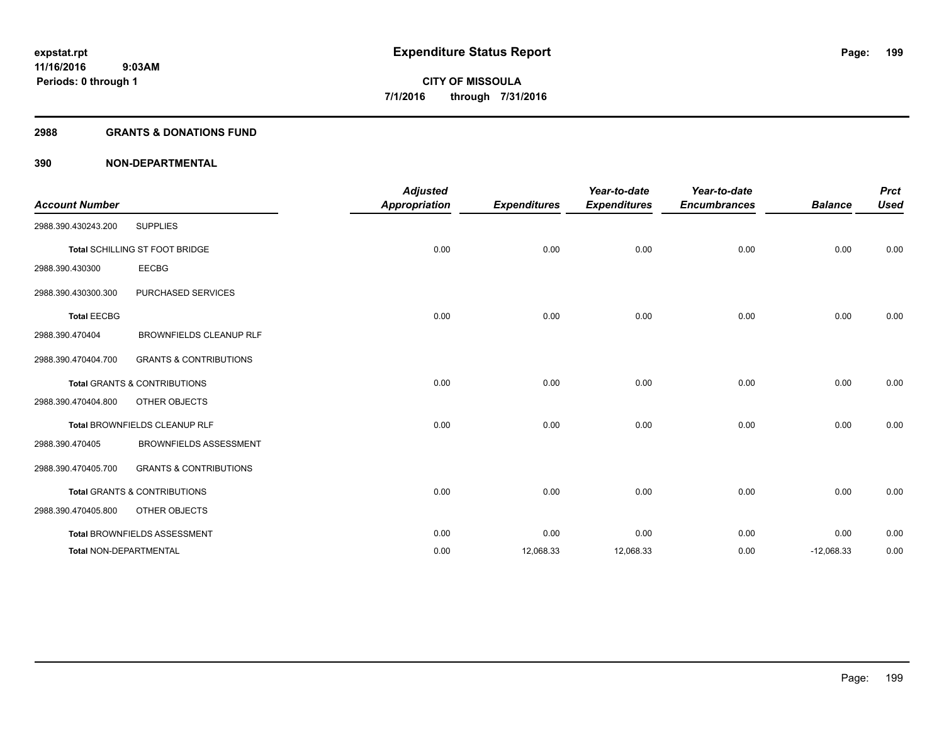#### **2988 GRANTS & DONATIONS FUND**

| <b>Account Number</b>         |                                         | <b>Adjusted</b><br><b>Appropriation</b> | <b>Expenditures</b> | Year-to-date<br><b>Expenditures</b> | Year-to-date<br><b>Encumbrances</b> | <b>Balance</b> | <b>Prct</b><br><b>Used</b> |
|-------------------------------|-----------------------------------------|-----------------------------------------|---------------------|-------------------------------------|-------------------------------------|----------------|----------------------------|
| 2988.390.430243.200           | <b>SUPPLIES</b>                         |                                         |                     |                                     |                                     |                |                            |
|                               | Total SCHILLING ST FOOT BRIDGE          | 0.00                                    | 0.00                | 0.00                                | 0.00                                | 0.00           | 0.00                       |
| 2988.390.430300               | <b>EECBG</b>                            |                                         |                     |                                     |                                     |                |                            |
| 2988.390.430300.300           | PURCHASED SERVICES                      |                                         |                     |                                     |                                     |                |                            |
| <b>Total EECBG</b>            |                                         | 0.00                                    | 0.00                | 0.00                                | 0.00                                | 0.00           | 0.00                       |
| 2988.390.470404               | <b>BROWNFIELDS CLEANUP RLF</b>          |                                         |                     |                                     |                                     |                |                            |
| 2988.390.470404.700           | <b>GRANTS &amp; CONTRIBUTIONS</b>       |                                         |                     |                                     |                                     |                |                            |
|                               | <b>Total GRANTS &amp; CONTRIBUTIONS</b> | 0.00                                    | 0.00                | 0.00                                | 0.00                                | 0.00           | 0.00                       |
| 2988.390.470404.800           | OTHER OBJECTS                           |                                         |                     |                                     |                                     |                |                            |
|                               | Total BROWNFIELDS CLEANUP RLF           | 0.00                                    | 0.00                | 0.00                                | 0.00                                | 0.00           | 0.00                       |
| 2988.390.470405               | <b>BROWNFIELDS ASSESSMENT</b>           |                                         |                     |                                     |                                     |                |                            |
| 2988.390.470405.700           | <b>GRANTS &amp; CONTRIBUTIONS</b>       |                                         |                     |                                     |                                     |                |                            |
|                               | <b>Total GRANTS &amp; CONTRIBUTIONS</b> | 0.00                                    | 0.00                | 0.00                                | 0.00                                | 0.00           | 0.00                       |
| 2988.390.470405.800           | OTHER OBJECTS                           |                                         |                     |                                     |                                     |                |                            |
|                               | Total BROWNFIELDS ASSESSMENT            | 0.00                                    | 0.00                | 0.00                                | 0.00                                | 0.00           | 0.00                       |
| <b>Total NON-DEPARTMENTAL</b> |                                         | 0.00                                    | 12,068.33           | 12,068.33                           | 0.00                                | $-12,068.33$   | 0.00                       |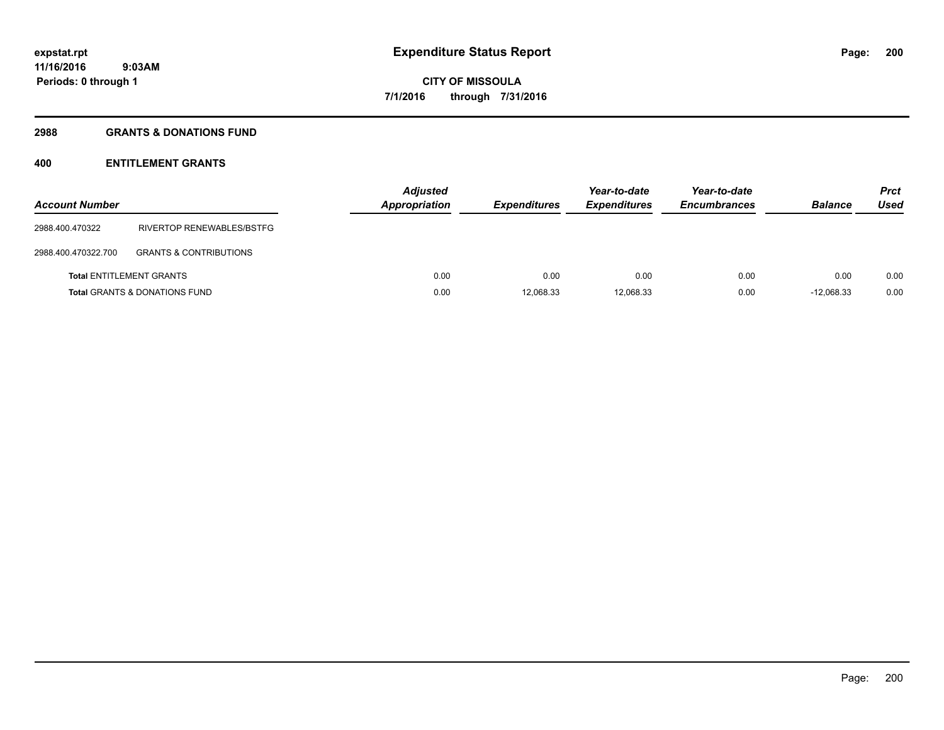#### **2988 GRANTS & DONATIONS FUND**

## **400 ENTITLEMENT GRANTS**

| <b>Account Number</b> |                                          | <b>Adjusted</b><br><b>Appropriation</b> | <b>Expenditures</b> | Year-to-date<br><b>Expenditures</b> | Year-to-date<br><b>Encumbrances</b> | <b>Balance</b> | <b>Prct</b><br>Used |
|-----------------------|------------------------------------------|-----------------------------------------|---------------------|-------------------------------------|-------------------------------------|----------------|---------------------|
| 2988.400.470322       | RIVERTOP RENEWABLES/BSTFG                |                                         |                     |                                     |                                     |                |                     |
| 2988.400.470322.700   | <b>GRANTS &amp; CONTRIBUTIONS</b>        |                                         |                     |                                     |                                     |                |                     |
|                       | <b>Total ENTITLEMENT GRANTS</b>          | 0.00                                    | 0.00                | 0.00                                | 0.00                                | 0.00           | 0.00                |
|                       | <b>Total GRANTS &amp; DONATIONS FUND</b> | 0.00                                    | 12,068.33           | 12.068.33                           | 0.00                                | $-12.068.33$   | 0.00                |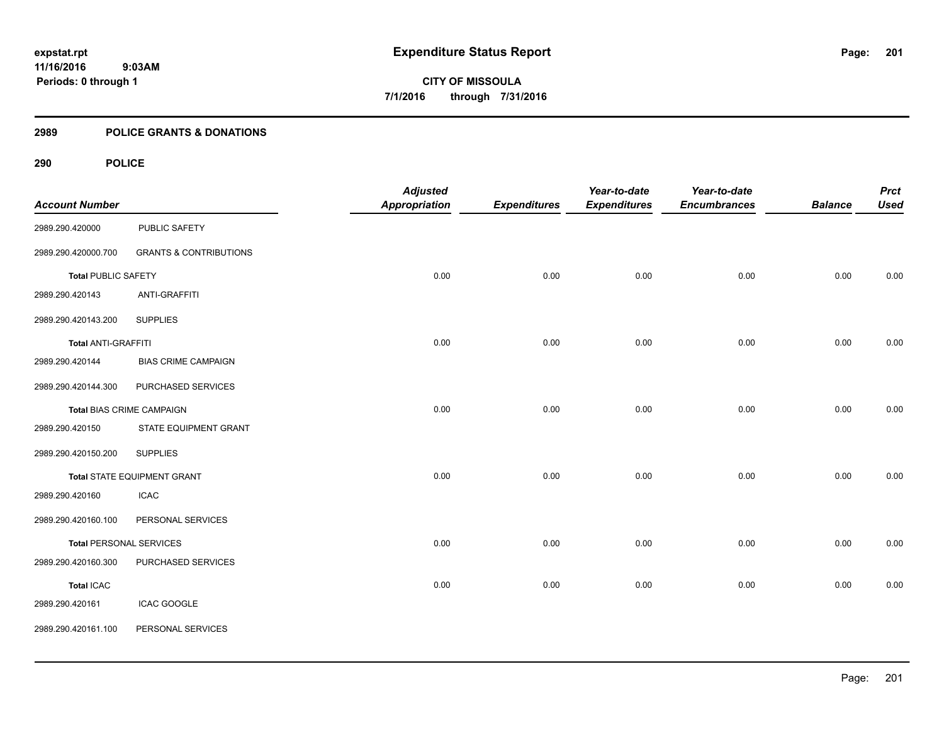#### **2989 POLICE GRANTS & DONATIONS**

| <b>Account Number</b>            |                                    | <b>Adjusted</b><br><b>Appropriation</b> | <b>Expenditures</b> | Year-to-date<br><b>Expenditures</b> | Year-to-date<br><b>Encumbrances</b> | <b>Balance</b> | <b>Prct</b><br><b>Used</b> |
|----------------------------------|------------------------------------|-----------------------------------------|---------------------|-------------------------------------|-------------------------------------|----------------|----------------------------|
|                                  |                                    |                                         |                     |                                     |                                     |                |                            |
| 2989.290.420000                  | PUBLIC SAFETY                      |                                         |                     |                                     |                                     |                |                            |
| 2989.290.420000.700              | <b>GRANTS &amp; CONTRIBUTIONS</b>  |                                         |                     |                                     |                                     |                |                            |
| <b>Total PUBLIC SAFETY</b>       |                                    | 0.00                                    | 0.00                | 0.00                                | 0.00                                | 0.00           | 0.00                       |
| 2989.290.420143                  | ANTI-GRAFFITI                      |                                         |                     |                                     |                                     |                |                            |
| 2989.290.420143.200              | <b>SUPPLIES</b>                    |                                         |                     |                                     |                                     |                |                            |
| <b>Total ANTI-GRAFFITI</b>       |                                    | 0.00                                    | 0.00                | 0.00                                | 0.00                                | 0.00           | 0.00                       |
| 2989.290.420144                  | <b>BIAS CRIME CAMPAIGN</b>         |                                         |                     |                                     |                                     |                |                            |
| 2989.290.420144.300              | PURCHASED SERVICES                 |                                         |                     |                                     |                                     |                |                            |
| <b>Total BIAS CRIME CAMPAIGN</b> |                                    | 0.00                                    | 0.00                | 0.00                                | 0.00                                | 0.00           | 0.00                       |
| 2989.290.420150                  | STATE EQUIPMENT GRANT              |                                         |                     |                                     |                                     |                |                            |
| 2989.290.420150.200              | <b>SUPPLIES</b>                    |                                         |                     |                                     |                                     |                |                            |
|                                  | <b>Total STATE EQUIPMENT GRANT</b> | 0.00                                    | 0.00                | 0.00                                | 0.00                                | 0.00           | 0.00                       |
| 2989.290.420160                  | <b>ICAC</b>                        |                                         |                     |                                     |                                     |                |                            |
| 2989.290.420160.100              | PERSONAL SERVICES                  |                                         |                     |                                     |                                     |                |                            |
| <b>Total PERSONAL SERVICES</b>   |                                    | 0.00                                    | 0.00                | 0.00                                | 0.00                                | 0.00           | 0.00                       |
| 2989.290.420160.300              | PURCHASED SERVICES                 |                                         |                     |                                     |                                     |                |                            |
| <b>Total ICAC</b>                |                                    | 0.00                                    | 0.00                | 0.00                                | 0.00                                | 0.00           | 0.00                       |
| 2989.290.420161                  | <b>ICAC GOOGLE</b>                 |                                         |                     |                                     |                                     |                |                            |
| 2989.290.420161.100              | PERSONAL SERVICES                  |                                         |                     |                                     |                                     |                |                            |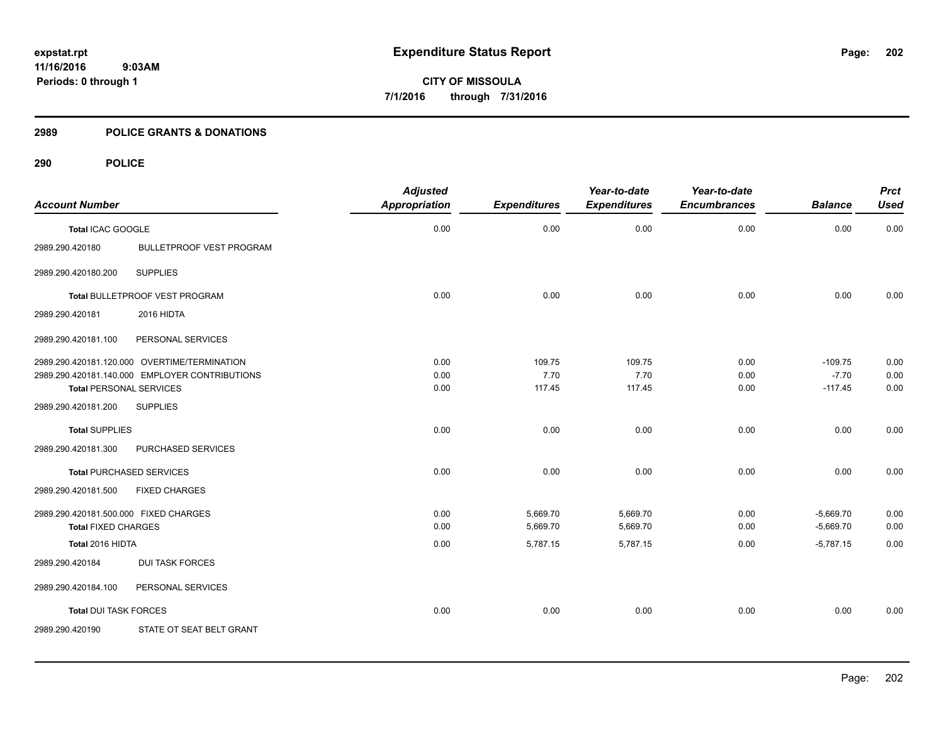**11/16/2016 9:03AM Periods: 0 through 1**

**CITY OF MISSOULA 7/1/2016 through 7/31/2016**

#### **2989 POLICE GRANTS & DONATIONS**

|                                       |                                                | <b>Adjusted</b>      |                     | Year-to-date        | Year-to-date        |                | <b>Prct</b> |
|---------------------------------------|------------------------------------------------|----------------------|---------------------|---------------------|---------------------|----------------|-------------|
| <b>Account Number</b>                 |                                                | <b>Appropriation</b> | <b>Expenditures</b> | <b>Expenditures</b> | <b>Encumbrances</b> | <b>Balance</b> | <b>Used</b> |
| <b>Total ICAC GOOGLE</b>              |                                                | 0.00                 | 0.00                | 0.00                | 0.00                | 0.00           | 0.00        |
| 2989.290.420180                       | <b>BULLETPROOF VEST PROGRAM</b>                |                      |                     |                     |                     |                |             |
| 2989.290.420180.200                   | <b>SUPPLIES</b>                                |                      |                     |                     |                     |                |             |
|                                       | Total BULLETPROOF VEST PROGRAM                 | 0.00                 | 0.00                | 0.00                | 0.00                | 0.00           | 0.00        |
| 2989.290.420181                       | 2016 HIDTA                                     |                      |                     |                     |                     |                |             |
| 2989.290.420181.100                   | PERSONAL SERVICES                              |                      |                     |                     |                     |                |             |
|                                       | 2989.290.420181.120.000 OVERTIME/TERMINATION   | 0.00                 | 109.75              | 109.75              | 0.00                | $-109.75$      | 0.00        |
|                                       | 2989.290.420181.140.000 EMPLOYER CONTRIBUTIONS | 0.00                 | 7.70                | 7.70                | 0.00                | $-7.70$        | 0.00        |
| <b>Total PERSONAL SERVICES</b>        |                                                | 0.00                 | 117.45              | 117.45              | 0.00                | $-117.45$      | 0.00        |
| 2989.290.420181.200                   | <b>SUPPLIES</b>                                |                      |                     |                     |                     |                |             |
| <b>Total SUPPLIES</b>                 |                                                | 0.00                 | 0.00                | 0.00                | 0.00                | 0.00           | 0.00        |
| 2989.290.420181.300                   | PURCHASED SERVICES                             |                      |                     |                     |                     |                |             |
| <b>Total PURCHASED SERVICES</b>       |                                                | 0.00                 | 0.00                | 0.00                | 0.00                | 0.00           | 0.00        |
| 2989.290.420181.500                   | <b>FIXED CHARGES</b>                           |                      |                     |                     |                     |                |             |
| 2989.290.420181.500.000 FIXED CHARGES |                                                | 0.00                 | 5,669.70            | 5,669.70            | 0.00                | $-5,669.70$    | 0.00        |
| <b>Total FIXED CHARGES</b>            |                                                | 0.00                 | 5,669.70            | 5,669.70            | 0.00                | $-5,669.70$    | 0.00        |
| Total 2016 HIDTA                      |                                                | 0.00                 | 5,787.15            | 5,787.15            | 0.00                | $-5,787.15$    | 0.00        |
| 2989.290.420184                       | <b>DUI TASK FORCES</b>                         |                      |                     |                     |                     |                |             |
| 2989.290.420184.100                   | PERSONAL SERVICES                              |                      |                     |                     |                     |                |             |
| <b>Total DUI TASK FORCES</b>          |                                                | 0.00                 | 0.00                | 0.00                | 0.00                | 0.00           | 0.00        |
| 2989.290.420190                       | STATE OT SEAT BELT GRANT                       |                      |                     |                     |                     |                |             |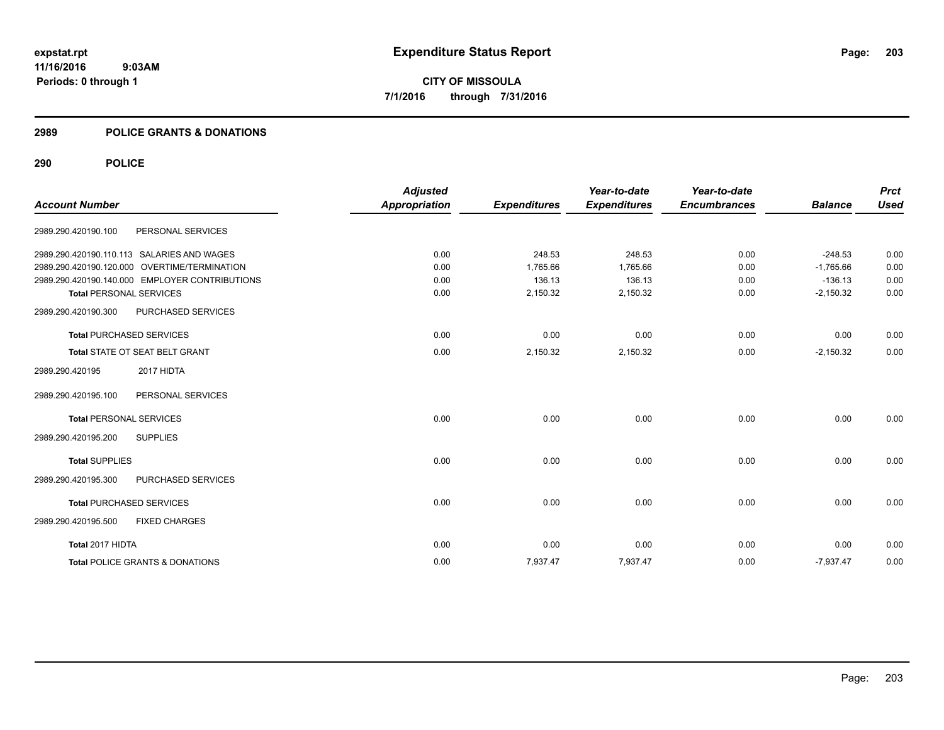**11/16/2016 9:03AM Periods: 0 through 1**

**CITY OF MISSOULA 7/1/2016 through 7/31/2016**

#### **2989 POLICE GRANTS & DONATIONS**

| <b>Account Number</b>          |                                                | <b>Adjusted</b><br><b>Appropriation</b> | <b>Expenditures</b> | Year-to-date<br><b>Expenditures</b> | Year-to-date<br><b>Encumbrances</b> | <b>Balance</b> | <b>Prct</b><br><b>Used</b> |
|--------------------------------|------------------------------------------------|-----------------------------------------|---------------------|-------------------------------------|-------------------------------------|----------------|----------------------------|
| 2989.290.420190.100            | PERSONAL SERVICES                              |                                         |                     |                                     |                                     |                |                            |
|                                | 2989.290.420190.110.113 SALARIES AND WAGES     | 0.00                                    | 248.53              | 248.53                              | 0.00                                | $-248.53$      | 0.00                       |
|                                | 2989.290.420190.120.000 OVERTIME/TERMINATION   | 0.00                                    | 1,765.66            | 1,765.66                            | 0.00                                | $-1,765.66$    | 0.00                       |
|                                | 2989.290.420190.140.000 EMPLOYER CONTRIBUTIONS | 0.00                                    | 136.13              | 136.13                              | 0.00                                | $-136.13$      | 0.00                       |
| <b>Total PERSONAL SERVICES</b> |                                                | 0.00                                    | 2,150.32            | 2,150.32                            | 0.00                                | $-2,150.32$    | 0.00                       |
| 2989.290.420190.300            | PURCHASED SERVICES                             |                                         |                     |                                     |                                     |                |                            |
|                                | <b>Total PURCHASED SERVICES</b>                | 0.00                                    | 0.00                | 0.00                                | 0.00                                | 0.00           | 0.00                       |
|                                | Total STATE OT SEAT BELT GRANT                 | 0.00                                    | 2,150.32            | 2,150.32                            | 0.00                                | $-2,150.32$    | 0.00                       |
| 2989.290.420195                | 2017 HIDTA                                     |                                         |                     |                                     |                                     |                |                            |
| 2989.290.420195.100            | PERSONAL SERVICES                              |                                         |                     |                                     |                                     |                |                            |
| <b>Total PERSONAL SERVICES</b> |                                                | 0.00                                    | 0.00                | 0.00                                | 0.00                                | 0.00           | 0.00                       |
| 2989.290.420195.200            | <b>SUPPLIES</b>                                |                                         |                     |                                     |                                     |                |                            |
| <b>Total SUPPLIES</b>          |                                                | 0.00                                    | 0.00                | 0.00                                | 0.00                                | 0.00           | 0.00                       |
| 2989.290.420195.300            | PURCHASED SERVICES                             |                                         |                     |                                     |                                     |                |                            |
|                                | <b>Total PURCHASED SERVICES</b>                | 0.00                                    | 0.00                | 0.00                                | 0.00                                | 0.00           | 0.00                       |
| 2989.290.420195.500            | <b>FIXED CHARGES</b>                           |                                         |                     |                                     |                                     |                |                            |
| Total 2017 HIDTA               |                                                | 0.00                                    | 0.00                | 0.00                                | 0.00                                | 0.00           | 0.00                       |
|                                | <b>Total POLICE GRANTS &amp; DONATIONS</b>     | 0.00                                    | 7,937.47            | 7,937.47                            | 0.00                                | $-7,937.47$    | 0.00                       |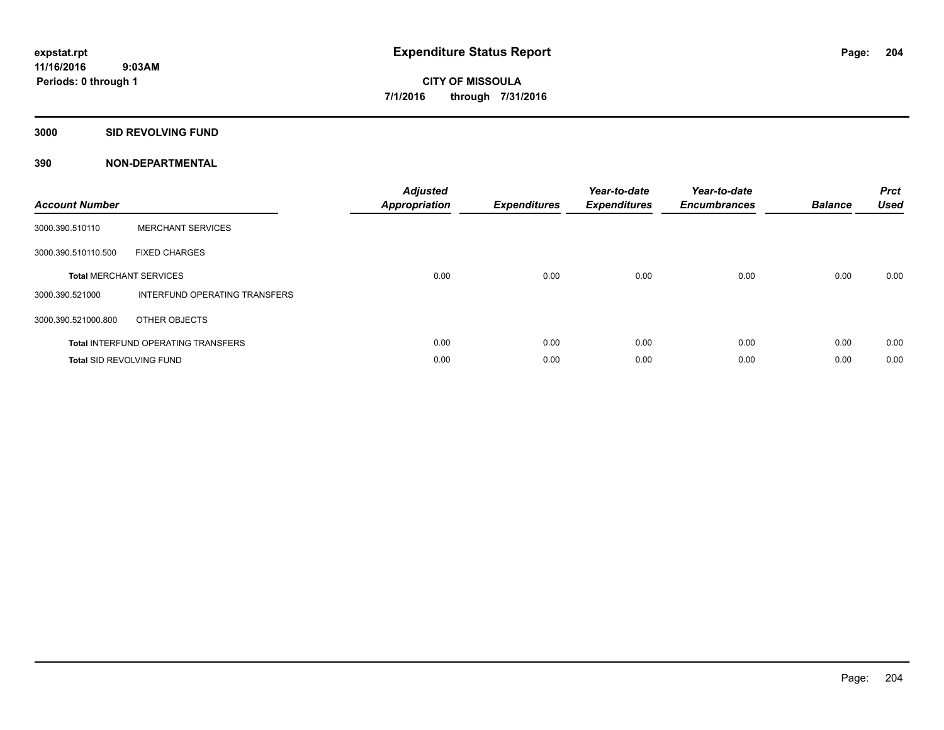#### **3000 SID REVOLVING FUND**

| <b>Account Number</b>           |                                            | <b>Adjusted</b><br><b>Appropriation</b> | <b>Expenditures</b> | Year-to-date<br><b>Expenditures</b> | Year-to-date<br><b>Encumbrances</b> | <b>Balance</b> | <b>Prct</b><br><b>Used</b> |
|---------------------------------|--------------------------------------------|-----------------------------------------|---------------------|-------------------------------------|-------------------------------------|----------------|----------------------------|
| 3000.390.510110                 | <b>MERCHANT SERVICES</b>                   |                                         |                     |                                     |                                     |                |                            |
| 3000.390.510110.500             | <b>FIXED CHARGES</b>                       |                                         |                     |                                     |                                     |                |                            |
|                                 | <b>Total MERCHANT SERVICES</b>             | 0.00                                    | 0.00                | 0.00                                | 0.00                                | 0.00           | 0.00                       |
| 3000.390.521000                 | INTERFUND OPERATING TRANSFERS              |                                         |                     |                                     |                                     |                |                            |
| 3000.390.521000.800             | OTHER OBJECTS                              |                                         |                     |                                     |                                     |                |                            |
|                                 | <b>Total INTERFUND OPERATING TRANSFERS</b> | 0.00                                    | 0.00                | 0.00                                | 0.00                                | 0.00           | 0.00                       |
| <b>Total SID REVOLVING FUND</b> |                                            | 0.00                                    | 0.00                | 0.00                                | 0.00                                | 0.00           | 0.00                       |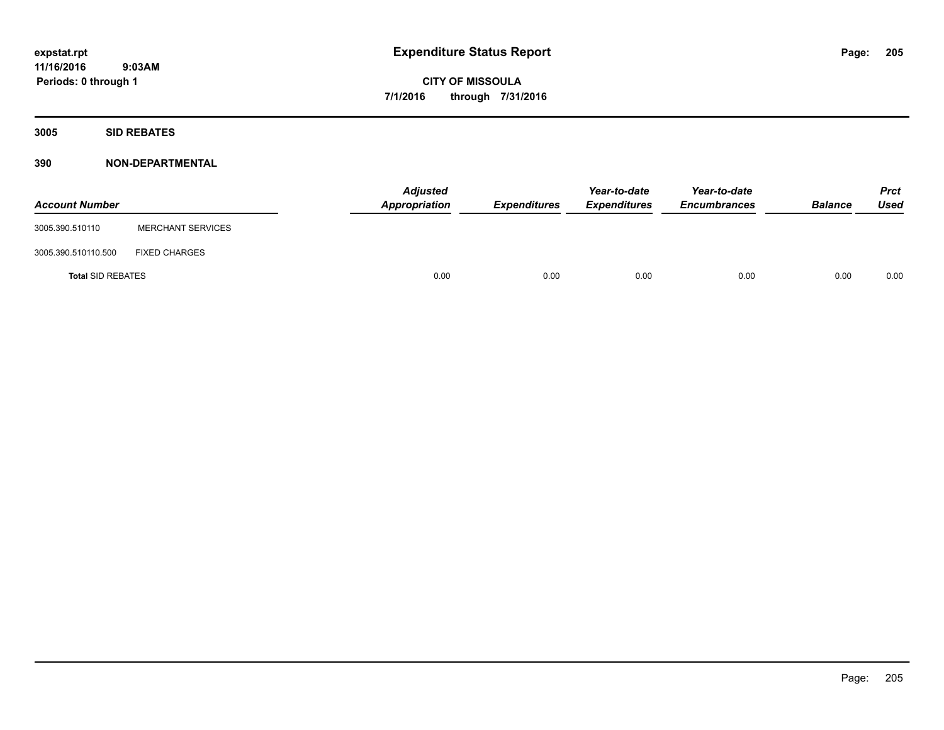**11/16/2016 9:03AM Periods: 0 through 1**

**CITY OF MISSOULA 7/1/2016 through 7/31/2016**

**3005 SID REBATES**

| <b>Account Number</b>    |                          | <b>Adjusted</b><br>Appropriation | Expenditures | Year-to-date<br><b>Expenditures</b> | Year-to-date<br><b>Encumbrances</b> | <b>Balance</b> | <b>Prct</b><br>Used |
|--------------------------|--------------------------|----------------------------------|--------------|-------------------------------------|-------------------------------------|----------------|---------------------|
| 3005.390.510110          | <b>MERCHANT SERVICES</b> |                                  |              |                                     |                                     |                |                     |
| 3005.390.510110.500      | <b>FIXED CHARGES</b>     |                                  |              |                                     |                                     |                |                     |
| <b>Total SID REBATES</b> |                          | 0.00                             | 0.00         | 0.00                                | 0.00                                | 0.00           | 0.00                |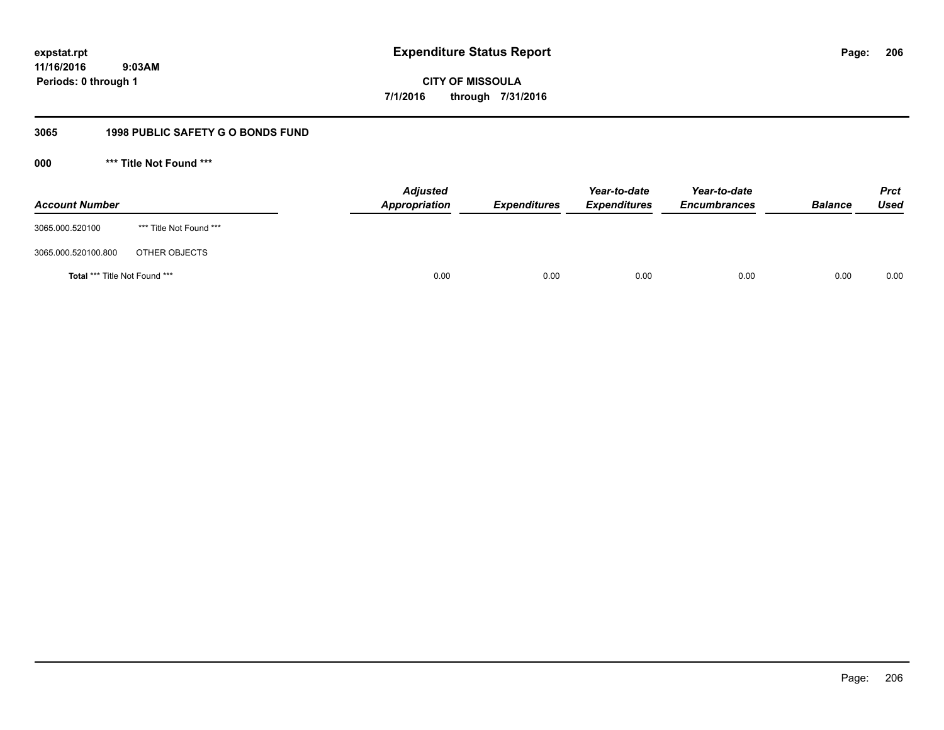**206**

**11/16/2016 9:03AM Periods: 0 through 1**

**CITY OF MISSOULA 7/1/2016 through 7/31/2016**

## **3065 1998 PUBLIC SAFETY G O BONDS FUND**

**000 \*\*\* Title Not Found \*\*\***

| <b>Account Number</b>         |                         | <b>Adjusted</b><br>Appropriation | <b>Expenditures</b> | Year-to-date<br><b>Expenditures</b> | Year-to-date<br><b>Encumbrances</b> | <b>Balance</b> | <b>Prct</b><br>Used |
|-------------------------------|-------------------------|----------------------------------|---------------------|-------------------------------------|-------------------------------------|----------------|---------------------|
| 3065.000.520100               | *** Title Not Found *** |                                  |                     |                                     |                                     |                |                     |
| 3065.000.520100.800           | OTHER OBJECTS           |                                  |                     |                                     |                                     |                |                     |
| Total *** Title Not Found *** |                         | 0.00                             | 0.00                | 0.00                                | 0.00                                | 0.00           | 0.00                |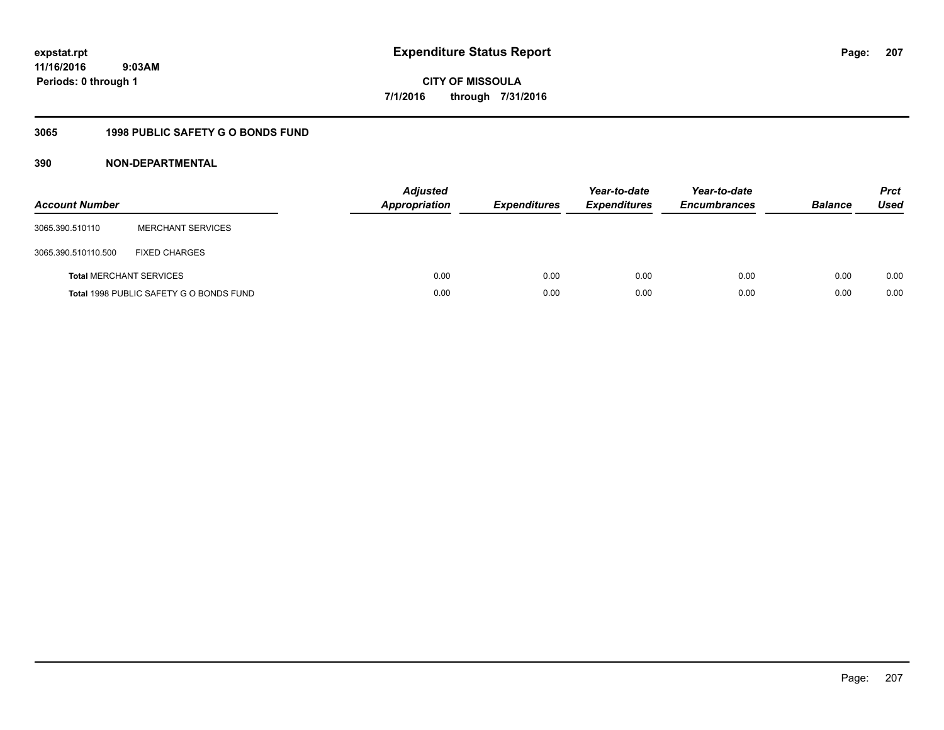**207**

**11/16/2016 9:03AM Periods: 0 through 1**

**CITY OF MISSOULA 7/1/2016 through 7/31/2016**

## **3065 1998 PUBLIC SAFETY G O BONDS FUND**

| <b>Account Number</b>          |                                         | <b>Adjusted</b><br>Appropriation | <b>Expenditures</b> | Year-to-date<br><b>Expenditures</b> | Year-to-date<br><b>Encumbrances</b> | <b>Balance</b> | <b>Prct</b><br>Used |
|--------------------------------|-----------------------------------------|----------------------------------|---------------------|-------------------------------------|-------------------------------------|----------------|---------------------|
| 3065.390.510110                | <b>MERCHANT SERVICES</b>                |                                  |                     |                                     |                                     |                |                     |
| 3065.390.510110.500            | <b>FIXED CHARGES</b>                    |                                  |                     |                                     |                                     |                |                     |
| <b>Total MERCHANT SERVICES</b> |                                         | 0.00                             | 0.00                | 0.00                                | 0.00                                | 0.00           | 0.00                |
|                                | Total 1998 PUBLIC SAFETY G O BONDS FUND | 0.00                             | 0.00                | 0.00                                | 0.00                                | 0.00           | 0.00                |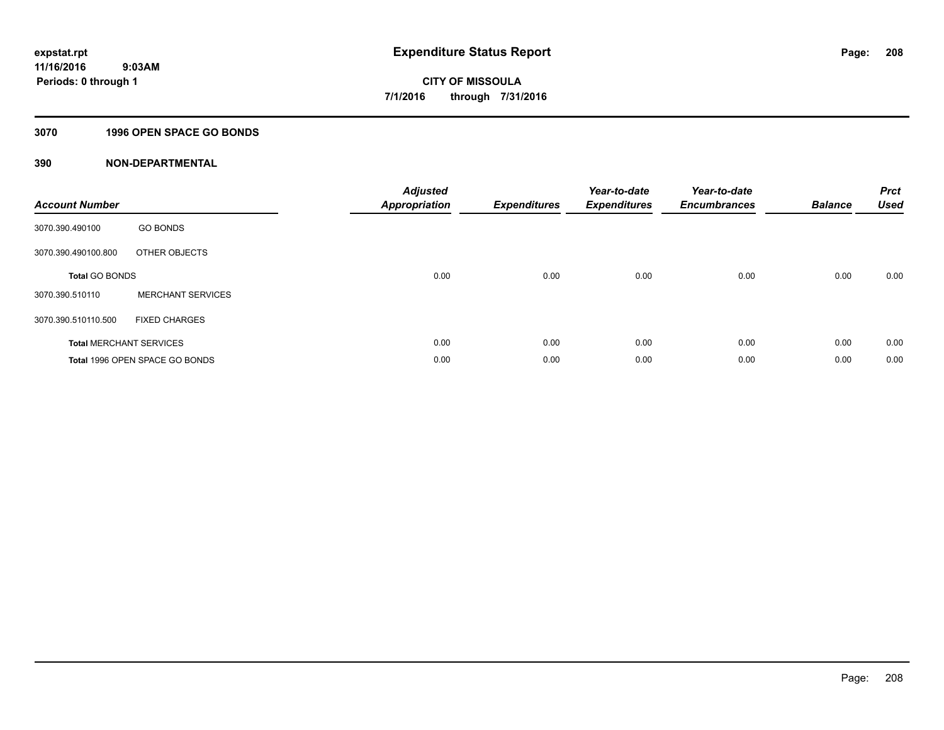#### **3070 1996 OPEN SPACE GO BONDS**

| <b>Account Number</b> |                                | <b>Adjusted</b><br><b>Appropriation</b> | <b>Expenditures</b> | Year-to-date<br><b>Expenditures</b> | Year-to-date<br><b>Encumbrances</b> | <b>Balance</b> | <b>Prct</b><br><b>Used</b> |
|-----------------------|--------------------------------|-----------------------------------------|---------------------|-------------------------------------|-------------------------------------|----------------|----------------------------|
| 3070.390.490100       | <b>GO BONDS</b>                |                                         |                     |                                     |                                     |                |                            |
| 3070.390.490100.800   | OTHER OBJECTS                  |                                         |                     |                                     |                                     |                |                            |
| <b>Total GO BONDS</b> |                                | 0.00                                    | 0.00                | 0.00                                | 0.00                                | 0.00           | 0.00                       |
| 3070.390.510110       | <b>MERCHANT SERVICES</b>       |                                         |                     |                                     |                                     |                |                            |
| 3070.390.510110.500   | <b>FIXED CHARGES</b>           |                                         |                     |                                     |                                     |                |                            |
|                       | <b>Total MERCHANT SERVICES</b> | 0.00                                    | 0.00                | 0.00                                | 0.00                                | 0.00           | 0.00                       |
|                       | Total 1996 OPEN SPACE GO BONDS | 0.00                                    | 0.00                | 0.00                                | 0.00                                | 0.00           | 0.00                       |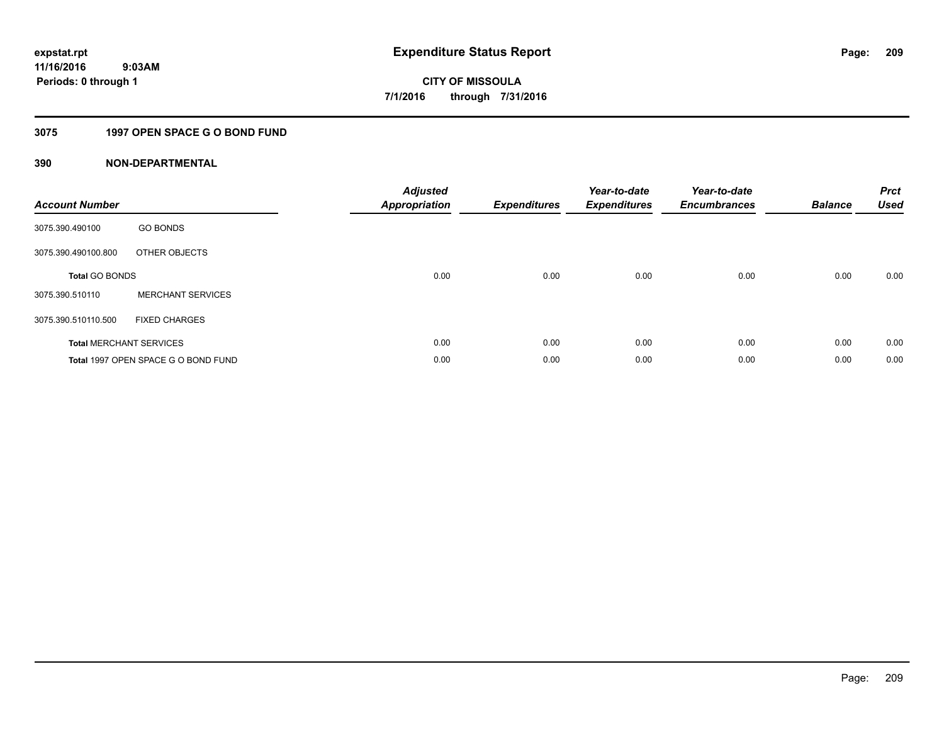### **3075 1997 OPEN SPACE G O BOND FUND**

| <b>Account Number</b> |                                     | <b>Adjusted</b><br><b>Appropriation</b> | <b>Expenditures</b> | Year-to-date<br><b>Expenditures</b> | Year-to-date<br><b>Encumbrances</b> | <b>Balance</b> | <b>Prct</b><br><b>Used</b> |
|-----------------------|-------------------------------------|-----------------------------------------|---------------------|-------------------------------------|-------------------------------------|----------------|----------------------------|
| 3075.390.490100       | <b>GO BONDS</b>                     |                                         |                     |                                     |                                     |                |                            |
| 3075.390.490100.800   | OTHER OBJECTS                       |                                         |                     |                                     |                                     |                |                            |
| <b>Total GO BONDS</b> |                                     | 0.00                                    | 0.00                | 0.00                                | 0.00                                | 0.00           | 0.00                       |
| 3075.390.510110       | <b>MERCHANT SERVICES</b>            |                                         |                     |                                     |                                     |                |                            |
| 3075.390.510110.500   | <b>FIXED CHARGES</b>                |                                         |                     |                                     |                                     |                |                            |
|                       | <b>Total MERCHANT SERVICES</b>      | 0.00                                    | 0.00                | 0.00                                | 0.00                                | 0.00           | 0.00                       |
|                       | Total 1997 OPEN SPACE G O BOND FUND | 0.00                                    | 0.00                | 0.00                                | 0.00                                | 0.00           | 0.00                       |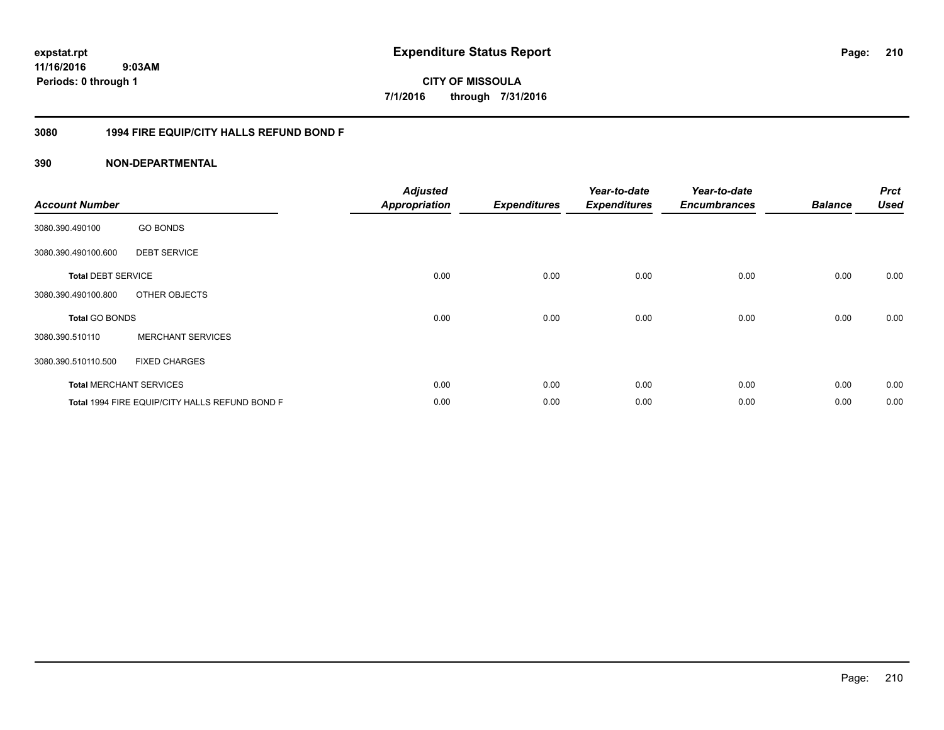# **11/16/2016**

**210**

 **9:03AM Periods: 0 through 1**

# **CITY OF MISSOULA 7/1/2016 through 7/31/2016**

#### **3080 1994 FIRE EQUIP/CITY HALLS REFUND BOND F**

| <b>Account Number</b>     |                                                | <b>Adjusted</b><br><b>Appropriation</b> | <b>Expenditures</b> | Year-to-date<br><b>Expenditures</b> | Year-to-date<br><b>Encumbrances</b> | <b>Balance</b> | <b>Prct</b><br><b>Used</b> |
|---------------------------|------------------------------------------------|-----------------------------------------|---------------------|-------------------------------------|-------------------------------------|----------------|----------------------------|
| 3080.390.490100           | <b>GO BONDS</b>                                |                                         |                     |                                     |                                     |                |                            |
| 3080.390.490100.600       | <b>DEBT SERVICE</b>                            |                                         |                     |                                     |                                     |                |                            |
| <b>Total DEBT SERVICE</b> |                                                | 0.00                                    | 0.00                | 0.00                                | 0.00                                | 0.00           | 0.00                       |
| 3080.390.490100.800       | OTHER OBJECTS                                  |                                         |                     |                                     |                                     |                |                            |
| <b>Total GO BONDS</b>     |                                                | 0.00                                    | 0.00                | 0.00                                | 0.00                                | 0.00           | 0.00                       |
| 3080.390.510110           | <b>MERCHANT SERVICES</b>                       |                                         |                     |                                     |                                     |                |                            |
| 3080.390.510110.500       | <b>FIXED CHARGES</b>                           |                                         |                     |                                     |                                     |                |                            |
|                           | <b>Total MERCHANT SERVICES</b>                 | 0.00                                    | 0.00                | 0.00                                | 0.00                                | 0.00           | 0.00                       |
|                           | Total 1994 FIRE EQUIP/CITY HALLS REFUND BOND F | 0.00                                    | 0.00                | 0.00                                | 0.00                                | 0.00           | 0.00                       |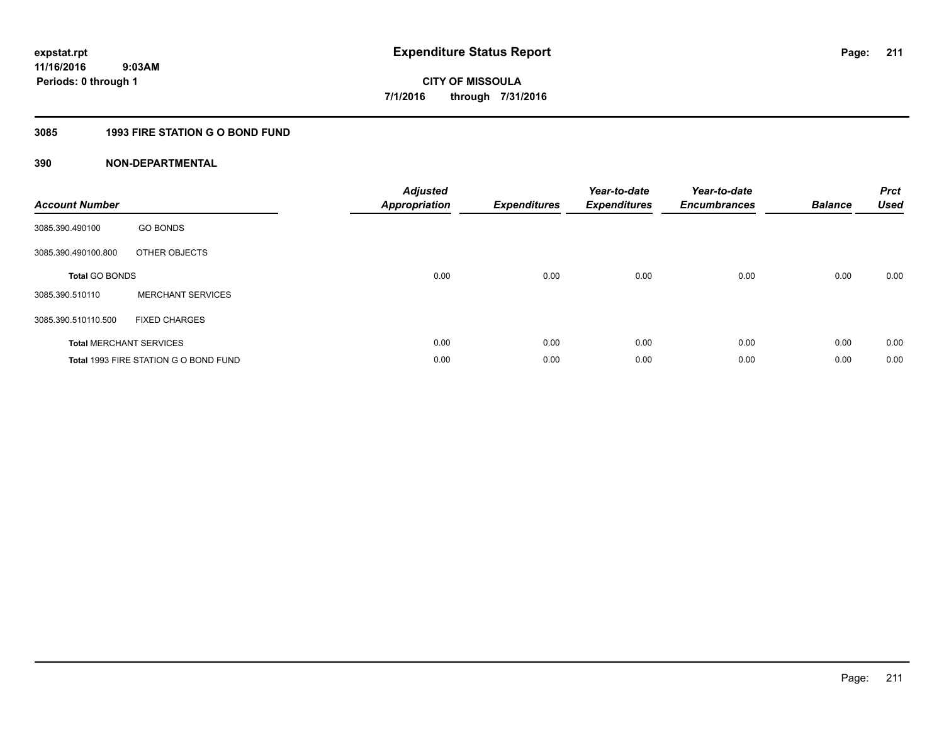## **3085 1993 FIRE STATION G O BOND FUND**

| <b>Account Number</b> |                                       | <b>Adjusted</b><br><b>Appropriation</b> | <b>Expenditures</b> | Year-to-date<br><b>Expenditures</b> | Year-to-date<br><b>Encumbrances</b> | <b>Balance</b> | <b>Prct</b><br><b>Used</b> |
|-----------------------|---------------------------------------|-----------------------------------------|---------------------|-------------------------------------|-------------------------------------|----------------|----------------------------|
| 3085.390.490100       | <b>GO BONDS</b>                       |                                         |                     |                                     |                                     |                |                            |
| 3085.390.490100.800   | OTHER OBJECTS                         |                                         |                     |                                     |                                     |                |                            |
| <b>Total GO BONDS</b> |                                       | 0.00                                    | 0.00                | 0.00                                | 0.00                                | 0.00           | 0.00                       |
| 3085.390.510110       | <b>MERCHANT SERVICES</b>              |                                         |                     |                                     |                                     |                |                            |
| 3085.390.510110.500   | <b>FIXED CHARGES</b>                  |                                         |                     |                                     |                                     |                |                            |
|                       | <b>Total MERCHANT SERVICES</b>        | 0.00                                    | 0.00                | 0.00                                | 0.00                                | 0.00           | 0.00                       |
|                       | Total 1993 FIRE STATION G O BOND FUND | 0.00                                    | 0.00                | 0.00                                | 0.00                                | 0.00           | 0.00                       |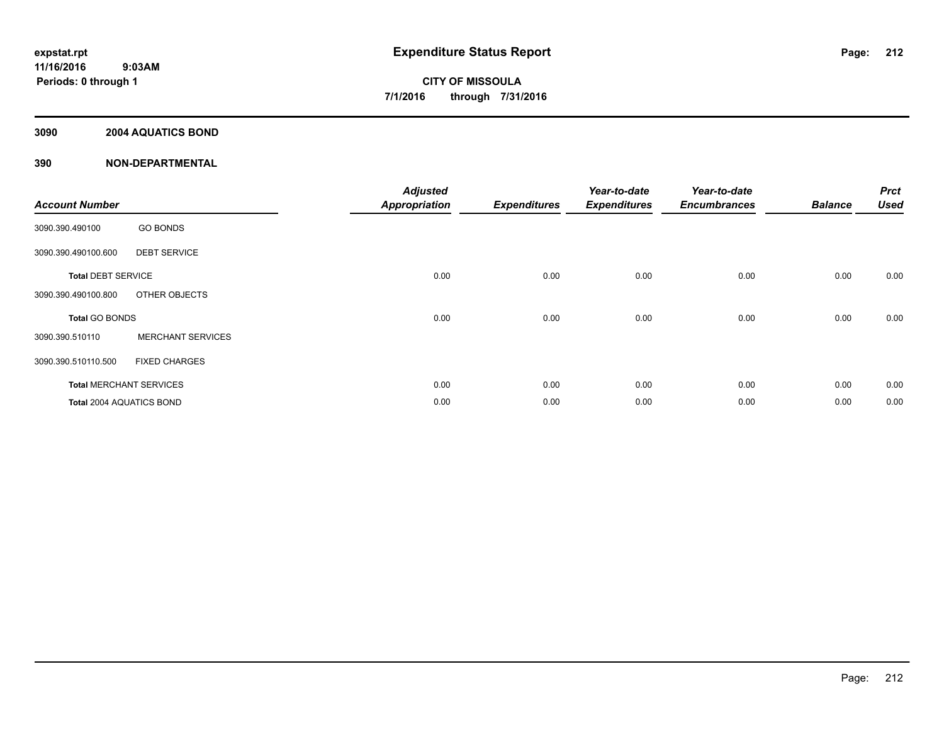#### **3090 2004 AQUATICS BOND**

| <b>Account Number</b>     |                                | <b>Adjusted</b><br><b>Appropriation</b> | <b>Expenditures</b> | Year-to-date<br><b>Expenditures</b> | Year-to-date<br><b>Encumbrances</b> | <b>Balance</b> | <b>Prct</b><br><b>Used</b> |
|---------------------------|--------------------------------|-----------------------------------------|---------------------|-------------------------------------|-------------------------------------|----------------|----------------------------|
| 3090.390.490100           | <b>GO BONDS</b>                |                                         |                     |                                     |                                     |                |                            |
| 3090.390.490100.600       | <b>DEBT SERVICE</b>            |                                         |                     |                                     |                                     |                |                            |
| <b>Total DEBT SERVICE</b> |                                | 0.00                                    | 0.00                | 0.00                                | 0.00                                | 0.00           | 0.00                       |
| 3090.390.490100.800       | OTHER OBJECTS                  |                                         |                     |                                     |                                     |                |                            |
| <b>Total GO BONDS</b>     |                                | 0.00                                    | 0.00                | 0.00                                | 0.00                                | 0.00           | 0.00                       |
| 3090.390.510110           | <b>MERCHANT SERVICES</b>       |                                         |                     |                                     |                                     |                |                            |
| 3090.390.510110.500       | <b>FIXED CHARGES</b>           |                                         |                     |                                     |                                     |                |                            |
|                           | <b>Total MERCHANT SERVICES</b> | 0.00                                    | 0.00                | 0.00                                | 0.00                                | 0.00           | 0.00                       |
| Total 2004 AQUATICS BOND  |                                | 0.00                                    | 0.00                | 0.00                                | 0.00                                | 0.00           | 0.00                       |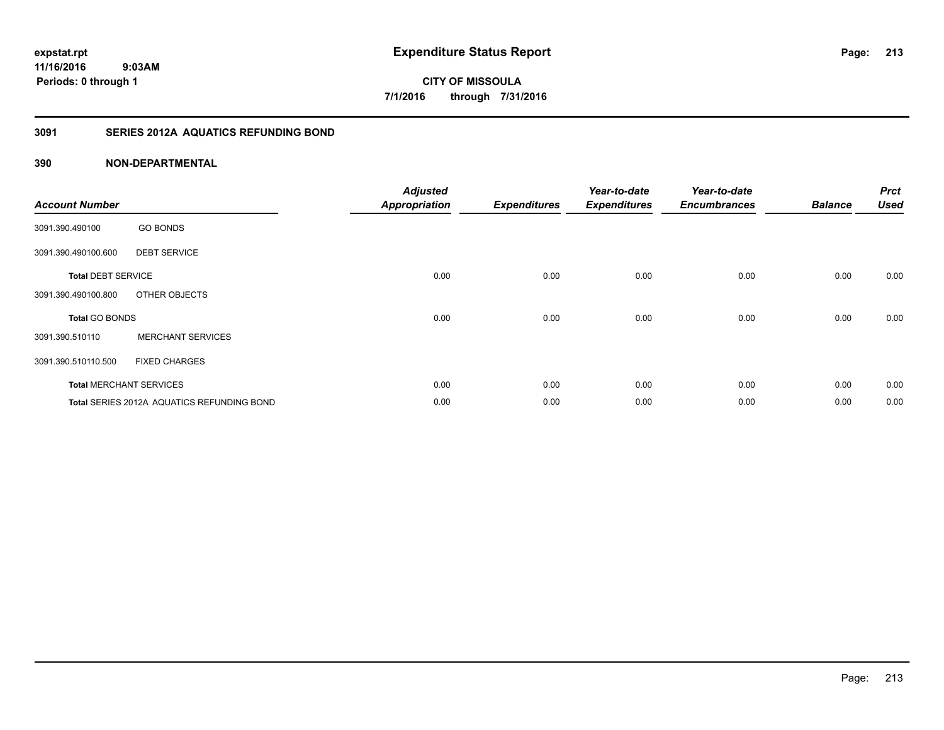## **11/16/2016 9:03AM Periods: 0 through 1**

**213**

**CITY OF MISSOULA 7/1/2016 through 7/31/2016**

#### **3091 SERIES 2012A AQUATICS REFUNDING BOND**

| <b>Account Number</b>     |                                            | <b>Adjusted</b><br><b>Appropriation</b> | <b>Expenditures</b> | Year-to-date<br><b>Expenditures</b> | Year-to-date<br><b>Encumbrances</b> | <b>Balance</b> | <b>Prct</b><br><b>Used</b> |
|---------------------------|--------------------------------------------|-----------------------------------------|---------------------|-------------------------------------|-------------------------------------|----------------|----------------------------|
| 3091.390.490100           | <b>GO BONDS</b>                            |                                         |                     |                                     |                                     |                |                            |
| 3091.390.490100.600       | <b>DEBT SERVICE</b>                        |                                         |                     |                                     |                                     |                |                            |
| <b>Total DEBT SERVICE</b> |                                            | 0.00                                    | 0.00                | 0.00                                | 0.00                                | 0.00           | 0.00                       |
| 3091.390.490100.800       | OTHER OBJECTS                              |                                         |                     |                                     |                                     |                |                            |
| <b>Total GO BONDS</b>     |                                            | 0.00                                    | 0.00                | 0.00                                | 0.00                                | 0.00           | 0.00                       |
| 3091.390.510110           | <b>MERCHANT SERVICES</b>                   |                                         |                     |                                     |                                     |                |                            |
| 3091.390.510110.500       | <b>FIXED CHARGES</b>                       |                                         |                     |                                     |                                     |                |                            |
|                           | <b>Total MERCHANT SERVICES</b>             | 0.00                                    | 0.00                | 0.00                                | 0.00                                | 0.00           | 0.00                       |
|                           | Total SERIES 2012A AQUATICS REFUNDING BOND | 0.00                                    | 0.00                | 0.00                                | 0.00                                | 0.00           | 0.00                       |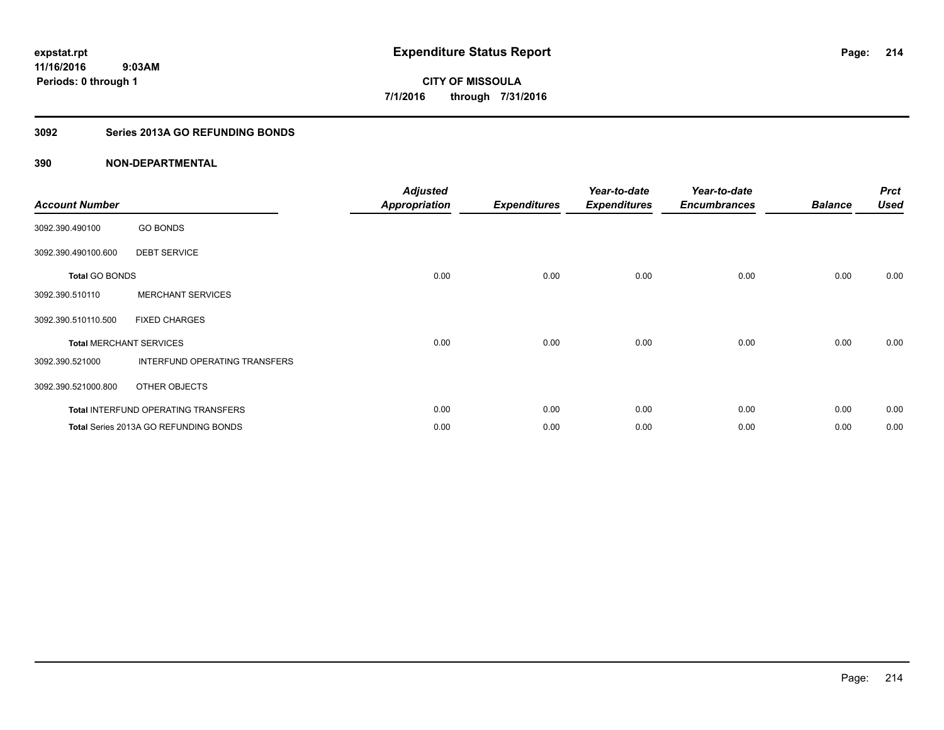### **3092 Series 2013A GO REFUNDING BONDS**

| <b>Account Number</b> |                                            | <b>Adjusted</b><br><b>Appropriation</b> | <b>Expenditures</b> | Year-to-date<br><b>Expenditures</b> | Year-to-date<br><b>Encumbrances</b> | <b>Balance</b> | <b>Prct</b><br><b>Used</b> |
|-----------------------|--------------------------------------------|-----------------------------------------|---------------------|-------------------------------------|-------------------------------------|----------------|----------------------------|
| 3092.390.490100       | <b>GO BONDS</b>                            |                                         |                     |                                     |                                     |                |                            |
| 3092.390.490100.600   | <b>DEBT SERVICE</b>                        |                                         |                     |                                     |                                     |                |                            |
| <b>Total GO BONDS</b> |                                            | 0.00                                    | 0.00                | 0.00                                | 0.00                                | 0.00           | 0.00                       |
| 3092.390.510110       | <b>MERCHANT SERVICES</b>                   |                                         |                     |                                     |                                     |                |                            |
| 3092.390.510110.500   | <b>FIXED CHARGES</b>                       |                                         |                     |                                     |                                     |                |                            |
|                       | <b>Total MERCHANT SERVICES</b>             | 0.00                                    | 0.00                | 0.00                                | 0.00                                | 0.00           | 0.00                       |
| 3092.390.521000       | <b>INTERFUND OPERATING TRANSFERS</b>       |                                         |                     |                                     |                                     |                |                            |
| 3092.390.521000.800   | OTHER OBJECTS                              |                                         |                     |                                     |                                     |                |                            |
|                       | <b>Total INTERFUND OPERATING TRANSFERS</b> | 0.00                                    | 0.00                | 0.00                                | 0.00                                | 0.00           | 0.00                       |
|                       | Total Series 2013A GO REFUNDING BONDS      | 0.00                                    | 0.00                | 0.00                                | 0.00                                | 0.00           | 0.00                       |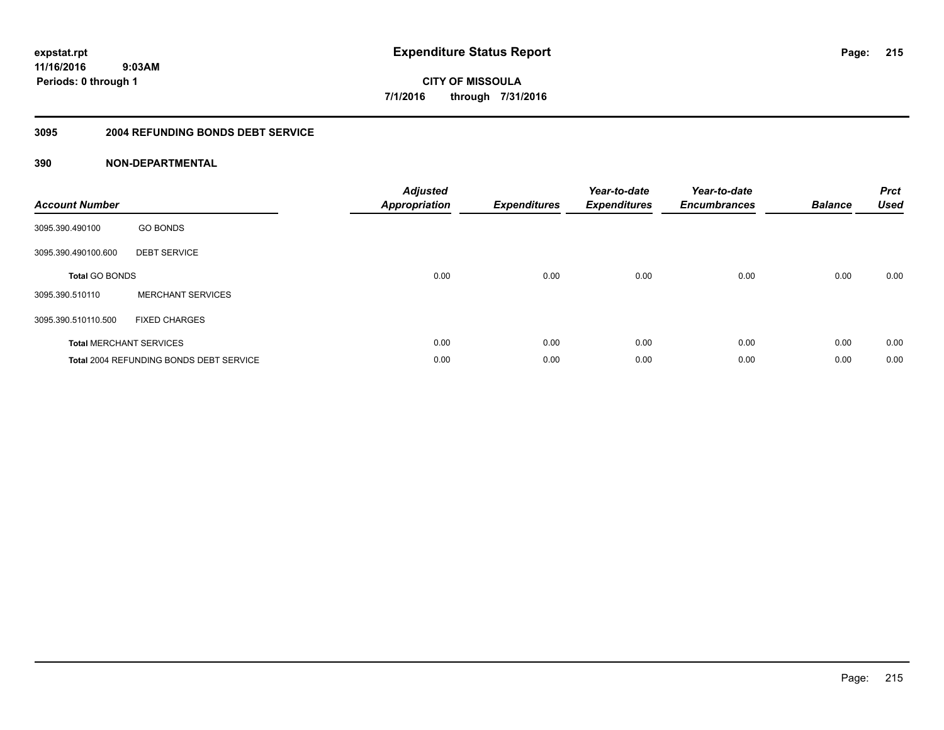**215**

**11/16/2016 9:03AM Periods: 0 through 1**

**CITY OF MISSOULA 7/1/2016 through 7/31/2016**

#### **3095 2004 REFUNDING BONDS DEBT SERVICE**

| <b>Account Number</b> |                                                | Adjusted<br><b>Appropriation</b> | <b>Expenditures</b> | Year-to-date<br><b>Expenditures</b> | Year-to-date<br><b>Encumbrances</b> | <b>Balance</b> | <b>Prct</b><br><b>Used</b> |
|-----------------------|------------------------------------------------|----------------------------------|---------------------|-------------------------------------|-------------------------------------|----------------|----------------------------|
| 3095.390.490100       | <b>GO BONDS</b>                                |                                  |                     |                                     |                                     |                |                            |
| 3095.390.490100.600   | <b>DEBT SERVICE</b>                            |                                  |                     |                                     |                                     |                |                            |
| <b>Total GO BONDS</b> |                                                | 0.00                             | 0.00                | 0.00                                | 0.00                                | 0.00           | 0.00                       |
| 3095.390.510110       | <b>MERCHANT SERVICES</b>                       |                                  |                     |                                     |                                     |                |                            |
| 3095.390.510110.500   | <b>FIXED CHARGES</b>                           |                                  |                     |                                     |                                     |                |                            |
|                       | <b>Total MERCHANT SERVICES</b>                 | 0.00                             | 0.00                | 0.00                                | 0.00                                | 0.00           | 0.00                       |
|                       | <b>Total 2004 REFUNDING BONDS DEBT SERVICE</b> | 0.00                             | 0.00                | 0.00                                | 0.00                                | 0.00           | 0.00                       |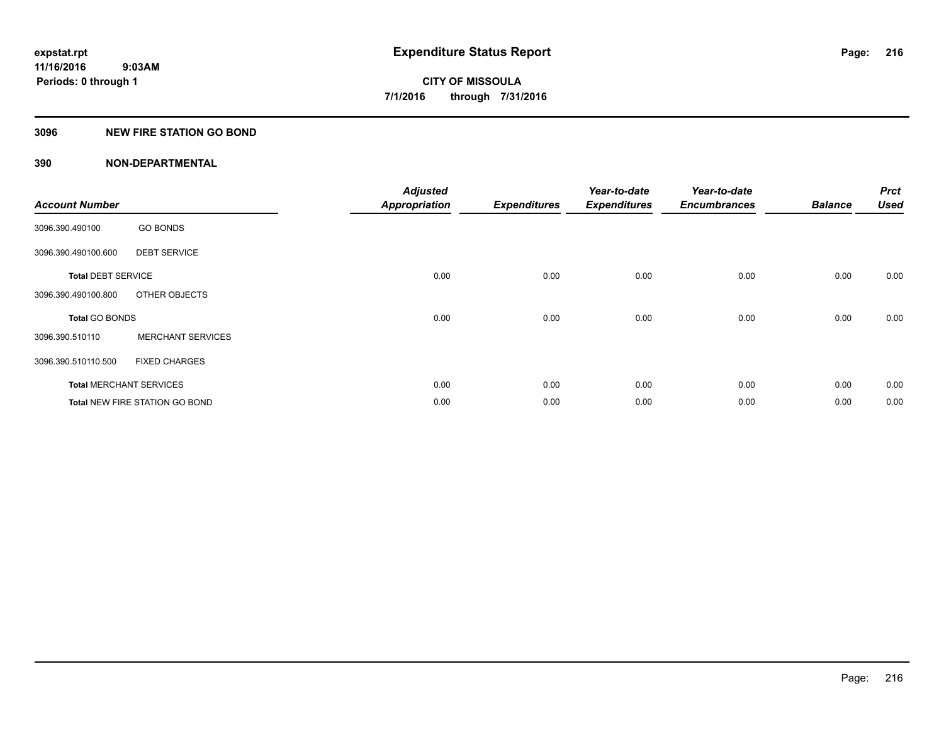#### **3096 NEW FIRE STATION GO BOND**

| <b>Account Number</b>     |                                       | <b>Adjusted</b><br><b>Appropriation</b> | <b>Expenditures</b> | Year-to-date<br><b>Expenditures</b> | Year-to-date<br><b>Encumbrances</b> | <b>Balance</b> | <b>Prct</b><br><b>Used</b> |
|---------------------------|---------------------------------------|-----------------------------------------|---------------------|-------------------------------------|-------------------------------------|----------------|----------------------------|
| 3096.390.490100           | <b>GO BONDS</b>                       |                                         |                     |                                     |                                     |                |                            |
| 3096.390.490100.600       | <b>DEBT SERVICE</b>                   |                                         |                     |                                     |                                     |                |                            |
| <b>Total DEBT SERVICE</b> |                                       | 0.00                                    | 0.00                | 0.00                                | 0.00                                | 0.00           | 0.00                       |
| 3096.390.490100.800       | OTHER OBJECTS                         |                                         |                     |                                     |                                     |                |                            |
| <b>Total GO BONDS</b>     |                                       | 0.00                                    | 0.00                | 0.00                                | 0.00                                | 0.00           | 0.00                       |
| 3096.390.510110           | <b>MERCHANT SERVICES</b>              |                                         |                     |                                     |                                     |                |                            |
| 3096.390.510110.500       | <b>FIXED CHARGES</b>                  |                                         |                     |                                     |                                     |                |                            |
|                           | <b>Total MERCHANT SERVICES</b>        | 0.00                                    | 0.00                | 0.00                                | 0.00                                | 0.00           | 0.00                       |
|                           | <b>Total NEW FIRE STATION GO BOND</b> | 0.00                                    | 0.00                | 0.00                                | 0.00                                | 0.00           | 0.00                       |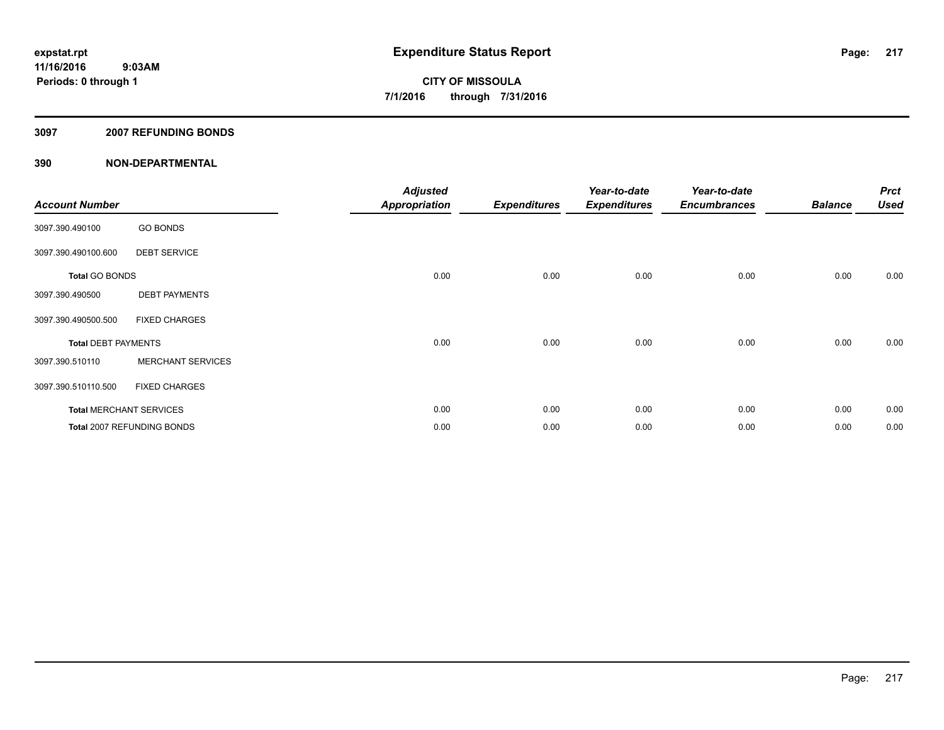### **3097 2007 REFUNDING BONDS**

| <b>Account Number</b>      |                                | <b>Adjusted</b><br><b>Appropriation</b> | <b>Expenditures</b> | Year-to-date<br><b>Expenditures</b> | Year-to-date<br><b>Encumbrances</b> | <b>Balance</b> | <b>Prct</b><br><b>Used</b> |
|----------------------------|--------------------------------|-----------------------------------------|---------------------|-------------------------------------|-------------------------------------|----------------|----------------------------|
| 3097.390.490100            | <b>GO BONDS</b>                |                                         |                     |                                     |                                     |                |                            |
| 3097.390.490100.600        | <b>DEBT SERVICE</b>            |                                         |                     |                                     |                                     |                |                            |
| <b>Total GO BONDS</b>      |                                | 0.00                                    | 0.00                | 0.00                                | 0.00                                | 0.00           | 0.00                       |
| 3097.390.490500            | <b>DEBT PAYMENTS</b>           |                                         |                     |                                     |                                     |                |                            |
| 3097.390.490500.500        | <b>FIXED CHARGES</b>           |                                         |                     |                                     |                                     |                |                            |
| <b>Total DEBT PAYMENTS</b> |                                | 0.00                                    | 0.00                | 0.00                                | 0.00                                | 0.00           | 0.00                       |
| 3097.390.510110            | <b>MERCHANT SERVICES</b>       |                                         |                     |                                     |                                     |                |                            |
| 3097.390.510110.500        | <b>FIXED CHARGES</b>           |                                         |                     |                                     |                                     |                |                            |
|                            | <b>Total MERCHANT SERVICES</b> | 0.00                                    | 0.00                | 0.00                                | 0.00                                | 0.00           | 0.00                       |
|                            | Total 2007 REFUNDING BONDS     | 0.00                                    | 0.00                | 0.00                                | 0.00                                | 0.00           | 0.00                       |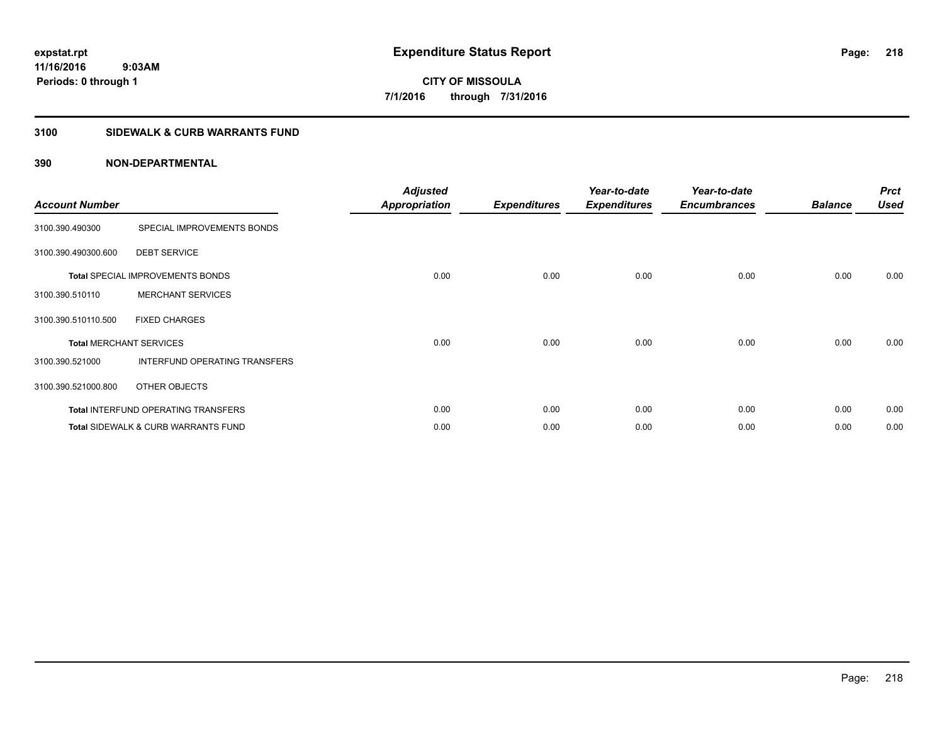## **3100 SIDEWALK & CURB WARRANTS FUND**

| <b>Account Number</b> |                                                | <b>Adjusted</b><br><b>Appropriation</b> | <b>Expenditures</b> | Year-to-date<br><b>Expenditures</b> | Year-to-date<br><b>Encumbrances</b> | <b>Balance</b> | <b>Prct</b><br><b>Used</b> |
|-----------------------|------------------------------------------------|-----------------------------------------|---------------------|-------------------------------------|-------------------------------------|----------------|----------------------------|
| 3100.390.490300       | SPECIAL IMPROVEMENTS BONDS                     |                                         |                     |                                     |                                     |                |                            |
| 3100.390.490300.600   | <b>DEBT SERVICE</b>                            |                                         |                     |                                     |                                     |                |                            |
|                       | <b>Total SPECIAL IMPROVEMENTS BONDS</b>        | 0.00                                    | 0.00                | 0.00                                | 0.00                                | 0.00           | 0.00                       |
| 3100.390.510110       | <b>MERCHANT SERVICES</b>                       |                                         |                     |                                     |                                     |                |                            |
| 3100.390.510110.500   | <b>FIXED CHARGES</b>                           |                                         |                     |                                     |                                     |                |                            |
|                       | <b>Total MERCHANT SERVICES</b>                 | 0.00                                    | 0.00                | 0.00                                | 0.00                                | 0.00           | 0.00                       |
| 3100.390.521000       | INTERFUND OPERATING TRANSFERS                  |                                         |                     |                                     |                                     |                |                            |
| 3100.390.521000.800   | OTHER OBJECTS                                  |                                         |                     |                                     |                                     |                |                            |
|                       | <b>Total INTERFUND OPERATING TRANSFERS</b>     | 0.00                                    | 0.00                | 0.00                                | 0.00                                | 0.00           | 0.00                       |
|                       | <b>Total SIDEWALK &amp; CURB WARRANTS FUND</b> | 0.00                                    | 0.00                | 0.00                                | 0.00                                | 0.00           | 0.00                       |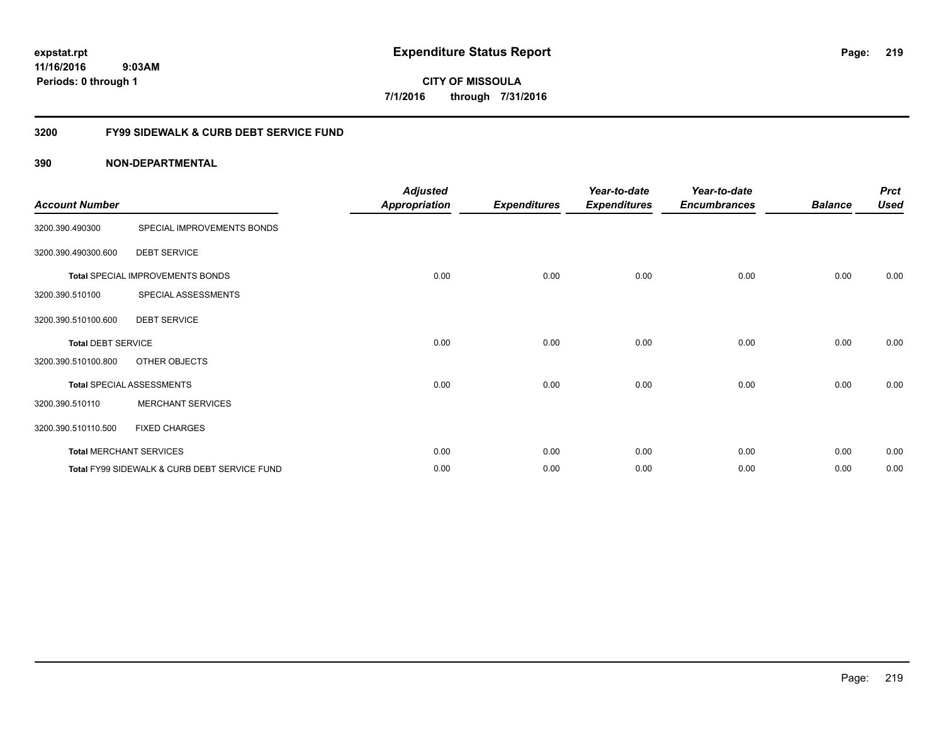**11/16/2016 9:03AM Periods: 0 through 1**

**CITY OF MISSOULA 7/1/2016 through 7/31/2016**

## **3200 FY99 SIDEWALK & CURB DEBT SERVICE FUND**

| <b>Account Number</b>     |                                              | <b>Adjusted</b><br><b>Appropriation</b> | <b>Expenditures</b> | Year-to-date<br><b>Expenditures</b> | Year-to-date<br><b>Encumbrances</b> | <b>Balance</b> | <b>Prct</b><br><b>Used</b> |
|---------------------------|----------------------------------------------|-----------------------------------------|---------------------|-------------------------------------|-------------------------------------|----------------|----------------------------|
| 3200.390.490300           | SPECIAL IMPROVEMENTS BONDS                   |                                         |                     |                                     |                                     |                |                            |
| 3200.390.490300.600       | <b>DEBT SERVICE</b>                          |                                         |                     |                                     |                                     |                |                            |
|                           | Total SPECIAL IMPROVEMENTS BONDS             | 0.00                                    | 0.00                | 0.00                                | 0.00                                | 0.00           | 0.00                       |
| 3200.390.510100           | SPECIAL ASSESSMENTS                          |                                         |                     |                                     |                                     |                |                            |
| 3200.390.510100.600       | <b>DEBT SERVICE</b>                          |                                         |                     |                                     |                                     |                |                            |
| <b>Total DEBT SERVICE</b> |                                              | 0.00                                    | 0.00                | 0.00                                | 0.00                                | 0.00           | 0.00                       |
| 3200.390.510100.800       | OTHER OBJECTS                                |                                         |                     |                                     |                                     |                |                            |
|                           | <b>Total SPECIAL ASSESSMENTS</b>             | 0.00                                    | 0.00                | 0.00                                | 0.00                                | 0.00           | 0.00                       |
| 3200.390.510110           | <b>MERCHANT SERVICES</b>                     |                                         |                     |                                     |                                     |                |                            |
| 3200.390.510110.500       | <b>FIXED CHARGES</b>                         |                                         |                     |                                     |                                     |                |                            |
|                           | <b>Total MERCHANT SERVICES</b>               | 0.00                                    | 0.00                | 0.00                                | 0.00                                | 0.00           | 0.00                       |
|                           | Total FY99 SIDEWALK & CURB DEBT SERVICE FUND | 0.00                                    | 0.00                | 0.00                                | 0.00                                | 0.00           | 0.00                       |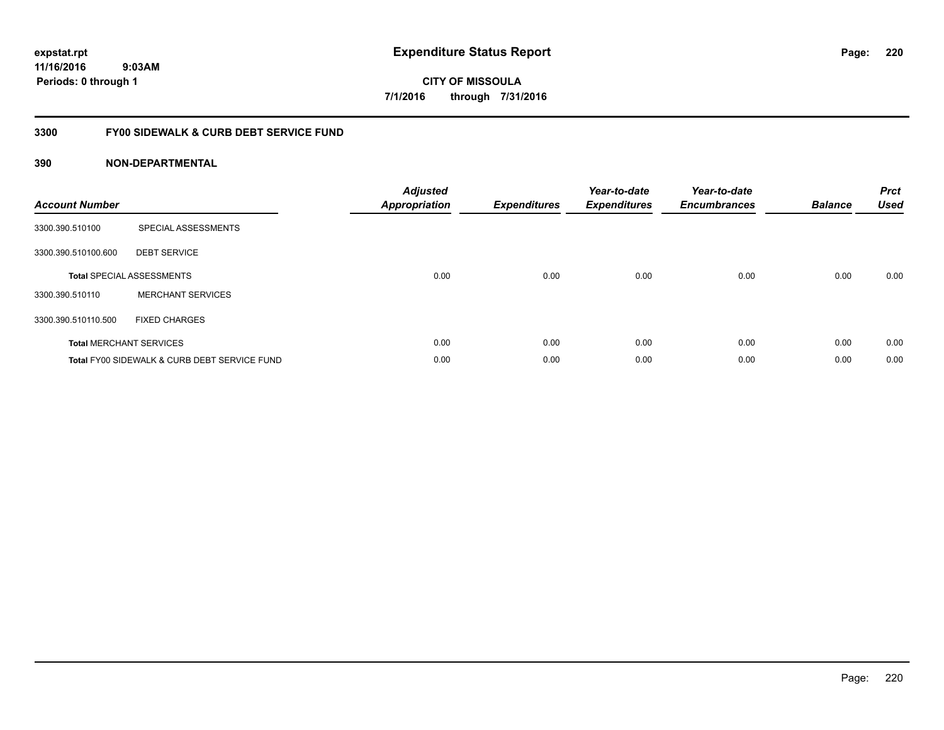**11/16/2016 9:03AM Periods: 0 through 1**

**CITY OF MISSOULA 7/1/2016 through 7/31/2016**

## **3300 FY00 SIDEWALK & CURB DEBT SERVICE FUND**

| <b>Account Number</b> |                                              | <b>Adjusted</b><br>Appropriation | <b>Expenditures</b> | Year-to-date<br><b>Expenditures</b> | Year-to-date<br><b>Encumbrances</b> | <b>Balance</b> | <b>Prct</b><br><b>Used</b> |
|-----------------------|----------------------------------------------|----------------------------------|---------------------|-------------------------------------|-------------------------------------|----------------|----------------------------|
| 3300.390.510100       | SPECIAL ASSESSMENTS                          |                                  |                     |                                     |                                     |                |                            |
| 3300.390.510100.600   | <b>DEBT SERVICE</b>                          |                                  |                     |                                     |                                     |                |                            |
|                       | <b>Total SPECIAL ASSESSMENTS</b>             | 0.00                             | 0.00                | 0.00                                | 0.00                                | 0.00           | 0.00                       |
| 3300.390.510110       | <b>MERCHANT SERVICES</b>                     |                                  |                     |                                     |                                     |                |                            |
| 3300.390.510110.500   | <b>FIXED CHARGES</b>                         |                                  |                     |                                     |                                     |                |                            |
|                       | <b>Total MERCHANT SERVICES</b>               | 0.00                             | 0.00                | 0.00                                | 0.00                                | 0.00           | 0.00                       |
|                       | Total FY00 SIDEWALK & CURB DEBT SERVICE FUND | 0.00                             | 0.00                | 0.00                                | 0.00                                | 0.00           | 0.00                       |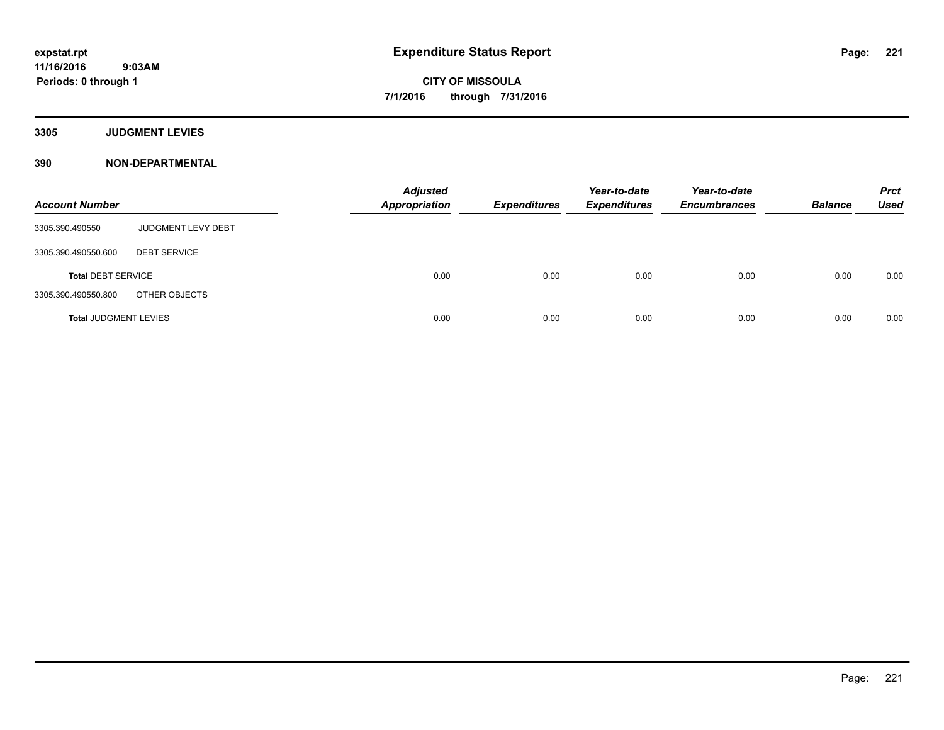**3305 JUDGMENT LEVIES**

| <b>Account Number</b>        |                           | <b>Adjusted</b><br><b>Appropriation</b> | <b>Expenditures</b> | Year-to-date<br><b>Expenditures</b> | Year-to-date<br><b>Encumbrances</b> | <b>Balance</b> | <b>Prct</b><br><b>Used</b> |
|------------------------------|---------------------------|-----------------------------------------|---------------------|-------------------------------------|-------------------------------------|----------------|----------------------------|
| 3305.390.490550              | <b>JUDGMENT LEVY DEBT</b> |                                         |                     |                                     |                                     |                |                            |
| 3305.390.490550.600          | <b>DEBT SERVICE</b>       |                                         |                     |                                     |                                     |                |                            |
| <b>Total DEBT SERVICE</b>    |                           | 0.00                                    | 0.00                | 0.00                                | 0.00                                | 0.00           | 0.00                       |
| 3305.390.490550.800          | OTHER OBJECTS             |                                         |                     |                                     |                                     |                |                            |
| <b>Total JUDGMENT LEVIES</b> |                           | 0.00                                    | 0.00                | 0.00                                | 0.00                                | 0.00           | 0.00                       |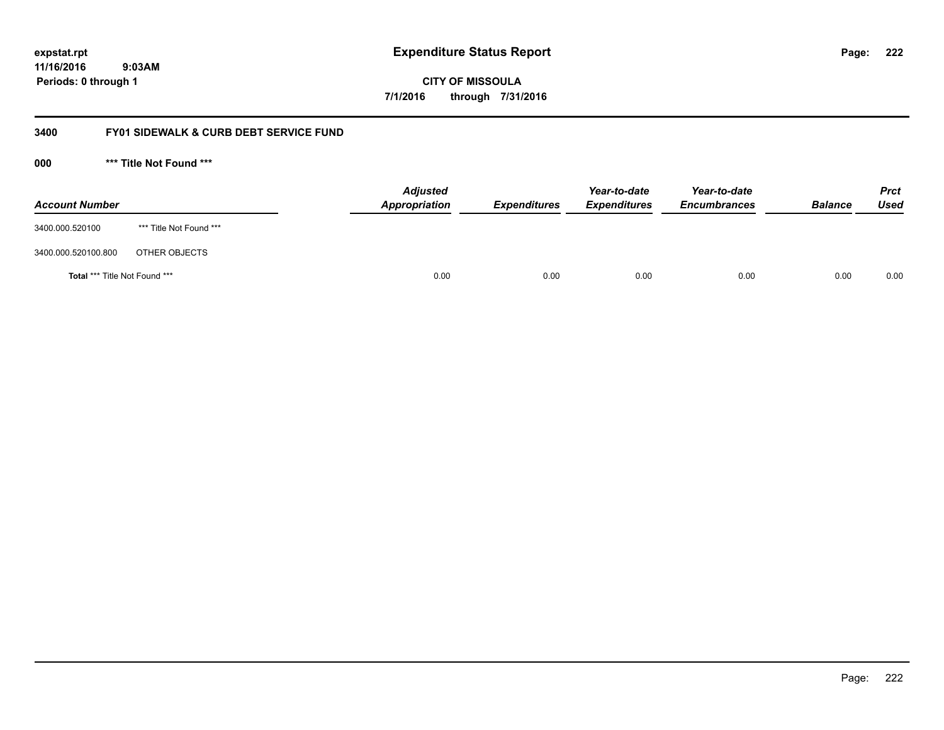**222**

**11/16/2016 9:03AM Periods: 0 through 1**

**CITY OF MISSOULA 7/1/2016 through 7/31/2016**

## **3400 FY01 SIDEWALK & CURB DEBT SERVICE FUND**

| <b>Account Number</b>         |                         | <b>Adjusted</b><br>Appropriation | <b>Expenditures</b> | Year-to-date<br><b>Expenditures</b> | Year-to-date<br><b>Encumbrances</b> | <b>Balance</b> | <b>Prct</b><br>Used |
|-------------------------------|-------------------------|----------------------------------|---------------------|-------------------------------------|-------------------------------------|----------------|---------------------|
| 3400.000.520100               | *** Title Not Found *** |                                  |                     |                                     |                                     |                |                     |
| 3400.000.520100.800           | OTHER OBJECTS           |                                  |                     |                                     |                                     |                |                     |
| Total *** Title Not Found *** |                         | 0.00                             | 0.00                | 0.00                                | 0.00                                | 0.00           | 0.00                |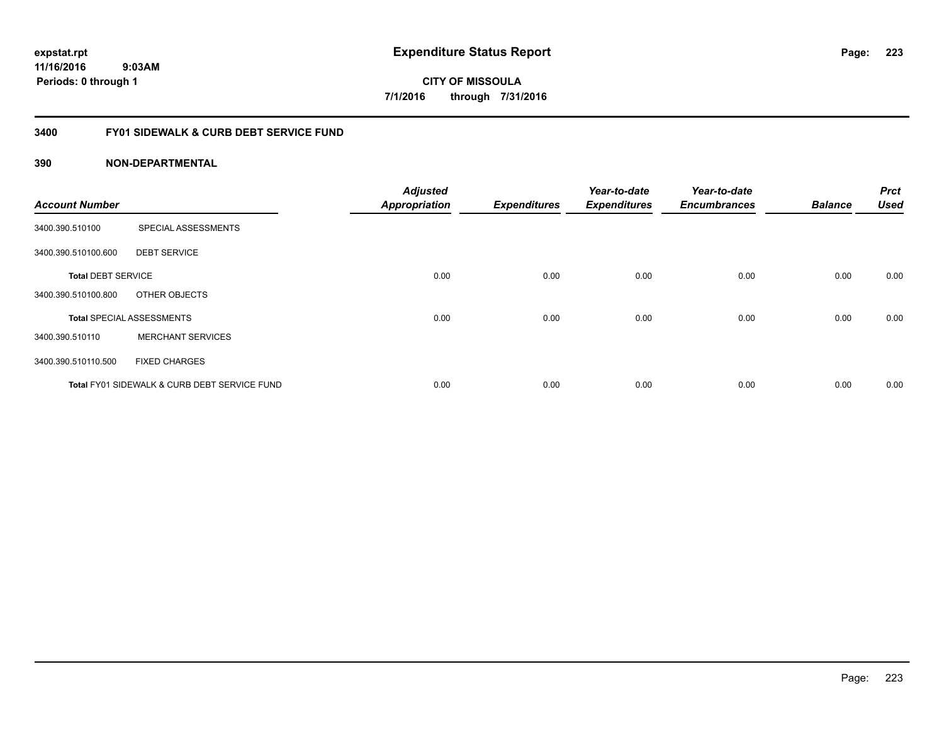**11/16/2016 9:03AM Periods: 0 through 1**

**CITY OF MISSOULA 7/1/2016 through 7/31/2016**

## **3400 FY01 SIDEWALK & CURB DEBT SERVICE FUND**

| <b>Account Number</b>     |                                              | <b>Adjusted</b><br><b>Appropriation</b> | <b>Expenditures</b> | Year-to-date<br><b>Expenditures</b> | Year-to-date<br><b>Encumbrances</b> | <b>Balance</b> | <b>Prct</b><br><b>Used</b> |
|---------------------------|----------------------------------------------|-----------------------------------------|---------------------|-------------------------------------|-------------------------------------|----------------|----------------------------|
|                           |                                              |                                         |                     |                                     |                                     |                |                            |
| 3400.390.510100           | SPECIAL ASSESSMENTS                          |                                         |                     |                                     |                                     |                |                            |
| 3400.390.510100.600       | <b>DEBT SERVICE</b>                          |                                         |                     |                                     |                                     |                |                            |
| <b>Total DEBT SERVICE</b> |                                              | 0.00                                    | 0.00                | 0.00                                | 0.00                                | 0.00           | 0.00                       |
| 3400.390.510100.800       | OTHER OBJECTS                                |                                         |                     |                                     |                                     |                |                            |
|                           | <b>Total SPECIAL ASSESSMENTS</b>             | 0.00                                    | 0.00                | 0.00                                | 0.00                                | 0.00           | 0.00                       |
| 3400.390.510110           | <b>MERCHANT SERVICES</b>                     |                                         |                     |                                     |                                     |                |                            |
| 3400.390.510110.500       | <b>FIXED CHARGES</b>                         |                                         |                     |                                     |                                     |                |                            |
|                           | Total FY01 SIDEWALK & CURB DEBT SERVICE FUND | 0.00                                    | 0.00                | 0.00                                | 0.00                                | 0.00           | 0.00                       |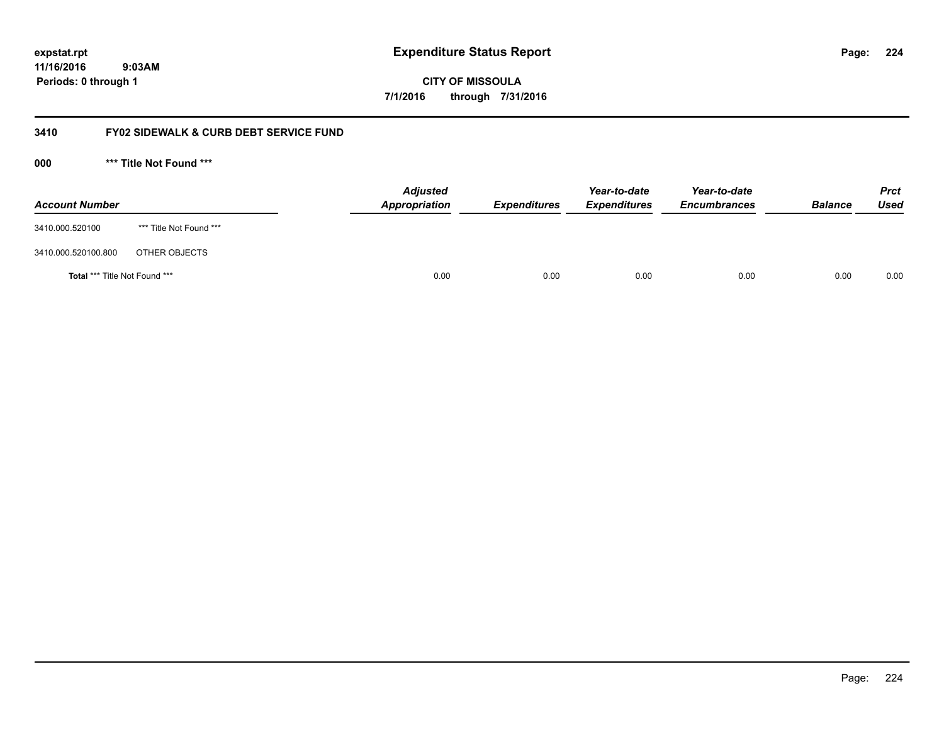**224**

**11/16/2016 9:03AM Periods: 0 through 1**

**CITY OF MISSOULA 7/1/2016 through 7/31/2016**

## **3410 FY02 SIDEWALK & CURB DEBT SERVICE FUND**

| <b>Account Number</b>         |                         | <b>Adjusted</b><br>Appropriation | <b>Expenditures</b> | Year-to-date<br><b>Expenditures</b> | Year-to-date<br><b>Encumbrances</b> | <b>Balance</b> | <b>Prct</b><br>Used |
|-------------------------------|-------------------------|----------------------------------|---------------------|-------------------------------------|-------------------------------------|----------------|---------------------|
| 3410.000.520100               | *** Title Not Found *** |                                  |                     |                                     |                                     |                |                     |
| 3410.000.520100.800           | OTHER OBJECTS           |                                  |                     |                                     |                                     |                |                     |
| Total *** Title Not Found *** |                         | 0.00                             | 0.00                | 0.00                                | 0.00                                | 0.00           | 0.00                |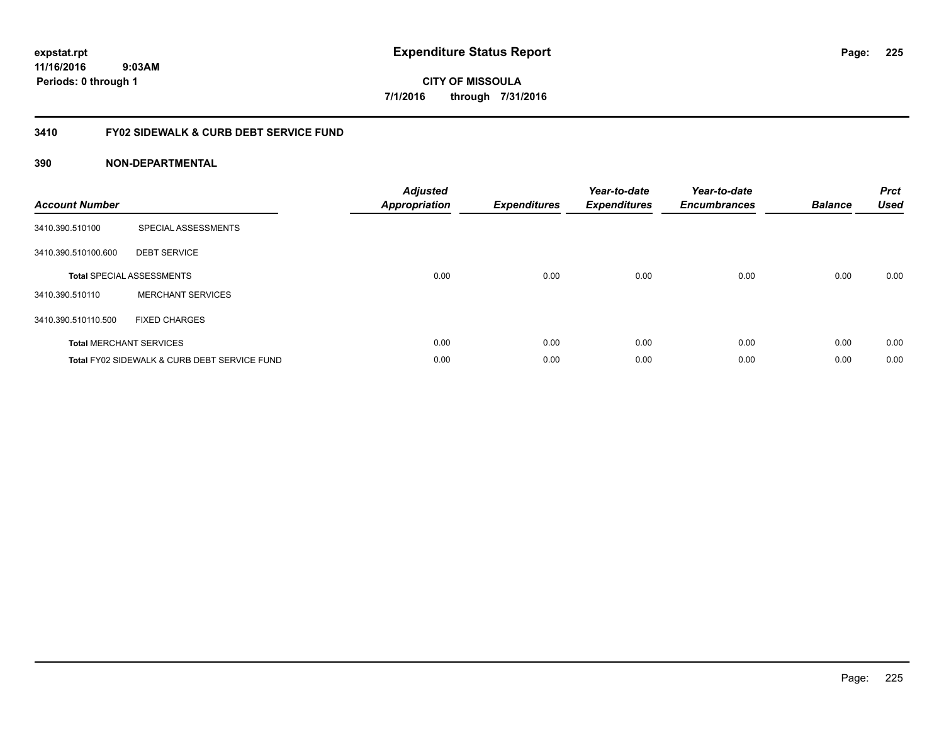**11/16/2016 9:03AM Periods: 0 through 1**

**CITY OF MISSOULA 7/1/2016 through 7/31/2016**

## **3410 FY02 SIDEWALK & CURB DEBT SERVICE FUND**

| <b>Account Number</b> |                                              | <b>Adjusted</b><br>Appropriation | <b>Expenditures</b> | Year-to-date<br><b>Expenditures</b> | Year-to-date<br><b>Encumbrances</b> | <b>Balance</b> | <b>Prct</b><br><b>Used</b> |
|-----------------------|----------------------------------------------|----------------------------------|---------------------|-------------------------------------|-------------------------------------|----------------|----------------------------|
| 3410.390.510100       | SPECIAL ASSESSMENTS                          |                                  |                     |                                     |                                     |                |                            |
| 3410.390.510100.600   | <b>DEBT SERVICE</b>                          |                                  |                     |                                     |                                     |                |                            |
|                       | <b>Total SPECIAL ASSESSMENTS</b>             | 0.00                             | 0.00                | 0.00                                | 0.00                                | 0.00           | 0.00                       |
| 3410.390.510110       | <b>MERCHANT SERVICES</b>                     |                                  |                     |                                     |                                     |                |                            |
| 3410.390.510110.500   | <b>FIXED CHARGES</b>                         |                                  |                     |                                     |                                     |                |                            |
|                       | <b>Total MERCHANT SERVICES</b>               | 0.00                             | 0.00                | 0.00                                | 0.00                                | 0.00           | 0.00                       |
|                       | Total FY02 SIDEWALK & CURB DEBT SERVICE FUND | 0.00                             | 0.00                | 0.00                                | 0.00                                | 0.00           | 0.00                       |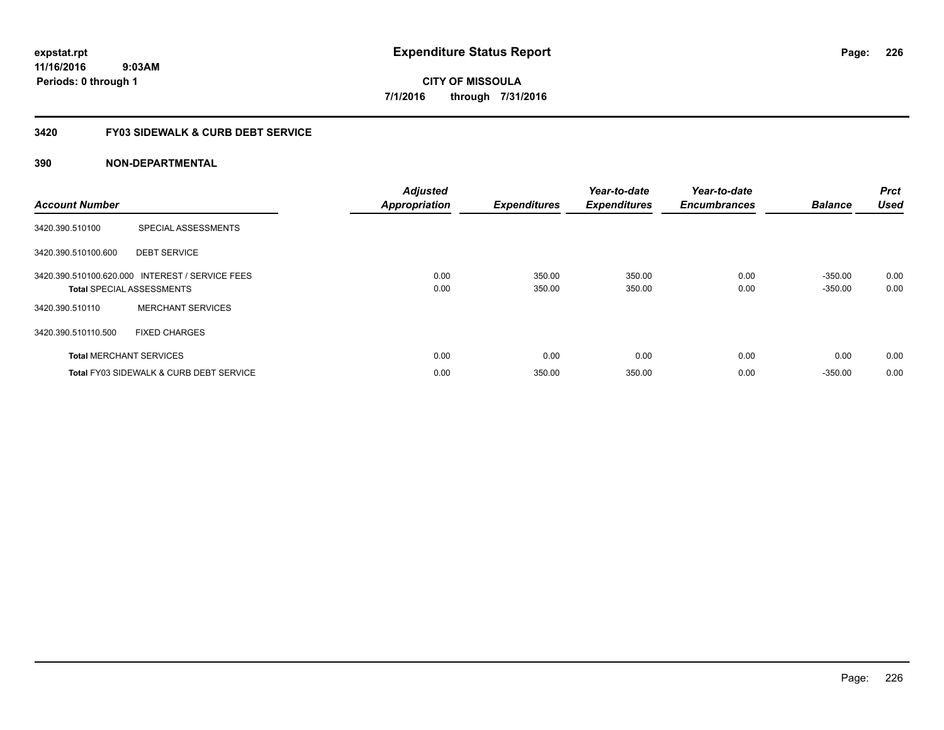**11/16/2016 9:03AM Periods: 0 through 1**

**CITY OF MISSOULA 7/1/2016 through 7/31/2016**

## **3420 FY03 SIDEWALK & CURB DEBT SERVICE**

| <b>Account Number</b> |                                                                                     | <b>Adjusted</b><br><b>Appropriation</b> | <b>Expenditures</b> | Year-to-date<br><b>Expenditures</b> | Year-to-date<br><b>Encumbrances</b> | <b>Balance</b>         | <b>Prct</b><br><b>Used</b> |
|-----------------------|-------------------------------------------------------------------------------------|-----------------------------------------|---------------------|-------------------------------------|-------------------------------------|------------------------|----------------------------|
| 3420.390.510100       | SPECIAL ASSESSMENTS                                                                 |                                         |                     |                                     |                                     |                        |                            |
| 3420.390.510100.600   | <b>DEBT SERVICE</b>                                                                 |                                         |                     |                                     |                                     |                        |                            |
|                       | 3420.390.510100.620.000 INTEREST / SERVICE FEES<br><b>Total SPECIAL ASSESSMENTS</b> | 0.00<br>0.00                            | 350.00<br>350.00    | 350.00<br>350.00                    | 0.00<br>0.00                        | $-350.00$<br>$-350.00$ | 0.00<br>0.00               |
| 3420.390.510110       | <b>MERCHANT SERVICES</b>                                                            |                                         |                     |                                     |                                     |                        |                            |
| 3420.390.510110.500   | <b>FIXED CHARGES</b>                                                                |                                         |                     |                                     |                                     |                        |                            |
|                       | <b>Total MERCHANT SERVICES</b>                                                      | 0.00                                    | 0.00                | 0.00                                | 0.00                                | 0.00                   | 0.00                       |
|                       | Total FY03 SIDEWALK & CURB DEBT SERVICE                                             | 0.00                                    | 350.00              | 350.00                              | 0.00                                | $-350.00$              | 0.00                       |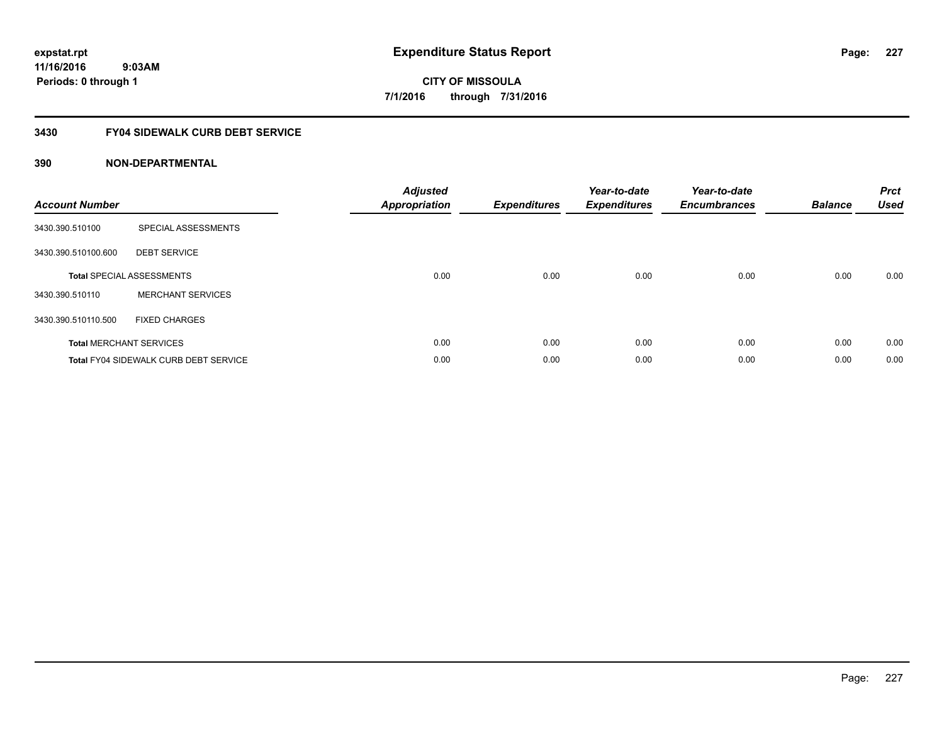## **3430 FY04 SIDEWALK CURB DEBT SERVICE**

| <b>Account Number</b> |                                              | <b>Adjusted</b><br><b>Appropriation</b> | <b>Expenditures</b> | Year-to-date<br><b>Expenditures</b> | Year-to-date<br><b>Encumbrances</b> | <b>Balance</b> | <b>Prct</b><br><b>Used</b> |
|-----------------------|----------------------------------------------|-----------------------------------------|---------------------|-------------------------------------|-------------------------------------|----------------|----------------------------|
| 3430.390.510100       | SPECIAL ASSESSMENTS                          |                                         |                     |                                     |                                     |                |                            |
| 3430.390.510100.600   | <b>DEBT SERVICE</b>                          |                                         |                     |                                     |                                     |                |                            |
|                       | <b>Total SPECIAL ASSESSMENTS</b>             | 0.00                                    | 0.00                | 0.00                                | 0.00                                | 0.00           | 0.00                       |
| 3430.390.510110       | <b>MERCHANT SERVICES</b>                     |                                         |                     |                                     |                                     |                |                            |
| 3430.390.510110.500   | <b>FIXED CHARGES</b>                         |                                         |                     |                                     |                                     |                |                            |
|                       | <b>Total MERCHANT SERVICES</b>               | 0.00                                    | 0.00                | 0.00                                | 0.00                                | 0.00           | 0.00                       |
|                       | <b>Total FY04 SIDEWALK CURB DEBT SERVICE</b> | 0.00                                    | 0.00                | 0.00                                | 0.00                                | 0.00           | 0.00                       |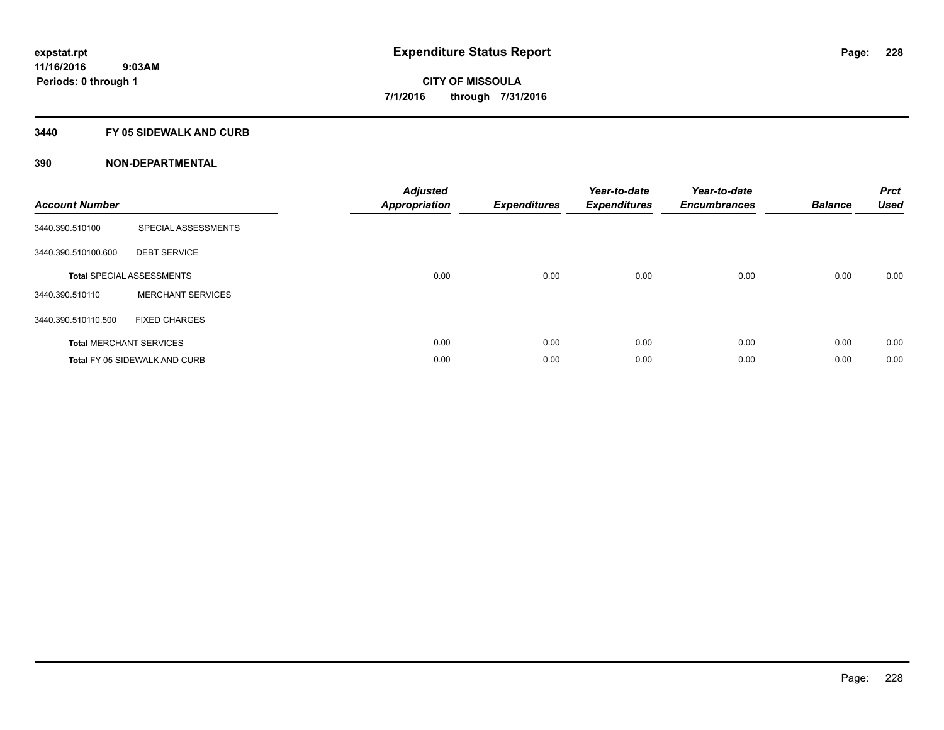### **3440 FY 05 SIDEWALK AND CURB**

| <b>Account Number</b> |                                      | <b>Adjusted</b><br>Appropriation | <b>Expenditures</b> | Year-to-date<br><b>Expenditures</b> | Year-to-date<br><b>Encumbrances</b> | <b>Balance</b> | <b>Prct</b><br><b>Used</b> |
|-----------------------|--------------------------------------|----------------------------------|---------------------|-------------------------------------|-------------------------------------|----------------|----------------------------|
| 3440.390.510100       | SPECIAL ASSESSMENTS                  |                                  |                     |                                     |                                     |                |                            |
| 3440.390.510100.600   | <b>DEBT SERVICE</b>                  |                                  |                     |                                     |                                     |                |                            |
|                       | <b>Total SPECIAL ASSESSMENTS</b>     | 0.00                             | 0.00                | 0.00                                | 0.00                                | 0.00           | 0.00                       |
| 3440.390.510110       | <b>MERCHANT SERVICES</b>             |                                  |                     |                                     |                                     |                |                            |
| 3440.390.510110.500   | <b>FIXED CHARGES</b>                 |                                  |                     |                                     |                                     |                |                            |
|                       | <b>Total MERCHANT SERVICES</b>       | 0.00                             | 0.00                | 0.00                                | 0.00                                | 0.00           | 0.00                       |
|                       | <b>Total FY 05 SIDEWALK AND CURB</b> | 0.00                             | 0.00                | 0.00                                | 0.00                                | 0.00           | 0.00                       |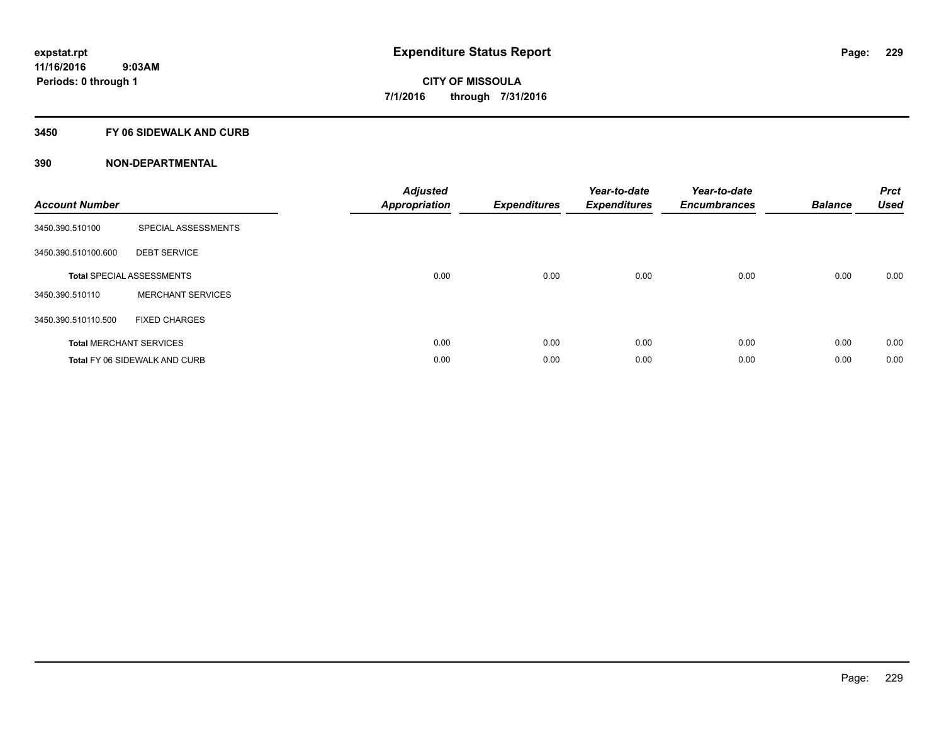## **3450 FY 06 SIDEWALK AND CURB**

| <b>Account Number</b> |                                      | <b>Adjusted</b><br>Appropriation | <b>Expenditures</b> | Year-to-date<br><b>Expenditures</b> | Year-to-date<br><b>Encumbrances</b> | <b>Balance</b> | <b>Prct</b><br><b>Used</b> |
|-----------------------|--------------------------------------|----------------------------------|---------------------|-------------------------------------|-------------------------------------|----------------|----------------------------|
| 3450.390.510100       | SPECIAL ASSESSMENTS                  |                                  |                     |                                     |                                     |                |                            |
| 3450.390.510100.600   | <b>DEBT SERVICE</b>                  |                                  |                     |                                     |                                     |                |                            |
|                       | <b>Total SPECIAL ASSESSMENTS</b>     | 0.00                             | 0.00                | 0.00                                | 0.00                                | 0.00           | 0.00                       |
| 3450.390.510110       | <b>MERCHANT SERVICES</b>             |                                  |                     |                                     |                                     |                |                            |
| 3450.390.510110.500   | <b>FIXED CHARGES</b>                 |                                  |                     |                                     |                                     |                |                            |
|                       | <b>Total MERCHANT SERVICES</b>       | 0.00                             | 0.00                | 0.00                                | 0.00                                | 0.00           | 0.00                       |
|                       | <b>Total FY 06 SIDEWALK AND CURB</b> | 0.00                             | 0.00                | 0.00                                | 0.00                                | 0.00           | 0.00                       |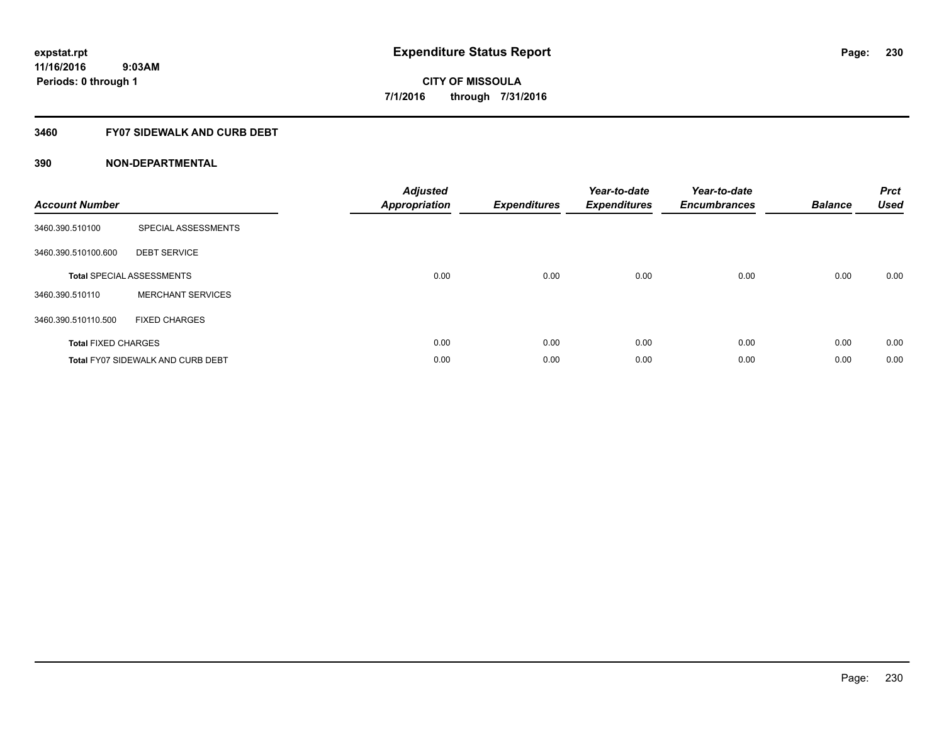## **3460 FY07 SIDEWALK AND CURB DEBT**

| <b>Account Number</b>      |                                          | <b>Adjusted</b><br><b>Appropriation</b> | <b>Expenditures</b> | Year-to-date<br><b>Expenditures</b> | Year-to-date<br><b>Encumbrances</b> | <b>Balance</b> | <b>Prct</b><br><b>Used</b> |
|----------------------------|------------------------------------------|-----------------------------------------|---------------------|-------------------------------------|-------------------------------------|----------------|----------------------------|
| 3460.390.510100            | SPECIAL ASSESSMENTS                      |                                         |                     |                                     |                                     |                |                            |
| 3460.390.510100.600        | <b>DEBT SERVICE</b>                      |                                         |                     |                                     |                                     |                |                            |
|                            | <b>Total SPECIAL ASSESSMENTS</b>         | 0.00                                    | 0.00                | 0.00                                | 0.00                                | 0.00           | 0.00                       |
| 3460.390.510110            | <b>MERCHANT SERVICES</b>                 |                                         |                     |                                     |                                     |                |                            |
| 3460.390.510110.500        | <b>FIXED CHARGES</b>                     |                                         |                     |                                     |                                     |                |                            |
| <b>Total FIXED CHARGES</b> |                                          | 0.00                                    | 0.00                | 0.00                                | 0.00                                | 0.00           | 0.00                       |
|                            | <b>Total FY07 SIDEWALK AND CURB DEBT</b> | 0.00                                    | 0.00                | 0.00                                | 0.00                                | 0.00           | 0.00                       |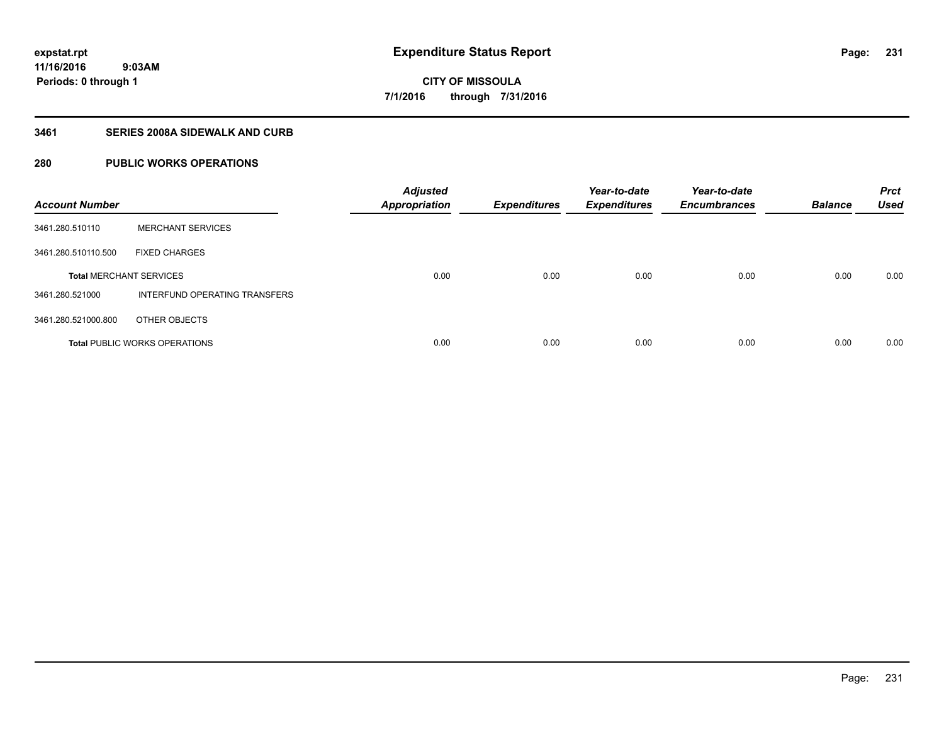## **3461 SERIES 2008A SIDEWALK AND CURB**

## **280 PUBLIC WORKS OPERATIONS**

| <b>Account Number</b>          |                                      | <b>Adjusted</b><br><b>Appropriation</b> | <b>Expenditures</b> | Year-to-date<br><b>Expenditures</b> | Year-to-date<br><b>Encumbrances</b> | <b>Balance</b> | <b>Prct</b><br><b>Used</b> |
|--------------------------------|--------------------------------------|-----------------------------------------|---------------------|-------------------------------------|-------------------------------------|----------------|----------------------------|
| 3461.280.510110                | <b>MERCHANT SERVICES</b>             |                                         |                     |                                     |                                     |                |                            |
| 3461.280.510110.500            | <b>FIXED CHARGES</b>                 |                                         |                     |                                     |                                     |                |                            |
| <b>Total MERCHANT SERVICES</b> |                                      | 0.00                                    | 0.00                | 0.00                                | 0.00                                | 0.00           | 0.00                       |
| 3461.280.521000                | INTERFUND OPERATING TRANSFERS        |                                         |                     |                                     |                                     |                |                            |
| 3461.280.521000.800            | OTHER OBJECTS                        |                                         |                     |                                     |                                     |                |                            |
|                                | <b>Total PUBLIC WORKS OPERATIONS</b> | 0.00                                    | 0.00                | 0.00                                | 0.00                                | 0.00           | 0.00                       |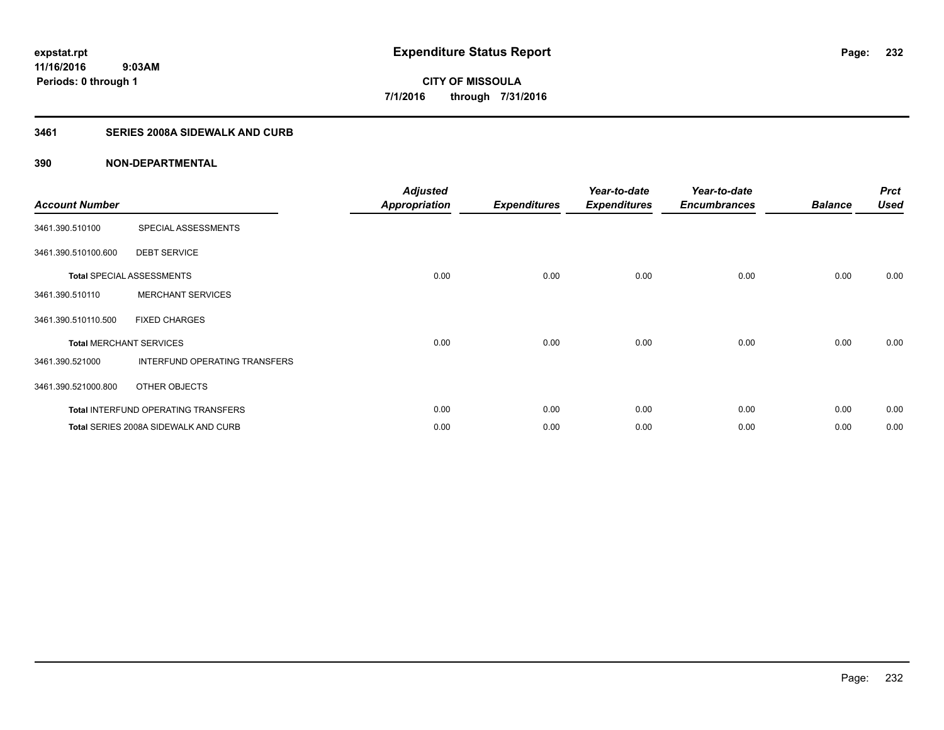## **3461 SERIES 2008A SIDEWALK AND CURB**

| <b>Account Number</b>          |                                            | <b>Adjusted</b><br><b>Appropriation</b> | <b>Expenditures</b> | Year-to-date<br><b>Expenditures</b> | Year-to-date<br><b>Encumbrances</b> | <b>Balance</b> | <b>Prct</b><br><b>Used</b> |
|--------------------------------|--------------------------------------------|-----------------------------------------|---------------------|-------------------------------------|-------------------------------------|----------------|----------------------------|
| 3461.390.510100                | SPECIAL ASSESSMENTS                        |                                         |                     |                                     |                                     |                |                            |
| 3461.390.510100.600            | <b>DEBT SERVICE</b>                        |                                         |                     |                                     |                                     |                |                            |
|                                | <b>Total SPECIAL ASSESSMENTS</b>           | 0.00                                    | 0.00                | 0.00                                | 0.00                                | 0.00           | 0.00                       |
| 3461.390.510110                | <b>MERCHANT SERVICES</b>                   |                                         |                     |                                     |                                     |                |                            |
| 3461.390.510110.500            | <b>FIXED CHARGES</b>                       |                                         |                     |                                     |                                     |                |                            |
| <b>Total MERCHANT SERVICES</b> |                                            | 0.00                                    | 0.00                | 0.00                                | 0.00                                | 0.00           | 0.00                       |
| 3461.390.521000                | INTERFUND OPERATING TRANSFERS              |                                         |                     |                                     |                                     |                |                            |
| 3461.390.521000.800            | OTHER OBJECTS                              |                                         |                     |                                     |                                     |                |                            |
|                                | <b>Total INTERFUND OPERATING TRANSFERS</b> | 0.00                                    | 0.00                | 0.00                                | 0.00                                | 0.00           | 0.00                       |
|                                | Total SERIES 2008A SIDEWALK AND CURB       | 0.00                                    | 0.00                | 0.00                                | 0.00                                | 0.00           | 0.00                       |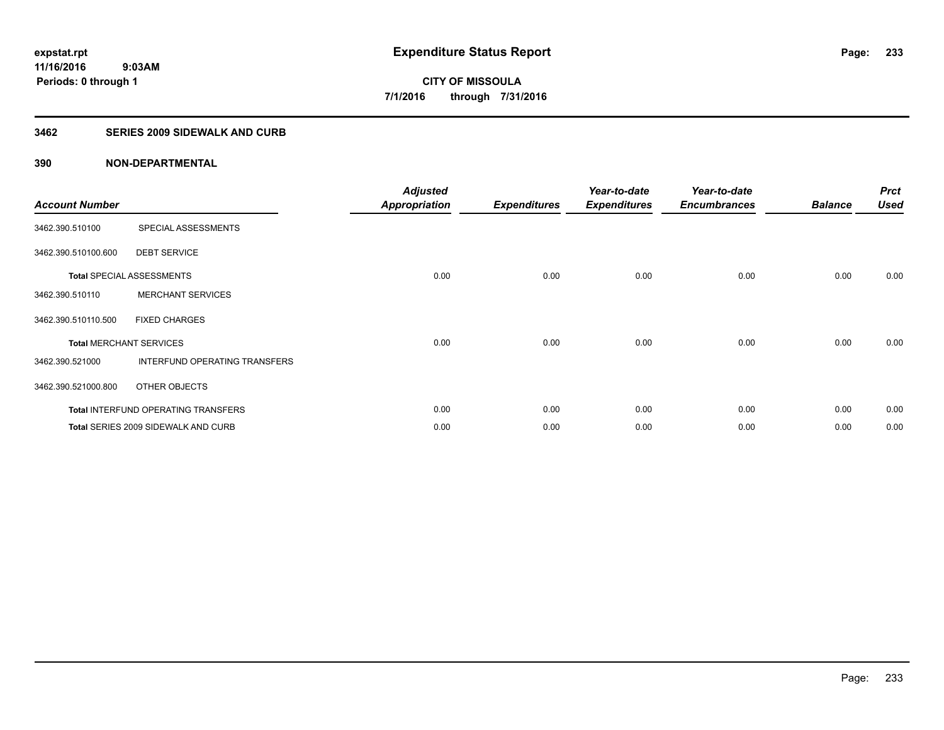### **3462 SERIES 2009 SIDEWALK AND CURB**

| <b>Account Number</b> |                                            | <b>Adjusted</b><br>Appropriation | <b>Expenditures</b> | Year-to-date<br><b>Expenditures</b> | Year-to-date<br><b>Encumbrances</b> | <b>Balance</b> | <b>Prct</b><br><b>Used</b> |
|-----------------------|--------------------------------------------|----------------------------------|---------------------|-------------------------------------|-------------------------------------|----------------|----------------------------|
| 3462.390.510100       | SPECIAL ASSESSMENTS                        |                                  |                     |                                     |                                     |                |                            |
| 3462.390.510100.600   | <b>DEBT SERVICE</b>                        |                                  |                     |                                     |                                     |                |                            |
|                       | <b>Total SPECIAL ASSESSMENTS</b>           | 0.00                             | 0.00                | 0.00                                | 0.00                                | 0.00           | 0.00                       |
| 3462.390.510110       | <b>MERCHANT SERVICES</b>                   |                                  |                     |                                     |                                     |                |                            |
| 3462.390.510110.500   | <b>FIXED CHARGES</b>                       |                                  |                     |                                     |                                     |                |                            |
|                       | <b>Total MERCHANT SERVICES</b>             | 0.00                             | 0.00                | 0.00                                | 0.00                                | 0.00           | 0.00                       |
| 3462.390.521000       | INTERFUND OPERATING TRANSFERS              |                                  |                     |                                     |                                     |                |                            |
| 3462.390.521000.800   | OTHER OBJECTS                              |                                  |                     |                                     |                                     |                |                            |
|                       | <b>Total INTERFUND OPERATING TRANSFERS</b> | 0.00                             | 0.00                | 0.00                                | 0.00                                | 0.00           | 0.00                       |
|                       | Total SERIES 2009 SIDEWALK AND CURB        | 0.00                             | 0.00                | 0.00                                | 0.00                                | 0.00           | 0.00                       |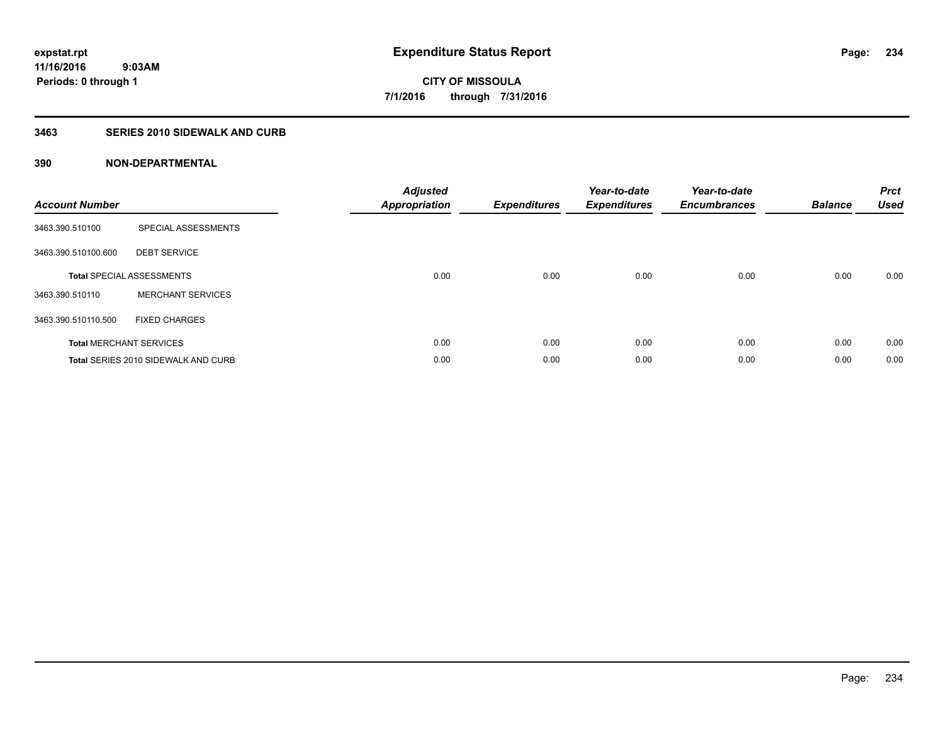## **3463 SERIES 2010 SIDEWALK AND CURB**

| <b>Account Number</b> |                                     | <b>Adjusted</b><br>Appropriation | <b>Expenditures</b> | Year-to-date<br><b>Expenditures</b> | Year-to-date<br><b>Encumbrances</b> | <b>Balance</b> | <b>Prct</b><br><b>Used</b> |
|-----------------------|-------------------------------------|----------------------------------|---------------------|-------------------------------------|-------------------------------------|----------------|----------------------------|
| 3463.390.510100       | SPECIAL ASSESSMENTS                 |                                  |                     |                                     |                                     |                |                            |
| 3463.390.510100.600   | <b>DEBT SERVICE</b>                 |                                  |                     |                                     |                                     |                |                            |
|                       | <b>Total SPECIAL ASSESSMENTS</b>    | 0.00                             | 0.00                | 0.00                                | 0.00                                | 0.00           | 0.00                       |
| 3463.390.510110       | <b>MERCHANT SERVICES</b>            |                                  |                     |                                     |                                     |                |                            |
| 3463.390.510110.500   | <b>FIXED CHARGES</b>                |                                  |                     |                                     |                                     |                |                            |
|                       | <b>Total MERCHANT SERVICES</b>      | 0.00                             | 0.00                | 0.00                                | 0.00                                | 0.00           | 0.00                       |
|                       | Total SERIES 2010 SIDEWALK AND CURB | 0.00                             | 0.00                | 0.00                                | 0.00                                | 0.00           | 0.00                       |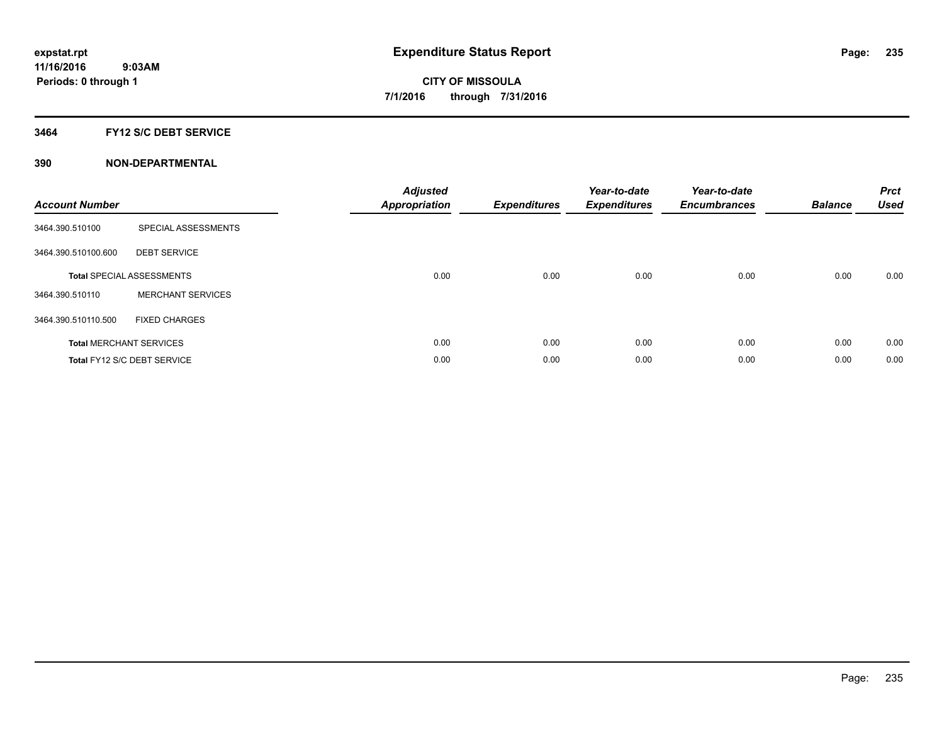### **3464 FY12 S/C DEBT SERVICE**

| <b>Account Number</b> |                                  | <b>Adjusted</b><br><b>Appropriation</b> | <b>Expenditures</b> | Year-to-date<br><b>Expenditures</b> | Year-to-date<br><b>Encumbrances</b> | <b>Balance</b> | <b>Prct</b><br><b>Used</b> |
|-----------------------|----------------------------------|-----------------------------------------|---------------------|-------------------------------------|-------------------------------------|----------------|----------------------------|
| 3464.390.510100       | SPECIAL ASSESSMENTS              |                                         |                     |                                     |                                     |                |                            |
| 3464.390.510100.600   | <b>DEBT SERVICE</b>              |                                         |                     |                                     |                                     |                |                            |
|                       | <b>Total SPECIAL ASSESSMENTS</b> | 0.00                                    | 0.00                | 0.00                                | 0.00                                | 0.00           | 0.00                       |
| 3464.390.510110       | <b>MERCHANT SERVICES</b>         |                                         |                     |                                     |                                     |                |                            |
| 3464.390.510110.500   | <b>FIXED CHARGES</b>             |                                         |                     |                                     |                                     |                |                            |
|                       | <b>Total MERCHANT SERVICES</b>   | 0.00                                    | 0.00                | 0.00                                | 0.00                                | 0.00           | 0.00                       |
|                       | Total FY12 S/C DEBT SERVICE      | 0.00                                    | 0.00                | 0.00                                | 0.00                                | 0.00           | 0.00                       |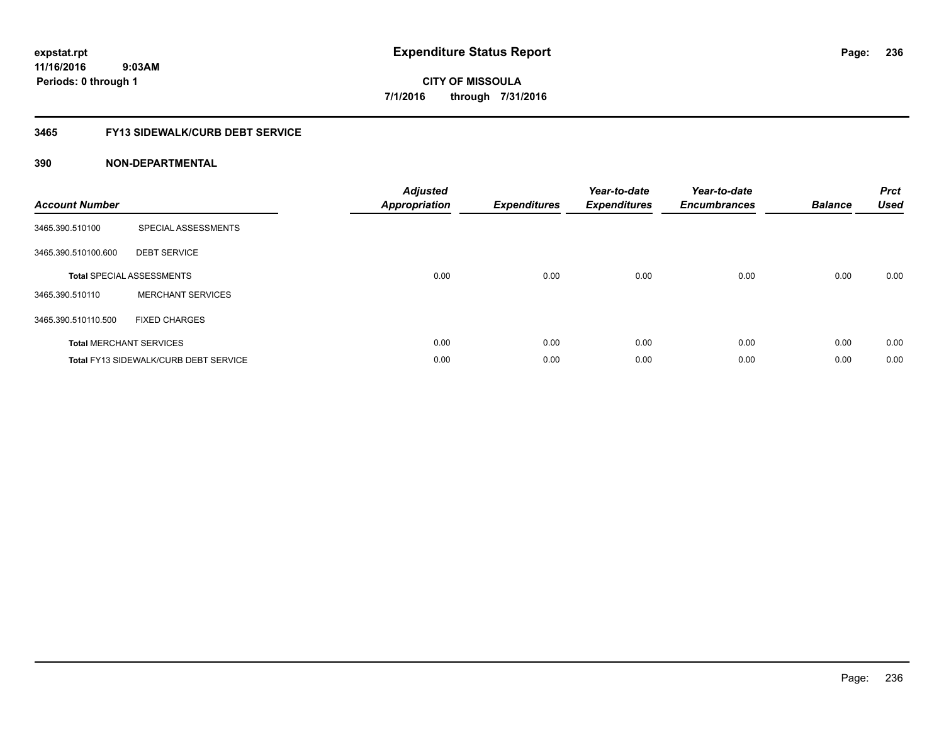# **3465 FY13 SIDEWALK/CURB DEBT SERVICE**

| <b>Account Number</b> |                                              | <b>Adjusted</b><br>Appropriation | <b>Expenditures</b> | Year-to-date<br><b>Expenditures</b> | Year-to-date<br><b>Encumbrances</b> | <b>Balance</b> | <b>Prct</b><br><b>Used</b> |
|-----------------------|----------------------------------------------|----------------------------------|---------------------|-------------------------------------|-------------------------------------|----------------|----------------------------|
| 3465.390.510100       | SPECIAL ASSESSMENTS                          |                                  |                     |                                     |                                     |                |                            |
| 3465.390.510100.600   | <b>DEBT SERVICE</b>                          |                                  |                     |                                     |                                     |                |                            |
|                       | <b>Total SPECIAL ASSESSMENTS</b>             | 0.00                             | 0.00                | 0.00                                | 0.00                                | 0.00           | 0.00                       |
| 3465.390.510110       | <b>MERCHANT SERVICES</b>                     |                                  |                     |                                     |                                     |                |                            |
| 3465.390.510110.500   | <b>FIXED CHARGES</b>                         |                                  |                     |                                     |                                     |                |                            |
|                       | <b>Total MERCHANT SERVICES</b>               | 0.00                             | 0.00                | 0.00                                | 0.00                                | 0.00           | 0.00                       |
|                       | <b>Total FY13 SIDEWALK/CURB DEBT SERVICE</b> | 0.00                             | 0.00                | 0.00                                | 0.00                                | 0.00           | 0.00                       |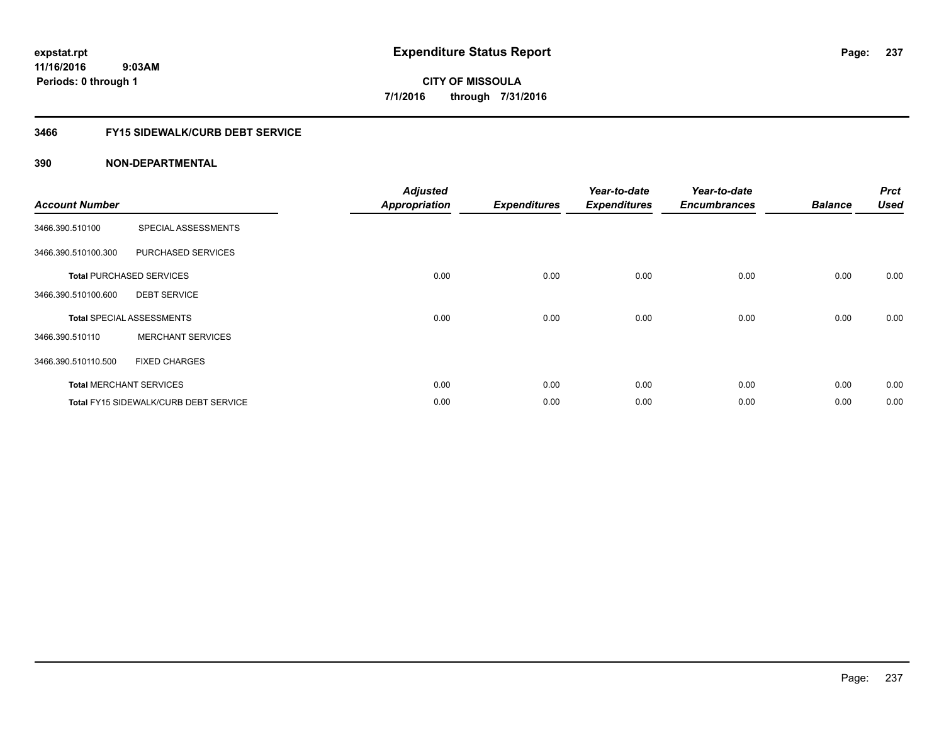## **3466 FY15 SIDEWALK/CURB DEBT SERVICE**

| <b>Account Number</b> |                                              | <b>Adjusted</b><br><b>Appropriation</b> | <b>Expenditures</b> | Year-to-date<br><b>Expenditures</b> | Year-to-date<br><b>Encumbrances</b> | <b>Balance</b> | <b>Prct</b><br><b>Used</b> |
|-----------------------|----------------------------------------------|-----------------------------------------|---------------------|-------------------------------------|-------------------------------------|----------------|----------------------------|
| 3466.390.510100       | SPECIAL ASSESSMENTS                          |                                         |                     |                                     |                                     |                |                            |
| 3466.390.510100.300   | PURCHASED SERVICES                           |                                         |                     |                                     |                                     |                |                            |
|                       | <b>Total PURCHASED SERVICES</b>              | 0.00                                    | 0.00                | 0.00                                | 0.00                                | 0.00           | 0.00                       |
| 3466.390.510100.600   | <b>DEBT SERVICE</b>                          |                                         |                     |                                     |                                     |                |                            |
|                       | <b>Total SPECIAL ASSESSMENTS</b>             | 0.00                                    | 0.00                | 0.00                                | 0.00                                | 0.00           | 0.00                       |
| 3466.390.510110       | <b>MERCHANT SERVICES</b>                     |                                         |                     |                                     |                                     |                |                            |
| 3466.390.510110.500   | <b>FIXED CHARGES</b>                         |                                         |                     |                                     |                                     |                |                            |
|                       | <b>Total MERCHANT SERVICES</b>               | 0.00                                    | 0.00                | 0.00                                | 0.00                                | 0.00           | 0.00                       |
|                       | <b>Total FY15 SIDEWALK/CURB DEBT SERVICE</b> | 0.00                                    | 0.00                | 0.00                                | 0.00                                | 0.00           | 0.00                       |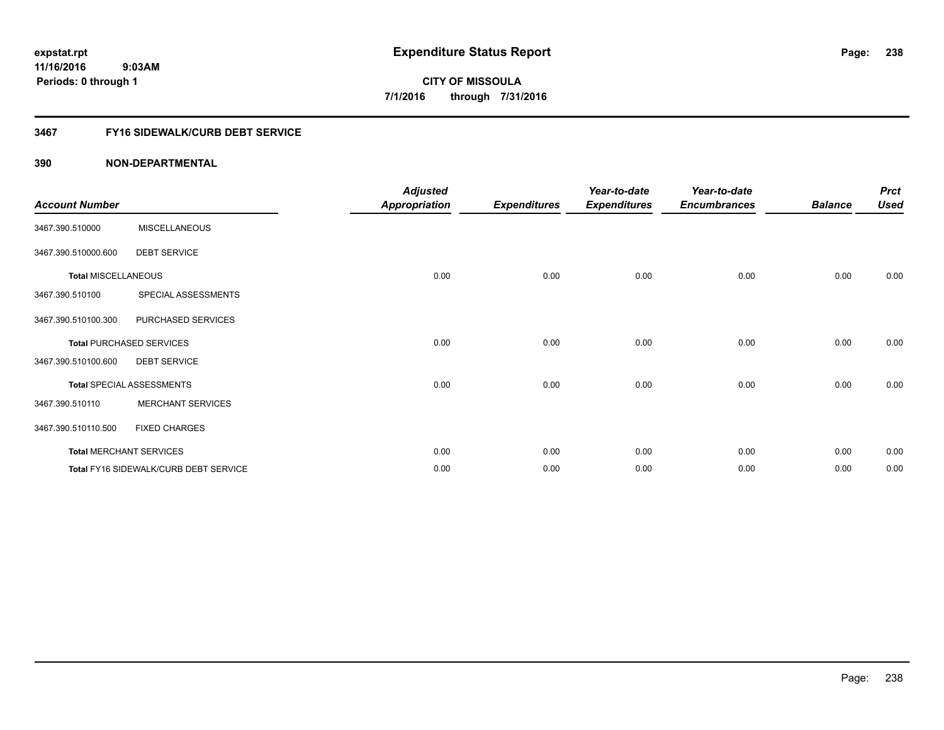## **3467 FY16 SIDEWALK/CURB DEBT SERVICE**

| <b>Account Number</b>      |                                       | <b>Adjusted</b><br><b>Appropriation</b> | <b>Expenditures</b> | Year-to-date<br><b>Expenditures</b> | Year-to-date<br><b>Encumbrances</b> | <b>Balance</b> | <b>Prct</b><br><b>Used</b> |
|----------------------------|---------------------------------------|-----------------------------------------|---------------------|-------------------------------------|-------------------------------------|----------------|----------------------------|
| 3467.390.510000            | <b>MISCELLANEOUS</b>                  |                                         |                     |                                     |                                     |                |                            |
| 3467.390.510000.600        | <b>DEBT SERVICE</b>                   |                                         |                     |                                     |                                     |                |                            |
| <b>Total MISCELLANEOUS</b> |                                       | 0.00                                    | 0.00                | 0.00                                | 0.00                                | 0.00           | 0.00                       |
| 3467.390.510100            | SPECIAL ASSESSMENTS                   |                                         |                     |                                     |                                     |                |                            |
| 3467.390.510100.300        | PURCHASED SERVICES                    |                                         |                     |                                     |                                     |                |                            |
|                            | <b>Total PURCHASED SERVICES</b>       | 0.00                                    | 0.00                | 0.00                                | 0.00                                | 0.00           | 0.00                       |
| 3467.390.510100.600        | <b>DEBT SERVICE</b>                   |                                         |                     |                                     |                                     |                |                            |
|                            | Total SPECIAL ASSESSMENTS             | 0.00                                    | 0.00                | 0.00                                | 0.00                                | 0.00           | 0.00                       |
| 3467.390.510110            | <b>MERCHANT SERVICES</b>              |                                         |                     |                                     |                                     |                |                            |
| 3467.390.510110.500        | <b>FIXED CHARGES</b>                  |                                         |                     |                                     |                                     |                |                            |
|                            | <b>Total MERCHANT SERVICES</b>        | 0.00                                    | 0.00                | 0.00                                | 0.00                                | 0.00           | 0.00                       |
|                            | Total FY16 SIDEWALK/CURB DEBT SERVICE | 0.00                                    | 0.00                | 0.00                                | 0.00                                | 0.00           | 0.00                       |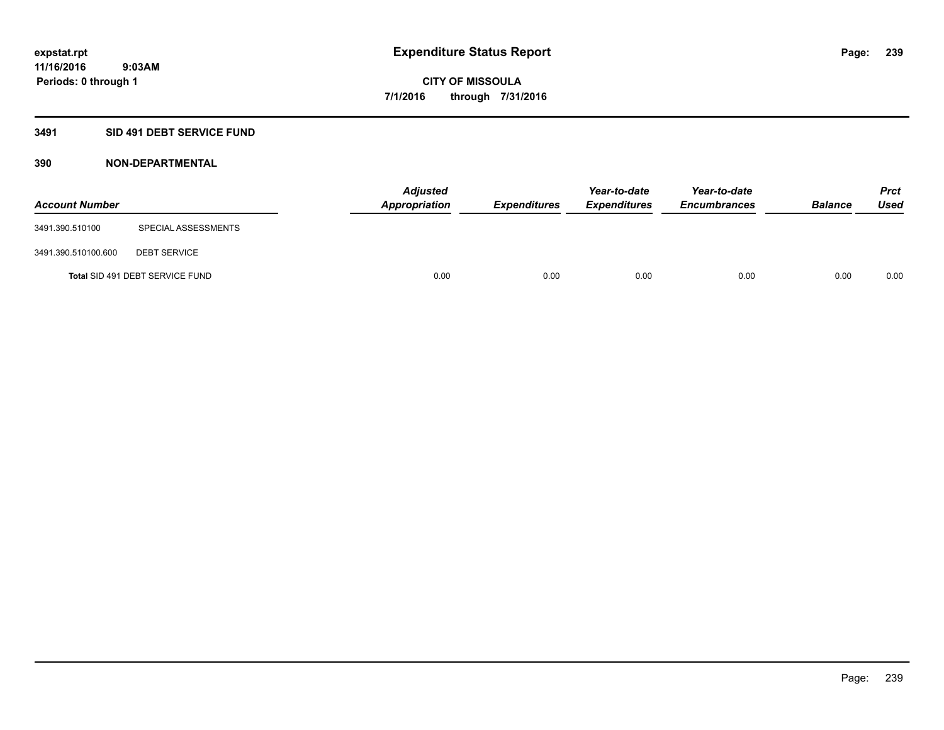## **3491 SID 491 DEBT SERVICE FUND**

| <b>Account Number</b> |                                 | <b>Adjusted</b><br><b>Appropriation</b> | <b>Expenditures</b> | Year-to-date<br><b>Expenditures</b> | Year-to-date<br><b>Encumbrances</b> | <b>Balance</b> | <b>Prct</b><br><b>Used</b> |
|-----------------------|---------------------------------|-----------------------------------------|---------------------|-------------------------------------|-------------------------------------|----------------|----------------------------|
| 3491.390.510100       | SPECIAL ASSESSMENTS             |                                         |                     |                                     |                                     |                |                            |
| 3491.390.510100.600   | <b>DEBT SERVICE</b>             |                                         |                     |                                     |                                     |                |                            |
|                       | Total SID 491 DEBT SERVICE FUND | 0.00                                    | 0.00                | 0.00                                | 0.00                                | 0.00           | 0.00                       |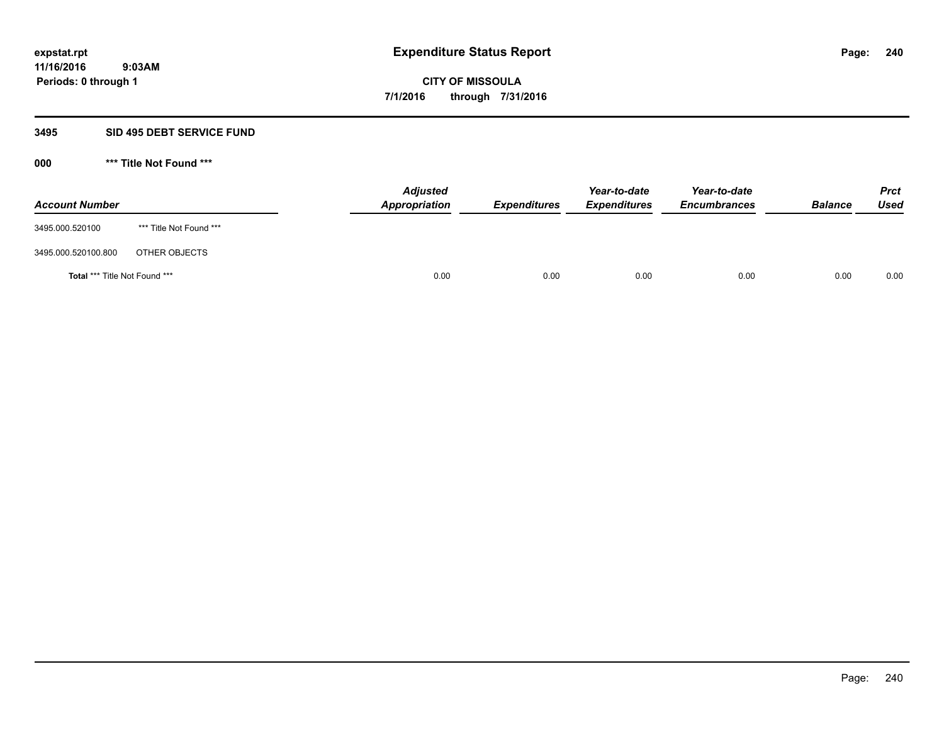#### **3495 SID 495 DEBT SERVICE FUND**

| <b>Account Number</b>                |                         | <b>Adjusted</b><br>Appropriation | <b>Expenditures</b> | Year-to-date<br><b>Expenditures</b> | Year-to-date<br><b>Encumbrances</b> | <b>Balance</b> | <b>Prct</b><br>Used |
|--------------------------------------|-------------------------|----------------------------------|---------------------|-------------------------------------|-------------------------------------|----------------|---------------------|
| 3495.000.520100                      | *** Title Not Found *** |                                  |                     |                                     |                                     |                |                     |
| 3495.000.520100.800                  | OTHER OBJECTS           |                                  |                     |                                     |                                     |                |                     |
| <b>Total *** Title Not Found ***</b> |                         | 0.00                             | 0.00                | 0.00                                | 0.00                                | 0.00           | 0.00                |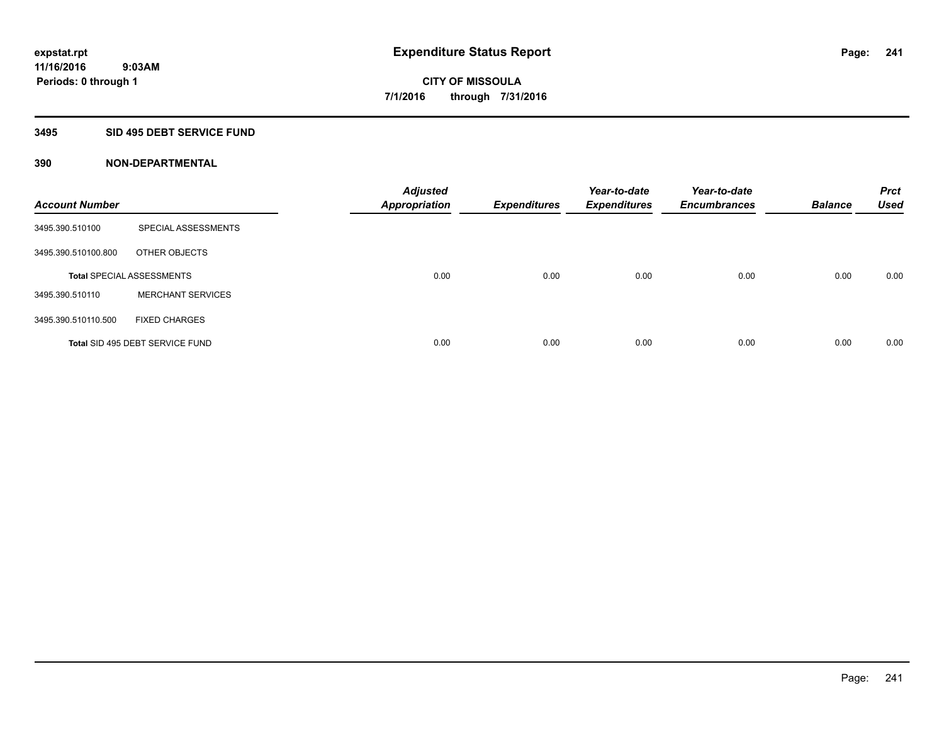#### **3495 SID 495 DEBT SERVICE FUND**

| <b>Account Number</b> |                                  | <b>Adjusted</b><br><b>Appropriation</b> | <b>Expenditures</b> | Year-to-date<br><b>Expenditures</b> | Year-to-date<br><b>Encumbrances</b> | <b>Balance</b> | <b>Prct</b><br><b>Used</b> |
|-----------------------|----------------------------------|-----------------------------------------|---------------------|-------------------------------------|-------------------------------------|----------------|----------------------------|
| 3495.390.510100       | SPECIAL ASSESSMENTS              |                                         |                     |                                     |                                     |                |                            |
| 3495.390.510100.800   | OTHER OBJECTS                    |                                         |                     |                                     |                                     |                |                            |
|                       | <b>Total SPECIAL ASSESSMENTS</b> | 0.00                                    | 0.00                | 0.00                                | 0.00                                | 0.00           | 0.00                       |
| 3495.390.510110       | <b>MERCHANT SERVICES</b>         |                                         |                     |                                     |                                     |                |                            |
| 3495.390.510110.500   | <b>FIXED CHARGES</b>             |                                         |                     |                                     |                                     |                |                            |
|                       | Total SID 495 DEBT SERVICE FUND  | 0.00                                    | 0.00                | 0.00                                | 0.00                                | 0.00           | 0.00                       |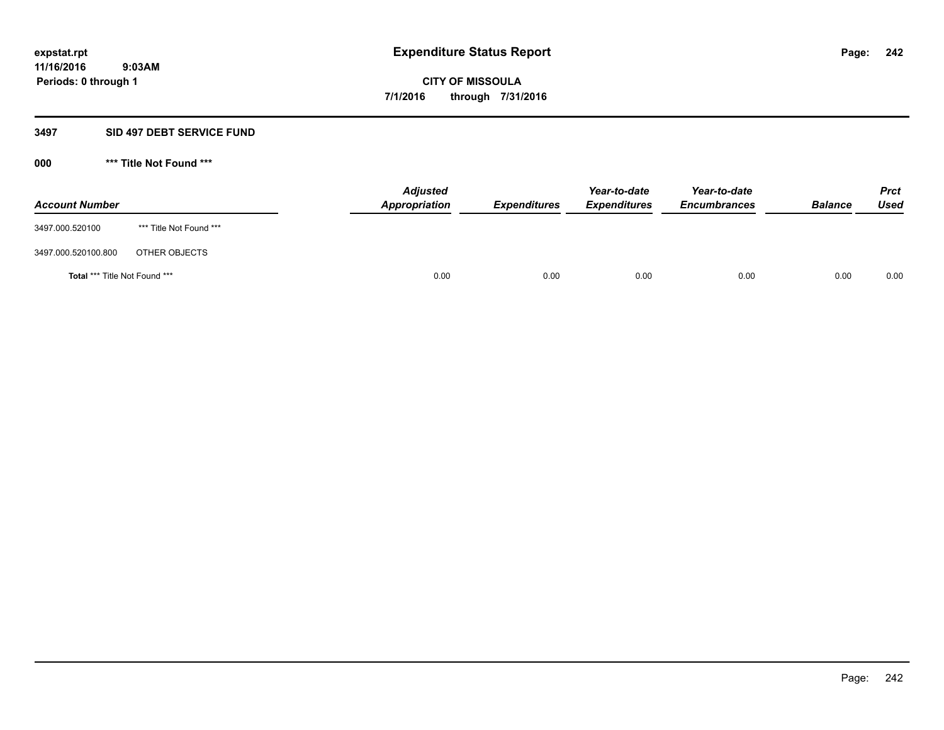#### **3497 SID 497 DEBT SERVICE FUND**

| <b>Account Number</b>                |                         | <b>Adjusted</b><br>Appropriation | <b>Expenditures</b> | Year-to-date<br><b>Expenditures</b> | Year-to-date<br><b>Encumbrances</b> | <b>Balance</b> | <b>Prct</b><br>Used |
|--------------------------------------|-------------------------|----------------------------------|---------------------|-------------------------------------|-------------------------------------|----------------|---------------------|
| 3497.000.520100                      | *** Title Not Found *** |                                  |                     |                                     |                                     |                |                     |
| 3497.000.520100.800                  | OTHER OBJECTS           |                                  |                     |                                     |                                     |                |                     |
| <b>Total *** Title Not Found ***</b> |                         | 0.00                             | 0.00                | 0.00                                | 0.00                                | 0.00           | 0.00                |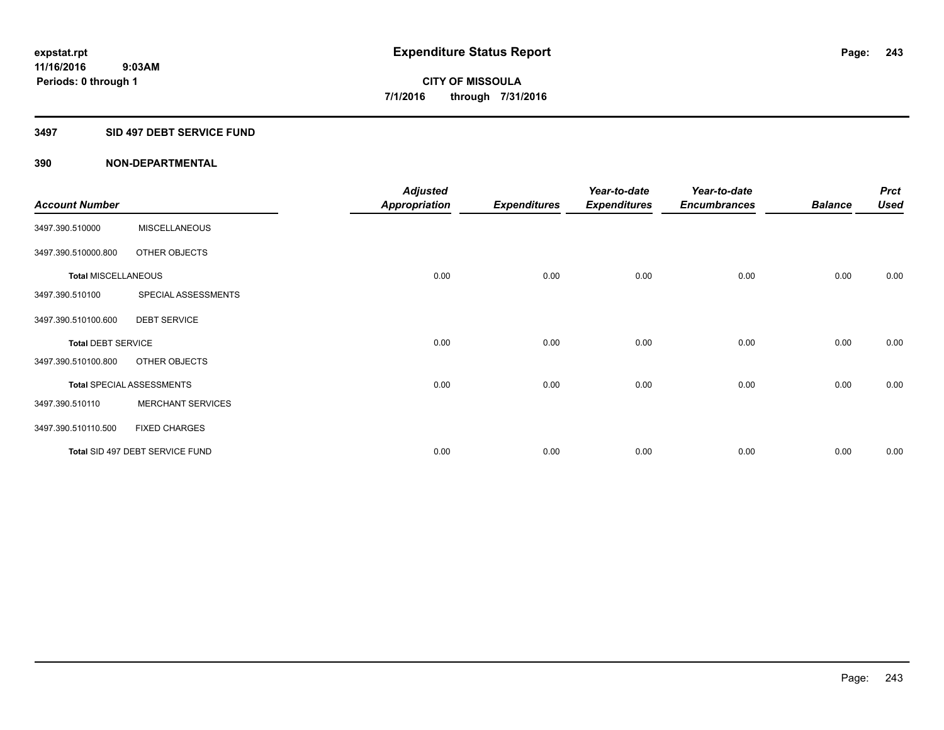#### **3497 SID 497 DEBT SERVICE FUND**

|                            |                                  | <b>Adjusted</b> |                     | Year-to-date        | Year-to-date        |                | <b>Prct</b> |
|----------------------------|----------------------------------|-----------------|---------------------|---------------------|---------------------|----------------|-------------|
| <b>Account Number</b>      |                                  | Appropriation   | <b>Expenditures</b> | <b>Expenditures</b> | <b>Encumbrances</b> | <b>Balance</b> | <b>Used</b> |
| 3497.390.510000            | <b>MISCELLANEOUS</b>             |                 |                     |                     |                     |                |             |
| 3497.390.510000.800        | OTHER OBJECTS                    |                 |                     |                     |                     |                |             |
| <b>Total MISCELLANEOUS</b> |                                  | 0.00            | 0.00                | 0.00                | 0.00                | 0.00           | 0.00        |
| 3497.390.510100            | SPECIAL ASSESSMENTS              |                 |                     |                     |                     |                |             |
| 3497.390.510100.600        | <b>DEBT SERVICE</b>              |                 |                     |                     |                     |                |             |
| <b>Total DEBT SERVICE</b>  |                                  | 0.00            | 0.00                | 0.00                | 0.00                | 0.00           | 0.00        |
| 3497.390.510100.800        | OTHER OBJECTS                    |                 |                     |                     |                     |                |             |
|                            | <b>Total SPECIAL ASSESSMENTS</b> | 0.00            | 0.00                | 0.00                | 0.00                | 0.00           | 0.00        |
| 3497.390.510110            | <b>MERCHANT SERVICES</b>         |                 |                     |                     |                     |                |             |
| 3497.390.510110.500        | <b>FIXED CHARGES</b>             |                 |                     |                     |                     |                |             |
|                            | Total SID 497 DEBT SERVICE FUND  | 0.00            | 0.00                | 0.00                | 0.00                | 0.00           | 0.00        |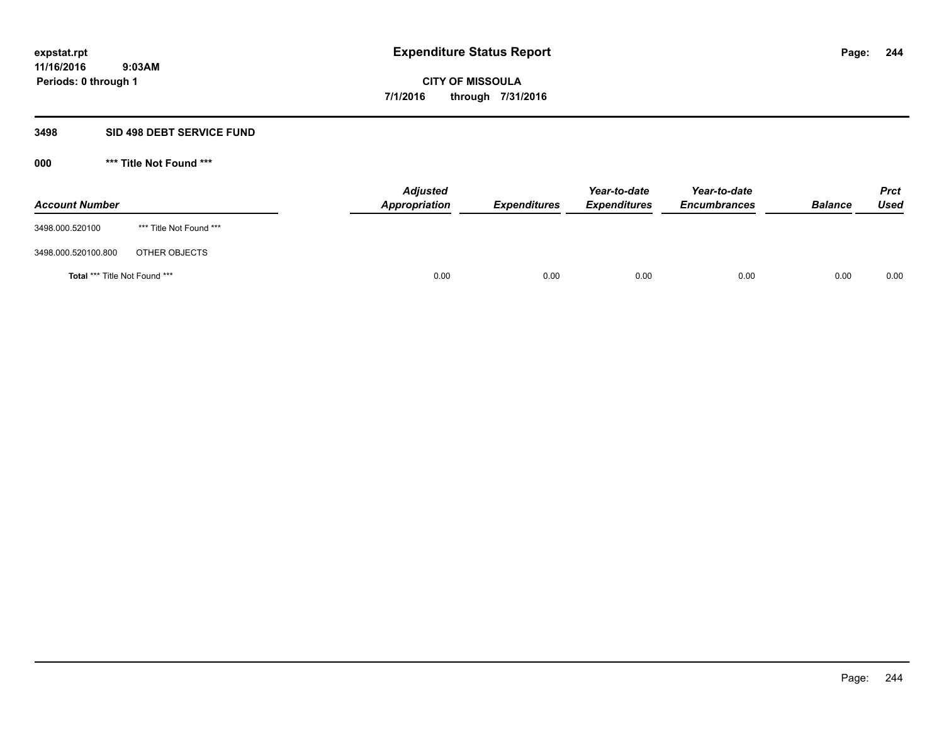#### **3498 SID 498 DEBT SERVICE FUND**

| <b>Account Number</b>                |                         | <b>Adjusted</b><br>Appropriation | <b>Expenditures</b> | Year-to-date<br><b>Expenditures</b> | Year-to-date<br><b>Encumbrances</b> | <b>Balance</b> | <b>Prct</b><br>Used |
|--------------------------------------|-------------------------|----------------------------------|---------------------|-------------------------------------|-------------------------------------|----------------|---------------------|
| 3498.000.520100                      | *** Title Not Found *** |                                  |                     |                                     |                                     |                |                     |
| 3498.000.520100.800                  | OTHER OBJECTS           |                                  |                     |                                     |                                     |                |                     |
| <b>Total *** Title Not Found ***</b> |                         | 0.00                             | 0.00                | 0.00                                | 0.00                                | 0.00           | 0.00                |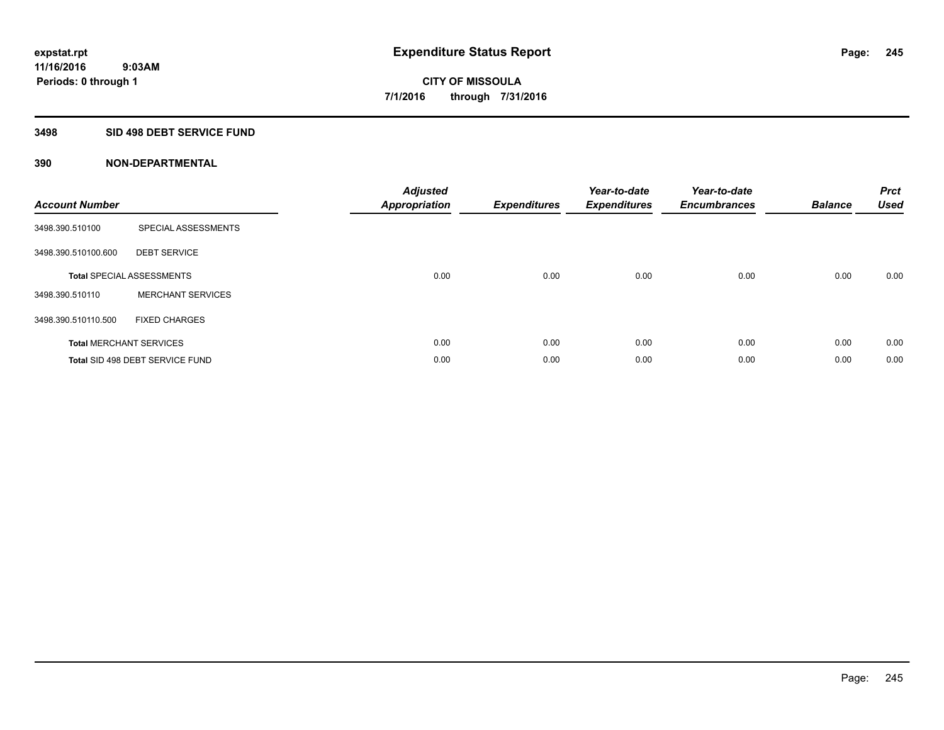### **3498 SID 498 DEBT SERVICE FUND**

| <b>Account Number</b> |                                  | <b>Adjusted</b><br>Appropriation | <b>Expenditures</b> | Year-to-date<br><b>Expenditures</b> | Year-to-date<br><b>Encumbrances</b> | <b>Balance</b> | <b>Prct</b><br><b>Used</b> |
|-----------------------|----------------------------------|----------------------------------|---------------------|-------------------------------------|-------------------------------------|----------------|----------------------------|
| 3498.390.510100       | SPECIAL ASSESSMENTS              |                                  |                     |                                     |                                     |                |                            |
| 3498.390.510100.600   | <b>DEBT SERVICE</b>              |                                  |                     |                                     |                                     |                |                            |
|                       | <b>Total SPECIAL ASSESSMENTS</b> | 0.00                             | 0.00                | 0.00                                | 0.00                                | 0.00           | 0.00                       |
| 3498.390.510110       | <b>MERCHANT SERVICES</b>         |                                  |                     |                                     |                                     |                |                            |
| 3498.390.510110.500   | <b>FIXED CHARGES</b>             |                                  |                     |                                     |                                     |                |                            |
|                       | <b>Total MERCHANT SERVICES</b>   | 0.00                             | 0.00                | 0.00                                | 0.00                                | 0.00           | 0.00                       |
|                       | Total SID 498 DEBT SERVICE FUND  | 0.00                             | 0.00                | 0.00                                | 0.00                                | 0.00           | 0.00                       |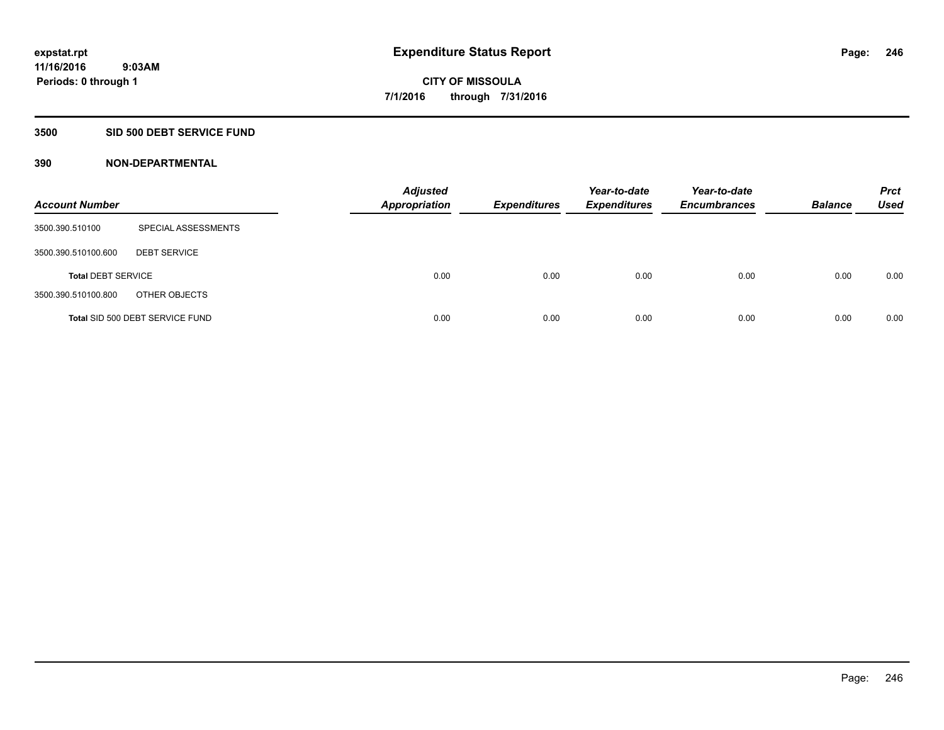### **3500 SID 500 DEBT SERVICE FUND**

| <b>Account Number</b>     |                                 | <b>Adjusted</b><br><b>Appropriation</b> | <b>Expenditures</b> | Year-to-date<br><b>Expenditures</b> | Year-to-date<br><b>Encumbrances</b> | <b>Balance</b> | <b>Prct</b><br><b>Used</b> |
|---------------------------|---------------------------------|-----------------------------------------|---------------------|-------------------------------------|-------------------------------------|----------------|----------------------------|
| 3500.390.510100           | SPECIAL ASSESSMENTS             |                                         |                     |                                     |                                     |                |                            |
| 3500.390.510100.600       | <b>DEBT SERVICE</b>             |                                         |                     |                                     |                                     |                |                            |
| <b>Total DEBT SERVICE</b> |                                 | 0.00                                    | 0.00                | 0.00                                | 0.00                                | 0.00           | 0.00                       |
| 3500.390.510100.800       | OTHER OBJECTS                   |                                         |                     |                                     |                                     |                |                            |
|                           | Total SID 500 DEBT SERVICE FUND | 0.00                                    | 0.00                | 0.00                                | 0.00                                | 0.00           | 0.00                       |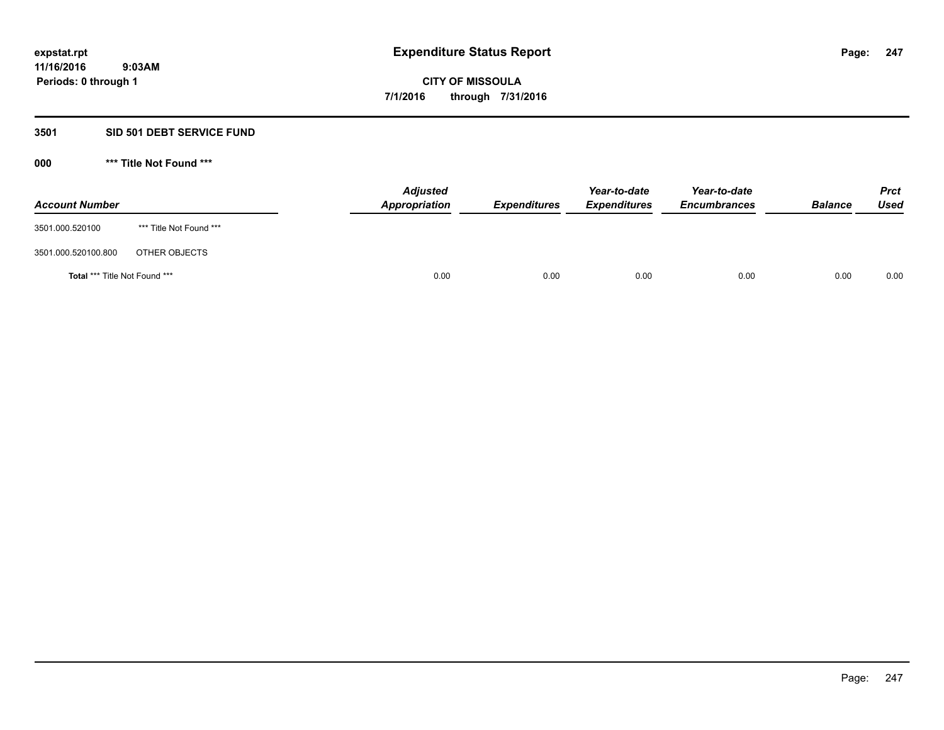#### **3501 SID 501 DEBT SERVICE FUND**

| <b>Account Number</b>                |                         | <b>Adjusted</b><br>Appropriation | <b>Expenditures</b> | Year-to-date<br><b>Expenditures</b> | Year-to-date<br><b>Encumbrances</b> | <b>Balance</b> | <b>Prct</b><br><b>Used</b> |
|--------------------------------------|-------------------------|----------------------------------|---------------------|-------------------------------------|-------------------------------------|----------------|----------------------------|
| 3501.000.520100                      | *** Title Not Found *** |                                  |                     |                                     |                                     |                |                            |
| 3501.000.520100.800                  | OTHER OBJECTS           |                                  |                     |                                     |                                     |                |                            |
| <b>Total *** Title Not Found ***</b> |                         | 0.00                             | 0.00                | 0.00                                | 0.00                                | 0.00           | 0.00                       |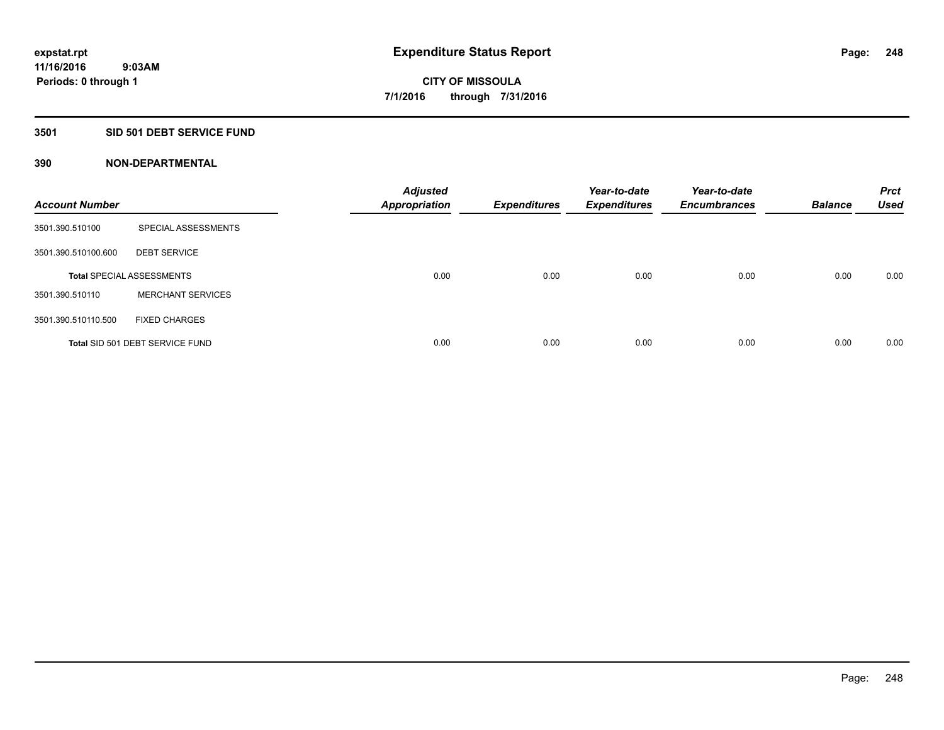#### **3501 SID 501 DEBT SERVICE FUND**

| <b>Account Number</b> |                                  | <b>Adjusted</b><br>Appropriation | <b>Expenditures</b> | Year-to-date<br><b>Expenditures</b> | Year-to-date<br><b>Encumbrances</b> | <b>Balance</b> | <b>Prct</b><br><b>Used</b> |
|-----------------------|----------------------------------|----------------------------------|---------------------|-------------------------------------|-------------------------------------|----------------|----------------------------|
| 3501.390.510100       | SPECIAL ASSESSMENTS              |                                  |                     |                                     |                                     |                |                            |
| 3501.390.510100.600   | <b>DEBT SERVICE</b>              |                                  |                     |                                     |                                     |                |                            |
|                       | <b>Total SPECIAL ASSESSMENTS</b> | 0.00                             | 0.00                | 0.00                                | 0.00                                | 0.00           | 0.00                       |
| 3501.390.510110       | <b>MERCHANT SERVICES</b>         |                                  |                     |                                     |                                     |                |                            |
| 3501.390.510110.500   | <b>FIXED CHARGES</b>             |                                  |                     |                                     |                                     |                |                            |
|                       | Total SID 501 DEBT SERVICE FUND  | 0.00                             | 0.00                | 0.00                                | 0.00                                | 0.00           | 0.00                       |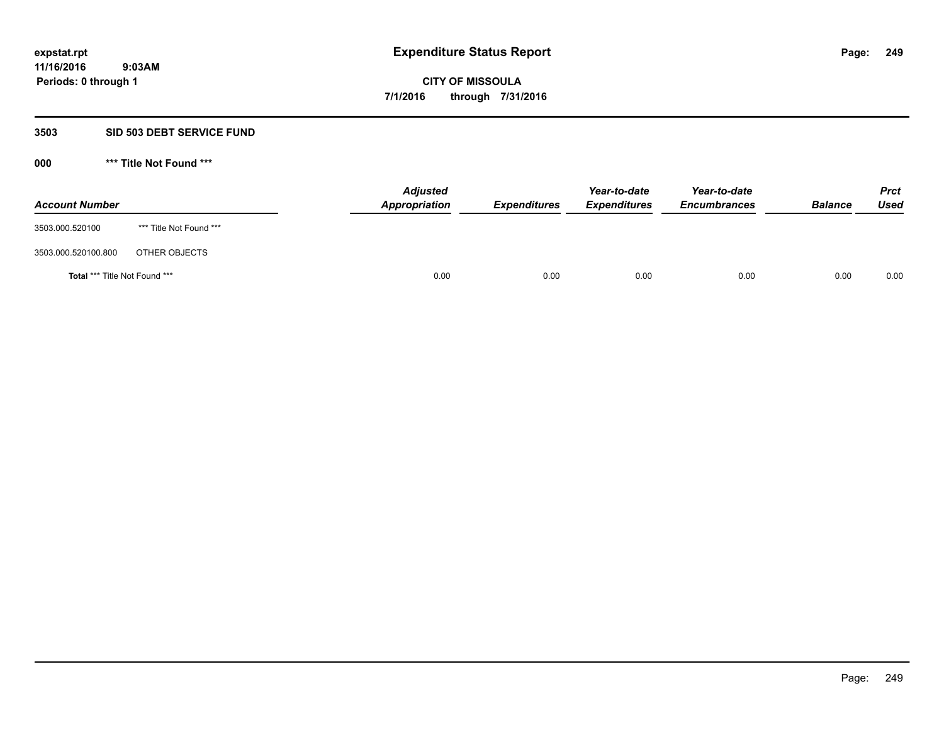#### **3503 SID 503 DEBT SERVICE FUND**

| <b>Account Number</b>                |                         | <b>Adjusted</b><br>Appropriation | <b>Expenditures</b> | Year-to-date<br><b>Expenditures</b> | Year-to-date<br><b>Encumbrances</b> | <b>Balance</b> | <b>Prct</b><br><b>Used</b> |
|--------------------------------------|-------------------------|----------------------------------|---------------------|-------------------------------------|-------------------------------------|----------------|----------------------------|
| 3503.000.520100                      | *** Title Not Found *** |                                  |                     |                                     |                                     |                |                            |
| 3503.000.520100.800                  | OTHER OBJECTS           |                                  |                     |                                     |                                     |                |                            |
| <b>Total *** Title Not Found ***</b> |                         | 0.00                             | 0.00                | 0.00                                | 0.00                                | 0.00           | 0.00                       |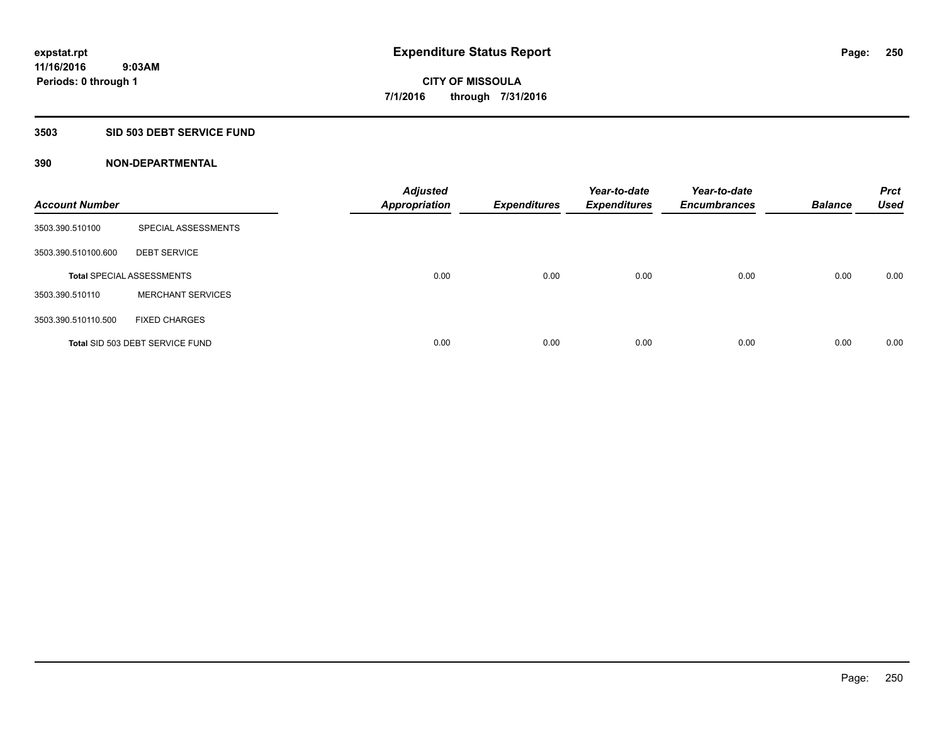## **3503 SID 503 DEBT SERVICE FUND**

| <b>Account Number</b> |                                  | <b>Adjusted</b><br><b>Appropriation</b> | <b>Expenditures</b> | Year-to-date<br><b>Expenditures</b> | Year-to-date<br><b>Encumbrances</b> | <b>Balance</b> | <b>Prct</b><br><b>Used</b> |
|-----------------------|----------------------------------|-----------------------------------------|---------------------|-------------------------------------|-------------------------------------|----------------|----------------------------|
| 3503.390.510100       | SPECIAL ASSESSMENTS              |                                         |                     |                                     |                                     |                |                            |
| 3503.390.510100.600   | <b>DEBT SERVICE</b>              |                                         |                     |                                     |                                     |                |                            |
|                       | <b>Total SPECIAL ASSESSMENTS</b> | 0.00                                    | 0.00                | 0.00                                | 0.00                                | 0.00           | 0.00                       |
| 3503.390.510110       | <b>MERCHANT SERVICES</b>         |                                         |                     |                                     |                                     |                |                            |
| 3503.390.510110.500   | <b>FIXED CHARGES</b>             |                                         |                     |                                     |                                     |                |                            |
|                       | Total SID 503 DEBT SERVICE FUND  | 0.00                                    | 0.00                | 0.00                                | 0.00                                | 0.00           | 0.00                       |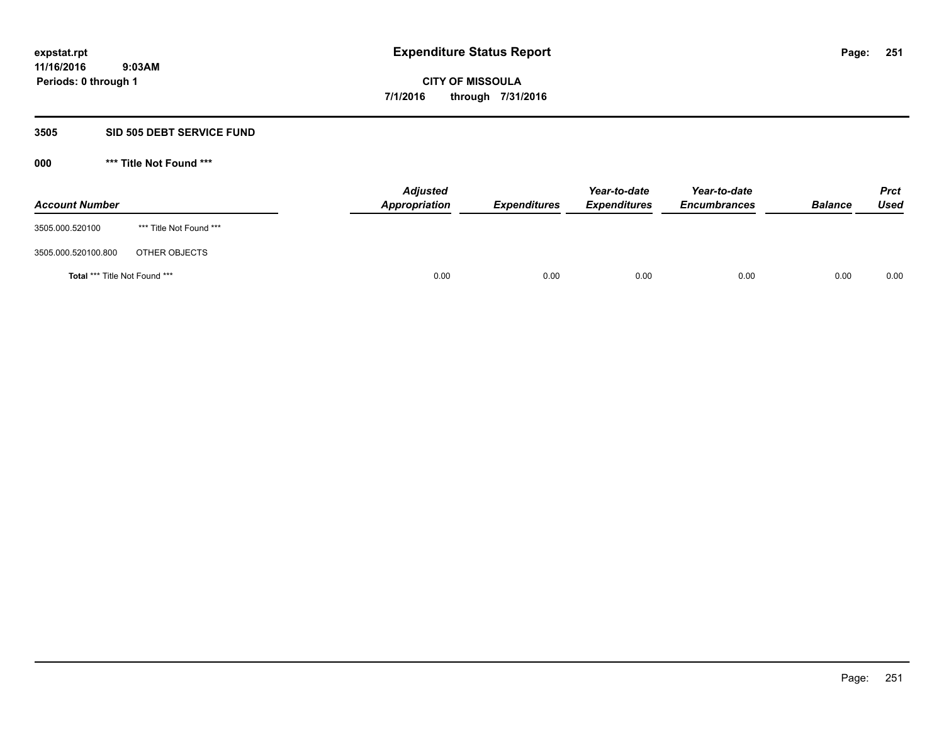#### **3505 SID 505 DEBT SERVICE FUND**

| <b>Account Number</b>         |                         | <b>Adjusted</b><br>Appropriation | <b>Expenditures</b> | Year-to-date<br><b>Expenditures</b> | Year-to-date<br><b>Encumbrances</b> | <b>Balance</b> | <b>Prct</b><br><b>Used</b> |
|-------------------------------|-------------------------|----------------------------------|---------------------|-------------------------------------|-------------------------------------|----------------|----------------------------|
| 3505.000.520100               | *** Title Not Found *** |                                  |                     |                                     |                                     |                |                            |
| 3505.000.520100.800           | OTHER OBJECTS           |                                  |                     |                                     |                                     |                |                            |
| Total *** Title Not Found *** |                         | 0.00                             | 0.00                | 0.00                                | 0.00                                | 0.00           | 0.00                       |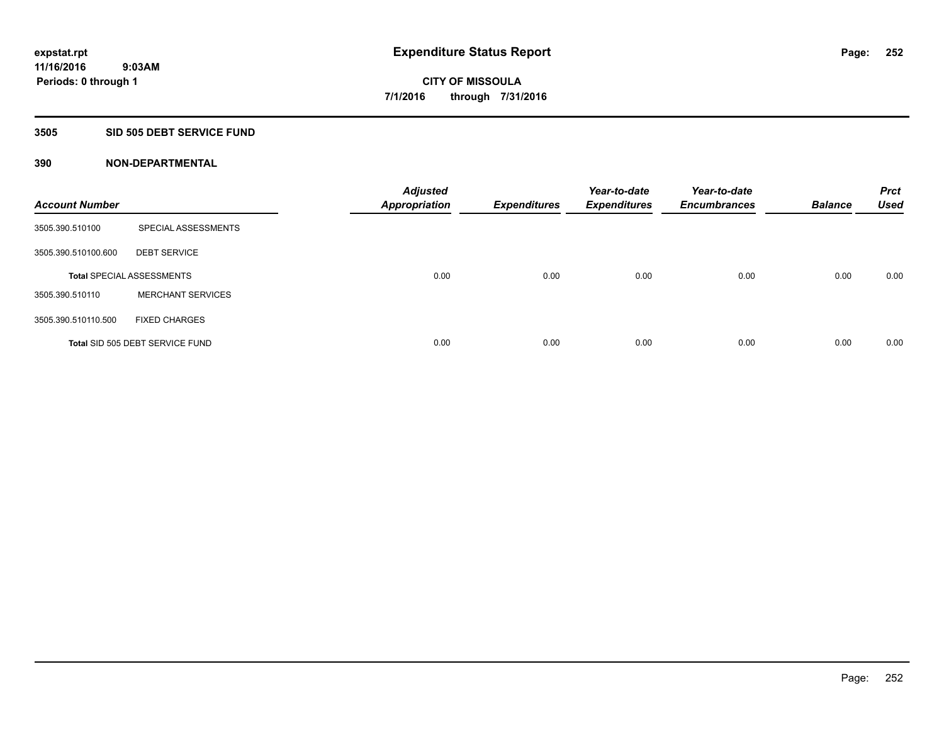### **3505 SID 505 DEBT SERVICE FUND**

| <b>Account Number</b> |                                  | <b>Adjusted</b><br><b>Appropriation</b> | <b>Expenditures</b> | Year-to-date<br><b>Expenditures</b> | Year-to-date<br><b>Encumbrances</b> | <b>Balance</b> | <b>Prct</b><br><b>Used</b> |
|-----------------------|----------------------------------|-----------------------------------------|---------------------|-------------------------------------|-------------------------------------|----------------|----------------------------|
| 3505.390.510100       | SPECIAL ASSESSMENTS              |                                         |                     |                                     |                                     |                |                            |
| 3505.390.510100.600   | <b>DEBT SERVICE</b>              |                                         |                     |                                     |                                     |                |                            |
|                       | <b>Total SPECIAL ASSESSMENTS</b> | 0.00                                    | 0.00                | 0.00                                | 0.00                                | 0.00           | 0.00                       |
| 3505.390.510110       | <b>MERCHANT SERVICES</b>         |                                         |                     |                                     |                                     |                |                            |
| 3505.390.510110.500   | <b>FIXED CHARGES</b>             |                                         |                     |                                     |                                     |                |                            |
|                       | Total SID 505 DEBT SERVICE FUND  | 0.00                                    | 0.00                | 0.00                                | 0.00                                | 0.00           | 0.00                       |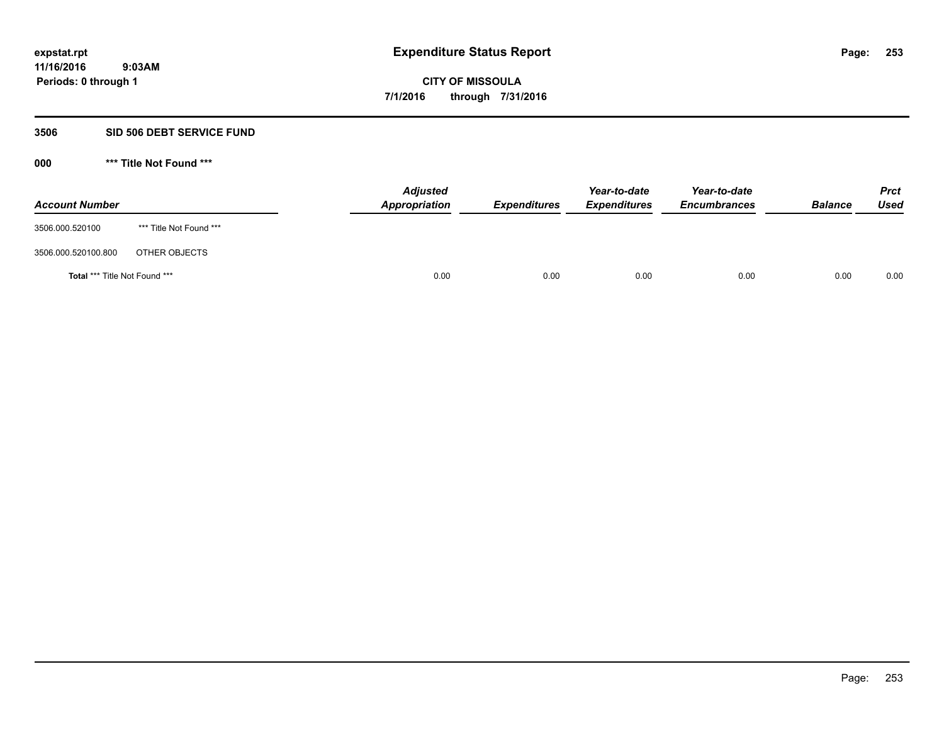#### **3506 SID 506 DEBT SERVICE FUND**

| <b>Account Number</b>                |                         | <b>Adjusted</b><br>Appropriation | <b>Expenditures</b> | Year-to-date<br><b>Expenditures</b> | Year-to-date<br><b>Encumbrances</b> | <b>Balance</b> | <b>Prct</b><br><b>Used</b> |
|--------------------------------------|-------------------------|----------------------------------|---------------------|-------------------------------------|-------------------------------------|----------------|----------------------------|
| 3506.000.520100                      | *** Title Not Found *** |                                  |                     |                                     |                                     |                |                            |
| 3506.000.520100.800                  | OTHER OBJECTS           |                                  |                     |                                     |                                     |                |                            |
| <b>Total *** Title Not Found ***</b> |                         | 0.00                             | 0.00                | 0.00                                | 0.00                                | 0.00           | 0.00                       |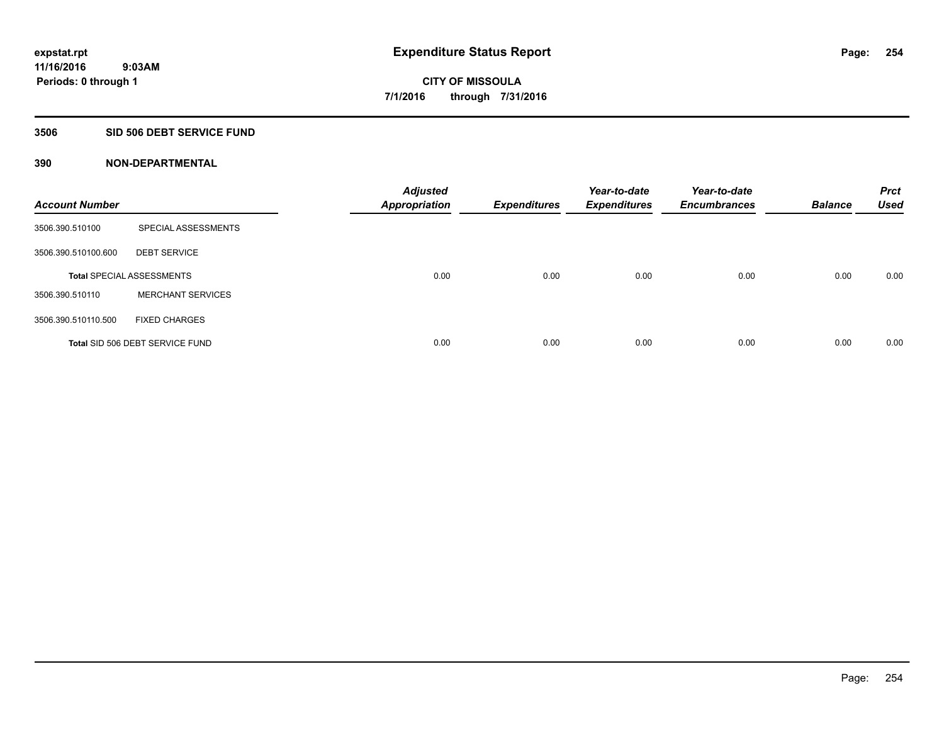### **3506 SID 506 DEBT SERVICE FUND**

| <b>Account Number</b> |                                  | <b>Adjusted</b><br>Appropriation | <b>Expenditures</b> | Year-to-date<br><b>Expenditures</b> | Year-to-date<br><b>Encumbrances</b> | <b>Balance</b> | <b>Prct</b><br><b>Used</b> |
|-----------------------|----------------------------------|----------------------------------|---------------------|-------------------------------------|-------------------------------------|----------------|----------------------------|
| 3506.390.510100       | SPECIAL ASSESSMENTS              |                                  |                     |                                     |                                     |                |                            |
| 3506.390.510100.600   | <b>DEBT SERVICE</b>              |                                  |                     |                                     |                                     |                |                            |
|                       | <b>Total SPECIAL ASSESSMENTS</b> | 0.00                             | 0.00                | 0.00                                | 0.00                                | 0.00           | 0.00                       |
| 3506.390.510110       | <b>MERCHANT SERVICES</b>         |                                  |                     |                                     |                                     |                |                            |
| 3506.390.510110.500   | <b>FIXED CHARGES</b>             |                                  |                     |                                     |                                     |                |                            |
|                       | Total SID 506 DEBT SERVICE FUND  | 0.00                             | 0.00                | 0.00                                | 0.00                                | 0.00           | 0.00                       |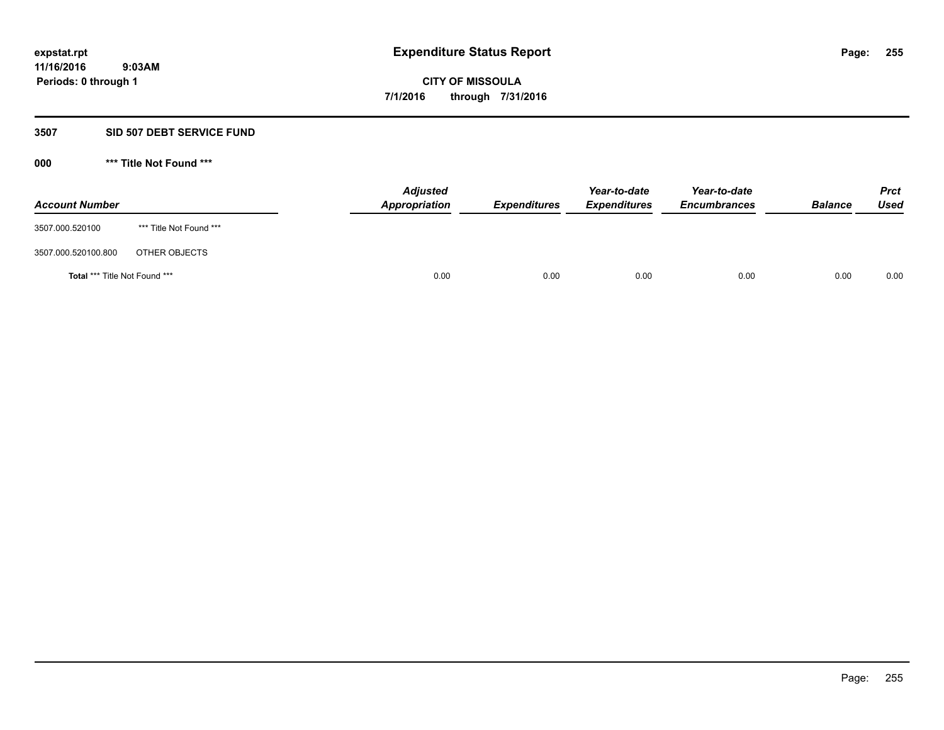#### **3507 SID 507 DEBT SERVICE FUND**

| <b>Account Number</b>                |                         | <b>Adjusted</b><br><b>Appropriation</b> | <b>Expenditures</b> | Year-to-date<br><b>Expenditures</b> | Year-to-date<br><b>Encumbrances</b> | <b>Balance</b> | <b>Prct</b><br><b>Used</b> |
|--------------------------------------|-------------------------|-----------------------------------------|---------------------|-------------------------------------|-------------------------------------|----------------|----------------------------|
| 3507.000.520100                      | *** Title Not Found *** |                                         |                     |                                     |                                     |                |                            |
| 3507.000.520100.800                  | OTHER OBJECTS           |                                         |                     |                                     |                                     |                |                            |
| <b>Total *** Title Not Found ***</b> |                         | 0.00                                    | 0.00                | 0.00                                | 0.00                                | 0.00           | 0.00                       |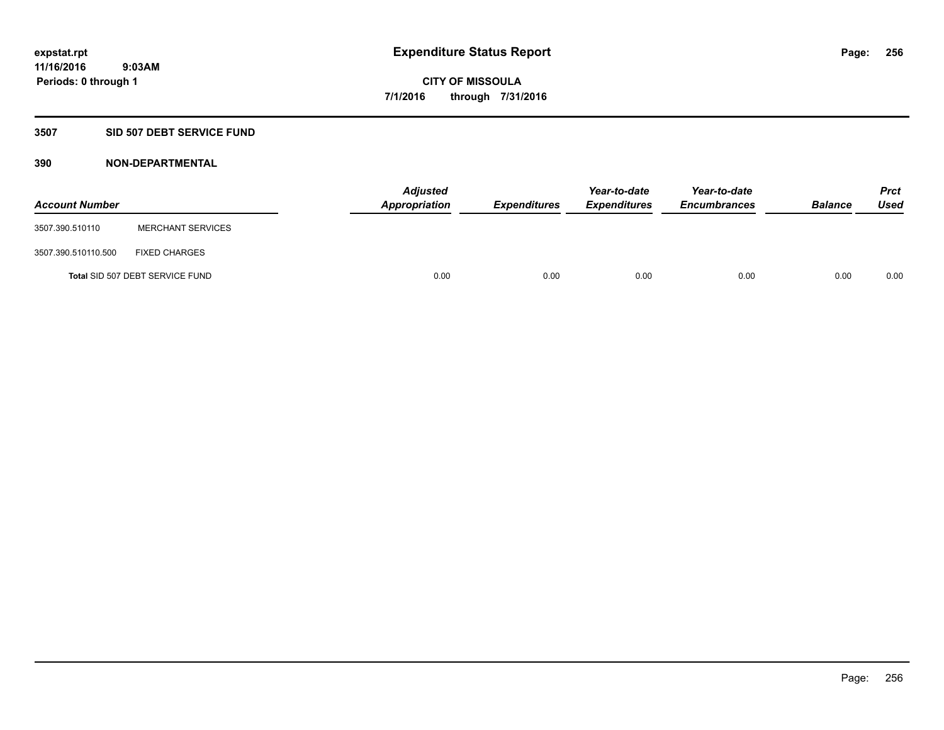#### **3507 SID 507 DEBT SERVICE FUND**

| <b>Account Number</b> |                                 | <b>Adjusted</b><br>Appropriation | <b>Expenditures</b> | Year-to-date<br><b>Expenditures</b> | Year-to-date<br><b>Encumbrances</b> | <b>Balance</b> | <b>Prct</b><br><b>Used</b> |
|-----------------------|---------------------------------|----------------------------------|---------------------|-------------------------------------|-------------------------------------|----------------|----------------------------|
| 3507.390.510110       | <b>MERCHANT SERVICES</b>        |                                  |                     |                                     |                                     |                |                            |
| 3507.390.510110.500   | <b>FIXED CHARGES</b>            |                                  |                     |                                     |                                     |                |                            |
|                       | Total SID 507 DEBT SERVICE FUND | 0.00                             | 0.00                | 0.00                                | 0.00                                | 0.00           | 0.00                       |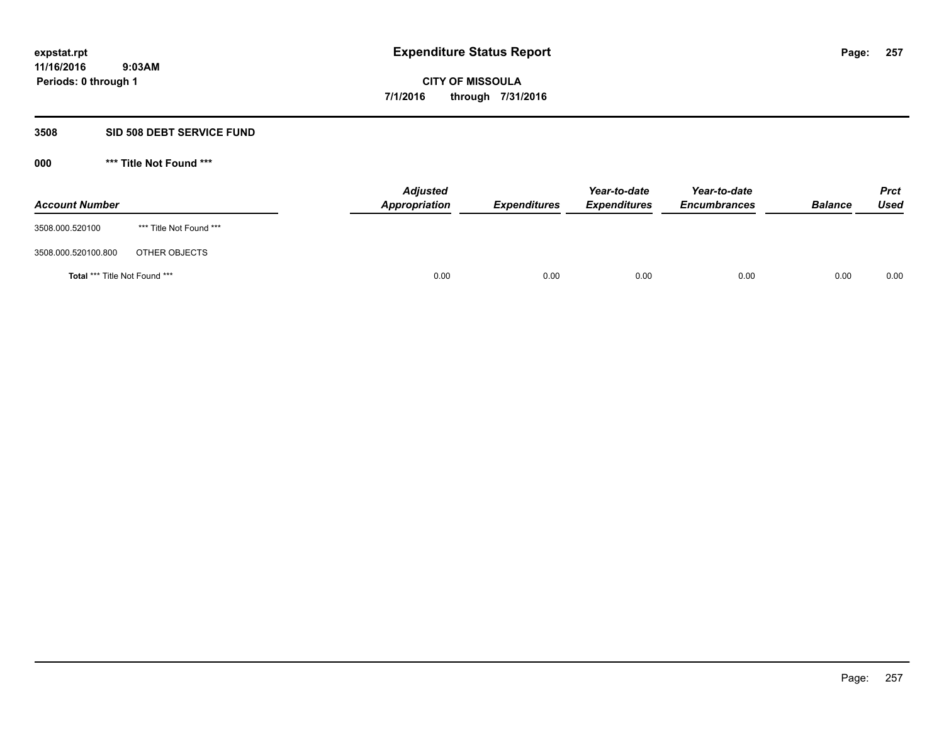#### **3508 SID 508 DEBT SERVICE FUND**

| <b>Account Number</b>                |                         | <b>Adjusted</b><br>Appropriation | <b>Expenditures</b> | Year-to-date<br><b>Expenditures</b> | Year-to-date<br><b>Encumbrances</b> | <b>Balance</b> | <b>Prct</b><br><b>Used</b> |
|--------------------------------------|-------------------------|----------------------------------|---------------------|-------------------------------------|-------------------------------------|----------------|----------------------------|
| 3508.000.520100                      | *** Title Not Found *** |                                  |                     |                                     |                                     |                |                            |
| 3508.000.520100.800                  | OTHER OBJECTS           |                                  |                     |                                     |                                     |                |                            |
| <b>Total *** Title Not Found ***</b> |                         | 0.00                             | 0.00                | 0.00                                | 0.00                                | 0.00           | 0.00                       |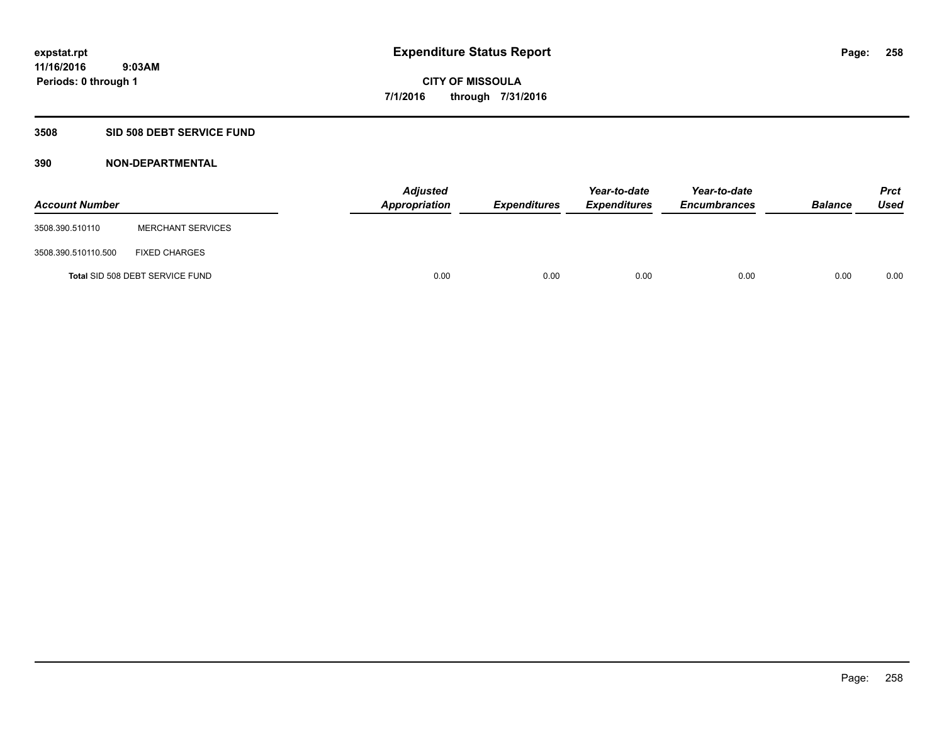### **3508 SID 508 DEBT SERVICE FUND**

| <b>Account Number</b> |                                 | <b>Adjusted</b><br>Appropriation | <b>Expenditures</b> | Year-to-date<br><b>Expenditures</b> | Year-to-date<br><b>Encumbrances</b> | <b>Balance</b> | <b>Prct</b><br><b>Used</b> |
|-----------------------|---------------------------------|----------------------------------|---------------------|-------------------------------------|-------------------------------------|----------------|----------------------------|
| 3508.390.510110       | <b>MERCHANT SERVICES</b>        |                                  |                     |                                     |                                     |                |                            |
| 3508.390.510110.500   | <b>FIXED CHARGES</b>            |                                  |                     |                                     |                                     |                |                            |
|                       | Total SID 508 DEBT SERVICE FUND | 0.00                             | 0.00                | 0.00                                | 0.00                                | 0.00           | 0.00                       |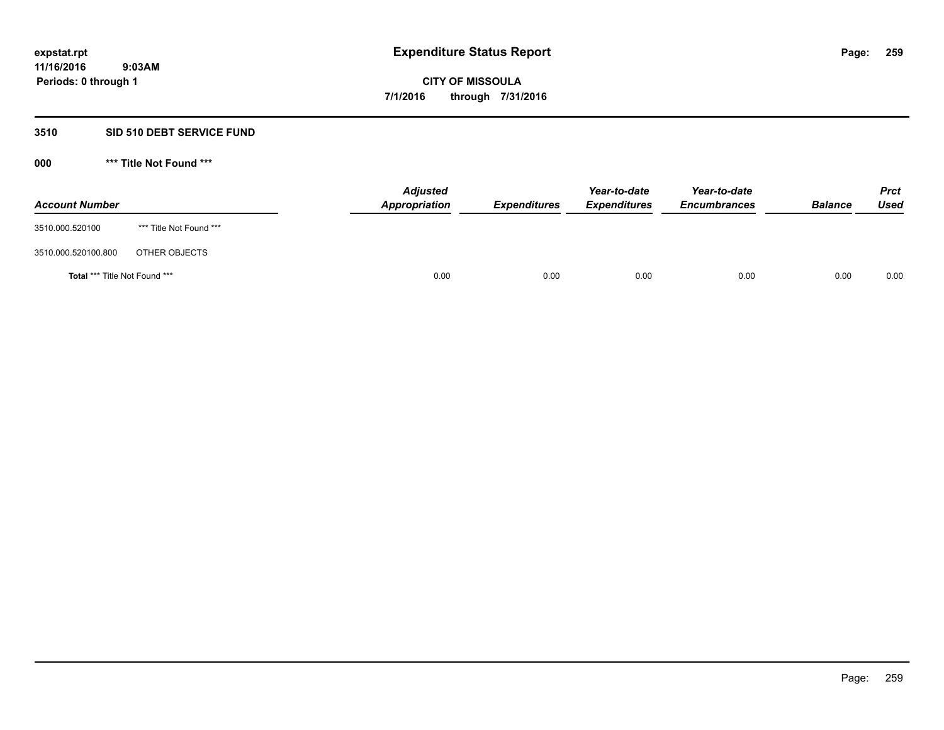## **3510 SID 510 DEBT SERVICE FUND**

| <b>Account Number</b>                |                         | <b>Adjusted</b><br><b>Appropriation</b> | <b>Expenditures</b> | Year-to-date<br><b>Expenditures</b> | Year-to-date<br><b>Encumbrances</b> | <b>Balance</b> | <b>Prct</b><br><b>Used</b> |
|--------------------------------------|-------------------------|-----------------------------------------|---------------------|-------------------------------------|-------------------------------------|----------------|----------------------------|
| 3510.000.520100                      | *** Title Not Found *** |                                         |                     |                                     |                                     |                |                            |
| 3510.000.520100.800                  | OTHER OBJECTS           |                                         |                     |                                     |                                     |                |                            |
| <b>Total *** Title Not Found ***</b> |                         | 0.00                                    | 0.00                | 0.00                                | 0.00                                | 0.00           | 0.00                       |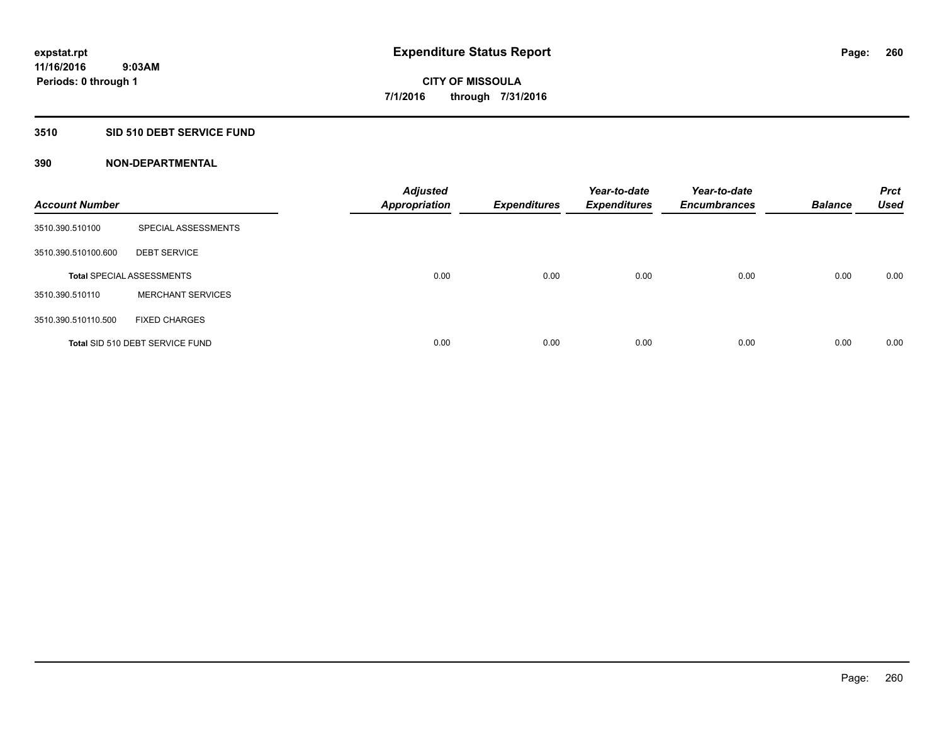### **3510 SID 510 DEBT SERVICE FUND**

| <b>Account Number</b> |                                  | <b>Adjusted</b><br><b>Appropriation</b> | <b>Expenditures</b> | Year-to-date<br><b>Expenditures</b> | Year-to-date<br><b>Encumbrances</b> | <b>Balance</b> | <b>Prct</b><br><b>Used</b> |
|-----------------------|----------------------------------|-----------------------------------------|---------------------|-------------------------------------|-------------------------------------|----------------|----------------------------|
| 3510.390.510100       | SPECIAL ASSESSMENTS              |                                         |                     |                                     |                                     |                |                            |
| 3510.390.510100.600   | <b>DEBT SERVICE</b>              |                                         |                     |                                     |                                     |                |                            |
|                       | <b>Total SPECIAL ASSESSMENTS</b> | 0.00                                    | 0.00                | 0.00                                | 0.00                                | 0.00           | 0.00                       |
| 3510.390.510110       | <b>MERCHANT SERVICES</b>         |                                         |                     |                                     |                                     |                |                            |
| 3510.390.510110.500   | <b>FIXED CHARGES</b>             |                                         |                     |                                     |                                     |                |                            |
|                       | Total SID 510 DEBT SERVICE FUND  | 0.00                                    | 0.00                | 0.00                                | 0.00                                | 0.00           | 0.00                       |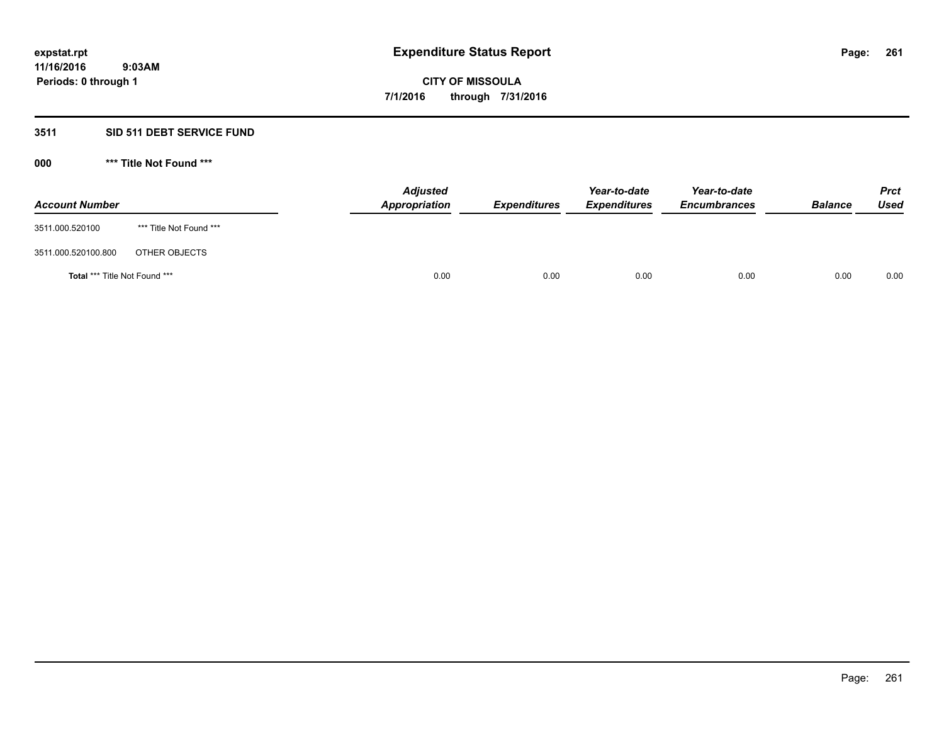## **3511 SID 511 DEBT SERVICE FUND**

| <b>Account Number</b>                |                         | <b>Adjusted</b><br>Appropriation | <b>Expenditures</b> | Year-to-date<br><b>Expenditures</b> | Year-to-date<br><b>Encumbrances</b> | <b>Balance</b> | <b>Prct</b><br><b>Used</b> |
|--------------------------------------|-------------------------|----------------------------------|---------------------|-------------------------------------|-------------------------------------|----------------|----------------------------|
| 3511.000.520100                      | *** Title Not Found *** |                                  |                     |                                     |                                     |                |                            |
| 3511.000.520100.800                  | OTHER OBJECTS           |                                  |                     |                                     |                                     |                |                            |
| <b>Total *** Title Not Found ***</b> |                         | 0.00                             | 0.00                | 0.00                                | 0.00                                | 0.00           | 0.00                       |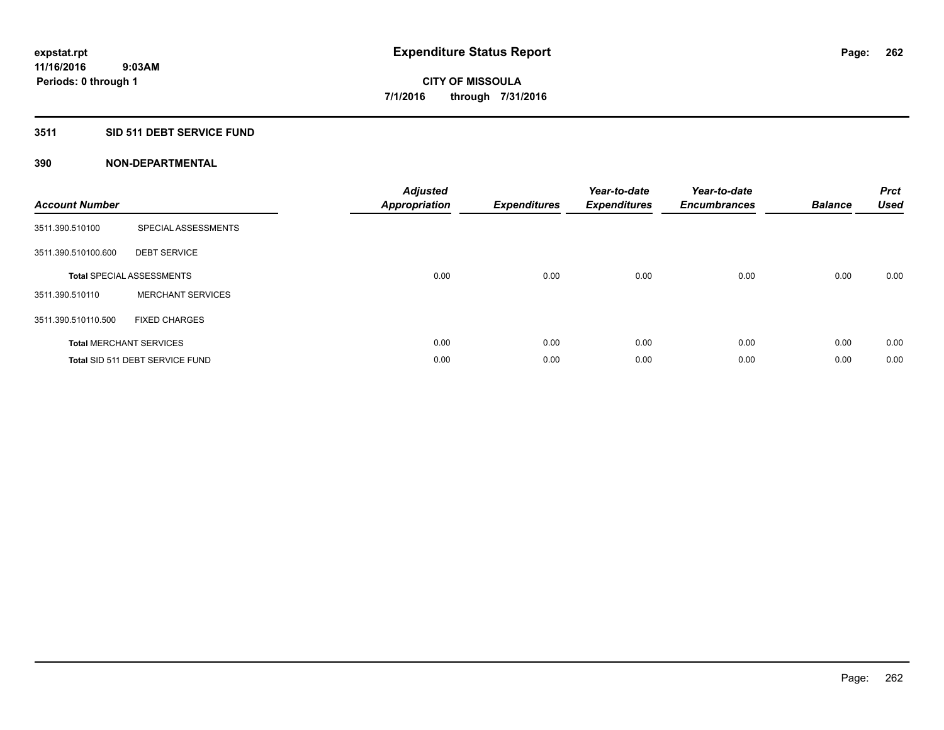# **3511 SID 511 DEBT SERVICE FUND**

| <b>Account Number</b> |                                  | <b>Adjusted</b><br>Appropriation | <b>Expenditures</b> | Year-to-date<br><b>Expenditures</b> | Year-to-date<br><b>Encumbrances</b> | <b>Balance</b> | <b>Prct</b><br><b>Used</b> |
|-----------------------|----------------------------------|----------------------------------|---------------------|-------------------------------------|-------------------------------------|----------------|----------------------------|
| 3511.390.510100       | SPECIAL ASSESSMENTS              |                                  |                     |                                     |                                     |                |                            |
| 3511.390.510100.600   | <b>DEBT SERVICE</b>              |                                  |                     |                                     |                                     |                |                            |
|                       | <b>Total SPECIAL ASSESSMENTS</b> | 0.00                             | 0.00                | 0.00                                | 0.00                                | 0.00           | 0.00                       |
| 3511.390.510110       | <b>MERCHANT SERVICES</b>         |                                  |                     |                                     |                                     |                |                            |
| 3511.390.510110.500   | <b>FIXED CHARGES</b>             |                                  |                     |                                     |                                     |                |                            |
|                       | <b>Total MERCHANT SERVICES</b>   | 0.00                             | 0.00                | 0.00                                | 0.00                                | 0.00           | 0.00                       |
|                       | Total SID 511 DEBT SERVICE FUND  | 0.00                             | 0.00                | 0.00                                | 0.00                                | 0.00           | 0.00                       |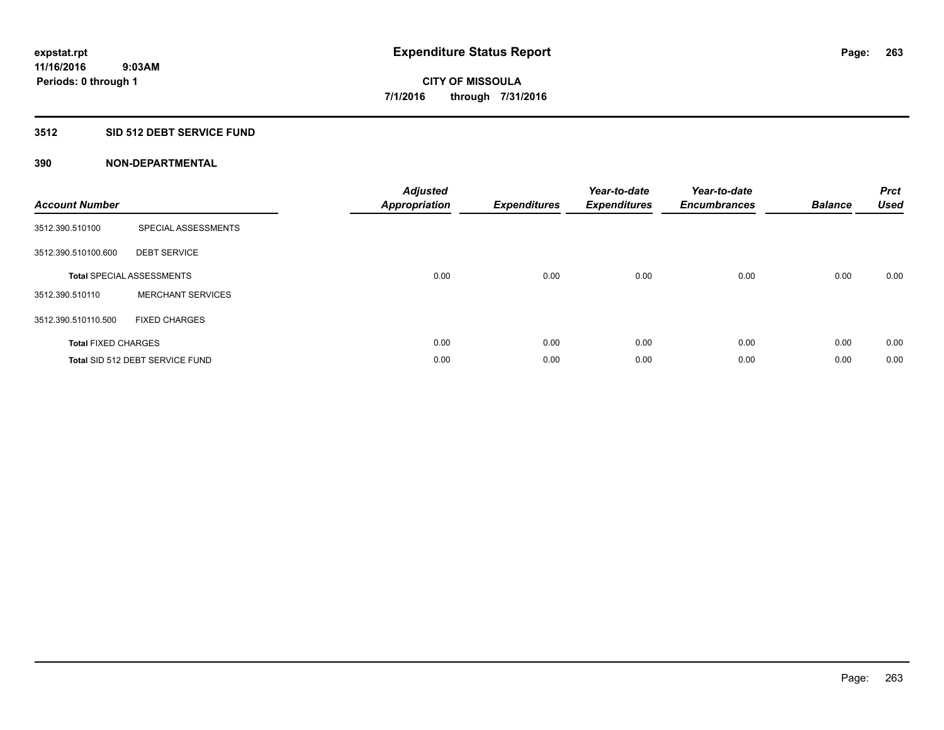# **3512 SID 512 DEBT SERVICE FUND**

| <b>Account Number</b>      |                                  | <b>Adjusted</b><br>Appropriation | <b>Expenditures</b> | Year-to-date<br><b>Expenditures</b> | Year-to-date<br><b>Encumbrances</b> | <b>Balance</b> | <b>Prct</b><br><b>Used</b> |
|----------------------------|----------------------------------|----------------------------------|---------------------|-------------------------------------|-------------------------------------|----------------|----------------------------|
| 3512.390.510100            | SPECIAL ASSESSMENTS              |                                  |                     |                                     |                                     |                |                            |
| 3512.390.510100.600        | <b>DEBT SERVICE</b>              |                                  |                     |                                     |                                     |                |                            |
|                            | <b>Total SPECIAL ASSESSMENTS</b> | 0.00                             | 0.00                | 0.00                                | 0.00                                | 0.00           | 0.00                       |
| 3512.390.510110            | <b>MERCHANT SERVICES</b>         |                                  |                     |                                     |                                     |                |                            |
| 3512.390.510110.500        | <b>FIXED CHARGES</b>             |                                  |                     |                                     |                                     |                |                            |
| <b>Total FIXED CHARGES</b> |                                  | 0.00                             | 0.00                | 0.00                                | 0.00                                | 0.00           | 0.00                       |
|                            | Total SID 512 DEBT SERVICE FUND  | 0.00                             | 0.00                | 0.00                                | 0.00                                | 0.00           | 0.00                       |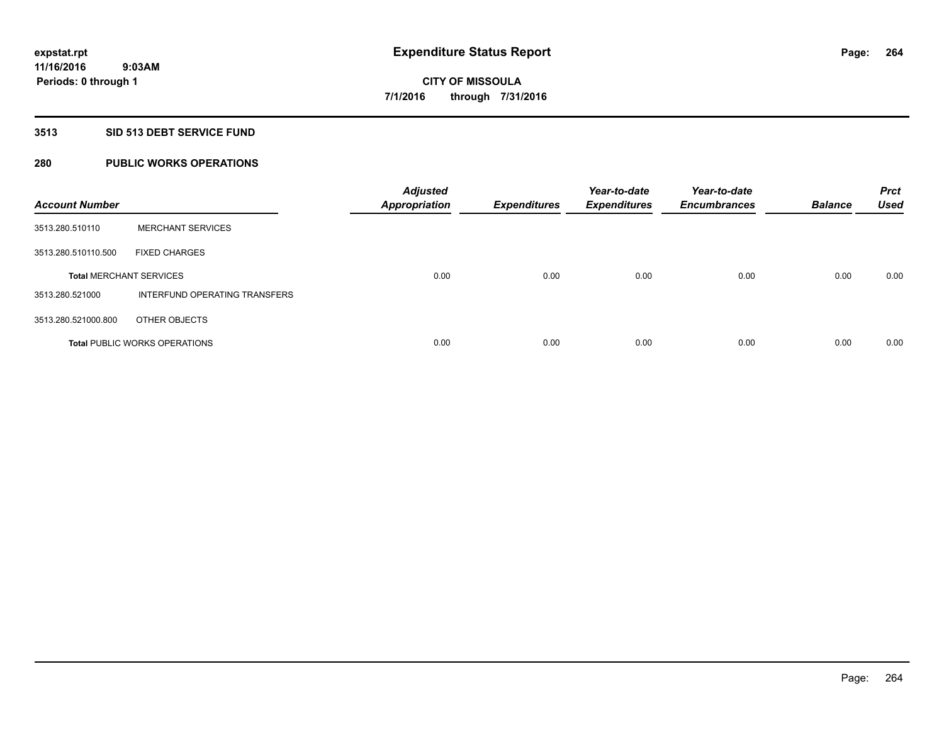#### **3513 SID 513 DEBT SERVICE FUND**

# **280 PUBLIC WORKS OPERATIONS**

| <b>Account Number</b>          |                                      | <b>Adjusted</b><br><b>Appropriation</b> | <b>Expenditures</b> | Year-to-date<br><b>Expenditures</b> | Year-to-date<br><b>Encumbrances</b> | <b>Balance</b> | <b>Prct</b><br><b>Used</b> |
|--------------------------------|--------------------------------------|-----------------------------------------|---------------------|-------------------------------------|-------------------------------------|----------------|----------------------------|
| 3513.280.510110                | <b>MERCHANT SERVICES</b>             |                                         |                     |                                     |                                     |                |                            |
| 3513.280.510110.500            | <b>FIXED CHARGES</b>                 |                                         |                     |                                     |                                     |                |                            |
| <b>Total MERCHANT SERVICES</b> |                                      | 0.00                                    | 0.00                | 0.00                                | 0.00                                | 0.00           | 0.00                       |
| 3513.280.521000                | INTERFUND OPERATING TRANSFERS        |                                         |                     |                                     |                                     |                |                            |
| 3513.280.521000.800            | OTHER OBJECTS                        |                                         |                     |                                     |                                     |                |                            |
|                                | <b>Total PUBLIC WORKS OPERATIONS</b> | 0.00                                    | 0.00                | 0.00                                | 0.00                                | 0.00           | 0.00                       |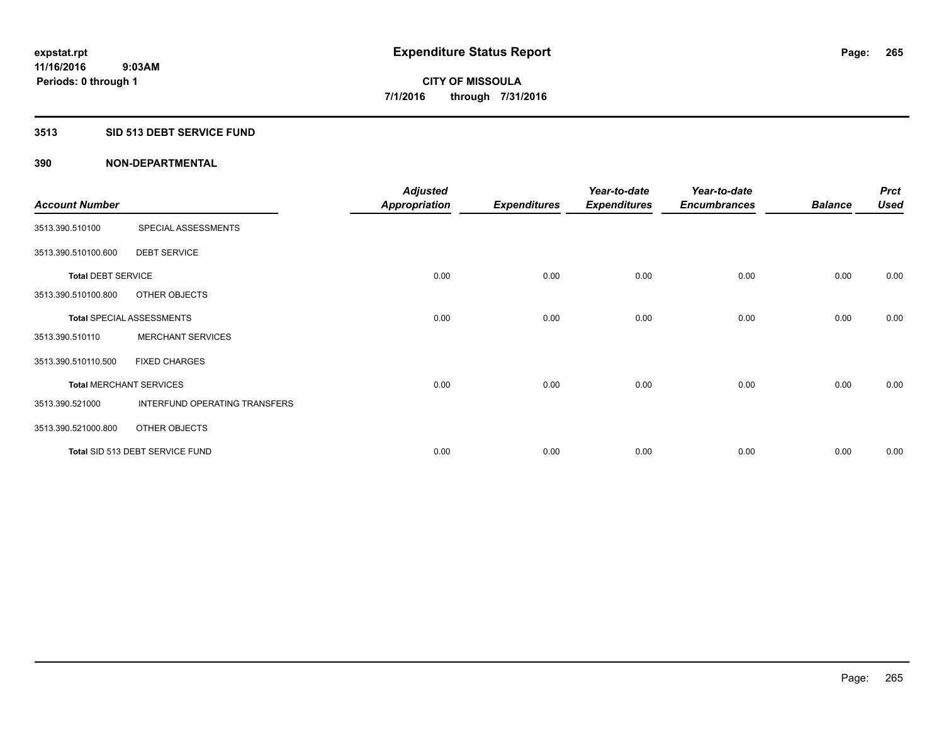#### **3513 SID 513 DEBT SERVICE FUND**

|                                |                                  | <b>Adjusted</b>      |                     | Year-to-date        | Year-to-date        |                | <b>Prct</b> |
|--------------------------------|----------------------------------|----------------------|---------------------|---------------------|---------------------|----------------|-------------|
| <b>Account Number</b>          |                                  | <b>Appropriation</b> | <b>Expenditures</b> | <b>Expenditures</b> | <b>Encumbrances</b> | <b>Balance</b> | <b>Used</b> |
| 3513.390.510100                | SPECIAL ASSESSMENTS              |                      |                     |                     |                     |                |             |
| 3513.390.510100.600            | <b>DEBT SERVICE</b>              |                      |                     |                     |                     |                |             |
| <b>Total DEBT SERVICE</b>      |                                  | 0.00                 | 0.00                | 0.00                | 0.00                | 0.00           | 0.00        |
| 3513.390.510100.800            | OTHER OBJECTS                    |                      |                     |                     |                     |                |             |
|                                | <b>Total SPECIAL ASSESSMENTS</b> | 0.00                 | 0.00                | 0.00                | 0.00                | 0.00           | 0.00        |
| 3513.390.510110                | <b>MERCHANT SERVICES</b>         |                      |                     |                     |                     |                |             |
| 3513.390.510110.500            | <b>FIXED CHARGES</b>             |                      |                     |                     |                     |                |             |
| <b>Total MERCHANT SERVICES</b> |                                  | 0.00                 | 0.00                | 0.00                | 0.00                | 0.00           | 0.00        |
| 3513.390.521000                | INTERFUND OPERATING TRANSFERS    |                      |                     |                     |                     |                |             |
| 3513.390.521000.800            | OTHER OBJECTS                    |                      |                     |                     |                     |                |             |
|                                | Total SID 513 DEBT SERVICE FUND  | 0.00                 | 0.00                | 0.00                | 0.00                | 0.00           | 0.00        |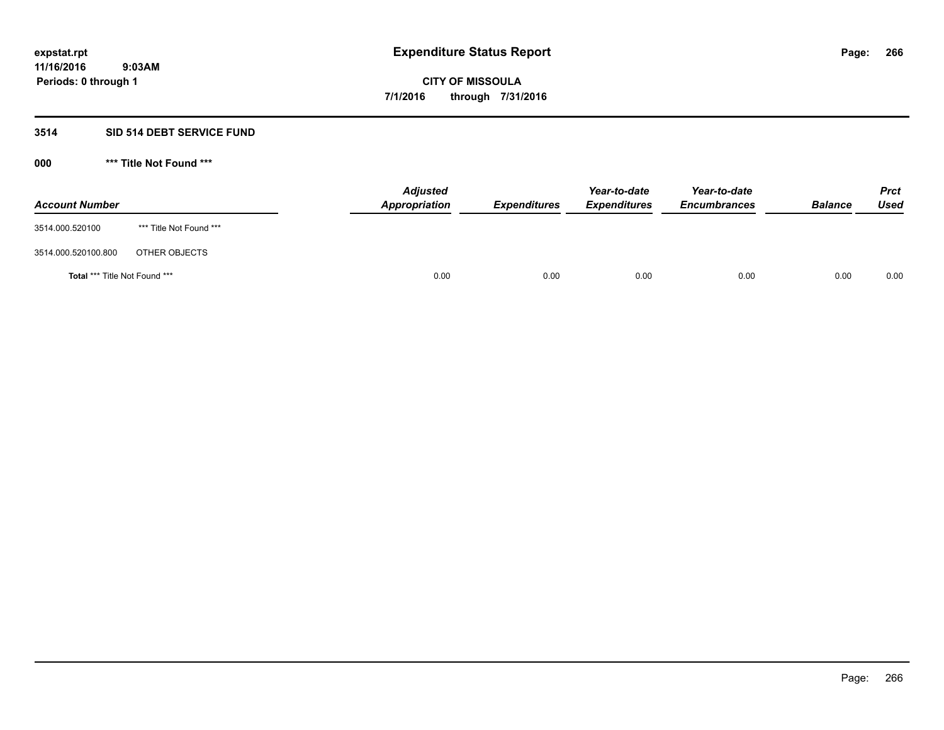#### **3514 SID 514 DEBT SERVICE FUND**

| <b>Account Number</b>                |                         | <b>Adjusted</b><br><b>Appropriation</b> | <b>Expenditures</b> | Year-to-date<br><b>Expenditures</b> | Year-to-date<br><b>Encumbrances</b> | <b>Balance</b> | <b>Prct</b><br><b>Used</b> |
|--------------------------------------|-------------------------|-----------------------------------------|---------------------|-------------------------------------|-------------------------------------|----------------|----------------------------|
| 3514.000.520100                      | *** Title Not Found *** |                                         |                     |                                     |                                     |                |                            |
| 3514.000.520100.800                  | OTHER OBJECTS           |                                         |                     |                                     |                                     |                |                            |
| <b>Total *** Title Not Found ***</b> |                         | 0.00                                    | 0.00                | 0.00                                | 0.00                                | 0.00           | 0.00                       |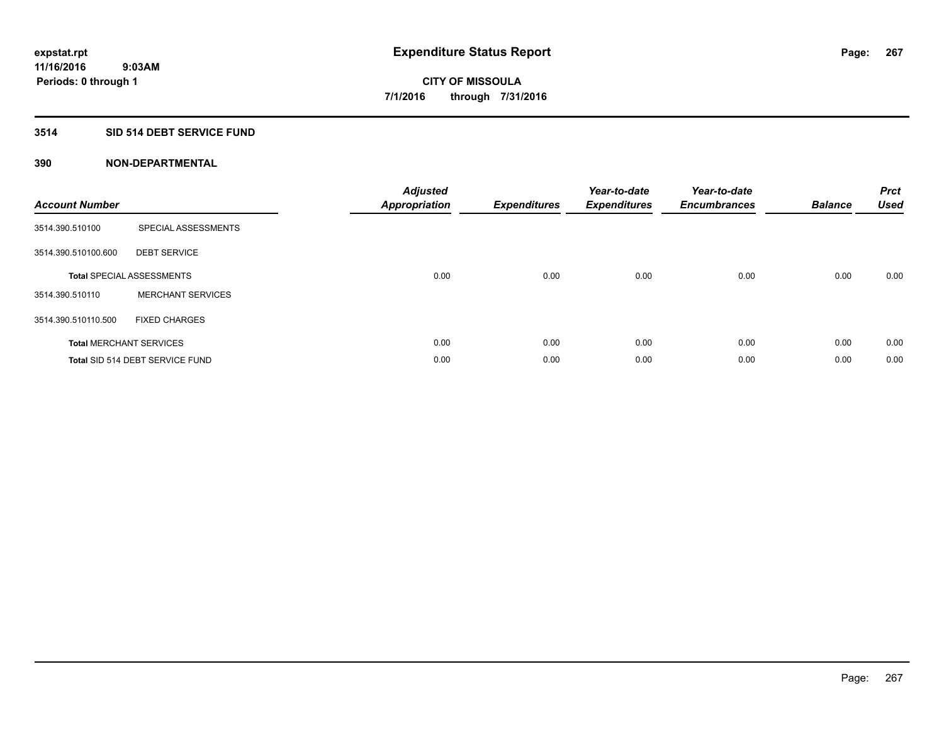## **3514 SID 514 DEBT SERVICE FUND**

| <b>Account Number</b> |                                  | <b>Adjusted</b><br>Appropriation | <b>Expenditures</b> | Year-to-date<br><b>Expenditures</b> | Year-to-date<br><b>Encumbrances</b> | <b>Balance</b> | <b>Prct</b><br><b>Used</b> |
|-----------------------|----------------------------------|----------------------------------|---------------------|-------------------------------------|-------------------------------------|----------------|----------------------------|
| 3514.390.510100       | SPECIAL ASSESSMENTS              |                                  |                     |                                     |                                     |                |                            |
| 3514.390.510100.600   | <b>DEBT SERVICE</b>              |                                  |                     |                                     |                                     |                |                            |
|                       | <b>Total SPECIAL ASSESSMENTS</b> | 0.00                             | 0.00                | 0.00                                | 0.00                                | 0.00           | 0.00                       |
| 3514.390.510110       | <b>MERCHANT SERVICES</b>         |                                  |                     |                                     |                                     |                |                            |
| 3514.390.510110.500   | <b>FIXED CHARGES</b>             |                                  |                     |                                     |                                     |                |                            |
|                       | <b>Total MERCHANT SERVICES</b>   | 0.00                             | 0.00                | 0.00                                | 0.00                                | 0.00           | 0.00                       |
|                       | Total SID 514 DEBT SERVICE FUND  | 0.00                             | 0.00                | 0.00                                | 0.00                                | 0.00           | 0.00                       |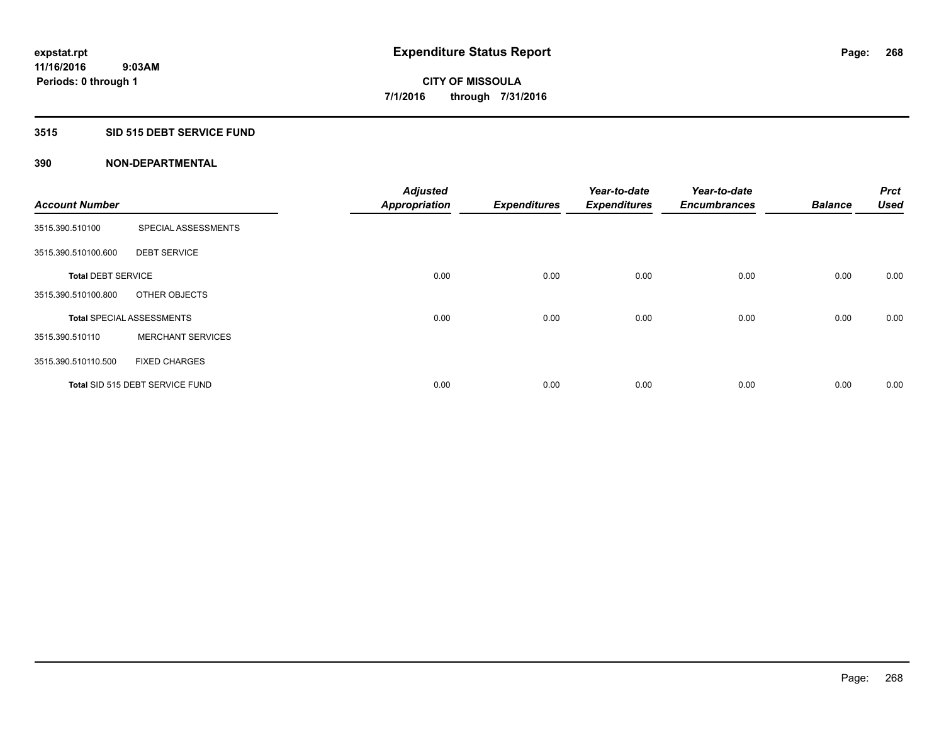#### **3515 SID 515 DEBT SERVICE FUND**

|                           |                                  | <b>Adjusted</b>      |                     | Year-to-date        | Year-to-date        |                | <b>Prct</b> |
|---------------------------|----------------------------------|----------------------|---------------------|---------------------|---------------------|----------------|-------------|
| <b>Account Number</b>     |                                  | <b>Appropriation</b> | <b>Expenditures</b> | <b>Expenditures</b> | <b>Encumbrances</b> | <b>Balance</b> | <b>Used</b> |
| 3515.390.510100           | SPECIAL ASSESSMENTS              |                      |                     |                     |                     |                |             |
| 3515.390.510100.600       | <b>DEBT SERVICE</b>              |                      |                     |                     |                     |                |             |
| <b>Total DEBT SERVICE</b> |                                  | 0.00                 | 0.00                | 0.00                | 0.00                | 0.00           | 0.00        |
| 3515.390.510100.800       | OTHER OBJECTS                    |                      |                     |                     |                     |                |             |
|                           | <b>Total SPECIAL ASSESSMENTS</b> | 0.00                 | 0.00                | 0.00                | 0.00                | 0.00           | 0.00        |
| 3515.390.510110           | <b>MERCHANT SERVICES</b>         |                      |                     |                     |                     |                |             |
| 3515.390.510110.500       | <b>FIXED CHARGES</b>             |                      |                     |                     |                     |                |             |
|                           | Total SID 515 DEBT SERVICE FUND  | 0.00                 | 0.00                | 0.00                | 0.00                | 0.00           | 0.00        |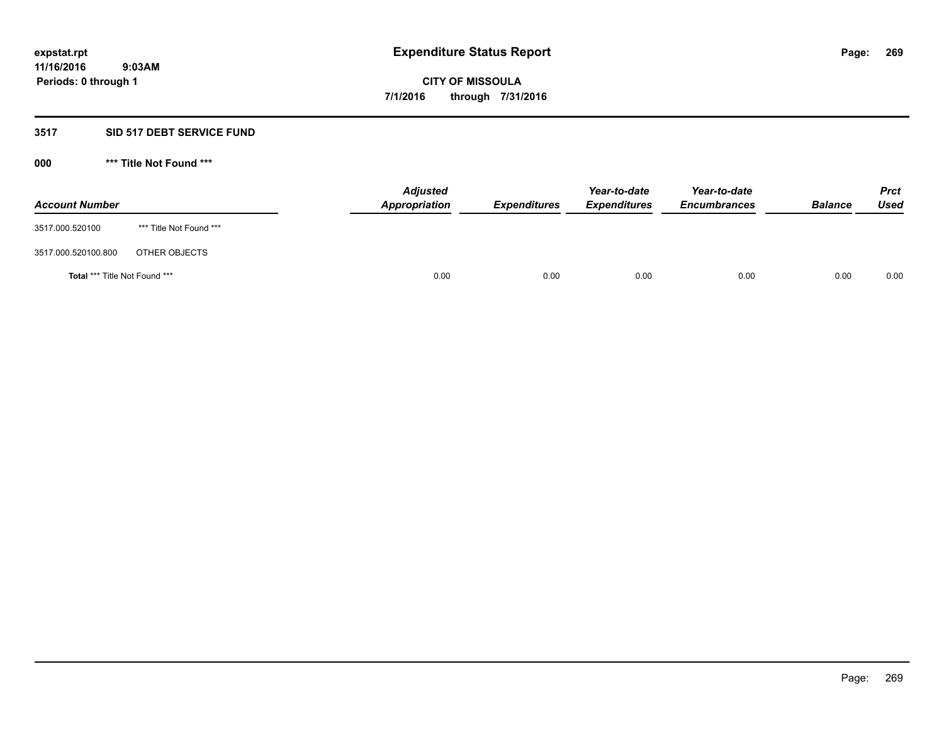### **3517 SID 517 DEBT SERVICE FUND**

| <b>Account Number</b>                |                         | <b>Adjusted</b><br><b>Appropriation</b> | <b>Expenditures</b> | Year-to-date<br><b>Expenditures</b> | Year-to-date<br><b>Encumbrances</b> | <b>Balance</b> | <b>Prct</b><br><b>Used</b> |
|--------------------------------------|-------------------------|-----------------------------------------|---------------------|-------------------------------------|-------------------------------------|----------------|----------------------------|
| 3517.000.520100                      | *** Title Not Found *** |                                         |                     |                                     |                                     |                |                            |
| 3517.000.520100.800                  | OTHER OBJECTS           |                                         |                     |                                     |                                     |                |                            |
| <b>Total *** Title Not Found ***</b> |                         | 0.00                                    | 0.00                | 0.00                                | 0.00                                | 0.00           | 0.00                       |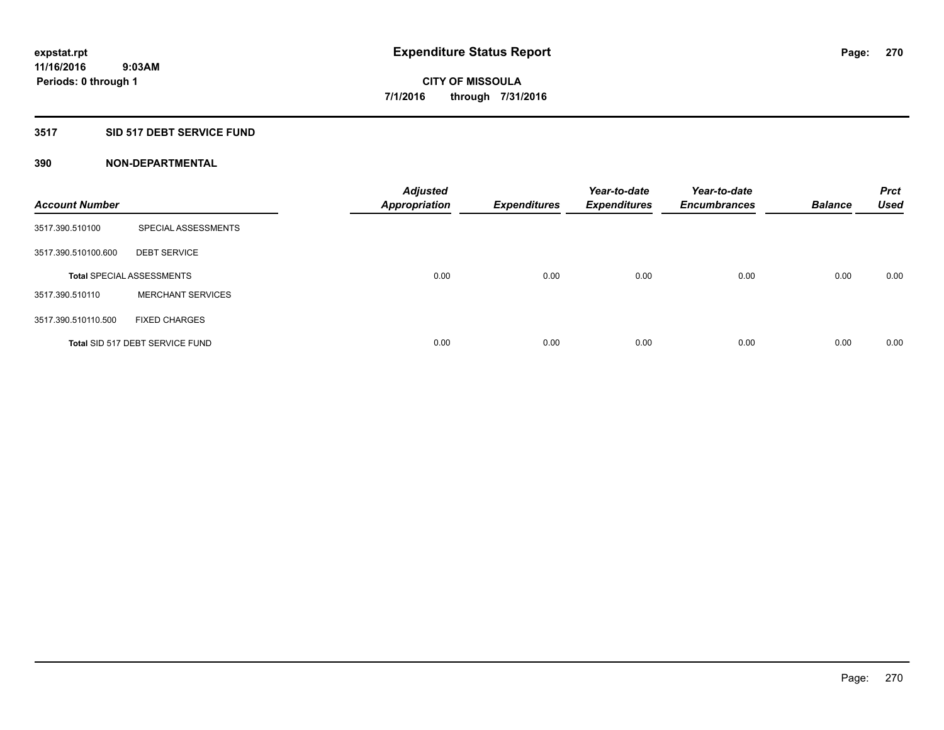### **3517 SID 517 DEBT SERVICE FUND**

| <b>Account Number</b> |                                  | <b>Adjusted</b><br><b>Appropriation</b> | <b>Expenditures</b> | Year-to-date<br><b>Expenditures</b> | Year-to-date<br><b>Encumbrances</b> | <b>Balance</b> | <b>Prct</b><br><b>Used</b> |
|-----------------------|----------------------------------|-----------------------------------------|---------------------|-------------------------------------|-------------------------------------|----------------|----------------------------|
| 3517.390.510100       | SPECIAL ASSESSMENTS              |                                         |                     |                                     |                                     |                |                            |
| 3517.390.510100.600   | <b>DEBT SERVICE</b>              |                                         |                     |                                     |                                     |                |                            |
|                       | <b>Total SPECIAL ASSESSMENTS</b> | 0.00                                    | 0.00                | 0.00                                | 0.00                                | 0.00           | 0.00                       |
| 3517.390.510110       | <b>MERCHANT SERVICES</b>         |                                         |                     |                                     |                                     |                |                            |
| 3517.390.510110.500   | <b>FIXED CHARGES</b>             |                                         |                     |                                     |                                     |                |                            |
|                       | Total SID 517 DEBT SERVICE FUND  | 0.00                                    | 0.00                | 0.00                                | 0.00                                | 0.00           | 0.00                       |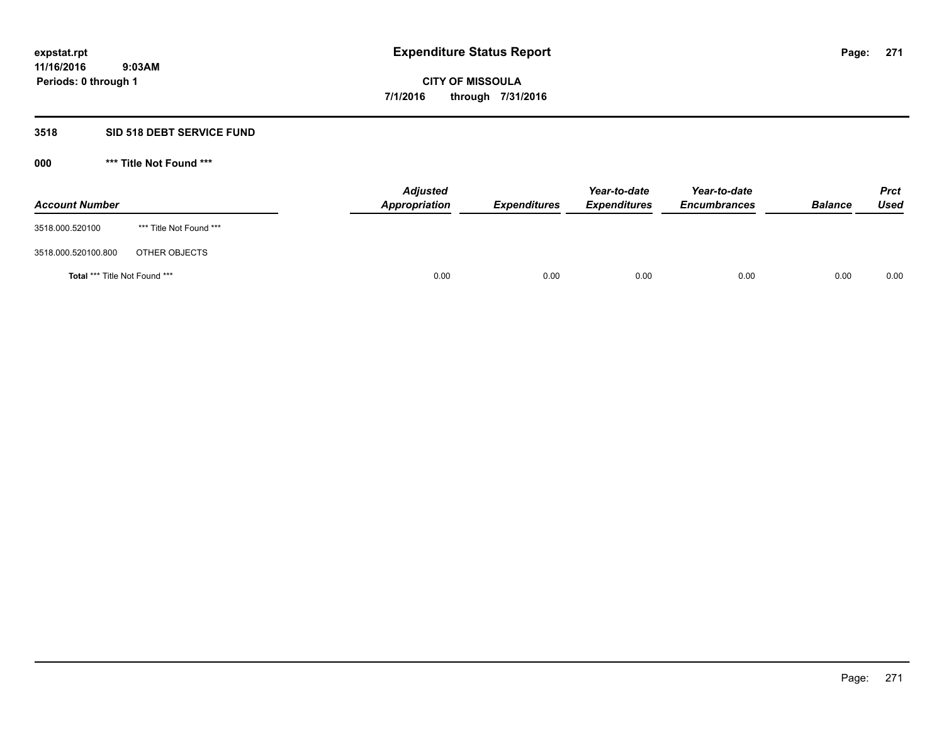## **3518 SID 518 DEBT SERVICE FUND**

| <b>Account Number</b>                |                         | <b>Adjusted</b><br>Appropriation | <b>Expenditures</b> | Year-to-date<br><b>Expenditures</b> | Year-to-date<br><b>Encumbrances</b> | <b>Balance</b> | <b>Prct</b><br><b>Used</b> |
|--------------------------------------|-------------------------|----------------------------------|---------------------|-------------------------------------|-------------------------------------|----------------|----------------------------|
| 3518.000.520100                      | *** Title Not Found *** |                                  |                     |                                     |                                     |                |                            |
| 3518.000.520100.800                  | OTHER OBJECTS           |                                  |                     |                                     |                                     |                |                            |
| <b>Total *** Title Not Found ***</b> |                         | 0.00                             | 0.00                | 0.00                                | 0.00                                | 0.00           | 0.00                       |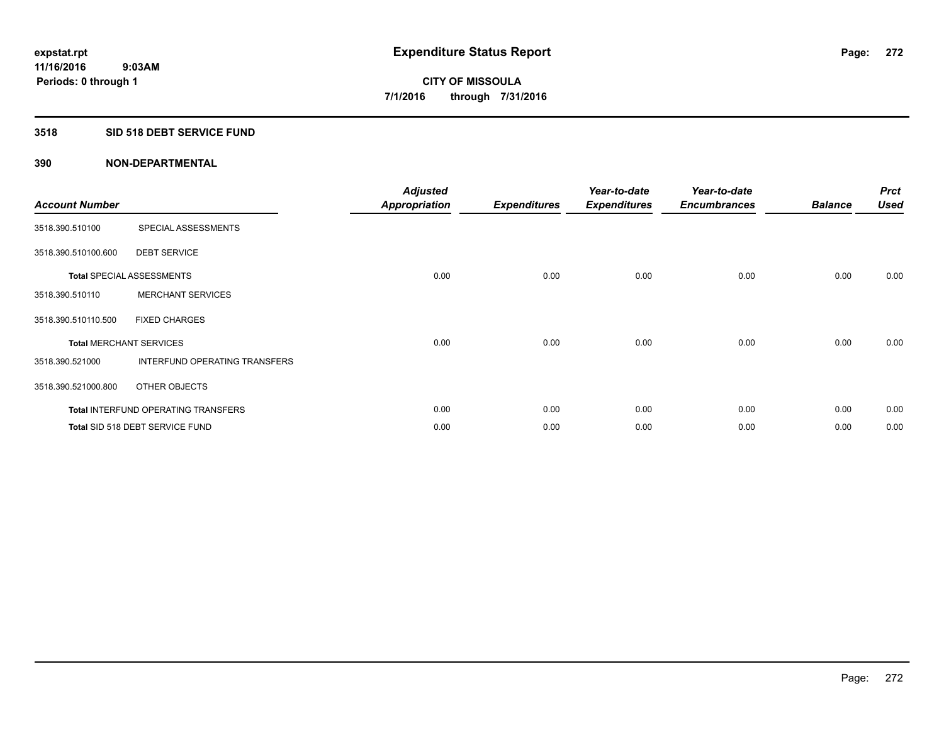#### **3518 SID 518 DEBT SERVICE FUND**

| <b>Account Number</b>          |                                            | <b>Adjusted</b><br><b>Appropriation</b> | <b>Expenditures</b> | Year-to-date<br><b>Expenditures</b> | Year-to-date<br><b>Encumbrances</b> | <b>Balance</b> | <b>Prct</b><br><b>Used</b> |
|--------------------------------|--------------------------------------------|-----------------------------------------|---------------------|-------------------------------------|-------------------------------------|----------------|----------------------------|
| 3518.390.510100                | SPECIAL ASSESSMENTS                        |                                         |                     |                                     |                                     |                |                            |
| 3518.390.510100.600            | <b>DEBT SERVICE</b>                        |                                         |                     |                                     |                                     |                |                            |
|                                | <b>Total SPECIAL ASSESSMENTS</b>           | 0.00                                    | 0.00                | 0.00                                | 0.00                                | 0.00           | 0.00                       |
| 3518.390.510110                | <b>MERCHANT SERVICES</b>                   |                                         |                     |                                     |                                     |                |                            |
| 3518.390.510110.500            | <b>FIXED CHARGES</b>                       |                                         |                     |                                     |                                     |                |                            |
| <b>Total MERCHANT SERVICES</b> |                                            | 0.00                                    | 0.00                | 0.00                                | 0.00                                | 0.00           | 0.00                       |
| 3518.390.521000                | INTERFUND OPERATING TRANSFERS              |                                         |                     |                                     |                                     |                |                            |
| 3518.390.521000.800            | OTHER OBJECTS                              |                                         |                     |                                     |                                     |                |                            |
|                                | <b>Total INTERFUND OPERATING TRANSFERS</b> | 0.00                                    | 0.00                | 0.00                                | 0.00                                | 0.00           | 0.00                       |
|                                | Total SID 518 DEBT SERVICE FUND            | 0.00                                    | 0.00                | 0.00                                | 0.00                                | 0.00           | 0.00                       |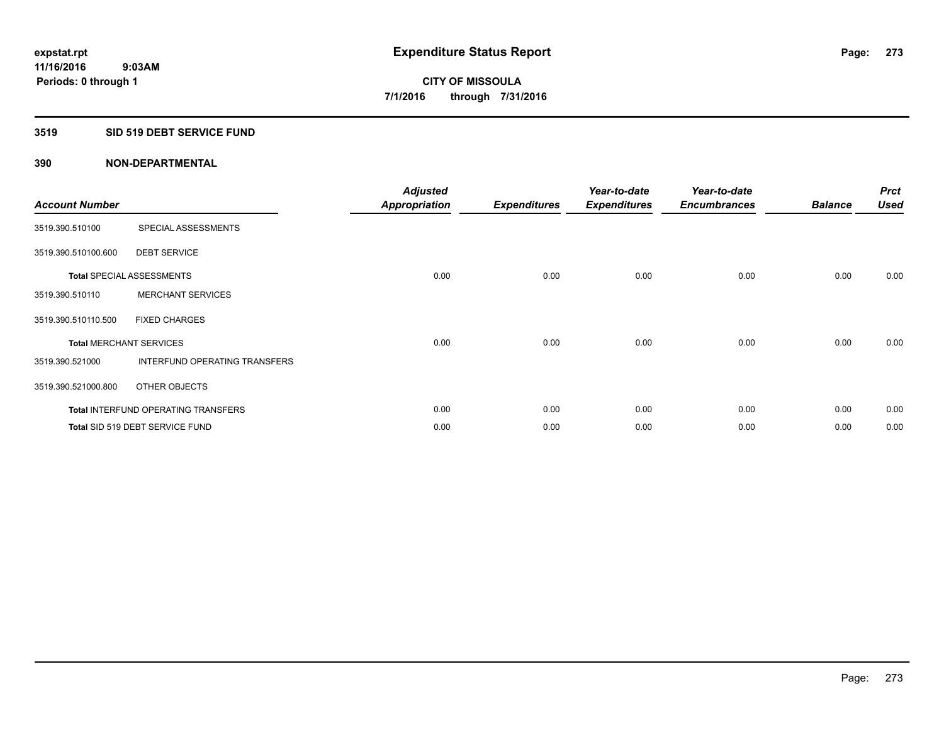#### **3519 SID 519 DEBT SERVICE FUND**

| <b>Account Number</b> |                                            | <b>Adjusted</b><br>Appropriation | <b>Expenditures</b> | Year-to-date<br><b>Expenditures</b> | Year-to-date<br><b>Encumbrances</b> | <b>Balance</b> | <b>Prct</b><br><b>Used</b> |
|-----------------------|--------------------------------------------|----------------------------------|---------------------|-------------------------------------|-------------------------------------|----------------|----------------------------|
| 3519.390.510100       | SPECIAL ASSESSMENTS                        |                                  |                     |                                     |                                     |                |                            |
| 3519.390.510100.600   | <b>DEBT SERVICE</b>                        |                                  |                     |                                     |                                     |                |                            |
|                       | <b>Total SPECIAL ASSESSMENTS</b>           | 0.00                             | 0.00                | 0.00                                | 0.00                                | 0.00           | 0.00                       |
| 3519.390.510110       | <b>MERCHANT SERVICES</b>                   |                                  |                     |                                     |                                     |                |                            |
| 3519.390.510110.500   | <b>FIXED CHARGES</b>                       |                                  |                     |                                     |                                     |                |                            |
|                       | <b>Total MERCHANT SERVICES</b>             | 0.00                             | 0.00                | 0.00                                | 0.00                                | 0.00           | 0.00                       |
| 3519.390.521000       | <b>INTERFUND OPERATING TRANSFERS</b>       |                                  |                     |                                     |                                     |                |                            |
| 3519.390.521000.800   | OTHER OBJECTS                              |                                  |                     |                                     |                                     |                |                            |
|                       | <b>Total INTERFUND OPERATING TRANSFERS</b> | 0.00                             | 0.00                | 0.00                                | 0.00                                | 0.00           | 0.00                       |
|                       | Total SID 519 DEBT SERVICE FUND            | 0.00                             | 0.00                | 0.00                                | 0.00                                | 0.00           | 0.00                       |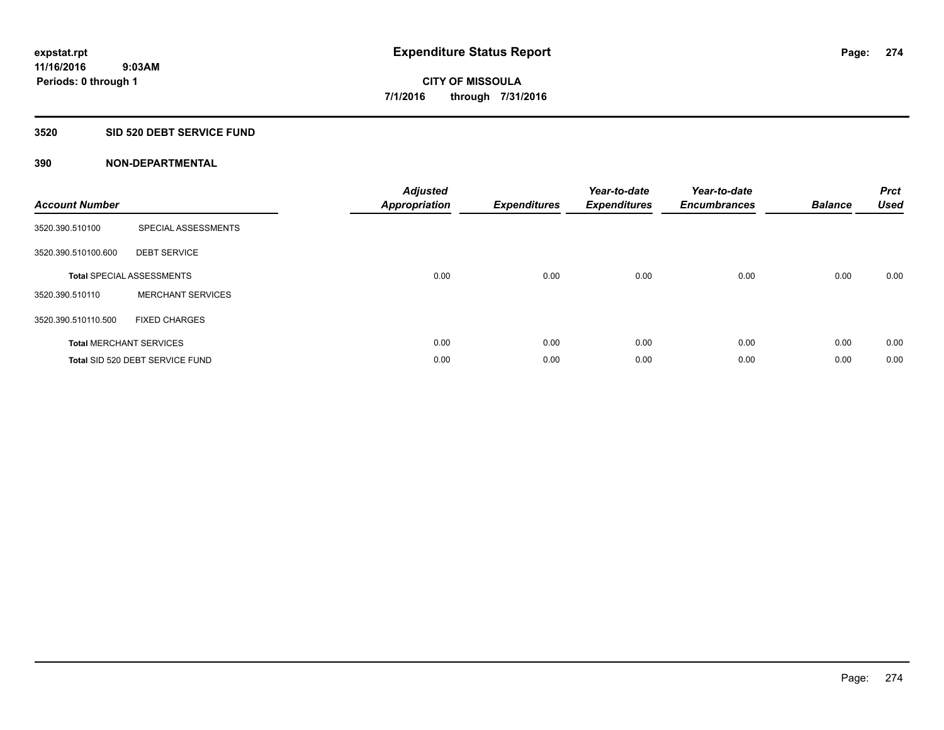## **3520 SID 520 DEBT SERVICE FUND**

| <b>Account Number</b> |                                  | <b>Adjusted</b><br><b>Appropriation</b> | <b>Expenditures</b> | Year-to-date<br><b>Expenditures</b> | Year-to-date<br><b>Encumbrances</b> | <b>Balance</b> | <b>Prct</b><br><b>Used</b> |
|-----------------------|----------------------------------|-----------------------------------------|---------------------|-------------------------------------|-------------------------------------|----------------|----------------------------|
| 3520.390.510100       | SPECIAL ASSESSMENTS              |                                         |                     |                                     |                                     |                |                            |
| 3520.390.510100.600   | <b>DEBT SERVICE</b>              |                                         |                     |                                     |                                     |                |                            |
|                       | <b>Total SPECIAL ASSESSMENTS</b> | 0.00                                    | 0.00                | 0.00                                | 0.00                                | 0.00           | 0.00                       |
| 3520.390.510110       | <b>MERCHANT SERVICES</b>         |                                         |                     |                                     |                                     |                |                            |
| 3520.390.510110.500   | <b>FIXED CHARGES</b>             |                                         |                     |                                     |                                     |                |                            |
|                       | <b>Total MERCHANT SERVICES</b>   | 0.00                                    | 0.00                | 0.00                                | 0.00                                | 0.00           | 0.00                       |
|                       | Total SID 520 DEBT SERVICE FUND  | 0.00                                    | 0.00                | 0.00                                | 0.00                                | 0.00           | 0.00                       |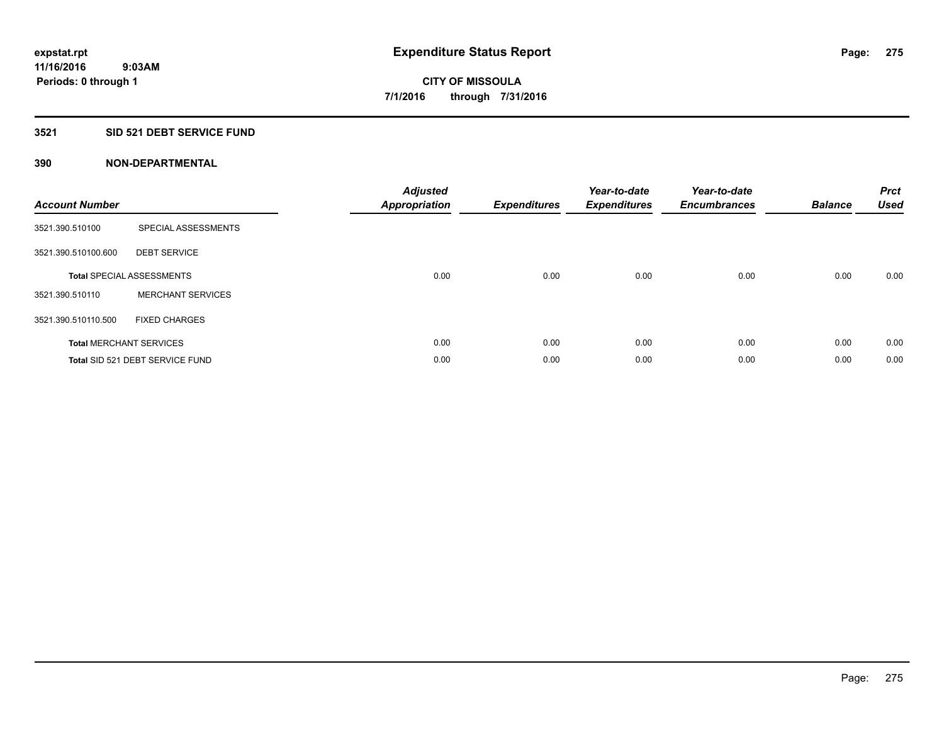### **3521 SID 521 DEBT SERVICE FUND**

| <b>Account Number</b> |                                  | <b>Adjusted</b><br><b>Appropriation</b> | <b>Expenditures</b> | Year-to-date<br><b>Expenditures</b> | Year-to-date<br><b>Encumbrances</b> | <b>Balance</b> | <b>Prct</b><br><b>Used</b> |
|-----------------------|----------------------------------|-----------------------------------------|---------------------|-------------------------------------|-------------------------------------|----------------|----------------------------|
| 3521.390.510100       | SPECIAL ASSESSMENTS              |                                         |                     |                                     |                                     |                |                            |
| 3521.390.510100.600   | <b>DEBT SERVICE</b>              |                                         |                     |                                     |                                     |                |                            |
|                       | <b>Total SPECIAL ASSESSMENTS</b> | 0.00                                    | 0.00                | 0.00                                | 0.00                                | 0.00           | 0.00                       |
| 3521.390.510110       | <b>MERCHANT SERVICES</b>         |                                         |                     |                                     |                                     |                |                            |
| 3521.390.510110.500   | <b>FIXED CHARGES</b>             |                                         |                     |                                     |                                     |                |                            |
|                       | <b>Total MERCHANT SERVICES</b>   | 0.00                                    | 0.00                | 0.00                                | 0.00                                | 0.00           | 0.00                       |
|                       | Total SID 521 DEBT SERVICE FUND  | 0.00                                    | 0.00                | 0.00                                | 0.00                                | 0.00           | 0.00                       |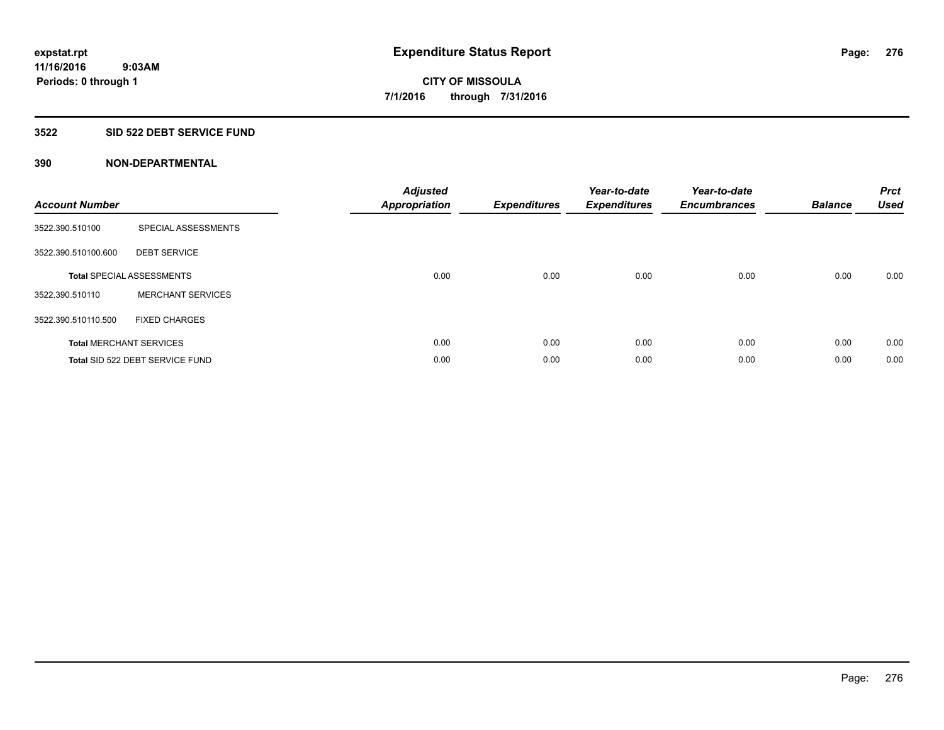## **3522 SID 522 DEBT SERVICE FUND**

| <b>Account Number</b> |                                  | <b>Adjusted</b><br><b>Appropriation</b> | <b>Expenditures</b> | Year-to-date<br><b>Expenditures</b> | Year-to-date<br><b>Encumbrances</b> | <b>Balance</b> | <b>Prct</b><br><b>Used</b> |
|-----------------------|----------------------------------|-----------------------------------------|---------------------|-------------------------------------|-------------------------------------|----------------|----------------------------|
| 3522.390.510100       | SPECIAL ASSESSMENTS              |                                         |                     |                                     |                                     |                |                            |
| 3522.390.510100.600   | <b>DEBT SERVICE</b>              |                                         |                     |                                     |                                     |                |                            |
|                       | <b>Total SPECIAL ASSESSMENTS</b> | 0.00                                    | 0.00                | 0.00                                | 0.00                                | 0.00           | 0.00                       |
| 3522.390.510110       | <b>MERCHANT SERVICES</b>         |                                         |                     |                                     |                                     |                |                            |
| 3522.390.510110.500   | <b>FIXED CHARGES</b>             |                                         |                     |                                     |                                     |                |                            |
|                       | <b>Total MERCHANT SERVICES</b>   | 0.00                                    | 0.00                | 0.00                                | 0.00                                | 0.00           | 0.00                       |
|                       | Total SID 522 DEBT SERVICE FUND  | 0.00                                    | 0.00                | 0.00                                | 0.00                                | 0.00           | 0.00                       |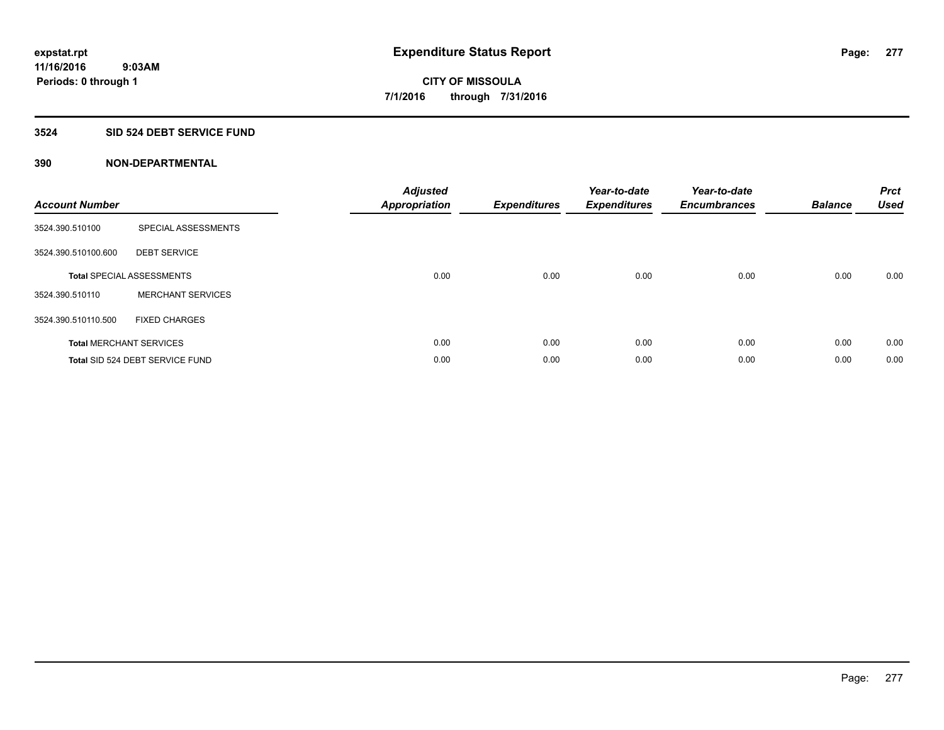## **3524 SID 524 DEBT SERVICE FUND**

| <b>Account Number</b> |                                  | <b>Adjusted</b><br><b>Appropriation</b> | <b>Expenditures</b> | Year-to-date<br><b>Expenditures</b> | Year-to-date<br><b>Encumbrances</b> | <b>Balance</b> | <b>Prct</b><br><b>Used</b> |
|-----------------------|----------------------------------|-----------------------------------------|---------------------|-------------------------------------|-------------------------------------|----------------|----------------------------|
| 3524.390.510100       | SPECIAL ASSESSMENTS              |                                         |                     |                                     |                                     |                |                            |
| 3524.390.510100.600   | <b>DEBT SERVICE</b>              |                                         |                     |                                     |                                     |                |                            |
|                       | <b>Total SPECIAL ASSESSMENTS</b> | 0.00                                    | 0.00                | 0.00                                | 0.00                                | 0.00           | 0.00                       |
| 3524.390.510110       | <b>MERCHANT SERVICES</b>         |                                         |                     |                                     |                                     |                |                            |
| 3524.390.510110.500   | <b>FIXED CHARGES</b>             |                                         |                     |                                     |                                     |                |                            |
|                       | <b>Total MERCHANT SERVICES</b>   | 0.00                                    | 0.00                | 0.00                                | 0.00                                | 0.00           | 0.00                       |
|                       | Total SID 524 DEBT SERVICE FUND  | 0.00                                    | 0.00                | 0.00                                | 0.00                                | 0.00           | 0.00                       |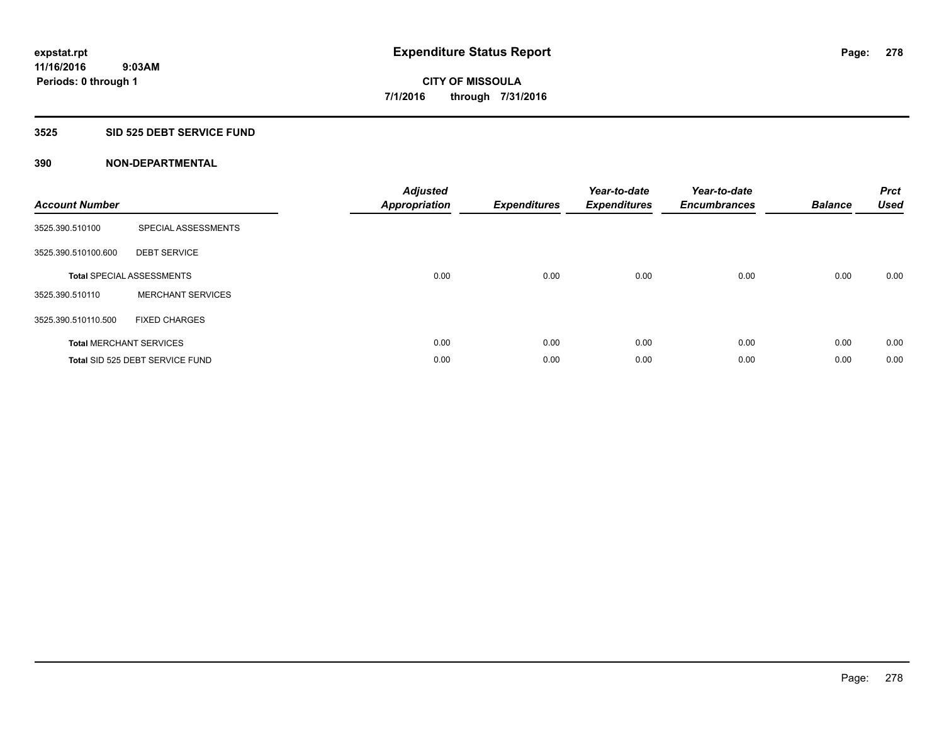## **3525 SID 525 DEBT SERVICE FUND**

| <b>Account Number</b> |                                  | <b>Adjusted</b><br>Appropriation | <b>Expenditures</b> | Year-to-date<br><b>Expenditures</b> | Year-to-date<br><b>Encumbrances</b> | <b>Balance</b> | <b>Prct</b><br><b>Used</b> |
|-----------------------|----------------------------------|----------------------------------|---------------------|-------------------------------------|-------------------------------------|----------------|----------------------------|
| 3525.390.510100       | SPECIAL ASSESSMENTS              |                                  |                     |                                     |                                     |                |                            |
| 3525.390.510100.600   | <b>DEBT SERVICE</b>              |                                  |                     |                                     |                                     |                |                            |
|                       | <b>Total SPECIAL ASSESSMENTS</b> | 0.00                             | 0.00                | 0.00                                | 0.00                                | 0.00           | 0.00                       |
| 3525.390.510110       | <b>MERCHANT SERVICES</b>         |                                  |                     |                                     |                                     |                |                            |
| 3525.390.510110.500   | <b>FIXED CHARGES</b>             |                                  |                     |                                     |                                     |                |                            |
|                       | <b>Total MERCHANT SERVICES</b>   | 0.00                             | 0.00                | 0.00                                | 0.00                                | 0.00           | 0.00                       |
|                       | Total SID 525 DEBT SERVICE FUND  | 0.00                             | 0.00                | 0.00                                | 0.00                                | 0.00           | 0.00                       |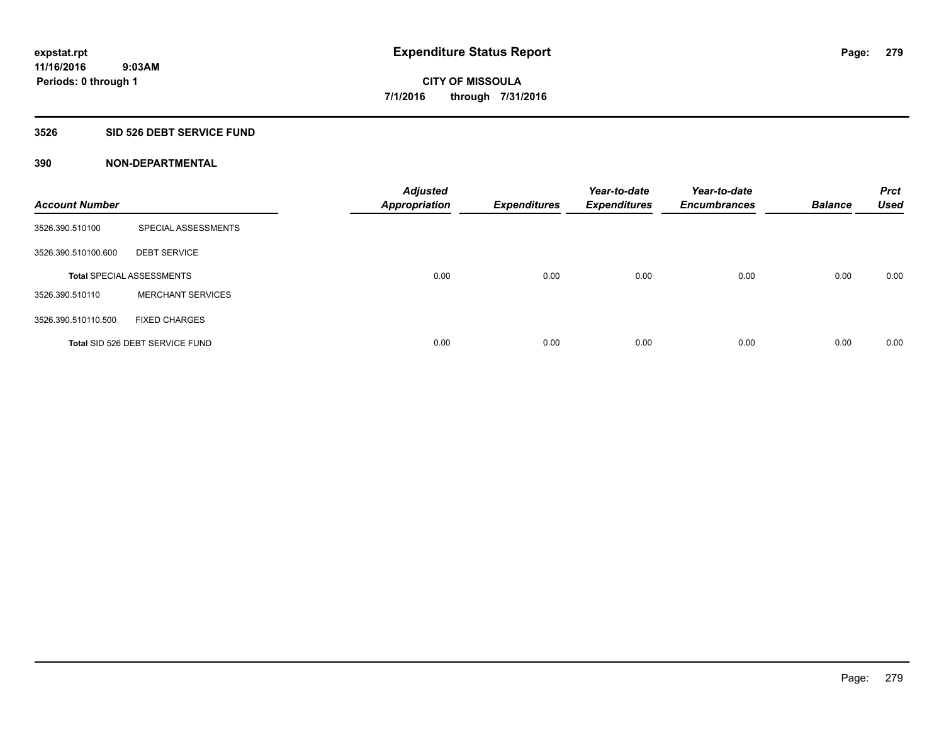#### **3526 SID 526 DEBT SERVICE FUND**

| <b>Account Number</b> |                                  | <b>Adjusted</b><br><b>Appropriation</b> | <b>Expenditures</b> | Year-to-date<br><b>Expenditures</b> | Year-to-date<br><b>Encumbrances</b> | <b>Balance</b> | <b>Prct</b><br><b>Used</b> |
|-----------------------|----------------------------------|-----------------------------------------|---------------------|-------------------------------------|-------------------------------------|----------------|----------------------------|
| 3526.390.510100       | SPECIAL ASSESSMENTS              |                                         |                     |                                     |                                     |                |                            |
| 3526.390.510100.600   | <b>DEBT SERVICE</b>              |                                         |                     |                                     |                                     |                |                            |
|                       | <b>Total SPECIAL ASSESSMENTS</b> | 0.00                                    | 0.00                | 0.00                                | 0.00                                | 0.00           | 0.00                       |
| 3526.390.510110       | <b>MERCHANT SERVICES</b>         |                                         |                     |                                     |                                     |                |                            |
| 3526.390.510110.500   | <b>FIXED CHARGES</b>             |                                         |                     |                                     |                                     |                |                            |
|                       | Total SID 526 DEBT SERVICE FUND  | 0.00                                    | 0.00                | 0.00                                | 0.00                                | 0.00           | 0.00                       |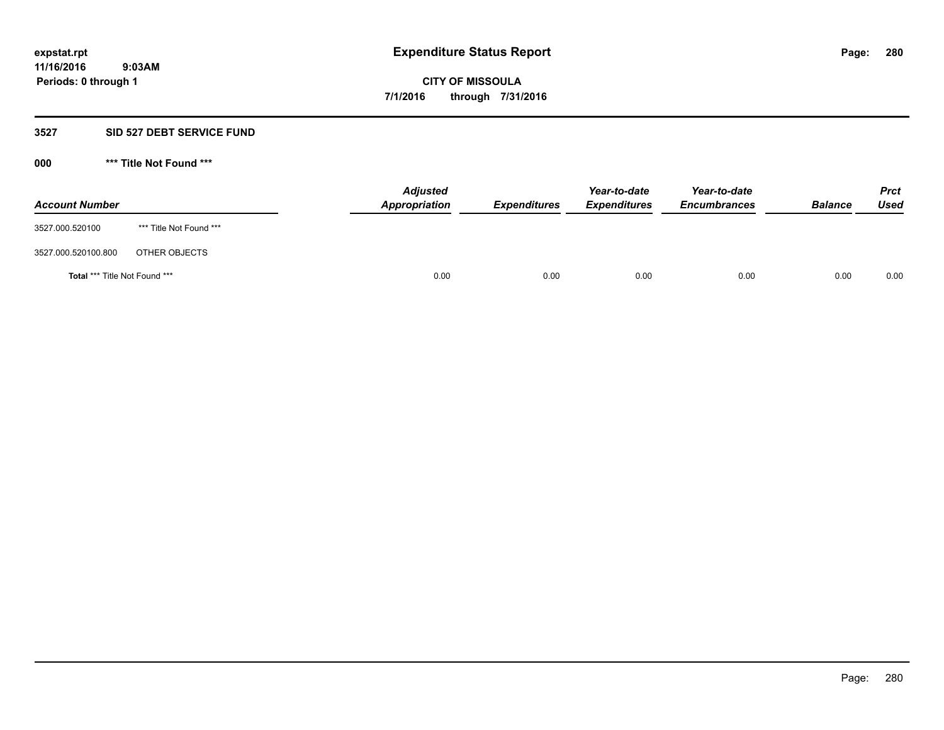#### **3527 SID 527 DEBT SERVICE FUND**

| <b>Account Number</b>                |                         | <b>Adjusted</b><br>Appropriation | <b>Expenditures</b> | Year-to-date<br><b>Expenditures</b> | Year-to-date<br><b>Encumbrances</b> | <b>Balance</b> | <b>Prct</b><br>Used |
|--------------------------------------|-------------------------|----------------------------------|---------------------|-------------------------------------|-------------------------------------|----------------|---------------------|
| 3527.000.520100                      | *** Title Not Found *** |                                  |                     |                                     |                                     |                |                     |
| 3527.000.520100.800                  | OTHER OBJECTS           |                                  |                     |                                     |                                     |                |                     |
| <b>Total *** Title Not Found ***</b> |                         |                                  | 0.00<br>0.00        | 0.00                                | 0.00                                | 0.00           | 0.00                |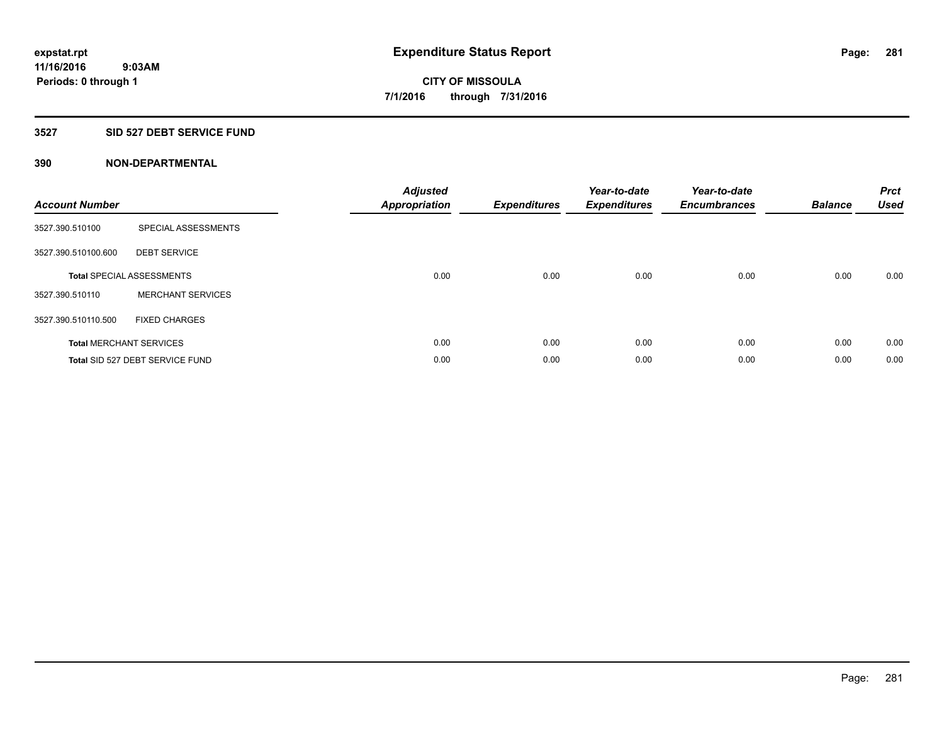## **3527 SID 527 DEBT SERVICE FUND**

| <b>Account Number</b> |                                  | <b>Adjusted</b><br><b>Appropriation</b> | <b>Expenditures</b> | Year-to-date<br><b>Expenditures</b> | Year-to-date<br><b>Encumbrances</b> | <b>Balance</b> | <b>Prct</b><br><b>Used</b> |
|-----------------------|----------------------------------|-----------------------------------------|---------------------|-------------------------------------|-------------------------------------|----------------|----------------------------|
| 3527.390.510100       | SPECIAL ASSESSMENTS              |                                         |                     |                                     |                                     |                |                            |
| 3527.390.510100.600   | <b>DEBT SERVICE</b>              |                                         |                     |                                     |                                     |                |                            |
|                       | <b>Total SPECIAL ASSESSMENTS</b> | 0.00                                    | 0.00                | 0.00                                | 0.00                                | 0.00           | 0.00                       |
| 3527.390.510110       | <b>MERCHANT SERVICES</b>         |                                         |                     |                                     |                                     |                |                            |
| 3527.390.510110.500   | <b>FIXED CHARGES</b>             |                                         |                     |                                     |                                     |                |                            |
|                       | <b>Total MERCHANT SERVICES</b>   | 0.00                                    | 0.00                | 0.00                                | 0.00                                | 0.00           | 0.00                       |
|                       | Total SID 527 DEBT SERVICE FUND  | 0.00                                    | 0.00                | 0.00                                | 0.00                                | 0.00           | 0.00                       |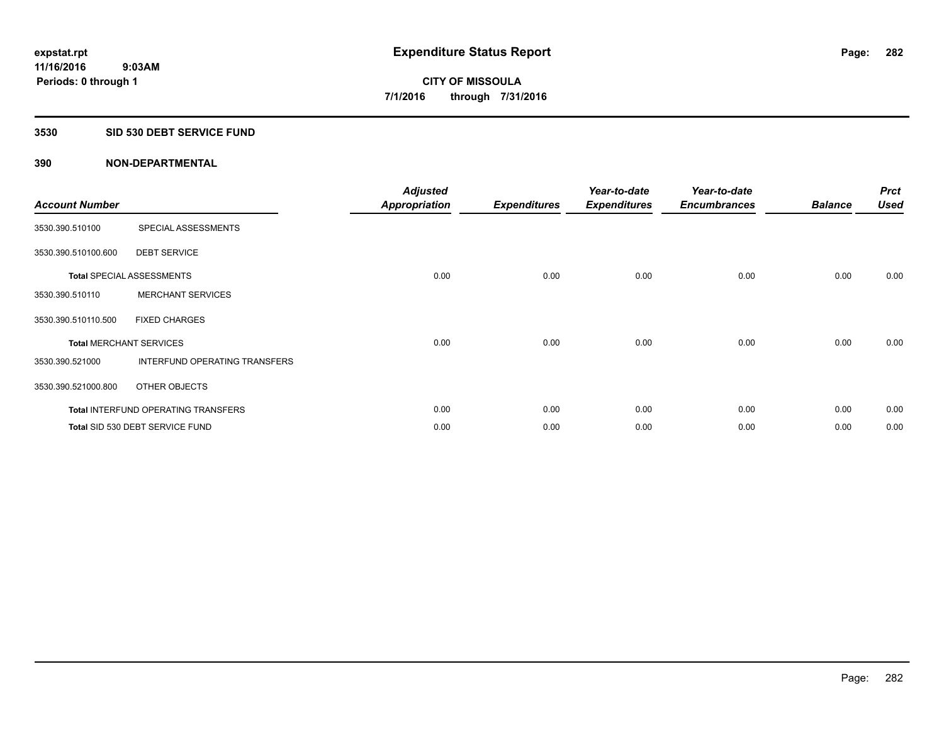### **3530 SID 530 DEBT SERVICE FUND**

| <b>Account Number</b> |                                            | <b>Adjusted</b><br><b>Appropriation</b> | <b>Expenditures</b> | Year-to-date<br><b>Expenditures</b> | Year-to-date<br><b>Encumbrances</b> | <b>Balance</b> | <b>Prct</b><br><b>Used</b> |
|-----------------------|--------------------------------------------|-----------------------------------------|---------------------|-------------------------------------|-------------------------------------|----------------|----------------------------|
| 3530.390.510100       | SPECIAL ASSESSMENTS                        |                                         |                     |                                     |                                     |                |                            |
| 3530.390.510100.600   | <b>DEBT SERVICE</b>                        |                                         |                     |                                     |                                     |                |                            |
|                       | <b>Total SPECIAL ASSESSMENTS</b>           | 0.00                                    | 0.00                | 0.00                                | 0.00                                | 0.00           | 0.00                       |
| 3530.390.510110       | <b>MERCHANT SERVICES</b>                   |                                         |                     |                                     |                                     |                |                            |
| 3530.390.510110.500   | <b>FIXED CHARGES</b>                       |                                         |                     |                                     |                                     |                |                            |
|                       | <b>Total MERCHANT SERVICES</b>             | 0.00                                    | 0.00                | 0.00                                | 0.00                                | 0.00           | 0.00                       |
| 3530.390.521000       | INTERFUND OPERATING TRANSFERS              |                                         |                     |                                     |                                     |                |                            |
| 3530.390.521000.800   | OTHER OBJECTS                              |                                         |                     |                                     |                                     |                |                            |
|                       | <b>Total INTERFUND OPERATING TRANSFERS</b> | 0.00                                    | 0.00                | 0.00                                | 0.00                                | 0.00           | 0.00                       |
|                       | Total SID 530 DEBT SERVICE FUND            | 0.00                                    | 0.00                | 0.00                                | 0.00                                | 0.00           | 0.00                       |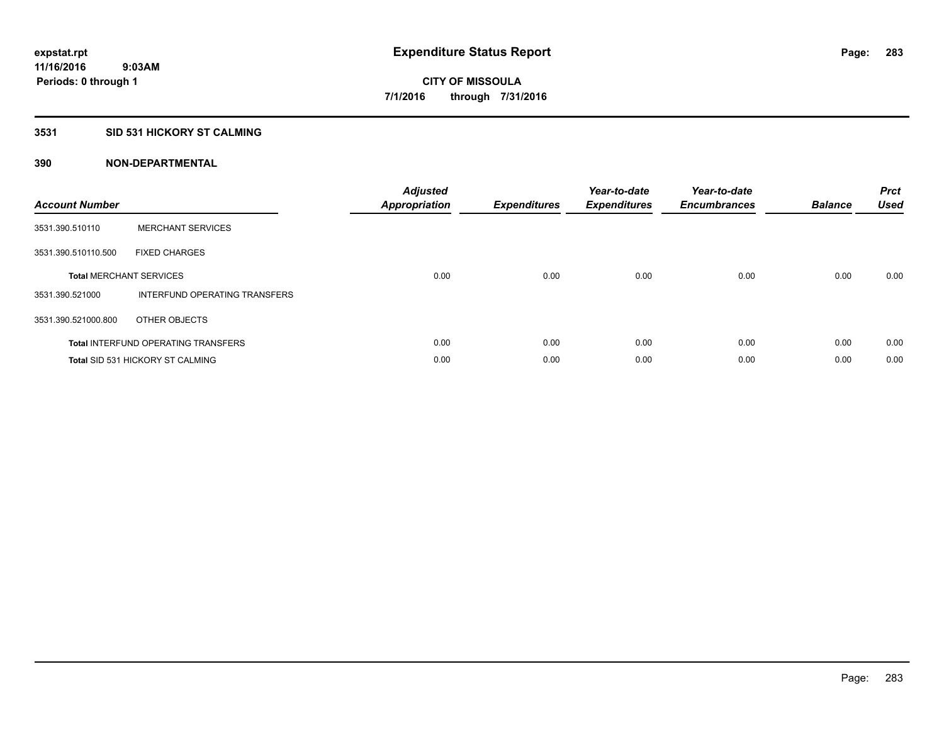# **3531 SID 531 HICKORY ST CALMING**

| <b>Account Number</b> |                                            | <b>Adjusted</b><br>Appropriation | <b>Expenditures</b> | Year-to-date<br><b>Expenditures</b> | Year-to-date<br><b>Encumbrances</b> | <b>Balance</b> | <b>Prct</b><br><b>Used</b> |
|-----------------------|--------------------------------------------|----------------------------------|---------------------|-------------------------------------|-------------------------------------|----------------|----------------------------|
| 3531.390.510110       | <b>MERCHANT SERVICES</b>                   |                                  |                     |                                     |                                     |                |                            |
| 3531.390.510110.500   | <b>FIXED CHARGES</b>                       |                                  |                     |                                     |                                     |                |                            |
|                       | <b>Total MERCHANT SERVICES</b>             | 0.00                             | 0.00                | 0.00                                | 0.00                                | 0.00           | 0.00                       |
| 3531.390.521000       | INTERFUND OPERATING TRANSFERS              |                                  |                     |                                     |                                     |                |                            |
| 3531.390.521000.800   | OTHER OBJECTS                              |                                  |                     |                                     |                                     |                |                            |
|                       | <b>Total INTERFUND OPERATING TRANSFERS</b> | 0.00                             | 0.00                | 0.00                                | 0.00                                | 0.00           | 0.00                       |
|                       | <b>Total SID 531 HICKORY ST CALMING</b>    | 0.00                             | 0.00                | 0.00                                | 0.00                                | 0.00           | 0.00                       |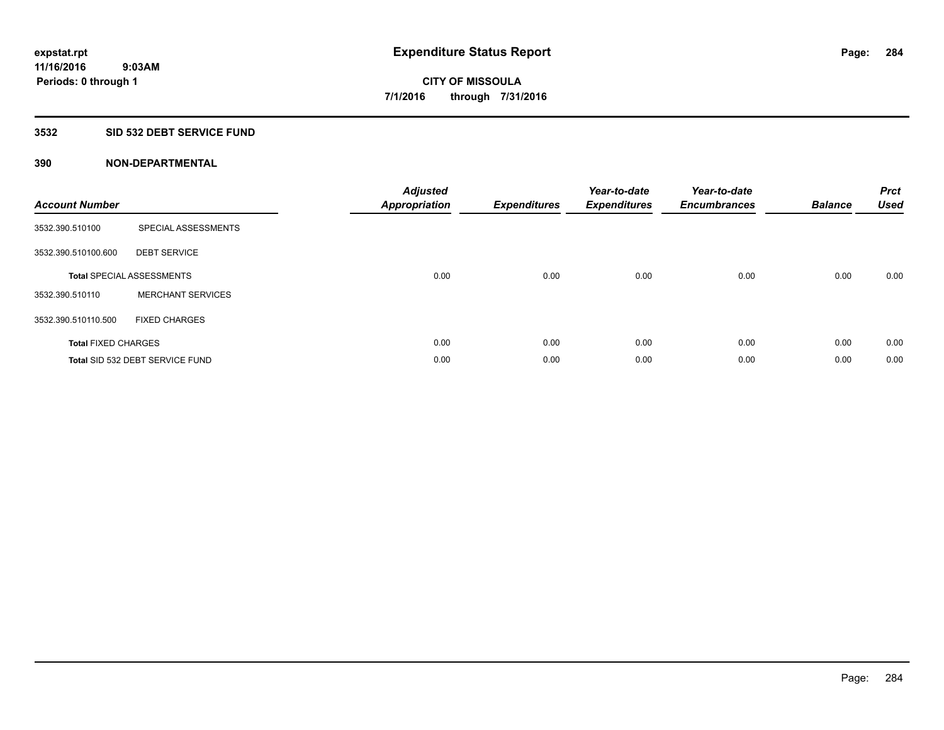## **3532 SID 532 DEBT SERVICE FUND**

| <b>Account Number</b>      |                                  | <b>Adjusted</b><br><b>Appropriation</b> | <b>Expenditures</b> | Year-to-date<br><b>Expenditures</b> | Year-to-date<br><b>Encumbrances</b> | <b>Balance</b> | <b>Prct</b><br><b>Used</b> |
|----------------------------|----------------------------------|-----------------------------------------|---------------------|-------------------------------------|-------------------------------------|----------------|----------------------------|
| 3532.390.510100            | SPECIAL ASSESSMENTS              |                                         |                     |                                     |                                     |                |                            |
| 3532.390.510100.600        | <b>DEBT SERVICE</b>              |                                         |                     |                                     |                                     |                |                            |
|                            | <b>Total SPECIAL ASSESSMENTS</b> | 0.00                                    | 0.00                | 0.00                                | 0.00                                | 0.00           | 0.00                       |
| 3532.390.510110            | <b>MERCHANT SERVICES</b>         |                                         |                     |                                     |                                     |                |                            |
| 3532.390.510110.500        | <b>FIXED CHARGES</b>             |                                         |                     |                                     |                                     |                |                            |
| <b>Total FIXED CHARGES</b> |                                  | 0.00                                    | 0.00                | 0.00                                | 0.00                                | 0.00           | 0.00                       |
|                            | Total SID 532 DEBT SERVICE FUND  | 0.00                                    | 0.00                | 0.00                                | 0.00                                | 0.00           | 0.00                       |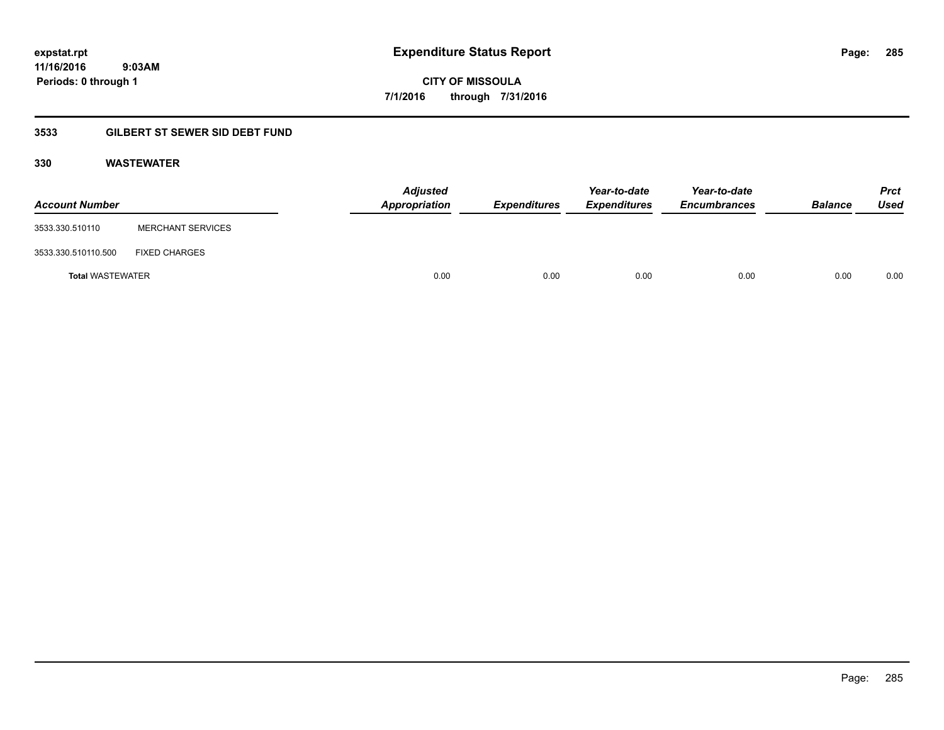**11/16/2016 9:03AM Periods: 0 through 1**

**CITY OF MISSOULA 7/1/2016 through 7/31/2016**

# **3533 GILBERT ST SEWER SID DEBT FUND**

## **330 WASTEWATER**

| <b>Account Number</b>   |                          | <b>Adjusted</b><br>Appropriation | <b>Expenditures</b> | Year-to-date<br><b>Expenditures</b> | Year-to-date<br><b>Encumbrances</b> | <b>Balance</b> | <b>Prct</b><br>Used |
|-------------------------|--------------------------|----------------------------------|---------------------|-------------------------------------|-------------------------------------|----------------|---------------------|
| 3533.330.510110         | <b>MERCHANT SERVICES</b> |                                  |                     |                                     |                                     |                |                     |
| 3533.330.510110.500     | <b>FIXED CHARGES</b>     |                                  |                     |                                     |                                     |                |                     |
| <b>Total WASTEWATER</b> |                          | 0.00                             | 0.00                | 0.00                                | 0.00                                | 0.00           | 0.00                |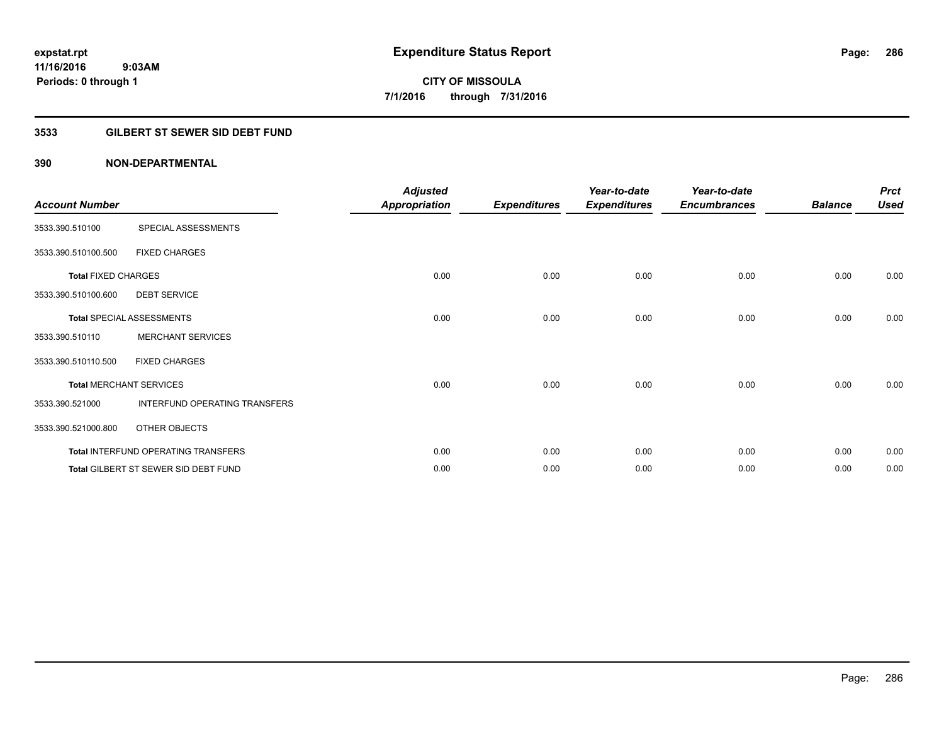# **3533 GILBERT ST SEWER SID DEBT FUND**

| <b>Account Number</b>      |                                      | <b>Adjusted</b><br>Appropriation | <b>Expenditures</b> | Year-to-date<br><b>Expenditures</b> | Year-to-date<br><b>Encumbrances</b> | <b>Balance</b> | <b>Prct</b><br><b>Used</b> |
|----------------------------|--------------------------------------|----------------------------------|---------------------|-------------------------------------|-------------------------------------|----------------|----------------------------|
| 3533.390.510100            | SPECIAL ASSESSMENTS                  |                                  |                     |                                     |                                     |                |                            |
| 3533.390.510100.500        | <b>FIXED CHARGES</b>                 |                                  |                     |                                     |                                     |                |                            |
| <b>Total FIXED CHARGES</b> |                                      | 0.00                             | 0.00                | 0.00                                | 0.00                                | 0.00           | 0.00                       |
| 3533.390.510100.600        | <b>DEBT SERVICE</b>                  |                                  |                     |                                     |                                     |                |                            |
|                            | <b>Total SPECIAL ASSESSMENTS</b>     | 0.00                             | 0.00                | 0.00                                | 0.00                                | 0.00           | 0.00                       |
| 3533.390.510110            | <b>MERCHANT SERVICES</b>             |                                  |                     |                                     |                                     |                |                            |
| 3533.390.510110.500        | <b>FIXED CHARGES</b>                 |                                  |                     |                                     |                                     |                |                            |
|                            | <b>Total MERCHANT SERVICES</b>       | 0.00                             | 0.00                | 0.00                                | 0.00                                | 0.00           | 0.00                       |
| 3533.390.521000            | INTERFUND OPERATING TRANSFERS        |                                  |                     |                                     |                                     |                |                            |
| 3533.390.521000.800        | OTHER OBJECTS                        |                                  |                     |                                     |                                     |                |                            |
|                            | Total INTERFUND OPERATING TRANSFERS  | 0.00                             | 0.00                | 0.00                                | 0.00                                | 0.00           | 0.00                       |
|                            | Total GILBERT ST SEWER SID DEBT FUND | 0.00                             | 0.00                | 0.00                                | 0.00                                | 0.00           | 0.00                       |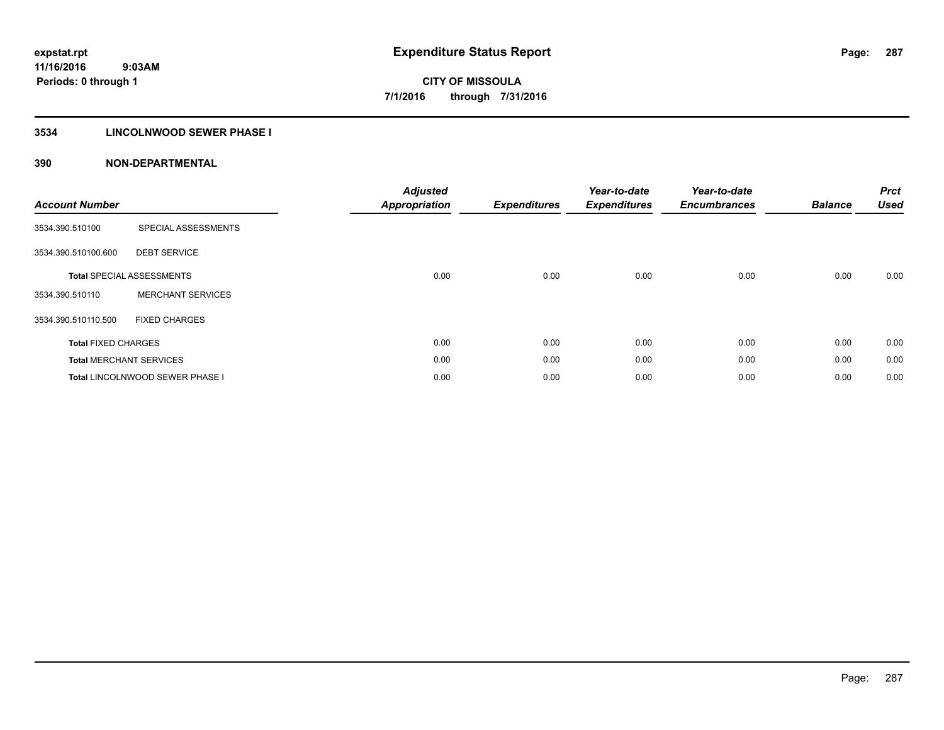# **3534 LINCOLNWOOD SEWER PHASE I**

| <b>Account Number</b>      |                                  | <b>Adjusted</b><br><b>Appropriation</b> | <b>Expenditures</b> | Year-to-date<br><b>Expenditures</b> | Year-to-date<br><b>Encumbrances</b> | <b>Balance</b> | <b>Prct</b><br><b>Used</b> |
|----------------------------|----------------------------------|-----------------------------------------|---------------------|-------------------------------------|-------------------------------------|----------------|----------------------------|
| 3534.390.510100            | SPECIAL ASSESSMENTS              |                                         |                     |                                     |                                     |                |                            |
| 3534.390.510100.600        | <b>DEBT SERVICE</b>              |                                         |                     |                                     |                                     |                |                            |
|                            | <b>Total SPECIAL ASSESSMENTS</b> | 0.00                                    | 0.00                | 0.00                                | 0.00                                | 0.00           | 0.00                       |
| 3534.390.510110            | <b>MERCHANT SERVICES</b>         |                                         |                     |                                     |                                     |                |                            |
| 3534.390.510110.500        | <b>FIXED CHARGES</b>             |                                         |                     |                                     |                                     |                |                            |
| <b>Total FIXED CHARGES</b> |                                  | 0.00                                    | 0.00                | 0.00                                | 0.00                                | 0.00           | 0.00                       |
|                            | <b>Total MERCHANT SERVICES</b>   | 0.00                                    | 0.00                | 0.00                                | 0.00                                | 0.00           | 0.00                       |
|                            | Total LINCOLNWOOD SEWER PHASE I  | 0.00                                    | 0.00                | 0.00                                | 0.00                                | 0.00           | 0.00                       |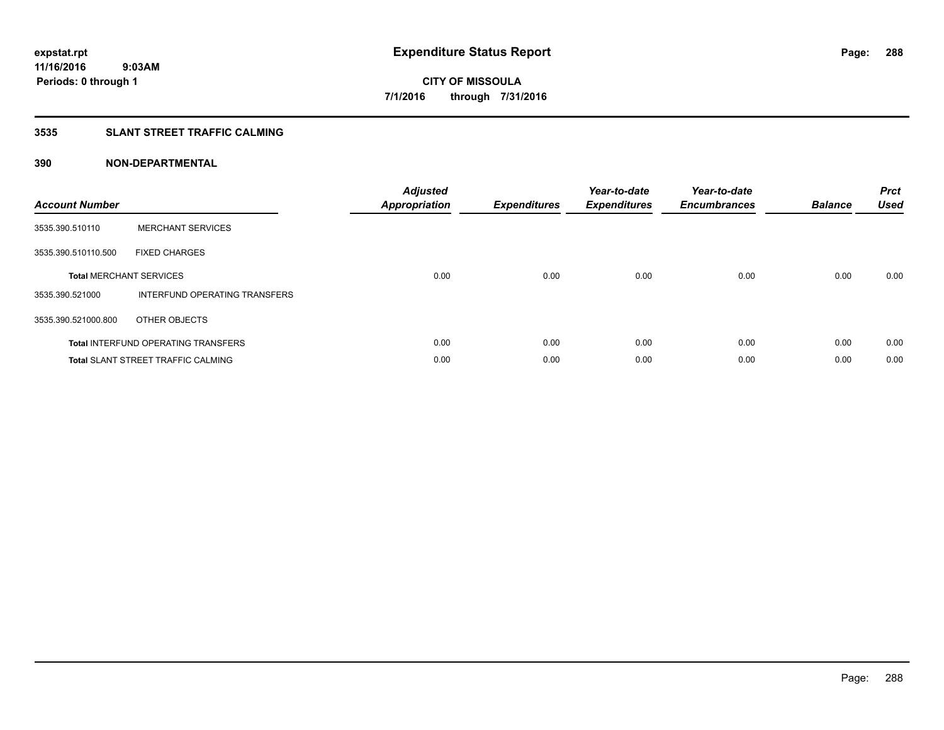### **3535 SLANT STREET TRAFFIC CALMING**

| <b>Account Number</b> |                                            | <b>Adjusted</b><br><b>Appropriation</b> | <b>Expenditures</b> | Year-to-date<br><b>Expenditures</b> | Year-to-date<br><b>Encumbrances</b> | <b>Balance</b> | <b>Prct</b><br>Used |
|-----------------------|--------------------------------------------|-----------------------------------------|---------------------|-------------------------------------|-------------------------------------|----------------|---------------------|
| 3535.390.510110       | <b>MERCHANT SERVICES</b>                   |                                         |                     |                                     |                                     |                |                     |
| 3535.390.510110.500   | <b>FIXED CHARGES</b>                       |                                         |                     |                                     |                                     |                |                     |
|                       | <b>Total MERCHANT SERVICES</b>             | 0.00                                    | 0.00                | 0.00                                | 0.00                                | 0.00           | 0.00                |
| 3535.390.521000       | INTERFUND OPERATING TRANSFERS              |                                         |                     |                                     |                                     |                |                     |
| 3535.390.521000.800   | OTHER OBJECTS                              |                                         |                     |                                     |                                     |                |                     |
|                       | <b>Total INTERFUND OPERATING TRANSFERS</b> | 0.00                                    | 0.00                | 0.00                                | 0.00                                | 0.00           | 0.00                |
|                       | <b>Total SLANT STREET TRAFFIC CALMING</b>  | 0.00                                    | 0.00                | 0.00                                | 0.00                                | 0.00           | 0.00                |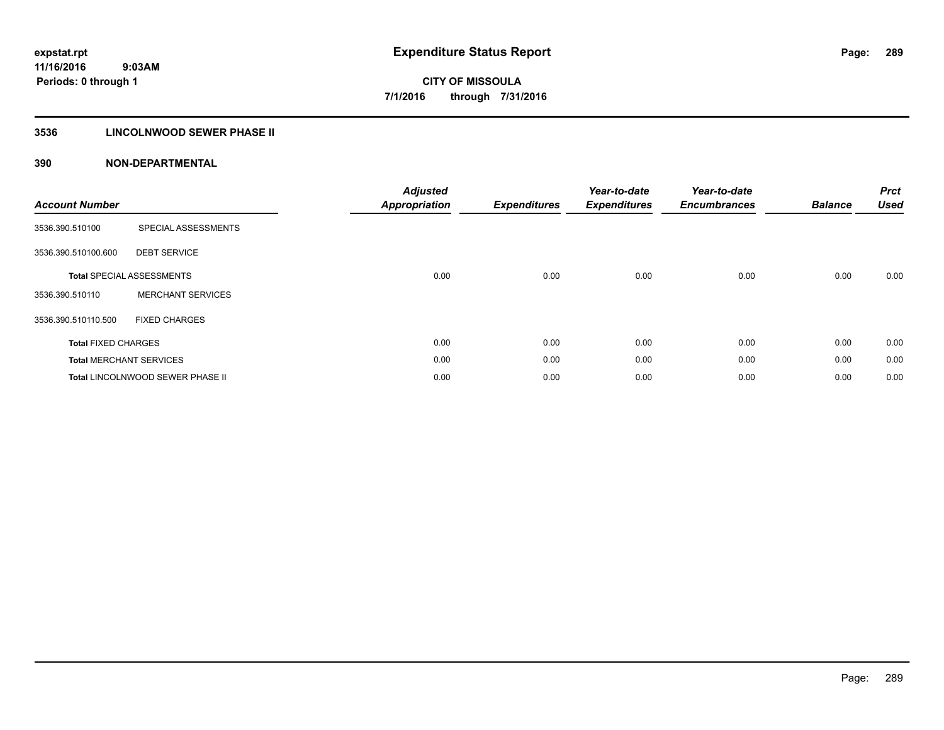# **3536 LINCOLNWOOD SEWER PHASE II**

| <b>Account Number</b>      |                                  | <b>Adjusted</b><br><b>Appropriation</b> | <b>Expenditures</b> | Year-to-date<br><b>Expenditures</b> | Year-to-date<br><b>Encumbrances</b> | <b>Balance</b> | <b>Prct</b><br><b>Used</b> |
|----------------------------|----------------------------------|-----------------------------------------|---------------------|-------------------------------------|-------------------------------------|----------------|----------------------------|
| 3536.390.510100            | SPECIAL ASSESSMENTS              |                                         |                     |                                     |                                     |                |                            |
| 3536.390.510100.600        | <b>DEBT SERVICE</b>              |                                         |                     |                                     |                                     |                |                            |
|                            | <b>Total SPECIAL ASSESSMENTS</b> | 0.00                                    | 0.00                | 0.00                                | 0.00                                | 0.00           | 0.00                       |
| 3536.390.510110            | <b>MERCHANT SERVICES</b>         |                                         |                     |                                     |                                     |                |                            |
| 3536.390.510110.500        | <b>FIXED CHARGES</b>             |                                         |                     |                                     |                                     |                |                            |
| <b>Total FIXED CHARGES</b> |                                  | 0.00                                    | 0.00                | 0.00                                | 0.00                                | 0.00           | 0.00                       |
|                            | <b>Total MERCHANT SERVICES</b>   | 0.00                                    | 0.00                | 0.00                                | 0.00                                | 0.00           | 0.00                       |
|                            | Total LINCOLNWOOD SEWER PHASE II | 0.00                                    | 0.00                | 0.00                                | 0.00                                | 0.00           | 0.00                       |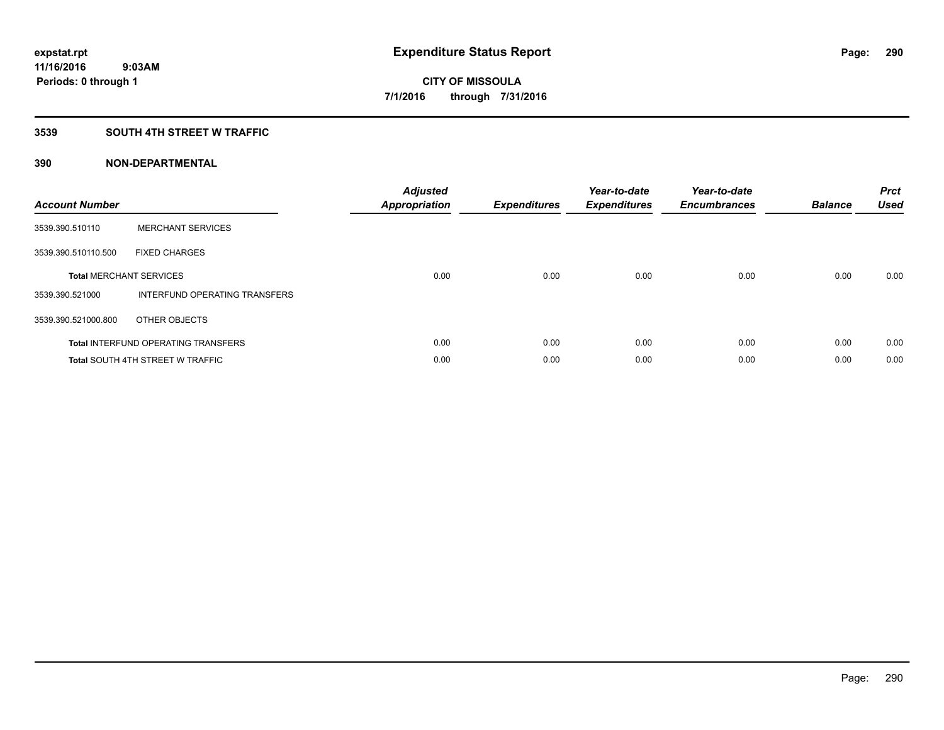# **3539 SOUTH 4TH STREET W TRAFFIC**

| <b>Account Number</b> |                                            | <b>Adjusted</b><br>Appropriation | <b>Expenditures</b> | Year-to-date<br><b>Expenditures</b> | Year-to-date<br><b>Encumbrances</b> | <b>Balance</b> | <b>Prct</b><br><b>Used</b> |
|-----------------------|--------------------------------------------|----------------------------------|---------------------|-------------------------------------|-------------------------------------|----------------|----------------------------|
| 3539.390.510110       | <b>MERCHANT SERVICES</b>                   |                                  |                     |                                     |                                     |                |                            |
| 3539.390.510110.500   | <b>FIXED CHARGES</b>                       |                                  |                     |                                     |                                     |                |                            |
|                       | <b>Total MERCHANT SERVICES</b>             | 0.00                             | 0.00                | 0.00                                | 0.00                                | 0.00           | 0.00                       |
| 3539.390.521000       | INTERFUND OPERATING TRANSFERS              |                                  |                     |                                     |                                     |                |                            |
| 3539.390.521000.800   | OTHER OBJECTS                              |                                  |                     |                                     |                                     |                |                            |
|                       | <b>Total INTERFUND OPERATING TRANSFERS</b> | 0.00                             | 0.00                | 0.00                                | 0.00                                | 0.00           | 0.00                       |
|                       | <b>Total SOUTH 4TH STREET W TRAFFIC</b>    | 0.00                             | 0.00                | 0.00                                | 0.00                                | 0.00           | 0.00                       |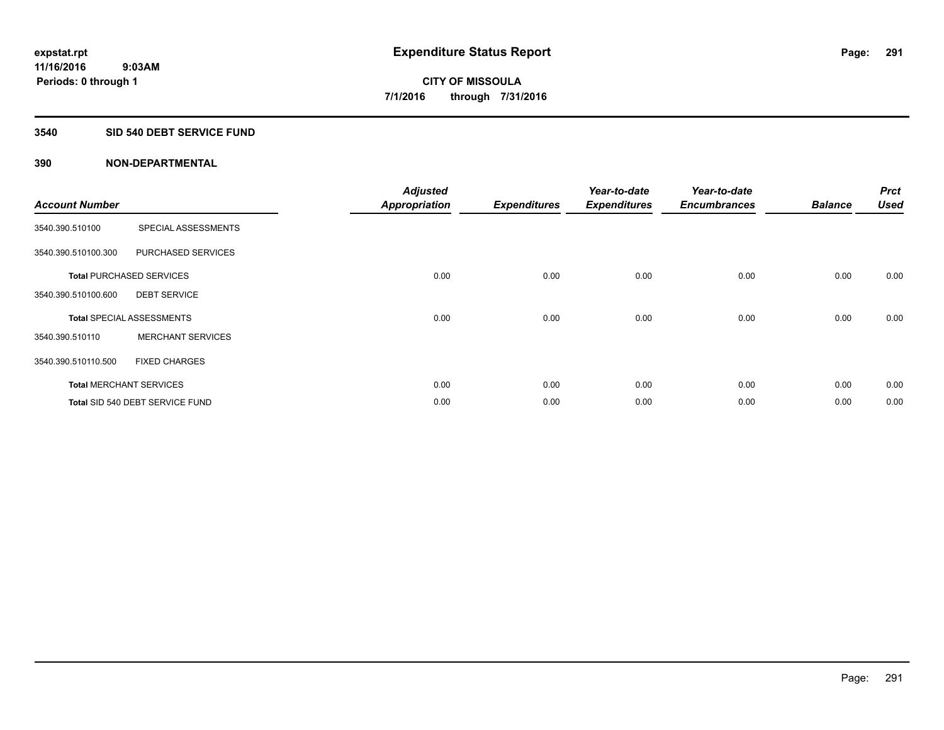# **3540 SID 540 DEBT SERVICE FUND**

| <b>Account Number</b> |                                  | <b>Adjusted</b><br><b>Appropriation</b> | <b>Expenditures</b> | Year-to-date<br><b>Expenditures</b> | Year-to-date<br><b>Encumbrances</b> | <b>Balance</b> | <b>Prct</b><br><b>Used</b> |
|-----------------------|----------------------------------|-----------------------------------------|---------------------|-------------------------------------|-------------------------------------|----------------|----------------------------|
| 3540.390.510100       | SPECIAL ASSESSMENTS              |                                         |                     |                                     |                                     |                |                            |
| 3540.390.510100.300   | PURCHASED SERVICES               |                                         |                     |                                     |                                     |                |                            |
|                       | <b>Total PURCHASED SERVICES</b>  | 0.00                                    | 0.00                | 0.00                                | 0.00                                | 0.00           | 0.00                       |
| 3540.390.510100.600   | <b>DEBT SERVICE</b>              |                                         |                     |                                     |                                     |                |                            |
|                       | <b>Total SPECIAL ASSESSMENTS</b> | 0.00                                    | 0.00                | 0.00                                | 0.00                                | 0.00           | 0.00                       |
| 3540.390.510110       | <b>MERCHANT SERVICES</b>         |                                         |                     |                                     |                                     |                |                            |
| 3540.390.510110.500   | <b>FIXED CHARGES</b>             |                                         |                     |                                     |                                     |                |                            |
|                       | <b>Total MERCHANT SERVICES</b>   | 0.00                                    | 0.00                | 0.00                                | 0.00                                | 0.00           | 0.00                       |
|                       | Total SID 540 DEBT SERVICE FUND  | 0.00                                    | 0.00                | 0.00                                | 0.00                                | 0.00           | 0.00                       |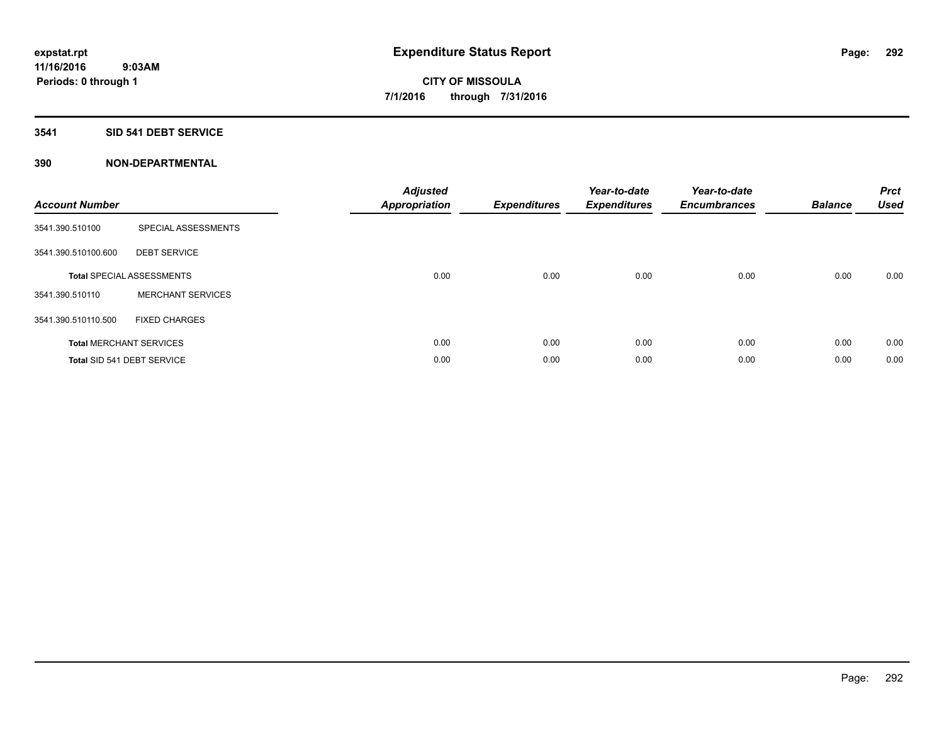## **3541 SID 541 DEBT SERVICE**

| <b>Account Number</b> |                                  | <b>Adjusted</b><br><b>Appropriation</b> | <b>Expenditures</b> | Year-to-date<br><b>Expenditures</b> | Year-to-date<br><b>Encumbrances</b> | <b>Balance</b> | <b>Prct</b><br><b>Used</b> |
|-----------------------|----------------------------------|-----------------------------------------|---------------------|-------------------------------------|-------------------------------------|----------------|----------------------------|
| 3541.390.510100       | SPECIAL ASSESSMENTS              |                                         |                     |                                     |                                     |                |                            |
| 3541.390.510100.600   | <b>DEBT SERVICE</b>              |                                         |                     |                                     |                                     |                |                            |
|                       | <b>Total SPECIAL ASSESSMENTS</b> | 0.00                                    | 0.00                | 0.00                                | 0.00                                | 0.00           | 0.00                       |
| 3541.390.510110       | <b>MERCHANT SERVICES</b>         |                                         |                     |                                     |                                     |                |                            |
| 3541.390.510110.500   | <b>FIXED CHARGES</b>             |                                         |                     |                                     |                                     |                |                            |
|                       | <b>Total MERCHANT SERVICES</b>   | 0.00                                    | 0.00                | 0.00                                | 0.00                                | 0.00           | 0.00                       |
|                       | Total SID 541 DEBT SERVICE       | 0.00                                    | 0.00                | 0.00                                | 0.00                                | 0.00           | 0.00                       |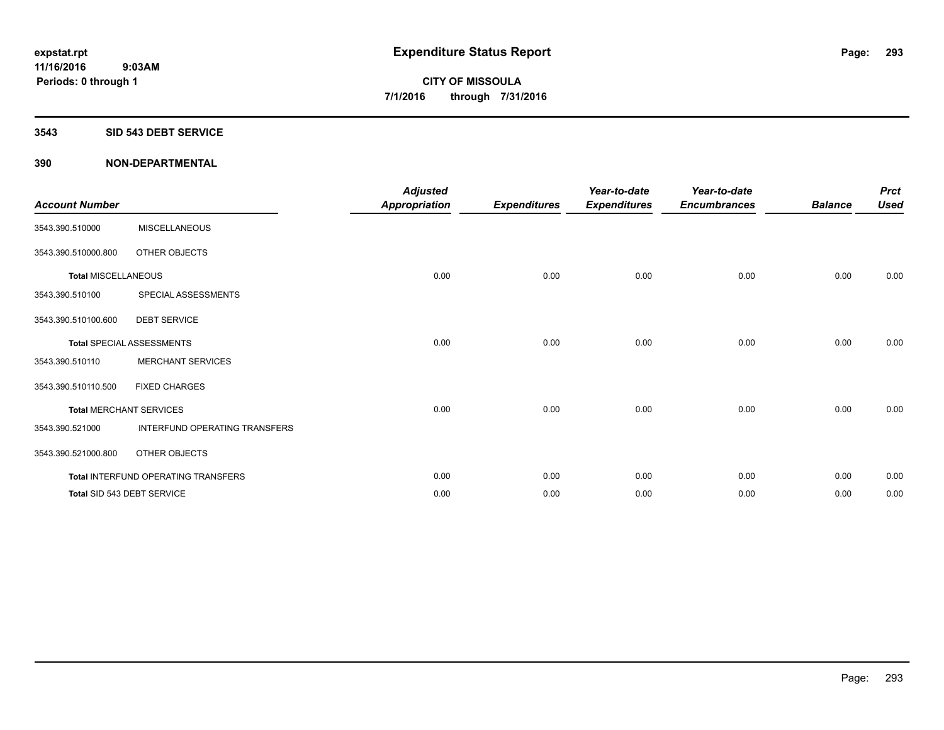#### **3543 SID 543 DEBT SERVICE**

| <b>Account Number</b>      |                                     | <b>Adjusted</b><br><b>Appropriation</b> | <b>Expenditures</b> | Year-to-date<br><b>Expenditures</b> | Year-to-date<br><b>Encumbrances</b> | <b>Balance</b> | <b>Prct</b><br><b>Used</b> |
|----------------------------|-------------------------------------|-----------------------------------------|---------------------|-------------------------------------|-------------------------------------|----------------|----------------------------|
| 3543.390.510000            | <b>MISCELLANEOUS</b>                |                                         |                     |                                     |                                     |                |                            |
| 3543.390.510000.800        | OTHER OBJECTS                       |                                         |                     |                                     |                                     |                |                            |
| <b>Total MISCELLANEOUS</b> |                                     | 0.00                                    | 0.00                | 0.00                                | 0.00                                | 0.00           | 0.00                       |
| 3543.390.510100            | SPECIAL ASSESSMENTS                 |                                         |                     |                                     |                                     |                |                            |
| 3543.390.510100.600        | <b>DEBT SERVICE</b>                 |                                         |                     |                                     |                                     |                |                            |
|                            | <b>Total SPECIAL ASSESSMENTS</b>    | 0.00                                    | 0.00                | 0.00                                | 0.00                                | 0.00           | 0.00                       |
| 3543.390.510110            | <b>MERCHANT SERVICES</b>            |                                         |                     |                                     |                                     |                |                            |
| 3543.390.510110.500        | <b>FIXED CHARGES</b>                |                                         |                     |                                     |                                     |                |                            |
|                            | <b>Total MERCHANT SERVICES</b>      | 0.00                                    | 0.00                | 0.00                                | 0.00                                | 0.00           | 0.00                       |
| 3543.390.521000            | INTERFUND OPERATING TRANSFERS       |                                         |                     |                                     |                                     |                |                            |
| 3543.390.521000.800        | OTHER OBJECTS                       |                                         |                     |                                     |                                     |                |                            |
|                            | Total INTERFUND OPERATING TRANSFERS | 0.00                                    | 0.00                | 0.00                                | 0.00                                | 0.00           | 0.00                       |
|                            | Total SID 543 DEBT SERVICE          | 0.00                                    | 0.00                | 0.00                                | 0.00                                | 0.00           | 0.00                       |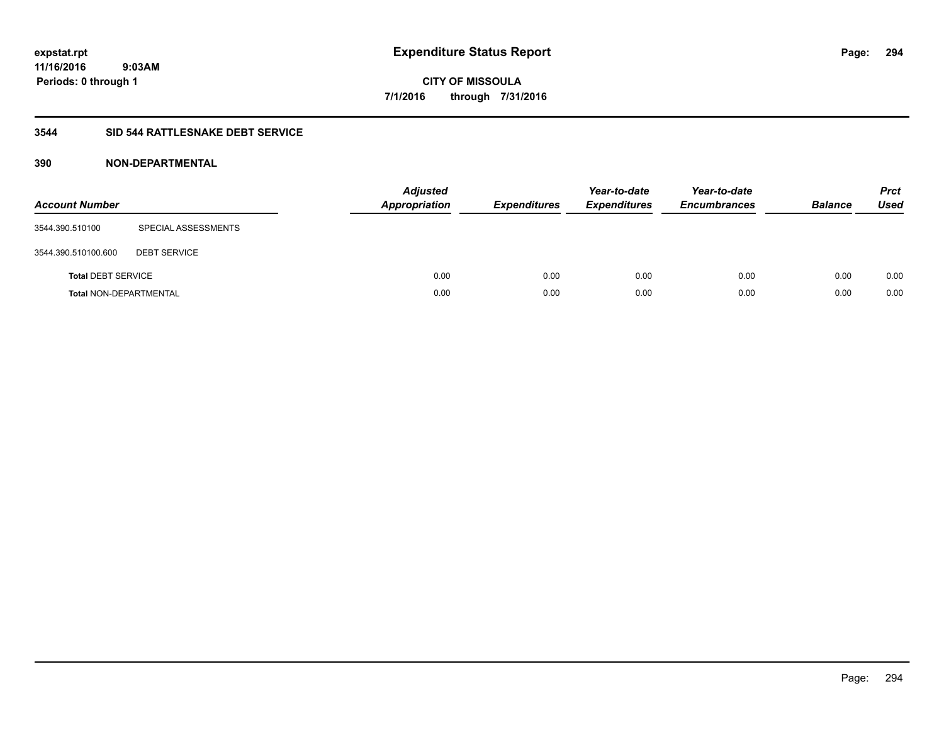# **3544 SID 544 RATTLESNAKE DEBT SERVICE**

| <b>Account Number</b>         |                     | <b>Adjusted</b><br><b>Appropriation</b> | <b>Expenditures</b> | Year-to-date<br><b>Expenditures</b> | Year-to-date<br><b>Encumbrances</b> | <b>Balance</b> | <b>Prct</b><br>Used |
|-------------------------------|---------------------|-----------------------------------------|---------------------|-------------------------------------|-------------------------------------|----------------|---------------------|
| 3544.390.510100               | SPECIAL ASSESSMENTS |                                         |                     |                                     |                                     |                |                     |
| 3544.390.510100.600           | <b>DEBT SERVICE</b> |                                         |                     |                                     |                                     |                |                     |
| <b>Total DEBT SERVICE</b>     |                     | 0.00                                    | 0.00                | 0.00                                | 0.00                                | 0.00           | 0.00                |
| <b>Total NON-DEPARTMENTAL</b> |                     | 0.00                                    | 0.00                | 0.00                                | 0.00                                | 0.00           | 0.00                |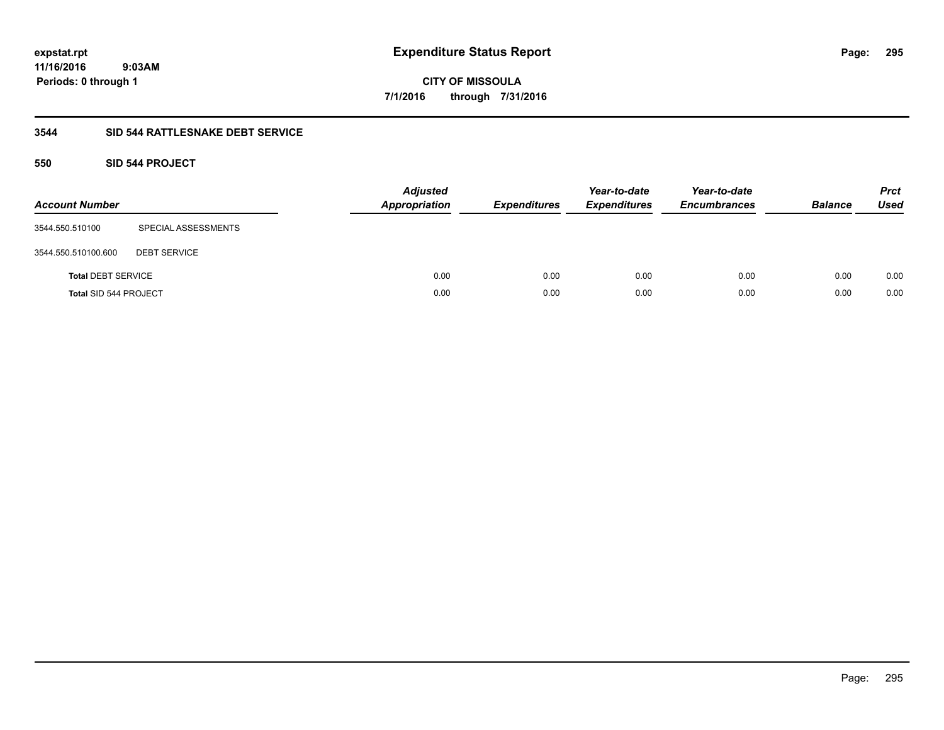**11/16/2016 9:03AM Periods: 0 through 1**

**CITY OF MISSOULA 7/1/2016 through 7/31/2016**

# **3544 SID 544 RATTLESNAKE DEBT SERVICE**

# **550 SID 544 PROJECT**

| <b>Account Number</b>        |                     | Adjusted<br>Appropriation | <b>Expenditures</b> | Year-to-date<br><b>Expenditures</b> | Year-to-date<br><b>Encumbrances</b> | <b>Balance</b> | <b>Prct</b><br>Used |
|------------------------------|---------------------|---------------------------|---------------------|-------------------------------------|-------------------------------------|----------------|---------------------|
| 3544.550.510100              | SPECIAL ASSESSMENTS |                           |                     |                                     |                                     |                |                     |
| 3544.550.510100.600          | <b>DEBT SERVICE</b> |                           |                     |                                     |                                     |                |                     |
| <b>Total DEBT SERVICE</b>    |                     | 0.00                      | 0.00                | 0.00                                | 0.00                                | 0.00           | 0.00                |
| <b>Total SID 544 PROJECT</b> |                     | 0.00                      | 0.00                | 0.00                                | 0.00                                | 0.00           | 0.00                |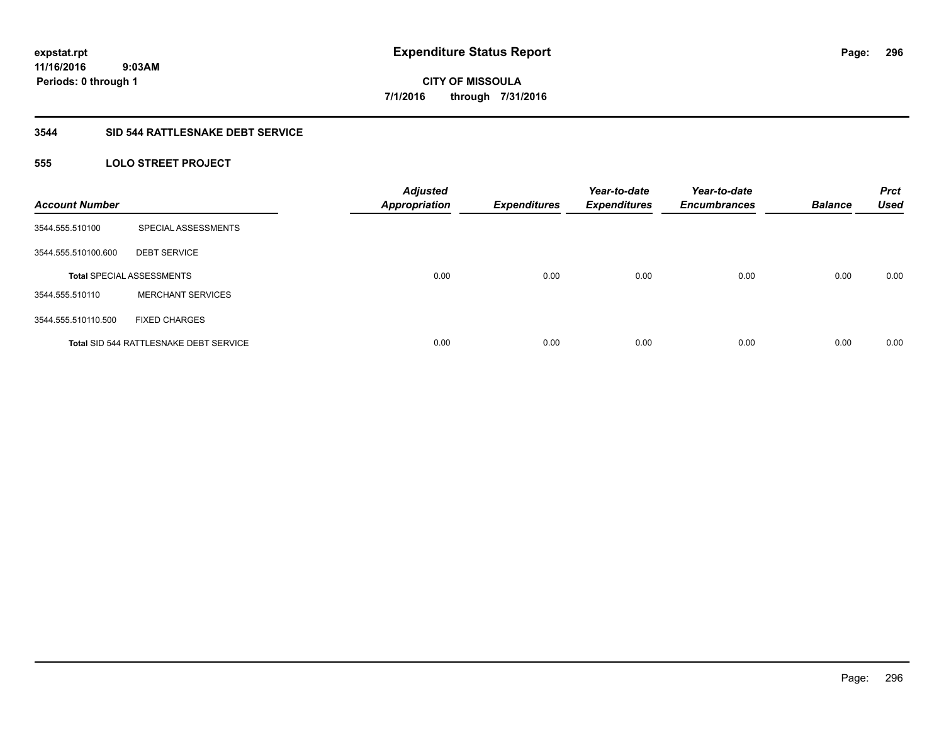# **3544 SID 544 RATTLESNAKE DEBT SERVICE**

# **555 LOLO STREET PROJECT**

| <b>Account Number</b> |                                               | <b>Adjusted</b><br><b>Appropriation</b> | <b>Expenditures</b> | Year-to-date<br><b>Expenditures</b> | Year-to-date<br><b>Encumbrances</b> | <b>Balance</b> | <b>Prct</b><br><b>Used</b> |
|-----------------------|-----------------------------------------------|-----------------------------------------|---------------------|-------------------------------------|-------------------------------------|----------------|----------------------------|
| 3544.555.510100       | SPECIAL ASSESSMENTS                           |                                         |                     |                                     |                                     |                |                            |
| 3544.555.510100.600   | <b>DEBT SERVICE</b>                           |                                         |                     |                                     |                                     |                |                            |
|                       | <b>Total SPECIAL ASSESSMENTS</b>              | 0.00                                    | 0.00                | 0.00                                | 0.00                                | 0.00           | 0.00                       |
| 3544.555.510110       | <b>MERCHANT SERVICES</b>                      |                                         |                     |                                     |                                     |                |                            |
| 3544.555.510110.500   | <b>FIXED CHARGES</b>                          |                                         |                     |                                     |                                     |                |                            |
|                       | <b>Total SID 544 RATTLESNAKE DEBT SERVICE</b> | 0.00                                    | 0.00                | 0.00                                | 0.00                                | 0.00           | 0.00                       |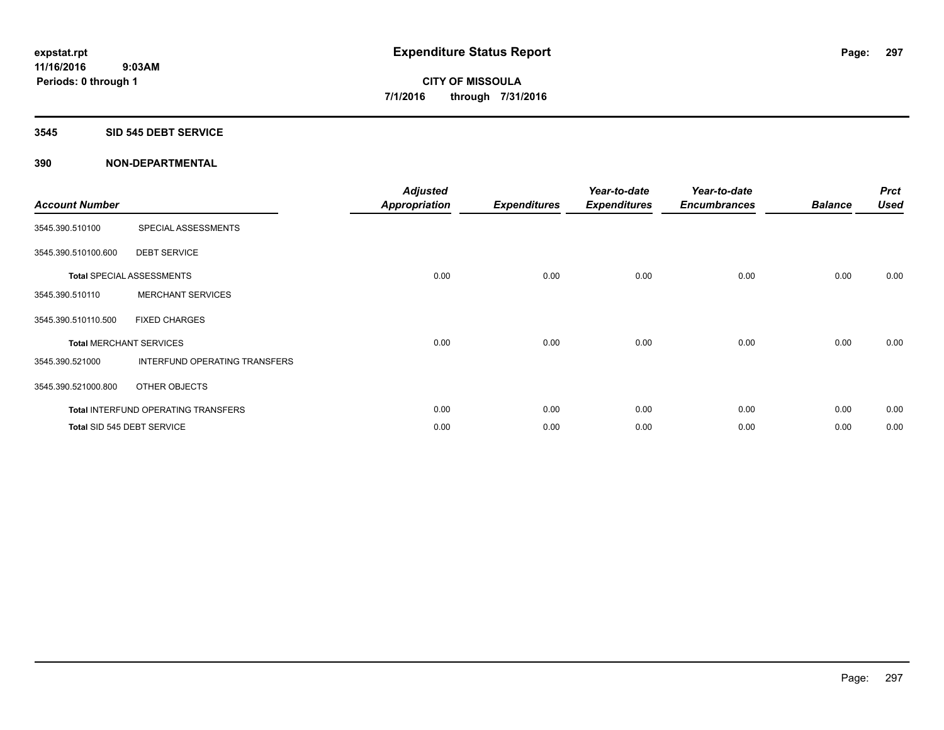### **3545 SID 545 DEBT SERVICE**

| <b>Account Number</b>          |                                     | <b>Adjusted</b><br>Appropriation | <b>Expenditures</b> | Year-to-date<br><b>Expenditures</b> | Year-to-date<br><b>Encumbrances</b> | <b>Balance</b> | <b>Prct</b><br><b>Used</b> |
|--------------------------------|-------------------------------------|----------------------------------|---------------------|-------------------------------------|-------------------------------------|----------------|----------------------------|
| 3545.390.510100                | SPECIAL ASSESSMENTS                 |                                  |                     |                                     |                                     |                |                            |
| 3545.390.510100.600            | <b>DEBT SERVICE</b>                 |                                  |                     |                                     |                                     |                |                            |
|                                | <b>Total SPECIAL ASSESSMENTS</b>    | 0.00                             | 0.00                | 0.00                                | 0.00                                | 0.00           | 0.00                       |
| 3545.390.510110                | <b>MERCHANT SERVICES</b>            |                                  |                     |                                     |                                     |                |                            |
| 3545.390.510110.500            | <b>FIXED CHARGES</b>                |                                  |                     |                                     |                                     |                |                            |
| <b>Total MERCHANT SERVICES</b> |                                     | 0.00                             | 0.00                | 0.00                                | 0.00                                | 0.00           | 0.00                       |
| 3545.390.521000                | INTERFUND OPERATING TRANSFERS       |                                  |                     |                                     |                                     |                |                            |
| 3545.390.521000.800            | OTHER OBJECTS                       |                                  |                     |                                     |                                     |                |                            |
|                                | Total INTERFUND OPERATING TRANSFERS | 0.00                             | 0.00                | 0.00                                | 0.00                                | 0.00           | 0.00                       |
|                                | Total SID 545 DEBT SERVICE          | 0.00                             | 0.00                | 0.00                                | 0.00                                | 0.00           | 0.00                       |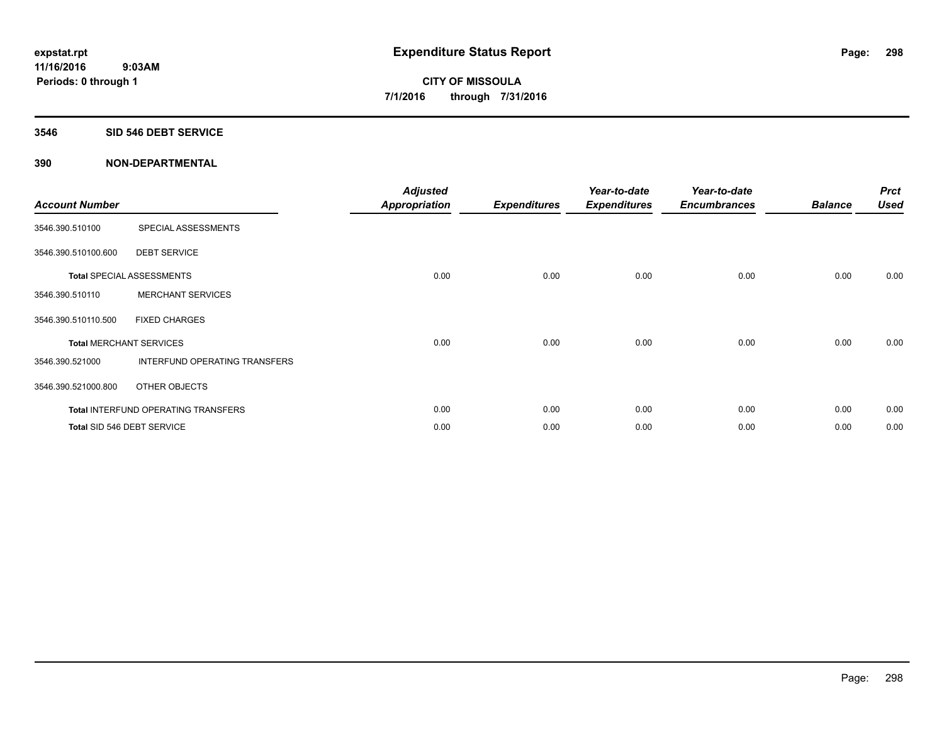### **3546 SID 546 DEBT SERVICE**

| <b>Account Number</b>          |                                     | <b>Adjusted</b><br>Appropriation | <b>Expenditures</b> | Year-to-date<br><b>Expenditures</b> | Year-to-date<br><b>Encumbrances</b> | <b>Balance</b> | <b>Prct</b><br><b>Used</b> |
|--------------------------------|-------------------------------------|----------------------------------|---------------------|-------------------------------------|-------------------------------------|----------------|----------------------------|
| 3546.390.510100                | SPECIAL ASSESSMENTS                 |                                  |                     |                                     |                                     |                |                            |
| 3546.390.510100.600            | <b>DEBT SERVICE</b>                 |                                  |                     |                                     |                                     |                |                            |
|                                | <b>Total SPECIAL ASSESSMENTS</b>    | 0.00                             | 0.00                | 0.00                                | 0.00                                | 0.00           | 0.00                       |
| 3546.390.510110                | <b>MERCHANT SERVICES</b>            |                                  |                     |                                     |                                     |                |                            |
| 3546.390.510110.500            | <b>FIXED CHARGES</b>                |                                  |                     |                                     |                                     |                |                            |
| <b>Total MERCHANT SERVICES</b> |                                     | 0.00                             | 0.00                | 0.00                                | 0.00                                | 0.00           | 0.00                       |
| 3546.390.521000                | INTERFUND OPERATING TRANSFERS       |                                  |                     |                                     |                                     |                |                            |
| 3546.390.521000.800            | OTHER OBJECTS                       |                                  |                     |                                     |                                     |                |                            |
|                                | Total INTERFUND OPERATING TRANSFERS | 0.00                             | 0.00                | 0.00                                | 0.00                                | 0.00           | 0.00                       |
|                                | Total SID 546 DEBT SERVICE          | 0.00                             | 0.00                | 0.00                                | 0.00                                | 0.00           | 0.00                       |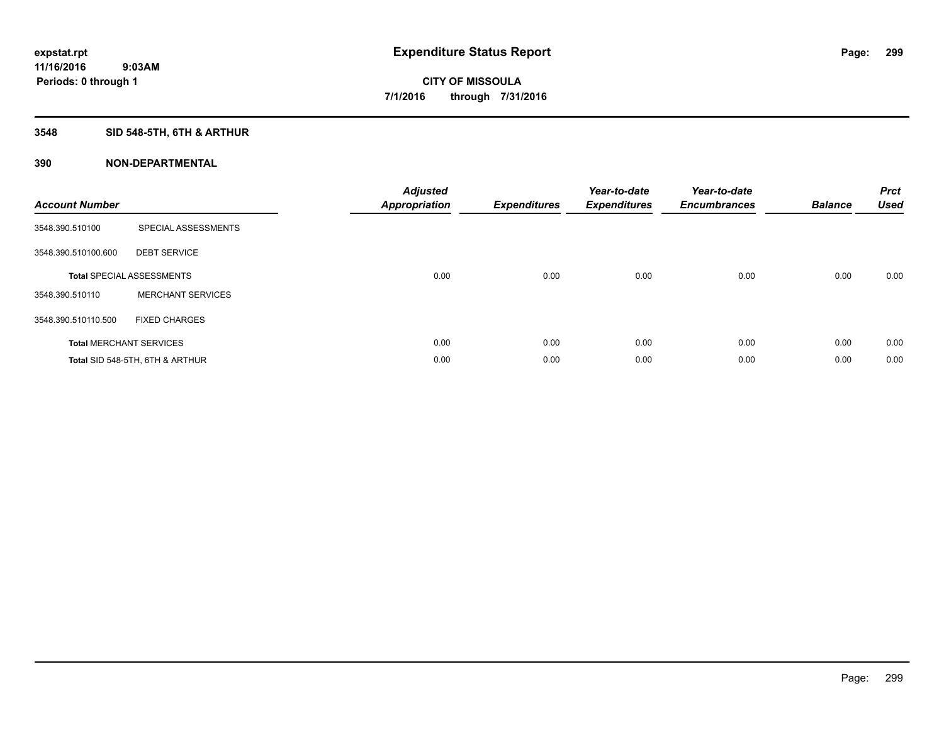# **3548 SID 548-5TH, 6TH & ARTHUR**

| <b>Account Number</b> |                                  | <b>Adjusted</b><br>Appropriation | <b>Expenditures</b> | Year-to-date<br><b>Expenditures</b> | Year-to-date<br><b>Encumbrances</b> | <b>Balance</b> | <b>Prct</b><br><b>Used</b> |
|-----------------------|----------------------------------|----------------------------------|---------------------|-------------------------------------|-------------------------------------|----------------|----------------------------|
| 3548.390.510100       | SPECIAL ASSESSMENTS              |                                  |                     |                                     |                                     |                |                            |
| 3548.390.510100.600   | <b>DEBT SERVICE</b>              |                                  |                     |                                     |                                     |                |                            |
|                       | <b>Total SPECIAL ASSESSMENTS</b> | 0.00                             | 0.00                | 0.00                                | 0.00                                | 0.00           | 0.00                       |
| 3548.390.510110       | <b>MERCHANT SERVICES</b>         |                                  |                     |                                     |                                     |                |                            |
| 3548.390.510110.500   | <b>FIXED CHARGES</b>             |                                  |                     |                                     |                                     |                |                            |
|                       | <b>Total MERCHANT SERVICES</b>   | 0.00                             | 0.00                | 0.00                                | 0.00                                | 0.00           | 0.00                       |
|                       | Total SID 548-5TH, 6TH & ARTHUR  | 0.00                             | 0.00                | 0.00                                | 0.00                                | 0.00           | 0.00                       |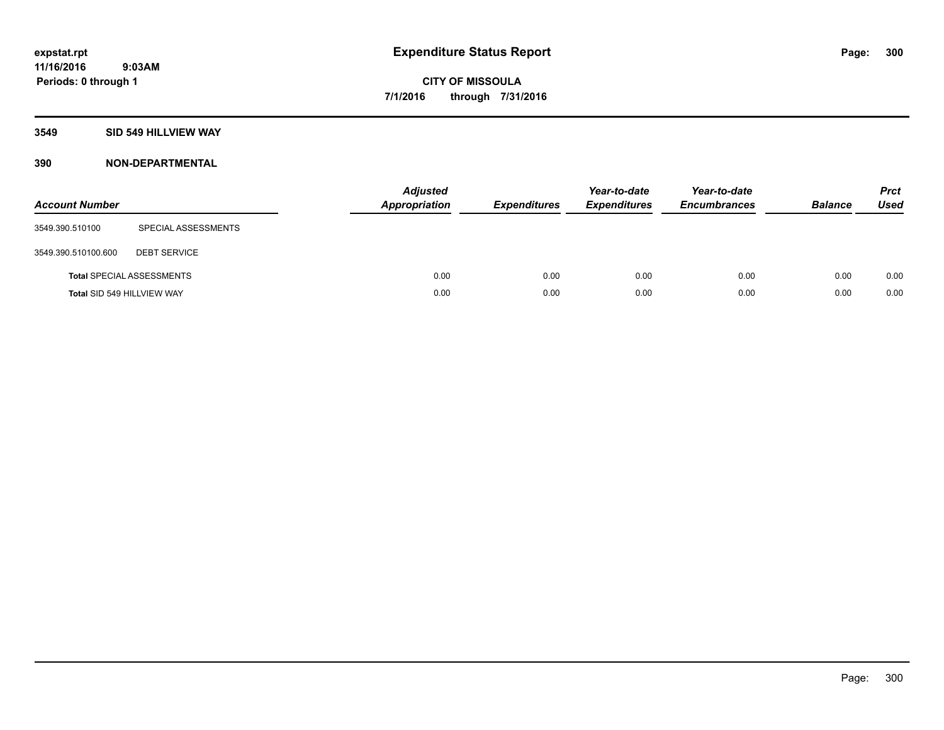# **3549 SID 549 HILLVIEW WAY**

| <b>Account Number</b> |                                  | <b>Adjusted</b><br>Appropriation | <b>Expenditures</b> | Year-to-date<br><b>Expenditures</b> | Year-to-date<br><b>Encumbrances</b> | <b>Balance</b> | <b>Prct</b><br><b>Used</b> |
|-----------------------|----------------------------------|----------------------------------|---------------------|-------------------------------------|-------------------------------------|----------------|----------------------------|
| 3549.390.510100       | SPECIAL ASSESSMENTS              |                                  |                     |                                     |                                     |                |                            |
| 3549.390.510100.600   | <b>DEBT SERVICE</b>              |                                  |                     |                                     |                                     |                |                            |
|                       | <b>Total SPECIAL ASSESSMENTS</b> | 0.00                             | 0.00                | 0.00                                | 0.00                                | 0.00           | 0.00                       |
|                       | Total SID 549 HILLVIEW WAY       | 0.00                             | 0.00                | 0.00                                | 0.00                                | 0.00           | 0.00                       |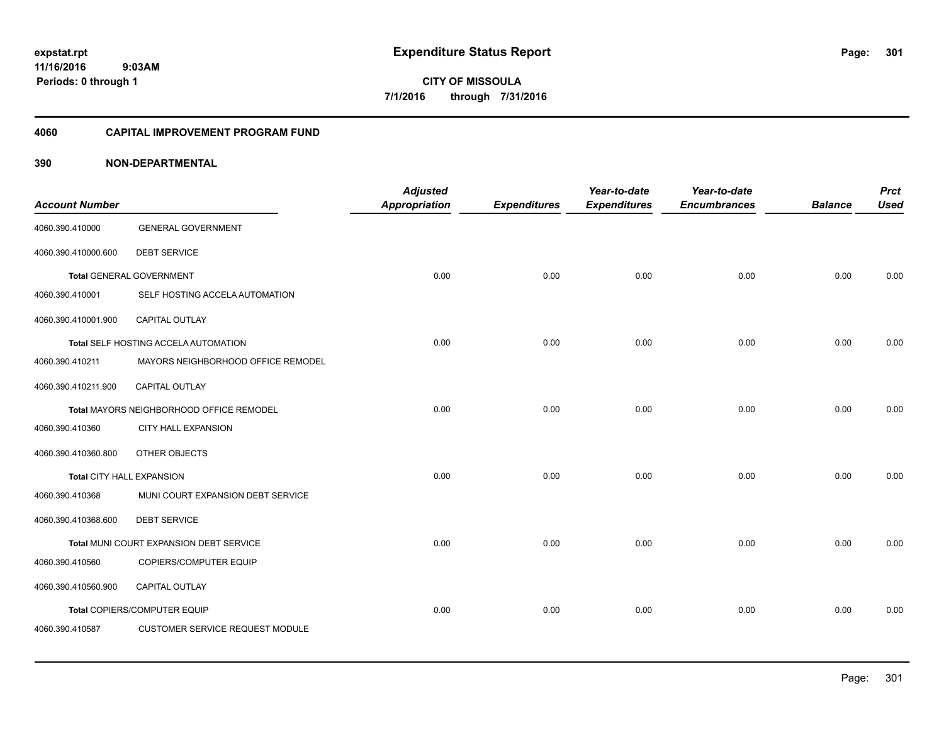**11/16/2016 9:03AM Periods: 0 through 1**

**CITY OF MISSOULA 7/1/2016 through 7/31/2016**

### **4060 CAPITAL IMPROVEMENT PROGRAM FUND**

| <b>Account Number</b>     |                                          | <b>Adjusted</b><br><b>Appropriation</b> | <b>Expenditures</b> | Year-to-date<br><b>Expenditures</b> | Year-to-date<br><b>Encumbrances</b> | <b>Balance</b> | <b>Prct</b><br><b>Used</b> |
|---------------------------|------------------------------------------|-----------------------------------------|---------------------|-------------------------------------|-------------------------------------|----------------|----------------------------|
| 4060.390.410000           | <b>GENERAL GOVERNMENT</b>                |                                         |                     |                                     |                                     |                |                            |
| 4060.390.410000.600       | <b>DEBT SERVICE</b>                      |                                         |                     |                                     |                                     |                |                            |
|                           | Total GENERAL GOVERNMENT                 | 0.00                                    | 0.00                | 0.00                                | 0.00                                | 0.00           | 0.00                       |
| 4060.390.410001           | SELF HOSTING ACCELA AUTOMATION           |                                         |                     |                                     |                                     |                |                            |
| 4060.390.410001.900       | CAPITAL OUTLAY                           |                                         |                     |                                     |                                     |                |                            |
|                           | Total SELF HOSTING ACCELA AUTOMATION     | 0.00                                    | 0.00                | 0.00                                | 0.00                                | 0.00           | 0.00                       |
| 4060.390.410211           | MAYORS NEIGHBORHOOD OFFICE REMODEL       |                                         |                     |                                     |                                     |                |                            |
| 4060.390.410211.900       | CAPITAL OUTLAY                           |                                         |                     |                                     |                                     |                |                            |
|                           | Total MAYORS NEIGHBORHOOD OFFICE REMODEL | 0.00                                    | 0.00                | 0.00                                | 0.00                                | 0.00           | 0.00                       |
| 4060.390.410360           | <b>CITY HALL EXPANSION</b>               |                                         |                     |                                     |                                     |                |                            |
| 4060.390.410360.800       | OTHER OBJECTS                            |                                         |                     |                                     |                                     |                |                            |
| Total CITY HALL EXPANSION |                                          | 0.00                                    | 0.00                | 0.00                                | 0.00                                | 0.00           | 0.00                       |
| 4060.390.410368           | MUNI COURT EXPANSION DEBT SERVICE        |                                         |                     |                                     |                                     |                |                            |
| 4060.390.410368.600       | <b>DEBT SERVICE</b>                      |                                         |                     |                                     |                                     |                |                            |
|                           | Total MUNI COURT EXPANSION DEBT SERVICE  | 0.00                                    | 0.00                | 0.00                                | 0.00                                | 0.00           | 0.00                       |
| 4060.390.410560           | COPIERS/COMPUTER EQUIP                   |                                         |                     |                                     |                                     |                |                            |
| 4060.390.410560.900       | CAPITAL OUTLAY                           |                                         |                     |                                     |                                     |                |                            |
|                           | Total COPIERS/COMPUTER EQUIP             | 0.00                                    | 0.00                | 0.00                                | 0.00                                | 0.00           | 0.00                       |
| 4060.390.410587           | <b>CUSTOMER SERVICE REQUEST MODULE</b>   |                                         |                     |                                     |                                     |                |                            |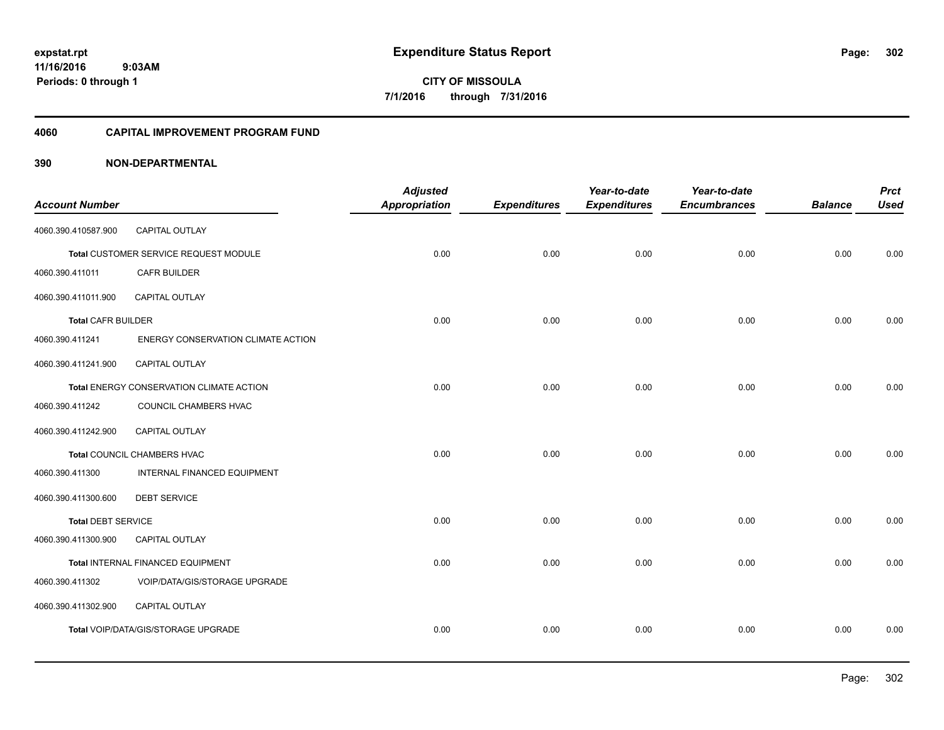**11/16/2016 9:03AM Periods: 0 through 1**

**CITY OF MISSOULA 7/1/2016 through 7/31/2016**

#### **4060 CAPITAL IMPROVEMENT PROGRAM FUND**

| <b>Account Number</b>     |                                          | <b>Adjusted</b><br><b>Appropriation</b> | <b>Expenditures</b> | Year-to-date<br><b>Expenditures</b> | Year-to-date<br><b>Encumbrances</b> | <b>Balance</b> | <b>Prct</b><br><b>Used</b> |
|---------------------------|------------------------------------------|-----------------------------------------|---------------------|-------------------------------------|-------------------------------------|----------------|----------------------------|
|                           |                                          |                                         |                     |                                     |                                     |                |                            |
| 4060.390.410587.900       | <b>CAPITAL OUTLAY</b>                    |                                         |                     |                                     |                                     |                |                            |
|                           | Total CUSTOMER SERVICE REQUEST MODULE    | 0.00                                    | 0.00                | 0.00                                | 0.00                                | 0.00           | 0.00                       |
| 4060.390.411011           | <b>CAFR BUILDER</b>                      |                                         |                     |                                     |                                     |                |                            |
| 4060.390.411011.900       | CAPITAL OUTLAY                           |                                         |                     |                                     |                                     |                |                            |
| <b>Total CAFR BUILDER</b> |                                          | 0.00                                    | 0.00                | 0.00                                | 0.00                                | 0.00           | 0.00                       |
| 4060.390.411241           | ENERGY CONSERVATION CLIMATE ACTION       |                                         |                     |                                     |                                     |                |                            |
| 4060.390.411241.900       | <b>CAPITAL OUTLAY</b>                    |                                         |                     |                                     |                                     |                |                            |
|                           | Total ENERGY CONSERVATION CLIMATE ACTION | 0.00                                    | 0.00                | 0.00                                | 0.00                                | 0.00           | 0.00                       |
| 4060.390.411242           | COUNCIL CHAMBERS HVAC                    |                                         |                     |                                     |                                     |                |                            |
| 4060.390.411242.900       | <b>CAPITAL OUTLAY</b>                    |                                         |                     |                                     |                                     |                |                            |
|                           | Total COUNCIL CHAMBERS HVAC              | 0.00                                    | 0.00                | 0.00                                | 0.00                                | 0.00           | 0.00                       |
| 4060.390.411300           | <b>INTERNAL FINANCED EQUIPMENT</b>       |                                         |                     |                                     |                                     |                |                            |
| 4060.390.411300.600       | <b>DEBT SERVICE</b>                      |                                         |                     |                                     |                                     |                |                            |
| <b>Total DEBT SERVICE</b> |                                          | 0.00                                    | 0.00                | 0.00                                | 0.00                                | 0.00           | 0.00                       |
| 4060.390.411300.900       | <b>CAPITAL OUTLAY</b>                    |                                         |                     |                                     |                                     |                |                            |
|                           | Total INTERNAL FINANCED EQUIPMENT        | 0.00                                    | 0.00                | 0.00                                | 0.00                                | 0.00           | 0.00                       |
| 4060.390.411302           | VOIP/DATA/GIS/STORAGE UPGRADE            |                                         |                     |                                     |                                     |                |                            |
| 4060.390.411302.900       | CAPITAL OUTLAY                           |                                         |                     |                                     |                                     |                |                            |
|                           | Total VOIP/DATA/GIS/STORAGE UPGRADE      | 0.00                                    | 0.00                | 0.00                                | 0.00                                | 0.00           | 0.00                       |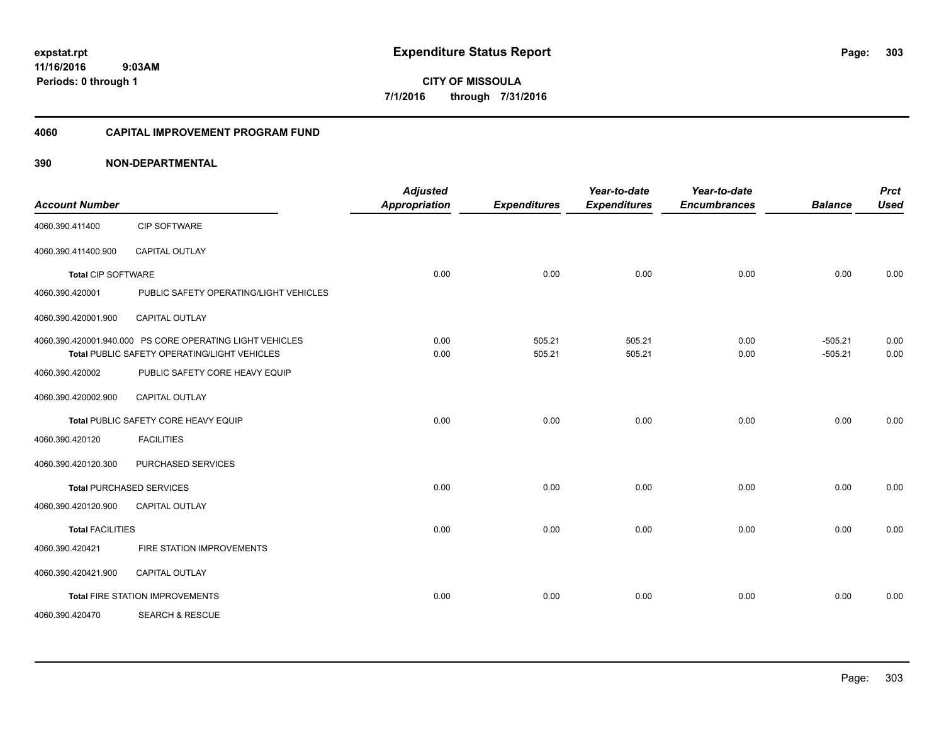**11/16/2016 9:03AM Periods: 0 through 1**

**CITY OF MISSOULA 7/1/2016 through 7/31/2016**

#### **4060 CAPITAL IMPROVEMENT PROGRAM FUND**

| <b>Account Number</b>     |                                                                                                          | <b>Adjusted</b><br><b>Appropriation</b> | <b>Expenditures</b> | Year-to-date<br><b>Expenditures</b> | Year-to-date<br><b>Encumbrances</b> | <b>Balance</b>         | <b>Prct</b><br><b>Used</b> |
|---------------------------|----------------------------------------------------------------------------------------------------------|-----------------------------------------|---------------------|-------------------------------------|-------------------------------------|------------------------|----------------------------|
| 4060.390.411400           | <b>CIP SOFTWARE</b>                                                                                      |                                         |                     |                                     |                                     |                        |                            |
| 4060.390.411400.900       | <b>CAPITAL OUTLAY</b>                                                                                    |                                         |                     |                                     |                                     |                        |                            |
| <b>Total CIP SOFTWARE</b> |                                                                                                          | 0.00                                    | 0.00                | 0.00                                | 0.00                                | 0.00                   | 0.00                       |
| 4060.390.420001           | PUBLIC SAFETY OPERATING/LIGHT VEHICLES                                                                   |                                         |                     |                                     |                                     |                        |                            |
| 4060.390.420001.900       | CAPITAL OUTLAY                                                                                           |                                         |                     |                                     |                                     |                        |                            |
|                           | 4060.390.420001.940.000 PS CORE OPERATING LIGHT VEHICLES<br>Total PUBLIC SAFETY OPERATING/LIGHT VEHICLES | 0.00<br>0.00                            | 505.21<br>505.21    | 505.21<br>505.21                    | 0.00<br>0.00                        | $-505.21$<br>$-505.21$ | 0.00<br>0.00               |
| 4060.390.420002           | PUBLIC SAFETY CORE HEAVY EQUIP                                                                           |                                         |                     |                                     |                                     |                        |                            |
| 4060.390.420002.900       | <b>CAPITAL OUTLAY</b>                                                                                    |                                         |                     |                                     |                                     |                        |                            |
|                           | Total PUBLIC SAFETY CORE HEAVY EQUIP                                                                     | 0.00                                    | 0.00                | 0.00                                | 0.00                                | 0.00                   | 0.00                       |
| 4060.390.420120           | <b>FACILITIES</b>                                                                                        |                                         |                     |                                     |                                     |                        |                            |
| 4060.390.420120.300       | PURCHASED SERVICES                                                                                       |                                         |                     |                                     |                                     |                        |                            |
|                           | <b>Total PURCHASED SERVICES</b>                                                                          | 0.00                                    | 0.00                | 0.00                                | 0.00                                | 0.00                   | 0.00                       |
| 4060.390.420120.900       | CAPITAL OUTLAY                                                                                           |                                         |                     |                                     |                                     |                        |                            |
| <b>Total FACILITIES</b>   |                                                                                                          | 0.00                                    | 0.00                | 0.00                                | 0.00                                | 0.00                   | 0.00                       |
| 4060.390.420421           | FIRE STATION IMPROVEMENTS                                                                                |                                         |                     |                                     |                                     |                        |                            |
| 4060.390.420421.900       | <b>CAPITAL OUTLAY</b>                                                                                    |                                         |                     |                                     |                                     |                        |                            |
|                           | <b>Total FIRE STATION IMPROVEMENTS</b>                                                                   | 0.00                                    | 0.00                | 0.00                                | 0.00                                | 0.00                   | 0.00                       |
| 4060.390.420470           | <b>SEARCH &amp; RESCUE</b>                                                                               |                                         |                     |                                     |                                     |                        |                            |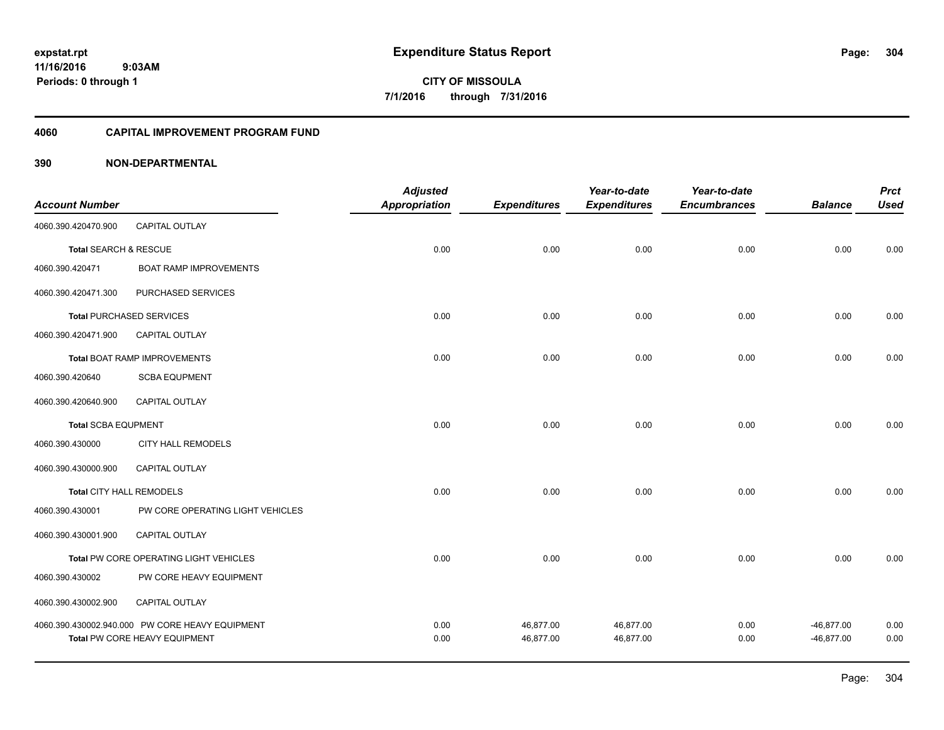**Periods: 0 through 1**

**CITY OF MISSOULA 7/1/2016 through 7/31/2016**

#### **4060 CAPITAL IMPROVEMENT PROGRAM FUND**

|                            |                                                 | <b>Adjusted</b>      |                     | Year-to-date        | Year-to-date        |                | <b>Prct</b> |
|----------------------------|-------------------------------------------------|----------------------|---------------------|---------------------|---------------------|----------------|-------------|
| <b>Account Number</b>      |                                                 | <b>Appropriation</b> | <b>Expenditures</b> | <b>Expenditures</b> | <b>Encumbrances</b> | <b>Balance</b> | <b>Used</b> |
| 4060.390.420470.900        | CAPITAL OUTLAY                                  |                      |                     |                     |                     |                |             |
| Total SEARCH & RESCUE      |                                                 | 0.00                 | 0.00                | 0.00                | 0.00                | 0.00           | 0.00        |
| 4060.390.420471            | <b>BOAT RAMP IMPROVEMENTS</b>                   |                      |                     |                     |                     |                |             |
| 4060.390.420471.300        | PURCHASED SERVICES                              |                      |                     |                     |                     |                |             |
|                            | <b>Total PURCHASED SERVICES</b>                 | 0.00                 | 0.00                | 0.00                | 0.00                | 0.00           | 0.00        |
| 4060.390.420471.900        | CAPITAL OUTLAY                                  |                      |                     |                     |                     |                |             |
|                            | <b>Total BOAT RAMP IMPROVEMENTS</b>             | 0.00                 | 0.00                | 0.00                | 0.00                | 0.00           | 0.00        |
| 4060.390.420640            | <b>SCBA EQUPMENT</b>                            |                      |                     |                     |                     |                |             |
| 4060.390.420640.900        | <b>CAPITAL OUTLAY</b>                           |                      |                     |                     |                     |                |             |
| <b>Total SCBA EQUPMENT</b> |                                                 | 0.00                 | 0.00                | 0.00                | 0.00                | 0.00           | 0.00        |
| 4060.390.430000            | <b>CITY HALL REMODELS</b>                       |                      |                     |                     |                     |                |             |
| 4060.390.430000.900        | CAPITAL OUTLAY                                  |                      |                     |                     |                     |                |             |
| Total CITY HALL REMODELS   |                                                 | 0.00                 | 0.00                | 0.00                | 0.00                | 0.00           | 0.00        |
| 4060.390.430001            | PW CORE OPERATING LIGHT VEHICLES                |                      |                     |                     |                     |                |             |
| 4060.390.430001.900        | CAPITAL OUTLAY                                  |                      |                     |                     |                     |                |             |
|                            | Total PW CORE OPERATING LIGHT VEHICLES          | 0.00                 | 0.00                | 0.00                | 0.00                | 0.00           | 0.00        |
| 4060.390.430002            | PW CORE HEAVY EQUIPMENT                         |                      |                     |                     |                     |                |             |
| 4060.390.430002.900        | <b>CAPITAL OUTLAY</b>                           |                      |                     |                     |                     |                |             |
|                            | 4060.390.430002.940.000 PW CORE HEAVY EQUIPMENT | 0.00                 | 46,877.00           | 46,877.00           | 0.00                | $-46,877.00$   | 0.00        |
|                            | Total PW CORE HEAVY EQUIPMENT                   | 0.00                 | 46,877.00           | 46,877.00           | 0.00                | $-46,877.00$   | 0.00        |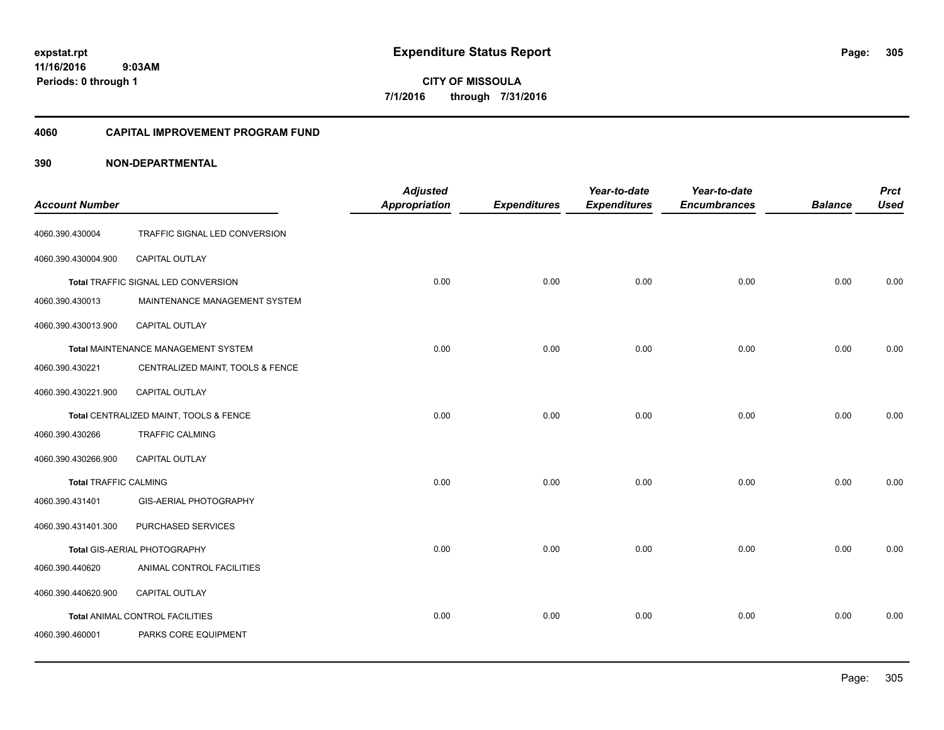**11/16/2016 9:03AM Periods: 0 through 1**

**CITY OF MISSOULA 7/1/2016 through 7/31/2016**

#### **4060 CAPITAL IMPROVEMENT PROGRAM FUND**

| <b>Account Number</b>        |                                        | <b>Adjusted</b><br>Appropriation | <b>Expenditures</b> | Year-to-date<br><b>Expenditures</b> | Year-to-date<br><b>Encumbrances</b> | <b>Balance</b> | <b>Prct</b><br><b>Used</b> |
|------------------------------|----------------------------------------|----------------------------------|---------------------|-------------------------------------|-------------------------------------|----------------|----------------------------|
| 4060.390.430004              | TRAFFIC SIGNAL LED CONVERSION          |                                  |                     |                                     |                                     |                |                            |
| 4060.390.430004.900          | CAPITAL OUTLAY                         |                                  |                     |                                     |                                     |                |                            |
|                              | Total TRAFFIC SIGNAL LED CONVERSION    | 0.00                             | 0.00                | 0.00                                | 0.00                                | 0.00           | 0.00                       |
| 4060.390.430013              | MAINTENANCE MANAGEMENT SYSTEM          |                                  |                     |                                     |                                     |                |                            |
| 4060.390.430013.900          | <b>CAPITAL OUTLAY</b>                  |                                  |                     |                                     |                                     |                |                            |
|                              | Total MAINTENANCE MANAGEMENT SYSTEM    | 0.00                             | 0.00                | 0.00                                | 0.00                                | 0.00           | 0.00                       |
| 4060.390.430221              | CENTRALIZED MAINT, TOOLS & FENCE       |                                  |                     |                                     |                                     |                |                            |
| 4060.390.430221.900          | <b>CAPITAL OUTLAY</b>                  |                                  |                     |                                     |                                     |                |                            |
|                              | Total CENTRALIZED MAINT, TOOLS & FENCE | 0.00                             | 0.00                | 0.00                                | 0.00                                | 0.00           | 0.00                       |
| 4060.390.430266              | <b>TRAFFIC CALMING</b>                 |                                  |                     |                                     |                                     |                |                            |
| 4060.390.430266.900          | CAPITAL OUTLAY                         |                                  |                     |                                     |                                     |                |                            |
| <b>Total TRAFFIC CALMING</b> |                                        | 0.00                             | 0.00                | 0.00                                | 0.00                                | 0.00           | 0.00                       |
| 4060.390.431401              | <b>GIS-AERIAL PHOTOGRAPHY</b>          |                                  |                     |                                     |                                     |                |                            |
| 4060.390.431401.300          | PURCHASED SERVICES                     |                                  |                     |                                     |                                     |                |                            |
|                              | Total GIS-AERIAL PHOTOGRAPHY           | 0.00                             | 0.00                | 0.00                                | 0.00                                | 0.00           | 0.00                       |
| 4060.390.440620              | ANIMAL CONTROL FACILITIES              |                                  |                     |                                     |                                     |                |                            |
| 4060.390.440620.900          | CAPITAL OUTLAY                         |                                  |                     |                                     |                                     |                |                            |
|                              | Total ANIMAL CONTROL FACILITIES        | 0.00                             | 0.00                | 0.00                                | 0.00                                | 0.00           | 0.00                       |
| 4060.390.460001              | PARKS CORE EQUIPMENT                   |                                  |                     |                                     |                                     |                |                            |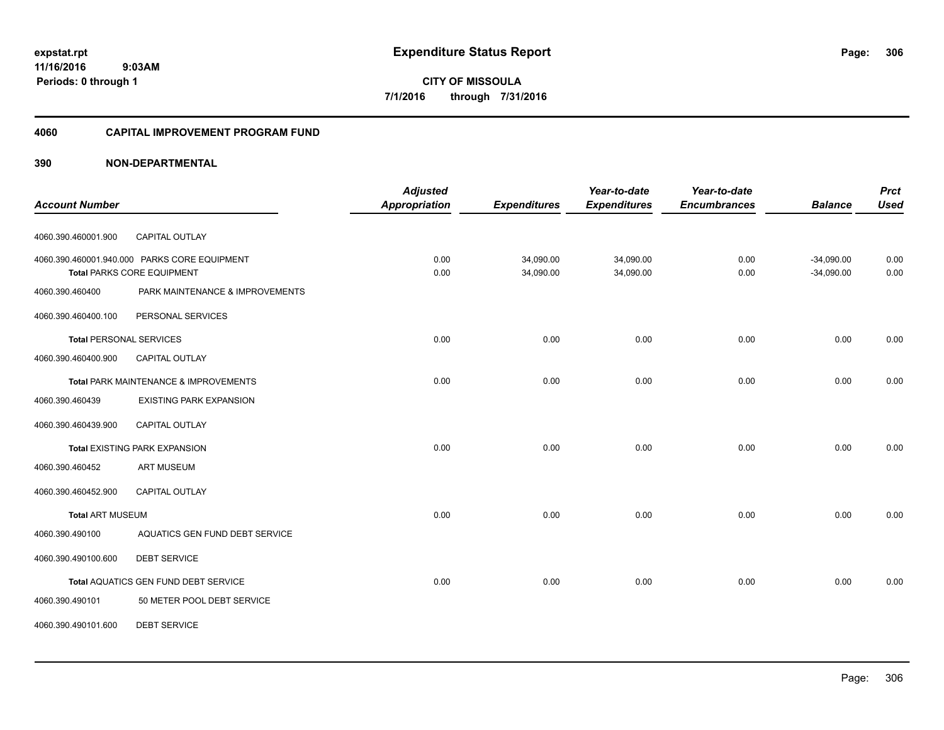**expstat.rpt Expenditure Status Report Page:**

**11/16/2016 9:03AM Periods: 0 through 1**

#### **4060 CAPITAL IMPROVEMENT PROGRAM FUND**

| <b>Account Number</b>          |                                                                                   | <b>Adjusted</b><br><b>Appropriation</b> | <b>Expenditures</b>    | Year-to-date<br><b>Expenditures</b> | Year-to-date<br><b>Encumbrances</b> | <b>Balance</b>               | <b>Prct</b><br><b>Used</b> |
|--------------------------------|-----------------------------------------------------------------------------------|-----------------------------------------|------------------------|-------------------------------------|-------------------------------------|------------------------------|----------------------------|
| 4060.390.460001.900            | CAPITAL OUTLAY                                                                    |                                         |                        |                                     |                                     |                              |                            |
|                                | 4060.390.460001.940.000 PARKS CORE EQUIPMENT<br><b>Total PARKS CORE EQUIPMENT</b> | 0.00<br>0.00                            | 34,090.00<br>34,090.00 | 34,090.00<br>34,090.00              | 0.00<br>0.00                        | $-34,090.00$<br>$-34,090.00$ | 0.00<br>0.00               |
| 4060.390.460400                | PARK MAINTENANCE & IMPROVEMENTS                                                   |                                         |                        |                                     |                                     |                              |                            |
| 4060.390.460400.100            | PERSONAL SERVICES                                                                 |                                         |                        |                                     |                                     |                              |                            |
| <b>Total PERSONAL SERVICES</b> |                                                                                   | 0.00                                    | 0.00                   | 0.00                                | 0.00                                | 0.00                         | 0.00                       |
| 4060.390.460400.900            | <b>CAPITAL OUTLAY</b>                                                             |                                         |                        |                                     |                                     |                              |                            |
|                                | Total PARK MAINTENANCE & IMPROVEMENTS                                             | 0.00                                    | 0.00                   | 0.00                                | 0.00                                | 0.00                         | 0.00                       |
| 4060.390.460439                | <b>EXISTING PARK EXPANSION</b>                                                    |                                         |                        |                                     |                                     |                              |                            |
| 4060.390.460439.900            | <b>CAPITAL OUTLAY</b>                                                             |                                         |                        |                                     |                                     |                              |                            |
|                                | <b>Total EXISTING PARK EXPANSION</b>                                              | 0.00                                    | 0.00                   | 0.00                                | 0.00                                | 0.00                         | 0.00                       |
| 4060.390.460452                | <b>ART MUSEUM</b>                                                                 |                                         |                        |                                     |                                     |                              |                            |
| 4060.390.460452.900            | CAPITAL OUTLAY                                                                    |                                         |                        |                                     |                                     |                              |                            |
| <b>Total ART MUSEUM</b>        |                                                                                   | 0.00                                    | 0.00                   | 0.00                                | 0.00                                | 0.00                         | 0.00                       |
| 4060.390.490100                | AQUATICS GEN FUND DEBT SERVICE                                                    |                                         |                        |                                     |                                     |                              |                            |
| 4060.390.490100.600            | <b>DEBT SERVICE</b>                                                               |                                         |                        |                                     |                                     |                              |                            |
|                                | Total AQUATICS GEN FUND DEBT SERVICE                                              | 0.00                                    | 0.00                   | 0.00                                | 0.00                                | 0.00                         | 0.00                       |
| 4060.390.490101                | 50 METER POOL DEBT SERVICE                                                        |                                         |                        |                                     |                                     |                              |                            |
| 4060.390.490101.600            | <b>DEBT SERVICE</b>                                                               |                                         |                        |                                     |                                     |                              |                            |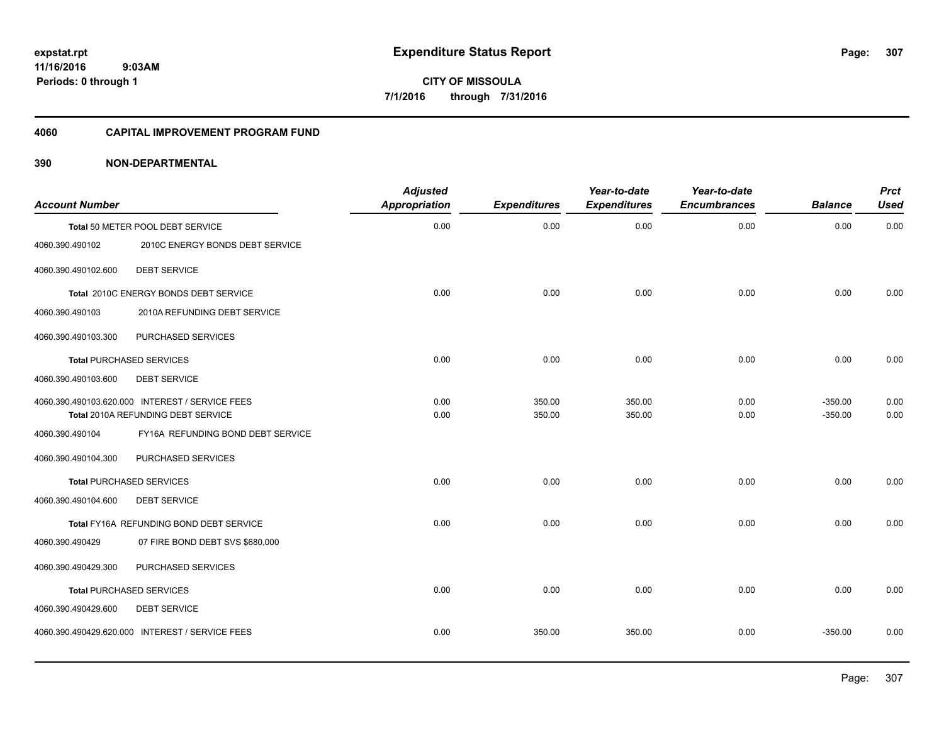**Periods: 0 through 1**

**CITY OF MISSOULA 7/1/2016 through 7/31/2016**

### **4060 CAPITAL IMPROVEMENT PROGRAM FUND**

# **390 NON-DEPARTMENTAL**

 **9:03AM**

| <b>Account Number</b> |                                                                                       | <b>Adjusted</b><br>Appropriation | <b>Expenditures</b> | Year-to-date<br><b>Expenditures</b> | Year-to-date<br><b>Encumbrances</b> | <b>Balance</b>         | <b>Prct</b><br><b>Used</b> |
|-----------------------|---------------------------------------------------------------------------------------|----------------------------------|---------------------|-------------------------------------|-------------------------------------|------------------------|----------------------------|
|                       | Total 50 METER POOL DEBT SERVICE                                                      | 0.00                             | 0.00                | 0.00                                | 0.00                                | 0.00                   | 0.00                       |
| 4060.390.490102       | 2010C ENERGY BONDS DEBT SERVICE                                                       |                                  |                     |                                     |                                     |                        |                            |
| 4060.390.490102.600   | <b>DEBT SERVICE</b>                                                                   |                                  |                     |                                     |                                     |                        |                            |
|                       | Total 2010C ENERGY BONDS DEBT SERVICE                                                 | 0.00                             | 0.00                | 0.00                                | 0.00                                | 0.00                   | 0.00                       |
| 4060.390.490103       | 2010A REFUNDING DEBT SERVICE                                                          |                                  |                     |                                     |                                     |                        |                            |
| 4060.390.490103.300   | PURCHASED SERVICES                                                                    |                                  |                     |                                     |                                     |                        |                            |
|                       | <b>Total PURCHASED SERVICES</b>                                                       | 0.00                             | 0.00                | 0.00                                | 0.00                                | 0.00                   | 0.00                       |
| 4060.390.490103.600   | <b>DEBT SERVICE</b>                                                                   |                                  |                     |                                     |                                     |                        |                            |
|                       | 4060.390.490103.620.000 INTEREST / SERVICE FEES<br>Total 2010A REFUNDING DEBT SERVICE | 0.00<br>0.00                     | 350.00<br>350.00    | 350.00<br>350.00                    | 0.00<br>0.00                        | $-350.00$<br>$-350.00$ | 0.00<br>0.00               |
| 4060.390.490104       | FY16A REFUNDING BOND DEBT SERVICE                                                     |                                  |                     |                                     |                                     |                        |                            |
| 4060.390.490104.300   | PURCHASED SERVICES                                                                    |                                  |                     |                                     |                                     |                        |                            |
|                       | <b>Total PURCHASED SERVICES</b>                                                       | 0.00                             | 0.00                | 0.00                                | 0.00                                | 0.00                   | 0.00                       |
| 4060.390.490104.600   | <b>DEBT SERVICE</b>                                                                   |                                  |                     |                                     |                                     |                        |                            |
|                       | Total FY16A REFUNDING BOND DEBT SERVICE                                               | 0.00                             | 0.00                | 0.00                                | 0.00                                | 0.00                   | 0.00                       |
| 4060.390.490429       | 07 FIRE BOND DEBT SVS \$680,000                                                       |                                  |                     |                                     |                                     |                        |                            |
| 4060.390.490429.300   | PURCHASED SERVICES                                                                    |                                  |                     |                                     |                                     |                        |                            |
|                       | <b>Total PURCHASED SERVICES</b>                                                       | 0.00                             | 0.00                | 0.00                                | 0.00                                | 0.00                   | 0.00                       |
| 4060.390.490429.600   | <b>DEBT SERVICE</b>                                                                   |                                  |                     |                                     |                                     |                        |                            |
|                       | 4060.390.490429.620.000 INTEREST / SERVICE FEES                                       | 0.00                             | 350.00              | 350.00                              | 0.00                                | $-350.00$              | 0.00                       |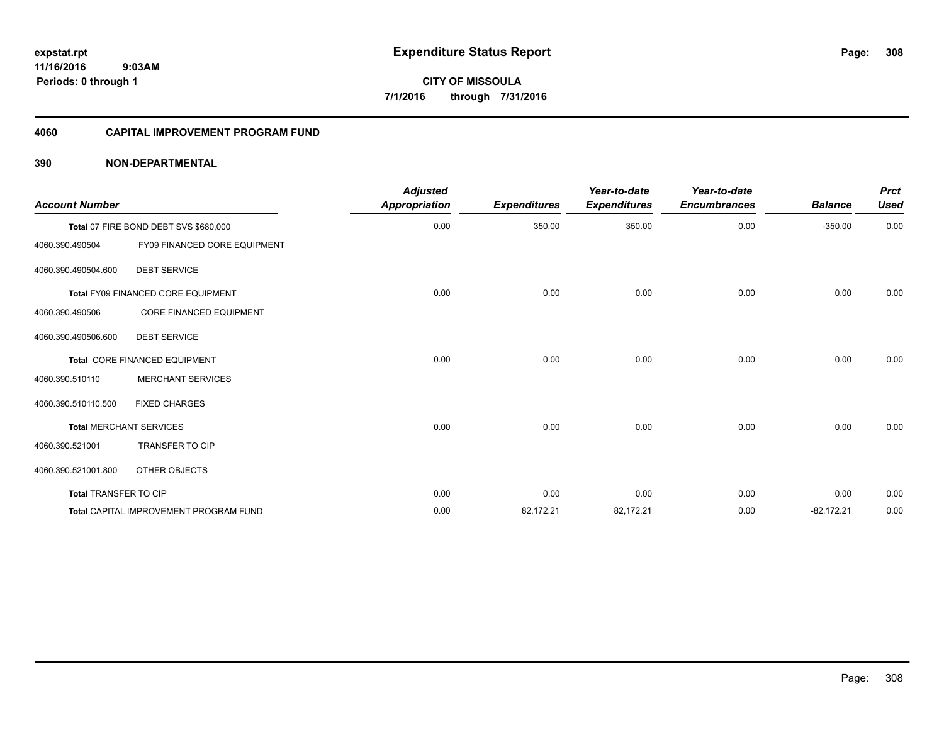### **4060 CAPITAL IMPROVEMENT PROGRAM FUND**

| <b>Account Number</b>        |                                               | <b>Adjusted</b><br><b>Appropriation</b> | <b>Expenditures</b> | Year-to-date<br><b>Expenditures</b> | Year-to-date<br><b>Encumbrances</b> | <b>Balance</b> | <b>Prct</b><br><b>Used</b> |
|------------------------------|-----------------------------------------------|-----------------------------------------|---------------------|-------------------------------------|-------------------------------------|----------------|----------------------------|
|                              | Total 07 FIRE BOND DEBT SVS \$680,000         | 0.00                                    | 350.00              | 350.00                              | 0.00                                | $-350.00$      | 0.00                       |
| 4060.390.490504              | FY09 FINANCED CORE EQUIPMENT                  |                                         |                     |                                     |                                     |                |                            |
| 4060.390.490504.600          | <b>DEBT SERVICE</b>                           |                                         |                     |                                     |                                     |                |                            |
|                              | Total FY09 FINANCED CORE EQUIPMENT            | 0.00                                    | 0.00                | 0.00                                | 0.00                                | 0.00           | 0.00                       |
| 4060.390.490506              | <b>CORE FINANCED EQUIPMENT</b>                |                                         |                     |                                     |                                     |                |                            |
| 4060.390.490506.600          | <b>DEBT SERVICE</b>                           |                                         |                     |                                     |                                     |                |                            |
|                              | Total CORE FINANCED EQUIPMENT                 | 0.00                                    | 0.00                | 0.00                                | 0.00                                | 0.00           | 0.00                       |
| 4060.390.510110              | <b>MERCHANT SERVICES</b>                      |                                         |                     |                                     |                                     |                |                            |
| 4060.390.510110.500          | <b>FIXED CHARGES</b>                          |                                         |                     |                                     |                                     |                |                            |
|                              | <b>Total MERCHANT SERVICES</b>                | 0.00                                    | 0.00                | 0.00                                | 0.00                                | 0.00           | 0.00                       |
| 4060.390.521001              | TRANSFER TO CIP                               |                                         |                     |                                     |                                     |                |                            |
| 4060.390.521001.800          | OTHER OBJECTS                                 |                                         |                     |                                     |                                     |                |                            |
| <b>Total TRANSFER TO CIP</b> |                                               | 0.00                                    | 0.00                | 0.00                                | 0.00                                | 0.00           | 0.00                       |
|                              | <b>Total CAPITAL IMPROVEMENT PROGRAM FUND</b> | 0.00                                    | 82,172.21           | 82,172.21                           | 0.00                                | $-82,172.21$   | 0.00                       |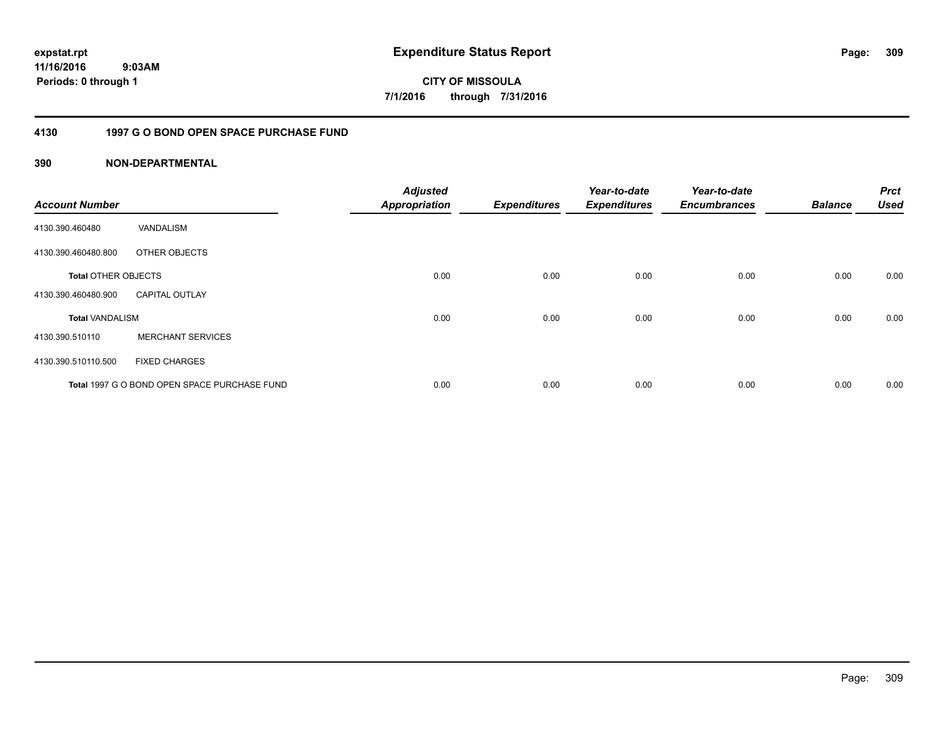**11/16/2016 9:03AM Periods: 0 through 1**

**CITY OF MISSOULA 7/1/2016 through 7/31/2016**

# **4130 1997 G O BOND OPEN SPACE PURCHASE FUND**

| <b>Account Number</b>      |                                              | <b>Adjusted</b><br><b>Appropriation</b> | <b>Expenditures</b> | Year-to-date<br><b>Expenditures</b> | Year-to-date<br><b>Encumbrances</b> | <b>Balance</b> | <b>Prct</b><br><b>Used</b> |
|----------------------------|----------------------------------------------|-----------------------------------------|---------------------|-------------------------------------|-------------------------------------|----------------|----------------------------|
| 4130.390.460480            | VANDALISM                                    |                                         |                     |                                     |                                     |                |                            |
| 4130.390.460480.800        | OTHER OBJECTS                                |                                         |                     |                                     |                                     |                |                            |
| <b>Total OTHER OBJECTS</b> |                                              | 0.00                                    | 0.00                | 0.00                                | 0.00                                | 0.00           | 0.00                       |
| 4130.390.460480.900        | <b>CAPITAL OUTLAY</b>                        |                                         |                     |                                     |                                     |                |                            |
| <b>Total VANDALISM</b>     |                                              | 0.00                                    | 0.00                | 0.00                                | 0.00                                | 0.00           | 0.00                       |
| 4130.390.510110            | <b>MERCHANT SERVICES</b>                     |                                         |                     |                                     |                                     |                |                            |
| 4130.390.510110.500        | <b>FIXED CHARGES</b>                         |                                         |                     |                                     |                                     |                |                            |
|                            | Total 1997 G O BOND OPEN SPACE PURCHASE FUND | 0.00                                    | 0.00                | 0.00                                | 0.00                                | 0.00           | 0.00                       |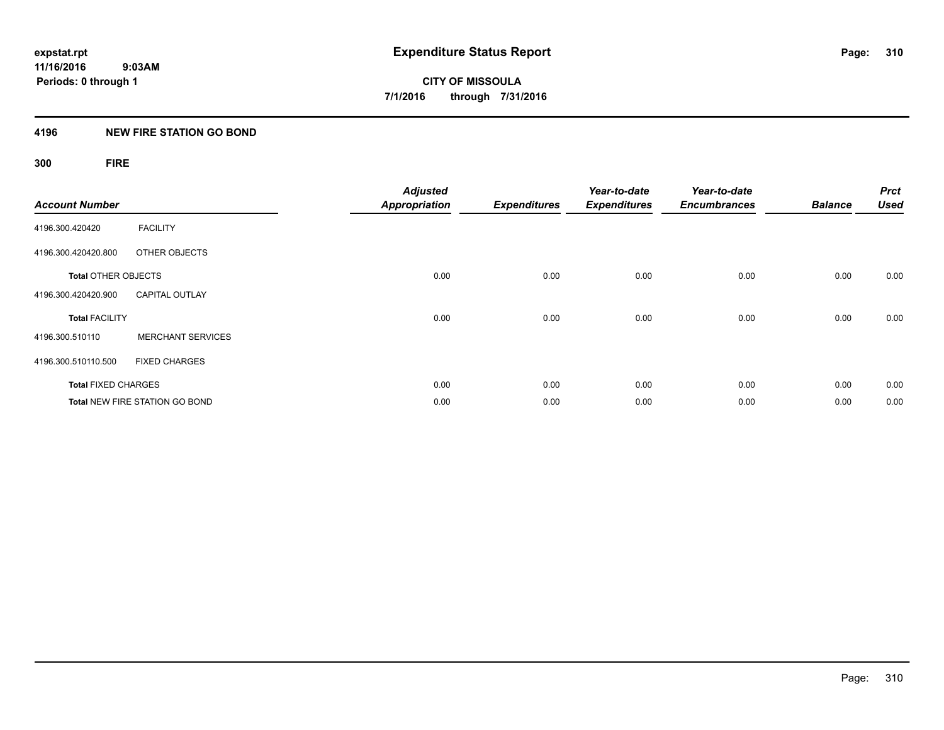# **4196 NEW FIRE STATION GO BOND**

# **300 FIRE**

| <b>Account Number</b>      |                                       | <b>Adjusted</b><br><b>Appropriation</b> | <b>Expenditures</b> | Year-to-date<br><b>Expenditures</b> | Year-to-date<br><b>Encumbrances</b> | <b>Balance</b> | <b>Prct</b><br><b>Used</b> |
|----------------------------|---------------------------------------|-----------------------------------------|---------------------|-------------------------------------|-------------------------------------|----------------|----------------------------|
| 4196.300.420420            | <b>FACILITY</b>                       |                                         |                     |                                     |                                     |                |                            |
| 4196.300.420420.800        | OTHER OBJECTS                         |                                         |                     |                                     |                                     |                |                            |
| <b>Total OTHER OBJECTS</b> |                                       | 0.00                                    | 0.00                | 0.00                                | 0.00                                | 0.00           | 0.00                       |
| 4196.300.420420.900        | <b>CAPITAL OUTLAY</b>                 |                                         |                     |                                     |                                     |                |                            |
| <b>Total FACILITY</b>      |                                       | 0.00                                    | 0.00                | 0.00                                | 0.00                                | 0.00           | 0.00                       |
| 4196.300.510110            | <b>MERCHANT SERVICES</b>              |                                         |                     |                                     |                                     |                |                            |
| 4196.300.510110.500        | <b>FIXED CHARGES</b>                  |                                         |                     |                                     |                                     |                |                            |
| <b>Total FIXED CHARGES</b> |                                       | 0.00                                    | 0.00                | 0.00                                | 0.00                                | 0.00           | 0.00                       |
|                            | <b>Total NEW FIRE STATION GO BOND</b> | 0.00                                    | 0.00                | 0.00                                | 0.00                                | 0.00           | 0.00                       |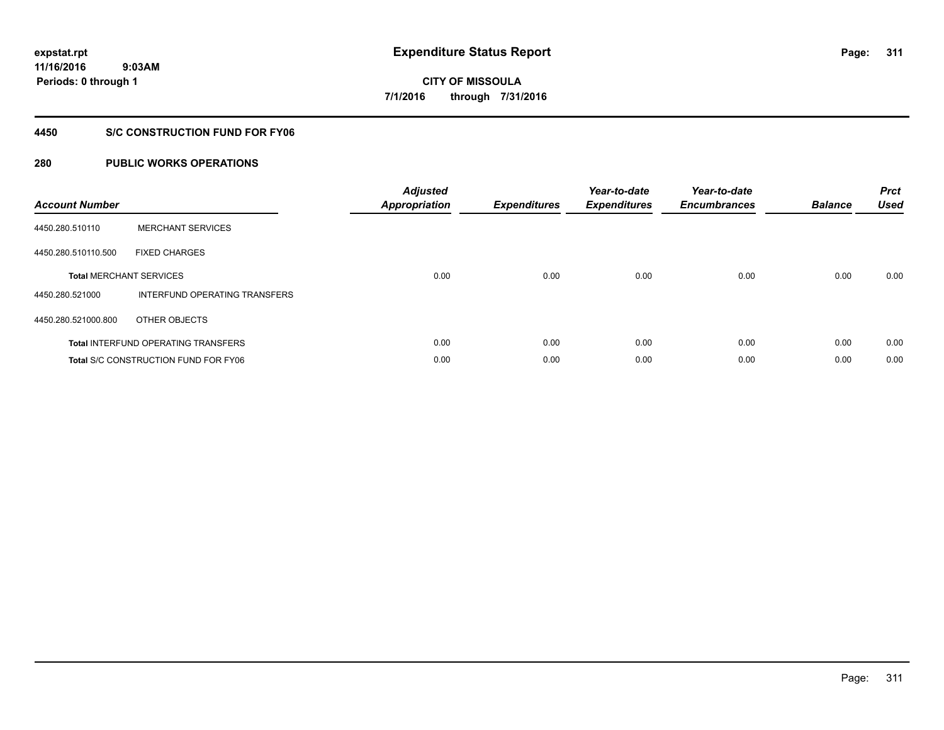**11/16/2016 9:03AM Periods: 0 through 1**

# **CITY OF MISSOULA 7/1/2016 through 7/31/2016**

# **4450 S/C CONSTRUCTION FUND FOR FY06**

| <b>Account Number</b> |                                             | <b>Adjusted</b><br>Appropriation | <b>Expenditures</b> | Year-to-date<br><b>Expenditures</b> | Year-to-date<br><b>Encumbrances</b> | <b>Balance</b> | <b>Prct</b><br><b>Used</b> |
|-----------------------|---------------------------------------------|----------------------------------|---------------------|-------------------------------------|-------------------------------------|----------------|----------------------------|
| 4450.280.510110       | <b>MERCHANT SERVICES</b>                    |                                  |                     |                                     |                                     |                |                            |
| 4450.280.510110.500   | <b>FIXED CHARGES</b>                        |                                  |                     |                                     |                                     |                |                            |
|                       | <b>Total MERCHANT SERVICES</b>              | 0.00                             | 0.00                | 0.00                                | 0.00                                | 0.00           | 0.00                       |
| 4450.280.521000       | INTERFUND OPERATING TRANSFERS               |                                  |                     |                                     |                                     |                |                            |
| 4450.280.521000.800   | OTHER OBJECTS                               |                                  |                     |                                     |                                     |                |                            |
|                       | <b>Total INTERFUND OPERATING TRANSFERS</b>  | 0.00                             | 0.00                | 0.00                                | 0.00                                | 0.00           | 0.00                       |
|                       | <b>Total S/C CONSTRUCTION FUND FOR FY06</b> | 0.00                             | 0.00                | 0.00                                | 0.00                                | 0.00           | 0.00                       |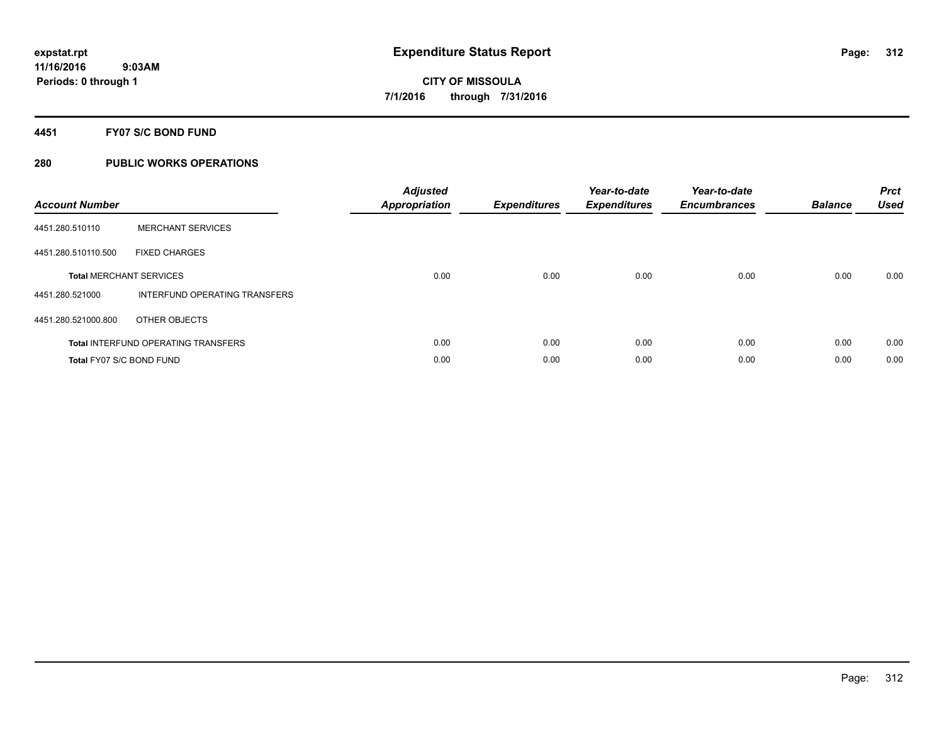## **4451 FY07 S/C BOND FUND**

| <b>Account Number</b>    |                                            | <b>Adjusted</b><br>Appropriation | <b>Expenditures</b> | Year-to-date<br><b>Expenditures</b> | Year-to-date<br><b>Encumbrances</b> | <b>Balance</b> | <b>Prct</b><br><b>Used</b> |
|--------------------------|--------------------------------------------|----------------------------------|---------------------|-------------------------------------|-------------------------------------|----------------|----------------------------|
| 4451.280.510110          | <b>MERCHANT SERVICES</b>                   |                                  |                     |                                     |                                     |                |                            |
| 4451.280.510110.500      | <b>FIXED CHARGES</b>                       |                                  |                     |                                     |                                     |                |                            |
|                          | <b>Total MERCHANT SERVICES</b>             | 0.00                             | 0.00                | 0.00                                | 0.00                                | 0.00           | 0.00                       |
| 4451.280.521000          | INTERFUND OPERATING TRANSFERS              |                                  |                     |                                     |                                     |                |                            |
| 4451.280.521000.800      | OTHER OBJECTS                              |                                  |                     |                                     |                                     |                |                            |
|                          | <b>Total INTERFUND OPERATING TRANSFERS</b> | 0.00                             | 0.00                | 0.00                                | 0.00                                | 0.00           | 0.00                       |
| Total FY07 S/C BOND FUND |                                            | 0.00                             | 0.00                | 0.00                                | 0.00                                | 0.00           | 0.00                       |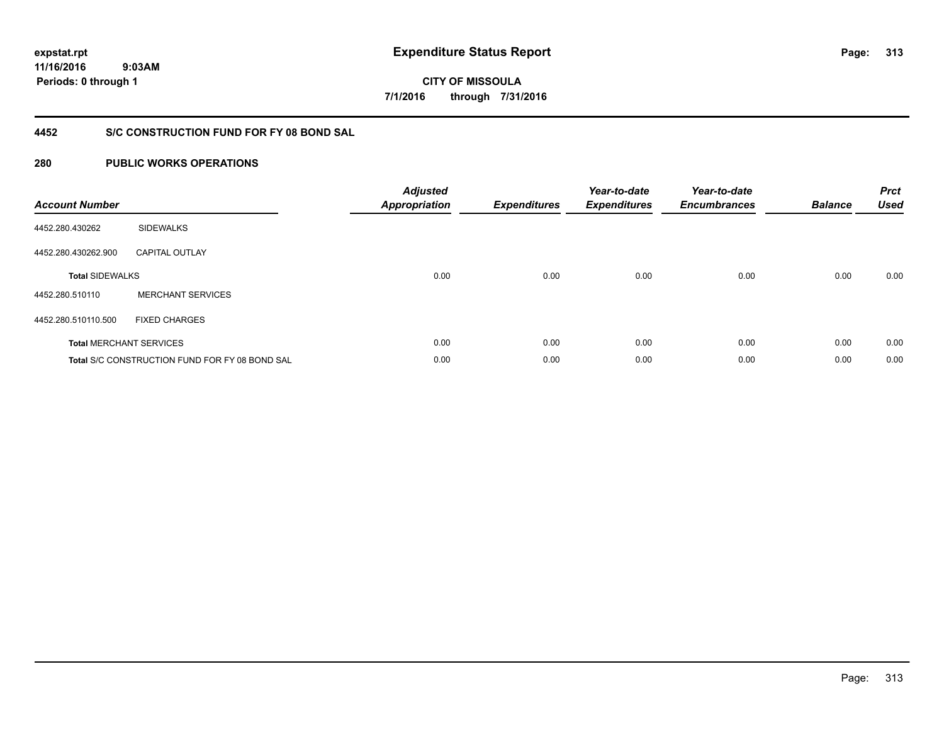**11/16/2016 9:03AM Periods: 0 through 1**

**CITY OF MISSOULA 7/1/2016 through 7/31/2016**

# **4452 S/C CONSTRUCTION FUND FOR FY 08 BOND SAL**

| <b>Account Number</b>  |                                                       | <b>Adjusted</b><br><b>Appropriation</b> | <b>Expenditures</b> | Year-to-date<br><b>Expenditures</b> | Year-to-date<br><b>Encumbrances</b> | <b>Balance</b> | <b>Prct</b><br><b>Used</b> |
|------------------------|-------------------------------------------------------|-----------------------------------------|---------------------|-------------------------------------|-------------------------------------|----------------|----------------------------|
| 4452.280.430262        | <b>SIDEWALKS</b>                                      |                                         |                     |                                     |                                     |                |                            |
| 4452.280.430262.900    | <b>CAPITAL OUTLAY</b>                                 |                                         |                     |                                     |                                     |                |                            |
| <b>Total SIDEWALKS</b> |                                                       | 0.00                                    | 0.00                | 0.00                                | 0.00                                | 0.00           | 0.00                       |
| 4452.280.510110        | <b>MERCHANT SERVICES</b>                              |                                         |                     |                                     |                                     |                |                            |
| 4452.280.510110.500    | <b>FIXED CHARGES</b>                                  |                                         |                     |                                     |                                     |                |                            |
|                        | <b>Total MERCHANT SERVICES</b>                        | 0.00                                    | 0.00                | 0.00                                | 0.00                                | 0.00           | 0.00                       |
|                        | <b>Total S/C CONSTRUCTION FUND FOR FY 08 BOND SAL</b> | 0.00                                    | 0.00                | 0.00                                | 0.00                                | 0.00           | 0.00                       |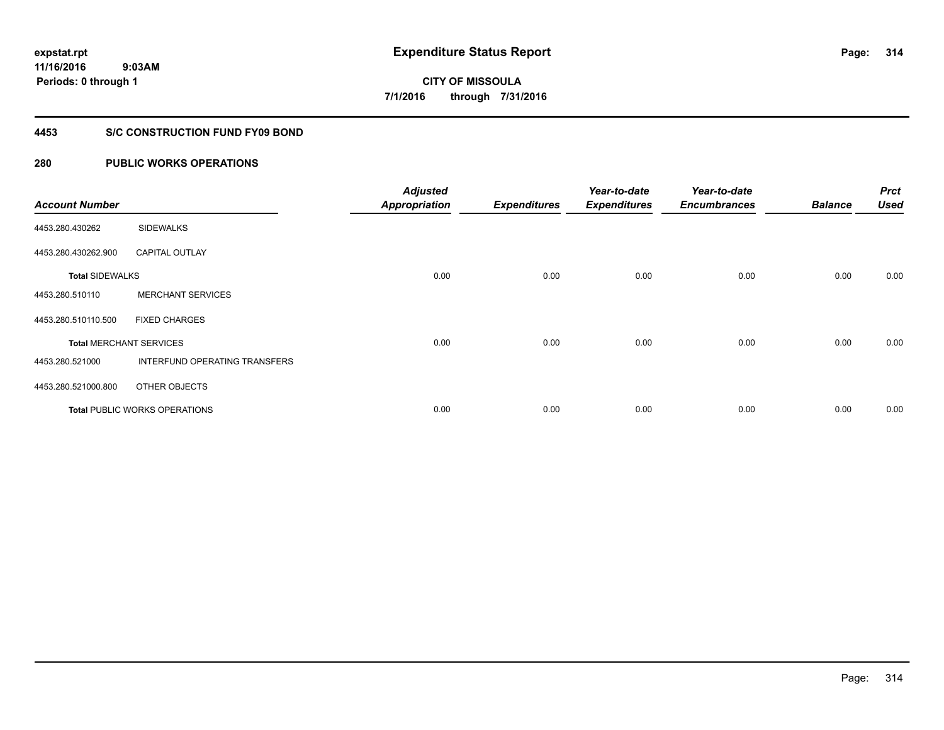**11/16/2016 9:03AM Periods: 0 through 1**

**CITY OF MISSOULA 7/1/2016 through 7/31/2016**

# **4453 S/C CONSTRUCTION FUND FY09 BOND**

| <b>Account Number</b>  |                                      | <b>Adjusted</b><br><b>Appropriation</b> | <b>Expenditures</b> | Year-to-date<br><b>Expenditures</b> | Year-to-date<br><b>Encumbrances</b> | <b>Balance</b> | <b>Prct</b><br><b>Used</b> |
|------------------------|--------------------------------------|-----------------------------------------|---------------------|-------------------------------------|-------------------------------------|----------------|----------------------------|
| 4453.280.430262        | <b>SIDEWALKS</b>                     |                                         |                     |                                     |                                     |                |                            |
| 4453.280.430262.900    | <b>CAPITAL OUTLAY</b>                |                                         |                     |                                     |                                     |                |                            |
| <b>Total SIDEWALKS</b> |                                      | 0.00                                    | 0.00                | 0.00                                | 0.00                                | 0.00           | 0.00                       |
| 4453.280.510110        | <b>MERCHANT SERVICES</b>             |                                         |                     |                                     |                                     |                |                            |
| 4453.280.510110.500    | <b>FIXED CHARGES</b>                 |                                         |                     |                                     |                                     |                |                            |
|                        | <b>Total MERCHANT SERVICES</b>       | 0.00                                    | 0.00                | 0.00                                | 0.00                                | 0.00           | 0.00                       |
| 4453.280.521000        | INTERFUND OPERATING TRANSFERS        |                                         |                     |                                     |                                     |                |                            |
| 4453.280.521000.800    | OTHER OBJECTS                        |                                         |                     |                                     |                                     |                |                            |
|                        | <b>Total PUBLIC WORKS OPERATIONS</b> | 0.00                                    | 0.00                | 0.00                                | 0.00                                | 0.00           | 0.00                       |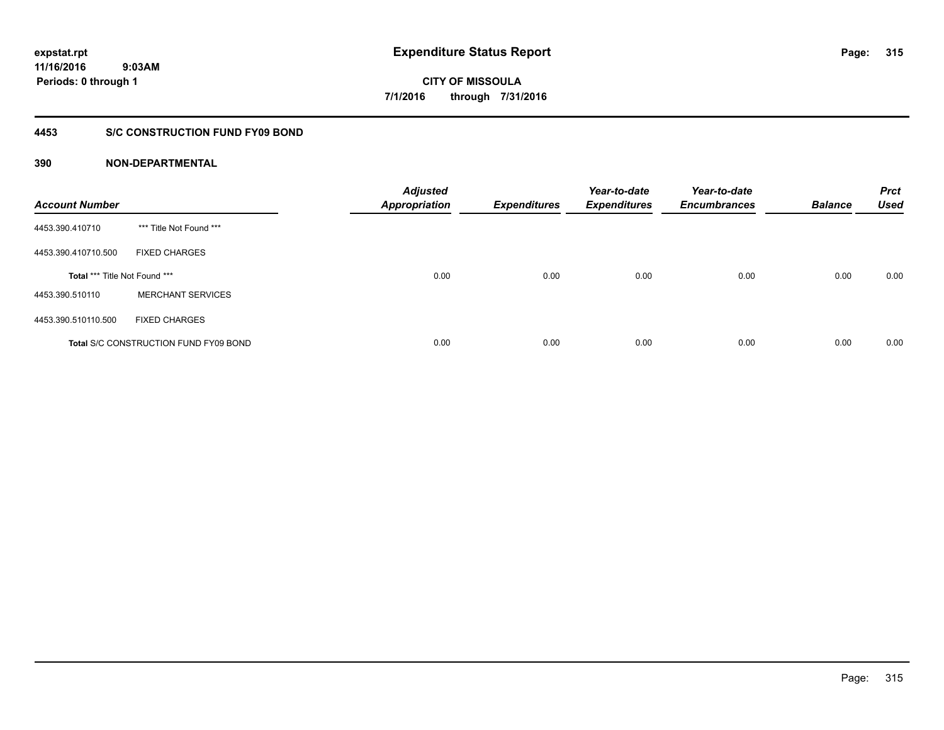# **4453 S/C CONSTRUCTION FUND FY09 BOND**

| <b>Account Number</b>         |                                              | <b>Adjusted</b><br><b>Appropriation</b> | <b>Expenditures</b> | Year-to-date<br><b>Expenditures</b> | Year-to-date<br><b>Encumbrances</b> | <b>Balance</b> | <b>Prct</b><br><b>Used</b> |
|-------------------------------|----------------------------------------------|-----------------------------------------|---------------------|-------------------------------------|-------------------------------------|----------------|----------------------------|
| 4453.390.410710               | *** Title Not Found ***                      |                                         |                     |                                     |                                     |                |                            |
| 4453.390.410710.500           | <b>FIXED CHARGES</b>                         |                                         |                     |                                     |                                     |                |                            |
| Total *** Title Not Found *** |                                              | 0.00                                    | 0.00                | 0.00                                | 0.00                                | 0.00           | 0.00                       |
| 4453.390.510110               | <b>MERCHANT SERVICES</b>                     |                                         |                     |                                     |                                     |                |                            |
| 4453.390.510110.500           | <b>FIXED CHARGES</b>                         |                                         |                     |                                     |                                     |                |                            |
|                               | <b>Total S/C CONSTRUCTION FUND FY09 BOND</b> | 0.00                                    | 0.00                | 0.00                                | 0.00                                | 0.00           | 0.00                       |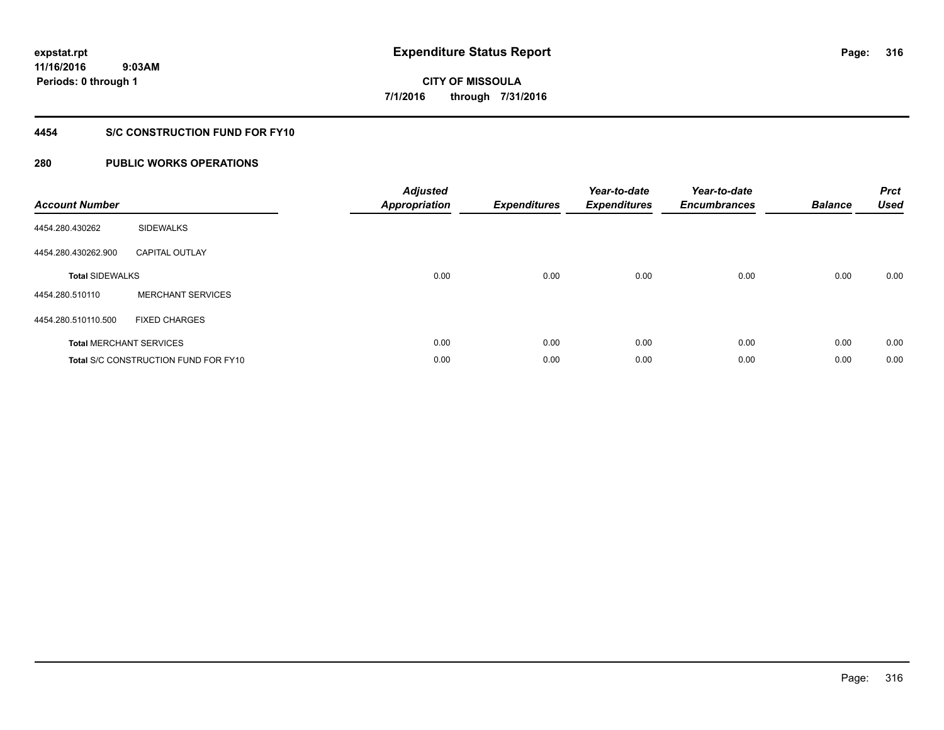**11/16/2016 9:03AM Periods: 0 through 1**

# **CITY OF MISSOULA 7/1/2016 through 7/31/2016**

# **4454 S/C CONSTRUCTION FUND FOR FY10**

| <b>Account Number</b>  |                                             | <b>Adjusted</b><br>Appropriation | <b>Expenditures</b> | Year-to-date<br><b>Expenditures</b> | Year-to-date<br><b>Encumbrances</b> | <b>Balance</b> | <b>Prct</b><br><b>Used</b> |
|------------------------|---------------------------------------------|----------------------------------|---------------------|-------------------------------------|-------------------------------------|----------------|----------------------------|
| 4454.280.430262        | <b>SIDEWALKS</b>                            |                                  |                     |                                     |                                     |                |                            |
| 4454.280.430262.900    | <b>CAPITAL OUTLAY</b>                       |                                  |                     |                                     |                                     |                |                            |
| <b>Total SIDEWALKS</b> |                                             | 0.00                             | 0.00                | 0.00                                | 0.00                                | 0.00           | 0.00                       |
| 4454.280.510110        | <b>MERCHANT SERVICES</b>                    |                                  |                     |                                     |                                     |                |                            |
| 4454.280.510110.500    | <b>FIXED CHARGES</b>                        |                                  |                     |                                     |                                     |                |                            |
|                        | <b>Total MERCHANT SERVICES</b>              | 0.00                             | 0.00                | 0.00                                | 0.00                                | 0.00           | 0.00                       |
|                        | <b>Total S/C CONSTRUCTION FUND FOR FY10</b> | 0.00                             | 0.00                | 0.00                                | 0.00                                | 0.00           | 0.00                       |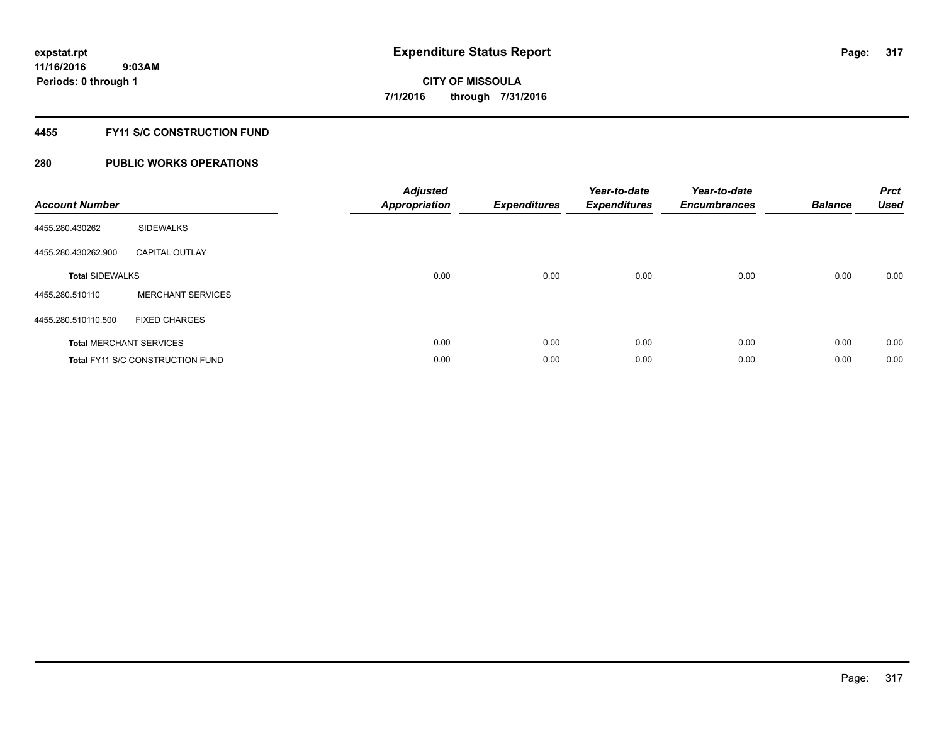# **4455 FY11 S/C CONSTRUCTION FUND**

| <b>Account Number</b>  |                                         | <b>Adjusted</b><br>Appropriation | <b>Expenditures</b> | Year-to-date<br><b>Expenditures</b> | Year-to-date<br><b>Encumbrances</b> | <b>Balance</b> | <b>Prct</b><br><b>Used</b> |
|------------------------|-----------------------------------------|----------------------------------|---------------------|-------------------------------------|-------------------------------------|----------------|----------------------------|
| 4455.280.430262        | <b>SIDEWALKS</b>                        |                                  |                     |                                     |                                     |                |                            |
| 4455.280.430262.900    | <b>CAPITAL OUTLAY</b>                   |                                  |                     |                                     |                                     |                |                            |
| <b>Total SIDEWALKS</b> |                                         | 0.00                             | 0.00                | 0.00                                | 0.00                                | 0.00           | 0.00                       |
| 4455.280.510110        | <b>MERCHANT SERVICES</b>                |                                  |                     |                                     |                                     |                |                            |
| 4455.280.510110.500    | <b>FIXED CHARGES</b>                    |                                  |                     |                                     |                                     |                |                            |
|                        | <b>Total MERCHANT SERVICES</b>          | 0.00                             | 0.00                | 0.00                                | 0.00                                | 0.00           | 0.00                       |
|                        | <b>Total FY11 S/C CONSTRUCTION FUND</b> | 0.00                             | 0.00                | 0.00                                | 0.00                                | 0.00           | 0.00                       |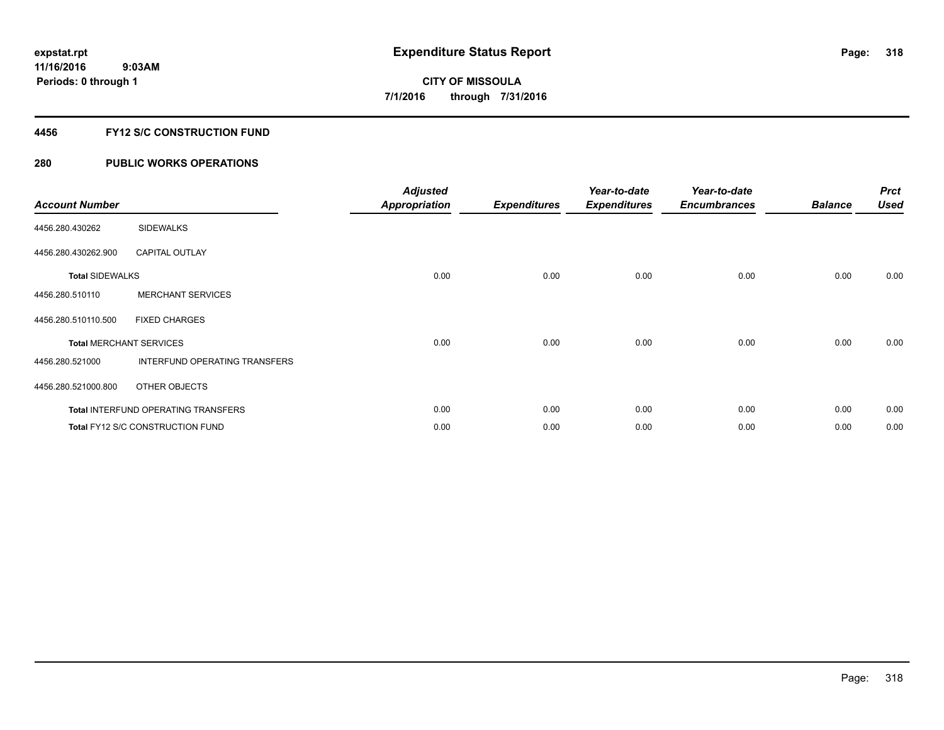# **4456 FY12 S/C CONSTRUCTION FUND**

| <b>Account Number</b>  |                                            | <b>Adjusted</b><br><b>Appropriation</b> | <b>Expenditures</b> | Year-to-date<br><b>Expenditures</b> | Year-to-date<br><b>Encumbrances</b> | <b>Balance</b> | <b>Prct</b><br><b>Used</b> |
|------------------------|--------------------------------------------|-----------------------------------------|---------------------|-------------------------------------|-------------------------------------|----------------|----------------------------|
| 4456.280.430262        | <b>SIDEWALKS</b>                           |                                         |                     |                                     |                                     |                |                            |
| 4456.280.430262.900    | <b>CAPITAL OUTLAY</b>                      |                                         |                     |                                     |                                     |                |                            |
| <b>Total SIDEWALKS</b> |                                            | 0.00                                    | 0.00                | 0.00                                | 0.00                                | 0.00           | 0.00                       |
| 4456.280.510110        | <b>MERCHANT SERVICES</b>                   |                                         |                     |                                     |                                     |                |                            |
| 4456.280.510110.500    | <b>FIXED CHARGES</b>                       |                                         |                     |                                     |                                     |                |                            |
|                        | <b>Total MERCHANT SERVICES</b>             | 0.00                                    | 0.00                | 0.00                                | 0.00                                | 0.00           | 0.00                       |
| 4456.280.521000        | INTERFUND OPERATING TRANSFERS              |                                         |                     |                                     |                                     |                |                            |
| 4456.280.521000.800    | OTHER OBJECTS                              |                                         |                     |                                     |                                     |                |                            |
|                        | <b>Total INTERFUND OPERATING TRANSFERS</b> | 0.00                                    | 0.00                | 0.00                                | 0.00                                | 0.00           | 0.00                       |
|                        | Total FY12 S/C CONSTRUCTION FUND           | 0.00                                    | 0.00                | 0.00                                | 0.00                                | 0.00           | 0.00                       |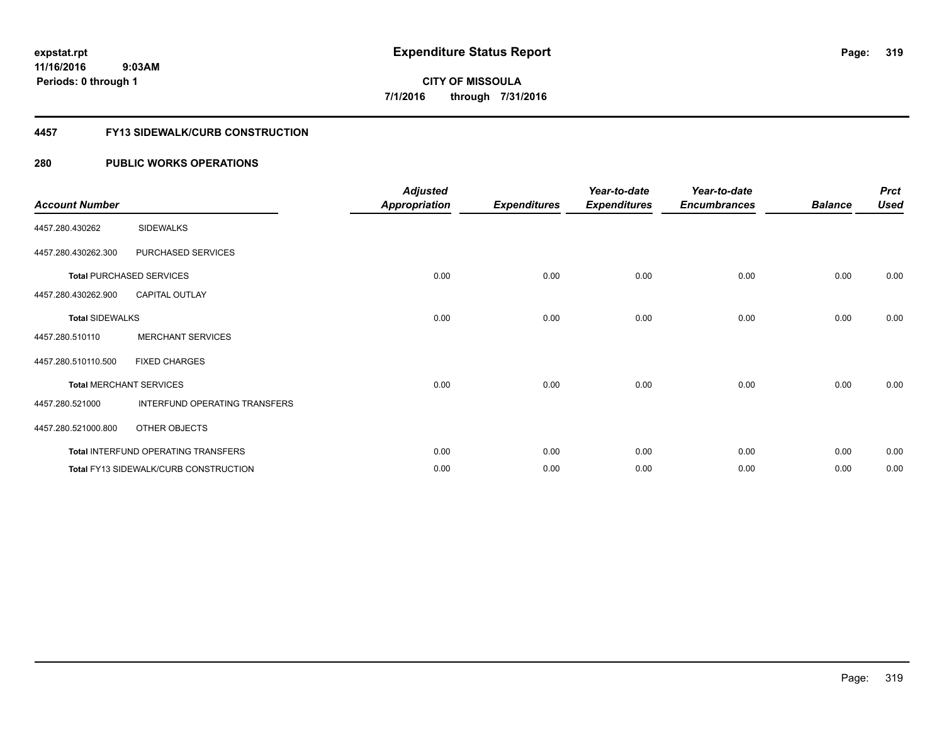### **4457 FY13 SIDEWALK/CURB CONSTRUCTION**

| <b>Account Number</b>  |                                              | <b>Adjusted</b><br><b>Appropriation</b> | <b>Expenditures</b> | Year-to-date<br><b>Expenditures</b> | Year-to-date<br><b>Encumbrances</b> | <b>Balance</b> | <b>Prct</b><br><b>Used</b> |
|------------------------|----------------------------------------------|-----------------------------------------|---------------------|-------------------------------------|-------------------------------------|----------------|----------------------------|
| 4457.280.430262        | <b>SIDEWALKS</b>                             |                                         |                     |                                     |                                     |                |                            |
| 4457.280.430262.300    | PURCHASED SERVICES                           |                                         |                     |                                     |                                     |                |                            |
|                        | <b>Total PURCHASED SERVICES</b>              | 0.00                                    | 0.00                | 0.00                                | 0.00                                | 0.00           | 0.00                       |
| 4457.280.430262.900    | <b>CAPITAL OUTLAY</b>                        |                                         |                     |                                     |                                     |                |                            |
| <b>Total SIDEWALKS</b> |                                              | 0.00                                    | 0.00                | 0.00                                | 0.00                                | 0.00           | 0.00                       |
| 4457.280.510110        | <b>MERCHANT SERVICES</b>                     |                                         |                     |                                     |                                     |                |                            |
| 4457.280.510110.500    | <b>FIXED CHARGES</b>                         |                                         |                     |                                     |                                     |                |                            |
|                        | <b>Total MERCHANT SERVICES</b>               | 0.00                                    | 0.00                | 0.00                                | 0.00                                | 0.00           | 0.00                       |
| 4457.280.521000        | INTERFUND OPERATING TRANSFERS                |                                         |                     |                                     |                                     |                |                            |
| 4457.280.521000.800    | OTHER OBJECTS                                |                                         |                     |                                     |                                     |                |                            |
|                        | Total INTERFUND OPERATING TRANSFERS          | 0.00                                    | 0.00                | 0.00                                | 0.00                                | 0.00           | 0.00                       |
|                        | <b>Total FY13 SIDEWALK/CURB CONSTRUCTION</b> | 0.00                                    | 0.00                | 0.00                                | 0.00                                | 0.00           | 0.00                       |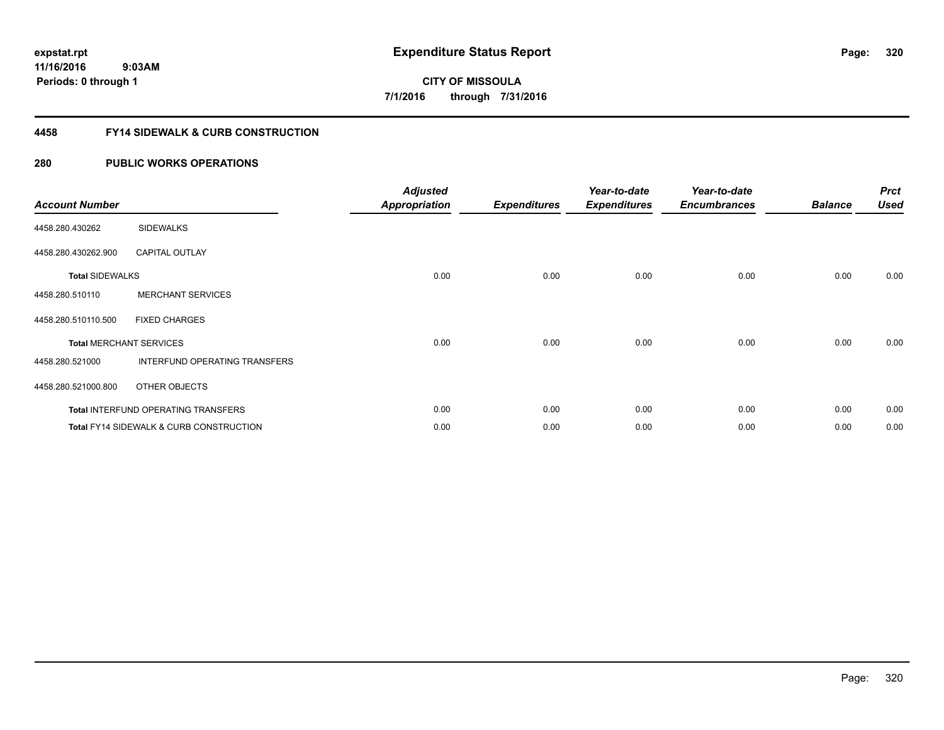**11/16/2016 9:03AM Periods: 0 through 1**

# **CITY OF MISSOULA 7/1/2016 through 7/31/2016**

# **4458 FY14 SIDEWALK & CURB CONSTRUCTION**

| <b>Account Number</b>  |                                                    | <b>Adjusted</b><br><b>Appropriation</b> | <b>Expenditures</b> | Year-to-date<br><b>Expenditures</b> | Year-to-date<br><b>Encumbrances</b> | <b>Balance</b> | <b>Prct</b><br><b>Used</b> |
|------------------------|----------------------------------------------------|-----------------------------------------|---------------------|-------------------------------------|-------------------------------------|----------------|----------------------------|
| 4458.280.430262        | <b>SIDEWALKS</b>                                   |                                         |                     |                                     |                                     |                |                            |
| 4458.280.430262.900    | <b>CAPITAL OUTLAY</b>                              |                                         |                     |                                     |                                     |                |                            |
| <b>Total SIDEWALKS</b> |                                                    | 0.00                                    | 0.00                | 0.00                                | 0.00                                | 0.00           | 0.00                       |
| 4458.280.510110        | <b>MERCHANT SERVICES</b>                           |                                         |                     |                                     |                                     |                |                            |
| 4458.280.510110.500    | <b>FIXED CHARGES</b>                               |                                         |                     |                                     |                                     |                |                            |
|                        | <b>Total MERCHANT SERVICES</b>                     | 0.00                                    | 0.00                | 0.00                                | 0.00                                | 0.00           | 0.00                       |
| 4458.280.521000        | INTERFUND OPERATING TRANSFERS                      |                                         |                     |                                     |                                     |                |                            |
| 4458.280.521000.800    | OTHER OBJECTS                                      |                                         |                     |                                     |                                     |                |                            |
|                        | <b>Total INTERFUND OPERATING TRANSFERS</b>         | 0.00                                    | 0.00                | 0.00                                | 0.00                                | 0.00           | 0.00                       |
|                        | <b>Total FY14 SIDEWALK &amp; CURB CONSTRUCTION</b> | 0.00                                    | 0.00                | 0.00                                | 0.00                                | 0.00           | 0.00                       |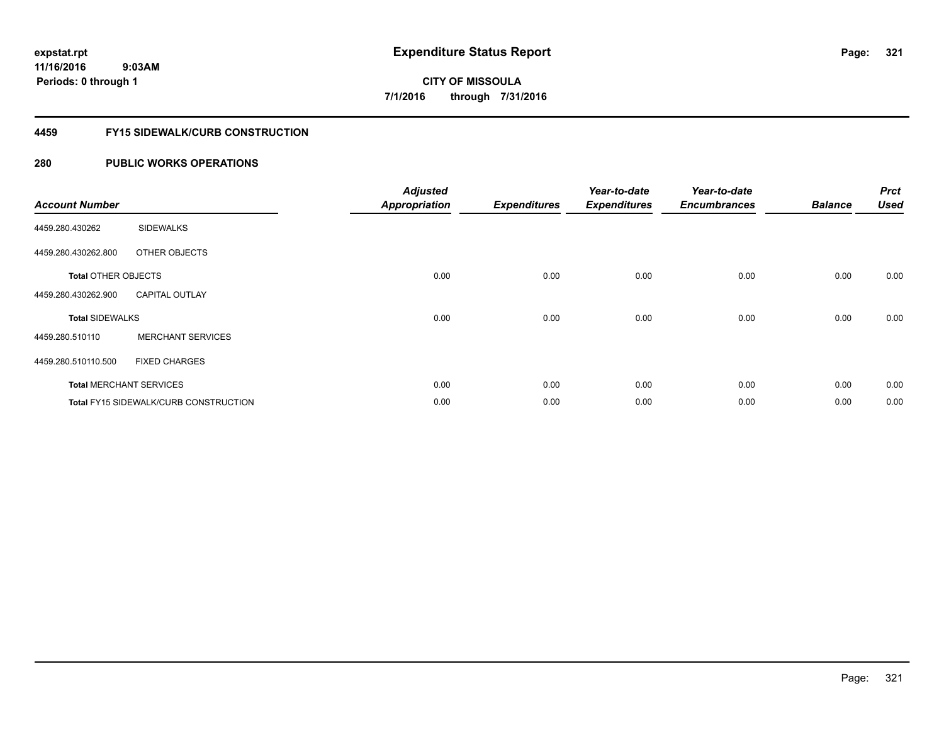# **4459 FY15 SIDEWALK/CURB CONSTRUCTION**

| <b>Account Number</b>      |                                              | <b>Adjusted</b><br><b>Appropriation</b> | <b>Expenditures</b> | Year-to-date<br><b>Expenditures</b> | Year-to-date<br><b>Encumbrances</b> | <b>Balance</b> | <b>Prct</b><br><b>Used</b> |
|----------------------------|----------------------------------------------|-----------------------------------------|---------------------|-------------------------------------|-------------------------------------|----------------|----------------------------|
| 4459.280.430262            | <b>SIDEWALKS</b>                             |                                         |                     |                                     |                                     |                |                            |
| 4459.280.430262.800        | OTHER OBJECTS                                |                                         |                     |                                     |                                     |                |                            |
| <b>Total OTHER OBJECTS</b> |                                              | 0.00                                    | 0.00                | 0.00                                | 0.00                                | 0.00           | 0.00                       |
| 4459.280.430262.900        | <b>CAPITAL OUTLAY</b>                        |                                         |                     |                                     |                                     |                |                            |
| <b>Total SIDEWALKS</b>     |                                              | 0.00                                    | 0.00                | 0.00                                | 0.00                                | 0.00           | 0.00                       |
| 4459.280.510110            | <b>MERCHANT SERVICES</b>                     |                                         |                     |                                     |                                     |                |                            |
| 4459.280.510110.500        | <b>FIXED CHARGES</b>                         |                                         |                     |                                     |                                     |                |                            |
|                            | <b>Total MERCHANT SERVICES</b>               | 0.00                                    | 0.00                | 0.00                                | 0.00                                | 0.00           | 0.00                       |
|                            | <b>Total FY15 SIDEWALK/CURB CONSTRUCTION</b> | 0.00                                    | 0.00                | 0.00                                | 0.00                                | 0.00           | 0.00                       |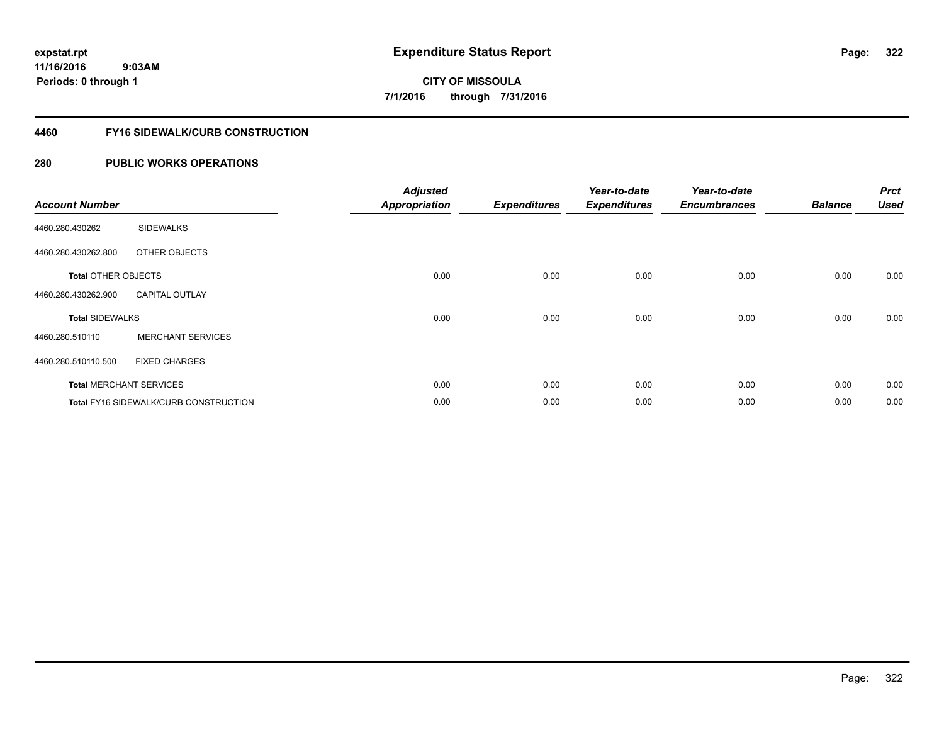## **4460 FY16 SIDEWALK/CURB CONSTRUCTION**

| <b>Account Number</b>      |                                       | <b>Adjusted</b><br><b>Appropriation</b> | <b>Expenditures</b> | Year-to-date<br><b>Expenditures</b> | Year-to-date<br><b>Encumbrances</b> | <b>Balance</b> | <b>Prct</b><br><b>Used</b> |
|----------------------------|---------------------------------------|-----------------------------------------|---------------------|-------------------------------------|-------------------------------------|----------------|----------------------------|
| 4460.280.430262            | <b>SIDEWALKS</b>                      |                                         |                     |                                     |                                     |                |                            |
| 4460.280.430262.800        | OTHER OBJECTS                         |                                         |                     |                                     |                                     |                |                            |
| <b>Total OTHER OBJECTS</b> |                                       | 0.00                                    | 0.00                | 0.00                                | 0.00                                | 0.00           | 0.00                       |
| 4460.280.430262.900        | <b>CAPITAL OUTLAY</b>                 |                                         |                     |                                     |                                     |                |                            |
| <b>Total SIDEWALKS</b>     |                                       | 0.00                                    | 0.00                | 0.00                                | 0.00                                | 0.00           | 0.00                       |
| 4460.280.510110            | <b>MERCHANT SERVICES</b>              |                                         |                     |                                     |                                     |                |                            |
| 4460.280.510110.500        | <b>FIXED CHARGES</b>                  |                                         |                     |                                     |                                     |                |                            |
|                            | <b>Total MERCHANT SERVICES</b>        | 0.00                                    | 0.00                | 0.00                                | 0.00                                | 0.00           | 0.00                       |
|                            | Total FY16 SIDEWALK/CURB CONSTRUCTION | 0.00                                    | 0.00                | 0.00                                | 0.00                                | 0.00           | 0.00                       |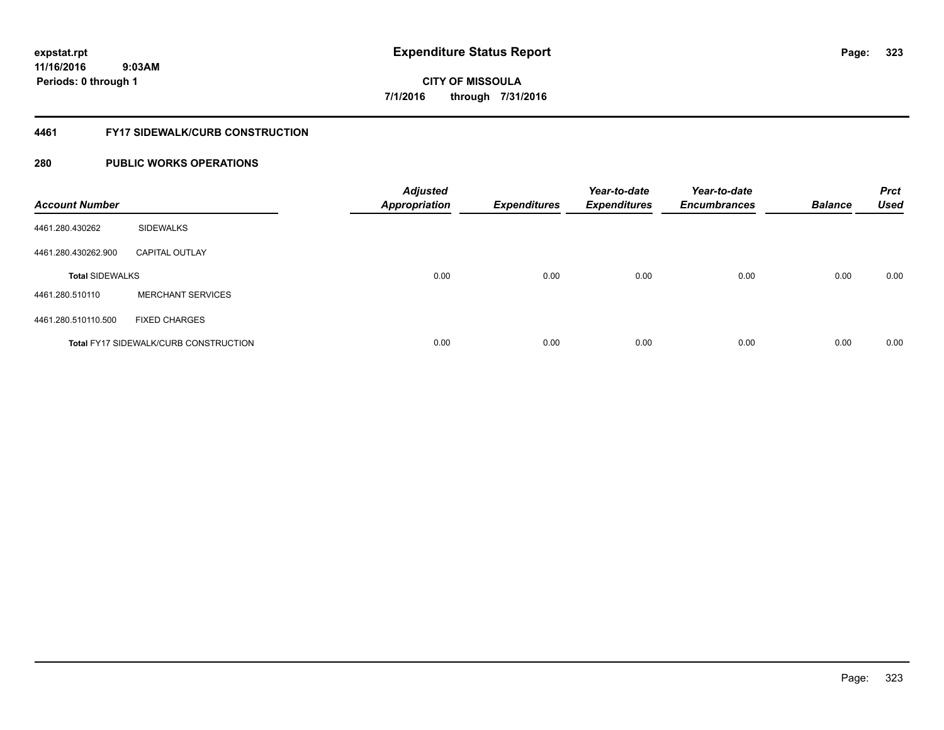**11/16/2016 9:03AM Periods: 0 through 1**

# **CITY OF MISSOULA 7/1/2016 through 7/31/2016**

### **4461 FY17 SIDEWALK/CURB CONSTRUCTION**

| <b>Account Number</b>  |                                              | <b>Adjusted</b><br><b>Appropriation</b> | <b>Expenditures</b> | Year-to-date<br><b>Expenditures</b> | Year-to-date<br><b>Encumbrances</b> | <b>Balance</b> | <b>Prct</b><br><b>Used</b> |
|------------------------|----------------------------------------------|-----------------------------------------|---------------------|-------------------------------------|-------------------------------------|----------------|----------------------------|
| 4461.280.430262        | <b>SIDEWALKS</b>                             |                                         |                     |                                     |                                     |                |                            |
| 4461.280.430262.900    | <b>CAPITAL OUTLAY</b>                        |                                         |                     |                                     |                                     |                |                            |
| <b>Total SIDEWALKS</b> |                                              | 0.00                                    | 0.00                | 0.00                                | 0.00                                | 0.00           | 0.00                       |
| 4461.280.510110        | <b>MERCHANT SERVICES</b>                     |                                         |                     |                                     |                                     |                |                            |
| 4461.280.510110.500    | <b>FIXED CHARGES</b>                         |                                         |                     |                                     |                                     |                |                            |
|                        | <b>Total FY17 SIDEWALK/CURB CONSTRUCTION</b> | 0.00                                    | 0.00                | 0.00                                | 0.00                                | 0.00           | 0.00                       |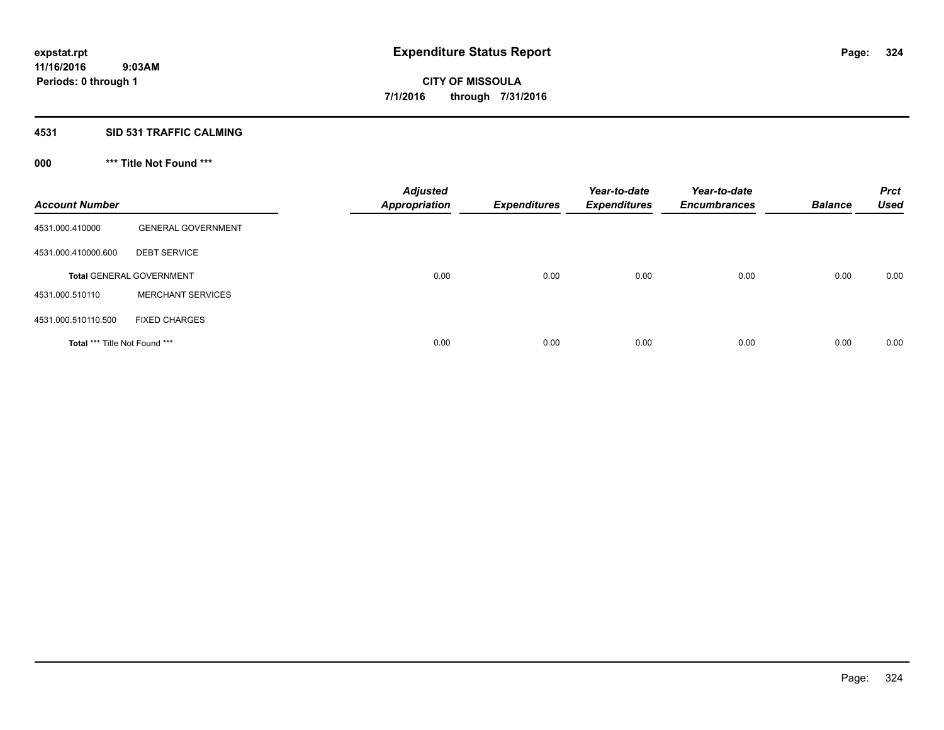# **4531 SID 531 TRAFFIC CALMING**

# **000 \*\*\* Title Not Found \*\*\***

| <b>Account Number</b>         |                                 | <b>Adjusted</b><br><b>Appropriation</b> | <b>Expenditures</b> | Year-to-date<br><b>Expenditures</b> | Year-to-date<br><b>Encumbrances</b> | <b>Balance</b> | <b>Prct</b><br><b>Used</b> |
|-------------------------------|---------------------------------|-----------------------------------------|---------------------|-------------------------------------|-------------------------------------|----------------|----------------------------|
| 4531.000.410000               | <b>GENERAL GOVERNMENT</b>       |                                         |                     |                                     |                                     |                |                            |
| 4531.000.410000.600           | <b>DEBT SERVICE</b>             |                                         |                     |                                     |                                     |                |                            |
|                               | <b>Total GENERAL GOVERNMENT</b> | 0.00                                    | 0.00                | 0.00                                | 0.00                                | 0.00           | 0.00                       |
| 4531.000.510110               | <b>MERCHANT SERVICES</b>        |                                         |                     |                                     |                                     |                |                            |
| 4531.000.510110.500           | <b>FIXED CHARGES</b>            |                                         |                     |                                     |                                     |                |                            |
| Total *** Title Not Found *** |                                 | 0.00                                    | 0.00                | 0.00                                | 0.00                                | 0.00           | 0.00                       |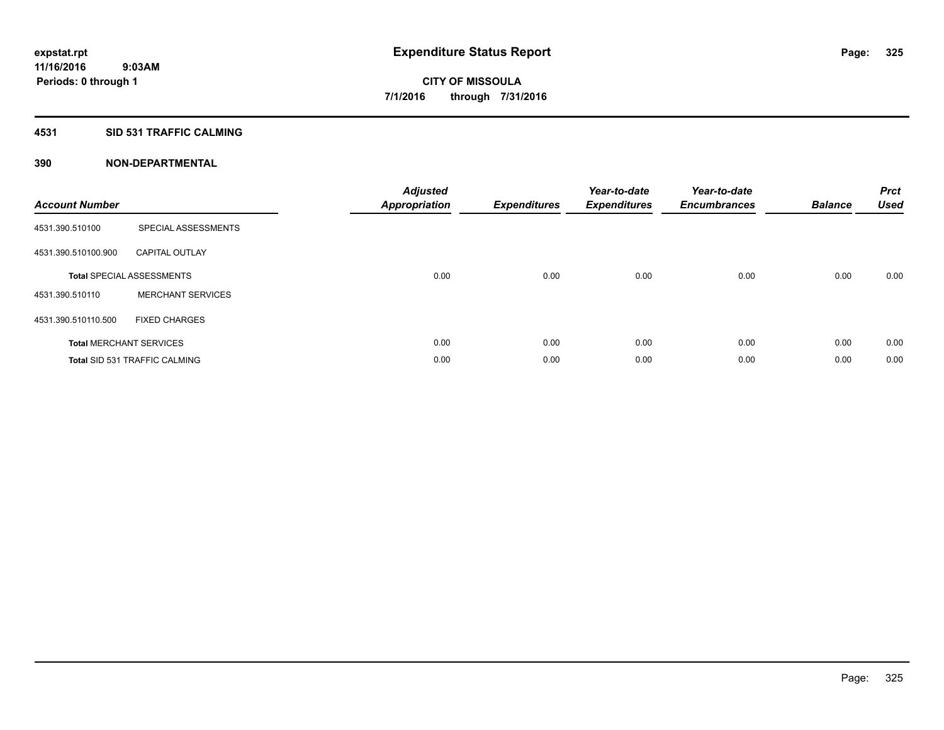#### **4531 SID 531 TRAFFIC CALMING**

| <b>Account Number</b> |                                      | <b>Adjusted</b><br>Appropriation | <b>Expenditures</b> | Year-to-date<br><b>Expenditures</b> | Year-to-date<br><b>Encumbrances</b> | <b>Balance</b> | <b>Prct</b><br><b>Used</b> |
|-----------------------|--------------------------------------|----------------------------------|---------------------|-------------------------------------|-------------------------------------|----------------|----------------------------|
| 4531.390.510100       | SPECIAL ASSESSMENTS                  |                                  |                     |                                     |                                     |                |                            |
| 4531.390.510100.900   | <b>CAPITAL OUTLAY</b>                |                                  |                     |                                     |                                     |                |                            |
|                       | <b>Total SPECIAL ASSESSMENTS</b>     | 0.00                             | 0.00                | 0.00                                | 0.00                                | 0.00           | 0.00                       |
| 4531.390.510110       | <b>MERCHANT SERVICES</b>             |                                  |                     |                                     |                                     |                |                            |
| 4531.390.510110.500   | <b>FIXED CHARGES</b>                 |                                  |                     |                                     |                                     |                |                            |
|                       | <b>Total MERCHANT SERVICES</b>       | 0.00                             | 0.00                | 0.00                                | 0.00                                | 0.00           | 0.00                       |
|                       | <b>Total SID 531 TRAFFIC CALMING</b> | 0.00                             | 0.00                | 0.00                                | 0.00                                | 0.00           | 0.00                       |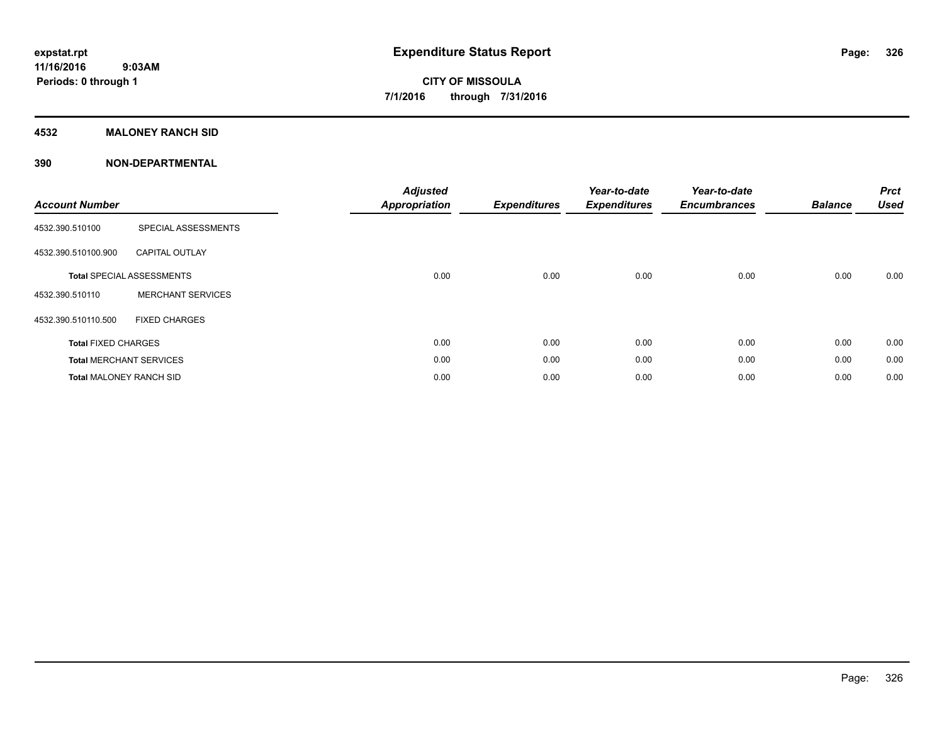### **4532 MALONEY RANCH SID**

| <b>Account Number</b>          |                                  | <b>Adjusted</b><br><b>Appropriation</b> | <b>Expenditures</b> | Year-to-date<br><b>Expenditures</b> | Year-to-date<br><b>Encumbrances</b> | <b>Balance</b> | <b>Prct</b><br><b>Used</b> |
|--------------------------------|----------------------------------|-----------------------------------------|---------------------|-------------------------------------|-------------------------------------|----------------|----------------------------|
| 4532.390.510100                | SPECIAL ASSESSMENTS              |                                         |                     |                                     |                                     |                |                            |
| 4532.390.510100.900            | <b>CAPITAL OUTLAY</b>            |                                         |                     |                                     |                                     |                |                            |
|                                | <b>Total SPECIAL ASSESSMENTS</b> | 0.00                                    | 0.00                | 0.00                                | 0.00                                | 0.00           | 0.00                       |
| 4532.390.510110                | <b>MERCHANT SERVICES</b>         |                                         |                     |                                     |                                     |                |                            |
| 4532.390.510110.500            | <b>FIXED CHARGES</b>             |                                         |                     |                                     |                                     |                |                            |
| <b>Total FIXED CHARGES</b>     |                                  | 0.00                                    | 0.00                | 0.00                                | 0.00                                | 0.00           | 0.00                       |
|                                | <b>Total MERCHANT SERVICES</b>   | 0.00                                    | 0.00                | 0.00                                | 0.00                                | 0.00           | 0.00                       |
| <b>Total MALONEY RANCH SID</b> |                                  | 0.00                                    | 0.00                | 0.00                                | 0.00                                | 0.00           | 0.00                       |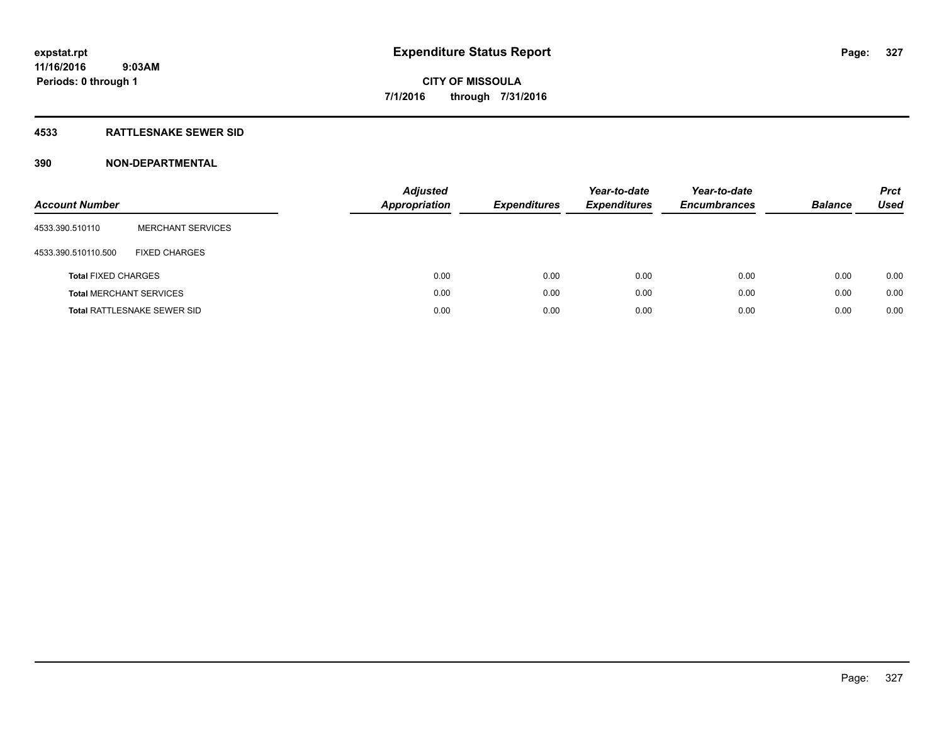### **4533 RATTLESNAKE SEWER SID**

| <b>Account Number</b>          |                                    | <b>Adjusted</b><br><b>Appropriation</b> | <b>Expenditures</b> | Year-to-date<br><b>Expenditures</b> | Year-to-date<br><b>Encumbrances</b> | <b>Balance</b> | <b>Prct</b><br>Used |
|--------------------------------|------------------------------------|-----------------------------------------|---------------------|-------------------------------------|-------------------------------------|----------------|---------------------|
| 4533.390.510110                | <b>MERCHANT SERVICES</b>           |                                         |                     |                                     |                                     |                |                     |
| 4533.390.510110.500            | <b>FIXED CHARGES</b>               |                                         |                     |                                     |                                     |                |                     |
| <b>Total FIXED CHARGES</b>     |                                    | 0.00                                    | 0.00                | 0.00                                | 0.00                                | 0.00           | 0.00                |
| <b>Total MERCHANT SERVICES</b> |                                    | 0.00                                    | 0.00                | 0.00                                | 0.00                                | 0.00           | 0.00                |
|                                | <b>Total RATTLESNAKE SEWER SID</b> | 0.00                                    | 0.00                | 0.00                                | 0.00                                | 0.00           | 0.00                |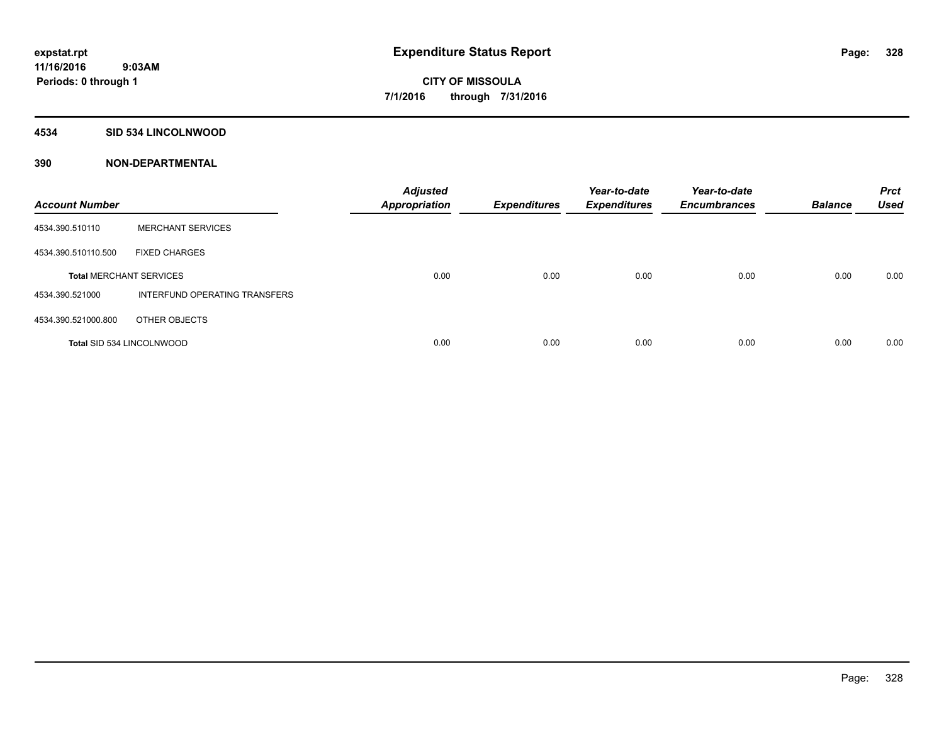#### **4534 SID 534 LINCOLNWOOD**

| <b>Account Number</b>            |                               | <b>Adjusted</b><br><b>Appropriation</b> | <b>Expenditures</b> | Year-to-date<br><b>Expenditures</b> | Year-to-date<br><b>Encumbrances</b> | <b>Balance</b> | <b>Prct</b><br><b>Used</b> |
|----------------------------------|-------------------------------|-----------------------------------------|---------------------|-------------------------------------|-------------------------------------|----------------|----------------------------|
| 4534.390.510110                  | <b>MERCHANT SERVICES</b>      |                                         |                     |                                     |                                     |                |                            |
| 4534.390.510110.500              | <b>FIXED CHARGES</b>          |                                         |                     |                                     |                                     |                |                            |
| <b>Total MERCHANT SERVICES</b>   |                               | 0.00                                    | 0.00                | 0.00                                | 0.00                                | 0.00           | 0.00                       |
| 4534.390.521000                  | INTERFUND OPERATING TRANSFERS |                                         |                     |                                     |                                     |                |                            |
| 4534.390.521000.800              | OTHER OBJECTS                 |                                         |                     |                                     |                                     |                |                            |
| <b>Total SID 534 LINCOLNWOOD</b> |                               | 0.00                                    | 0.00                | 0.00                                | 0.00                                | 0.00           | 0.00                       |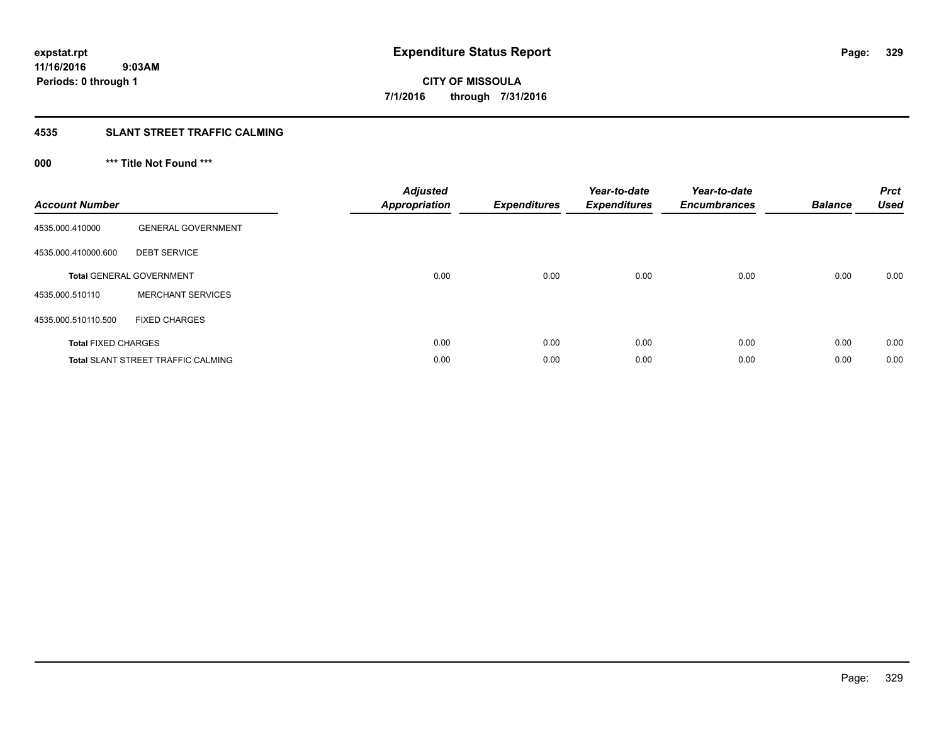#### **4535 SLANT STREET TRAFFIC CALMING**

## **000 \*\*\* Title Not Found \*\*\***

| <b>Account Number</b>      |                                           | <b>Adjusted</b><br>Appropriation | <b>Expenditures</b> | Year-to-date<br><b>Expenditures</b> | Year-to-date<br><b>Encumbrances</b> | <b>Balance</b> | <b>Prct</b><br><b>Used</b> |
|----------------------------|-------------------------------------------|----------------------------------|---------------------|-------------------------------------|-------------------------------------|----------------|----------------------------|
| 4535.000.410000            | <b>GENERAL GOVERNMENT</b>                 |                                  |                     |                                     |                                     |                |                            |
| 4535.000.410000.600        | <b>DEBT SERVICE</b>                       |                                  |                     |                                     |                                     |                |                            |
|                            | <b>Total GENERAL GOVERNMENT</b>           | 0.00                             | 0.00                | 0.00                                | 0.00                                | 0.00           | 0.00                       |
| 4535.000.510110            | <b>MERCHANT SERVICES</b>                  |                                  |                     |                                     |                                     |                |                            |
| 4535.000.510110.500        | <b>FIXED CHARGES</b>                      |                                  |                     |                                     |                                     |                |                            |
| <b>Total FIXED CHARGES</b> |                                           | 0.00                             | 0.00                | 0.00                                | 0.00                                | 0.00           | 0.00                       |
|                            | <b>Total SLANT STREET TRAFFIC CALMING</b> | 0.00                             | 0.00                | 0.00                                | 0.00                                | 0.00           | 0.00                       |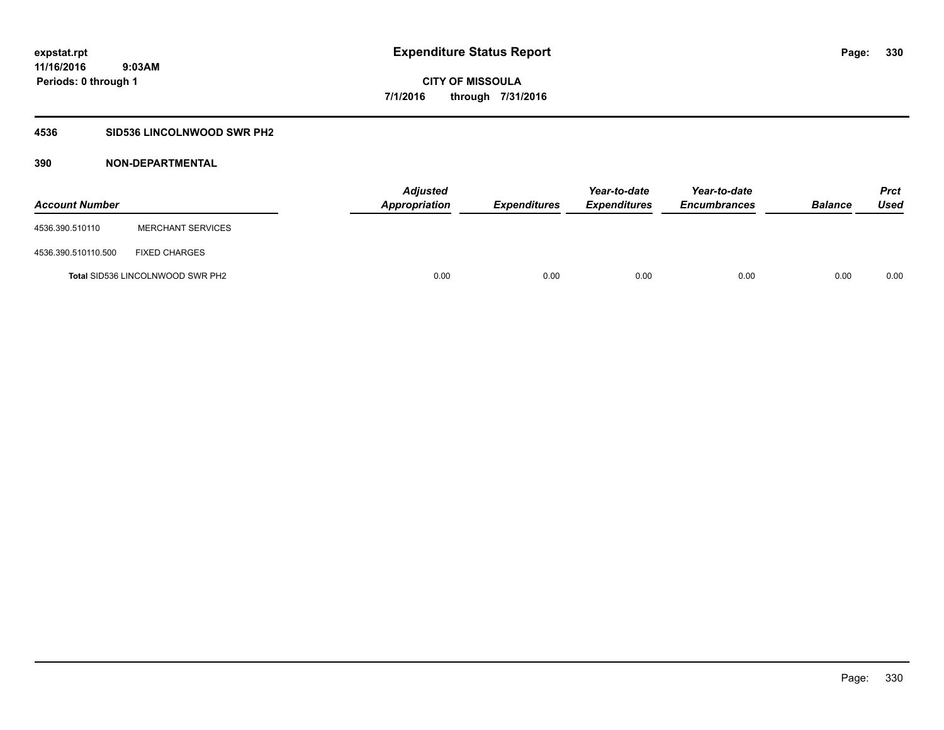### **4536 SID536 LINCOLNWOOD SWR PH2**

| <b>Account Number</b> |                                         | <b>Adjusted</b><br>Appropriation | <b>Expenditures</b> | Year-to-date<br><b>Expenditures</b> | Year-to-date<br><b>Encumbrances</b> | <b>Balance</b> | Prct<br><b>Used</b> |
|-----------------------|-----------------------------------------|----------------------------------|---------------------|-------------------------------------|-------------------------------------|----------------|---------------------|
| 4536.390.510110       | <b>MERCHANT SERVICES</b>                |                                  |                     |                                     |                                     |                |                     |
| 4536.390.510110.500   | <b>FIXED CHARGES</b>                    |                                  |                     |                                     |                                     |                |                     |
|                       | <b>Total SID536 LINCOLNWOOD SWR PH2</b> | 0.00                             | 0.00                | 0.00                                | 0.00                                | 0.00           | 0.00                |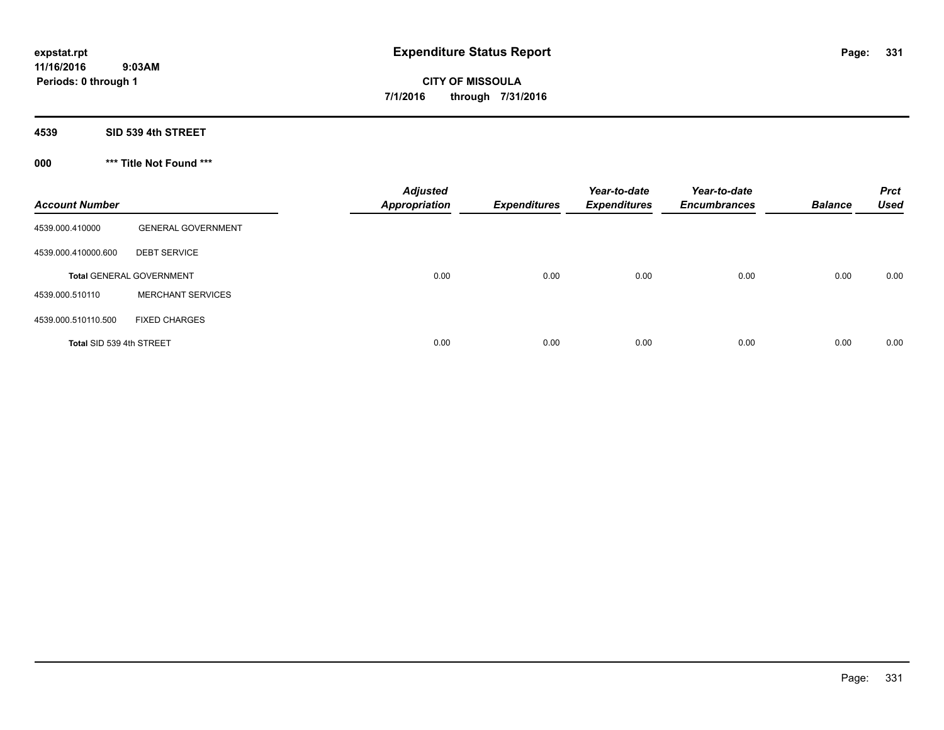**4539 SID 539 4th STREET**

**000 \*\*\* Title Not Found \*\*\***

| <b>Account Number</b>    |                                 | <b>Adjusted</b><br><b>Appropriation</b> | <b>Expenditures</b> | Year-to-date<br><b>Expenditures</b> | Year-to-date<br><b>Encumbrances</b> | <b>Balance</b> | <b>Prct</b><br><b>Used</b> |
|--------------------------|---------------------------------|-----------------------------------------|---------------------|-------------------------------------|-------------------------------------|----------------|----------------------------|
| 4539.000.410000          | <b>GENERAL GOVERNMENT</b>       |                                         |                     |                                     |                                     |                |                            |
| 4539.000.410000.600      | <b>DEBT SERVICE</b>             |                                         |                     |                                     |                                     |                |                            |
|                          | <b>Total GENERAL GOVERNMENT</b> | 0.00                                    | 0.00                | 0.00                                | 0.00                                | 0.00           | 0.00                       |
| 4539.000.510110          | <b>MERCHANT SERVICES</b>        |                                         |                     |                                     |                                     |                |                            |
| 4539.000.510110.500      | <b>FIXED CHARGES</b>            |                                         |                     |                                     |                                     |                |                            |
| Total SID 539 4th STREET |                                 | 0.00                                    | 0.00                | 0.00                                | 0.00                                | 0.00           | 0.00                       |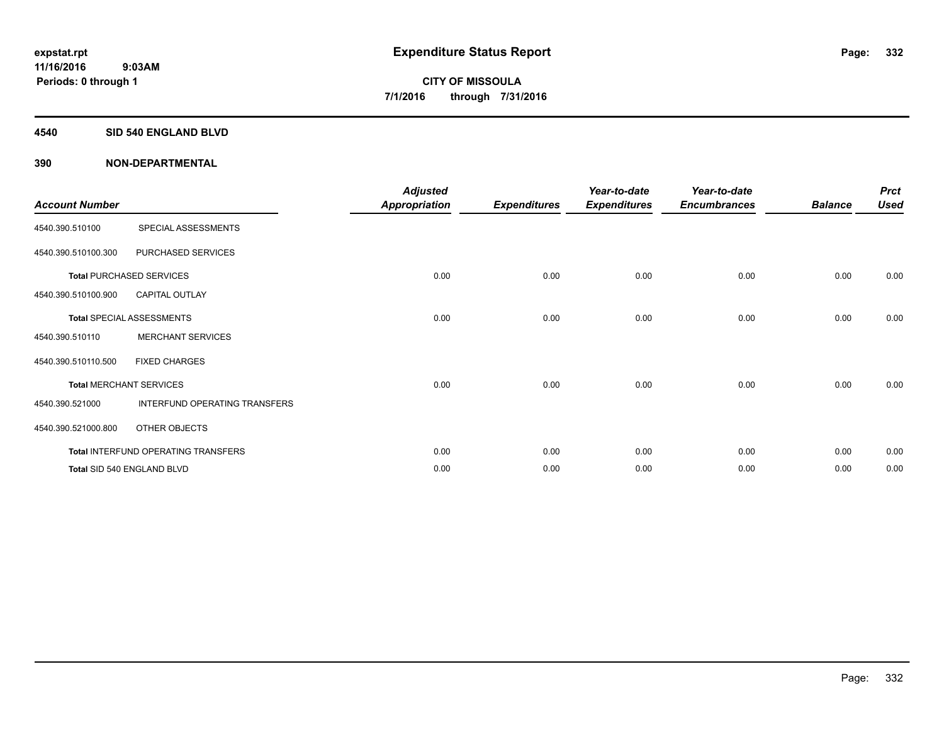#### **4540 SID 540 ENGLAND BLVD**

| <b>Account Number</b> |                                     | <b>Adjusted</b><br><b>Appropriation</b> | <b>Expenditures</b> | Year-to-date<br><b>Expenditures</b> | Year-to-date<br><b>Encumbrances</b> | <b>Balance</b> | <b>Prct</b><br><b>Used</b> |
|-----------------------|-------------------------------------|-----------------------------------------|---------------------|-------------------------------------|-------------------------------------|----------------|----------------------------|
| 4540.390.510100       | SPECIAL ASSESSMENTS                 |                                         |                     |                                     |                                     |                |                            |
| 4540.390.510100.300   | PURCHASED SERVICES                  |                                         |                     |                                     |                                     |                |                            |
|                       | <b>Total PURCHASED SERVICES</b>     | 0.00                                    | 0.00                | 0.00                                | 0.00                                | 0.00           | 0.00                       |
| 4540.390.510100.900   | <b>CAPITAL OUTLAY</b>               |                                         |                     |                                     |                                     |                |                            |
|                       | <b>Total SPECIAL ASSESSMENTS</b>    | 0.00                                    | 0.00                | 0.00                                | 0.00                                | 0.00           | 0.00                       |
| 4540.390.510110       | <b>MERCHANT SERVICES</b>            |                                         |                     |                                     |                                     |                |                            |
| 4540.390.510110.500   | <b>FIXED CHARGES</b>                |                                         |                     |                                     |                                     |                |                            |
|                       | <b>Total MERCHANT SERVICES</b>      | 0.00                                    | 0.00                | 0.00                                | 0.00                                | 0.00           | 0.00                       |
| 4540.390.521000       | INTERFUND OPERATING TRANSFERS       |                                         |                     |                                     |                                     |                |                            |
| 4540.390.521000.800   | OTHER OBJECTS                       |                                         |                     |                                     |                                     |                |                            |
|                       | Total INTERFUND OPERATING TRANSFERS | 0.00                                    | 0.00                | 0.00                                | 0.00                                | 0.00           | 0.00                       |
|                       | Total SID 540 ENGLAND BLVD          | 0.00                                    | 0.00                | 0.00                                | 0.00                                | 0.00           | 0.00                       |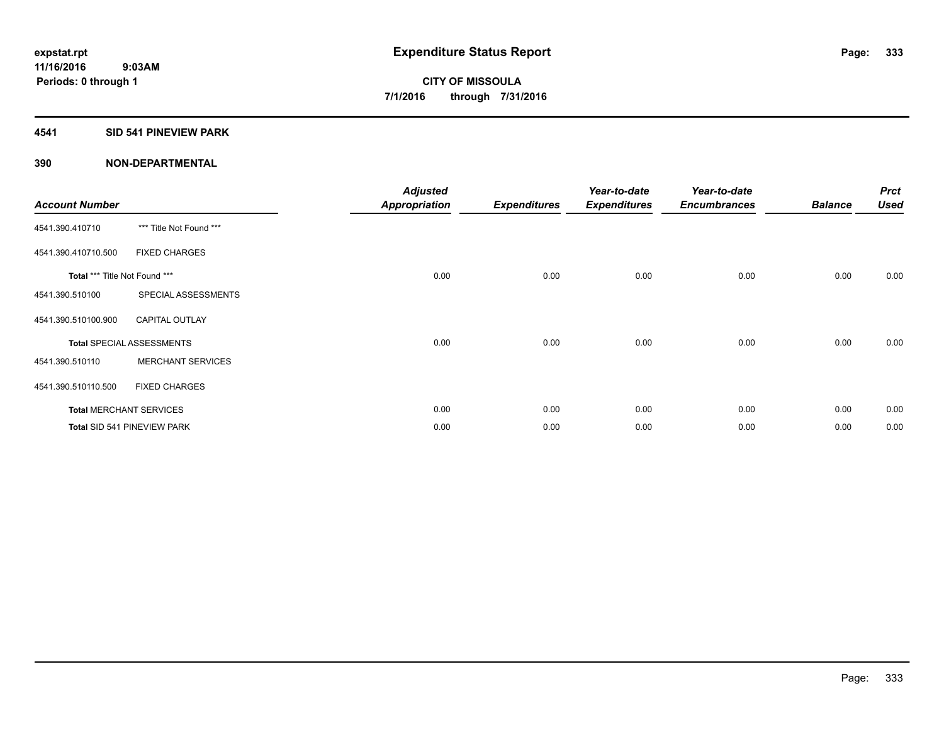#### **4541 SID 541 PINEVIEW PARK**

| <b>Account Number</b>         |                                  | <b>Adjusted</b><br><b>Appropriation</b> | <b>Expenditures</b> | Year-to-date<br><b>Expenditures</b> | Year-to-date<br><b>Encumbrances</b> | <b>Balance</b> | <b>Prct</b><br><b>Used</b> |
|-------------------------------|----------------------------------|-----------------------------------------|---------------------|-------------------------------------|-------------------------------------|----------------|----------------------------|
| 4541.390.410710               | *** Title Not Found ***          |                                         |                     |                                     |                                     |                |                            |
| 4541.390.410710.500           | <b>FIXED CHARGES</b>             |                                         |                     |                                     |                                     |                |                            |
| Total *** Title Not Found *** |                                  | 0.00                                    | 0.00                | 0.00                                | 0.00                                | 0.00           | 0.00                       |
| 4541.390.510100               | SPECIAL ASSESSMENTS              |                                         |                     |                                     |                                     |                |                            |
| 4541.390.510100.900           | <b>CAPITAL OUTLAY</b>            |                                         |                     |                                     |                                     |                |                            |
|                               | <b>Total SPECIAL ASSESSMENTS</b> | 0.00                                    | 0.00                | 0.00                                | 0.00                                | 0.00           | 0.00                       |
| 4541.390.510110               | <b>MERCHANT SERVICES</b>         |                                         |                     |                                     |                                     |                |                            |
| 4541.390.510110.500           | <b>FIXED CHARGES</b>             |                                         |                     |                                     |                                     |                |                            |
|                               | <b>Total MERCHANT SERVICES</b>   | 0.00                                    | 0.00                | 0.00                                | 0.00                                | 0.00           | 0.00                       |
|                               | Total SID 541 PINEVIEW PARK      | 0.00                                    | 0.00                | 0.00                                | 0.00                                | 0.00           | 0.00                       |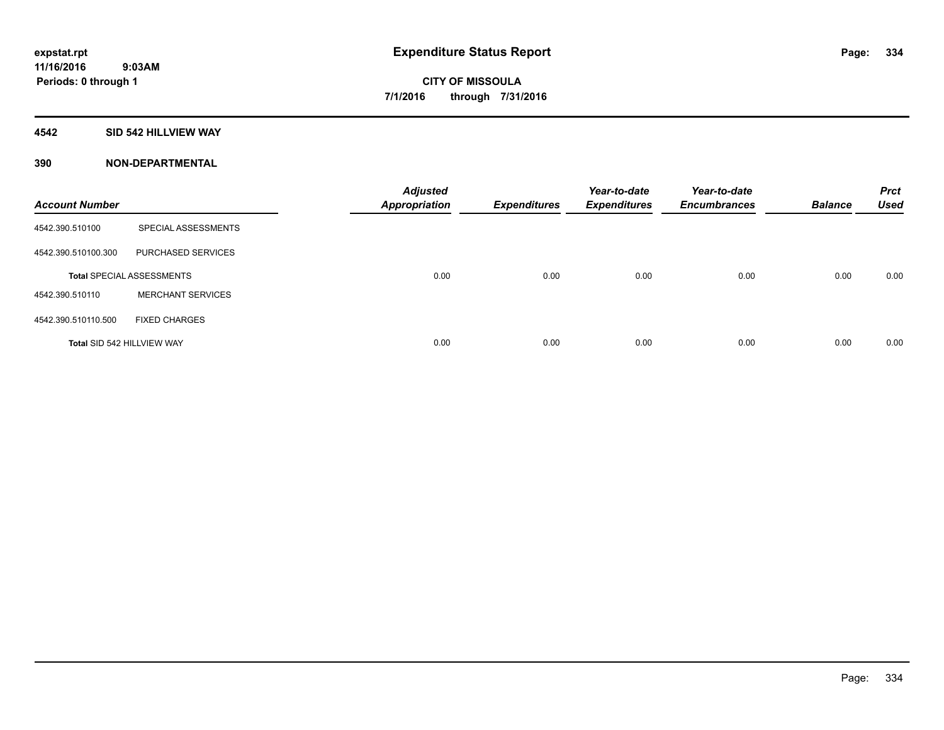#### **4542 SID 542 HILLVIEW WAY**

| <b>Account Number</b> |                                  | <b>Adjusted</b><br><b>Appropriation</b> | <b>Expenditures</b> | Year-to-date<br><b>Expenditures</b> | Year-to-date<br><b>Encumbrances</b> | <b>Balance</b> | <b>Prct</b><br><b>Used</b> |
|-----------------------|----------------------------------|-----------------------------------------|---------------------|-------------------------------------|-------------------------------------|----------------|----------------------------|
| 4542.390.510100       | SPECIAL ASSESSMENTS              |                                         |                     |                                     |                                     |                |                            |
| 4542.390.510100.300   | PURCHASED SERVICES               |                                         |                     |                                     |                                     |                |                            |
|                       | <b>Total SPECIAL ASSESSMENTS</b> | 0.00                                    | 0.00                | 0.00                                | 0.00                                | 0.00           | 0.00                       |
| 4542.390.510110       | <b>MERCHANT SERVICES</b>         |                                         |                     |                                     |                                     |                |                            |
| 4542.390.510110.500   | <b>FIXED CHARGES</b>             |                                         |                     |                                     |                                     |                |                            |
|                       | Total SID 542 HILLVIEW WAY       | 0.00                                    | 0.00                | 0.00                                | 0.00                                | 0.00           | 0.00                       |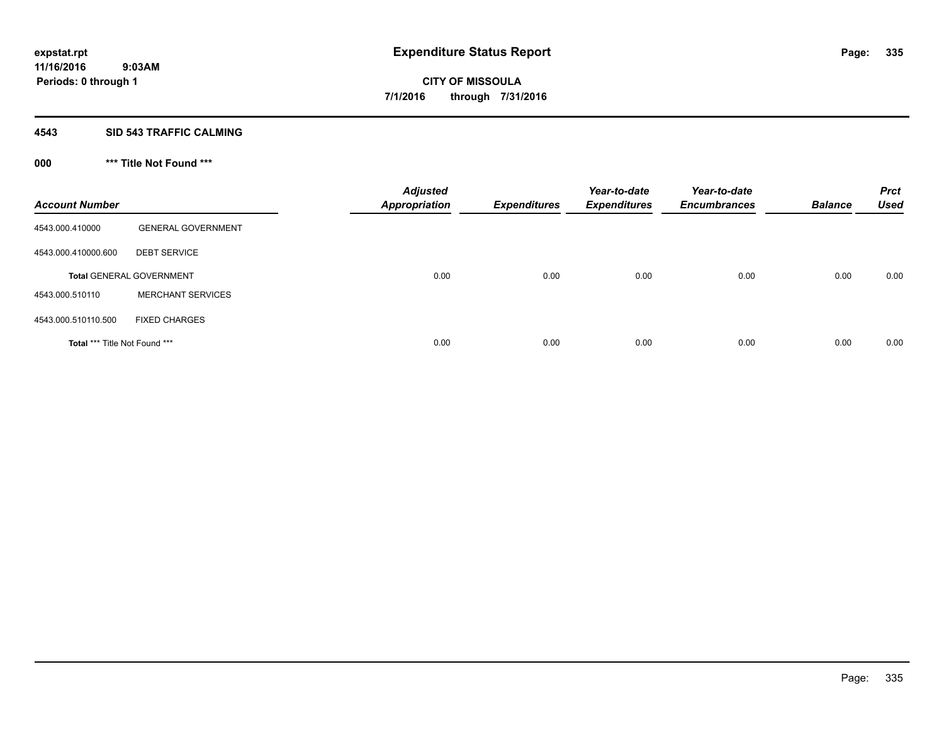#### **4543 SID 543 TRAFFIC CALMING**

## **000 \*\*\* Title Not Found \*\*\***

| <b>Account Number</b>         |                                 | <b>Adjusted</b><br><b>Appropriation</b> | <b>Expenditures</b> | Year-to-date<br><b>Expenditures</b> | Year-to-date<br><b>Encumbrances</b> | <b>Balance</b> | <b>Prct</b><br><b>Used</b> |
|-------------------------------|---------------------------------|-----------------------------------------|---------------------|-------------------------------------|-------------------------------------|----------------|----------------------------|
| 4543.000.410000               | <b>GENERAL GOVERNMENT</b>       |                                         |                     |                                     |                                     |                |                            |
| 4543.000.410000.600           | <b>DEBT SERVICE</b>             |                                         |                     |                                     |                                     |                |                            |
|                               | <b>Total GENERAL GOVERNMENT</b> | 0.00                                    | 0.00                | 0.00                                | 0.00                                | 0.00           | 0.00                       |
| 4543.000.510110               | <b>MERCHANT SERVICES</b>        |                                         |                     |                                     |                                     |                |                            |
| 4543.000.510110.500           | <b>FIXED CHARGES</b>            |                                         |                     |                                     |                                     |                |                            |
| Total *** Title Not Found *** |                                 | 0.00                                    | 0.00                | 0.00                                | 0.00                                | 0.00           | 0.00                       |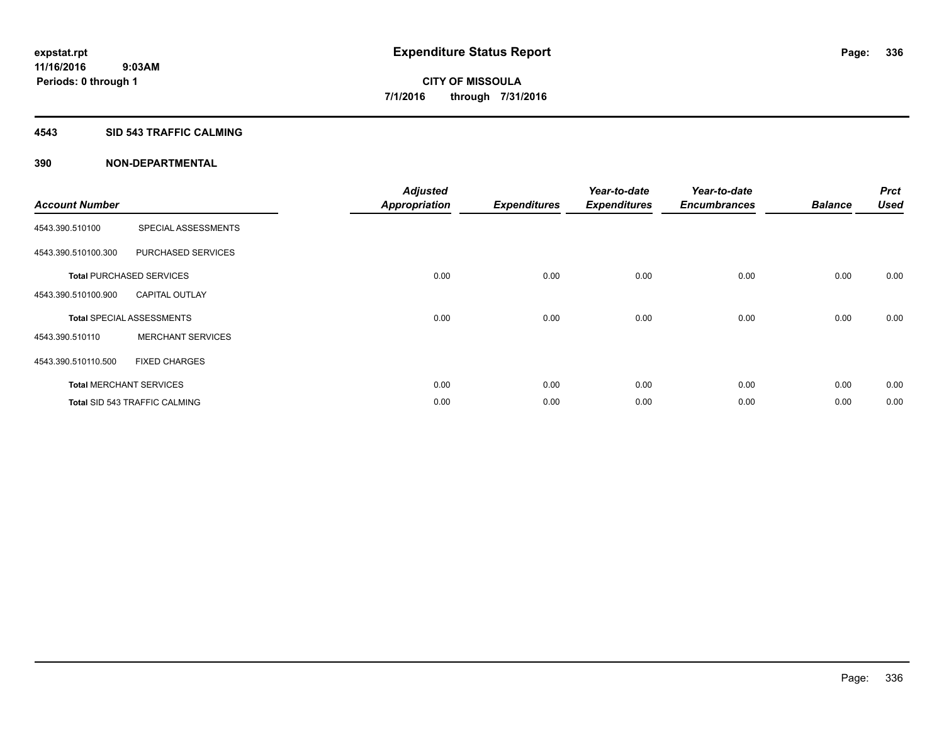#### **4543 SID 543 TRAFFIC CALMING**

| <b>Account Number</b> |                                      | <b>Adjusted</b><br><b>Appropriation</b> | <b>Expenditures</b> | Year-to-date<br><b>Expenditures</b> | Year-to-date<br><b>Encumbrances</b> | <b>Balance</b> | <b>Prct</b><br><b>Used</b> |
|-----------------------|--------------------------------------|-----------------------------------------|---------------------|-------------------------------------|-------------------------------------|----------------|----------------------------|
| 4543.390.510100       | SPECIAL ASSESSMENTS                  |                                         |                     |                                     |                                     |                |                            |
| 4543.390.510100.300   | PURCHASED SERVICES                   |                                         |                     |                                     |                                     |                |                            |
|                       | <b>Total PURCHASED SERVICES</b>      | 0.00                                    | 0.00                | 0.00                                | 0.00                                | 0.00           | 0.00                       |
| 4543.390.510100.900   | <b>CAPITAL OUTLAY</b>                |                                         |                     |                                     |                                     |                |                            |
|                       | <b>Total SPECIAL ASSESSMENTS</b>     | 0.00                                    | 0.00                | 0.00                                | 0.00                                | 0.00           | 0.00                       |
| 4543.390.510110       | <b>MERCHANT SERVICES</b>             |                                         |                     |                                     |                                     |                |                            |
| 4543.390.510110.500   | <b>FIXED CHARGES</b>                 |                                         |                     |                                     |                                     |                |                            |
|                       | <b>Total MERCHANT SERVICES</b>       | 0.00                                    | 0.00                | 0.00                                | 0.00                                | 0.00           | 0.00                       |
|                       | <b>Total SID 543 TRAFFIC CALMING</b> | 0.00                                    | 0.00                | 0.00                                | 0.00                                | 0.00           | 0.00                       |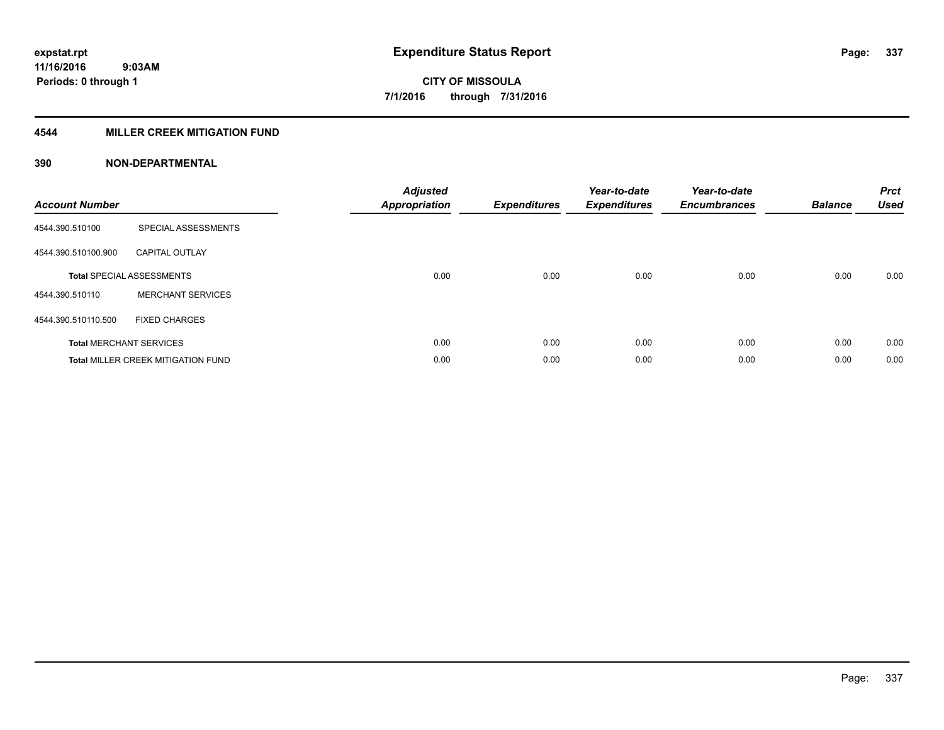### **4544 MILLER CREEK MITIGATION FUND**

| <b>Account Number</b> |                                           | <b>Adjusted</b><br><b>Appropriation</b> | <b>Expenditures</b> | Year-to-date<br><b>Expenditures</b> | Year-to-date<br><b>Encumbrances</b> | <b>Balance</b> | <b>Prct</b><br><b>Used</b> |
|-----------------------|-------------------------------------------|-----------------------------------------|---------------------|-------------------------------------|-------------------------------------|----------------|----------------------------|
| 4544.390.510100       | SPECIAL ASSESSMENTS                       |                                         |                     |                                     |                                     |                |                            |
| 4544.390.510100.900   | <b>CAPITAL OUTLAY</b>                     |                                         |                     |                                     |                                     |                |                            |
|                       | <b>Total SPECIAL ASSESSMENTS</b>          | 0.00                                    | 0.00                | 0.00                                | 0.00                                | 0.00           | 0.00                       |
| 4544.390.510110       | <b>MERCHANT SERVICES</b>                  |                                         |                     |                                     |                                     |                |                            |
| 4544.390.510110.500   | <b>FIXED CHARGES</b>                      |                                         |                     |                                     |                                     |                |                            |
|                       | <b>Total MERCHANT SERVICES</b>            | 0.00                                    | 0.00                | 0.00                                | 0.00                                | 0.00           | 0.00                       |
|                       | <b>Total MILLER CREEK MITIGATION FUND</b> | 0.00                                    | 0.00                | 0.00                                | 0.00                                | 0.00           | 0.00                       |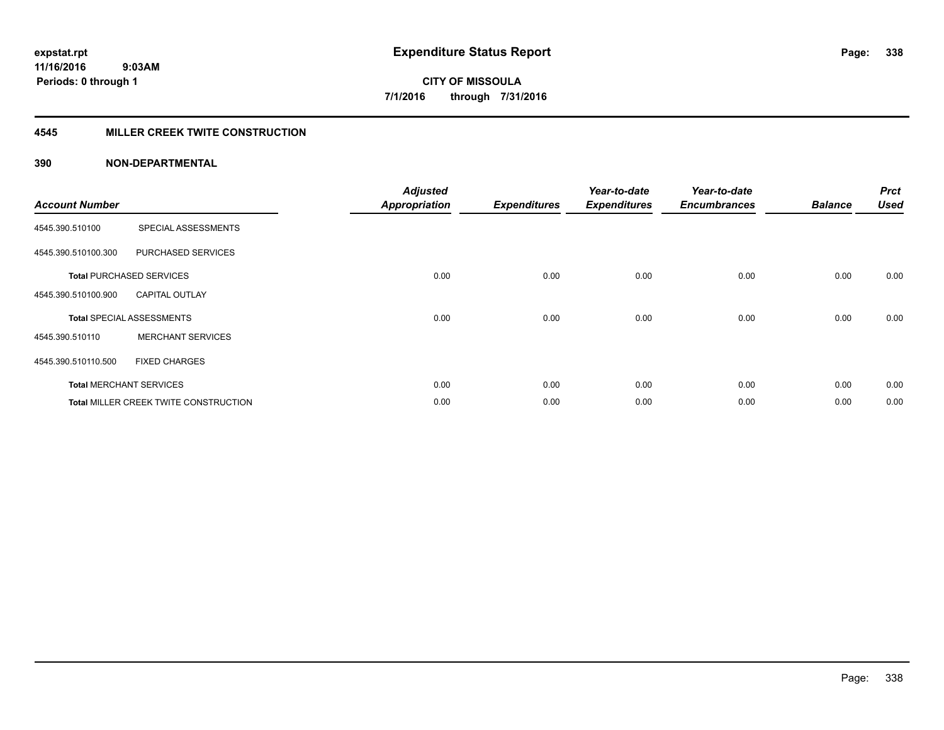#### **4545 MILLER CREEK TWITE CONSTRUCTION**

| <b>Account Number</b> |                                              | <b>Adjusted</b>      |                     | Year-to-date        | Year-to-date        |                | <b>Prct</b> |
|-----------------------|----------------------------------------------|----------------------|---------------------|---------------------|---------------------|----------------|-------------|
|                       |                                              | <b>Appropriation</b> | <b>Expenditures</b> | <b>Expenditures</b> | <b>Encumbrances</b> | <b>Balance</b> | <b>Used</b> |
| 4545.390.510100       | SPECIAL ASSESSMENTS                          |                      |                     |                     |                     |                |             |
| 4545.390.510100.300   | PURCHASED SERVICES                           |                      |                     |                     |                     |                |             |
|                       | <b>Total PURCHASED SERVICES</b>              | 0.00                 | 0.00                | 0.00                | 0.00                | 0.00           | 0.00        |
| 4545.390.510100.900   | <b>CAPITAL OUTLAY</b>                        |                      |                     |                     |                     |                |             |
|                       | <b>Total SPECIAL ASSESSMENTS</b>             | 0.00                 | 0.00                | 0.00                | 0.00                | 0.00           | 0.00        |
| 4545.390.510110       | <b>MERCHANT SERVICES</b>                     |                      |                     |                     |                     |                |             |
| 4545.390.510110.500   | <b>FIXED CHARGES</b>                         |                      |                     |                     |                     |                |             |
|                       | <b>Total MERCHANT SERVICES</b>               | 0.00                 | 0.00                | 0.00                | 0.00                | 0.00           | 0.00        |
|                       | <b>Total MILLER CREEK TWITE CONSTRUCTION</b> | 0.00                 | 0.00                | 0.00                | 0.00                | 0.00           | 0.00        |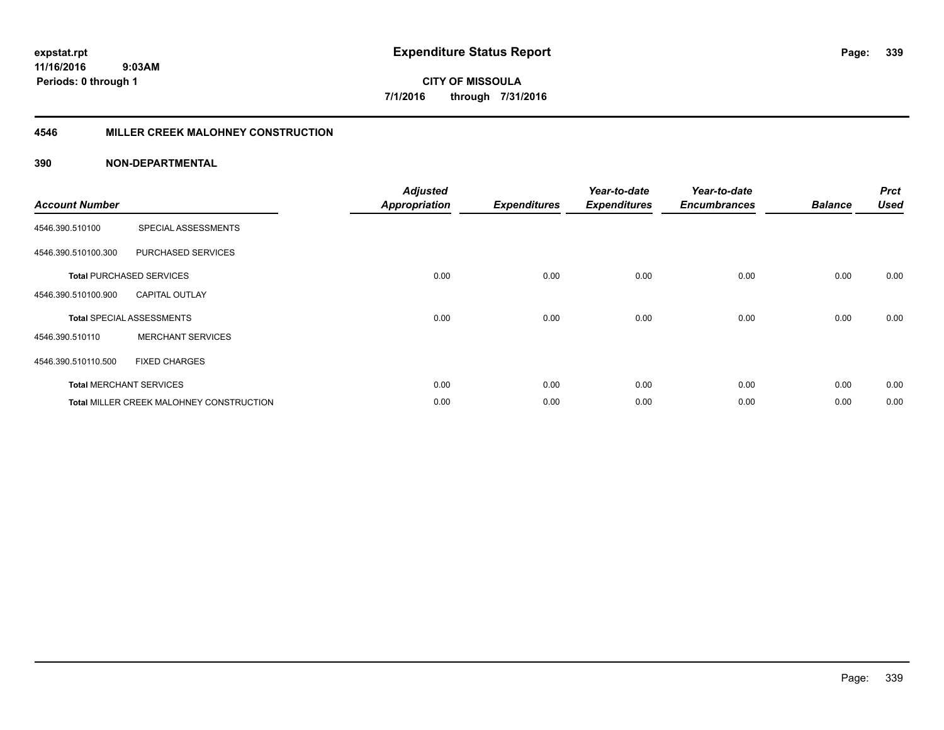**11/16/2016 9:03AM Periods: 0 through 1**

**339**

**CITY OF MISSOULA 7/1/2016 through 7/31/2016**

#### **4546 MILLER CREEK MALOHNEY CONSTRUCTION**

| <b>Account Number</b> |                                                 | <b>Adjusted</b><br><b>Appropriation</b> | <b>Expenditures</b> | Year-to-date<br><b>Expenditures</b> | Year-to-date<br><b>Encumbrances</b> | <b>Balance</b> | <b>Prct</b><br><b>Used</b> |
|-----------------------|-------------------------------------------------|-----------------------------------------|---------------------|-------------------------------------|-------------------------------------|----------------|----------------------------|
| 4546.390.510100       | SPECIAL ASSESSMENTS                             |                                         |                     |                                     |                                     |                |                            |
| 4546.390.510100.300   | <b>PURCHASED SERVICES</b>                       |                                         |                     |                                     |                                     |                |                            |
|                       | <b>Total PURCHASED SERVICES</b>                 | 0.00                                    | 0.00                | 0.00                                | 0.00                                | 0.00           | 0.00                       |
| 4546.390.510100.900   | <b>CAPITAL OUTLAY</b>                           |                                         |                     |                                     |                                     |                |                            |
|                       | <b>Total SPECIAL ASSESSMENTS</b>                | 0.00                                    | 0.00                | 0.00                                | 0.00                                | 0.00           | 0.00                       |
| 4546.390.510110       | <b>MERCHANT SERVICES</b>                        |                                         |                     |                                     |                                     |                |                            |
| 4546.390.510110.500   | <b>FIXED CHARGES</b>                            |                                         |                     |                                     |                                     |                |                            |
|                       | <b>Total MERCHANT SERVICES</b>                  | 0.00                                    | 0.00                | 0.00                                | 0.00                                | 0.00           | 0.00                       |
|                       | <b>Total MILLER CREEK MALOHNEY CONSTRUCTION</b> | 0.00                                    | 0.00                | 0.00                                | 0.00                                | 0.00           | 0.00                       |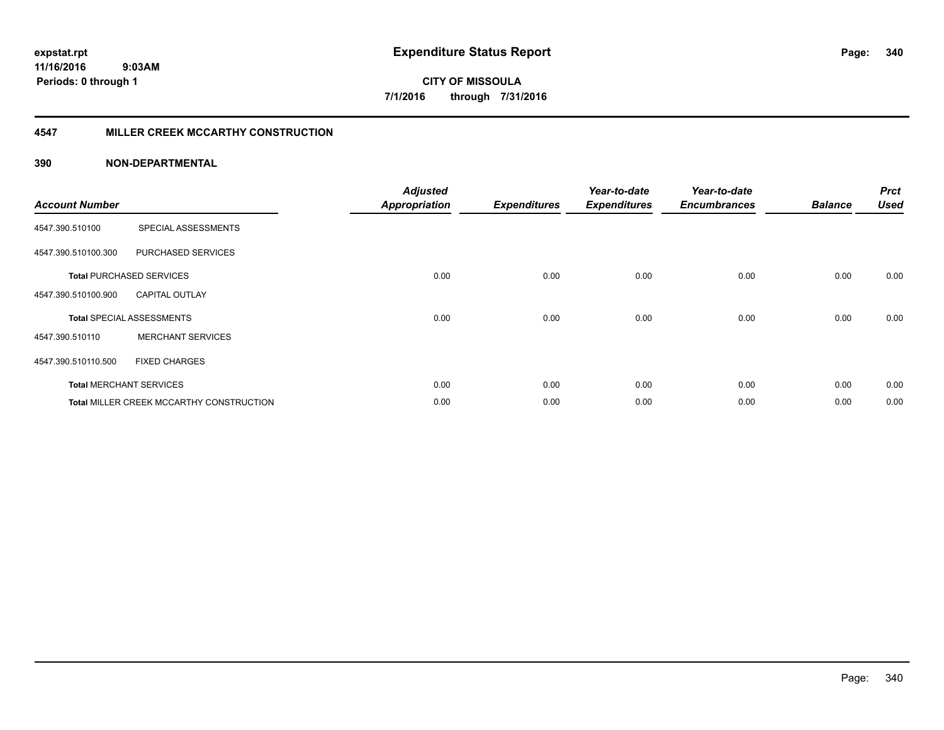#### **4547 MILLER CREEK MCCARTHY CONSTRUCTION**

| <b>Account Number</b> |                                                 | <b>Adjusted</b><br><b>Appropriation</b> | <b>Expenditures</b> | Year-to-date<br><b>Expenditures</b> | Year-to-date<br><b>Encumbrances</b> | <b>Balance</b> | <b>Prct</b><br><b>Used</b> |
|-----------------------|-------------------------------------------------|-----------------------------------------|---------------------|-------------------------------------|-------------------------------------|----------------|----------------------------|
| 4547.390.510100       | SPECIAL ASSESSMENTS                             |                                         |                     |                                     |                                     |                |                            |
| 4547.390.510100.300   | PURCHASED SERVICES                              |                                         |                     |                                     |                                     |                |                            |
|                       | <b>Total PURCHASED SERVICES</b>                 | 0.00                                    | 0.00                | 0.00                                | 0.00                                | 0.00           | 0.00                       |
| 4547.390.510100.900   | <b>CAPITAL OUTLAY</b>                           |                                         |                     |                                     |                                     |                |                            |
|                       | <b>Total SPECIAL ASSESSMENTS</b>                | 0.00                                    | 0.00                | 0.00                                | 0.00                                | 0.00           | 0.00                       |
| 4547.390.510110       | <b>MERCHANT SERVICES</b>                        |                                         |                     |                                     |                                     |                |                            |
| 4547.390.510110.500   | <b>FIXED CHARGES</b>                            |                                         |                     |                                     |                                     |                |                            |
|                       | <b>Total MERCHANT SERVICES</b>                  | 0.00                                    | 0.00                | 0.00                                | 0.00                                | 0.00           | 0.00                       |
|                       | <b>Total MILLER CREEK MCCARTHY CONSTRUCTION</b> | 0.00                                    | 0.00                | 0.00                                | 0.00                                | 0.00           | 0.00                       |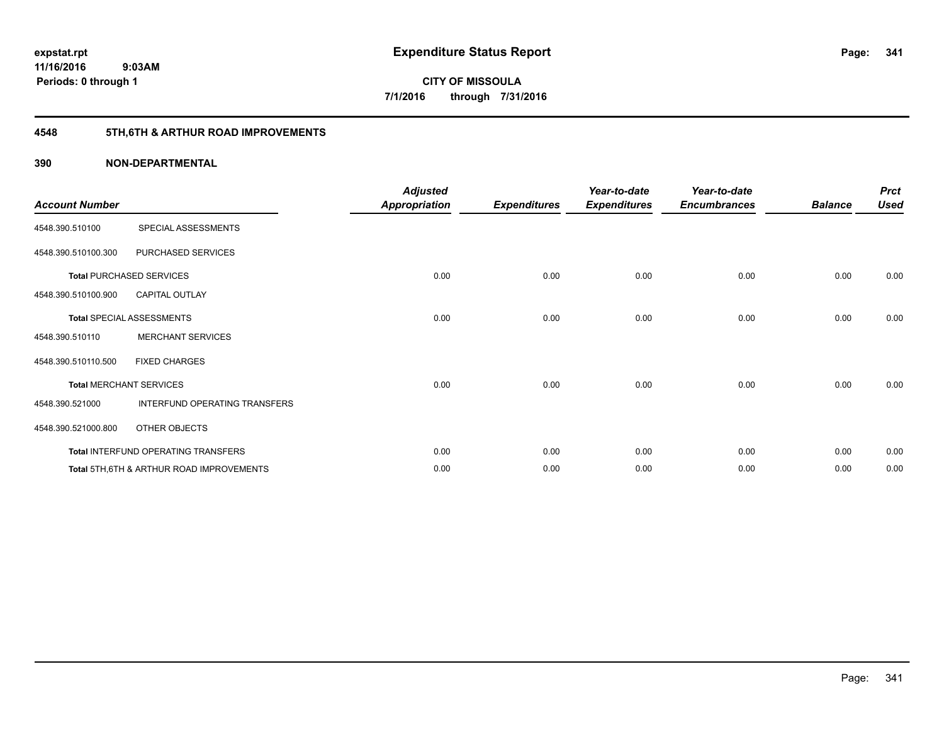## **4548 5TH,6TH & ARTHUR ROAD IMPROVEMENTS**

| <b>Account Number</b> |                                                     | <b>Adjusted</b><br><b>Appropriation</b> | <b>Expenditures</b> | Year-to-date<br><b>Expenditures</b> | Year-to-date<br><b>Encumbrances</b> | <b>Balance</b> | <b>Prct</b><br><b>Used</b> |
|-----------------------|-----------------------------------------------------|-----------------------------------------|---------------------|-------------------------------------|-------------------------------------|----------------|----------------------------|
| 4548.390.510100       | SPECIAL ASSESSMENTS                                 |                                         |                     |                                     |                                     |                |                            |
| 4548.390.510100.300   | PURCHASED SERVICES                                  |                                         |                     |                                     |                                     |                |                            |
|                       | <b>Total PURCHASED SERVICES</b>                     | 0.00                                    | 0.00                | 0.00                                | 0.00                                | 0.00           | 0.00                       |
| 4548.390.510100.900   | <b>CAPITAL OUTLAY</b>                               |                                         |                     |                                     |                                     |                |                            |
|                       | <b>Total SPECIAL ASSESSMENTS</b>                    | 0.00                                    | 0.00                | 0.00                                | 0.00                                | 0.00           | 0.00                       |
| 4548.390.510110       | <b>MERCHANT SERVICES</b>                            |                                         |                     |                                     |                                     |                |                            |
| 4548.390.510110.500   | <b>FIXED CHARGES</b>                                |                                         |                     |                                     |                                     |                |                            |
|                       | <b>Total MERCHANT SERVICES</b>                      | 0.00                                    | 0.00                | 0.00                                | 0.00                                | 0.00           | 0.00                       |
| 4548.390.521000       | INTERFUND OPERATING TRANSFERS                       |                                         |                     |                                     |                                     |                |                            |
| 4548.390.521000.800   | OTHER OBJECTS                                       |                                         |                     |                                     |                                     |                |                            |
|                       | Total INTERFUND OPERATING TRANSFERS                 | 0.00                                    | 0.00                | 0.00                                | 0.00                                | 0.00           | 0.00                       |
|                       | <b>Total 5TH.6TH &amp; ARTHUR ROAD IMPROVEMENTS</b> | 0.00                                    | 0.00                | 0.00                                | 0.00                                | 0.00           | 0.00                       |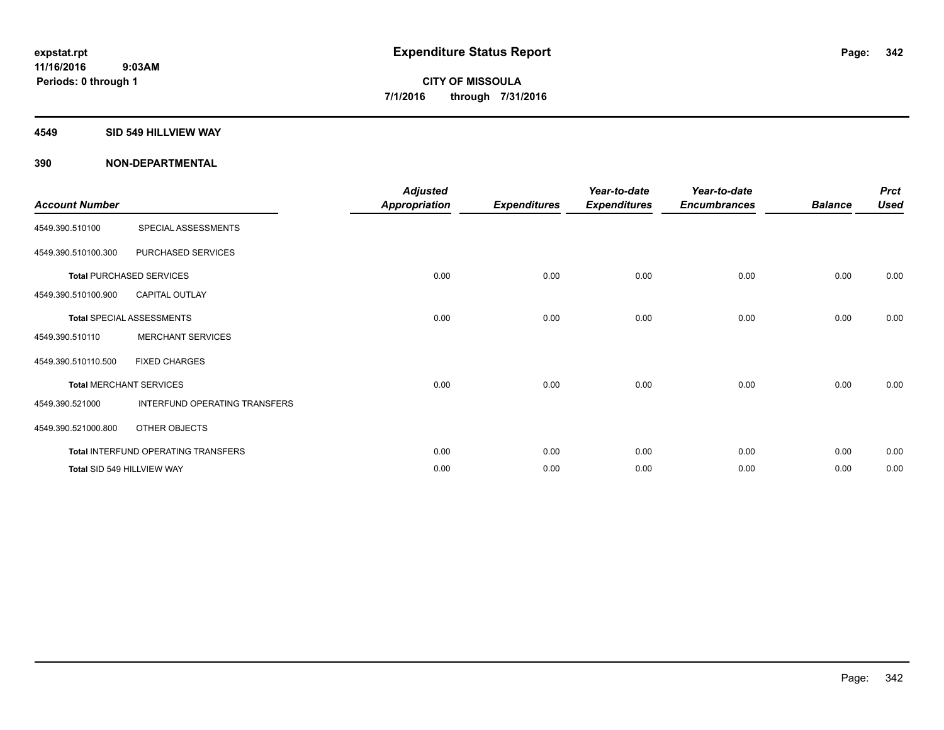#### **4549 SID 549 HILLVIEW WAY**

| <b>Account Number</b> |                                     | <b>Adjusted</b><br><b>Appropriation</b> | <b>Expenditures</b> | Year-to-date<br><b>Expenditures</b> | Year-to-date<br><b>Encumbrances</b> | <b>Balance</b> | <b>Prct</b><br><b>Used</b> |
|-----------------------|-------------------------------------|-----------------------------------------|---------------------|-------------------------------------|-------------------------------------|----------------|----------------------------|
| 4549.390.510100       | SPECIAL ASSESSMENTS                 |                                         |                     |                                     |                                     |                |                            |
| 4549.390.510100.300   | PURCHASED SERVICES                  |                                         |                     |                                     |                                     |                |                            |
|                       | <b>Total PURCHASED SERVICES</b>     | 0.00                                    | 0.00                | 0.00                                | 0.00                                | 0.00           | 0.00                       |
| 4549.390.510100.900   | <b>CAPITAL OUTLAY</b>               |                                         |                     |                                     |                                     |                |                            |
|                       | <b>Total SPECIAL ASSESSMENTS</b>    | 0.00                                    | 0.00                | 0.00                                | 0.00                                | 0.00           | 0.00                       |
| 4549.390.510110       | <b>MERCHANT SERVICES</b>            |                                         |                     |                                     |                                     |                |                            |
| 4549.390.510110.500   | <b>FIXED CHARGES</b>                |                                         |                     |                                     |                                     |                |                            |
|                       | <b>Total MERCHANT SERVICES</b>      | 0.00                                    | 0.00                | 0.00                                | 0.00                                | 0.00           | 0.00                       |
| 4549.390.521000       | INTERFUND OPERATING TRANSFERS       |                                         |                     |                                     |                                     |                |                            |
| 4549.390.521000.800   | OTHER OBJECTS                       |                                         |                     |                                     |                                     |                |                            |
|                       | Total INTERFUND OPERATING TRANSFERS | 0.00                                    | 0.00                | 0.00                                | 0.00                                | 0.00           | 0.00                       |
|                       | Total SID 549 HILLVIEW WAY          | 0.00                                    | 0.00                | 0.00                                | 0.00                                | 0.00           | 0.00                       |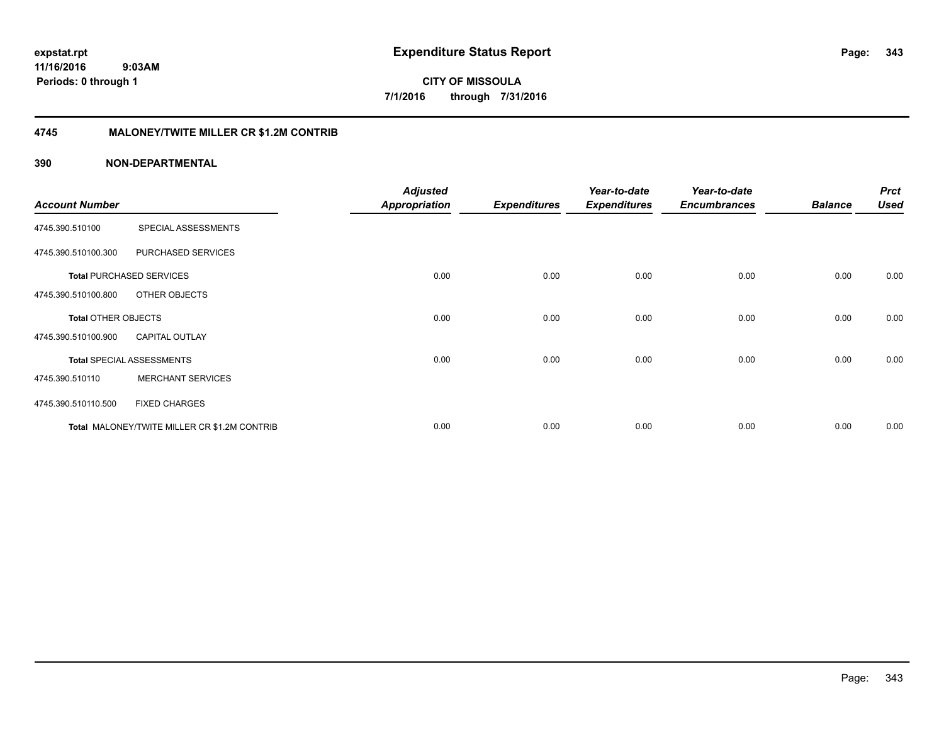**343**

**11/16/2016 9:03AM Periods: 0 through 1**

**CITY OF MISSOULA 7/1/2016 through 7/31/2016**

#### **4745 MALONEY/TWITE MILLER CR \$1.2M CONTRIB**

|                            |                                              | <b>Adjusted</b>      |                     | Year-to-date        | Year-to-date        |                | <b>Prct</b> |
|----------------------------|----------------------------------------------|----------------------|---------------------|---------------------|---------------------|----------------|-------------|
| <b>Account Number</b>      |                                              | <b>Appropriation</b> | <b>Expenditures</b> | <b>Expenditures</b> | <b>Encumbrances</b> | <b>Balance</b> | <b>Used</b> |
| 4745.390.510100            | SPECIAL ASSESSMENTS                          |                      |                     |                     |                     |                |             |
| 4745.390.510100.300        | PURCHASED SERVICES                           |                      |                     |                     |                     |                |             |
|                            | <b>Total PURCHASED SERVICES</b>              | 0.00                 | 0.00                | 0.00                | 0.00                | 0.00           | 0.00        |
| 4745.390.510100.800        | OTHER OBJECTS                                |                      |                     |                     |                     |                |             |
| <b>Total OTHER OBJECTS</b> |                                              | 0.00                 | 0.00                | 0.00                | 0.00                | 0.00           | 0.00        |
| 4745.390.510100.900        | <b>CAPITAL OUTLAY</b>                        |                      |                     |                     |                     |                |             |
|                            | <b>Total SPECIAL ASSESSMENTS</b>             | 0.00                 | 0.00                | 0.00                | 0.00                | 0.00           | 0.00        |
| 4745.390.510110            | <b>MERCHANT SERVICES</b>                     |                      |                     |                     |                     |                |             |
| 4745.390.510110.500        | <b>FIXED CHARGES</b>                         |                      |                     |                     |                     |                |             |
|                            | Total MALONEY/TWITE MILLER CR \$1.2M CONTRIB | 0.00                 | 0.00                | 0.00                | 0.00                | 0.00           | 0.00        |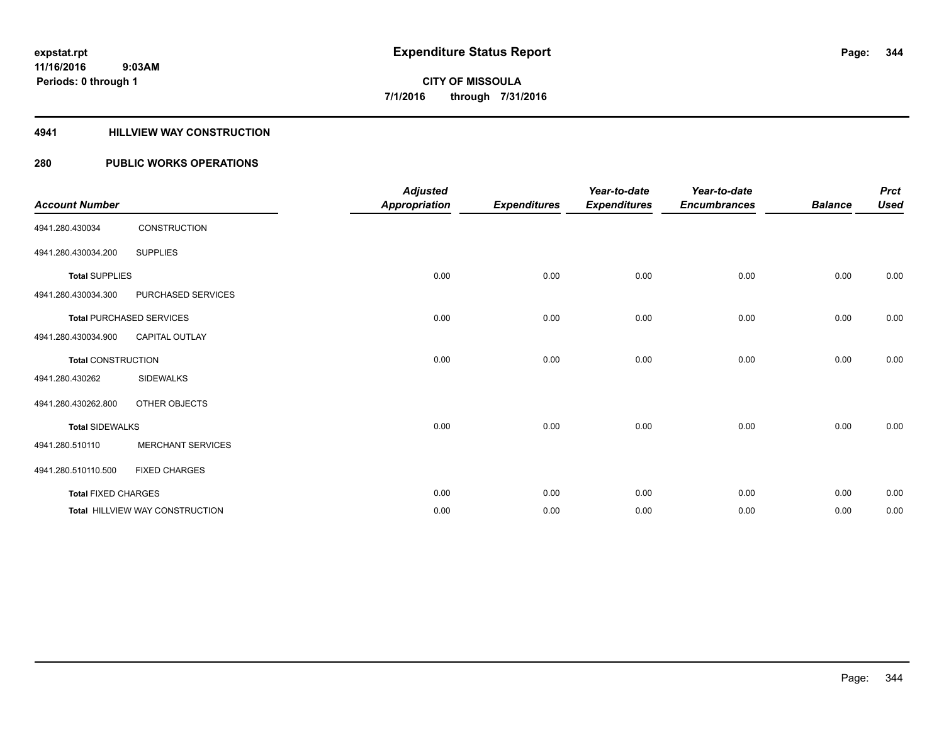#### **4941 HILLVIEW WAY CONSTRUCTION**

### **280 PUBLIC WORKS OPERATIONS**

| <b>Account Number</b>      |                                        | <b>Adjusted</b><br><b>Appropriation</b> | <b>Expenditures</b> | Year-to-date<br><b>Expenditures</b> | Year-to-date<br><b>Encumbrances</b> | <b>Balance</b> | <b>Prct</b><br><b>Used</b> |
|----------------------------|----------------------------------------|-----------------------------------------|---------------------|-------------------------------------|-------------------------------------|----------------|----------------------------|
| 4941.280.430034            | CONSTRUCTION                           |                                         |                     |                                     |                                     |                |                            |
| 4941.280.430034.200        | <b>SUPPLIES</b>                        |                                         |                     |                                     |                                     |                |                            |
| <b>Total SUPPLIES</b>      |                                        | 0.00                                    | 0.00                | 0.00                                | 0.00                                | 0.00           | 0.00                       |
| 4941.280.430034.300        | PURCHASED SERVICES                     |                                         |                     |                                     |                                     |                |                            |
|                            | <b>Total PURCHASED SERVICES</b>        | 0.00                                    | 0.00                | 0.00                                | 0.00                                | 0.00           | 0.00                       |
| 4941.280.430034.900        | CAPITAL OUTLAY                         |                                         |                     |                                     |                                     |                |                            |
| <b>Total CONSTRUCTION</b>  |                                        | 0.00                                    | 0.00                | 0.00                                | 0.00                                | 0.00           | 0.00                       |
| 4941.280.430262            | <b>SIDEWALKS</b>                       |                                         |                     |                                     |                                     |                |                            |
| 4941.280.430262.800        | OTHER OBJECTS                          |                                         |                     |                                     |                                     |                |                            |
| <b>Total SIDEWALKS</b>     |                                        | 0.00                                    | 0.00                | 0.00                                | 0.00                                | 0.00           | 0.00                       |
| 4941.280.510110            | <b>MERCHANT SERVICES</b>               |                                         |                     |                                     |                                     |                |                            |
| 4941.280.510110.500        | <b>FIXED CHARGES</b>                   |                                         |                     |                                     |                                     |                |                            |
| <b>Total FIXED CHARGES</b> |                                        | 0.00                                    | 0.00                | 0.00                                | 0.00                                | 0.00           | 0.00                       |
|                            | <b>Total HILLVIEW WAY CONSTRUCTION</b> | 0.00                                    | 0.00                | 0.00                                | 0.00                                | 0.00           | 0.00                       |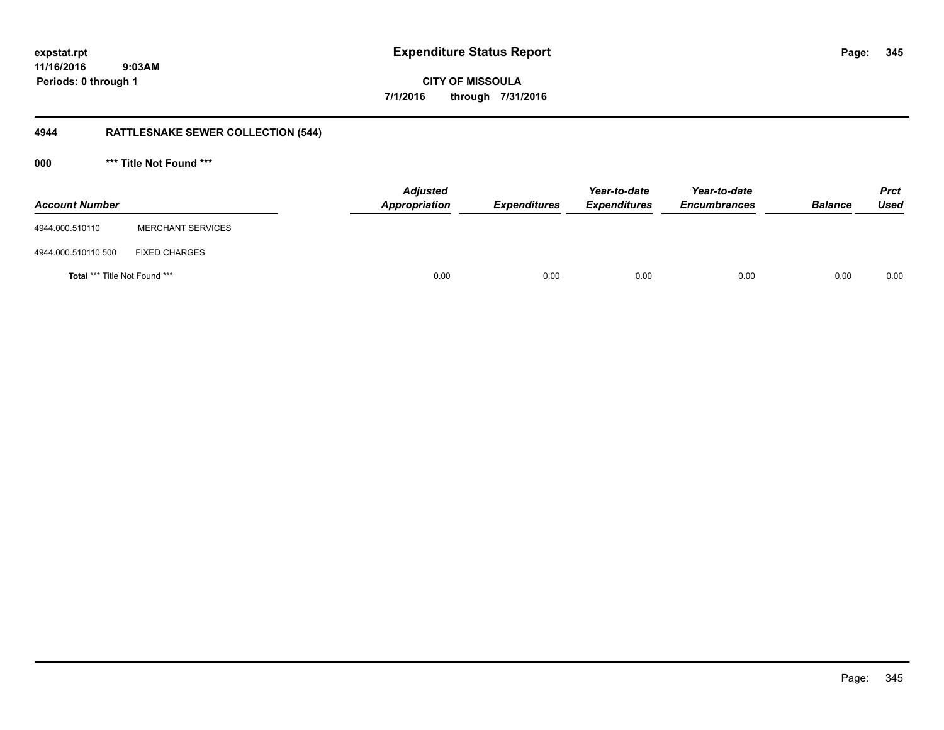**11/16/2016 9:03AM Periods: 0 through 1**

**CITY OF MISSOULA 7/1/2016 through 7/31/2016**

## **4944 RATTLESNAKE SEWER COLLECTION (544)**

**000 \*\*\* Title Not Found \*\*\***

| <b>Account Number</b>                |                          | <b>Adjusted</b><br>Appropriation | <b>Expenditures</b> | Year-to-date<br><b>Expenditures</b> | Year-to-date<br><b>Encumbrances</b> | <b>Balance</b> | <b>Prct</b><br><b>Used</b> |
|--------------------------------------|--------------------------|----------------------------------|---------------------|-------------------------------------|-------------------------------------|----------------|----------------------------|
| 4944.000.510110                      | <b>MERCHANT SERVICES</b> |                                  |                     |                                     |                                     |                |                            |
| 4944.000.510110.500                  | <b>FIXED CHARGES</b>     |                                  |                     |                                     |                                     |                |                            |
| <b>Total *** Title Not Found ***</b> |                          | 0.00                             | 0.00                | 0.00                                | 0.00                                | 0.00           | 0.00                       |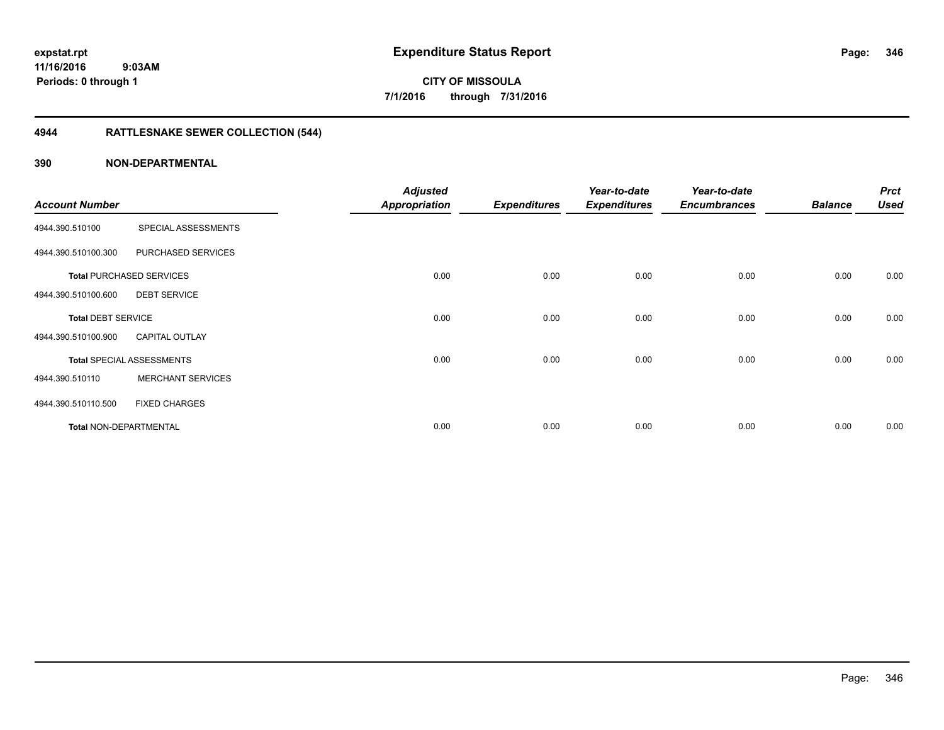## **4944 RATTLESNAKE SEWER COLLECTION (544)**

| <b>Account Number</b>         |                                  | <b>Adjusted</b><br>Appropriation | <b>Expenditures</b> | Year-to-date<br><b>Expenditures</b> | Year-to-date<br><b>Encumbrances</b> | <b>Balance</b> | <b>Prct</b><br><b>Used</b> |
|-------------------------------|----------------------------------|----------------------------------|---------------------|-------------------------------------|-------------------------------------|----------------|----------------------------|
| 4944.390.510100               | SPECIAL ASSESSMENTS              |                                  |                     |                                     |                                     |                |                            |
| 4944.390.510100.300           | PURCHASED SERVICES               |                                  |                     |                                     |                                     |                |                            |
|                               | <b>Total PURCHASED SERVICES</b>  | 0.00                             | 0.00                | 0.00                                | 0.00                                | 0.00           | 0.00                       |
| 4944.390.510100.600           | <b>DEBT SERVICE</b>              |                                  |                     |                                     |                                     |                |                            |
| <b>Total DEBT SERVICE</b>     |                                  | 0.00                             | 0.00                | 0.00                                | 0.00                                | 0.00           | 0.00                       |
| 4944.390.510100.900           | <b>CAPITAL OUTLAY</b>            |                                  |                     |                                     |                                     |                |                            |
|                               | <b>Total SPECIAL ASSESSMENTS</b> | 0.00                             | 0.00                | 0.00                                | 0.00                                | 0.00           | 0.00                       |
| 4944.390.510110               | <b>MERCHANT SERVICES</b>         |                                  |                     |                                     |                                     |                |                            |
| 4944.390.510110.500           | <b>FIXED CHARGES</b>             |                                  |                     |                                     |                                     |                |                            |
| <b>Total NON-DEPARTMENTAL</b> |                                  | 0.00                             | 0.00                | 0.00                                | 0.00                                | 0.00           | 0.00                       |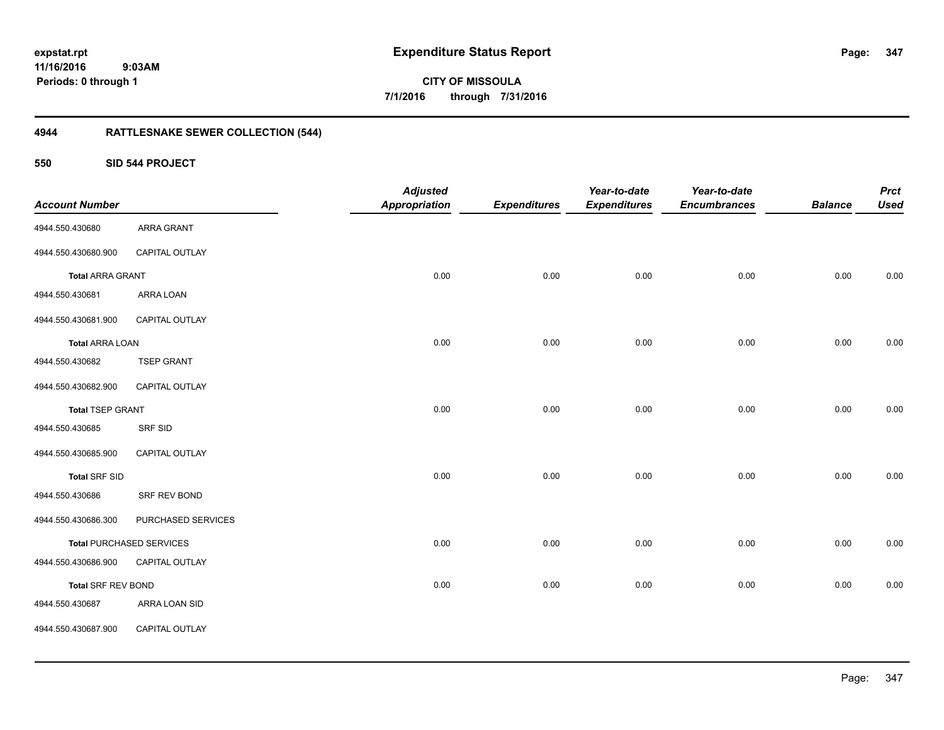**11/16/2016 9:03AM Periods: 0 through 1**

**CITY OF MISSOULA 7/1/2016 through 7/31/2016**

## **4944 RATTLESNAKE SEWER COLLECTION (544)**

**550 SID 544 PROJECT**

| <b>Account Number</b>     |                                 | <b>Adjusted</b><br><b>Appropriation</b> | <b>Expenditures</b> | Year-to-date<br><b>Expenditures</b> | Year-to-date<br><b>Encumbrances</b> | <b>Balance</b> | <b>Prct</b><br><b>Used</b> |
|---------------------------|---------------------------------|-----------------------------------------|---------------------|-------------------------------------|-------------------------------------|----------------|----------------------------|
| 4944.550.430680           | ARRA GRANT                      |                                         |                     |                                     |                                     |                |                            |
| 4944.550.430680.900       | CAPITAL OUTLAY                  |                                         |                     |                                     |                                     |                |                            |
| <b>Total ARRA GRANT</b>   |                                 | 0.00                                    | 0.00                | 0.00                                | 0.00                                | 0.00           | 0.00                       |
| 4944.550.430681           | ARRA LOAN                       |                                         |                     |                                     |                                     |                |                            |
| 4944.550.430681.900       | CAPITAL OUTLAY                  |                                         |                     |                                     |                                     |                |                            |
| <b>Total ARRA LOAN</b>    |                                 | 0.00                                    | 0.00                | 0.00                                | 0.00                                | 0.00           | 0.00                       |
| 4944.550.430682           | <b>TSEP GRANT</b>               |                                         |                     |                                     |                                     |                |                            |
| 4944.550.430682.900       | CAPITAL OUTLAY                  |                                         |                     |                                     |                                     |                |                            |
| <b>Total TSEP GRANT</b>   |                                 | 0.00                                    | 0.00                | 0.00                                | 0.00                                | 0.00           | 0.00                       |
| 4944.550.430685           | SRF SID                         |                                         |                     |                                     |                                     |                |                            |
| 4944.550.430685.900       | CAPITAL OUTLAY                  |                                         |                     |                                     |                                     |                |                            |
| <b>Total SRF SID</b>      |                                 | 0.00                                    | 0.00                | 0.00                                | 0.00                                | 0.00           | 0.00                       |
| 4944.550.430686           | SRF REV BOND                    |                                         |                     |                                     |                                     |                |                            |
| 4944.550.430686.300       | PURCHASED SERVICES              |                                         |                     |                                     |                                     |                |                            |
|                           | <b>Total PURCHASED SERVICES</b> | 0.00                                    | 0.00                | 0.00                                | 0.00                                | 0.00           | 0.00                       |
| 4944.550.430686.900       | CAPITAL OUTLAY                  |                                         |                     |                                     |                                     |                |                            |
| <b>Total SRF REV BOND</b> |                                 | 0.00                                    | 0.00                | 0.00                                | 0.00                                | 0.00           | 0.00                       |
| 4944.550.430687           | ARRA LOAN SID                   |                                         |                     |                                     |                                     |                |                            |
| 4944.550.430687.900       | CAPITAL OUTLAY                  |                                         |                     |                                     |                                     |                |                            |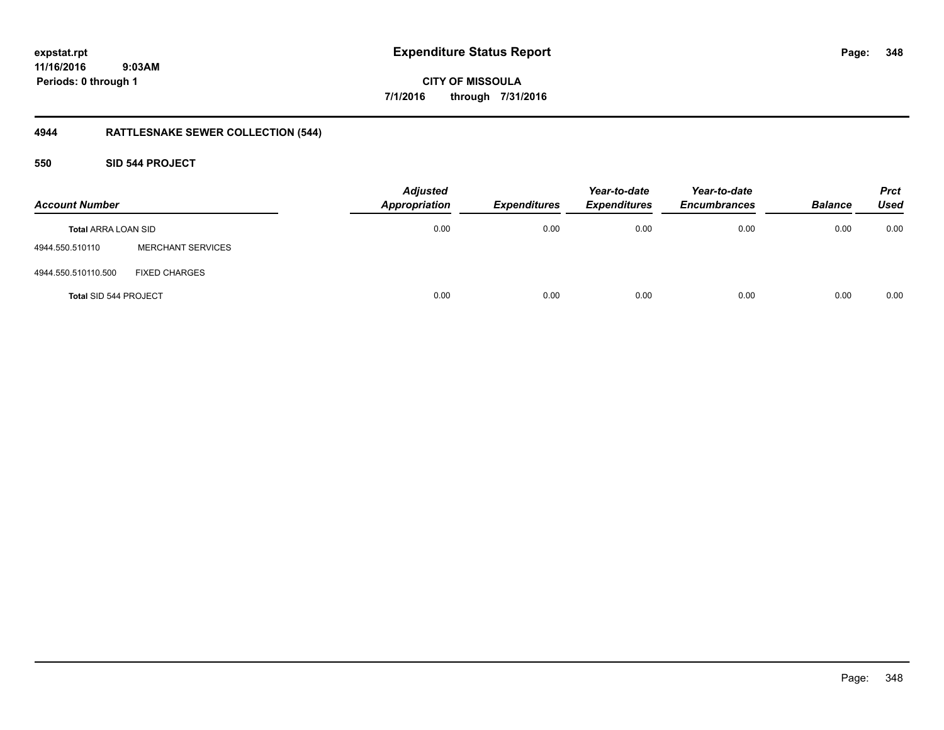**348**

**11/16/2016 9:03AM Periods: 0 through 1**

**CITY OF MISSOULA 7/1/2016 through 7/31/2016**

## **4944 RATTLESNAKE SEWER COLLECTION (544)**

**550 SID 544 PROJECT**

| <b>Account Number</b>      |                          | <b>Adjusted</b><br><b>Appropriation</b> | Expenditures | Year-to-date<br><b>Expenditures</b> | Year-to-date<br><b>Encumbrances</b> | <b>Balance</b> | <b>Prct</b><br>Used |
|----------------------------|--------------------------|-----------------------------------------|--------------|-------------------------------------|-------------------------------------|----------------|---------------------|
| <b>Total ARRA LOAN SID</b> |                          | 0.00                                    | 0.00         | 0.00                                | 0.00                                | 0.00           | 0.00                |
| 4944.550.510110            | <b>MERCHANT SERVICES</b> |                                         |              |                                     |                                     |                |                     |
| 4944.550.510110.500        | <b>FIXED CHARGES</b>     |                                         |              |                                     |                                     |                |                     |
| Total SID 544 PROJECT      |                          | 0.00                                    | 0.00         | 0.00                                | 0.00                                | 0.00           | 0.00                |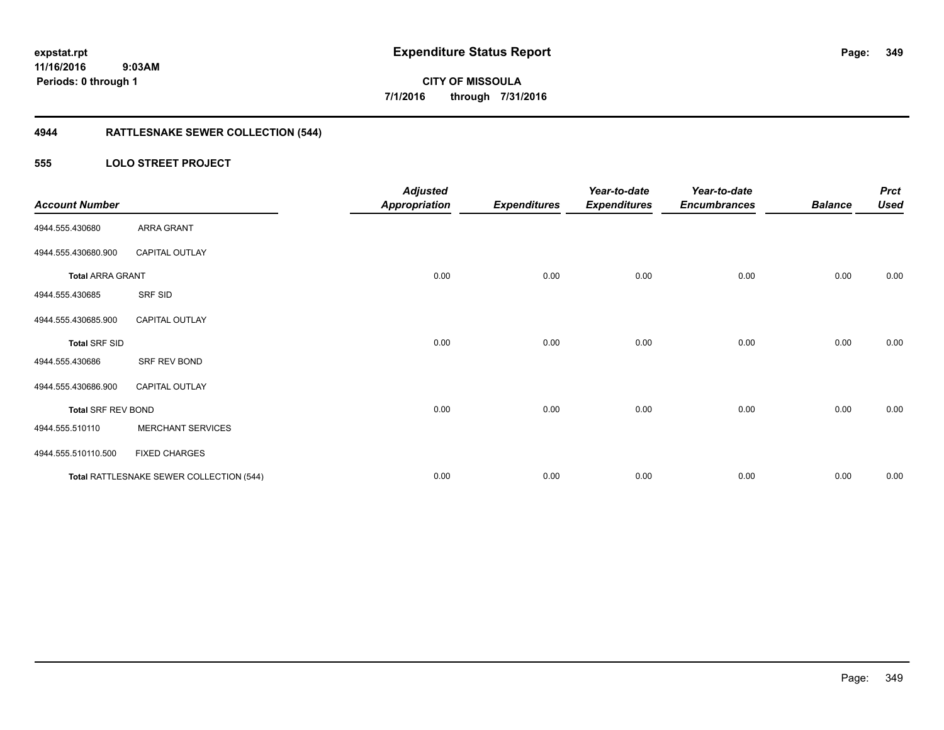**Periods: 0 through 1**

**CITY OF MISSOULA 7/1/2016 through 7/31/2016**

## **4944 RATTLESNAKE SEWER COLLECTION (544)**

### **555 LOLO STREET PROJECT**

| <b>Account Number</b>     |                                          | <b>Adjusted</b><br><b>Appropriation</b> | <b>Expenditures</b> | Year-to-date<br><b>Expenditures</b> | Year-to-date<br><b>Encumbrances</b> | <b>Balance</b> | <b>Prct</b><br><b>Used</b> |
|---------------------------|------------------------------------------|-----------------------------------------|---------------------|-------------------------------------|-------------------------------------|----------------|----------------------------|
| 4944.555.430680           | ARRA GRANT                               |                                         |                     |                                     |                                     |                |                            |
| 4944.555.430680.900       | <b>CAPITAL OUTLAY</b>                    |                                         |                     |                                     |                                     |                |                            |
| <b>Total ARRA GRANT</b>   |                                          | 0.00                                    | 0.00                | 0.00                                | 0.00                                | 0.00           | 0.00                       |
| 4944.555.430685           | SRF SID                                  |                                         |                     |                                     |                                     |                |                            |
| 4944.555.430685.900       | <b>CAPITAL OUTLAY</b>                    |                                         |                     |                                     |                                     |                |                            |
| <b>Total SRF SID</b>      |                                          | 0.00                                    | 0.00                | 0.00                                | 0.00                                | 0.00           | 0.00                       |
| 4944.555.430686           | SRF REV BOND                             |                                         |                     |                                     |                                     |                |                            |
| 4944.555.430686.900       | <b>CAPITAL OUTLAY</b>                    |                                         |                     |                                     |                                     |                |                            |
| <b>Total SRF REV BOND</b> |                                          | 0.00                                    | 0.00                | 0.00                                | 0.00                                | 0.00           | 0.00                       |
| 4944.555.510110           | <b>MERCHANT SERVICES</b>                 |                                         |                     |                                     |                                     |                |                            |
| 4944.555.510110.500       | <b>FIXED CHARGES</b>                     |                                         |                     |                                     |                                     |                |                            |
|                           | Total RATTLESNAKE SEWER COLLECTION (544) | 0.00                                    | 0.00                | 0.00                                | 0.00                                | 0.00           | 0.00                       |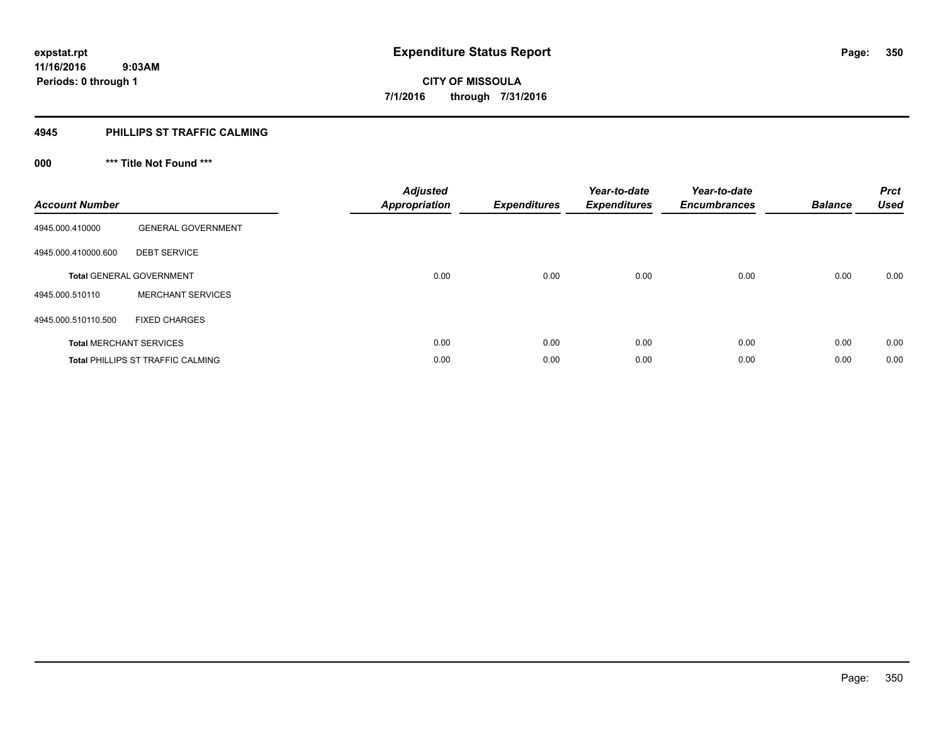#### **4945 PHILLIPS ST TRAFFIC CALMING**

## **000 \*\*\* Title Not Found \*\*\***

| <b>Account Number</b> |                                          | <b>Adjusted</b><br><b>Appropriation</b> | <b>Expenditures</b> | Year-to-date<br><b>Expenditures</b> | Year-to-date<br><b>Encumbrances</b> | <b>Balance</b> | <b>Prct</b><br><b>Used</b> |
|-----------------------|------------------------------------------|-----------------------------------------|---------------------|-------------------------------------|-------------------------------------|----------------|----------------------------|
| 4945.000.410000       | <b>GENERAL GOVERNMENT</b>                |                                         |                     |                                     |                                     |                |                            |
| 4945.000.410000.600   | <b>DEBT SERVICE</b>                      |                                         |                     |                                     |                                     |                |                            |
|                       | <b>Total GENERAL GOVERNMENT</b>          | 0.00                                    | 0.00                | 0.00                                | 0.00                                | 0.00           | 0.00                       |
| 4945.000.510110       | <b>MERCHANT SERVICES</b>                 |                                         |                     |                                     |                                     |                |                            |
| 4945.000.510110.500   | <b>FIXED CHARGES</b>                     |                                         |                     |                                     |                                     |                |                            |
|                       | <b>Total MERCHANT SERVICES</b>           | 0.00                                    | 0.00                | 0.00                                | 0.00                                | 0.00           | 0.00                       |
|                       | <b>Total PHILLIPS ST TRAFFIC CALMING</b> | 0.00                                    | 0.00                | 0.00                                | 0.00                                | 0.00           | 0.00                       |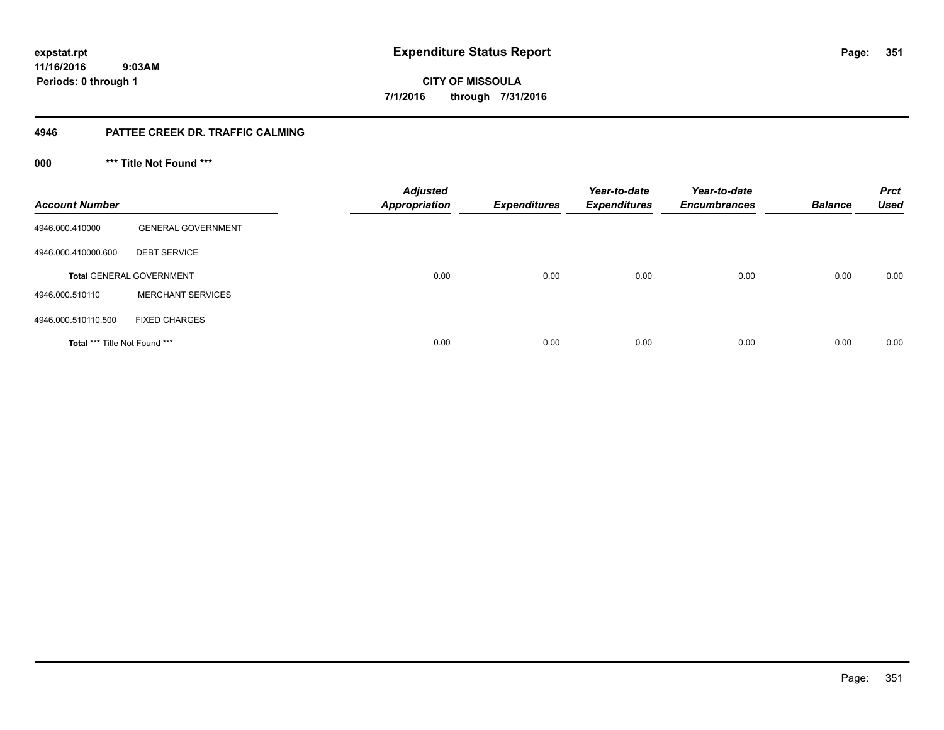**11/16/2016 9:03AM Periods: 0 through 1**

**351**

**CITY OF MISSOULA 7/1/2016 through 7/31/2016**

#### **4946 PATTEE CREEK DR. TRAFFIC CALMING**

**000 \*\*\* Title Not Found \*\*\***

| <b>Account Number</b>         |                                 | <b>Adjusted</b><br><b>Appropriation</b> | <b>Expenditures</b> | Year-to-date<br><b>Expenditures</b> | Year-to-date<br><b>Encumbrances</b> | <b>Balance</b> | <b>Prct</b><br><b>Used</b> |
|-------------------------------|---------------------------------|-----------------------------------------|---------------------|-------------------------------------|-------------------------------------|----------------|----------------------------|
| 4946.000.410000               | <b>GENERAL GOVERNMENT</b>       |                                         |                     |                                     |                                     |                |                            |
| 4946.000.410000.600           | <b>DEBT SERVICE</b>             |                                         |                     |                                     |                                     |                |                            |
|                               | <b>Total GENERAL GOVERNMENT</b> | 0.00                                    | 0.00                | 0.00                                | 0.00                                | 0.00           | 0.00                       |
| 4946.000.510110               | <b>MERCHANT SERVICES</b>        |                                         |                     |                                     |                                     |                |                            |
| 4946.000.510110.500           | <b>FIXED CHARGES</b>            |                                         |                     |                                     |                                     |                |                            |
| Total *** Title Not Found *** |                                 | 0.00                                    | 0.00                | 0.00                                | 0.00                                | 0.00           | 0.00                       |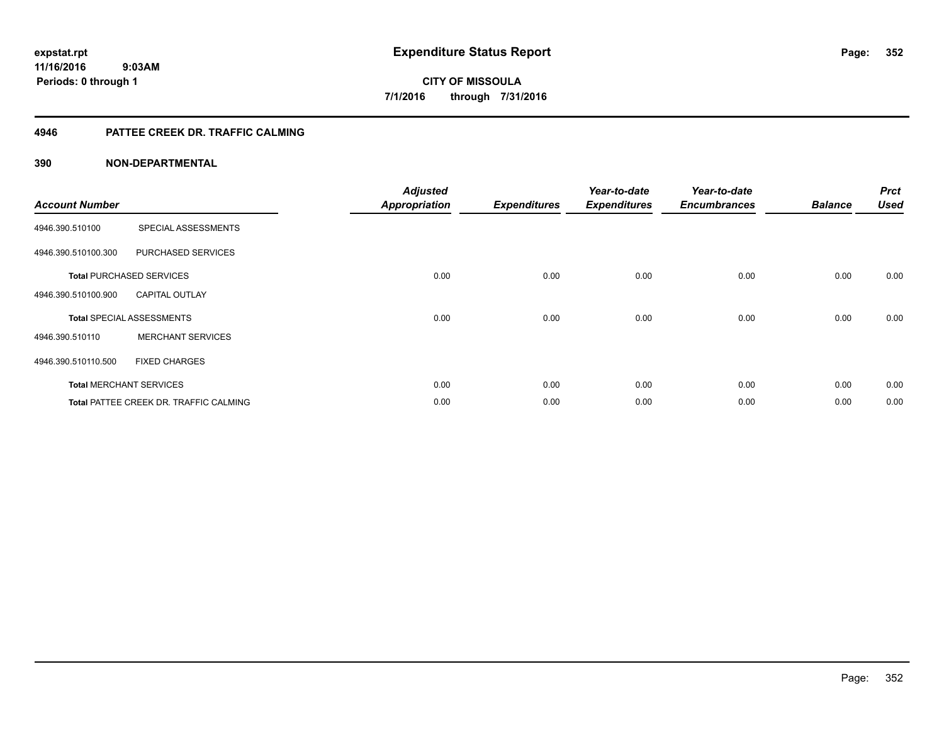#### **4946 PATTEE CREEK DR. TRAFFIC CALMING**

| <b>Account Number</b> |                                               | <b>Adjusted</b><br><b>Appropriation</b> | <b>Expenditures</b> | Year-to-date<br><b>Expenditures</b> | Year-to-date<br><b>Encumbrances</b> | <b>Balance</b> | <b>Prct</b><br><b>Used</b> |
|-----------------------|-----------------------------------------------|-----------------------------------------|---------------------|-------------------------------------|-------------------------------------|----------------|----------------------------|
| 4946.390.510100       | SPECIAL ASSESSMENTS                           |                                         |                     |                                     |                                     |                |                            |
| 4946.390.510100.300   | PURCHASED SERVICES                            |                                         |                     |                                     |                                     |                |                            |
|                       | <b>Total PURCHASED SERVICES</b>               | 0.00                                    | 0.00                | 0.00                                | 0.00                                | 0.00           | 0.00                       |
| 4946.390.510100.900   | <b>CAPITAL OUTLAY</b>                         |                                         |                     |                                     |                                     |                |                            |
|                       | <b>Total SPECIAL ASSESSMENTS</b>              | 0.00                                    | 0.00                | 0.00                                | 0.00                                | 0.00           | 0.00                       |
| 4946.390.510110       | <b>MERCHANT SERVICES</b>                      |                                         |                     |                                     |                                     |                |                            |
| 4946.390.510110.500   | <b>FIXED CHARGES</b>                          |                                         |                     |                                     |                                     |                |                            |
|                       | <b>Total MERCHANT SERVICES</b>                | 0.00                                    | 0.00                | 0.00                                | 0.00                                | 0.00           | 0.00                       |
|                       | <b>Total PATTEE CREEK DR. TRAFFIC CALMING</b> | 0.00                                    | 0.00                | 0.00                                | 0.00                                | 0.00           | 0.00                       |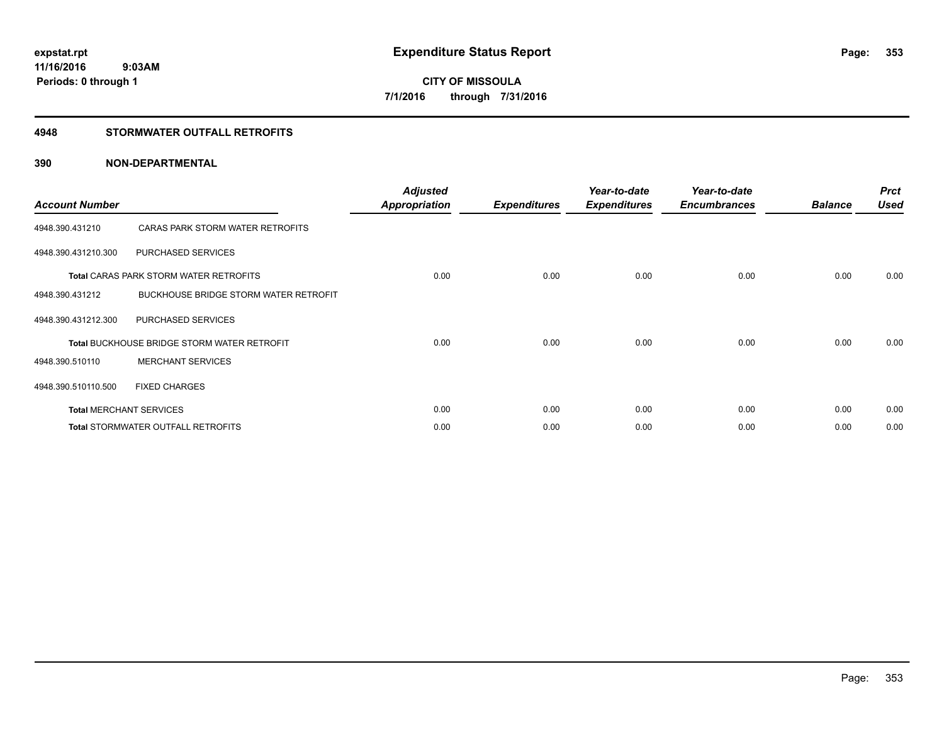#### **4948 STORMWATER OUTFALL RETROFITS**

| <b>Account Number</b> |                                                    | <b>Adjusted</b><br><b>Appropriation</b> | <b>Expenditures</b> | Year-to-date<br><b>Expenditures</b> | Year-to-date<br><b>Encumbrances</b> | <b>Balance</b> | <b>Prct</b><br><b>Used</b> |
|-----------------------|----------------------------------------------------|-----------------------------------------|---------------------|-------------------------------------|-------------------------------------|----------------|----------------------------|
| 4948.390.431210       | CARAS PARK STORM WATER RETROFITS                   |                                         |                     |                                     |                                     |                |                            |
| 4948.390.431210.300   | <b>PURCHASED SERVICES</b>                          |                                         |                     |                                     |                                     |                |                            |
|                       | <b>Total CARAS PARK STORM WATER RETROFITS</b>      | 0.00                                    | 0.00                | 0.00                                | 0.00                                | 0.00           | 0.00                       |
| 4948.390.431212       | <b>BUCKHOUSE BRIDGE STORM WATER RETROFIT</b>       |                                         |                     |                                     |                                     |                |                            |
| 4948.390.431212.300   | <b>PURCHASED SERVICES</b>                          |                                         |                     |                                     |                                     |                |                            |
|                       | <b>Total BUCKHOUSE BRIDGE STORM WATER RETROFIT</b> | 0.00                                    | 0.00                | 0.00                                | 0.00                                | 0.00           | 0.00                       |
| 4948.390.510110       | <b>MERCHANT SERVICES</b>                           |                                         |                     |                                     |                                     |                |                            |
| 4948.390.510110.500   | <b>FIXED CHARGES</b>                               |                                         |                     |                                     |                                     |                |                            |
|                       | <b>Total MERCHANT SERVICES</b>                     | 0.00                                    | 0.00                | 0.00                                | 0.00                                | 0.00           | 0.00                       |
|                       | Total STORMWATER OUTFALL RETROFITS                 | 0.00                                    | 0.00                | 0.00                                | 0.00                                | 0.00           | 0.00                       |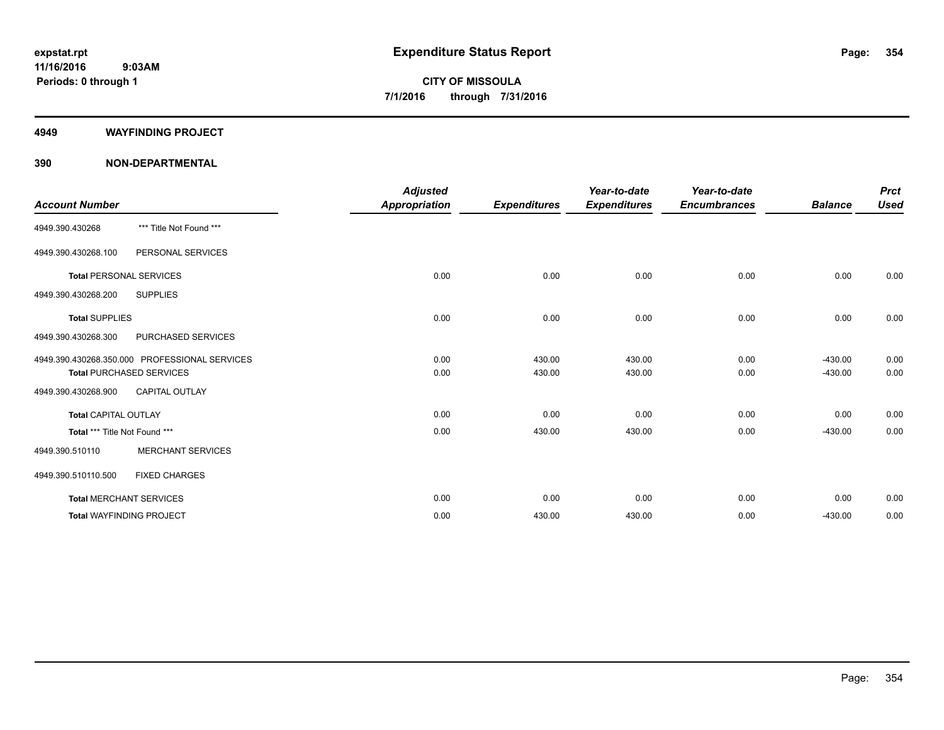#### **4949 WAYFINDING PROJECT**

|                                 |                                               | <b>Adjusted</b> |                     | Year-to-date        | Year-to-date        |                | <b>Prct</b> |
|---------------------------------|-----------------------------------------------|-----------------|---------------------|---------------------|---------------------|----------------|-------------|
| <b>Account Number</b>           |                                               | Appropriation   | <b>Expenditures</b> | <b>Expenditures</b> | <b>Encumbrances</b> | <b>Balance</b> | <b>Used</b> |
| 4949.390.430268                 | *** Title Not Found ***                       |                 |                     |                     |                     |                |             |
| 4949.390.430268.100             | PERSONAL SERVICES                             |                 |                     |                     |                     |                |             |
| <b>Total PERSONAL SERVICES</b>  |                                               | 0.00            | 0.00                | 0.00                | 0.00                | 0.00           | 0.00        |
| 4949.390.430268.200             | <b>SUPPLIES</b>                               |                 |                     |                     |                     |                |             |
| <b>Total SUPPLIES</b>           |                                               | 0.00            | 0.00                | 0.00                | 0.00                | 0.00           | 0.00        |
| 4949.390.430268.300             | PURCHASED SERVICES                            |                 |                     |                     |                     |                |             |
|                                 | 4949.390.430268.350.000 PROFESSIONAL SERVICES | 0.00            | 430.00              | 430.00              | 0.00                | $-430.00$      | 0.00        |
|                                 | <b>Total PURCHASED SERVICES</b>               | 0.00            | 430.00              | 430.00              | 0.00                | $-430.00$      | 0.00        |
| 4949.390.430268.900             | <b>CAPITAL OUTLAY</b>                         |                 |                     |                     |                     |                |             |
| <b>Total CAPITAL OUTLAY</b>     |                                               | 0.00            | 0.00                | 0.00                | 0.00                | 0.00           | 0.00        |
| Total *** Title Not Found ***   |                                               | 0.00            | 430.00              | 430.00              | 0.00                | $-430.00$      | 0.00        |
| 4949.390.510110                 | <b>MERCHANT SERVICES</b>                      |                 |                     |                     |                     |                |             |
| 4949.390.510110.500             | <b>FIXED CHARGES</b>                          |                 |                     |                     |                     |                |             |
| <b>Total MERCHANT SERVICES</b>  |                                               | 0.00            | 0.00                | 0.00                | 0.00                | 0.00           | 0.00        |
| <b>Total WAYFINDING PROJECT</b> |                                               | 0.00            | 430.00              | 430.00              | 0.00                | $-430.00$      | 0.00        |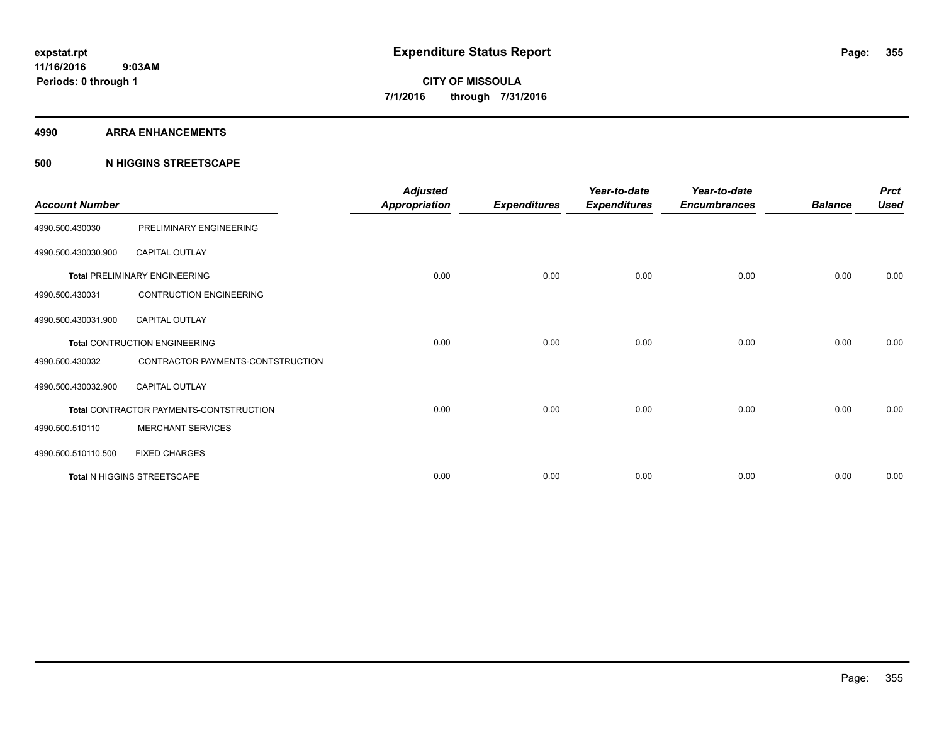#### **4990 ARRA ENHANCEMENTS**

#### **500 N HIGGINS STREETSCAPE**

| <b>Account Number</b> |                                         | <b>Adjusted</b><br><b>Appropriation</b> | <b>Expenditures</b> | Year-to-date<br><b>Expenditures</b> | Year-to-date<br><b>Encumbrances</b> | <b>Balance</b> | <b>Prct</b><br><b>Used</b> |
|-----------------------|-----------------------------------------|-----------------------------------------|---------------------|-------------------------------------|-------------------------------------|----------------|----------------------------|
| 4990.500.430030       | PRELIMINARY ENGINEERING                 |                                         |                     |                                     |                                     |                |                            |
| 4990.500.430030.900   | <b>CAPITAL OUTLAY</b>                   |                                         |                     |                                     |                                     |                |                            |
|                       | <b>Total PRELIMINARY ENGINEERING</b>    | 0.00                                    | 0.00                | 0.00                                | 0.00                                | 0.00           | 0.00                       |
| 4990.500.430031       | <b>CONTRUCTION ENGINEERING</b>          |                                         |                     |                                     |                                     |                |                            |
| 4990.500.430031.900   | <b>CAPITAL OUTLAY</b>                   |                                         |                     |                                     |                                     |                |                            |
|                       | <b>Total CONTRUCTION ENGINEERING</b>    | 0.00                                    | 0.00                | 0.00                                | 0.00                                | 0.00           | 0.00                       |
| 4990.500.430032       | CONTRACTOR PAYMENTS-CONTSTRUCTION       |                                         |                     |                                     |                                     |                |                            |
| 4990.500.430032.900   | <b>CAPITAL OUTLAY</b>                   |                                         |                     |                                     |                                     |                |                            |
|                       | Total CONTRACTOR PAYMENTS-CONTSTRUCTION | 0.00                                    | 0.00                | 0.00                                | 0.00                                | 0.00           | 0.00                       |
| 4990.500.510110       | <b>MERCHANT SERVICES</b>                |                                         |                     |                                     |                                     |                |                            |
| 4990.500.510110.500   | <b>FIXED CHARGES</b>                    |                                         |                     |                                     |                                     |                |                            |
|                       | Total N HIGGINS STREETSCAPE             | 0.00                                    | 0.00                | 0.00                                | 0.00                                | 0.00           | 0.00                       |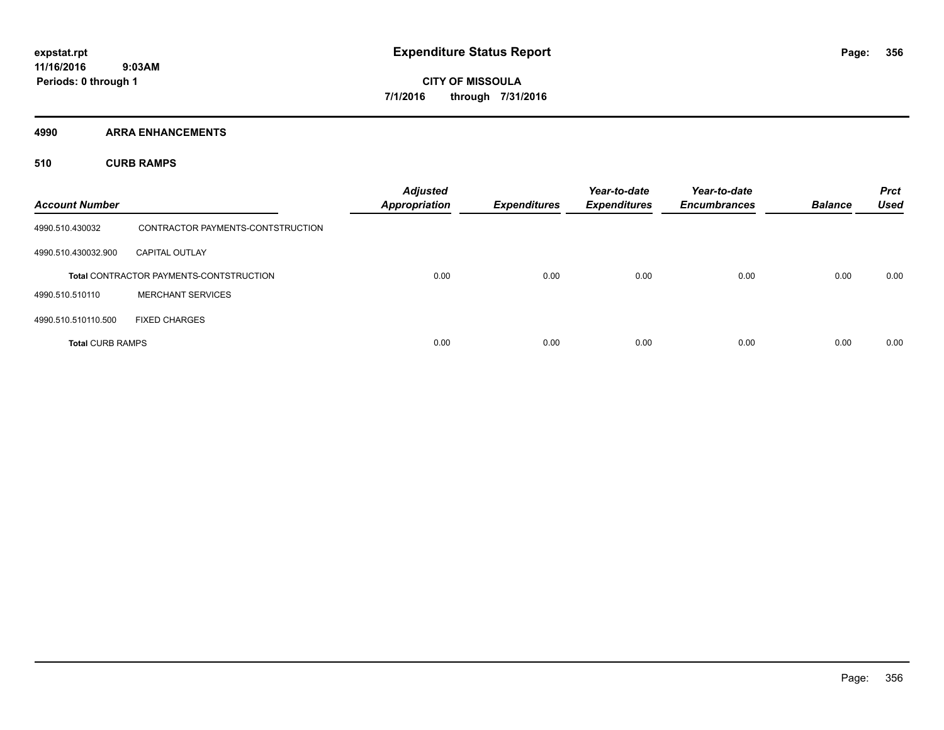**4990 ARRA ENHANCEMENTS**

**510 CURB RAMPS**

| <b>Account Number</b>   |                                                | <b>Adjusted</b><br><b>Appropriation</b> | <b>Expenditures</b> | Year-to-date<br><b>Expenditures</b> | Year-to-date<br><b>Encumbrances</b> | <b>Balance</b> | <b>Prct</b><br><b>Used</b> |
|-------------------------|------------------------------------------------|-----------------------------------------|---------------------|-------------------------------------|-------------------------------------|----------------|----------------------------|
| 4990.510.430032         | CONTRACTOR PAYMENTS-CONTSTRUCTION              |                                         |                     |                                     |                                     |                |                            |
| 4990.510.430032.900     | <b>CAPITAL OUTLAY</b>                          |                                         |                     |                                     |                                     |                |                            |
|                         | <b>Total CONTRACTOR PAYMENTS-CONTSTRUCTION</b> | 0.00                                    | 0.00                | 0.00                                | 0.00                                | 0.00           | 0.00                       |
| 4990.510.510110         | <b>MERCHANT SERVICES</b>                       |                                         |                     |                                     |                                     |                |                            |
| 4990.510.510110.500     | <b>FIXED CHARGES</b>                           |                                         |                     |                                     |                                     |                |                            |
| <b>Total CURB RAMPS</b> |                                                | 0.00                                    | 0.00                | 0.00                                | 0.00                                | 0.00           | 0.00                       |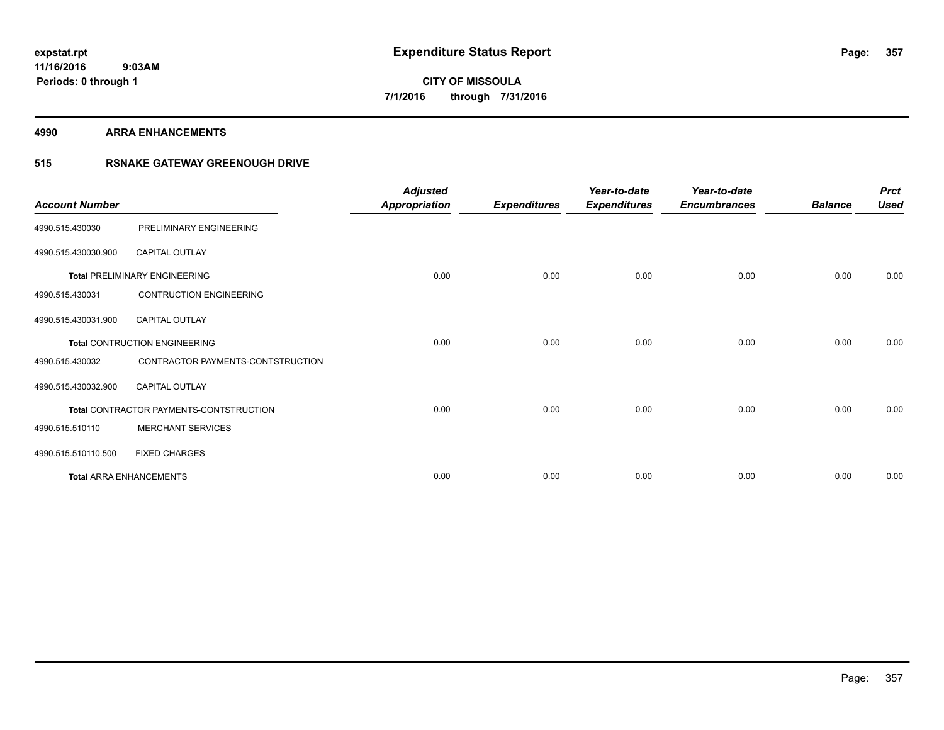**4990 ARRA ENHANCEMENTS**

### **515 RSNAKE GATEWAY GREENOUGH DRIVE**

| <b>Account Number</b> |                                         | <b>Adjusted</b><br><b>Appropriation</b> | <b>Expenditures</b> | Year-to-date<br><b>Expenditures</b> | Year-to-date<br><b>Encumbrances</b> | <b>Balance</b> | <b>Prct</b><br><b>Used</b> |
|-----------------------|-----------------------------------------|-----------------------------------------|---------------------|-------------------------------------|-------------------------------------|----------------|----------------------------|
| 4990.515.430030       | PRELIMINARY ENGINEERING                 |                                         |                     |                                     |                                     |                |                            |
| 4990.515.430030.900   | CAPITAL OUTLAY                          |                                         |                     |                                     |                                     |                |                            |
|                       | <b>Total PRELIMINARY ENGINEERING</b>    | 0.00                                    | 0.00                | 0.00                                | 0.00                                | 0.00           | 0.00                       |
| 4990.515.430031       | <b>CONTRUCTION ENGINEERING</b>          |                                         |                     |                                     |                                     |                |                            |
| 4990.515.430031.900   | <b>CAPITAL OUTLAY</b>                   |                                         |                     |                                     |                                     |                |                            |
|                       | <b>Total CONTRUCTION ENGINEERING</b>    | 0.00                                    | 0.00                | 0.00                                | 0.00                                | 0.00           | 0.00                       |
| 4990.515.430032       | CONTRACTOR PAYMENTS-CONTSTRUCTION       |                                         |                     |                                     |                                     |                |                            |
| 4990.515.430032.900   | <b>CAPITAL OUTLAY</b>                   |                                         |                     |                                     |                                     |                |                            |
|                       | Total CONTRACTOR PAYMENTS-CONTSTRUCTION | 0.00                                    | 0.00                | 0.00                                | 0.00                                | 0.00           | 0.00                       |
| 4990.515.510110       | <b>MERCHANT SERVICES</b>                |                                         |                     |                                     |                                     |                |                            |
| 4990.515.510110.500   | <b>FIXED CHARGES</b>                    |                                         |                     |                                     |                                     |                |                            |
|                       | <b>Total ARRA ENHANCEMENTS</b>          | 0.00                                    | 0.00                | 0.00                                | 0.00                                | 0.00           | 0.00                       |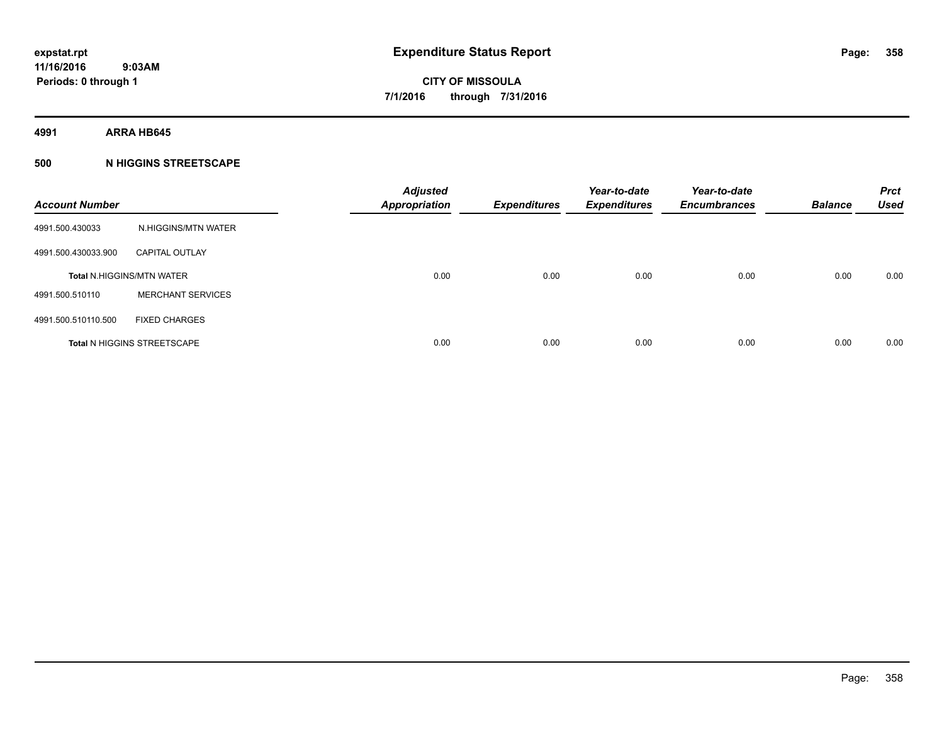**4991 ARRA HB645**

#### **500 N HIGGINS STREETSCAPE**

| <b>Account Number</b> |                                    | <b>Adjusted</b><br><b>Appropriation</b> | <b>Expenditures</b> | Year-to-date<br><b>Expenditures</b> | Year-to-date<br><b>Encumbrances</b> | <b>Balance</b> | <b>Prct</b><br><b>Used</b> |
|-----------------------|------------------------------------|-----------------------------------------|---------------------|-------------------------------------|-------------------------------------|----------------|----------------------------|
| 4991.500.430033       | N.HIGGINS/MTN WATER                |                                         |                     |                                     |                                     |                |                            |
| 4991.500.430033.900   | <b>CAPITAL OUTLAY</b>              |                                         |                     |                                     |                                     |                |                            |
|                       | <b>Total N.HIGGINS/MTN WATER</b>   | 0.00                                    | 0.00                | 0.00                                | 0.00                                | 0.00           | 0.00                       |
| 4991.500.510110       | <b>MERCHANT SERVICES</b>           |                                         |                     |                                     |                                     |                |                            |
| 4991.500.510110.500   | <b>FIXED CHARGES</b>               |                                         |                     |                                     |                                     |                |                            |
|                       | <b>Total N HIGGINS STREETSCAPE</b> | 0.00                                    | 0.00                | 0.00                                | 0.00                                | 0.00           | 0.00                       |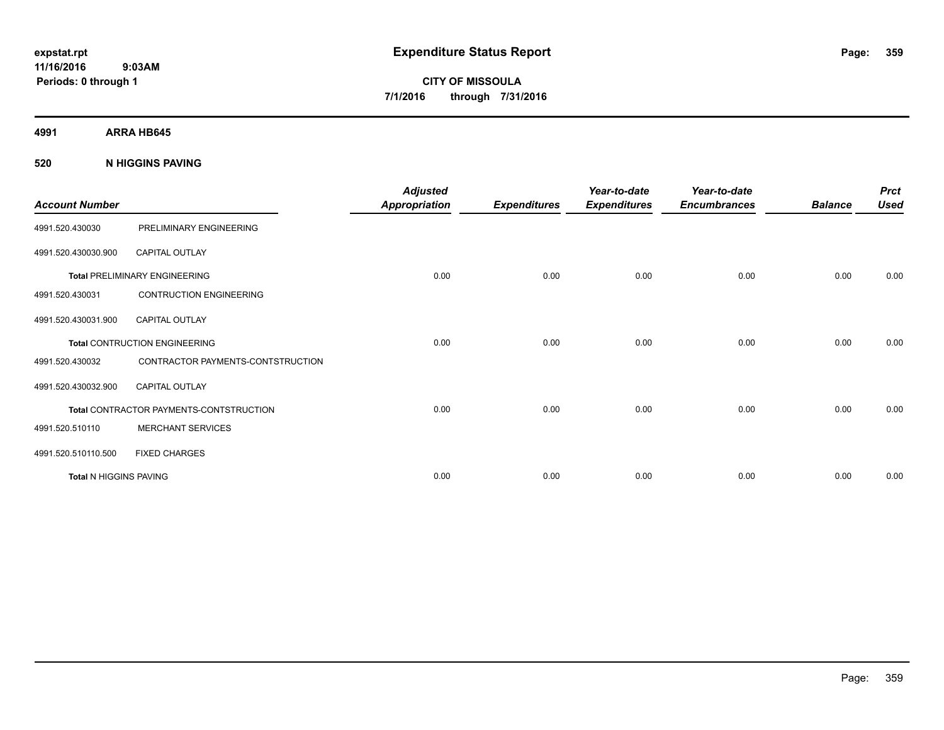**11/16/2016 9:03AM Periods: 0 through 1**

**CITY OF MISSOULA 7/1/2016 through 7/31/2016**

**4991 ARRA HB645**

#### **520 N HIGGINS PAVING**

| <b>Account Number</b>  |                                         | <b>Adjusted</b><br>Appropriation | <b>Expenditures</b> | Year-to-date<br><b>Expenditures</b> | Year-to-date<br><b>Encumbrances</b> | <b>Balance</b> | <b>Prct</b><br><b>Used</b> |
|------------------------|-----------------------------------------|----------------------------------|---------------------|-------------------------------------|-------------------------------------|----------------|----------------------------|
| 4991.520.430030        | PRELIMINARY ENGINEERING                 |                                  |                     |                                     |                                     |                |                            |
| 4991.520.430030.900    | <b>CAPITAL OUTLAY</b>                   |                                  |                     |                                     |                                     |                |                            |
|                        | <b>Total PRELIMINARY ENGINEERING</b>    | 0.00                             | 0.00                | 0.00                                | 0.00                                | 0.00           | 0.00                       |
| 4991.520.430031        | <b>CONTRUCTION ENGINEERING</b>          |                                  |                     |                                     |                                     |                |                            |
| 4991.520.430031.900    | <b>CAPITAL OUTLAY</b>                   |                                  |                     |                                     |                                     |                |                            |
|                        | <b>Total CONTRUCTION ENGINEERING</b>    | 0.00                             | 0.00                | 0.00                                | 0.00                                | 0.00           | 0.00                       |
| 4991.520.430032        | CONTRACTOR PAYMENTS-CONTSTRUCTION       |                                  |                     |                                     |                                     |                |                            |
| 4991.520.430032.900    | <b>CAPITAL OUTLAY</b>                   |                                  |                     |                                     |                                     |                |                            |
|                        | Total CONTRACTOR PAYMENTS-CONTSTRUCTION | 0.00                             | 0.00                | 0.00                                | 0.00                                | 0.00           | 0.00                       |
| 4991.520.510110        | <b>MERCHANT SERVICES</b>                |                                  |                     |                                     |                                     |                |                            |
| 4991.520.510110.500    | <b>FIXED CHARGES</b>                    |                                  |                     |                                     |                                     |                |                            |
| Total N HIGGINS PAVING |                                         | 0.00                             | 0.00                | 0.00                                | 0.00                                | 0.00           | 0.00                       |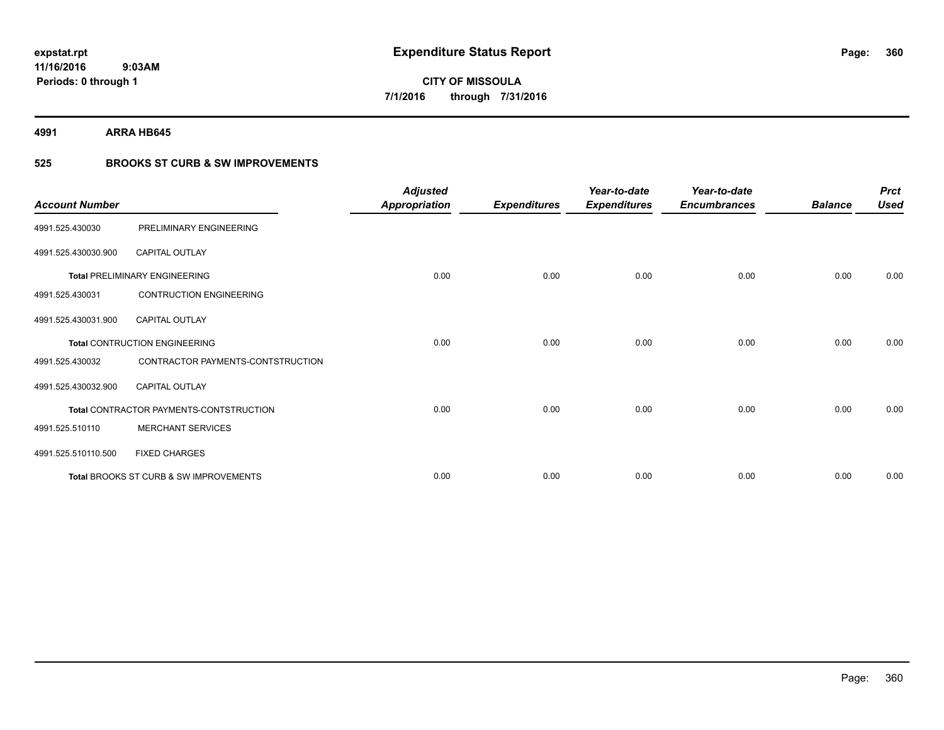**4991 ARRA HB645**

### **525 BROOKS ST CURB & SW IMPROVEMENTS**

| <b>Account Number</b> |                                         | <b>Adjusted</b><br><b>Appropriation</b> | <b>Expenditures</b> | Year-to-date<br><b>Expenditures</b> | Year-to-date<br><b>Encumbrances</b> | <b>Balance</b> | <b>Prct</b><br><b>Used</b> |
|-----------------------|-----------------------------------------|-----------------------------------------|---------------------|-------------------------------------|-------------------------------------|----------------|----------------------------|
| 4991.525.430030       | PRELIMINARY ENGINEERING                 |                                         |                     |                                     |                                     |                |                            |
| 4991.525.430030.900   | <b>CAPITAL OUTLAY</b>                   |                                         |                     |                                     |                                     |                |                            |
|                       | <b>Total PRELIMINARY ENGINEERING</b>    | 0.00                                    | 0.00                | 0.00                                | 0.00                                | 0.00           | 0.00                       |
| 4991.525.430031       | <b>CONTRUCTION ENGINEERING</b>          |                                         |                     |                                     |                                     |                |                            |
| 4991.525.430031.900   | <b>CAPITAL OUTLAY</b>                   |                                         |                     |                                     |                                     |                |                            |
|                       | <b>Total CONTRUCTION ENGINEERING</b>    | 0.00                                    | 0.00                | 0.00                                | 0.00                                | 0.00           | 0.00                       |
| 4991.525.430032       | CONTRACTOR PAYMENTS-CONTSTRUCTION       |                                         |                     |                                     |                                     |                |                            |
| 4991.525.430032.900   | <b>CAPITAL OUTLAY</b>                   |                                         |                     |                                     |                                     |                |                            |
|                       | Total CONTRACTOR PAYMENTS-CONTSTRUCTION | 0.00                                    | 0.00                | 0.00                                | 0.00                                | 0.00           | 0.00                       |
| 4991.525.510110       | <b>MERCHANT SERVICES</b>                |                                         |                     |                                     |                                     |                |                            |
| 4991.525.510110.500   | <b>FIXED CHARGES</b>                    |                                         |                     |                                     |                                     |                |                            |
|                       | Total BROOKS ST CURB & SW IMPROVEMENTS  | 0.00                                    | 0.00                | 0.00                                | 0.00                                | 0.00           | 0.00                       |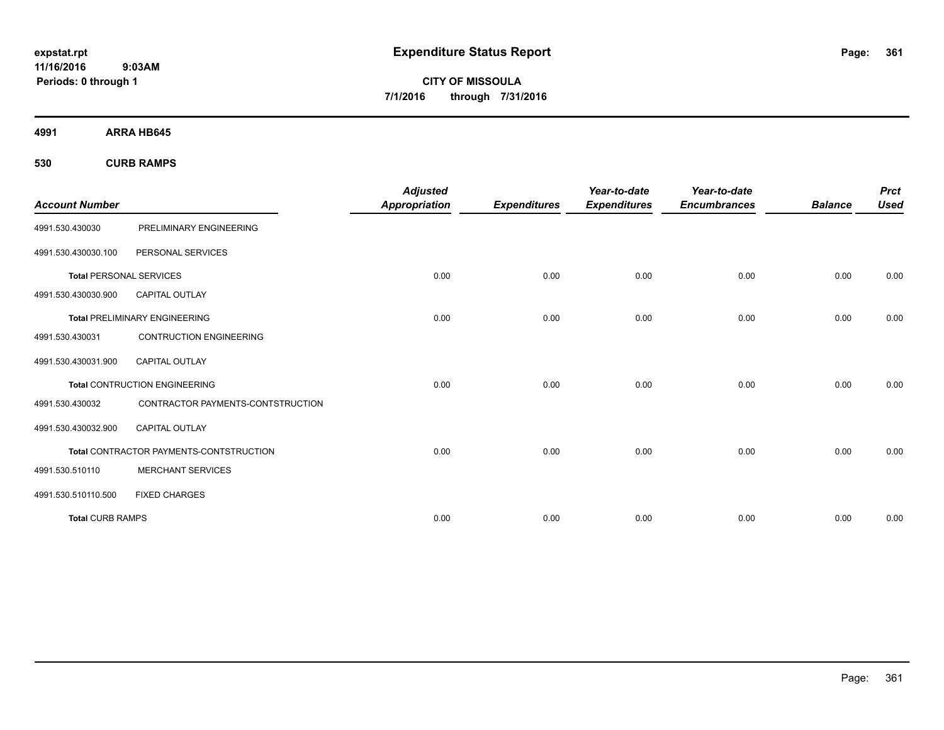**CITY OF MISSOULA 7/1/2016 through 7/31/2016**

**4991 ARRA HB645**

**530 CURB RAMPS**

| <b>Account Number</b>          |                                                | <b>Adjusted</b><br><b>Appropriation</b> | <b>Expenditures</b> | Year-to-date<br><b>Expenditures</b> | Year-to-date<br><b>Encumbrances</b> | <b>Balance</b> | <b>Prct</b><br><b>Used</b> |
|--------------------------------|------------------------------------------------|-----------------------------------------|---------------------|-------------------------------------|-------------------------------------|----------------|----------------------------|
| 4991.530.430030                | PRELIMINARY ENGINEERING                        |                                         |                     |                                     |                                     |                |                            |
| 4991.530.430030.100            | PERSONAL SERVICES                              |                                         |                     |                                     |                                     |                |                            |
| <b>Total PERSONAL SERVICES</b> |                                                | 0.00                                    | 0.00                | 0.00                                | 0.00                                | 0.00           | 0.00                       |
| 4991.530.430030.900            | <b>CAPITAL OUTLAY</b>                          |                                         |                     |                                     |                                     |                |                            |
|                                | <b>Total PRELIMINARY ENGINEERING</b>           | 0.00                                    | 0.00                | 0.00                                | 0.00                                | 0.00           | 0.00                       |
| 4991.530.430031                | <b>CONTRUCTION ENGINEERING</b>                 |                                         |                     |                                     |                                     |                |                            |
| 4991.530.430031.900            | <b>CAPITAL OUTLAY</b>                          |                                         |                     |                                     |                                     |                |                            |
|                                | <b>Total CONTRUCTION ENGINEERING</b>           | 0.00                                    | 0.00                | 0.00                                | 0.00                                | 0.00           | 0.00                       |
| 4991.530.430032                | CONTRACTOR PAYMENTS-CONTSTRUCTION              |                                         |                     |                                     |                                     |                |                            |
| 4991.530.430032.900            | <b>CAPITAL OUTLAY</b>                          |                                         |                     |                                     |                                     |                |                            |
|                                | <b>Total CONTRACTOR PAYMENTS-CONTSTRUCTION</b> | 0.00                                    | 0.00                | 0.00                                | 0.00                                | 0.00           | 0.00                       |
| 4991.530.510110                | <b>MERCHANT SERVICES</b>                       |                                         |                     |                                     |                                     |                |                            |
| 4991.530.510110.500            | <b>FIXED CHARGES</b>                           |                                         |                     |                                     |                                     |                |                            |
| <b>Total CURB RAMPS</b>        |                                                | 0.00                                    | 0.00                | 0.00                                | 0.00                                | 0.00           | 0.00                       |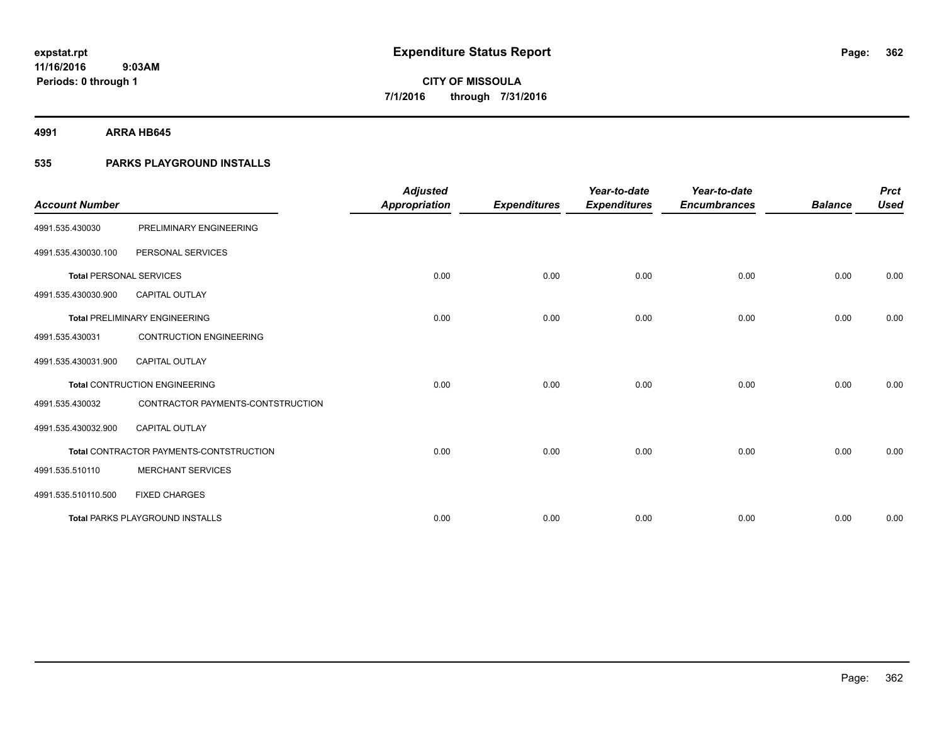**4991 ARRA HB645**

### **535 PARKS PLAYGROUND INSTALLS**

| <b>Account Number</b>          |                                         | <b>Adjusted</b><br><b>Appropriation</b> | <b>Expenditures</b> | Year-to-date<br><b>Expenditures</b> | Year-to-date<br><b>Encumbrances</b> | <b>Balance</b> | <b>Prct</b><br><b>Used</b> |
|--------------------------------|-----------------------------------------|-----------------------------------------|---------------------|-------------------------------------|-------------------------------------|----------------|----------------------------|
| 4991.535.430030                | PRELIMINARY ENGINEERING                 |                                         |                     |                                     |                                     |                |                            |
| 4991.535.430030.100            | PERSONAL SERVICES                       |                                         |                     |                                     |                                     |                |                            |
| <b>Total PERSONAL SERVICES</b> |                                         | 0.00                                    | 0.00                | 0.00                                | 0.00                                | 0.00           | 0.00                       |
| 4991.535.430030.900            | <b>CAPITAL OUTLAY</b>                   |                                         |                     |                                     |                                     |                |                            |
|                                | <b>Total PRELIMINARY ENGINEERING</b>    | 0.00                                    | 0.00                | 0.00                                | 0.00                                | 0.00           | 0.00                       |
| 4991.535.430031                | <b>CONTRUCTION ENGINEERING</b>          |                                         |                     |                                     |                                     |                |                            |
| 4991.535.430031.900            | CAPITAL OUTLAY                          |                                         |                     |                                     |                                     |                |                            |
|                                | <b>Total CONTRUCTION ENGINEERING</b>    | 0.00                                    | 0.00                | 0.00                                | 0.00                                | 0.00           | 0.00                       |
| 4991.535.430032                | CONTRACTOR PAYMENTS-CONTSTRUCTION       |                                         |                     |                                     |                                     |                |                            |
| 4991.535.430032.900            | <b>CAPITAL OUTLAY</b>                   |                                         |                     |                                     |                                     |                |                            |
|                                | Total CONTRACTOR PAYMENTS-CONTSTRUCTION | 0.00                                    | 0.00                | 0.00                                | 0.00                                | 0.00           | 0.00                       |
| 4991.535.510110                | <b>MERCHANT SERVICES</b>                |                                         |                     |                                     |                                     |                |                            |
| 4991.535.510110.500            | <b>FIXED CHARGES</b>                    |                                         |                     |                                     |                                     |                |                            |
|                                | <b>Total PARKS PLAYGROUND INSTALLS</b>  | 0.00                                    | 0.00                | 0.00                                | 0.00                                | 0.00           | 0.00                       |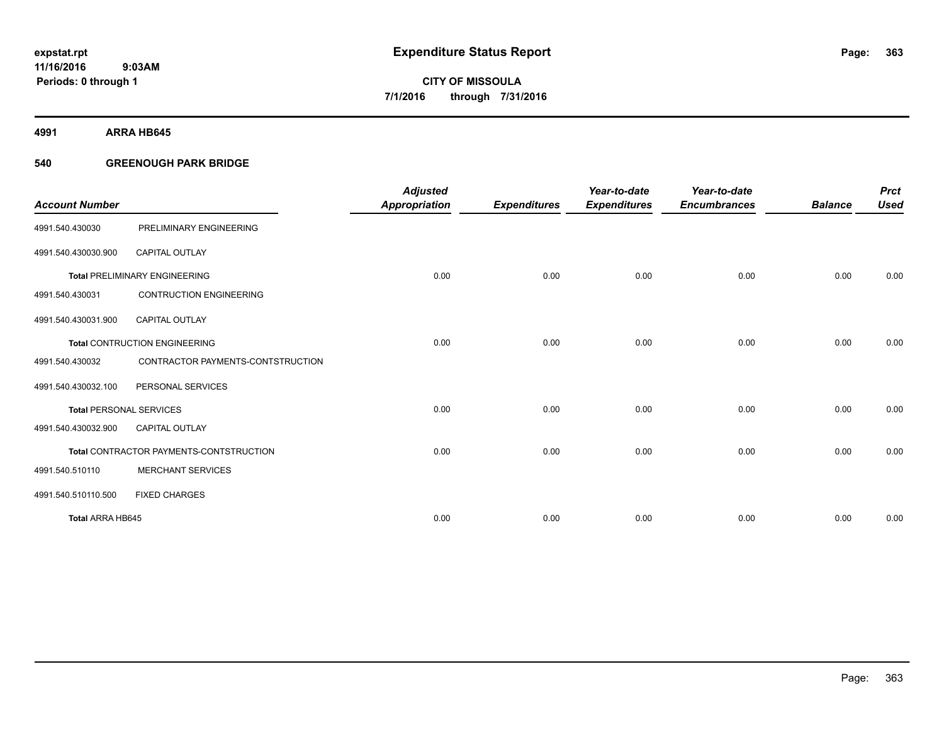**4991 ARRA HB645**

### **540 GREENOUGH PARK BRIDGE**

|                                |                                         | <b>Adjusted</b>      |                     | Year-to-date        | Year-to-date        |                | <b>Prct</b> |
|--------------------------------|-----------------------------------------|----------------------|---------------------|---------------------|---------------------|----------------|-------------|
| <b>Account Number</b>          |                                         | <b>Appropriation</b> | <b>Expenditures</b> | <b>Expenditures</b> | <b>Encumbrances</b> | <b>Balance</b> | <b>Used</b> |
| 4991.540.430030                | PRELIMINARY ENGINEERING                 |                      |                     |                     |                     |                |             |
| 4991.540.430030.900            | <b>CAPITAL OUTLAY</b>                   |                      |                     |                     |                     |                |             |
|                                | <b>Total PRELIMINARY ENGINEERING</b>    | 0.00                 | 0.00                | 0.00                | 0.00                | 0.00           | 0.00        |
| 4991.540.430031                | <b>CONTRUCTION ENGINEERING</b>          |                      |                     |                     |                     |                |             |
| 4991.540.430031.900            | <b>CAPITAL OUTLAY</b>                   |                      |                     |                     |                     |                |             |
|                                | <b>Total CONTRUCTION ENGINEERING</b>    | 0.00                 | 0.00                | 0.00                | 0.00                | 0.00           | 0.00        |
| 4991.540.430032                | CONTRACTOR PAYMENTS-CONTSTRUCTION       |                      |                     |                     |                     |                |             |
| 4991.540.430032.100            | PERSONAL SERVICES                       |                      |                     |                     |                     |                |             |
| <b>Total PERSONAL SERVICES</b> |                                         | 0.00                 | 0.00                | 0.00                | 0.00                | 0.00           | 0.00        |
| 4991.540.430032.900            | <b>CAPITAL OUTLAY</b>                   |                      |                     |                     |                     |                |             |
|                                | Total CONTRACTOR PAYMENTS-CONTSTRUCTION | 0.00                 | 0.00                | 0.00                | 0.00                | 0.00           | 0.00        |
| 4991.540.510110                | <b>MERCHANT SERVICES</b>                |                      |                     |                     |                     |                |             |
| 4991.540.510110.500            | <b>FIXED CHARGES</b>                    |                      |                     |                     |                     |                |             |
| Total ARRA HB645               |                                         | 0.00                 | 0.00                | 0.00                | 0.00                | 0.00           | 0.00        |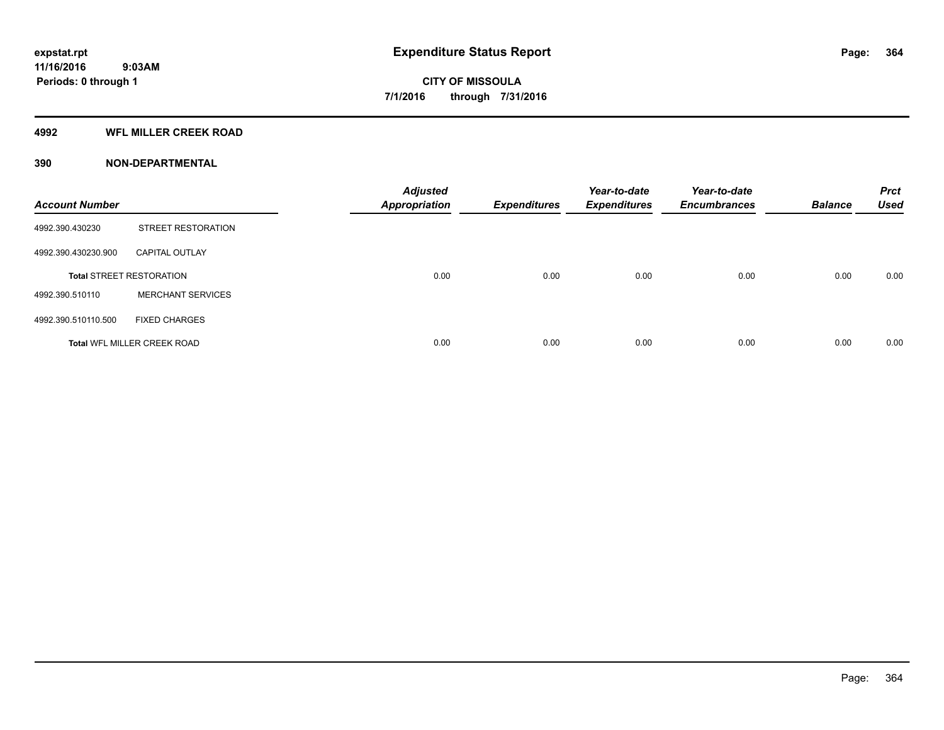### **4992 WFL MILLER CREEK ROAD**

### **390 NON-DEPARTMENTAL**

| <b>Account Number</b> |                                    | <b>Adjusted</b><br><b>Appropriation</b> | <b>Expenditures</b> | Year-to-date<br><b>Expenditures</b> | Year-to-date<br><b>Encumbrances</b> | <b>Balance</b> | <b>Prct</b><br><b>Used</b> |
|-----------------------|------------------------------------|-----------------------------------------|---------------------|-------------------------------------|-------------------------------------|----------------|----------------------------|
| 4992.390.430230       | <b>STREET RESTORATION</b>          |                                         |                     |                                     |                                     |                |                            |
| 4992.390.430230.900   | <b>CAPITAL OUTLAY</b>              |                                         |                     |                                     |                                     |                |                            |
|                       | <b>Total STREET RESTORATION</b>    | 0.00                                    | 0.00                | 0.00                                | 0.00                                | 0.00           | 0.00                       |
| 4992.390.510110       | <b>MERCHANT SERVICES</b>           |                                         |                     |                                     |                                     |                |                            |
| 4992.390.510110.500   | <b>FIXED CHARGES</b>               |                                         |                     |                                     |                                     |                |                            |
|                       | <b>Total WFL MILLER CREEK ROAD</b> | 0.00                                    | 0.00                | 0.00                                | 0.00                                | 0.00           | 0.00                       |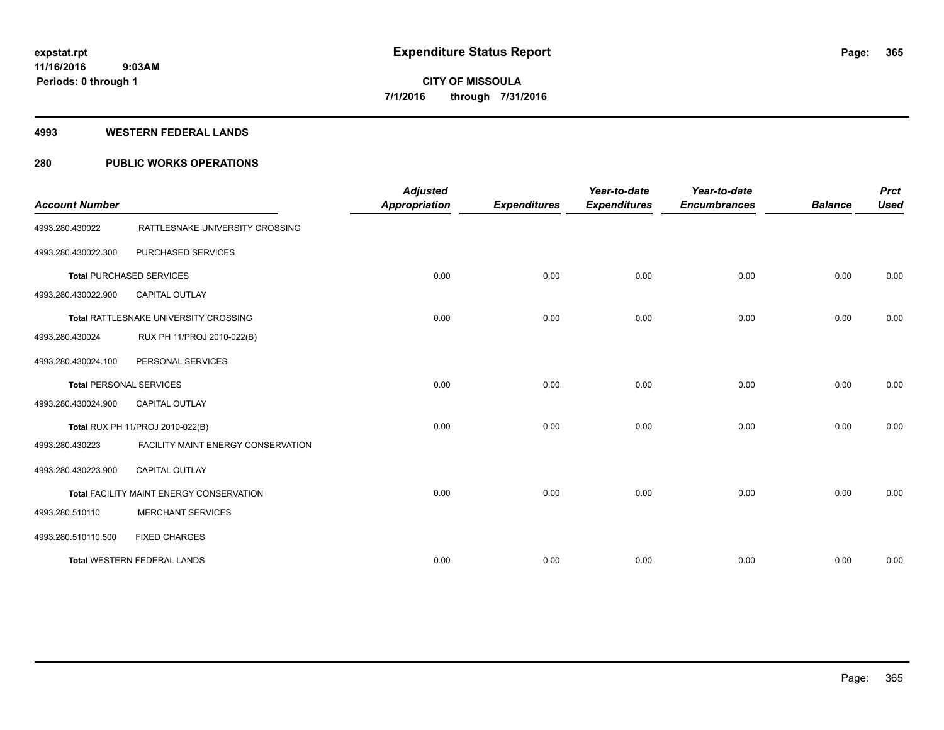### **4993 WESTERN FEDERAL LANDS**

### **280 PUBLIC WORKS OPERATIONS**

| <b>Account Number</b> |                                          | <b>Adjusted</b><br><b>Appropriation</b> | <b>Expenditures</b> | Year-to-date<br><b>Expenditures</b> | Year-to-date<br><b>Encumbrances</b> | <b>Balance</b> | <b>Prct</b><br><b>Used</b> |
|-----------------------|------------------------------------------|-----------------------------------------|---------------------|-------------------------------------|-------------------------------------|----------------|----------------------------|
| 4993.280.430022       | RATTLESNAKE UNIVERSITY CROSSING          |                                         |                     |                                     |                                     |                |                            |
| 4993.280.430022.300   | PURCHASED SERVICES                       |                                         |                     |                                     |                                     |                |                            |
|                       | <b>Total PURCHASED SERVICES</b>          | 0.00                                    | 0.00                | 0.00                                | 0.00                                | 0.00           | 0.00                       |
| 4993.280.430022.900   | <b>CAPITAL OUTLAY</b>                    |                                         |                     |                                     |                                     |                |                            |
|                       | Total RATTLESNAKE UNIVERSITY CROSSING    | 0.00                                    | 0.00                | 0.00                                | 0.00                                | 0.00           | 0.00                       |
| 4993.280.430024       | RUX PH 11/PROJ 2010-022(B)               |                                         |                     |                                     |                                     |                |                            |
| 4993.280.430024.100   | PERSONAL SERVICES                        |                                         |                     |                                     |                                     |                |                            |
|                       | <b>Total PERSONAL SERVICES</b>           | 0.00                                    | 0.00                | 0.00                                | 0.00                                | 0.00           | 0.00                       |
| 4993.280.430024.900   | <b>CAPITAL OUTLAY</b>                    |                                         |                     |                                     |                                     |                |                            |
|                       | Total RUX PH 11/PROJ 2010-022(B)         | 0.00                                    | 0.00                | 0.00                                | 0.00                                | 0.00           | 0.00                       |
| 4993.280.430223       | FACILITY MAINT ENERGY CONSERVATION       |                                         |                     |                                     |                                     |                |                            |
| 4993.280.430223.900   | <b>CAPITAL OUTLAY</b>                    |                                         |                     |                                     |                                     |                |                            |
|                       | Total FACILITY MAINT ENERGY CONSERVATION | 0.00                                    | 0.00                | 0.00                                | 0.00                                | 0.00           | 0.00                       |
| 4993.280.510110       | <b>MERCHANT SERVICES</b>                 |                                         |                     |                                     |                                     |                |                            |
| 4993.280.510110.500   | <b>FIXED CHARGES</b>                     |                                         |                     |                                     |                                     |                |                            |
|                       | <b>Total WESTERN FEDERAL LANDS</b>       | 0.00                                    | 0.00                | 0.00                                | 0.00                                | 0.00           | 0.00                       |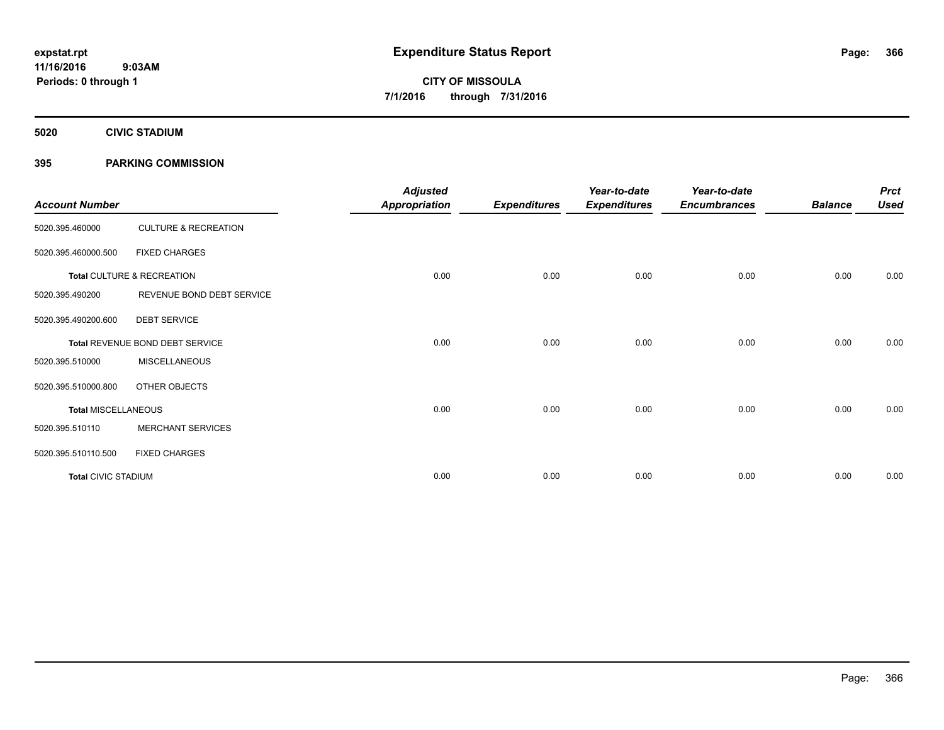**5020 CIVIC STADIUM**

### **395 PARKING COMMISSION**

| <b>Account Number</b>      |                                 | <b>Adjusted</b><br><b>Appropriation</b> | <b>Expenditures</b> | Year-to-date<br><b>Expenditures</b> | Year-to-date<br><b>Encumbrances</b> | <b>Balance</b> | <b>Prct</b><br><b>Used</b> |
|----------------------------|---------------------------------|-----------------------------------------|---------------------|-------------------------------------|-------------------------------------|----------------|----------------------------|
| 5020.395.460000            | <b>CULTURE &amp; RECREATION</b> |                                         |                     |                                     |                                     |                |                            |
| 5020.395.460000.500        | <b>FIXED CHARGES</b>            |                                         |                     |                                     |                                     |                |                            |
|                            | Total CULTURE & RECREATION      | 0.00                                    | 0.00                | 0.00                                | 0.00                                | 0.00           | 0.00                       |
| 5020.395.490200            | REVENUE BOND DEBT SERVICE       |                                         |                     |                                     |                                     |                |                            |
| 5020.395.490200.600        | <b>DEBT SERVICE</b>             |                                         |                     |                                     |                                     |                |                            |
|                            | Total REVENUE BOND DEBT SERVICE | 0.00                                    | 0.00                | 0.00                                | 0.00                                | 0.00           | 0.00                       |
| 5020.395.510000            | <b>MISCELLANEOUS</b>            |                                         |                     |                                     |                                     |                |                            |
| 5020.395.510000.800        | OTHER OBJECTS                   |                                         |                     |                                     |                                     |                |                            |
| <b>Total MISCELLANEOUS</b> |                                 | 0.00                                    | 0.00                | 0.00                                | 0.00                                | 0.00           | 0.00                       |
| 5020.395.510110            | <b>MERCHANT SERVICES</b>        |                                         |                     |                                     |                                     |                |                            |
| 5020.395.510110.500        | <b>FIXED CHARGES</b>            |                                         |                     |                                     |                                     |                |                            |
| <b>Total CIVIC STADIUM</b> |                                 | 0.00                                    | 0.00                | 0.00                                | 0.00                                | 0.00           | 0.00                       |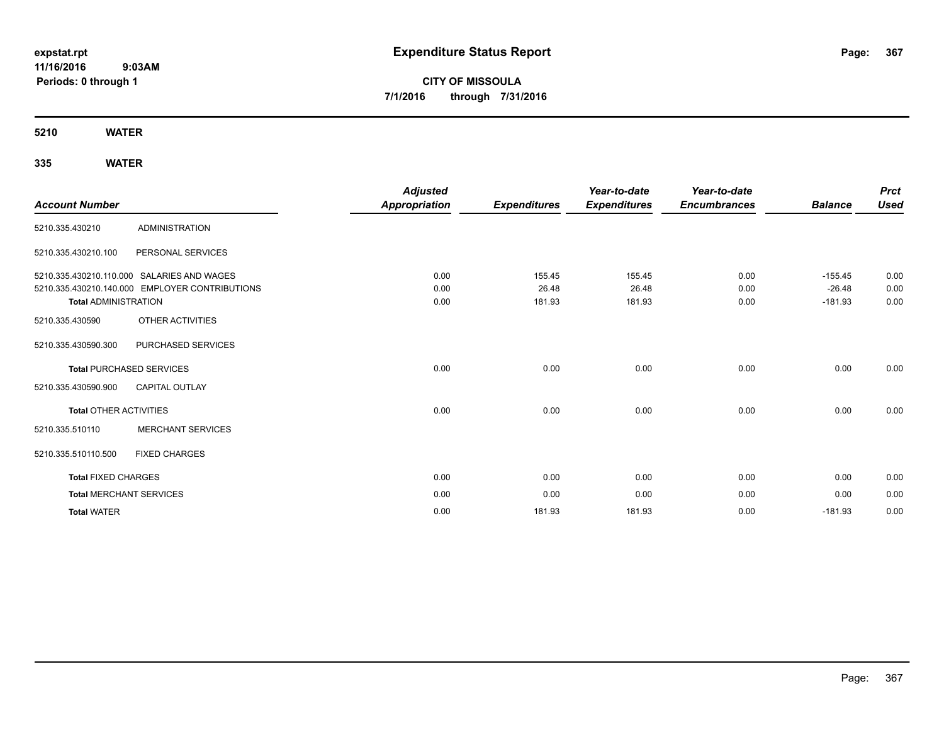# **CITY OF MISSOULA 7/1/2016 through 7/31/2016**

### **5210 WATER**

| <b>Account Number</b>         |                                                | <b>Adjusted</b><br><b>Appropriation</b> | <b>Expenditures</b> | Year-to-date<br><b>Expenditures</b> | Year-to-date<br><b>Encumbrances</b> | <b>Balance</b>        | <b>Prct</b><br><b>Used</b> |
|-------------------------------|------------------------------------------------|-----------------------------------------|---------------------|-------------------------------------|-------------------------------------|-----------------------|----------------------------|
| 5210.335.430210               | <b>ADMINISTRATION</b>                          |                                         |                     |                                     |                                     |                       |                            |
| 5210.335.430210.100           | PERSONAL SERVICES                              |                                         |                     |                                     |                                     |                       |                            |
|                               | 5210.335.430210.110.000 SALARIES AND WAGES     | 0.00                                    | 155.45              | 155.45                              | 0.00                                | $-155.45$             | 0.00                       |
| <b>Total ADMINISTRATION</b>   | 5210.335.430210.140.000 EMPLOYER CONTRIBUTIONS | 0.00<br>0.00                            | 26.48<br>181.93     | 26.48<br>181.93                     | 0.00<br>0.00                        | $-26.48$<br>$-181.93$ | 0.00<br>0.00               |
| 5210.335.430590               | OTHER ACTIVITIES                               |                                         |                     |                                     |                                     |                       |                            |
| 5210.335.430590.300           | PURCHASED SERVICES                             |                                         |                     |                                     |                                     |                       |                            |
|                               | <b>Total PURCHASED SERVICES</b>                | 0.00                                    | 0.00                | 0.00                                | 0.00                                | 0.00                  | 0.00                       |
| 5210.335.430590.900           | CAPITAL OUTLAY                                 |                                         |                     |                                     |                                     |                       |                            |
| <b>Total OTHER ACTIVITIES</b> |                                                | 0.00                                    | 0.00                | 0.00                                | 0.00                                | 0.00                  | 0.00                       |
| 5210.335.510110               | <b>MERCHANT SERVICES</b>                       |                                         |                     |                                     |                                     |                       |                            |
| 5210.335.510110.500           | <b>FIXED CHARGES</b>                           |                                         |                     |                                     |                                     |                       |                            |
| <b>Total FIXED CHARGES</b>    |                                                | 0.00                                    | 0.00                | 0.00                                | 0.00                                | 0.00                  | 0.00                       |
|                               | <b>Total MERCHANT SERVICES</b>                 | 0.00                                    | 0.00                | 0.00                                | 0.00                                | 0.00                  | 0.00                       |
| <b>Total WATER</b>            |                                                | 0.00                                    | 181.93              | 181.93                              | 0.00                                | $-181.93$             | 0.00                       |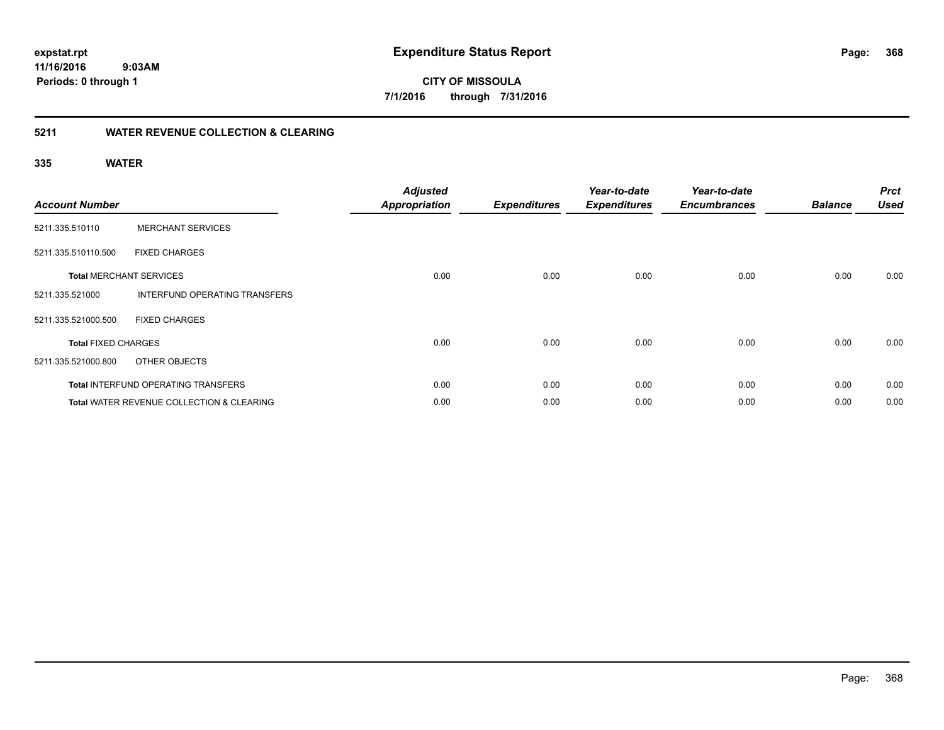**368**

**11/16/2016 9:03AM Periods: 0 through 1**

**CITY OF MISSOULA 7/1/2016 through 7/31/2016**

### **5211 WATER REVENUE COLLECTION & CLEARING**

| <b>Account Number</b>      |                                                      | <b>Adjusted</b><br><b>Appropriation</b> | <b>Expenditures</b> | Year-to-date<br><b>Expenditures</b> | Year-to-date<br><b>Encumbrances</b> | <b>Balance</b> | <b>Prct</b><br><b>Used</b> |
|----------------------------|------------------------------------------------------|-----------------------------------------|---------------------|-------------------------------------|-------------------------------------|----------------|----------------------------|
| 5211.335.510110            | <b>MERCHANT SERVICES</b>                             |                                         |                     |                                     |                                     |                |                            |
| 5211.335.510110.500        | <b>FIXED CHARGES</b>                                 |                                         |                     |                                     |                                     |                |                            |
|                            | <b>Total MERCHANT SERVICES</b>                       | 0.00                                    | 0.00                | 0.00                                | 0.00                                | 0.00           | 0.00                       |
| 5211.335.521000            | INTERFUND OPERATING TRANSFERS                        |                                         |                     |                                     |                                     |                |                            |
| 5211.335.521000.500        | <b>FIXED CHARGES</b>                                 |                                         |                     |                                     |                                     |                |                            |
| <b>Total FIXED CHARGES</b> |                                                      | 0.00                                    | 0.00                | 0.00                                | 0.00                                | 0.00           | 0.00                       |
| 5211.335.521000.800        | OTHER OBJECTS                                        |                                         |                     |                                     |                                     |                |                            |
|                            | Total INTERFUND OPERATING TRANSFERS                  | 0.00                                    | 0.00                | 0.00                                | 0.00                                | 0.00           | 0.00                       |
|                            | <b>Total WATER REVENUE COLLECTION &amp; CLEARING</b> | 0.00                                    | 0.00                | 0.00                                | 0.00                                | 0.00           | 0.00                       |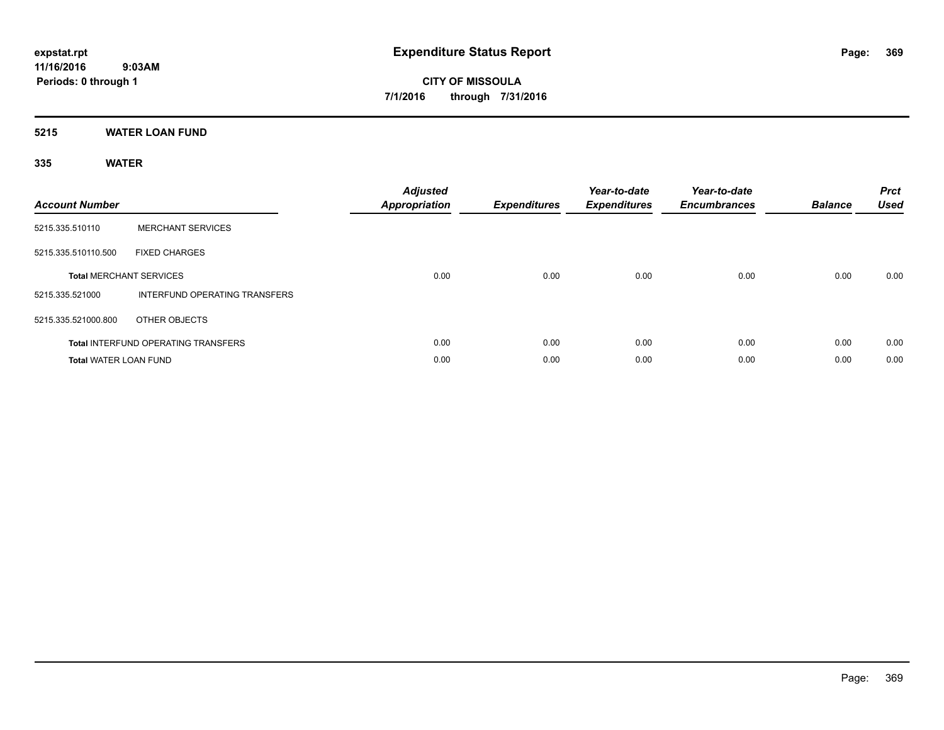### **5215 WATER LOAN FUND**

| <b>Account Number</b>        |                                            | <b>Adjusted</b><br>Appropriation | <b>Expenditures</b> | Year-to-date<br><b>Expenditures</b> | Year-to-date<br><b>Encumbrances</b> | <b>Balance</b> | <b>Prct</b><br><b>Used</b> |
|------------------------------|--------------------------------------------|----------------------------------|---------------------|-------------------------------------|-------------------------------------|----------------|----------------------------|
| 5215.335.510110              | <b>MERCHANT SERVICES</b>                   |                                  |                     |                                     |                                     |                |                            |
| 5215.335.510110.500          | <b>FIXED CHARGES</b>                       |                                  |                     |                                     |                                     |                |                            |
|                              | <b>Total MERCHANT SERVICES</b>             | 0.00                             | 0.00                | 0.00                                | 0.00                                | 0.00           | 0.00                       |
| 5215.335.521000              | INTERFUND OPERATING TRANSFERS              |                                  |                     |                                     |                                     |                |                            |
| 5215.335.521000.800          | OTHER OBJECTS                              |                                  |                     |                                     |                                     |                |                            |
|                              | <b>Total INTERFUND OPERATING TRANSFERS</b> | 0.00                             | 0.00                | 0.00                                | 0.00                                | 0.00           | 0.00                       |
| <b>Total WATER LOAN FUND</b> |                                            | 0.00                             | 0.00                | 0.00                                | 0.00                                | 0.00           | 0.00                       |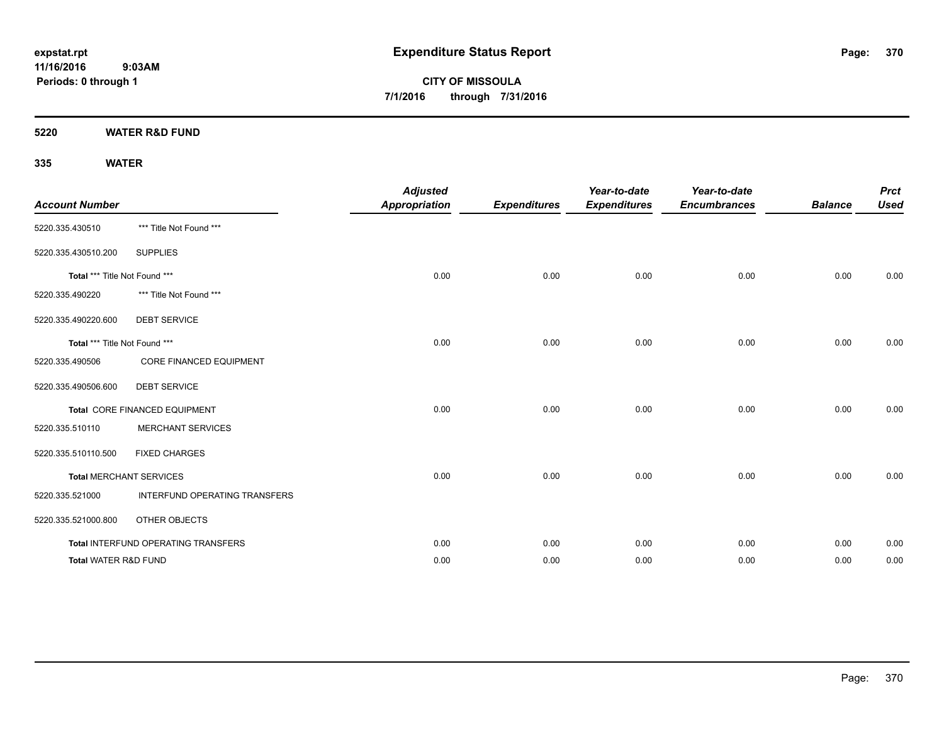**CITY OF MISSOULA 7/1/2016 through 7/31/2016**

**5220 WATER R&D FUND**

| <b>Account Number</b>           |                                     | <b>Adjusted</b><br><b>Appropriation</b> | <b>Expenditures</b> | Year-to-date<br><b>Expenditures</b> | Year-to-date<br><b>Encumbrances</b> | <b>Balance</b> | <b>Prct</b><br><b>Used</b> |
|---------------------------------|-------------------------------------|-----------------------------------------|---------------------|-------------------------------------|-------------------------------------|----------------|----------------------------|
| 5220.335.430510                 | *** Title Not Found ***             |                                         |                     |                                     |                                     |                |                            |
| 5220.335.430510.200             | <b>SUPPLIES</b>                     |                                         |                     |                                     |                                     |                |                            |
| Total *** Title Not Found ***   |                                     | 0.00                                    | 0.00                | 0.00                                | 0.00                                | 0.00           | 0.00                       |
| 5220.335.490220                 | *** Title Not Found ***             |                                         |                     |                                     |                                     |                |                            |
| 5220.335.490220.600             | <b>DEBT SERVICE</b>                 |                                         |                     |                                     |                                     |                |                            |
| Total *** Title Not Found ***   |                                     | 0.00                                    | 0.00                | 0.00                                | 0.00                                | 0.00           | 0.00                       |
| 5220.335.490506                 | <b>CORE FINANCED EQUIPMENT</b>      |                                         |                     |                                     |                                     |                |                            |
| 5220.335.490506.600             | <b>DEBT SERVICE</b>                 |                                         |                     |                                     |                                     |                |                            |
|                                 | Total CORE FINANCED EQUIPMENT       | 0.00                                    | 0.00                | 0.00                                | 0.00                                | 0.00           | 0.00                       |
| 5220.335.510110                 | <b>MERCHANT SERVICES</b>            |                                         |                     |                                     |                                     |                |                            |
| 5220.335.510110.500             | <b>FIXED CHARGES</b>                |                                         |                     |                                     |                                     |                |                            |
|                                 | <b>Total MERCHANT SERVICES</b>      | 0.00                                    | 0.00                | 0.00                                | 0.00                                | 0.00           | 0.00                       |
| 5220.335.521000                 | INTERFUND OPERATING TRANSFERS       |                                         |                     |                                     |                                     |                |                            |
| 5220.335.521000.800             | OTHER OBJECTS                       |                                         |                     |                                     |                                     |                |                            |
|                                 | Total INTERFUND OPERATING TRANSFERS | 0.00                                    | 0.00                | 0.00                                | 0.00                                | 0.00           | 0.00                       |
| <b>Total WATER R&amp;D FUND</b> |                                     | 0.00                                    | 0.00                | 0.00                                | 0.00                                | 0.00           | 0.00                       |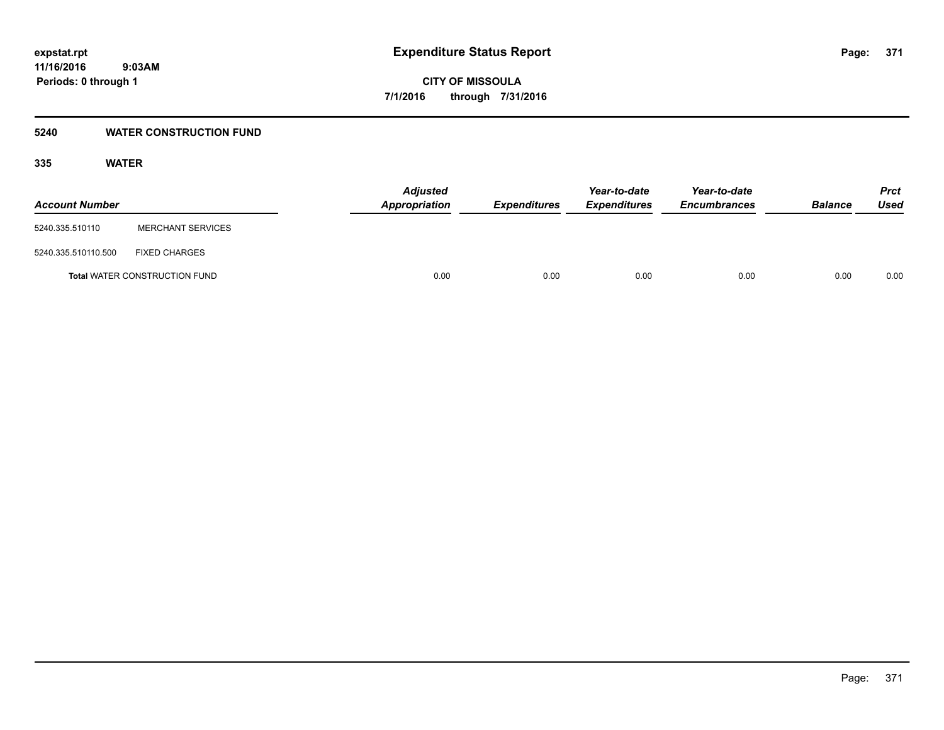### **5240 WATER CONSTRUCTION FUND**

| <b>Account Number</b> |                                      | <b>Adjusted</b><br><b>Appropriation</b> | <b>Expenditures</b> | Year-to-date<br><b>Expenditures</b> | Year-to-date<br><b>Encumbrances</b> | <b>Balance</b> | <b>Prct</b><br><b>Used</b> |
|-----------------------|--------------------------------------|-----------------------------------------|---------------------|-------------------------------------|-------------------------------------|----------------|----------------------------|
| 5240.335.510110       | <b>MERCHANT SERVICES</b>             |                                         |                     |                                     |                                     |                |                            |
| 5240.335.510110.500   | <b>FIXED CHARGES</b>                 |                                         |                     |                                     |                                     |                |                            |
|                       | <b>Total WATER CONSTRUCTION FUND</b> | 0.00                                    | 0.00                | 0.00                                | 0.00                                | 0.00           | 0.00                       |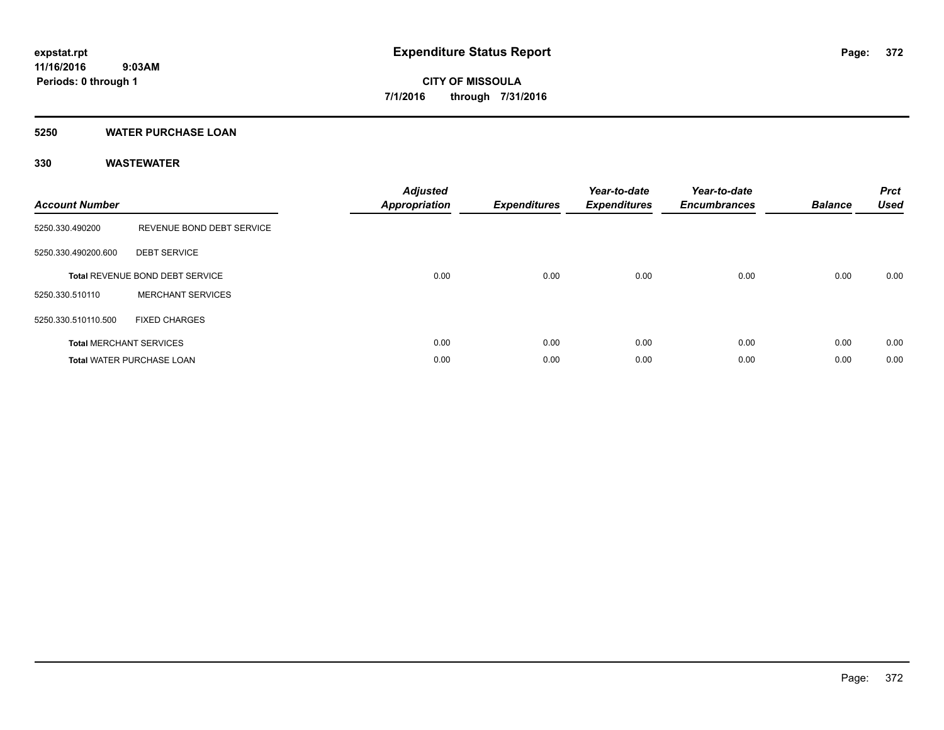### **5250 WATER PURCHASE LOAN**

| <b>Account Number</b> |                                  | <b>Adjusted</b><br><b>Appropriation</b> | <b>Expenditures</b> | Year-to-date<br><b>Expenditures</b> | Year-to-date<br><b>Encumbrances</b> | <b>Balance</b> | <b>Prct</b><br><b>Used</b> |
|-----------------------|----------------------------------|-----------------------------------------|---------------------|-------------------------------------|-------------------------------------|----------------|----------------------------|
| 5250.330.490200       | REVENUE BOND DEBT SERVICE        |                                         |                     |                                     |                                     |                |                            |
| 5250.330.490200.600   | <b>DEBT SERVICE</b>              |                                         |                     |                                     |                                     |                |                            |
|                       | Total REVENUE BOND DEBT SERVICE  | 0.00                                    | 0.00                | 0.00                                | 0.00                                | 0.00           | 0.00                       |
| 5250.330.510110       | <b>MERCHANT SERVICES</b>         |                                         |                     |                                     |                                     |                |                            |
| 5250.330.510110.500   | <b>FIXED CHARGES</b>             |                                         |                     |                                     |                                     |                |                            |
|                       | <b>Total MERCHANT SERVICES</b>   | 0.00                                    | 0.00                | 0.00                                | 0.00                                | 0.00           | 0.00                       |
|                       | <b>Total WATER PURCHASE LOAN</b> | 0.00                                    | 0.00                | 0.00                                | 0.00                                | 0.00           | 0.00                       |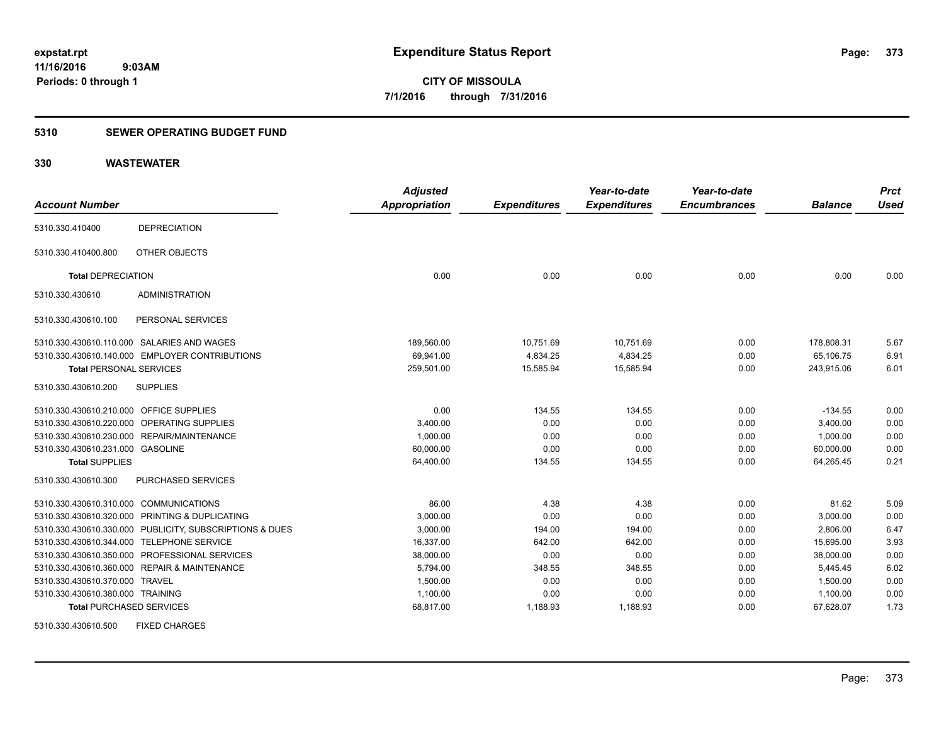### **5310 SEWER OPERATING BUDGET FUND**

### **330 WASTEWATER**

| <b>Account Number</b>                   |                                                         | <b>Adjusted</b><br><b>Appropriation</b> | <b>Expenditures</b> | Year-to-date<br><b>Expenditures</b> | Year-to-date<br><b>Encumbrances</b> | <b>Balance</b> | <b>Prct</b><br><b>Used</b> |
|-----------------------------------------|---------------------------------------------------------|-----------------------------------------|---------------------|-------------------------------------|-------------------------------------|----------------|----------------------------|
|                                         |                                                         |                                         |                     |                                     |                                     |                |                            |
| 5310.330.410400                         | <b>DEPRECIATION</b>                                     |                                         |                     |                                     |                                     |                |                            |
| 5310.330.410400.800                     | OTHER OBJECTS                                           |                                         |                     |                                     |                                     |                |                            |
| <b>Total DEPRECIATION</b>               |                                                         | 0.00                                    | 0.00                | 0.00                                | 0.00                                | 0.00           | 0.00                       |
| 5310.330.430610                         | <b>ADMINISTRATION</b>                                   |                                         |                     |                                     |                                     |                |                            |
| 5310.330.430610.100                     | PERSONAL SERVICES                                       |                                         |                     |                                     |                                     |                |                            |
|                                         | 5310.330.430610.110.000 SALARIES AND WAGES              | 189,560.00                              | 10,751.69           | 10,751.69                           | 0.00                                | 178.808.31     | 5.67                       |
|                                         | 5310.330.430610.140.000 EMPLOYER CONTRIBUTIONS          | 69,941.00                               | 4,834.25            | 4,834.25                            | 0.00                                | 65,106.75      | 6.91                       |
| <b>Total PERSONAL SERVICES</b>          |                                                         | 259,501.00                              | 15,585.94           | 15,585.94                           | 0.00                                | 243,915.06     | 6.01                       |
| 5310.330.430610.200                     | <b>SUPPLIES</b>                                         |                                         |                     |                                     |                                     |                |                            |
| 5310.330.430610.210.000 OFFICE SUPPLIES |                                                         | 0.00                                    | 134.55              | 134.55                              | 0.00                                | $-134.55$      | 0.00                       |
|                                         | 5310.330.430610.220.000 OPERATING SUPPLIES              | 3,400.00                                | 0.00                | 0.00                                | 0.00                                | 3,400.00       | 0.00                       |
|                                         | 5310.330.430610.230.000 REPAIR/MAINTENANCE              | 1,000.00                                | 0.00                | 0.00                                | 0.00                                | 1,000.00       | 0.00                       |
| 5310.330.430610.231.000 GASOLINE        |                                                         | 60,000.00                               | 0.00                | 0.00                                | 0.00                                | 60,000.00      | 0.00                       |
| <b>Total SUPPLIES</b>                   |                                                         | 64,400.00                               | 134.55              | 134.55                              | 0.00                                | 64.265.45      | 0.21                       |
| 5310.330.430610.300                     | PURCHASED SERVICES                                      |                                         |                     |                                     |                                     |                |                            |
| 5310.330.430610.310.000 COMMUNICATIONS  |                                                         | 86.00                                   | 4.38                | 4.38                                | 0.00                                | 81.62          | 5.09                       |
|                                         | 5310.330.430610.320.000 PRINTING & DUPLICATING          | 3,000.00                                | 0.00                | 0.00                                | 0.00                                | 3,000.00       | 0.00                       |
|                                         | 5310.330.430610.330.000 PUBLICITY, SUBSCRIPTIONS & DUES | 3,000.00                                | 194.00              | 194.00                              | 0.00                                | 2,806.00       | 6.47                       |
|                                         | 5310.330.430610.344.000 TELEPHONE SERVICE               | 16,337.00                               | 642.00              | 642.00                              | 0.00                                | 15,695.00      | 3.93                       |
|                                         | 5310.330.430610.350.000 PROFESSIONAL SERVICES           | 38,000.00                               | 0.00                | 0.00                                | 0.00                                | 38,000.00      | 0.00                       |
|                                         | 5310.330.430610.360.000 REPAIR & MAINTENANCE            | 5,794.00                                | 348.55              | 348.55                              | 0.00                                | 5,445.45       | 6.02                       |
| 5310.330.430610.370.000 TRAVEL          |                                                         | 1,500.00                                | 0.00                | 0.00                                | 0.00                                | 1,500.00       | 0.00                       |
| 5310.330.430610.380.000 TRAINING        |                                                         | 1,100.00                                | 0.00                | 0.00                                | 0.00                                | 1,100.00       | 0.00                       |
| <b>Total PURCHASED SERVICES</b>         |                                                         | 68,817.00                               | 1,188.93            | 1,188.93                            | 0.00                                | 67,628.07      | 1.73                       |

5310.330.430610.500 FIXED CHARGES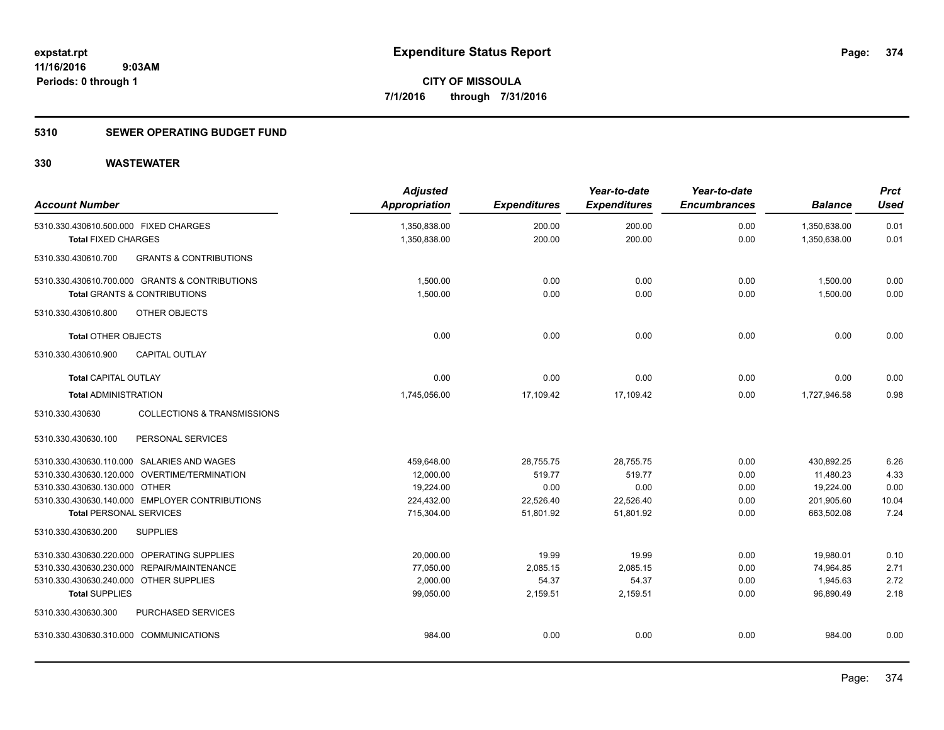### **5310 SEWER OPERATING BUDGET FUND**

| <b>Account Number</b>                  |                                                | <b>Adjusted</b><br>Appropriation | <b>Expenditures</b> | Year-to-date<br><b>Expenditures</b> | Year-to-date<br><b>Encumbrances</b> | <b>Balance</b> | <b>Prct</b><br><b>Used</b> |
|----------------------------------------|------------------------------------------------|----------------------------------|---------------------|-------------------------------------|-------------------------------------|----------------|----------------------------|
| 5310.330.430610.500.000 FIXED CHARGES  |                                                | 1,350,838.00                     | 200.00              | 200.00                              | 0.00                                | 1,350,638.00   | 0.01                       |
| <b>Total FIXED CHARGES</b>             |                                                | 1,350,838.00                     | 200.00              | 200.00                              | 0.00                                | 1,350,638.00   | 0.01                       |
| 5310.330.430610.700                    | <b>GRANTS &amp; CONTRIBUTIONS</b>              |                                  |                     |                                     |                                     |                |                            |
|                                        | 5310.330.430610.700.000 GRANTS & CONTRIBUTIONS | 1,500.00                         | 0.00                | 0.00                                | 0.00                                | 1,500.00       | 0.00                       |
|                                        | <b>Total GRANTS &amp; CONTRIBUTIONS</b>        | 1,500.00                         | 0.00                | 0.00                                | 0.00                                | 1,500.00       | 0.00                       |
| 5310.330.430610.800                    | OTHER OBJECTS                                  |                                  |                     |                                     |                                     |                |                            |
| <b>Total OTHER OBJECTS</b>             |                                                | 0.00                             | 0.00                | 0.00                                | 0.00                                | 0.00           | 0.00                       |
| 5310.330.430610.900                    | <b>CAPITAL OUTLAY</b>                          |                                  |                     |                                     |                                     |                |                            |
| <b>Total CAPITAL OUTLAY</b>            |                                                | 0.00                             | 0.00                | 0.00                                | 0.00                                | 0.00           | 0.00                       |
| <b>Total ADMINISTRATION</b>            |                                                | 1,745,056.00                     | 17,109.42           | 17,109.42                           | 0.00                                | 1,727,946.58   | 0.98                       |
| 5310.330.430630                        | <b>COLLECTIONS &amp; TRANSMISSIONS</b>         |                                  |                     |                                     |                                     |                |                            |
| 5310.330.430630.100                    | PERSONAL SERVICES                              |                                  |                     |                                     |                                     |                |                            |
|                                        | 5310.330.430630.110.000 SALARIES AND WAGES     | 459,648.00                       | 28,755.75           | 28,755.75                           | 0.00                                | 430,892.25     | 6.26                       |
|                                        | 5310.330.430630.120.000 OVERTIME/TERMINATION   | 12,000.00                        | 519.77              | 519.77                              | 0.00                                | 11,480.23      | 4.33                       |
| 5310.330.430630.130.000 OTHER          |                                                | 19,224.00                        | 0.00                | 0.00                                | 0.00                                | 19,224.00      | 0.00                       |
|                                        | 5310.330.430630.140.000 EMPLOYER CONTRIBUTIONS | 224,432.00                       | 22,526.40           | 22,526.40                           | 0.00                                | 201,905.60     | 10.04                      |
| <b>Total PERSONAL SERVICES</b>         |                                                | 715,304.00                       | 51,801.92           | 51,801.92                           | 0.00                                | 663,502.08     | 7.24                       |
| 5310.330.430630.200                    | <b>SUPPLIES</b>                                |                                  |                     |                                     |                                     |                |                            |
|                                        | 5310.330.430630.220.000 OPERATING SUPPLIES     | 20,000.00                        | 19.99               | 19.99                               | 0.00                                | 19,980.01      | 0.10                       |
|                                        | 5310.330.430630.230.000 REPAIR/MAINTENANCE     | 77,050.00                        | 2,085.15            | 2.085.15                            | 0.00                                | 74,964.85      | 2.71                       |
| 5310.330.430630.240.000 OTHER SUPPLIES |                                                | 2,000.00                         | 54.37               | 54.37                               | 0.00                                | 1,945.63       | 2.72                       |
| <b>Total SUPPLIES</b>                  |                                                | 99,050.00                        | 2,159.51            | 2,159.51                            | 0.00                                | 96,890.49      | 2.18                       |
| 5310.330.430630.300                    | PURCHASED SERVICES                             |                                  |                     |                                     |                                     |                |                            |
| 5310.330.430630.310.000 COMMUNICATIONS |                                                | 984.00                           | 0.00                | 0.00                                | 0.00                                | 984.00         | 0.00                       |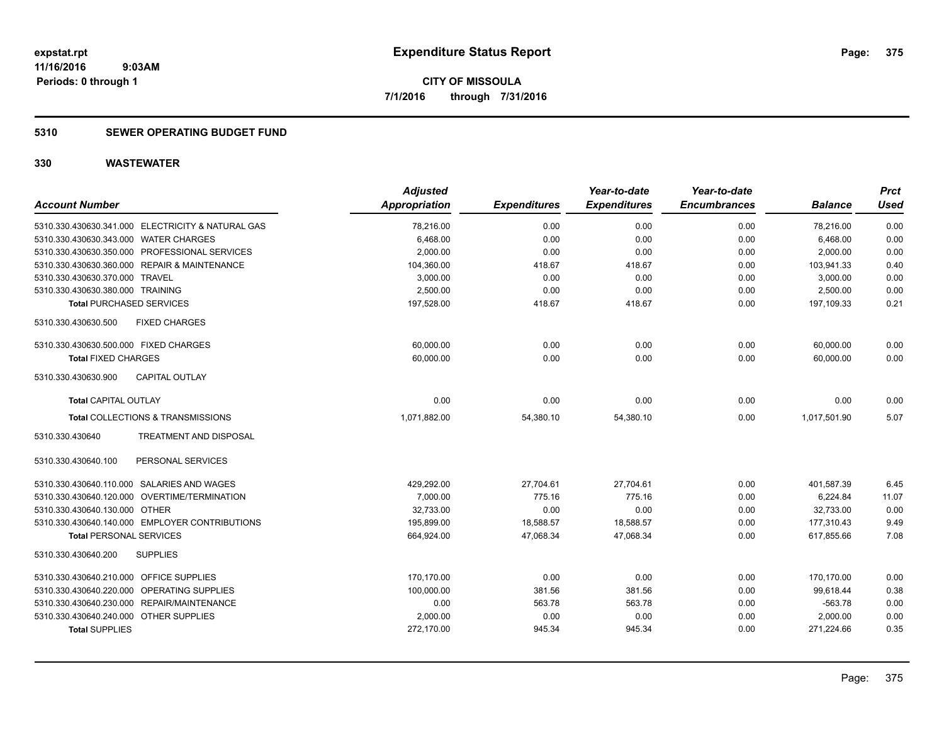### **5310 SEWER OPERATING BUDGET FUND**

| <b>Account Number</b>                             |                               | <b>Adjusted</b><br>Appropriation | <b>Expenditures</b> | Year-to-date<br><b>Expenditures</b> | Year-to-date<br><b>Encumbrances</b> | <b>Balance</b> | Prct<br><b>Used</b> |
|---------------------------------------------------|-------------------------------|----------------------------------|---------------------|-------------------------------------|-------------------------------------|----------------|---------------------|
| 5310.330.430630.341.000 ELECTRICITY & NATURAL GAS |                               | 78,216.00                        | 0.00                | 0.00                                | 0.00                                | 78,216.00      | 0.00                |
| 5310.330.430630.343.000 WATER CHARGES             |                               | 6,468.00                         | 0.00                | 0.00                                | 0.00                                | 6,468.00       | 0.00                |
| 5310.330.430630.350.000 PROFESSIONAL SERVICES     |                               | 2,000.00                         | 0.00                | 0.00                                | 0.00                                | 2,000.00       | 0.00                |
| 5310.330.430630.360.000 REPAIR & MAINTENANCE      |                               | 104,360.00                       | 418.67              | 418.67                              | 0.00                                | 103,941.33     | 0.40                |
| 5310.330.430630.370.000 TRAVEL                    |                               | 3,000.00                         | 0.00                | 0.00                                | 0.00                                | 3.000.00       | 0.00                |
| 5310.330.430630.380.000 TRAINING                  |                               | 2,500.00                         | 0.00                | 0.00                                | 0.00                                | 2,500.00       | 0.00                |
| <b>Total PURCHASED SERVICES</b>                   |                               | 197,528.00                       | 418.67              | 418.67                              | 0.00                                | 197,109.33     | 0.21                |
| 5310.330.430630.500<br><b>FIXED CHARGES</b>       |                               |                                  |                     |                                     |                                     |                |                     |
| 5310.330.430630.500.000 FIXED CHARGES             |                               | 60,000.00                        | 0.00                | 0.00                                | 0.00                                | 60,000.00      | 0.00                |
| <b>Total FIXED CHARGES</b>                        |                               | 60,000.00                        | 0.00                | 0.00                                | 0.00                                | 60,000.00      | 0.00                |
| 5310.330.430630.900<br><b>CAPITAL OUTLAY</b>      |                               |                                  |                     |                                     |                                     |                |                     |
| <b>Total CAPITAL OUTLAY</b>                       |                               | 0.00                             | 0.00                | 0.00                                | 0.00                                | 0.00           | 0.00                |
| Total COLLECTIONS & TRANSMISSIONS                 |                               | 1,071,882.00                     | 54,380.10           | 54,380.10                           | 0.00                                | 1,017,501.90   | 5.07                |
| 5310.330.430640                                   | <b>TREATMENT AND DISPOSAL</b> |                                  |                     |                                     |                                     |                |                     |
| 5310.330.430640.100                               | PERSONAL SERVICES             |                                  |                     |                                     |                                     |                |                     |
| 5310.330.430640.110.000 SALARIES AND WAGES        |                               | 429,292.00                       | 27,704.61           | 27,704.61                           | 0.00                                | 401,587.39     | 6.45                |
| 5310.330.430640.120.000 OVERTIME/TERMINATION      |                               | 7,000.00                         | 775.16              | 775.16                              | 0.00                                | 6,224.84       | 11.07               |
| 5310.330.430640.130.000 OTHER                     |                               | 32,733.00                        | 0.00                | 0.00                                | 0.00                                | 32,733.00      | 0.00                |
| 5310.330.430640.140.000 EMPLOYER CONTRIBUTIONS    |                               | 195,899.00                       | 18,588.57           | 18,588.57                           | 0.00                                | 177,310.43     | 9.49                |
| <b>Total PERSONAL SERVICES</b>                    |                               | 664,924.00                       | 47,068.34           | 47,068.34                           | 0.00                                | 617,855.66     | 7.08                |
| 5310.330.430640.200<br><b>SUPPLIES</b>            |                               |                                  |                     |                                     |                                     |                |                     |
| 5310.330.430640.210.000 OFFICE SUPPLIES           |                               | 170,170.00                       | 0.00                | 0.00                                | 0.00                                | 170,170.00     | 0.00                |
| 5310.330.430640.220.000                           | OPERATING SUPPLIES            | 100,000.00                       | 381.56              | 381.56                              | 0.00                                | 99,618.44      | 0.38                |
| 5310.330.430640.230.000 REPAIR/MAINTENANCE        |                               | 0.00                             | 563.78              | 563.78                              | 0.00                                | $-563.78$      | 0.00                |
| 5310.330.430640.240.000 OTHER SUPPLIES            |                               | 2,000.00                         | 0.00                | 0.00                                | 0.00                                | 2,000.00       | 0.00                |
| <b>Total SUPPLIES</b>                             |                               | 272,170.00                       | 945.34              | 945.34                              | 0.00                                | 271,224.66     | 0.35                |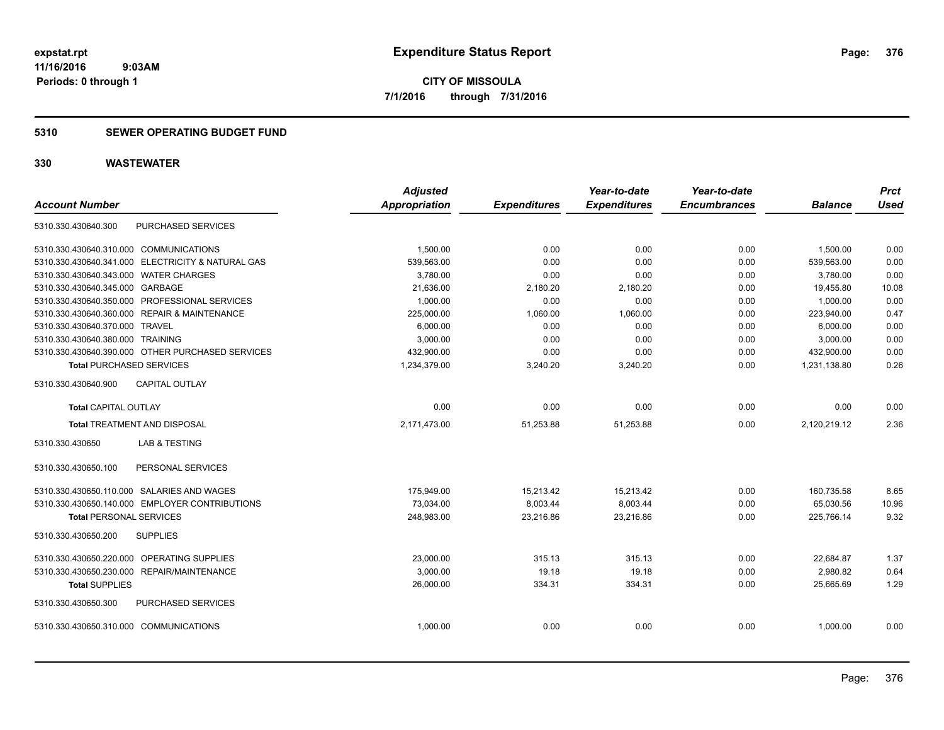**Periods: 0 through 1**

**CITY OF MISSOULA 7/1/2016 through 7/31/2016**

### **5310 SEWER OPERATING BUDGET FUND**

| <b>Account Number</b>                             | <b>Adjusted</b><br><b>Appropriation</b> | <b>Expenditures</b> | Year-to-date<br><b>Expenditures</b> | Year-to-date<br><b>Encumbrances</b> | <b>Balance</b> | <b>Prct</b><br><b>Used</b> |
|---------------------------------------------------|-----------------------------------------|---------------------|-------------------------------------|-------------------------------------|----------------|----------------------------|
|                                                   |                                         |                     |                                     |                                     |                |                            |
| PURCHASED SERVICES<br>5310.330.430640.300         |                                         |                     |                                     |                                     |                |                            |
| 5310.330.430640.310.000 COMMUNICATIONS            | 1.500.00                                | 0.00                | 0.00                                | 0.00                                | 1,500.00       | 0.00                       |
| 5310.330.430640.341.000 ELECTRICITY & NATURAL GAS | 539,563.00                              | 0.00                | 0.00                                | 0.00                                | 539,563.00     | 0.00                       |
| 5310.330.430640.343.000 WATER CHARGES             | 3,780.00                                | 0.00                | 0.00                                | 0.00                                | 3,780.00       | 0.00                       |
| 5310.330.430640.345.000 GARBAGE                   | 21,636.00                               | 2,180.20            | 2,180.20                            | 0.00                                | 19,455.80      | 10.08                      |
| 5310.330.430640.350.000 PROFESSIONAL SERVICES     | 1,000.00                                | 0.00                | 0.00                                | 0.00                                | 1,000.00       | 0.00                       |
| 5310.330.430640.360.000 REPAIR & MAINTENANCE      | 225,000.00                              | 1,060.00            | 1,060.00                            | 0.00                                | 223,940.00     | 0.47                       |
| 5310.330.430640.370.000 TRAVEL                    | 6,000.00                                | 0.00                | 0.00                                | 0.00                                | 6,000.00       | 0.00                       |
| 5310.330.430640.380.000 TRAINING                  | 3,000.00                                | 0.00                | 0.00                                | 0.00                                | 3,000.00       | 0.00                       |
| 5310.330.430640.390.000 OTHER PURCHASED SERVICES  | 432,900.00                              | 0.00                | 0.00                                | 0.00                                | 432,900.00     | 0.00                       |
| <b>Total PURCHASED SERVICES</b>                   | 1,234,379.00                            | 3,240.20            | 3,240.20                            | 0.00                                | 1,231,138.80   | 0.26                       |
| 5310.330.430640.900<br><b>CAPITAL OUTLAY</b>      |                                         |                     |                                     |                                     |                |                            |
| Total CAPITAL OUTLAY                              | 0.00                                    | 0.00                | 0.00                                | 0.00                                | 0.00           | 0.00                       |
| <b>Total TREATMENT AND DISPOSAL</b>               | 2,171,473.00                            | 51,253.88           | 51,253.88                           | 0.00                                | 2,120,219.12   | 2.36                       |
| <b>LAB &amp; TESTING</b><br>5310.330.430650       |                                         |                     |                                     |                                     |                |                            |
| PERSONAL SERVICES<br>5310.330.430650.100          |                                         |                     |                                     |                                     |                |                            |
| 5310.330.430650.110.000 SALARIES AND WAGES        | 175,949.00                              | 15,213.42           | 15,213.42                           | 0.00                                | 160,735.58     | 8.65                       |
| 5310.330.430650.140.000 EMPLOYER CONTRIBUTIONS    | 73,034.00                               | 8,003.44            | 8,003.44                            | 0.00                                | 65,030.56      | 10.96                      |
| <b>Total PERSONAL SERVICES</b>                    | 248,983.00                              | 23,216.86           | 23,216.86                           | 0.00                                | 225,766.14     | 9.32                       |
| 5310.330.430650.200<br><b>SUPPLIES</b>            |                                         |                     |                                     |                                     |                |                            |
| 5310.330.430650.220.000 OPERATING SUPPLIES        | 23,000.00                               | 315.13              | 315.13                              | 0.00                                | 22,684.87      | 1.37                       |
| 5310.330.430650.230.000 REPAIR/MAINTENANCE        | 3,000.00                                | 19.18               | 19.18                               | 0.00                                | 2,980.82       | 0.64                       |
| <b>Total SUPPLIES</b>                             | 26,000.00                               | 334.31              | 334.31                              | 0.00                                | 25,665.69      | 1.29                       |
| 5310.330.430650.300<br>PURCHASED SERVICES         |                                         |                     |                                     |                                     |                |                            |
| 5310.330.430650.310.000 COMMUNICATIONS            | 1.000.00                                | 0.00                | 0.00                                | 0.00                                | 1.000.00       | 0.00                       |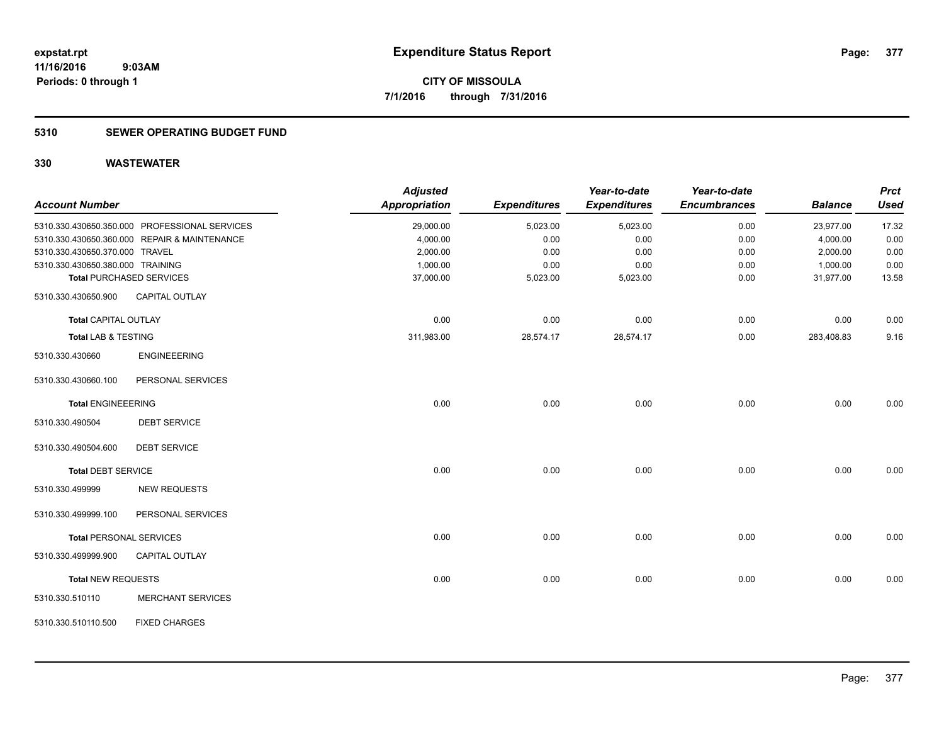### **5310 SEWER OPERATING BUDGET FUND**

| <b>Account Number</b>            |                                               | <b>Adjusted</b><br><b>Appropriation</b> | <b>Expenditures</b> | Year-to-date<br><b>Expenditures</b> | Year-to-date<br><b>Encumbrances</b> | <b>Balance</b> | <b>Prct</b><br><b>Used</b> |
|----------------------------------|-----------------------------------------------|-----------------------------------------|---------------------|-------------------------------------|-------------------------------------|----------------|----------------------------|
|                                  | 5310.330.430650.350.000 PROFESSIONAL SERVICES | 29,000.00                               | 5,023.00            | 5,023.00                            | 0.00                                | 23,977.00      | 17.32                      |
|                                  | 5310.330.430650.360.000 REPAIR & MAINTENANCE  | 4,000.00                                | 0.00                | 0.00                                | 0.00                                | 4,000.00       | 0.00                       |
| 5310.330.430650.370.000 TRAVEL   |                                               | 2,000.00                                | 0.00                | 0.00                                | 0.00                                | 2,000.00       | 0.00                       |
| 5310.330.430650.380.000 TRAINING |                                               | 1,000.00                                | 0.00                | 0.00                                | 0.00                                | 1,000.00       | 0.00                       |
|                                  | <b>Total PURCHASED SERVICES</b>               | 37,000.00                               | 5,023.00            | 5,023.00                            | 0.00                                | 31,977.00      | 13.58                      |
| 5310.330.430650.900              | <b>CAPITAL OUTLAY</b>                         |                                         |                     |                                     |                                     |                |                            |
| <b>Total CAPITAL OUTLAY</b>      |                                               | 0.00                                    | 0.00                | 0.00                                | 0.00                                | 0.00           | 0.00                       |
| <b>Total LAB &amp; TESTING</b>   |                                               | 311,983.00                              | 28,574.17           | 28,574.17                           | 0.00                                | 283,408.83     | 9.16                       |
| 5310.330.430660                  | <b>ENGINEEERING</b>                           |                                         |                     |                                     |                                     |                |                            |
| 5310.330.430660.100              | PERSONAL SERVICES                             |                                         |                     |                                     |                                     |                |                            |
| <b>Total ENGINEEERING</b>        |                                               | 0.00                                    | 0.00                | 0.00                                | 0.00                                | 0.00           | 0.00                       |
| 5310.330.490504                  | <b>DEBT SERVICE</b>                           |                                         |                     |                                     |                                     |                |                            |
| 5310.330.490504.600              | <b>DEBT SERVICE</b>                           |                                         |                     |                                     |                                     |                |                            |
| <b>Total DEBT SERVICE</b>        |                                               | 0.00                                    | 0.00                | 0.00                                | 0.00                                | 0.00           | 0.00                       |
| 5310.330.499999                  | <b>NEW REQUESTS</b>                           |                                         |                     |                                     |                                     |                |                            |
| 5310.330.499999.100              | PERSONAL SERVICES                             |                                         |                     |                                     |                                     |                |                            |
|                                  | <b>Total PERSONAL SERVICES</b>                | 0.00                                    | 0.00                | 0.00                                | 0.00                                | 0.00           | 0.00                       |
| 5310.330.499999.900              | <b>CAPITAL OUTLAY</b>                         |                                         |                     |                                     |                                     |                |                            |
| <b>Total NEW REQUESTS</b>        |                                               | 0.00                                    | 0.00                | 0.00                                | 0.00                                | 0.00           | 0.00                       |
| 5310.330.510110                  | <b>MERCHANT SERVICES</b>                      |                                         |                     |                                     |                                     |                |                            |
| 5310.330.510110.500              | <b>FIXED CHARGES</b>                          |                                         |                     |                                     |                                     |                |                            |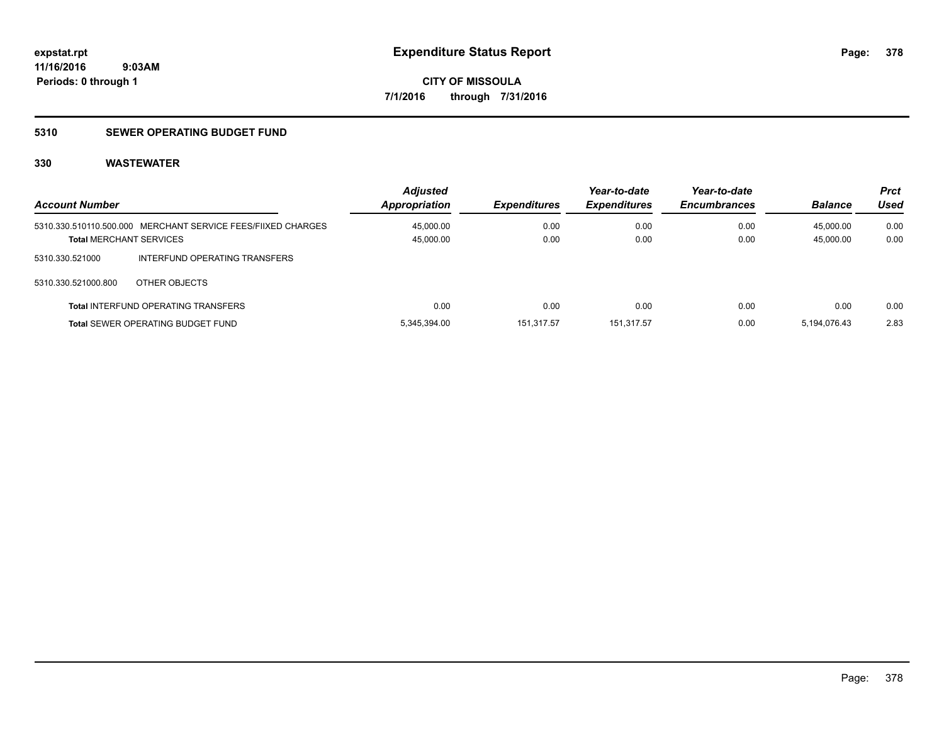### **5310 SEWER OPERATING BUDGET FUND**

| <b>Account Number</b>          |                                                              | <b>Adjusted</b><br>Appropriation | <b>Expenditures</b> | Year-to-date<br><b>Expenditures</b> | Year-to-date<br><b>Encumbrances</b> | <b>Balance</b> | <b>Prct</b><br>Used |
|--------------------------------|--------------------------------------------------------------|----------------------------------|---------------------|-------------------------------------|-------------------------------------|----------------|---------------------|
|                                | 5310.330.510110.500.000 MERCHANT SERVICE FEES/FIIXED CHARGES | 45,000.00                        | 0.00                | 0.00                                | 0.00                                | 45,000.00      | 0.00                |
| <b>Total MERCHANT SERVICES</b> |                                                              | 45,000.00                        | 0.00                | 0.00                                | 0.00                                | 45,000.00      | 0.00                |
| 5310.330.521000                | INTERFUND OPERATING TRANSFERS                                |                                  |                     |                                     |                                     |                |                     |
| 5310.330.521000.800            | OTHER OBJECTS                                                |                                  |                     |                                     |                                     |                |                     |
|                                | <b>Total INTERFUND OPERATING TRANSFERS</b>                   | 0.00                             | 0.00                | 0.00                                | 0.00                                | 0.00           | 0.00                |
|                                | <b>Total SEWER OPERATING BUDGET FUND</b>                     | 5.345.394.00                     | 151.317.57          | 151.317.57                          | 0.00                                | 5.194.076.43   | 2.83                |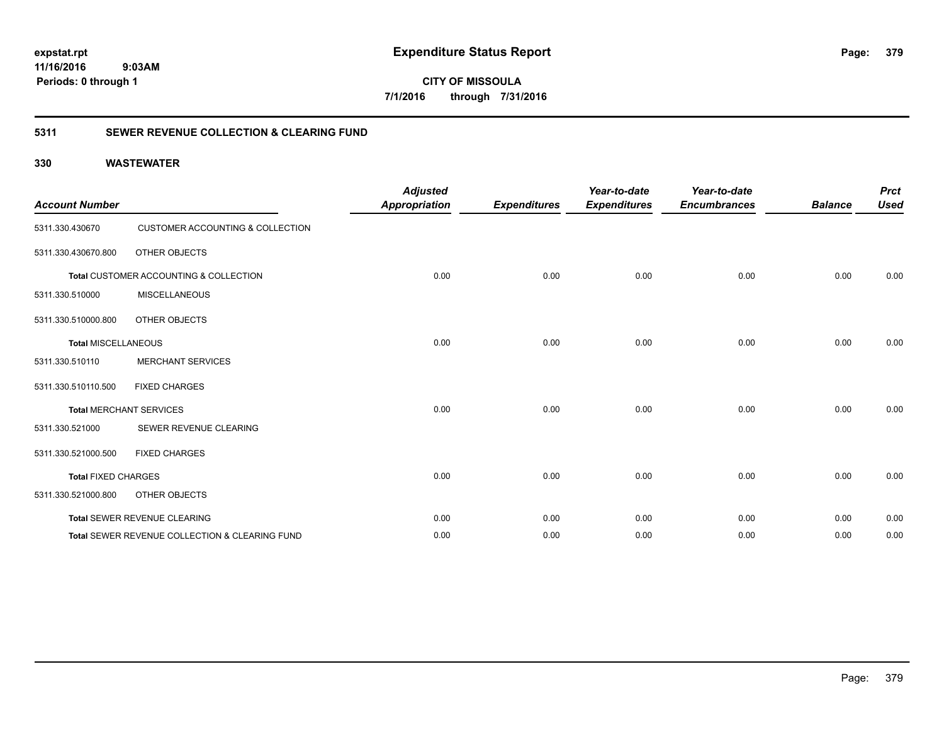**CITY OF MISSOULA 7/1/2016 through 7/31/2016**

### **5311 SEWER REVENUE COLLECTION & CLEARING FUND**

| <b>Account Number</b>      |                                                           | <b>Adjusted</b><br><b>Appropriation</b> | <b>Expenditures</b> | Year-to-date<br><b>Expenditures</b> | Year-to-date<br><b>Encumbrances</b> | <b>Balance</b> | <b>Prct</b><br><b>Used</b> |
|----------------------------|-----------------------------------------------------------|-----------------------------------------|---------------------|-------------------------------------|-------------------------------------|----------------|----------------------------|
| 5311.330.430670            | CUSTOMER ACCOUNTING & COLLECTION                          |                                         |                     |                                     |                                     |                |                            |
| 5311.330.430670.800        | OTHER OBJECTS                                             |                                         |                     |                                     |                                     |                |                            |
|                            | Total CUSTOMER ACCOUNTING & COLLECTION                    | 0.00                                    | 0.00                | 0.00                                | 0.00                                | 0.00           | 0.00                       |
| 5311.330.510000            | <b>MISCELLANEOUS</b>                                      |                                         |                     |                                     |                                     |                |                            |
| 5311.330.510000.800        | OTHER OBJECTS                                             |                                         |                     |                                     |                                     |                |                            |
| <b>Total MISCELLANEOUS</b> |                                                           | 0.00                                    | 0.00                | 0.00                                | 0.00                                | 0.00           | 0.00                       |
| 5311.330.510110            | <b>MERCHANT SERVICES</b>                                  |                                         |                     |                                     |                                     |                |                            |
| 5311.330.510110.500        | <b>FIXED CHARGES</b>                                      |                                         |                     |                                     |                                     |                |                            |
|                            | <b>Total MERCHANT SERVICES</b>                            | 0.00                                    | 0.00                | 0.00                                | 0.00                                | 0.00           | 0.00                       |
| 5311.330.521000            | SEWER REVENUE CLEARING                                    |                                         |                     |                                     |                                     |                |                            |
| 5311.330.521000.500        | <b>FIXED CHARGES</b>                                      |                                         |                     |                                     |                                     |                |                            |
| <b>Total FIXED CHARGES</b> |                                                           | 0.00                                    | 0.00                | 0.00                                | 0.00                                | 0.00           | 0.00                       |
| 5311.330.521000.800        | OTHER OBJECTS                                             |                                         |                     |                                     |                                     |                |                            |
|                            | Total SEWER REVENUE CLEARING                              | 0.00                                    | 0.00                | 0.00                                | 0.00                                | 0.00           | 0.00                       |
|                            | <b>Total SEWER REVENUE COLLECTION &amp; CLEARING FUND</b> | 0.00                                    | 0.00                | 0.00                                | 0.00                                | 0.00           | 0.00                       |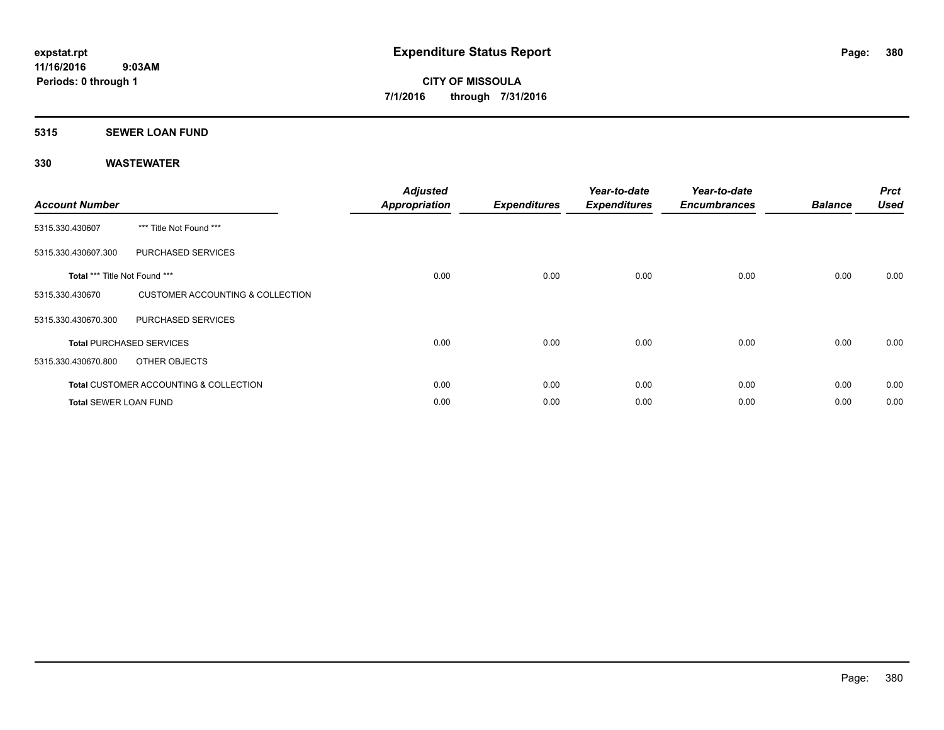### **5315 SEWER LOAN FUND**

| <b>Account Number</b>         |                                                   | <b>Adjusted</b><br><b>Appropriation</b> | <b>Expenditures</b> | Year-to-date<br><b>Expenditures</b> | Year-to-date<br><b>Encumbrances</b> | <b>Balance</b> | <b>Prct</b><br><b>Used</b> |
|-------------------------------|---------------------------------------------------|-----------------------------------------|---------------------|-------------------------------------|-------------------------------------|----------------|----------------------------|
| 5315.330.430607               | *** Title Not Found ***                           |                                         |                     |                                     |                                     |                |                            |
| 5315.330.430607.300           | PURCHASED SERVICES                                |                                         |                     |                                     |                                     |                |                            |
| Total *** Title Not Found *** |                                                   | 0.00                                    | 0.00                | 0.00                                | 0.00                                | 0.00           | 0.00                       |
| 5315.330.430670               | CUSTOMER ACCOUNTING & COLLECTION                  |                                         |                     |                                     |                                     |                |                            |
| 5315.330.430670.300           | PURCHASED SERVICES                                |                                         |                     |                                     |                                     |                |                            |
|                               | <b>Total PURCHASED SERVICES</b>                   | 0.00                                    | 0.00                | 0.00                                | 0.00                                | 0.00           | 0.00                       |
| 5315.330.430670.800           | OTHER OBJECTS                                     |                                         |                     |                                     |                                     |                |                            |
|                               | <b>Total CUSTOMER ACCOUNTING &amp; COLLECTION</b> | 0.00                                    | 0.00                | 0.00                                | 0.00                                | 0.00           | 0.00                       |
| <b>Total SEWER LOAN FUND</b>  |                                                   | 0.00                                    | 0.00                | 0.00                                | 0.00                                | 0.00           | 0.00                       |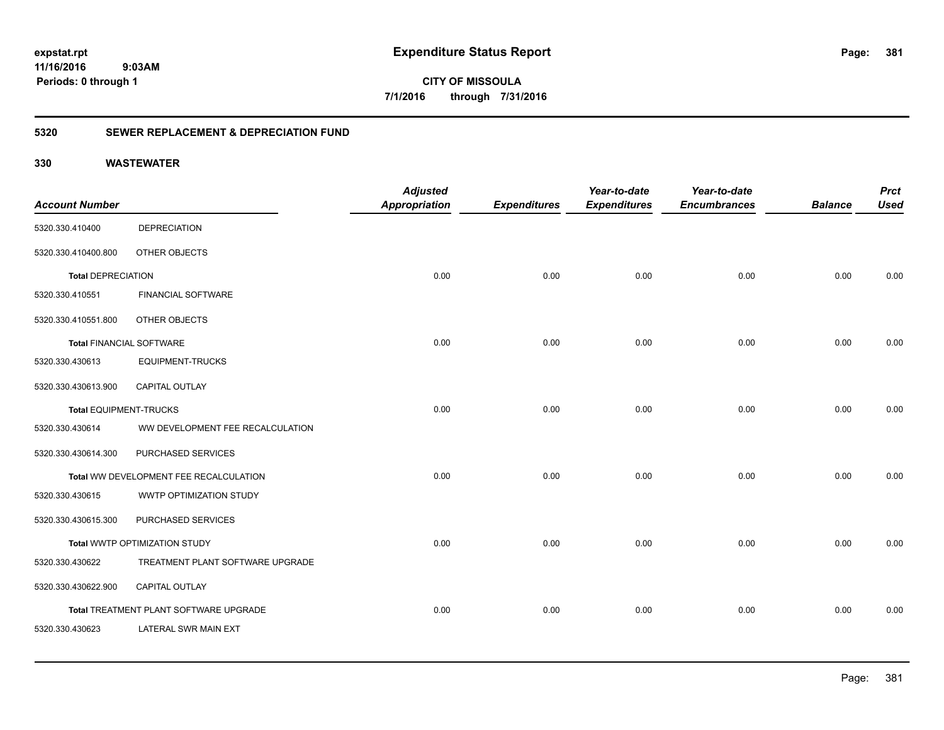**381**

**CITY OF MISSOULA 7/1/2016 through 7/31/2016**

### **5320 SEWER REPLACEMENT & DEPRECIATION FUND**

|                                 |                                        | <b>Adjusted</b>      |                     | Year-to-date        | Year-to-date        |                | <b>Prct</b> |
|---------------------------------|----------------------------------------|----------------------|---------------------|---------------------|---------------------|----------------|-------------|
| <b>Account Number</b>           |                                        | <b>Appropriation</b> | <b>Expenditures</b> | <b>Expenditures</b> | <b>Encumbrances</b> | <b>Balance</b> | <b>Used</b> |
| 5320.330.410400                 | <b>DEPRECIATION</b>                    |                      |                     |                     |                     |                |             |
| 5320.330.410400.800             | OTHER OBJECTS                          |                      |                     |                     |                     |                |             |
| <b>Total DEPRECIATION</b>       |                                        | 0.00                 | 0.00                | 0.00                | 0.00                | 0.00           | 0.00        |
| 5320.330.410551                 | <b>FINANCIAL SOFTWARE</b>              |                      |                     |                     |                     |                |             |
| 5320.330.410551.800             | OTHER OBJECTS                          |                      |                     |                     |                     |                |             |
| <b>Total FINANCIAL SOFTWARE</b> |                                        | 0.00                 | 0.00                | 0.00                | 0.00                | 0.00           | 0.00        |
| 5320.330.430613                 | <b>EQUIPMENT-TRUCKS</b>                |                      |                     |                     |                     |                |             |
| 5320.330.430613.900             | <b>CAPITAL OUTLAY</b>                  |                      |                     |                     |                     |                |             |
| <b>Total EQUIPMENT-TRUCKS</b>   |                                        | 0.00                 | 0.00                | 0.00                | 0.00                | 0.00           | 0.00        |
| 5320.330.430614                 | WW DEVELOPMENT FEE RECALCULATION       |                      |                     |                     |                     |                |             |
| 5320.330.430614.300             | PURCHASED SERVICES                     |                      |                     |                     |                     |                |             |
|                                 | Total WW DEVELOPMENT FEE RECALCULATION | 0.00                 | 0.00                | 0.00                | 0.00                | 0.00           | 0.00        |
| 5320.330.430615                 | WWTP OPTIMIZATION STUDY                |                      |                     |                     |                     |                |             |
| 5320.330.430615.300             | PURCHASED SERVICES                     |                      |                     |                     |                     |                |             |
|                                 | Total WWTP OPTIMIZATION STUDY          | 0.00                 | 0.00                | 0.00                | 0.00                | 0.00           | 0.00        |
| 5320.330.430622                 | TREATMENT PLANT SOFTWARE UPGRADE       |                      |                     |                     |                     |                |             |
| 5320.330.430622.900             | <b>CAPITAL OUTLAY</b>                  |                      |                     |                     |                     |                |             |
|                                 | Total TREATMENT PLANT SOFTWARE UPGRADE | 0.00                 | 0.00                | 0.00                | 0.00                | 0.00           | 0.00        |
| 5320.330.430623                 | LATERAL SWR MAIN EXT                   |                      |                     |                     |                     |                |             |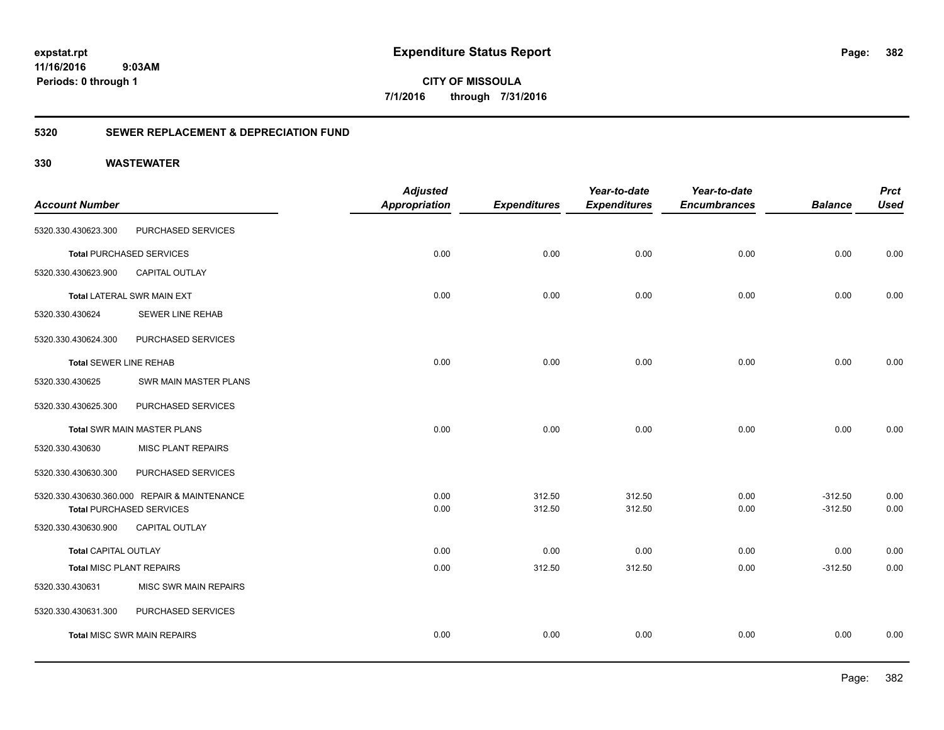**382**

**CITY OF MISSOULA 7/1/2016 through 7/31/2016**

### **5320 SEWER REPLACEMENT & DEPRECIATION FUND**

|                               |                                              | <b>Adjusted</b>      |                     | Year-to-date        | Year-to-date        |                | <b>Prct</b> |
|-------------------------------|----------------------------------------------|----------------------|---------------------|---------------------|---------------------|----------------|-------------|
| <b>Account Number</b>         |                                              | <b>Appropriation</b> | <b>Expenditures</b> | <b>Expenditures</b> | <b>Encumbrances</b> | <b>Balance</b> | <b>Used</b> |
| 5320.330.430623.300           | PURCHASED SERVICES                           |                      |                     |                     |                     |                |             |
|                               | <b>Total PURCHASED SERVICES</b>              | 0.00                 | 0.00                | 0.00                | 0.00                | 0.00           | 0.00        |
| 5320.330.430623.900           | <b>CAPITAL OUTLAY</b>                        |                      |                     |                     |                     |                |             |
|                               | Total LATERAL SWR MAIN EXT                   | 0.00                 | 0.00                | 0.00                | 0.00                | 0.00           | 0.00        |
| 5320.330.430624               | <b>SEWER LINE REHAB</b>                      |                      |                     |                     |                     |                |             |
| 5320.330.430624.300           | PURCHASED SERVICES                           |                      |                     |                     |                     |                |             |
| <b>Total SEWER LINE REHAB</b> |                                              | 0.00                 | 0.00                | 0.00                | 0.00                | 0.00           | 0.00        |
| 5320.330.430625               | SWR MAIN MASTER PLANS                        |                      |                     |                     |                     |                |             |
| 5320.330.430625.300           | PURCHASED SERVICES                           |                      |                     |                     |                     |                |             |
|                               | <b>Total SWR MAIN MASTER PLANS</b>           | 0.00                 | 0.00                | 0.00                | 0.00                | 0.00           | 0.00        |
| 5320.330.430630               | <b>MISC PLANT REPAIRS</b>                    |                      |                     |                     |                     |                |             |
| 5320.330.430630.300           | PURCHASED SERVICES                           |                      |                     |                     |                     |                |             |
|                               | 5320.330.430630.360.000 REPAIR & MAINTENANCE | 0.00                 | 312.50              | 312.50              | 0.00                | $-312.50$      | 0.00        |
|                               | <b>Total PURCHASED SERVICES</b>              | 0.00                 | 312.50              | 312.50              | 0.00                | $-312.50$      | 0.00        |
| 5320.330.430630.900           | CAPITAL OUTLAY                               |                      |                     |                     |                     |                |             |
| <b>Total CAPITAL OUTLAY</b>   |                                              | 0.00                 | 0.00                | 0.00                | 0.00                | 0.00           | 0.00        |
| Total MISC PLANT REPAIRS      |                                              | 0.00                 | 312.50              | 312.50              | 0.00                | $-312.50$      | 0.00        |
| 5320.330.430631               | MISC SWR MAIN REPAIRS                        |                      |                     |                     |                     |                |             |
| 5320.330.430631.300           | PURCHASED SERVICES                           |                      |                     |                     |                     |                |             |
|                               | <b>Total MISC SWR MAIN REPAIRS</b>           | 0.00                 | 0.00                | 0.00                | 0.00                | 0.00           | 0.00        |
|                               |                                              |                      |                     |                     |                     |                |             |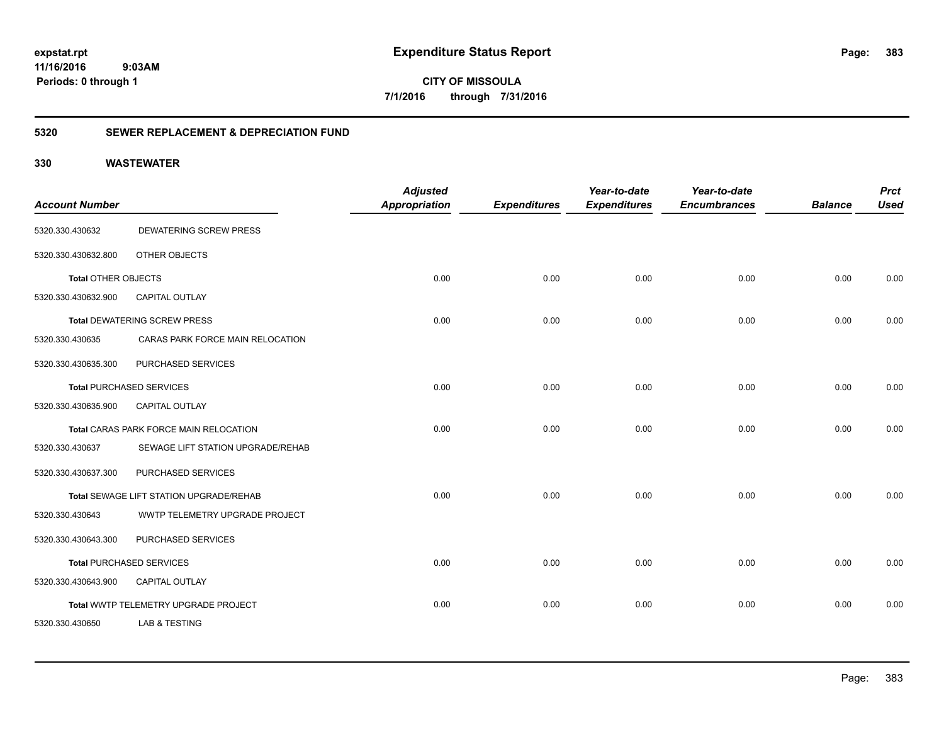**CITY OF MISSOULA 7/1/2016 through 7/31/2016**

### **5320 SEWER REPLACEMENT & DEPRECIATION FUND**

|                            |                                         | <b>Adjusted</b>      |                     | Year-to-date        | Year-to-date        |                | <b>Prct</b> |
|----------------------------|-----------------------------------------|----------------------|---------------------|---------------------|---------------------|----------------|-------------|
| <b>Account Number</b>      |                                         | <b>Appropriation</b> | <b>Expenditures</b> | <b>Expenditures</b> | <b>Encumbrances</b> | <b>Balance</b> | <b>Used</b> |
| 5320.330.430632            | DEWATERING SCREW PRESS                  |                      |                     |                     |                     |                |             |
| 5320.330.430632.800        | OTHER OBJECTS                           |                      |                     |                     |                     |                |             |
| <b>Total OTHER OBJECTS</b> |                                         | 0.00                 | 0.00                | 0.00                | 0.00                | 0.00           | 0.00        |
| 5320.330.430632.900        | <b>CAPITAL OUTLAY</b>                   |                      |                     |                     |                     |                |             |
|                            | <b>Total DEWATERING SCREW PRESS</b>     | 0.00                 | 0.00                | 0.00                | 0.00                | 0.00           | 0.00        |
| 5320.330.430635            | CARAS PARK FORCE MAIN RELOCATION        |                      |                     |                     |                     |                |             |
| 5320.330.430635.300        | PURCHASED SERVICES                      |                      |                     |                     |                     |                |             |
|                            | <b>Total PURCHASED SERVICES</b>         | 0.00                 | 0.00                | 0.00                | 0.00                | 0.00           | 0.00        |
| 5320.330.430635.900        | <b>CAPITAL OUTLAY</b>                   |                      |                     |                     |                     |                |             |
|                            | Total CARAS PARK FORCE MAIN RELOCATION  | 0.00                 | 0.00                | 0.00                | 0.00                | 0.00           | 0.00        |
| 5320.330.430637            | SEWAGE LIFT STATION UPGRADE/REHAB       |                      |                     |                     |                     |                |             |
| 5320.330.430637.300        | PURCHASED SERVICES                      |                      |                     |                     |                     |                |             |
|                            | Total SEWAGE LIFT STATION UPGRADE/REHAB | 0.00                 | 0.00                | 0.00                | 0.00                | 0.00           | 0.00        |
| 5320.330.430643            | WWTP TELEMETRY UPGRADE PROJECT          |                      |                     |                     |                     |                |             |
| 5320.330.430643.300        | PURCHASED SERVICES                      |                      |                     |                     |                     |                |             |
|                            | <b>Total PURCHASED SERVICES</b>         | 0.00                 | 0.00                | 0.00                | 0.00                | 0.00           | 0.00        |
| 5320.330.430643.900        | <b>CAPITAL OUTLAY</b>                   |                      |                     |                     |                     |                |             |
|                            | Total WWTP TELEMETRY UPGRADE PROJECT    | 0.00                 | 0.00                | 0.00                | 0.00                | 0.00           | 0.00        |
| 5320.330.430650            | <b>LAB &amp; TESTING</b>                |                      |                     |                     |                     |                |             |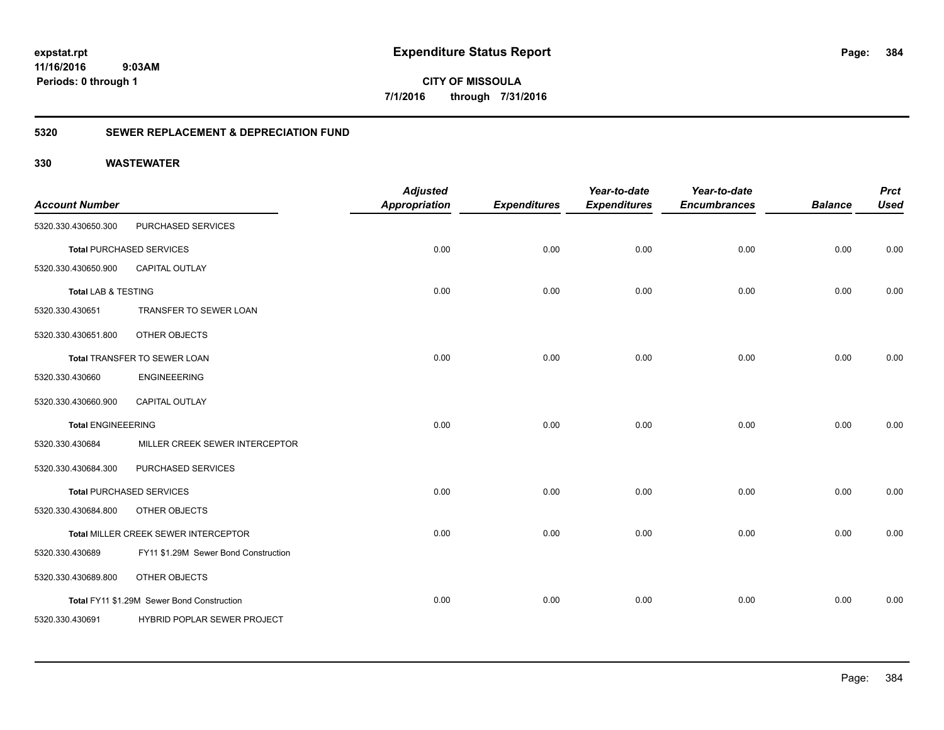**CITY OF MISSOULA 7/1/2016 through 7/31/2016**

### **5320 SEWER REPLACEMENT & DEPRECIATION FUND**

| <b>Account Number</b>          |                                            | <b>Adjusted</b><br><b>Appropriation</b> | <b>Expenditures</b> | Year-to-date<br><b>Expenditures</b> | Year-to-date<br><b>Encumbrances</b> | <b>Balance</b> | <b>Prct</b><br><b>Used</b> |
|--------------------------------|--------------------------------------------|-----------------------------------------|---------------------|-------------------------------------|-------------------------------------|----------------|----------------------------|
| 5320.330.430650.300            | PURCHASED SERVICES                         |                                         |                     |                                     |                                     |                |                            |
|                                | <b>Total PURCHASED SERVICES</b>            | 0.00                                    | 0.00                | 0.00                                | 0.00                                | 0.00           | 0.00                       |
| 5320.330.430650.900            | <b>CAPITAL OUTLAY</b>                      |                                         |                     |                                     |                                     |                |                            |
| <b>Total LAB &amp; TESTING</b> |                                            | 0.00                                    | 0.00                | 0.00                                | 0.00                                | 0.00           | 0.00                       |
| 5320.330.430651                | TRANSFER TO SEWER LOAN                     |                                         |                     |                                     |                                     |                |                            |
| 5320.330.430651.800            | OTHER OBJECTS                              |                                         |                     |                                     |                                     |                |                            |
|                                | Total TRANSFER TO SEWER LOAN               | 0.00                                    | 0.00                | 0.00                                | 0.00                                | 0.00           | 0.00                       |
| 5320.330.430660                | <b>ENGINEEERING</b>                        |                                         |                     |                                     |                                     |                |                            |
| 5320.330.430660.900            | <b>CAPITAL OUTLAY</b>                      |                                         |                     |                                     |                                     |                |                            |
| <b>Total ENGINEEERING</b>      |                                            | 0.00                                    | 0.00                | 0.00                                | 0.00                                | 0.00           | 0.00                       |
| 5320.330.430684                | MILLER CREEK SEWER INTERCEPTOR             |                                         |                     |                                     |                                     |                |                            |
| 5320.330.430684.300            | PURCHASED SERVICES                         |                                         |                     |                                     |                                     |                |                            |
|                                | <b>Total PURCHASED SERVICES</b>            | 0.00                                    | 0.00                | 0.00                                | 0.00                                | 0.00           | 0.00                       |
| 5320.330.430684.800            | OTHER OBJECTS                              |                                         |                     |                                     |                                     |                |                            |
|                                | Total MILLER CREEK SEWER INTERCEPTOR       | 0.00                                    | 0.00                | 0.00                                | 0.00                                | 0.00           | 0.00                       |
| 5320.330.430689                | FY11 \$1.29M Sewer Bond Construction       |                                         |                     |                                     |                                     |                |                            |
| 5320.330.430689.800            | OTHER OBJECTS                              |                                         |                     |                                     |                                     |                |                            |
|                                | Total FY11 \$1.29M Sewer Bond Construction | 0.00                                    | 0.00                | 0.00                                | 0.00                                | 0.00           | 0.00                       |
| 5320.330.430691                | HYBRID POPLAR SEWER PROJECT                |                                         |                     |                                     |                                     |                |                            |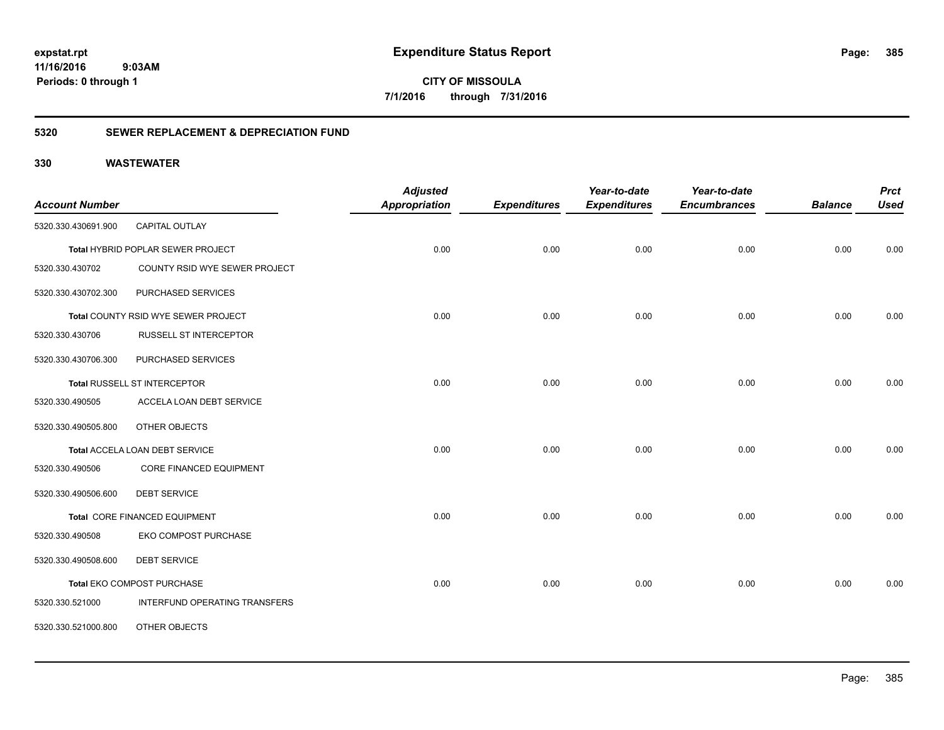**CITY OF MISSOULA 7/1/2016 through 7/31/2016**

### **5320 SEWER REPLACEMENT & DEPRECIATION FUND**

| <b>Account Number</b> |                                     | <b>Adjusted</b><br><b>Appropriation</b> | <b>Expenditures</b> | Year-to-date<br><b>Expenditures</b> | Year-to-date<br><b>Encumbrances</b> | <b>Balance</b> | <b>Prct</b><br><b>Used</b> |
|-----------------------|-------------------------------------|-----------------------------------------|---------------------|-------------------------------------|-------------------------------------|----------------|----------------------------|
| 5320.330.430691.900   | CAPITAL OUTLAY                      |                                         |                     |                                     |                                     |                |                            |
|                       | Total HYBRID POPLAR SEWER PROJECT   | 0.00                                    | 0.00                | 0.00                                | 0.00                                | 0.00           | 0.00                       |
| 5320.330.430702       | COUNTY RSID WYE SEWER PROJECT       |                                         |                     |                                     |                                     |                |                            |
| 5320.330.430702.300   | PURCHASED SERVICES                  |                                         |                     |                                     |                                     |                |                            |
|                       | Total COUNTY RSID WYE SEWER PROJECT | 0.00                                    | 0.00                | 0.00                                | 0.00                                | 0.00           | 0.00                       |
| 5320.330.430706       | <b>RUSSELL ST INTERCEPTOR</b>       |                                         |                     |                                     |                                     |                |                            |
| 5320.330.430706.300   | PURCHASED SERVICES                  |                                         |                     |                                     |                                     |                |                            |
|                       | Total RUSSELL ST INTERCEPTOR        | 0.00                                    | 0.00                | 0.00                                | 0.00                                | 0.00           | 0.00                       |
| 5320.330.490505       | ACCELA LOAN DEBT SERVICE            |                                         |                     |                                     |                                     |                |                            |
| 5320.330.490505.800   | OTHER OBJECTS                       |                                         |                     |                                     |                                     |                |                            |
|                       | Total ACCELA LOAN DEBT SERVICE      | 0.00                                    | 0.00                | 0.00                                | 0.00                                | 0.00           | 0.00                       |
| 5320.330.490506       | <b>CORE FINANCED EQUIPMENT</b>      |                                         |                     |                                     |                                     |                |                            |
| 5320.330.490506.600   | <b>DEBT SERVICE</b>                 |                                         |                     |                                     |                                     |                |                            |
|                       | Total CORE FINANCED EQUIPMENT       | 0.00                                    | 0.00                | 0.00                                | 0.00                                | 0.00           | 0.00                       |
| 5320.330.490508       | EKO COMPOST PURCHASE                |                                         |                     |                                     |                                     |                |                            |
| 5320.330.490508.600   | <b>DEBT SERVICE</b>                 |                                         |                     |                                     |                                     |                |                            |
|                       | Total EKO COMPOST PURCHASE          | 0.00                                    | 0.00                | 0.00                                | 0.00                                | 0.00           | 0.00                       |
| 5320.330.521000       | INTERFUND OPERATING TRANSFERS       |                                         |                     |                                     |                                     |                |                            |
| 5320.330.521000.800   | OTHER OBJECTS                       |                                         |                     |                                     |                                     |                |                            |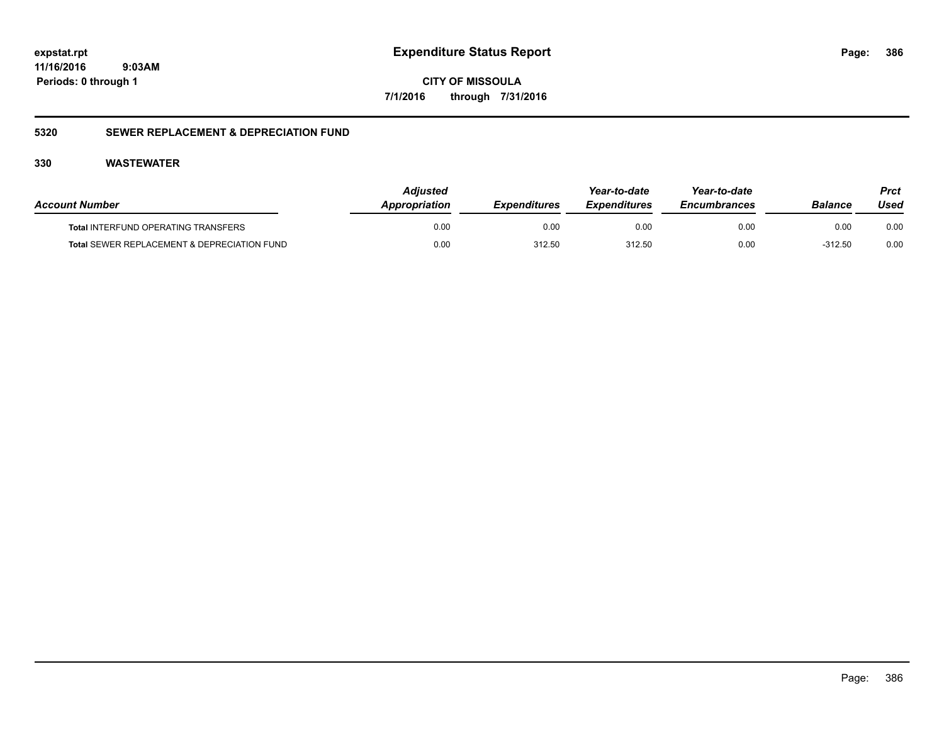**CITY OF MISSOULA 7/1/2016 through 7/31/2016**

### **5320 SEWER REPLACEMENT & DEPRECIATION FUND**

| <b>Account Number</b>                                  | <b>Adiusted</b><br>Appropriation | <i><b>Expenditures</b></i> | Year-to-date<br><i><b>Expenditures</b></i> | Year-to-date<br><b>Encumbrances</b> | <b>Balance</b> | Prct<br>Used |
|--------------------------------------------------------|----------------------------------|----------------------------|--------------------------------------------|-------------------------------------|----------------|--------------|
| <b>Total INTERFUND OPERATING TRANSFERS</b>             | 0.00                             | 0.00                       | 0.00                                       | 0.00                                | 0.00           | 0.00         |
| <b>Total SEWER REPLACEMENT &amp; DEPRECIATION FUND</b> | 0.00                             | 312.50                     | 312.50                                     | 0.00                                | $-312.50$      | 0.00         |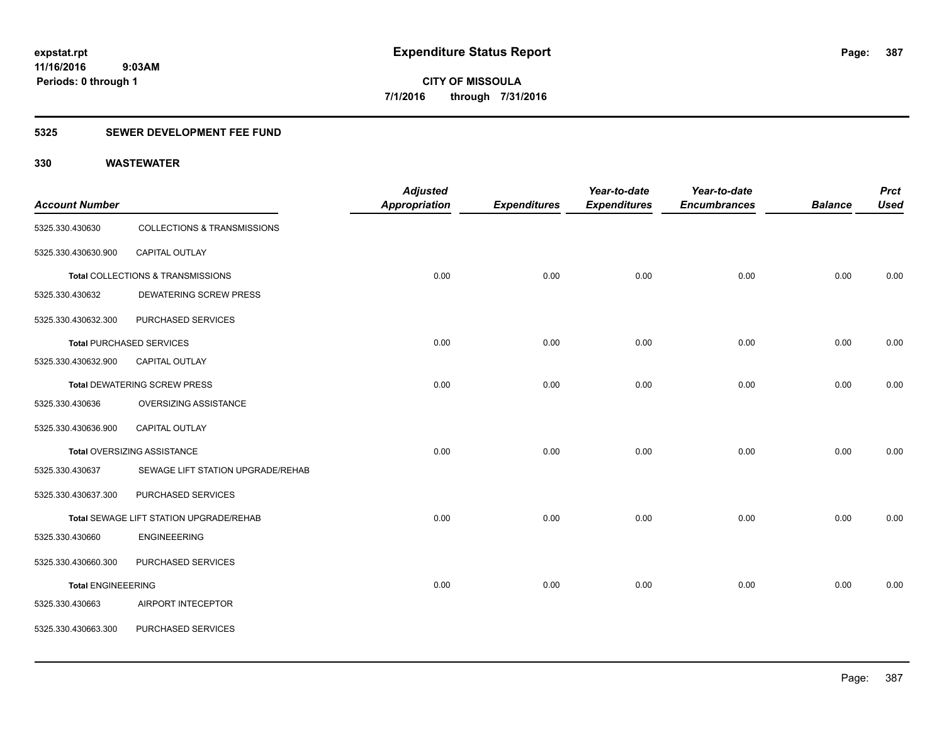### **5325 SEWER DEVELOPMENT FEE FUND**

| <b>Account Number</b>     |                                         | <b>Adjusted</b><br><b>Appropriation</b> | <b>Expenditures</b> | Year-to-date<br><b>Expenditures</b> | Year-to-date<br><b>Encumbrances</b> | <b>Balance</b> | <b>Prct</b><br><b>Used</b> |
|---------------------------|-----------------------------------------|-----------------------------------------|---------------------|-------------------------------------|-------------------------------------|----------------|----------------------------|
| 5325.330.430630           | COLLECTIONS & TRANSMISSIONS             |                                         |                     |                                     |                                     |                |                            |
| 5325.330.430630.900       | CAPITAL OUTLAY                          |                                         |                     |                                     |                                     |                |                            |
|                           | Total COLLECTIONS & TRANSMISSIONS       | 0.00                                    | 0.00                | 0.00                                | 0.00                                | 0.00           | 0.00                       |
| 5325.330.430632           | <b>DEWATERING SCREW PRESS</b>           |                                         |                     |                                     |                                     |                |                            |
| 5325.330.430632.300       | PURCHASED SERVICES                      |                                         |                     |                                     |                                     |                |                            |
|                           | <b>Total PURCHASED SERVICES</b>         | 0.00                                    | 0.00                | 0.00                                | 0.00                                | 0.00           | 0.00                       |
| 5325.330.430632.900       | <b>CAPITAL OUTLAY</b>                   |                                         |                     |                                     |                                     |                |                            |
|                           | <b>Total DEWATERING SCREW PRESS</b>     | 0.00                                    | 0.00                | 0.00                                | 0.00                                | 0.00           | 0.00                       |
| 5325.330.430636           | OVERSIZING ASSISTANCE                   |                                         |                     |                                     |                                     |                |                            |
| 5325.330.430636.900       | <b>CAPITAL OUTLAY</b>                   |                                         |                     |                                     |                                     |                |                            |
|                           | <b>Total OVERSIZING ASSISTANCE</b>      | 0.00                                    | 0.00                | 0.00                                | 0.00                                | 0.00           | 0.00                       |
| 5325.330.430637           | SEWAGE LIFT STATION UPGRADE/REHAB       |                                         |                     |                                     |                                     |                |                            |
| 5325.330.430637.300       | PURCHASED SERVICES                      |                                         |                     |                                     |                                     |                |                            |
|                           | Total SEWAGE LIFT STATION UPGRADE/REHAB | 0.00                                    | 0.00                | 0.00                                | 0.00                                | 0.00           | 0.00                       |
| 5325.330.430660           | <b>ENGINEEERING</b>                     |                                         |                     |                                     |                                     |                |                            |
| 5325.330.430660.300       | PURCHASED SERVICES                      |                                         |                     |                                     |                                     |                |                            |
| <b>Total ENGINEEERING</b> |                                         | 0.00                                    | 0.00                | 0.00                                | 0.00                                | 0.00           | 0.00                       |
| 5325.330.430663           | AIRPORT INTECEPTOR                      |                                         |                     |                                     |                                     |                |                            |
| 5325.330.430663.300       | PURCHASED SERVICES                      |                                         |                     |                                     |                                     |                |                            |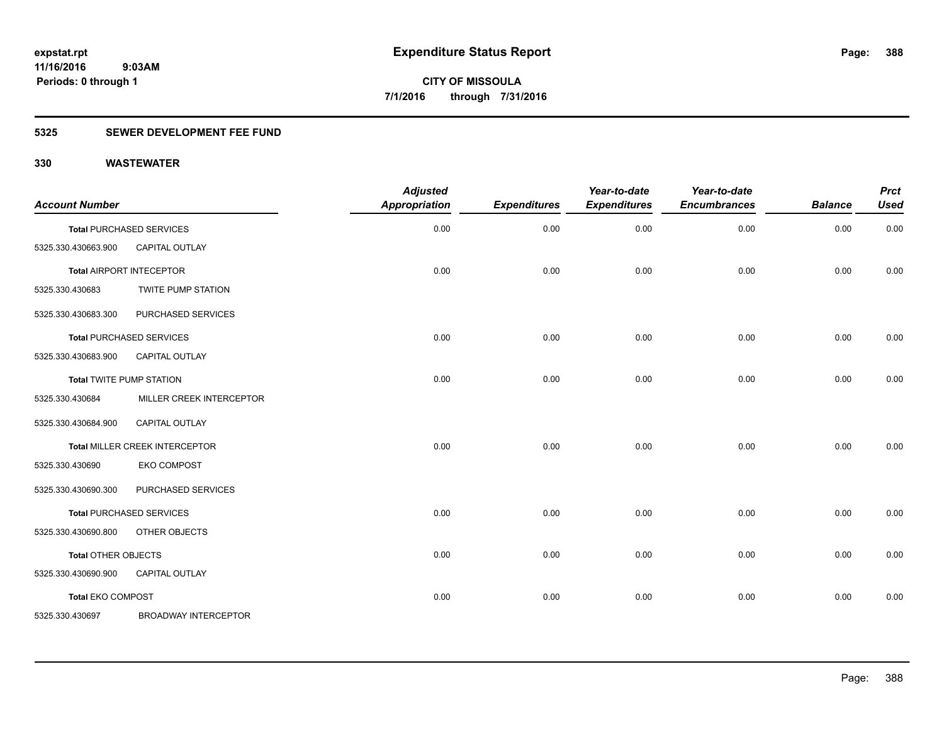### **5325 SEWER DEVELOPMENT FEE FUND**

| <b>Account Number</b>      |                                 | <b>Adjusted</b><br><b>Appropriation</b> | <b>Expenditures</b> | Year-to-date<br><b>Expenditures</b> | Year-to-date<br><b>Encumbrances</b> | <b>Balance</b> | <b>Prct</b><br><b>Used</b> |
|----------------------------|---------------------------------|-----------------------------------------|---------------------|-------------------------------------|-------------------------------------|----------------|----------------------------|
|                            | <b>Total PURCHASED SERVICES</b> | 0.00                                    | 0.00                | 0.00                                | 0.00                                | 0.00           | 0.00                       |
| 5325.330.430663.900        | <b>CAPITAL OUTLAY</b>           |                                         |                     |                                     |                                     |                |                            |
|                            | <b>Total AIRPORT INTECEPTOR</b> | 0.00                                    | 0.00                | 0.00                                | 0.00                                | 0.00           | 0.00                       |
| 5325.330.430683            | <b>TWITE PUMP STATION</b>       |                                         |                     |                                     |                                     |                |                            |
| 5325.330.430683.300        | PURCHASED SERVICES              |                                         |                     |                                     |                                     |                |                            |
|                            | <b>Total PURCHASED SERVICES</b> | 0.00                                    | 0.00                | 0.00                                | 0.00                                | 0.00           | 0.00                       |
| 5325.330.430683.900        | CAPITAL OUTLAY                  |                                         |                     |                                     |                                     |                |                            |
|                            | <b>Total TWITE PUMP STATION</b> | 0.00                                    | 0.00                | 0.00                                | 0.00                                | 0.00           | 0.00                       |
| 5325.330.430684            | MILLER CREEK INTERCEPTOR        |                                         |                     |                                     |                                     |                |                            |
| 5325.330.430684.900        | CAPITAL OUTLAY                  |                                         |                     |                                     |                                     |                |                            |
|                            | Total MILLER CREEK INTERCEPTOR  | 0.00                                    | 0.00                | 0.00                                | 0.00                                | 0.00           | 0.00                       |
| 5325.330.430690            | <b>EKO COMPOST</b>              |                                         |                     |                                     |                                     |                |                            |
| 5325.330.430690.300        | PURCHASED SERVICES              |                                         |                     |                                     |                                     |                |                            |
|                            | <b>Total PURCHASED SERVICES</b> | 0.00                                    | 0.00                | 0.00                                | 0.00                                | 0.00           | 0.00                       |
| 5325.330.430690.800        | OTHER OBJECTS                   |                                         |                     |                                     |                                     |                |                            |
| <b>Total OTHER OBJECTS</b> |                                 | 0.00                                    | 0.00                | 0.00                                | 0.00                                | 0.00           | 0.00                       |
| 5325.330.430690.900        | CAPITAL OUTLAY                  |                                         |                     |                                     |                                     |                |                            |
| <b>Total EKO COMPOST</b>   |                                 | 0.00                                    | 0.00                | 0.00                                | 0.00                                | 0.00           | 0.00                       |
| 5325.330.430697            | <b>BROADWAY INTERCEPTOR</b>     |                                         |                     |                                     |                                     |                |                            |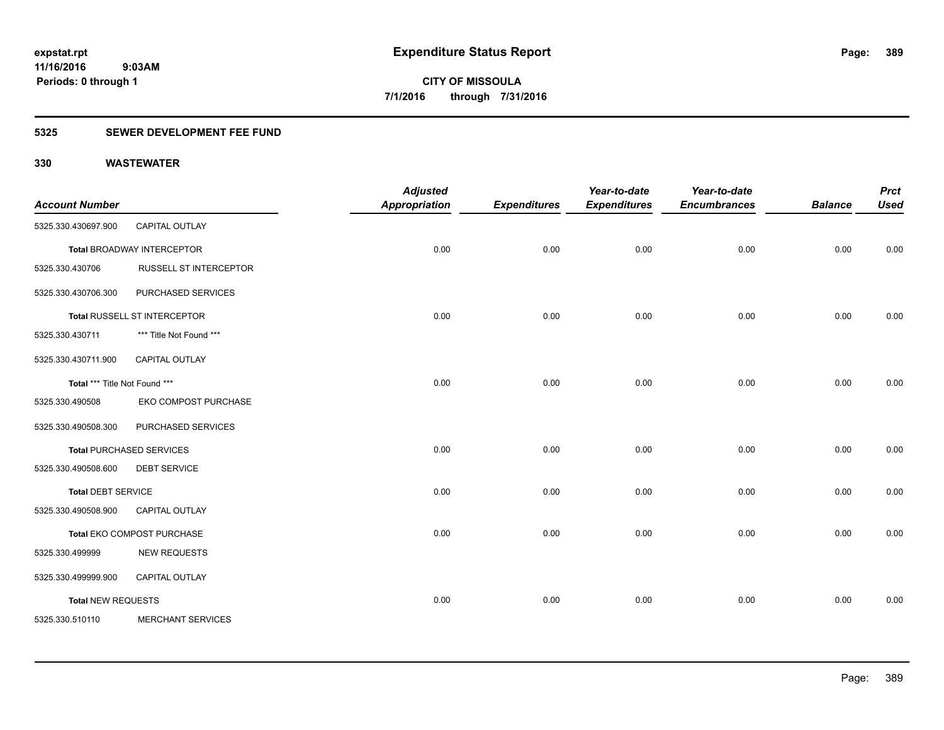### **5325 SEWER DEVELOPMENT FEE FUND**

| <b>Account Number</b>         |                                   | <b>Adjusted</b><br>Appropriation | <b>Expenditures</b> | Year-to-date<br><b>Expenditures</b> | Year-to-date<br><b>Encumbrances</b> | <b>Balance</b> | <b>Prct</b><br><b>Used</b> |
|-------------------------------|-----------------------------------|----------------------------------|---------------------|-------------------------------------|-------------------------------------|----------------|----------------------------|
| 5325.330.430697.900           | CAPITAL OUTLAY                    |                                  |                     |                                     |                                     |                |                            |
|                               | <b>Total BROADWAY INTERCEPTOR</b> | 0.00                             | 0.00                | 0.00                                | 0.00                                | 0.00           | 0.00                       |
| 5325.330.430706               | RUSSELL ST INTERCEPTOR            |                                  |                     |                                     |                                     |                |                            |
| 5325.330.430706.300           | PURCHASED SERVICES                |                                  |                     |                                     |                                     |                |                            |
|                               | Total RUSSELL ST INTERCEPTOR      | 0.00                             | 0.00                | 0.00                                | 0.00                                | 0.00           | 0.00                       |
| 5325.330.430711               | *** Title Not Found ***           |                                  |                     |                                     |                                     |                |                            |
| 5325.330.430711.900           | <b>CAPITAL OUTLAY</b>             |                                  |                     |                                     |                                     |                |                            |
| Total *** Title Not Found *** |                                   | 0.00                             | 0.00                | 0.00                                | 0.00                                | 0.00           | 0.00                       |
| 5325.330.490508               | EKO COMPOST PURCHASE              |                                  |                     |                                     |                                     |                |                            |
| 5325.330.490508.300           | PURCHASED SERVICES                |                                  |                     |                                     |                                     |                |                            |
|                               | <b>Total PURCHASED SERVICES</b>   | 0.00                             | 0.00                | 0.00                                | 0.00                                | 0.00           | 0.00                       |
| 5325.330.490508.600           | <b>DEBT SERVICE</b>               |                                  |                     |                                     |                                     |                |                            |
| <b>Total DEBT SERVICE</b>     |                                   | 0.00                             | 0.00                | 0.00                                | 0.00                                | 0.00           | 0.00                       |
| 5325.330.490508.900           | <b>CAPITAL OUTLAY</b>             |                                  |                     |                                     |                                     |                |                            |
|                               | Total EKO COMPOST PURCHASE        | 0.00                             | 0.00                | 0.00                                | 0.00                                | 0.00           | 0.00                       |
| 5325.330.499999               | <b>NEW REQUESTS</b>               |                                  |                     |                                     |                                     |                |                            |
| 5325.330.499999.900           | <b>CAPITAL OUTLAY</b>             |                                  |                     |                                     |                                     |                |                            |
| <b>Total NEW REQUESTS</b>     |                                   | 0.00                             | 0.00                | 0.00                                | 0.00                                | 0.00           | 0.00                       |
| 5325.330.510110               | <b>MERCHANT SERVICES</b>          |                                  |                     |                                     |                                     |                |                            |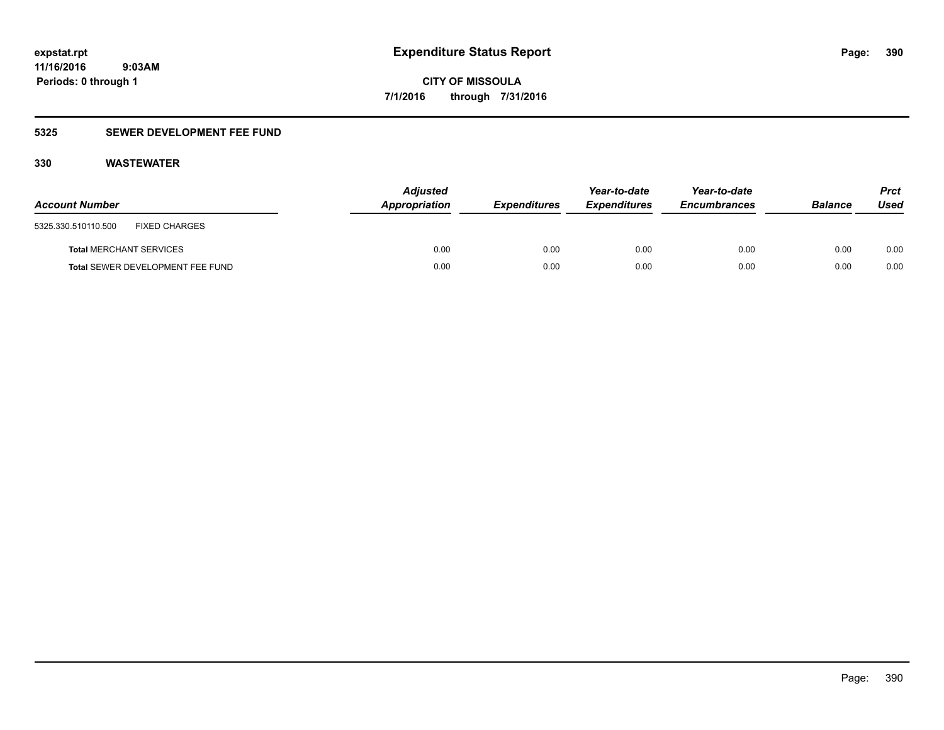### **5325 SEWER DEVELOPMENT FEE FUND**

| <b>Account Number</b>                       | <b>Adjusted</b><br>Appropriation | <b>Expenditures</b> | Year-to-date<br><b>Expenditures</b> | Year-to-date<br><b>Encumbrances</b> | <b>Balance</b> | <b>Prct</b><br>Used |
|---------------------------------------------|----------------------------------|---------------------|-------------------------------------|-------------------------------------|----------------|---------------------|
| <b>FIXED CHARGES</b><br>5325.330.510110.500 |                                  |                     |                                     |                                     |                |                     |
| <b>Total MERCHANT SERVICES</b>              | 0.00                             | 0.00                | 0.00                                | 0.00                                | 0.00           | 0.00                |
| Total SEWER DEVELOPMENT FEE FUND            | 0.00                             | 0.00                | 0.00                                | 0.00                                | 0.00           | 0.00                |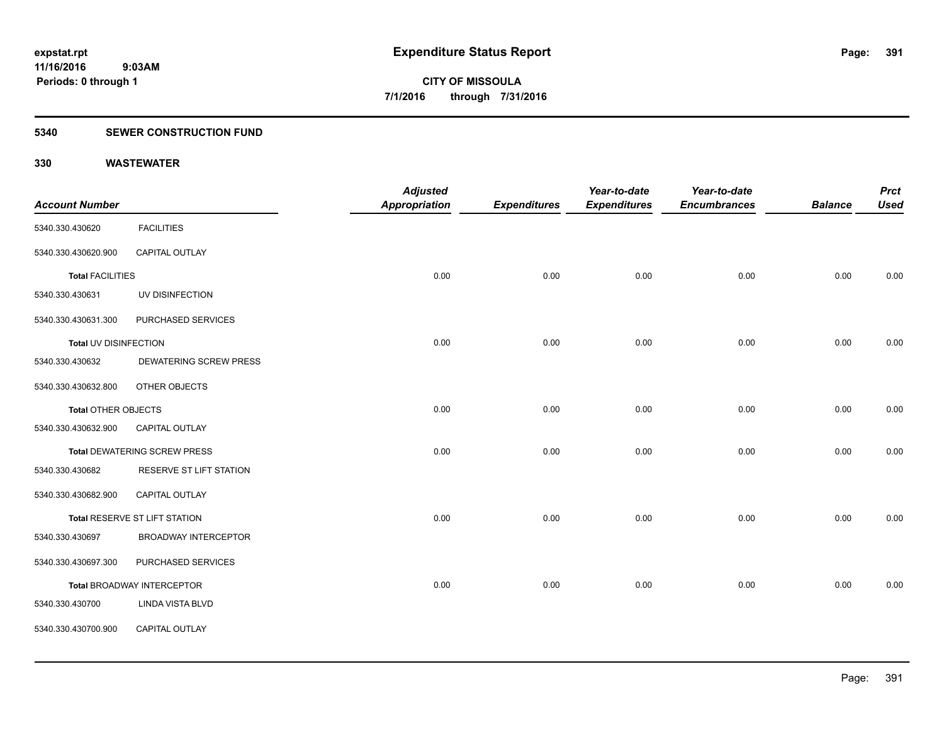### **5340 SEWER CONSTRUCTION FUND**

|                            |                                     | <b>Adjusted</b> |                     | Year-to-date        | Year-to-date        |                | <b>Prct</b> |
|----------------------------|-------------------------------------|-----------------|---------------------|---------------------|---------------------|----------------|-------------|
| <b>Account Number</b>      |                                     | Appropriation   | <b>Expenditures</b> | <b>Expenditures</b> | <b>Encumbrances</b> | <b>Balance</b> | <b>Used</b> |
| 5340.330.430620            | <b>FACILITIES</b>                   |                 |                     |                     |                     |                |             |
| 5340.330.430620.900        | CAPITAL OUTLAY                      |                 |                     |                     |                     |                |             |
| <b>Total FACILITIES</b>    |                                     | 0.00            | 0.00                | 0.00                | 0.00                | 0.00           | 0.00        |
| 5340.330.430631            | UV DISINFECTION                     |                 |                     |                     |                     |                |             |
| 5340.330.430631.300        | PURCHASED SERVICES                  |                 |                     |                     |                     |                |             |
| Total UV DISINFECTION      |                                     | 0.00            | 0.00                | 0.00                | 0.00                | 0.00           | 0.00        |
| 5340.330.430632            | <b>DEWATERING SCREW PRESS</b>       |                 |                     |                     |                     |                |             |
| 5340.330.430632.800        | OTHER OBJECTS                       |                 |                     |                     |                     |                |             |
| <b>Total OTHER OBJECTS</b> |                                     | 0.00            | 0.00                | 0.00                | 0.00                | 0.00           | 0.00        |
| 5340.330.430632.900        | CAPITAL OUTLAY                      |                 |                     |                     |                     |                |             |
|                            | <b>Total DEWATERING SCREW PRESS</b> | 0.00            | 0.00                | 0.00                | 0.00                | 0.00           | 0.00        |
| 5340.330.430682            | RESERVE ST LIFT STATION             |                 |                     |                     |                     |                |             |
| 5340.330.430682.900        | CAPITAL OUTLAY                      |                 |                     |                     |                     |                |             |
|                            | Total RESERVE ST LIFT STATION       | 0.00            | 0.00                | 0.00                | 0.00                | 0.00           | 0.00        |
| 5340.330.430697            | <b>BROADWAY INTERCEPTOR</b>         |                 |                     |                     |                     |                |             |
| 5340.330.430697.300        | PURCHASED SERVICES                  |                 |                     |                     |                     |                |             |
|                            | Total BROADWAY INTERCEPTOR          | 0.00            | 0.00                | 0.00                | 0.00                | 0.00           | 0.00        |
| 5340.330.430700            | LINDA VISTA BLVD                    |                 |                     |                     |                     |                |             |
| 5340.330.430700.900        | CAPITAL OUTLAY                      |                 |                     |                     |                     |                |             |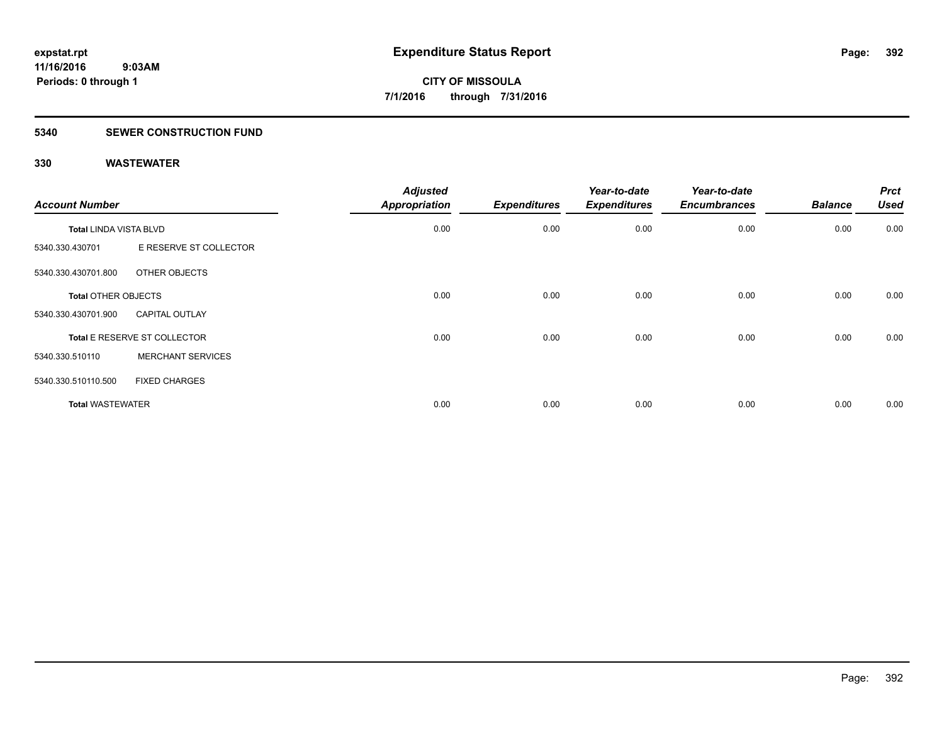### **5340 SEWER CONSTRUCTION FUND**

| <b>Account Number</b>         |                              | <b>Adjusted</b><br><b>Appropriation</b> | <b>Expenditures</b> | Year-to-date<br><b>Expenditures</b> | Year-to-date<br><b>Encumbrances</b> | <b>Balance</b> | <b>Prct</b><br><b>Used</b> |
|-------------------------------|------------------------------|-----------------------------------------|---------------------|-------------------------------------|-------------------------------------|----------------|----------------------------|
| <b>Total LINDA VISTA BLVD</b> |                              | 0.00                                    | 0.00                | 0.00                                | 0.00                                | 0.00           | 0.00                       |
| 5340.330.430701               | E RESERVE ST COLLECTOR       |                                         |                     |                                     |                                     |                |                            |
| 5340.330.430701.800           | OTHER OBJECTS                |                                         |                     |                                     |                                     |                |                            |
| <b>Total OTHER OBJECTS</b>    |                              | 0.00                                    | 0.00                | 0.00                                | 0.00                                | 0.00           | 0.00                       |
| 5340.330.430701.900           | <b>CAPITAL OUTLAY</b>        |                                         |                     |                                     |                                     |                |                            |
|                               | Total E RESERVE ST COLLECTOR | 0.00                                    | 0.00                | 0.00                                | 0.00                                | 0.00           | 0.00                       |
| 5340.330.510110               | <b>MERCHANT SERVICES</b>     |                                         |                     |                                     |                                     |                |                            |
| 5340.330.510110.500           | <b>FIXED CHARGES</b>         |                                         |                     |                                     |                                     |                |                            |
| <b>Total WASTEWATER</b>       |                              | 0.00                                    | 0.00                | 0.00                                | 0.00                                | 0.00           | 0.00                       |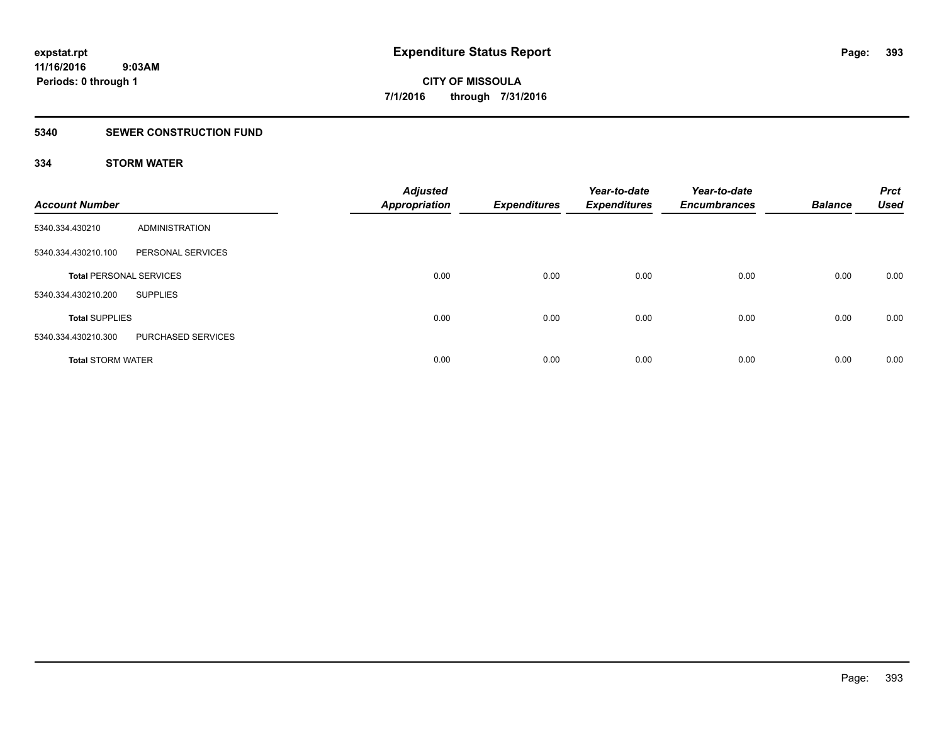### **5340 SEWER CONSTRUCTION FUND**

### **334 STORM WATER**

| <b>Account Number</b>          |                    | <b>Adjusted</b><br><b>Appropriation</b> | <b>Expenditures</b> | Year-to-date<br><b>Expenditures</b> | Year-to-date<br><b>Encumbrances</b> | <b>Balance</b> | <b>Prct</b><br><b>Used</b> |
|--------------------------------|--------------------|-----------------------------------------|---------------------|-------------------------------------|-------------------------------------|----------------|----------------------------|
| 5340.334.430210                | ADMINISTRATION     |                                         |                     |                                     |                                     |                |                            |
| 5340.334.430210.100            | PERSONAL SERVICES  |                                         |                     |                                     |                                     |                |                            |
| <b>Total PERSONAL SERVICES</b> |                    | 0.00                                    | 0.00                | 0.00                                | 0.00                                | 0.00           | 0.00                       |
| 5340.334.430210.200            | <b>SUPPLIES</b>    |                                         |                     |                                     |                                     |                |                            |
| <b>Total SUPPLIES</b>          |                    | 0.00                                    | 0.00                | 0.00                                | 0.00                                | 0.00           | 0.00                       |
| 5340.334.430210.300            | PURCHASED SERVICES |                                         |                     |                                     |                                     |                |                            |
| <b>Total STORM WATER</b>       |                    | 0.00                                    | 0.00                | 0.00                                | 0.00                                | 0.00           | 0.00                       |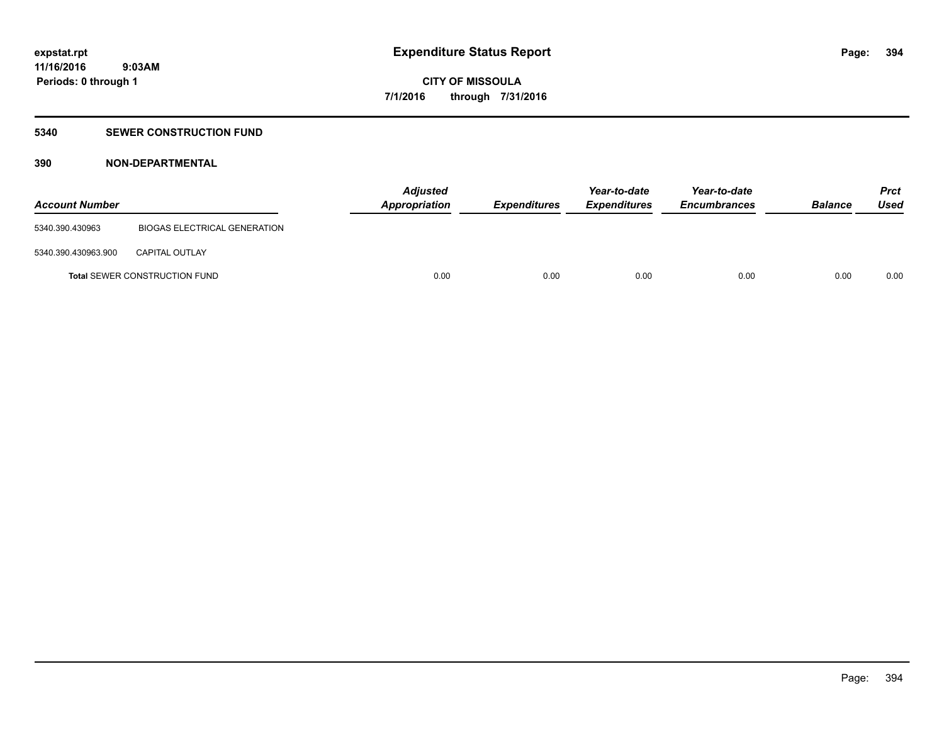### **5340 SEWER CONSTRUCTION FUND**

### **390 NON-DEPARTMENTAL**

| <b>Account Number</b> |                                      | <b>Adjusted</b><br>Appropriation | <i><b>Expenditures</b></i> | Year-to-date<br><i><b>Expenditures</b></i> | Year-to-date<br><b>Encumbrances</b> | <b>Balance</b> | <b>Prct</b><br>Used |
|-----------------------|--------------------------------------|----------------------------------|----------------------------|--------------------------------------------|-------------------------------------|----------------|---------------------|
| 5340.390.430963       | <b>BIOGAS ELECTRICAL GENERATION</b>  |                                  |                            |                                            |                                     |                |                     |
| 5340.390.430963.900   | <b>CAPITAL OUTLAY</b>                |                                  |                            |                                            |                                     |                |                     |
|                       | <b>Total SEWER CONSTRUCTION FUND</b> | 0.00                             | 0.00                       | 0.00                                       | 0.00                                | 0.00           | 0.00                |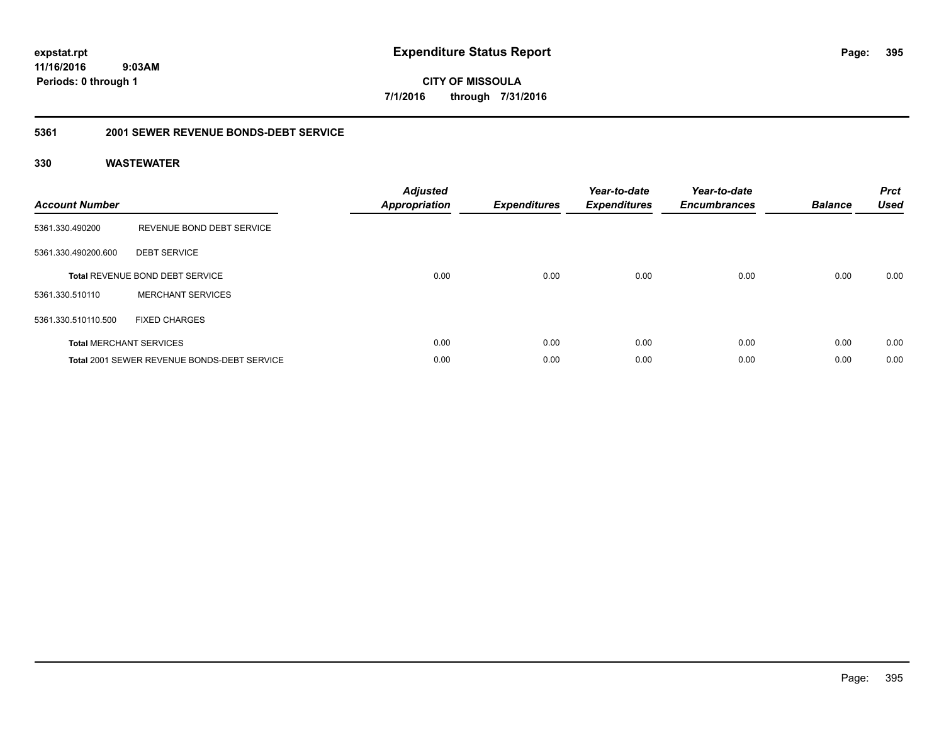**CITY OF MISSOULA 7/1/2016 through 7/31/2016**

### **5361 2001 SEWER REVENUE BONDS-DEBT SERVICE**

| <b>Account Number</b> |                                                    | <b>Adjusted</b><br>Appropriation | <b>Expenditures</b> | Year-to-date<br><b>Expenditures</b> | Year-to-date<br><b>Encumbrances</b> | <b>Balance</b> | <b>Prct</b><br><b>Used</b> |
|-----------------------|----------------------------------------------------|----------------------------------|---------------------|-------------------------------------|-------------------------------------|----------------|----------------------------|
| 5361.330.490200       | REVENUE BOND DEBT SERVICE                          |                                  |                     |                                     |                                     |                |                            |
| 5361.330.490200.600   | <b>DEBT SERVICE</b>                                |                                  |                     |                                     |                                     |                |                            |
|                       | <b>Total REVENUE BOND DEBT SERVICE</b>             | 0.00                             | 0.00                | 0.00                                | 0.00                                | 0.00           | 0.00                       |
| 5361.330.510110       | <b>MERCHANT SERVICES</b>                           |                                  |                     |                                     |                                     |                |                            |
| 5361.330.510110.500   | <b>FIXED CHARGES</b>                               |                                  |                     |                                     |                                     |                |                            |
|                       | <b>Total MERCHANT SERVICES</b>                     | 0.00                             | 0.00                | 0.00                                | 0.00                                | 0.00           | 0.00                       |
|                       | <b>Total 2001 SEWER REVENUE BONDS-DEBT SERVICE</b> | 0.00                             | 0.00                | 0.00                                | 0.00                                | 0.00           | 0.00                       |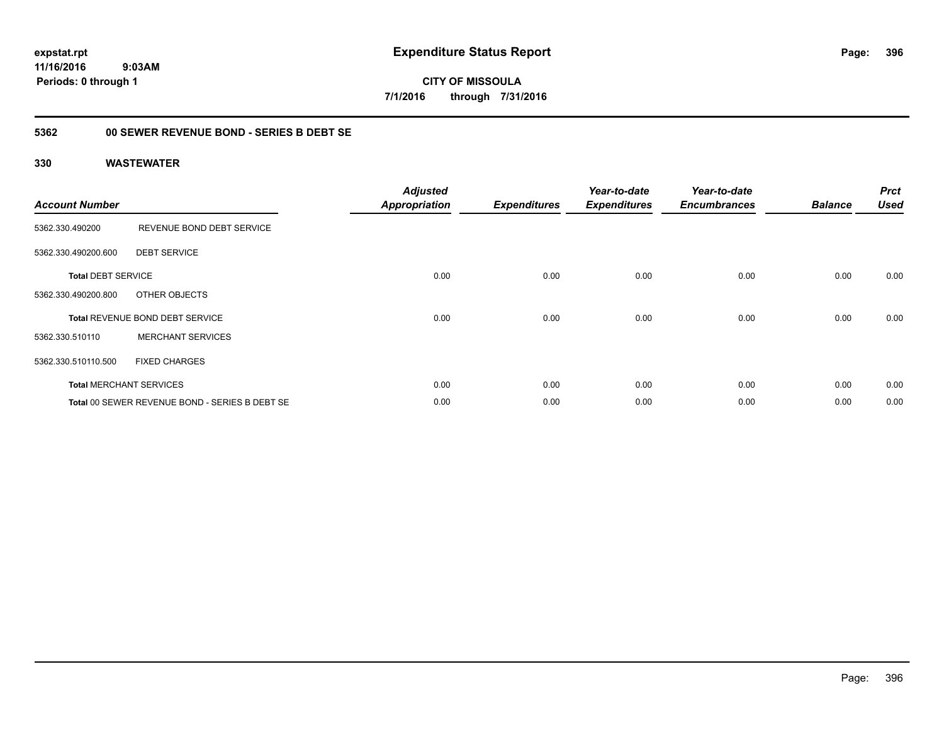**expstat.rpt Expenditure Status Report Page:**

**11/16/2016 9:03AM Periods: 0 through 1**

**CITY OF MISSOULA 7/1/2016 through 7/31/2016**

### **5362 00 SEWER REVENUE BOND - SERIES B DEBT SE**

| <b>Account Number</b>     |                                                | <b>Adjusted</b><br><b>Appropriation</b> | <b>Expenditures</b> | Year-to-date<br><b>Expenditures</b> | Year-to-date<br><b>Encumbrances</b> | <b>Balance</b> | <b>Prct</b><br><b>Used</b> |
|---------------------------|------------------------------------------------|-----------------------------------------|---------------------|-------------------------------------|-------------------------------------|----------------|----------------------------|
| 5362.330.490200           | REVENUE BOND DEBT SERVICE                      |                                         |                     |                                     |                                     |                |                            |
| 5362.330.490200.600       | <b>DEBT SERVICE</b>                            |                                         |                     |                                     |                                     |                |                            |
| <b>Total DEBT SERVICE</b> |                                                | 0.00                                    | 0.00                | 0.00                                | 0.00                                | 0.00           | 0.00                       |
| 5362.330.490200.800       | OTHER OBJECTS                                  |                                         |                     |                                     |                                     |                |                            |
|                           | <b>Total REVENUE BOND DEBT SERVICE</b>         | 0.00                                    | 0.00                | 0.00                                | 0.00                                | 0.00           | 0.00                       |
| 5362.330.510110           | <b>MERCHANT SERVICES</b>                       |                                         |                     |                                     |                                     |                |                            |
| 5362.330.510110.500       | <b>FIXED CHARGES</b>                           |                                         |                     |                                     |                                     |                |                            |
|                           | <b>Total MERCHANT SERVICES</b>                 | 0.00                                    | 0.00                | 0.00                                | 0.00                                | 0.00           | 0.00                       |
|                           | Total 00 SEWER REVENUE BOND - SERIES B DEBT SE | 0.00                                    | 0.00                | 0.00                                | 0.00                                | 0.00           | 0.00                       |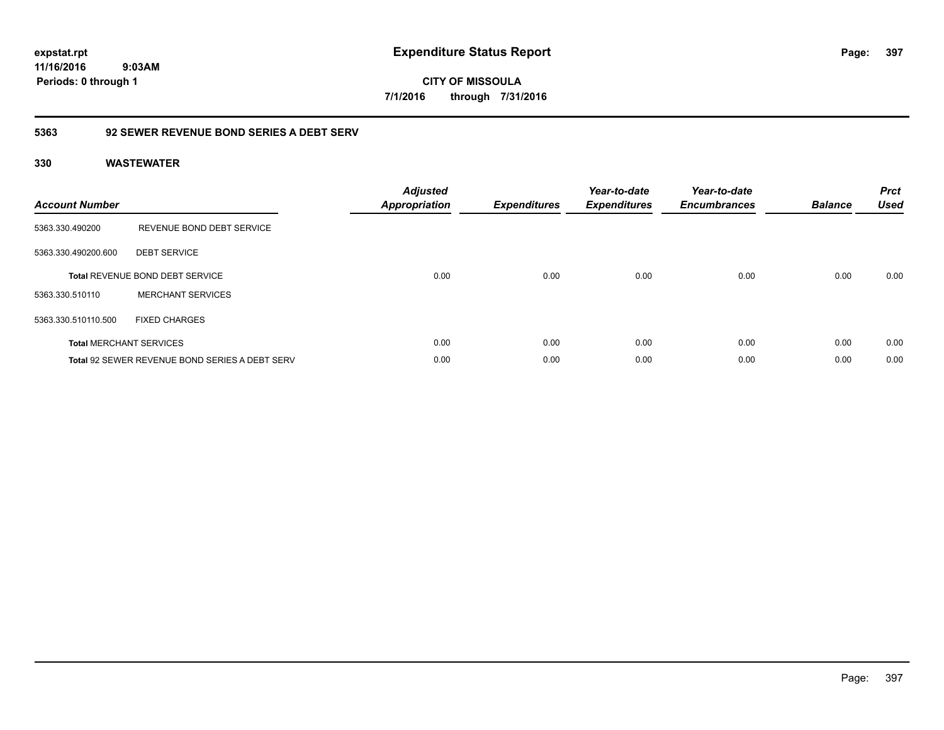**CITY OF MISSOULA 7/1/2016 through 7/31/2016**

## **5363 92 SEWER REVENUE BOND SERIES A DEBT SERV**

| <b>Account Number</b> |                                                       | <b>Adjusted</b><br><b>Appropriation</b> | <b>Expenditures</b> | Year-to-date<br><b>Expenditures</b> | Year-to-date<br><b>Encumbrances</b> | <b>Balance</b> | <b>Prct</b><br><b>Used</b> |
|-----------------------|-------------------------------------------------------|-----------------------------------------|---------------------|-------------------------------------|-------------------------------------|----------------|----------------------------|
| 5363.330.490200       | REVENUE BOND DEBT SERVICE                             |                                         |                     |                                     |                                     |                |                            |
| 5363.330.490200.600   | <b>DEBT SERVICE</b>                                   |                                         |                     |                                     |                                     |                |                            |
|                       | <b>Total REVENUE BOND DEBT SERVICE</b>                | 0.00                                    | 0.00                | 0.00                                | 0.00                                | 0.00           | 0.00                       |
| 5363.330.510110       | <b>MERCHANT SERVICES</b>                              |                                         |                     |                                     |                                     |                |                            |
| 5363.330.510110.500   | <b>FIXED CHARGES</b>                                  |                                         |                     |                                     |                                     |                |                            |
|                       | <b>Total MERCHANT SERVICES</b>                        | 0.00                                    | 0.00                | 0.00                                | 0.00                                | 0.00           | 0.00                       |
|                       | <b>Total 92 SEWER REVENUE BOND SERIES A DEBT SERV</b> | 0.00                                    | 0.00                | 0.00                                | 0.00                                | 0.00           | 0.00                       |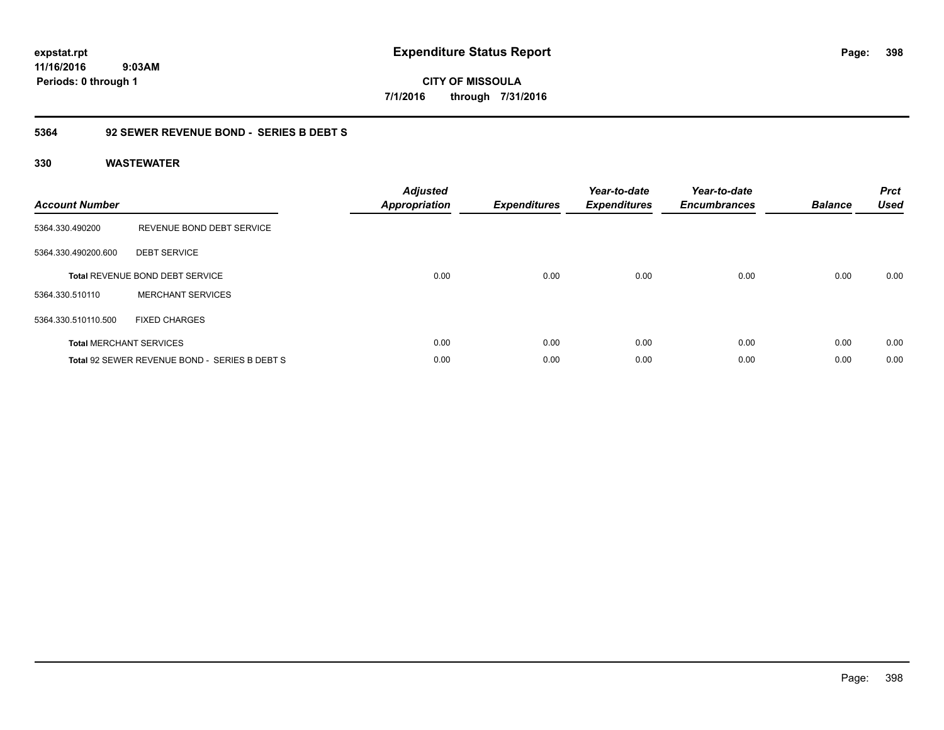**CITY OF MISSOULA 7/1/2016 through 7/31/2016**

## **5364 92 SEWER REVENUE BOND - SERIES B DEBT S**

| <b>Account Number</b> |                                               | <b>Adjusted</b><br>Appropriation | <b>Expenditures</b> | Year-to-date<br><b>Expenditures</b> | Year-to-date<br><b>Encumbrances</b> | <b>Balance</b> | <b>Prct</b><br><b>Used</b> |
|-----------------------|-----------------------------------------------|----------------------------------|---------------------|-------------------------------------|-------------------------------------|----------------|----------------------------|
| 5364.330.490200       | REVENUE BOND DEBT SERVICE                     |                                  |                     |                                     |                                     |                |                            |
| 5364.330.490200.600   | <b>DEBT SERVICE</b>                           |                                  |                     |                                     |                                     |                |                            |
|                       | <b>Total REVENUE BOND DEBT SERVICE</b>        | 0.00                             | 0.00                | 0.00                                | 0.00                                | 0.00           | 0.00                       |
| 5364.330.510110       | <b>MERCHANT SERVICES</b>                      |                                  |                     |                                     |                                     |                |                            |
| 5364.330.510110.500   | <b>FIXED CHARGES</b>                          |                                  |                     |                                     |                                     |                |                            |
|                       | <b>Total MERCHANT SERVICES</b>                | 0.00                             | 0.00                | 0.00                                | 0.00                                | 0.00           | 0.00                       |
|                       | Total 92 SEWER REVENUE BOND - SERIES B DEBT S | 0.00                             | 0.00                | 0.00                                | 0.00                                | 0.00           | 0.00                       |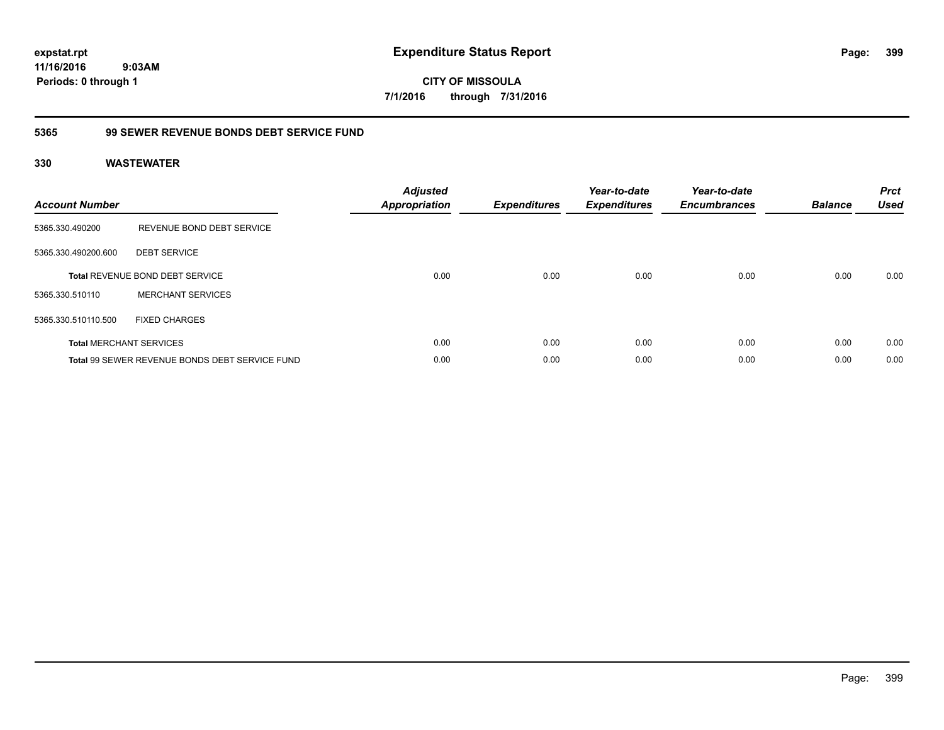**CITY OF MISSOULA 7/1/2016 through 7/31/2016**

## **5365 99 SEWER REVENUE BONDS DEBT SERVICE FUND**

| <b>Account Number</b> |                                                       | <b>Adjusted</b><br><b>Appropriation</b> | <b>Expenditures</b> | Year-to-date<br><b>Expenditures</b> | Year-to-date<br><b>Encumbrances</b> | <b>Balance</b> | <b>Prct</b><br><b>Used</b> |
|-----------------------|-------------------------------------------------------|-----------------------------------------|---------------------|-------------------------------------|-------------------------------------|----------------|----------------------------|
| 5365.330.490200       | REVENUE BOND DEBT SERVICE                             |                                         |                     |                                     |                                     |                |                            |
| 5365.330.490200.600   | <b>DEBT SERVICE</b>                                   |                                         |                     |                                     |                                     |                |                            |
|                       | <b>Total REVENUE BOND DEBT SERVICE</b>                | 0.00                                    | 0.00                | 0.00                                | 0.00                                | 0.00           | 0.00                       |
| 5365.330.510110       | <b>MERCHANT SERVICES</b>                              |                                         |                     |                                     |                                     |                |                            |
| 5365.330.510110.500   | <b>FIXED CHARGES</b>                                  |                                         |                     |                                     |                                     |                |                            |
|                       | <b>Total MERCHANT SERVICES</b>                        | 0.00                                    | 0.00                | 0.00                                | 0.00                                | 0.00           | 0.00                       |
|                       | <b>Total 99 SEWER REVENUE BONDS DEBT SERVICE FUND</b> | 0.00                                    | 0.00                | 0.00                                | 0.00                                | 0.00           | 0.00                       |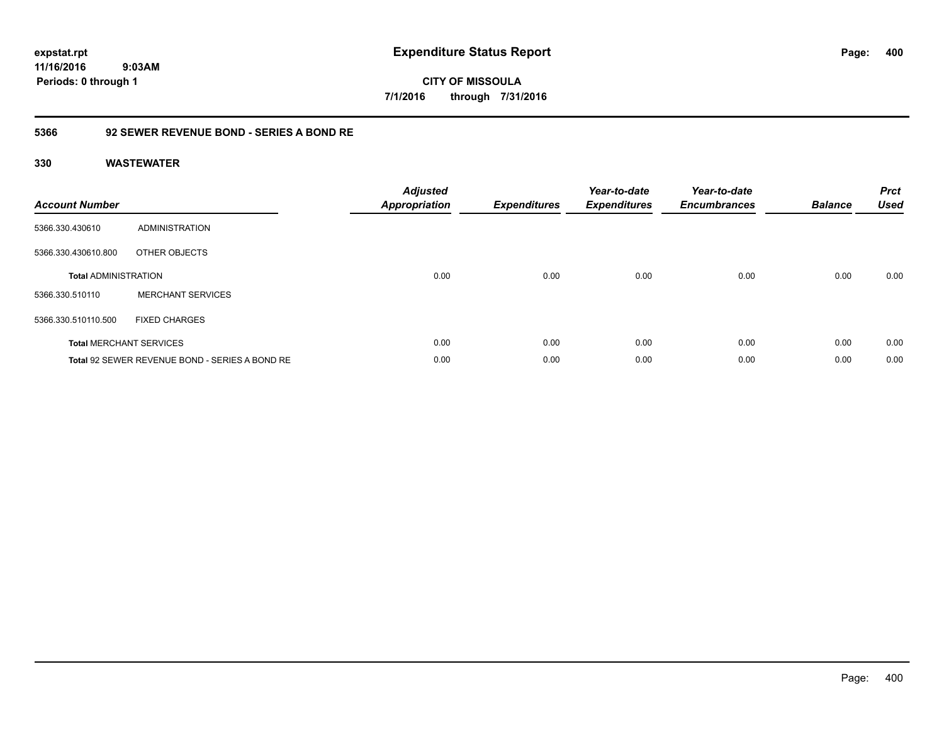**CITY OF MISSOULA 7/1/2016 through 7/31/2016**

## **5366 92 SEWER REVENUE BOND - SERIES A BOND RE**

| <b>Account Number</b>       |                                                | <b>Adjusted</b><br><b>Appropriation</b> | <b>Expenditures</b> | Year-to-date<br><b>Expenditures</b> | Year-to-date<br><b>Encumbrances</b> | <b>Balance</b> | <b>Prct</b><br><b>Used</b> |
|-----------------------------|------------------------------------------------|-----------------------------------------|---------------------|-------------------------------------|-------------------------------------|----------------|----------------------------|
| 5366.330.430610             | ADMINISTRATION                                 |                                         |                     |                                     |                                     |                |                            |
| 5366.330.430610.800         | OTHER OBJECTS                                  |                                         |                     |                                     |                                     |                |                            |
| <b>Total ADMINISTRATION</b> |                                                | 0.00                                    | 0.00                | 0.00                                | 0.00                                | 0.00           | 0.00                       |
| 5366.330.510110             | <b>MERCHANT SERVICES</b>                       |                                         |                     |                                     |                                     |                |                            |
| 5366.330.510110.500         | <b>FIXED CHARGES</b>                           |                                         |                     |                                     |                                     |                |                            |
|                             | <b>Total MERCHANT SERVICES</b>                 | 0.00                                    | 0.00                | 0.00                                | 0.00                                | 0.00           | 0.00                       |
|                             | Total 92 SEWER REVENUE BOND - SERIES A BOND RE | 0.00                                    | 0.00                | 0.00                                | 0.00                                | 0.00           | 0.00                       |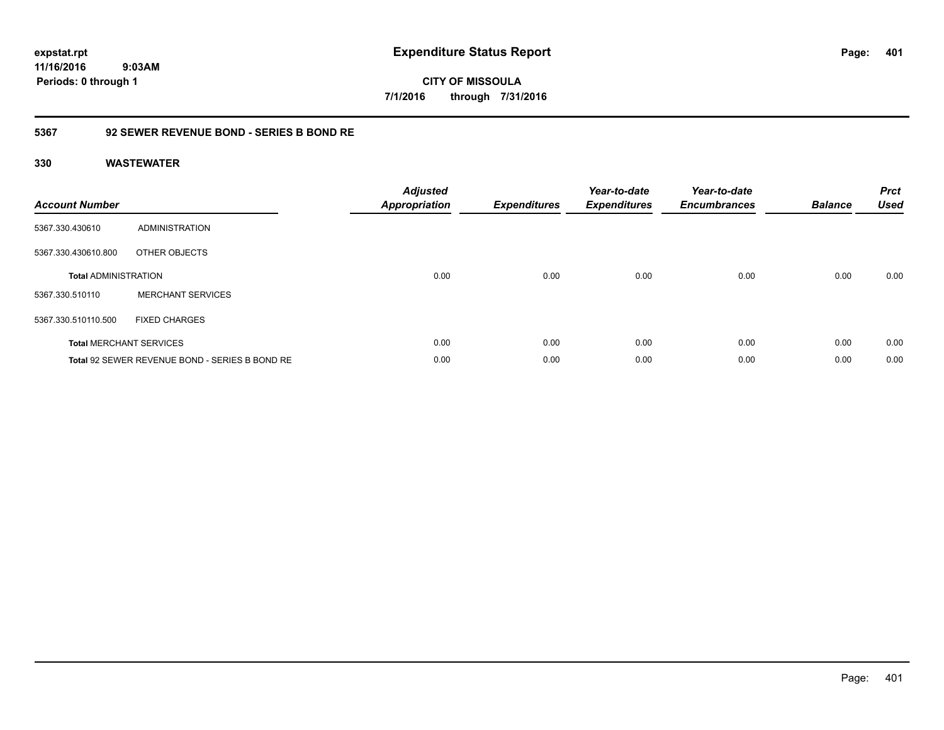**expstat.rpt Expenditure Status Report** 

**11/16/2016 9:03AM Periods: 0 through 1**

**CITY OF MISSOULA 7/1/2016 through 7/31/2016**

## **5367 92 SEWER REVENUE BOND - SERIES B BOND RE**

| <b>Account Number</b>       |                                                | <b>Adjusted</b><br><b>Appropriation</b> | <b>Expenditures</b> | Year-to-date<br><b>Expenditures</b> | Year-to-date<br><b>Encumbrances</b> | <b>Balance</b> | <b>Prct</b><br><b>Used</b> |
|-----------------------------|------------------------------------------------|-----------------------------------------|---------------------|-------------------------------------|-------------------------------------|----------------|----------------------------|
| 5367.330.430610             | ADMINISTRATION                                 |                                         |                     |                                     |                                     |                |                            |
| 5367.330.430610.800         | OTHER OBJECTS                                  |                                         |                     |                                     |                                     |                |                            |
| <b>Total ADMINISTRATION</b> |                                                | 0.00                                    | 0.00                | 0.00                                | 0.00                                | 0.00           | 0.00                       |
| 5367.330.510110             | <b>MERCHANT SERVICES</b>                       |                                         |                     |                                     |                                     |                |                            |
| 5367.330.510110.500         | <b>FIXED CHARGES</b>                           |                                         |                     |                                     |                                     |                |                            |
|                             | <b>Total MERCHANT SERVICES</b>                 | 0.00                                    | 0.00                | 0.00                                | 0.00                                | 0.00           | 0.00                       |
|                             | Total 92 SEWER REVENUE BOND - SERIES B BOND RE | 0.00                                    | 0.00                | 0.00                                | 0.00                                | 0.00           | 0.00                       |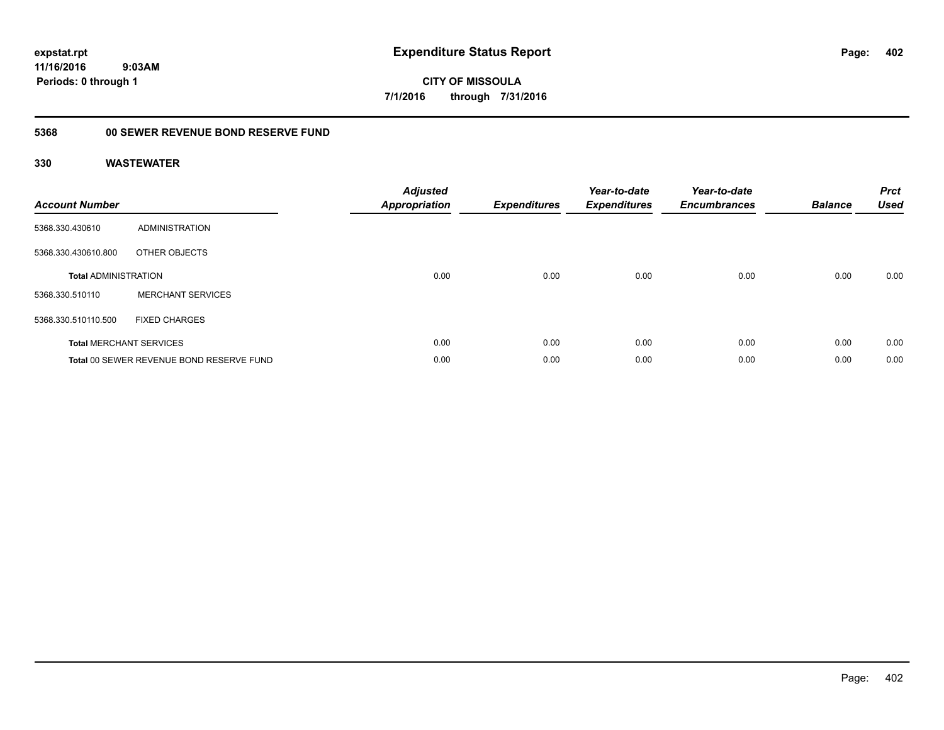**CITY OF MISSOULA 7/1/2016 through 7/31/2016**

### **5368 00 SEWER REVENUE BOND RESERVE FUND**

| <b>Account Number</b>       |                                          | <b>Adjusted</b><br><b>Appropriation</b> | <b>Expenditures</b> | Year-to-date<br><b>Expenditures</b> | Year-to-date<br><b>Encumbrances</b> | <b>Balance</b> | <b>Prct</b><br><b>Used</b> |
|-----------------------------|------------------------------------------|-----------------------------------------|---------------------|-------------------------------------|-------------------------------------|----------------|----------------------------|
| 5368.330.430610             | ADMINISTRATION                           |                                         |                     |                                     |                                     |                |                            |
| 5368.330.430610.800         | OTHER OBJECTS                            |                                         |                     |                                     |                                     |                |                            |
| <b>Total ADMINISTRATION</b> |                                          | 0.00                                    | 0.00                | 0.00                                | 0.00                                | 0.00           | 0.00                       |
| 5368.330.510110             | <b>MERCHANT SERVICES</b>                 |                                         |                     |                                     |                                     |                |                            |
| 5368.330.510110.500         | <b>FIXED CHARGES</b>                     |                                         |                     |                                     |                                     |                |                            |
|                             | <b>Total MERCHANT SERVICES</b>           | 0.00                                    | 0.00                | 0.00                                | 0.00                                | 0.00           | 0.00                       |
|                             | Total 00 SEWER REVENUE BOND RESERVE FUND | 0.00                                    | 0.00                | 0.00                                | 0.00                                | 0.00           | 0.00                       |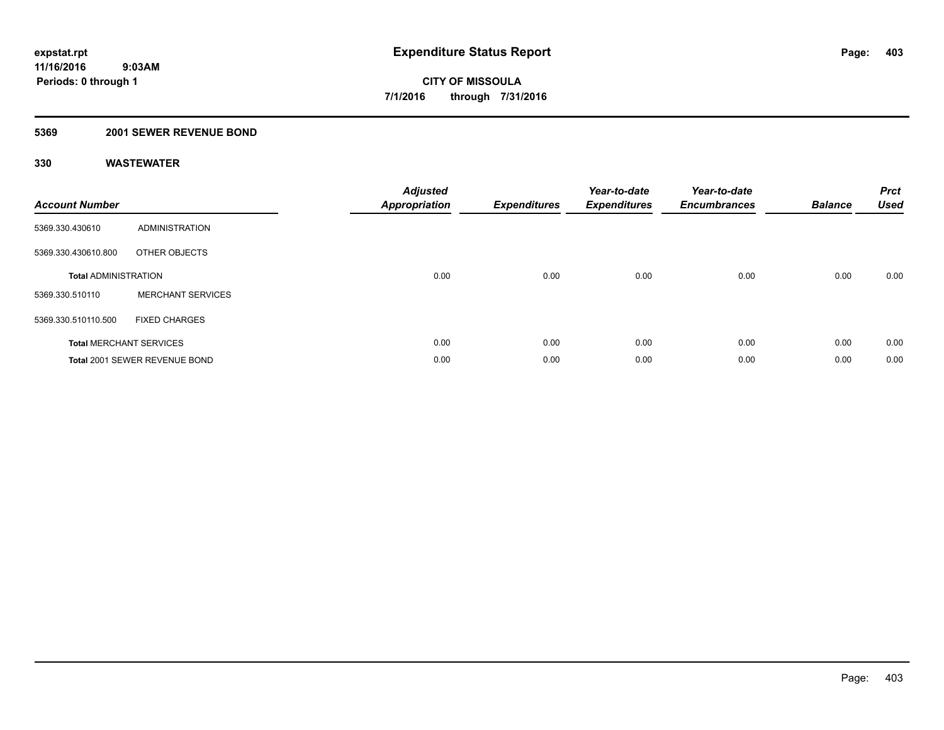## **5369 2001 SEWER REVENUE BOND**

| <b>Account Number</b>       |                                | <b>Adjusted</b><br><b>Appropriation</b> | <b>Expenditures</b> | Year-to-date<br><b>Expenditures</b> | Year-to-date<br><b>Encumbrances</b> | <b>Balance</b> | <b>Prct</b><br><b>Used</b> |
|-----------------------------|--------------------------------|-----------------------------------------|---------------------|-------------------------------------|-------------------------------------|----------------|----------------------------|
| 5369.330.430610             | ADMINISTRATION                 |                                         |                     |                                     |                                     |                |                            |
| 5369.330.430610.800         | OTHER OBJECTS                  |                                         |                     |                                     |                                     |                |                            |
| <b>Total ADMINISTRATION</b> |                                | 0.00                                    | 0.00                | 0.00                                | 0.00                                | 0.00           | 0.00                       |
| 5369.330.510110             | <b>MERCHANT SERVICES</b>       |                                         |                     |                                     |                                     |                |                            |
| 5369.330.510110.500         | <b>FIXED CHARGES</b>           |                                         |                     |                                     |                                     |                |                            |
|                             | <b>Total MERCHANT SERVICES</b> | 0.00                                    | 0.00                | 0.00                                | 0.00                                | 0.00           | 0.00                       |
|                             | Total 2001 SEWER REVENUE BOND  | 0.00                                    | 0.00                | 0.00                                | 0.00                                | 0.00           | 0.00                       |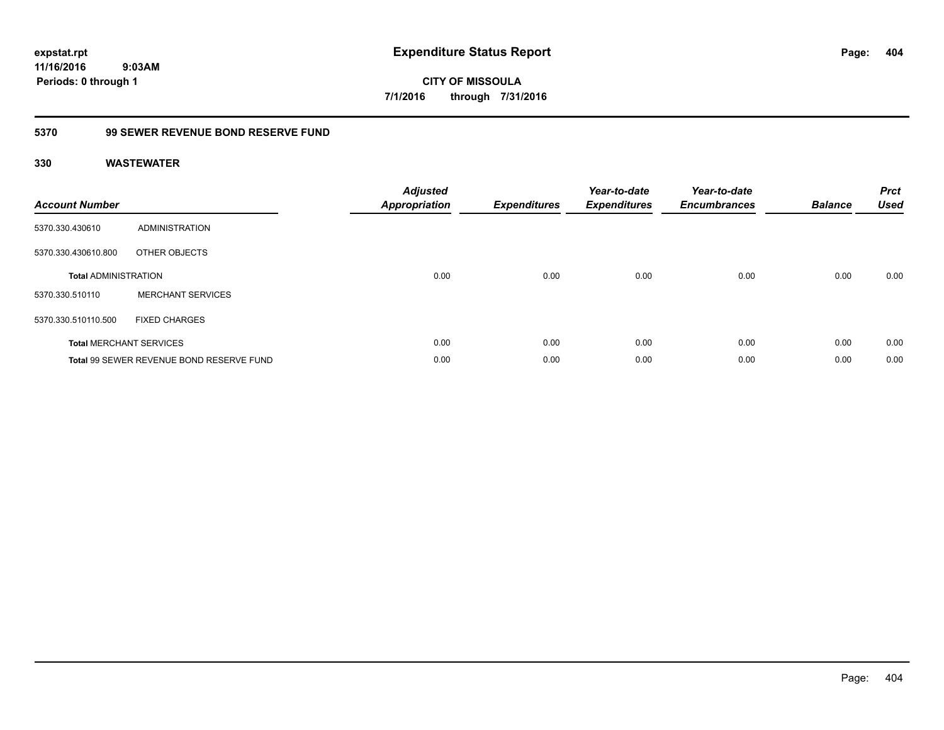**CITY OF MISSOULA 7/1/2016 through 7/31/2016**

## **5370 99 SEWER REVENUE BOND RESERVE FUND**

| <b>Account Number</b>       |                                          | <b>Adjusted</b><br>Appropriation | <b>Expenditures</b> | Year-to-date<br><b>Expenditures</b> | Year-to-date<br><b>Encumbrances</b> | <b>Balance</b> | <b>Prct</b><br><b>Used</b> |
|-----------------------------|------------------------------------------|----------------------------------|---------------------|-------------------------------------|-------------------------------------|----------------|----------------------------|
| 5370.330.430610             | ADMINISTRATION                           |                                  |                     |                                     |                                     |                |                            |
| 5370.330.430610.800         | OTHER OBJECTS                            |                                  |                     |                                     |                                     |                |                            |
| <b>Total ADMINISTRATION</b> |                                          | 0.00                             | 0.00                | 0.00                                | 0.00                                | 0.00           | 0.00                       |
| 5370.330.510110             | <b>MERCHANT SERVICES</b>                 |                                  |                     |                                     |                                     |                |                            |
| 5370.330.510110.500         | <b>FIXED CHARGES</b>                     |                                  |                     |                                     |                                     |                |                            |
|                             | <b>Total MERCHANT SERVICES</b>           | 0.00                             | 0.00                | 0.00                                | 0.00                                | 0.00           | 0.00                       |
|                             | Total 99 SEWER REVENUE BOND RESERVE FUND | 0.00                             | 0.00                | 0.00                                | 0.00                                | 0.00           | 0.00                       |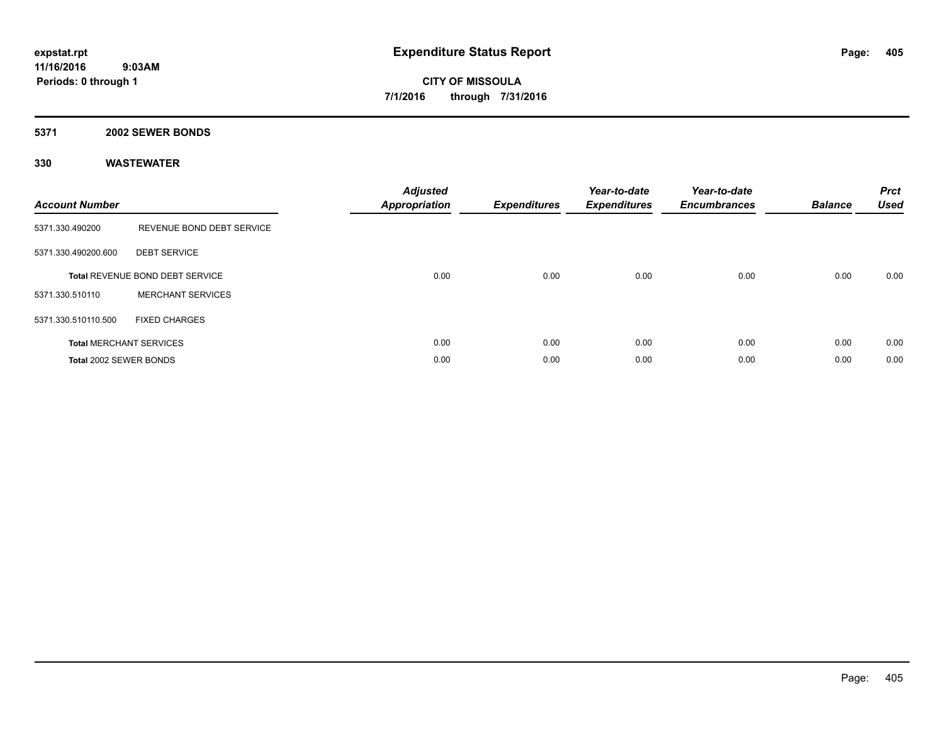### **5371 2002 SEWER BONDS**

| <b>Account Number</b>  |                                 | <b>Adjusted</b><br><b>Appropriation</b> | <b>Expenditures</b> | Year-to-date<br><b>Expenditures</b> | Year-to-date<br><b>Encumbrances</b> | <b>Balance</b> | <b>Prct</b><br><b>Used</b> |
|------------------------|---------------------------------|-----------------------------------------|---------------------|-------------------------------------|-------------------------------------|----------------|----------------------------|
| 5371.330.490200        | REVENUE BOND DEBT SERVICE       |                                         |                     |                                     |                                     |                |                            |
| 5371.330.490200.600    | <b>DEBT SERVICE</b>             |                                         |                     |                                     |                                     |                |                            |
|                        | Total REVENUE BOND DEBT SERVICE | 0.00                                    | 0.00                | 0.00                                | 0.00                                | 0.00           | 0.00                       |
| 5371.330.510110        | <b>MERCHANT SERVICES</b>        |                                         |                     |                                     |                                     |                |                            |
| 5371.330.510110.500    | <b>FIXED CHARGES</b>            |                                         |                     |                                     |                                     |                |                            |
|                        | <b>Total MERCHANT SERVICES</b>  | 0.00                                    | 0.00                | 0.00                                | 0.00                                | 0.00           | 0.00                       |
| Total 2002 SEWER BONDS |                                 | 0.00                                    | 0.00                | 0.00                                | 0.00                                | 0.00           | 0.00                       |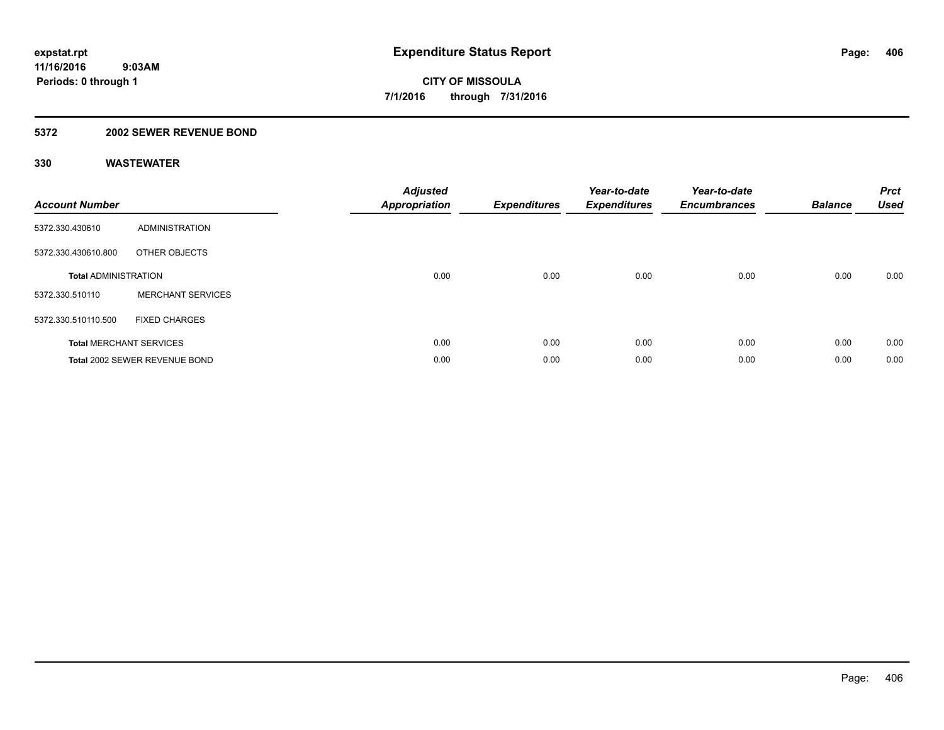## **5372 2002 SEWER REVENUE BOND**

| <b>Account Number</b>       |                                | <b>Adjusted</b><br><b>Appropriation</b> | <b>Expenditures</b> | Year-to-date<br><b>Expenditures</b> | Year-to-date<br><b>Encumbrances</b> | <b>Balance</b> | <b>Prct</b><br><b>Used</b> |
|-----------------------------|--------------------------------|-----------------------------------------|---------------------|-------------------------------------|-------------------------------------|----------------|----------------------------|
| 5372.330.430610             | ADMINISTRATION                 |                                         |                     |                                     |                                     |                |                            |
| 5372.330.430610.800         | OTHER OBJECTS                  |                                         |                     |                                     |                                     |                |                            |
| <b>Total ADMINISTRATION</b> |                                | 0.00                                    | 0.00                | 0.00                                | 0.00                                | 0.00           | 0.00                       |
| 5372.330.510110             | <b>MERCHANT SERVICES</b>       |                                         |                     |                                     |                                     |                |                            |
| 5372.330.510110.500         | <b>FIXED CHARGES</b>           |                                         |                     |                                     |                                     |                |                            |
|                             | <b>Total MERCHANT SERVICES</b> | 0.00                                    | 0.00                | 0.00                                | 0.00                                | 0.00           | 0.00                       |
|                             | Total 2002 SEWER REVENUE BOND  | 0.00                                    | 0.00                | 0.00                                | 0.00                                | 0.00           | 0.00                       |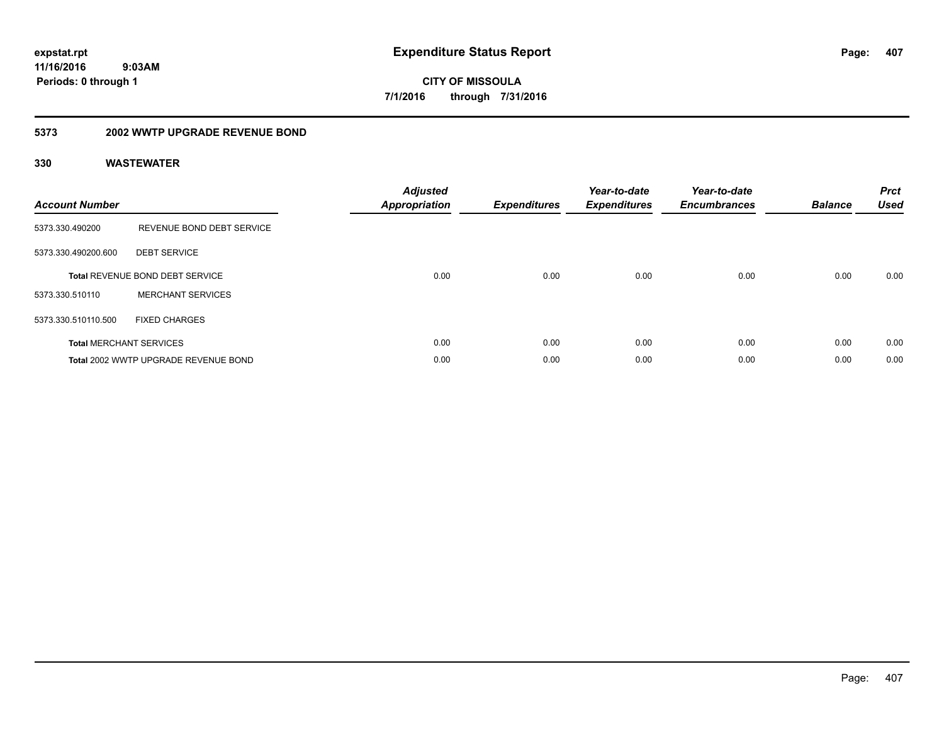**CITY OF MISSOULA 7/1/2016 through 7/31/2016**

## **5373 2002 WWTP UPGRADE REVENUE BOND**

| <b>Account Number</b> |                                        | <b>Adjusted</b><br>Appropriation | <b>Expenditures</b> | Year-to-date<br><b>Expenditures</b> | Year-to-date<br><b>Encumbrances</b> | <b>Balance</b> | <b>Prct</b><br><b>Used</b> |
|-----------------------|----------------------------------------|----------------------------------|---------------------|-------------------------------------|-------------------------------------|----------------|----------------------------|
| 5373.330.490200       | REVENUE BOND DEBT SERVICE              |                                  |                     |                                     |                                     |                |                            |
| 5373.330.490200.600   | <b>DEBT SERVICE</b>                    |                                  |                     |                                     |                                     |                |                            |
|                       | <b>Total REVENUE BOND DEBT SERVICE</b> | 0.00                             | 0.00                | 0.00                                | 0.00                                | 0.00           | 0.00                       |
| 5373.330.510110       | <b>MERCHANT SERVICES</b>               |                                  |                     |                                     |                                     |                |                            |
| 5373.330.510110.500   | <b>FIXED CHARGES</b>                   |                                  |                     |                                     |                                     |                |                            |
|                       | <b>Total MERCHANT SERVICES</b>         | 0.00                             | 0.00                | 0.00                                | 0.00                                | 0.00           | 0.00                       |
|                       | Total 2002 WWTP UPGRADE REVENUE BOND   | 0.00                             | 0.00                | 0.00                                | 0.00                                | 0.00           | 0.00                       |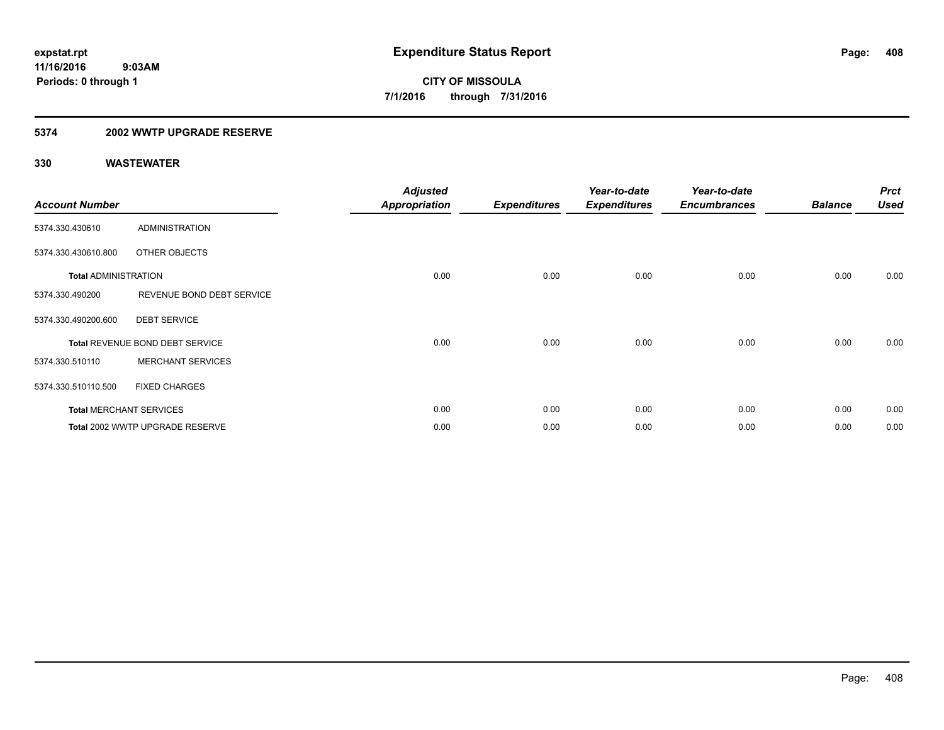## **5374 2002 WWTP UPGRADE RESERVE**

| <b>Account Number</b>       |                                 | <b>Adjusted</b><br><b>Appropriation</b> | <b>Expenditures</b> | Year-to-date<br><b>Expenditures</b> | Year-to-date<br><b>Encumbrances</b> | <b>Balance</b> | <b>Prct</b><br><b>Used</b> |
|-----------------------------|---------------------------------|-----------------------------------------|---------------------|-------------------------------------|-------------------------------------|----------------|----------------------------|
| 5374.330.430610             | <b>ADMINISTRATION</b>           |                                         |                     |                                     |                                     |                |                            |
| 5374.330.430610.800         | OTHER OBJECTS                   |                                         |                     |                                     |                                     |                |                            |
| <b>Total ADMINISTRATION</b> |                                 | 0.00                                    | 0.00                | 0.00                                | 0.00                                | 0.00           | 0.00                       |
| 5374.330.490200             | REVENUE BOND DEBT SERVICE       |                                         |                     |                                     |                                     |                |                            |
| 5374.330.490200.600         | <b>DEBT SERVICE</b>             |                                         |                     |                                     |                                     |                |                            |
|                             | Total REVENUE BOND DEBT SERVICE | 0.00                                    | 0.00                | 0.00                                | 0.00                                | 0.00           | 0.00                       |
| 5374.330.510110             | <b>MERCHANT SERVICES</b>        |                                         |                     |                                     |                                     |                |                            |
| 5374.330.510110.500         | <b>FIXED CHARGES</b>            |                                         |                     |                                     |                                     |                |                            |
|                             | <b>Total MERCHANT SERVICES</b>  | 0.00                                    | 0.00                | 0.00                                | 0.00                                | 0.00           | 0.00                       |
|                             | Total 2002 WWTP UPGRADE RESERVE | 0.00                                    | 0.00                | 0.00                                | 0.00                                | 0.00           | 0.00                       |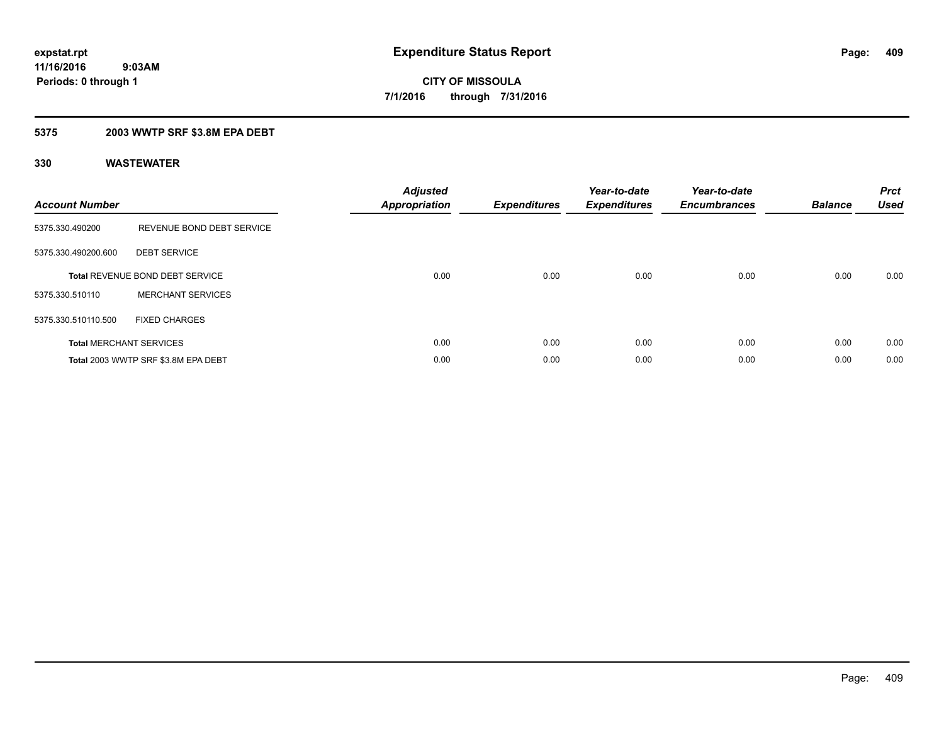## **5375 2003 WWTP SRF \$3.8M EPA DEBT**

| <b>Account Number</b> |                                        | <b>Adjusted</b><br>Appropriation | <b>Expenditures</b> | Year-to-date<br><b>Expenditures</b> | Year-to-date<br><b>Encumbrances</b> | <b>Balance</b> | <b>Prct</b><br><b>Used</b> |
|-----------------------|----------------------------------------|----------------------------------|---------------------|-------------------------------------|-------------------------------------|----------------|----------------------------|
| 5375.330.490200       | REVENUE BOND DEBT SERVICE              |                                  |                     |                                     |                                     |                |                            |
| 5375.330.490200.600   | <b>DEBT SERVICE</b>                    |                                  |                     |                                     |                                     |                |                            |
|                       | <b>Total REVENUE BOND DEBT SERVICE</b> | 0.00                             | 0.00                | 0.00                                | 0.00                                | 0.00           | 0.00                       |
| 5375.330.510110       | <b>MERCHANT SERVICES</b>               |                                  |                     |                                     |                                     |                |                            |
| 5375.330.510110.500   | <b>FIXED CHARGES</b>                   |                                  |                     |                                     |                                     |                |                            |
|                       | <b>Total MERCHANT SERVICES</b>         | 0.00                             | 0.00                | 0.00                                | 0.00                                | 0.00           | 0.00                       |
|                       | Total 2003 WWTP SRF \$3.8M EPA DEBT    | 0.00                             | 0.00                | 0.00                                | 0.00                                | 0.00           | 0.00                       |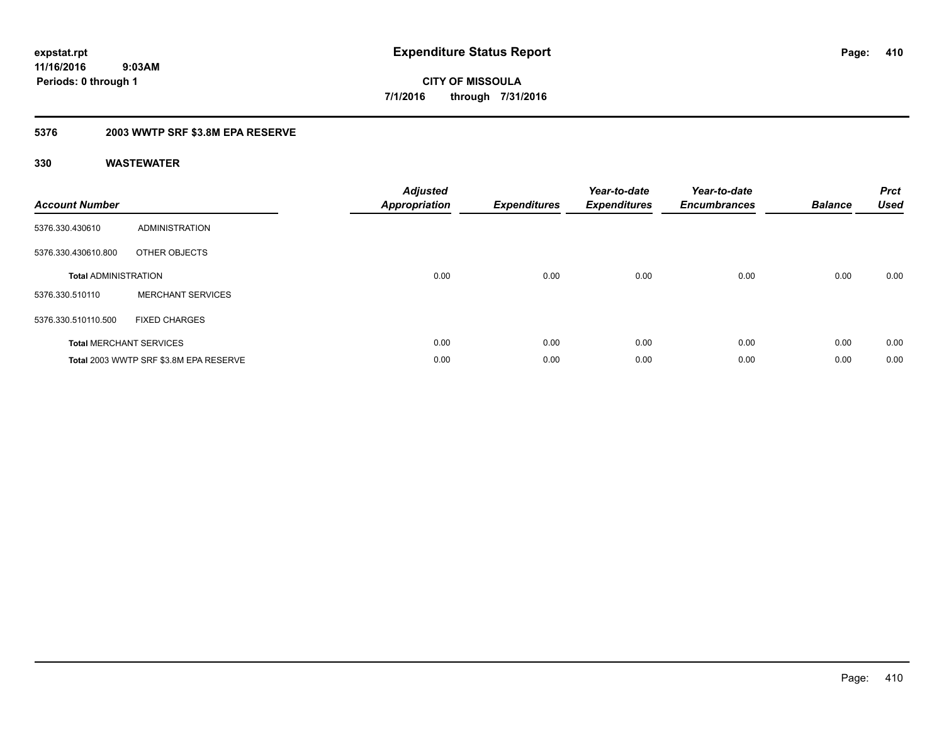**Periods: 0 through 1**

**CITY OF MISSOULA 7/1/2016 through 7/31/2016**

## **5376 2003 WWTP SRF \$3.8M EPA RESERVE**

 **9:03AM**

| <b>Account Number</b>       |                                        | <b>Adjusted</b><br><b>Appropriation</b> | <b>Expenditures</b> | Year-to-date<br><b>Expenditures</b> | Year-to-date<br><b>Encumbrances</b> | <b>Balance</b> | <b>Prct</b><br><b>Used</b> |
|-----------------------------|----------------------------------------|-----------------------------------------|---------------------|-------------------------------------|-------------------------------------|----------------|----------------------------|
| 5376.330.430610             | ADMINISTRATION                         |                                         |                     |                                     |                                     |                |                            |
| 5376.330.430610.800         | OTHER OBJECTS                          |                                         |                     |                                     |                                     |                |                            |
| <b>Total ADMINISTRATION</b> |                                        | 0.00                                    | 0.00                | 0.00                                | 0.00                                | 0.00           | 0.00                       |
| 5376.330.510110             | <b>MERCHANT SERVICES</b>               |                                         |                     |                                     |                                     |                |                            |
| 5376.330.510110.500         | <b>FIXED CHARGES</b>                   |                                         |                     |                                     |                                     |                |                            |
|                             | <b>Total MERCHANT SERVICES</b>         | 0.00                                    | 0.00                | 0.00                                | 0.00                                | 0.00           | 0.00                       |
|                             | Total 2003 WWTP SRF \$3.8M EPA RESERVE | 0.00                                    | 0.00                | 0.00                                | 0.00                                | 0.00           | 0.00                       |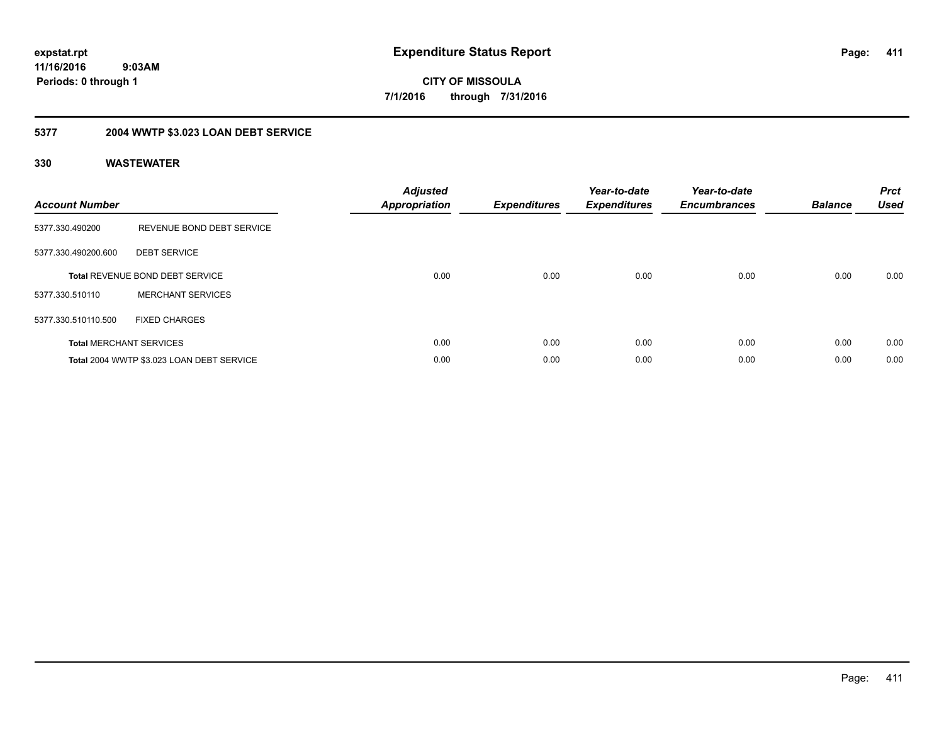**CITY OF MISSOULA 7/1/2016 through 7/31/2016**

## **5377 2004 WWTP \$3.023 LOAN DEBT SERVICE**

| <b>Account Number</b> |                                           | <b>Adjusted</b><br>Appropriation | <b>Expenditures</b> | Year-to-date<br><b>Expenditures</b> | Year-to-date<br><b>Encumbrances</b> | <b>Balance</b> | <b>Prct</b><br><b>Used</b> |
|-----------------------|-------------------------------------------|----------------------------------|---------------------|-------------------------------------|-------------------------------------|----------------|----------------------------|
| 5377.330.490200       | REVENUE BOND DEBT SERVICE                 |                                  |                     |                                     |                                     |                |                            |
| 5377.330.490200.600   | <b>DEBT SERVICE</b>                       |                                  |                     |                                     |                                     |                |                            |
|                       | <b>Total REVENUE BOND DEBT SERVICE</b>    | 0.00                             | 0.00                | 0.00                                | 0.00                                | 0.00           | 0.00                       |
| 5377.330.510110       | <b>MERCHANT SERVICES</b>                  |                                  |                     |                                     |                                     |                |                            |
| 5377.330.510110.500   | <b>FIXED CHARGES</b>                      |                                  |                     |                                     |                                     |                |                            |
|                       | <b>Total MERCHANT SERVICES</b>            | 0.00                             | 0.00                | 0.00                                | 0.00                                | 0.00           | 0.00                       |
|                       | Total 2004 WWTP \$3.023 LOAN DEBT SERVICE | 0.00                             | 0.00                | 0.00                                | 0.00                                | 0.00           | 0.00                       |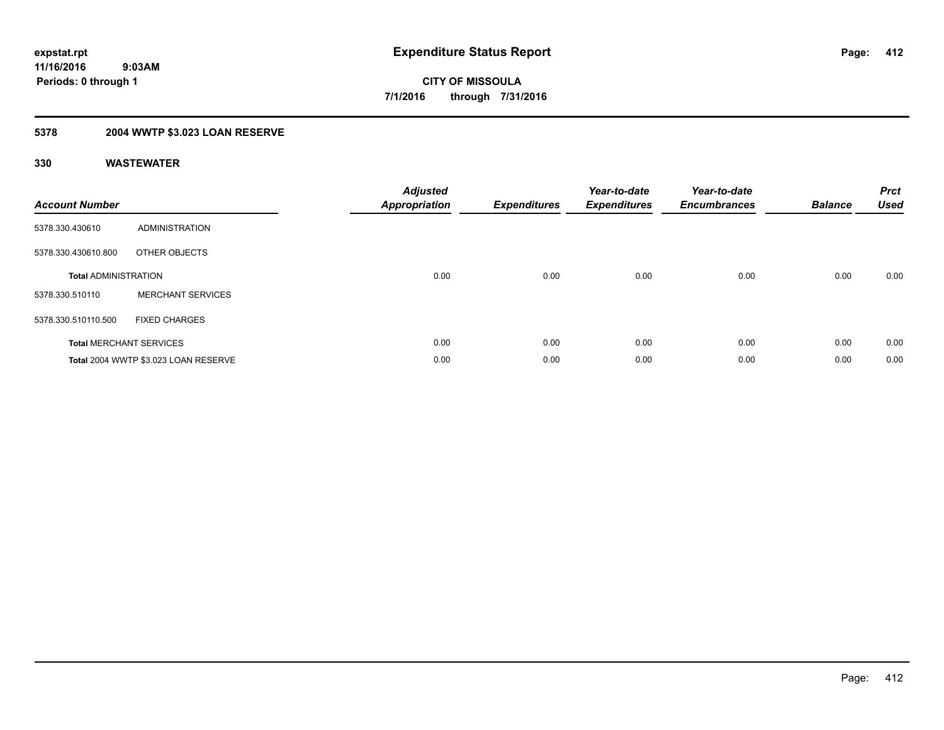## **5378 2004 WWTP \$3.023 LOAN RESERVE**

| <b>Account Number</b>       |                                      | <b>Adjusted</b><br><b>Appropriation</b> | <b>Expenditures</b> | Year-to-date<br><b>Expenditures</b> | Year-to-date<br><b>Encumbrances</b> | <b>Balance</b> | <b>Prct</b><br><b>Used</b> |
|-----------------------------|--------------------------------------|-----------------------------------------|---------------------|-------------------------------------|-------------------------------------|----------------|----------------------------|
| 5378.330.430610             | <b>ADMINISTRATION</b>                |                                         |                     |                                     |                                     |                |                            |
| 5378.330.430610.800         | OTHER OBJECTS                        |                                         |                     |                                     |                                     |                |                            |
| <b>Total ADMINISTRATION</b> |                                      | 0.00                                    | 0.00                | 0.00                                | 0.00                                | 0.00           | 0.00                       |
| 5378.330.510110             | <b>MERCHANT SERVICES</b>             |                                         |                     |                                     |                                     |                |                            |
| 5378.330.510110.500         | <b>FIXED CHARGES</b>                 |                                         |                     |                                     |                                     |                |                            |
|                             | <b>Total MERCHANT SERVICES</b>       | 0.00                                    | 0.00                | 0.00                                | 0.00                                | 0.00           | 0.00                       |
|                             | Total 2004 WWTP \$3.023 LOAN RESERVE | 0.00                                    | 0.00                | 0.00                                | 0.00                                | 0.00           | 0.00                       |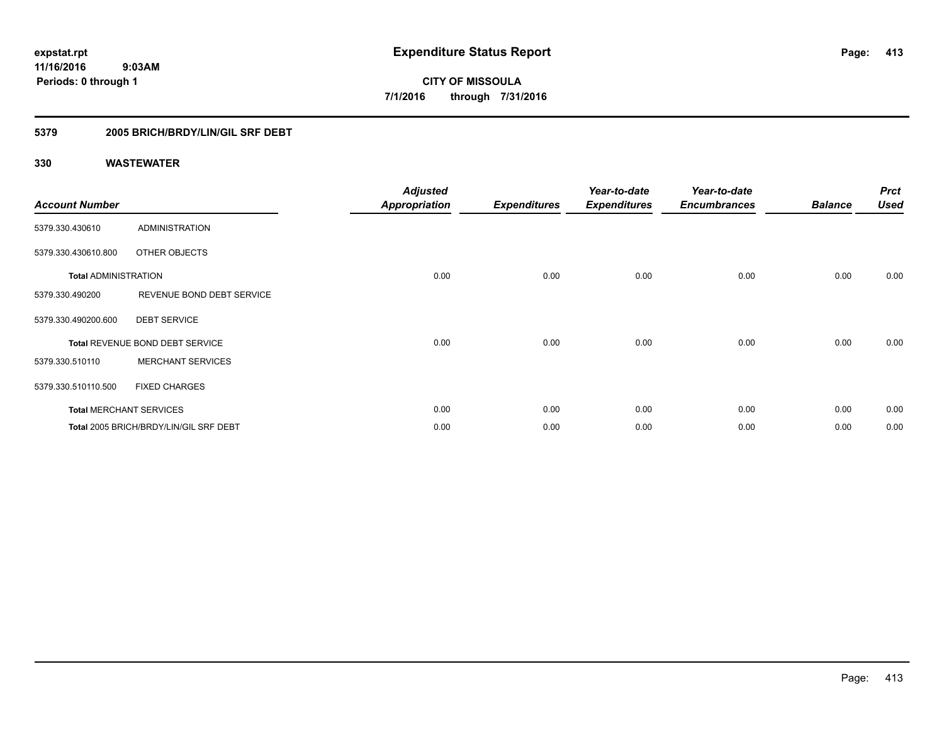**CITY OF MISSOULA 7/1/2016 through 7/31/2016**

## **5379 2005 BRICH/BRDY/LIN/GIL SRF DEBT**

| <b>Account Number</b>       |                                        | <b>Adjusted</b><br><b>Appropriation</b> | <b>Expenditures</b> | Year-to-date<br><b>Expenditures</b> | Year-to-date<br><b>Encumbrances</b> | <b>Balance</b> | <b>Prct</b><br><b>Used</b> |
|-----------------------------|----------------------------------------|-----------------------------------------|---------------------|-------------------------------------|-------------------------------------|----------------|----------------------------|
| 5379.330.430610             | ADMINISTRATION                         |                                         |                     |                                     |                                     |                |                            |
| 5379.330.430610.800         | OTHER OBJECTS                          |                                         |                     |                                     |                                     |                |                            |
| <b>Total ADMINISTRATION</b> |                                        | 0.00                                    | 0.00                | 0.00                                | 0.00                                | 0.00           | 0.00                       |
| 5379.330.490200             | REVENUE BOND DEBT SERVICE              |                                         |                     |                                     |                                     |                |                            |
| 5379.330.490200.600         | <b>DEBT SERVICE</b>                    |                                         |                     |                                     |                                     |                |                            |
|                             | Total REVENUE BOND DEBT SERVICE        | 0.00                                    | 0.00                | 0.00                                | 0.00                                | 0.00           | 0.00                       |
| 5379.330.510110             | <b>MERCHANT SERVICES</b>               |                                         |                     |                                     |                                     |                |                            |
| 5379.330.510110.500         | <b>FIXED CHARGES</b>                   |                                         |                     |                                     |                                     |                |                            |
|                             | <b>Total MERCHANT SERVICES</b>         | 0.00                                    | 0.00                | 0.00                                | 0.00                                | 0.00           | 0.00                       |
|                             | Total 2005 BRICH/BRDY/LIN/GIL SRF DEBT | 0.00                                    | 0.00                | 0.00                                | 0.00                                | 0.00           | 0.00                       |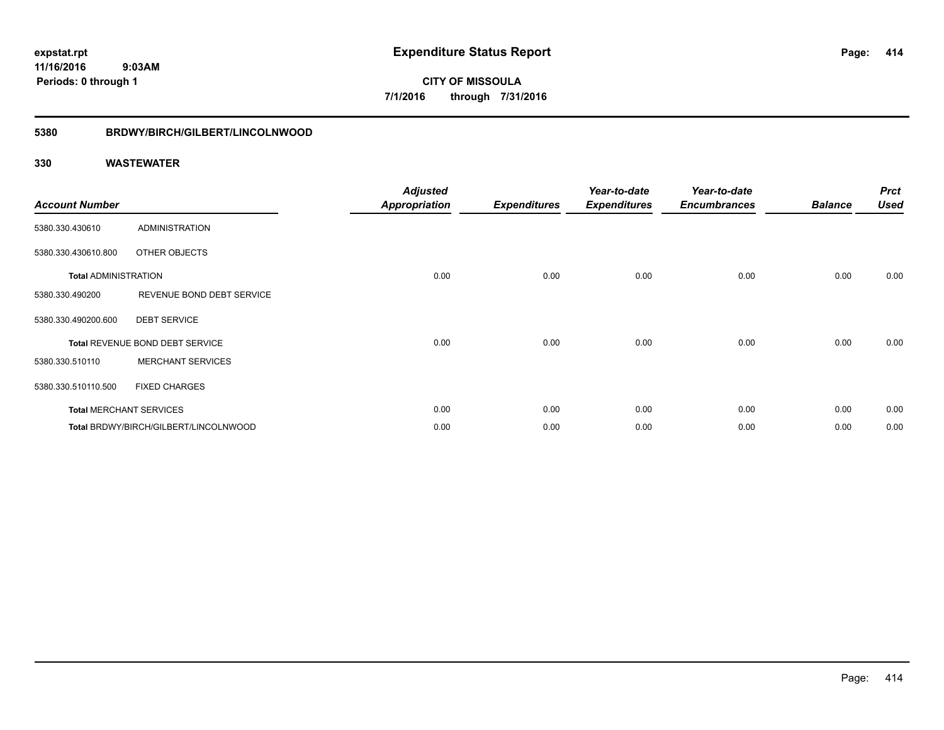**CITY OF MISSOULA 7/1/2016 through 7/31/2016**

## **5380 BRDWY/BIRCH/GILBERT/LINCOLNWOOD**

| <b>Account Number</b>       |                                       | <b>Adjusted</b><br><b>Appropriation</b> | <b>Expenditures</b> | Year-to-date<br><b>Expenditures</b> | Year-to-date<br><b>Encumbrances</b> | <b>Balance</b> | <b>Prct</b><br><b>Used</b> |
|-----------------------------|---------------------------------------|-----------------------------------------|---------------------|-------------------------------------|-------------------------------------|----------------|----------------------------|
| 5380.330.430610             | <b>ADMINISTRATION</b>                 |                                         |                     |                                     |                                     |                |                            |
| 5380.330.430610.800         | OTHER OBJECTS                         |                                         |                     |                                     |                                     |                |                            |
| <b>Total ADMINISTRATION</b> |                                       | 0.00                                    | 0.00                | 0.00                                | 0.00                                | 0.00           | 0.00                       |
| 5380.330.490200             | REVENUE BOND DEBT SERVICE             |                                         |                     |                                     |                                     |                |                            |
| 5380.330.490200.600         | <b>DEBT SERVICE</b>                   |                                         |                     |                                     |                                     |                |                            |
|                             | Total REVENUE BOND DEBT SERVICE       | 0.00                                    | 0.00                | 0.00                                | 0.00                                | 0.00           | 0.00                       |
| 5380.330.510110             | <b>MERCHANT SERVICES</b>              |                                         |                     |                                     |                                     |                |                            |
| 5380.330.510110.500         | <b>FIXED CHARGES</b>                  |                                         |                     |                                     |                                     |                |                            |
|                             | <b>Total MERCHANT SERVICES</b>        | 0.00                                    | 0.00                | 0.00                                | 0.00                                | 0.00           | 0.00                       |
|                             | Total BRDWY/BIRCH/GILBERT/LINCOLNWOOD | 0.00                                    | 0.00                | 0.00                                | 0.00                                | 0.00           | 0.00                       |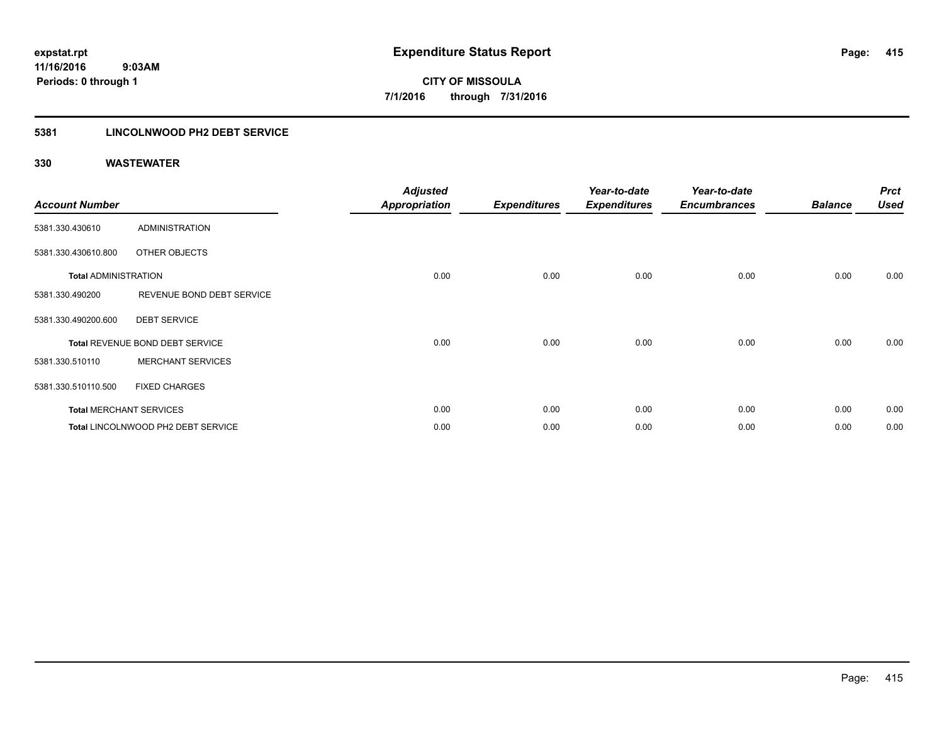## **5381 LINCOLNWOOD PH2 DEBT SERVICE**

| <b>Account Number</b>       |                                    | <b>Adjusted</b><br><b>Appropriation</b> | <b>Expenditures</b> | Year-to-date<br><b>Expenditures</b> | Year-to-date<br><b>Encumbrances</b> | <b>Balance</b> | <b>Prct</b><br><b>Used</b> |
|-----------------------------|------------------------------------|-----------------------------------------|---------------------|-------------------------------------|-------------------------------------|----------------|----------------------------|
| 5381.330.430610             | ADMINISTRATION                     |                                         |                     |                                     |                                     |                |                            |
| 5381.330.430610.800         | OTHER OBJECTS                      |                                         |                     |                                     |                                     |                |                            |
| <b>Total ADMINISTRATION</b> |                                    | 0.00                                    | 0.00                | 0.00                                | 0.00                                | 0.00           | 0.00                       |
| 5381.330.490200             | REVENUE BOND DEBT SERVICE          |                                         |                     |                                     |                                     |                |                            |
| 5381.330.490200.600         | <b>DEBT SERVICE</b>                |                                         |                     |                                     |                                     |                |                            |
|                             | Total REVENUE BOND DEBT SERVICE    | 0.00                                    | 0.00                | 0.00                                | 0.00                                | 0.00           | 0.00                       |
| 5381.330.510110             | <b>MERCHANT SERVICES</b>           |                                         |                     |                                     |                                     |                |                            |
| 5381.330.510110.500         | <b>FIXED CHARGES</b>               |                                         |                     |                                     |                                     |                |                            |
|                             | <b>Total MERCHANT SERVICES</b>     | 0.00                                    | 0.00                | 0.00                                | 0.00                                | 0.00           | 0.00                       |
|                             | Total LINCOLNWOOD PH2 DEBT SERVICE | 0.00                                    | 0.00                | 0.00                                | 0.00                                | 0.00           | 0.00                       |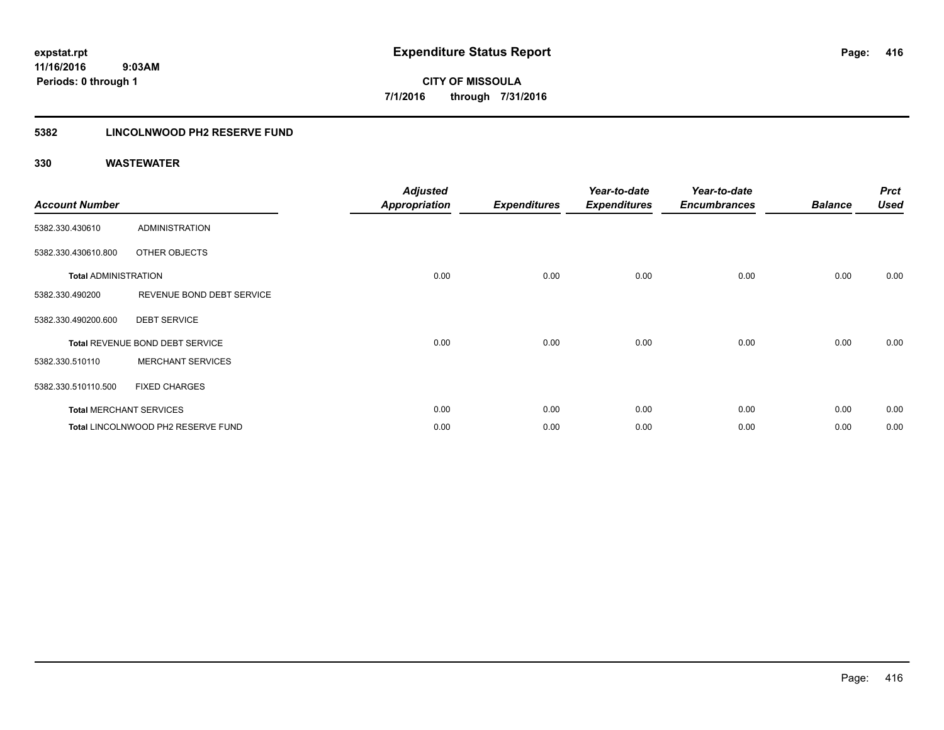**416**

**11/16/2016 9:03AM Periods: 0 through 1**

**CITY OF MISSOULA 7/1/2016 through 7/31/2016**

## **5382 LINCOLNWOOD PH2 RESERVE FUND**

| <b>Account Number</b>       |                                    | <b>Adjusted</b><br><b>Appropriation</b> | <b>Expenditures</b> | Year-to-date<br><b>Expenditures</b> | Year-to-date<br><b>Encumbrances</b> | <b>Balance</b> | <b>Prct</b><br><b>Used</b> |
|-----------------------------|------------------------------------|-----------------------------------------|---------------------|-------------------------------------|-------------------------------------|----------------|----------------------------|
| 5382.330.430610             | <b>ADMINISTRATION</b>              |                                         |                     |                                     |                                     |                |                            |
| 5382.330.430610.800         | OTHER OBJECTS                      |                                         |                     |                                     |                                     |                |                            |
| <b>Total ADMINISTRATION</b> |                                    | 0.00                                    | 0.00                | 0.00                                | 0.00                                | 0.00           | 0.00                       |
| 5382.330.490200             | REVENUE BOND DEBT SERVICE          |                                         |                     |                                     |                                     |                |                            |
| 5382.330.490200.600         | <b>DEBT SERVICE</b>                |                                         |                     |                                     |                                     |                |                            |
|                             | Total REVENUE BOND DEBT SERVICE    | 0.00                                    | 0.00                | 0.00                                | 0.00                                | 0.00           | 0.00                       |
| 5382.330.510110             | <b>MERCHANT SERVICES</b>           |                                         |                     |                                     |                                     |                |                            |
| 5382.330.510110.500         | <b>FIXED CHARGES</b>               |                                         |                     |                                     |                                     |                |                            |
|                             | <b>Total MERCHANT SERVICES</b>     | 0.00                                    | 0.00                | 0.00                                | 0.00                                | 0.00           | 0.00                       |
|                             | Total LINCOLNWOOD PH2 RESERVE FUND | 0.00                                    | 0.00                | 0.00                                | 0.00                                | 0.00           | 0.00                       |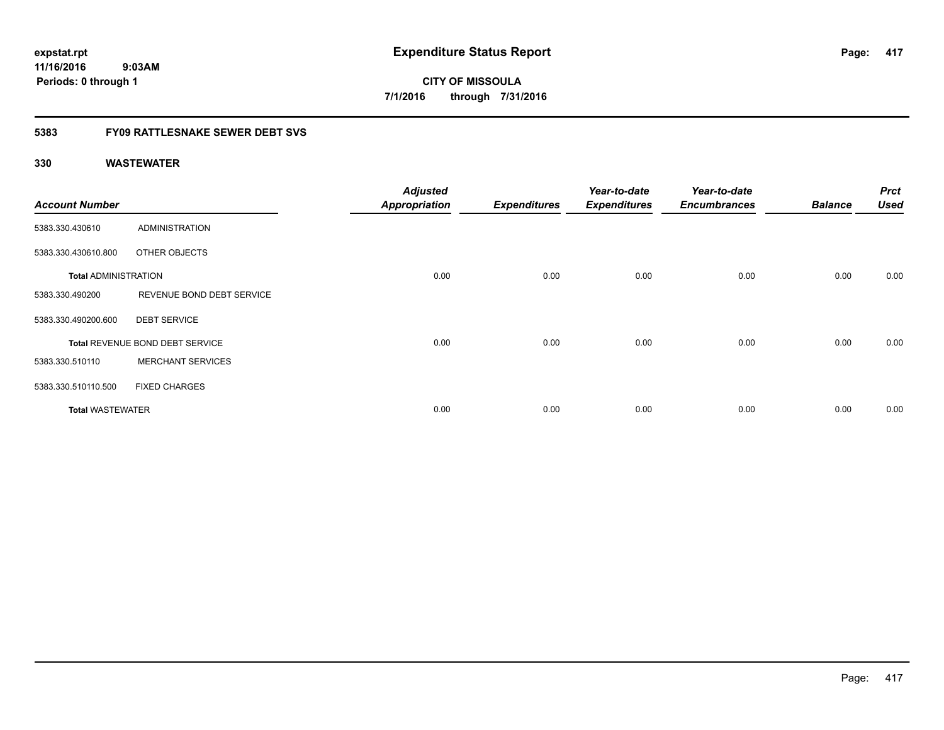**CITY OF MISSOULA 7/1/2016 through 7/31/2016**

## **5383 FY09 RATTLESNAKE SEWER DEBT SVS**

| <b>Account Number</b>       |                                 | <b>Adjusted</b><br><b>Appropriation</b> | <b>Expenditures</b> | Year-to-date<br><b>Expenditures</b> | Year-to-date<br><b>Encumbrances</b> | <b>Balance</b> | <b>Prct</b><br><b>Used</b> |
|-----------------------------|---------------------------------|-----------------------------------------|---------------------|-------------------------------------|-------------------------------------|----------------|----------------------------|
| 5383.330.430610             | <b>ADMINISTRATION</b>           |                                         |                     |                                     |                                     |                |                            |
| 5383.330.430610.800         | OTHER OBJECTS                   |                                         |                     |                                     |                                     |                |                            |
| <b>Total ADMINISTRATION</b> |                                 | 0.00                                    | 0.00                | 0.00                                | 0.00                                | 0.00           | 0.00                       |
| 5383.330.490200             | REVENUE BOND DEBT SERVICE       |                                         |                     |                                     |                                     |                |                            |
| 5383.330.490200.600         | <b>DEBT SERVICE</b>             |                                         |                     |                                     |                                     |                |                            |
|                             | Total REVENUE BOND DEBT SERVICE | 0.00                                    | 0.00                | 0.00                                | 0.00                                | 0.00           | 0.00                       |
| 5383.330.510110             | <b>MERCHANT SERVICES</b>        |                                         |                     |                                     |                                     |                |                            |
| 5383.330.510110.500         | <b>FIXED CHARGES</b>            |                                         |                     |                                     |                                     |                |                            |
| <b>Total WASTEWATER</b>     |                                 | 0.00                                    | 0.00                | 0.00                                | 0.00                                | 0.00           | 0.00                       |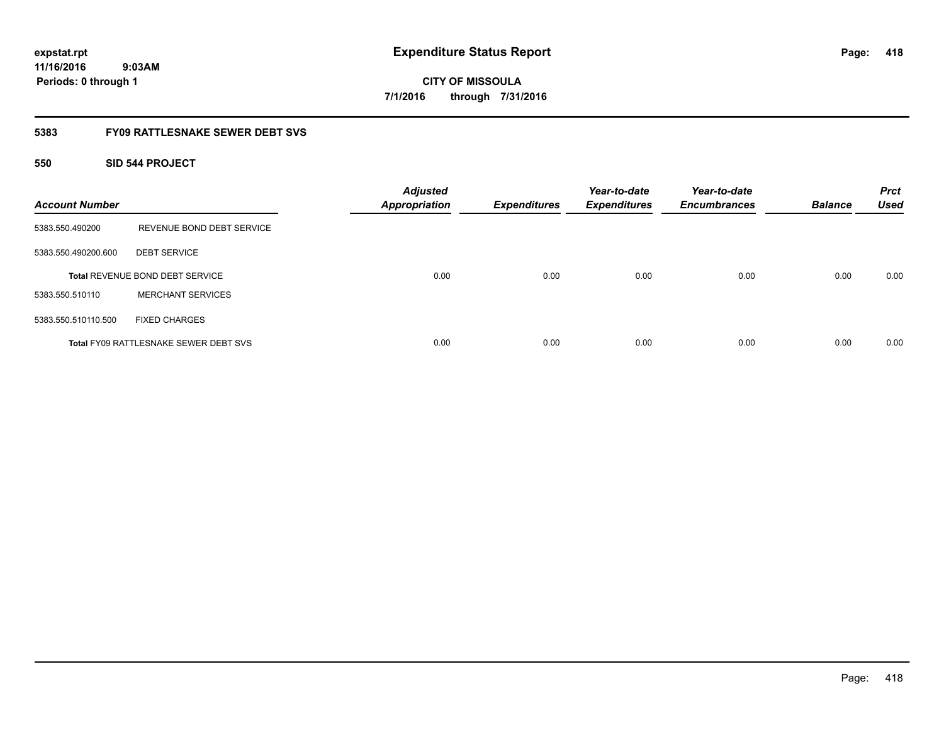**expstat.rpt Expenditure Status Report** 

**11/16/2016 9:03AM Periods: 0 through 1**

**CITY OF MISSOULA 7/1/2016 through 7/31/2016**

## **5383 FY09 RATTLESNAKE SEWER DEBT SVS**

## **550 SID 544 PROJECT**

| <b>Account Number</b> |                                              | <b>Adjusted</b><br><b>Appropriation</b> | <b>Expenditures</b> | Year-to-date<br><b>Expenditures</b> | Year-to-date<br><b>Encumbrances</b> | <b>Balance</b> | <b>Prct</b><br><b>Used</b> |
|-----------------------|----------------------------------------------|-----------------------------------------|---------------------|-------------------------------------|-------------------------------------|----------------|----------------------------|
| 5383.550.490200       | REVENUE BOND DEBT SERVICE                    |                                         |                     |                                     |                                     |                |                            |
| 5383.550.490200.600   | <b>DEBT SERVICE</b>                          |                                         |                     |                                     |                                     |                |                            |
|                       | <b>Total REVENUE BOND DEBT SERVICE</b>       | 0.00                                    | 0.00                | 0.00                                | 0.00                                | 0.00           | 0.00                       |
| 5383.550.510110       | <b>MERCHANT SERVICES</b>                     |                                         |                     |                                     |                                     |                |                            |
| 5383.550.510110.500   | <b>FIXED CHARGES</b>                         |                                         |                     |                                     |                                     |                |                            |
|                       | <b>Total FY09 RATTLESNAKE SEWER DEBT SVS</b> | 0.00                                    | 0.00                | 0.00                                | 0.00                                | 0.00           | 0.00                       |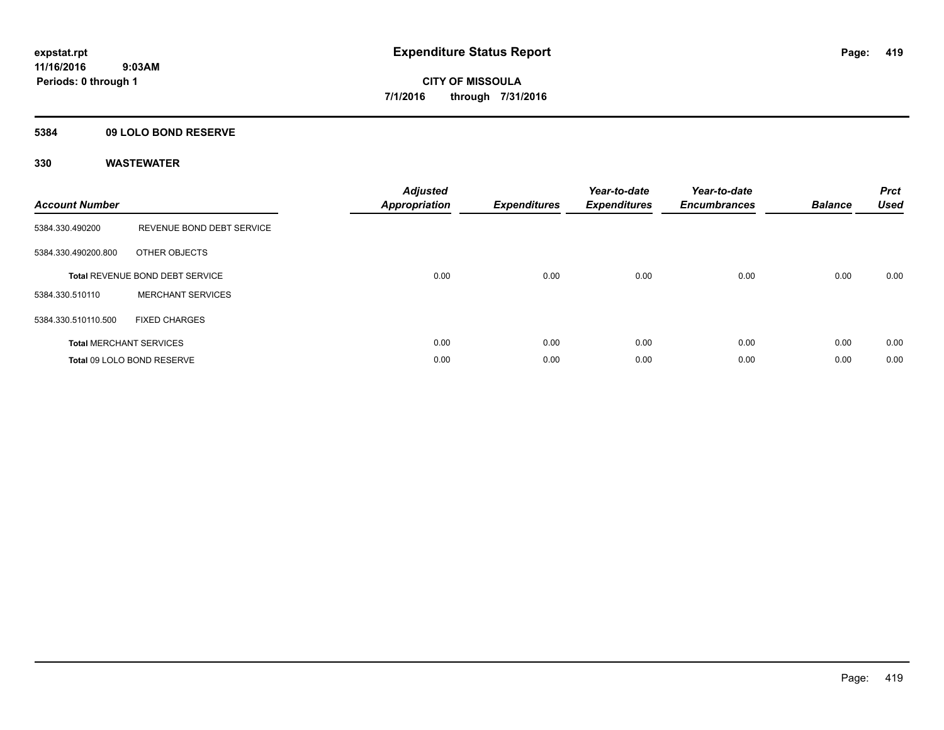## **5384 09 LOLO BOND RESERVE**

| <b>Account Number</b> |                                 | <b>Adjusted</b><br>Appropriation | <b>Expenditures</b> | Year-to-date<br><b>Expenditures</b> | Year-to-date<br><b>Encumbrances</b> | <b>Balance</b> | <b>Prct</b><br><b>Used</b> |
|-----------------------|---------------------------------|----------------------------------|---------------------|-------------------------------------|-------------------------------------|----------------|----------------------------|
| 5384.330.490200       | REVENUE BOND DEBT SERVICE       |                                  |                     |                                     |                                     |                |                            |
| 5384.330.490200.800   | OTHER OBJECTS                   |                                  |                     |                                     |                                     |                |                            |
|                       | Total REVENUE BOND DEBT SERVICE | 0.00                             | 0.00                | 0.00                                | 0.00                                | 0.00           | 0.00                       |
| 5384.330.510110       | <b>MERCHANT SERVICES</b>        |                                  |                     |                                     |                                     |                |                            |
| 5384.330.510110.500   | <b>FIXED CHARGES</b>            |                                  |                     |                                     |                                     |                |                            |
|                       | <b>Total MERCHANT SERVICES</b>  | 0.00                             | 0.00                | 0.00                                | 0.00                                | 0.00           | 0.00                       |
|                       | Total 09 LOLO BOND RESERVE      | 0.00                             | 0.00                | 0.00                                | 0.00                                | 0.00           | 0.00                       |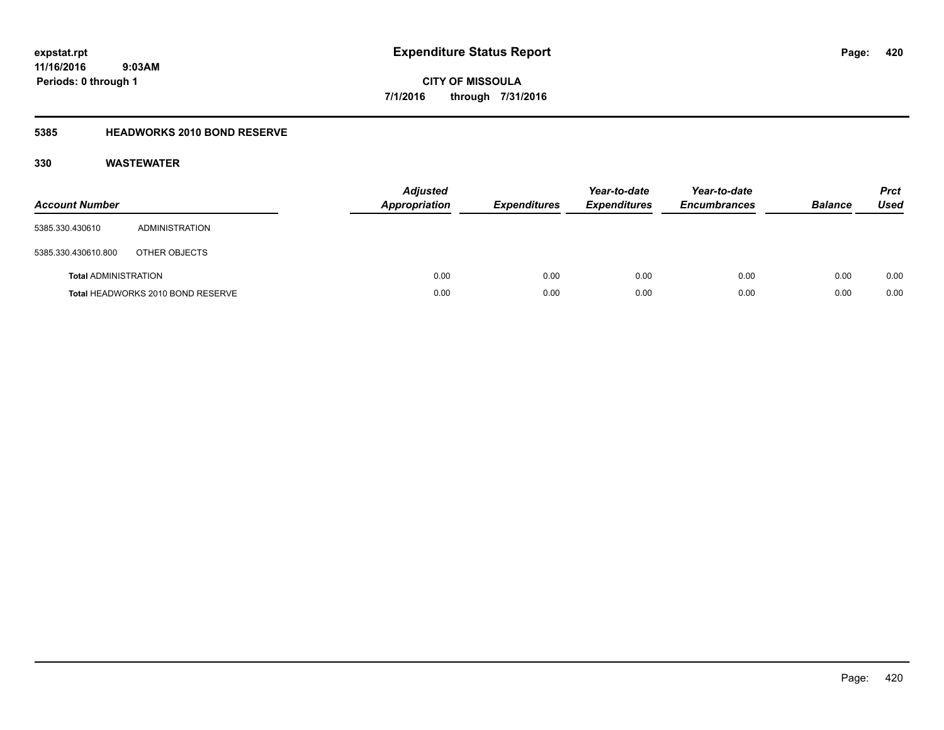**CITY OF MISSOULA 7/1/2016 through 7/31/2016**

## **5385 HEADWORKS 2010 BOND RESERVE**

| <b>Account Number</b>       |                                   | <b>Adjusted</b><br><b>Appropriation</b> | <b>Expenditures</b> | Year-to-date<br><b>Expenditures</b> | Year-to-date<br><b>Encumbrances</b> | <b>Balance</b> | <b>Prct</b><br>Used |
|-----------------------------|-----------------------------------|-----------------------------------------|---------------------|-------------------------------------|-------------------------------------|----------------|---------------------|
| 5385.330.430610             | ADMINISTRATION                    |                                         |                     |                                     |                                     |                |                     |
| 5385.330.430610.800         | OTHER OBJECTS                     |                                         |                     |                                     |                                     |                |                     |
| <b>Total ADMINISTRATION</b> |                                   | 0.00                                    | 0.00                | 0.00                                | 0.00                                | 0.00           | 0.00                |
|                             | Total HEADWORKS 2010 BOND RESERVE | 0.00                                    | 0.00                | 0.00                                | 0.00                                | 0.00           | 0.00                |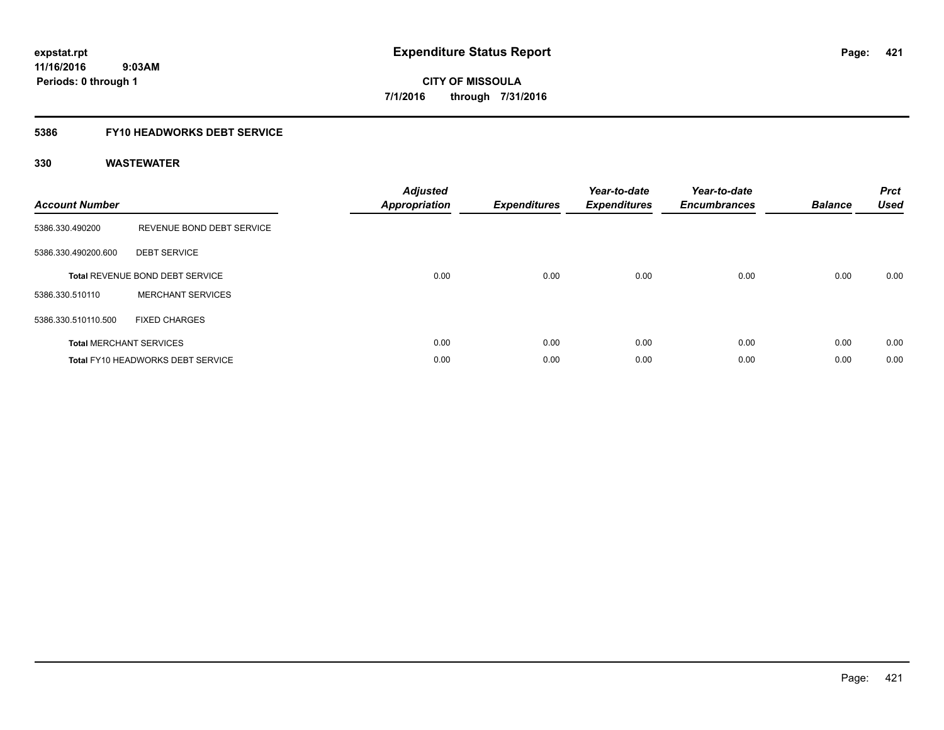## **5386 FY10 HEADWORKS DEBT SERVICE**

| <b>Account Number</b> |                                   | <b>Adjusted</b><br>Appropriation | <b>Expenditures</b> | Year-to-date<br><b>Expenditures</b> | Year-to-date<br><b>Encumbrances</b> | <b>Balance</b> | <b>Prct</b><br><b>Used</b> |
|-----------------------|-----------------------------------|----------------------------------|---------------------|-------------------------------------|-------------------------------------|----------------|----------------------------|
| 5386.330.490200       | REVENUE BOND DEBT SERVICE         |                                  |                     |                                     |                                     |                |                            |
| 5386.330.490200.600   | <b>DEBT SERVICE</b>               |                                  |                     |                                     |                                     |                |                            |
|                       | Total REVENUE BOND DEBT SERVICE   | 0.00                             | 0.00                | 0.00                                | 0.00                                | 0.00           | 0.00                       |
| 5386.330.510110       | <b>MERCHANT SERVICES</b>          |                                  |                     |                                     |                                     |                |                            |
| 5386.330.510110.500   | <b>FIXED CHARGES</b>              |                                  |                     |                                     |                                     |                |                            |
|                       | <b>Total MERCHANT SERVICES</b>    | 0.00                             | 0.00                | 0.00                                | 0.00                                | 0.00           | 0.00                       |
|                       | Total FY10 HEADWORKS DEBT SERVICE | 0.00                             | 0.00                | 0.00                                | 0.00                                | 0.00           | 0.00                       |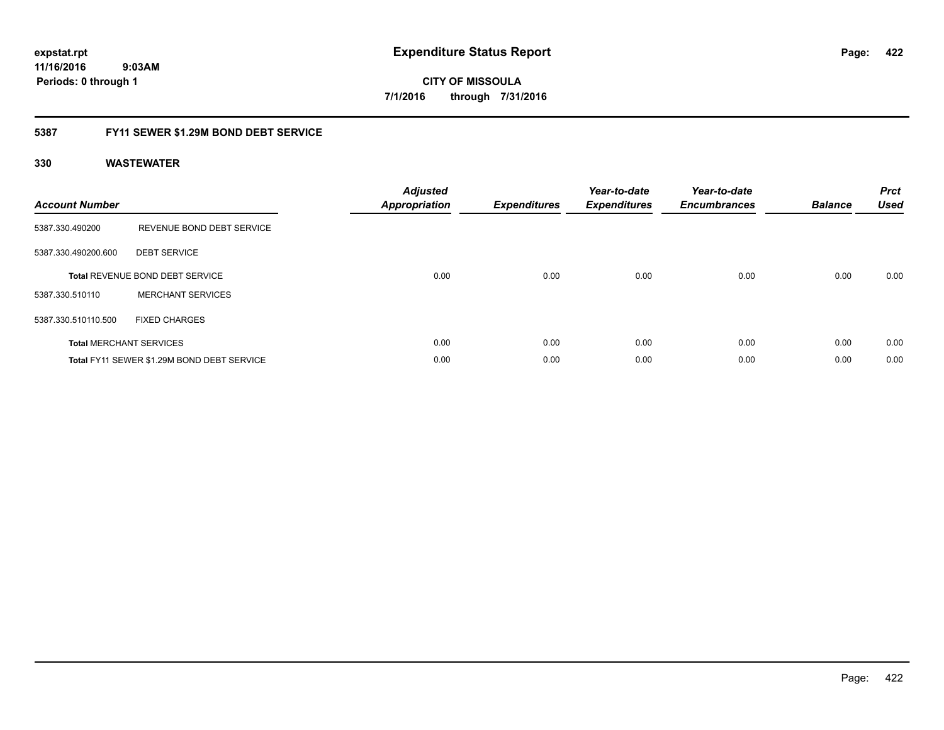**CITY OF MISSOULA 7/1/2016 through 7/31/2016**

## **5387 FY11 SEWER \$1.29M BOND DEBT SERVICE**

| <b>Account Number</b> |                                            | <b>Adjusted</b><br>Appropriation | <b>Expenditures</b> | Year-to-date<br><b>Expenditures</b> | Year-to-date<br><b>Encumbrances</b> | <b>Balance</b> | <b>Prct</b><br><b>Used</b> |
|-----------------------|--------------------------------------------|----------------------------------|---------------------|-------------------------------------|-------------------------------------|----------------|----------------------------|
| 5387.330.490200       | REVENUE BOND DEBT SERVICE                  |                                  |                     |                                     |                                     |                |                            |
| 5387.330.490200.600   | <b>DEBT SERVICE</b>                        |                                  |                     |                                     |                                     |                |                            |
|                       | <b>Total REVENUE BOND DEBT SERVICE</b>     | 0.00                             | 0.00                | 0.00                                | 0.00                                | 0.00           | 0.00                       |
| 5387.330.510110       | <b>MERCHANT SERVICES</b>                   |                                  |                     |                                     |                                     |                |                            |
| 5387.330.510110.500   | <b>FIXED CHARGES</b>                       |                                  |                     |                                     |                                     |                |                            |
|                       | <b>Total MERCHANT SERVICES</b>             | 0.00                             | 0.00                | 0.00                                | 0.00                                | 0.00           | 0.00                       |
|                       | Total FY11 SEWER \$1.29M BOND DEBT SERVICE | 0.00                             | 0.00                | 0.00                                | 0.00                                | 0.00           | 0.00                       |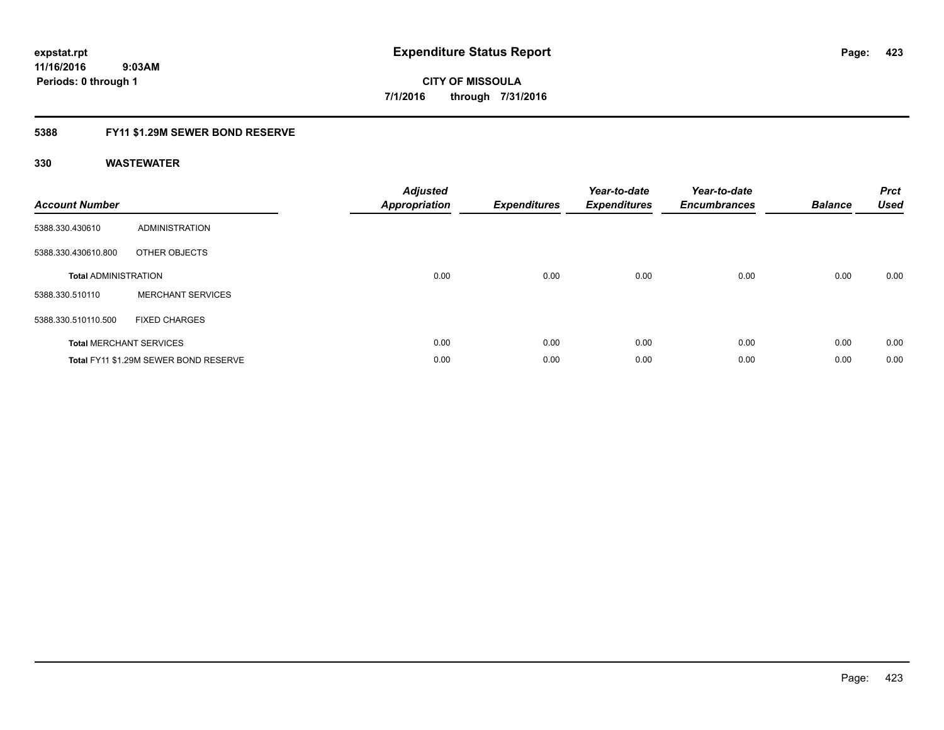## **5388 FY11 \$1.29M SEWER BOND RESERVE**

| <b>Account Number</b>       |                                       | <b>Adjusted</b><br>Appropriation | <b>Expenditures</b> | Year-to-date<br><b>Expenditures</b> | Year-to-date<br><b>Encumbrances</b> | <b>Balance</b> | <b>Prct</b><br><b>Used</b> |
|-----------------------------|---------------------------------------|----------------------------------|---------------------|-------------------------------------|-------------------------------------|----------------|----------------------------|
| 5388.330.430610             | ADMINISTRATION                        |                                  |                     |                                     |                                     |                |                            |
| 5388.330.430610.800         | OTHER OBJECTS                         |                                  |                     |                                     |                                     |                |                            |
| <b>Total ADMINISTRATION</b> |                                       | 0.00                             | 0.00                | 0.00                                | 0.00                                | 0.00           | 0.00                       |
| 5388.330.510110             | <b>MERCHANT SERVICES</b>              |                                  |                     |                                     |                                     |                |                            |
| 5388.330.510110.500         | <b>FIXED CHARGES</b>                  |                                  |                     |                                     |                                     |                |                            |
|                             | <b>Total MERCHANT SERVICES</b>        | 0.00                             | 0.00                | 0.00                                | 0.00                                | 0.00           | 0.00                       |
|                             | Total FY11 \$1.29M SEWER BOND RESERVE | 0.00                             | 0.00                | 0.00                                | 0.00                                | 0.00           | 0.00                       |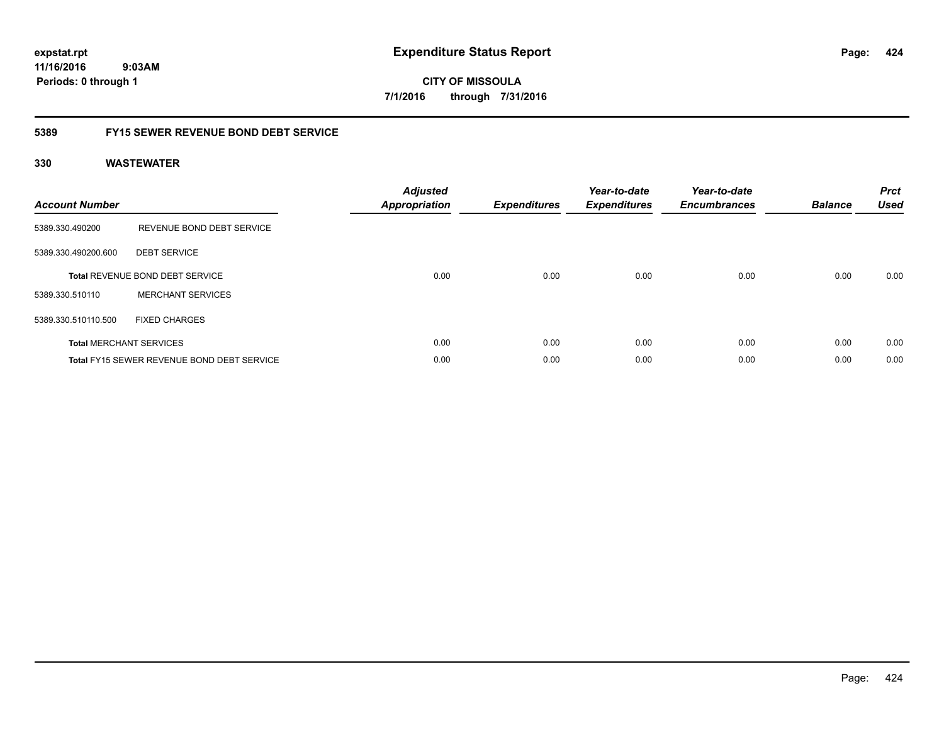**CITY OF MISSOULA 7/1/2016 through 7/31/2016**

## **5389 FY15 SEWER REVENUE BOND DEBT SERVICE**

| <b>Account Number</b> |                                                   | <b>Adjusted</b><br>Appropriation | <b>Expenditures</b> | Year-to-date<br><b>Expenditures</b> | Year-to-date<br><b>Encumbrances</b> | <b>Balance</b> | <b>Prct</b><br><b>Used</b> |
|-----------------------|---------------------------------------------------|----------------------------------|---------------------|-------------------------------------|-------------------------------------|----------------|----------------------------|
| 5389.330.490200       | REVENUE BOND DEBT SERVICE                         |                                  |                     |                                     |                                     |                |                            |
| 5389.330.490200.600   | <b>DEBT SERVICE</b>                               |                                  |                     |                                     |                                     |                |                            |
|                       | <b>Total REVENUE BOND DEBT SERVICE</b>            | 0.00                             | 0.00                | 0.00                                | 0.00                                | 0.00           | 0.00                       |
| 5389.330.510110       | <b>MERCHANT SERVICES</b>                          |                                  |                     |                                     |                                     |                |                            |
| 5389.330.510110.500   | <b>FIXED CHARGES</b>                              |                                  |                     |                                     |                                     |                |                            |
|                       | <b>Total MERCHANT SERVICES</b>                    | 0.00                             | 0.00                | 0.00                                | 0.00                                | 0.00           | 0.00                       |
|                       | <b>Total FY15 SEWER REVENUE BOND DEBT SERVICE</b> | 0.00                             | 0.00                | 0.00                                | 0.00                                | 0.00           | 0.00                       |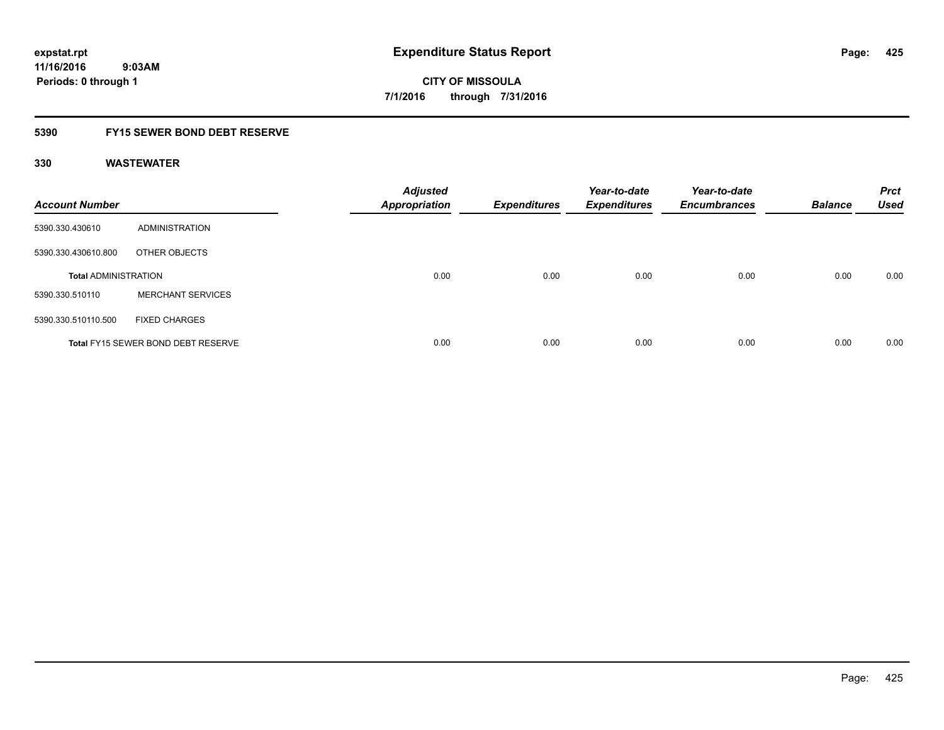## **5390 FY15 SEWER BOND DEBT RESERVE**

| <b>Account Number</b>       |                                           | <b>Adjusted</b><br><b>Appropriation</b> | <b>Expenditures</b> | Year-to-date<br><b>Expenditures</b> | Year-to-date<br><b>Encumbrances</b> | <b>Balance</b> | <b>Prct</b><br><b>Used</b> |
|-----------------------------|-------------------------------------------|-----------------------------------------|---------------------|-------------------------------------|-------------------------------------|----------------|----------------------------|
| 5390.330.430610             | ADMINISTRATION                            |                                         |                     |                                     |                                     |                |                            |
| 5390.330.430610.800         | OTHER OBJECTS                             |                                         |                     |                                     |                                     |                |                            |
| <b>Total ADMINISTRATION</b> |                                           | 0.00                                    | 0.00                | 0.00                                | 0.00                                | 0.00           | 0.00                       |
| 5390.330.510110             | <b>MERCHANT SERVICES</b>                  |                                         |                     |                                     |                                     |                |                            |
| 5390.330.510110.500         | <b>FIXED CHARGES</b>                      |                                         |                     |                                     |                                     |                |                            |
|                             | <b>Total FY15 SEWER BOND DEBT RESERVE</b> | 0.00                                    | 0.00                | 0.00                                | 0.00                                | 0.00           | 0.00                       |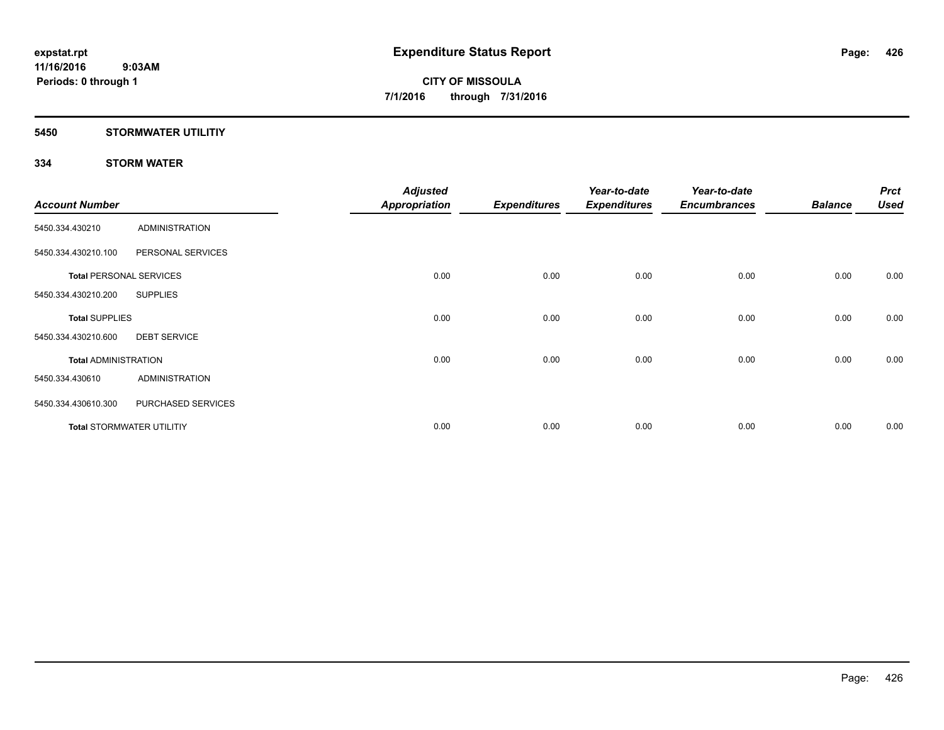## **5450 STORMWATER UTILITIY**

## **334 STORM WATER**

| <b>Account Number</b>          |                                  | <b>Adjusted</b><br><b>Appropriation</b> | <b>Expenditures</b> | Year-to-date<br><b>Expenditures</b> | Year-to-date<br><b>Encumbrances</b> | <b>Balance</b> | <b>Prct</b><br><b>Used</b> |
|--------------------------------|----------------------------------|-----------------------------------------|---------------------|-------------------------------------|-------------------------------------|----------------|----------------------------|
| 5450.334.430210                | <b>ADMINISTRATION</b>            |                                         |                     |                                     |                                     |                |                            |
| 5450.334.430210.100            | PERSONAL SERVICES                |                                         |                     |                                     |                                     |                |                            |
| <b>Total PERSONAL SERVICES</b> |                                  | 0.00                                    | 0.00                | 0.00                                | 0.00                                | 0.00           | 0.00                       |
| 5450.334.430210.200            | <b>SUPPLIES</b>                  |                                         |                     |                                     |                                     |                |                            |
| <b>Total SUPPLIES</b>          |                                  | 0.00                                    | 0.00                | 0.00                                | 0.00                                | 0.00           | 0.00                       |
| 5450.334.430210.600            | <b>DEBT SERVICE</b>              |                                         |                     |                                     |                                     |                |                            |
| <b>Total ADMINISTRATION</b>    |                                  | 0.00                                    | 0.00                | 0.00                                | 0.00                                | 0.00           | 0.00                       |
| 5450.334.430610                | <b>ADMINISTRATION</b>            |                                         |                     |                                     |                                     |                |                            |
| 5450.334.430610.300            | PURCHASED SERVICES               |                                         |                     |                                     |                                     |                |                            |
|                                | <b>Total STORMWATER UTILITIY</b> | 0.00                                    | 0.00                | 0.00                                | 0.00                                | 0.00           | 0.00                       |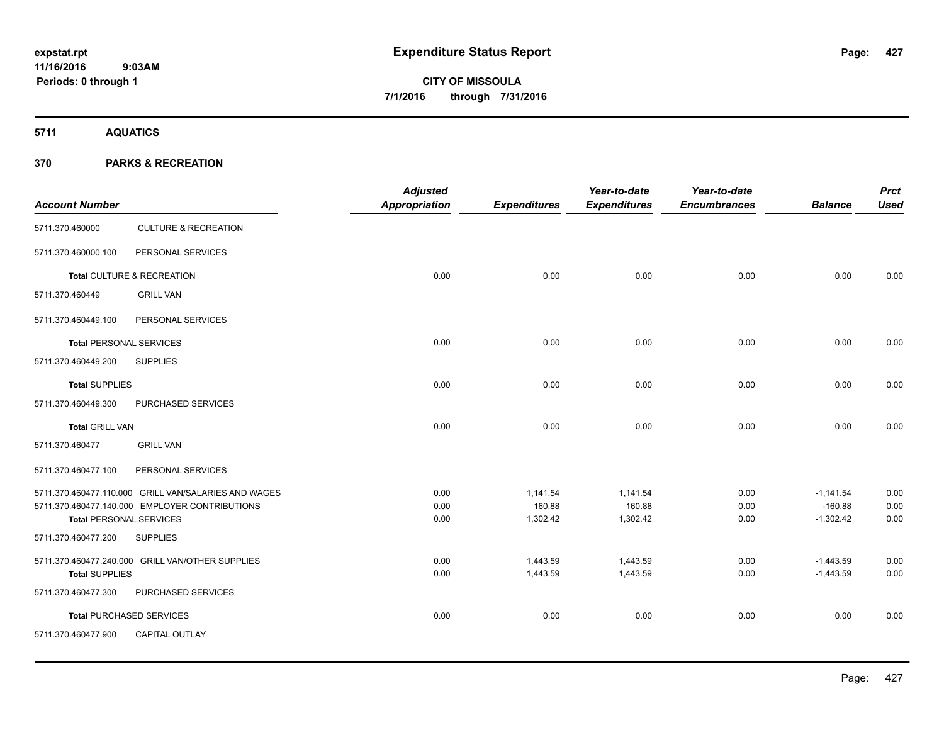**5711 AQUATICS**

| <b>Account Number</b>          |                                                      | <b>Adjusted</b><br><b>Appropriation</b> | <b>Expenditures</b> | Year-to-date<br><b>Expenditures</b> | Year-to-date<br><b>Encumbrances</b> | <b>Balance</b>           | <b>Prct</b><br><b>Used</b> |
|--------------------------------|------------------------------------------------------|-----------------------------------------|---------------------|-------------------------------------|-------------------------------------|--------------------------|----------------------------|
| 5711.370.460000                | <b>CULTURE &amp; RECREATION</b>                      |                                         |                     |                                     |                                     |                          |                            |
| 5711.370.460000.100            | PERSONAL SERVICES                                    |                                         |                     |                                     |                                     |                          |                            |
|                                | Total CULTURE & RECREATION                           | 0.00                                    | 0.00                | 0.00                                | 0.00                                | 0.00                     | 0.00                       |
| 5711.370.460449                | <b>GRILL VAN</b>                                     |                                         |                     |                                     |                                     |                          |                            |
| 5711.370.460449.100            | PERSONAL SERVICES                                    |                                         |                     |                                     |                                     |                          |                            |
| <b>Total PERSONAL SERVICES</b> |                                                      | 0.00                                    | 0.00                | 0.00                                | 0.00                                | 0.00                     | 0.00                       |
| 5711.370.460449.200            | <b>SUPPLIES</b>                                      |                                         |                     |                                     |                                     |                          |                            |
| <b>Total SUPPLIES</b>          |                                                      | 0.00                                    | 0.00                | 0.00                                | 0.00                                | 0.00                     | 0.00                       |
| 5711.370.460449.300            | PURCHASED SERVICES                                   |                                         |                     |                                     |                                     |                          |                            |
| <b>Total GRILL VAN</b>         |                                                      | 0.00                                    | 0.00                | 0.00                                | 0.00                                | 0.00                     | 0.00                       |
| 5711.370.460477                | <b>GRILL VAN</b>                                     |                                         |                     |                                     |                                     |                          |                            |
| 5711.370.460477.100            | PERSONAL SERVICES                                    |                                         |                     |                                     |                                     |                          |                            |
|                                | 5711.370.460477.110.000 GRILL VAN/SALARIES AND WAGES | 0.00                                    | 1,141.54            | 1,141.54                            | 0.00                                | $-1,141.54$              | 0.00                       |
| <b>Total PERSONAL SERVICES</b> | 5711.370.460477.140.000 EMPLOYER CONTRIBUTIONS       | 0.00<br>0.00                            | 160.88<br>1,302.42  | 160.88<br>1,302.42                  | 0.00<br>0.00                        | $-160.88$<br>$-1,302.42$ | 0.00<br>0.00               |
| 5711.370.460477.200            | <b>SUPPLIES</b>                                      |                                         |                     |                                     |                                     |                          |                            |
|                                | 5711.370.460477.240.000 GRILL VAN/OTHER SUPPLIES     | 0.00                                    | 1,443.59            | 1,443.59                            | 0.00                                | $-1,443.59$              | 0.00                       |
| <b>Total SUPPLIES</b>          |                                                      | 0.00                                    | 1,443.59            | 1,443.59                            | 0.00                                | $-1,443.59$              | 0.00                       |
| 5711.370.460477.300            | PURCHASED SERVICES                                   |                                         |                     |                                     |                                     |                          |                            |
|                                | <b>Total PURCHASED SERVICES</b>                      | 0.00                                    | 0.00                | 0.00                                | 0.00                                | 0.00                     | 0.00                       |
| 5711.370.460477.900            | <b>CAPITAL OUTLAY</b>                                |                                         |                     |                                     |                                     |                          |                            |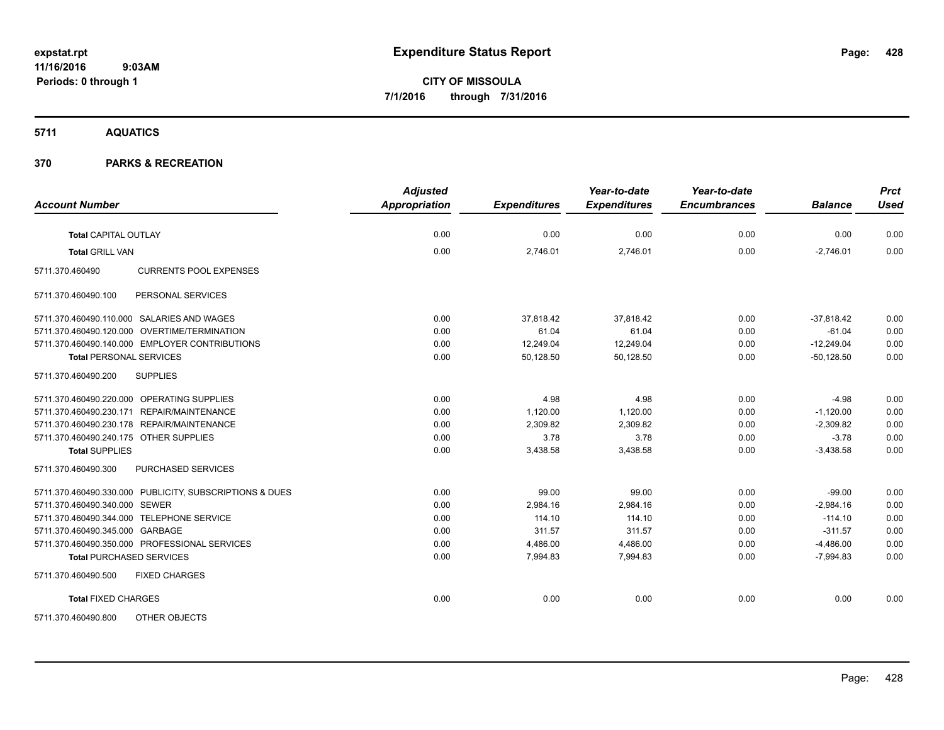## **5711 AQUATICS**

| <b>Account Number</b>                                   | <b>Adjusted</b><br>Appropriation | <b>Expenditures</b> | Year-to-date<br><b>Expenditures</b> | Year-to-date<br><b>Encumbrances</b> | <b>Balance</b> | <b>Prct</b><br><b>Used</b> |
|---------------------------------------------------------|----------------------------------|---------------------|-------------------------------------|-------------------------------------|----------------|----------------------------|
|                                                         |                                  |                     |                                     |                                     |                |                            |
| <b>Total CAPITAL OUTLAY</b>                             | 0.00                             | 0.00                | 0.00                                | 0.00                                | 0.00           | 0.00                       |
| <b>Total GRILL VAN</b>                                  | 0.00                             | 2,746.01            | 2,746.01                            | 0.00                                | $-2,746.01$    | 0.00                       |
| <b>CURRENTS POOL EXPENSES</b><br>5711.370.460490        |                                  |                     |                                     |                                     |                |                            |
| 5711.370.460490.100<br>PERSONAL SERVICES                |                                  |                     |                                     |                                     |                |                            |
| 5711.370.460490.110.000 SALARIES AND WAGES              | 0.00                             | 37,818.42           | 37,818.42                           | 0.00                                | $-37,818.42$   | 0.00                       |
| 5711.370.460490.120.000 OVERTIME/TERMINATION            | 0.00                             | 61.04               | 61.04                               | 0.00                                | $-61.04$       | 0.00                       |
| 5711.370.460490.140.000 EMPLOYER CONTRIBUTIONS          | 0.00                             | 12,249.04           | 12,249.04                           | 0.00                                | $-12,249.04$   | 0.00                       |
| <b>Total PERSONAL SERVICES</b>                          | 0.00                             | 50,128.50           | 50,128.50                           | 0.00                                | $-50,128.50$   | 0.00                       |
| <b>SUPPLIES</b><br>5711.370.460490.200                  |                                  |                     |                                     |                                     |                |                            |
| 5711.370.460490.220.000 OPERATING SUPPLIES              | 0.00                             | 4.98                | 4.98                                | 0.00                                | $-4.98$        | 0.00                       |
| 5711.370.460490.230.171 REPAIR/MAINTENANCE              | 0.00                             | 1,120.00            | 1,120.00                            | 0.00                                | $-1,120.00$    | 0.00                       |
| 5711.370.460490.230.178 REPAIR/MAINTENANCE              | 0.00                             | 2,309.82            | 2,309.82                            | 0.00                                | $-2,309.82$    | 0.00                       |
| 5711.370.460490.240.175 OTHER SUPPLIES                  | 0.00                             | 3.78                | 3.78                                | 0.00                                | $-3.78$        | 0.00                       |
| <b>Total SUPPLIES</b>                                   | 0.00                             | 3,438.58            | 3,438.58                            | 0.00                                | $-3.438.58$    | 0.00                       |
| PURCHASED SERVICES<br>5711.370.460490.300               |                                  |                     |                                     |                                     |                |                            |
| 5711.370.460490.330.000 PUBLICITY, SUBSCRIPTIONS & DUES | 0.00                             | 99.00               | 99.00                               | 0.00                                | $-99.00$       | 0.00                       |
| 5711.370.460490.340.000 SEWER                           | 0.00                             | 2,984.16            | 2.984.16                            | 0.00                                | $-2.984.16$    | 0.00                       |
| 5711.370.460490.344.000 TELEPHONE SERVICE               | 0.00                             | 114.10              | 114.10                              | 0.00                                | $-114.10$      | 0.00                       |
| 5711.370.460490.345.000 GARBAGE                         | 0.00                             | 311.57              | 311.57                              | 0.00                                | $-311.57$      | 0.00                       |
| 5711.370.460490.350.000 PROFESSIONAL SERVICES           | 0.00                             | 4,486.00            | 4,486.00                            | 0.00                                | $-4,486.00$    | 0.00                       |
| <b>Total PURCHASED SERVICES</b>                         | 0.00                             | 7,994.83            | 7,994.83                            | 0.00                                | $-7,994.83$    | 0.00                       |
| 5711.370.460490.500<br><b>FIXED CHARGES</b>             |                                  |                     |                                     |                                     |                |                            |
| <b>Total FIXED CHARGES</b>                              | 0.00                             | 0.00                | 0.00                                | 0.00                                | 0.00           | 0.00                       |
| <b>OTHER OBJECTS</b><br>5711.370.460490.800             |                                  |                     |                                     |                                     |                |                            |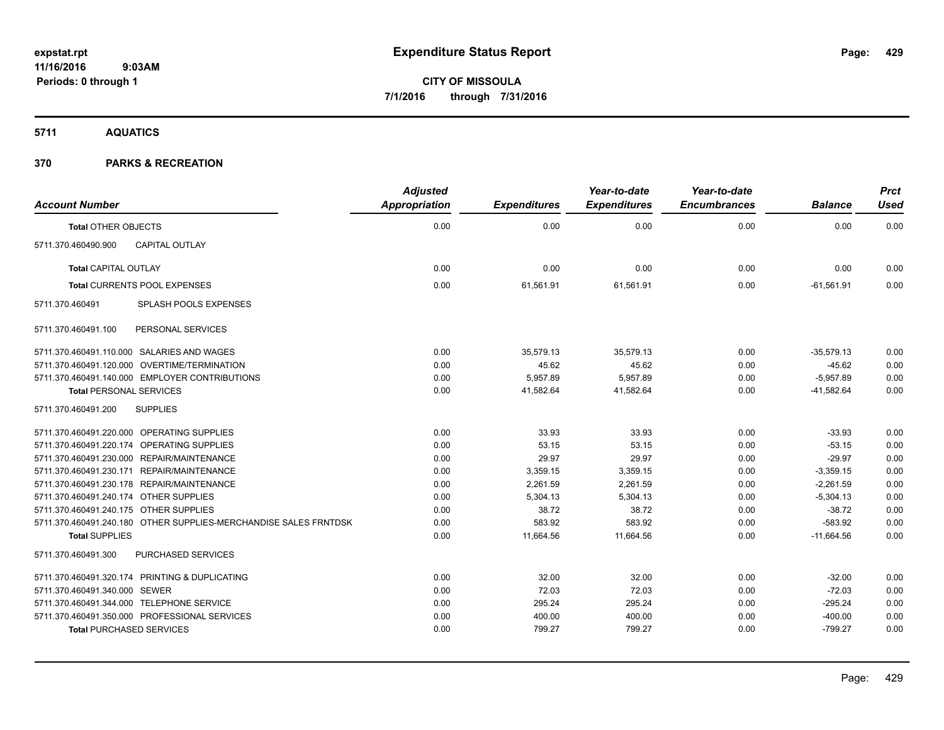## **5711 AQUATICS**

| <b>Account Number</b>                                            | <b>Adjusted</b><br>Appropriation | <b>Expenditures</b> | Year-to-date<br><b>Expenditures</b> | Year-to-date<br><b>Encumbrances</b> | <b>Balance</b> | <b>Prct</b><br><b>Used</b> |
|------------------------------------------------------------------|----------------------------------|---------------------|-------------------------------------|-------------------------------------|----------------|----------------------------|
| <b>Total OTHER OBJECTS</b>                                       | 0.00                             | 0.00                | 0.00                                | 0.00                                | 0.00           | 0.00                       |
| CAPITAL OUTLAY<br>5711.370.460490.900                            |                                  |                     |                                     |                                     |                |                            |
| <b>Total CAPITAL OUTLAY</b>                                      | 0.00                             | 0.00                | 0.00                                | 0.00                                | 0.00           | 0.00                       |
| Total CURRENTS POOL EXPENSES                                     | 0.00                             | 61,561.91           | 61,561.91                           | 0.00                                | $-61,561.91$   | 0.00                       |
| 5711.370.460491<br>SPLASH POOLS EXPENSES                         |                                  |                     |                                     |                                     |                |                            |
| PERSONAL SERVICES<br>5711.370.460491.100                         |                                  |                     |                                     |                                     |                |                            |
| 5711.370.460491.110.000 SALARIES AND WAGES                       | 0.00                             | 35,579.13           | 35,579.13                           | 0.00                                | $-35.579.13$   | 0.00                       |
| 5711.370.460491.120.000 OVERTIME/TERMINATION                     | 0.00                             | 45.62               | 45.62                               | 0.00                                | $-45.62$       | 0.00                       |
| 5711.370.460491.140.000 EMPLOYER CONTRIBUTIONS                   | 0.00                             | 5,957.89            | 5,957.89                            | 0.00                                | $-5,957.89$    | 0.00                       |
| <b>Total PERSONAL SERVICES</b>                                   | 0.00                             | 41,582.64           | 41,582.64                           | 0.00                                | $-41,582.64$   | 0.00                       |
| 5711.370.460491.200<br><b>SUPPLIES</b>                           |                                  |                     |                                     |                                     |                |                            |
| 5711.370.460491.220.000 OPERATING SUPPLIES                       | 0.00                             | 33.93               | 33.93                               | 0.00                                | $-33.93$       | 0.00                       |
| 5711.370.460491.220.174 OPERATING SUPPLIES                       | 0.00                             | 53.15               | 53.15                               | 0.00                                | $-53.15$       | 0.00                       |
| 5711.370.460491.230.000 REPAIR/MAINTENANCE                       | 0.00                             | 29.97               | 29.97                               | 0.00                                | $-29.97$       | 0.00                       |
| 5711.370.460491.230.171 REPAIR/MAINTENANCE                       | 0.00                             | 3,359.15            | 3,359.15                            | 0.00                                | $-3,359.15$    | 0.00                       |
| 5711.370.460491.230.178 REPAIR/MAINTENANCE                       | 0.00                             | 2,261.59            | 2,261.59                            | 0.00                                | $-2,261.59$    | 0.00                       |
| 5711.370.460491.240.174 OTHER SUPPLIES                           | 0.00                             | 5,304.13            | 5,304.13                            | 0.00                                | $-5,304.13$    | 0.00                       |
| 5711.370.460491.240.175 OTHER SUPPLIES                           | 0.00                             | 38.72               | 38.72                               | 0.00                                | $-38.72$       | 0.00                       |
| 5711.370.460491.240.180 OTHER SUPPLIES-MERCHANDISE SALES FRNTDSK | 0.00                             | 583.92              | 583.92                              | 0.00                                | $-583.92$      | 0.00                       |
| <b>Total SUPPLIES</b>                                            | 0.00                             | 11,664.56           | 11,664.56                           | 0.00                                | $-11.664.56$   | 0.00                       |
| PURCHASED SERVICES<br>5711.370.460491.300                        |                                  |                     |                                     |                                     |                |                            |
| 5711.370.460491.320.174 PRINTING & DUPLICATING                   | 0.00                             | 32.00               | 32.00                               | 0.00                                | $-32.00$       | 0.00                       |
| 5711.370.460491.340.000 SEWER                                    | 0.00                             | 72.03               | 72.03                               | 0.00                                | $-72.03$       | 0.00                       |
| 5711.370.460491.344.000 TELEPHONE SERVICE                        | 0.00                             | 295.24              | 295.24                              | 0.00                                | $-295.24$      | 0.00                       |
| 5711.370.460491.350.000 PROFESSIONAL SERVICES                    | 0.00                             | 400.00              | 400.00                              | 0.00                                | $-400.00$      | 0.00                       |
| <b>Total PURCHASED SERVICES</b>                                  | 0.00                             | 799.27              | 799.27                              | 0.00                                | $-799.27$      | 0.00                       |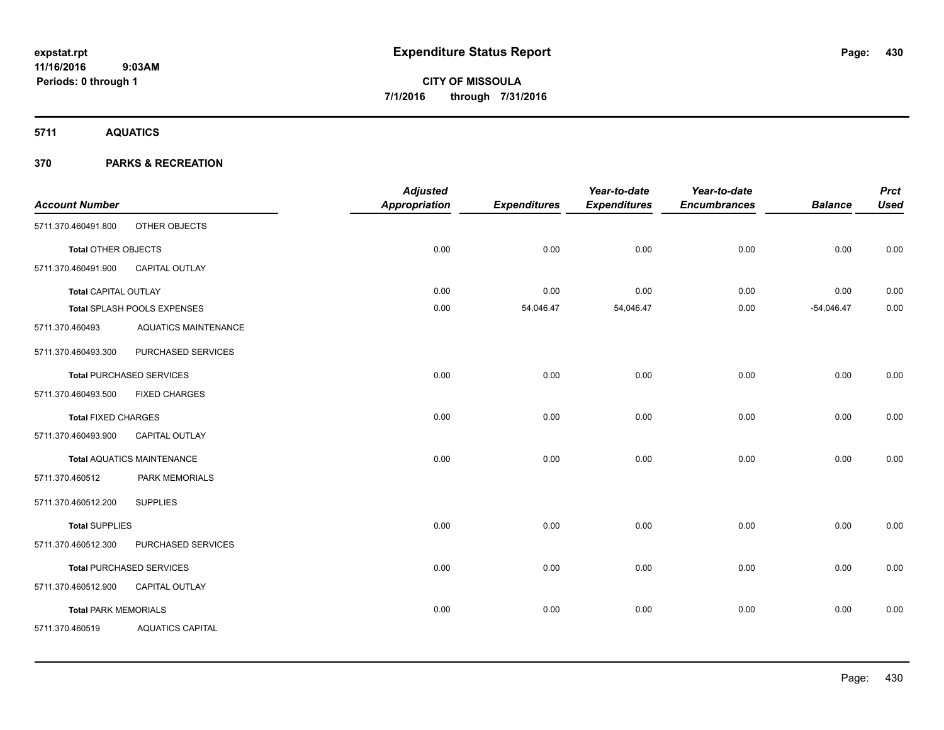**5711 AQUATICS**

|                                   | <b>Adjusted</b> |               | Year-to-date        | Year-to-date        |                     | <b>Prct</b>    |
|-----------------------------------|-----------------|---------------|---------------------|---------------------|---------------------|----------------|
|                                   |                 |               |                     |                     |                     | <b>Used</b>    |
| OTHER OBJECTS                     |                 |               |                     |                     |                     |                |
| <b>Total OTHER OBJECTS</b>        | 0.00            | 0.00          | 0.00                | 0.00                | 0.00                | 0.00           |
| CAPITAL OUTLAY                    |                 |               |                     |                     |                     |                |
| <b>Total CAPITAL OUTLAY</b>       | 0.00            | 0.00          | 0.00                | 0.00                | 0.00                | 0.00           |
| Total SPLASH POOLS EXPENSES       | 0.00            | 54,046.47     | 54,046.47           | 0.00                | $-54,046.47$        | 0.00           |
| <b>AQUATICS MAINTENANCE</b>       |                 |               |                     |                     |                     |                |
| PURCHASED SERVICES                |                 |               |                     |                     |                     |                |
| <b>Total PURCHASED SERVICES</b>   | 0.00            | 0.00          | 0.00                | 0.00                | 0.00                | 0.00           |
| <b>FIXED CHARGES</b>              |                 |               |                     |                     |                     |                |
| <b>Total FIXED CHARGES</b>        | 0.00            | 0.00          | 0.00                | 0.00                | 0.00                | 0.00           |
| CAPITAL OUTLAY                    |                 |               |                     |                     |                     |                |
| <b>Total AQUATICS MAINTENANCE</b> | 0.00            | 0.00          | 0.00                | 0.00                | 0.00                | 0.00           |
| PARK MEMORIALS                    |                 |               |                     |                     |                     |                |
| <b>SUPPLIES</b>                   |                 |               |                     |                     |                     |                |
| <b>Total SUPPLIES</b>             | 0.00            | 0.00          | 0.00                | 0.00                | 0.00                | 0.00           |
| PURCHASED SERVICES                |                 |               |                     |                     |                     |                |
| <b>Total PURCHASED SERVICES</b>   | 0.00            | 0.00          | 0.00                | 0.00                | 0.00                | 0.00           |
| CAPITAL OUTLAY                    |                 |               |                     |                     |                     |                |
| <b>Total PARK MEMORIALS</b>       | 0.00            | 0.00          | 0.00                | 0.00                | 0.00                | 0.00           |
| <b>AQUATICS CAPITAL</b>           |                 |               |                     |                     |                     |                |
|                                   |                 | Appropriation | <b>Expenditures</b> | <b>Expenditures</b> | <b>Encumbrances</b> | <b>Balance</b> |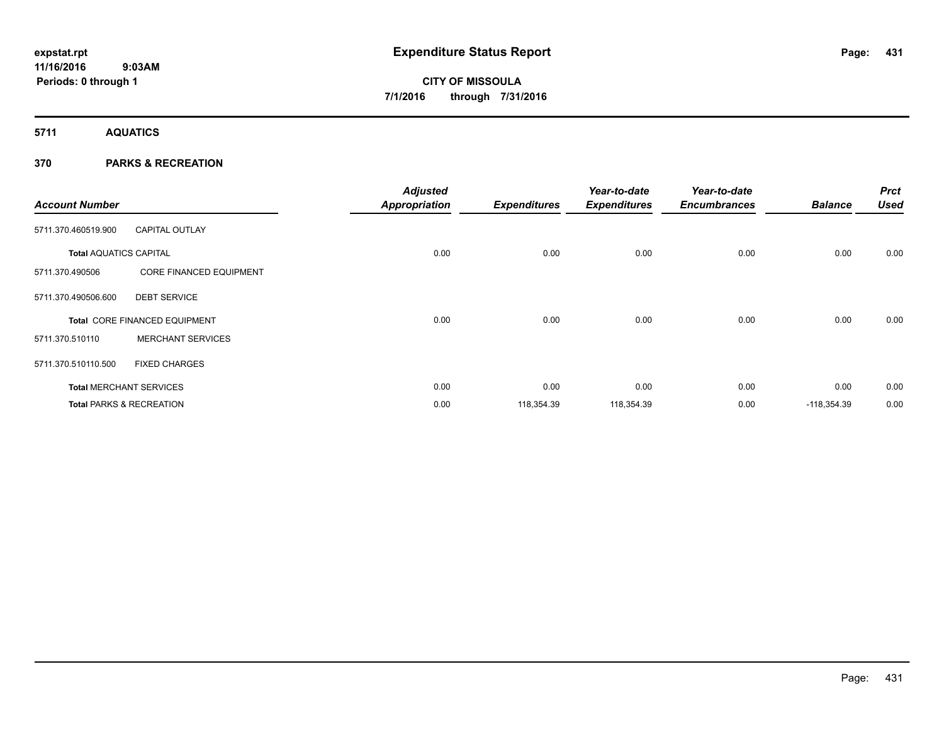**5711 AQUATICS**

| <b>Account Number</b>         |                                     | <b>Adjusted</b><br><b>Appropriation</b> | <b>Expenditures</b> | Year-to-date<br><b>Expenditures</b> | Year-to-date<br><b>Encumbrances</b> | <b>Balance</b> | <b>Prct</b><br><b>Used</b> |
|-------------------------------|-------------------------------------|-----------------------------------------|---------------------|-------------------------------------|-------------------------------------|----------------|----------------------------|
| 5711.370.460519.900           | <b>CAPITAL OUTLAY</b>               |                                         |                     |                                     |                                     |                |                            |
| <b>Total AQUATICS CAPITAL</b> |                                     | 0.00                                    | 0.00                | 0.00                                | 0.00                                | 0.00           | 0.00                       |
| 5711.370.490506               | <b>CORE FINANCED EQUIPMENT</b>      |                                         |                     |                                     |                                     |                |                            |
| 5711.370.490506.600           | <b>DEBT SERVICE</b>                 |                                         |                     |                                     |                                     |                |                            |
|                               | Total CORE FINANCED EQUIPMENT       | 0.00                                    | 0.00                | 0.00                                | 0.00                                | 0.00           | 0.00                       |
| 5711.370.510110               | <b>MERCHANT SERVICES</b>            |                                         |                     |                                     |                                     |                |                            |
| 5711.370.510110.500           | <b>FIXED CHARGES</b>                |                                         |                     |                                     |                                     |                |                            |
|                               | <b>Total MERCHANT SERVICES</b>      | 0.00                                    | 0.00                | 0.00                                | 0.00                                | 0.00           | 0.00                       |
|                               | <b>Total PARKS &amp; RECREATION</b> | 0.00                                    | 118,354.39          | 118,354.39                          | 0.00                                | $-118,354.39$  | 0.00                       |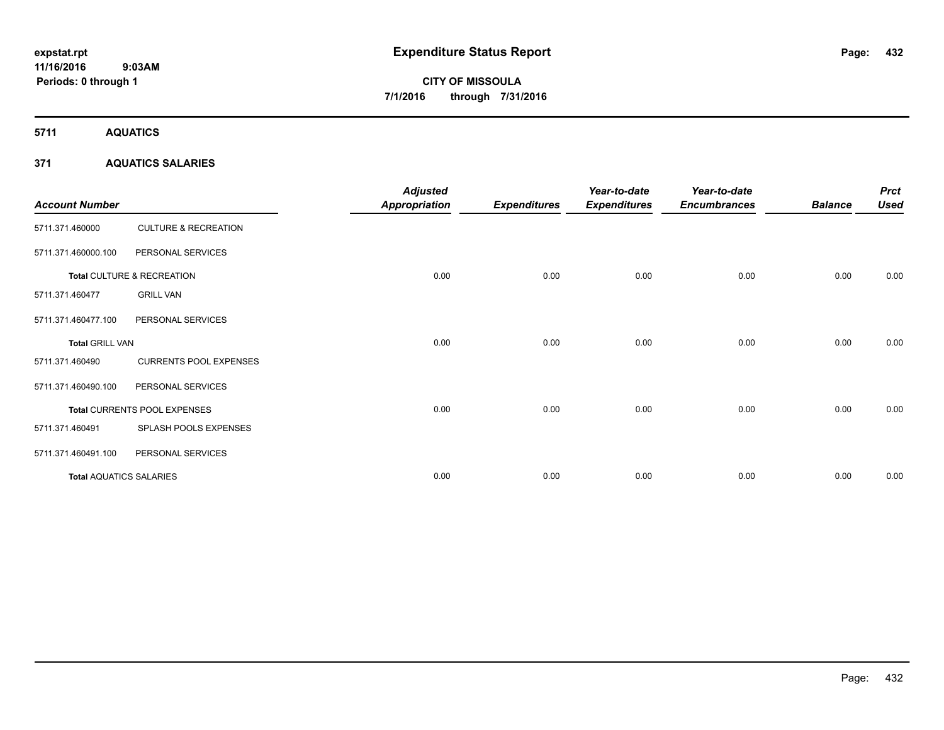**5711 AQUATICS**

## **371 AQUATICS SALARIES**

| <b>Account Number</b>          |                                 | <b>Adjusted</b><br><b>Appropriation</b> | <b>Expenditures</b> | Year-to-date<br><b>Expenditures</b> | Year-to-date<br><b>Encumbrances</b> | <b>Balance</b> | <b>Prct</b><br><b>Used</b> |
|--------------------------------|---------------------------------|-----------------------------------------|---------------------|-------------------------------------|-------------------------------------|----------------|----------------------------|
| 5711.371.460000                | <b>CULTURE &amp; RECREATION</b> |                                         |                     |                                     |                                     |                |                            |
| 5711.371.460000.100            | PERSONAL SERVICES               |                                         |                     |                                     |                                     |                |                            |
|                                | Total CULTURE & RECREATION      | 0.00                                    | 0.00                | 0.00                                | 0.00                                | 0.00           | 0.00                       |
| 5711.371.460477                | <b>GRILL VAN</b>                |                                         |                     |                                     |                                     |                |                            |
| 5711.371.460477.100            | PERSONAL SERVICES               |                                         |                     |                                     |                                     |                |                            |
| <b>Total GRILL VAN</b>         |                                 | 0.00                                    | 0.00                | 0.00                                | 0.00                                | 0.00           | 0.00                       |
| 5711.371.460490                | <b>CURRENTS POOL EXPENSES</b>   |                                         |                     |                                     |                                     |                |                            |
| 5711.371.460490.100            | PERSONAL SERVICES               |                                         |                     |                                     |                                     |                |                            |
|                                | Total CURRENTS POOL EXPENSES    | 0.00                                    | 0.00                | 0.00                                | 0.00                                | 0.00           | 0.00                       |
| 5711.371.460491                | SPLASH POOLS EXPENSES           |                                         |                     |                                     |                                     |                |                            |
| 5711.371.460491.100            | PERSONAL SERVICES               |                                         |                     |                                     |                                     |                |                            |
| <b>Total AQUATICS SALARIES</b> |                                 | 0.00                                    | 0.00                | 0.00                                | 0.00                                | 0.00           | 0.00                       |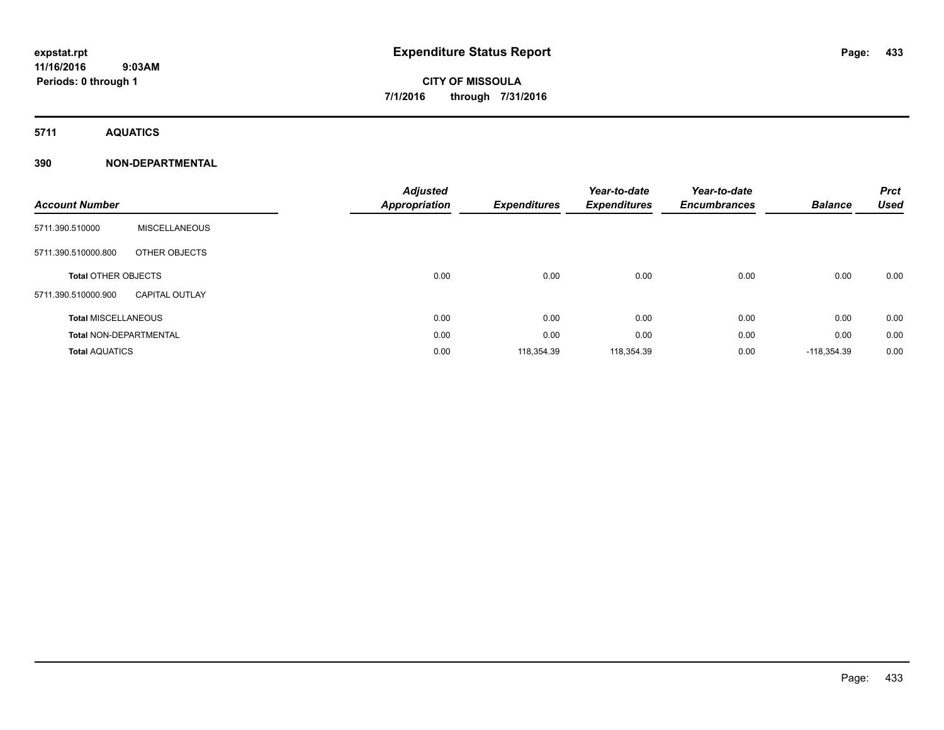**5711 AQUATICS**

**Periods: 0 through 1**

### **390 NON-DEPARTMENTAL**

 **9:03AM**

| <b>Account Number</b>         |                       | <b>Adjusted</b><br>Appropriation | <b>Expenditures</b> | Year-to-date<br><b>Expenditures</b> | Year-to-date<br><b>Encumbrances</b> | <b>Balance</b> | <b>Prct</b><br><b>Used</b> |
|-------------------------------|-----------------------|----------------------------------|---------------------|-------------------------------------|-------------------------------------|----------------|----------------------------|
| 5711.390.510000               | <b>MISCELLANEOUS</b>  |                                  |                     |                                     |                                     |                |                            |
| 5711.390.510000.800           | OTHER OBJECTS         |                                  |                     |                                     |                                     |                |                            |
| <b>Total OTHER OBJECTS</b>    |                       | 0.00                             | 0.00                | 0.00                                | 0.00                                | 0.00           | 0.00                       |
| 5711.390.510000.900           | <b>CAPITAL OUTLAY</b> |                                  |                     |                                     |                                     |                |                            |
| <b>Total MISCELLANEOUS</b>    |                       | 0.00                             | 0.00                | 0.00                                | 0.00                                | 0.00           | 0.00                       |
| <b>Total NON-DEPARTMENTAL</b> |                       | 0.00                             | 0.00                | 0.00                                | 0.00                                | 0.00           | 0.00                       |
| <b>Total AQUATICS</b>         |                       | 0.00                             | 118,354.39          | 118,354.39                          | 0.00                                | $-118,354.39$  | 0.00                       |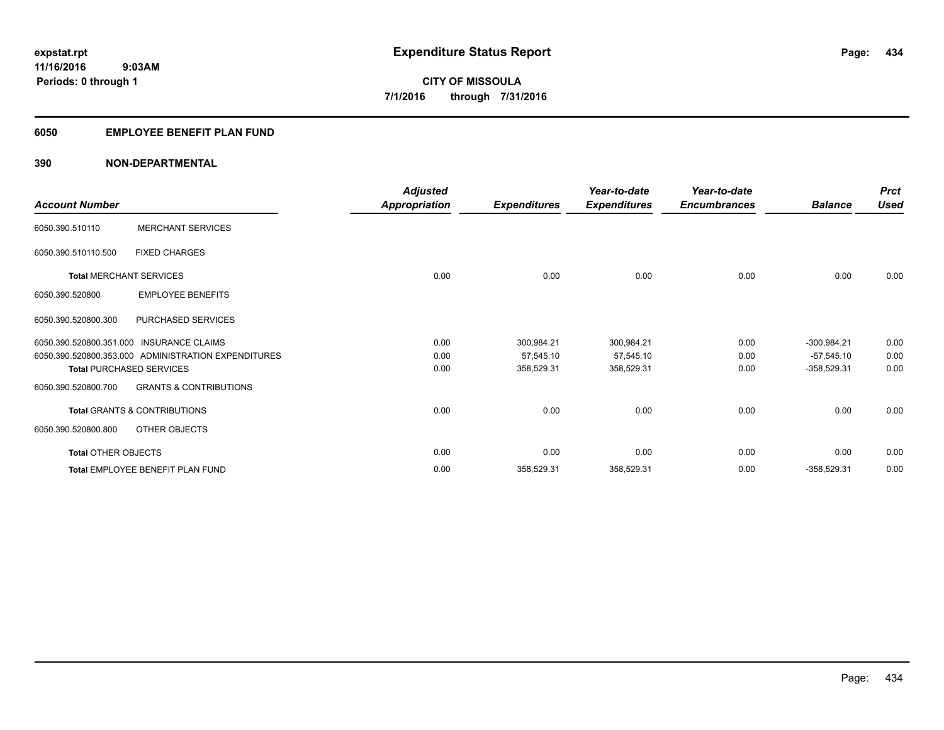### **6050 EMPLOYEE BENEFIT PLAN FUND**

| <b>Account Number</b>          |                                                     | Adjusted<br><b>Appropriation</b> | <b>Expenditures</b> | Year-to-date<br><b>Expenditures</b> | Year-to-date<br><b>Encumbrances</b> | <b>Balance</b> | <b>Prct</b><br><b>Used</b> |
|--------------------------------|-----------------------------------------------------|----------------------------------|---------------------|-------------------------------------|-------------------------------------|----------------|----------------------------|
| 6050.390.510110                | <b>MERCHANT SERVICES</b>                            |                                  |                     |                                     |                                     |                |                            |
| 6050.390.510110.500            | <b>FIXED CHARGES</b>                                |                                  |                     |                                     |                                     |                |                            |
| <b>Total MERCHANT SERVICES</b> |                                                     | 0.00                             | 0.00                | 0.00                                | 0.00                                | 0.00           | 0.00                       |
| 6050.390.520800                | <b>EMPLOYEE BENEFITS</b>                            |                                  |                     |                                     |                                     |                |                            |
| 6050.390.520800.300            | PURCHASED SERVICES                                  |                                  |                     |                                     |                                     |                |                            |
|                                | 6050.390.520800.351.000 INSURANCE CLAIMS            | 0.00                             | 300,984.21          | 300,984.21                          | 0.00                                | $-300,984.21$  | 0.00                       |
|                                | 6050.390.520800.353.000 ADMINISTRATION EXPENDITURES | 0.00                             | 57,545.10           | 57,545.10                           | 0.00                                | $-57,545.10$   | 0.00                       |
|                                | <b>Total PURCHASED SERVICES</b>                     | 0.00                             | 358,529.31          | 358,529.31                          | 0.00                                | $-358,529.31$  | 0.00                       |
| 6050.390.520800.700            | <b>GRANTS &amp; CONTRIBUTIONS</b>                   |                                  |                     |                                     |                                     |                |                            |
|                                | <b>Total GRANTS &amp; CONTRIBUTIONS</b>             | 0.00                             | 0.00                | 0.00                                | 0.00                                | 0.00           | 0.00                       |
| 6050.390.520800.800            | OTHER OBJECTS                                       |                                  |                     |                                     |                                     |                |                            |
| <b>Total OTHER OBJECTS</b>     |                                                     | 0.00                             | 0.00                | 0.00                                | 0.00                                | 0.00           | 0.00                       |
|                                | Total EMPLOYEE BENEFIT PLAN FUND                    | 0.00                             | 358,529.31          | 358,529.31                          | 0.00                                | $-358,529.31$  | 0.00                       |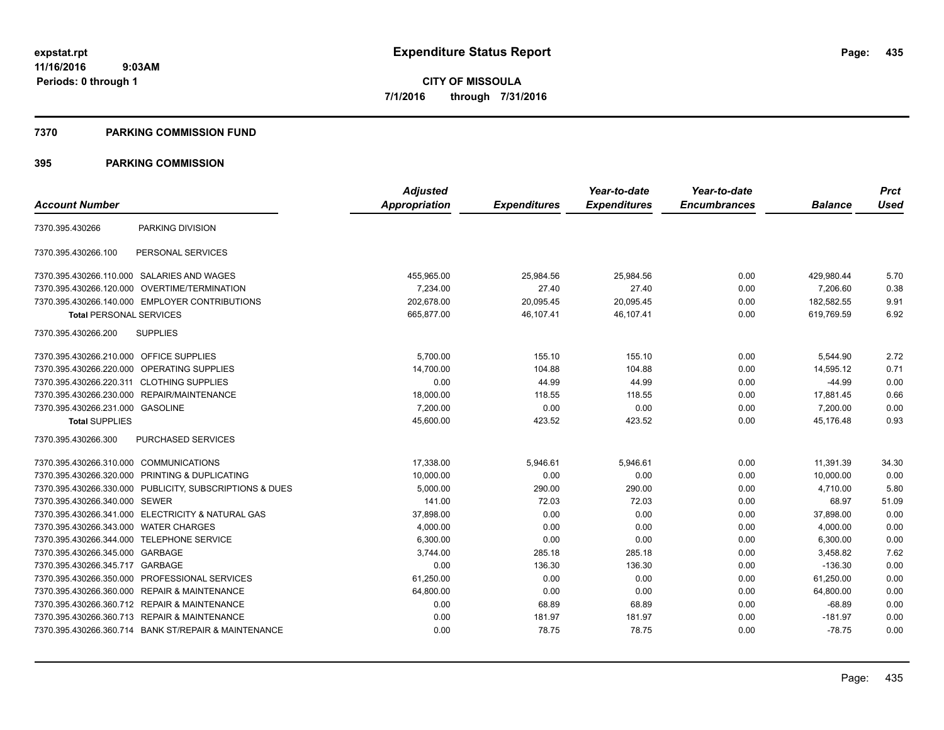### **7370 PARKING COMMISSION FUND**

|                                                         | <b>Adjusted</b>      |                     | Year-to-date        | Year-to-date        |                | <b>Prct</b> |
|---------------------------------------------------------|----------------------|---------------------|---------------------|---------------------|----------------|-------------|
| <b>Account Number</b>                                   | <b>Appropriation</b> | <b>Expenditures</b> | <b>Expenditures</b> | <b>Encumbrances</b> | <b>Balance</b> | <b>Used</b> |
| PARKING DIVISION<br>7370.395.430266                     |                      |                     |                     |                     |                |             |
| 7370.395.430266.100<br>PERSONAL SERVICES                |                      |                     |                     |                     |                |             |
| 7370.395.430266.110.000 SALARIES AND WAGES              | 455.965.00           | 25,984.56           | 25,984.56           | 0.00                | 429,980.44     | 5.70        |
| 7370.395.430266.120.000 OVERTIME/TERMINATION            | 7.234.00             | 27.40               | 27.40               | 0.00                | 7.206.60       | 0.38        |
| 7370.395.430266.140.000 EMPLOYER CONTRIBUTIONS          | 202,678.00           | 20,095.45           | 20,095.45           | 0.00                | 182,582.55     | 9.91        |
| <b>Total PERSONAL SERVICES</b>                          | 665,877.00           | 46,107.41           | 46,107.41           | 0.00                | 619.769.59     | 6.92        |
| 7370.395.430266.200<br><b>SUPPLIES</b>                  |                      |                     |                     |                     |                |             |
| 7370.395.430266.210.000 OFFICE SUPPLIES                 | 5,700.00             | 155.10              | 155.10              | 0.00                | 5,544.90       | 2.72        |
| 7370.395.430266.220.000 OPERATING SUPPLIES              | 14,700.00            | 104.88              | 104.88              | 0.00                | 14,595.12      | 0.71        |
| 7370.395.430266.220.311 CLOTHING SUPPLIES               | 0.00                 | 44.99               | 44.99               | 0.00                | $-44.99$       | 0.00        |
| 7370.395.430266.230.000 REPAIR/MAINTENANCE              | 18,000.00            | 118.55              | 118.55              | 0.00                | 17,881.45      | 0.66        |
| 7370.395.430266.231.000 GASOLINE                        | 7,200.00             | 0.00                | 0.00                | 0.00                | 7,200.00       | 0.00        |
| <b>Total SUPPLIES</b>                                   | 45,600.00            | 423.52              | 423.52              | 0.00                | 45,176.48      | 0.93        |
| 7370.395.430266.300<br><b>PURCHASED SERVICES</b>        |                      |                     |                     |                     |                |             |
| 7370.395.430266.310.000 COMMUNICATIONS                  | 17,338.00            | 5,946.61            | 5,946.61            | 0.00                | 11,391.39      | 34.30       |
| 7370.395.430266.320.000 PRINTING & DUPLICATING          | 10,000.00            | 0.00                | 0.00                | 0.00                | 10,000.00      | 0.00        |
| 7370.395.430266.330.000 PUBLICITY, SUBSCRIPTIONS & DUES | 5,000.00             | 290.00              | 290.00              | 0.00                | 4,710.00       | 5.80        |
| 7370.395.430266.340.000 SEWER                           | 141.00               | 72.03               | 72.03               | 0.00                | 68.97          | 51.09       |
| 7370.395.430266.341.000 ELECTRICITY & NATURAL GAS       | 37,898.00            | 0.00                | 0.00                | 0.00                | 37,898.00      | 0.00        |
| 7370.395.430266.343.000 WATER CHARGES                   | 4,000.00             | 0.00                | 0.00                | 0.00                | 4,000.00       | 0.00        |
| 7370.395.430266.344.000 TELEPHONE SERVICE               | 6,300.00             | 0.00                | 0.00                | 0.00                | 6,300.00       | 0.00        |
| 7370.395.430266.345.000 GARBAGE                         | 3,744.00             | 285.18              | 285.18              | 0.00                | 3,458.82       | 7.62        |
| 7370.395.430266.345.717 GARBAGE                         | 0.00                 | 136.30              | 136.30              | 0.00                | $-136.30$      | 0.00        |
| 7370.395.430266.350.000 PROFESSIONAL SERVICES           | 61,250.00            | 0.00                | 0.00                | 0.00                | 61,250.00      | 0.00        |
| 7370.395.430266.360.000 REPAIR & MAINTENANCE            | 64,800.00            | 0.00                | 0.00                | 0.00                | 64,800.00      | 0.00        |
| 7370.395.430266.360.712 REPAIR & MAINTENANCE            | 0.00                 | 68.89               | 68.89               | 0.00                | $-68.89$       | 0.00        |
| 7370.395.430266.360.713 REPAIR & MAINTENANCE            | 0.00                 | 181.97              | 181.97              | 0.00                | $-181.97$      | 0.00        |
| 7370.395.430266.360.714 BANK ST/REPAIR & MAINTENANCE    | 0.00                 | 78.75               | 78.75               | 0.00                | $-78.75$       | 0.00        |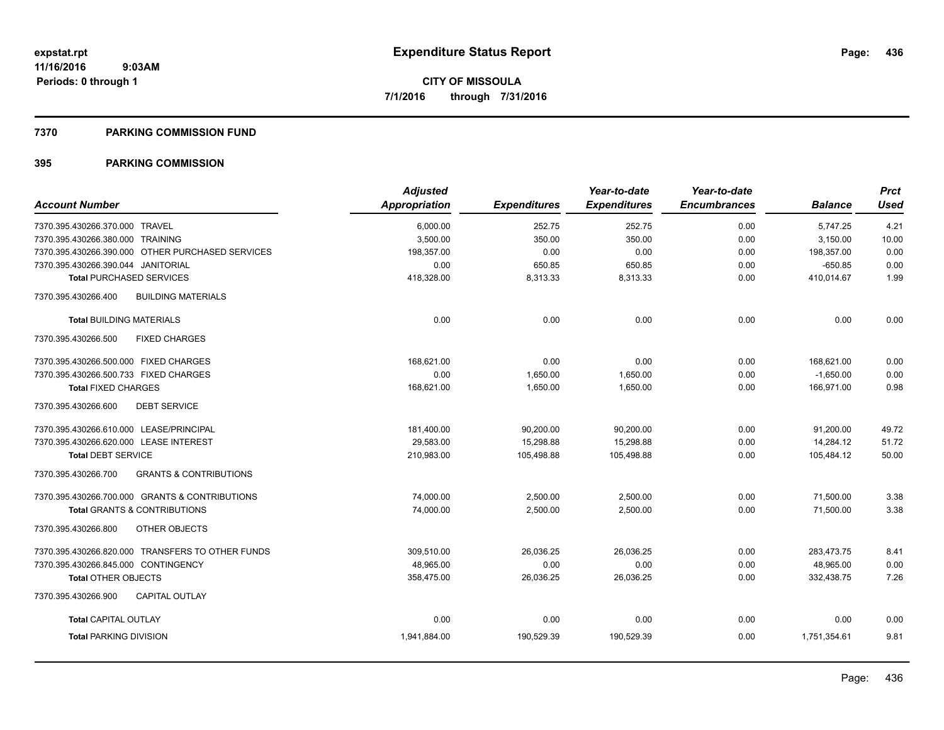### **7370 PARKING COMMISSION FUND**

|                                                          | <b>Adjusted</b>      |                     | Year-to-date        | Year-to-date        |                | <b>Prct</b> |
|----------------------------------------------------------|----------------------|---------------------|---------------------|---------------------|----------------|-------------|
| <b>Account Number</b>                                    | <b>Appropriation</b> | <b>Expenditures</b> | <b>Expenditures</b> | <b>Encumbrances</b> | <b>Balance</b> | <b>Used</b> |
| 7370.395.430266.370.000 TRAVEL                           | 6,000.00             | 252.75              | 252.75              | 0.00                | 5,747.25       | 4.21        |
| 7370.395.430266.380.000 TRAINING                         | 3,500.00             | 350.00              | 350.00              | 0.00                | 3,150.00       | 10.00       |
| 7370.395.430266.390.000 OTHER PURCHASED SERVICES         | 198,357.00           | 0.00                | 0.00                | 0.00                | 198,357.00     | 0.00        |
| 7370.395.430266.390.044 JANITORIAL                       | 0.00                 | 650.85              | 650.85              | 0.00                | $-650.85$      | 0.00        |
| <b>Total PURCHASED SERVICES</b>                          | 418,328.00           | 8,313.33            | 8,313.33            | 0.00                | 410,014.67     | 1.99        |
| 7370.395.430266.400<br><b>BUILDING MATERIALS</b>         |                      |                     |                     |                     |                |             |
| <b>Total BUILDING MATERIALS</b>                          | 0.00                 | 0.00                | 0.00                | 0.00                | 0.00           | 0.00        |
| 7370.395.430266.500<br><b>FIXED CHARGES</b>              |                      |                     |                     |                     |                |             |
| 7370.395.430266.500.000 FIXED CHARGES                    | 168,621.00           | 0.00                | 0.00                | 0.00                | 168,621.00     | 0.00        |
| 7370.395.430266.500.733 FIXED CHARGES                    | 0.00                 | 1,650.00            | 1,650.00            | 0.00                | $-1,650.00$    | 0.00        |
| <b>Total FIXED CHARGES</b>                               | 168,621.00           | 1,650.00            | 1.650.00            | 0.00                | 166.971.00     | 0.98        |
| 7370.395.430266.600<br><b>DEBT SERVICE</b>               |                      |                     |                     |                     |                |             |
| 7370.395.430266.610.000 LEASE/PRINCIPAL                  | 181,400.00           | 90,200.00           | 90,200.00           | 0.00                | 91,200.00      | 49.72       |
| 7370.395.430266.620.000 LEASE INTEREST                   | 29,583.00            | 15,298.88           | 15,298.88           | 0.00                | 14,284.12      | 51.72       |
| <b>Total DEBT SERVICE</b>                                | 210,983.00           | 105,498.88          | 105,498.88          | 0.00                | 105,484.12     | 50.00       |
| <b>GRANTS &amp; CONTRIBUTIONS</b><br>7370.395.430266.700 |                      |                     |                     |                     |                |             |
| 7370.395.430266.700.000 GRANTS & CONTRIBUTIONS           | 74,000.00            | 2,500.00            | 2,500.00            | 0.00                | 71,500.00      | 3.38        |
| <b>Total GRANTS &amp; CONTRIBUTIONS</b>                  | 74,000.00            | 2,500.00            | 2,500.00            | 0.00                | 71,500.00      | 3.38        |
| OTHER OBJECTS<br>7370.395.430266.800                     |                      |                     |                     |                     |                |             |
| 7370.395.430266.820.000 TRANSFERS TO OTHER FUNDS         | 309,510.00           | 26,036.25           | 26,036.25           | 0.00                | 283,473.75     | 8.41        |
| 7370.395.430266.845.000 CONTINGENCY                      | 48,965.00            | 0.00                | 0.00                | 0.00                | 48,965.00      | 0.00        |
| <b>Total OTHER OBJECTS</b>                               | 358,475.00           | 26,036.25           | 26,036.25           | 0.00                | 332,438.75     | 7.26        |
| 7370.395.430266.900<br><b>CAPITAL OUTLAY</b>             |                      |                     |                     |                     |                |             |
| <b>Total CAPITAL OUTLAY</b>                              | 0.00                 | 0.00                | 0.00                | 0.00                | 0.00           | 0.00        |
| <b>Total PARKING DIVISION</b>                            | 1,941,884.00         | 190,529.39          | 190,529.39          | 0.00                | 1.751.354.61   | 9.81        |
|                                                          |                      |                     |                     |                     |                |             |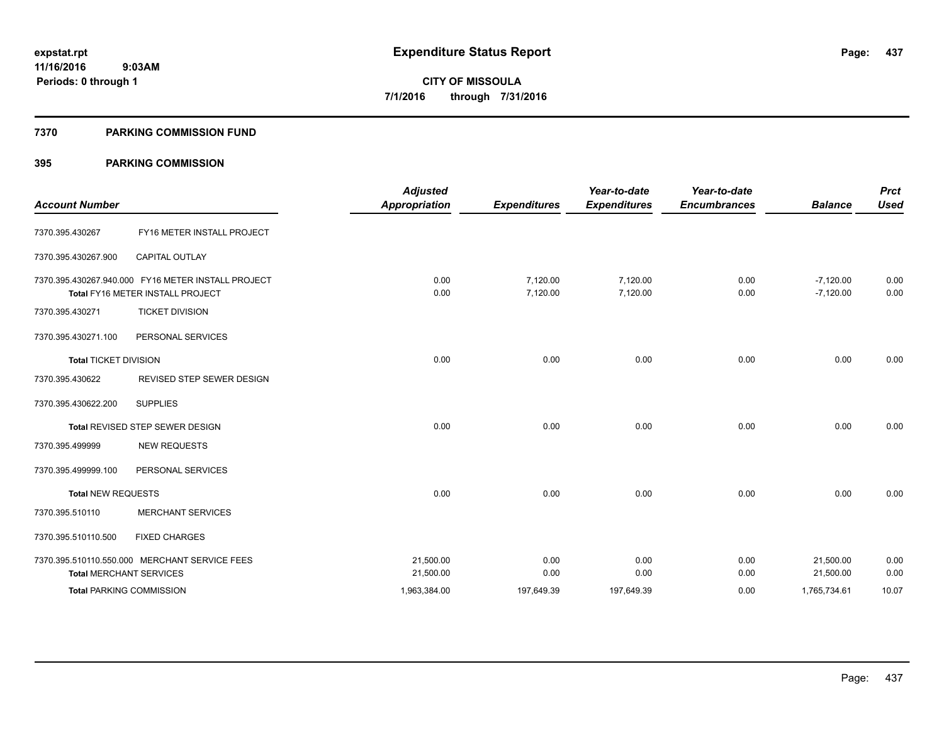### **7370 PARKING COMMISSION FUND**

| <b>Account Number</b>        |                                                                                        | <b>Adjusted</b><br><b>Appropriation</b> | <b>Expenditures</b>  | Year-to-date<br><b>Expenditures</b> | Year-to-date<br><b>Encumbrances</b> | <b>Balance</b>             | <b>Prct</b><br><b>Used</b> |
|------------------------------|----------------------------------------------------------------------------------------|-----------------------------------------|----------------------|-------------------------------------|-------------------------------------|----------------------------|----------------------------|
| 7370.395.430267              | FY16 METER INSTALL PROJECT                                                             |                                         |                      |                                     |                                     |                            |                            |
| 7370.395.430267.900          | <b>CAPITAL OUTLAY</b>                                                                  |                                         |                      |                                     |                                     |                            |                            |
|                              | 7370.395.430267.940.000 FY16 METER INSTALL PROJECT<br>Total FY16 METER INSTALL PROJECT | 0.00<br>0.00                            | 7,120.00<br>7,120.00 | 7,120.00<br>7,120.00                | 0.00<br>0.00                        | $-7,120.00$<br>$-7,120.00$ | 0.00<br>0.00               |
| 7370.395.430271              | <b>TICKET DIVISION</b>                                                                 |                                         |                      |                                     |                                     |                            |                            |
| 7370.395.430271.100          | PERSONAL SERVICES                                                                      |                                         |                      |                                     |                                     |                            |                            |
| <b>Total TICKET DIVISION</b> |                                                                                        | 0.00                                    | 0.00                 | 0.00                                | 0.00                                | 0.00                       | 0.00                       |
| 7370.395.430622              | REVISED STEP SEWER DESIGN                                                              |                                         |                      |                                     |                                     |                            |                            |
| 7370.395.430622.200          | <b>SUPPLIES</b>                                                                        |                                         |                      |                                     |                                     |                            |                            |
|                              | Total REVISED STEP SEWER DESIGN                                                        | 0.00                                    | 0.00                 | 0.00                                | 0.00                                | 0.00                       | 0.00                       |
| 7370.395.499999              | <b>NEW REQUESTS</b>                                                                    |                                         |                      |                                     |                                     |                            |                            |
| 7370.395.499999.100          | PERSONAL SERVICES                                                                      |                                         |                      |                                     |                                     |                            |                            |
| <b>Total NEW REQUESTS</b>    |                                                                                        | 0.00                                    | 0.00                 | 0.00                                | 0.00                                | 0.00                       | 0.00                       |
| 7370.395.510110              | <b>MERCHANT SERVICES</b>                                                               |                                         |                      |                                     |                                     |                            |                            |
| 7370.395.510110.500          | <b>FIXED CHARGES</b>                                                                   |                                         |                      |                                     |                                     |                            |                            |
|                              | 7370.395.510110.550.000 MERCHANT SERVICE FEES                                          | 21,500.00                               | 0.00                 | 0.00                                | 0.00                                | 21,500.00                  | 0.00                       |
|                              | <b>Total MERCHANT SERVICES</b>                                                         | 21,500.00                               | 0.00                 | 0.00                                | 0.00                                | 21,500.00                  | 0.00                       |
|                              | <b>Total PARKING COMMISSION</b>                                                        | 1,963,384.00                            | 197,649.39           | 197,649.39                          | 0.00                                | 1,765,734.61               | 10.07                      |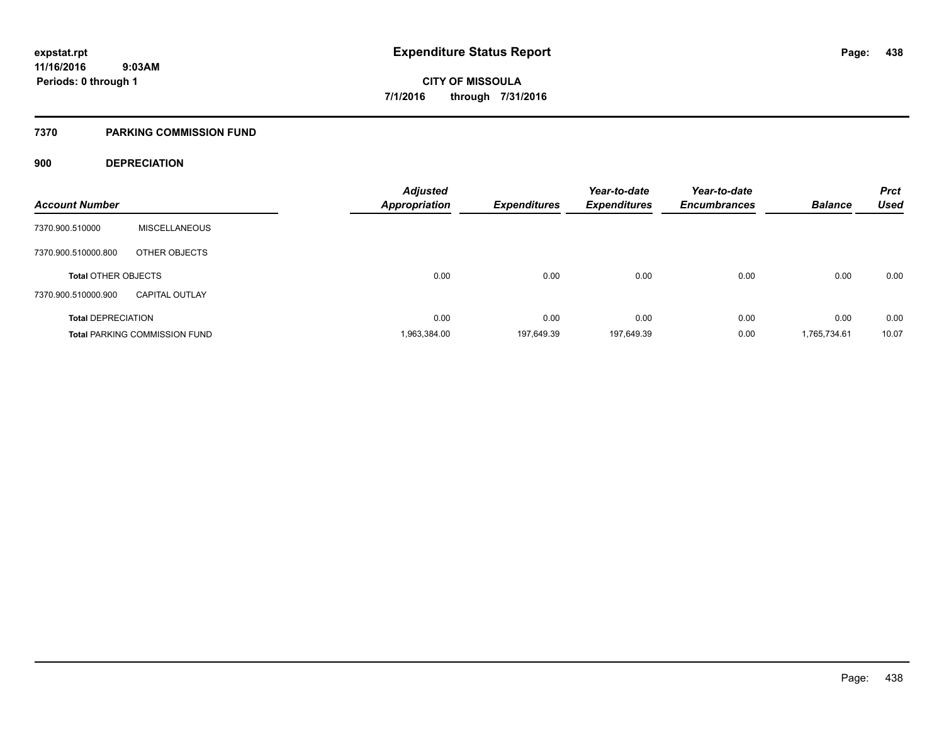### **7370 PARKING COMMISSION FUND**

### **900 DEPRECIATION**

| <b>Account Number</b>      |                                      | <b>Adjusted</b><br><b>Appropriation</b> | <b>Expenditures</b> | Year-to-date<br><b>Expenditures</b> | Year-to-date<br><b>Encumbrances</b> | <b>Balance</b> | <b>Prct</b><br><b>Used</b> |
|----------------------------|--------------------------------------|-----------------------------------------|---------------------|-------------------------------------|-------------------------------------|----------------|----------------------------|
|                            |                                      |                                         |                     |                                     |                                     |                |                            |
| 7370.900.510000            | <b>MISCELLANEOUS</b>                 |                                         |                     |                                     |                                     |                |                            |
| 7370.900.510000.800        | OTHER OBJECTS                        |                                         |                     |                                     |                                     |                |                            |
| <b>Total OTHER OBJECTS</b> |                                      | 0.00                                    | 0.00                | 0.00                                | 0.00                                | 0.00           | 0.00                       |
| 7370.900.510000.900        | <b>CAPITAL OUTLAY</b>                |                                         |                     |                                     |                                     |                |                            |
| <b>Total DEPRECIATION</b>  |                                      | 0.00                                    | 0.00                | 0.00                                | 0.00                                | 0.00           | 0.00                       |
|                            | <b>Total PARKING COMMISSION FUND</b> | 1,963,384.00                            | 197.649.39          | 197.649.39                          | 0.00                                | 1,765,734.61   | 10.07                      |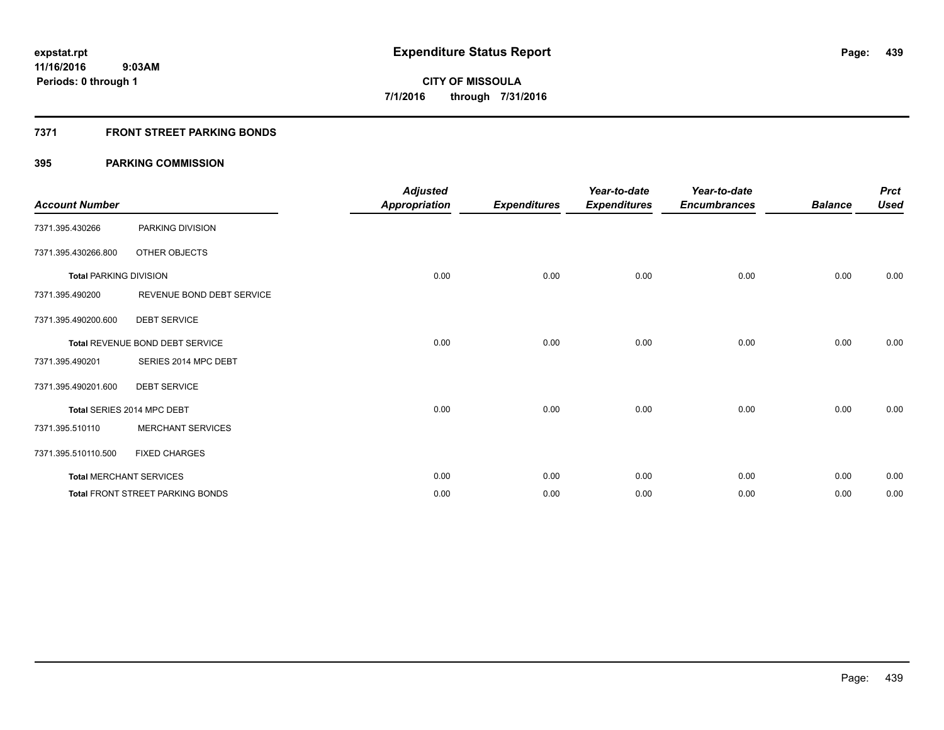### **7371 FRONT STREET PARKING BONDS**

| <b>Account Number</b>         |                                         | <b>Adjusted</b><br><b>Appropriation</b> | <b>Expenditures</b> | Year-to-date<br><b>Expenditures</b> | Year-to-date<br><b>Encumbrances</b> | <b>Balance</b> | <b>Prct</b><br><b>Used</b> |
|-------------------------------|-----------------------------------------|-----------------------------------------|---------------------|-------------------------------------|-------------------------------------|----------------|----------------------------|
| 7371.395.430266               | PARKING DIVISION                        |                                         |                     |                                     |                                     |                |                            |
| 7371.395.430266.800           | OTHER OBJECTS                           |                                         |                     |                                     |                                     |                |                            |
| <b>Total PARKING DIVISION</b> |                                         | 0.00                                    | 0.00                | 0.00                                | 0.00                                | 0.00           | 0.00                       |
| 7371.395.490200               | REVENUE BOND DEBT SERVICE               |                                         |                     |                                     |                                     |                |                            |
| 7371.395.490200.600           | <b>DEBT SERVICE</b>                     |                                         |                     |                                     |                                     |                |                            |
|                               | Total REVENUE BOND DEBT SERVICE         | 0.00                                    | 0.00                | 0.00                                | 0.00                                | 0.00           | 0.00                       |
| 7371.395.490201               | SERIES 2014 MPC DEBT                    |                                         |                     |                                     |                                     |                |                            |
| 7371.395.490201.600           | <b>DEBT SERVICE</b>                     |                                         |                     |                                     |                                     |                |                            |
|                               | Total SERIES 2014 MPC DEBT              | 0.00                                    | 0.00                | 0.00                                | 0.00                                | 0.00           | 0.00                       |
| 7371.395.510110               | <b>MERCHANT SERVICES</b>                |                                         |                     |                                     |                                     |                |                            |
| 7371.395.510110.500           | <b>FIXED CHARGES</b>                    |                                         |                     |                                     |                                     |                |                            |
|                               | <b>Total MERCHANT SERVICES</b>          | 0.00                                    | 0.00                | 0.00                                | 0.00                                | 0.00           | 0.00                       |
|                               | <b>Total FRONT STREET PARKING BONDS</b> | 0.00                                    | 0.00                | 0.00                                | 0.00                                | 0.00           | 0.00                       |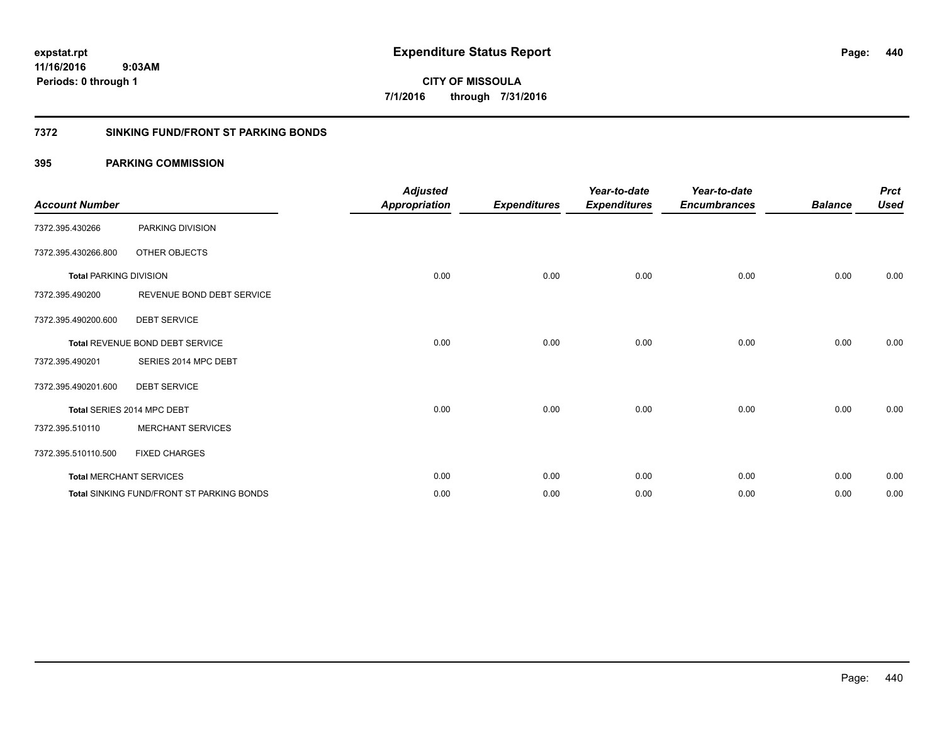**CITY OF MISSOULA 7/1/2016 through 7/31/2016**

### **7372 SINKING FUND/FRONT ST PARKING BONDS**

| <b>Account Number</b>         |                                                  | <b>Adjusted</b><br><b>Appropriation</b> | <b>Expenditures</b> | Year-to-date<br><b>Expenditures</b> | Year-to-date<br><b>Encumbrances</b> | <b>Balance</b> | <b>Prct</b><br><b>Used</b> |
|-------------------------------|--------------------------------------------------|-----------------------------------------|---------------------|-------------------------------------|-------------------------------------|----------------|----------------------------|
| 7372.395.430266               | PARKING DIVISION                                 |                                         |                     |                                     |                                     |                |                            |
| 7372.395.430266.800           | OTHER OBJECTS                                    |                                         |                     |                                     |                                     |                |                            |
| <b>Total PARKING DIVISION</b> |                                                  | 0.00                                    | 0.00                | 0.00                                | 0.00                                | 0.00           | 0.00                       |
| 7372.395.490200               | REVENUE BOND DEBT SERVICE                        |                                         |                     |                                     |                                     |                |                            |
| 7372.395.490200.600           | <b>DEBT SERVICE</b>                              |                                         |                     |                                     |                                     |                |                            |
|                               | <b>Total REVENUE BOND DEBT SERVICE</b>           | 0.00                                    | 0.00                | 0.00                                | 0.00                                | 0.00           | 0.00                       |
| 7372.395.490201               | SERIES 2014 MPC DEBT                             |                                         |                     |                                     |                                     |                |                            |
| 7372.395.490201.600           | <b>DEBT SERVICE</b>                              |                                         |                     |                                     |                                     |                |                            |
|                               | Total SERIES 2014 MPC DEBT                       | 0.00                                    | 0.00                | 0.00                                | 0.00                                | 0.00           | 0.00                       |
| 7372.395.510110               | <b>MERCHANT SERVICES</b>                         |                                         |                     |                                     |                                     |                |                            |
| 7372.395.510110.500           | <b>FIXED CHARGES</b>                             |                                         |                     |                                     |                                     |                |                            |
|                               | <b>Total MERCHANT SERVICES</b>                   | 0.00                                    | 0.00                | 0.00                                | 0.00                                | 0.00           | 0.00                       |
|                               | <b>Total SINKING FUND/FRONT ST PARKING BONDS</b> | 0.00                                    | 0.00                | 0.00                                | 0.00                                | 0.00           | 0.00                       |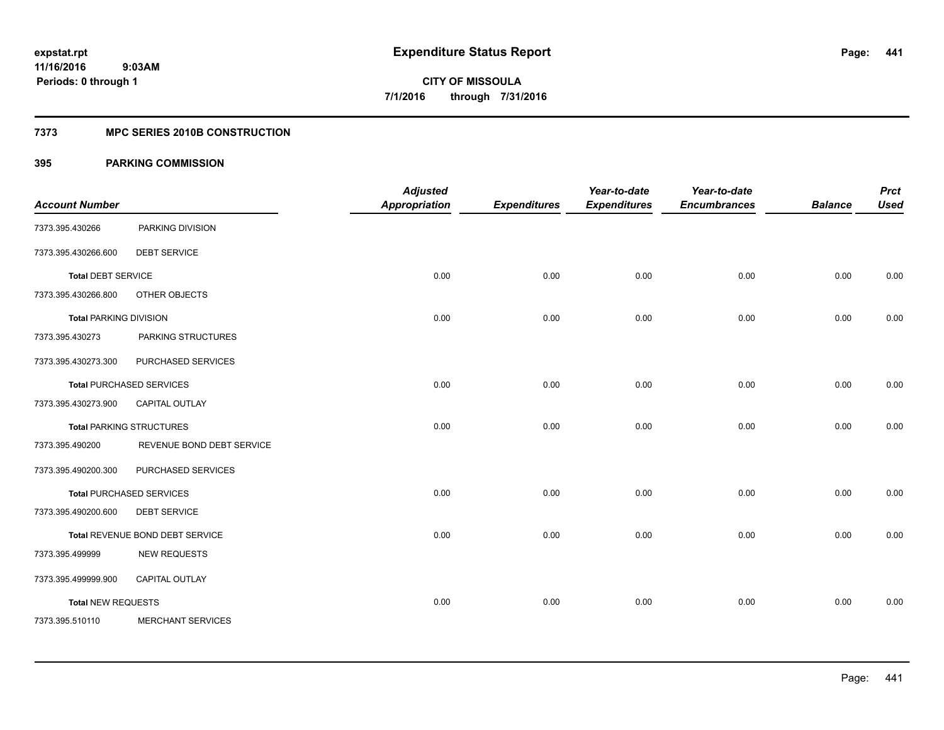### **7373 MPC SERIES 2010B CONSTRUCTION**

|                               |                                 | <b>Adjusted</b>      |                     | Year-to-date        | Year-to-date        |                | <b>Prct</b> |
|-------------------------------|---------------------------------|----------------------|---------------------|---------------------|---------------------|----------------|-------------|
| <b>Account Number</b>         |                                 | <b>Appropriation</b> | <b>Expenditures</b> | <b>Expenditures</b> | <b>Encumbrances</b> | <b>Balance</b> | <b>Used</b> |
| 7373.395.430266               | PARKING DIVISION                |                      |                     |                     |                     |                |             |
| 7373.395.430266.600           | <b>DEBT SERVICE</b>             |                      |                     |                     |                     |                |             |
| <b>Total DEBT SERVICE</b>     |                                 | 0.00                 | 0.00                | 0.00                | 0.00                | 0.00           | 0.00        |
| 7373.395.430266.800           | OTHER OBJECTS                   |                      |                     |                     |                     |                |             |
| <b>Total PARKING DIVISION</b> |                                 | 0.00                 | 0.00                | 0.00                | 0.00                | 0.00           | 0.00        |
| 7373.395.430273               | PARKING STRUCTURES              |                      |                     |                     |                     |                |             |
| 7373.395.430273.300           | PURCHASED SERVICES              |                      |                     |                     |                     |                |             |
|                               | <b>Total PURCHASED SERVICES</b> | 0.00                 | 0.00                | 0.00                | 0.00                | 0.00           | 0.00        |
| 7373.395.430273.900           | <b>CAPITAL OUTLAY</b>           |                      |                     |                     |                     |                |             |
|                               | <b>Total PARKING STRUCTURES</b> | 0.00                 | 0.00                | 0.00                | 0.00                | 0.00           | 0.00        |
| 7373.395.490200               | REVENUE BOND DEBT SERVICE       |                      |                     |                     |                     |                |             |
| 7373.395.490200.300           | PURCHASED SERVICES              |                      |                     |                     |                     |                |             |
|                               | <b>Total PURCHASED SERVICES</b> | 0.00                 | 0.00                | 0.00                | 0.00                | 0.00           | 0.00        |
| 7373.395.490200.600           | <b>DEBT SERVICE</b>             |                      |                     |                     |                     |                |             |
|                               | Total REVENUE BOND DEBT SERVICE | 0.00                 | 0.00                | 0.00                | 0.00                | 0.00           | 0.00        |
| 7373.395.499999               | <b>NEW REQUESTS</b>             |                      |                     |                     |                     |                |             |
| 7373.395.499999.900           | <b>CAPITAL OUTLAY</b>           |                      |                     |                     |                     |                |             |
| <b>Total NEW REQUESTS</b>     |                                 | 0.00                 | 0.00                | 0.00                | 0.00                | 0.00           | 0.00        |
| 7373.395.510110               | <b>MERCHANT SERVICES</b>        |                      |                     |                     |                     |                |             |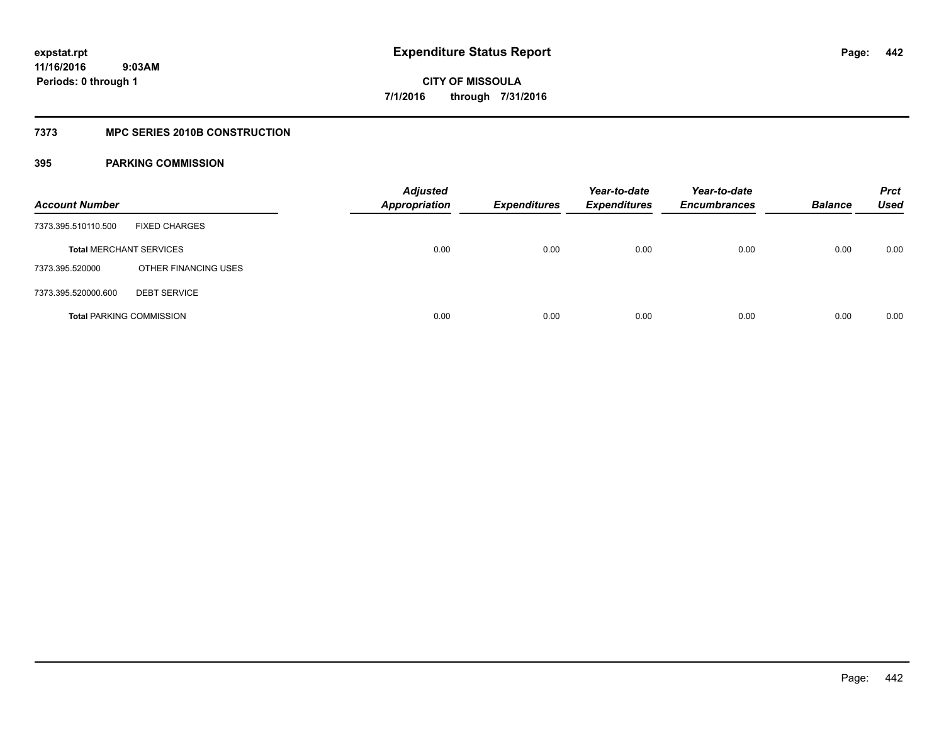### **7373 MPC SERIES 2010B CONSTRUCTION**

| <b>Account Number</b>           |                      | <b>Adjusted</b><br><b>Appropriation</b> | <b>Expenditures</b> | Year-to-date<br><b>Expenditures</b> | Year-to-date<br><b>Encumbrances</b> | <b>Balance</b> | <b>Prct</b><br><b>Used</b> |
|---------------------------------|----------------------|-----------------------------------------|---------------------|-------------------------------------|-------------------------------------|----------------|----------------------------|
| 7373.395.510110.500             | <b>FIXED CHARGES</b> |                                         |                     |                                     |                                     |                |                            |
| <b>Total MERCHANT SERVICES</b>  |                      | 0.00                                    | 0.00                | 0.00                                | 0.00                                | 0.00           | 0.00                       |
| 7373.395.520000                 | OTHER FINANCING USES |                                         |                     |                                     |                                     |                |                            |
| 7373.395.520000.600             | <b>DEBT SERVICE</b>  |                                         |                     |                                     |                                     |                |                            |
| <b>Total PARKING COMMISSION</b> |                      | 0.00                                    | 0.00                | 0.00                                | 0.00                                | 0.00           | 0.00                       |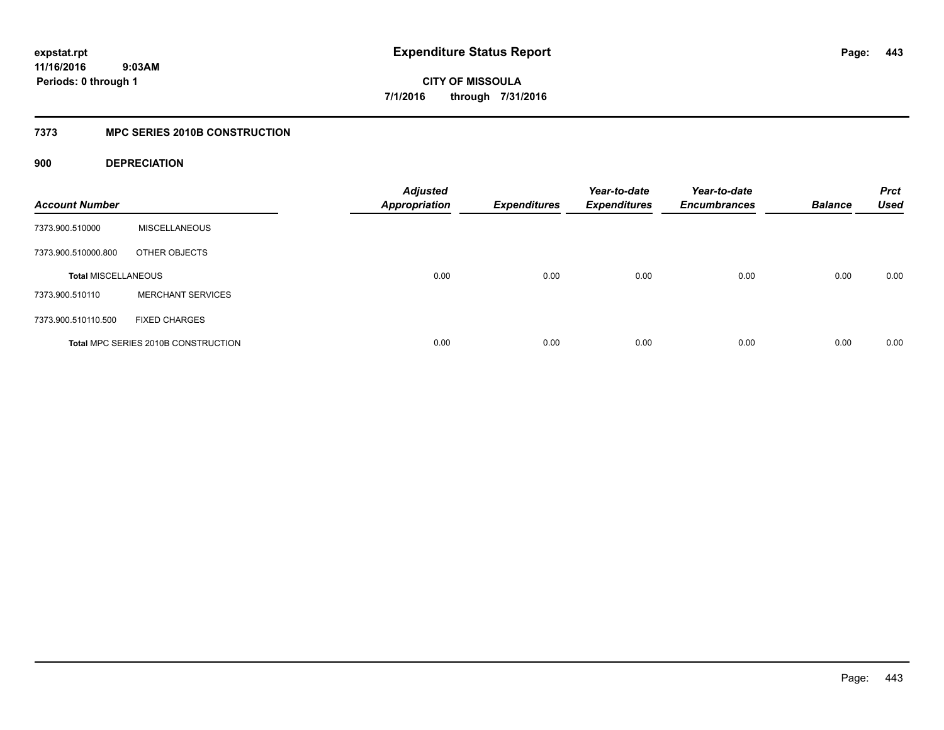**443**

**CITY OF MISSOULA 7/1/2016 through 7/31/2016**

### **7373 MPC SERIES 2010B CONSTRUCTION**

### **900 DEPRECIATION**

| <b>Account Number</b>      |                                     | <b>Adjusted</b><br><b>Appropriation</b> | <b>Expenditures</b> | Year-to-date<br><b>Expenditures</b> | Year-to-date<br><b>Encumbrances</b> | <b>Balance</b> | <b>Prct</b><br><b>Used</b> |
|----------------------------|-------------------------------------|-----------------------------------------|---------------------|-------------------------------------|-------------------------------------|----------------|----------------------------|
| 7373.900.510000            | <b>MISCELLANEOUS</b>                |                                         |                     |                                     |                                     |                |                            |
| 7373.900.510000.800        | OTHER OBJECTS                       |                                         |                     |                                     |                                     |                |                            |
| <b>Total MISCELLANEOUS</b> |                                     | 0.00                                    | 0.00                | 0.00                                | 0.00                                | 0.00           | 0.00                       |
| 7373.900.510110            | <b>MERCHANT SERVICES</b>            |                                         |                     |                                     |                                     |                |                            |
| 7373.900.510110.500        | <b>FIXED CHARGES</b>                |                                         |                     |                                     |                                     |                |                            |
|                            | Total MPC SERIES 2010B CONSTRUCTION | 0.00                                    | 0.00                | 0.00                                | 0.00                                | 0.00           | 0.00                       |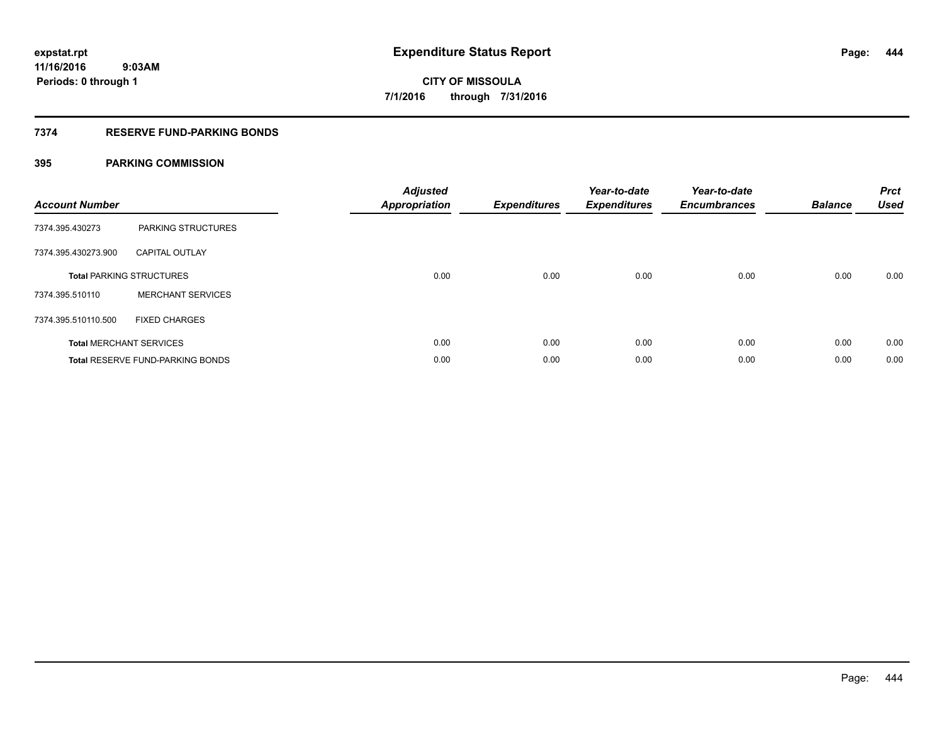### **7374 RESERVE FUND-PARKING BONDS**

| <b>Account Number</b> |                                         | <b>Adjusted</b><br><b>Appropriation</b> | <b>Expenditures</b> | Year-to-date<br><b>Expenditures</b> | Year-to-date<br><b>Encumbrances</b> | <b>Balance</b> | <b>Prct</b><br><b>Used</b> |
|-----------------------|-----------------------------------------|-----------------------------------------|---------------------|-------------------------------------|-------------------------------------|----------------|----------------------------|
| 7374.395.430273       | PARKING STRUCTURES                      |                                         |                     |                                     |                                     |                |                            |
| 7374.395.430273.900   | <b>CAPITAL OUTLAY</b>                   |                                         |                     |                                     |                                     |                |                            |
|                       | <b>Total PARKING STRUCTURES</b>         | 0.00                                    | 0.00                | 0.00                                | 0.00                                | 0.00           | 0.00                       |
| 7374.395.510110       | <b>MERCHANT SERVICES</b>                |                                         |                     |                                     |                                     |                |                            |
| 7374.395.510110.500   | <b>FIXED CHARGES</b>                    |                                         |                     |                                     |                                     |                |                            |
|                       | <b>Total MERCHANT SERVICES</b>          | 0.00                                    | 0.00                | 0.00                                | 0.00                                | 0.00           | 0.00                       |
|                       | <b>Total RESERVE FUND-PARKING BONDS</b> | 0.00                                    | 0.00                | 0.00                                | 0.00                                | 0.00           | 0.00                       |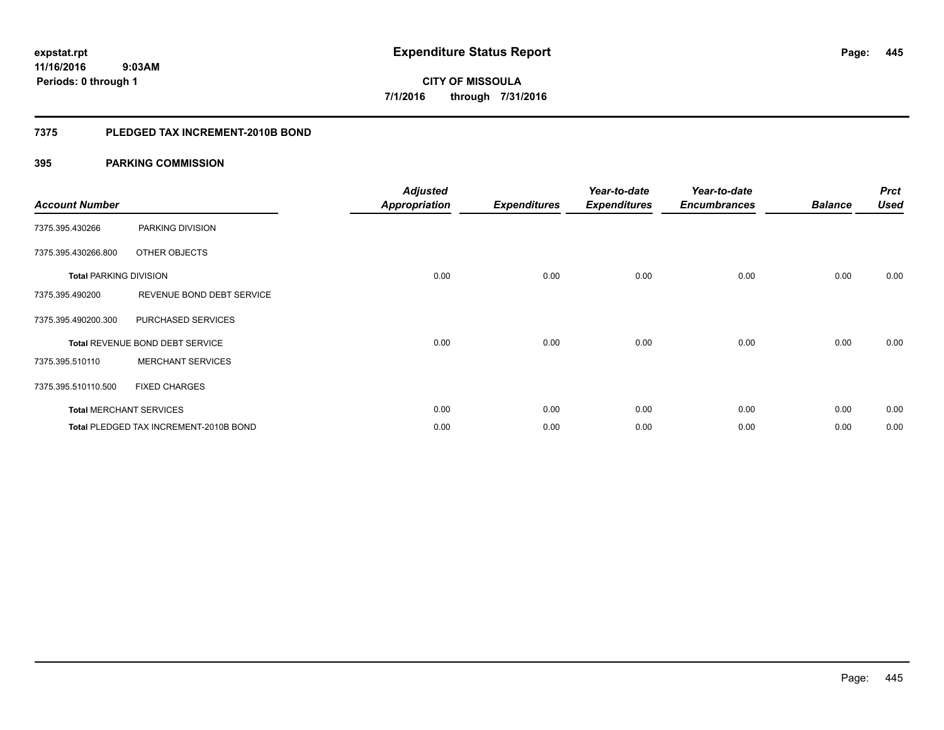**445**

**11/16/2016 9:03AM Periods: 0 through 1**

# **CITY OF MISSOULA 7/1/2016 through 7/31/2016**

### **7375 PLEDGED TAX INCREMENT-2010B BOND**

| <b>Account Number</b>         |                                        | <b>Adjusted</b><br><b>Appropriation</b> | <b>Expenditures</b> | Year-to-date<br><b>Expenditures</b> | Year-to-date<br><b>Encumbrances</b> | <b>Balance</b> | <b>Prct</b><br><b>Used</b> |
|-------------------------------|----------------------------------------|-----------------------------------------|---------------------|-------------------------------------|-------------------------------------|----------------|----------------------------|
| 7375.395.430266               | PARKING DIVISION                       |                                         |                     |                                     |                                     |                |                            |
| 7375.395.430266.800           | OTHER OBJECTS                          |                                         |                     |                                     |                                     |                |                            |
| <b>Total PARKING DIVISION</b> |                                        | 0.00                                    | 0.00                | 0.00                                | 0.00                                | 0.00           | 0.00                       |
| 7375.395.490200               | REVENUE BOND DEBT SERVICE              |                                         |                     |                                     |                                     |                |                            |
| 7375.395.490200.300           | PURCHASED SERVICES                     |                                         |                     |                                     |                                     |                |                            |
|                               | Total REVENUE BOND DEBT SERVICE        | 0.00                                    | 0.00                | 0.00                                | 0.00                                | 0.00           | 0.00                       |
| 7375.395.510110               | <b>MERCHANT SERVICES</b>               |                                         |                     |                                     |                                     |                |                            |
| 7375.395.510110.500           | <b>FIXED CHARGES</b>                   |                                         |                     |                                     |                                     |                |                            |
|                               | <b>Total MERCHANT SERVICES</b>         | 0.00                                    | 0.00                | 0.00                                | 0.00                                | 0.00           | 0.00                       |
|                               | Total PLEDGED TAX INCREMENT-2010B BOND | 0.00                                    | 0.00                | 0.00                                | 0.00                                | 0.00           | 0.00                       |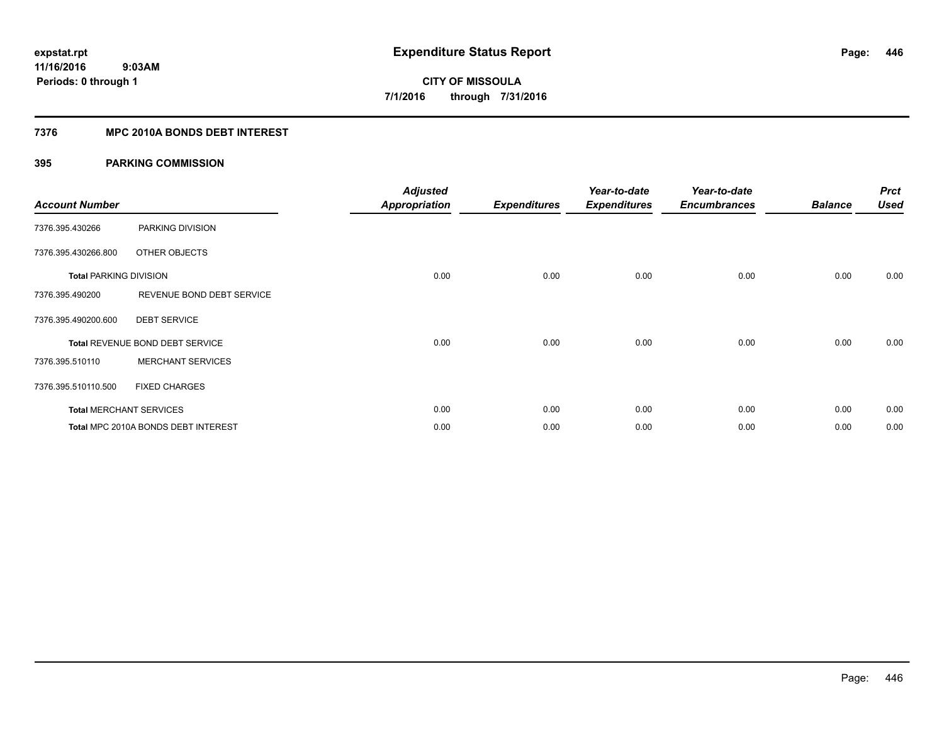### **7376 MPC 2010A BONDS DEBT INTEREST**

| <b>Account Number</b>         |                                     | <b>Adjusted</b><br><b>Appropriation</b> | <b>Expenditures</b> | Year-to-date<br><b>Expenditures</b> | Year-to-date<br><b>Encumbrances</b> | <b>Balance</b> | <b>Prct</b><br><b>Used</b> |
|-------------------------------|-------------------------------------|-----------------------------------------|---------------------|-------------------------------------|-------------------------------------|----------------|----------------------------|
| 7376.395.430266               | PARKING DIVISION                    |                                         |                     |                                     |                                     |                |                            |
| 7376.395.430266.800           | OTHER OBJECTS                       |                                         |                     |                                     |                                     |                |                            |
| <b>Total PARKING DIVISION</b> |                                     | 0.00                                    | 0.00                | 0.00                                | 0.00                                | 0.00           | 0.00                       |
| 7376.395.490200               | REVENUE BOND DEBT SERVICE           |                                         |                     |                                     |                                     |                |                            |
| 7376.395.490200.600           | <b>DEBT SERVICE</b>                 |                                         |                     |                                     |                                     |                |                            |
|                               | Total REVENUE BOND DEBT SERVICE     | 0.00                                    | 0.00                | 0.00                                | 0.00                                | 0.00           | 0.00                       |
| 7376.395.510110               | <b>MERCHANT SERVICES</b>            |                                         |                     |                                     |                                     |                |                            |
| 7376.395.510110.500           | <b>FIXED CHARGES</b>                |                                         |                     |                                     |                                     |                |                            |
|                               | <b>Total MERCHANT SERVICES</b>      | 0.00                                    | 0.00                | 0.00                                | 0.00                                | 0.00           | 0.00                       |
|                               | Total MPC 2010A BONDS DEBT INTEREST | 0.00                                    | 0.00                | 0.00                                | 0.00                                | 0.00           | 0.00                       |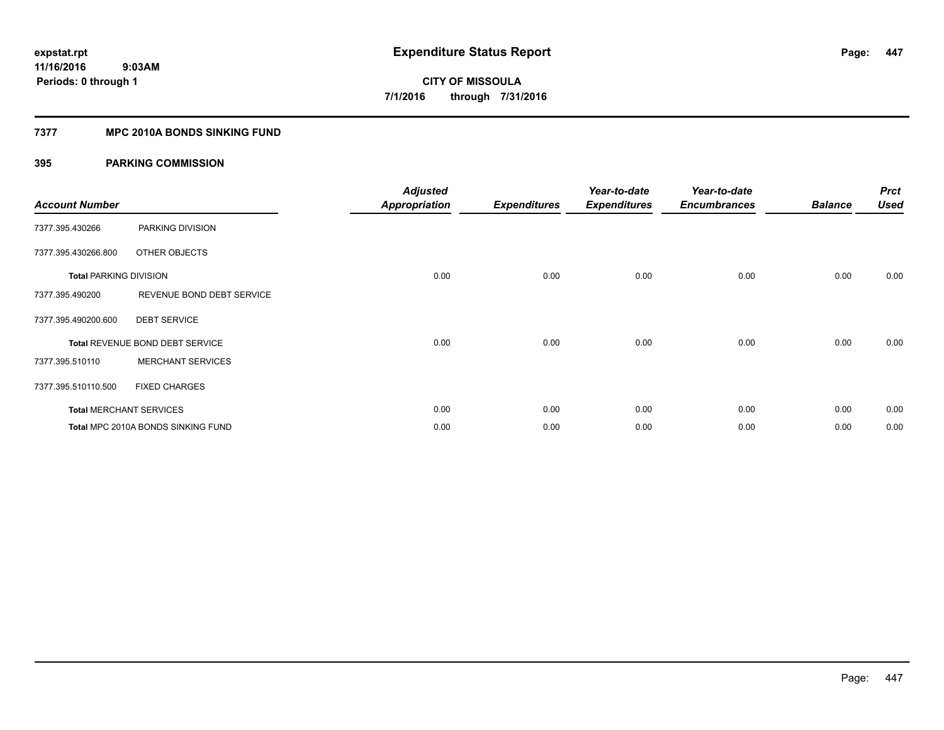### **7377 MPC 2010A BONDS SINKING FUND**

| <b>Account Number</b>         |                                    | <b>Adjusted</b><br><b>Appropriation</b> | <b>Expenditures</b> | Year-to-date<br><b>Expenditures</b> | Year-to-date<br><b>Encumbrances</b> | <b>Balance</b> | <b>Prct</b><br><b>Used</b> |
|-------------------------------|------------------------------------|-----------------------------------------|---------------------|-------------------------------------|-------------------------------------|----------------|----------------------------|
| 7377.395.430266               | PARKING DIVISION                   |                                         |                     |                                     |                                     |                |                            |
| 7377.395.430266.800           | OTHER OBJECTS                      |                                         |                     |                                     |                                     |                |                            |
| <b>Total PARKING DIVISION</b> |                                    | 0.00                                    | 0.00                | 0.00                                | 0.00                                | 0.00           | 0.00                       |
| 7377.395.490200               | REVENUE BOND DEBT SERVICE          |                                         |                     |                                     |                                     |                |                            |
| 7377.395.490200.600           | <b>DEBT SERVICE</b>                |                                         |                     |                                     |                                     |                |                            |
|                               | Total REVENUE BOND DEBT SERVICE    | 0.00                                    | 0.00                | 0.00                                | 0.00                                | 0.00           | 0.00                       |
| 7377.395.510110               | <b>MERCHANT SERVICES</b>           |                                         |                     |                                     |                                     |                |                            |
| 7377.395.510110.500           | <b>FIXED CHARGES</b>               |                                         |                     |                                     |                                     |                |                            |
|                               | <b>Total MERCHANT SERVICES</b>     | 0.00                                    | 0.00                | 0.00                                | 0.00                                | 0.00           | 0.00                       |
|                               | Total MPC 2010A BONDS SINKING FUND | 0.00                                    | 0.00                | 0.00                                | 0.00                                | 0.00           | 0.00                       |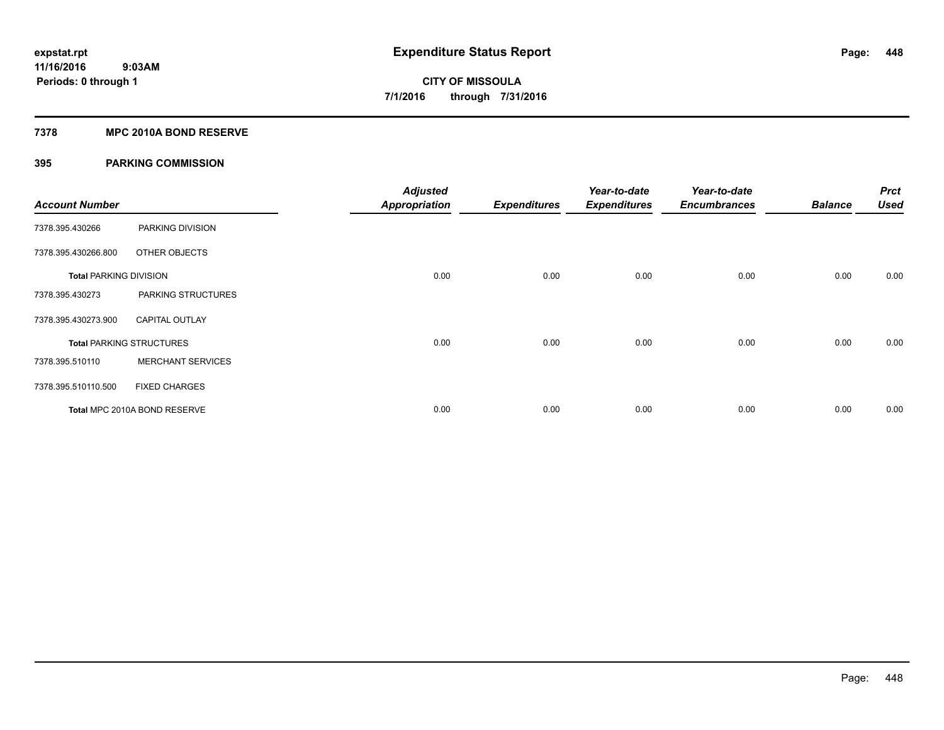### **7378 MPC 2010A BOND RESERVE**

| <b>Account Number</b>         |                                 | <b>Adjusted</b><br><b>Appropriation</b> | <b>Expenditures</b> | Year-to-date<br><b>Expenditures</b> | Year-to-date<br><b>Encumbrances</b> | <b>Balance</b> | <b>Prct</b><br><b>Used</b> |
|-------------------------------|---------------------------------|-----------------------------------------|---------------------|-------------------------------------|-------------------------------------|----------------|----------------------------|
| 7378.395.430266               | PARKING DIVISION                |                                         |                     |                                     |                                     |                |                            |
| 7378.395.430266.800           | OTHER OBJECTS                   |                                         |                     |                                     |                                     |                |                            |
| <b>Total PARKING DIVISION</b> |                                 | 0.00                                    | 0.00                | 0.00                                | 0.00                                | 0.00           | 0.00                       |
| 7378.395.430273               | PARKING STRUCTURES              |                                         |                     |                                     |                                     |                |                            |
| 7378.395.430273.900           | <b>CAPITAL OUTLAY</b>           |                                         |                     |                                     |                                     |                |                            |
|                               | <b>Total PARKING STRUCTURES</b> | 0.00                                    | 0.00                | 0.00                                | 0.00                                | 0.00           | 0.00                       |
| 7378.395.510110               | <b>MERCHANT SERVICES</b>        |                                         |                     |                                     |                                     |                |                            |
| 7378.395.510110.500           | <b>FIXED CHARGES</b>            |                                         |                     |                                     |                                     |                |                            |
|                               | Total MPC 2010A BOND RESERVE    | 0.00                                    | 0.00                | 0.00                                | 0.00                                | 0.00           | 0.00                       |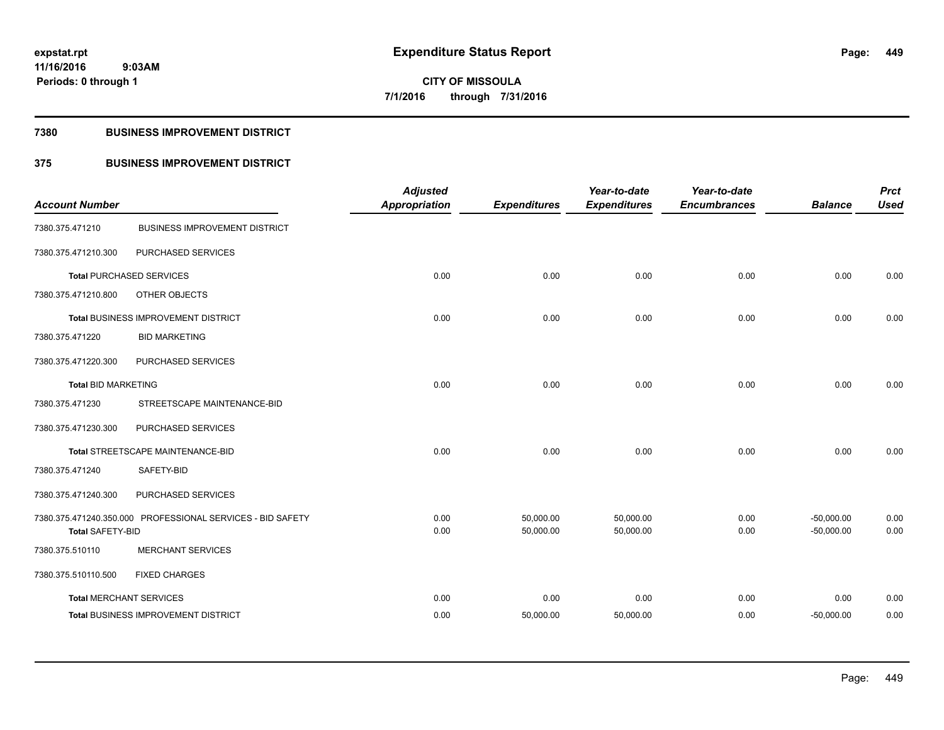**Periods: 0 through 1**

**449**

## **CITY OF MISSOULA 7/1/2016 through 7/31/2016**

### **7380 BUSINESS IMPROVEMENT DISTRICT**

 **9:03AM**

### **375 BUSINESS IMPROVEMENT DISTRICT**

| <b>Account Number</b>          |                                                            | <b>Adjusted</b><br><b>Appropriation</b> | <b>Expenditures</b>    | Year-to-date<br><b>Expenditures</b> | Year-to-date<br><b>Encumbrances</b> | <b>Balance</b>               | <b>Prct</b><br><b>Used</b> |
|--------------------------------|------------------------------------------------------------|-----------------------------------------|------------------------|-------------------------------------|-------------------------------------|------------------------------|----------------------------|
| 7380.375.471210                | <b>BUSINESS IMPROVEMENT DISTRICT</b>                       |                                         |                        |                                     |                                     |                              |                            |
| 7380.375.471210.300            | PURCHASED SERVICES                                         |                                         |                        |                                     |                                     |                              |                            |
|                                | <b>Total PURCHASED SERVICES</b>                            | 0.00                                    | 0.00                   | 0.00                                | 0.00                                | 0.00                         | 0.00                       |
| 7380.375.471210.800            | OTHER OBJECTS                                              |                                         |                        |                                     |                                     |                              |                            |
|                                | Total BUSINESS IMPROVEMENT DISTRICT                        | 0.00                                    | 0.00                   | 0.00                                | 0.00                                | 0.00                         | 0.00                       |
| 7380.375.471220                | <b>BID MARKETING</b>                                       |                                         |                        |                                     |                                     |                              |                            |
| 7380.375.471220.300            | PURCHASED SERVICES                                         |                                         |                        |                                     |                                     |                              |                            |
| <b>Total BID MARKETING</b>     |                                                            | 0.00                                    | 0.00                   | 0.00                                | 0.00                                | 0.00                         | 0.00                       |
| 7380.375.471230                | STREETSCAPE MAINTENANCE-BID                                |                                         |                        |                                     |                                     |                              |                            |
| 7380.375.471230.300            | PURCHASED SERVICES                                         |                                         |                        |                                     |                                     |                              |                            |
|                                | Total STREETSCAPE MAINTENANCE-BID                          | 0.00                                    | 0.00                   | 0.00                                | 0.00                                | 0.00                         | 0.00                       |
| 7380.375.471240                | SAFETY-BID                                                 |                                         |                        |                                     |                                     |                              |                            |
| 7380.375.471240.300            | PURCHASED SERVICES                                         |                                         |                        |                                     |                                     |                              |                            |
| <b>Total SAFETY-BID</b>        | 7380.375.471240.350.000 PROFESSIONAL SERVICES - BID SAFETY | 0.00<br>0.00                            | 50,000.00<br>50,000.00 | 50,000.00<br>50,000.00              | 0.00<br>0.00                        | $-50,000.00$<br>$-50,000.00$ | 0.00<br>0.00               |
| 7380.375.510110                | <b>MERCHANT SERVICES</b>                                   |                                         |                        |                                     |                                     |                              |                            |
| 7380.375.510110.500            | <b>FIXED CHARGES</b>                                       |                                         |                        |                                     |                                     |                              |                            |
| <b>Total MERCHANT SERVICES</b> |                                                            | 0.00                                    | 0.00                   | 0.00                                | 0.00                                | 0.00                         | 0.00                       |
|                                | Total BUSINESS IMPROVEMENT DISTRICT                        | 0.00                                    | 50,000.00              | 50,000.00                           | 0.00                                | $-50,000.00$                 | 0.00                       |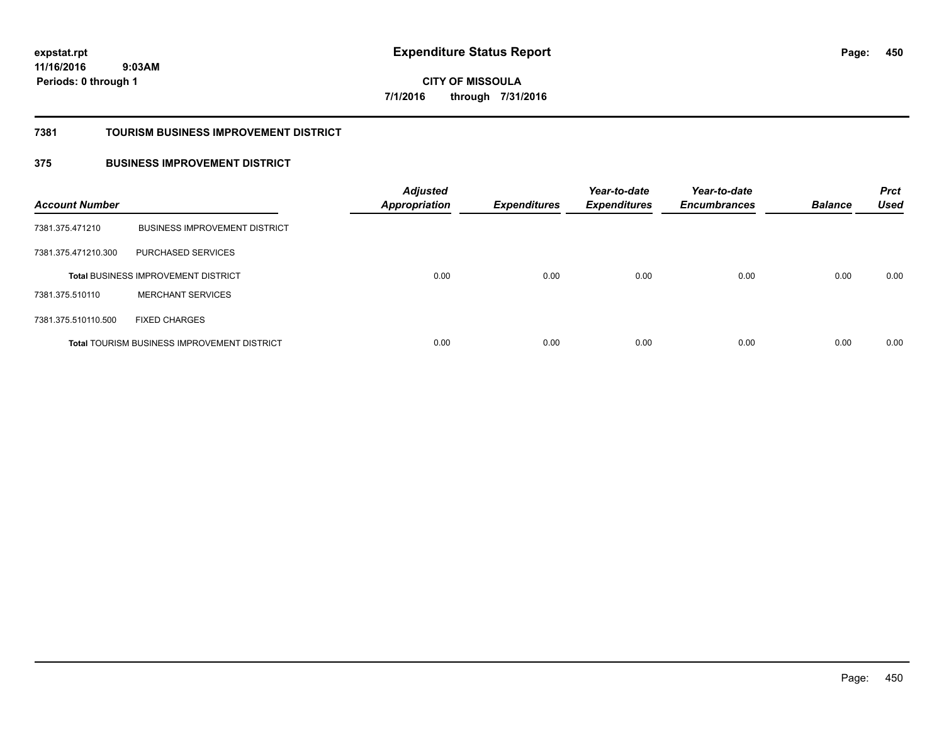**CITY OF MISSOULA 7/1/2016 through 7/31/2016**

### **7381 TOURISM BUSINESS IMPROVEMENT DISTRICT**

### **375 BUSINESS IMPROVEMENT DISTRICT**

| <b>Account Number</b> |                                                    | <b>Adjusted</b><br>Appropriation | <b>Expenditures</b> | Year-to-date<br><b>Expenditures</b> | Year-to-date<br><b>Encumbrances</b> | <b>Balance</b> | <b>Prct</b><br><b>Used</b> |
|-----------------------|----------------------------------------------------|----------------------------------|---------------------|-------------------------------------|-------------------------------------|----------------|----------------------------|
| 7381.375.471210       | <b>BUSINESS IMPROVEMENT DISTRICT</b>               |                                  |                     |                                     |                                     |                |                            |
| 7381.375.471210.300   | PURCHASED SERVICES                                 |                                  |                     |                                     |                                     |                |                            |
|                       | <b>Total BUSINESS IMPROVEMENT DISTRICT</b>         | 0.00                             | 0.00                | 0.00                                | 0.00                                | 0.00           | 0.00                       |
| 7381.375.510110       | <b>MERCHANT SERVICES</b>                           |                                  |                     |                                     |                                     |                |                            |
| 7381.375.510110.500   | <b>FIXED CHARGES</b>                               |                                  |                     |                                     |                                     |                |                            |
|                       | <b>Total TOURISM BUSINESS IMPROVEMENT DISTRICT</b> | 0.00                             | 0.00                | 0.00                                | 0.00                                | 0.00           | 0.00                       |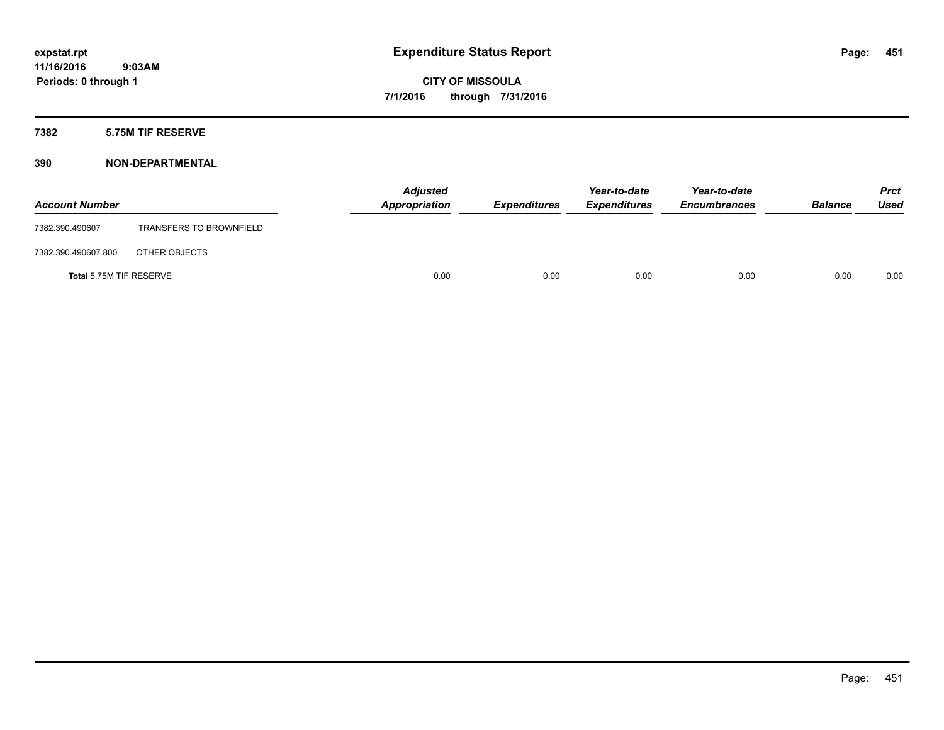### **7382 5.75M TIF RESERVE**

| <b>Account Number</b>   |                                | <b>Adjusted</b><br>Appropriation | <b>Expenditures</b> | Year-to-date<br><b>Expenditures</b> | Year-to-date<br><b>Encumbrances</b> | <b>Balance</b> | <b>Prct</b><br><b>Used</b> |
|-------------------------|--------------------------------|----------------------------------|---------------------|-------------------------------------|-------------------------------------|----------------|----------------------------|
| 7382.390.490607         | <b>TRANSFERS TO BROWNFIELD</b> |                                  |                     |                                     |                                     |                |                            |
| 7382.390.490607.800     | OTHER OBJECTS                  |                                  |                     |                                     |                                     |                |                            |
| Total 5.75M TIF RESERVE |                                | 0.00                             | 0.00                | 0.00                                | 0.00                                | 0.00           | 0.00                       |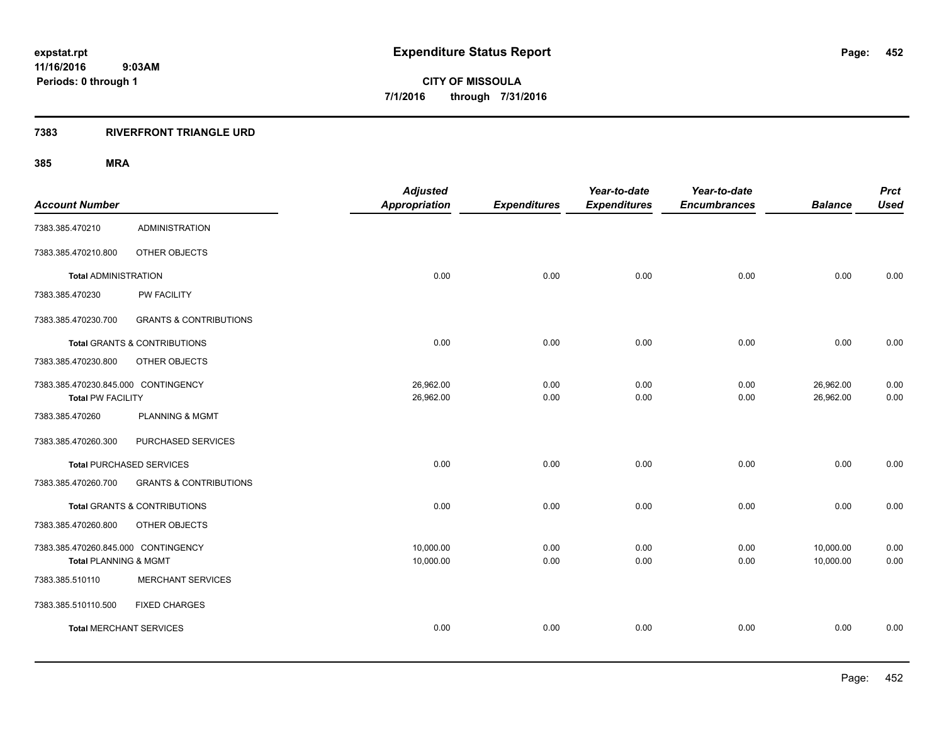### **7383 RIVERFRONT TRIANGLE URD**

|                                   | <b>Adjusted</b>                                                                                                                                                                                                                                                                                                |                                   | Year-to-date        | Year-to-date                |                             | <b>Prct</b><br><b>Used</b>  |
|-----------------------------------|----------------------------------------------------------------------------------------------------------------------------------------------------------------------------------------------------------------------------------------------------------------------------------------------------------------|-----------------------------------|---------------------|-----------------------------|-----------------------------|-----------------------------|
|                                   |                                                                                                                                                                                                                                                                                                                |                                   |                     |                             |                             |                             |
| <b>ADMINISTRATION</b>             |                                                                                                                                                                                                                                                                                                                |                                   |                     |                             |                             |                             |
| OTHER OBJECTS                     |                                                                                                                                                                                                                                                                                                                |                                   |                     |                             |                             |                             |
|                                   | 0.00                                                                                                                                                                                                                                                                                                           | 0.00                              | 0.00                | 0.00                        | 0.00                        | 0.00                        |
| PW FACILITY                       |                                                                                                                                                                                                                                                                                                                |                                   |                     |                             |                             |                             |
| <b>GRANTS &amp; CONTRIBUTIONS</b> |                                                                                                                                                                                                                                                                                                                |                                   |                     |                             |                             |                             |
|                                   | 0.00                                                                                                                                                                                                                                                                                                           | 0.00                              | 0.00                | 0.00                        | 0.00                        | 0.00                        |
| OTHER OBJECTS                     |                                                                                                                                                                                                                                                                                                                |                                   |                     |                             |                             |                             |
|                                   | 26,962.00                                                                                                                                                                                                                                                                                                      | 0.00                              | 0.00                | 0.00                        | 26,962.00                   | 0.00                        |
|                                   |                                                                                                                                                                                                                                                                                                                | 0.00                              |                     |                             |                             | 0.00                        |
| <b>PLANNING &amp; MGMT</b>        |                                                                                                                                                                                                                                                                                                                |                                   |                     |                             |                             |                             |
| PURCHASED SERVICES                |                                                                                                                                                                                                                                                                                                                |                                   |                     |                             |                             |                             |
|                                   | 0.00                                                                                                                                                                                                                                                                                                           | 0.00                              | 0.00                | 0.00                        | 0.00                        | 0.00                        |
| <b>GRANTS &amp; CONTRIBUTIONS</b> |                                                                                                                                                                                                                                                                                                                |                                   |                     |                             |                             |                             |
|                                   | 0.00                                                                                                                                                                                                                                                                                                           | 0.00                              | 0.00                | 0.00                        | 0.00                        | 0.00                        |
| OTHER OBJECTS                     |                                                                                                                                                                                                                                                                                                                |                                   |                     |                             |                             |                             |
|                                   | 10,000.00                                                                                                                                                                                                                                                                                                      | 0.00                              | 0.00                | 0.00                        | 10,000.00                   | 0.00                        |
|                                   | 10,000.00                                                                                                                                                                                                                                                                                                      | 0.00                              | 0.00                | 0.00                        | 10,000.00                   | 0.00                        |
| <b>MERCHANT SERVICES</b>          |                                                                                                                                                                                                                                                                                                                |                                   |                     |                             |                             |                             |
| <b>FIXED CHARGES</b>              |                                                                                                                                                                                                                                                                                                                |                                   |                     |                             |                             |                             |
|                                   | 0.00                                                                                                                                                                                                                                                                                                           | 0.00                              | 0.00                | 0.00                        | 0.00                        | 0.00                        |
|                                   | <b>Total ADMINISTRATION</b><br>Total GRANTS & CONTRIBUTIONS<br>7383.385.470230.845.000 CONTINGENCY<br><b>Total PW FACILITY</b><br><b>Total PURCHASED SERVICES</b><br><b>Total GRANTS &amp; CONTRIBUTIONS</b><br>7383.385.470260.845.000 CONTINGENCY<br>Total PLANNING & MGMT<br><b>Total MERCHANT SERVICES</b> | <b>Appropriation</b><br>26,962.00 | <b>Expenditures</b> | <b>Expenditures</b><br>0.00 | <b>Encumbrances</b><br>0.00 | <b>Balance</b><br>26,962.00 |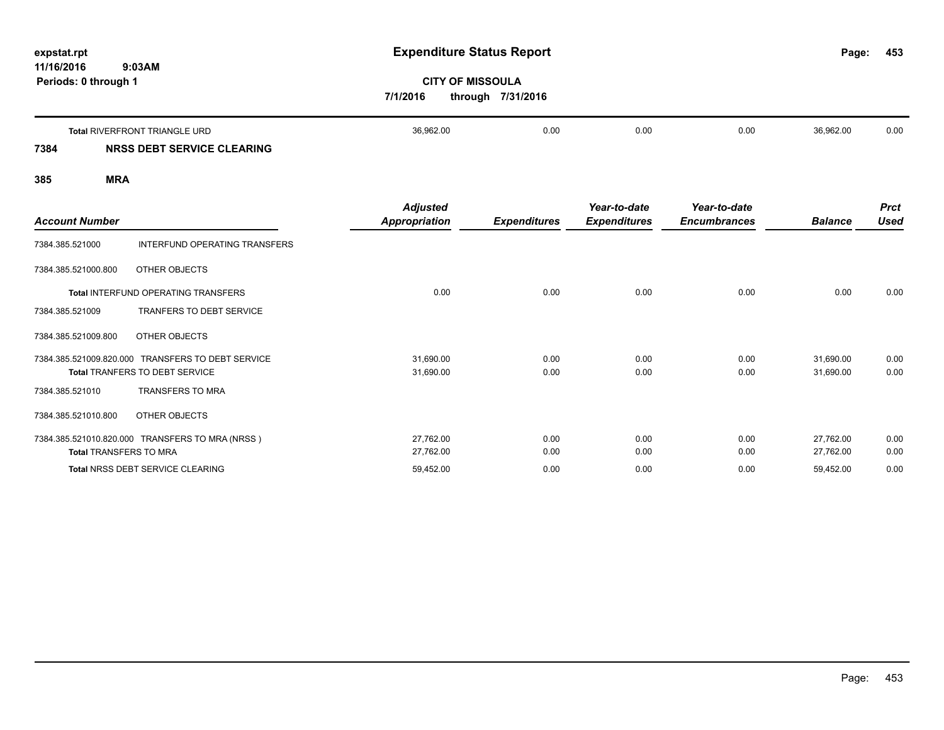| expstat.rpt<br>11/16/2016<br>9:03AM       |           | <b>Expenditure Status Report</b><br><b>CITY OF MISSOULA</b><br>7/1/2016<br>through 7/31/2016 |      |      |           |      |
|-------------------------------------------|-----------|----------------------------------------------------------------------------------------------|------|------|-----------|------|
| Periods: 0 through 1                      |           |                                                                                              |      |      |           |      |
| <b>Total RIVERFRONT TRIANGLE URD</b>      | 36,962.00 | 0.00                                                                                         | 0.00 | 0.00 | 36,962.00 | 0.00 |
| 7384<br><b>NRSS DEBT SERVICE CLEARING</b> |           |                                                                                              |      |      |           |      |

| <b>Account Number</b>         |                                                                                            | <b>Adjusted</b><br>Appropriation | <b>Expenditures</b> | Year-to-date<br><b>Expenditures</b> | Year-to-date<br><b>Encumbrances</b> | <b>Balance</b>         | <b>Prct</b><br><b>Used</b> |
|-------------------------------|--------------------------------------------------------------------------------------------|----------------------------------|---------------------|-------------------------------------|-------------------------------------|------------------------|----------------------------|
| 7384.385.521000               | INTERFUND OPERATING TRANSFERS                                                              |                                  |                     |                                     |                                     |                        |                            |
| 7384.385.521000.800           | OTHER OBJECTS                                                                              |                                  |                     |                                     |                                     |                        |                            |
|                               | Total INTERFUND OPERATING TRANSFERS                                                        | 0.00                             | 0.00                | 0.00                                | 0.00                                | 0.00                   | 0.00                       |
| 7384.385.521009               | TRANFERS TO DEBT SERVICE                                                                   |                                  |                     |                                     |                                     |                        |                            |
| 7384.385.521009.800           | OTHER OBJECTS                                                                              |                                  |                     |                                     |                                     |                        |                            |
|                               | 7384.385.521009.820.000 TRANSFERS TO DEBT SERVICE<br><b>Total TRANFERS TO DEBT SERVICE</b> | 31,690.00<br>31,690.00           | 0.00<br>0.00        | 0.00<br>0.00                        | 0.00<br>0.00                        | 31,690.00<br>31,690.00 | 0.00<br>0.00               |
| 7384.385.521010               | <b>TRANSFERS TO MRA</b>                                                                    |                                  |                     |                                     |                                     |                        |                            |
| 7384.385.521010.800           | OTHER OBJECTS                                                                              |                                  |                     |                                     |                                     |                        |                            |
|                               | 7384.385.521010.820.000 TRANSFERS TO MRA (NRSS)                                            | 27,762.00                        | 0.00                | 0.00                                | 0.00                                | 27,762.00              | 0.00                       |
| <b>Total TRANSFERS TO MRA</b> |                                                                                            | 27,762.00                        | 0.00                | 0.00                                | 0.00                                | 27,762.00              | 0.00                       |
|                               | Total NRSS DEBT SERVICE CLEARING                                                           | 59,452.00                        | 0.00                | 0.00                                | 0.00                                | 59,452.00              | 0.00                       |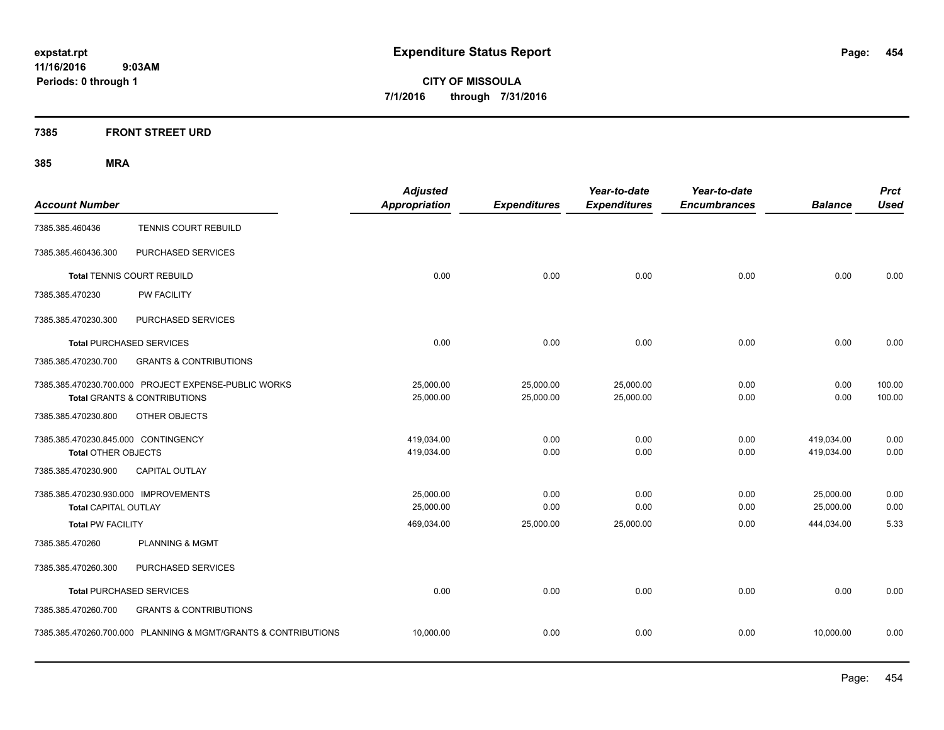**CITY OF MISSOULA 7/1/2016 through 7/31/2016**

### **7385 FRONT STREET URD**

|                                      |                                                                | <b>Adjusted</b>      |                     | Year-to-date        | Year-to-date        |                | <b>Prct</b> |
|--------------------------------------|----------------------------------------------------------------|----------------------|---------------------|---------------------|---------------------|----------------|-------------|
| <b>Account Number</b>                |                                                                | <b>Appropriation</b> | <b>Expenditures</b> | <b>Expenditures</b> | <b>Encumbrances</b> | <b>Balance</b> | <b>Used</b> |
| 7385.385.460436                      | <b>TENNIS COURT REBUILD</b>                                    |                      |                     |                     |                     |                |             |
| 7385.385.460436.300                  | PURCHASED SERVICES                                             |                      |                     |                     |                     |                |             |
|                                      | <b>Total TENNIS COURT REBUILD</b>                              | 0.00                 | 0.00                | 0.00                | 0.00                | 0.00           | 0.00        |
| 7385.385.470230                      | PW FACILITY                                                    |                      |                     |                     |                     |                |             |
| 7385.385.470230.300                  | PURCHASED SERVICES                                             |                      |                     |                     |                     |                |             |
|                                      | <b>Total PURCHASED SERVICES</b>                                | 0.00                 | 0.00                | 0.00                | 0.00                | 0.00           | 0.00        |
| 7385.385.470230.700                  | <b>GRANTS &amp; CONTRIBUTIONS</b>                              |                      |                     |                     |                     |                |             |
|                                      | 7385.385.470230.700.000 PROJECT EXPENSE-PUBLIC WORKS           | 25,000.00            | 25,000.00           | 25,000.00           | 0.00                | 0.00           | 100.00      |
|                                      | <b>Total GRANTS &amp; CONTRIBUTIONS</b>                        | 25,000.00            | 25,000.00           | 25,000.00           | 0.00                | 0.00           | 100.00      |
| 7385.385.470230.800                  | OTHER OBJECTS                                                  |                      |                     |                     |                     |                |             |
| 7385.385.470230.845.000 CONTINGENCY  |                                                                | 419,034.00           | 0.00                | 0.00                | 0.00                | 419,034.00     | 0.00        |
| <b>Total OTHER OBJECTS</b>           |                                                                | 419,034.00           | 0.00                | 0.00                | 0.00                | 419,034.00     | 0.00        |
| 7385.385.470230.900                  | <b>CAPITAL OUTLAY</b>                                          |                      |                     |                     |                     |                |             |
| 7385.385.470230.930.000 IMPROVEMENTS |                                                                | 25,000.00            | 0.00                | 0.00                | 0.00                | 25,000.00      | 0.00        |
| <b>Total CAPITAL OUTLAY</b>          |                                                                | 25,000.00            | 0.00                | 0.00                | 0.00                | 25,000.00      | 0.00        |
| <b>Total PW FACILITY</b>             |                                                                | 469,034.00           | 25,000.00           | 25,000.00           | 0.00                | 444,034.00     | 5.33        |
| 7385.385.470260                      | <b>PLANNING &amp; MGMT</b>                                     |                      |                     |                     |                     |                |             |
| 7385.385.470260.300                  | PURCHASED SERVICES                                             |                      |                     |                     |                     |                |             |
|                                      | <b>Total PURCHASED SERVICES</b>                                | 0.00                 | 0.00                | 0.00                | 0.00                | 0.00           | 0.00        |
| 7385.385.470260.700                  | <b>GRANTS &amp; CONTRIBUTIONS</b>                              |                      |                     |                     |                     |                |             |
|                                      | 7385.385.470260.700.000 PLANNING & MGMT/GRANTS & CONTRIBUTIONS | 10,000.00            | 0.00                | 0.00                | 0.00                | 10,000.00      | 0.00        |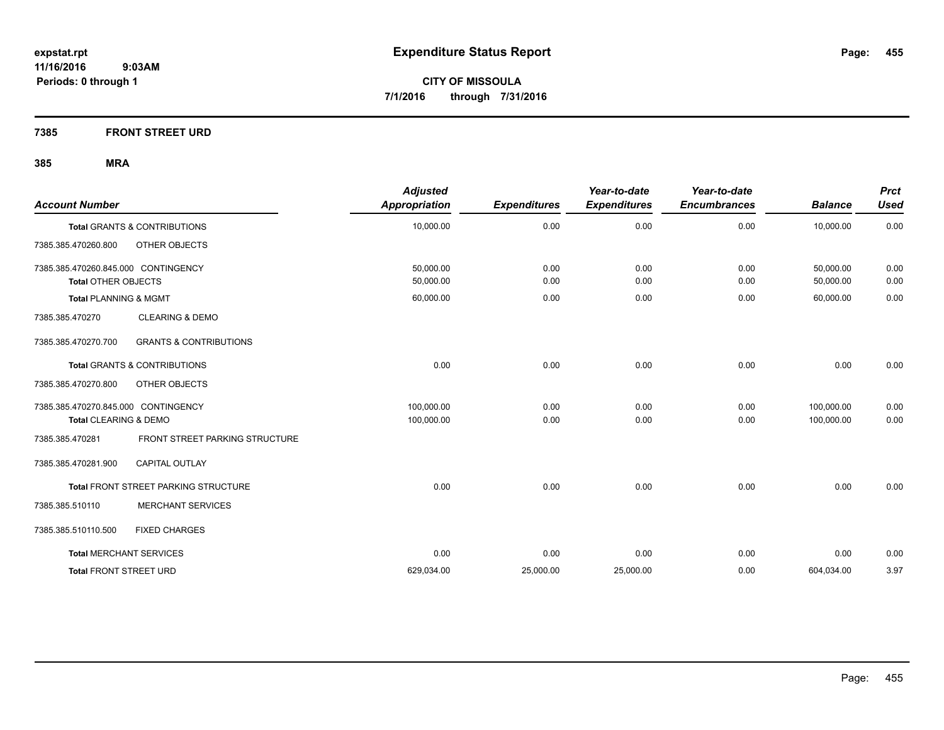**7385 FRONT STREET URD**

| <b>Account Number</b>               |                                         | <b>Adjusted</b><br><b>Appropriation</b> | <b>Expenditures</b> | Year-to-date<br><b>Expenditures</b> | Year-to-date<br><b>Encumbrances</b> | <b>Balance</b> | <b>Prct</b><br><b>Used</b> |
|-------------------------------------|-----------------------------------------|-----------------------------------------|---------------------|-------------------------------------|-------------------------------------|----------------|----------------------------|
|                                     | <b>Total GRANTS &amp; CONTRIBUTIONS</b> | 10,000.00                               | 0.00                | 0.00                                | 0.00                                | 10,000.00      | 0.00                       |
| 7385.385.470260.800                 | OTHER OBJECTS                           |                                         |                     |                                     |                                     |                |                            |
| 7385.385.470260.845.000 CONTINGENCY |                                         | 50,000.00                               | 0.00                | 0.00                                | 0.00                                | 50,000.00      | 0.00                       |
| <b>Total OTHER OBJECTS</b>          |                                         | 50,000.00                               | 0.00                | 0.00                                | 0.00                                | 50,000.00      | 0.00                       |
| <b>Total PLANNING &amp; MGMT</b>    |                                         | 60,000.00                               | 0.00                | 0.00                                | 0.00                                | 60,000.00      | 0.00                       |
| 7385.385.470270                     | <b>CLEARING &amp; DEMO</b>              |                                         |                     |                                     |                                     |                |                            |
| 7385.385.470270.700                 | <b>GRANTS &amp; CONTRIBUTIONS</b>       |                                         |                     |                                     |                                     |                |                            |
|                                     | <b>Total GRANTS &amp; CONTRIBUTIONS</b> | 0.00                                    | 0.00                | 0.00                                | 0.00                                | 0.00           | 0.00                       |
| 7385.385.470270.800                 | OTHER OBJECTS                           |                                         |                     |                                     |                                     |                |                            |
| 7385.385.470270.845.000 CONTINGENCY |                                         | 100,000.00                              | 0.00                | 0.00                                | 0.00                                | 100,000.00     | 0.00                       |
| Total CLEARING & DEMO               |                                         | 100,000.00                              | 0.00                | 0.00                                | 0.00                                | 100,000.00     | 0.00                       |
| 7385.385.470281                     | FRONT STREET PARKING STRUCTURE          |                                         |                     |                                     |                                     |                |                            |
| 7385.385.470281.900                 | <b>CAPITAL OUTLAY</b>                   |                                         |                     |                                     |                                     |                |                            |
|                                     | Total FRONT STREET PARKING STRUCTURE    | 0.00                                    | 0.00                | 0.00                                | 0.00                                | 0.00           | 0.00                       |
| 7385.385.510110                     | <b>MERCHANT SERVICES</b>                |                                         |                     |                                     |                                     |                |                            |
| 7385.385.510110.500                 | <b>FIXED CHARGES</b>                    |                                         |                     |                                     |                                     |                |                            |
| <b>Total MERCHANT SERVICES</b>      |                                         | 0.00                                    | 0.00                | 0.00                                | 0.00                                | 0.00           | 0.00                       |
| <b>Total FRONT STREET URD</b>       |                                         | 629,034.00                              | 25,000.00           | 25,000.00                           | 0.00                                | 604,034.00     | 3.97                       |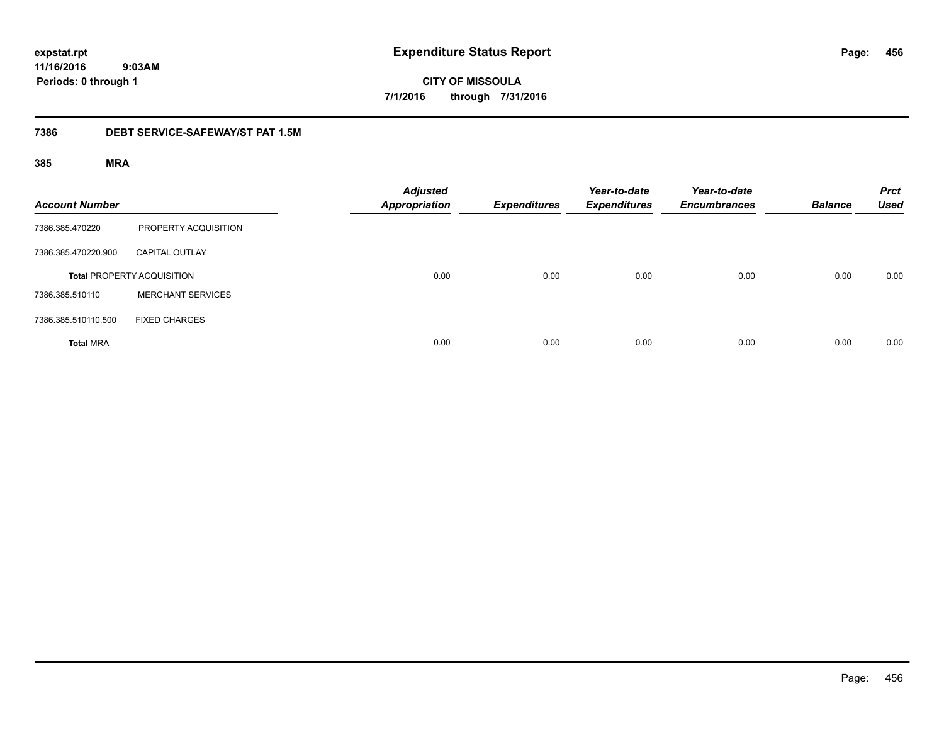**CITY OF MISSOULA 7/1/2016 through 7/31/2016**

### **7386 DEBT SERVICE-SAFEWAY/ST PAT 1.5M**

| <b>Account Number</b> |                                   | <b>Adjusted</b><br><b>Appropriation</b> | <b>Expenditures</b> | Year-to-date<br><b>Expenditures</b> | Year-to-date<br><b>Encumbrances</b> | <b>Balance</b> | <b>Prct</b><br><b>Used</b> |
|-----------------------|-----------------------------------|-----------------------------------------|---------------------|-------------------------------------|-------------------------------------|----------------|----------------------------|
| 7386.385.470220       | PROPERTY ACQUISITION              |                                         |                     |                                     |                                     |                |                            |
| 7386.385.470220.900   | <b>CAPITAL OUTLAY</b>             |                                         |                     |                                     |                                     |                |                            |
|                       | <b>Total PROPERTY ACQUISITION</b> | 0.00                                    | 0.00                | 0.00                                | 0.00                                | 0.00           | 0.00                       |
| 7386.385.510110       | <b>MERCHANT SERVICES</b>          |                                         |                     |                                     |                                     |                |                            |
| 7386.385.510110.500   | <b>FIXED CHARGES</b>              |                                         |                     |                                     |                                     |                |                            |
| <b>Total MRA</b>      |                                   | 0.00                                    | 0.00                | 0.00                                | 0.00                                | 0.00           | 0.00                       |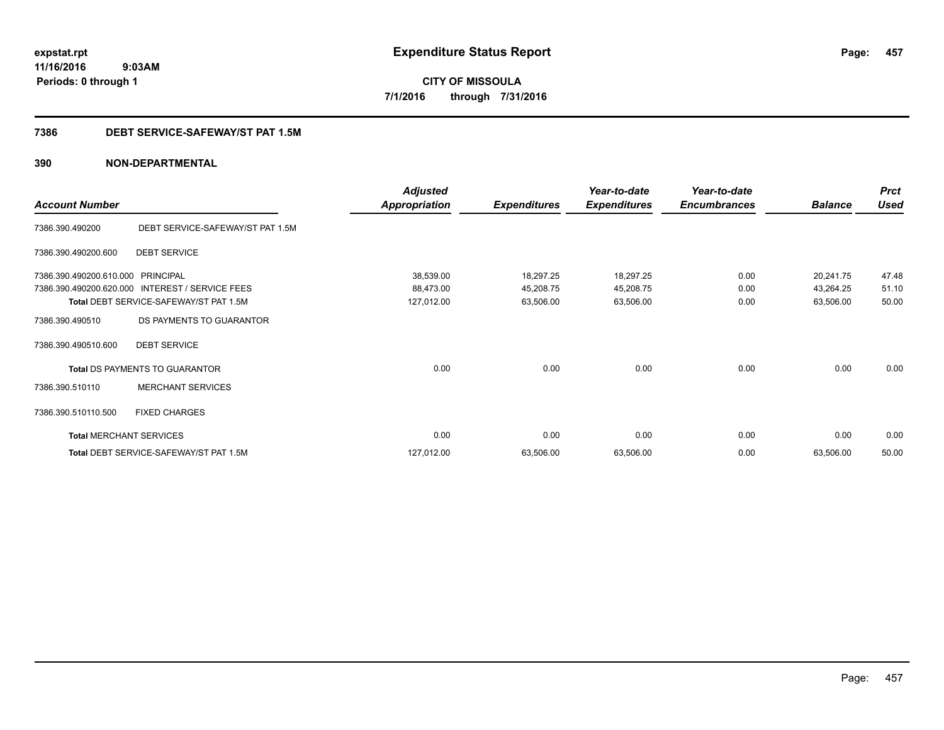**CITY OF MISSOULA 7/1/2016 through 7/31/2016**

### **7386 DEBT SERVICE-SAFEWAY/ST PAT 1.5M**

|                                |                                        | <b>Adjusted</b>      |                     | Year-to-date        | Year-to-date        |                | <b>Prct</b> |
|--------------------------------|----------------------------------------|----------------------|---------------------|---------------------|---------------------|----------------|-------------|
| <b>Account Number</b>          |                                        | <b>Appropriation</b> | <b>Expenditures</b> | <b>Expenditures</b> | <b>Encumbrances</b> | <b>Balance</b> | <b>Used</b> |
| 7386.390.490200                | DEBT SERVICE-SAFEWAY/ST PAT 1.5M       |                      |                     |                     |                     |                |             |
| 7386.390.490200.600            | <b>DEBT SERVICE</b>                    |                      |                     |                     |                     |                |             |
| 7386.390.490200.610.000        | <b>PRINCIPAL</b>                       | 38,539.00            | 18,297.25           | 18,297.25           | 0.00                | 20,241.75      | 47.48       |
| 7386.390.490200.620.000        | INTEREST / SERVICE FEES                | 88,473.00            | 45,208.75           | 45,208.75           | 0.00                | 43,264.25      | 51.10       |
|                                | Total DEBT SERVICE-SAFEWAY/ST PAT 1.5M | 127,012.00           | 63,506.00           | 63,506.00           | 0.00                | 63,506.00      | 50.00       |
| 7386.390.490510                | DS PAYMENTS TO GUARANTOR               |                      |                     |                     |                     |                |             |
| 7386.390.490510.600            | <b>DEBT SERVICE</b>                    |                      |                     |                     |                     |                |             |
|                                | <b>Total DS PAYMENTS TO GUARANTOR</b>  | 0.00                 | 0.00                | 0.00                | 0.00                | 0.00           | 0.00        |
| 7386.390.510110                | <b>MERCHANT SERVICES</b>               |                      |                     |                     |                     |                |             |
| 7386.390.510110.500            | <b>FIXED CHARGES</b>                   |                      |                     |                     |                     |                |             |
| <b>Total MERCHANT SERVICES</b> |                                        | 0.00                 | 0.00                | 0.00                | 0.00                | 0.00           | 0.00        |
|                                | Total DEBT SERVICE-SAFEWAY/ST PAT 1.5M | 127,012.00           | 63,506.00           | 63,506.00           | 0.00                | 63,506.00      | 50.00       |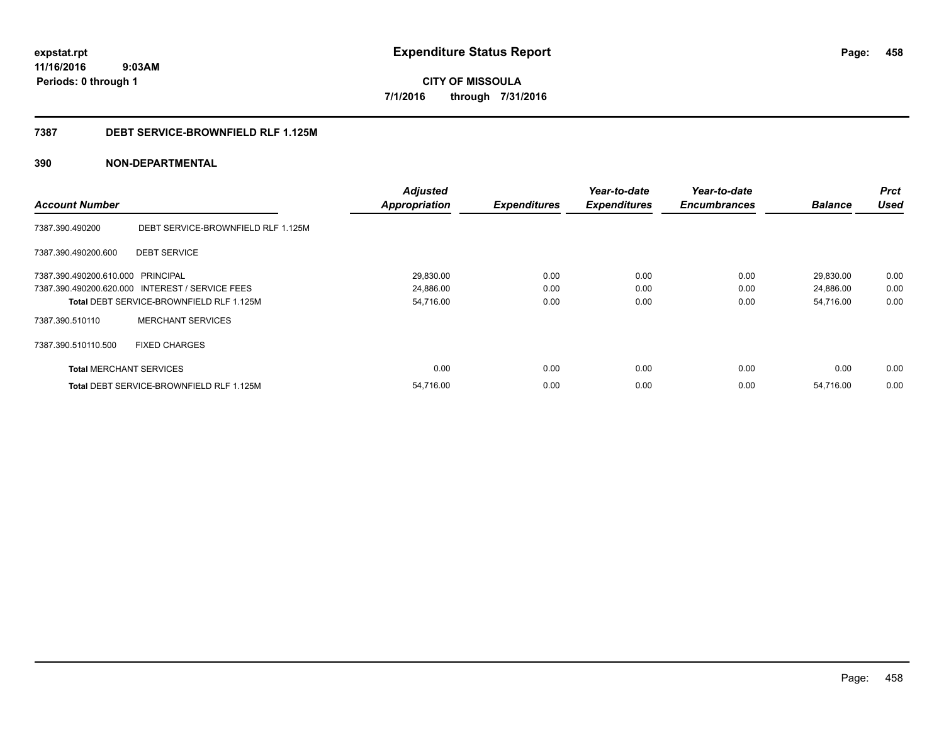**CITY OF MISSOULA 7/1/2016 through 7/31/2016**

### **7387 DEBT SERVICE-BROWNFIELD RLF 1.125M**

|                                   |                                                 | <b>Adjusted</b>      |                     | Year-to-date        | Year-to-date        |                | <b>Prct</b> |
|-----------------------------------|-------------------------------------------------|----------------------|---------------------|---------------------|---------------------|----------------|-------------|
| <b>Account Number</b>             |                                                 | <b>Appropriation</b> | <b>Expenditures</b> | <b>Expenditures</b> | <b>Encumbrances</b> | <b>Balance</b> | <b>Used</b> |
| 7387.390.490200                   | DEBT SERVICE-BROWNFIELD RLF 1.125M              |                      |                     |                     |                     |                |             |
| 7387.390.490200.600               | <b>DEBT SERVICE</b>                             |                      |                     |                     |                     |                |             |
| 7387.390.490200.610.000 PRINCIPAL |                                                 | 29,830.00            | 0.00                | 0.00                | 0.00                | 29,830.00      | 0.00        |
|                                   | 7387.390.490200.620.000 INTEREST / SERVICE FEES | 24,886.00            | 0.00                | 0.00                | 0.00                | 24,886.00      | 0.00        |
|                                   | Total DEBT SERVICE-BROWNFIELD RLF 1.125M        | 54,716.00            | 0.00                | 0.00                | 0.00                | 54,716.00      | 0.00        |
| 7387.390.510110                   | <b>MERCHANT SERVICES</b>                        |                      |                     |                     |                     |                |             |
| 7387.390.510110.500               | <b>FIXED CHARGES</b>                            |                      |                     |                     |                     |                |             |
| <b>Total MERCHANT SERVICES</b>    |                                                 | 0.00                 | 0.00                | 0.00                | 0.00                | 0.00           | 0.00        |
|                                   | <b>Total DEBT SERVICE-BROWNFIELD RLF 1.125M</b> | 54,716.00            | 0.00                | 0.00                | 0.00                | 54,716.00      | 0.00        |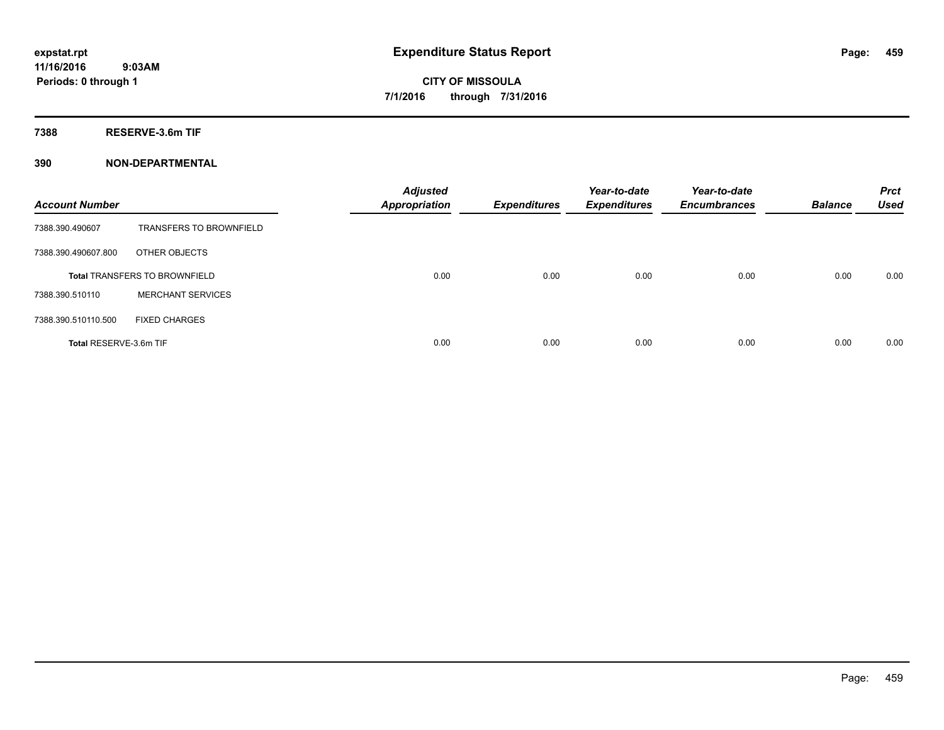**7388 RESERVE-3.6m TIF**

| <b>Account Number</b>  |                                      | <b>Adjusted</b><br><b>Appropriation</b> | <b>Expenditures</b> | Year-to-date<br><b>Expenditures</b> | Year-to-date<br><b>Encumbrances</b> | <b>Balance</b> | <b>Prct</b><br><b>Used</b> |
|------------------------|--------------------------------------|-----------------------------------------|---------------------|-------------------------------------|-------------------------------------|----------------|----------------------------|
| 7388.390.490607        | <b>TRANSFERS TO BROWNFIELD</b>       |                                         |                     |                                     |                                     |                |                            |
| 7388.390.490607.800    | OTHER OBJECTS                        |                                         |                     |                                     |                                     |                |                            |
|                        | <b>Total TRANSFERS TO BROWNFIELD</b> | 0.00                                    | 0.00                | 0.00                                | 0.00                                | 0.00           | 0.00                       |
| 7388.390.510110        | <b>MERCHANT SERVICES</b>             |                                         |                     |                                     |                                     |                |                            |
| 7388.390.510110.500    | <b>FIXED CHARGES</b>                 |                                         |                     |                                     |                                     |                |                            |
| Total RESERVE-3.6m TIF |                                      | 0.00                                    | 0.00                | 0.00                                | 0.00                                | 0.00           | 0.00                       |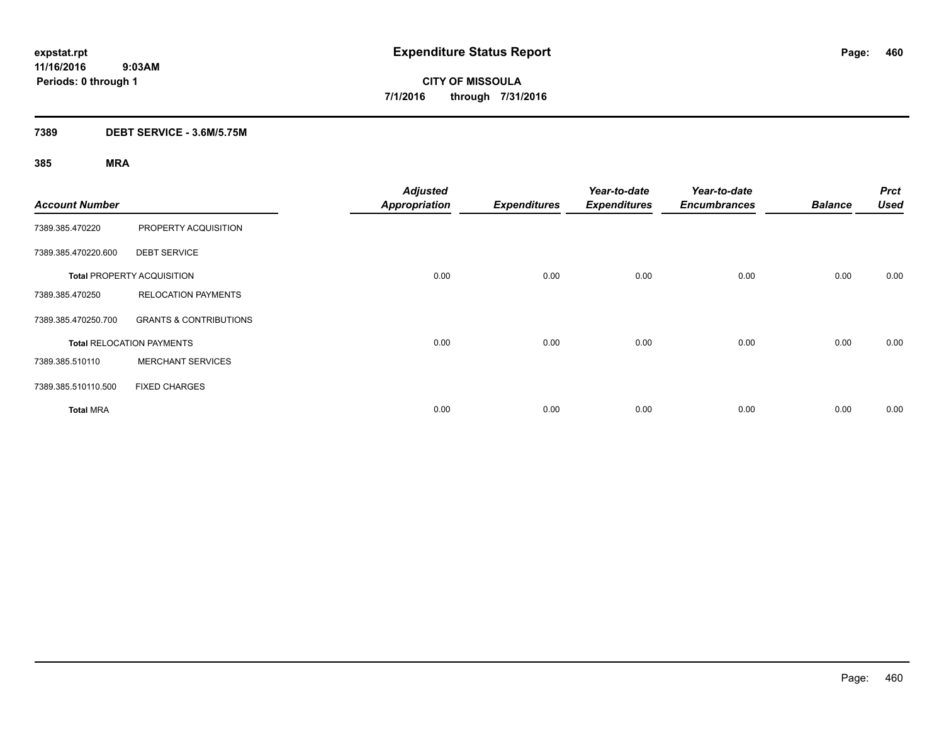### **7389 DEBT SERVICE - 3.6M/5.75M**

| <b>Account Number</b> |                                   | <b>Adjusted</b><br><b>Appropriation</b> | <b>Expenditures</b> | Year-to-date<br><b>Expenditures</b> | Year-to-date<br><b>Encumbrances</b> | <b>Balance</b> | <b>Prct</b><br><b>Used</b> |
|-----------------------|-----------------------------------|-----------------------------------------|---------------------|-------------------------------------|-------------------------------------|----------------|----------------------------|
| 7389.385.470220       | PROPERTY ACQUISITION              |                                         |                     |                                     |                                     |                |                            |
| 7389.385.470220.600   | <b>DEBT SERVICE</b>               |                                         |                     |                                     |                                     |                |                            |
|                       | <b>Total PROPERTY ACQUISITION</b> | 0.00                                    | 0.00                | 0.00                                | 0.00                                | 0.00           | 0.00                       |
| 7389.385.470250       | <b>RELOCATION PAYMENTS</b>        |                                         |                     |                                     |                                     |                |                            |
| 7389.385.470250.700   | <b>GRANTS &amp; CONTRIBUTIONS</b> |                                         |                     |                                     |                                     |                |                            |
|                       | <b>Total RELOCATION PAYMENTS</b>  | 0.00                                    | 0.00                | 0.00                                | 0.00                                | 0.00           | 0.00                       |
| 7389.385.510110       | <b>MERCHANT SERVICES</b>          |                                         |                     |                                     |                                     |                |                            |
| 7389.385.510110.500   | <b>FIXED CHARGES</b>              |                                         |                     |                                     |                                     |                |                            |
| <b>Total MRA</b>      |                                   | 0.00                                    | 0.00                | 0.00                                | 0.00                                | 0.00           | 0.00                       |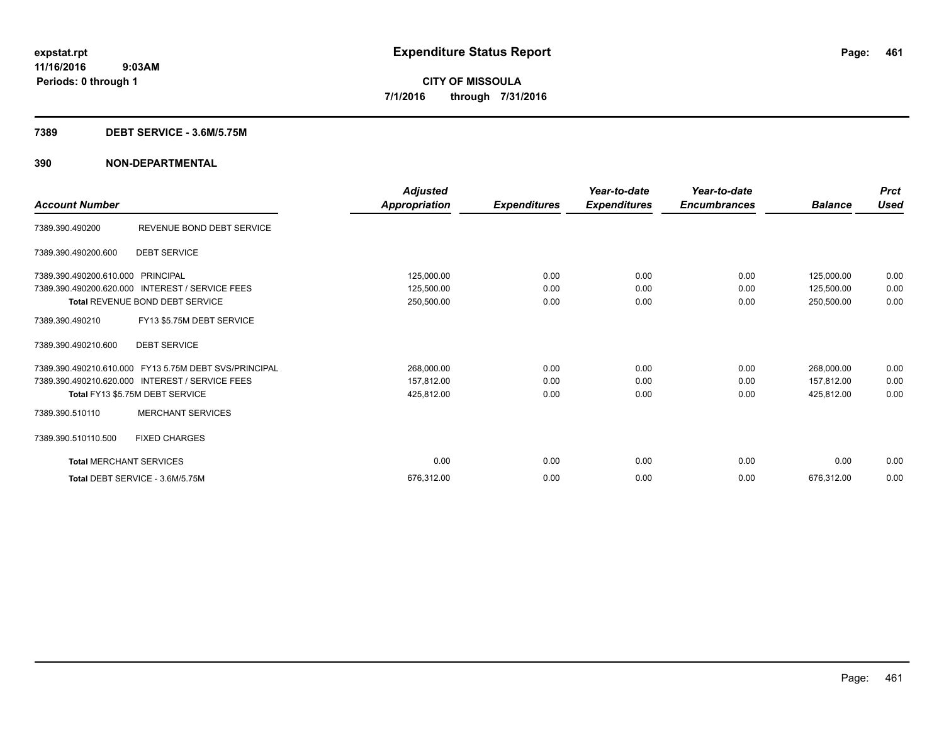### **7389 DEBT SERVICE - 3.6M/5.75M**

| <b>Account Number</b>          |                                                       | Adjusted<br>Appropriation | <b>Expenditures</b> | Year-to-date<br><b>Expenditures</b> | Year-to-date<br><b>Encumbrances</b> | <b>Balance</b> | <b>Prct</b><br><b>Used</b> |
|--------------------------------|-------------------------------------------------------|---------------------------|---------------------|-------------------------------------|-------------------------------------|----------------|----------------------------|
| 7389.390.490200                | REVENUE BOND DEBT SERVICE                             |                           |                     |                                     |                                     |                |                            |
| 7389.390.490200.600            | <b>DEBT SERVICE</b>                                   |                           |                     |                                     |                                     |                |                            |
| 7389.390.490200.610.000        | PRINCIPAL                                             | 125,000.00                | 0.00                | 0.00                                | 0.00                                | 125,000.00     | 0.00                       |
| 7389.390.490200.620.000        | <b>INTEREST / SERVICE FEES</b>                        | 125,500.00                | 0.00                | 0.00                                | 0.00                                | 125,500.00     | 0.00                       |
|                                | Total REVENUE BOND DEBT SERVICE                       | 250,500.00                | 0.00                | 0.00                                | 0.00                                | 250,500.00     | 0.00                       |
| 7389.390.490210                | FY13 \$5.75M DEBT SERVICE                             |                           |                     |                                     |                                     |                |                            |
| 7389.390.490210.600            | <b>DEBT SERVICE</b>                                   |                           |                     |                                     |                                     |                |                            |
|                                | 7389.390.490210.610.000 FY13 5.75M DEBT SVS/PRINCIPAL | 268,000.00                | 0.00                | 0.00                                | 0.00                                | 268,000.00     | 0.00                       |
|                                | 7389.390.490210.620.000 INTEREST / SERVICE FEES       | 157,812.00                | 0.00                | 0.00                                | 0.00                                | 157,812.00     | 0.00                       |
|                                | Total FY13 \$5.75M DEBT SERVICE                       | 425,812.00                | 0.00                | 0.00                                | 0.00                                | 425,812.00     | 0.00                       |
| 7389.390.510110                | <b>MERCHANT SERVICES</b>                              |                           |                     |                                     |                                     |                |                            |
| 7389.390.510110.500            | <b>FIXED CHARGES</b>                                  |                           |                     |                                     |                                     |                |                            |
| <b>Total MERCHANT SERVICES</b> |                                                       | 0.00                      | 0.00                | 0.00                                | 0.00                                | 0.00           | 0.00                       |
|                                | Total DEBT SERVICE - 3.6M/5.75M                       | 676,312.00                | 0.00                | 0.00                                | 0.00                                | 676.312.00     | 0.00                       |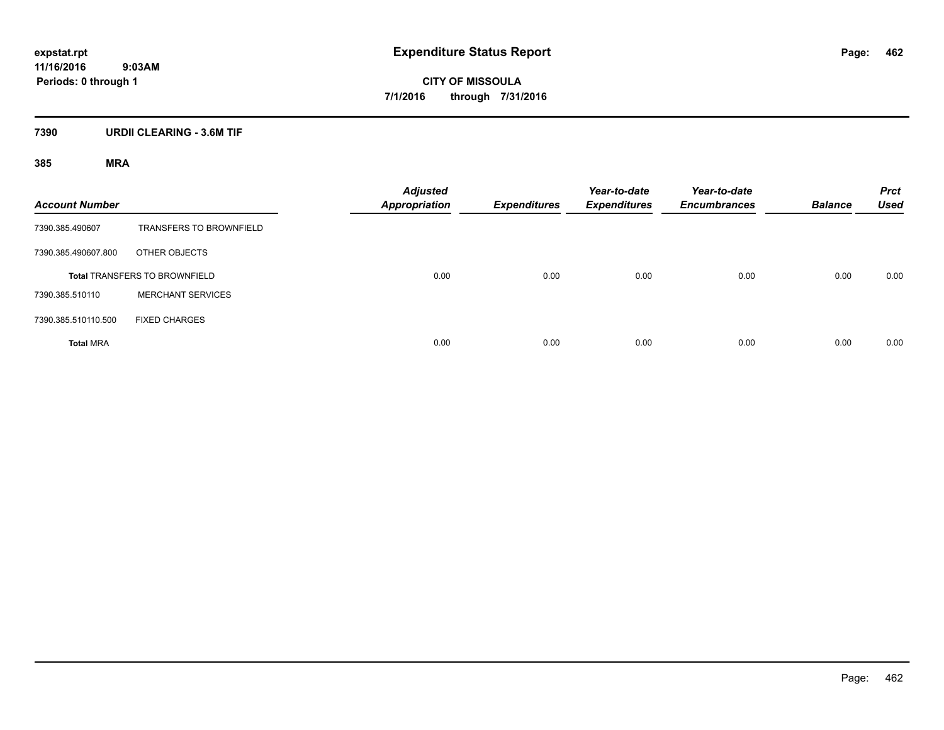**CITY OF MISSOULA 7/1/2016 through 7/31/2016**

### **7390 URDII CLEARING - 3.6M TIF**

| <b>Account Number</b> |                                      | <b>Adjusted</b><br><b>Appropriation</b> | <b>Expenditures</b> | Year-to-date<br><b>Expenditures</b> | Year-to-date<br><b>Encumbrances</b> | <b>Balance</b> | <b>Prct</b><br><b>Used</b> |
|-----------------------|--------------------------------------|-----------------------------------------|---------------------|-------------------------------------|-------------------------------------|----------------|----------------------------|
| 7390.385.490607       | <b>TRANSFERS TO BROWNFIELD</b>       |                                         |                     |                                     |                                     |                |                            |
| 7390.385.490607.800   | OTHER OBJECTS                        |                                         |                     |                                     |                                     |                |                            |
|                       | <b>Total TRANSFERS TO BROWNFIELD</b> | 0.00                                    | 0.00                | 0.00                                | 0.00                                | 0.00           | 0.00                       |
| 7390.385.510110       | <b>MERCHANT SERVICES</b>             |                                         |                     |                                     |                                     |                |                            |
| 7390.385.510110.500   | <b>FIXED CHARGES</b>                 |                                         |                     |                                     |                                     |                |                            |
| <b>Total MRA</b>      |                                      | 0.00                                    | 0.00                | 0.00                                | 0.00                                | 0.00           | 0.00                       |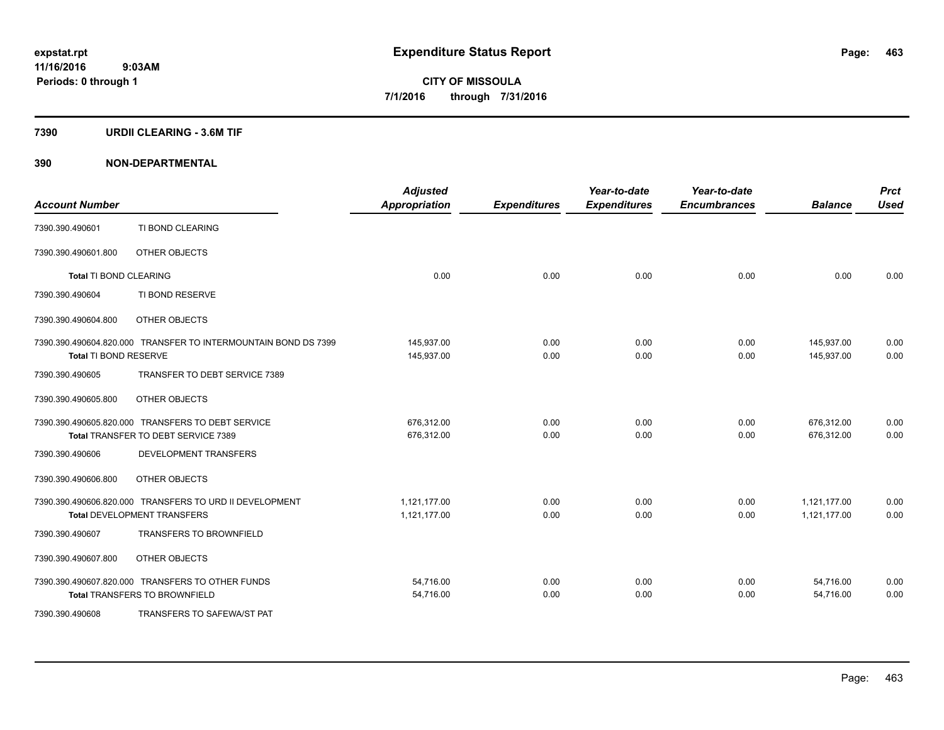### **7390 URDII CLEARING - 3.6M TIF**

| <b>Account Number</b>  |                                                                                               | <b>Adjusted</b><br><b>Appropriation</b> | <b>Expenditures</b> | Year-to-date<br><b>Expenditures</b> | Year-to-date<br><b>Encumbrances</b> | <b>Balance</b>               | <b>Prct</b><br><b>Used</b> |
|------------------------|-----------------------------------------------------------------------------------------------|-----------------------------------------|---------------------|-------------------------------------|-------------------------------------|------------------------------|----------------------------|
| 7390.390.490601        | TI BOND CLEARING                                                                              |                                         |                     |                                     |                                     |                              |                            |
| 7390.390.490601.800    | OTHER OBJECTS                                                                                 |                                         |                     |                                     |                                     |                              |                            |
| Total TI BOND CLEARING |                                                                                               | 0.00                                    | 0.00                | 0.00                                | 0.00                                | 0.00                         | 0.00                       |
| 7390.390.490604        | TI BOND RESERVE                                                                               |                                         |                     |                                     |                                     |                              |                            |
| 7390.390.490604.800    | OTHER OBJECTS                                                                                 |                                         |                     |                                     |                                     |                              |                            |
| Total TI BOND RESERVE  | 7390.390.490604.820.000 TRANSFER TO INTERMOUNTAIN BOND DS 7399                                | 145,937.00<br>145,937.00                | 0.00<br>0.00        | 0.00<br>0.00                        | 0.00<br>0.00                        | 145,937.00<br>145.937.00     | 0.00<br>0.00               |
| 7390.390.490605        | TRANSFER TO DEBT SERVICE 7389                                                                 |                                         |                     |                                     |                                     |                              |                            |
| 7390.390.490605.800    | OTHER OBJECTS                                                                                 |                                         |                     |                                     |                                     |                              |                            |
|                        | 7390.390.490605.820.000 TRANSFERS TO DEBT SERVICE<br>Total TRANSFER TO DEBT SERVICE 7389      | 676,312.00<br>676.312.00                | 0.00<br>0.00        | 0.00<br>0.00                        | 0.00<br>0.00                        | 676,312.00<br>676.312.00     | 0.00<br>0.00               |
| 7390.390.490606        | <b>DEVELOPMENT TRANSFERS</b>                                                                  |                                         |                     |                                     |                                     |                              |                            |
| 7390.390.490606.800    | OTHER OBJECTS                                                                                 |                                         |                     |                                     |                                     |                              |                            |
|                        | 7390.390.490606.820.000 TRANSFERS TO URD II DEVELOPMENT<br><b>Total DEVELOPMENT TRANSFERS</b> | 1.121.177.00<br>1,121,177.00            | 0.00<br>0.00        | 0.00<br>0.00                        | 0.00<br>0.00                        | 1,121,177.00<br>1,121,177.00 | 0.00<br>0.00               |
| 7390.390.490607        | <b>TRANSFERS TO BROWNFIELD</b>                                                                |                                         |                     |                                     |                                     |                              |                            |
| 7390.390.490607.800    | OTHER OBJECTS                                                                                 |                                         |                     |                                     |                                     |                              |                            |
|                        | 7390.390.490607.820.000 TRANSFERS TO OTHER FUNDS<br><b>Total TRANSFERS TO BROWNFIELD</b>      | 54,716.00<br>54,716.00                  | 0.00<br>0.00        | 0.00<br>0.00                        | 0.00<br>0.00                        | 54,716.00<br>54,716.00       | 0.00<br>0.00               |
| 7390.390.490608        | TRANSFERS TO SAFEWA/ST PAT                                                                    |                                         |                     |                                     |                                     |                              |                            |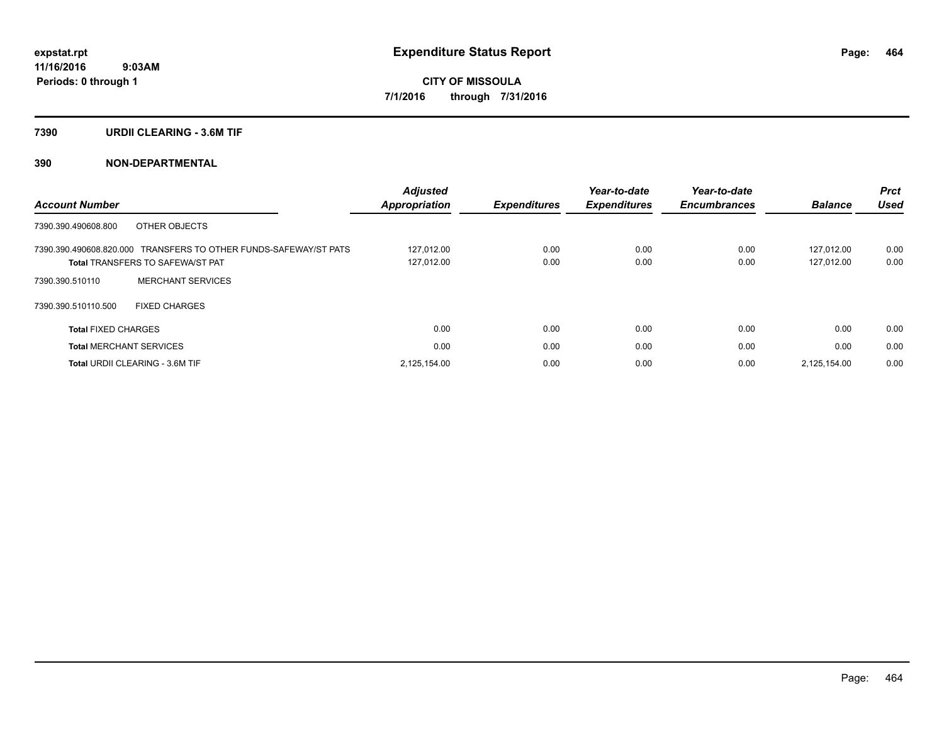### **7390 URDII CLEARING - 3.6M TIF**

|                                                                  | <b>Adjusted</b>      |                     | Year-to-date        | Year-to-date        |                | <b>Prct</b> |
|------------------------------------------------------------------|----------------------|---------------------|---------------------|---------------------|----------------|-------------|
| <b>Account Number</b>                                            | <b>Appropriation</b> | <b>Expenditures</b> | <b>Expenditures</b> | <b>Encumbrances</b> | <b>Balance</b> | Used        |
| OTHER OBJECTS<br>7390.390.490608.800                             |                      |                     |                     |                     |                |             |
| 7390.390.490608.820.000 TRANSFERS TO OTHER FUNDS-SAFEWAY/ST PATS | 127.012.00           | 0.00                | 0.00                | 0.00                | 127.012.00     | 0.00        |
| <b>Total TRANSFERS TO SAFEWA/ST PAT</b>                          | 127,012.00           | 0.00                | 0.00                | 0.00                | 127.012.00     | 0.00        |
| <b>MERCHANT SERVICES</b><br>7390.390.510110                      |                      |                     |                     |                     |                |             |
| 7390.390.510110.500<br><b>FIXED CHARGES</b>                      |                      |                     |                     |                     |                |             |
| <b>Total FIXED CHARGES</b>                                       | 0.00                 | 0.00                | 0.00                | 0.00                | 0.00           | 0.00        |
| <b>Total MERCHANT SERVICES</b>                                   | 0.00                 | 0.00                | 0.00                | 0.00                | 0.00           | 0.00        |
| <b>Total URDII CLEARING - 3.6M TIF</b>                           | 2,125,154.00         | 0.00                | 0.00                | 0.00                | 2.125.154.00   | 0.00        |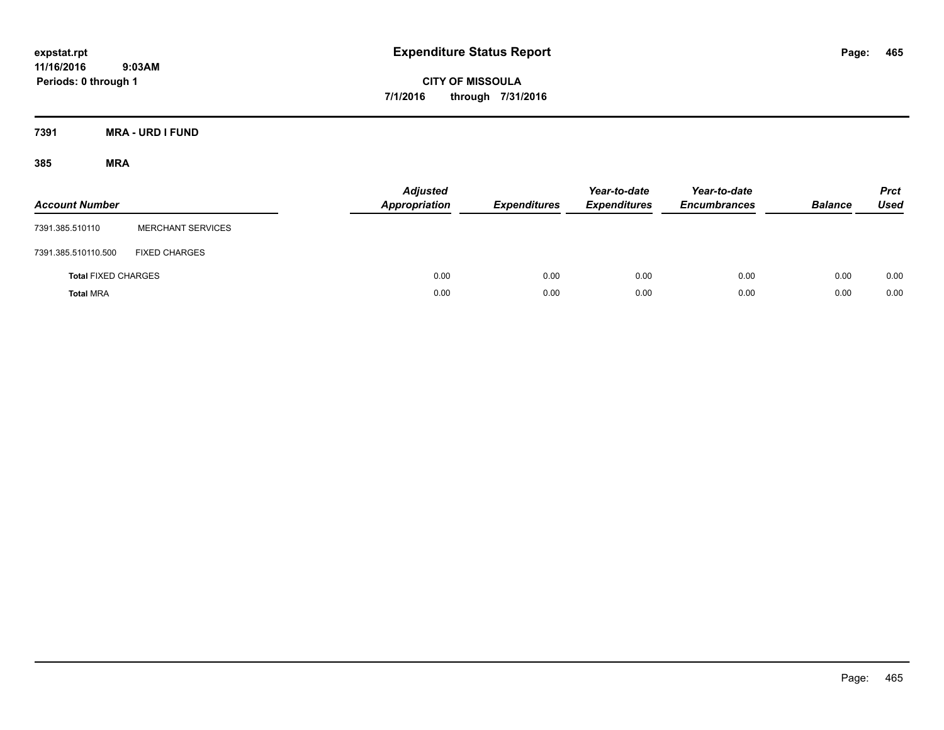**CITY OF MISSOULA 7/1/2016 through 7/31/2016**

**7391 MRA - URD I FUND**

| <b>Account Number</b>      |                          | <b>Adjusted</b><br><b>Appropriation</b> | <b>Expenditures</b> | Year-to-date<br><b>Expenditures</b> | Year-to-date<br><b>Encumbrances</b> | <b>Balance</b> | <b>Prct</b><br>Used |
|----------------------------|--------------------------|-----------------------------------------|---------------------|-------------------------------------|-------------------------------------|----------------|---------------------|
| 7391.385.510110            | <b>MERCHANT SERVICES</b> |                                         |                     |                                     |                                     |                |                     |
| 7391.385.510110.500        | <b>FIXED CHARGES</b>     |                                         |                     |                                     |                                     |                |                     |
| <b>Total FIXED CHARGES</b> |                          | 0.00                                    | 0.00                | 0.00                                | 0.00                                | 0.00           | 0.00                |
| <b>Total MRA</b>           |                          | 0.00                                    | 0.00                | 0.00                                | 0.00                                | 0.00           | 0.00                |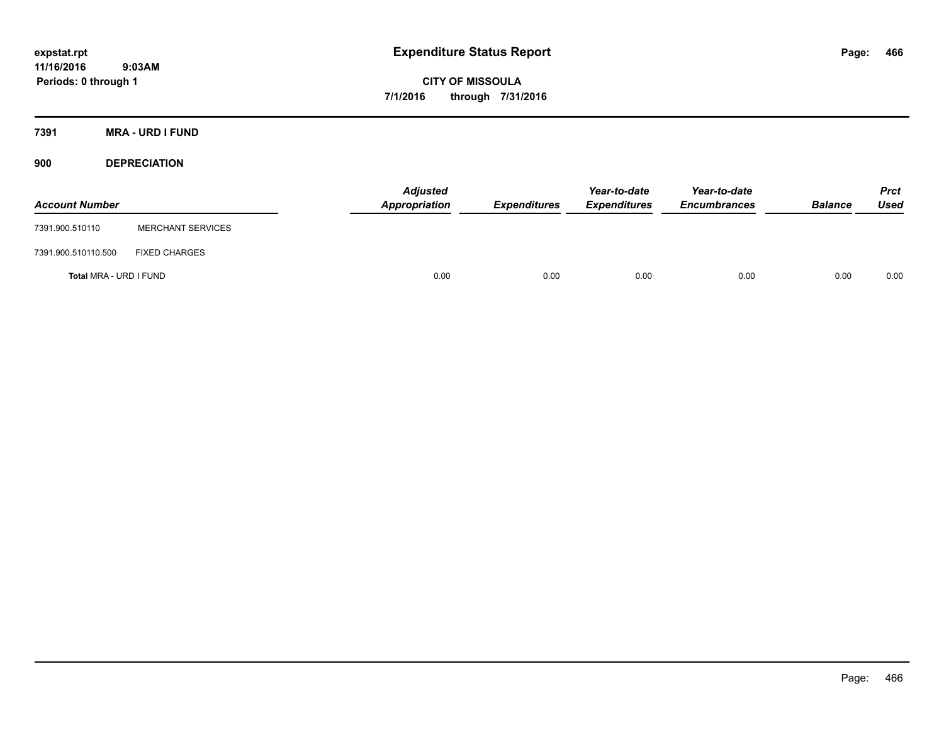**CITY OF MISSOULA 7/1/2016 through 7/31/2016**

**7391 MRA - URD I FUND**

**900 DEPRECIATION**

| <b>Account Number</b>  |                          | Adjusted<br>Appropriation | <b>Expenditures</b> | Year-to-date<br><b>Expenditures</b> | Year-to-date<br><b>Encumbrances</b> | <b>Balance</b> | Prct<br><b>Used</b> |
|------------------------|--------------------------|---------------------------|---------------------|-------------------------------------|-------------------------------------|----------------|---------------------|
| 7391.900.510110        | <b>MERCHANT SERVICES</b> |                           |                     |                                     |                                     |                |                     |
| 7391.900.510110.500    | <b>FIXED CHARGES</b>     |                           |                     |                                     |                                     |                |                     |
| Total MRA - URD I FUND |                          | 0.00                      | 0.00                | 0.00                                | 0.00                                | 0.00           | 0.00                |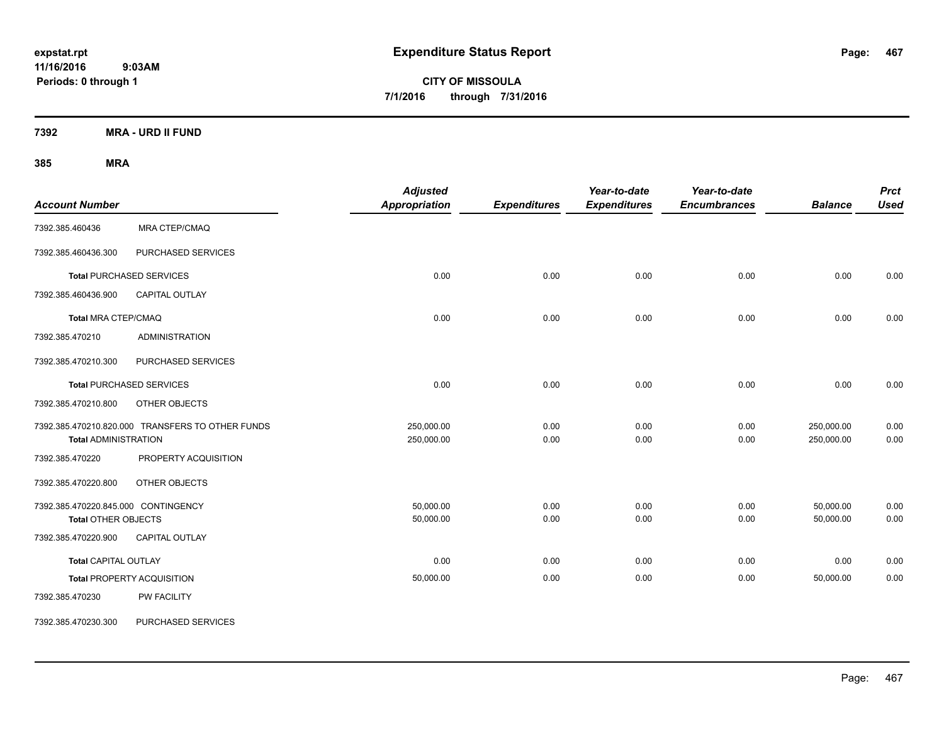**CITY OF MISSOULA 7/1/2016 through 7/31/2016**

**7392 MRA - URD II FUND**

| <b>Account Number</b>                                             |                                                  | <b>Adjusted</b><br>Appropriation | <b>Expenditures</b> | Year-to-date<br><b>Expenditures</b> | Year-to-date<br><b>Encumbrances</b> | <b>Balance</b>           | <b>Prct</b><br><b>Used</b> |
|-------------------------------------------------------------------|--------------------------------------------------|----------------------------------|---------------------|-------------------------------------|-------------------------------------|--------------------------|----------------------------|
| 7392.385.460436                                                   | <b>MRA CTEP/CMAQ</b>                             |                                  |                     |                                     |                                     |                          |                            |
| 7392.385.460436.300                                               | PURCHASED SERVICES                               |                                  |                     |                                     |                                     |                          |                            |
|                                                                   | <b>Total PURCHASED SERVICES</b>                  | 0.00                             | 0.00                | 0.00                                | 0.00                                | 0.00                     | 0.00                       |
| 7392.385.460436.900                                               | <b>CAPITAL OUTLAY</b>                            |                                  |                     |                                     |                                     |                          |                            |
| <b>Total MRA CTEP/CMAQ</b>                                        |                                                  | 0.00                             | 0.00                | 0.00                                | 0.00                                | 0.00                     | 0.00                       |
| 7392.385.470210                                                   | <b>ADMINISTRATION</b>                            |                                  |                     |                                     |                                     |                          |                            |
| 7392.385.470210.300                                               | PURCHASED SERVICES                               |                                  |                     |                                     |                                     |                          |                            |
|                                                                   | <b>Total PURCHASED SERVICES</b>                  | 0.00                             | 0.00                | 0.00                                | 0.00                                | 0.00                     | 0.00                       |
| 7392.385.470210.800                                               | OTHER OBJECTS                                    |                                  |                     |                                     |                                     |                          |                            |
| <b>Total ADMINISTRATION</b>                                       | 7392.385.470210.820.000 TRANSFERS TO OTHER FUNDS | 250,000.00<br>250,000.00         | 0.00<br>0.00        | 0.00<br>0.00                        | 0.00<br>0.00                        | 250,000.00<br>250,000.00 | 0.00<br>0.00               |
| 7392.385.470220                                                   | PROPERTY ACQUISITION                             |                                  |                     |                                     |                                     |                          |                            |
| 7392.385.470220.800                                               | OTHER OBJECTS                                    |                                  |                     |                                     |                                     |                          |                            |
| 7392.385.470220.845.000 CONTINGENCY<br><b>Total OTHER OBJECTS</b> |                                                  | 50,000.00<br>50,000.00           | 0.00<br>0.00        | 0.00<br>0.00                        | 0.00<br>0.00                        | 50,000.00<br>50,000.00   | 0.00<br>0.00               |
| 7392.385.470220.900                                               | <b>CAPITAL OUTLAY</b>                            |                                  |                     |                                     |                                     |                          |                            |
| <b>Total CAPITAL OUTLAY</b>                                       |                                                  | 0.00                             | 0.00                | 0.00                                | 0.00                                | 0.00                     | 0.00                       |
|                                                                   | <b>Total PROPERTY ACQUISITION</b>                | 50,000.00                        | 0.00                | 0.00                                | 0.00                                | 50,000.00                | 0.00                       |
| 7392.385.470230                                                   | PW FACILITY                                      |                                  |                     |                                     |                                     |                          |                            |
| 7392.385.470230.300                                               | PURCHASED SERVICES                               |                                  |                     |                                     |                                     |                          |                            |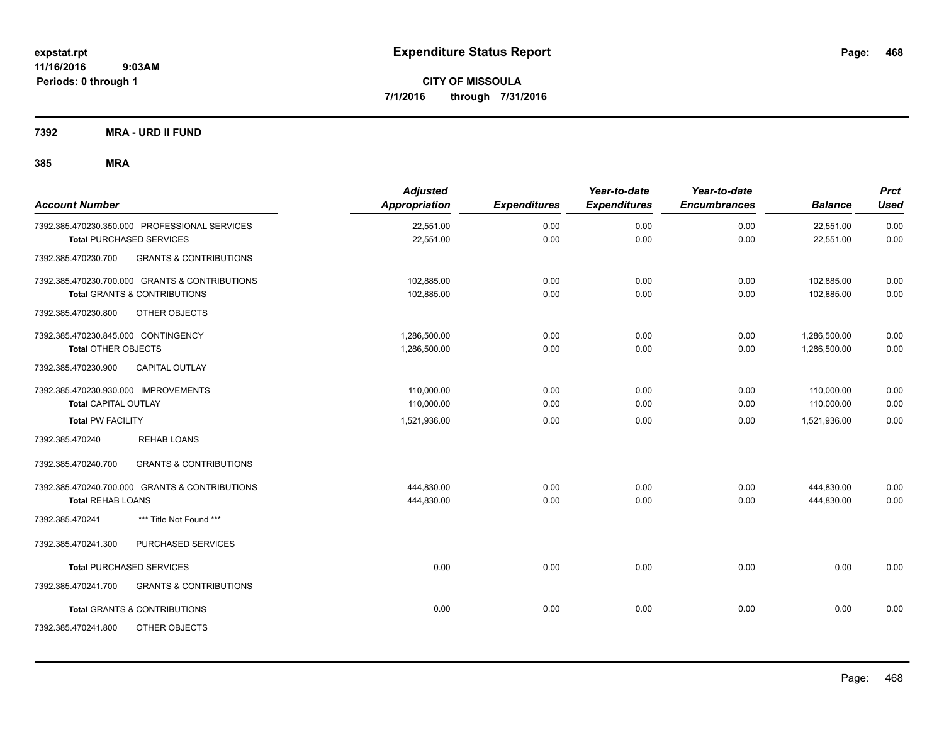**Periods: 0 through 1**

**CITY OF MISSOULA 7/1/2016 through 7/31/2016**

**7392 MRA - URD II FUND**

| <b>Account Number</b>                          |                                                | <b>Adjusted</b><br>Appropriation | <b>Expenditures</b> | Year-to-date<br><b>Expenditures</b> | Year-to-date<br><b>Encumbrances</b> | <b>Balance</b> | <b>Prct</b><br><b>Used</b> |
|------------------------------------------------|------------------------------------------------|----------------------------------|---------------------|-------------------------------------|-------------------------------------|----------------|----------------------------|
| 7392.385.470230.350.000 PROFESSIONAL SERVICES  |                                                | 22,551.00                        | 0.00                | 0.00                                | 0.00                                | 22,551.00      | 0.00                       |
| <b>Total PURCHASED SERVICES</b>                |                                                | 22,551.00                        | 0.00                | 0.00                                | 0.00                                | 22,551.00      | 0.00                       |
| 7392.385.470230.700                            | <b>GRANTS &amp; CONTRIBUTIONS</b>              |                                  |                     |                                     |                                     |                |                            |
| 7392.385.470230.700.000 GRANTS & CONTRIBUTIONS |                                                | 102,885.00                       | 0.00                | 0.00                                | 0.00                                | 102,885.00     | 0.00                       |
| <b>Total GRANTS &amp; CONTRIBUTIONS</b>        |                                                | 102,885.00                       | 0.00                | 0.00                                | 0.00                                | 102,885.00     | 0.00                       |
| 7392.385.470230.800                            | OTHER OBJECTS                                  |                                  |                     |                                     |                                     |                |                            |
| 7392.385.470230.845.000 CONTINGENCY            |                                                | 1,286,500.00                     | 0.00                | 0.00                                | 0.00                                | 1,286,500.00   | 0.00                       |
| <b>Total OTHER OBJECTS</b>                     |                                                | 1,286,500.00                     | 0.00                | 0.00                                | 0.00                                | 1,286,500.00   | 0.00                       |
| 7392.385.470230.900                            | <b>CAPITAL OUTLAY</b>                          |                                  |                     |                                     |                                     |                |                            |
| 7392.385.470230.930.000 IMPROVEMENTS           |                                                | 110,000.00                       | 0.00                | 0.00                                | 0.00                                | 110,000.00     | 0.00                       |
| <b>Total CAPITAL OUTLAY</b>                    |                                                | 110,000.00                       | 0.00                | 0.00                                | 0.00                                | 110,000.00     | 0.00                       |
| <b>Total PW FACILITY</b>                       |                                                | 1,521,936.00                     | 0.00                | 0.00                                | 0.00                                | 1,521,936.00   | 0.00                       |
| 7392.385.470240                                | <b>REHAB LOANS</b>                             |                                  |                     |                                     |                                     |                |                            |
| 7392.385.470240.700                            | <b>GRANTS &amp; CONTRIBUTIONS</b>              |                                  |                     |                                     |                                     |                |                            |
|                                                | 7392.385.470240.700.000 GRANTS & CONTRIBUTIONS | 444,830.00                       | 0.00                | 0.00                                | 0.00                                | 444,830.00     | 0.00                       |
| <b>Total REHAB LOANS</b>                       |                                                | 444,830.00                       | 0.00                | 0.00                                | 0.00                                | 444,830.00     | 0.00                       |
| 7392.385.470241                                | *** Title Not Found ***                        |                                  |                     |                                     |                                     |                |                            |
| 7392.385.470241.300                            | PURCHASED SERVICES                             |                                  |                     |                                     |                                     |                |                            |
| <b>Total PURCHASED SERVICES</b>                |                                                | 0.00                             | 0.00                | 0.00                                | 0.00                                | 0.00           | 0.00                       |
| 7392.385.470241.700                            | <b>GRANTS &amp; CONTRIBUTIONS</b>              |                                  |                     |                                     |                                     |                |                            |
| <b>Total GRANTS &amp; CONTRIBUTIONS</b>        |                                                | 0.00                             | 0.00                | 0.00                                | 0.00                                | 0.00           | 0.00                       |
| 7392.385.470241.800                            | OTHER OBJECTS                                  |                                  |                     |                                     |                                     |                |                            |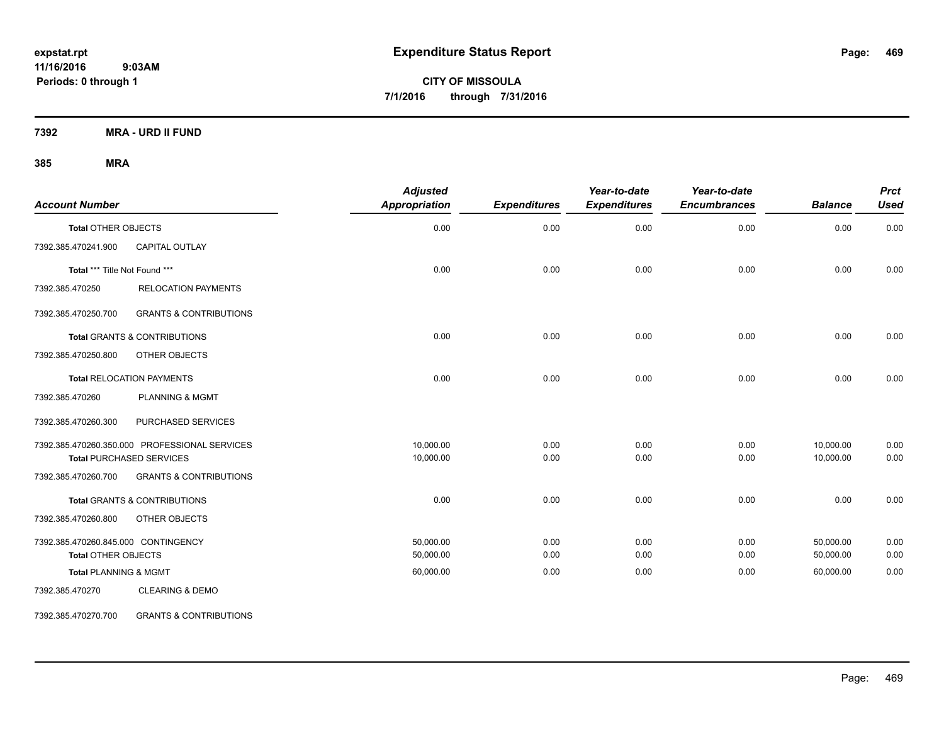**CITY OF MISSOULA 7/1/2016 through 7/31/2016**

**7392 MRA - URD II FUND**

**385 MRA**

| <b>Account Number</b>               |                                               | <b>Adjusted</b><br>Appropriation | <b>Expenditures</b> | Year-to-date<br><b>Expenditures</b> | Year-to-date<br><b>Encumbrances</b> | <b>Balance</b> | <b>Prct</b><br><b>Used</b> |
|-------------------------------------|-----------------------------------------------|----------------------------------|---------------------|-------------------------------------|-------------------------------------|----------------|----------------------------|
| <b>Total OTHER OBJECTS</b>          |                                               | 0.00                             | 0.00                | 0.00                                | 0.00                                | 0.00           | 0.00                       |
| 7392.385.470241.900                 | CAPITAL OUTLAY                                |                                  |                     |                                     |                                     |                |                            |
| Total *** Title Not Found ***       |                                               | 0.00                             | 0.00                | 0.00                                | 0.00                                | 0.00           | 0.00                       |
| 7392.385.470250                     | <b>RELOCATION PAYMENTS</b>                    |                                  |                     |                                     |                                     |                |                            |
| 7392.385.470250.700                 | <b>GRANTS &amp; CONTRIBUTIONS</b>             |                                  |                     |                                     |                                     |                |                            |
|                                     | <b>Total GRANTS &amp; CONTRIBUTIONS</b>       | 0.00                             | 0.00                | 0.00                                | 0.00                                | 0.00           | 0.00                       |
| 7392.385.470250.800                 | OTHER OBJECTS                                 |                                  |                     |                                     |                                     |                |                            |
|                                     | <b>Total RELOCATION PAYMENTS</b>              | 0.00                             | 0.00                | 0.00                                | 0.00                                | 0.00           | 0.00                       |
| 7392.385.470260                     | <b>PLANNING &amp; MGMT</b>                    |                                  |                     |                                     |                                     |                |                            |
| 7392.385.470260.300                 | <b>PURCHASED SERVICES</b>                     |                                  |                     |                                     |                                     |                |                            |
|                                     | 7392.385.470260.350.000 PROFESSIONAL SERVICES | 10,000.00                        | 0.00                | 0.00                                | 0.00                                | 10,000.00      | 0.00                       |
|                                     | <b>Total PURCHASED SERVICES</b>               | 10,000.00                        | 0.00                | 0.00                                | 0.00                                | 10,000.00      | 0.00                       |
| 7392.385.470260.700                 | <b>GRANTS &amp; CONTRIBUTIONS</b>             |                                  |                     |                                     |                                     |                |                            |
|                                     | <b>Total GRANTS &amp; CONTRIBUTIONS</b>       | 0.00                             | 0.00                | 0.00                                | 0.00                                | 0.00           | 0.00                       |
| 7392.385.470260.800                 | OTHER OBJECTS                                 |                                  |                     |                                     |                                     |                |                            |
| 7392.385.470260.845.000 CONTINGENCY |                                               | 50,000.00                        | 0.00                | 0.00                                | 0.00                                | 50,000.00      | 0.00                       |
| <b>Total OTHER OBJECTS</b>          |                                               | 50,000.00                        | 0.00                | 0.00                                | 0.00                                | 50,000.00      | 0.00                       |
| <b>Total PLANNING &amp; MGMT</b>    |                                               | 60,000.00                        | 0.00                | 0.00                                | 0.00                                | 60,000.00      | 0.00                       |
| 7392.385.470270                     | <b>CLEARING &amp; DEMO</b>                    |                                  |                     |                                     |                                     |                |                            |

7392.385.470270.700 GRANTS & CONTRIBUTIONS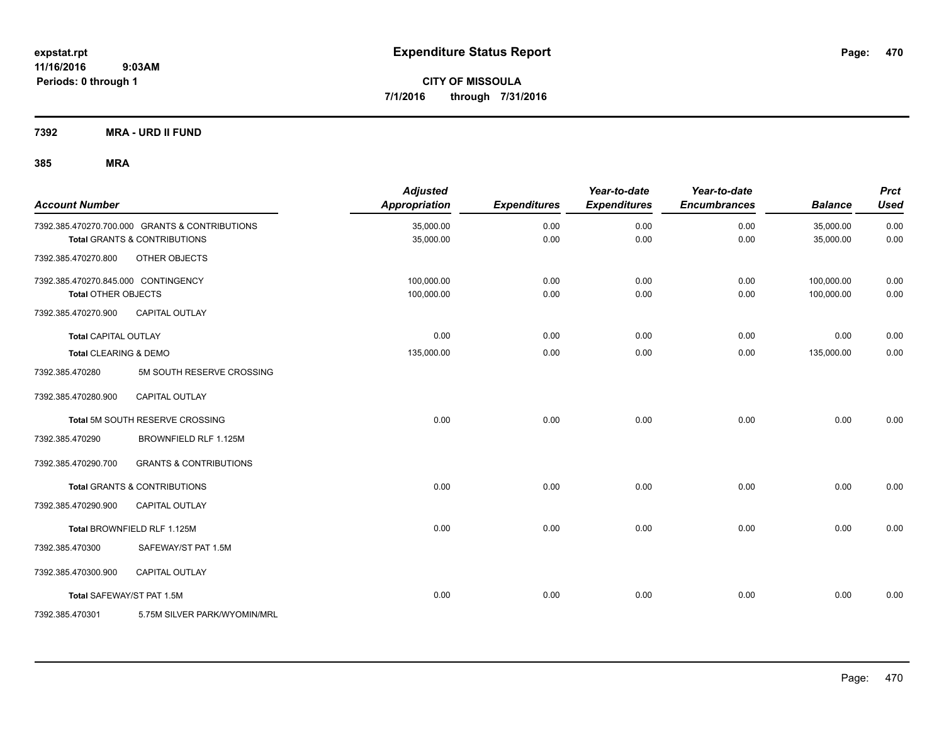**7392 MRA - URD II FUND**

| <b>Account Number</b>               |                                                | <b>Adjusted</b><br>Appropriation | <b>Expenditures</b> | Year-to-date<br><b>Expenditures</b> | Year-to-date<br><b>Encumbrances</b> | <b>Balance</b> | <b>Prct</b><br><b>Used</b> |
|-------------------------------------|------------------------------------------------|----------------------------------|---------------------|-------------------------------------|-------------------------------------|----------------|----------------------------|
|                                     | 7392.385.470270.700.000 GRANTS & CONTRIBUTIONS | 35,000.00                        | 0.00                | 0.00                                | 0.00                                | 35,000.00      | 0.00                       |
|                                     | <b>Total GRANTS &amp; CONTRIBUTIONS</b>        | 35,000.00                        | 0.00                | 0.00                                | 0.00                                | 35,000.00      | 0.00                       |
| 7392.385.470270.800                 | OTHER OBJECTS                                  |                                  |                     |                                     |                                     |                |                            |
| 7392.385.470270.845.000 CONTINGENCY |                                                | 100,000.00                       | 0.00                | 0.00                                | 0.00                                | 100,000.00     | 0.00                       |
| <b>Total OTHER OBJECTS</b>          |                                                | 100,000.00                       | 0.00                | 0.00                                | 0.00                                | 100,000.00     | 0.00                       |
| 7392.385.470270.900                 | <b>CAPITAL OUTLAY</b>                          |                                  |                     |                                     |                                     |                |                            |
| <b>Total CAPITAL OUTLAY</b>         |                                                | 0.00                             | 0.00                | 0.00                                | 0.00                                | 0.00           | 0.00                       |
| Total CLEARING & DEMO               |                                                | 135,000.00                       | 0.00                | 0.00                                | 0.00                                | 135,000.00     | 0.00                       |
| 7392.385.470280                     | 5M SOUTH RESERVE CROSSING                      |                                  |                     |                                     |                                     |                |                            |
| 7392.385.470280.900                 | <b>CAPITAL OUTLAY</b>                          |                                  |                     |                                     |                                     |                |                            |
|                                     | Total 5M SOUTH RESERVE CROSSING                | 0.00                             | 0.00                | 0.00                                | 0.00                                | 0.00           | 0.00                       |
| 7392.385.470290                     | BROWNFIELD RLF 1.125M                          |                                  |                     |                                     |                                     |                |                            |
| 7392.385.470290.700                 | <b>GRANTS &amp; CONTRIBUTIONS</b>              |                                  |                     |                                     |                                     |                |                            |
|                                     | Total GRANTS & CONTRIBUTIONS                   | 0.00                             | 0.00                | 0.00                                | 0.00                                | 0.00           | 0.00                       |
| 7392.385.470290.900                 | <b>CAPITAL OUTLAY</b>                          |                                  |                     |                                     |                                     |                |                            |
|                                     | Total BROWNFIELD RLF 1.125M                    | 0.00                             | 0.00                | 0.00                                | 0.00                                | 0.00           | 0.00                       |
| 7392.385.470300                     | SAFEWAY/ST PAT 1.5M                            |                                  |                     |                                     |                                     |                |                            |
| 7392.385.470300.900                 | <b>CAPITAL OUTLAY</b>                          |                                  |                     |                                     |                                     |                |                            |
| Total SAFEWAY/ST PAT 1.5M           |                                                | 0.00                             | 0.00                | 0.00                                | 0.00                                | 0.00           | 0.00                       |
| 7392.385.470301                     | 5.75M SILVER PARK/WYOMIN/MRL                   |                                  |                     |                                     |                                     |                |                            |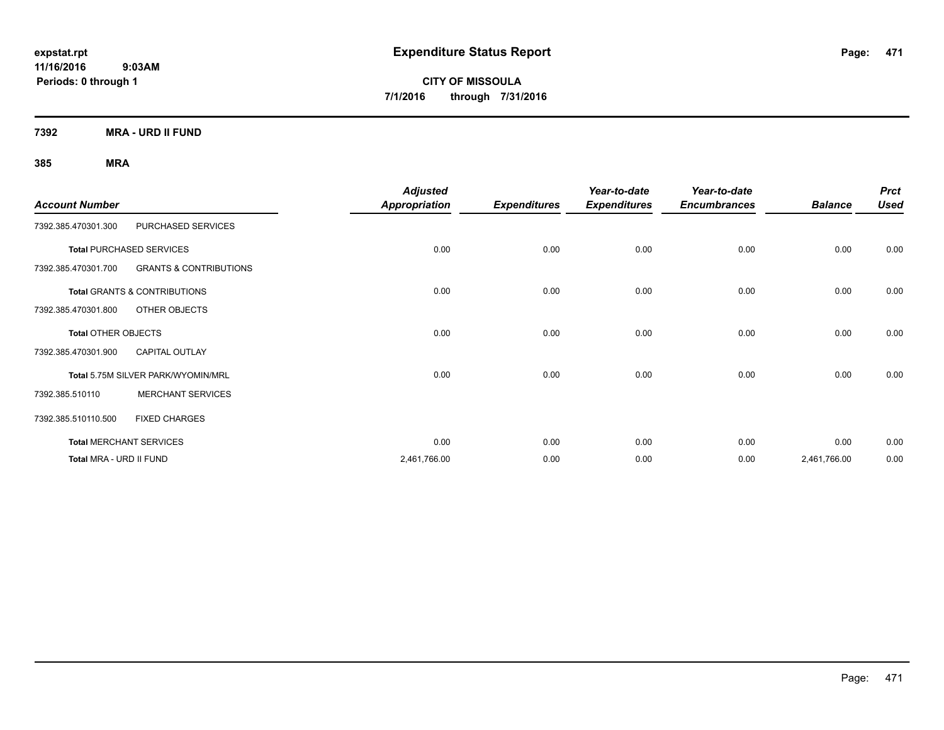**CITY OF MISSOULA 7/1/2016 through 7/31/2016**

**7392 MRA - URD II FUND**

|                         |                                    | <b>Adjusted</b>      |                     | Year-to-date        | Year-to-date        |                | <b>Prct</b> |
|-------------------------|------------------------------------|----------------------|---------------------|---------------------|---------------------|----------------|-------------|
| <b>Account Number</b>   |                                    | <b>Appropriation</b> | <b>Expenditures</b> | <b>Expenditures</b> | <b>Encumbrances</b> | <b>Balance</b> | <b>Used</b> |
| 7392.385.470301.300     | PURCHASED SERVICES                 |                      |                     |                     |                     |                |             |
|                         | <b>Total PURCHASED SERVICES</b>    | 0.00                 | 0.00                | 0.00                | 0.00                | 0.00           | 0.00        |
| 7392.385.470301.700     | <b>GRANTS &amp; CONTRIBUTIONS</b>  |                      |                     |                     |                     |                |             |
|                         | Total GRANTS & CONTRIBUTIONS       | 0.00                 | 0.00                | 0.00                | 0.00                | 0.00           | 0.00        |
| 7392.385.470301.800     | OTHER OBJECTS                      |                      |                     |                     |                     |                |             |
| Total OTHER OBJECTS     |                                    | 0.00                 | 0.00                | 0.00                | 0.00                | 0.00           | 0.00        |
| 7392.385.470301.900     | <b>CAPITAL OUTLAY</b>              |                      |                     |                     |                     |                |             |
|                         | Total 5.75M SILVER PARK/WYOMIN/MRL | 0.00                 | 0.00                | 0.00                | 0.00                | 0.00           | 0.00        |
| 7392.385.510110         | <b>MERCHANT SERVICES</b>           |                      |                     |                     |                     |                |             |
| 7392.385.510110.500     | <b>FIXED CHARGES</b>               |                      |                     |                     |                     |                |             |
|                         | <b>Total MERCHANT SERVICES</b>     | 0.00                 | 0.00                | 0.00                | 0.00                | 0.00           | 0.00        |
| Total MRA - URD II FUND |                                    | 2,461,766.00         | 0.00                | 0.00                | 0.00                | 2,461,766.00   | 0.00        |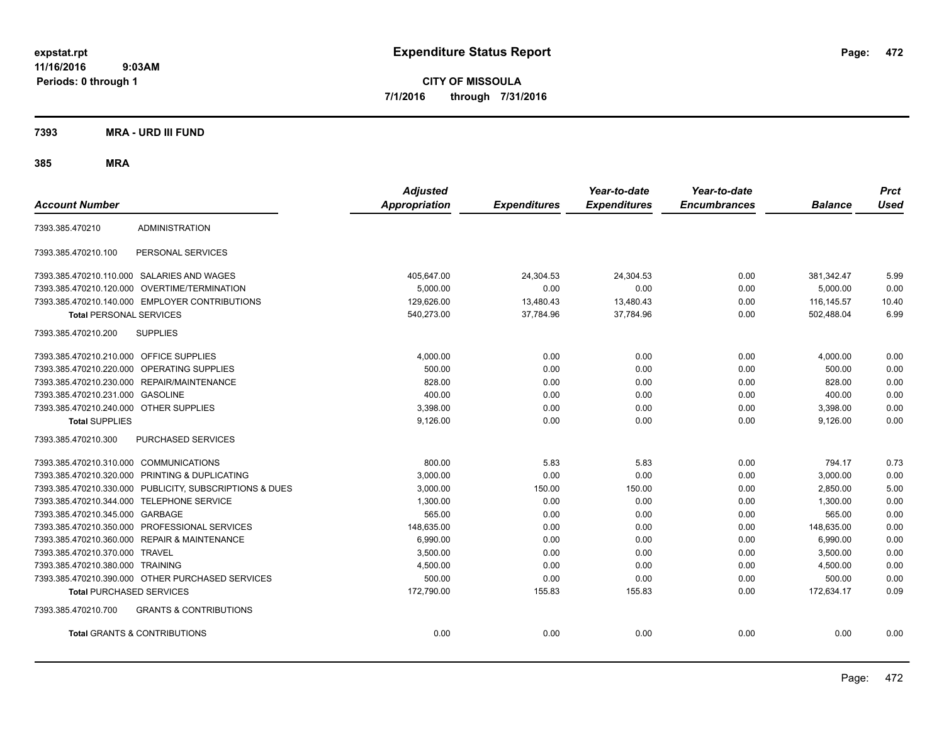**CITY OF MISSOULA 7/1/2016 through 7/31/2016**

**7393 MRA - URD III FUND**

| <b>Account Number</b>                   |                                                         | <b>Adjusted</b><br>Appropriation | <b>Expenditures</b> | Year-to-date<br><b>Expenditures</b> | Year-to-date<br><b>Encumbrances</b> | <b>Balance</b> | <b>Prct</b><br><b>Used</b> |
|-----------------------------------------|---------------------------------------------------------|----------------------------------|---------------------|-------------------------------------|-------------------------------------|----------------|----------------------------|
| 7393.385.470210                         | <b>ADMINISTRATION</b>                                   |                                  |                     |                                     |                                     |                |                            |
| 7393.385.470210.100                     | PERSONAL SERVICES                                       |                                  |                     |                                     |                                     |                |                            |
|                                         | 7393.385.470210.110.000 SALARIES AND WAGES              | 405,647.00                       | 24,304.53           | 24,304.53                           | 0.00                                | 381,342.47     | 5.99                       |
|                                         | 7393.385.470210.120.000 OVERTIME/TERMINATION            | 5,000.00                         | 0.00                | 0.00                                | 0.00                                | 5,000.00       | 0.00                       |
|                                         | 7393.385.470210.140.000 EMPLOYER CONTRIBUTIONS          | 129,626.00                       | 13,480.43           | 13,480.43                           | 0.00                                | 116, 145.57    | 10.40                      |
| <b>Total PERSONAL SERVICES</b>          |                                                         | 540,273.00                       | 37,784.96           | 37,784.96                           | 0.00                                | 502,488.04     | 6.99                       |
| 7393.385.470210.200                     | <b>SUPPLIES</b>                                         |                                  |                     |                                     |                                     |                |                            |
| 7393.385.470210.210.000 OFFICE SUPPLIES |                                                         | 4.000.00                         | 0.00                | 0.00                                | 0.00                                | 4,000.00       | 0.00                       |
|                                         | 7393.385.470210.220.000 OPERATING SUPPLIES              | 500.00                           | 0.00                | 0.00                                | 0.00                                | 500.00         | 0.00                       |
|                                         | 7393.385.470210.230.000 REPAIR/MAINTENANCE              | 828.00                           | 0.00                | 0.00                                | 0.00                                | 828.00         | 0.00                       |
| 7393.385.470210.231.000                 | <b>GASOLINE</b>                                         | 400.00                           | 0.00                | 0.00                                | 0.00                                | 400.00         | 0.00                       |
| 7393.385.470210.240.000 OTHER SUPPLIES  |                                                         | 3,398.00                         | 0.00                | 0.00                                | 0.00                                | 3,398.00       | 0.00                       |
| <b>Total SUPPLIES</b>                   |                                                         | 9,126.00                         | 0.00                | 0.00                                | 0.00                                | 9,126.00       | 0.00                       |
| 7393.385.470210.300                     | PURCHASED SERVICES                                      |                                  |                     |                                     |                                     |                |                            |
| 7393.385.470210.310.000 COMMUNICATIONS  |                                                         | 800.00                           | 5.83                | 5.83                                | 0.00                                | 794.17         | 0.73                       |
|                                         | 7393.385.470210.320.000 PRINTING & DUPLICATING          | 3,000.00                         | 0.00                | 0.00                                | 0.00                                | 3,000.00       | 0.00                       |
|                                         | 7393.385.470210.330.000 PUBLICITY, SUBSCRIPTIONS & DUES | 3,000.00                         | 150.00              | 150.00                              | 0.00                                | 2,850.00       | 5.00                       |
|                                         | 7393.385.470210.344.000 TELEPHONE SERVICE               | 1,300.00                         | 0.00                | 0.00                                | 0.00                                | 1,300.00       | 0.00                       |
| 7393.385.470210.345.000 GARBAGE         |                                                         | 565.00                           | 0.00                | 0.00                                | 0.00                                | 565.00         | 0.00                       |
|                                         | 7393.385.470210.350.000 PROFESSIONAL SERVICES           | 148,635.00                       | 0.00                | 0.00                                | 0.00                                | 148,635.00     | 0.00                       |
|                                         | 7393.385.470210.360.000 REPAIR & MAINTENANCE            | 6,990.00                         | 0.00                | 0.00                                | 0.00                                | 6,990.00       | 0.00                       |
| 7393.385.470210.370.000 TRAVEL          |                                                         | 3.500.00                         | 0.00                | 0.00                                | 0.00                                | 3.500.00       | 0.00                       |
| 7393.385.470210.380.000 TRAINING        |                                                         | 4,500.00                         | 0.00                | 0.00                                | 0.00                                | 4,500.00       | 0.00                       |
|                                         | 7393.385.470210.390.000 OTHER PURCHASED SERVICES        | 500.00                           | 0.00                | 0.00                                | 0.00                                | 500.00         | 0.00                       |
| <b>Total PURCHASED SERVICES</b>         |                                                         | 172,790.00                       | 155.83              | 155.83                              | 0.00                                | 172,634.17     | 0.09                       |
| 7393.385.470210.700                     | <b>GRANTS &amp; CONTRIBUTIONS</b>                       |                                  |                     |                                     |                                     |                |                            |
|                                         | <b>Total GRANTS &amp; CONTRIBUTIONS</b>                 | 0.00                             | 0.00                | 0.00                                | 0.00                                | 0.00           | 0.00                       |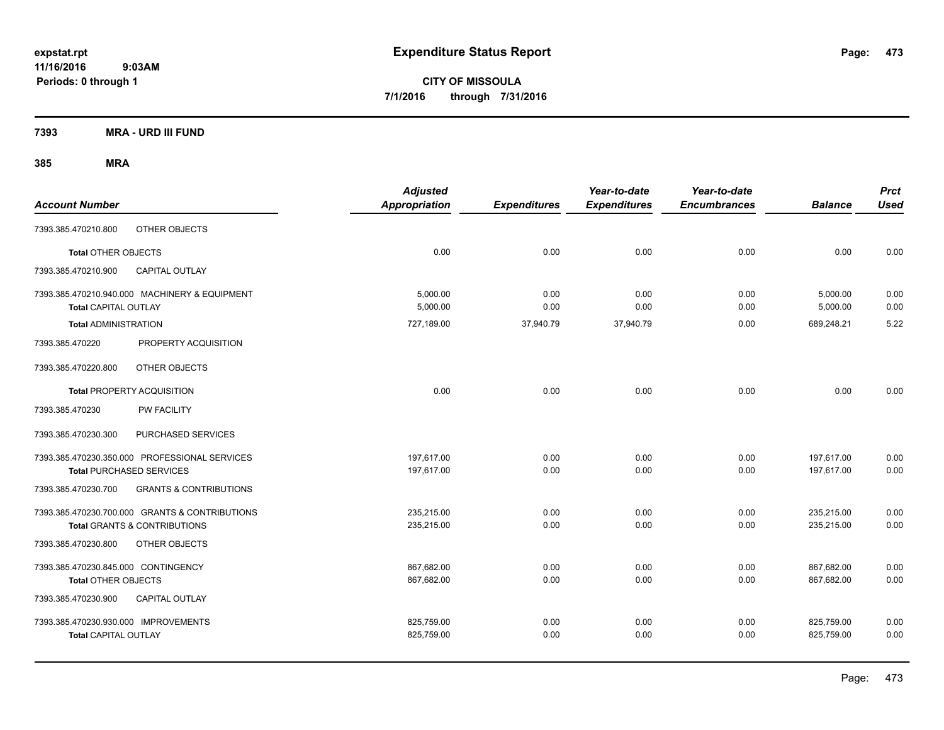**CITY OF MISSOULA 7/1/2016 through 7/31/2016**

**7393 MRA - URD III FUND**

| <b>Account Number</b>                |                                                | <b>Adjusted</b><br><b>Appropriation</b> | <b>Expenditures</b> | Year-to-date<br><b>Expenditures</b> | Year-to-date<br><b>Encumbrances</b> | <b>Balance</b> | <b>Prct</b><br><b>Used</b> |
|--------------------------------------|------------------------------------------------|-----------------------------------------|---------------------|-------------------------------------|-------------------------------------|----------------|----------------------------|
| 7393.385.470210.800                  | OTHER OBJECTS                                  |                                         |                     |                                     |                                     |                |                            |
| <b>Total OTHER OBJECTS</b>           |                                                | 0.00                                    | 0.00                | 0.00                                | 0.00                                | 0.00           | 0.00                       |
| 7393.385.470210.900                  | <b>CAPITAL OUTLAY</b>                          |                                         |                     |                                     |                                     |                |                            |
|                                      | 7393.385.470210.940.000 MACHINERY & EQUIPMENT  | 5,000.00                                | 0.00                | 0.00                                | 0.00                                | 5,000.00       | 0.00                       |
| <b>Total CAPITAL OUTLAY</b>          |                                                | 5,000.00                                | 0.00                | 0.00                                | 0.00                                | 5,000.00       | 0.00                       |
| <b>Total ADMINISTRATION</b>          |                                                | 727,189.00                              | 37,940.79           | 37,940.79                           | 0.00                                | 689,248.21     | 5.22                       |
| 7393.385.470220                      | PROPERTY ACQUISITION                           |                                         |                     |                                     |                                     |                |                            |
| 7393.385.470220.800                  | OTHER OBJECTS                                  |                                         |                     |                                     |                                     |                |                            |
|                                      | Total PROPERTY ACQUISITION                     | 0.00                                    | 0.00                | 0.00                                | 0.00                                | 0.00           | 0.00                       |
| 7393.385.470230                      | <b>PW FACILITY</b>                             |                                         |                     |                                     |                                     |                |                            |
| 7393.385.470230.300                  | PURCHASED SERVICES                             |                                         |                     |                                     |                                     |                |                            |
|                                      | 7393.385.470230.350.000 PROFESSIONAL SERVICES  | 197,617.00                              | 0.00                | 0.00                                | 0.00                                | 197,617.00     | 0.00                       |
|                                      | <b>Total PURCHASED SERVICES</b>                | 197,617.00                              | 0.00                | 0.00                                | 0.00                                | 197,617.00     | 0.00                       |
| 7393.385.470230.700                  | <b>GRANTS &amp; CONTRIBUTIONS</b>              |                                         |                     |                                     |                                     |                |                            |
|                                      | 7393.385.470230.700.000 GRANTS & CONTRIBUTIONS | 235,215.00                              | 0.00                | 0.00                                | 0.00                                | 235,215.00     | 0.00                       |
|                                      | <b>Total GRANTS &amp; CONTRIBUTIONS</b>        | 235,215.00                              | 0.00                | 0.00                                | 0.00                                | 235,215.00     | 0.00                       |
| 7393.385.470230.800                  | OTHER OBJECTS                                  |                                         |                     |                                     |                                     |                |                            |
| 7393.385.470230.845.000 CONTINGENCY  |                                                | 867,682.00                              | 0.00                | 0.00                                | 0.00                                | 867,682.00     | 0.00                       |
| <b>Total OTHER OBJECTS</b>           |                                                | 867,682.00                              | 0.00                | 0.00                                | 0.00                                | 867,682.00     | 0.00                       |
| 7393.385.470230.900                  | <b>CAPITAL OUTLAY</b>                          |                                         |                     |                                     |                                     |                |                            |
| 7393.385.470230.930.000 IMPROVEMENTS |                                                | 825,759.00                              | 0.00                | 0.00                                | 0.00                                | 825,759.00     | 0.00                       |
| <b>Total CAPITAL OUTLAY</b>          |                                                | 825,759.00                              | 0.00                | 0.00                                | 0.00                                | 825,759.00     | 0.00                       |
|                                      |                                                |                                         |                     |                                     |                                     |                |                            |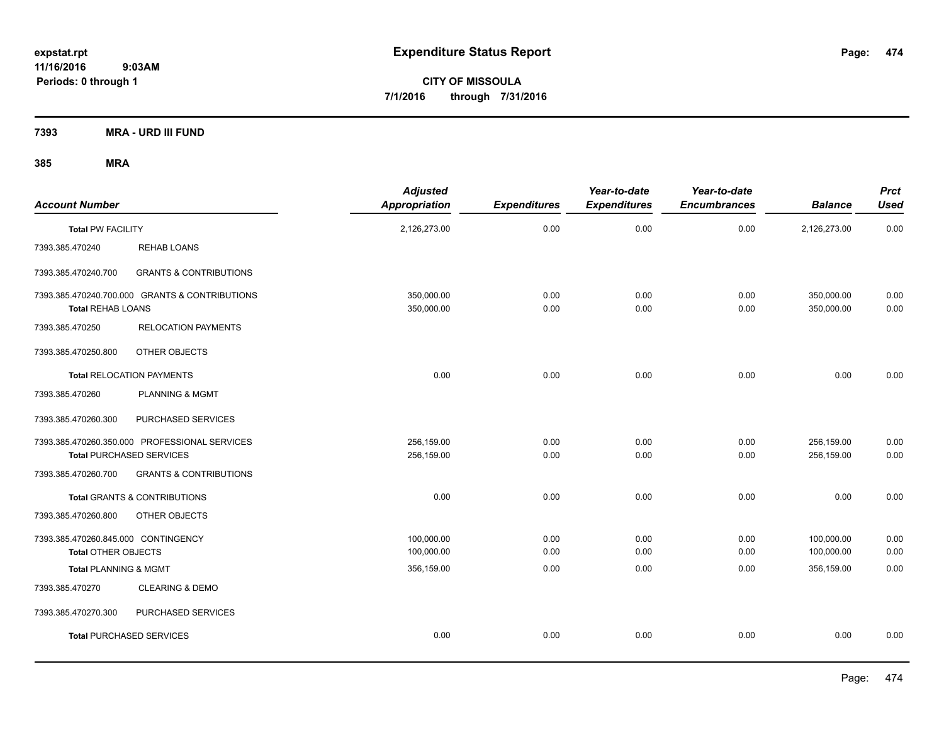**CITY OF MISSOULA 7/1/2016 through 7/31/2016**

**7393 MRA - URD III FUND**

| <b>Account Number</b>                                             |                                                                                  | <b>Adjusted</b><br><b>Appropriation</b> | <b>Expenditures</b> | Year-to-date<br><b>Expenditures</b> | Year-to-date<br><b>Encumbrances</b> | <b>Balance</b>           | <b>Prct</b><br><b>Used</b> |
|-------------------------------------------------------------------|----------------------------------------------------------------------------------|-----------------------------------------|---------------------|-------------------------------------|-------------------------------------|--------------------------|----------------------------|
| <b>Total PW FACILITY</b>                                          |                                                                                  | 2,126,273.00                            | 0.00                | 0.00                                | 0.00                                | 2,126,273.00             | 0.00                       |
| 7393.385.470240                                                   | REHAB LOANS                                                                      |                                         |                     |                                     |                                     |                          |                            |
| 7393.385.470240.700                                               | <b>GRANTS &amp; CONTRIBUTIONS</b>                                                |                                         |                     |                                     |                                     |                          |                            |
| <b>Total REHAB LOANS</b>                                          | 7393.385.470240.700.000 GRANTS & CONTRIBUTIONS                                   | 350,000.00<br>350,000.00                | 0.00<br>0.00        | 0.00<br>0.00                        | 0.00<br>0.00                        | 350,000.00<br>350,000.00 | 0.00<br>0.00               |
| 7393.385.470250                                                   | <b>RELOCATION PAYMENTS</b>                                                       |                                         |                     |                                     |                                     |                          |                            |
| 7393.385.470250.800                                               | OTHER OBJECTS                                                                    |                                         |                     |                                     |                                     |                          |                            |
|                                                                   | <b>Total RELOCATION PAYMENTS</b>                                                 | 0.00                                    | 0.00                | 0.00                                | 0.00                                | 0.00                     | 0.00                       |
| 7393.385.470260                                                   | PLANNING & MGMT                                                                  |                                         |                     |                                     |                                     |                          |                            |
| 7393.385.470260.300                                               | PURCHASED SERVICES                                                               |                                         |                     |                                     |                                     |                          |                            |
|                                                                   | 7393.385.470260.350.000 PROFESSIONAL SERVICES<br><b>Total PURCHASED SERVICES</b> | 256,159.00<br>256,159.00                | 0.00<br>0.00        | 0.00<br>0.00                        | 0.00<br>0.00                        | 256,159.00<br>256,159.00 | 0.00<br>0.00               |
| 7393.385.470260.700                                               | <b>GRANTS &amp; CONTRIBUTIONS</b>                                                |                                         |                     |                                     |                                     |                          |                            |
|                                                                   | Total GRANTS & CONTRIBUTIONS                                                     | 0.00                                    | 0.00                | 0.00                                | 0.00                                | 0.00                     | 0.00                       |
| 7393.385.470260.800                                               | OTHER OBJECTS                                                                    |                                         |                     |                                     |                                     |                          |                            |
| 7393.385.470260.845.000 CONTINGENCY<br><b>Total OTHER OBJECTS</b> |                                                                                  | 100,000.00<br>100,000.00                | 0.00<br>0.00        | 0.00<br>0.00                        | 0.00<br>0.00                        | 100,000.00<br>100,000.00 | 0.00<br>0.00               |
| <b>Total PLANNING &amp; MGMT</b>                                  |                                                                                  | 356,159.00                              | 0.00                | 0.00                                | 0.00                                | 356,159.00               | 0.00                       |
| 7393.385.470270                                                   | <b>CLEARING &amp; DEMO</b>                                                       |                                         |                     |                                     |                                     |                          |                            |
| 7393.385.470270.300                                               | PURCHASED SERVICES                                                               |                                         |                     |                                     |                                     |                          |                            |
|                                                                   | <b>Total PURCHASED SERVICES</b>                                                  | 0.00                                    | 0.00                | 0.00                                | 0.00                                | 0.00                     | 0.00                       |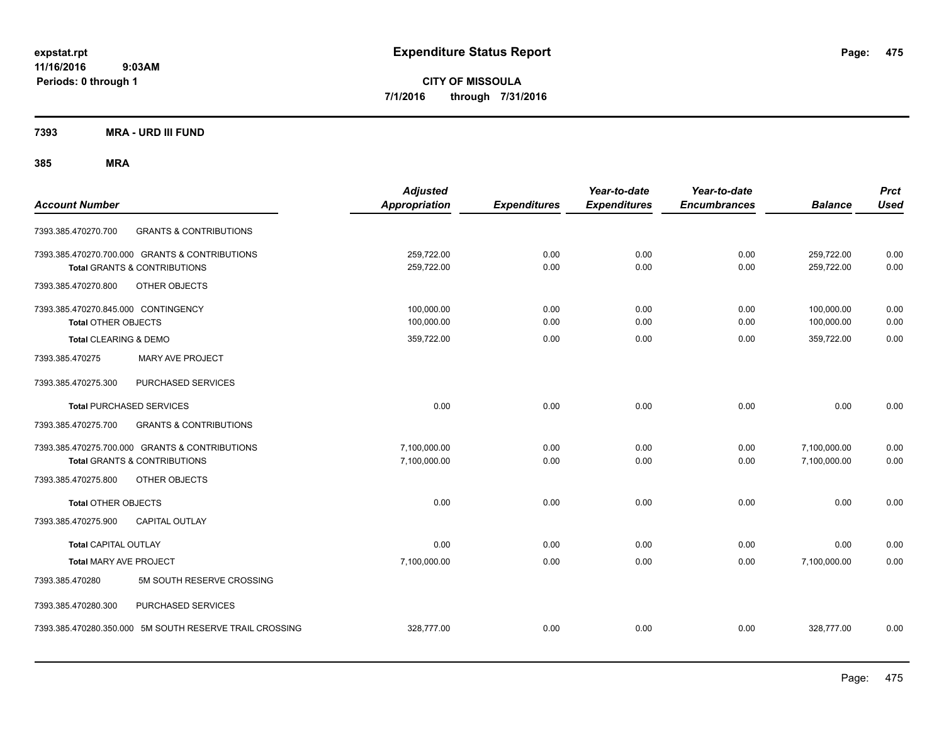**CITY OF MISSOULA 7/1/2016 through 7/31/2016**

**7393 MRA - URD III FUND**

| <b>Account Number</b>                                                                     | <b>Adjusted</b><br><b>Appropriation</b> | <b>Expenditures</b> | Year-to-date<br><b>Expenditures</b> | Year-to-date<br><b>Encumbrances</b> | <b>Balance</b>               | <b>Prct</b><br><b>Used</b> |
|-------------------------------------------------------------------------------------------|-----------------------------------------|---------------------|-------------------------------------|-------------------------------------|------------------------------|----------------------------|
| <b>GRANTS &amp; CONTRIBUTIONS</b><br>7393.385.470270.700                                  |                                         |                     |                                     |                                     |                              |                            |
| 7393.385.470270.700.000 GRANTS & CONTRIBUTIONS<br><b>Total GRANTS &amp; CONTRIBUTIONS</b> | 259,722.00<br>259,722.00                | 0.00<br>0.00        | 0.00<br>0.00                        | 0.00<br>0.00                        | 259,722.00<br>259,722.00     | 0.00<br>0.00               |
| 7393.385.470270.800<br>OTHER OBJECTS                                                      |                                         |                     |                                     |                                     |                              |                            |
| 7393.385.470270.845.000 CONTINGENCY<br><b>Total OTHER OBJECTS</b>                         | 100,000.00<br>100,000.00                | 0.00<br>0.00        | 0.00<br>0.00                        | 0.00<br>0.00                        | 100,000.00<br>100,000.00     | 0.00<br>0.00               |
| Total CLEARING & DEMO<br>MARY AVE PROJECT<br>7393.385.470275                              | 359,722.00                              | 0.00                | 0.00                                | 0.00                                | 359,722.00                   | 0.00                       |
| 7393.385.470275.300<br>PURCHASED SERVICES                                                 |                                         |                     |                                     |                                     |                              |                            |
| <b>Total PURCHASED SERVICES</b>                                                           | 0.00                                    | 0.00                | 0.00                                | 0.00                                | 0.00                         | 0.00                       |
| <b>GRANTS &amp; CONTRIBUTIONS</b><br>7393.385.470275.700                                  |                                         |                     |                                     |                                     |                              |                            |
| 7393.385.470275.700.000 GRANTS & CONTRIBUTIONS<br><b>Total GRANTS &amp; CONTRIBUTIONS</b> | 7,100,000.00<br>7,100,000.00            | 0.00<br>0.00        | 0.00<br>0.00                        | 0.00<br>0.00                        | 7,100,000.00<br>7,100,000.00 | 0.00<br>0.00               |
| 7393.385.470275.800<br>OTHER OBJECTS                                                      |                                         |                     |                                     |                                     |                              |                            |
| <b>Total OTHER OBJECTS</b>                                                                | 0.00                                    | 0.00                | 0.00                                | 0.00                                | 0.00                         | 0.00                       |
| 7393.385.470275.900<br><b>CAPITAL OUTLAY</b>                                              |                                         |                     |                                     |                                     |                              |                            |
| <b>Total CAPITAL OUTLAY</b>                                                               | 0.00                                    | 0.00                | 0.00                                | 0.00                                | 0.00                         | 0.00                       |
| <b>Total MARY AVE PROJECT</b>                                                             | 7,100,000.00                            | 0.00                | 0.00                                | 0.00                                | 7,100,000.00                 | 0.00                       |
| 5M SOUTH RESERVE CROSSING<br>7393.385.470280                                              |                                         |                     |                                     |                                     |                              |                            |
| 7393.385.470280.300<br>PURCHASED SERVICES                                                 |                                         |                     |                                     |                                     |                              |                            |
| 7393.385.470280.350.000 5M SOUTH RESERVE TRAIL CROSSING                                   | 328,777.00                              | 0.00                | 0.00                                | 0.00                                | 328,777.00                   | 0.00                       |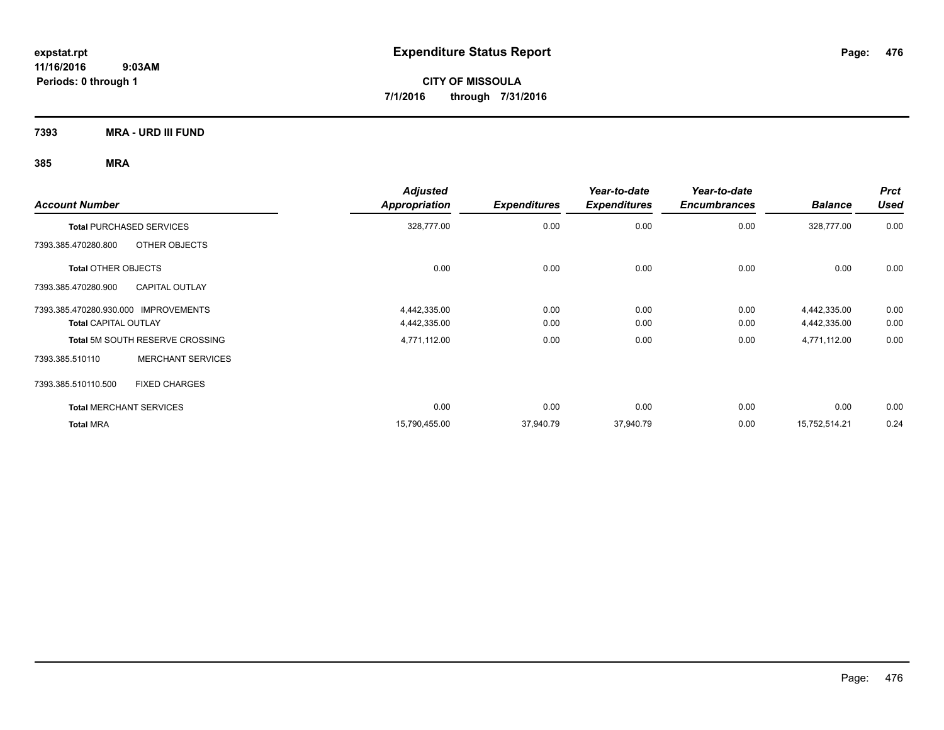**CITY OF MISSOULA 7/1/2016 through 7/31/2016**

**7393 MRA - URD III FUND**

| <b>Account Number</b>                        | <b>Adjusted</b><br><b>Appropriation</b> | <b>Expenditures</b> | Year-to-date<br><b>Expenditures</b> | Year-to-date<br><b>Encumbrances</b> | <b>Balance</b> | <b>Prct</b><br><b>Used</b> |
|----------------------------------------------|-----------------------------------------|---------------------|-------------------------------------|-------------------------------------|----------------|----------------------------|
| <b>Total PURCHASED SERVICES</b>              | 328,777.00                              | 0.00                | 0.00                                | 0.00                                | 328,777.00     | 0.00                       |
| OTHER OBJECTS<br>7393.385.470280.800         |                                         |                     |                                     |                                     |                |                            |
| <b>Total OTHER OBJECTS</b>                   | 0.00                                    | 0.00                | 0.00                                | 0.00                                | 0.00           | 0.00                       |
| 7393.385.470280.900<br><b>CAPITAL OUTLAY</b> |                                         |                     |                                     |                                     |                |                            |
| 7393.385.470280.930.000 IMPROVEMENTS         | 4,442,335.00                            | 0.00                | 0.00                                | 0.00                                | 4,442,335.00   | 0.00                       |
| <b>Total CAPITAL OUTLAY</b>                  | 4,442,335.00                            | 0.00                | 0.00                                | 0.00                                | 4,442,335.00   | 0.00                       |
| <b>Total 5M SOUTH RESERVE CROSSING</b>       | 4,771,112.00                            | 0.00                | 0.00                                | 0.00                                | 4,771,112.00   | 0.00                       |
| <b>MERCHANT SERVICES</b><br>7393.385.510110  |                                         |                     |                                     |                                     |                |                            |
| <b>FIXED CHARGES</b><br>7393.385.510110.500  |                                         |                     |                                     |                                     |                |                            |
| <b>Total MERCHANT SERVICES</b>               | 0.00                                    | 0.00                | 0.00                                | 0.00                                | 0.00           | 0.00                       |
| <b>Total MRA</b>                             | 15,790,455.00                           | 37,940.79           | 37,940.79                           | 0.00                                | 15,752,514.21  | 0.24                       |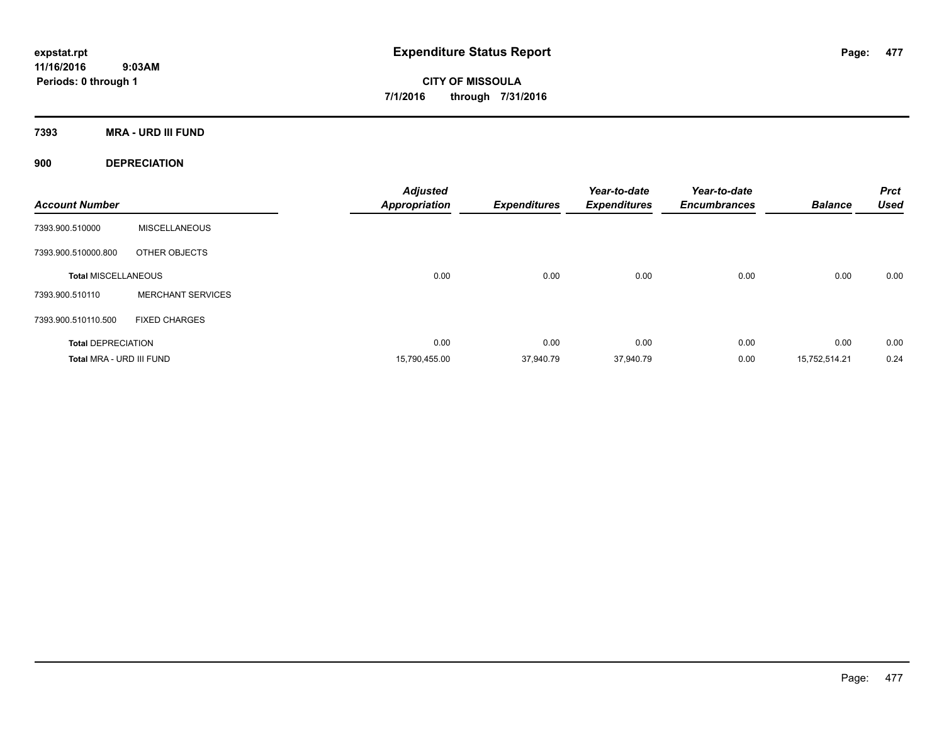**CITY OF MISSOULA 7/1/2016 through 7/31/2016**

**7393 MRA - URD III FUND**

**900 DEPRECIATION**

| <b>Account Number</b>      |                          | <b>Adjusted</b><br><b>Appropriation</b> | <b>Expenditures</b> | Year-to-date<br><b>Expenditures</b> | Year-to-date<br><b>Encumbrances</b> | <b>Balance</b> | <b>Prct</b><br><b>Used</b> |
|----------------------------|--------------------------|-----------------------------------------|---------------------|-------------------------------------|-------------------------------------|----------------|----------------------------|
| 7393.900.510000            | <b>MISCELLANEOUS</b>     |                                         |                     |                                     |                                     |                |                            |
| 7393.900.510000.800        | OTHER OBJECTS            |                                         |                     |                                     |                                     |                |                            |
| <b>Total MISCELLANEOUS</b> |                          | 0.00                                    | 0.00                | 0.00                                | 0.00                                | 0.00           | 0.00                       |
| 7393.900.510110            | <b>MERCHANT SERVICES</b> |                                         |                     |                                     |                                     |                |                            |
| 7393.900.510110.500        | <b>FIXED CHARGES</b>     |                                         |                     |                                     |                                     |                |                            |
| <b>Total DEPRECIATION</b>  |                          | 0.00                                    | 0.00                | 0.00                                | 0.00                                | 0.00           | 0.00                       |
| Total MRA - URD III FUND   |                          | 15,790,455.00                           | 37,940.79           | 37,940.79                           | 0.00                                | 15,752,514.21  | 0.24                       |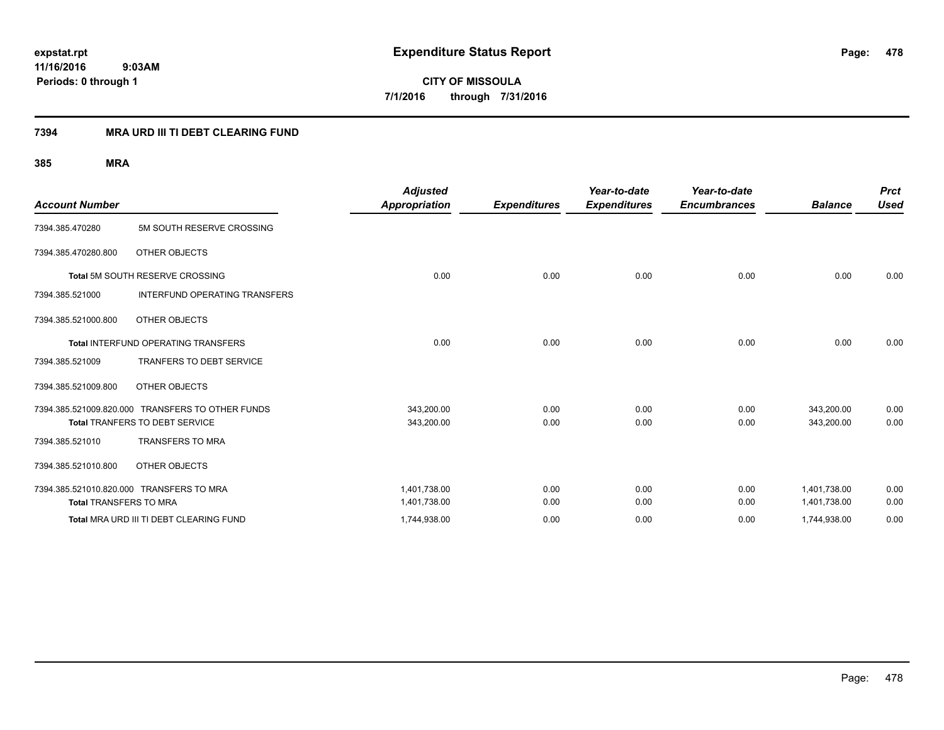**CITY OF MISSOULA 7/1/2016 through 7/31/2016**

#### **7394 MRA URD III TI DEBT CLEARING FUND**

|                               |                                                  | <b>Adjusted</b>      |                     | Year-to-date        | Year-to-date        |                | <b>Prct</b> |
|-------------------------------|--------------------------------------------------|----------------------|---------------------|---------------------|---------------------|----------------|-------------|
| <b>Account Number</b>         |                                                  | <b>Appropriation</b> | <b>Expenditures</b> | <b>Expenditures</b> | <b>Encumbrances</b> | <b>Balance</b> | <b>Used</b> |
| 7394.385.470280               | 5M SOUTH RESERVE CROSSING                        |                      |                     |                     |                     |                |             |
| 7394.385.470280.800           | OTHER OBJECTS                                    |                      |                     |                     |                     |                |             |
|                               | <b>Total 5M SOUTH RESERVE CROSSING</b>           | 0.00                 | 0.00                | 0.00                | 0.00                | 0.00           | 0.00        |
| 7394.385.521000               | <b>INTERFUND OPERATING TRANSFERS</b>             |                      |                     |                     |                     |                |             |
| 7394.385.521000.800           | OTHER OBJECTS                                    |                      |                     |                     |                     |                |             |
|                               | <b>Total INTERFUND OPERATING TRANSFERS</b>       | 0.00                 | 0.00                | 0.00                | 0.00                | 0.00           | 0.00        |
| 7394.385.521009               | <b>TRANFERS TO DEBT SERVICE</b>                  |                      |                     |                     |                     |                |             |
| 7394.385.521009.800           | OTHER OBJECTS                                    |                      |                     |                     |                     |                |             |
|                               | 7394.385.521009.820.000 TRANSFERS TO OTHER FUNDS | 343,200.00           | 0.00                | 0.00                | 0.00                | 343,200.00     | 0.00        |
|                               | Total TRANFERS TO DEBT SERVICE                   | 343,200.00           | 0.00                | 0.00                | 0.00                | 343,200.00     | 0.00        |
| 7394.385.521010               | <b>TRANSFERS TO MRA</b>                          |                      |                     |                     |                     |                |             |
| 7394.385.521010.800           | OTHER OBJECTS                                    |                      |                     |                     |                     |                |             |
|                               | 7394.385.521010.820.000 TRANSFERS TO MRA         | 1,401,738.00         | 0.00                | 0.00                | 0.00                | 1,401,738.00   | 0.00        |
| <b>Total TRANSFERS TO MRA</b> |                                                  | 1,401,738.00         | 0.00                | 0.00                | 0.00                | 1,401,738.00   | 0.00        |
|                               | Total MRA URD III TI DEBT CLEARING FUND          | 1,744,938.00         | 0.00                | 0.00                | 0.00                | 1,744,938.00   | 0.00        |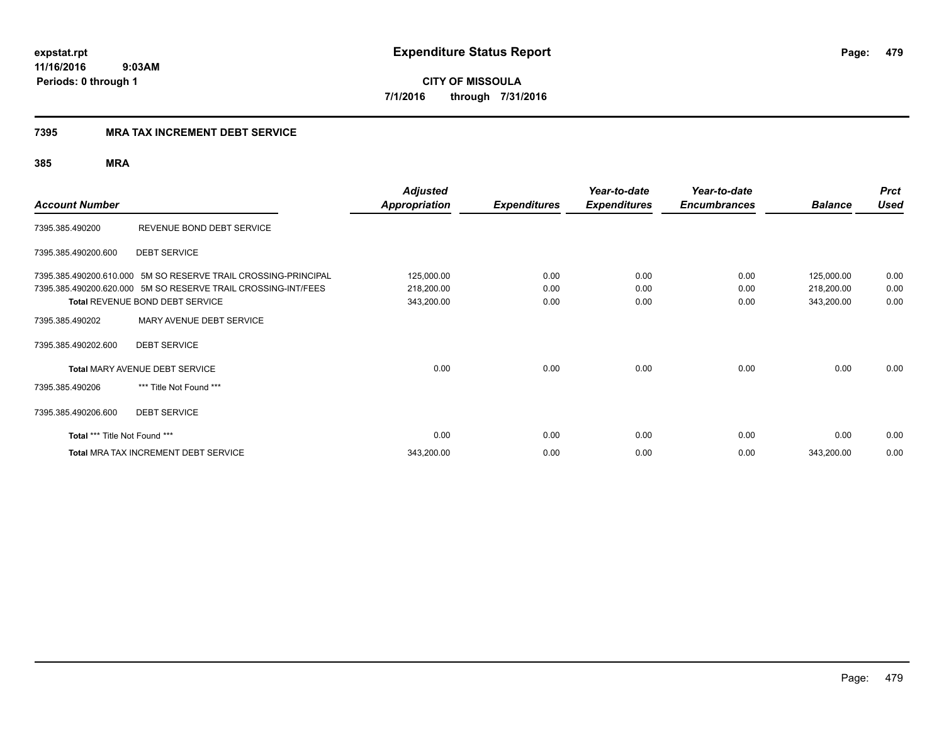**CITY OF MISSOULA 7/1/2016 through 7/31/2016**

#### **7395 MRA TAX INCREMENT DEBT SERVICE**

| <b>Account Number</b>         |                                                                | <b>Adjusted</b><br>Appropriation | <b>Expenditures</b> | Year-to-date<br><b>Expenditures</b> | Year-to-date<br><b>Encumbrances</b> | <b>Balance</b> | <b>Prct</b><br><b>Used</b> |
|-------------------------------|----------------------------------------------------------------|----------------------------------|---------------------|-------------------------------------|-------------------------------------|----------------|----------------------------|
| 7395.385.490200               | REVENUE BOND DEBT SERVICE                                      |                                  |                     |                                     |                                     |                |                            |
| 7395.385.490200.600           | <b>DEBT SERVICE</b>                                            |                                  |                     |                                     |                                     |                |                            |
|                               | 7395.385.490200.610.000 5M SO RESERVE TRAIL CROSSING-PRINCIPAL | 125,000.00                       | 0.00                | 0.00                                | 0.00                                | 125,000.00     | 0.00                       |
|                               | 7395.385.490200.620.000 5M SO RESERVE TRAIL CROSSING-INT/FEES  | 218,200.00                       | 0.00                | 0.00                                | 0.00                                | 218,200.00     | 0.00                       |
|                               | Total REVENUE BOND DEBT SERVICE                                | 343,200.00                       | 0.00                | 0.00                                | 0.00                                | 343,200.00     | 0.00                       |
| 7395.385.490202               | MARY AVENUE DEBT SERVICE                                       |                                  |                     |                                     |                                     |                |                            |
| 7395.385.490202.600           | <b>DEBT SERVICE</b>                                            |                                  |                     |                                     |                                     |                |                            |
|                               | <b>Total MARY AVENUE DEBT SERVICE</b>                          | 0.00                             | 0.00                | 0.00                                | 0.00                                | 0.00           | 0.00                       |
| 7395.385.490206               | *** Title Not Found ***                                        |                                  |                     |                                     |                                     |                |                            |
| 7395.385.490206.600           | <b>DEBT SERVICE</b>                                            |                                  |                     |                                     |                                     |                |                            |
| Total *** Title Not Found *** |                                                                | 0.00                             | 0.00                | 0.00                                | 0.00                                | 0.00           | 0.00                       |
|                               | <b>Total MRA TAX INCREMENT DEBT SERVICE</b>                    | 343,200.00                       | 0.00                | 0.00                                | 0.00                                | 343,200.00     | 0.00                       |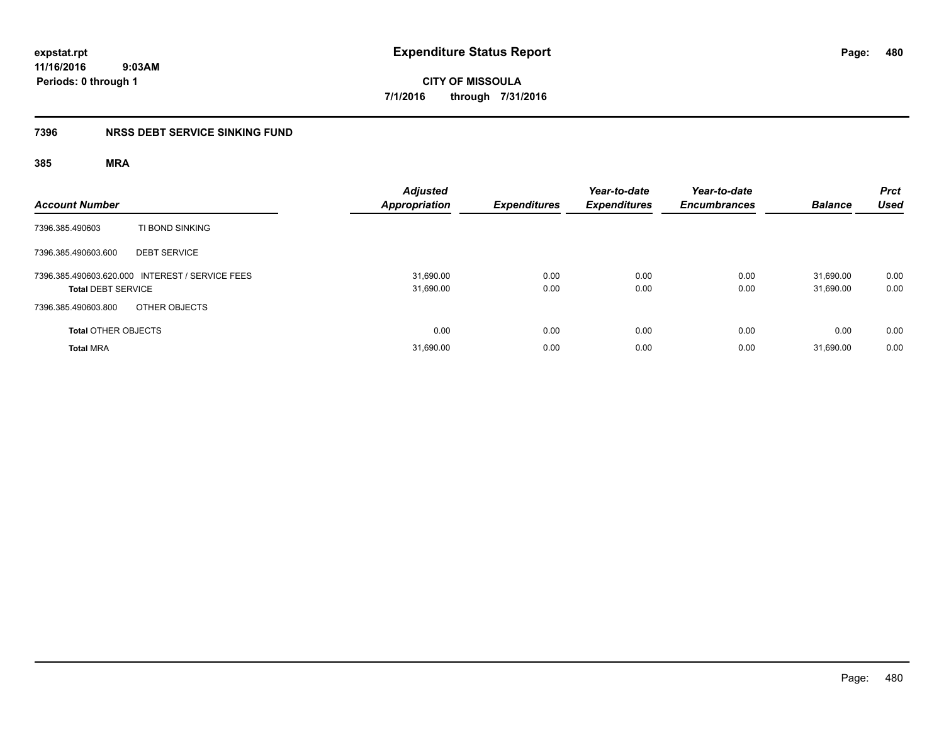**expstat.rpt Expenditure Status Report** 

**11/16/2016 9:03AM Periods: 0 through 1**

## **7396 NRSS DEBT SERVICE SINKING FUND**

| <b>Account Number</b>                                                        | <b>Adjusted</b><br><b>Appropriation</b> | <b>Expenditures</b> | Year-to-date<br><b>Expenditures</b> | Year-to-date<br><b>Encumbrances</b> | <b>Balance</b>         | <b>Prct</b><br><b>Used</b> |
|------------------------------------------------------------------------------|-----------------------------------------|---------------------|-------------------------------------|-------------------------------------|------------------------|----------------------------|
| TI BOND SINKING<br>7396.385.490603                                           |                                         |                     |                                     |                                     |                        |                            |
| <b>DEBT SERVICE</b><br>7396.385.490603.600                                   |                                         |                     |                                     |                                     |                        |                            |
| 7396.385.490603.620.000 INTEREST / SERVICE FEES<br><b>Total DEBT SERVICE</b> | 31,690.00<br>31,690.00                  | 0.00<br>0.00        | 0.00<br>0.00                        | 0.00<br>0.00                        | 31.690.00<br>31,690.00 | 0.00<br>0.00               |
| OTHER OBJECTS<br>7396.385.490603.800                                         |                                         |                     |                                     |                                     |                        |                            |
| <b>Total OTHER OBJECTS</b>                                                   | 0.00                                    | 0.00                | 0.00                                | 0.00                                | 0.00                   | 0.00                       |
| <b>Total MRA</b>                                                             | 31,690.00                               | 0.00                | 0.00                                | 0.00                                | 31.690.00              | 0.00                       |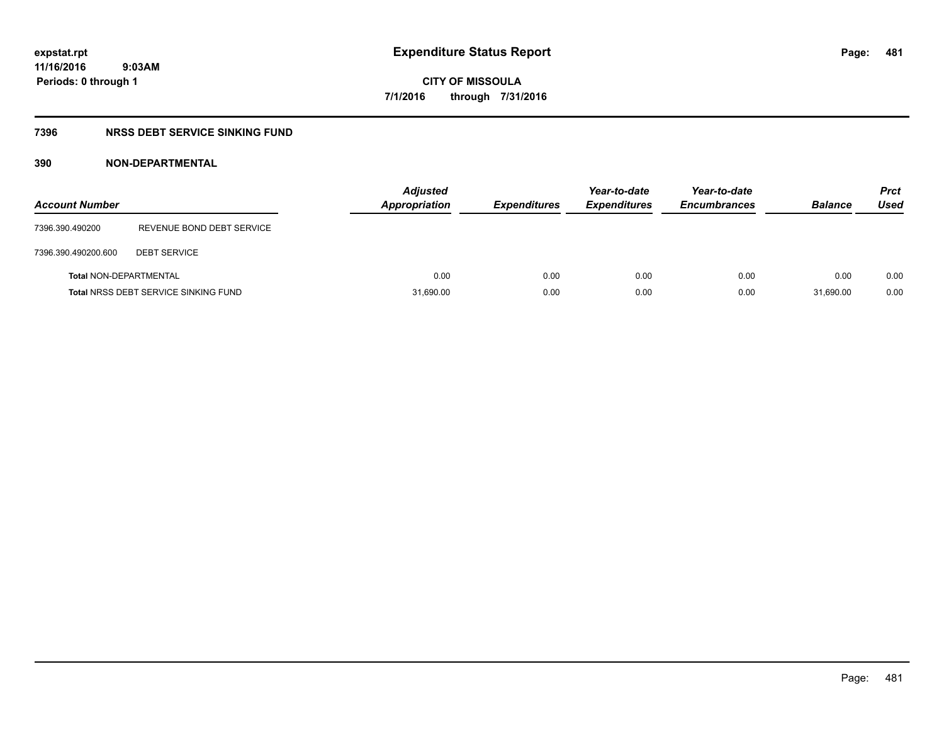### **7396 NRSS DEBT SERVICE SINKING FUND**

### **390 NON-DEPARTMENTAL**

| <b>Account Number</b>         |                                             | <b>Adjusted</b><br><b>Appropriation</b> | <b>Expenditures</b> | Year-to-date<br><b>Expenditures</b> | Year-to-date<br><b>Encumbrances</b> | <b>Balance</b> | <b>Prct</b><br>Used |
|-------------------------------|---------------------------------------------|-----------------------------------------|---------------------|-------------------------------------|-------------------------------------|----------------|---------------------|
| 7396.390.490200               | REVENUE BOND DEBT SERVICE                   |                                         |                     |                                     |                                     |                |                     |
| 7396.390.490200.600           | <b>DEBT SERVICE</b>                         |                                         |                     |                                     |                                     |                |                     |
| <b>Total NON-DEPARTMENTAL</b> |                                             | 0.00                                    | 0.00                | 0.00                                | 0.00                                | 0.00           | 0.00                |
|                               | <b>Total NRSS DEBT SERVICE SINKING FUND</b> | 31,690.00                               | 0.00                | 0.00                                | 0.00                                | 31.690.00      | 0.00                |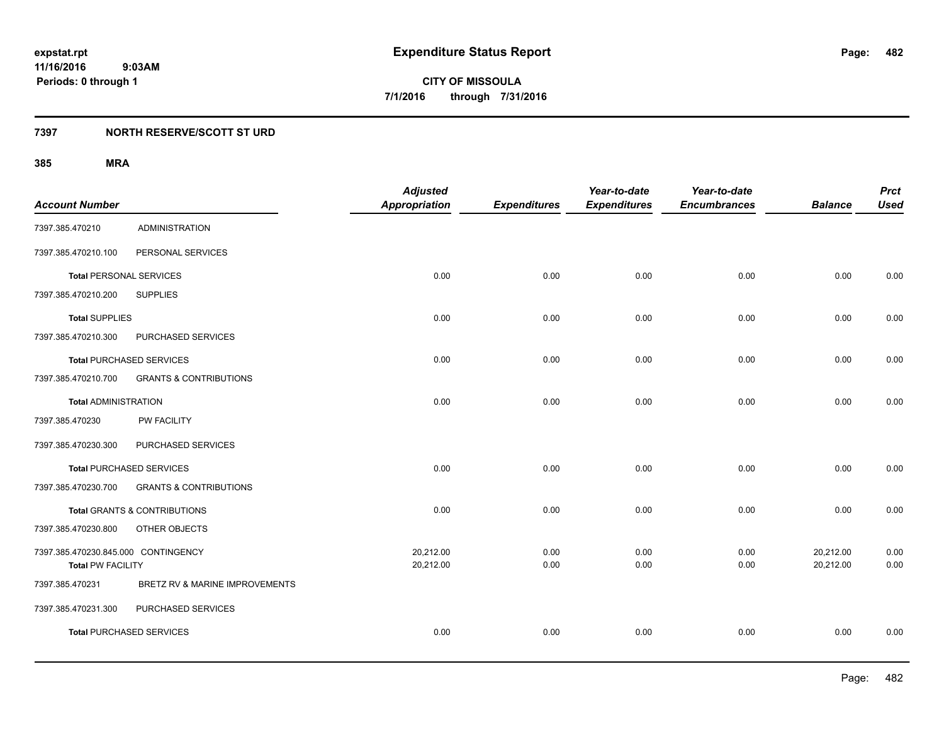**482**

**11/16/2016 9:03AM Periods: 0 through 1**

**CITY OF MISSOULA 7/1/2016 through 7/31/2016**

### **7397 NORTH RESERVE/SCOTT ST URD**

|                                     |                                         | <b>Adjusted</b>      |                     | Year-to-date        | Year-to-date        |                | <b>Prct</b> |
|-------------------------------------|-----------------------------------------|----------------------|---------------------|---------------------|---------------------|----------------|-------------|
| <b>Account Number</b>               |                                         | <b>Appropriation</b> | <b>Expenditures</b> | <b>Expenditures</b> | <b>Encumbrances</b> | <b>Balance</b> | <b>Used</b> |
| 7397.385.470210                     | <b>ADMINISTRATION</b>                   |                      |                     |                     |                     |                |             |
| 7397.385.470210.100                 | PERSONAL SERVICES                       |                      |                     |                     |                     |                |             |
| <b>Total PERSONAL SERVICES</b>      |                                         | 0.00                 | 0.00                | 0.00                | 0.00                | 0.00           | 0.00        |
| 7397.385.470210.200                 | <b>SUPPLIES</b>                         |                      |                     |                     |                     |                |             |
| <b>Total SUPPLIES</b>               |                                         | 0.00                 | 0.00                | 0.00                | 0.00                | 0.00           | 0.00        |
| 7397.385.470210.300                 | PURCHASED SERVICES                      |                      |                     |                     |                     |                |             |
| <b>Total PURCHASED SERVICES</b>     |                                         | 0.00                 | 0.00                | 0.00                | 0.00                | 0.00           | 0.00        |
| 7397.385.470210.700                 | <b>GRANTS &amp; CONTRIBUTIONS</b>       |                      |                     |                     |                     |                |             |
| <b>Total ADMINISTRATION</b>         |                                         | 0.00                 | 0.00                | 0.00                | 0.00                | 0.00           | 0.00        |
| 7397.385.470230                     | PW FACILITY                             |                      |                     |                     |                     |                |             |
| 7397.385.470230.300                 | PURCHASED SERVICES                      |                      |                     |                     |                     |                |             |
| <b>Total PURCHASED SERVICES</b>     |                                         | 0.00                 | 0.00                | 0.00                | 0.00                | 0.00           | 0.00        |
| 7397.385.470230.700                 | <b>GRANTS &amp; CONTRIBUTIONS</b>       |                      |                     |                     |                     |                |             |
|                                     | <b>Total GRANTS &amp; CONTRIBUTIONS</b> | 0.00                 | 0.00                | 0.00                | 0.00                | 0.00           | 0.00        |
| 7397.385.470230.800                 | OTHER OBJECTS                           |                      |                     |                     |                     |                |             |
| 7397.385.470230.845.000 CONTINGENCY |                                         | 20,212.00            | 0.00                | 0.00                | 0.00                | 20,212.00      | 0.00        |
| <b>Total PW FACILITY</b>            |                                         | 20,212.00            | 0.00                | 0.00                | 0.00                | 20,212.00      | 0.00        |
| 7397.385.470231                     | BRETZ RV & MARINE IMPROVEMENTS          |                      |                     |                     |                     |                |             |
| 7397.385.470231.300                 | PURCHASED SERVICES                      |                      |                     |                     |                     |                |             |
| <b>Total PURCHASED SERVICES</b>     |                                         | 0.00                 | 0.00                | 0.00                | 0.00                | 0.00           | 0.00        |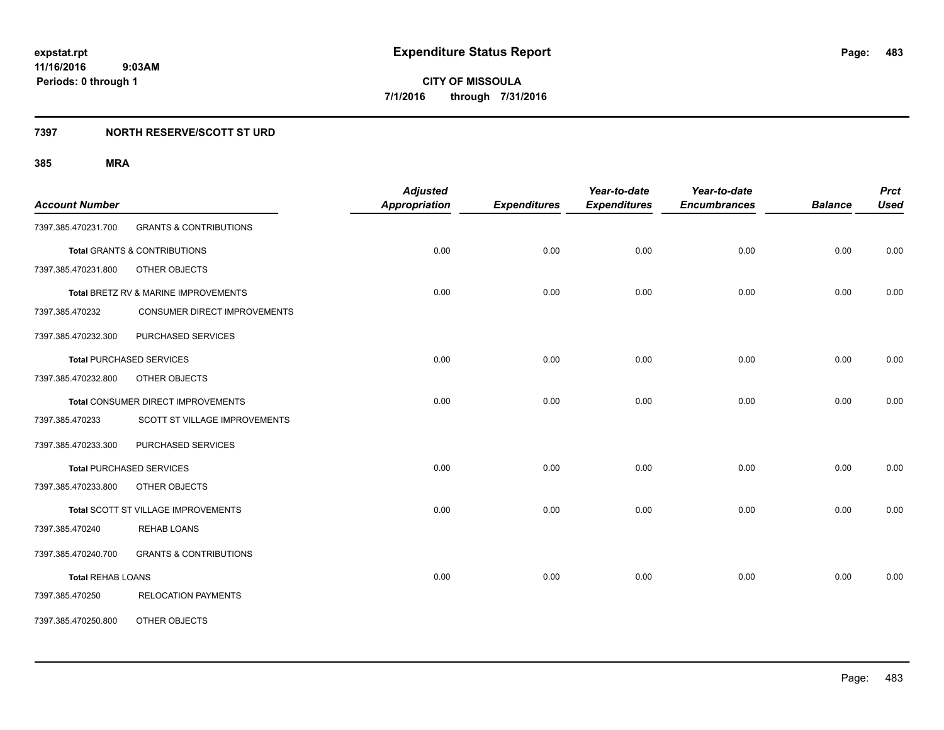### **7397 NORTH RESERVE/SCOTT ST URD**

| <b>Account Number</b>    |                                         | <b>Adjusted</b><br><b>Appropriation</b> | <b>Expenditures</b> | Year-to-date<br><b>Expenditures</b> | Year-to-date<br><b>Encumbrances</b> | <b>Balance</b> | <b>Prct</b><br><b>Used</b> |
|--------------------------|-----------------------------------------|-----------------------------------------|---------------------|-------------------------------------|-------------------------------------|----------------|----------------------------|
| 7397.385.470231.700      | <b>GRANTS &amp; CONTRIBUTIONS</b>       |                                         |                     |                                     |                                     |                |                            |
|                          | <b>Total GRANTS &amp; CONTRIBUTIONS</b> | 0.00                                    | 0.00                | 0.00                                | 0.00                                | 0.00           | 0.00                       |
| 7397.385.470231.800      | OTHER OBJECTS                           |                                         |                     |                                     |                                     |                |                            |
|                          | Total BRETZ RV & MARINE IMPROVEMENTS    | 0.00                                    | 0.00                | 0.00                                | 0.00                                | 0.00           | 0.00                       |
| 7397.385.470232          | CONSUMER DIRECT IMPROVEMENTS            |                                         |                     |                                     |                                     |                |                            |
| 7397.385.470232.300      | PURCHASED SERVICES                      |                                         |                     |                                     |                                     |                |                            |
|                          | <b>Total PURCHASED SERVICES</b>         | 0.00                                    | 0.00                | 0.00                                | 0.00                                | 0.00           | 0.00                       |
| 7397.385.470232.800      | OTHER OBJECTS                           |                                         |                     |                                     |                                     |                |                            |
|                          | Total CONSUMER DIRECT IMPROVEMENTS      | 0.00                                    | 0.00                | 0.00                                | 0.00                                | 0.00           | 0.00                       |
| 7397.385.470233          | SCOTT ST VILLAGE IMPROVEMENTS           |                                         |                     |                                     |                                     |                |                            |
| 7397.385.470233.300      | PURCHASED SERVICES                      |                                         |                     |                                     |                                     |                |                            |
|                          | <b>Total PURCHASED SERVICES</b>         | 0.00                                    | 0.00                | 0.00                                | 0.00                                | 0.00           | 0.00                       |
| 7397.385.470233.800      | OTHER OBJECTS                           |                                         |                     |                                     |                                     |                |                            |
|                          | Total SCOTT ST VILLAGE IMPROVEMENTS     | 0.00                                    | 0.00                | 0.00                                | 0.00                                | 0.00           | 0.00                       |
| 7397.385.470240          | REHAB LOANS                             |                                         |                     |                                     |                                     |                |                            |
| 7397.385.470240.700      | <b>GRANTS &amp; CONTRIBUTIONS</b>       |                                         |                     |                                     |                                     |                |                            |
| <b>Total REHAB LOANS</b> |                                         | 0.00                                    | 0.00                | 0.00                                | 0.00                                | 0.00           | 0.00                       |
| 7397.385.470250          | <b>RELOCATION PAYMENTS</b>              |                                         |                     |                                     |                                     |                |                            |
| 7397.385.470250.800      | OTHER OBJECTS                           |                                         |                     |                                     |                                     |                |                            |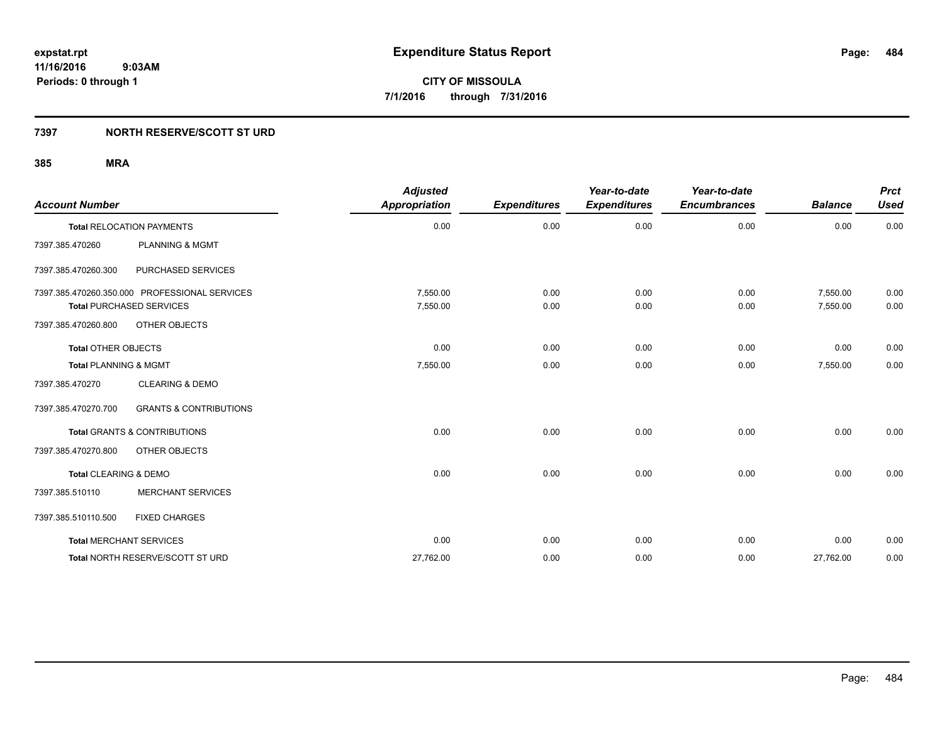### **7397 NORTH RESERVE/SCOTT ST URD**

| <b>Account Number</b>            |                                               | <b>Adjusted</b><br><b>Appropriation</b> | <b>Expenditures</b> | Year-to-date<br><b>Expenditures</b> | Year-to-date<br><b>Encumbrances</b> | <b>Balance</b> | <b>Prct</b><br><b>Used</b> |
|----------------------------------|-----------------------------------------------|-----------------------------------------|---------------------|-------------------------------------|-------------------------------------|----------------|----------------------------|
|                                  | <b>Total RELOCATION PAYMENTS</b>              | 0.00                                    | 0.00                | 0.00                                | 0.00                                | 0.00           | 0.00                       |
| 7397.385.470260                  | <b>PLANNING &amp; MGMT</b>                    |                                         |                     |                                     |                                     |                |                            |
| 7397.385.470260.300              | PURCHASED SERVICES                            |                                         |                     |                                     |                                     |                |                            |
|                                  | 7397.385.470260.350.000 PROFESSIONAL SERVICES | 7,550.00                                | 0.00                | 0.00                                | 0.00                                | 7,550.00       | 0.00                       |
|                                  | <b>Total PURCHASED SERVICES</b>               | 7,550.00                                | 0.00                | 0.00                                | 0.00                                | 7,550.00       | 0.00                       |
| 7397.385.470260.800              | OTHER OBJECTS                                 |                                         |                     |                                     |                                     |                |                            |
| <b>Total OTHER OBJECTS</b>       |                                               | 0.00                                    | 0.00                | 0.00                                | 0.00                                | 0.00           | 0.00                       |
| <b>Total PLANNING &amp; MGMT</b> |                                               | 7,550.00                                | 0.00                | 0.00                                | 0.00                                | 7,550.00       | 0.00                       |
| 7397.385.470270                  | <b>CLEARING &amp; DEMO</b>                    |                                         |                     |                                     |                                     |                |                            |
| 7397.385.470270.700              | <b>GRANTS &amp; CONTRIBUTIONS</b>             |                                         |                     |                                     |                                     |                |                            |
|                                  | <b>Total GRANTS &amp; CONTRIBUTIONS</b>       | 0.00                                    | 0.00                | 0.00                                | 0.00                                | 0.00           | 0.00                       |
| 7397.385.470270.800              | OTHER OBJECTS                                 |                                         |                     |                                     |                                     |                |                            |
| Total CLEARING & DEMO            |                                               | 0.00                                    | 0.00                | 0.00                                | 0.00                                | 0.00           | 0.00                       |
| 7397.385.510110                  | <b>MERCHANT SERVICES</b>                      |                                         |                     |                                     |                                     |                |                            |
| 7397.385.510110.500              | <b>FIXED CHARGES</b>                          |                                         |                     |                                     |                                     |                |                            |
|                                  | <b>Total MERCHANT SERVICES</b>                | 0.00                                    | 0.00                | 0.00                                | 0.00                                | 0.00           | 0.00                       |
|                                  | Total NORTH RESERVE/SCOTT ST URD              | 27,762.00                               | 0.00                | 0.00                                | 0.00                                | 27,762.00      | 0.00                       |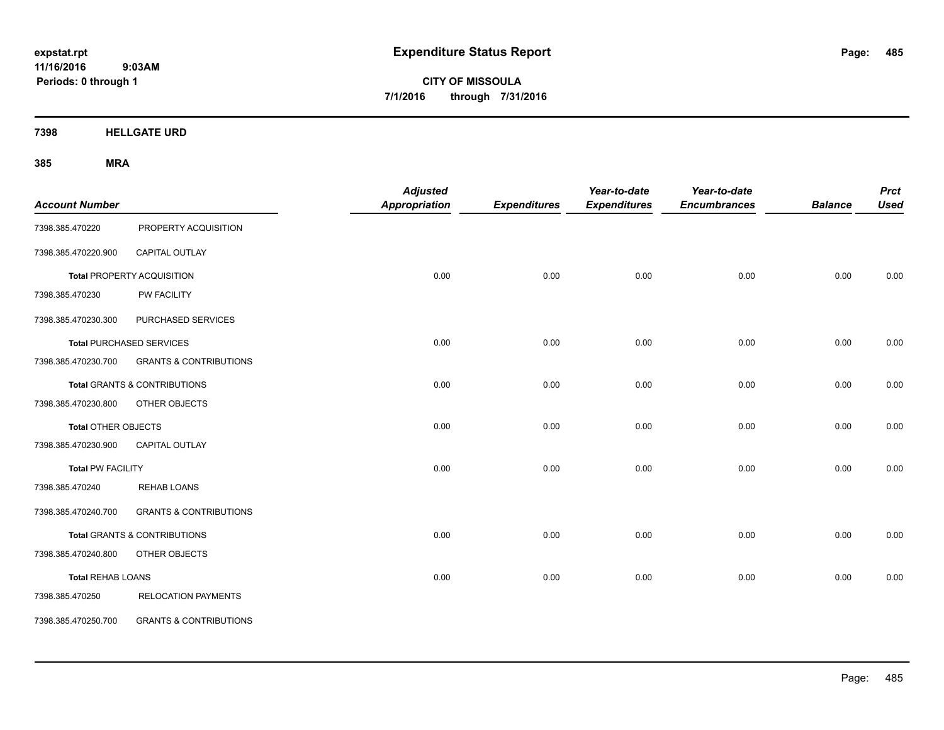**CITY OF MISSOULA 7/1/2016 through 7/31/2016**

**7398 HELLGATE URD**

| <b>Account Number</b>      |                                         | <b>Adjusted</b><br><b>Appropriation</b> | <b>Expenditures</b> | Year-to-date<br><b>Expenditures</b> | Year-to-date<br><b>Encumbrances</b> | <b>Balance</b> | <b>Prct</b><br><b>Used</b> |
|----------------------------|-----------------------------------------|-----------------------------------------|---------------------|-------------------------------------|-------------------------------------|----------------|----------------------------|
| 7398.385.470220            | PROPERTY ACQUISITION                    |                                         |                     |                                     |                                     |                |                            |
| 7398.385.470220.900        | <b>CAPITAL OUTLAY</b>                   |                                         |                     |                                     |                                     |                |                            |
|                            | <b>Total PROPERTY ACQUISITION</b>       | 0.00                                    | 0.00                | 0.00                                | 0.00                                | 0.00           | 0.00                       |
| 7398.385.470230            | PW FACILITY                             |                                         |                     |                                     |                                     |                |                            |
| 7398.385.470230.300        | PURCHASED SERVICES                      |                                         |                     |                                     |                                     |                |                            |
|                            | <b>Total PURCHASED SERVICES</b>         | 0.00                                    | 0.00                | 0.00                                | 0.00                                | 0.00           | 0.00                       |
| 7398.385.470230.700        | <b>GRANTS &amp; CONTRIBUTIONS</b>       |                                         |                     |                                     |                                     |                |                            |
|                            | Total GRANTS & CONTRIBUTIONS            | 0.00                                    | 0.00                | 0.00                                | 0.00                                | 0.00           | 0.00                       |
| 7398.385.470230.800        | OTHER OBJECTS                           |                                         |                     |                                     |                                     |                |                            |
| <b>Total OTHER OBJECTS</b> |                                         | 0.00                                    | 0.00                | 0.00                                | 0.00                                | 0.00           | 0.00                       |
| 7398.385.470230.900        | <b>CAPITAL OUTLAY</b>                   |                                         |                     |                                     |                                     |                |                            |
| <b>Total PW FACILITY</b>   |                                         | 0.00                                    | 0.00                | 0.00                                | 0.00                                | 0.00           | 0.00                       |
| 7398.385.470240            | <b>REHAB LOANS</b>                      |                                         |                     |                                     |                                     |                |                            |
| 7398.385.470240.700        | <b>GRANTS &amp; CONTRIBUTIONS</b>       |                                         |                     |                                     |                                     |                |                            |
|                            | <b>Total GRANTS &amp; CONTRIBUTIONS</b> | 0.00                                    | 0.00                | 0.00                                | 0.00                                | 0.00           | 0.00                       |
| 7398.385.470240.800        | OTHER OBJECTS                           |                                         |                     |                                     |                                     |                |                            |
| <b>Total REHAB LOANS</b>   |                                         | 0.00                                    | 0.00                | 0.00                                | 0.00                                | 0.00           | 0.00                       |
| 7398.385.470250            | <b>RELOCATION PAYMENTS</b>              |                                         |                     |                                     |                                     |                |                            |
| 7398.385.470250.700        | <b>GRANTS &amp; CONTRIBUTIONS</b>       |                                         |                     |                                     |                                     |                |                            |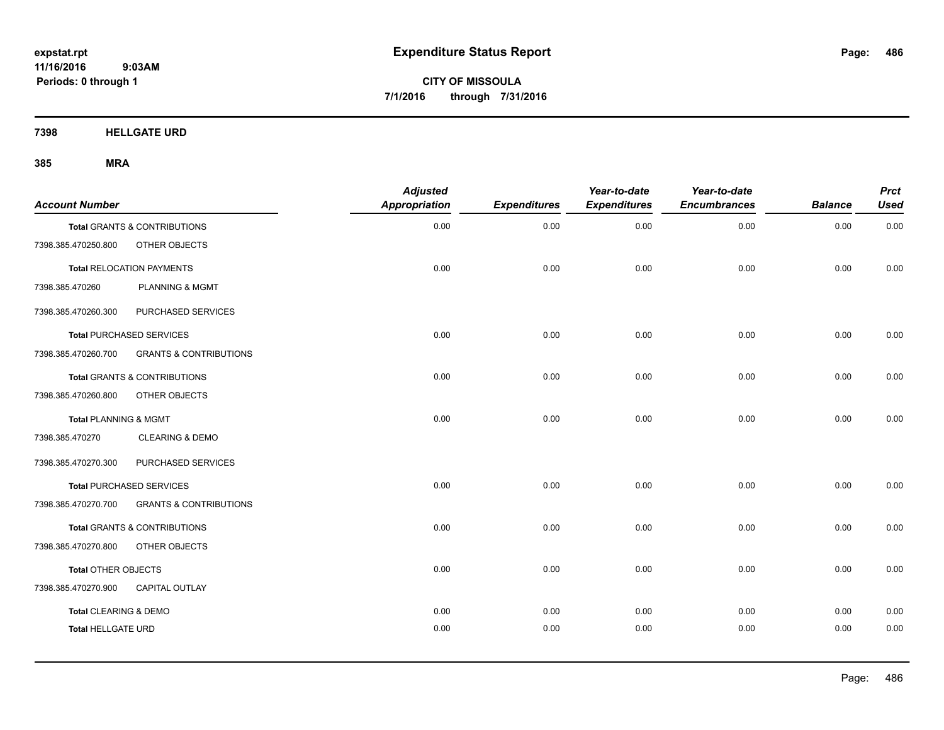**CITY OF MISSOULA 7/1/2016 through 7/31/2016**

**7398 HELLGATE URD**

| <b>Account Number</b>            |                                         | <b>Adjusted</b><br><b>Appropriation</b> | <b>Expenditures</b> | Year-to-date<br><b>Expenditures</b> | Year-to-date<br><b>Encumbrances</b> | <b>Balance</b> | <b>Prct</b><br><b>Used</b> |
|----------------------------------|-----------------------------------------|-----------------------------------------|---------------------|-------------------------------------|-------------------------------------|----------------|----------------------------|
|                                  | Total GRANTS & CONTRIBUTIONS            | 0.00                                    | 0.00                | 0.00                                | 0.00                                | 0.00           | 0.00                       |
| 7398.385.470250.800              | OTHER OBJECTS                           |                                         |                     |                                     |                                     |                |                            |
|                                  | <b>Total RELOCATION PAYMENTS</b>        | 0.00                                    | 0.00                | 0.00                                | 0.00                                | 0.00           | 0.00                       |
| 7398.385.470260                  | <b>PLANNING &amp; MGMT</b>              |                                         |                     |                                     |                                     |                |                            |
| 7398.385.470260.300              | PURCHASED SERVICES                      |                                         |                     |                                     |                                     |                |                            |
|                                  | <b>Total PURCHASED SERVICES</b>         | 0.00                                    | 0.00                | 0.00                                | 0.00                                | 0.00           | 0.00                       |
| 7398.385.470260.700              | <b>GRANTS &amp; CONTRIBUTIONS</b>       |                                         |                     |                                     |                                     |                |                            |
|                                  | <b>Total GRANTS &amp; CONTRIBUTIONS</b> | 0.00                                    | 0.00                | 0.00                                | 0.00                                | 0.00           | 0.00                       |
| 7398.385.470260.800              | OTHER OBJECTS                           |                                         |                     |                                     |                                     |                |                            |
| <b>Total PLANNING &amp; MGMT</b> |                                         | 0.00                                    | 0.00                | 0.00                                | 0.00                                | 0.00           | 0.00                       |
| 7398.385.470270                  | <b>CLEARING &amp; DEMO</b>              |                                         |                     |                                     |                                     |                |                            |
| 7398.385.470270.300              | PURCHASED SERVICES                      |                                         |                     |                                     |                                     |                |                            |
|                                  | <b>Total PURCHASED SERVICES</b>         | 0.00                                    | 0.00                | 0.00                                | 0.00                                | 0.00           | 0.00                       |
| 7398.385.470270.700              | <b>GRANTS &amp; CONTRIBUTIONS</b>       |                                         |                     |                                     |                                     |                |                            |
|                                  | <b>Total GRANTS &amp; CONTRIBUTIONS</b> | 0.00                                    | 0.00                | 0.00                                | 0.00                                | 0.00           | 0.00                       |
| 7398.385.470270.800              | OTHER OBJECTS                           |                                         |                     |                                     |                                     |                |                            |
| Total OTHER OBJECTS              |                                         | 0.00                                    | 0.00                | 0.00                                | 0.00                                | 0.00           | 0.00                       |
| 7398.385.470270.900              | CAPITAL OUTLAY                          |                                         |                     |                                     |                                     |                |                            |
| <b>Total CLEARING &amp; DEMO</b> |                                         | 0.00                                    | 0.00                | 0.00                                | 0.00                                | 0.00           | 0.00                       |
| <b>Total HELLGATE URD</b>        |                                         | 0.00                                    | 0.00                | 0.00                                | 0.00                                | 0.00           | 0.00                       |
|                                  |                                         |                                         |                     |                                     |                                     |                |                            |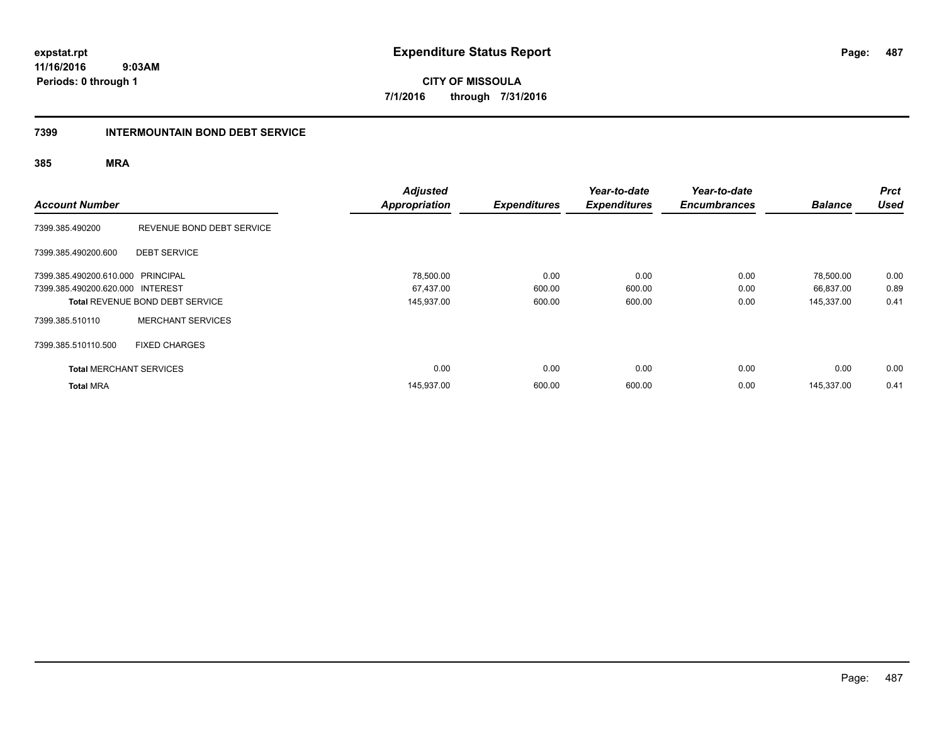**CITY OF MISSOULA 7/1/2016 through 7/31/2016**

#### **7399 INTERMOUNTAIN BOND DEBT SERVICE**

| <b>Account Number</b>             |                                        | <b>Adjusted</b><br><b>Appropriation</b> | <b>Expenditures</b> | Year-to-date<br><b>Expenditures</b> | Year-to-date<br><b>Encumbrances</b> | <b>Balance</b> | <b>Prct</b><br><b>Used</b> |
|-----------------------------------|----------------------------------------|-----------------------------------------|---------------------|-------------------------------------|-------------------------------------|----------------|----------------------------|
| 7399.385.490200                   | REVENUE BOND DEBT SERVICE              |                                         |                     |                                     |                                     |                |                            |
| 7399.385.490200.600               | <b>DEBT SERVICE</b>                    |                                         |                     |                                     |                                     |                |                            |
| 7399.385.490200.610.000 PRINCIPAL |                                        | 78,500.00                               | 0.00                | 0.00                                | 0.00                                | 78,500.00      | 0.00                       |
| 7399.385.490200.620.000 INTEREST  |                                        | 67,437.00                               | 600.00              | 600.00                              | 0.00                                | 66,837.00      | 0.89                       |
|                                   | <b>Total REVENUE BOND DEBT SERVICE</b> | 145,937.00                              | 600.00              | 600.00                              | 0.00                                | 145,337.00     | 0.41                       |
| 7399.385.510110                   | <b>MERCHANT SERVICES</b>               |                                         |                     |                                     |                                     |                |                            |
| 7399.385.510110.500               | <b>FIXED CHARGES</b>                   |                                         |                     |                                     |                                     |                |                            |
| <b>Total MERCHANT SERVICES</b>    |                                        |                                         | 0.00<br>0.00        | 0.00                                | 0.00                                | 0.00           | 0.00                       |
| <b>Total MRA</b>                  |                                        | 145,937.00                              | 600.00              | 600.00                              | 0.00                                | 145.337.00     | 0.41                       |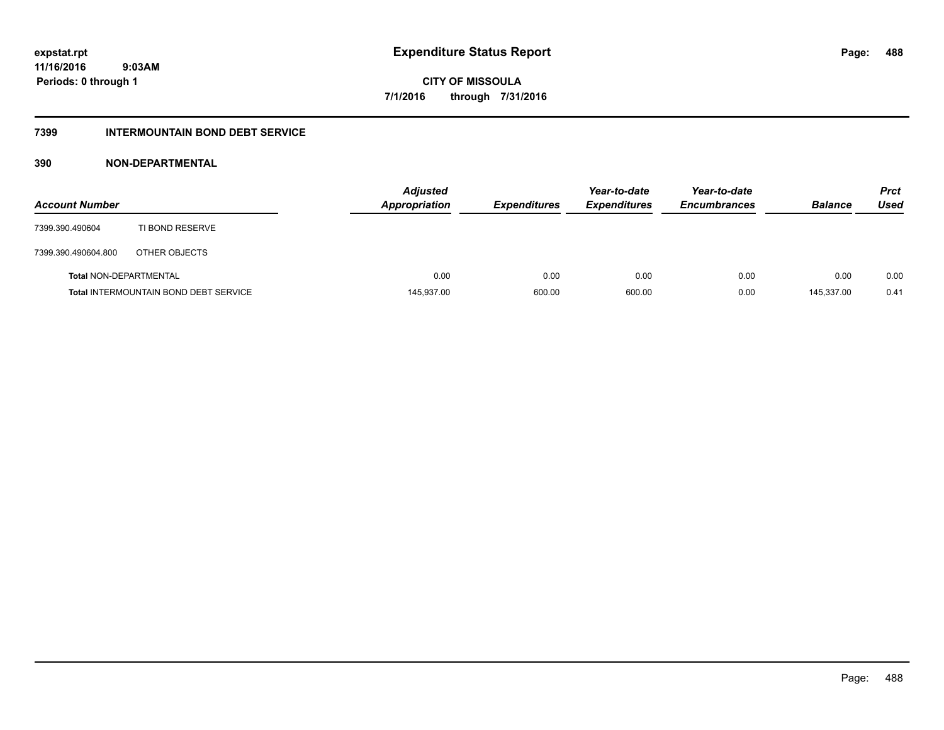**CITY OF MISSOULA 7/1/2016 through 7/31/2016**

#### **7399 INTERMOUNTAIN BOND DEBT SERVICE**

#### **390 NON-DEPARTMENTAL**

| <b>Account Number</b>         |                                              | <b>Adjusted</b><br><b>Appropriation</b> | <b>Expenditures</b> | Year-to-date<br><b>Expenditures</b> | Year-to-date<br><b>Encumbrances</b> | <b>Balance</b> | <b>Prct</b><br>Used |
|-------------------------------|----------------------------------------------|-----------------------------------------|---------------------|-------------------------------------|-------------------------------------|----------------|---------------------|
| 7399.390.490604               | TI BOND RESERVE                              |                                         |                     |                                     |                                     |                |                     |
| 7399.390.490604.800           | OTHER OBJECTS                                |                                         |                     |                                     |                                     |                |                     |
| <b>Total NON-DEPARTMENTAL</b> |                                              | 0.00                                    | 0.00                | 0.00                                | 0.00                                | 0.00           | 0.00                |
|                               | <b>Total INTERMOUNTAIN BOND DEBT SERVICE</b> | 145,937.00                              | 600.00              | 600.00                              | 0.00                                | 145,337.00     | 0.41                |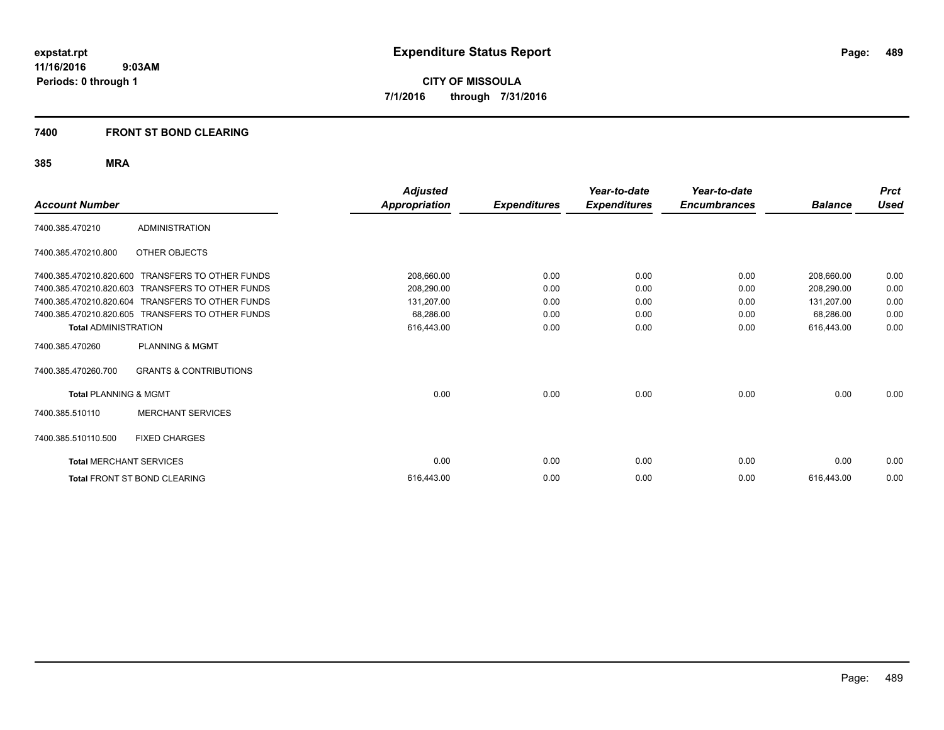**CITY OF MISSOULA 7/1/2016 through 7/31/2016**

#### **7400 FRONT ST BOND CLEARING**

| <b>Account Number</b>            |                                   | <b>Adjusted</b><br><b>Appropriation</b> | <b>Expenditures</b> | Year-to-date<br><b>Expenditures</b> | Year-to-date<br><b>Encumbrances</b> | <b>Balance</b> | <b>Prct</b><br><b>Used</b> |
|----------------------------------|-----------------------------------|-----------------------------------------|---------------------|-------------------------------------|-------------------------------------|----------------|----------------------------|
| 7400.385.470210                  | <b>ADMINISTRATION</b>             |                                         |                     |                                     |                                     |                |                            |
| 7400.385.470210.800              | OTHER OBJECTS                     |                                         |                     |                                     |                                     |                |                            |
| 7400.385.470210.820.600          | <b>TRANSFERS TO OTHER FUNDS</b>   | 208,660.00                              | 0.00                | 0.00                                | 0.00                                | 208,660.00     | 0.00                       |
| 7400.385.470210.820.603          | <b>TRANSFERS TO OTHER FUNDS</b>   | 208,290.00                              | 0.00                | 0.00                                | 0.00                                | 208,290.00     | 0.00                       |
| 7400.385.470210.820.604          | <b>TRANSFERS TO OTHER FUNDS</b>   | 131,207.00                              | 0.00                | 0.00                                | 0.00                                | 131,207.00     | 0.00                       |
| 7400.385.470210.820.605          | <b>TRANSFERS TO OTHER FUNDS</b>   | 68,286.00                               | 0.00                | 0.00                                | 0.00                                | 68,286.00      | 0.00                       |
| <b>Total ADMINISTRATION</b>      |                                   | 616,443.00                              | 0.00                | 0.00                                | 0.00                                | 616,443.00     | 0.00                       |
| 7400.385.470260                  | <b>PLANNING &amp; MGMT</b>        |                                         |                     |                                     |                                     |                |                            |
| 7400.385.470260.700              | <b>GRANTS &amp; CONTRIBUTIONS</b> |                                         |                     |                                     |                                     |                |                            |
| <b>Total PLANNING &amp; MGMT</b> |                                   | 0.00                                    | 0.00                | 0.00                                | 0.00                                | 0.00           | 0.00                       |
| 7400.385.510110                  | <b>MERCHANT SERVICES</b>          |                                         |                     |                                     |                                     |                |                            |
| 7400.385.510110.500              | <b>FIXED CHARGES</b>              |                                         |                     |                                     |                                     |                |                            |
| <b>Total MERCHANT SERVICES</b>   |                                   | 0.00                                    | 0.00                | 0.00                                | 0.00                                | 0.00           | 0.00                       |
|                                  | Total FRONT ST BOND CLEARING      | 616,443.00                              | 0.00                | 0.00                                | 0.00                                | 616,443.00     | 0.00                       |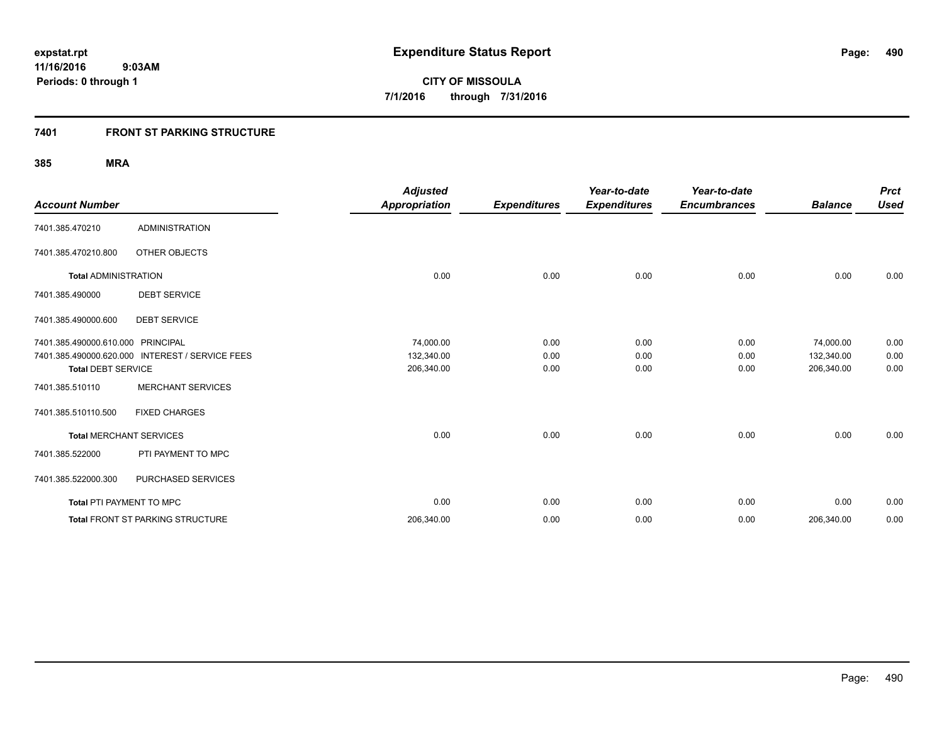### **7401 FRONT ST PARKING STRUCTURE**

| <b>Account Number</b>             |                                                 | <b>Adjusted</b><br><b>Appropriation</b> | <b>Expenditures</b> | Year-to-date<br><b>Expenditures</b> | Year-to-date<br><b>Encumbrances</b> | <b>Balance</b> | <b>Prct</b><br><b>Used</b> |
|-----------------------------------|-------------------------------------------------|-----------------------------------------|---------------------|-------------------------------------|-------------------------------------|----------------|----------------------------|
| 7401.385.470210                   | <b>ADMINISTRATION</b>                           |                                         |                     |                                     |                                     |                |                            |
| 7401.385.470210.800               | OTHER OBJECTS                                   |                                         |                     |                                     |                                     |                |                            |
| <b>Total ADMINISTRATION</b>       |                                                 | 0.00                                    | 0.00                | 0.00                                | 0.00                                | 0.00           | 0.00                       |
| 7401.385.490000                   | <b>DEBT SERVICE</b>                             |                                         |                     |                                     |                                     |                |                            |
| 7401.385.490000.600               | <b>DEBT SERVICE</b>                             |                                         |                     |                                     |                                     |                |                            |
| 7401.385.490000.610.000 PRINCIPAL |                                                 | 74,000.00                               | 0.00                | 0.00                                | 0.00                                | 74,000.00      | 0.00                       |
|                                   | 7401.385.490000.620.000 INTEREST / SERVICE FEES | 132,340.00                              | 0.00                | 0.00                                | 0.00                                | 132,340.00     | 0.00                       |
| <b>Total DEBT SERVICE</b>         |                                                 | 206,340.00                              | 0.00                | 0.00                                | 0.00                                | 206,340.00     | 0.00                       |
| 7401.385.510110                   | <b>MERCHANT SERVICES</b>                        |                                         |                     |                                     |                                     |                |                            |
| 7401.385.510110.500               | <b>FIXED CHARGES</b>                            |                                         |                     |                                     |                                     |                |                            |
| <b>Total MERCHANT SERVICES</b>    |                                                 | 0.00                                    | 0.00                | 0.00                                | 0.00                                | 0.00           | 0.00                       |
| 7401.385.522000                   | PTI PAYMENT TO MPC                              |                                         |                     |                                     |                                     |                |                            |
| 7401.385.522000.300               | PURCHASED SERVICES                              |                                         |                     |                                     |                                     |                |                            |
| Total PTI PAYMENT TO MPC          |                                                 | 0.00                                    | 0.00                | 0.00                                | 0.00                                | 0.00           | 0.00                       |
|                                   | <b>Total FRONT ST PARKING STRUCTURE</b>         | 206,340.00                              | 0.00                | 0.00                                | 0.00                                | 206,340.00     | 0.00                       |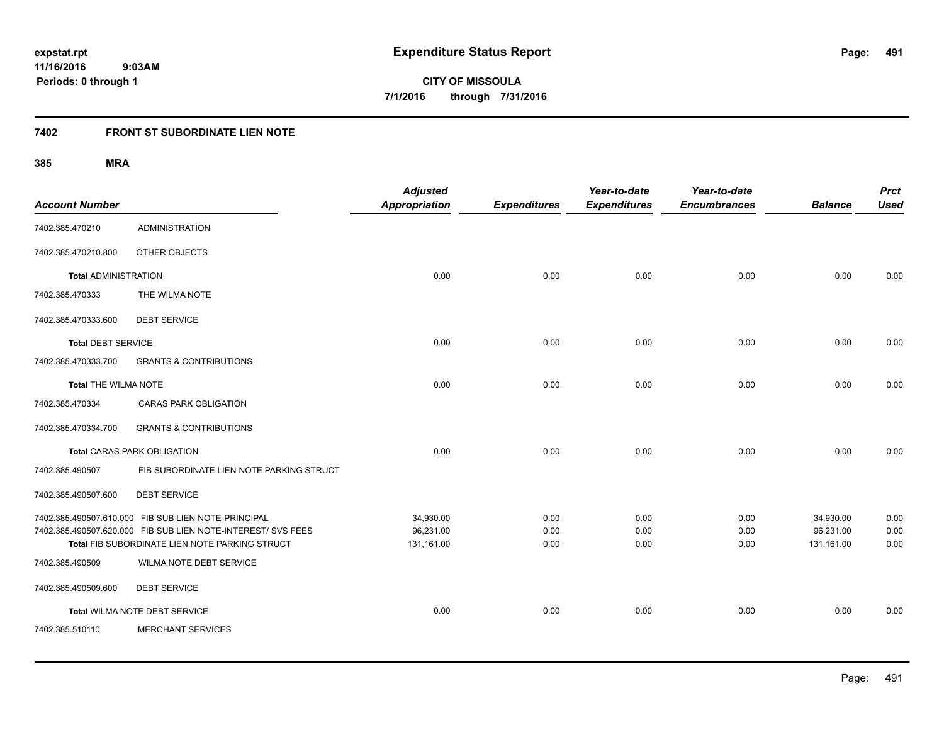**491**

**11/16/2016 9:03AM Periods: 0 through 1**

**CITY OF MISSOULA 7/1/2016 through 7/31/2016**

### **7402 FRONT ST SUBORDINATE LIEN NOTE**

| <b>Account Number</b>       |                                                                                                                | <b>Adjusted</b><br>Appropriation | <b>Expenditures</b> | Year-to-date<br><b>Expenditures</b> | Year-to-date<br><b>Encumbrances</b> | <b>Balance</b>          | <b>Prct</b><br><b>Used</b> |
|-----------------------------|----------------------------------------------------------------------------------------------------------------|----------------------------------|---------------------|-------------------------------------|-------------------------------------|-------------------------|----------------------------|
| 7402.385.470210             | <b>ADMINISTRATION</b>                                                                                          |                                  |                     |                                     |                                     |                         |                            |
| 7402.385.470210.800         | OTHER OBJECTS                                                                                                  |                                  |                     |                                     |                                     |                         |                            |
| <b>Total ADMINISTRATION</b> |                                                                                                                | 0.00                             | 0.00                | 0.00                                | 0.00                                | 0.00                    | 0.00                       |
| 7402.385.470333             | THE WILMA NOTE                                                                                                 |                                  |                     |                                     |                                     |                         |                            |
| 7402.385.470333.600         | <b>DEBT SERVICE</b>                                                                                            |                                  |                     |                                     |                                     |                         |                            |
| <b>Total DEBT SERVICE</b>   |                                                                                                                | 0.00                             | 0.00                | 0.00                                | 0.00                                | 0.00                    | 0.00                       |
| 7402.385.470333.700         | <b>GRANTS &amp; CONTRIBUTIONS</b>                                                                              |                                  |                     |                                     |                                     |                         |                            |
| Total THE WILMA NOTE        |                                                                                                                | 0.00                             | 0.00                | 0.00                                | 0.00                                | 0.00                    | 0.00                       |
| 7402.385.470334             | <b>CARAS PARK OBLIGATION</b>                                                                                   |                                  |                     |                                     |                                     |                         |                            |
| 7402.385.470334.700         | <b>GRANTS &amp; CONTRIBUTIONS</b>                                                                              |                                  |                     |                                     |                                     |                         |                            |
|                             | <b>Total CARAS PARK OBLIGATION</b>                                                                             | 0.00                             | 0.00                | 0.00                                | 0.00                                | 0.00                    | 0.00                       |
| 7402.385.490507             | FIB SUBORDINATE LIEN NOTE PARKING STRUCT                                                                       |                                  |                     |                                     |                                     |                         |                            |
| 7402.385.490507.600         | <b>DEBT SERVICE</b>                                                                                            |                                  |                     |                                     |                                     |                         |                            |
|                             | 7402.385.490507.610.000 FIB SUB LIEN NOTE-PRINCIPAL                                                            | 34,930.00                        | 0.00                | 0.00                                | 0.00                                | 34,930.00               | 0.00                       |
|                             | 7402.385.490507.620.000 FIB SUB LIEN NOTE-INTEREST/ SVS FEES<br>Total FIB SUBORDINATE LIEN NOTE PARKING STRUCT | 96,231.00<br>131,161.00          | 0.00<br>0.00        | 0.00<br>0.00                        | 0.00<br>0.00                        | 96,231.00<br>131,161.00 | 0.00<br>0.00               |
| 7402.385.490509             | WILMA NOTE DEBT SERVICE                                                                                        |                                  |                     |                                     |                                     |                         |                            |
| 7402.385.490509.600         | <b>DEBT SERVICE</b>                                                                                            |                                  |                     |                                     |                                     |                         |                            |
|                             | Total WILMA NOTE DEBT SERVICE                                                                                  | 0.00                             | 0.00                | 0.00                                | 0.00                                | 0.00                    | 0.00                       |
| 7402.385.510110             | <b>MERCHANT SERVICES</b>                                                                                       |                                  |                     |                                     |                                     |                         |                            |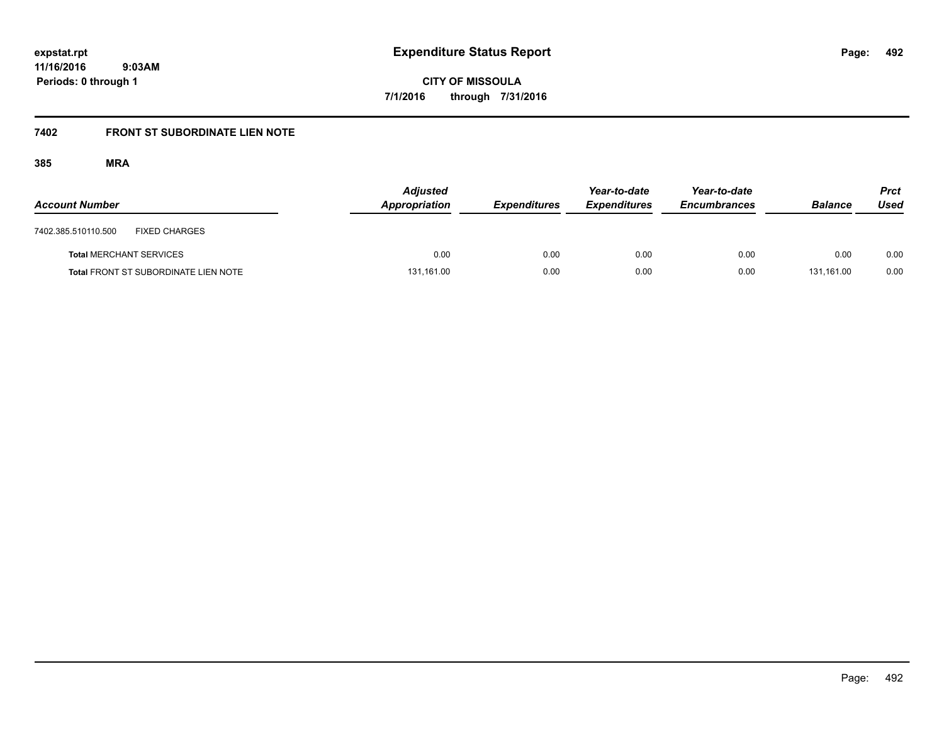**492**

**11/16/2016 9:03AM Periods: 0 through 1**

**CITY OF MISSOULA 7/1/2016 through 7/31/2016**

### **7402 FRONT ST SUBORDINATE LIEN NOTE**

| <b>Account Number</b>                       | <b>Adjusted</b><br>Appropriation | <b>Expenditures</b> | Year-to-date<br><b>Expenditures</b> | Year-to-date<br><b>Encumbrances</b> | <b>Balance</b> | <b>Prct</b><br>Used |
|---------------------------------------------|----------------------------------|---------------------|-------------------------------------|-------------------------------------|----------------|---------------------|
| <b>FIXED CHARGES</b><br>7402.385.510110.500 |                                  |                     |                                     |                                     |                |                     |
| <b>Total MERCHANT SERVICES</b>              | 0.00                             | 0.00                | 0.00                                | 0.00                                | 0.00           | 0.00                |
| <b>Total FRONT ST SUBORDINATE LIEN NOTE</b> | 131,161.00                       | 0.00                | 0.00                                | 0.00                                | 131.161.00     | 0.00                |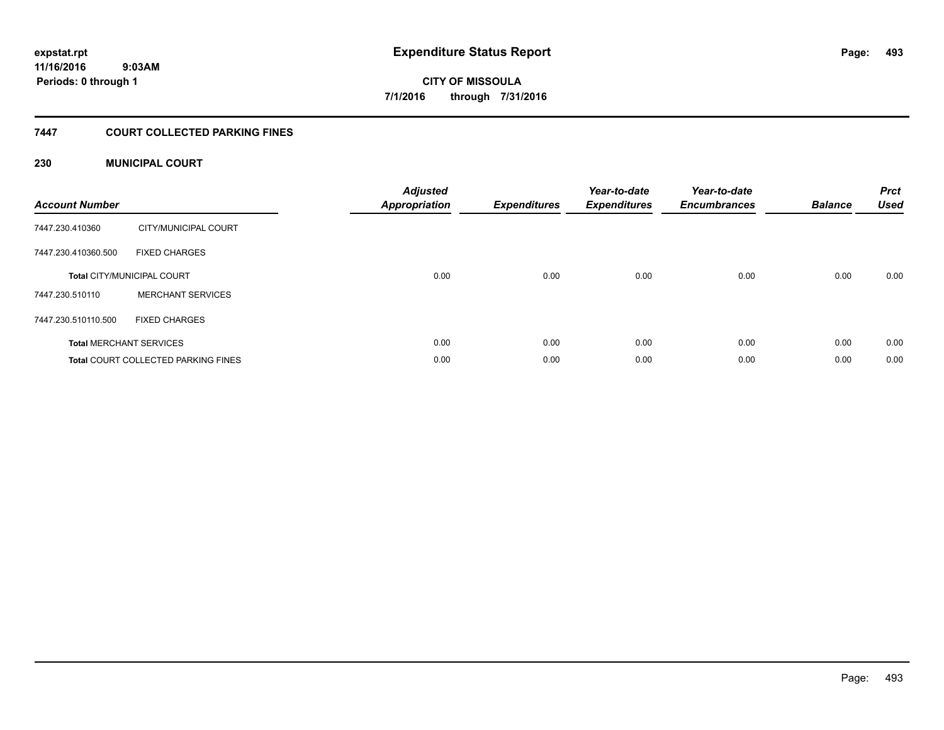**493**

**CITY OF MISSOULA 7/1/2016 through 7/31/2016**

#### **7447 COURT COLLECTED PARKING FINES**

#### **230 MUNICIPAL COURT**

| <b>Account Number</b> |                                            | <b>Adjusted</b><br><b>Appropriation</b> | <b>Expenditures</b> | Year-to-date<br><b>Expenditures</b> | Year-to-date<br><b>Encumbrances</b> | <b>Balance</b> | <b>Prct</b><br><b>Used</b> |
|-----------------------|--------------------------------------------|-----------------------------------------|---------------------|-------------------------------------|-------------------------------------|----------------|----------------------------|
| 7447.230.410360       | CITY/MUNICIPAL COURT                       |                                         |                     |                                     |                                     |                |                            |
| 7447.230.410360.500   | <b>FIXED CHARGES</b>                       |                                         |                     |                                     |                                     |                |                            |
|                       | <b>Total CITY/MUNICIPAL COURT</b>          | 0.00                                    | 0.00                | 0.00                                | 0.00                                | 0.00           | 0.00                       |
| 7447.230.510110       | <b>MERCHANT SERVICES</b>                   |                                         |                     |                                     |                                     |                |                            |
| 7447.230.510110.500   | <b>FIXED CHARGES</b>                       |                                         |                     |                                     |                                     |                |                            |
|                       | <b>Total MERCHANT SERVICES</b>             | 0.00                                    | 0.00                | 0.00                                | 0.00                                | 0.00           | 0.00                       |
|                       | <b>Total COURT COLLECTED PARKING FINES</b> | 0.00                                    | 0.00                | 0.00                                | 0.00                                | 0.00           | 0.00                       |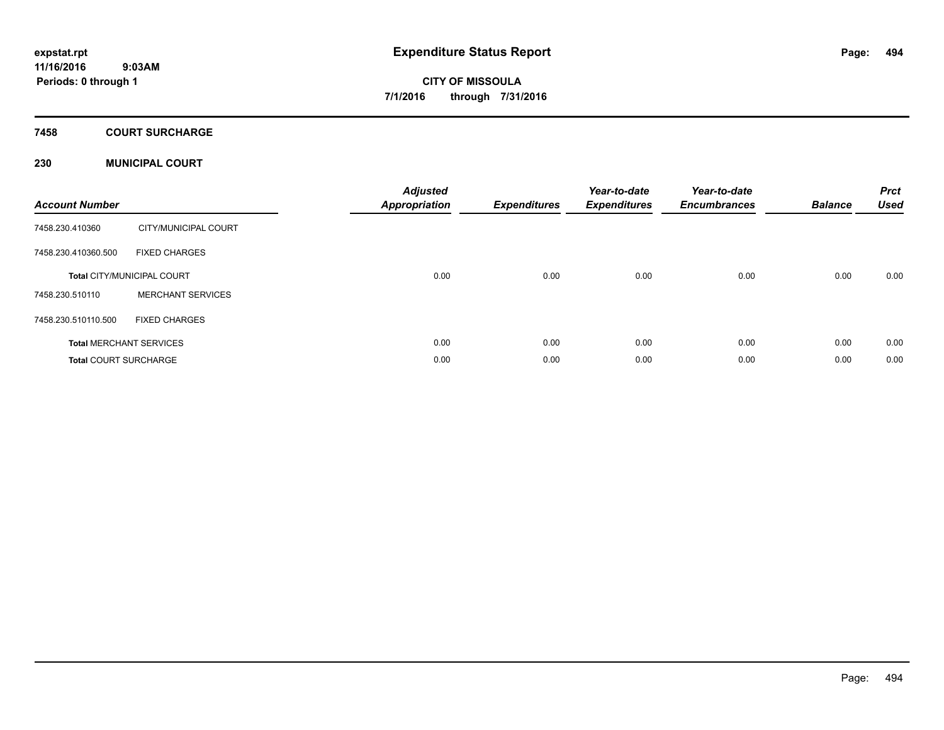### **7458 COURT SURCHARGE**

#### **230 MUNICIPAL COURT**

| <b>Account Number</b>        |                                   | <b>Adjusted</b><br><b>Appropriation</b> | <b>Expenditures</b> | Year-to-date<br><b>Expenditures</b> | Year-to-date<br><b>Encumbrances</b> | <b>Balance</b> | <b>Prct</b><br><b>Used</b> |
|------------------------------|-----------------------------------|-----------------------------------------|---------------------|-------------------------------------|-------------------------------------|----------------|----------------------------|
| 7458.230.410360              | CITY/MUNICIPAL COURT              |                                         |                     |                                     |                                     |                |                            |
| 7458.230.410360.500          | <b>FIXED CHARGES</b>              |                                         |                     |                                     |                                     |                |                            |
|                              | <b>Total CITY/MUNICIPAL COURT</b> | 0.00                                    | 0.00                | 0.00                                | 0.00                                | 0.00           | 0.00                       |
| 7458.230.510110              | <b>MERCHANT SERVICES</b>          |                                         |                     |                                     |                                     |                |                            |
| 7458.230.510110.500          | <b>FIXED CHARGES</b>              |                                         |                     |                                     |                                     |                |                            |
|                              | <b>Total MERCHANT SERVICES</b>    | 0.00                                    | 0.00                | 0.00                                | 0.00                                | 0.00           | 0.00                       |
| <b>Total COURT SURCHARGE</b> |                                   | 0.00                                    | 0.00                | 0.00                                | 0.00                                | 0.00           | 0.00                       |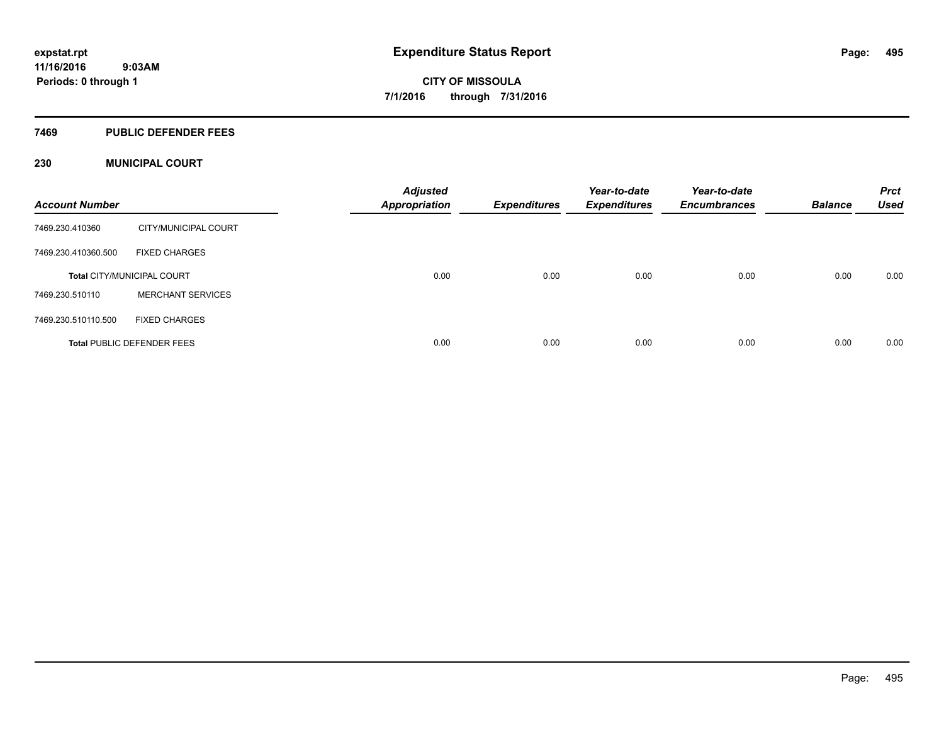#### **7469 PUBLIC DEFENDER FEES**

#### **230 MUNICIPAL COURT**

| <b>Account Number</b> |                                   | <b>Adjusted</b><br><b>Appropriation</b> | <b>Expenditures</b> | Year-to-date<br><b>Expenditures</b> | Year-to-date<br><b>Encumbrances</b> | <b>Balance</b> | <b>Prct</b><br><b>Used</b> |
|-----------------------|-----------------------------------|-----------------------------------------|---------------------|-------------------------------------|-------------------------------------|----------------|----------------------------|
| 7469.230.410360       | CITY/MUNICIPAL COURT              |                                         |                     |                                     |                                     |                |                            |
| 7469.230.410360.500   | <b>FIXED CHARGES</b>              |                                         |                     |                                     |                                     |                |                            |
|                       | <b>Total CITY/MUNICIPAL COURT</b> | 0.00                                    | 0.00                | 0.00                                | 0.00                                | 0.00           | 0.00                       |
| 7469.230.510110       | <b>MERCHANT SERVICES</b>          |                                         |                     |                                     |                                     |                |                            |
| 7469.230.510110.500   | <b>FIXED CHARGES</b>              |                                         |                     |                                     |                                     |                |                            |
|                       | <b>Total PUBLIC DEFENDER FEES</b> | 0.00                                    | 0.00                | 0.00                                | 0.00                                | 0.00           | 0.00                       |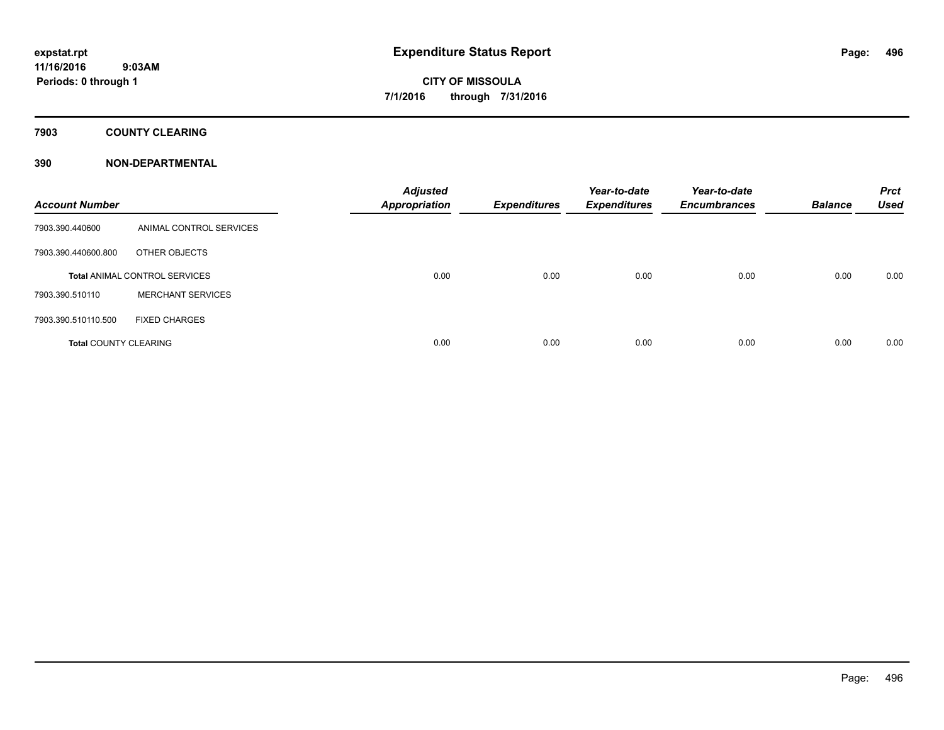### **7903 COUNTY CLEARING**

### **390 NON-DEPARTMENTAL**

| <b>Account Number</b>        |                                      | <b>Adjusted</b><br><b>Appropriation</b> | <b>Expenditures</b> | Year-to-date<br><b>Expenditures</b> | Year-to-date<br><b>Encumbrances</b> | <b>Balance</b> | <b>Prct</b><br><b>Used</b> |
|------------------------------|--------------------------------------|-----------------------------------------|---------------------|-------------------------------------|-------------------------------------|----------------|----------------------------|
| 7903.390.440600              | ANIMAL CONTROL SERVICES              |                                         |                     |                                     |                                     |                |                            |
| 7903.390.440600.800          | OTHER OBJECTS                        |                                         |                     |                                     |                                     |                |                            |
|                              | <b>Total ANIMAL CONTROL SERVICES</b> | 0.00                                    | 0.00                | 0.00                                | 0.00                                | 0.00           | 0.00                       |
| 7903.390.510110              | <b>MERCHANT SERVICES</b>             |                                         |                     |                                     |                                     |                |                            |
| 7903.390.510110.500          | <b>FIXED CHARGES</b>                 |                                         |                     |                                     |                                     |                |                            |
| <b>Total COUNTY CLEARING</b> |                                      | 0.00                                    | 0.00                | 0.00                                | 0.00                                | 0.00           | 0.00                       |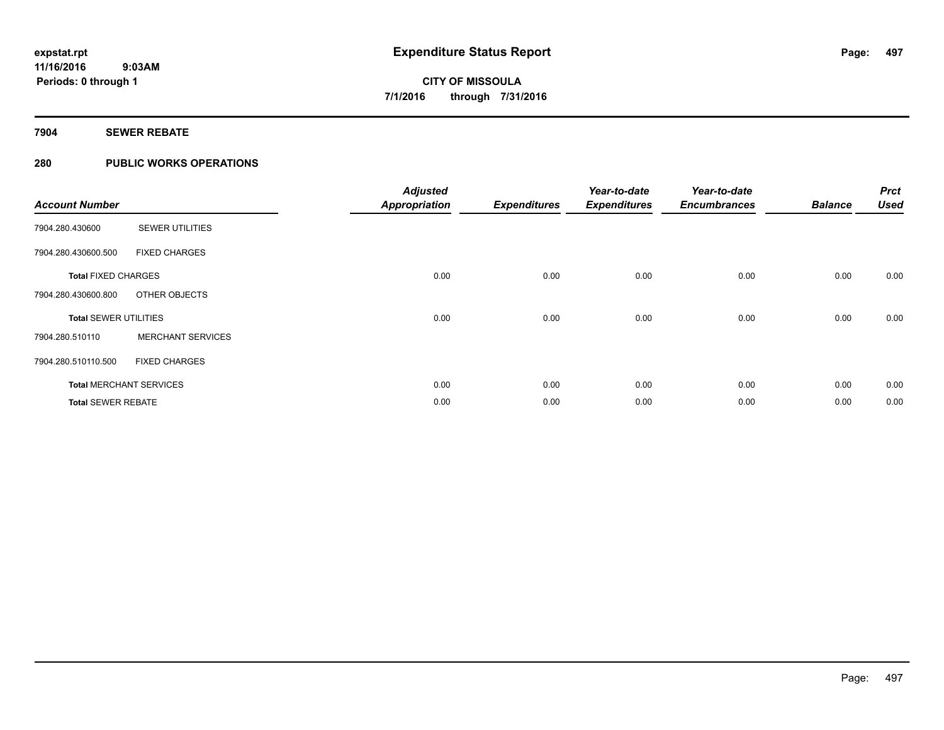#### **7904 SEWER REBATE**

#### **280 PUBLIC WORKS OPERATIONS**

| <b>Account Number</b>        |                                | <b>Adjusted</b><br><b>Appropriation</b> | <b>Expenditures</b> | Year-to-date<br><b>Expenditures</b> | Year-to-date<br><b>Encumbrances</b> | <b>Balance</b> | <b>Prct</b><br><b>Used</b> |
|------------------------------|--------------------------------|-----------------------------------------|---------------------|-------------------------------------|-------------------------------------|----------------|----------------------------|
| 7904.280.430600              | <b>SEWER UTILITIES</b>         |                                         |                     |                                     |                                     |                |                            |
| 7904.280.430600.500          | <b>FIXED CHARGES</b>           |                                         |                     |                                     |                                     |                |                            |
| <b>Total FIXED CHARGES</b>   |                                | 0.00                                    | 0.00                | 0.00                                | 0.00                                | 0.00           | 0.00                       |
| 7904.280.430600.800          | OTHER OBJECTS                  |                                         |                     |                                     |                                     |                |                            |
| <b>Total SEWER UTILITIES</b> |                                | 0.00                                    | 0.00                | 0.00                                | 0.00                                | 0.00           | 0.00                       |
| 7904.280.510110              | <b>MERCHANT SERVICES</b>       |                                         |                     |                                     |                                     |                |                            |
| 7904.280.510110.500          | <b>FIXED CHARGES</b>           |                                         |                     |                                     |                                     |                |                            |
|                              | <b>Total MERCHANT SERVICES</b> | 0.00                                    | 0.00                | 0.00                                | 0.00                                | 0.00           | 0.00                       |
| <b>Total SEWER REBATE</b>    |                                | 0.00                                    | 0.00                | 0.00                                | 0.00                                | 0.00           | 0.00                       |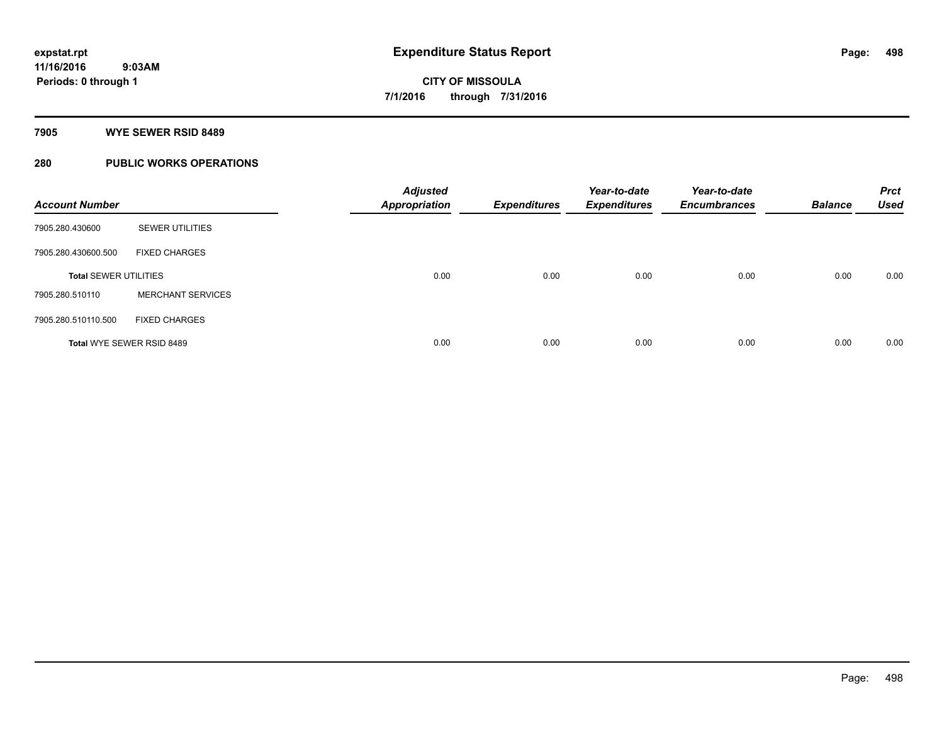#### **7905 WYE SEWER RSID 8489**

### **280 PUBLIC WORKS OPERATIONS**

| <b>Account Number</b>        |                                  | <b>Adjusted</b><br><b>Appropriation</b> | <b>Expenditures</b> | Year-to-date<br><b>Expenditures</b> | Year-to-date<br><b>Encumbrances</b> | <b>Balance</b> | <b>Prct</b><br><b>Used</b> |
|------------------------------|----------------------------------|-----------------------------------------|---------------------|-------------------------------------|-------------------------------------|----------------|----------------------------|
| 7905.280.430600              | <b>SEWER UTILITIES</b>           |                                         |                     |                                     |                                     |                |                            |
| 7905.280.430600.500          | <b>FIXED CHARGES</b>             |                                         |                     |                                     |                                     |                |                            |
| <b>Total SEWER UTILITIES</b> |                                  | 0.00                                    | 0.00                | 0.00                                | 0.00                                | 0.00           | 0.00                       |
| 7905.280.510110              | <b>MERCHANT SERVICES</b>         |                                         |                     |                                     |                                     |                |                            |
| 7905.280.510110.500          | <b>FIXED CHARGES</b>             |                                         |                     |                                     |                                     |                |                            |
|                              | <b>Total WYE SEWER RSID 8489</b> | 0.00                                    | 0.00                | 0.00                                | 0.00                                | 0.00           | 0.00                       |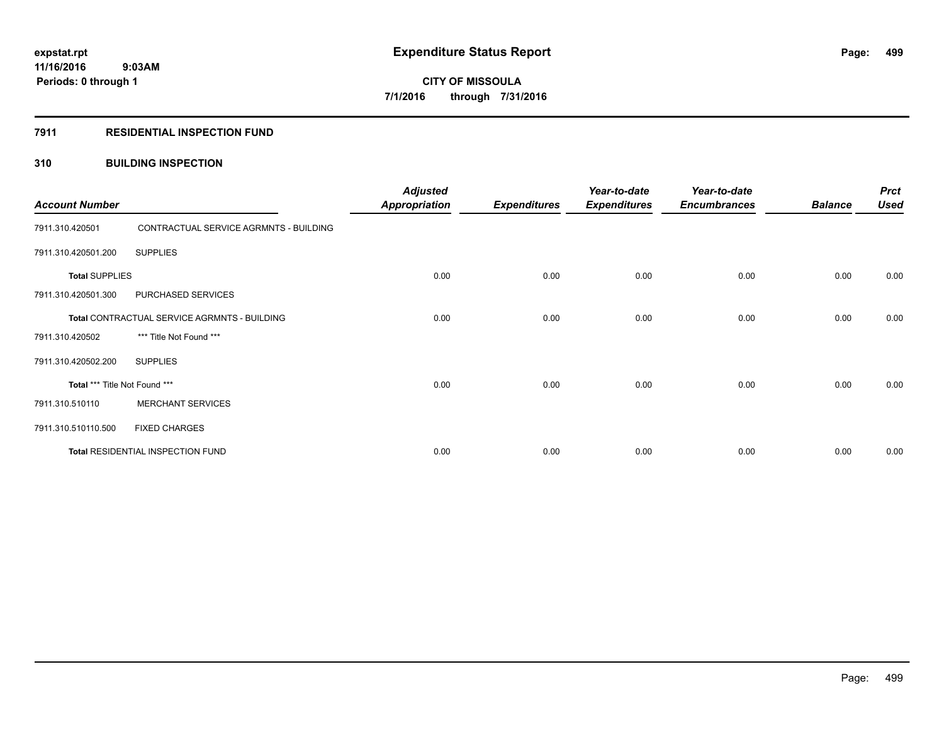#### **7911 RESIDENTIAL INSPECTION FUND**

#### **310 BUILDING INSPECTION**

| <b>Account Number</b>         |                                              | <b>Adjusted</b><br><b>Appropriation</b> | <b>Expenditures</b> | Year-to-date<br><b>Expenditures</b> | Year-to-date<br><b>Encumbrances</b> | <b>Balance</b> | <b>Prct</b><br><b>Used</b> |
|-------------------------------|----------------------------------------------|-----------------------------------------|---------------------|-------------------------------------|-------------------------------------|----------------|----------------------------|
| 7911.310.420501               | CONTRACTUAL SERVICE AGRMNTS - BUILDING       |                                         |                     |                                     |                                     |                |                            |
| 7911.310.420501.200           | <b>SUPPLIES</b>                              |                                         |                     |                                     |                                     |                |                            |
| <b>Total SUPPLIES</b>         |                                              | 0.00                                    | 0.00                | 0.00                                | 0.00                                | 0.00           | 0.00                       |
| 7911.310.420501.300           | PURCHASED SERVICES                           |                                         |                     |                                     |                                     |                |                            |
|                               | Total CONTRACTUAL SERVICE AGRMNTS - BUILDING | 0.00                                    | 0.00                | 0.00                                | 0.00                                | 0.00           | 0.00                       |
| 7911.310.420502               | *** Title Not Found ***                      |                                         |                     |                                     |                                     |                |                            |
| 7911.310.420502.200           | <b>SUPPLIES</b>                              |                                         |                     |                                     |                                     |                |                            |
| Total *** Title Not Found *** |                                              | 0.00                                    | 0.00                | 0.00                                | 0.00                                | 0.00           | 0.00                       |
| 7911.310.510110               | <b>MERCHANT SERVICES</b>                     |                                         |                     |                                     |                                     |                |                            |
| 7911.310.510110.500           | <b>FIXED CHARGES</b>                         |                                         |                     |                                     |                                     |                |                            |
|                               | Total RESIDENTIAL INSPECTION FUND            | 0.00                                    | 0.00                | 0.00                                | 0.00                                | 0.00           | 0.00                       |